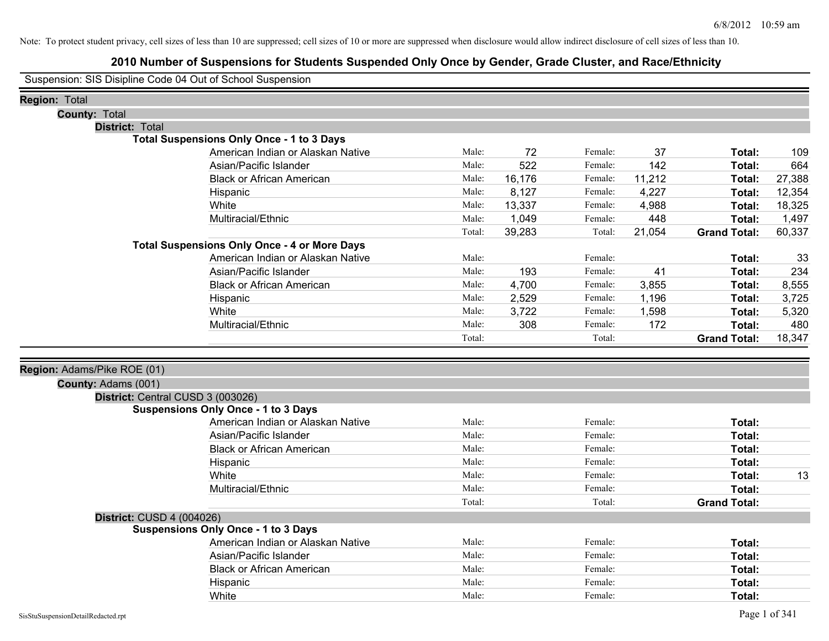# **2010 Number of Suspensions for Students Suspended Only Once by Gender, Grade Cluster, and Race/Ethnicity**

Suspension: SIS Disipline Code 04 Out of School Suspension

| <b>Region: Total</b>             |                                                     |        |        |         |        |                     |        |
|----------------------------------|-----------------------------------------------------|--------|--------|---------|--------|---------------------|--------|
| <b>County: Total</b>             |                                                     |        |        |         |        |                     |        |
| <b>District: Total</b>           |                                                     |        |        |         |        |                     |        |
|                                  | <b>Total Suspensions Only Once - 1 to 3 Days</b>    |        |        |         |        |                     |        |
|                                  | American Indian or Alaskan Native                   | Male:  | 72     | Female: | 37     | Total:              | 109    |
|                                  | Asian/Pacific Islander                              | Male:  | 522    | Female: | 142    | Total:              | 664    |
|                                  | <b>Black or African American</b>                    | Male:  | 16,176 | Female: | 11,212 | Total:              | 27,388 |
|                                  | Hispanic                                            | Male:  | 8,127  | Female: | 4,227  | Total:              | 12,354 |
|                                  | White                                               | Male:  | 13,337 | Female: | 4,988  | Total:              | 18,325 |
|                                  | Multiracial/Ethnic                                  | Male:  | 1,049  | Female: | 448    | Total:              | 1,497  |
|                                  |                                                     | Total: | 39,283 | Total:  | 21,054 | <b>Grand Total:</b> | 60,337 |
|                                  | <b>Total Suspensions Only Once - 4 or More Days</b> |        |        |         |        |                     |        |
|                                  | American Indian or Alaskan Native                   | Male:  |        | Female: |        | Total:              | 33     |
|                                  | Asian/Pacific Islander                              | Male:  | 193    | Female: | 41     | Total:              | 234    |
|                                  | <b>Black or African American</b>                    | Male:  | 4,700  | Female: | 3,855  | Total:              | 8,555  |
|                                  | Hispanic                                            | Male:  | 2,529  | Female: | 1,196  | Total:              | 3,725  |
|                                  | White                                               | Male:  | 3,722  | Female: | 1,598  | Total:              | 5,320  |
|                                  | Multiracial/Ethnic                                  | Male:  | 308    | Female: | 172    | Total:              | 480    |
|                                  |                                                     | Total: |        | Total:  |        | <b>Grand Total:</b> | 18,347 |
|                                  |                                                     |        |        |         |        |                     |        |
| Region: Adams/Pike ROE (01)      |                                                     |        |        |         |        |                     |        |
| County: Adams (001)              |                                                     |        |        |         |        |                     |        |
|                                  | District: Central CUSD 3 (003026)                   |        |        |         |        |                     |        |
|                                  | <b>Suspensions Only Once - 1 to 3 Days</b>          |        |        |         |        |                     |        |
|                                  | American Indian or Alaskan Native                   | Male:  |        | Female: |        | Total:              |        |
|                                  | Asian/Pacific Islander                              | Male:  |        | Female: |        | Total:              |        |
|                                  | <b>Black or African American</b>                    | Male:  |        | Female: |        | Total:              |        |
|                                  | Hispanic                                            | Male:  |        | Female: |        | Total:              |        |
|                                  | White                                               | Male:  |        | Female: |        | Total:              | 13     |
|                                  | Multiracial/Ethnic                                  | Male:  |        | Female: |        | Total:              |        |
|                                  |                                                     | Total: |        | Total:  |        | <b>Grand Total:</b> |        |
| <b>District: CUSD 4 (004026)</b> |                                                     |        |        |         |        |                     |        |
|                                  | <b>Suspensions Only Once - 1 to 3 Days</b>          |        |        |         |        |                     |        |
|                                  | American Indian or Alaskan Native                   | Male:  |        | Female: |        | Total:              |        |
|                                  | Asian/Pacific Islander                              | Male:  |        | Female: |        | Total:              |        |
|                                  | <b>Black or African American</b>                    | Male:  |        | Female: |        | Total:              |        |
|                                  | Hispanic                                            | Male:  |        | Female: |        | Total:              |        |
|                                  | White                                               | Male:  |        | Female: |        | Total:              |        |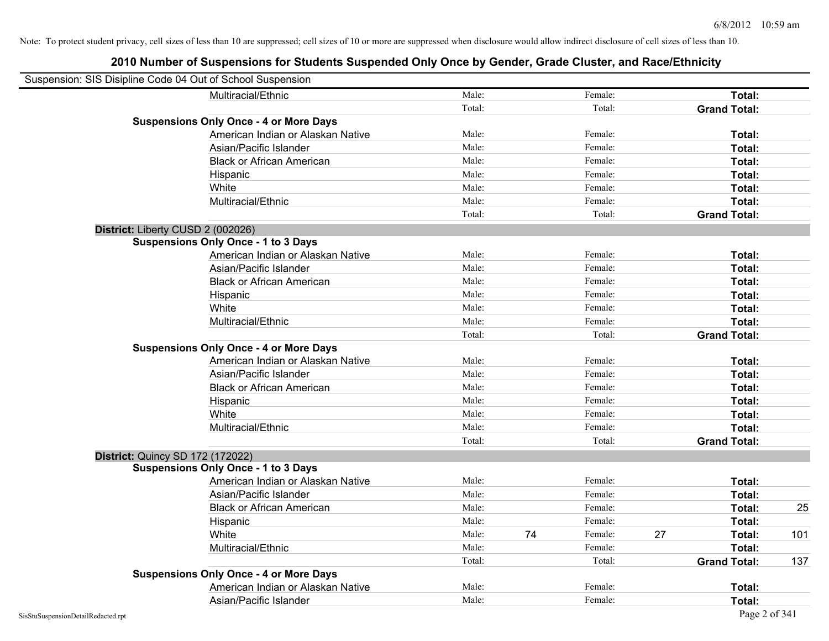| Suspension: SIS Disipline Code 04 Out of School Suspension |                                               |        |               |    |                     |     |
|------------------------------------------------------------|-----------------------------------------------|--------|---------------|----|---------------------|-----|
|                                                            | Multiracial/Ethnic                            | Male:  | Female:       |    | Total:              |     |
|                                                            |                                               | Total: | Total:        |    | <b>Grand Total:</b> |     |
|                                                            | <b>Suspensions Only Once - 4 or More Days</b> |        |               |    |                     |     |
|                                                            | American Indian or Alaskan Native             | Male:  | Female:       |    | Total:              |     |
|                                                            | Asian/Pacific Islander                        | Male:  | Female:       |    | Total:              |     |
|                                                            | <b>Black or African American</b>              | Male:  | Female:       |    | Total:              |     |
|                                                            | Hispanic                                      | Male:  | Female:       |    | Total:              |     |
|                                                            | White                                         | Male:  | Female:       |    | Total:              |     |
|                                                            | Multiracial/Ethnic                            | Male:  | Female:       |    | Total:              |     |
|                                                            |                                               | Total: | Total:        |    | <b>Grand Total:</b> |     |
| District: Liberty CUSD 2 (002026)                          |                                               |        |               |    |                     |     |
|                                                            | <b>Suspensions Only Once - 1 to 3 Days</b>    |        |               |    |                     |     |
|                                                            | American Indian or Alaskan Native             | Male:  | Female:       |    | Total:              |     |
|                                                            | Asian/Pacific Islander                        | Male:  | Female:       |    | Total:              |     |
|                                                            | <b>Black or African American</b>              | Male:  | Female:       |    | Total:              |     |
|                                                            | Hispanic                                      | Male:  | Female:       |    | Total:              |     |
|                                                            | White                                         | Male:  | Female:       |    | Total:              |     |
|                                                            | Multiracial/Ethnic                            | Male:  | Female:       |    | Total:              |     |
|                                                            |                                               | Total: | Total:        |    | <b>Grand Total:</b> |     |
|                                                            | <b>Suspensions Only Once - 4 or More Days</b> |        |               |    |                     |     |
|                                                            | American Indian or Alaskan Native             | Male:  | Female:       |    | Total:              |     |
|                                                            | Asian/Pacific Islander                        | Male:  | Female:       |    | Total:              |     |
|                                                            | <b>Black or African American</b>              | Male:  | Female:       |    | Total:              |     |
|                                                            | Hispanic                                      | Male:  | Female:       |    | Total:              |     |
|                                                            | White                                         | Male:  | Female:       |    | Total:              |     |
|                                                            | Multiracial/Ethnic                            | Male:  | Female:       |    | Total:              |     |
|                                                            |                                               | Total: | Total:        |    | <b>Grand Total:</b> |     |
| District: Quincy SD 172 (172022)                           |                                               |        |               |    |                     |     |
|                                                            | <b>Suspensions Only Once - 1 to 3 Days</b>    |        |               |    |                     |     |
|                                                            | American Indian or Alaskan Native             | Male:  | Female:       |    | Total:              |     |
|                                                            | Asian/Pacific Islander                        | Male:  | Female:       |    | Total:              |     |
|                                                            | <b>Black or African American</b>              | Male:  | Female:       |    | Total:              | 25  |
|                                                            | Hispanic                                      | Male:  | Female:       |    | Total:              |     |
|                                                            | White                                         | Male:  | 74<br>Female: | 27 | Total:              | 101 |
|                                                            | Multiracial/Ethnic                            | Male:  | Female:       |    | Total:              |     |
|                                                            |                                               | Total: | Total:        |    | <b>Grand Total:</b> | 137 |
|                                                            | <b>Suspensions Only Once - 4 or More Days</b> |        |               |    |                     |     |
|                                                            | American Indian or Alaskan Native             | Male:  | Female:       |    | Total:              |     |
|                                                            | Asian/Pacific Islander                        | Male:  | Female:       |    | Total:              |     |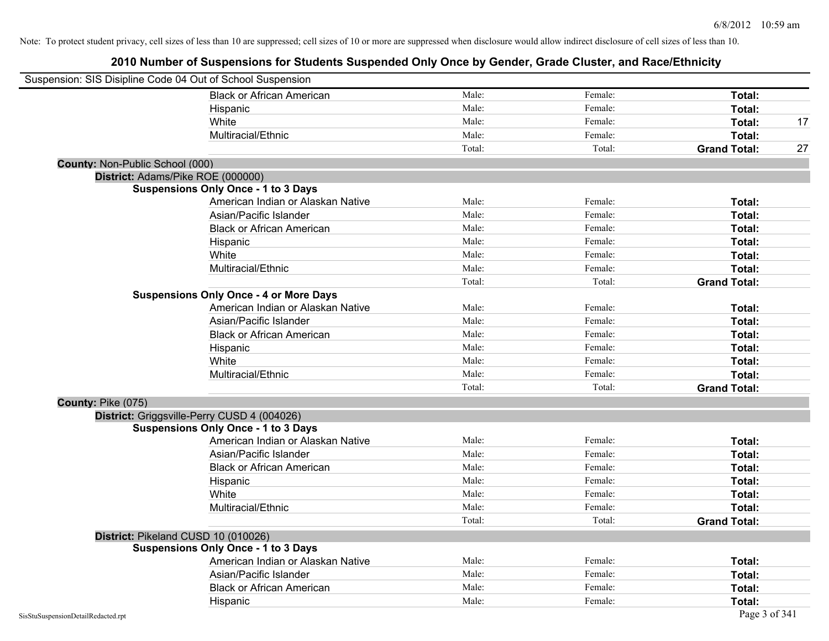| Suspension: SIS Disipline Code 04 Out of School Suspension |                                               |        |         |                     |    |
|------------------------------------------------------------|-----------------------------------------------|--------|---------|---------------------|----|
|                                                            | <b>Black or African American</b>              | Male:  | Female: | Total:              |    |
|                                                            | Hispanic                                      | Male:  | Female: | <b>Total:</b>       |    |
|                                                            | White                                         | Male:  | Female: | Total:              | 17 |
|                                                            | Multiracial/Ethnic                            | Male:  | Female: | Total:              |    |
|                                                            |                                               | Total: | Total:  | <b>Grand Total:</b> | 27 |
| County: Non-Public School (000)                            |                                               |        |         |                     |    |
| District: Adams/Pike ROE (000000)                          |                                               |        |         |                     |    |
|                                                            | <b>Suspensions Only Once - 1 to 3 Days</b>    |        |         |                     |    |
|                                                            | American Indian or Alaskan Native             | Male:  | Female: | Total:              |    |
|                                                            | Asian/Pacific Islander                        | Male:  | Female: | Total:              |    |
|                                                            | <b>Black or African American</b>              | Male:  | Female: | Total:              |    |
|                                                            | Hispanic                                      | Male:  | Female: | Total:              |    |
|                                                            | White                                         | Male:  | Female: | Total:              |    |
|                                                            | Multiracial/Ethnic                            | Male:  | Female: | Total:              |    |
|                                                            |                                               | Total: | Total:  | <b>Grand Total:</b> |    |
|                                                            | <b>Suspensions Only Once - 4 or More Days</b> |        |         |                     |    |
|                                                            | American Indian or Alaskan Native             | Male:  | Female: | Total:              |    |
|                                                            | Asian/Pacific Islander                        | Male:  | Female: | Total:              |    |
|                                                            | <b>Black or African American</b>              | Male:  | Female: | Total:              |    |
|                                                            | Hispanic                                      | Male:  | Female: | Total:              |    |
|                                                            | White                                         | Male:  | Female: | Total:              |    |
|                                                            | Multiracial/Ethnic                            | Male:  | Female: | Total:              |    |
|                                                            |                                               | Total: | Total:  | <b>Grand Total:</b> |    |
| County: Pike (075)                                         |                                               |        |         |                     |    |
|                                                            | District: Griggsville-Perry CUSD 4 (004026)   |        |         |                     |    |
|                                                            | <b>Suspensions Only Once - 1 to 3 Days</b>    |        |         |                     |    |
|                                                            | American Indian or Alaskan Native             | Male:  | Female: | Total:              |    |
|                                                            | Asian/Pacific Islander                        | Male:  | Female: | Total:              |    |
|                                                            | <b>Black or African American</b>              | Male:  | Female: | <b>Total:</b>       |    |
|                                                            | Hispanic                                      | Male:  | Female: | Total:              |    |
|                                                            | White                                         | Male:  | Female: | Total:              |    |
|                                                            | Multiracial/Ethnic                            | Male:  | Female: | Total:              |    |
|                                                            |                                               | Total: | Total:  | <b>Grand Total:</b> |    |
| District: Pikeland CUSD 10 (010026)                        |                                               |        |         |                     |    |
|                                                            | <b>Suspensions Only Once - 1 to 3 Days</b>    |        |         |                     |    |
|                                                            | American Indian or Alaskan Native             | Male:  | Female: | Total:              |    |
|                                                            | Asian/Pacific Islander                        | Male:  | Female: | Total:              |    |
|                                                            | <b>Black or African American</b>              | Male:  | Female: | Total:              |    |
|                                                            | Hispanic                                      | Male:  | Female: | Total:              |    |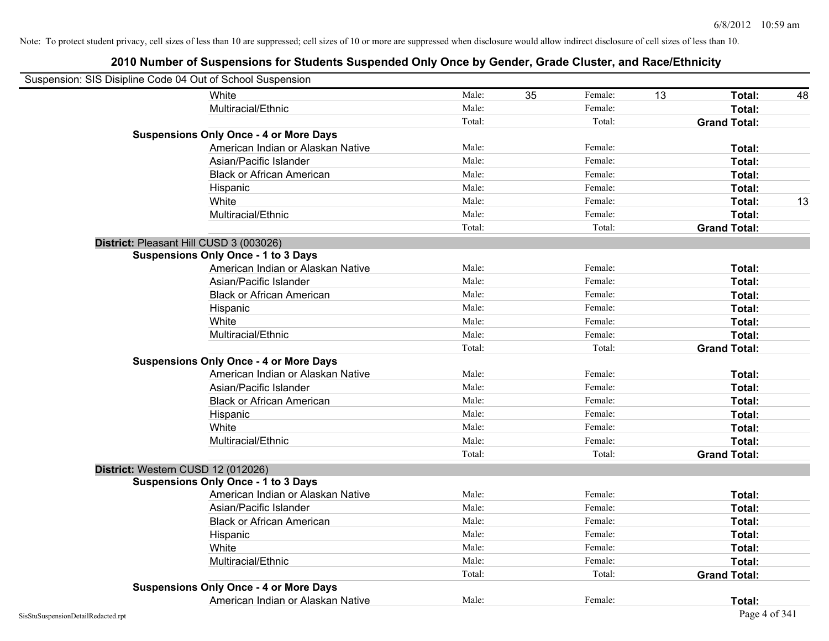| Suspension: SIS Disipline Code 04 Out of School Suspension |                                               |        |    |         |    |                     |    |
|------------------------------------------------------------|-----------------------------------------------|--------|----|---------|----|---------------------|----|
|                                                            | White                                         | Male:  | 35 | Female: | 13 | Total:              | 48 |
|                                                            | Multiracial/Ethnic                            | Male:  |    | Female: |    | Total:              |    |
|                                                            |                                               | Total: |    | Total:  |    | <b>Grand Total:</b> |    |
|                                                            | <b>Suspensions Only Once - 4 or More Days</b> |        |    |         |    |                     |    |
|                                                            | American Indian or Alaskan Native             | Male:  |    | Female: |    | Total:              |    |
|                                                            | Asian/Pacific Islander                        | Male:  |    | Female: |    | Total:              |    |
|                                                            | <b>Black or African American</b>              | Male:  |    | Female: |    | Total:              |    |
|                                                            | Hispanic                                      | Male:  |    | Female: |    | Total:              |    |
|                                                            | White                                         | Male:  |    | Female: |    | Total:              | 13 |
|                                                            | Multiracial/Ethnic                            | Male:  |    | Female: |    | Total:              |    |
|                                                            |                                               | Total: |    | Total:  |    | <b>Grand Total:</b> |    |
| District: Pleasant Hill CUSD 3 (003026)                    |                                               |        |    |         |    |                     |    |
|                                                            | <b>Suspensions Only Once - 1 to 3 Days</b>    |        |    |         |    |                     |    |
|                                                            | American Indian or Alaskan Native             | Male:  |    | Female: |    | Total:              |    |
|                                                            | Asian/Pacific Islander                        | Male:  |    | Female: |    | Total:              |    |
|                                                            | <b>Black or African American</b>              | Male:  |    | Female: |    | Total:              |    |
|                                                            | Hispanic                                      | Male:  |    | Female: |    | Total:              |    |
|                                                            | White                                         | Male:  |    | Female: |    | Total:              |    |
|                                                            | Multiracial/Ethnic                            | Male:  |    | Female: |    | Total:              |    |
|                                                            |                                               | Total: |    | Total:  |    | <b>Grand Total:</b> |    |
|                                                            | <b>Suspensions Only Once - 4 or More Days</b> |        |    |         |    |                     |    |
|                                                            | American Indian or Alaskan Native             | Male:  |    | Female: |    | Total:              |    |
|                                                            | Asian/Pacific Islander                        | Male:  |    | Female: |    | Total:              |    |
|                                                            | <b>Black or African American</b>              | Male:  |    | Female: |    | Total:              |    |
|                                                            | Hispanic                                      | Male:  |    | Female: |    | Total:              |    |
|                                                            | White                                         | Male:  |    | Female: |    | Total:              |    |
|                                                            | Multiracial/Ethnic                            | Male:  |    | Female: |    | Total:              |    |
|                                                            |                                               | Total: |    | Total:  |    | <b>Grand Total:</b> |    |
| District: Western CUSD 12 (012026)                         |                                               |        |    |         |    |                     |    |
|                                                            | <b>Suspensions Only Once - 1 to 3 Days</b>    |        |    |         |    |                     |    |
|                                                            | American Indian or Alaskan Native             | Male:  |    | Female: |    | Total:              |    |
|                                                            | Asian/Pacific Islander                        | Male:  |    | Female: |    | Total:              |    |
|                                                            | <b>Black or African American</b>              | Male:  |    | Female: |    | Total:              |    |
|                                                            | Hispanic                                      | Male:  |    | Female: |    | Total:              |    |
|                                                            | White                                         | Male:  |    | Female: |    | Total:              |    |
|                                                            | Multiracial/Ethnic                            | Male:  |    | Female: |    | Total:              |    |
|                                                            |                                               | Total: |    | Total:  |    | <b>Grand Total:</b> |    |
|                                                            | <b>Suspensions Only Once - 4 or More Days</b> |        |    |         |    |                     |    |
|                                                            | American Indian or Alaskan Native             | Male:  |    | Female: |    | Total:              |    |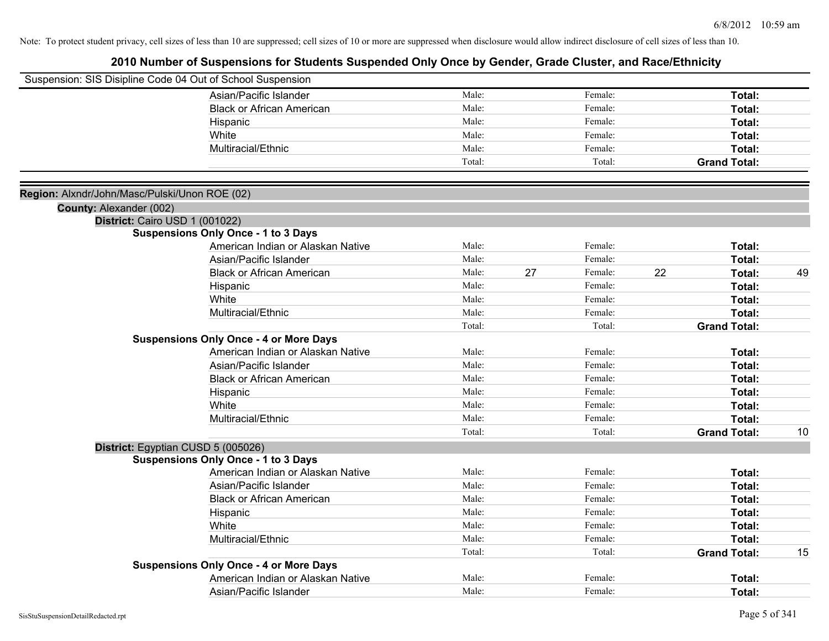|                                               | Suspension: SIS Disipline Code 04 Out of School Suspension                   |        |    |         |    |                     |    |
|-----------------------------------------------|------------------------------------------------------------------------------|--------|----|---------|----|---------------------|----|
|                                               | Asian/Pacific Islander                                                       | Male:  |    | Female: |    | Total:              |    |
|                                               | <b>Black or African American</b>                                             | Male:  |    | Female: |    | Total:              |    |
|                                               | Hispanic                                                                     | Male:  |    | Female: |    | Total:              |    |
|                                               | White                                                                        | Male:  |    | Female: |    | Total:              |    |
|                                               | Multiracial/Ethnic                                                           | Male:  |    | Female: |    | Total:              |    |
|                                               |                                                                              | Total: |    | Total:  |    | <b>Grand Total:</b> |    |
|                                               |                                                                              |        |    |         |    |                     |    |
| Region: Alxndr/John/Masc/Pulski/Unon ROE (02) |                                                                              |        |    |         |    |                     |    |
| County: Alexander (002)                       |                                                                              |        |    |         |    |                     |    |
|                                               | District: Cairo USD 1 (001022)<br><b>Suspensions Only Once - 1 to 3 Days</b> |        |    |         |    |                     |    |
|                                               | American Indian or Alaskan Native                                            | Male:  |    | Female: |    | Total:              |    |
|                                               | Asian/Pacific Islander                                                       | Male:  |    | Female: |    | Total:              |    |
|                                               | <b>Black or African American</b>                                             | Male:  | 27 | Female: | 22 | Total:              | 49 |
|                                               |                                                                              | Male:  |    | Female: |    | Total:              |    |
|                                               | Hispanic<br>White                                                            | Male:  |    | Female: |    | Total:              |    |
|                                               | Multiracial/Ethnic                                                           | Male:  |    | Female: |    | Total:              |    |
|                                               |                                                                              | Total: |    | Total:  |    | <b>Grand Total:</b> |    |
|                                               | <b>Suspensions Only Once - 4 or More Days</b>                                |        |    |         |    |                     |    |
|                                               | American Indian or Alaskan Native                                            | Male:  |    | Female: |    | Total:              |    |
|                                               | Asian/Pacific Islander                                                       | Male:  |    | Female: |    | Total:              |    |
|                                               | <b>Black or African American</b>                                             | Male:  |    | Female: |    | Total:              |    |
|                                               | Hispanic                                                                     | Male:  |    | Female: |    | Total:              |    |
|                                               | White                                                                        | Male:  |    | Female: |    | Total:              |    |
|                                               | Multiracial/Ethnic                                                           | Male:  |    | Female: |    | Total:              |    |
|                                               |                                                                              | Total: |    | Total:  |    | <b>Grand Total:</b> | 10 |
|                                               | District: Egyptian CUSD 5 (005026)                                           |        |    |         |    |                     |    |
|                                               | <b>Suspensions Only Once - 1 to 3 Days</b>                                   |        |    |         |    |                     |    |
|                                               | American Indian or Alaskan Native                                            | Male:  |    | Female: |    | Total:              |    |
|                                               | Asian/Pacific Islander                                                       | Male:  |    | Female: |    | Total:              |    |
|                                               | <b>Black or African American</b>                                             | Male:  |    | Female: |    | Total:              |    |
|                                               | Hispanic                                                                     | Male:  |    | Female: |    | Total:              |    |
|                                               | White                                                                        | Male:  |    | Female: |    | Total:              |    |
|                                               | Multiracial/Ethnic                                                           | Male:  |    | Female: |    | Total:              |    |
|                                               |                                                                              | Total: |    | Total:  |    | <b>Grand Total:</b> | 15 |
|                                               | <b>Suspensions Only Once - 4 or More Days</b>                                |        |    |         |    |                     |    |
|                                               | American Indian or Alaskan Native                                            | Male:  |    | Female: |    | <b>Total:</b>       |    |
|                                               | Asian/Pacific Islander                                                       | Male:  |    | Female: |    | Total:              |    |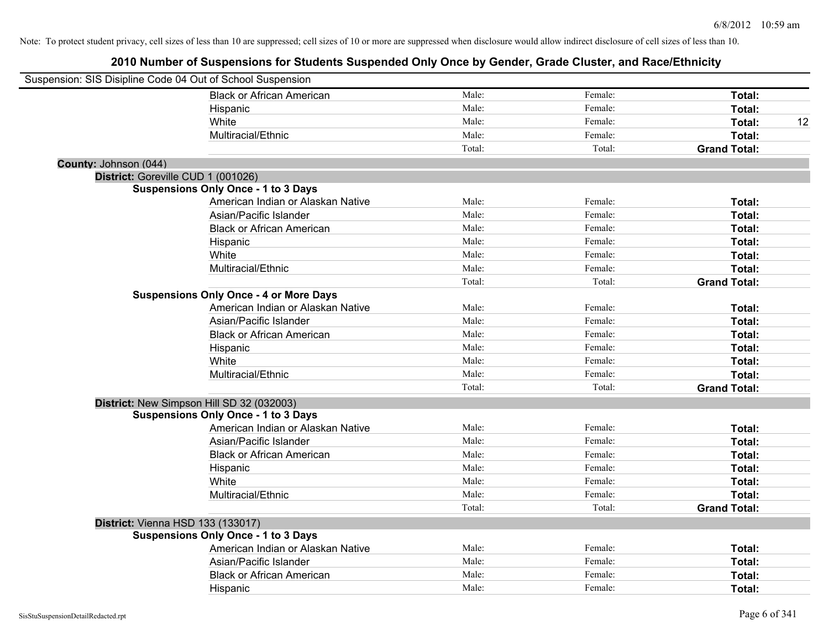|                       | Suspension: SIS Disipline Code 04 Out of School Suspension                              |        |         |                     |    |
|-----------------------|-----------------------------------------------------------------------------------------|--------|---------|---------------------|----|
|                       | <b>Black or African American</b>                                                        | Male:  | Female: | Total:              |    |
|                       | Hispanic                                                                                | Male:  | Female: | Total:              |    |
|                       | White                                                                                   | Male:  | Female: | Total:              | 12 |
|                       | Multiracial/Ethnic                                                                      | Male:  | Female: | Total:              |    |
|                       |                                                                                         | Total: | Total:  | <b>Grand Total:</b> |    |
| County: Johnson (044) |                                                                                         |        |         |                     |    |
|                       | District: Goreville CUD 1 (001026)                                                      |        |         |                     |    |
|                       | <b>Suspensions Only Once - 1 to 3 Days</b>                                              |        |         |                     |    |
|                       | American Indian or Alaskan Native                                                       | Male:  | Female: | Total:              |    |
|                       | Asian/Pacific Islander                                                                  | Male:  | Female: | Total:              |    |
|                       | <b>Black or African American</b>                                                        | Male:  | Female: | Total:              |    |
|                       | Hispanic                                                                                | Male:  | Female: | Total:              |    |
|                       | White                                                                                   | Male:  | Female: | Total:              |    |
|                       | Multiracial/Ethnic                                                                      | Male:  | Female: | Total:              |    |
|                       |                                                                                         | Total: | Total:  | <b>Grand Total:</b> |    |
|                       | <b>Suspensions Only Once - 4 or More Days</b>                                           |        |         |                     |    |
|                       | American Indian or Alaskan Native                                                       | Male:  | Female: | Total:              |    |
|                       | Asian/Pacific Islander                                                                  | Male:  | Female: | Total:              |    |
|                       | <b>Black or African American</b>                                                        | Male:  | Female: | Total:              |    |
|                       | Hispanic                                                                                | Male:  | Female: | Total:              |    |
|                       | White                                                                                   | Male:  | Female: | Total:              |    |
|                       | Multiracial/Ethnic                                                                      | Male:  | Female: | Total:              |    |
|                       |                                                                                         | Total: | Total:  | <b>Grand Total:</b> |    |
|                       | District: New Simpson Hill SD 32 (032003)<br><b>Suspensions Only Once - 1 to 3 Days</b> |        |         |                     |    |
|                       | American Indian or Alaskan Native                                                       | Male:  | Female: | Total:              |    |
|                       | Asian/Pacific Islander                                                                  | Male:  | Female: | Total:              |    |
|                       | <b>Black or African American</b>                                                        | Male:  | Female: | Total:              |    |
|                       | Hispanic                                                                                | Male:  | Female: | Total:              |    |
|                       | White                                                                                   | Male:  | Female: | Total:              |    |
|                       | Multiracial/Ethnic                                                                      | Male:  | Female: | Total:              |    |
|                       |                                                                                         | Total: | Total:  | <b>Grand Total:</b> |    |
|                       | District: Vienna HSD 133 (133017)                                                       |        |         |                     |    |
|                       | <b>Suspensions Only Once - 1 to 3 Days</b>                                              |        |         |                     |    |
|                       | American Indian or Alaskan Native                                                       | Male:  | Female: | Total:              |    |
|                       | Asian/Pacific Islander                                                                  | Male:  | Female: | Total:              |    |
|                       | <b>Black or African American</b>                                                        | Male:  | Female: | Total:              |    |
|                       | Hispanic                                                                                | Male:  | Female: | Total:              |    |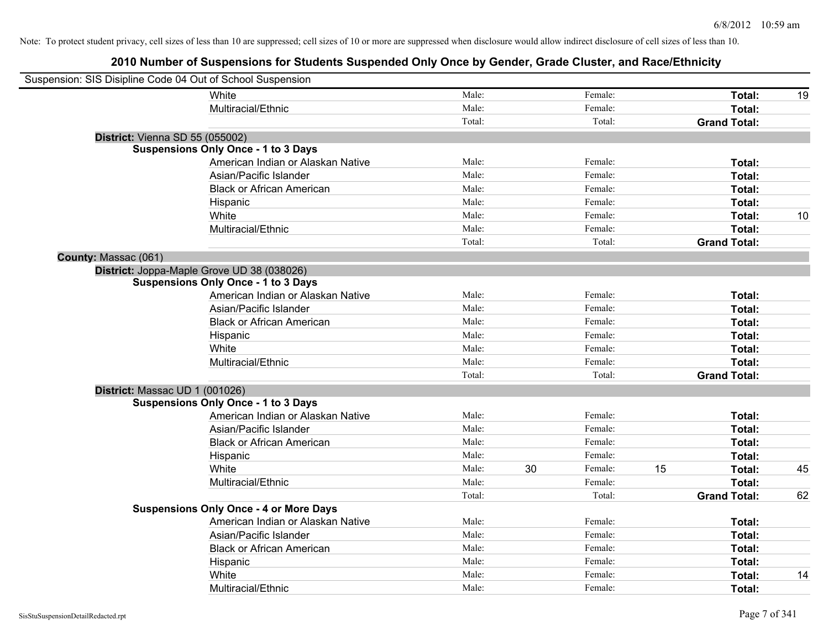| Suspension: SIS Disipline Code 04 Out of School Suspension |                                               |        |    |         |    |                     |    |
|------------------------------------------------------------|-----------------------------------------------|--------|----|---------|----|---------------------|----|
|                                                            | White                                         | Male:  |    | Female: |    | Total:              | 19 |
|                                                            | Multiracial/Ethnic                            | Male:  |    | Female: |    | Total:              |    |
|                                                            |                                               | Total: |    | Total:  |    | <b>Grand Total:</b> |    |
| District: Vienna SD 55 (055002)                            |                                               |        |    |         |    |                     |    |
|                                                            | <b>Suspensions Only Once - 1 to 3 Days</b>    |        |    |         |    |                     |    |
|                                                            | American Indian or Alaskan Native             | Male:  |    | Female: |    | Total:              |    |
|                                                            | Asian/Pacific Islander                        | Male:  |    | Female: |    | Total:              |    |
|                                                            | <b>Black or African American</b>              | Male:  |    | Female: |    | Total:              |    |
|                                                            | Hispanic                                      | Male:  |    | Female: |    | Total:              |    |
|                                                            | White                                         | Male:  |    | Female: |    | Total:              | 10 |
|                                                            | Multiracial/Ethnic                            | Male:  |    | Female: |    | Total:              |    |
|                                                            |                                               | Total: |    | Total:  |    | <b>Grand Total:</b> |    |
| County: Massac (061)                                       |                                               |        |    |         |    |                     |    |
|                                                            | District: Joppa-Maple Grove UD 38 (038026)    |        |    |         |    |                     |    |
|                                                            | <b>Suspensions Only Once - 1 to 3 Days</b>    |        |    |         |    |                     |    |
|                                                            | American Indian or Alaskan Native             | Male:  |    | Female: |    | Total:              |    |
|                                                            | Asian/Pacific Islander                        | Male:  |    | Female: |    | Total:              |    |
|                                                            | <b>Black or African American</b>              | Male:  |    | Female: |    | Total:              |    |
|                                                            | Hispanic                                      | Male:  |    | Female: |    | Total:              |    |
|                                                            | White                                         | Male:  |    | Female: |    | Total:              |    |
|                                                            | Multiracial/Ethnic                            | Male:  |    | Female: |    | Total:              |    |
|                                                            |                                               | Total: |    | Total:  |    | <b>Grand Total:</b> |    |
| District: Massac UD 1 (001026)                             |                                               |        |    |         |    |                     |    |
|                                                            | <b>Suspensions Only Once - 1 to 3 Days</b>    |        |    |         |    |                     |    |
|                                                            | American Indian or Alaskan Native             | Male:  |    | Female: |    | Total:              |    |
|                                                            | Asian/Pacific Islander                        | Male:  |    | Female: |    | Total:              |    |
|                                                            | <b>Black or African American</b>              | Male:  |    | Female: |    | Total:              |    |
|                                                            | Hispanic                                      | Male:  |    | Female: |    | Total:              |    |
|                                                            | White                                         | Male:  | 30 | Female: | 15 | Total:              | 45 |
|                                                            | Multiracial/Ethnic                            | Male:  |    | Female: |    | Total:              |    |
|                                                            |                                               | Total: |    | Total:  |    | <b>Grand Total:</b> | 62 |
|                                                            | <b>Suspensions Only Once - 4 or More Days</b> |        |    |         |    |                     |    |
|                                                            | American Indian or Alaskan Native             | Male:  |    | Female: |    | Total:              |    |
|                                                            | Asian/Pacific Islander                        | Male:  |    | Female: |    | Total:              |    |
|                                                            | <b>Black or African American</b>              | Male:  |    | Female: |    | Total:              |    |
|                                                            | Hispanic                                      | Male:  |    | Female: |    | Total:              |    |
|                                                            | White                                         | Male:  |    | Female: |    | <b>Total:</b>       | 14 |
|                                                            | Multiracial/Ethnic                            | Male:  |    | Female: |    | Total:              |    |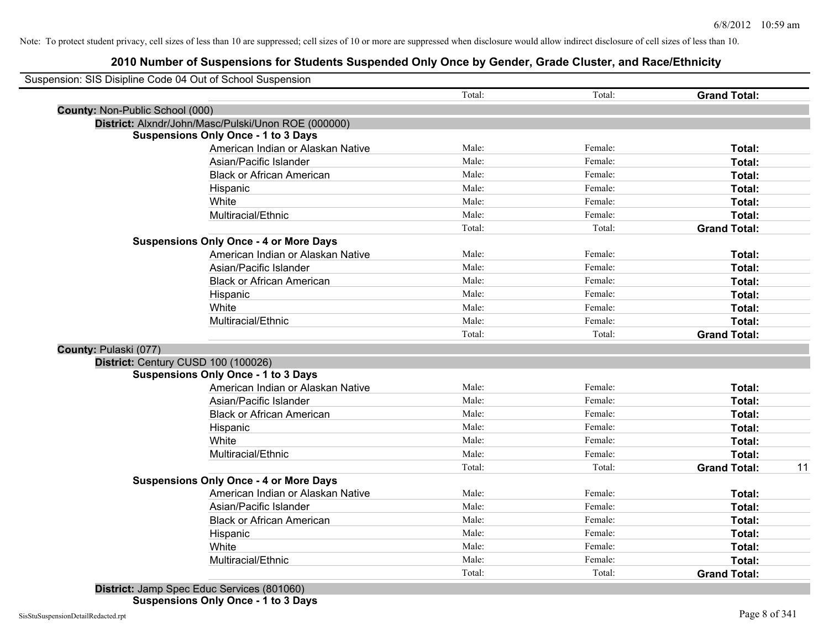|                                 | Suspension: SIS Disipline Code 04 Out of School Suspension |        |         |                     |    |
|---------------------------------|------------------------------------------------------------|--------|---------|---------------------|----|
|                                 |                                                            | Total: | Total:  | <b>Grand Total:</b> |    |
| County: Non-Public School (000) |                                                            |        |         |                     |    |
|                                 | District: Alxndr/John/Masc/Pulski/Unon ROE (000000)        |        |         |                     |    |
|                                 | <b>Suspensions Only Once - 1 to 3 Days</b>                 |        |         |                     |    |
|                                 | American Indian or Alaskan Native                          | Male:  | Female: | Total:              |    |
|                                 | Asian/Pacific Islander                                     | Male:  | Female: | Total:              |    |
|                                 | <b>Black or African American</b>                           | Male:  | Female: | Total:              |    |
|                                 | Hispanic                                                   | Male:  | Female: | Total:              |    |
|                                 | White                                                      | Male:  | Female: | Total:              |    |
|                                 | Multiracial/Ethnic                                         | Male:  | Female: | Total:              |    |
|                                 |                                                            | Total: | Total:  | <b>Grand Total:</b> |    |
|                                 | <b>Suspensions Only Once - 4 or More Days</b>              |        |         |                     |    |
|                                 | American Indian or Alaskan Native                          | Male:  | Female: | Total:              |    |
|                                 | Asian/Pacific Islander                                     | Male:  | Female: | Total:              |    |
|                                 | <b>Black or African American</b>                           | Male:  | Female: | Total:              |    |
|                                 | Hispanic                                                   | Male:  | Female: | Total:              |    |
|                                 | White                                                      | Male:  | Female: | Total:              |    |
|                                 | Multiracial/Ethnic                                         | Male:  | Female: | Total:              |    |
|                                 |                                                            | Total: | Total:  | <b>Grand Total:</b> |    |
| County: Pulaski (077)           |                                                            |        |         |                     |    |
|                                 | District: Century CUSD 100 (100026)                        |        |         |                     |    |
|                                 | <b>Suspensions Only Once - 1 to 3 Days</b>                 |        |         |                     |    |
|                                 | American Indian or Alaskan Native                          | Male:  | Female: | Total:              |    |
|                                 | Asian/Pacific Islander                                     | Male:  | Female: | Total:              |    |
|                                 | <b>Black or African American</b>                           | Male:  | Female: | Total:              |    |
|                                 | Hispanic                                                   | Male:  | Female: | Total:              |    |
|                                 | White                                                      | Male:  | Female: | Total:              |    |
|                                 | Multiracial/Ethnic                                         | Male:  | Female: | Total:              |    |
|                                 |                                                            | Total: | Total:  | <b>Grand Total:</b> | 11 |
|                                 | <b>Suspensions Only Once - 4 or More Days</b>              |        |         |                     |    |
|                                 | American Indian or Alaskan Native                          | Male:  | Female: | Total:              |    |
|                                 | Asian/Pacific Islander                                     | Male:  | Female: | Total:              |    |
|                                 | <b>Black or African American</b>                           | Male:  | Female: | Total:              |    |
|                                 | Hispanic                                                   | Male:  | Female: | Total:              |    |
|                                 | White                                                      | Male:  | Female: | Total:              |    |
|                                 | Multiracial/Ethnic                                         | Male:  | Female: | Total:              |    |
|                                 |                                                            | Total: | Total:  | <b>Grand Total:</b> |    |
|                                 |                                                            |        |         |                     |    |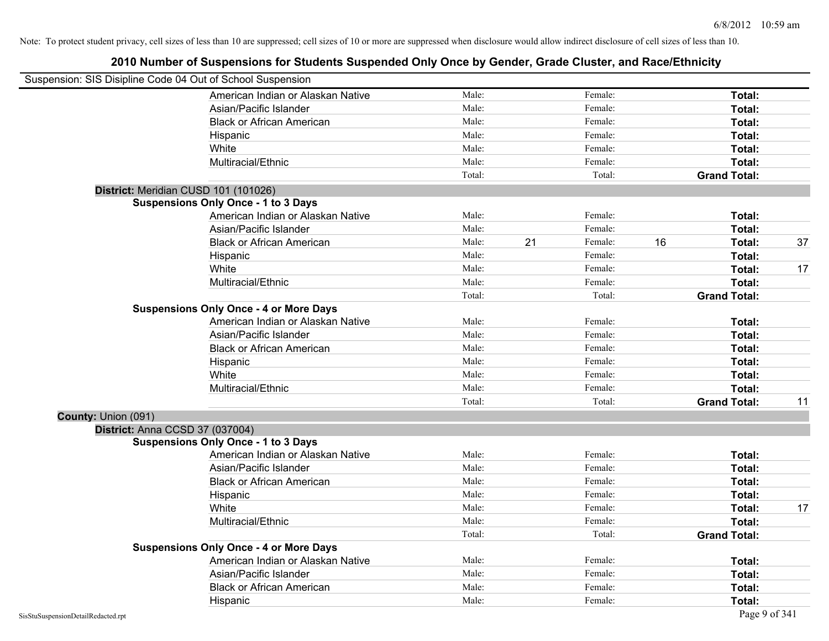|                     | Suspension: SIS Disipline Code 04 Out of School Suspension |        |    |         |    |                     |    |
|---------------------|------------------------------------------------------------|--------|----|---------|----|---------------------|----|
|                     | American Indian or Alaskan Native                          | Male:  |    | Female: |    | Total:              |    |
|                     | Asian/Pacific Islander                                     | Male:  |    | Female: |    | Total:              |    |
|                     | <b>Black or African American</b>                           | Male:  |    | Female: |    | Total:              |    |
|                     | Hispanic                                                   | Male:  |    | Female: |    | Total:              |    |
|                     | White                                                      | Male:  |    | Female: |    | Total:              |    |
|                     | Multiracial/Ethnic                                         | Male:  |    | Female: |    | Total:              |    |
|                     |                                                            | Total: |    | Total:  |    | <b>Grand Total:</b> |    |
|                     | District: Meridian CUSD 101 (101026)                       |        |    |         |    |                     |    |
|                     | <b>Suspensions Only Once - 1 to 3 Days</b>                 |        |    |         |    |                     |    |
|                     | American Indian or Alaskan Native                          | Male:  |    | Female: |    | Total:              |    |
|                     | Asian/Pacific Islander                                     | Male:  |    | Female: |    | Total:              |    |
|                     | <b>Black or African American</b>                           | Male:  | 21 | Female: | 16 | Total:              | 37 |
|                     | Hispanic                                                   | Male:  |    | Female: |    | Total:              |    |
|                     | White                                                      | Male:  |    | Female: |    | Total:              | 17 |
|                     | Multiracial/Ethnic                                         | Male:  |    | Female: |    | Total:              |    |
|                     |                                                            | Total: |    | Total:  |    | <b>Grand Total:</b> |    |
|                     | <b>Suspensions Only Once - 4 or More Days</b>              |        |    |         |    |                     |    |
|                     | American Indian or Alaskan Native                          | Male:  |    | Female: |    | Total:              |    |
|                     | Asian/Pacific Islander                                     | Male:  |    | Female: |    | Total:              |    |
|                     | <b>Black or African American</b>                           | Male:  |    | Female: |    | Total:              |    |
|                     | Hispanic                                                   | Male:  |    | Female: |    | Total:              |    |
|                     | White                                                      | Male:  |    | Female: |    | Total:              |    |
|                     | Multiracial/Ethnic                                         | Male:  |    | Female: |    | Total:              |    |
|                     |                                                            | Total: |    | Total:  |    | <b>Grand Total:</b> | 11 |
| County: Union (091) |                                                            |        |    |         |    |                     |    |
|                     | District: Anna CCSD 37 (037004)                            |        |    |         |    |                     |    |
|                     | <b>Suspensions Only Once - 1 to 3 Days</b>                 |        |    |         |    |                     |    |
|                     | American Indian or Alaskan Native                          | Male:  |    | Female: |    | Total:              |    |
|                     | Asian/Pacific Islander                                     | Male:  |    | Female: |    | Total:              |    |
|                     | <b>Black or African American</b>                           | Male:  |    | Female: |    | Total:              |    |
|                     | Hispanic                                                   | Male:  |    | Female: |    | Total:              |    |
|                     | White                                                      | Male:  |    | Female: |    | Total:              | 17 |
|                     | Multiracial/Ethnic                                         | Male:  |    | Female: |    | Total:              |    |
|                     |                                                            | Total: |    | Total:  |    | <b>Grand Total:</b> |    |
|                     | <b>Suspensions Only Once - 4 or More Days</b>              |        |    |         |    |                     |    |
|                     | American Indian or Alaskan Native                          | Male:  |    | Female: |    | Total:              |    |
|                     | Asian/Pacific Islander                                     | Male:  |    | Female: |    | Total:              |    |
|                     | <b>Black or African American</b>                           | Male:  |    | Female: |    | Total:              |    |
|                     | Hispanic                                                   | Male:  |    | Female: |    | Total:              |    |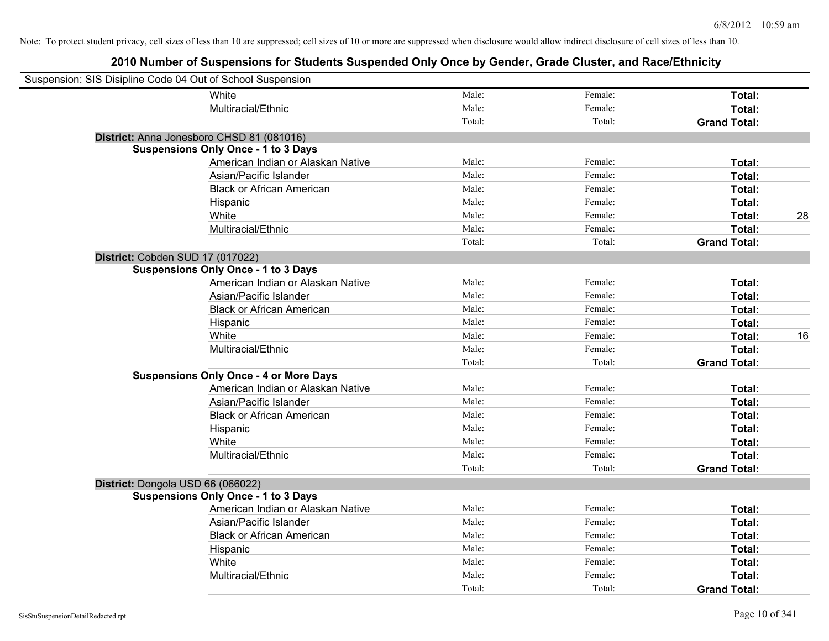| Suspension: SIS Disipline Code 04 Out of School Suspension |                                               |        |         |                     |    |
|------------------------------------------------------------|-----------------------------------------------|--------|---------|---------------------|----|
|                                                            | White                                         | Male:  | Female: | Total:              |    |
|                                                            | Multiracial/Ethnic                            | Male:  | Female: | Total:              |    |
|                                                            |                                               | Total: | Total:  | <b>Grand Total:</b> |    |
|                                                            | District: Anna Jonesboro CHSD 81 (081016)     |        |         |                     |    |
|                                                            | <b>Suspensions Only Once - 1 to 3 Days</b>    |        |         |                     |    |
|                                                            | American Indian or Alaskan Native             | Male:  | Female: | Total:              |    |
|                                                            | Asian/Pacific Islander                        | Male:  | Female: | Total:              |    |
|                                                            | <b>Black or African American</b>              | Male:  | Female: | Total:              |    |
|                                                            | Hispanic                                      | Male:  | Female: | Total:              |    |
|                                                            | White                                         | Male:  | Female: | Total:              | 28 |
|                                                            | Multiracial/Ethnic                            | Male:  | Female: | Total:              |    |
|                                                            |                                               | Total: | Total:  | <b>Grand Total:</b> |    |
| District: Cobden SUD 17 (017022)                           |                                               |        |         |                     |    |
|                                                            | <b>Suspensions Only Once - 1 to 3 Days</b>    |        |         |                     |    |
|                                                            | American Indian or Alaskan Native             | Male:  | Female: | Total:              |    |
|                                                            | Asian/Pacific Islander                        | Male:  | Female: | Total:              |    |
|                                                            | <b>Black or African American</b>              | Male:  | Female: | Total:              |    |
|                                                            | Hispanic                                      | Male:  | Female: | Total:              |    |
|                                                            | White                                         | Male:  | Female: | Total:              | 16 |
|                                                            | Multiracial/Ethnic                            | Male:  | Female: | Total:              |    |
|                                                            |                                               | Total: | Total:  | <b>Grand Total:</b> |    |
|                                                            | <b>Suspensions Only Once - 4 or More Days</b> |        |         |                     |    |
|                                                            | American Indian or Alaskan Native             | Male:  | Female: | Total:              |    |
|                                                            | Asian/Pacific Islander                        | Male:  | Female: | Total:              |    |
|                                                            | <b>Black or African American</b>              | Male:  | Female: | Total:              |    |
|                                                            | Hispanic                                      | Male:  | Female: | Total:              |    |
|                                                            | White                                         | Male:  | Female: | Total:              |    |
|                                                            | Multiracial/Ethnic                            | Male:  | Female: | Total:              |    |
|                                                            |                                               | Total: | Total:  | <b>Grand Total:</b> |    |
| District: Dongola USD 66 (066022)                          |                                               |        |         |                     |    |
|                                                            | <b>Suspensions Only Once - 1 to 3 Days</b>    |        |         |                     |    |
|                                                            | American Indian or Alaskan Native             | Male:  | Female: | Total:              |    |
|                                                            | Asian/Pacific Islander                        | Male:  | Female: | Total:              |    |
|                                                            | <b>Black or African American</b>              | Male:  | Female: | Total:              |    |
|                                                            | Hispanic                                      | Male:  | Female: | Total:              |    |
|                                                            | White                                         | Male:  | Female: | Total:              |    |
|                                                            | Multiracial/Ethnic                            | Male:  | Female: | Total:              |    |
|                                                            |                                               | Total: | Total:  | <b>Grand Total:</b> |    |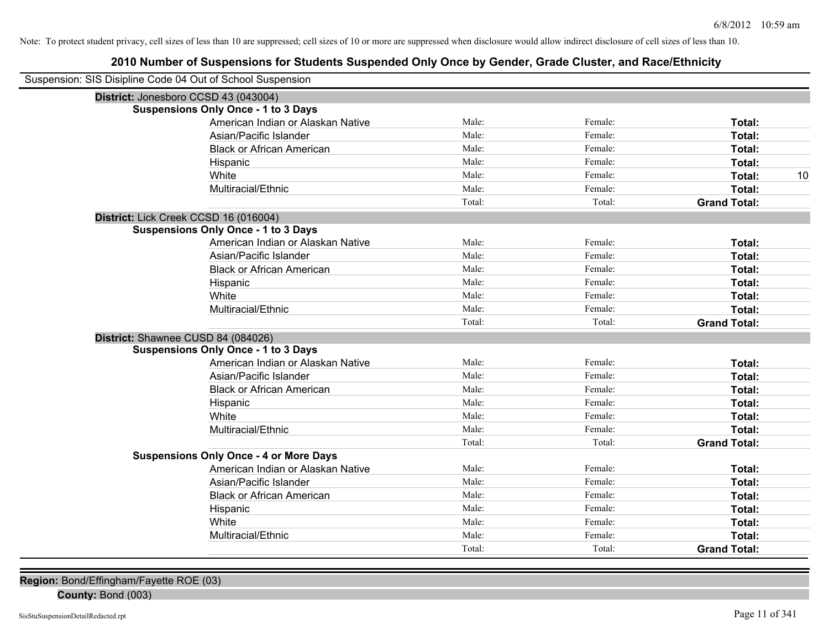# **2010 Number of Suspensions for Students Suspended Only Once by Gender, Grade Cluster, and Race/Ethnicity**

| Suspension: SIS Disipline Code 04 Out of School Suspension |                                               |        |         |                     |
|------------------------------------------------------------|-----------------------------------------------|--------|---------|---------------------|
| District: Jonesboro CCSD 43 (043004)                       |                                               |        |         |                     |
|                                                            | <b>Suspensions Only Once - 1 to 3 Days</b>    |        |         |                     |
|                                                            | American Indian or Alaskan Native             | Male:  | Female: | Total:              |
|                                                            | Asian/Pacific Islander                        | Male:  | Female: | Total:              |
|                                                            | <b>Black or African American</b>              | Male:  | Female: | Total:              |
|                                                            | Hispanic                                      | Male:  | Female: | Total:              |
|                                                            | White                                         | Male:  | Female: | 10<br>Total:        |
|                                                            | Multiracial/Ethnic                            | Male:  | Female: | Total:              |
|                                                            |                                               | Total: | Total:  | <b>Grand Total:</b> |
| District: Lick Creek CCSD 16 (016004)                      |                                               |        |         |                     |
|                                                            | <b>Suspensions Only Once - 1 to 3 Days</b>    |        |         |                     |
|                                                            | American Indian or Alaskan Native             | Male:  | Female: | Total:              |
|                                                            | Asian/Pacific Islander                        | Male:  | Female: | Total:              |
|                                                            | <b>Black or African American</b>              | Male:  | Female: | Total:              |
|                                                            | Hispanic                                      | Male:  | Female: | Total:              |
|                                                            | White                                         | Male:  | Female: | Total:              |
|                                                            | Multiracial/Ethnic                            | Male:  | Female: | Total:              |
|                                                            |                                               | Total: | Total:  | <b>Grand Total:</b> |
| District: Shawnee CUSD 84 (084026)                         |                                               |        |         |                     |
|                                                            | <b>Suspensions Only Once - 1 to 3 Days</b>    |        |         |                     |
|                                                            | American Indian or Alaskan Native             | Male:  | Female: | Total:              |
|                                                            | Asian/Pacific Islander                        | Male:  | Female: | Total:              |
|                                                            | <b>Black or African American</b>              | Male:  | Female: | Total:              |
|                                                            | Hispanic                                      | Male:  | Female: | Total:              |
|                                                            | White                                         | Male:  | Female: | Total:              |
|                                                            | Multiracial/Ethnic                            | Male:  | Female: | Total:              |
|                                                            |                                               | Total: | Total:  | <b>Grand Total:</b> |
|                                                            | <b>Suspensions Only Once - 4 or More Days</b> |        |         |                     |
|                                                            | American Indian or Alaskan Native             | Male:  | Female: | Total:              |
|                                                            | Asian/Pacific Islander                        | Male:  | Female: | Total:              |
|                                                            | <b>Black or African American</b>              | Male:  | Female: | Total:              |
|                                                            | Hispanic                                      | Male:  | Female: | Total:              |
|                                                            | White                                         | Male:  | Female: | Total:              |
|                                                            | Multiracial/Ethnic                            | Male:  | Female: | Total:              |
|                                                            |                                               | Total: | Total:  | <b>Grand Total:</b> |

**Region:** Bond/Effingham/Fayette ROE (03)

**County:** Bond (003)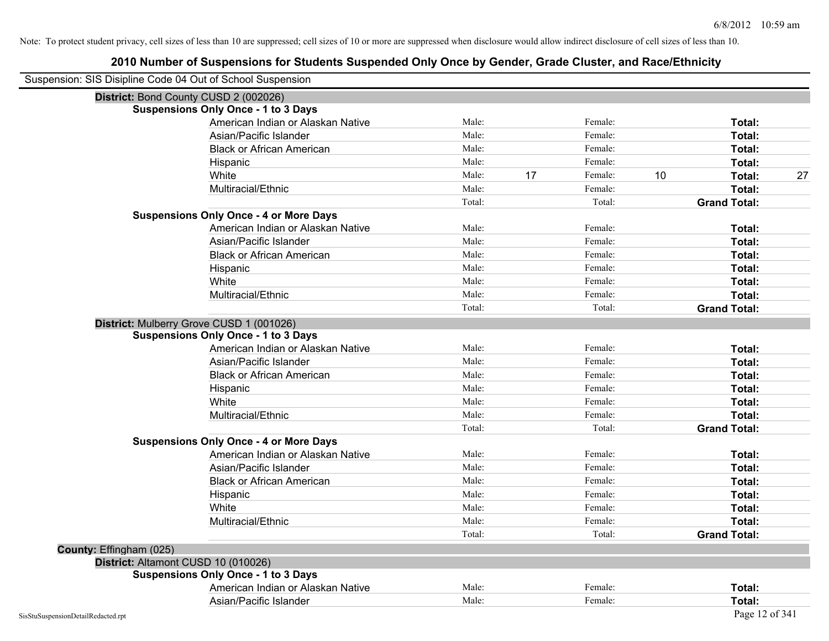| Suspension: SIS Disipline Code 04 Out of School Suspension |                                               |        |    |         |    |                     |    |
|------------------------------------------------------------|-----------------------------------------------|--------|----|---------|----|---------------------|----|
| District: Bond County CUSD 2 (002026)                      |                                               |        |    |         |    |                     |    |
|                                                            | <b>Suspensions Only Once - 1 to 3 Days</b>    |        |    |         |    |                     |    |
|                                                            | American Indian or Alaskan Native             | Male:  |    | Female: |    | Total:              |    |
|                                                            | Asian/Pacific Islander                        | Male:  |    | Female: |    | Total:              |    |
|                                                            | <b>Black or African American</b>              | Male:  |    | Female: |    | Total:              |    |
|                                                            | Hispanic                                      | Male:  |    | Female: |    | Total:              |    |
|                                                            | White                                         | Male:  | 17 | Female: | 10 | Total:              | 27 |
|                                                            | Multiracial/Ethnic                            | Male:  |    | Female: |    | Total:              |    |
|                                                            |                                               | Total: |    | Total:  |    | <b>Grand Total:</b> |    |
|                                                            | <b>Suspensions Only Once - 4 or More Days</b> |        |    |         |    |                     |    |
|                                                            | American Indian or Alaskan Native             | Male:  |    | Female: |    | Total:              |    |
|                                                            | Asian/Pacific Islander                        | Male:  |    | Female: |    | Total:              |    |
|                                                            | <b>Black or African American</b>              | Male:  |    | Female: |    | Total:              |    |
|                                                            | Hispanic                                      | Male:  |    | Female: |    | Total:              |    |
|                                                            | White                                         | Male:  |    | Female: |    | Total:              |    |
|                                                            | Multiracial/Ethnic                            | Male:  |    | Female: |    | Total:              |    |
|                                                            |                                               | Total: |    | Total:  |    | <b>Grand Total:</b> |    |
| District: Mulberry Grove CUSD 1 (001026)                   |                                               |        |    |         |    |                     |    |
|                                                            | <b>Suspensions Only Once - 1 to 3 Days</b>    |        |    |         |    |                     |    |
|                                                            | American Indian or Alaskan Native             | Male:  |    | Female: |    | Total:              |    |
|                                                            | Asian/Pacific Islander                        | Male:  |    | Female: |    | Total:              |    |
|                                                            | <b>Black or African American</b>              | Male:  |    | Female: |    | Total:              |    |
|                                                            | Hispanic                                      | Male:  |    | Female: |    | Total:              |    |
|                                                            | White                                         | Male:  |    | Female: |    | Total:              |    |
|                                                            | Multiracial/Ethnic                            | Male:  |    | Female: |    | Total:              |    |
|                                                            |                                               | Total: |    | Total:  |    | <b>Grand Total:</b> |    |
|                                                            | <b>Suspensions Only Once - 4 or More Days</b> |        |    |         |    |                     |    |
|                                                            | American Indian or Alaskan Native             | Male:  |    | Female: |    | Total:              |    |
|                                                            | Asian/Pacific Islander                        | Male:  |    | Female: |    | Total:              |    |
|                                                            | <b>Black or African American</b>              | Male:  |    | Female: |    | <b>Total:</b>       |    |
|                                                            | Hispanic                                      | Male:  |    | Female: |    | Total:              |    |
|                                                            | White                                         | Male:  |    | Female: |    | Total:              |    |
|                                                            | Multiracial/Ethnic                            | Male:  |    | Female: |    | Total:              |    |
|                                                            |                                               | Total: |    | Total:  |    | <b>Grand Total:</b> |    |
| County: Effingham (025)                                    |                                               |        |    |         |    |                     |    |
| District: Altamont CUSD 10 (010026)                        |                                               |        |    |         |    |                     |    |
|                                                            | <b>Suspensions Only Once - 1 to 3 Days</b>    |        |    |         |    |                     |    |
|                                                            | American Indian or Alaskan Native             | Male:  |    | Female: |    | Total:              |    |
|                                                            | Asian/Pacific Islander                        | Male:  |    | Female: |    | Total:              |    |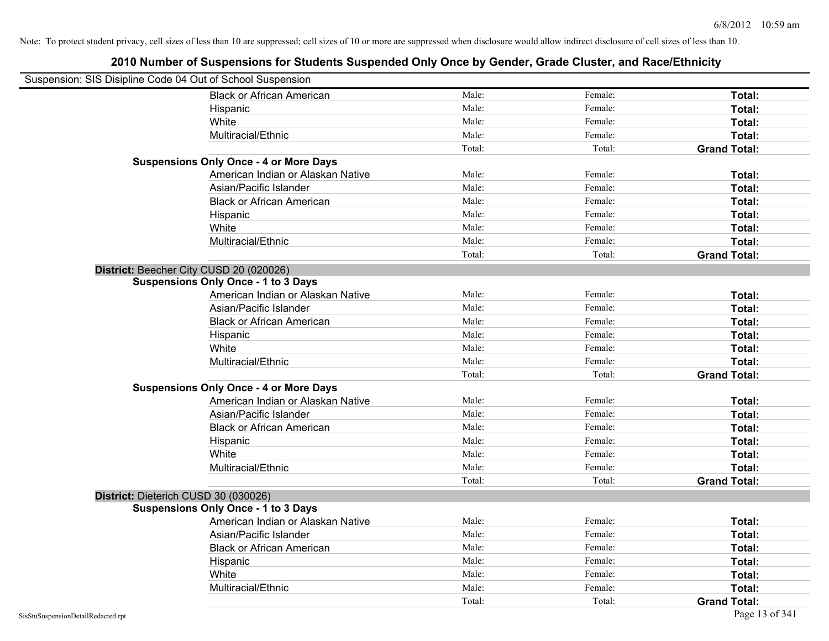| Suspension: SIS Disipline Code 04 Out of School Suspension |                                               |        |         |                     |
|------------------------------------------------------------|-----------------------------------------------|--------|---------|---------------------|
|                                                            | <b>Black or African American</b>              | Male:  | Female: | Total:              |
|                                                            | Hispanic                                      | Male:  | Female: | Total:              |
|                                                            | White                                         | Male:  | Female: | Total:              |
|                                                            | Multiracial/Ethnic                            | Male:  | Female: | Total:              |
|                                                            |                                               | Total: | Total:  | <b>Grand Total:</b> |
|                                                            | <b>Suspensions Only Once - 4 or More Days</b> |        |         |                     |
|                                                            | American Indian or Alaskan Native             | Male:  | Female: | Total:              |
|                                                            | Asian/Pacific Islander                        | Male:  | Female: | Total:              |
|                                                            | <b>Black or African American</b>              | Male:  | Female: | Total:              |
|                                                            | Hispanic                                      | Male:  | Female: | Total:              |
|                                                            | White                                         | Male:  | Female: | Total:              |
|                                                            | Multiracial/Ethnic                            | Male:  | Female: | Total:              |
|                                                            |                                               | Total: | Total:  | <b>Grand Total:</b> |
| District: Beecher City CUSD 20 (020026)                    |                                               |        |         |                     |
|                                                            | <b>Suspensions Only Once - 1 to 3 Days</b>    |        |         |                     |
|                                                            | American Indian or Alaskan Native             | Male:  | Female: | Total:              |
|                                                            | Asian/Pacific Islander                        | Male:  | Female: | Total:              |
|                                                            | <b>Black or African American</b>              | Male:  | Female: | Total:              |
|                                                            | Hispanic                                      | Male:  | Female: | Total:              |
|                                                            | White                                         | Male:  | Female: | Total:              |
|                                                            | Multiracial/Ethnic                            | Male:  | Female: | Total:              |
|                                                            |                                               | Total: | Total:  | <b>Grand Total:</b> |
|                                                            | <b>Suspensions Only Once - 4 or More Days</b> |        |         |                     |
|                                                            | American Indian or Alaskan Native             | Male:  | Female: | Total:              |
|                                                            | Asian/Pacific Islander                        | Male:  | Female: | Total:              |
|                                                            | <b>Black or African American</b>              | Male:  | Female: | Total:              |
|                                                            | Hispanic                                      | Male:  | Female: | Total:              |
|                                                            | White                                         | Male:  | Female: | Total:              |
|                                                            | Multiracial/Ethnic                            | Male:  | Female: | Total:              |
|                                                            |                                               | Total: | Total:  | <b>Grand Total:</b> |
| District: Dieterich CUSD 30 (030026)                       |                                               |        |         |                     |
|                                                            | <b>Suspensions Only Once - 1 to 3 Days</b>    |        |         |                     |
|                                                            | American Indian or Alaskan Native             | Male:  | Female: | Total:              |
|                                                            | Asian/Pacific Islander                        | Male:  | Female: | Total:              |
|                                                            | <b>Black or African American</b>              | Male:  | Female: | Total:              |
|                                                            | Hispanic                                      | Male:  | Female: | Total:              |
|                                                            | White                                         | Male:  | Female: | Total:              |
|                                                            | Multiracial/Ethnic                            | Male:  | Female: | Total:              |
|                                                            |                                               | Total: | Total:  | <b>Grand Total:</b> |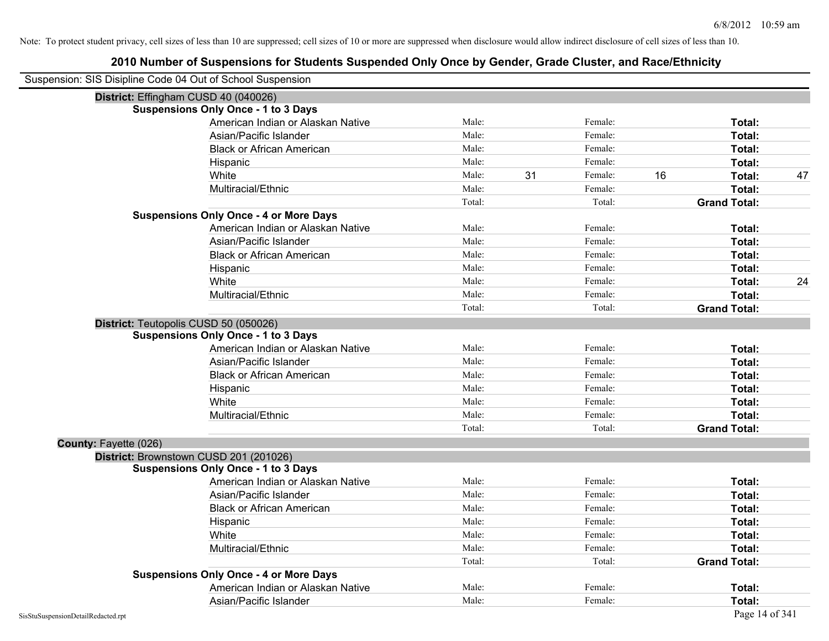| Suspension: SIS Disipline Code 04 Out of School Suspension |        |               |    |                     |    |
|------------------------------------------------------------|--------|---------------|----|---------------------|----|
| District: Effingham CUSD 40 (040026)                       |        |               |    |                     |    |
| <b>Suspensions Only Once - 1 to 3 Days</b>                 |        |               |    |                     |    |
| American Indian or Alaskan Native                          | Male:  | Female:       |    | Total:              |    |
| Asian/Pacific Islander                                     | Male:  | Female:       |    | Total:              |    |
| <b>Black or African American</b>                           | Male:  | Female:       |    | Total:              |    |
| Hispanic                                                   | Male:  | Female:       |    | Total:              |    |
| White                                                      | Male:  | 31<br>Female: | 16 | Total:              | 47 |
| Multiracial/Ethnic                                         | Male:  | Female:       |    | Total:              |    |
|                                                            | Total: | Total:        |    | <b>Grand Total:</b> |    |
| <b>Suspensions Only Once - 4 or More Days</b>              |        |               |    |                     |    |
| American Indian or Alaskan Native                          | Male:  | Female:       |    | Total:              |    |
| Asian/Pacific Islander                                     | Male:  | Female:       |    | Total:              |    |
| <b>Black or African American</b>                           | Male:  | Female:       |    | Total:              |    |
| Hispanic                                                   | Male:  | Female:       |    | Total:              |    |
| White                                                      | Male:  | Female:       |    | Total:              | 24 |
| Multiracial/Ethnic                                         | Male:  | Female:       |    | Total:              |    |
|                                                            | Total: | Total:        |    | <b>Grand Total:</b> |    |
| District: Teutopolis CUSD 50 (050026)                      |        |               |    |                     |    |
| <b>Suspensions Only Once - 1 to 3 Days</b>                 |        |               |    |                     |    |
| American Indian or Alaskan Native                          | Male:  | Female:       |    | Total:              |    |
| Asian/Pacific Islander                                     | Male:  | Female:       |    | Total:              |    |
| <b>Black or African American</b>                           | Male:  | Female:       |    | Total:              |    |
| Hispanic                                                   | Male:  | Female:       |    | Total:              |    |
| White                                                      | Male:  | Female:       |    | Total:              |    |
| Multiracial/Ethnic                                         | Male:  | Female:       |    | Total:              |    |
|                                                            | Total: | Total:        |    | <b>Grand Total:</b> |    |
| County: Fayette (026)                                      |        |               |    |                     |    |
| District: Brownstown CUSD 201 (201026)                     |        |               |    |                     |    |
| <b>Suspensions Only Once - 1 to 3 Days</b>                 |        |               |    |                     |    |
| American Indian or Alaskan Native                          | Male:  | Female:       |    | Total:              |    |
| Asian/Pacific Islander                                     | Male:  | Female:       |    | Total:              |    |
| <b>Black or African American</b>                           | Male:  | Female:       |    | Total:              |    |
| Hispanic                                                   | Male:  | Female:       |    | Total:              |    |
| White                                                      | Male:  | Female:       |    | Total:              |    |
| Multiracial/Ethnic                                         | Male:  | Female:       |    | Total:              |    |
|                                                            | Total: | Total:        |    | <b>Grand Total:</b> |    |
| <b>Suspensions Only Once - 4 or More Days</b>              |        |               |    |                     |    |
| American Indian or Alaskan Native                          | Male:  | Female:       |    | Total:              |    |
| Asian/Pacific Islander                                     | Male:  | Female:       |    | Total:              |    |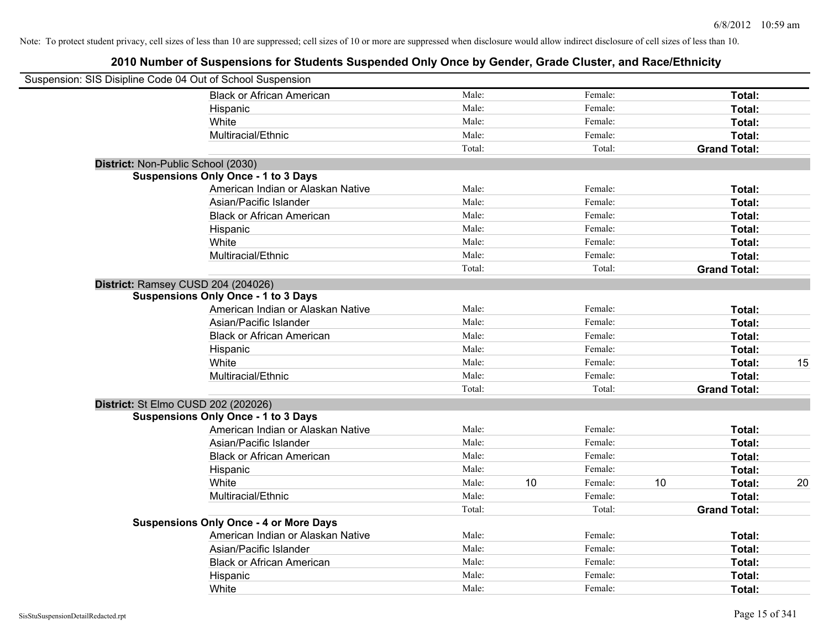| Suspension: SIS Disipline Code 04 Out of School Suspension |                                               |        |    |         |    |                     |    |
|------------------------------------------------------------|-----------------------------------------------|--------|----|---------|----|---------------------|----|
|                                                            | <b>Black or African American</b>              | Male:  |    | Female: |    | Total:              |    |
|                                                            | Hispanic                                      | Male:  |    | Female: |    | Total:              |    |
|                                                            | White                                         | Male:  |    | Female: |    | Total:              |    |
|                                                            | Multiracial/Ethnic                            | Male:  |    | Female: |    | Total:              |    |
|                                                            |                                               | Total: |    | Total:  |    | <b>Grand Total:</b> |    |
| District: Non-Public School (2030)                         |                                               |        |    |         |    |                     |    |
|                                                            | <b>Suspensions Only Once - 1 to 3 Days</b>    |        |    |         |    |                     |    |
|                                                            | American Indian or Alaskan Native             | Male:  |    | Female: |    | Total:              |    |
|                                                            | Asian/Pacific Islander                        | Male:  |    | Female: |    | Total:              |    |
|                                                            | <b>Black or African American</b>              | Male:  |    | Female: |    | Total:              |    |
|                                                            | Hispanic                                      | Male:  |    | Female: |    | Total:              |    |
|                                                            | White                                         | Male:  |    | Female: |    | Total:              |    |
|                                                            | Multiracial/Ethnic                            | Male:  |    | Female: |    | Total:              |    |
|                                                            |                                               | Total: |    | Total:  |    | <b>Grand Total:</b> |    |
| District: Ramsey CUSD 204 (204026)                         |                                               |        |    |         |    |                     |    |
|                                                            | <b>Suspensions Only Once - 1 to 3 Days</b>    |        |    |         |    |                     |    |
|                                                            | American Indian or Alaskan Native             | Male:  |    | Female: |    | Total:              |    |
|                                                            | Asian/Pacific Islander                        | Male:  |    | Female: |    | Total:              |    |
|                                                            | <b>Black or African American</b>              | Male:  |    | Female: |    | Total:              |    |
|                                                            | Hispanic                                      | Male:  |    | Female: |    | Total:              |    |
|                                                            | White                                         | Male:  |    | Female: |    | Total:              | 15 |
|                                                            | Multiracial/Ethnic                            | Male:  |    | Female: |    | Total:              |    |
|                                                            |                                               | Total: |    | Total:  |    | <b>Grand Total:</b> |    |
| District: St Elmo CUSD 202 (202026)                        |                                               |        |    |         |    |                     |    |
|                                                            | <b>Suspensions Only Once - 1 to 3 Days</b>    |        |    |         |    |                     |    |
|                                                            | American Indian or Alaskan Native             | Male:  |    | Female: |    | Total:              |    |
|                                                            | Asian/Pacific Islander                        | Male:  |    | Female: |    | Total:              |    |
|                                                            | <b>Black or African American</b>              | Male:  |    | Female: |    | Total:              |    |
|                                                            | Hispanic                                      | Male:  |    | Female: |    | Total:              |    |
|                                                            | White                                         | Male:  | 10 | Female: | 10 | Total:              | 20 |
|                                                            | Multiracial/Ethnic                            | Male:  |    | Female: |    | Total:              |    |
|                                                            |                                               | Total: |    | Total:  |    | <b>Grand Total:</b> |    |
|                                                            | <b>Suspensions Only Once - 4 or More Days</b> |        |    |         |    |                     |    |
|                                                            | American Indian or Alaskan Native             | Male:  |    | Female: |    | Total:              |    |
|                                                            | Asian/Pacific Islander                        | Male:  |    | Female: |    | Total:              |    |
|                                                            | <b>Black or African American</b>              | Male:  |    | Female: |    | Total:              |    |
|                                                            | Hispanic                                      | Male:  |    | Female: |    | Total:              |    |
|                                                            | White                                         | Male:  |    | Female: |    | Total:              |    |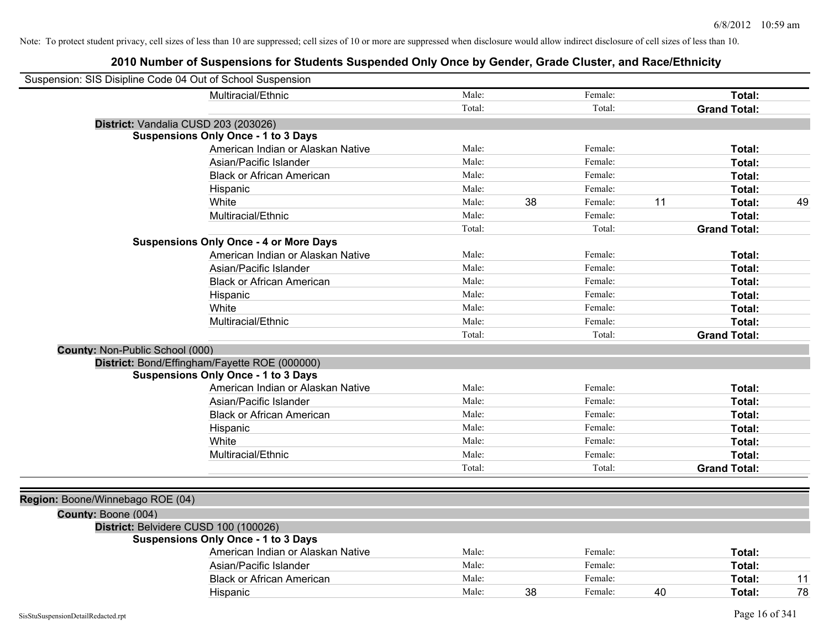| Suspension: SIS Disipline Code 04 Out of School Suspension |        |    |         |    |                     |    |
|------------------------------------------------------------|--------|----|---------|----|---------------------|----|
| Multiracial/Ethnic                                         | Male:  |    | Female: |    | Total:              |    |
|                                                            | Total: |    | Total:  |    | <b>Grand Total:</b> |    |
| District: Vandalia CUSD 203 (203026)                       |        |    |         |    |                     |    |
| <b>Suspensions Only Once - 1 to 3 Days</b>                 |        |    |         |    |                     |    |
| American Indian or Alaskan Native                          | Male:  |    | Female: |    | Total:              |    |
| Asian/Pacific Islander                                     | Male:  |    | Female: |    | Total:              |    |
| <b>Black or African American</b>                           | Male:  |    | Female: |    | Total:              |    |
| Hispanic                                                   | Male:  |    | Female: |    | Total:              |    |
| White                                                      | Male:  | 38 | Female: | 11 | Total:              | 49 |
| Multiracial/Ethnic                                         | Male:  |    | Female: |    | Total:              |    |
|                                                            | Total: |    | Total:  |    | <b>Grand Total:</b> |    |
| <b>Suspensions Only Once - 4 or More Days</b>              |        |    |         |    |                     |    |
| American Indian or Alaskan Native                          | Male:  |    | Female: |    | Total:              |    |
| Asian/Pacific Islander                                     | Male:  |    | Female: |    | Total:              |    |
| <b>Black or African American</b>                           | Male:  |    | Female: |    | Total:              |    |
| Hispanic                                                   | Male:  |    | Female: |    | Total:              |    |
| White                                                      | Male:  |    | Female: |    | Total:              |    |
| Multiracial/Ethnic                                         | Male:  |    | Female: |    | Total:              |    |
|                                                            | Total: |    | Total:  |    | <b>Grand Total:</b> |    |
| County: Non-Public School (000)                            |        |    |         |    |                     |    |
| District: Bond/Effingham/Fayette ROE (000000)              |        |    |         |    |                     |    |
| <b>Suspensions Only Once - 1 to 3 Days</b>                 |        |    |         |    |                     |    |
| American Indian or Alaskan Native                          | Male:  |    | Female: |    | Total:              |    |
| Asian/Pacific Islander                                     | Male:  |    | Female: |    | Total:              |    |
| <b>Black or African American</b>                           | Male:  |    | Female: |    | Total:              |    |
| Hispanic                                                   | Male:  |    | Female: |    | Total:              |    |
| White                                                      | Male:  |    | Female: |    | Total:              |    |
| Multiracial/Ethnic                                         | Male:  |    | Female: |    | Total:              |    |
|                                                            | Total: |    | Total:  |    | <b>Grand Total:</b> |    |
|                                                            |        |    |         |    |                     |    |
| Region: Boone/Winnebago ROE (04)                           |        |    |         |    |                     |    |
| County: Boone (004)                                        |        |    |         |    |                     |    |
| District: Belvidere CUSD 100 (100026)                      |        |    |         |    |                     |    |
| <b>Suspensions Only Once - 1 to 3 Days</b>                 |        |    |         |    |                     |    |
| American Indian or Alaskan Native                          | Male:  |    | Female: |    | Total:              |    |
| Asian/Pacific Islander                                     | Male:  |    | Female: |    | Total:              |    |
| <b>Black or African American</b>                           | Male:  |    | Female: |    | Total:              | 11 |
| Hispanic                                                   | Male:  | 38 | Female: | 40 | <b>Total:</b>       | 78 |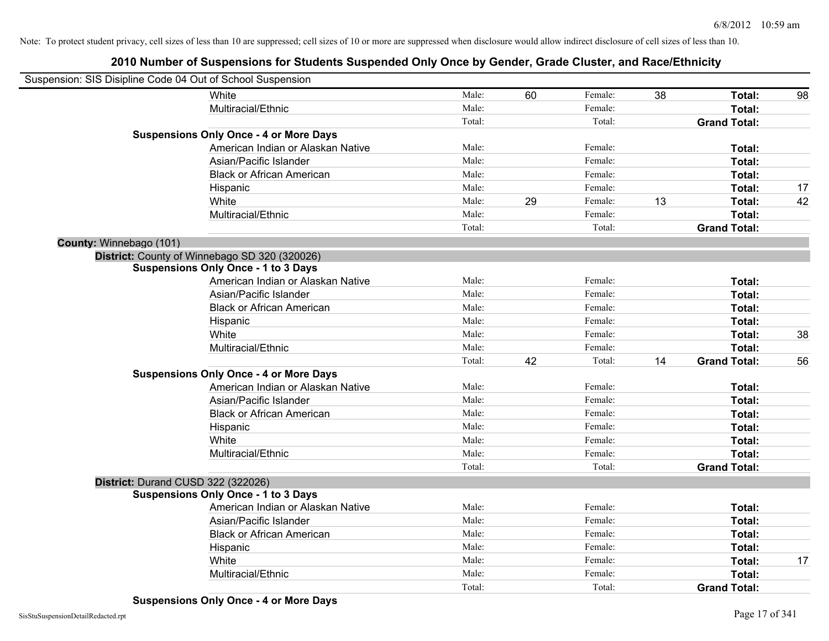| Suspension: SIS Disipline Code 04 Out of School Suspension |                                               |        |    |         |    |                     |    |
|------------------------------------------------------------|-----------------------------------------------|--------|----|---------|----|---------------------|----|
|                                                            | White                                         | Male:  | 60 | Female: | 38 | Total:              | 98 |
|                                                            | Multiracial/Ethnic                            | Male:  |    | Female: |    | Total:              |    |
|                                                            |                                               | Total: |    | Total:  |    | <b>Grand Total:</b> |    |
|                                                            | <b>Suspensions Only Once - 4 or More Days</b> |        |    |         |    |                     |    |
|                                                            | American Indian or Alaskan Native             | Male:  |    | Female: |    | Total:              |    |
|                                                            | Asian/Pacific Islander                        | Male:  |    | Female: |    | Total:              |    |
|                                                            | <b>Black or African American</b>              | Male:  |    | Female: |    | Total:              |    |
|                                                            | Hispanic                                      | Male:  |    | Female: |    | Total:              | 17 |
|                                                            | White                                         | Male:  | 29 | Female: | 13 | Total:              | 42 |
|                                                            | Multiracial/Ethnic                            | Male:  |    | Female: |    | Total:              |    |
|                                                            |                                               | Total: |    | Total:  |    | <b>Grand Total:</b> |    |
| County: Winnebago (101)                                    |                                               |        |    |         |    |                     |    |
|                                                            | District: County of Winnebago SD 320 (320026) |        |    |         |    |                     |    |
|                                                            | <b>Suspensions Only Once - 1 to 3 Days</b>    |        |    |         |    |                     |    |
|                                                            | American Indian or Alaskan Native             | Male:  |    | Female: |    | Total:              |    |
|                                                            | Asian/Pacific Islander                        | Male:  |    | Female: |    | Total:              |    |
|                                                            | <b>Black or African American</b>              | Male:  |    | Female: |    | Total:              |    |
|                                                            | Hispanic                                      | Male:  |    | Female: |    | Total:              |    |
|                                                            | White                                         | Male:  |    | Female: |    | Total:              | 38 |
|                                                            | Multiracial/Ethnic                            | Male:  |    | Female: |    | Total:              |    |
|                                                            |                                               | Total: | 42 | Total:  | 14 | <b>Grand Total:</b> | 56 |
|                                                            | <b>Suspensions Only Once - 4 or More Days</b> |        |    |         |    |                     |    |
|                                                            | American Indian or Alaskan Native             | Male:  |    | Female: |    | Total:              |    |
|                                                            | Asian/Pacific Islander                        | Male:  |    | Female: |    | Total:              |    |
|                                                            | <b>Black or African American</b>              | Male:  |    | Female: |    | Total:              |    |
|                                                            | Hispanic                                      | Male:  |    | Female: |    | Total:              |    |
|                                                            | White                                         | Male:  |    | Female: |    | Total:              |    |
|                                                            | Multiracial/Ethnic                            | Male:  |    | Female: |    | Total:              |    |
|                                                            |                                               | Total: |    | Total:  |    | <b>Grand Total:</b> |    |
|                                                            | District: Durand CUSD 322 (322026)            |        |    |         |    |                     |    |
|                                                            | <b>Suspensions Only Once - 1 to 3 Days</b>    |        |    |         |    |                     |    |
|                                                            | American Indian or Alaskan Native             | Male:  |    | Female: |    | Total:              |    |
|                                                            | Asian/Pacific Islander                        | Male:  |    | Female: |    | Total:              |    |
|                                                            | <b>Black or African American</b>              | Male:  |    | Female: |    | Total:              |    |
|                                                            | Hispanic                                      | Male:  |    | Female: |    | Total:              |    |
|                                                            | White                                         | Male:  |    | Female: |    | <b>Total:</b>       | 17 |
|                                                            | Multiracial/Ethnic                            | Male:  |    | Female: |    | Total:              |    |
|                                                            |                                               | Total: |    | Total:  |    | <b>Grand Total:</b> |    |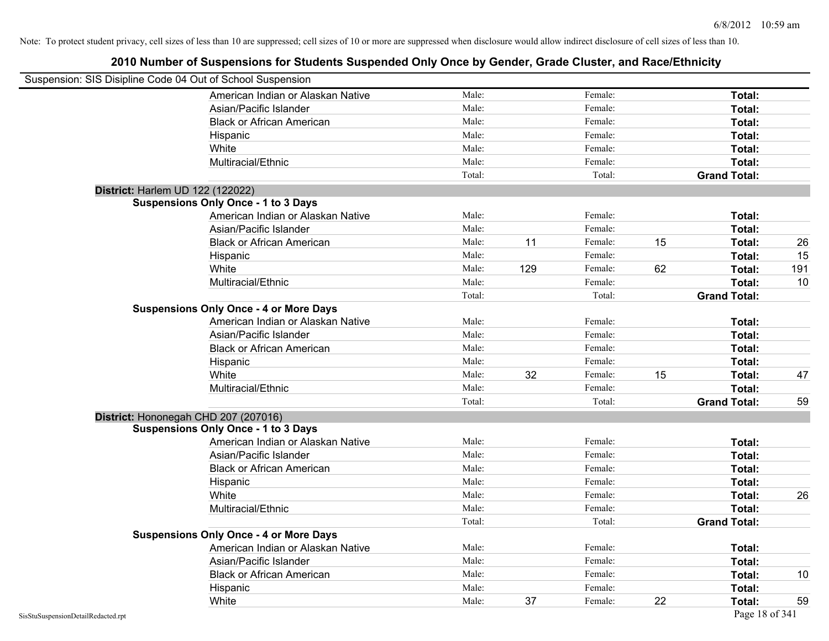| Suspension: SIS Disipline Code 04 Out of School Suspension |        |     |         |    |                     |     |
|------------------------------------------------------------|--------|-----|---------|----|---------------------|-----|
| American Indian or Alaskan Native                          | Male:  |     | Female: |    | Total:              |     |
| Asian/Pacific Islander                                     | Male:  |     | Female: |    | Total:              |     |
| <b>Black or African American</b>                           | Male:  |     | Female: |    | Total:              |     |
| Hispanic                                                   | Male:  |     | Female: |    | Total:              |     |
| White                                                      | Male:  |     | Female: |    | Total:              |     |
| Multiracial/Ethnic                                         | Male:  |     | Female: |    | Total:              |     |
|                                                            | Total: |     | Total:  |    | <b>Grand Total:</b> |     |
| District: Harlem UD 122 (122022)                           |        |     |         |    |                     |     |
| <b>Suspensions Only Once - 1 to 3 Days</b>                 |        |     |         |    |                     |     |
| American Indian or Alaskan Native                          | Male:  |     | Female: |    | Total:              |     |
| Asian/Pacific Islander                                     | Male:  |     | Female: |    | Total:              |     |
| <b>Black or African American</b>                           | Male:  | 11  | Female: | 15 | Total:              | 26  |
| Hispanic                                                   | Male:  |     | Female: |    | Total:              | 15  |
| White                                                      | Male:  | 129 | Female: | 62 | Total:              | 191 |
| Multiracial/Ethnic                                         | Male:  |     | Female: |    | Total:              | 10  |
|                                                            | Total: |     | Total:  |    | <b>Grand Total:</b> |     |
| <b>Suspensions Only Once - 4 or More Days</b>              |        |     |         |    |                     |     |
| American Indian or Alaskan Native                          | Male:  |     | Female: |    | Total:              |     |
| Asian/Pacific Islander                                     | Male:  |     | Female: |    | Total:              |     |
| <b>Black or African American</b>                           | Male:  |     | Female: |    | Total:              |     |
| Hispanic                                                   | Male:  |     | Female: |    | Total:              |     |
| White                                                      | Male:  | 32  | Female: | 15 | Total:              | 47  |
| Multiracial/Ethnic                                         | Male:  |     | Female: |    | Total:              |     |
|                                                            | Total: |     | Total:  |    | <b>Grand Total:</b> | 59  |
| District: Hononegah CHD 207 (207016)                       |        |     |         |    |                     |     |
| <b>Suspensions Only Once - 1 to 3 Days</b>                 |        |     |         |    |                     |     |
| American Indian or Alaskan Native                          | Male:  |     | Female: |    | Total:              |     |
| Asian/Pacific Islander                                     | Male:  |     | Female: |    | Total:              |     |
| <b>Black or African American</b>                           | Male:  |     | Female: |    | Total:              |     |
| Hispanic                                                   | Male:  |     | Female: |    | Total:              |     |
| White                                                      | Male:  |     | Female: |    | Total:              | 26  |
| Multiracial/Ethnic                                         | Male:  |     | Female: |    | Total:              |     |
|                                                            | Total: |     | Total:  |    | <b>Grand Total:</b> |     |
| <b>Suspensions Only Once - 4 or More Days</b>              |        |     |         |    |                     |     |
| American Indian or Alaskan Native                          | Male:  |     | Female: |    | Total:              |     |
| Asian/Pacific Islander                                     | Male:  |     | Female: |    | Total:              |     |
| <b>Black or African American</b>                           | Male:  |     | Female: |    | Total:              | 10  |
| Hispanic                                                   | Male:  |     | Female: |    | Total:              |     |
| White                                                      | Male:  | 37  | Female: | 22 | Total:              | 59  |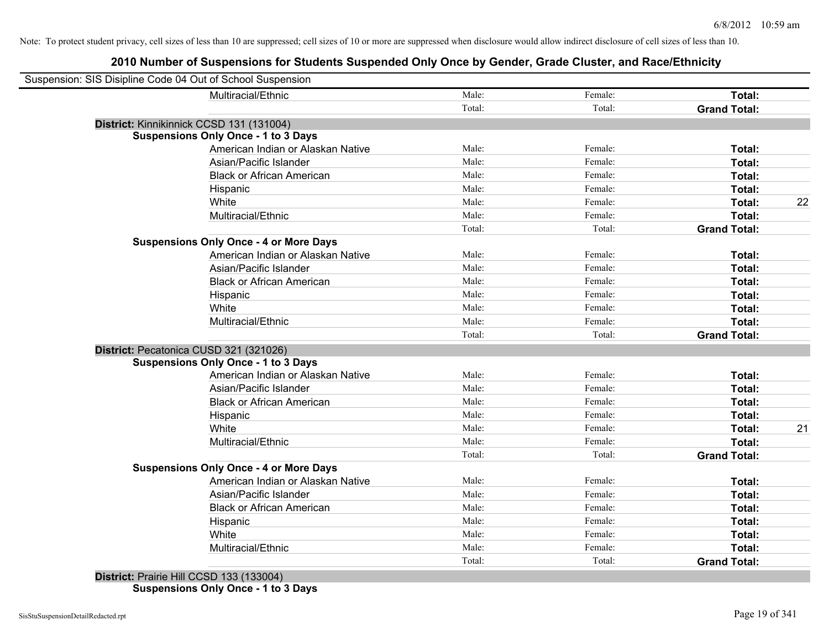| Suspension: SIS Disipline Code 04 Out of School Suspension |                                               |        |         |                     |    |
|------------------------------------------------------------|-----------------------------------------------|--------|---------|---------------------|----|
|                                                            | Multiracial/Ethnic                            | Male:  | Female: | Total:              |    |
|                                                            |                                               | Total: | Total:  | <b>Grand Total:</b> |    |
| District: Kinnikinnick CCSD 131 (131004)                   |                                               |        |         |                     |    |
|                                                            | <b>Suspensions Only Once - 1 to 3 Days</b>    |        |         |                     |    |
|                                                            | American Indian or Alaskan Native             | Male:  | Female: | Total:              |    |
|                                                            | Asian/Pacific Islander                        | Male:  | Female: | Total:              |    |
|                                                            | <b>Black or African American</b>              | Male:  | Female: | Total:              |    |
|                                                            | Hispanic                                      | Male:  | Female: | Total:              |    |
|                                                            | White                                         | Male:  | Female: | Total:              | 22 |
|                                                            | Multiracial/Ethnic                            | Male:  | Female: | Total:              |    |
|                                                            |                                               | Total: | Total:  | <b>Grand Total:</b> |    |
|                                                            | <b>Suspensions Only Once - 4 or More Days</b> |        |         |                     |    |
|                                                            | American Indian or Alaskan Native             | Male:  | Female: | Total:              |    |
|                                                            | Asian/Pacific Islander                        | Male:  | Female: | Total:              |    |
|                                                            | <b>Black or African American</b>              | Male:  | Female: | Total:              |    |
|                                                            | Hispanic                                      | Male:  | Female: | Total:              |    |
|                                                            | White                                         | Male:  | Female: | Total:              |    |
|                                                            | Multiracial/Ethnic                            | Male:  | Female: | Total:              |    |
|                                                            |                                               | Total: | Total:  | <b>Grand Total:</b> |    |
| District: Pecatonica CUSD 321 (321026)                     |                                               |        |         |                     |    |
|                                                            | <b>Suspensions Only Once - 1 to 3 Days</b>    |        |         |                     |    |
|                                                            | American Indian or Alaskan Native             | Male:  | Female: | Total:              |    |
|                                                            | Asian/Pacific Islander                        | Male:  | Female: | Total:              |    |
|                                                            | <b>Black or African American</b>              | Male:  | Female: | Total:              |    |
|                                                            | Hispanic                                      | Male:  | Female: | Total:              |    |
|                                                            | White                                         | Male:  | Female: | Total:              | 21 |
|                                                            | Multiracial/Ethnic                            | Male:  | Female: | Total:              |    |
|                                                            |                                               | Total: | Total:  | <b>Grand Total:</b> |    |
|                                                            | <b>Suspensions Only Once - 4 or More Days</b> |        |         |                     |    |
|                                                            | American Indian or Alaskan Native             | Male:  | Female: | Total:              |    |
|                                                            | Asian/Pacific Islander                        | Male:  | Female: | Total:              |    |
|                                                            | <b>Black or African American</b>              | Male:  | Female: | Total:              |    |
|                                                            | Hispanic                                      | Male:  | Female: | Total:              |    |
|                                                            | White                                         | Male:  | Female: | Total:              |    |
|                                                            | Multiracial/Ethnic                            | Male:  | Female: | Total:              |    |
|                                                            |                                               | Total: | Total:  | <b>Grand Total:</b> |    |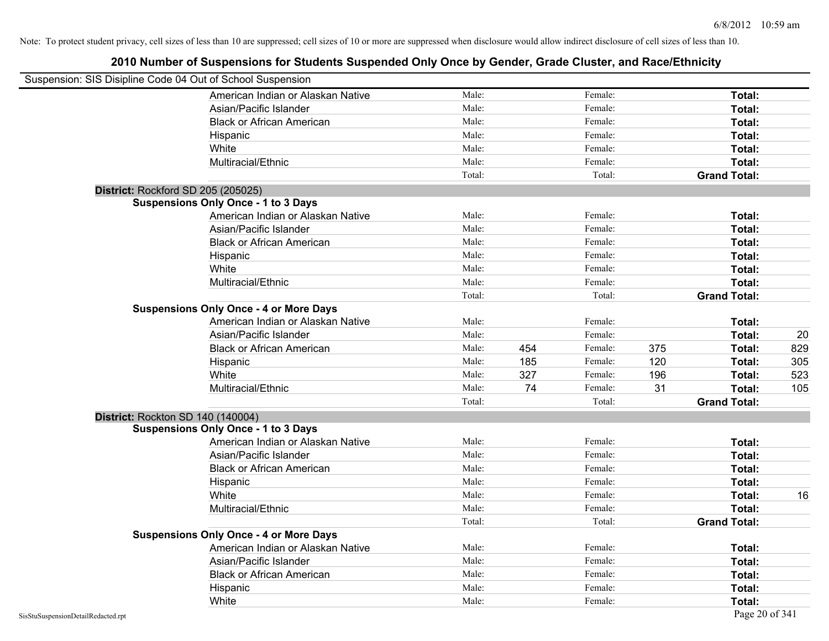| Suspension: SIS Disipline Code 04 Out of School Suspension |        |     |         |     |                     |     |
|------------------------------------------------------------|--------|-----|---------|-----|---------------------|-----|
| American Indian or Alaskan Native                          | Male:  |     | Female: |     | Total:              |     |
| Asian/Pacific Islander                                     | Male:  |     | Female: |     | Total:              |     |
| <b>Black or African American</b>                           | Male:  |     | Female: |     | Total:              |     |
| Hispanic                                                   | Male:  |     | Female: |     | Total:              |     |
| White                                                      | Male:  |     | Female: |     | Total:              |     |
| Multiracial/Ethnic                                         | Male:  |     | Female: |     | Total:              |     |
|                                                            | Total: |     | Total:  |     | <b>Grand Total:</b> |     |
| District: Rockford SD 205 (205025)                         |        |     |         |     |                     |     |
| <b>Suspensions Only Once - 1 to 3 Days</b>                 |        |     |         |     |                     |     |
| American Indian or Alaskan Native                          | Male:  |     | Female: |     | Total:              |     |
| Asian/Pacific Islander                                     | Male:  |     | Female: |     | Total:              |     |
| <b>Black or African American</b>                           | Male:  |     | Female: |     | Total:              |     |
| Hispanic                                                   | Male:  |     | Female: |     | Total:              |     |
| White                                                      | Male:  |     | Female: |     | Total:              |     |
| Multiracial/Ethnic                                         | Male:  |     | Female: |     | Total:              |     |
|                                                            | Total: |     | Total:  |     | <b>Grand Total:</b> |     |
| <b>Suspensions Only Once - 4 or More Days</b>              |        |     |         |     |                     |     |
| American Indian or Alaskan Native                          | Male:  |     | Female: |     | Total:              |     |
| Asian/Pacific Islander                                     | Male:  |     | Female: |     | Total:              | 20  |
| <b>Black or African American</b>                           | Male:  | 454 | Female: | 375 | Total:              | 829 |
| Hispanic                                                   | Male:  | 185 | Female: | 120 | Total:              | 305 |
| White                                                      | Male:  | 327 | Female: | 196 | Total:              | 523 |
| Multiracial/Ethnic                                         | Male:  | 74  | Female: | 31  | Total:              | 105 |
|                                                            | Total: |     | Total:  |     | <b>Grand Total:</b> |     |
| District: Rockton SD 140 (140004)                          |        |     |         |     |                     |     |
| Suspensions Only Once - 1 to 3 Days                        |        |     |         |     |                     |     |
| American Indian or Alaskan Native                          | Male:  |     | Female: |     | Total:              |     |
| Asian/Pacific Islander                                     | Male:  |     | Female: |     | Total:              |     |
| <b>Black or African American</b>                           | Male:  |     | Female: |     | Total:              |     |
| Hispanic                                                   | Male:  |     | Female: |     | Total:              |     |
| White                                                      | Male:  |     | Female: |     | Total:              | 16  |
| Multiracial/Ethnic                                         | Male:  |     | Female: |     | Total:              |     |
|                                                            | Total: |     | Total:  |     | <b>Grand Total:</b> |     |
| <b>Suspensions Only Once - 4 or More Days</b>              |        |     |         |     |                     |     |
| American Indian or Alaskan Native                          | Male:  |     | Female: |     | Total:              |     |
| Asian/Pacific Islander                                     | Male:  |     | Female: |     | Total:              |     |
| <b>Black or African American</b>                           | Male:  |     | Female: |     | Total:              |     |
| Hispanic                                                   | Male:  |     | Female: |     | Total:              |     |
| White                                                      | Male:  |     | Female: |     | Total:              |     |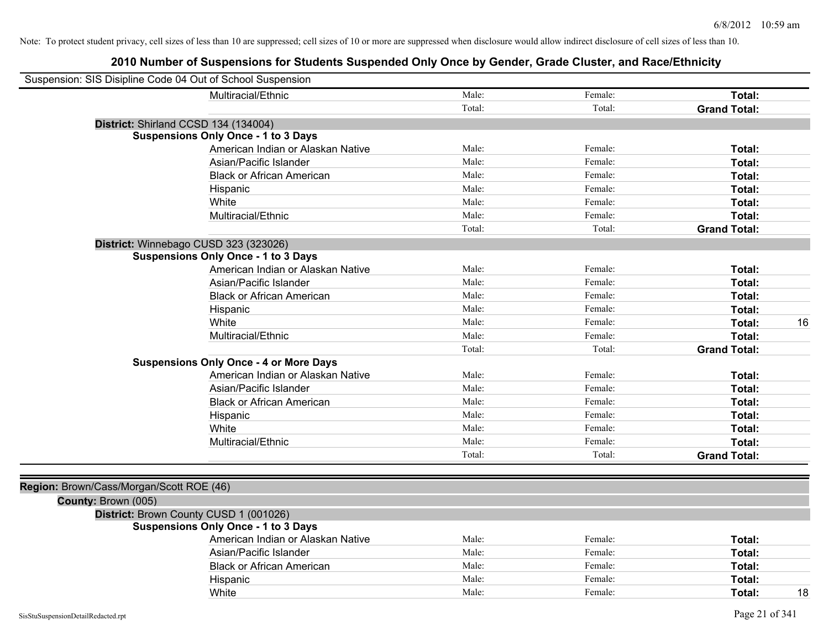|                                          | Suspension: SIS Disipline Code 04 Out of School Suspension |        |         |                     |    |
|------------------------------------------|------------------------------------------------------------|--------|---------|---------------------|----|
|                                          | Multiracial/Ethnic                                         | Male:  | Female: | Total:              |    |
|                                          |                                                            | Total: | Total:  | <b>Grand Total:</b> |    |
|                                          | District: Shirland CCSD 134 (134004)                       |        |         |                     |    |
|                                          | <b>Suspensions Only Once - 1 to 3 Days</b>                 |        |         |                     |    |
|                                          | American Indian or Alaskan Native                          | Male:  | Female: | Total:              |    |
|                                          | Asian/Pacific Islander                                     | Male:  | Female: | Total:              |    |
|                                          | <b>Black or African American</b>                           | Male:  | Female: | Total:              |    |
|                                          | Hispanic                                                   | Male:  | Female: | Total:              |    |
|                                          | White                                                      | Male:  | Female: | Total:              |    |
|                                          | Multiracial/Ethnic                                         | Male:  | Female: | Total:              |    |
|                                          |                                                            | Total: | Total:  | <b>Grand Total:</b> |    |
|                                          | District: Winnebago CUSD 323 (323026)                      |        |         |                     |    |
|                                          | <b>Suspensions Only Once - 1 to 3 Days</b>                 |        |         |                     |    |
|                                          | American Indian or Alaskan Native                          | Male:  | Female: | Total:              |    |
|                                          | Asian/Pacific Islander                                     | Male:  | Female: | Total:              |    |
|                                          | <b>Black or African American</b>                           | Male:  | Female: | Total:              |    |
|                                          | Hispanic                                                   | Male:  | Female: | Total:              |    |
|                                          | White                                                      | Male:  | Female: | Total:              | 16 |
|                                          | Multiracial/Ethnic                                         | Male:  | Female: | Total:              |    |
|                                          |                                                            | Total: | Total:  | <b>Grand Total:</b> |    |
|                                          | <b>Suspensions Only Once - 4 or More Days</b>              |        |         |                     |    |
|                                          | American Indian or Alaskan Native                          | Male:  | Female: | Total:              |    |
|                                          | Asian/Pacific Islander                                     | Male:  | Female: | Total:              |    |
|                                          | <b>Black or African American</b>                           | Male:  | Female: | Total:              |    |
|                                          | Hispanic                                                   | Male:  | Female: | Total:              |    |
|                                          | White                                                      | Male:  | Female: | Total:              |    |
|                                          | Multiracial/Ethnic                                         | Male:  | Female: | Total:              |    |
|                                          |                                                            | Total: | Total:  | <b>Grand Total:</b> |    |
|                                          |                                                            |        |         |                     |    |
| Region: Brown/Cass/Morgan/Scott ROE (46) |                                                            |        |         |                     |    |
| County: Brown (005)                      |                                                            |        |         |                     |    |
|                                          | District: Brown County CUSD 1 (001026)                     |        |         |                     |    |
|                                          | <b>Suspensions Only Once - 1 to 3 Days</b>                 |        |         |                     |    |
|                                          | American Indian or Alaskan Native                          | Male:  | Female: | Total:              |    |
|                                          | Asian/Pacific Islander                                     | Male:  | Female: | Total:              |    |
|                                          | <b>Black or African American</b>                           | Male:  | Female: | Total:              |    |
|                                          | Hispanic                                                   | Male:  | Female: | Total:              |    |
|                                          | White                                                      | Male:  | Female: | Total:              | 18 |
|                                          |                                                            |        |         |                     |    |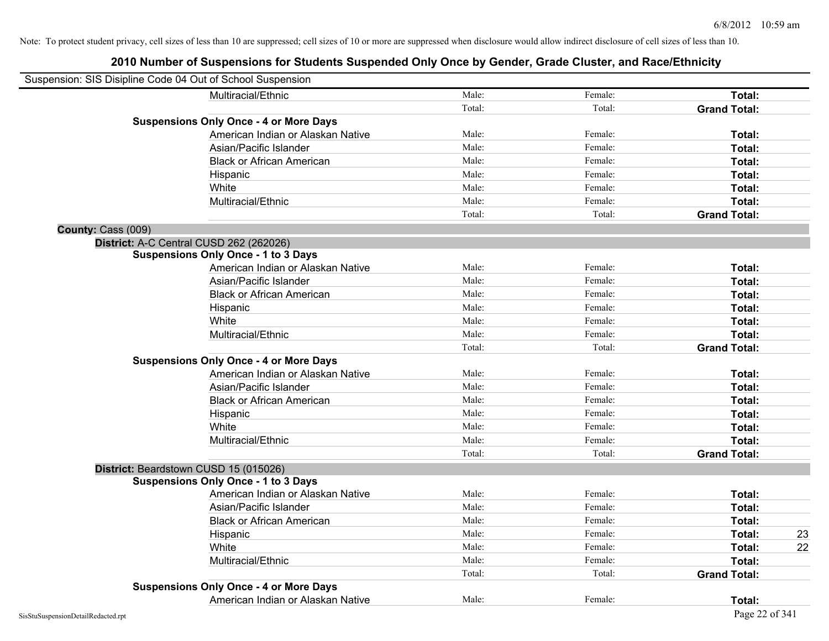|                    | Suspension: SIS Disipline Code 04 Out of School Suspension |        |         |                     |    |
|--------------------|------------------------------------------------------------|--------|---------|---------------------|----|
|                    | Multiracial/Ethnic                                         | Male:  | Female: | Total:              |    |
|                    |                                                            | Total: | Total:  | <b>Grand Total:</b> |    |
|                    | <b>Suspensions Only Once - 4 or More Days</b>              |        |         |                     |    |
|                    | American Indian or Alaskan Native                          | Male:  | Female: | Total:              |    |
|                    | Asian/Pacific Islander                                     | Male:  | Female: | Total:              |    |
|                    | <b>Black or African American</b>                           | Male:  | Female: | Total:              |    |
|                    | Hispanic                                                   | Male:  | Female: | Total:              |    |
|                    | White                                                      | Male:  | Female: | Total:              |    |
|                    | Multiracial/Ethnic                                         | Male:  | Female: | Total:              |    |
|                    |                                                            | Total: | Total:  | <b>Grand Total:</b> |    |
| County: Cass (009) |                                                            |        |         |                     |    |
|                    | District: A-C Central CUSD 262 (262026)                    |        |         |                     |    |
|                    | <b>Suspensions Only Once - 1 to 3 Days</b>                 |        |         |                     |    |
|                    | American Indian or Alaskan Native                          | Male:  | Female: | Total:              |    |
|                    | Asian/Pacific Islander                                     | Male:  | Female: | Total:              |    |
|                    | <b>Black or African American</b>                           | Male:  | Female: | Total:              |    |
|                    | Hispanic                                                   | Male:  | Female: | Total:              |    |
|                    | White                                                      | Male:  | Female: | Total:              |    |
|                    | Multiracial/Ethnic                                         | Male:  | Female: | Total:              |    |
|                    |                                                            | Total: | Total:  | <b>Grand Total:</b> |    |
|                    | <b>Suspensions Only Once - 4 or More Days</b>              |        |         |                     |    |
|                    | American Indian or Alaskan Native                          | Male:  | Female: | Total:              |    |
|                    | Asian/Pacific Islander                                     | Male:  | Female: | Total:              |    |
|                    | <b>Black or African American</b>                           | Male:  | Female: | Total:              |    |
|                    | Hispanic                                                   | Male:  | Female: | Total:              |    |
|                    | White                                                      | Male:  | Female: | Total:              |    |
|                    | Multiracial/Ethnic                                         | Male:  | Female: | Total:              |    |
|                    |                                                            | Total: | Total:  | <b>Grand Total:</b> |    |
|                    | District: Beardstown CUSD 15 (015026)                      |        |         |                     |    |
|                    | <b>Suspensions Only Once - 1 to 3 Days</b>                 |        |         |                     |    |
|                    | American Indian or Alaskan Native                          | Male:  | Female: | Total:              |    |
|                    | Asian/Pacific Islander                                     | Male:  | Female: | Total:              |    |
|                    | <b>Black or African American</b>                           | Male:  | Female: | Total:              |    |
|                    | Hispanic                                                   | Male:  | Female: | Total:              | 23 |
|                    | White                                                      | Male:  | Female: | Total:              | 22 |
|                    | Multiracial/Ethnic                                         | Male:  | Female: | Total:              |    |
|                    |                                                            | Total: | Total:  | <b>Grand Total:</b> |    |
|                    | <b>Suspensions Only Once - 4 or More Days</b>              |        |         |                     |    |
|                    | American Indian or Alaskan Native                          | Male:  | Female: | Total:              |    |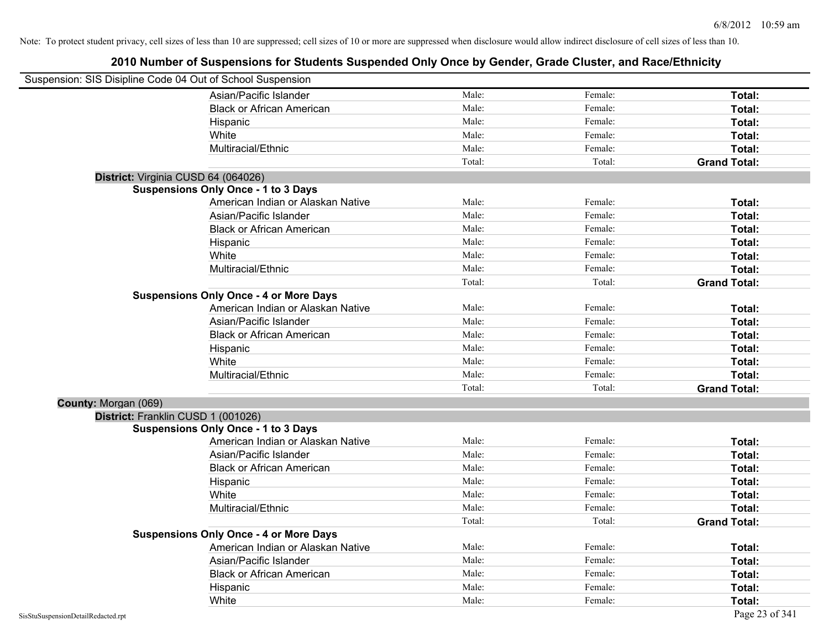| Suspension: SIS Disipline Code 04 Out of School Suspension |                                               |        |         |                     |
|------------------------------------------------------------|-----------------------------------------------|--------|---------|---------------------|
|                                                            | Asian/Pacific Islander                        | Male:  | Female: | Total:              |
|                                                            | <b>Black or African American</b>              | Male:  | Female: | Total:              |
|                                                            | Hispanic                                      | Male:  | Female: | Total:              |
|                                                            | White                                         | Male:  | Female: | Total:              |
|                                                            | Multiracial/Ethnic                            | Male:  | Female: | Total:              |
|                                                            |                                               | Total: | Total:  | <b>Grand Total:</b> |
| District: Virginia CUSD 64 (064026)                        |                                               |        |         |                     |
|                                                            | <b>Suspensions Only Once - 1 to 3 Days</b>    |        |         |                     |
|                                                            | American Indian or Alaskan Native             | Male:  | Female: | Total:              |
|                                                            | Asian/Pacific Islander                        | Male:  | Female: | Total:              |
|                                                            | <b>Black or African American</b>              | Male:  | Female: | Total:              |
|                                                            | Hispanic                                      | Male:  | Female: | Total:              |
|                                                            | White                                         | Male:  | Female: | Total:              |
|                                                            | Multiracial/Ethnic                            | Male:  | Female: | Total:              |
|                                                            |                                               | Total: | Total:  | <b>Grand Total:</b> |
|                                                            | <b>Suspensions Only Once - 4 or More Days</b> |        |         |                     |
|                                                            | American Indian or Alaskan Native             | Male:  | Female: | Total:              |
|                                                            | Asian/Pacific Islander                        | Male:  | Female: | Total:              |
|                                                            | <b>Black or African American</b>              | Male:  | Female: | Total:              |
|                                                            | Hispanic                                      | Male:  | Female: | Total:              |
|                                                            | White                                         | Male:  | Female: | Total:              |
|                                                            | Multiracial/Ethnic                            | Male:  | Female: | Total:              |
|                                                            |                                               | Total: | Total:  | <b>Grand Total:</b> |
| County: Morgan (069)                                       |                                               |        |         |                     |
| District: Franklin CUSD 1 (001026)                         |                                               |        |         |                     |
|                                                            | <b>Suspensions Only Once - 1 to 3 Days</b>    |        |         |                     |
|                                                            | American Indian or Alaskan Native             | Male:  | Female: | Total:              |
|                                                            | Asian/Pacific Islander                        | Male:  | Female: | Total:              |
|                                                            | <b>Black or African American</b>              | Male:  | Female: | Total:              |
|                                                            | Hispanic                                      | Male:  | Female: | Total:              |
|                                                            | White                                         | Male:  | Female: | Total:              |
|                                                            | Multiracial/Ethnic                            | Male:  | Female: | Total:              |
|                                                            |                                               | Total: | Total:  | <b>Grand Total:</b> |
|                                                            | <b>Suspensions Only Once - 4 or More Days</b> |        |         |                     |
|                                                            | American Indian or Alaskan Native             | Male:  | Female: | Total:              |
|                                                            | Asian/Pacific Islander                        | Male:  | Female: | Total:              |
|                                                            | <b>Black or African American</b>              | Male:  | Female: | Total:              |
|                                                            | Hispanic                                      | Male:  | Female: | <b>Total:</b>       |
|                                                            | White                                         | Male:  | Female: | Total:              |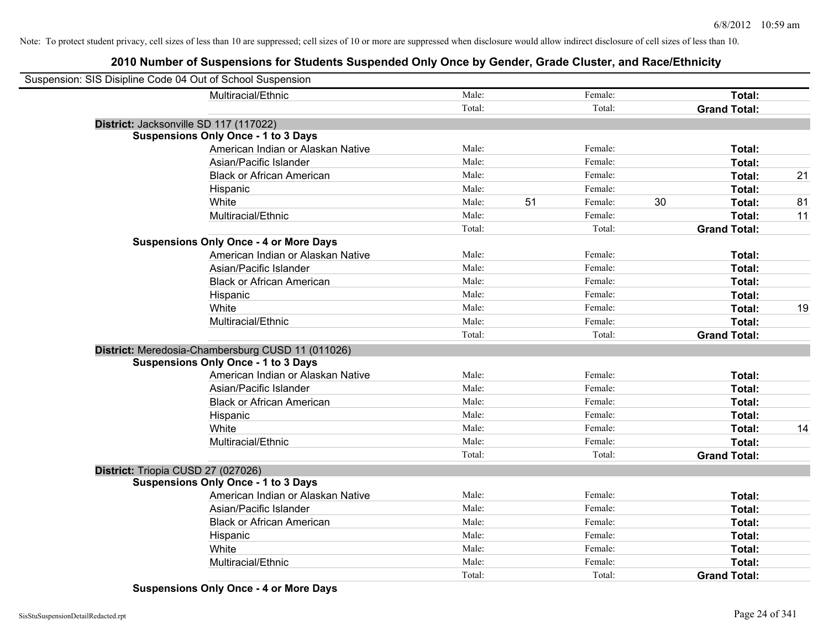| Suspension: SIS Disipline Code 04 Out of School Suspension |                                                   |        |               |                     |    |
|------------------------------------------------------------|---------------------------------------------------|--------|---------------|---------------------|----|
|                                                            | Multiracial/Ethnic                                | Male:  | Female:       | Total:              |    |
|                                                            |                                                   | Total: | Total:        | <b>Grand Total:</b> |    |
| District: Jacksonville SD 117 (117022)                     |                                                   |        |               |                     |    |
|                                                            | <b>Suspensions Only Once - 1 to 3 Days</b>        |        |               |                     |    |
|                                                            | American Indian or Alaskan Native                 | Male:  | Female:       | Total:              |    |
|                                                            | Asian/Pacific Islander                            | Male:  | Female:       | Total:              |    |
|                                                            | <b>Black or African American</b>                  | Male:  | Female:       | Total:              | 21 |
|                                                            | Hispanic                                          | Male:  | Female:       | Total:              |    |
|                                                            | White                                             | Male:  | 51<br>Female: | 30<br>Total:        | 81 |
|                                                            | Multiracial/Ethnic                                | Male:  | Female:       | Total:              | 11 |
|                                                            |                                                   | Total: | Total:        | <b>Grand Total:</b> |    |
|                                                            | <b>Suspensions Only Once - 4 or More Days</b>     |        |               |                     |    |
|                                                            | American Indian or Alaskan Native                 | Male:  | Female:       | Total:              |    |
|                                                            | Asian/Pacific Islander                            | Male:  | Female:       | Total:              |    |
|                                                            | <b>Black or African American</b>                  | Male:  | Female:       | Total:              |    |
|                                                            | Hispanic                                          | Male:  | Female:       | Total:              |    |
|                                                            | White                                             | Male:  | Female:       | Total:              | 19 |
|                                                            | Multiracial/Ethnic                                | Male:  | Female:       | Total:              |    |
|                                                            |                                                   | Total: | Total:        | <b>Grand Total:</b> |    |
|                                                            | District: Meredosia-Chambersburg CUSD 11 (011026) |        |               |                     |    |
|                                                            | <b>Suspensions Only Once - 1 to 3 Days</b>        |        |               |                     |    |
|                                                            | American Indian or Alaskan Native                 | Male:  | Female:       | Total:              |    |
|                                                            | Asian/Pacific Islander                            | Male:  | Female:       | Total:              |    |
|                                                            | <b>Black or African American</b>                  | Male:  | Female:       | Total:              |    |
|                                                            | Hispanic                                          | Male:  | Female:       | Total:              |    |
|                                                            | White                                             | Male:  | Female:       | Total:              | 14 |
|                                                            | Multiracial/Ethnic                                | Male:  | Female:       | Total:              |    |
|                                                            |                                                   | Total: | Total:        | <b>Grand Total:</b> |    |
| District: Triopia CUSD 27 (027026)                         |                                                   |        |               |                     |    |
|                                                            | <b>Suspensions Only Once - 1 to 3 Days</b>        |        |               |                     |    |
|                                                            | American Indian or Alaskan Native                 | Male:  | Female:       | Total:              |    |
|                                                            | Asian/Pacific Islander                            | Male:  | Female:       | Total:              |    |
|                                                            | <b>Black or African American</b>                  | Male:  | Female:       | Total:              |    |
|                                                            | Hispanic                                          | Male:  | Female:       | Total:              |    |
|                                                            | White                                             | Male:  | Female:       | Total:              |    |
|                                                            | Multiracial/Ethnic                                | Male:  | Female:       | Total:              |    |
|                                                            |                                                   | Total: | Total:        | <b>Grand Total:</b> |    |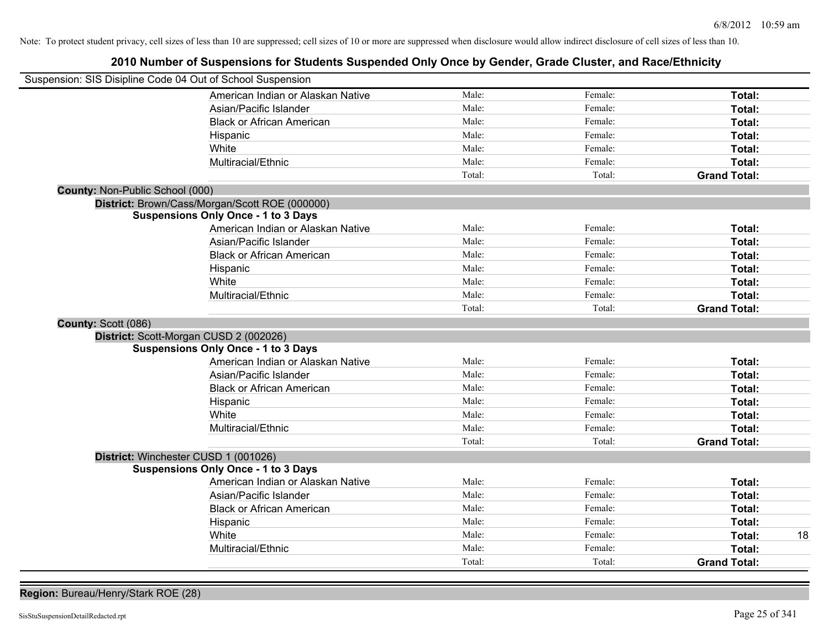# **2010 Number of Suspensions for Students Suspended Only Once by Gender, Grade Cluster, and Race/Ethnicity**

| Suspension: SIS Disipline Code 04 Out of School Suspension |                                                |        |         |                     |
|------------------------------------------------------------|------------------------------------------------|--------|---------|---------------------|
|                                                            | American Indian or Alaskan Native              | Male:  | Female: | Total:              |
|                                                            | Asian/Pacific Islander                         | Male:  | Female: | Total:              |
|                                                            | <b>Black or African American</b>               | Male:  | Female: | Total:              |
|                                                            | Hispanic                                       | Male:  | Female: | Total:              |
|                                                            | White                                          | Male:  | Female: | Total:              |
|                                                            | Multiracial/Ethnic                             | Male:  | Female: | Total:              |
|                                                            |                                                | Total: | Total:  | <b>Grand Total:</b> |
| County: Non-Public School (000)                            |                                                |        |         |                     |
|                                                            | District: Brown/Cass/Morgan/Scott ROE (000000) |        |         |                     |
|                                                            | <b>Suspensions Only Once - 1 to 3 Days</b>     |        |         |                     |
|                                                            | American Indian or Alaskan Native              | Male:  | Female: | Total:              |
|                                                            | Asian/Pacific Islander                         | Male:  | Female: | Total:              |
|                                                            | <b>Black or African American</b>               | Male:  | Female: | Total:              |
|                                                            | Hispanic                                       | Male:  | Female: | Total:              |
|                                                            | White                                          | Male:  | Female: | Total:              |
|                                                            | Multiracial/Ethnic                             | Male:  | Female: | Total:              |
|                                                            |                                                | Total: | Total:  | <b>Grand Total:</b> |
| County: Scott (086)                                        |                                                |        |         |                     |
| District: Scott-Morgan CUSD 2 (002026)                     |                                                |        |         |                     |
|                                                            | <b>Suspensions Only Once - 1 to 3 Days</b>     |        |         |                     |
|                                                            | American Indian or Alaskan Native              | Male:  | Female: | Total:              |
|                                                            | Asian/Pacific Islander                         | Male:  | Female: | <b>Total:</b>       |
|                                                            | <b>Black or African American</b>               | Male:  | Female: | Total:              |
|                                                            | Hispanic                                       | Male:  | Female: | Total:              |
|                                                            | White                                          | Male:  | Female: | <b>Total:</b>       |
|                                                            | Multiracial/Ethnic                             | Male:  | Female: | Total:              |
|                                                            |                                                | Total: | Total:  | <b>Grand Total:</b> |
| District: Winchester CUSD 1 (001026)                       |                                                |        |         |                     |
|                                                            | <b>Suspensions Only Once - 1 to 3 Days</b>     |        |         |                     |
|                                                            | American Indian or Alaskan Native              | Male:  | Female: | Total:              |
|                                                            | Asian/Pacific Islander                         | Male:  | Female: | Total:              |
|                                                            | <b>Black or African American</b>               | Male:  | Female: | Total:              |
|                                                            | Hispanic                                       | Male:  | Female: | Total:              |
|                                                            | White                                          | Male:  | Female: | 18<br>Total:        |
|                                                            | Multiracial/Ethnic                             | Male:  | Female: | <b>Total:</b>       |
|                                                            |                                                | Total: | Total:  | <b>Grand Total:</b> |

**Region:** Bureau/Henry/Stark ROE (28)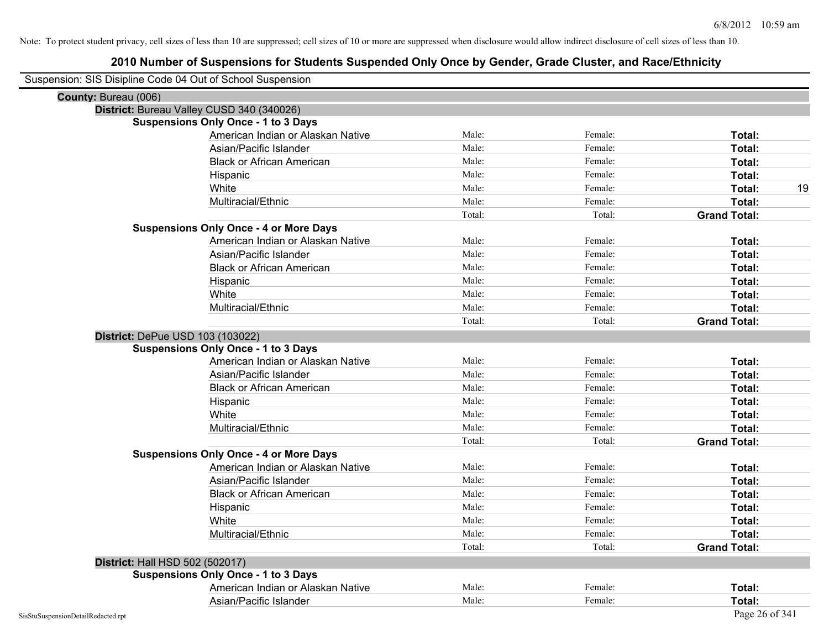| Suspension: SIS Disipline Code 04 Out of School Suspension |                                               |        |         |                     |
|------------------------------------------------------------|-----------------------------------------------|--------|---------|---------------------|
| County: Bureau (006)                                       |                                               |        |         |                     |
|                                                            | District: Bureau Valley CUSD 340 (340026)     |        |         |                     |
|                                                            | <b>Suspensions Only Once - 1 to 3 Days</b>    |        |         |                     |
|                                                            | American Indian or Alaskan Native             | Male:  | Female: | Total:              |
|                                                            | Asian/Pacific Islander                        | Male:  | Female: | Total:              |
|                                                            | <b>Black or African American</b>              | Male:  | Female: | Total:              |
|                                                            | Hispanic                                      | Male:  | Female: | Total:              |
|                                                            | White                                         | Male:  | Female: | 19<br>Total:        |
|                                                            | Multiracial/Ethnic                            | Male:  | Female: | Total:              |
|                                                            |                                               | Total: | Total:  | <b>Grand Total:</b> |
|                                                            | <b>Suspensions Only Once - 4 or More Days</b> |        |         |                     |
|                                                            | American Indian or Alaskan Native             | Male:  | Female: | Total:              |
|                                                            | Asian/Pacific Islander                        | Male:  | Female: | Total:              |
|                                                            | <b>Black or African American</b>              | Male:  | Female: | Total:              |
|                                                            | Hispanic                                      | Male:  | Female: | Total:              |
|                                                            | White                                         | Male:  | Female: | Total:              |
|                                                            | Multiracial/Ethnic                            | Male:  | Female: | Total:              |
|                                                            |                                               | Total: | Total:  | <b>Grand Total:</b> |
|                                                            | District: DePue USD 103 (103022)              |        |         |                     |
|                                                            | <b>Suspensions Only Once - 1 to 3 Days</b>    |        |         |                     |
|                                                            | American Indian or Alaskan Native             | Male:  | Female: | Total:              |
|                                                            | Asian/Pacific Islander                        | Male:  | Female: | Total:              |
|                                                            | <b>Black or African American</b>              | Male:  | Female: | Total:              |
|                                                            | Hispanic                                      | Male:  | Female: | Total:              |
|                                                            | White                                         | Male:  | Female: | Total:              |
|                                                            | Multiracial/Ethnic                            | Male:  | Female: | Total:              |
|                                                            |                                               | Total: | Total:  | <b>Grand Total:</b> |
|                                                            | <b>Suspensions Only Once - 4 or More Days</b> |        |         |                     |
|                                                            | American Indian or Alaskan Native             | Male:  | Female: | Total:              |
|                                                            | Asian/Pacific Islander                        | Male:  | Female: | Total:              |
|                                                            | <b>Black or African American</b>              | Male:  | Female: | Total:              |
|                                                            | Hispanic                                      | Male:  | Female: | Total:              |
|                                                            | White                                         | Male:  | Female: | Total:              |
|                                                            | Multiracial/Ethnic                            | Male:  | Female: | Total:              |
|                                                            |                                               | Total: | Total:  | <b>Grand Total:</b> |
| District: Hall HSD 502 (502017)                            |                                               |        |         |                     |
|                                                            | <b>Suspensions Only Once - 1 to 3 Days</b>    |        |         |                     |
|                                                            | American Indian or Alaskan Native             | Male:  | Female: | Total:              |
|                                                            | Asian/Pacific Islander                        | Male:  | Female: | Total:              |
| SisStuSuspensionDetailRedacted.rpt                         |                                               |        |         | Page 26 of 341      |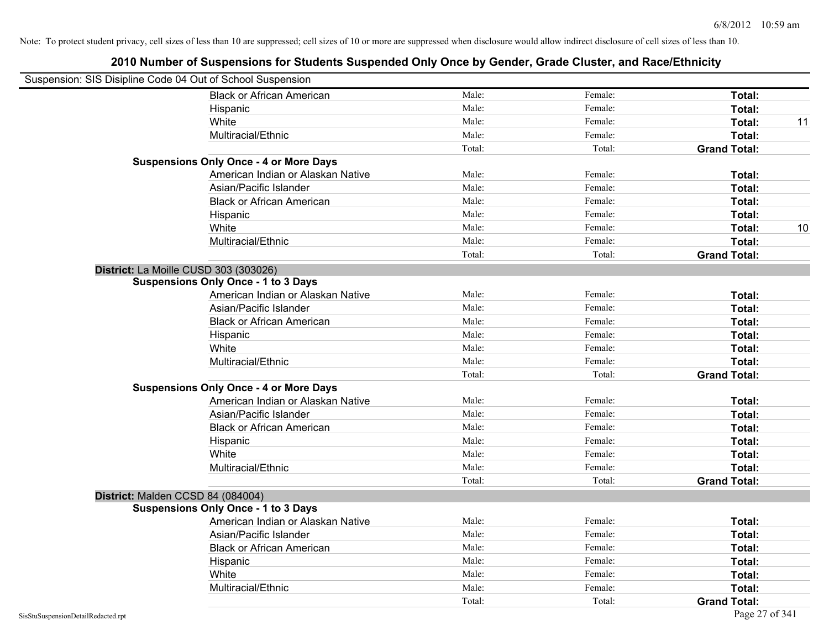| Suspension: SIS Disipline Code 04 Out of School Suspension |                                               |        |         |                     |    |
|------------------------------------------------------------|-----------------------------------------------|--------|---------|---------------------|----|
|                                                            | <b>Black or African American</b>              | Male:  | Female: | Total:              |    |
|                                                            | Hispanic                                      | Male:  | Female: | Total:              |    |
|                                                            | White                                         | Male:  | Female: | <b>Total:</b>       | 11 |
|                                                            | Multiracial/Ethnic                            | Male:  | Female: | Total:              |    |
|                                                            |                                               | Total: | Total:  | <b>Grand Total:</b> |    |
|                                                            | <b>Suspensions Only Once - 4 or More Days</b> |        |         |                     |    |
|                                                            | American Indian or Alaskan Native             | Male:  | Female: | Total:              |    |
|                                                            | Asian/Pacific Islander                        | Male:  | Female: | Total:              |    |
|                                                            | <b>Black or African American</b>              | Male:  | Female: | Total:              |    |
|                                                            | Hispanic                                      | Male:  | Female: | Total:              |    |
|                                                            | White                                         | Male:  | Female: | Total:              | 10 |
|                                                            | Multiracial/Ethnic                            | Male:  | Female: | Total:              |    |
|                                                            |                                               | Total: | Total:  | <b>Grand Total:</b> |    |
| District: La Moille CUSD 303 (303026)                      |                                               |        |         |                     |    |
|                                                            | <b>Suspensions Only Once - 1 to 3 Days</b>    |        |         |                     |    |
|                                                            | American Indian or Alaskan Native             | Male:  | Female: | Total:              |    |
|                                                            | Asian/Pacific Islander                        | Male:  | Female: | Total:              |    |
|                                                            | <b>Black or African American</b>              | Male:  | Female: | Total:              |    |
|                                                            | Hispanic                                      | Male:  | Female: | Total:              |    |
|                                                            | White                                         | Male:  | Female: | Total:              |    |
|                                                            | Multiracial/Ethnic                            | Male:  | Female: | Total:              |    |
|                                                            |                                               | Total: | Total:  | <b>Grand Total:</b> |    |
|                                                            | <b>Suspensions Only Once - 4 or More Days</b> |        |         |                     |    |
|                                                            | American Indian or Alaskan Native             | Male:  | Female: | Total:              |    |
|                                                            | Asian/Pacific Islander                        | Male:  | Female: | Total:              |    |
|                                                            | <b>Black or African American</b>              | Male:  | Female: | Total:              |    |
|                                                            | Hispanic                                      | Male:  | Female: | Total:              |    |
|                                                            | White                                         | Male:  | Female: | Total:              |    |
|                                                            | Multiracial/Ethnic                            | Male:  | Female: | Total:              |    |
|                                                            |                                               | Total: | Total:  | <b>Grand Total:</b> |    |
| District: Malden CCSD 84 (084004)                          |                                               |        |         |                     |    |
|                                                            | <b>Suspensions Only Once - 1 to 3 Days</b>    |        |         |                     |    |
|                                                            | American Indian or Alaskan Native             | Male:  | Female: | Total:              |    |
|                                                            | Asian/Pacific Islander                        | Male:  | Female: | Total:              |    |
|                                                            | <b>Black or African American</b>              | Male:  | Female: | Total:              |    |
|                                                            | Hispanic                                      | Male:  | Female: | Total:              |    |
|                                                            | White                                         | Male:  | Female: | Total:              |    |
|                                                            | Multiracial/Ethnic                            | Male:  | Female: | Total:              |    |
|                                                            |                                               | Total: | Total:  | <b>Grand Total:</b> |    |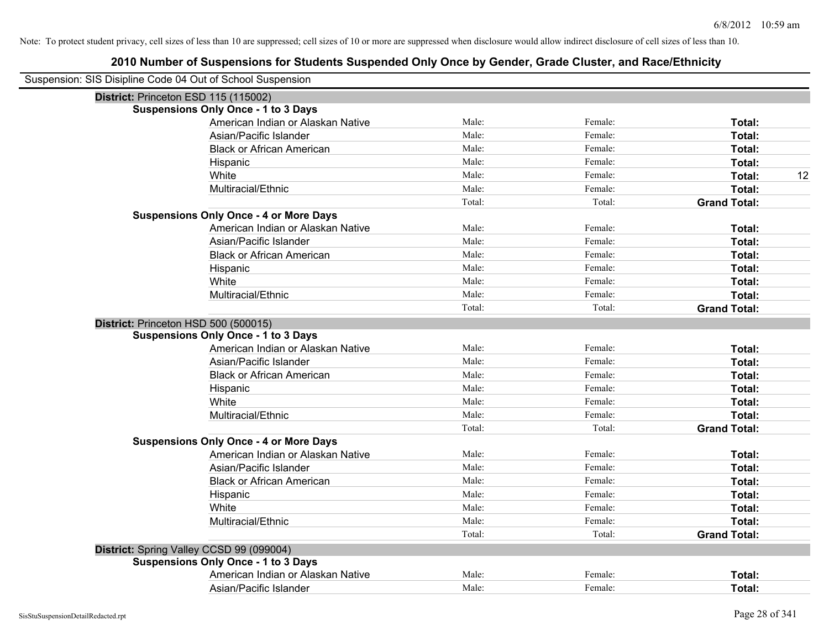| Suspension: SIS Disipline Code 04 Out of School Suspension |        |         |                     |
|------------------------------------------------------------|--------|---------|---------------------|
| District: Princeton ESD 115 (115002)                       |        |         |                     |
| <b>Suspensions Only Once - 1 to 3 Days</b>                 |        |         |                     |
| American Indian or Alaskan Native                          | Male:  | Female: | Total:              |
| Asian/Pacific Islander                                     | Male:  | Female: | Total:              |
| <b>Black or African American</b>                           | Male:  | Female: | Total:              |
| Hispanic                                                   | Male:  | Female: | Total:              |
| White                                                      | Male:  | Female: | Total:<br>12        |
| Multiracial/Ethnic                                         | Male:  | Female: | Total:              |
|                                                            | Total: | Total:  | <b>Grand Total:</b> |
| <b>Suspensions Only Once - 4 or More Days</b>              |        |         |                     |
| American Indian or Alaskan Native                          | Male:  | Female: | Total:              |
| Asian/Pacific Islander                                     | Male:  | Female: | Total:              |
| <b>Black or African American</b>                           | Male:  | Female: | Total:              |
| Hispanic                                                   | Male:  | Female: | Total:              |
| White                                                      | Male:  | Female: | Total:              |
| Multiracial/Ethnic                                         | Male:  | Female: | Total:              |
|                                                            | Total: | Total:  | <b>Grand Total:</b> |
| District: Princeton HSD 500 (500015)                       |        |         |                     |
| <b>Suspensions Only Once - 1 to 3 Days</b>                 |        |         |                     |
| American Indian or Alaskan Native                          | Male:  | Female: | Total:              |
| Asian/Pacific Islander                                     | Male:  | Female: | Total:              |
| <b>Black or African American</b>                           | Male:  | Female: | Total:              |
| Hispanic                                                   | Male:  | Female: | Total:              |
| White                                                      | Male:  | Female: | Total:              |
| Multiracial/Ethnic                                         | Male:  | Female: | Total:              |
|                                                            | Total: | Total:  | <b>Grand Total:</b> |
| <b>Suspensions Only Once - 4 or More Days</b>              |        |         |                     |
| American Indian or Alaskan Native                          | Male:  | Female: | Total:              |
| Asian/Pacific Islander                                     | Male:  | Female: | Total:              |
| <b>Black or African American</b>                           | Male:  | Female: | Total:              |
| Hispanic                                                   | Male:  | Female: | Total:              |
| White                                                      | Male:  | Female: | Total:              |
| Multiracial/Ethnic                                         | Male:  | Female: | Total:              |
|                                                            | Total: | Total:  | <b>Grand Total:</b> |
| District: Spring Valley CCSD 99 (099004)                   |        |         |                     |
| <b>Suspensions Only Once - 1 to 3 Days</b>                 |        |         |                     |
| American Indian or Alaskan Native                          | Male:  | Female: | Total:              |
| Asian/Pacific Islander                                     | Male:  | Female: | Total:              |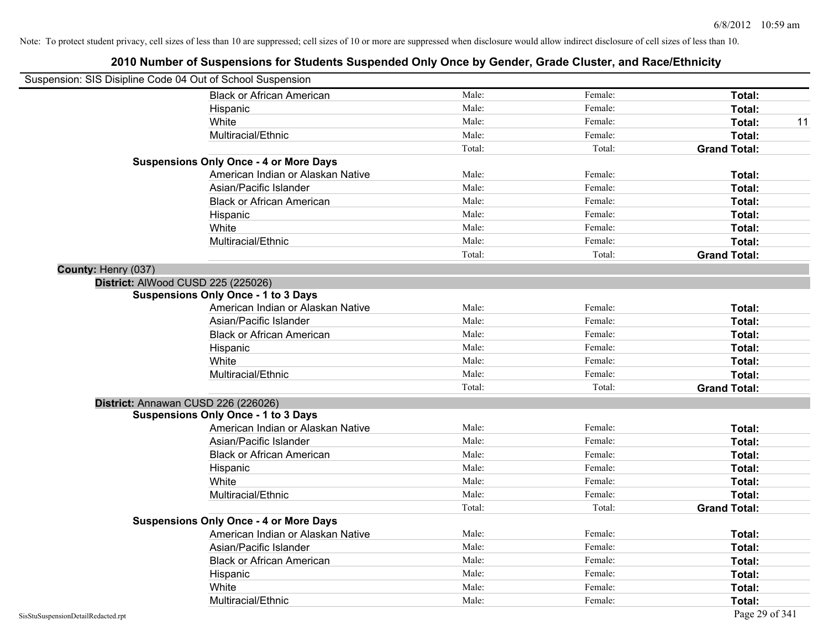|                     | Suspension: SIS Disipline Code 04 Out of School Suspension |        |         |                     |
|---------------------|------------------------------------------------------------|--------|---------|---------------------|
|                     | <b>Black or African American</b>                           | Male:  | Female: | Total:              |
|                     | Hispanic                                                   | Male:  | Female: | Total:              |
|                     | White                                                      | Male:  | Female: | Total:<br>11        |
|                     | Multiracial/Ethnic                                         | Male:  | Female: | Total:              |
|                     |                                                            | Total: | Total:  | <b>Grand Total:</b> |
|                     | <b>Suspensions Only Once - 4 or More Days</b>              |        |         |                     |
|                     | American Indian or Alaskan Native                          | Male:  | Female: | Total:              |
|                     | Asian/Pacific Islander                                     | Male:  | Female: | Total:              |
|                     | <b>Black or African American</b>                           | Male:  | Female: | Total:              |
|                     | Hispanic                                                   | Male:  | Female: | Total:              |
|                     | White                                                      | Male:  | Female: | Total:              |
|                     | Multiracial/Ethnic                                         | Male:  | Female: | Total:              |
|                     |                                                            | Total: | Total:  | <b>Grand Total:</b> |
| County: Henry (037) |                                                            |        |         |                     |
|                     | District: AlWood CUSD 225 (225026)                         |        |         |                     |
|                     | <b>Suspensions Only Once - 1 to 3 Days</b>                 |        |         |                     |
|                     | American Indian or Alaskan Native                          | Male:  | Female: | Total:              |
|                     | Asian/Pacific Islander                                     | Male:  | Female: | Total:              |
|                     | <b>Black or African American</b>                           | Male:  | Female: | Total:              |
|                     | Hispanic                                                   | Male:  | Female: | Total:              |
|                     | White                                                      | Male:  | Female: | Total:              |
|                     | Multiracial/Ethnic                                         | Male:  | Female: | Total:              |
|                     |                                                            | Total: | Total:  | <b>Grand Total:</b> |
|                     | District: Annawan CUSD 226 (226026)                        |        |         |                     |
|                     | <b>Suspensions Only Once - 1 to 3 Days</b>                 |        |         |                     |
|                     | American Indian or Alaskan Native                          | Male:  | Female: | Total:              |
|                     | Asian/Pacific Islander                                     | Male:  | Female: | Total:              |
|                     | <b>Black or African American</b>                           | Male:  | Female: | Total:              |
|                     | Hispanic                                                   | Male:  | Female: | Total:              |
|                     | White                                                      | Male:  | Female: | Total:              |
|                     | Multiracial/Ethnic                                         | Male:  | Female: | Total:              |
|                     |                                                            | Total: | Total:  | <b>Grand Total:</b> |
|                     | <b>Suspensions Only Once - 4 or More Days</b>              |        |         |                     |
|                     | American Indian or Alaskan Native                          | Male:  | Female: | Total:              |
|                     | Asian/Pacific Islander                                     | Male:  | Female: | Total:              |
|                     | <b>Black or African American</b>                           | Male:  | Female: | Total:              |
|                     | Hispanic                                                   | Male:  | Female: | Total:              |
|                     | White                                                      | Male:  | Female: | Total:              |
|                     | Multiracial/Ethnic                                         | Male:  | Female: | Total:              |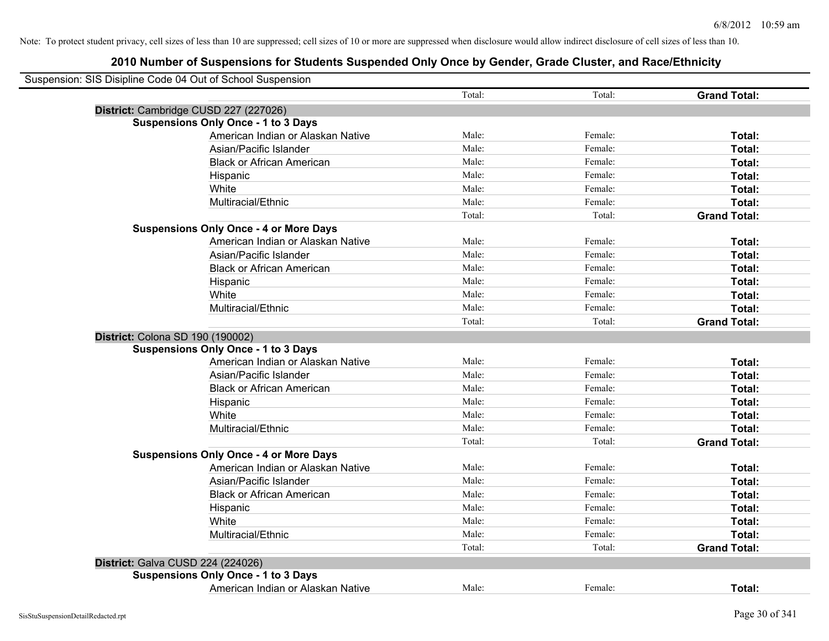| Suspension: SIS Disipline Code 04 Out of School Suspension |        |         |                     |
|------------------------------------------------------------|--------|---------|---------------------|
|                                                            | Total: | Total:  | <b>Grand Total:</b> |
| District: Cambridge CUSD 227 (227026)                      |        |         |                     |
| <b>Suspensions Only Once - 1 to 3 Days</b>                 |        |         |                     |
| American Indian or Alaskan Native                          | Male:  | Female: | Total:              |
| Asian/Pacific Islander                                     | Male:  | Female: | Total:              |
| <b>Black or African American</b>                           | Male:  | Female: | Total:              |
| Hispanic                                                   | Male:  | Female: | Total:              |
| White                                                      | Male:  | Female: | Total:              |
| Multiracial/Ethnic                                         | Male:  | Female: | Total:              |
|                                                            | Total: | Total:  | <b>Grand Total:</b> |
| <b>Suspensions Only Once - 4 or More Days</b>              |        |         |                     |
| American Indian or Alaskan Native                          | Male:  | Female: | Total:              |
| Asian/Pacific Islander                                     | Male:  | Female: | Total:              |
| <b>Black or African American</b>                           | Male:  | Female: | Total:              |
| Hispanic                                                   | Male:  | Female: | Total:              |
| White                                                      | Male:  | Female: | Total:              |
| Multiracial/Ethnic                                         | Male:  | Female: | Total:              |
|                                                            | Total: | Total:  | <b>Grand Total:</b> |
| District: Colona SD 190 (190002)                           |        |         |                     |
| <b>Suspensions Only Once - 1 to 3 Days</b>                 |        |         |                     |
| American Indian or Alaskan Native                          | Male:  | Female: | Total:              |
| Asian/Pacific Islander                                     | Male:  | Female: | Total:              |
| <b>Black or African American</b>                           | Male:  | Female: | Total:              |
| Hispanic                                                   | Male:  | Female: | Total:              |
| White                                                      | Male:  | Female: | Total:              |
| Multiracial/Ethnic                                         | Male:  | Female: | Total:              |
|                                                            | Total: | Total:  | <b>Grand Total:</b> |
| <b>Suspensions Only Once - 4 or More Days</b>              |        |         |                     |
| American Indian or Alaskan Native                          | Male:  | Female: | Total:              |
| Asian/Pacific Islander                                     | Male:  | Female: | Total:              |
| <b>Black or African American</b>                           | Male:  | Female: | Total:              |
| Hispanic                                                   | Male:  | Female: | Total:              |
| White                                                      | Male:  | Female: | Total:              |
| Multiracial/Ethnic                                         | Male:  | Female: | Total:              |
|                                                            | Total: | Total:  | <b>Grand Total:</b> |
| District: Galva CUSD 224 (224026)                          |        |         |                     |
| <b>Suspensions Only Once - 1 to 3 Days</b>                 |        |         |                     |
| American Indian or Alaskan Native                          | Male:  | Female: | Total:              |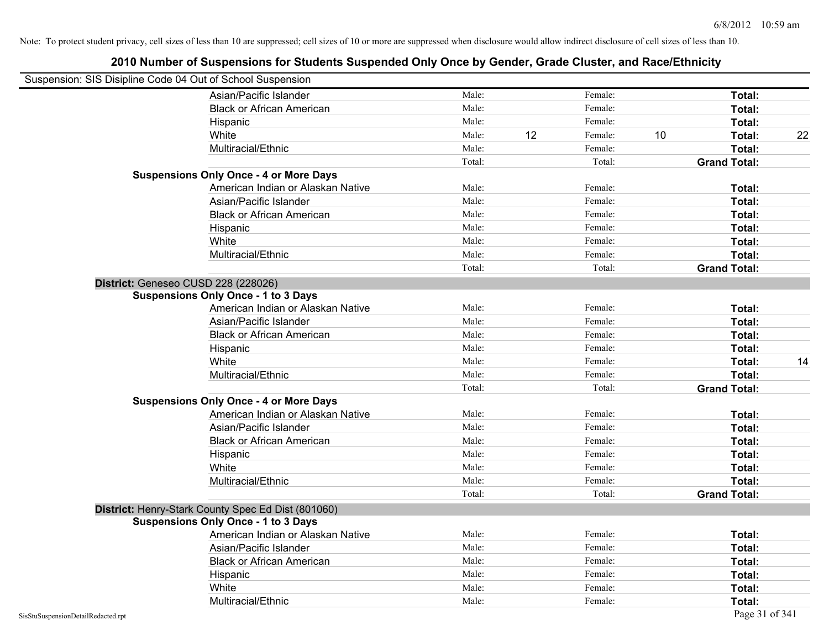| Suspension: SIS Disipline Code 04 Out of School Suspension |                                                    |        |    |         |    |                     |    |
|------------------------------------------------------------|----------------------------------------------------|--------|----|---------|----|---------------------|----|
|                                                            | Asian/Pacific Islander                             | Male:  |    | Female: |    | Total:              |    |
|                                                            | <b>Black or African American</b>                   | Male:  |    | Female: |    | Total:              |    |
|                                                            | Hispanic                                           | Male:  |    | Female: |    | Total:              |    |
|                                                            | White                                              | Male:  | 12 | Female: | 10 | Total:              | 22 |
|                                                            | Multiracial/Ethnic                                 | Male:  |    | Female: |    | Total:              |    |
|                                                            |                                                    | Total: |    | Total:  |    | <b>Grand Total:</b> |    |
|                                                            | <b>Suspensions Only Once - 4 or More Days</b>      |        |    |         |    |                     |    |
|                                                            | American Indian or Alaskan Native                  | Male:  |    | Female: |    | Total:              |    |
|                                                            | Asian/Pacific Islander                             | Male:  |    | Female: |    | Total:              |    |
|                                                            | <b>Black or African American</b>                   | Male:  |    | Female: |    | Total:              |    |
|                                                            | Hispanic                                           | Male:  |    | Female: |    | Total:              |    |
|                                                            | White                                              | Male:  |    | Female: |    | Total:              |    |
|                                                            | Multiracial/Ethnic                                 | Male:  |    | Female: |    | Total:              |    |
|                                                            |                                                    | Total: |    | Total:  |    | <b>Grand Total:</b> |    |
| District: Geneseo CUSD 228 (228026)                        |                                                    |        |    |         |    |                     |    |
|                                                            | <b>Suspensions Only Once - 1 to 3 Days</b>         |        |    |         |    |                     |    |
|                                                            | American Indian or Alaskan Native                  | Male:  |    | Female: |    | Total:              |    |
|                                                            | Asian/Pacific Islander                             | Male:  |    | Female: |    | Total:              |    |
|                                                            | <b>Black or African American</b>                   | Male:  |    | Female: |    | Total:              |    |
|                                                            | Hispanic                                           | Male:  |    | Female: |    | Total:              |    |
|                                                            | White                                              | Male:  |    | Female: |    | Total:              | 14 |
|                                                            | Multiracial/Ethnic                                 | Male:  |    | Female: |    | Total:              |    |
|                                                            |                                                    | Total: |    | Total:  |    | <b>Grand Total:</b> |    |
|                                                            | <b>Suspensions Only Once - 4 or More Days</b>      |        |    |         |    |                     |    |
|                                                            | American Indian or Alaskan Native                  | Male:  |    | Female: |    | Total:              |    |
|                                                            | Asian/Pacific Islander                             | Male:  |    | Female: |    | Total:              |    |
|                                                            | <b>Black or African American</b>                   | Male:  |    | Female: |    | Total:              |    |
|                                                            | Hispanic                                           | Male:  |    | Female: |    | Total:              |    |
|                                                            | White                                              | Male:  |    | Female: |    | Total:              |    |
|                                                            | Multiracial/Ethnic                                 | Male:  |    | Female: |    | Total:              |    |
|                                                            |                                                    | Total: |    | Total:  |    | <b>Grand Total:</b> |    |
|                                                            | District: Henry-Stark County Spec Ed Dist (801060) |        |    |         |    |                     |    |
|                                                            | <b>Suspensions Only Once - 1 to 3 Days</b>         |        |    |         |    |                     |    |
|                                                            | American Indian or Alaskan Native                  | Male:  |    | Female: |    | Total:              |    |
|                                                            | Asian/Pacific Islander                             | Male:  |    | Female: |    | Total:              |    |
|                                                            | <b>Black or African American</b>                   | Male:  |    | Female: |    | Total:              |    |
|                                                            | Hispanic                                           | Male:  |    | Female: |    | Total:              |    |
|                                                            | White                                              | Male:  |    | Female: |    | Total:              |    |
|                                                            | Multiracial/Ethnic                                 | Male:  |    | Female: |    | Total:              |    |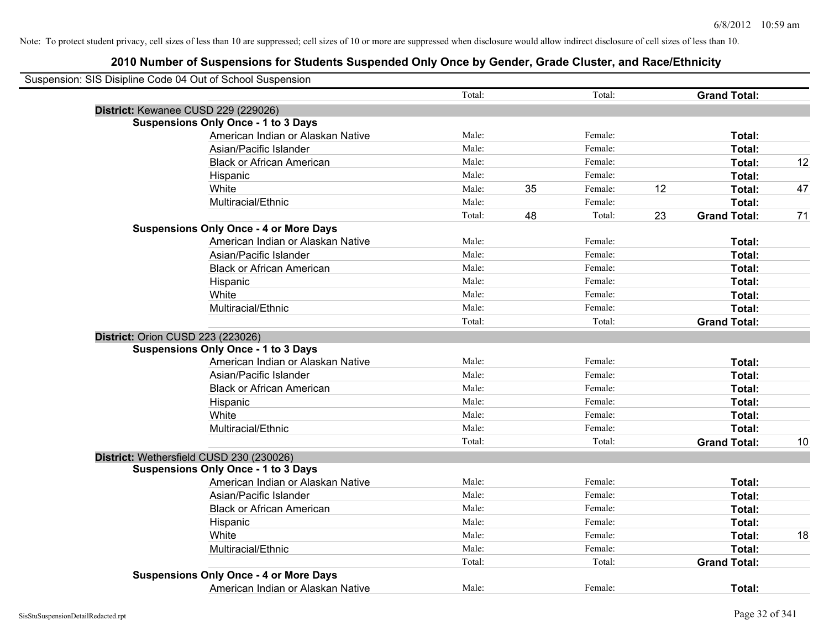| Suspension: SIS Disipline Code 04 Out of School Suspension |        |    |         |    |                     |    |
|------------------------------------------------------------|--------|----|---------|----|---------------------|----|
|                                                            | Total: |    | Total:  |    | <b>Grand Total:</b> |    |
| District: Kewanee CUSD 229 (229026)                        |        |    |         |    |                     |    |
| <b>Suspensions Only Once - 1 to 3 Days</b>                 |        |    |         |    |                     |    |
| American Indian or Alaskan Native                          | Male:  |    | Female: |    | Total:              |    |
| Asian/Pacific Islander                                     | Male:  |    | Female: |    | Total:              |    |
| <b>Black or African American</b>                           | Male:  |    | Female: |    | Total:              | 12 |
| Hispanic                                                   | Male:  |    | Female: |    | Total:              |    |
| White                                                      | Male:  | 35 | Female: | 12 | Total:              | 47 |
| Multiracial/Ethnic                                         | Male:  |    | Female: |    | Total:              |    |
|                                                            | Total: | 48 | Total:  | 23 | <b>Grand Total:</b> | 71 |
| <b>Suspensions Only Once - 4 or More Days</b>              |        |    |         |    |                     |    |
| American Indian or Alaskan Native                          | Male:  |    | Female: |    | Total:              |    |
| Asian/Pacific Islander                                     | Male:  |    | Female: |    | Total:              |    |
| <b>Black or African American</b>                           | Male:  |    | Female: |    | Total:              |    |
| Hispanic                                                   | Male:  |    | Female: |    | Total:              |    |
| White                                                      | Male:  |    | Female: |    | Total:              |    |
| Multiracial/Ethnic                                         | Male:  |    | Female: |    | Total:              |    |
|                                                            | Total: |    | Total:  |    | <b>Grand Total:</b> |    |
| District: Orion CUSD 223 (223026)                          |        |    |         |    |                     |    |
| <b>Suspensions Only Once - 1 to 3 Days</b>                 |        |    |         |    |                     |    |
| American Indian or Alaskan Native                          | Male:  |    | Female: |    | Total:              |    |
| Asian/Pacific Islander                                     | Male:  |    | Female: |    | Total:              |    |
| <b>Black or African American</b>                           | Male:  |    | Female: |    | Total:              |    |
| Hispanic                                                   | Male:  |    | Female: |    | Total:              |    |
| White                                                      | Male:  |    | Female: |    | Total:              |    |
| Multiracial/Ethnic                                         | Male:  |    | Female: |    | Total:              |    |
|                                                            | Total: |    | Total:  |    | <b>Grand Total:</b> | 10 |
| District: Wethersfield CUSD 230 (230026)                   |        |    |         |    |                     |    |
| <b>Suspensions Only Once - 1 to 3 Days</b>                 |        |    |         |    |                     |    |
| American Indian or Alaskan Native                          | Male:  |    | Female: |    | Total:              |    |
| Asian/Pacific Islander                                     | Male:  |    | Female: |    | Total:              |    |
| <b>Black or African American</b>                           | Male:  |    | Female: |    | Total:              |    |
| Hispanic                                                   | Male:  |    | Female: |    | Total:              |    |
| White                                                      | Male:  |    | Female: |    | Total:              | 18 |
| Multiracial/Ethnic                                         | Male:  |    | Female: |    | Total:              |    |
|                                                            | Total: |    | Total:  |    | <b>Grand Total:</b> |    |
| <b>Suspensions Only Once - 4 or More Days</b>              |        |    |         |    |                     |    |
| American Indian or Alaskan Native                          | Male:  |    | Female: |    | Total:              |    |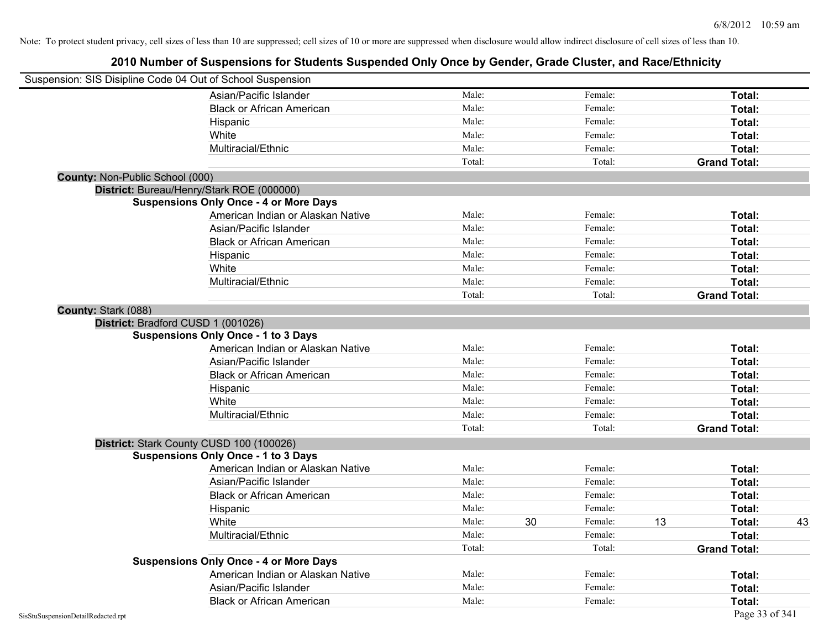|                                 | Suspension: SIS Disipline Code 04 Out of School Suspension |        |               |                     |    |
|---------------------------------|------------------------------------------------------------|--------|---------------|---------------------|----|
|                                 | Asian/Pacific Islander                                     | Male:  | Female:       | Total:              |    |
|                                 | <b>Black or African American</b>                           | Male:  | Female:       | Total:              |    |
|                                 | Hispanic                                                   | Male:  | Female:       | Total:              |    |
|                                 | White                                                      | Male:  | Female:       | Total:              |    |
|                                 | Multiracial/Ethnic                                         | Male:  | Female:       | Total:              |    |
|                                 |                                                            | Total: | Total:        | <b>Grand Total:</b> |    |
| County: Non-Public School (000) |                                                            |        |               |                     |    |
|                                 | District: Bureau/Henry/Stark ROE (000000)                  |        |               |                     |    |
|                                 | <b>Suspensions Only Once - 4 or More Days</b>              |        |               |                     |    |
|                                 | American Indian or Alaskan Native                          | Male:  | Female:       | Total:              |    |
|                                 | Asian/Pacific Islander                                     | Male:  | Female:       | Total:              |    |
|                                 | <b>Black or African American</b>                           | Male:  | Female:       | Total:              |    |
|                                 | Hispanic                                                   | Male:  | Female:       | Total:              |    |
|                                 | White                                                      | Male:  | Female:       | Total:              |    |
|                                 | Multiracial/Ethnic                                         | Male:  | Female:       | Total:              |    |
|                                 |                                                            | Total: | Total:        | <b>Grand Total:</b> |    |
| County: Stark (088)             |                                                            |        |               |                     |    |
|                                 | District: Bradford CUSD 1 (001026)                         |        |               |                     |    |
|                                 | <b>Suspensions Only Once - 1 to 3 Days</b>                 |        |               |                     |    |
|                                 | American Indian or Alaskan Native                          | Male:  | Female:       | Total:              |    |
|                                 | Asian/Pacific Islander                                     | Male:  | Female:       | Total:              |    |
|                                 | <b>Black or African American</b>                           | Male:  | Female:       | Total:              |    |
|                                 | Hispanic                                                   | Male:  | Female:       | Total:              |    |
|                                 | White                                                      | Male:  | Female:       | Total:              |    |
|                                 | Multiracial/Ethnic                                         | Male:  | Female:       | Total:              |    |
|                                 |                                                            | Total: | Total:        | <b>Grand Total:</b> |    |
|                                 | District: Stark County CUSD 100 (100026)                   |        |               |                     |    |
|                                 | <b>Suspensions Only Once - 1 to 3 Days</b>                 |        |               |                     |    |
|                                 | American Indian or Alaskan Native                          | Male:  | Female:       | Total:              |    |
|                                 | Asian/Pacific Islander                                     | Male:  | Female:       | Total:              |    |
|                                 | <b>Black or African American</b>                           | Male:  | Female:       | Total:              |    |
|                                 | Hispanic                                                   | Male:  | Female:       | Total:              |    |
|                                 | White                                                      | Male:  | 30<br>Female: | 13<br>Total:        | 43 |
|                                 | Multiracial/Ethnic                                         | Male:  | Female:       | Total:              |    |
|                                 |                                                            | Total: | Total:        | <b>Grand Total:</b> |    |
|                                 | <b>Suspensions Only Once - 4 or More Days</b>              |        |               |                     |    |
|                                 | American Indian or Alaskan Native                          | Male:  | Female:       | Total:              |    |
|                                 | Asian/Pacific Islander                                     | Male:  | Female:       | Total:              |    |
|                                 | <b>Black or African American</b>                           | Male:  | Female:       | Total:              |    |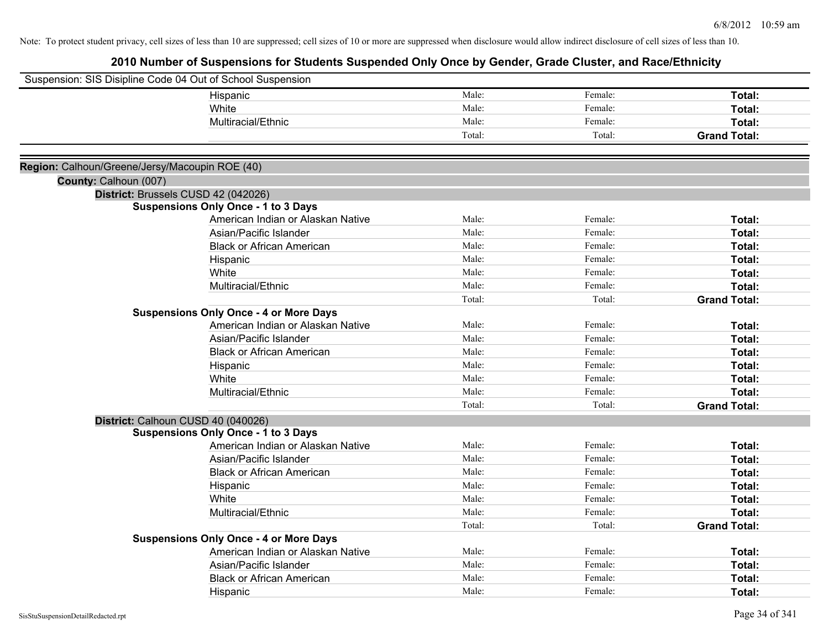|                                                | Suspension: SIS Disipline Code 04 Out of School Suspension                         |        |         |                     |
|------------------------------------------------|------------------------------------------------------------------------------------|--------|---------|---------------------|
|                                                | Hispanic                                                                           | Male:  | Female: | Total:              |
|                                                | White                                                                              | Male:  | Female: | Total:              |
|                                                | Multiracial/Ethnic                                                                 | Male:  | Female: | Total:              |
|                                                |                                                                                    | Total: | Total:  | <b>Grand Total:</b> |
|                                                |                                                                                    |        |         |                     |
| Region: Calhoun/Greene/Jersy/Macoupin ROE (40) |                                                                                    |        |         |                     |
| County: Calhoun (007)                          |                                                                                    |        |         |                     |
|                                                | District: Brussels CUSD 42 (042026)                                                |        |         |                     |
|                                                | <b>Suspensions Only Once - 1 to 3 Days</b>                                         |        |         |                     |
|                                                | American Indian or Alaskan Native                                                  | Male:  | Female: | Total:              |
|                                                | Asian/Pacific Islander                                                             | Male:  | Female: | Total:              |
|                                                | <b>Black or African American</b>                                                   | Male:  | Female: | Total:              |
|                                                | Hispanic                                                                           | Male:  | Female: | Total:              |
|                                                | White                                                                              | Male:  | Female: | Total:              |
|                                                | Multiracial/Ethnic                                                                 | Male:  | Female: | Total:              |
|                                                |                                                                                    | Total: | Total:  | <b>Grand Total:</b> |
|                                                | <b>Suspensions Only Once - 4 or More Days</b>                                      |        |         |                     |
|                                                | American Indian or Alaskan Native                                                  | Male:  | Female: | Total:              |
|                                                | Asian/Pacific Islander                                                             | Male:  | Female: | Total:              |
|                                                | <b>Black or African American</b>                                                   | Male:  | Female: | Total:              |
|                                                | Hispanic                                                                           | Male:  | Female: | Total:              |
|                                                | White                                                                              | Male:  | Female: | Total:              |
|                                                | Multiracial/Ethnic                                                                 | Male:  | Female: | Total:              |
|                                                |                                                                                    | Total: | Total:  | <b>Grand Total:</b> |
|                                                |                                                                                    |        |         |                     |
|                                                | District: Calhoun CUSD 40 (040026)                                                 |        |         |                     |
|                                                | <b>Suspensions Only Once - 1 to 3 Days</b><br>American Indian or Alaskan Native    | Male:  | Female: | Total:              |
|                                                | Asian/Pacific Islander                                                             | Male:  | Female: | Total:              |
|                                                | <b>Black or African American</b>                                                   | Male:  | Female: |                     |
|                                                |                                                                                    | Male:  | Female: | Total:              |
|                                                | Hispanic<br>White                                                                  | Male:  |         | Total:              |
|                                                | Multiracial/Ethnic                                                                 | Male:  | Female: | Total:              |
|                                                |                                                                                    |        | Female: | Total:              |
|                                                |                                                                                    | Total: | Total:  | <b>Grand Total:</b> |
|                                                | <b>Suspensions Only Once - 4 or More Days</b><br>American Indian or Alaskan Native | Male:  | Female: |                     |
|                                                | Asian/Pacific Islander                                                             | Male:  | Female: | Total:              |
|                                                |                                                                                    | Male:  |         | Total:              |
|                                                | <b>Black or African American</b>                                                   |        | Female: | Total:              |
|                                                | Hispanic                                                                           | Male:  | Female: | Total:              |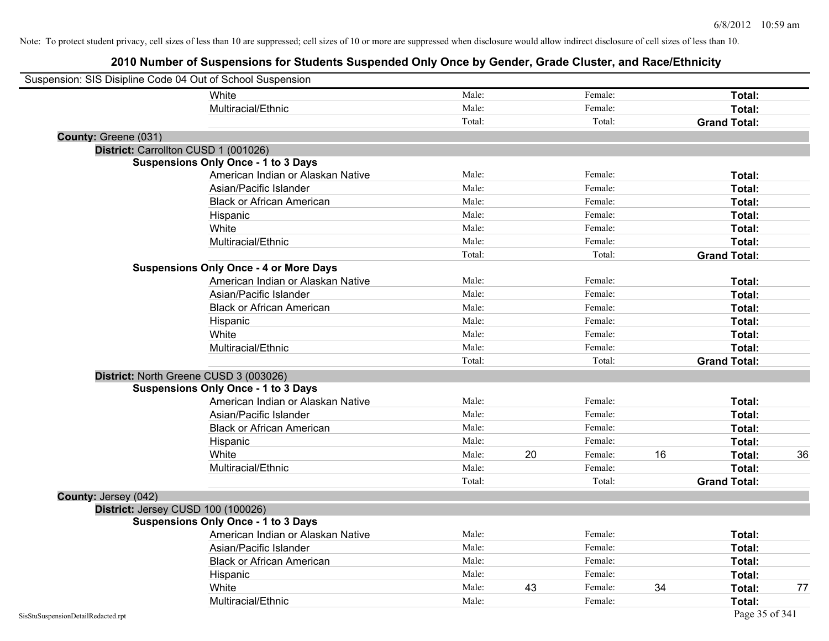| Suspension: SIS Disipline Code 04 Out of School Suspension |                                               |        |    |         |    |                     |    |
|------------------------------------------------------------|-----------------------------------------------|--------|----|---------|----|---------------------|----|
|                                                            | White                                         | Male:  |    | Female: |    | Total:              |    |
|                                                            | Multiracial/Ethnic                            | Male:  |    | Female: |    | Total:              |    |
|                                                            |                                               | Total: |    | Total:  |    | <b>Grand Total:</b> |    |
| County: Greene (031)                                       |                                               |        |    |         |    |                     |    |
| District: Carrollton CUSD 1 (001026)                       |                                               |        |    |         |    |                     |    |
|                                                            | <b>Suspensions Only Once - 1 to 3 Days</b>    |        |    |         |    |                     |    |
|                                                            | American Indian or Alaskan Native             | Male:  |    | Female: |    | Total:              |    |
|                                                            | Asian/Pacific Islander                        | Male:  |    | Female: |    | Total:              |    |
|                                                            | <b>Black or African American</b>              | Male:  |    | Female: |    | Total:              |    |
|                                                            | Hispanic                                      | Male:  |    | Female: |    | Total:              |    |
|                                                            | White                                         | Male:  |    | Female: |    | Total:              |    |
|                                                            | Multiracial/Ethnic                            | Male:  |    | Female: |    | Total:              |    |
|                                                            |                                               | Total: |    | Total:  |    | <b>Grand Total:</b> |    |
|                                                            | <b>Suspensions Only Once - 4 or More Days</b> |        |    |         |    |                     |    |
|                                                            | American Indian or Alaskan Native             | Male:  |    | Female: |    | Total:              |    |
|                                                            | Asian/Pacific Islander                        | Male:  |    | Female: |    | Total:              |    |
|                                                            | <b>Black or African American</b>              | Male:  |    | Female: |    | Total:              |    |
|                                                            | Hispanic                                      | Male:  |    | Female: |    | Total:              |    |
|                                                            | White                                         | Male:  |    | Female: |    | Total:              |    |
|                                                            | Multiracial/Ethnic                            | Male:  |    | Female: |    | Total:              |    |
|                                                            |                                               | Total: |    | Total:  |    | <b>Grand Total:</b> |    |
|                                                            | District: North Greene CUSD 3 (003026)        |        |    |         |    |                     |    |
|                                                            | <b>Suspensions Only Once - 1 to 3 Days</b>    |        |    |         |    |                     |    |
|                                                            | American Indian or Alaskan Native             | Male:  |    | Female: |    | Total:              |    |
|                                                            | Asian/Pacific Islander                        | Male:  |    | Female: |    | Total:              |    |
|                                                            | <b>Black or African American</b>              | Male:  |    | Female: |    | Total:              |    |
|                                                            | Hispanic                                      | Male:  |    | Female: |    | Total:              |    |
|                                                            | White                                         | Male:  | 20 | Female: | 16 | Total:              | 36 |
|                                                            | Multiracial/Ethnic                            | Male:  |    | Female: |    | Total:              |    |
|                                                            |                                               | Total: |    | Total:  |    | <b>Grand Total:</b> |    |
| County: Jersey (042)                                       |                                               |        |    |         |    |                     |    |
| District: Jersey CUSD 100 (100026)                         |                                               |        |    |         |    |                     |    |
|                                                            | <b>Suspensions Only Once - 1 to 3 Days</b>    |        |    |         |    |                     |    |
|                                                            | American Indian or Alaskan Native             | Male:  |    | Female: |    | Total:              |    |
|                                                            | Asian/Pacific Islander                        | Male:  |    | Female: |    | Total:              |    |
|                                                            | <b>Black or African American</b>              | Male:  |    | Female: |    | Total:              |    |
|                                                            | Hispanic                                      | Male:  |    | Female: |    | Total:              |    |
|                                                            | White                                         | Male:  | 43 | Female: | 34 | Total:              | 77 |
|                                                            | Multiracial/Ethnic                            | Male:  |    | Female: |    | Total:              |    |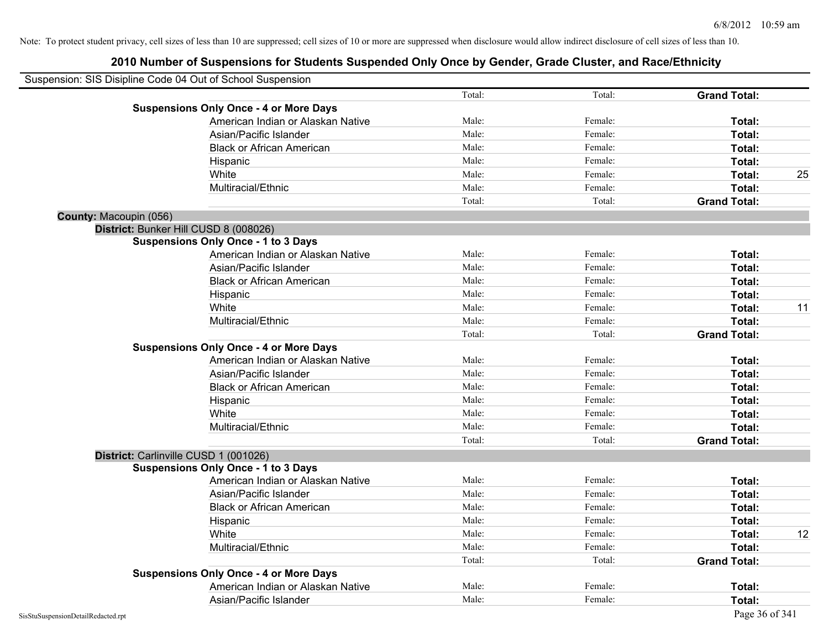|                        | Suspension: SIS Disipline Code 04 Out of School Suspension |        |         |                     |    |
|------------------------|------------------------------------------------------------|--------|---------|---------------------|----|
|                        |                                                            | Total: | Total:  | <b>Grand Total:</b> |    |
|                        | <b>Suspensions Only Once - 4 or More Days</b>              |        |         |                     |    |
|                        | American Indian or Alaskan Native                          | Male:  | Female: | Total:              |    |
|                        | Asian/Pacific Islander                                     | Male:  | Female: | Total:              |    |
|                        | <b>Black or African American</b>                           | Male:  | Female: | Total:              |    |
|                        | Hispanic                                                   | Male:  | Female: | Total:              |    |
|                        | White                                                      | Male:  | Female: | Total:              | 25 |
|                        | Multiracial/Ethnic                                         | Male:  | Female: | Total:              |    |
|                        |                                                            | Total: | Total:  | <b>Grand Total:</b> |    |
| County: Macoupin (056) |                                                            |        |         |                     |    |
|                        | District: Bunker Hill CUSD 8 (008026)                      |        |         |                     |    |
|                        | <b>Suspensions Only Once - 1 to 3 Days</b>                 |        |         |                     |    |
|                        | American Indian or Alaskan Native                          | Male:  | Female: | Total:              |    |
|                        | Asian/Pacific Islander                                     | Male:  | Female: | Total:              |    |
|                        | <b>Black or African American</b>                           | Male:  | Female: | Total:              |    |
|                        | Hispanic                                                   | Male:  | Female: | Total:              |    |
|                        | White                                                      | Male:  | Female: | Total:              | 11 |
|                        | Multiracial/Ethnic                                         | Male:  | Female: | Total:              |    |
|                        |                                                            | Total: | Total:  | <b>Grand Total:</b> |    |
|                        | <b>Suspensions Only Once - 4 or More Days</b>              |        |         |                     |    |
|                        | American Indian or Alaskan Native                          | Male:  | Female: | Total:              |    |
|                        | Asian/Pacific Islander                                     | Male:  | Female: | Total:              |    |
|                        | <b>Black or African American</b>                           | Male:  | Female: | Total:              |    |
|                        | Hispanic                                                   | Male:  | Female: | Total:              |    |
|                        | White                                                      | Male:  | Female: | Total:              |    |
|                        | Multiracial/Ethnic                                         | Male:  | Female: | Total:              |    |
|                        |                                                            | Total: | Total:  | <b>Grand Total:</b> |    |
|                        | District: Carlinville CUSD 1 (001026)                      |        |         |                     |    |
|                        | <b>Suspensions Only Once - 1 to 3 Days</b>                 |        |         |                     |    |
|                        | American Indian or Alaskan Native                          | Male:  | Female: | Total:              |    |
|                        | Asian/Pacific Islander                                     | Male:  | Female: | Total:              |    |
|                        | <b>Black or African American</b>                           | Male:  | Female: | Total:              |    |
|                        | Hispanic                                                   | Male:  | Female: | Total:              |    |
|                        | White                                                      | Male:  | Female: | Total:              | 12 |
|                        | Multiracial/Ethnic                                         | Male:  | Female: | Total:              |    |
|                        |                                                            | Total: | Total:  | <b>Grand Total:</b> |    |
|                        | <b>Suspensions Only Once - 4 or More Days</b>              |        |         |                     |    |
|                        | American Indian or Alaskan Native                          | Male:  | Female: | Total:              |    |
|                        | Asian/Pacific Islander                                     | Male:  | Female: | Total:              |    |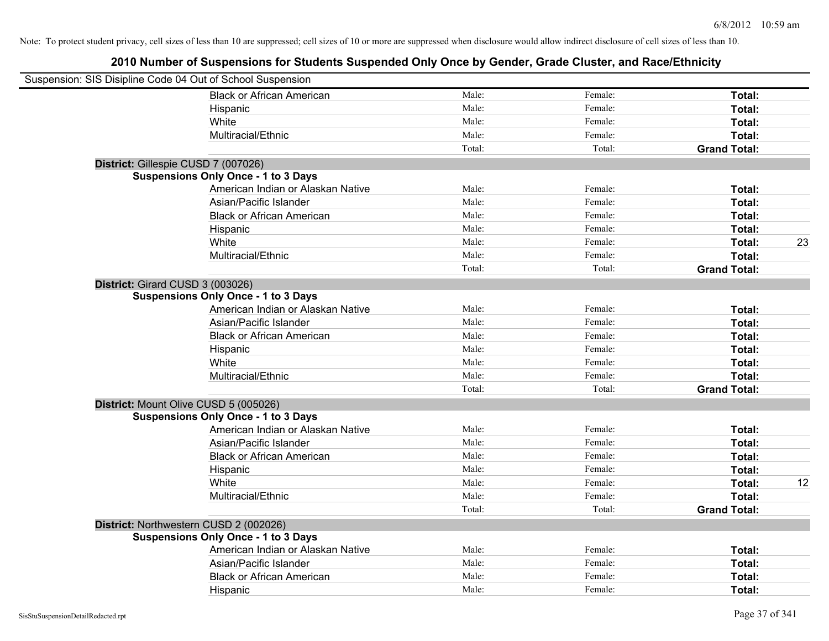| Suspension: SIS Disipline Code 04 Out of School Suspension |                                            |        |         |                     |    |
|------------------------------------------------------------|--------------------------------------------|--------|---------|---------------------|----|
|                                                            | <b>Black or African American</b>           | Male:  | Female: | Total:              |    |
|                                                            | Hispanic                                   | Male:  | Female: | Total:              |    |
|                                                            | White                                      | Male:  | Female: | Total:              |    |
|                                                            | Multiracial/Ethnic                         | Male:  | Female: | Total:              |    |
|                                                            |                                            | Total: | Total:  | <b>Grand Total:</b> |    |
|                                                            | District: Gillespie CUSD 7 (007026)        |        |         |                     |    |
|                                                            | <b>Suspensions Only Once - 1 to 3 Days</b> |        |         |                     |    |
|                                                            | American Indian or Alaskan Native          | Male:  | Female: | Total:              |    |
|                                                            | Asian/Pacific Islander                     | Male:  | Female: | Total:              |    |
|                                                            | <b>Black or African American</b>           | Male:  | Female: | Total:              |    |
|                                                            | Hispanic                                   | Male:  | Female: | Total:              |    |
|                                                            | White                                      | Male:  | Female: | Total:              | 23 |
|                                                            | Multiracial/Ethnic                         | Male:  | Female: | Total:              |    |
|                                                            |                                            | Total: | Total:  | <b>Grand Total:</b> |    |
| District: Girard CUSD 3 (003026)                           |                                            |        |         |                     |    |
|                                                            | <b>Suspensions Only Once - 1 to 3 Days</b> |        |         |                     |    |
|                                                            | American Indian or Alaskan Native          | Male:  | Female: | Total:              |    |
|                                                            | Asian/Pacific Islander                     | Male:  | Female: | Total:              |    |
|                                                            | <b>Black or African American</b>           | Male:  | Female: | Total:              |    |
|                                                            | Hispanic                                   | Male:  | Female: | Total:              |    |
|                                                            | White                                      | Male:  | Female: | Total:              |    |
|                                                            | Multiracial/Ethnic                         | Male:  | Female: | Total:              |    |
|                                                            |                                            | Total: | Total:  | <b>Grand Total:</b> |    |
|                                                            | District: Mount Olive CUSD 5 (005026)      |        |         |                     |    |
|                                                            | <b>Suspensions Only Once - 1 to 3 Days</b> |        |         |                     |    |
|                                                            | American Indian or Alaskan Native          | Male:  | Female: | Total:              |    |
|                                                            | Asian/Pacific Islander                     | Male:  | Female: | Total:              |    |
|                                                            | <b>Black or African American</b>           | Male:  | Female: | Total:              |    |
|                                                            | Hispanic                                   | Male:  | Female: | Total:              |    |
|                                                            | White                                      | Male:  | Female: | Total:              | 12 |
|                                                            | Multiracial/Ethnic                         | Male:  | Female: | Total:              |    |
|                                                            |                                            | Total: | Total:  | <b>Grand Total:</b> |    |
|                                                            | District: Northwestern CUSD 2 (002026)     |        |         |                     |    |
|                                                            | <b>Suspensions Only Once - 1 to 3 Days</b> |        |         |                     |    |
|                                                            | American Indian or Alaskan Native          | Male:  | Female: | Total:              |    |
|                                                            | Asian/Pacific Islander                     | Male:  | Female: | Total:              |    |
|                                                            | <b>Black or African American</b>           | Male:  | Female: | Total:              |    |
|                                                            | Hispanic                                   | Male:  | Female: | Total:              |    |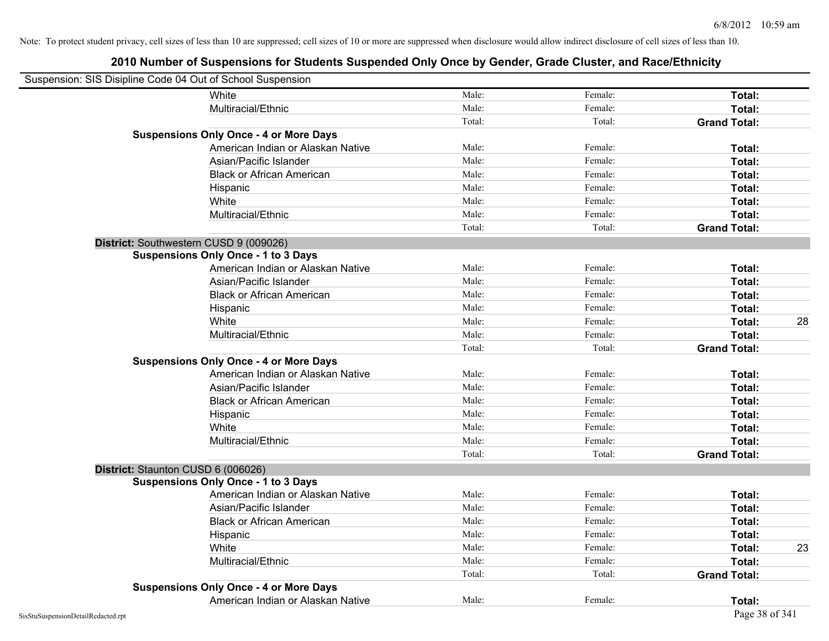| Suspension: SIS Disipline Code 04 Out of School Suspension |                                               |        |         |                     |    |
|------------------------------------------------------------|-----------------------------------------------|--------|---------|---------------------|----|
|                                                            | White                                         | Male:  | Female: | Total:              |    |
|                                                            | Multiracial/Ethnic                            | Male:  | Female: | Total:              |    |
|                                                            |                                               | Total: | Total:  | <b>Grand Total:</b> |    |
|                                                            | <b>Suspensions Only Once - 4 or More Days</b> |        |         |                     |    |
|                                                            | American Indian or Alaskan Native             | Male:  | Female: | Total:              |    |
|                                                            | Asian/Pacific Islander                        | Male:  | Female: | Total:              |    |
|                                                            | <b>Black or African American</b>              | Male:  | Female: | Total:              |    |
|                                                            | Hispanic                                      | Male:  | Female: | Total:              |    |
|                                                            | White                                         | Male:  | Female: | Total:              |    |
|                                                            | Multiracial/Ethnic                            | Male:  | Female: | Total:              |    |
|                                                            |                                               | Total: | Total:  | <b>Grand Total:</b> |    |
|                                                            | District: Southwestern CUSD 9 (009026)        |        |         |                     |    |
|                                                            | <b>Suspensions Only Once - 1 to 3 Days</b>    |        |         |                     |    |
|                                                            | American Indian or Alaskan Native             | Male:  | Female: | Total:              |    |
|                                                            | Asian/Pacific Islander                        | Male:  | Female: | Total:              |    |
|                                                            | <b>Black or African American</b>              | Male:  | Female: | Total:              |    |
|                                                            | Hispanic                                      | Male:  | Female: | Total:              |    |
|                                                            | White                                         | Male:  | Female: | Total:              | 28 |
|                                                            | Multiracial/Ethnic                            | Male:  | Female: | Total:              |    |
|                                                            |                                               | Total: | Total:  | <b>Grand Total:</b> |    |
|                                                            | <b>Suspensions Only Once - 4 or More Days</b> |        |         |                     |    |
|                                                            | American Indian or Alaskan Native             | Male:  | Female: | Total:              |    |
|                                                            | Asian/Pacific Islander                        | Male:  | Female: | Total:              |    |
|                                                            | <b>Black or African American</b>              | Male:  | Female: | Total:              |    |
|                                                            | Hispanic                                      | Male:  | Female: | Total:              |    |
|                                                            | White                                         | Male:  | Female: | Total:              |    |
|                                                            | Multiracial/Ethnic                            | Male:  | Female: | Total:              |    |
|                                                            |                                               | Total: | Total:  | <b>Grand Total:</b> |    |
| District: Staunton CUSD 6 (006026)                         |                                               |        |         |                     |    |
|                                                            | <b>Suspensions Only Once - 1 to 3 Days</b>    |        |         |                     |    |
|                                                            | American Indian or Alaskan Native             | Male:  | Female: | Total:              |    |
|                                                            | Asian/Pacific Islander                        | Male:  | Female: | Total:              |    |
|                                                            | <b>Black or African American</b>              | Male:  | Female: | Total:              |    |
|                                                            | Hispanic                                      | Male:  | Female: | Total:              |    |
|                                                            | White                                         | Male:  | Female: | Total:              | 23 |
|                                                            | Multiracial/Ethnic                            | Male:  | Female: | Total:              |    |
|                                                            |                                               | Total: | Total:  | <b>Grand Total:</b> |    |
|                                                            | <b>Suspensions Only Once - 4 or More Days</b> |        |         |                     |    |
|                                                            | American Indian or Alaskan Native             | Male:  | Female: | Total:              |    |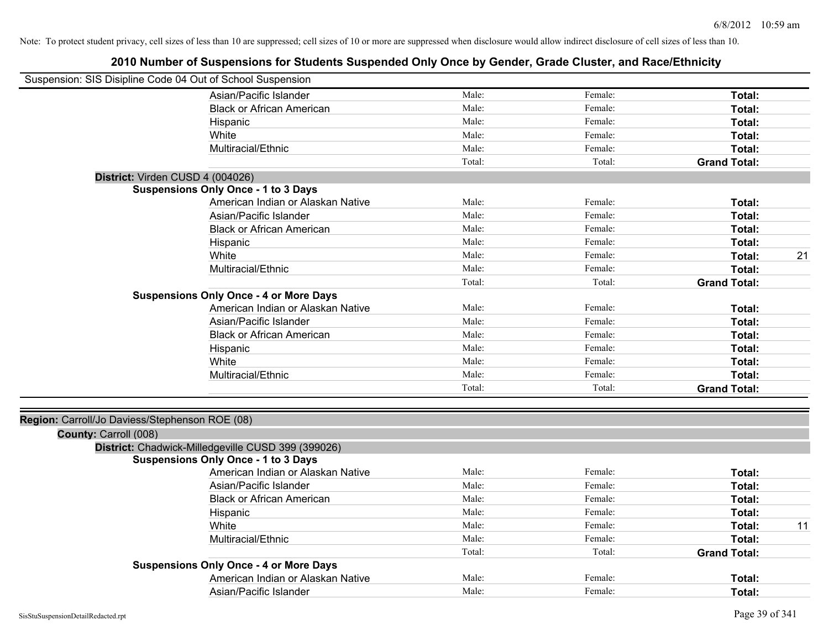| Suspension: SIS Disipline Code 04 Out of School Suspension |                                                    |        |         |                     |    |
|------------------------------------------------------------|----------------------------------------------------|--------|---------|---------------------|----|
|                                                            | Asian/Pacific Islander                             | Male:  | Female: | Total:              |    |
|                                                            | <b>Black or African American</b>                   | Male:  | Female: | Total:              |    |
|                                                            | Hispanic                                           | Male:  | Female: | <b>Total:</b>       |    |
|                                                            | White                                              | Male:  | Female: | Total:              |    |
|                                                            | Multiracial/Ethnic                                 | Male:  | Female: | <b>Total:</b>       |    |
|                                                            |                                                    | Total: | Total:  | <b>Grand Total:</b> |    |
|                                                            | District: Virden CUSD 4 (004026)                   |        |         |                     |    |
|                                                            | <b>Suspensions Only Once - 1 to 3 Days</b>         |        |         |                     |    |
|                                                            | American Indian or Alaskan Native                  | Male:  | Female: | Total:              |    |
|                                                            | Asian/Pacific Islander                             | Male:  | Female: | Total:              |    |
|                                                            | <b>Black or African American</b>                   | Male:  | Female: | Total:              |    |
|                                                            | Hispanic                                           | Male:  | Female: | <b>Total:</b>       |    |
|                                                            | White                                              | Male:  | Female: | <b>Total:</b>       | 21 |
|                                                            | Multiracial/Ethnic                                 | Male:  | Female: | <b>Total:</b>       |    |
|                                                            |                                                    | Total: | Total:  | <b>Grand Total:</b> |    |
|                                                            | <b>Suspensions Only Once - 4 or More Days</b>      |        |         |                     |    |
|                                                            | American Indian or Alaskan Native                  | Male:  | Female: | <b>Total:</b>       |    |
|                                                            | Asian/Pacific Islander                             | Male:  | Female: | Total:              |    |
|                                                            | <b>Black or African American</b>                   | Male:  | Female: | Total:              |    |
|                                                            | Hispanic                                           | Male:  | Female: | Total:              |    |
|                                                            | White                                              | Male:  | Female: | Total:              |    |
|                                                            | Multiracial/Ethnic                                 | Male:  | Female: | <b>Total:</b>       |    |
|                                                            |                                                    | Total: | Total:  | <b>Grand Total:</b> |    |
| Region: Carroll/Jo Daviess/Stephenson ROE (08)             |                                                    |        |         |                     |    |
| County: Carroll (008)                                      |                                                    |        |         |                     |    |
|                                                            | District: Chadwick-Milledgeville CUSD 399 (399026) |        |         |                     |    |
|                                                            | <b>Suspensions Only Once - 1 to 3 Days</b>         |        |         |                     |    |
|                                                            | American Indian or Alaskan Native                  | Male:  | Female: | <b>Total:</b>       |    |
|                                                            | Asian/Pacific Islander                             | Male:  | Female: | <b>Total:</b>       |    |
|                                                            | <b>Black or African American</b>                   | Male:  | Female: | <b>Total:</b>       |    |
|                                                            | Hispanic                                           | Male:  | Female: | <b>Total:</b>       |    |
|                                                            | White                                              | Male:  | Female: | Total:              | 11 |
|                                                            | Multiracial/Ethnic                                 | Male:  | Female: | Total:              |    |
|                                                            |                                                    | Total: | Total:  | <b>Grand Total:</b> |    |
|                                                            | <b>Suspensions Only Once - 4 or More Days</b>      |        |         |                     |    |
|                                                            | American Indian or Alaskan Native                  | Male:  | Female: | <b>Total:</b>       |    |
|                                                            | Asian/Pacific Islander                             | Male:  | Female: | Total:              |    |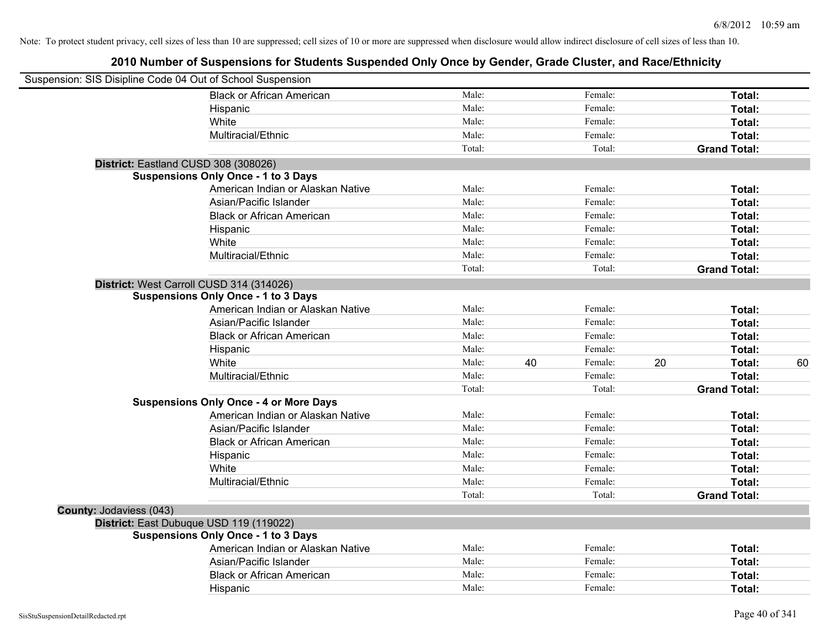| Suspension: SIS Disipline Code 04 Out of School Suspension |                                               |        |    |         |    |                     |    |
|------------------------------------------------------------|-----------------------------------------------|--------|----|---------|----|---------------------|----|
|                                                            | <b>Black or African American</b>              | Male:  |    | Female: |    | Total:              |    |
|                                                            | Hispanic                                      | Male:  |    | Female: |    | Total:              |    |
|                                                            | White                                         | Male:  |    | Female: |    | Total:              |    |
|                                                            | Multiracial/Ethnic                            | Male:  |    | Female: |    | Total:              |    |
|                                                            |                                               | Total: |    | Total:  |    | <b>Grand Total:</b> |    |
| District: Eastland CUSD 308 (308026)                       |                                               |        |    |         |    |                     |    |
|                                                            | <b>Suspensions Only Once - 1 to 3 Days</b>    |        |    |         |    |                     |    |
|                                                            | American Indian or Alaskan Native             | Male:  |    | Female: |    | Total:              |    |
|                                                            | Asian/Pacific Islander                        | Male:  |    | Female: |    | Total:              |    |
|                                                            | <b>Black or African American</b>              | Male:  |    | Female: |    | Total:              |    |
|                                                            | Hispanic                                      | Male:  |    | Female: |    | Total:              |    |
|                                                            | White                                         | Male:  |    | Female: |    | Total:              |    |
|                                                            | Multiracial/Ethnic                            | Male:  |    | Female: |    | Total:              |    |
|                                                            |                                               | Total: |    | Total:  |    | <b>Grand Total:</b> |    |
|                                                            | District: West Carroll CUSD 314 (314026)      |        |    |         |    |                     |    |
|                                                            | <b>Suspensions Only Once - 1 to 3 Days</b>    |        |    |         |    |                     |    |
|                                                            | American Indian or Alaskan Native             | Male:  |    | Female: |    | Total:              |    |
|                                                            | Asian/Pacific Islander                        | Male:  |    | Female: |    | Total:              |    |
|                                                            | <b>Black or African American</b>              | Male:  |    | Female: |    | Total:              |    |
|                                                            | Hispanic                                      | Male:  |    | Female: |    | Total:              |    |
|                                                            | White                                         | Male:  | 40 | Female: | 20 | Total:              | 60 |
|                                                            | Multiracial/Ethnic                            | Male:  |    | Female: |    | Total:              |    |
|                                                            |                                               | Total: |    | Total:  |    | <b>Grand Total:</b> |    |
|                                                            | <b>Suspensions Only Once - 4 or More Days</b> |        |    |         |    |                     |    |
|                                                            | American Indian or Alaskan Native             | Male:  |    | Female: |    | Total:              |    |
|                                                            | Asian/Pacific Islander                        | Male:  |    | Female: |    | Total:              |    |
|                                                            | <b>Black or African American</b>              | Male:  |    | Female: |    | Total:              |    |
|                                                            | Hispanic                                      | Male:  |    | Female: |    | Total:              |    |
|                                                            | White                                         | Male:  |    | Female: |    | Total:              |    |
|                                                            | Multiracial/Ethnic                            | Male:  |    | Female: |    | Total:              |    |
|                                                            |                                               | Total: |    | Total:  |    | <b>Grand Total:</b> |    |
| County: Jodaviess (043)                                    |                                               |        |    |         |    |                     |    |
|                                                            | District: East Dubuque USD 119 (119022)       |        |    |         |    |                     |    |
|                                                            | <b>Suspensions Only Once - 1 to 3 Days</b>    |        |    |         |    |                     |    |
|                                                            | American Indian or Alaskan Native             | Male:  |    | Female: |    | <b>Total:</b>       |    |
|                                                            | Asian/Pacific Islander                        | Male:  |    | Female: |    | Total:              |    |
|                                                            | <b>Black or African American</b>              | Male:  |    | Female: |    | Total:              |    |
|                                                            | Hispanic                                      | Male:  |    | Female: |    | Total:              |    |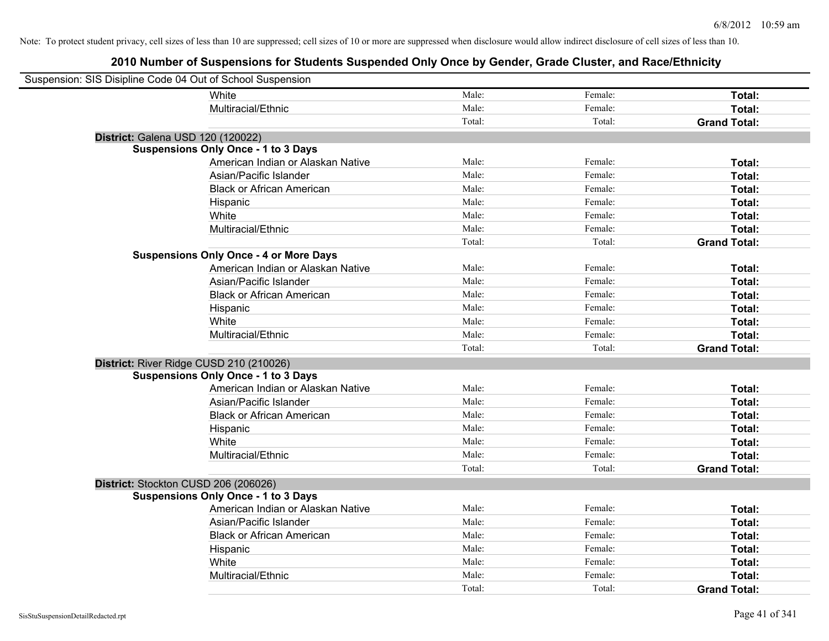| Suspension: SIS Disipline Code 04 Out of School Suspension |                                               |        |         |                     |
|------------------------------------------------------------|-----------------------------------------------|--------|---------|---------------------|
|                                                            | White                                         | Male:  | Female: | Total:              |
|                                                            | Multiracial/Ethnic                            | Male:  | Female: | Total:              |
|                                                            |                                               | Total: | Total:  | <b>Grand Total:</b> |
| District: Galena USD 120 (120022)                          |                                               |        |         |                     |
|                                                            | <b>Suspensions Only Once - 1 to 3 Days</b>    |        |         |                     |
|                                                            | American Indian or Alaskan Native             | Male:  | Female: | Total:              |
|                                                            | Asian/Pacific Islander                        | Male:  | Female: | Total:              |
|                                                            | <b>Black or African American</b>              | Male:  | Female: | Total:              |
|                                                            | Hispanic                                      | Male:  | Female: | Total:              |
|                                                            | White                                         | Male:  | Female: | Total:              |
|                                                            | Multiracial/Ethnic                            | Male:  | Female: | Total:              |
|                                                            |                                               | Total: | Total:  | <b>Grand Total:</b> |
|                                                            | <b>Suspensions Only Once - 4 or More Days</b> |        |         |                     |
|                                                            | American Indian or Alaskan Native             | Male:  | Female: | Total:              |
|                                                            | Asian/Pacific Islander                        | Male:  | Female: | Total:              |
|                                                            | <b>Black or African American</b>              | Male:  | Female: | Total:              |
|                                                            | Hispanic                                      | Male:  | Female: | Total:              |
|                                                            | White                                         | Male:  | Female: | Total:              |
|                                                            | Multiracial/Ethnic                            | Male:  | Female: | Total:              |
|                                                            |                                               | Total: | Total:  | <b>Grand Total:</b> |
| District: River Ridge CUSD 210 (210026)                    |                                               |        |         |                     |
|                                                            | <b>Suspensions Only Once - 1 to 3 Days</b>    |        |         |                     |
|                                                            | American Indian or Alaskan Native             | Male:  | Female: | Total:              |
|                                                            | Asian/Pacific Islander                        | Male:  | Female: | Total:              |
|                                                            | <b>Black or African American</b>              | Male:  | Female: | Total:              |
|                                                            | Hispanic                                      | Male:  | Female: | Total:              |
|                                                            | White                                         | Male:  | Female: | Total:              |
|                                                            | Multiracial/Ethnic                            | Male:  | Female: | Total:              |
|                                                            |                                               | Total: | Total:  | <b>Grand Total:</b> |
| District: Stockton CUSD 206 (206026)                       |                                               |        |         |                     |
|                                                            | <b>Suspensions Only Once - 1 to 3 Days</b>    |        |         |                     |
|                                                            | American Indian or Alaskan Native             | Male:  | Female: | Total:              |
|                                                            | Asian/Pacific Islander                        | Male:  | Female: | Total:              |
|                                                            | <b>Black or African American</b>              | Male:  | Female: | Total:              |
|                                                            | Hispanic                                      | Male:  | Female: | Total:              |
|                                                            | White                                         | Male:  | Female: | Total:              |
|                                                            | Multiracial/Ethnic                            | Male:  | Female: | Total:              |
|                                                            |                                               | Total: | Total:  | <b>Grand Total:</b> |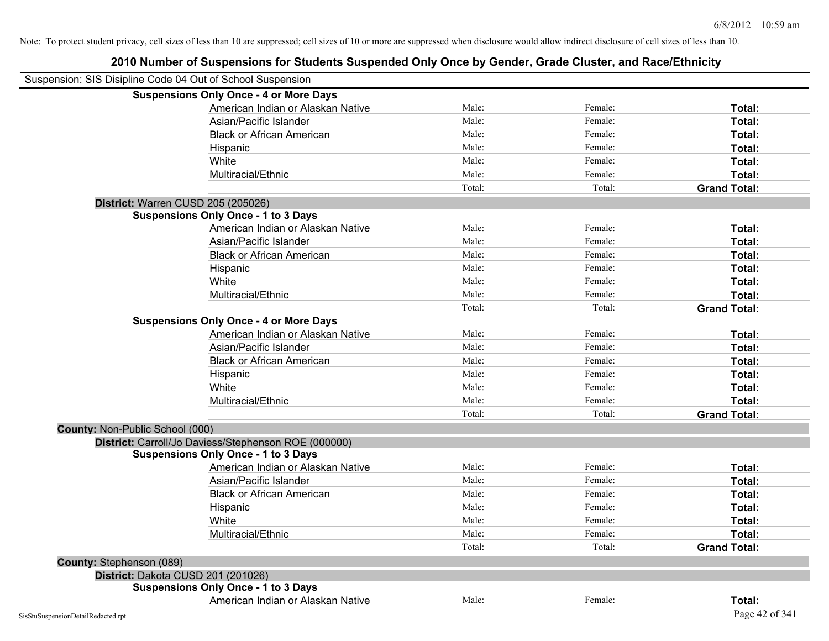| Suspension: SIS Disipline Code 04 Out of School Suspension |                                                      |        |         |                     |
|------------------------------------------------------------|------------------------------------------------------|--------|---------|---------------------|
|                                                            | <b>Suspensions Only Once - 4 or More Days</b>        |        |         |                     |
|                                                            | American Indian or Alaskan Native                    | Male:  | Female: | Total:              |
|                                                            | Asian/Pacific Islander                               | Male:  | Female: | Total:              |
|                                                            | <b>Black or African American</b>                     | Male:  | Female: | Total:              |
|                                                            | Hispanic                                             | Male:  | Female: | Total:              |
|                                                            | White                                                | Male:  | Female: | Total:              |
|                                                            | Multiracial/Ethnic                                   | Male:  | Female: | Total:              |
|                                                            |                                                      | Total: | Total:  | <b>Grand Total:</b> |
| District: Warren CUSD 205 (205026)                         |                                                      |        |         |                     |
|                                                            | <b>Suspensions Only Once - 1 to 3 Days</b>           |        |         |                     |
|                                                            | American Indian or Alaskan Native                    | Male:  | Female: | Total:              |
|                                                            | Asian/Pacific Islander                               | Male:  | Female: | Total:              |
|                                                            | <b>Black or African American</b>                     | Male:  | Female: | Total:              |
|                                                            | Hispanic                                             | Male:  | Female: | Total:              |
|                                                            | White                                                | Male:  | Female: | Total:              |
|                                                            | Multiracial/Ethnic                                   | Male:  | Female: | Total:              |
|                                                            |                                                      | Total: | Total:  | <b>Grand Total:</b> |
|                                                            | <b>Suspensions Only Once - 4 or More Days</b>        |        |         |                     |
|                                                            | American Indian or Alaskan Native                    | Male:  | Female: | Total:              |
|                                                            | Asian/Pacific Islander                               | Male:  | Female: | Total:              |
|                                                            | <b>Black or African American</b>                     | Male:  | Female: | Total:              |
|                                                            | Hispanic                                             | Male:  | Female: | Total:              |
|                                                            | White                                                | Male:  | Female: | Total:              |
|                                                            | Multiracial/Ethnic                                   | Male:  | Female: | Total:              |
|                                                            |                                                      | Total: | Total:  | <b>Grand Total:</b> |
| County: Non-Public School (000)                            |                                                      |        |         |                     |
|                                                            | District: Carroll/Jo Daviess/Stephenson ROE (000000) |        |         |                     |
|                                                            | <b>Suspensions Only Once - 1 to 3 Days</b>           |        |         |                     |
|                                                            | American Indian or Alaskan Native                    | Male:  | Female: | Total:              |
|                                                            | Asian/Pacific Islander                               | Male:  | Female: | Total:              |
|                                                            | <b>Black or African American</b>                     | Male:  | Female: | Total:              |
|                                                            | Hispanic                                             | Male:  | Female: | Total:              |
|                                                            | White                                                | Male:  | Female: | Total:              |
|                                                            | Multiracial/Ethnic                                   | Male:  | Female: | Total:              |
|                                                            |                                                      | Total: | Total:  | <b>Grand Total:</b> |
| County: Stephenson (089)                                   |                                                      |        |         |                     |
| District: Dakota CUSD 201 (201026)                         |                                                      |        |         |                     |
|                                                            | <b>Suspensions Only Once - 1 to 3 Days</b>           |        |         |                     |
|                                                            | American Indian or Alaskan Native                    | Male:  | Female: | Total:              |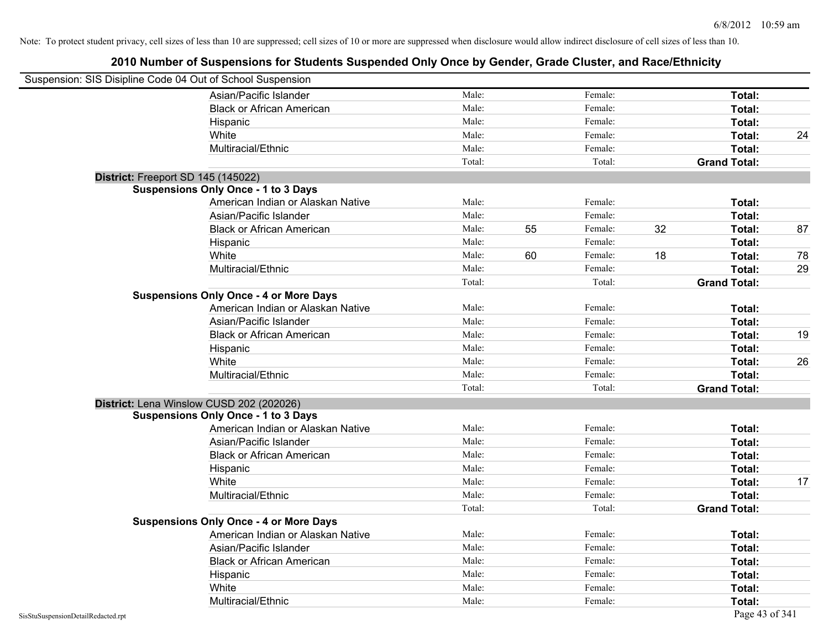| Suspension: SIS Disipline Code 04 Out of School Suspension |                                               |        |    |         |                     |    |
|------------------------------------------------------------|-----------------------------------------------|--------|----|---------|---------------------|----|
|                                                            | Asian/Pacific Islander                        | Male:  |    | Female: | Total:              |    |
|                                                            | <b>Black or African American</b>              | Male:  |    | Female: | Total:              |    |
|                                                            | Hispanic                                      | Male:  |    | Female: | Total:              |    |
|                                                            | White                                         | Male:  |    | Female: | Total:              | 24 |
|                                                            | Multiracial/Ethnic                            | Male:  |    | Female: | Total:              |    |
|                                                            |                                               | Total: |    | Total:  | <b>Grand Total:</b> |    |
| District: Freeport SD 145 (145022)                         |                                               |        |    |         |                     |    |
|                                                            | <b>Suspensions Only Once - 1 to 3 Days</b>    |        |    |         |                     |    |
|                                                            | American Indian or Alaskan Native             | Male:  |    | Female: | Total:              |    |
|                                                            | Asian/Pacific Islander                        | Male:  |    | Female: | Total:              |    |
|                                                            | <b>Black or African American</b>              | Male:  | 55 | Female: | 32<br>Total:        | 87 |
|                                                            | Hispanic                                      | Male:  |    | Female: | Total:              |    |
|                                                            | White                                         | Male:  | 60 | Female: | 18<br>Total:        | 78 |
|                                                            | Multiracial/Ethnic                            | Male:  |    | Female: | Total:              | 29 |
|                                                            |                                               | Total: |    | Total:  | <b>Grand Total:</b> |    |
|                                                            | <b>Suspensions Only Once - 4 or More Days</b> |        |    |         |                     |    |
|                                                            | American Indian or Alaskan Native             | Male:  |    | Female: | Total:              |    |
|                                                            | Asian/Pacific Islander                        | Male:  |    | Female: | Total:              |    |
|                                                            | <b>Black or African American</b>              | Male:  |    | Female: | Total:              | 19 |
|                                                            | Hispanic                                      | Male:  |    | Female: | Total:              |    |
|                                                            | White                                         | Male:  |    | Female: | Total:              | 26 |
|                                                            | Multiracial/Ethnic                            | Male:  |    | Female: | Total:              |    |
|                                                            |                                               | Total: |    | Total:  | <b>Grand Total:</b> |    |
|                                                            | District: Lena Winslow CUSD 202 (202026)      |        |    |         |                     |    |
|                                                            | <b>Suspensions Only Once - 1 to 3 Days</b>    |        |    |         |                     |    |
|                                                            | American Indian or Alaskan Native             | Male:  |    | Female: | Total:              |    |
|                                                            | Asian/Pacific Islander                        | Male:  |    | Female: | Total:              |    |
|                                                            | <b>Black or African American</b>              | Male:  |    | Female: | Total:              |    |
|                                                            | Hispanic                                      | Male:  |    | Female: | Total:              |    |
|                                                            | White                                         | Male:  |    | Female: | Total:              | 17 |
|                                                            | Multiracial/Ethnic                            | Male:  |    | Female: | Total:              |    |
|                                                            |                                               | Total: |    | Total:  | <b>Grand Total:</b> |    |
|                                                            | <b>Suspensions Only Once - 4 or More Days</b> |        |    |         |                     |    |
|                                                            | American Indian or Alaskan Native             | Male:  |    | Female: | Total:              |    |
|                                                            | Asian/Pacific Islander                        | Male:  |    | Female: | Total:              |    |
|                                                            | <b>Black or African American</b>              | Male:  |    | Female: | Total:              |    |
|                                                            | Hispanic                                      | Male:  |    | Female: | Total:              |    |
|                                                            | White                                         | Male:  |    | Female: | Total:              |    |
|                                                            | Multiracial/Ethnic                            | Male:  |    | Female: | Total:              |    |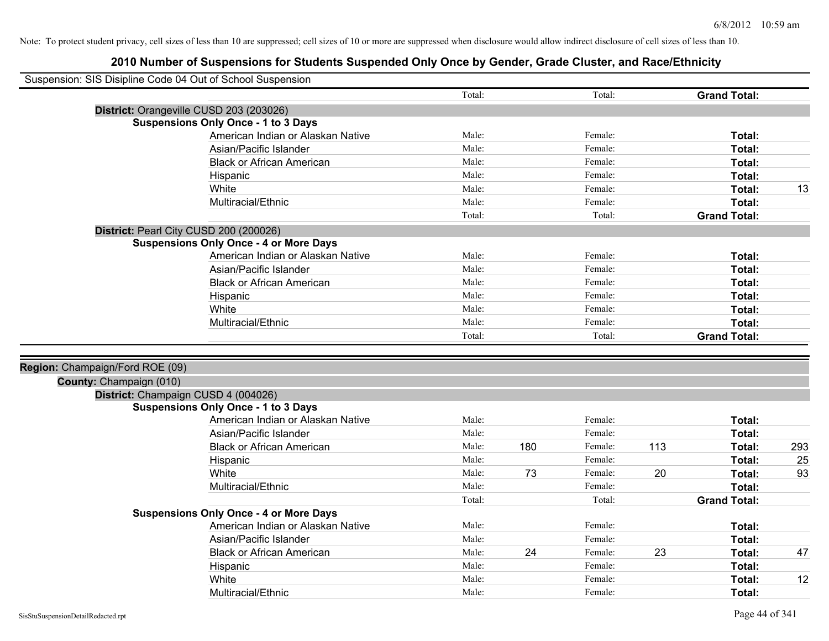| Suspension: SIS Disipline Code 04 Out of School Suspension |                                               |        |     |         |     |                     |     |
|------------------------------------------------------------|-----------------------------------------------|--------|-----|---------|-----|---------------------|-----|
|                                                            |                                               | Total: |     | Total:  |     | <b>Grand Total:</b> |     |
|                                                            | District: Orangeville CUSD 203 (203026)       |        |     |         |     |                     |     |
|                                                            | <b>Suspensions Only Once - 1 to 3 Days</b>    |        |     |         |     |                     |     |
|                                                            | American Indian or Alaskan Native             | Male:  |     | Female: |     | Total:              |     |
|                                                            | Asian/Pacific Islander                        | Male:  |     | Female: |     | Total:              |     |
|                                                            | <b>Black or African American</b>              | Male:  |     | Female: |     | Total:              |     |
|                                                            | Hispanic                                      | Male:  |     | Female: |     | Total:              |     |
|                                                            | White                                         | Male:  |     | Female: |     | Total:              | 13  |
|                                                            | Multiracial/Ethnic                            | Male:  |     | Female: |     | Total:              |     |
|                                                            |                                               | Total: |     | Total:  |     | <b>Grand Total:</b> |     |
|                                                            | District: Pearl City CUSD 200 (200026)        |        |     |         |     |                     |     |
|                                                            | <b>Suspensions Only Once - 4 or More Days</b> |        |     |         |     |                     |     |
|                                                            | American Indian or Alaskan Native             | Male:  |     | Female: |     | Total:              |     |
|                                                            | Asian/Pacific Islander                        | Male:  |     | Female: |     | Total:              |     |
|                                                            | <b>Black or African American</b>              | Male:  |     | Female: |     | Total:              |     |
|                                                            | Hispanic                                      | Male:  |     | Female: |     | Total:              |     |
|                                                            | White                                         | Male:  |     | Female: |     | Total:              |     |
|                                                            | Multiracial/Ethnic                            | Male:  |     | Female: |     | Total:              |     |
|                                                            |                                               | Total: |     | Total:  |     | <b>Grand Total:</b> |     |
|                                                            |                                               |        |     |         |     |                     |     |
| Region: Champaign/Ford ROE (09)                            |                                               |        |     |         |     |                     |     |
| County: Champaign (010)                                    |                                               |        |     |         |     |                     |     |
|                                                            | District: Champaign CUSD 4 (004026)           |        |     |         |     |                     |     |
|                                                            | <b>Suspensions Only Once - 1 to 3 Days</b>    |        |     |         |     |                     |     |
|                                                            | American Indian or Alaskan Native             | Male:  |     | Female: |     | Total:              |     |
|                                                            | Asian/Pacific Islander                        | Male:  |     | Female: |     | Total:              |     |
|                                                            | <b>Black or African American</b>              | Male:  | 180 | Female: | 113 | Total:              | 293 |
|                                                            | Hispanic                                      | Male:  |     | Female: |     | Total:              | 25  |
|                                                            | White                                         | Male:  | 73  | Female: | 20  | Total:              | 93  |
|                                                            | Multiracial/Ethnic                            | Male:  |     | Female: |     | Total:              |     |
|                                                            |                                               | Total: |     | Total:  |     | <b>Grand Total:</b> |     |
|                                                            | <b>Suspensions Only Once - 4 or More Days</b> |        |     |         |     |                     |     |
|                                                            | American Indian or Alaskan Native             | Male:  |     | Female: |     | Total:              |     |
|                                                            | Asian/Pacific Islander                        | Male:  |     | Female: |     | Total:              |     |
|                                                            | <b>Black or African American</b>              | Male:  | 24  | Female: | 23  | Total:              | 47  |
|                                                            | Hispanic                                      | Male:  |     | Female: |     | Total:              |     |
|                                                            | White                                         | Male:  |     | Female: |     | Total:              | 12  |
|                                                            | Multiracial/Ethnic                            | Male:  |     | Female: |     | Total:              |     |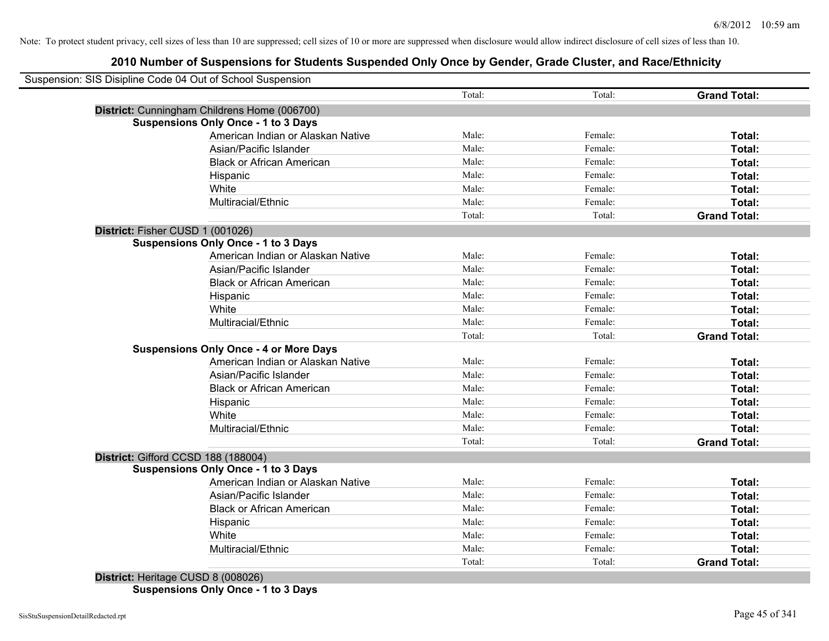# **2010 Number of Suspensions for Students Suspended Only Once by Gender, Grade Cluster, and Race/Ethnicity**

|                                               | Total: | Total:  | <b>Grand Total:</b> |
|-----------------------------------------------|--------|---------|---------------------|
| District: Cunningham Childrens Home (006700)  |        |         |                     |
| <b>Suspensions Only Once - 1 to 3 Days</b>    |        |         |                     |
| American Indian or Alaskan Native             | Male:  | Female: | Total:              |
| Asian/Pacific Islander                        | Male:  | Female: | Total:              |
| <b>Black or African American</b>              | Male:  | Female: | Total:              |
| Hispanic                                      | Male:  | Female: | Total:              |
| White                                         | Male:  | Female: | Total:              |
| Multiracial/Ethnic                            | Male:  | Female: | Total:              |
|                                               | Total: | Total:  | <b>Grand Total:</b> |
| District: Fisher CUSD 1 (001026)              |        |         |                     |
| <b>Suspensions Only Once - 1 to 3 Days</b>    |        |         |                     |
| American Indian or Alaskan Native             | Male:  | Female: | <b>Total:</b>       |
| Asian/Pacific Islander                        | Male:  | Female: | Total:              |
| <b>Black or African American</b>              | Male:  | Female: | Total:              |
| Hispanic                                      | Male:  | Female: | Total:              |
| White                                         | Male:  | Female: | Total:              |
| Multiracial/Ethnic                            | Male:  | Female: | Total:              |
|                                               | Total: | Total:  | <b>Grand Total:</b> |
| <b>Suspensions Only Once - 4 or More Days</b> |        |         |                     |
| American Indian or Alaskan Native             | Male:  | Female: | Total:              |
| Asian/Pacific Islander                        | Male:  | Female: | Total:              |
| <b>Black or African American</b>              | Male:  | Female: | Total:              |
| Hispanic                                      | Male:  | Female: | Total:              |
| White                                         | Male:  | Female: | Total:              |
| Multiracial/Ethnic                            | Male:  | Female: | Total:              |
|                                               | Total: | Total:  | <b>Grand Total:</b> |
| District: Gifford CCSD 188 (188004)           |        |         |                     |
| <b>Suspensions Only Once - 1 to 3 Days</b>    |        |         |                     |
| American Indian or Alaskan Native             | Male:  | Female: | Total:              |
| Asian/Pacific Islander                        | Male:  | Female: | Total:              |
| <b>Black or African American</b>              | Male:  | Female: | Total:              |
| Hispanic                                      | Male:  | Female: | Total:              |
| White                                         | Male:  | Female: | Total:              |
| Multiracial/Ethnic                            | Male:  | Female: | Total:              |
|                                               | Total: | Total:  | <b>Grand Total:</b> |

**District:** Heritage CUSD 8 (008026) **Suspensions Only Once - 1 to 3 Days**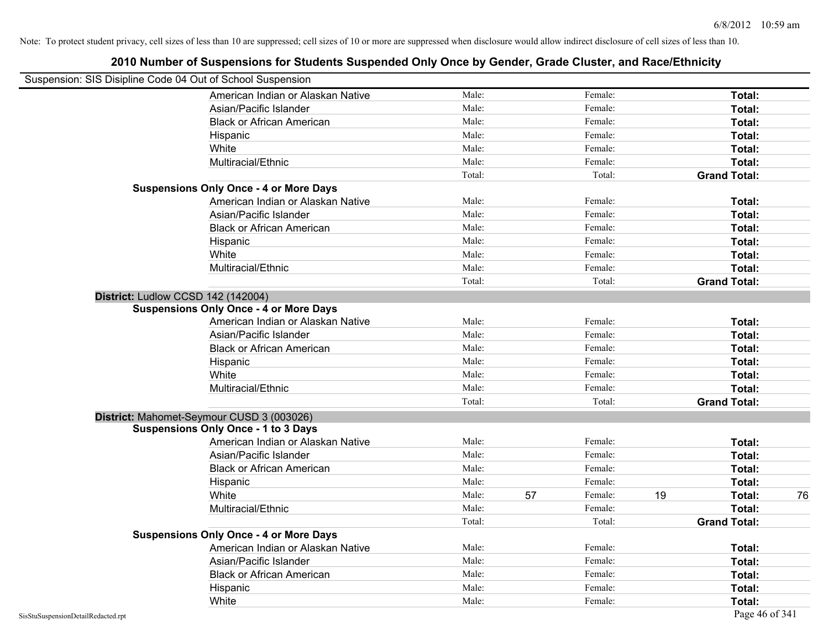# **2010 Number of Suspensions for Students Suspended Only Once by Gender, Grade Cluster, and Race/Ethnicity** Suspension: SIS Disipline Code 04 Out of School Suspension American Indian or Alaskan Native **Male:** Male: Female: Female: **Total:** Total: Asian/Pacific Islander **Figure 1.1 Contained Asian** Male: Female: Female: **Total:** Total: Black or African American **American** Male: Male: Female: **Female: Total: Total: Total: Female: Total: Total: Total: Total: Total: Total: Total: Total: Total: Total: Total: Total: Total:** Hispanic **Total:** Male: Female: **Total:** Female: **Total:** Total: **Total:** Female: **Total:** Total: **Total:** Total: **Total:** Total: **Total:** Total: **Total:** Total: **Total:** Total: **Total:** Total: **Total:** Total: **Total:** Tot White **Total:** Male: Female: **Total:** Female: **Total:** Total: Multiracial/Ethnic **Total:** Male: Female: **Total:** Female: **Total:** Female: **Total:** Female: **Total:** Female: **Total:** Female: **Total:** Female: **Total:** Female: **Total:** Female: **Total:** Female: **Total:** Female: **Total:** F Total: Total: Total: **Grand Total: Suspensions Only Once - 4 or More Days** American Indian or Alaskan Native **Male:** Male: Female: Female: **Total:** Total: Asian/Pacific Islander **Figure 1.1 Contact Contact Contact Contact Contact Contact Contact Contact Total: Total:** Black or African American **Figure 1.1 and Total:** Male: Female: Female: **Total:** Total: Hispanic **Total:** Male: Female: **Total:** Female: **Total:** Total: **Total:** Female: **Total:** Total: **Total:** Total: **Total:** Total: **Total:** Total: **Total:** Total: **Total:** Total: **Total:** Total: **Total:** Total: **Total:** Tot White **Total:** Male: Female: **Total:** Female: **Total:** Total: Multiracial/Ethnic **Total:** Male: Female: **Total:** Female: **Total:** Female: **Total:** Female: **Total:** Female: **Total:** Female: **Total:** Female: **Total:** Female: **Total:** Female: **Total:** Female: **Total:** Female: **Total:** F Total: Total: **Grand Total: District:** Ludlow CCSD 142 (142004) **Suspensions Only Once - 4 or More Days** American Indian or Alaskan Native **Male:** Male: Female: Female: **Total:** Total: Asian/Pacific Islander **Figure 1.1 Contact Contact Contact Contact Contact Contact Contact Contact Contact Conta** Black or African American **American** Male: Male: Female: **Female: Total: Total: Total: Female: Total: Total: Total: Total: Total: Total: Total: Total: Total: Total: Total: Total: Total:** Hispanic **Total:** Male: Female: **Total:** Female: **Total:** Total: White **Total:** Male: Female: **Total:** Total: **Total:** Female: **Total:** Total: Multiracial/Ethnic **Total:** Male: Female: **Total:** Female: **Total:** Female: **Total:** Total: Total: Total: **Grand Total: District:** Mahomet-Seymour CUSD 3 (003026) **Suspensions Only Once - 1 to 3 Days** American Indian or Alaskan Native **Male:** Male: Female: Female: **Total:** Total: Asian/Pacific Islander **Figure 1.1 Contained Asian** Male: Female: **Female: Total: Total: Total: Total: Total: Total: Total: Total: Total: Total: Total: Total: Total: Total: Total: Total: T** Black or African American **Figure 1.1 and Total:** Male: Female: Female: **Total:** Total: Hispanic **Total:** Male: Female: **Total:** Female: **Total:** Total: **Total:** Female: **Total:** Total: **Total:** Total: **Total:** Total: **Total:** Total: **Total:** Total: **Total:** Total: **Total:** Total: **Total:** Total: **Total:** Tot White **Male:** 57 Female: 19 Total: 76 Total: 76 Multiracial/Ethnic **Total:** Male: Male: Female: **Total:** Total: Total: Total: **Grand Total: Suspensions Only Once - 4 or More Days** American Indian or Alaskan Native **Male:** Male: Female: Female: **Total:** Total: Asian/Pacific Islander **Figure 1.1 Contained Asian** Male: Female: **Female: Total: Total: Total: Total: Total: Total: Total: Total: Total: Total: Total: Total: Total: Total: Total: Total: T** Black or African American **Figure 1.1 and Total:** Male: Female: Female: **Total:** Total: Hispanic **Total:** Male: Female: **Total:** Female: **Total:** Total: **Total:** Female: **Total:** Total: **Total:** Total: **Total:** Total: **Total:** Total: **Total:** Total: **Total:** Total: **Total:** Total: **Total:** Total: **Total:** Tot White **Total:** Male: Female: **Total:** Female: **Total:** Total: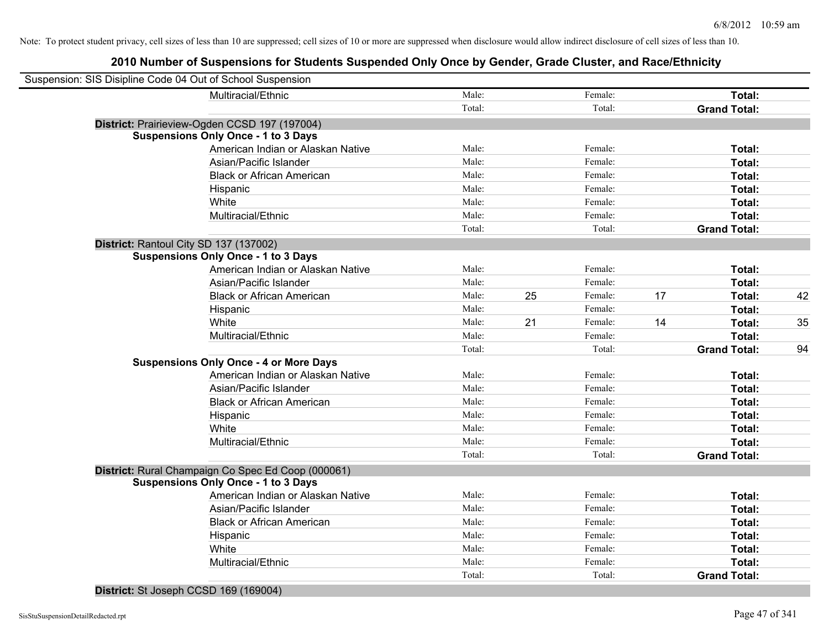# **2010 Number of Suspensions for Students Suspended Only Once by Gender, Grade Cluster, and Race/Ethnicity**

| Suspension: SIS Disipline Code 04 Out of School Suspension |                                                    |        |    |         |    |                     |    |
|------------------------------------------------------------|----------------------------------------------------|--------|----|---------|----|---------------------|----|
|                                                            | Multiracial/Ethnic                                 | Male:  |    | Female: |    | Total:              |    |
|                                                            |                                                    | Total: |    | Total:  |    | <b>Grand Total:</b> |    |
|                                                            | District: Prairieview-Ogden CCSD 197 (197004)      |        |    |         |    |                     |    |
|                                                            | <b>Suspensions Only Once - 1 to 3 Days</b>         |        |    |         |    |                     |    |
|                                                            | American Indian or Alaskan Native                  | Male:  |    | Female: |    | Total:              |    |
|                                                            | Asian/Pacific Islander                             | Male:  |    | Female: |    | Total:              |    |
|                                                            | <b>Black or African American</b>                   | Male:  |    | Female: |    | Total:              |    |
|                                                            | Hispanic                                           | Male:  |    | Female: |    | Total:              |    |
|                                                            | White                                              | Male:  |    | Female: |    | Total:              |    |
|                                                            | Multiracial/Ethnic                                 | Male:  |    | Female: |    | Total:              |    |
|                                                            |                                                    | Total: |    | Total:  |    | <b>Grand Total:</b> |    |
|                                                            | District: Rantoul City SD 137 (137002)             |        |    |         |    |                     |    |
|                                                            | <b>Suspensions Only Once - 1 to 3 Days</b>         |        |    |         |    |                     |    |
|                                                            | American Indian or Alaskan Native                  | Male:  |    | Female: |    | Total:              |    |
|                                                            | Asian/Pacific Islander                             | Male:  |    | Female: |    | Total:              |    |
|                                                            | <b>Black or African American</b>                   | Male:  | 25 | Female: | 17 | Total:              | 42 |
|                                                            | Hispanic                                           | Male:  |    | Female: |    | Total:              |    |
|                                                            | White                                              | Male:  | 21 | Female: | 14 | Total:              | 35 |
|                                                            | Multiracial/Ethnic                                 | Male:  |    | Female: |    | Total:              |    |
|                                                            |                                                    | Total: |    | Total:  |    | <b>Grand Total:</b> | 94 |
|                                                            | <b>Suspensions Only Once - 4 or More Days</b>      |        |    |         |    |                     |    |
|                                                            | American Indian or Alaskan Native                  | Male:  |    | Female: |    | Total:              |    |
|                                                            | Asian/Pacific Islander                             | Male:  |    | Female: |    | Total:              |    |
|                                                            | <b>Black or African American</b>                   | Male:  |    | Female: |    | Total:              |    |
|                                                            | Hispanic                                           | Male:  |    | Female: |    | Total:              |    |
|                                                            | White                                              | Male:  |    | Female: |    | Total:              |    |
|                                                            | Multiracial/Ethnic                                 | Male:  |    | Female: |    | Total:              |    |
|                                                            |                                                    | Total: |    | Total:  |    | <b>Grand Total:</b> |    |
|                                                            | District: Rural Champaign Co Spec Ed Coop (000061) |        |    |         |    |                     |    |
|                                                            | <b>Suspensions Only Once - 1 to 3 Days</b>         |        |    |         |    |                     |    |
|                                                            | American Indian or Alaskan Native                  | Male:  |    | Female: |    | Total:              |    |
|                                                            | Asian/Pacific Islander                             | Male:  |    | Female: |    | Total:              |    |
|                                                            | <b>Black or African American</b>                   | Male:  |    | Female: |    | Total:              |    |
|                                                            | Hispanic                                           | Male:  |    | Female: |    | Total:              |    |
|                                                            | White                                              | Male:  |    | Female: |    | Total:              |    |
|                                                            | Multiracial/Ethnic                                 | Male:  |    | Female: |    | Total:              |    |
|                                                            |                                                    | Total: |    | Total:  |    | <b>Grand Total:</b> |    |
|                                                            |                                                    |        |    |         |    |                     |    |

**District:** St Joseph CCSD 169 (169004)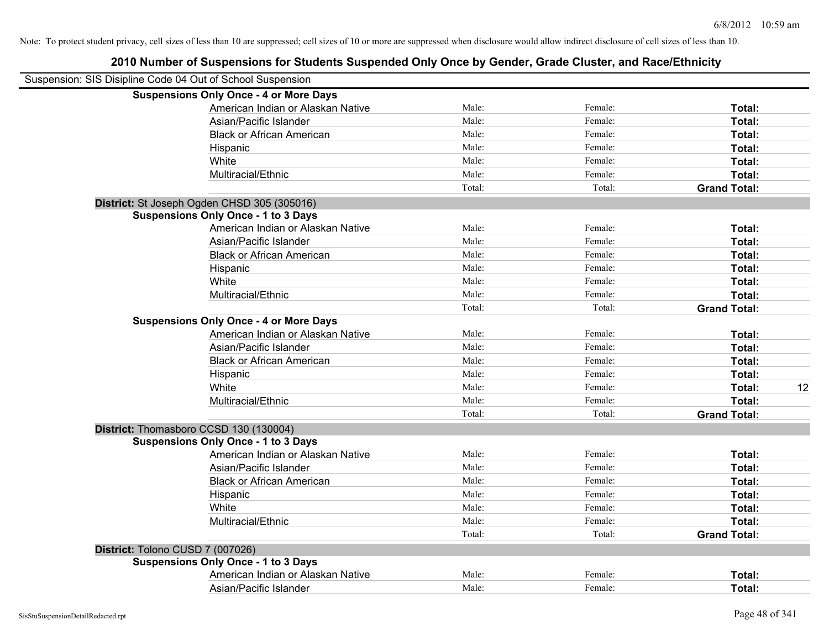| Suspension: SIS Disipline Code 04 Out of School Suspension |                                               |        |         |                     |
|------------------------------------------------------------|-----------------------------------------------|--------|---------|---------------------|
|                                                            | <b>Suspensions Only Once - 4 or More Days</b> |        |         |                     |
|                                                            | American Indian or Alaskan Native             | Male:  | Female: | Total:              |
|                                                            | Asian/Pacific Islander                        | Male:  | Female: | Total:              |
|                                                            | <b>Black or African American</b>              | Male:  | Female: | Total:              |
|                                                            | Hispanic                                      | Male:  | Female: | Total:              |
|                                                            | White                                         | Male:  | Female: | Total:              |
|                                                            | Multiracial/Ethnic                            | Male:  | Female: | Total:              |
|                                                            |                                               | Total: | Total:  | <b>Grand Total:</b> |
|                                                            | District: St Joseph Ogden CHSD 305 (305016)   |        |         |                     |
|                                                            | <b>Suspensions Only Once - 1 to 3 Days</b>    |        |         |                     |
|                                                            | American Indian or Alaskan Native             | Male:  | Female: | Total:              |
|                                                            | Asian/Pacific Islander                        | Male:  | Female: | Total:              |
|                                                            | <b>Black or African American</b>              | Male:  | Female: | Total:              |
|                                                            | Hispanic                                      | Male:  | Female: | Total:              |
|                                                            | White                                         | Male:  | Female: | Total:              |
|                                                            | Multiracial/Ethnic                            | Male:  | Female: | Total:              |
|                                                            |                                               | Total: | Total:  | <b>Grand Total:</b> |
|                                                            | <b>Suspensions Only Once - 4 or More Days</b> |        |         |                     |
|                                                            | American Indian or Alaskan Native             | Male:  | Female: | Total:              |
|                                                            | Asian/Pacific Islander                        | Male:  | Female: | Total:              |
|                                                            | <b>Black or African American</b>              | Male:  | Female: | Total:              |
|                                                            | Hispanic                                      | Male:  | Female: | Total:              |
|                                                            | White                                         | Male:  | Female: | 12<br>Total:        |
|                                                            | Multiracial/Ethnic                            | Male:  | Female: | Total:              |
|                                                            |                                               | Total: | Total:  | <b>Grand Total:</b> |
|                                                            | District: Thomasboro CCSD 130 (130004)        |        |         |                     |
|                                                            | <b>Suspensions Only Once - 1 to 3 Days</b>    |        |         |                     |
|                                                            | American Indian or Alaskan Native             | Male:  | Female: | Total:              |
|                                                            | Asian/Pacific Islander                        | Male:  | Female: | Total:              |
|                                                            | <b>Black or African American</b>              | Male:  | Female: | Total:              |
|                                                            | Hispanic                                      | Male:  | Female: | Total:              |
|                                                            | White                                         | Male:  | Female: | Total:              |
|                                                            | Multiracial/Ethnic                            | Male:  | Female: | Total:              |
|                                                            |                                               | Total: | Total:  | <b>Grand Total:</b> |
| District: Tolono CUSD 7 (007026)                           |                                               |        |         |                     |
|                                                            | <b>Suspensions Only Once - 1 to 3 Days</b>    |        |         |                     |
|                                                            | American Indian or Alaskan Native             | Male:  | Female: | Total:              |
|                                                            | Asian/Pacific Islander                        | Male:  | Female: | Total:              |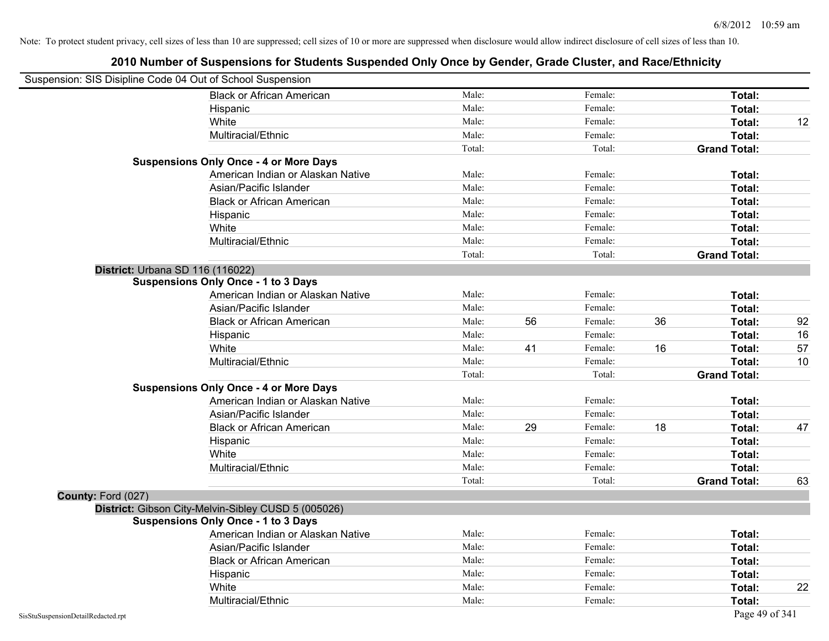| Suspension: SIS Disipline Code 04 Out of School Suspension |                                                     |        |    |         |    |                     |    |
|------------------------------------------------------------|-----------------------------------------------------|--------|----|---------|----|---------------------|----|
|                                                            | <b>Black or African American</b>                    | Male:  |    | Female: |    | Total:              |    |
|                                                            | Hispanic                                            | Male:  |    | Female: |    | Total:              |    |
|                                                            | White                                               | Male:  |    | Female: |    | Total:              | 12 |
|                                                            | Multiracial/Ethnic                                  | Male:  |    | Female: |    | Total:              |    |
|                                                            |                                                     | Total: |    | Total:  |    | <b>Grand Total:</b> |    |
|                                                            | <b>Suspensions Only Once - 4 or More Days</b>       |        |    |         |    |                     |    |
|                                                            | American Indian or Alaskan Native                   | Male:  |    | Female: |    | Total:              |    |
|                                                            | Asian/Pacific Islander                              | Male:  |    | Female: |    | Total:              |    |
|                                                            | <b>Black or African American</b>                    | Male:  |    | Female: |    | Total:              |    |
|                                                            | Hispanic                                            | Male:  |    | Female: |    | Total:              |    |
|                                                            | White                                               | Male:  |    | Female: |    | Total:              |    |
|                                                            | Multiracial/Ethnic                                  | Male:  |    | Female: |    | Total:              |    |
|                                                            |                                                     | Total: |    | Total:  |    | <b>Grand Total:</b> |    |
|                                                            | District: Urbana SD 116 (116022)                    |        |    |         |    |                     |    |
|                                                            | <b>Suspensions Only Once - 1 to 3 Days</b>          |        |    |         |    |                     |    |
|                                                            | American Indian or Alaskan Native                   | Male:  |    | Female: |    | Total:              |    |
|                                                            | Asian/Pacific Islander                              | Male:  |    | Female: |    | Total:              |    |
|                                                            | <b>Black or African American</b>                    | Male:  | 56 | Female: | 36 | Total:              | 92 |
|                                                            | Hispanic                                            | Male:  |    | Female: |    | Total:              | 16 |
|                                                            | White                                               | Male:  | 41 | Female: | 16 | Total:              | 57 |
|                                                            | Multiracial/Ethnic                                  | Male:  |    | Female: |    | Total:              | 10 |
|                                                            |                                                     | Total: |    | Total:  |    | <b>Grand Total:</b> |    |
|                                                            | <b>Suspensions Only Once - 4 or More Days</b>       |        |    |         |    |                     |    |
|                                                            | American Indian or Alaskan Native                   | Male:  |    | Female: |    | Total:              |    |
|                                                            | Asian/Pacific Islander                              | Male:  |    | Female: |    | Total:              |    |
|                                                            | <b>Black or African American</b>                    | Male:  | 29 | Female: | 18 | Total:              | 47 |
|                                                            | Hispanic                                            | Male:  |    | Female: |    | Total:              |    |
|                                                            | White                                               | Male:  |    | Female: |    | Total:              |    |
|                                                            | Multiracial/Ethnic                                  | Male:  |    | Female: |    | Total:              |    |
|                                                            |                                                     | Total: |    | Total:  |    | <b>Grand Total:</b> | 63 |
| County: Ford (027)                                         |                                                     |        |    |         |    |                     |    |
|                                                            | District: Gibson City-Melvin-Sibley CUSD 5 (005026) |        |    |         |    |                     |    |
|                                                            | <b>Suspensions Only Once - 1 to 3 Days</b>          |        |    |         |    |                     |    |
|                                                            | American Indian or Alaskan Native                   | Male:  |    | Female: |    | Total:              |    |
|                                                            | Asian/Pacific Islander                              | Male:  |    | Female: |    | Total:              |    |
|                                                            | <b>Black or African American</b>                    | Male:  |    | Female: |    | Total:              |    |
|                                                            | Hispanic                                            | Male:  |    | Female: |    | Total:              |    |
|                                                            | White                                               | Male:  |    | Female: |    | Total:              | 22 |
|                                                            | Multiracial/Ethnic                                  | Male:  |    | Female: |    | Total:              |    |
| SisStuSuspensionDetailRedacted.rpt                         |                                                     |        |    |         |    | Page 49 of 341      |    |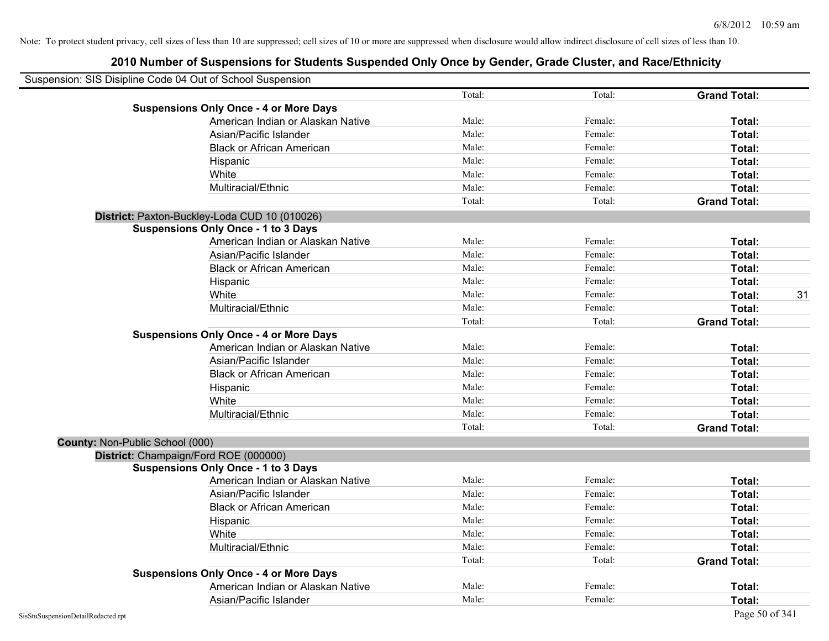| Suspension: SIS Disipline Code 04 Out of School Suspension |                                               |        |         |                     |    |
|------------------------------------------------------------|-----------------------------------------------|--------|---------|---------------------|----|
|                                                            |                                               | Total: | Total:  | <b>Grand Total:</b> |    |
|                                                            | <b>Suspensions Only Once - 4 or More Days</b> |        |         |                     |    |
|                                                            | American Indian or Alaskan Native             | Male:  | Female: | Total:              |    |
|                                                            | Asian/Pacific Islander                        | Male:  | Female: | Total:              |    |
|                                                            | <b>Black or African American</b>              | Male:  | Female: | Total:              |    |
|                                                            | Hispanic                                      | Male:  | Female: | Total:              |    |
|                                                            | White                                         | Male:  | Female: | Total:              |    |
|                                                            | Multiracial/Ethnic                            | Male:  | Female: | Total:              |    |
|                                                            |                                               | Total: | Total:  | <b>Grand Total:</b> |    |
|                                                            | District: Paxton-Buckley-Loda CUD 10 (010026) |        |         |                     |    |
|                                                            | <b>Suspensions Only Once - 1 to 3 Days</b>    |        |         |                     |    |
|                                                            | American Indian or Alaskan Native             | Male:  | Female: | Total:              |    |
|                                                            | Asian/Pacific Islander                        | Male:  | Female: | Total:              |    |
|                                                            | <b>Black or African American</b>              | Male:  | Female: | Total:              |    |
|                                                            | Hispanic                                      | Male:  | Female: | Total:              |    |
|                                                            | White                                         | Male:  | Female: | Total:              | 31 |
|                                                            | Multiracial/Ethnic                            | Male:  | Female: | Total:              |    |
|                                                            |                                               | Total: | Total:  | <b>Grand Total:</b> |    |
|                                                            | <b>Suspensions Only Once - 4 or More Days</b> |        |         |                     |    |
|                                                            | American Indian or Alaskan Native             | Male:  | Female: | Total:              |    |
|                                                            | Asian/Pacific Islander                        | Male:  | Female: | Total:              |    |
|                                                            | <b>Black or African American</b>              | Male:  | Female: | Total:              |    |
|                                                            | Hispanic                                      | Male:  | Female: | Total:              |    |
|                                                            | White                                         | Male:  | Female: | Total:              |    |
|                                                            | Multiracial/Ethnic                            | Male:  | Female: | Total:              |    |
|                                                            |                                               | Total: | Total:  | <b>Grand Total:</b> |    |
| County: Non-Public School (000)                            |                                               |        |         |                     |    |
|                                                            | District: Champaign/Ford ROE (000000)         |        |         |                     |    |
|                                                            | <b>Suspensions Only Once - 1 to 3 Days</b>    |        |         |                     |    |
|                                                            | American Indian or Alaskan Native             | Male:  | Female: | Total:              |    |
|                                                            | Asian/Pacific Islander                        | Male:  | Female: | Total:              |    |
|                                                            | <b>Black or African American</b>              | Male:  | Female: | Total:              |    |
|                                                            | Hispanic                                      | Male:  | Female: | Total:              |    |
|                                                            | White                                         | Male:  | Female: | Total:              |    |
|                                                            | Multiracial/Ethnic                            | Male:  | Female: | Total:              |    |
|                                                            |                                               | Total: | Total:  | <b>Grand Total:</b> |    |
|                                                            | <b>Suspensions Only Once - 4 or More Days</b> |        |         |                     |    |
|                                                            | American Indian or Alaskan Native             | Male:  | Female: | <b>Total:</b>       |    |
|                                                            | Asian/Pacific Islander                        | Male:  | Female: | Total:              |    |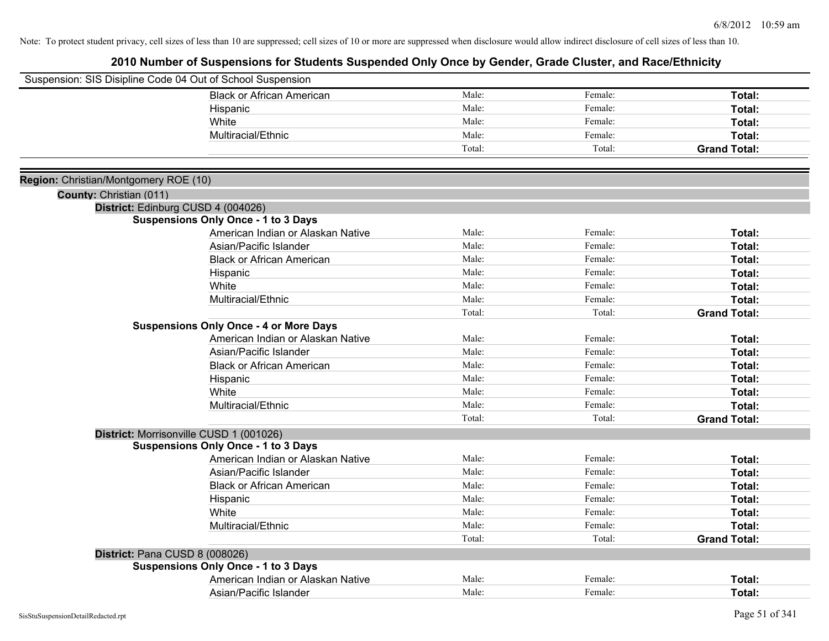| Male:<br>Female:<br><b>Black or African American</b><br>Total:<br>Male:<br>Female:<br>Total:<br>Hispanic<br>Male:<br>Female:<br>White<br>Total:<br>Male:<br>Multiracial/Ethnic<br>Female:<br>Total:<br>Total:<br>Total:<br><b>Grand Total:</b><br>Region: Christian/Montgomery ROE (10)<br>County: Christian (011)<br>District: Edinburg CUSD 4 (004026)<br><b>Suspensions Only Once - 1 to 3 Days</b><br>American Indian or Alaskan Native<br>Male:<br>Female:<br>Total:<br>Male:<br>Female:<br>Asian/Pacific Islander<br>Total:<br>Male:<br><b>Black or African American</b><br>Female:<br>Total:<br>Male:<br>Female:<br>Total:<br>Hispanic<br>Male:<br>Female:<br>White<br>Total:<br>Male:<br>Female:<br>Total:<br>Multiracial/Ethnic<br>Total:<br>Total:<br><b>Grand Total:</b><br><b>Suspensions Only Once - 4 or More Days</b><br>American Indian or Alaskan Native<br>Male:<br>Female:<br>Total:<br>Asian/Pacific Islander<br>Male:<br>Female:<br>Total:<br>Male:<br>Female:<br><b>Black or African American</b><br>Total:<br>Male:<br>Female:<br>Total:<br>Hispanic<br>Male:<br>Female:<br>White<br>Total:<br>Male:<br>Female:<br>Total:<br>Multiracial/Ethnic<br>Total:<br>Total:<br><b>Grand Total:</b><br>District: Morrisonville CUSD 1 (001026)<br><b>Suspensions Only Once - 1 to 3 Days</b><br>American Indian or Alaskan Native<br>Male:<br>Female:<br>Total:<br>Male:<br>Asian/Pacific Islander<br>Female:<br>Total:<br>Male:<br><b>Black or African American</b><br>Female:<br>Total:<br>Male:<br>Female:<br>Hispanic<br>Total:<br>Male:<br>White<br>Female:<br>Total:<br>Multiracial/Ethnic<br>Male:<br>Female:<br>Total:<br>Total:<br>Total:<br><b>Grand Total:</b><br>District: Pana CUSD 8 (008026)<br><b>Suspensions Only Once - 1 to 3 Days</b><br>Male:<br>Female:<br>American Indian or Alaskan Native<br>Total: | Suspension: SIS Disipline Code 04 Out of School Suspension |       |         |        |
|--------------------------------------------------------------------------------------------------------------------------------------------------------------------------------------------------------------------------------------------------------------------------------------------------------------------------------------------------------------------------------------------------------------------------------------------------------------------------------------------------------------------------------------------------------------------------------------------------------------------------------------------------------------------------------------------------------------------------------------------------------------------------------------------------------------------------------------------------------------------------------------------------------------------------------------------------------------------------------------------------------------------------------------------------------------------------------------------------------------------------------------------------------------------------------------------------------------------------------------------------------------------------------------------------------------------------------------------------------------------------------------------------------------------------------------------------------------------------------------------------------------------------------------------------------------------------------------------------------------------------------------------------------------------------------------------------------------------------------------------------------------------------------------------------------------------------------------------|------------------------------------------------------------|-------|---------|--------|
|                                                                                                                                                                                                                                                                                                                                                                                                                                                                                                                                                                                                                                                                                                                                                                                                                                                                                                                                                                                                                                                                                                                                                                                                                                                                                                                                                                                                                                                                                                                                                                                                                                                                                                                                                                                                                                            |                                                            |       |         |        |
|                                                                                                                                                                                                                                                                                                                                                                                                                                                                                                                                                                                                                                                                                                                                                                                                                                                                                                                                                                                                                                                                                                                                                                                                                                                                                                                                                                                                                                                                                                                                                                                                                                                                                                                                                                                                                                            |                                                            |       |         |        |
|                                                                                                                                                                                                                                                                                                                                                                                                                                                                                                                                                                                                                                                                                                                                                                                                                                                                                                                                                                                                                                                                                                                                                                                                                                                                                                                                                                                                                                                                                                                                                                                                                                                                                                                                                                                                                                            |                                                            |       |         |        |
|                                                                                                                                                                                                                                                                                                                                                                                                                                                                                                                                                                                                                                                                                                                                                                                                                                                                                                                                                                                                                                                                                                                                                                                                                                                                                                                                                                                                                                                                                                                                                                                                                                                                                                                                                                                                                                            |                                                            |       |         |        |
|                                                                                                                                                                                                                                                                                                                                                                                                                                                                                                                                                                                                                                                                                                                                                                                                                                                                                                                                                                                                                                                                                                                                                                                                                                                                                                                                                                                                                                                                                                                                                                                                                                                                                                                                                                                                                                            |                                                            |       |         |        |
|                                                                                                                                                                                                                                                                                                                                                                                                                                                                                                                                                                                                                                                                                                                                                                                                                                                                                                                                                                                                                                                                                                                                                                                                                                                                                                                                                                                                                                                                                                                                                                                                                                                                                                                                                                                                                                            |                                                            |       |         |        |
|                                                                                                                                                                                                                                                                                                                                                                                                                                                                                                                                                                                                                                                                                                                                                                                                                                                                                                                                                                                                                                                                                                                                                                                                                                                                                                                                                                                                                                                                                                                                                                                                                                                                                                                                                                                                                                            |                                                            |       |         |        |
|                                                                                                                                                                                                                                                                                                                                                                                                                                                                                                                                                                                                                                                                                                                                                                                                                                                                                                                                                                                                                                                                                                                                                                                                                                                                                                                                                                                                                                                                                                                                                                                                                                                                                                                                                                                                                                            |                                                            |       |         |        |
|                                                                                                                                                                                                                                                                                                                                                                                                                                                                                                                                                                                                                                                                                                                                                                                                                                                                                                                                                                                                                                                                                                                                                                                                                                                                                                                                                                                                                                                                                                                                                                                                                                                                                                                                                                                                                                            |                                                            |       |         |        |
|                                                                                                                                                                                                                                                                                                                                                                                                                                                                                                                                                                                                                                                                                                                                                                                                                                                                                                                                                                                                                                                                                                                                                                                                                                                                                                                                                                                                                                                                                                                                                                                                                                                                                                                                                                                                                                            |                                                            |       |         |        |
|                                                                                                                                                                                                                                                                                                                                                                                                                                                                                                                                                                                                                                                                                                                                                                                                                                                                                                                                                                                                                                                                                                                                                                                                                                                                                                                                                                                                                                                                                                                                                                                                                                                                                                                                                                                                                                            |                                                            |       |         |        |
|                                                                                                                                                                                                                                                                                                                                                                                                                                                                                                                                                                                                                                                                                                                                                                                                                                                                                                                                                                                                                                                                                                                                                                                                                                                                                                                                                                                                                                                                                                                                                                                                                                                                                                                                                                                                                                            |                                                            |       |         |        |
|                                                                                                                                                                                                                                                                                                                                                                                                                                                                                                                                                                                                                                                                                                                                                                                                                                                                                                                                                                                                                                                                                                                                                                                                                                                                                                                                                                                                                                                                                                                                                                                                                                                                                                                                                                                                                                            |                                                            |       |         |        |
|                                                                                                                                                                                                                                                                                                                                                                                                                                                                                                                                                                                                                                                                                                                                                                                                                                                                                                                                                                                                                                                                                                                                                                                                                                                                                                                                                                                                                                                                                                                                                                                                                                                                                                                                                                                                                                            |                                                            |       |         |        |
|                                                                                                                                                                                                                                                                                                                                                                                                                                                                                                                                                                                                                                                                                                                                                                                                                                                                                                                                                                                                                                                                                                                                                                                                                                                                                                                                                                                                                                                                                                                                                                                                                                                                                                                                                                                                                                            |                                                            |       |         |        |
|                                                                                                                                                                                                                                                                                                                                                                                                                                                                                                                                                                                                                                                                                                                                                                                                                                                                                                                                                                                                                                                                                                                                                                                                                                                                                                                                                                                                                                                                                                                                                                                                                                                                                                                                                                                                                                            |                                                            |       |         |        |
|                                                                                                                                                                                                                                                                                                                                                                                                                                                                                                                                                                                                                                                                                                                                                                                                                                                                                                                                                                                                                                                                                                                                                                                                                                                                                                                                                                                                                                                                                                                                                                                                                                                                                                                                                                                                                                            |                                                            |       |         |        |
|                                                                                                                                                                                                                                                                                                                                                                                                                                                                                                                                                                                                                                                                                                                                                                                                                                                                                                                                                                                                                                                                                                                                                                                                                                                                                                                                                                                                                                                                                                                                                                                                                                                                                                                                                                                                                                            |                                                            |       |         |        |
|                                                                                                                                                                                                                                                                                                                                                                                                                                                                                                                                                                                                                                                                                                                                                                                                                                                                                                                                                                                                                                                                                                                                                                                                                                                                                                                                                                                                                                                                                                                                                                                                                                                                                                                                                                                                                                            |                                                            |       |         |        |
|                                                                                                                                                                                                                                                                                                                                                                                                                                                                                                                                                                                                                                                                                                                                                                                                                                                                                                                                                                                                                                                                                                                                                                                                                                                                                                                                                                                                                                                                                                                                                                                                                                                                                                                                                                                                                                            |                                                            |       |         |        |
|                                                                                                                                                                                                                                                                                                                                                                                                                                                                                                                                                                                                                                                                                                                                                                                                                                                                                                                                                                                                                                                                                                                                                                                                                                                                                                                                                                                                                                                                                                                                                                                                                                                                                                                                                                                                                                            |                                                            |       |         |        |
|                                                                                                                                                                                                                                                                                                                                                                                                                                                                                                                                                                                                                                                                                                                                                                                                                                                                                                                                                                                                                                                                                                                                                                                                                                                                                                                                                                                                                                                                                                                                                                                                                                                                                                                                                                                                                                            |                                                            |       |         |        |
|                                                                                                                                                                                                                                                                                                                                                                                                                                                                                                                                                                                                                                                                                                                                                                                                                                                                                                                                                                                                                                                                                                                                                                                                                                                                                                                                                                                                                                                                                                                                                                                                                                                                                                                                                                                                                                            |                                                            |       |         |        |
|                                                                                                                                                                                                                                                                                                                                                                                                                                                                                                                                                                                                                                                                                                                                                                                                                                                                                                                                                                                                                                                                                                                                                                                                                                                                                                                                                                                                                                                                                                                                                                                                                                                                                                                                                                                                                                            |                                                            |       |         |        |
|                                                                                                                                                                                                                                                                                                                                                                                                                                                                                                                                                                                                                                                                                                                                                                                                                                                                                                                                                                                                                                                                                                                                                                                                                                                                                                                                                                                                                                                                                                                                                                                                                                                                                                                                                                                                                                            |                                                            |       |         |        |
|                                                                                                                                                                                                                                                                                                                                                                                                                                                                                                                                                                                                                                                                                                                                                                                                                                                                                                                                                                                                                                                                                                                                                                                                                                                                                                                                                                                                                                                                                                                                                                                                                                                                                                                                                                                                                                            |                                                            |       |         |        |
|                                                                                                                                                                                                                                                                                                                                                                                                                                                                                                                                                                                                                                                                                                                                                                                                                                                                                                                                                                                                                                                                                                                                                                                                                                                                                                                                                                                                                                                                                                                                                                                                                                                                                                                                                                                                                                            |                                                            |       |         |        |
|                                                                                                                                                                                                                                                                                                                                                                                                                                                                                                                                                                                                                                                                                                                                                                                                                                                                                                                                                                                                                                                                                                                                                                                                                                                                                                                                                                                                                                                                                                                                                                                                                                                                                                                                                                                                                                            |                                                            |       |         |        |
|                                                                                                                                                                                                                                                                                                                                                                                                                                                                                                                                                                                                                                                                                                                                                                                                                                                                                                                                                                                                                                                                                                                                                                                                                                                                                                                                                                                                                                                                                                                                                                                                                                                                                                                                                                                                                                            |                                                            |       |         |        |
|                                                                                                                                                                                                                                                                                                                                                                                                                                                                                                                                                                                                                                                                                                                                                                                                                                                                                                                                                                                                                                                                                                                                                                                                                                                                                                                                                                                                                                                                                                                                                                                                                                                                                                                                                                                                                                            |                                                            |       |         |        |
|                                                                                                                                                                                                                                                                                                                                                                                                                                                                                                                                                                                                                                                                                                                                                                                                                                                                                                                                                                                                                                                                                                                                                                                                                                                                                                                                                                                                                                                                                                                                                                                                                                                                                                                                                                                                                                            |                                                            |       |         |        |
|                                                                                                                                                                                                                                                                                                                                                                                                                                                                                                                                                                                                                                                                                                                                                                                                                                                                                                                                                                                                                                                                                                                                                                                                                                                                                                                                                                                                                                                                                                                                                                                                                                                                                                                                                                                                                                            |                                                            |       |         |        |
|                                                                                                                                                                                                                                                                                                                                                                                                                                                                                                                                                                                                                                                                                                                                                                                                                                                                                                                                                                                                                                                                                                                                                                                                                                                                                                                                                                                                                                                                                                                                                                                                                                                                                                                                                                                                                                            |                                                            |       |         |        |
|                                                                                                                                                                                                                                                                                                                                                                                                                                                                                                                                                                                                                                                                                                                                                                                                                                                                                                                                                                                                                                                                                                                                                                                                                                                                                                                                                                                                                                                                                                                                                                                                                                                                                                                                                                                                                                            |                                                            |       |         |        |
|                                                                                                                                                                                                                                                                                                                                                                                                                                                                                                                                                                                                                                                                                                                                                                                                                                                                                                                                                                                                                                                                                                                                                                                                                                                                                                                                                                                                                                                                                                                                                                                                                                                                                                                                                                                                                                            |                                                            |       |         |        |
|                                                                                                                                                                                                                                                                                                                                                                                                                                                                                                                                                                                                                                                                                                                                                                                                                                                                                                                                                                                                                                                                                                                                                                                                                                                                                                                                                                                                                                                                                                                                                                                                                                                                                                                                                                                                                                            |                                                            |       |         |        |
|                                                                                                                                                                                                                                                                                                                                                                                                                                                                                                                                                                                                                                                                                                                                                                                                                                                                                                                                                                                                                                                                                                                                                                                                                                                                                                                                                                                                                                                                                                                                                                                                                                                                                                                                                                                                                                            | Asian/Pacific Islander                                     | Male: | Female: | Total: |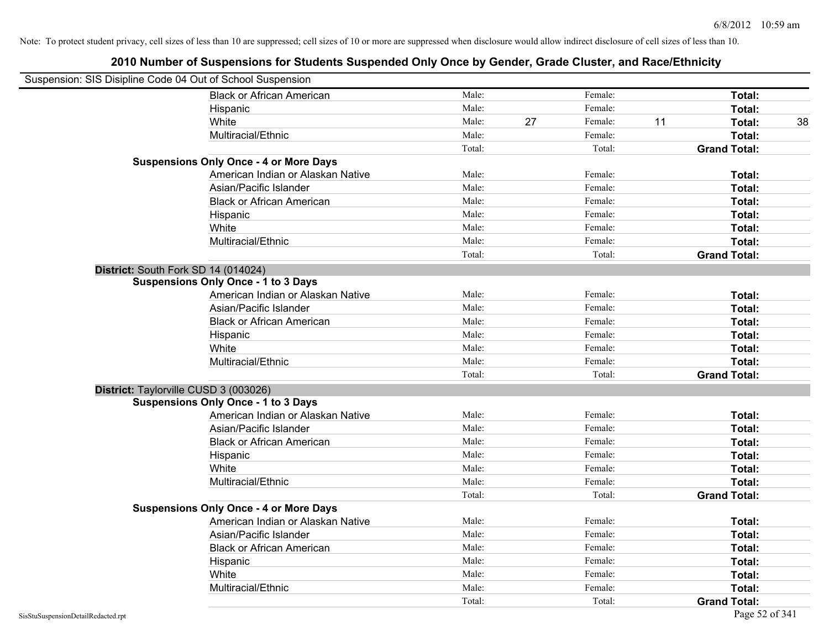| Suspension: SIS Disipline Code 04 Out of School Suspension |                                               |        |    |         |    |                     |    |
|------------------------------------------------------------|-----------------------------------------------|--------|----|---------|----|---------------------|----|
|                                                            | <b>Black or African American</b>              | Male:  |    | Female: |    | Total:              |    |
|                                                            | Hispanic                                      | Male:  |    | Female: |    | Total:              |    |
|                                                            | White                                         | Male:  | 27 | Female: | 11 | Total:              | 38 |
|                                                            | Multiracial/Ethnic                            | Male:  |    | Female: |    | Total:              |    |
|                                                            |                                               | Total: |    | Total:  |    | <b>Grand Total:</b> |    |
|                                                            | <b>Suspensions Only Once - 4 or More Days</b> |        |    |         |    |                     |    |
|                                                            | American Indian or Alaskan Native             | Male:  |    | Female: |    | Total:              |    |
|                                                            | Asian/Pacific Islander                        | Male:  |    | Female: |    | Total:              |    |
|                                                            | <b>Black or African American</b>              | Male:  |    | Female: |    | Total:              |    |
|                                                            | Hispanic                                      | Male:  |    | Female: |    | Total:              |    |
|                                                            | White                                         | Male:  |    | Female: |    | Total:              |    |
|                                                            | Multiracial/Ethnic                            | Male:  |    | Female: |    | Total:              |    |
|                                                            |                                               | Total: |    | Total:  |    | <b>Grand Total:</b> |    |
| District: South Fork SD 14 (014024)                        |                                               |        |    |         |    |                     |    |
|                                                            | <b>Suspensions Only Once - 1 to 3 Days</b>    |        |    |         |    |                     |    |
|                                                            | American Indian or Alaskan Native             | Male:  |    | Female: |    | Total:              |    |
|                                                            | Asian/Pacific Islander                        | Male:  |    | Female: |    | Total:              |    |
|                                                            | <b>Black or African American</b>              | Male:  |    | Female: |    | Total:              |    |
|                                                            | Hispanic                                      | Male:  |    | Female: |    | Total:              |    |
|                                                            | White                                         | Male:  |    | Female: |    | Total:              |    |
|                                                            | Multiracial/Ethnic                            | Male:  |    | Female: |    | Total:              |    |
|                                                            |                                               | Total: |    | Total:  |    | <b>Grand Total:</b> |    |
| District: Taylorville CUSD 3 (003026)                      |                                               |        |    |         |    |                     |    |
|                                                            | <b>Suspensions Only Once - 1 to 3 Days</b>    |        |    |         |    |                     |    |
|                                                            | American Indian or Alaskan Native             | Male:  |    | Female: |    | Total:              |    |
|                                                            | Asian/Pacific Islander                        | Male:  |    | Female: |    | Total:              |    |
|                                                            | <b>Black or African American</b>              | Male:  |    | Female: |    | Total:              |    |
|                                                            | Hispanic                                      | Male:  |    | Female: |    | Total:              |    |
|                                                            | White                                         | Male:  |    | Female: |    | Total:              |    |
|                                                            | Multiracial/Ethnic                            | Male:  |    | Female: |    | Total:              |    |
|                                                            |                                               | Total: |    | Total:  |    | <b>Grand Total:</b> |    |
|                                                            | <b>Suspensions Only Once - 4 or More Days</b> |        |    |         |    |                     |    |
|                                                            | American Indian or Alaskan Native             | Male:  |    | Female: |    | Total:              |    |
|                                                            | Asian/Pacific Islander                        | Male:  |    | Female: |    | Total:              |    |
|                                                            | <b>Black or African American</b>              | Male:  |    | Female: |    | Total:              |    |
|                                                            | Hispanic                                      | Male:  |    | Female: |    | Total:              |    |
|                                                            | White                                         | Male:  |    | Female: |    | Total:              |    |
|                                                            | Multiracial/Ethnic                            | Male:  |    | Female: |    | <b>Total:</b>       |    |
|                                                            |                                               | Total: |    | Total:  |    | <b>Grand Total:</b> |    |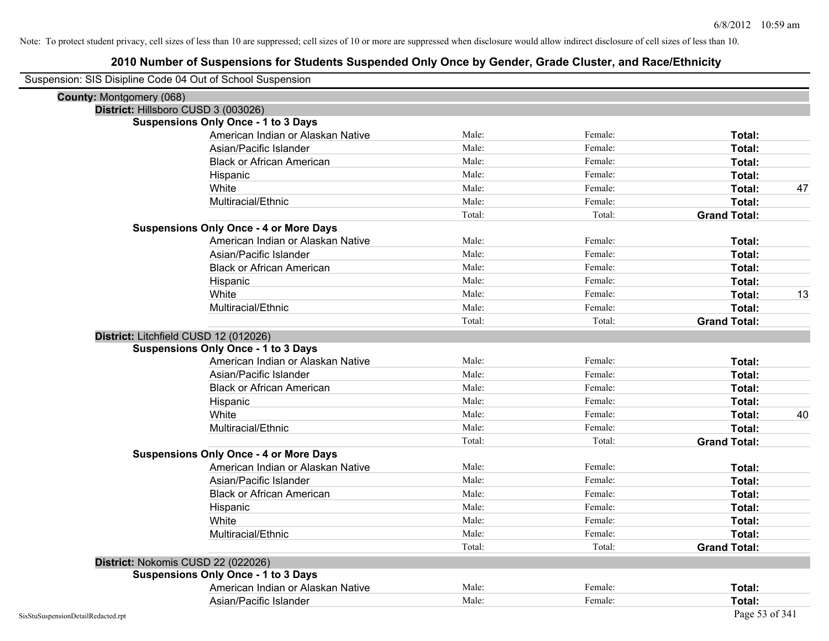|                                    | Suspension: SIS Disipline Code 04 Out of School Suspension |        |         |                     |
|------------------------------------|------------------------------------------------------------|--------|---------|---------------------|
| <b>County: Montgomery (068)</b>    |                                                            |        |         |                     |
|                                    | District: Hillsboro CUSD 3 (003026)                        |        |         |                     |
|                                    | <b>Suspensions Only Once - 1 to 3 Days</b>                 |        |         |                     |
|                                    | American Indian or Alaskan Native                          | Male:  | Female: | Total:              |
|                                    | Asian/Pacific Islander                                     | Male:  | Female: | Total:              |
|                                    | <b>Black or African American</b>                           | Male:  | Female: | Total:              |
|                                    | Hispanic                                                   | Male:  | Female: | Total:              |
|                                    | White                                                      | Male:  | Female: | 47<br>Total:        |
|                                    | Multiracial/Ethnic                                         | Male:  | Female: | Total:              |
|                                    |                                                            | Total: | Total:  | <b>Grand Total:</b> |
|                                    | <b>Suspensions Only Once - 4 or More Days</b>              |        |         |                     |
|                                    | American Indian or Alaskan Native                          | Male:  | Female: | Total:              |
|                                    | Asian/Pacific Islander                                     | Male:  | Female: | Total:              |
|                                    | <b>Black or African American</b>                           | Male:  | Female: | Total:              |
|                                    | Hispanic                                                   | Male:  | Female: | Total:              |
|                                    | White                                                      | Male:  | Female: | 13<br>Total:        |
|                                    | Multiracial/Ethnic                                         | Male:  | Female: | Total:              |
|                                    |                                                            | Total: | Total:  | <b>Grand Total:</b> |
|                                    | District: Litchfield CUSD 12 (012026)                      |        |         |                     |
|                                    | <b>Suspensions Only Once - 1 to 3 Days</b>                 |        |         |                     |
|                                    | American Indian or Alaskan Native                          | Male:  | Female: | Total:              |
|                                    | Asian/Pacific Islander                                     | Male:  | Female: | Total:              |
|                                    | <b>Black or African American</b>                           | Male:  | Female: | Total:              |
|                                    | Hispanic                                                   | Male:  | Female: | Total:              |
|                                    | White                                                      | Male:  | Female: | Total:<br>40        |
|                                    | Multiracial/Ethnic                                         | Male:  | Female: | Total:              |
|                                    |                                                            | Total: | Total:  | <b>Grand Total:</b> |
|                                    | <b>Suspensions Only Once - 4 or More Days</b>              |        |         |                     |
|                                    | American Indian or Alaskan Native                          | Male:  | Female: | Total:              |
|                                    | Asian/Pacific Islander                                     | Male:  | Female: | Total:              |
|                                    | <b>Black or African American</b>                           | Male:  | Female: | Total:              |
|                                    | Hispanic                                                   | Male:  | Female: | Total:              |
|                                    | White                                                      | Male:  | Female: | Total:              |
|                                    | Multiracial/Ethnic                                         | Male:  | Female: | Total:              |
|                                    |                                                            | Total: | Total:  | <b>Grand Total:</b> |
|                                    | District: Nokomis CUSD 22 (022026)                         |        |         |                     |
|                                    | <b>Suspensions Only Once - 1 to 3 Days</b>                 |        |         |                     |
|                                    | American Indian or Alaskan Native                          | Male:  | Female: | Total:              |
|                                    | Asian/Pacific Islander                                     | Male:  | Female: | Total:              |
| SisStuSuspensionDetailRedacted.rpt |                                                            |        |         | Page 53 of 341      |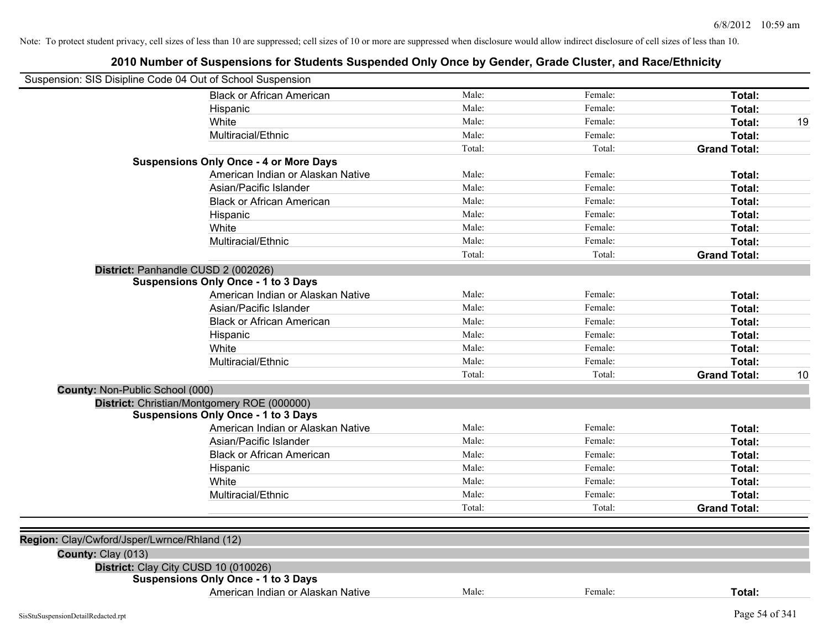| Suspension: SIS Disipline Code 04 Out of School Suspension |                                               |        |         |                     |    |
|------------------------------------------------------------|-----------------------------------------------|--------|---------|---------------------|----|
|                                                            | <b>Black or African American</b>              | Male:  | Female: | Total:              |    |
|                                                            | Hispanic                                      | Male:  | Female: | Total:              |    |
|                                                            | White                                         | Male:  | Female: | Total:              | 19 |
|                                                            | Multiracial/Ethnic                            | Male:  | Female: | Total:              |    |
|                                                            |                                               | Total: | Total:  | <b>Grand Total:</b> |    |
|                                                            | <b>Suspensions Only Once - 4 or More Days</b> |        |         |                     |    |
|                                                            | American Indian or Alaskan Native             | Male:  | Female: | Total:              |    |
|                                                            | Asian/Pacific Islander                        | Male:  | Female: | Total:              |    |
|                                                            | <b>Black or African American</b>              | Male:  | Female: | Total:              |    |
|                                                            | Hispanic                                      | Male:  | Female: | Total:              |    |
|                                                            | White                                         | Male:  | Female: | Total:              |    |
|                                                            | Multiracial/Ethnic                            | Male:  | Female: | Total:              |    |
|                                                            |                                               | Total: | Total:  | <b>Grand Total:</b> |    |
|                                                            | District: Panhandle CUSD 2 (002026)           |        |         |                     |    |
|                                                            | <b>Suspensions Only Once - 1 to 3 Days</b>    |        |         |                     |    |
|                                                            | American Indian or Alaskan Native             | Male:  | Female: | Total:              |    |
|                                                            | Asian/Pacific Islander                        | Male:  | Female: | Total:              |    |
|                                                            | <b>Black or African American</b>              | Male:  | Female: | Total:              |    |
|                                                            | Hispanic                                      | Male:  | Female: | Total:              |    |
|                                                            | White                                         | Male:  | Female: | Total:              |    |
|                                                            | Multiracial/Ethnic                            | Male:  | Female: | Total:              |    |
|                                                            |                                               | Total: | Total:  | <b>Grand Total:</b> | 10 |
| County: Non-Public School (000)                            |                                               |        |         |                     |    |
|                                                            | District: Christian/Montgomery ROE (000000)   |        |         |                     |    |
|                                                            | <b>Suspensions Only Once - 1 to 3 Days</b>    |        |         |                     |    |
|                                                            | American Indian or Alaskan Native             | Male:  | Female: | Total:              |    |
|                                                            | Asian/Pacific Islander                        | Male:  | Female: | Total:              |    |
|                                                            | <b>Black or African American</b>              | Male:  | Female: | Total:              |    |
|                                                            | Hispanic                                      | Male:  | Female: | Total:              |    |
|                                                            | White                                         | Male:  | Female: | Total:              |    |
|                                                            | Multiracial/Ethnic                            | Male:  | Female: | Total:              |    |
|                                                            |                                               | Total: | Total:  | <b>Grand Total:</b> |    |
|                                                            |                                               |        |         |                     |    |
| Region: Clay/Cwford/Jsper/Lwrnce/Rhland (12)               |                                               |        |         |                     |    |
| County: Clay (013)                                         |                                               |        |         |                     |    |
|                                                            | District: Clay City CUSD 10 (010026)          |        |         |                     |    |
|                                                            | <b>Suspensions Only Once - 1 to 3 Days</b>    |        |         |                     |    |
|                                                            | American Indian or Alaskan Native             | Male:  | Female: | Total:              |    |
| SisStuSuspensionDetailRedacted.rpt                         |                                               |        |         | Page 54 of 341      |    |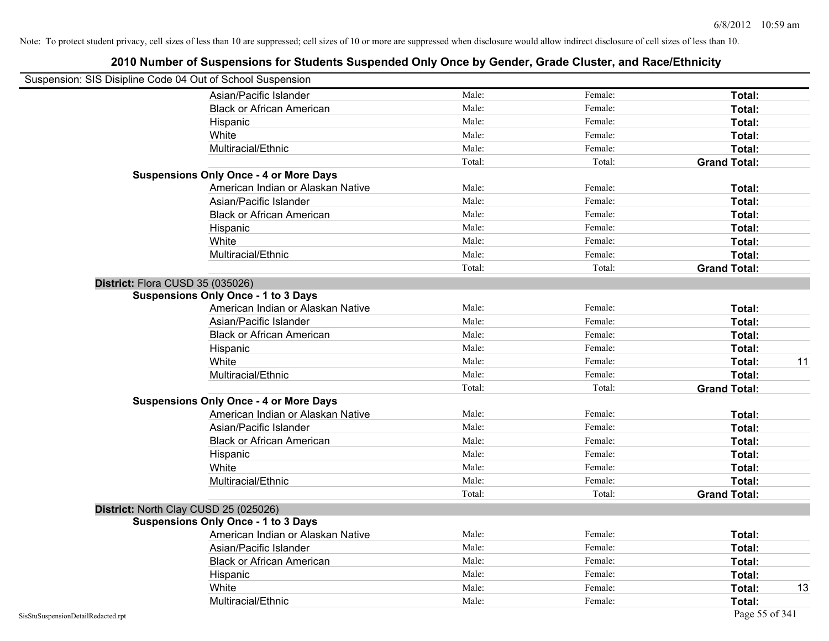| Suspension: SIS Disipline Code 04 Out of School Suspension |        |         |                     |    |
|------------------------------------------------------------|--------|---------|---------------------|----|
| Asian/Pacific Islander                                     | Male:  | Female: | Total:              |    |
| <b>Black or African American</b>                           | Male:  | Female: | Total:              |    |
| Hispanic                                                   | Male:  | Female: | Total:              |    |
| White                                                      | Male:  | Female: | Total:              |    |
| Multiracial/Ethnic                                         | Male:  | Female: | Total:              |    |
|                                                            | Total: | Total:  | <b>Grand Total:</b> |    |
| <b>Suspensions Only Once - 4 or More Days</b>              |        |         |                     |    |
| American Indian or Alaskan Native                          | Male:  | Female: | Total:              |    |
| Asian/Pacific Islander                                     | Male:  | Female: | Total:              |    |
| <b>Black or African American</b>                           | Male:  | Female: | Total:              |    |
| Hispanic                                                   | Male:  | Female: | Total:              |    |
| White                                                      | Male:  | Female: | Total:              |    |
| Multiracial/Ethnic                                         | Male:  | Female: | Total:              |    |
|                                                            | Total: | Total:  | <b>Grand Total:</b> |    |
| District: Flora CUSD 35 (035026)                           |        |         |                     |    |
| <b>Suspensions Only Once - 1 to 3 Days</b>                 |        |         |                     |    |
| American Indian or Alaskan Native                          | Male:  | Female: | Total:              |    |
| Asian/Pacific Islander                                     | Male:  | Female: | Total:              |    |
| <b>Black or African American</b>                           | Male:  | Female: | Total:              |    |
| Hispanic                                                   | Male:  | Female: | Total:              |    |
| White                                                      | Male:  | Female: | Total:              | 11 |
| Multiracial/Ethnic                                         | Male:  | Female: | Total:              |    |
|                                                            | Total: | Total:  | <b>Grand Total:</b> |    |
| <b>Suspensions Only Once - 4 or More Days</b>              |        |         |                     |    |
| American Indian or Alaskan Native                          | Male:  | Female: | Total:              |    |
| Asian/Pacific Islander                                     | Male:  | Female: | Total:              |    |
| <b>Black or African American</b>                           | Male:  | Female: | Total:              |    |
| Hispanic                                                   | Male:  | Female: | Total:              |    |
| White                                                      | Male:  | Female: | Total:              |    |
| Multiracial/Ethnic                                         | Male:  | Female: | Total:              |    |
|                                                            | Total: | Total:  | <b>Grand Total:</b> |    |
| District: North Clay CUSD 25 (025026)                      |        |         |                     |    |
| <b>Suspensions Only Once - 1 to 3 Days</b>                 |        |         |                     |    |
| American Indian or Alaskan Native                          | Male:  | Female: | Total:              |    |
| Asian/Pacific Islander                                     | Male:  | Female: | Total:              |    |
| <b>Black or African American</b>                           | Male:  | Female: | Total:              |    |
| Hispanic                                                   | Male:  | Female: | Total:              |    |
| White                                                      | Male:  | Female: | Total:              | 13 |
| Multiracial/Ethnic                                         | Male:  | Female: | Total:              |    |
| SisStuSuspensionDetailRedacted.rpt                         |        |         | Page 55 of 341      |    |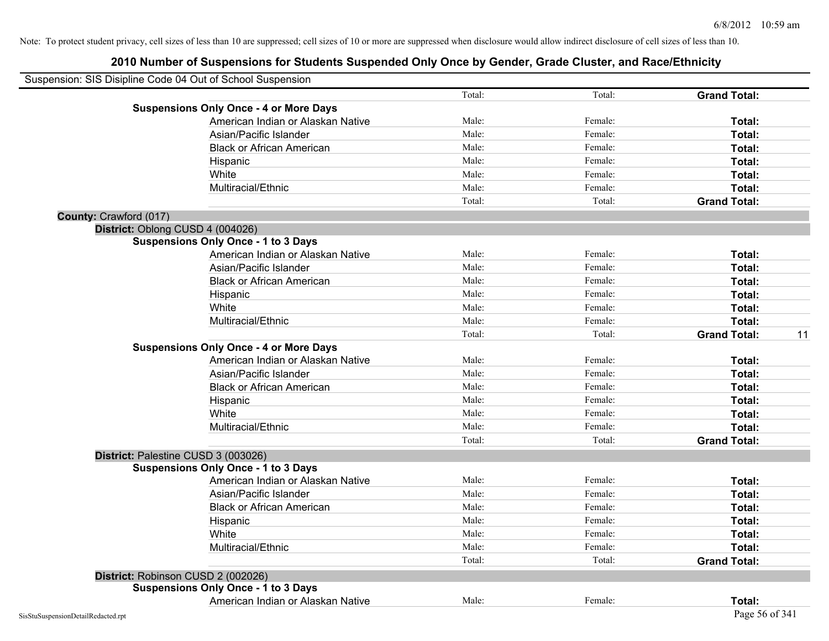| Suspension: SIS Disipline Code 04 Out of School Suspension |                                               |        |         |                           |
|------------------------------------------------------------|-----------------------------------------------|--------|---------|---------------------------|
|                                                            |                                               | Total: | Total:  | <b>Grand Total:</b>       |
|                                                            | <b>Suspensions Only Once - 4 or More Days</b> |        |         |                           |
|                                                            | American Indian or Alaskan Native             | Male:  | Female: | Total:                    |
|                                                            | Asian/Pacific Islander                        | Male:  | Female: | Total:                    |
|                                                            | <b>Black or African American</b>              | Male:  | Female: | Total:                    |
|                                                            | Hispanic                                      | Male:  | Female: | Total:                    |
|                                                            | White                                         | Male:  | Female: | Total:                    |
|                                                            | Multiracial/Ethnic                            | Male:  | Female: | Total:                    |
|                                                            |                                               | Total: | Total:  | <b>Grand Total:</b>       |
| County: Crawford (017)                                     |                                               |        |         |                           |
| District: Oblong CUSD 4 (004026)                           |                                               |        |         |                           |
|                                                            | <b>Suspensions Only Once - 1 to 3 Days</b>    |        |         |                           |
|                                                            | American Indian or Alaskan Native             | Male:  | Female: | Total:                    |
|                                                            | Asian/Pacific Islander                        | Male:  | Female: | Total:                    |
|                                                            | <b>Black or African American</b>              | Male:  | Female: | Total:                    |
|                                                            | Hispanic                                      | Male:  | Female: | Total:                    |
|                                                            | White                                         | Male:  | Female: | Total:                    |
|                                                            | Multiracial/Ethnic                            | Male:  | Female: | Total:                    |
|                                                            |                                               | Total: | Total:  | <b>Grand Total:</b><br>11 |
|                                                            | <b>Suspensions Only Once - 4 or More Days</b> |        |         |                           |
|                                                            | American Indian or Alaskan Native             | Male:  | Female: | Total:                    |
|                                                            | Asian/Pacific Islander                        | Male:  | Female: | Total:                    |
|                                                            | <b>Black or African American</b>              | Male:  | Female: | Total:                    |
|                                                            | Hispanic                                      | Male:  | Female: | Total:                    |
|                                                            | White                                         | Male:  | Female: | Total:                    |
|                                                            | Multiracial/Ethnic                            | Male:  | Female: | Total:                    |
|                                                            |                                               | Total: | Total:  | <b>Grand Total:</b>       |
| District: Palestine CUSD 3 (003026)                        |                                               |        |         |                           |
|                                                            | <b>Suspensions Only Once - 1 to 3 Days</b>    |        |         |                           |
|                                                            | American Indian or Alaskan Native             | Male:  | Female: | Total:                    |
|                                                            | Asian/Pacific Islander                        | Male:  | Female: | Total:                    |
|                                                            | <b>Black or African American</b>              | Male:  | Female: | Total:                    |
|                                                            | Hispanic                                      | Male:  | Female: | Total:                    |
|                                                            | White                                         | Male:  | Female: | Total:                    |
|                                                            | Multiracial/Ethnic                            | Male:  | Female: | Total:                    |
|                                                            |                                               | Total: | Total:  | <b>Grand Total:</b>       |
| District: Robinson CUSD 2 (002026)                         |                                               |        |         |                           |
|                                                            | <b>Suspensions Only Once - 1 to 3 Days</b>    |        |         |                           |
|                                                            | American Indian or Alaskan Native             | Male:  | Female: | Total:                    |
| SisStuSuspensionDetailRedacted.rpt                         |                                               |        |         | Page 56 of 341            |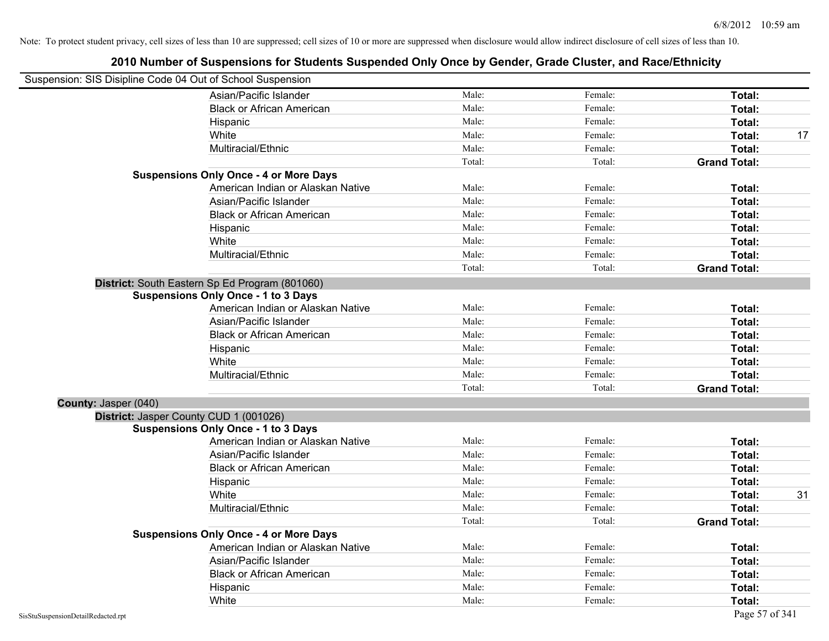| Suspension: SIS Disipline Code 04 Out of School Suspension |                                                |        |         |                     |
|------------------------------------------------------------|------------------------------------------------|--------|---------|---------------------|
|                                                            | Asian/Pacific Islander                         | Male:  | Female: | Total:              |
|                                                            | <b>Black or African American</b>               | Male:  | Female: | Total:              |
|                                                            | Hispanic                                       | Male:  | Female: | Total:              |
|                                                            | White                                          | Male:  | Female: | Total:<br>17        |
|                                                            | Multiracial/Ethnic                             | Male:  | Female: | Total:              |
|                                                            |                                                | Total: | Total:  | <b>Grand Total:</b> |
|                                                            | <b>Suspensions Only Once - 4 or More Days</b>  |        |         |                     |
|                                                            | American Indian or Alaskan Native              | Male:  | Female: | Total:              |
|                                                            | Asian/Pacific Islander                         | Male:  | Female: | Total:              |
|                                                            | <b>Black or African American</b>               | Male:  | Female: | Total:              |
|                                                            | Hispanic                                       | Male:  | Female: | Total:              |
|                                                            | White                                          | Male:  | Female: | Total:              |
|                                                            | Multiracial/Ethnic                             | Male:  | Female: | Total:              |
|                                                            |                                                | Total: | Total:  | <b>Grand Total:</b> |
|                                                            | District: South Eastern Sp Ed Program (801060) |        |         |                     |
|                                                            | <b>Suspensions Only Once - 1 to 3 Days</b>     |        |         |                     |
|                                                            | American Indian or Alaskan Native              | Male:  | Female: | Total:              |
|                                                            | Asian/Pacific Islander                         | Male:  | Female: | Total:              |
|                                                            | <b>Black or African American</b>               | Male:  | Female: | Total:              |
|                                                            | Hispanic                                       | Male:  | Female: | Total:              |
|                                                            | White                                          | Male:  | Female: | Total:              |
|                                                            | Multiracial/Ethnic                             | Male:  | Female: | Total:              |
|                                                            |                                                | Total: | Total:  | <b>Grand Total:</b> |
| County: Jasper (040)                                       |                                                |        |         |                     |
|                                                            | District: Jasper County CUD 1 (001026)         |        |         |                     |
|                                                            | <b>Suspensions Only Once - 1 to 3 Days</b>     |        |         |                     |
|                                                            | American Indian or Alaskan Native              | Male:  | Female: | Total:              |
|                                                            | Asian/Pacific Islander                         | Male:  | Female: | Total:              |
|                                                            | <b>Black or African American</b>               | Male:  | Female: | Total:              |
|                                                            | Hispanic                                       | Male:  | Female: | Total:              |
|                                                            | White                                          | Male:  | Female: | 31<br>Total:        |
|                                                            | Multiracial/Ethnic                             | Male:  | Female: | Total:              |
|                                                            |                                                | Total: | Total:  | <b>Grand Total:</b> |
|                                                            | <b>Suspensions Only Once - 4 or More Days</b>  |        |         |                     |
|                                                            | American Indian or Alaskan Native              | Male:  | Female: | Total:              |
|                                                            | Asian/Pacific Islander                         | Male:  | Female: | Total:              |
|                                                            | <b>Black or African American</b>               | Male:  | Female: | Total:              |
|                                                            | Hispanic                                       | Male:  | Female: | Total:              |
|                                                            | White                                          | Male:  | Female: | Total:              |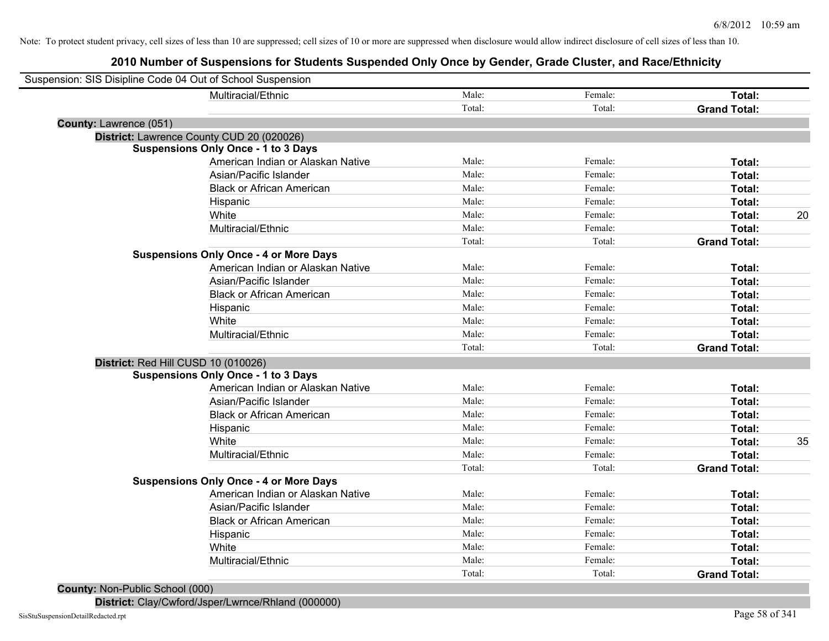# **2010 Number of Suspensions for Students Suspended Only Once by Gender, Grade Cluster, and Race/Ethnicity**

|                        | Suspension: SIS Disipline Code 04 Out of School Suspension |        |         |                     |    |
|------------------------|------------------------------------------------------------|--------|---------|---------------------|----|
|                        | Multiracial/Ethnic                                         | Male:  | Female: | Total:              |    |
|                        |                                                            | Total: | Total:  | <b>Grand Total:</b> |    |
| County: Lawrence (051) |                                                            |        |         |                     |    |
|                        | District: Lawrence County CUD 20 (020026)                  |        |         |                     |    |
|                        | <b>Suspensions Only Once - 1 to 3 Days</b>                 |        |         |                     |    |
|                        | American Indian or Alaskan Native                          | Male:  | Female: | Total:              |    |
|                        | Asian/Pacific Islander                                     | Male:  | Female: | Total:              |    |
|                        | <b>Black or African American</b>                           | Male:  | Female: | Total:              |    |
|                        | Hispanic                                                   | Male:  | Female: | Total:              |    |
|                        | White                                                      | Male:  | Female: | Total:              | 20 |
|                        | Multiracial/Ethnic                                         | Male:  | Female: | Total:              |    |
|                        |                                                            | Total: | Total:  | <b>Grand Total:</b> |    |
|                        | <b>Suspensions Only Once - 4 or More Days</b>              |        |         |                     |    |
|                        | American Indian or Alaskan Native                          | Male:  | Female: | Total:              |    |
|                        | Asian/Pacific Islander                                     | Male:  | Female: | Total:              |    |
|                        | <b>Black or African American</b>                           | Male:  | Female: | Total:              |    |
|                        | Hispanic                                                   | Male:  | Female: | Total:              |    |
|                        | White                                                      | Male:  | Female: | Total:              |    |
|                        | Multiracial/Ethnic                                         | Male:  | Female: | Total:              |    |
|                        |                                                            | Total: | Total:  | <b>Grand Total:</b> |    |
|                        | District: Red Hill CUSD 10 (010026)                        |        |         |                     |    |
|                        | <b>Suspensions Only Once - 1 to 3 Days</b>                 |        |         |                     |    |
|                        | American Indian or Alaskan Native                          | Male:  | Female: | Total:              |    |
|                        | Asian/Pacific Islander                                     | Male:  | Female: | Total:              |    |
|                        | <b>Black or African American</b>                           | Male:  | Female: | Total:              |    |
|                        | Hispanic                                                   | Male:  | Female: | Total:              |    |
|                        | White                                                      | Male:  | Female: | Total:              | 35 |
|                        | Multiracial/Ethnic                                         | Male:  | Female: | Total:              |    |
|                        |                                                            | Total: | Total:  | <b>Grand Total:</b> |    |
|                        | <b>Suspensions Only Once - 4 or More Days</b>              |        |         |                     |    |
|                        | American Indian or Alaskan Native                          | Male:  | Female: | Total:              |    |
|                        | Asian/Pacific Islander                                     | Male:  | Female: | Total:              |    |
|                        | <b>Black or African American</b>                           | Male:  | Female: | Total:              |    |
|                        | Hispanic                                                   | Male:  | Female: | Total:              |    |
|                        | White                                                      | Male:  | Female: | Total:              |    |
|                        | Multiracial/Ethnic                                         | Male:  | Female: | Total:              |    |
|                        |                                                            | Total: | Total:  | <b>Grand Total:</b> |    |
|                        |                                                            |        |         |                     |    |

**County:** Non-Public School (000)

**District:** Clay/Cwford/Jsper/Lwrnce/Rhland (000000)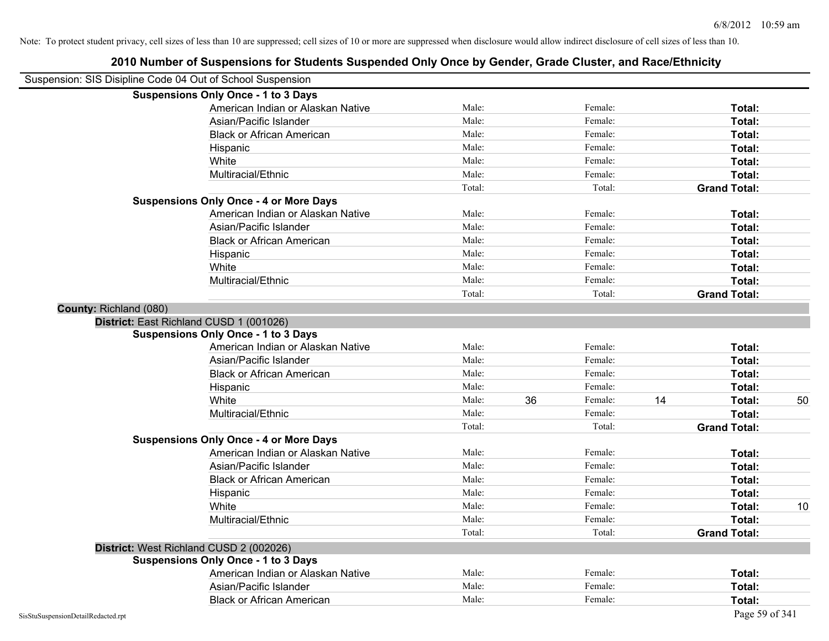| 2010 Number of Suspensions for Students Suspended Only Once by Gender, Grade Cluster, and Race/Ethnicity |        |    |         |    |                     |    |
|----------------------------------------------------------------------------------------------------------|--------|----|---------|----|---------------------|----|
| Suspension: SIS Disipline Code 04 Out of School Suspension                                               |        |    |         |    |                     |    |
| <b>Suspensions Only Once - 1 to 3 Days</b>                                                               |        |    |         |    |                     |    |
| American Indian or Alaskan Native                                                                        | Male:  |    | Female: |    | Total:              |    |
| Asian/Pacific Islander                                                                                   | Male:  |    | Female: |    | Total:              |    |
| <b>Black or African American</b>                                                                         | Male:  |    | Female: |    | Total:              |    |
| Hispanic                                                                                                 | Male:  |    | Female: |    | Total:              |    |
| White                                                                                                    | Male:  |    | Female: |    | Total:              |    |
| Multiracial/Ethnic                                                                                       | Male:  |    | Female: |    | Total:              |    |
|                                                                                                          | Total: |    | Total:  |    | <b>Grand Total:</b> |    |
| <b>Suspensions Only Once - 4 or More Days</b>                                                            |        |    |         |    |                     |    |
| American Indian or Alaskan Native                                                                        | Male:  |    | Female: |    | Total:              |    |
| Asian/Pacific Islander                                                                                   | Male:  |    | Female: |    | Total:              |    |
| <b>Black or African American</b>                                                                         | Male:  |    | Female: |    | Total:              |    |
| Hispanic                                                                                                 | Male:  |    | Female: |    | Total:              |    |
| White                                                                                                    | Male:  |    | Female: |    | Total:              |    |
| Multiracial/Ethnic                                                                                       | Male:  |    | Female: |    | Total:              |    |
|                                                                                                          | Total: |    | Total:  |    | <b>Grand Total:</b> |    |
| County: Richland (080)                                                                                   |        |    |         |    |                     |    |
| District: East Richland CUSD 1 (001026)                                                                  |        |    |         |    |                     |    |
| <b>Suspensions Only Once - 1 to 3 Days</b>                                                               |        |    |         |    |                     |    |
| American Indian or Alaskan Native                                                                        | Male:  |    | Female: |    | Total:              |    |
| Asian/Pacific Islander                                                                                   | Male:  |    | Female: |    | Total:              |    |
| <b>Black or African American</b>                                                                         | Male:  |    | Female: |    | Total:              |    |
| Hispanic                                                                                                 | Male:  |    | Female: |    | Total:              |    |
| White                                                                                                    | Male:  | 36 | Female: | 14 | Total:              | 50 |
| Multiracial/Ethnic                                                                                       | Male:  |    | Female: |    | Total:              |    |
|                                                                                                          | Total: |    | Total:  |    | <b>Grand Total:</b> |    |
| <b>Suspensions Only Once - 4 or More Days</b>                                                            |        |    |         |    |                     |    |
| American Indian or Alaskan Native                                                                        | Male:  |    | Female: |    | Total:              |    |
| Asian/Pacific Islander                                                                                   | Male:  |    | Female: |    | Total:              |    |
| <b>Black or African American</b>                                                                         | Male:  |    | Female: |    | Total:              |    |
| Hispanic                                                                                                 | Male:  |    | Female: |    | Total:              |    |
| White                                                                                                    | Male:  |    | Female: |    | Total:              | 10 |
| Multiracial/Ethnic                                                                                       | Male:  |    | Female: |    | Total:              |    |
|                                                                                                          | Total: |    | Total:  |    | <b>Grand Total:</b> |    |
| District: West Richland CUSD 2 (002026)                                                                  |        |    |         |    |                     |    |
| <b>Suspensions Only Once - 1 to 3 Days</b>                                                               |        |    |         |    |                     |    |
| American Indian or Alaskan Native                                                                        | Male:  |    | Female: |    | Total:              |    |
| Asian/Pacific Islander                                                                                   | Male:  |    | Female: |    | Total:              |    |
| <b>Black or African American</b>                                                                         | Male:  |    | Female: |    | Total:              |    |
| SisStuSuspensionDetailRedacted.rpt                                                                       |        |    |         |    | Page 59 of 341      |    |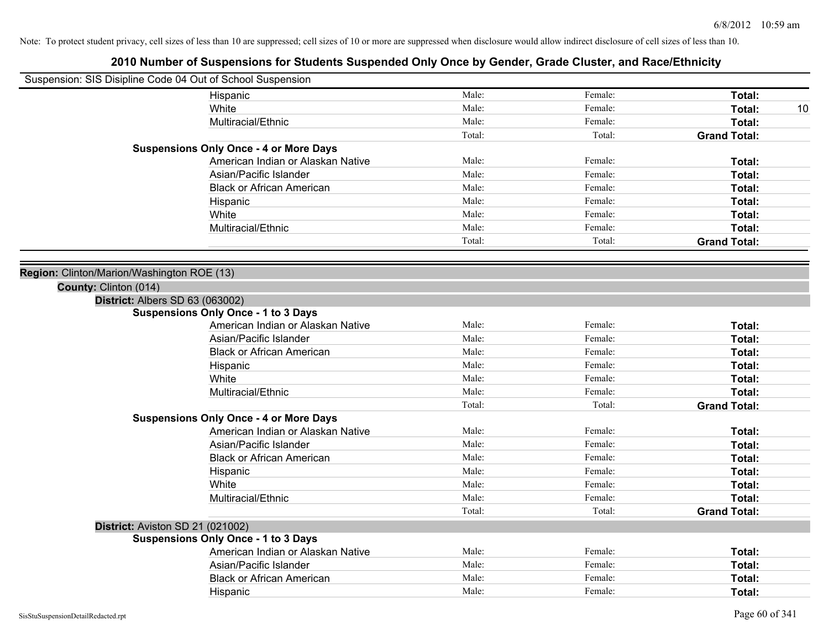|                                            | Suspension: SIS Disipline Code 04 Out of School Suspension |        |         |                     |    |
|--------------------------------------------|------------------------------------------------------------|--------|---------|---------------------|----|
|                                            | Hispanic                                                   | Male:  | Female: | Total:              |    |
|                                            | White                                                      | Male:  | Female: | Total:              | 10 |
|                                            | Multiracial/Ethnic                                         | Male:  | Female: | Total:              |    |
|                                            |                                                            | Total: | Total:  | <b>Grand Total:</b> |    |
|                                            | <b>Suspensions Only Once - 4 or More Days</b>              |        |         |                     |    |
|                                            | American Indian or Alaskan Native                          | Male:  | Female: | Total:              |    |
|                                            | Asian/Pacific Islander                                     | Male:  | Female: | Total:              |    |
|                                            | <b>Black or African American</b>                           | Male:  | Female: | Total:              |    |
|                                            | Hispanic                                                   | Male:  | Female: | Total:              |    |
|                                            | White                                                      | Male:  | Female: | Total:              |    |
|                                            | Multiracial/Ethnic                                         | Male:  | Female: | Total:              |    |
|                                            |                                                            | Total: | Total:  | <b>Grand Total:</b> |    |
|                                            |                                                            |        |         |                     |    |
| Region: Clinton/Marion/Washington ROE (13) |                                                            |        |         |                     |    |
| County: Clinton (014)                      |                                                            |        |         |                     |    |
|                                            | District: Albers SD 63 (063002)                            |        |         |                     |    |
|                                            | <b>Suspensions Only Once - 1 to 3 Days</b>                 |        |         |                     |    |
|                                            | American Indian or Alaskan Native                          | Male:  | Female: | Total:              |    |
|                                            | Asian/Pacific Islander                                     | Male:  | Female: | Total:              |    |
|                                            | <b>Black or African American</b>                           | Male:  | Female: | Total:              |    |
|                                            | Hispanic                                                   | Male:  | Female: | Total:              |    |
|                                            | White                                                      | Male:  | Female: | Total:              |    |
|                                            | Multiracial/Ethnic                                         | Male:  | Female: | Total:              |    |
|                                            |                                                            | Total: | Total:  | <b>Grand Total:</b> |    |
|                                            | <b>Suspensions Only Once - 4 or More Days</b>              |        |         |                     |    |
|                                            | American Indian or Alaskan Native                          | Male:  | Female: | Total:              |    |
|                                            | Asian/Pacific Islander                                     | Male:  | Female: | Total:              |    |
|                                            | <b>Black or African American</b>                           | Male:  | Female: | Total:              |    |
|                                            | Hispanic                                                   | Male:  | Female: | Total:              |    |
|                                            | White                                                      | Male:  | Female: | Total:              |    |
|                                            | Multiracial/Ethnic                                         | Male:  | Female: | Total:              |    |
|                                            |                                                            | Total: | Total:  | <b>Grand Total:</b> |    |
|                                            | District: Aviston SD 21 (021002)                           |        |         |                     |    |
|                                            | <b>Suspensions Only Once - 1 to 3 Days</b>                 |        |         |                     |    |
|                                            | American Indian or Alaskan Native                          | Male:  | Female: | Total:              |    |
|                                            | Asian/Pacific Islander                                     | Male:  | Female: | Total:              |    |
|                                            | <b>Black or African American</b>                           | Male:  | Female: | Total:              |    |
|                                            | Hispanic                                                   | Male:  | Female: | Total:              |    |
|                                            |                                                            |        |         |                     |    |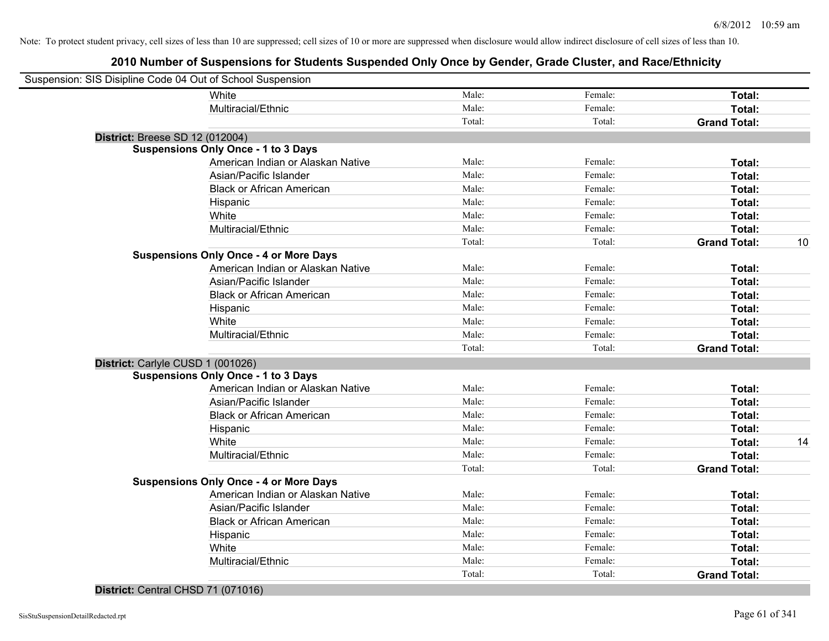# **2010 Number of Suspensions for Students Suspended Only Once by Gender, Grade Cluster, and Race/Ethnicity**

| Suspension: SIS Disipline Code 04 Out of School Suspension |        |         |                     |    |
|------------------------------------------------------------|--------|---------|---------------------|----|
| White                                                      | Male:  | Female: | Total:              |    |
| Multiracial/Ethnic                                         | Male:  | Female: | Total:              |    |
|                                                            | Total: | Total:  | <b>Grand Total:</b> |    |
| <b>District: Breese SD 12 (012004)</b>                     |        |         |                     |    |
| <b>Suspensions Only Once - 1 to 3 Days</b>                 |        |         |                     |    |
| American Indian or Alaskan Native                          | Male:  | Female: | Total:              |    |
| Asian/Pacific Islander                                     | Male:  | Female: | Total:              |    |
| <b>Black or African American</b>                           | Male:  | Female: | Total:              |    |
| Hispanic                                                   | Male:  | Female: | Total:              |    |
| White                                                      | Male:  | Female: | Total:              |    |
| Multiracial/Ethnic                                         | Male:  | Female: | Total:              |    |
|                                                            | Total: | Total:  | <b>Grand Total:</b> | 10 |
| <b>Suspensions Only Once - 4 or More Days</b>              |        |         |                     |    |
| American Indian or Alaskan Native                          | Male:  | Female: | Total:              |    |
| Asian/Pacific Islander                                     | Male:  | Female: | Total:              |    |
| <b>Black or African American</b>                           | Male:  | Female: | Total:              |    |
| Hispanic                                                   | Male:  | Female: | Total:              |    |
| White                                                      | Male:  | Female: | Total:              |    |
| Multiracial/Ethnic                                         | Male:  | Female: | <b>Total:</b>       |    |
|                                                            | Total: | Total:  | <b>Grand Total:</b> |    |
| District: Carlyle CUSD 1 (001026)                          |        |         |                     |    |
| <b>Suspensions Only Once - 1 to 3 Days</b>                 |        |         |                     |    |
| American Indian or Alaskan Native                          | Male:  | Female: | Total:              |    |
| Asian/Pacific Islander                                     | Male:  | Female: | Total:              |    |
| <b>Black or African American</b>                           | Male:  | Female: | Total:              |    |
| Hispanic                                                   | Male:  | Female: | Total:              |    |
| White                                                      | Male:  | Female: | Total:              | 14 |
| Multiracial/Ethnic                                         | Male:  | Female: | <b>Total:</b>       |    |
|                                                            | Total: | Total:  | <b>Grand Total:</b> |    |
| <b>Suspensions Only Once - 4 or More Days</b>              |        |         |                     |    |
| American Indian or Alaskan Native                          | Male:  | Female: | Total:              |    |
| Asian/Pacific Islander                                     | Male:  | Female: | Total:              |    |
| <b>Black or African American</b>                           | Male:  | Female: | Total:              |    |
| Hispanic                                                   | Male:  | Female: | Total:              |    |
| White                                                      | Male:  | Female: | Total:              |    |
| Multiracial/Ethnic                                         | Male:  | Female: | <b>Total:</b>       |    |
|                                                            | Total: | Total:  | <b>Grand Total:</b> |    |
|                                                            |        |         |                     |    |

#### **District:** Central CHSD 71 (071016)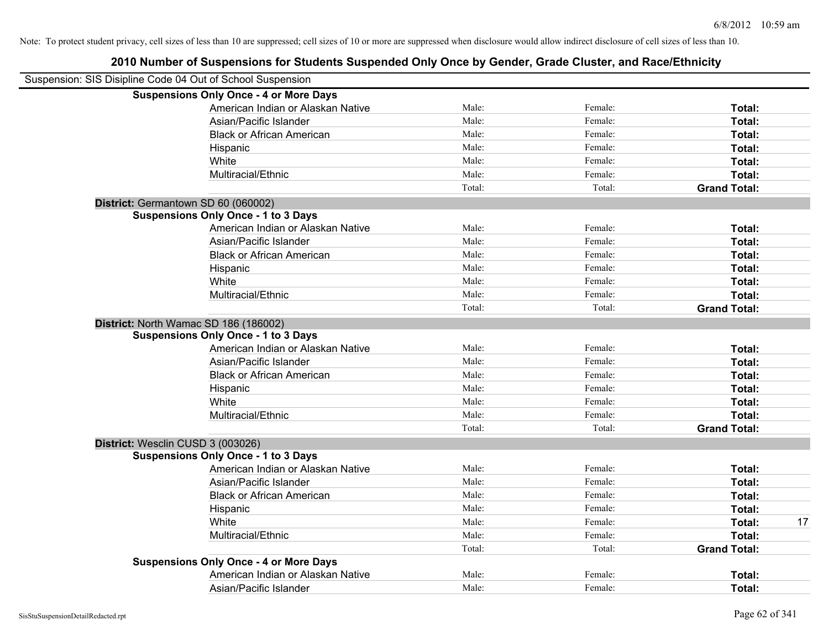| Suspension: SIS Disipline Code 04 Out of School Suspension |        |         |                     |    |
|------------------------------------------------------------|--------|---------|---------------------|----|
| <b>Suspensions Only Once - 4 or More Days</b>              |        |         |                     |    |
| American Indian or Alaskan Native                          | Male:  | Female: | Total:              |    |
| Asian/Pacific Islander                                     | Male:  | Female: | Total:              |    |
| <b>Black or African American</b>                           | Male:  | Female: | Total:              |    |
| Hispanic                                                   | Male:  | Female: | Total:              |    |
| White                                                      | Male:  | Female: | Total:              |    |
| Multiracial/Ethnic                                         | Male:  | Female: | Total:              |    |
|                                                            | Total: | Total:  | <b>Grand Total:</b> |    |
| District: Germantown SD 60 (060002)                        |        |         |                     |    |
| <b>Suspensions Only Once - 1 to 3 Days</b>                 |        |         |                     |    |
| American Indian or Alaskan Native                          | Male:  | Female: | Total:              |    |
| Asian/Pacific Islander                                     | Male:  | Female: | Total:              |    |
| <b>Black or African American</b>                           | Male:  | Female: | Total:              |    |
| Hispanic                                                   | Male:  | Female: | Total:              |    |
| White                                                      | Male:  | Female: | Total:              |    |
| Multiracial/Ethnic                                         | Male:  | Female: | Total:              |    |
|                                                            | Total: | Total:  | <b>Grand Total:</b> |    |
| District: North Wamac SD 186 (186002)                      |        |         |                     |    |
| <b>Suspensions Only Once - 1 to 3 Days</b>                 |        |         |                     |    |
| American Indian or Alaskan Native                          | Male:  | Female: | Total:              |    |
| Asian/Pacific Islander                                     | Male:  | Female: | Total:              |    |
| <b>Black or African American</b>                           | Male:  | Female: | Total:              |    |
| Hispanic                                                   | Male:  | Female: | Total:              |    |
| White                                                      | Male:  | Female: | Total:              |    |
| Multiracial/Ethnic                                         | Male:  | Female: | Total:              |    |
|                                                            | Total: | Total:  | <b>Grand Total:</b> |    |
| District: Wesclin CUSD 3 (003026)                          |        |         |                     |    |
| <b>Suspensions Only Once - 1 to 3 Days</b>                 |        |         |                     |    |
| American Indian or Alaskan Native                          | Male:  | Female: | Total:              |    |
| Asian/Pacific Islander                                     | Male:  | Female: | Total:              |    |
| <b>Black or African American</b>                           | Male:  | Female: | Total:              |    |
| Hispanic                                                   | Male:  | Female: | Total:              |    |
| White                                                      | Male:  | Female: | Total:              | 17 |
| Multiracial/Ethnic                                         | Male:  | Female: | Total:              |    |
|                                                            | Total: | Total:  | <b>Grand Total:</b> |    |
| <b>Suspensions Only Once - 4 or More Days</b>              |        |         |                     |    |
| American Indian or Alaskan Native                          | Male:  | Female: | Total:              |    |
| Asian/Pacific Islander                                     | Male:  | Female: | Total:              |    |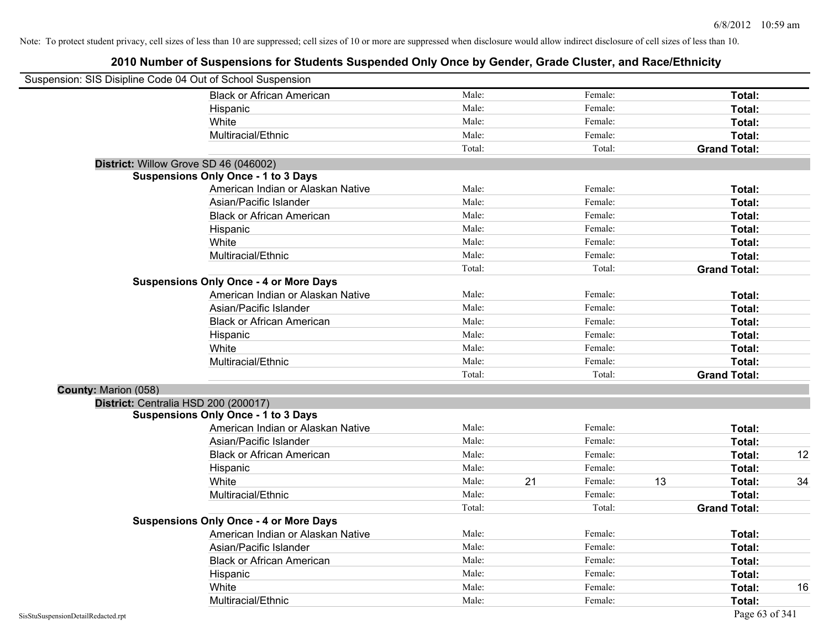| Suspension: SIS Disipline Code 04 Out of School Suspension |                                               |        |    |         |    |                     |    |
|------------------------------------------------------------|-----------------------------------------------|--------|----|---------|----|---------------------|----|
|                                                            | <b>Black or African American</b>              | Male:  |    | Female: |    | Total:              |    |
|                                                            | Hispanic                                      | Male:  |    | Female: |    | Total:              |    |
|                                                            | White                                         | Male:  |    | Female: |    | Total:              |    |
|                                                            | Multiracial/Ethnic                            | Male:  |    | Female: |    | Total:              |    |
|                                                            |                                               | Total: |    | Total:  |    | <b>Grand Total:</b> |    |
| District: Willow Grove SD 46 (046002)                      |                                               |        |    |         |    |                     |    |
|                                                            | <b>Suspensions Only Once - 1 to 3 Days</b>    |        |    |         |    |                     |    |
|                                                            | American Indian or Alaskan Native             | Male:  |    | Female: |    | Total:              |    |
|                                                            | Asian/Pacific Islander                        | Male:  |    | Female: |    | Total:              |    |
|                                                            | <b>Black or African American</b>              | Male:  |    | Female: |    | Total:              |    |
|                                                            | Hispanic                                      | Male:  |    | Female: |    | Total:              |    |
|                                                            | White                                         | Male:  |    | Female: |    | Total:              |    |
|                                                            | Multiracial/Ethnic                            | Male:  |    | Female: |    | Total:              |    |
|                                                            |                                               | Total: |    | Total:  |    | <b>Grand Total:</b> |    |
|                                                            | <b>Suspensions Only Once - 4 or More Days</b> |        |    |         |    |                     |    |
|                                                            | American Indian or Alaskan Native             | Male:  |    | Female: |    | Total:              |    |
|                                                            | Asian/Pacific Islander                        | Male:  |    | Female: |    | Total:              |    |
|                                                            | <b>Black or African American</b>              | Male:  |    | Female: |    | Total:              |    |
|                                                            | Hispanic                                      | Male:  |    | Female: |    | Total:              |    |
|                                                            | White                                         | Male:  |    | Female: |    | Total:              |    |
|                                                            | Multiracial/Ethnic                            | Male:  |    | Female: |    | Total:              |    |
|                                                            |                                               | Total: |    | Total:  |    | <b>Grand Total:</b> |    |
| County: Marion (058)                                       |                                               |        |    |         |    |                     |    |
| District: Centralia HSD 200 (200017)                       |                                               |        |    |         |    |                     |    |
|                                                            | <b>Suspensions Only Once - 1 to 3 Days</b>    |        |    |         |    |                     |    |
|                                                            | American Indian or Alaskan Native             | Male:  |    | Female: |    | Total:              |    |
|                                                            | Asian/Pacific Islander                        | Male:  |    | Female: |    | Total:              |    |
|                                                            | <b>Black or African American</b>              | Male:  |    | Female: |    | Total:              | 12 |
|                                                            | Hispanic                                      | Male:  |    | Female: |    | Total:              |    |
|                                                            | White                                         | Male:  | 21 | Female: | 13 | Total:              | 34 |
|                                                            | Multiracial/Ethnic                            | Male:  |    | Female: |    | Total:              |    |
|                                                            |                                               | Total: |    | Total:  |    | <b>Grand Total:</b> |    |
|                                                            | <b>Suspensions Only Once - 4 or More Days</b> |        |    |         |    |                     |    |
|                                                            | American Indian or Alaskan Native             | Male:  |    | Female: |    | Total:              |    |
|                                                            | Asian/Pacific Islander                        | Male:  |    | Female: |    | Total:              |    |
|                                                            | <b>Black or African American</b>              | Male:  |    | Female: |    | Total:              |    |
|                                                            | Hispanic                                      | Male:  |    | Female: |    | Total:              |    |
|                                                            | White                                         | Male:  |    | Female: |    | <b>Total:</b>       | 16 |
|                                                            | Multiracial/Ethnic                            | Male:  |    | Female: |    | Total:              |    |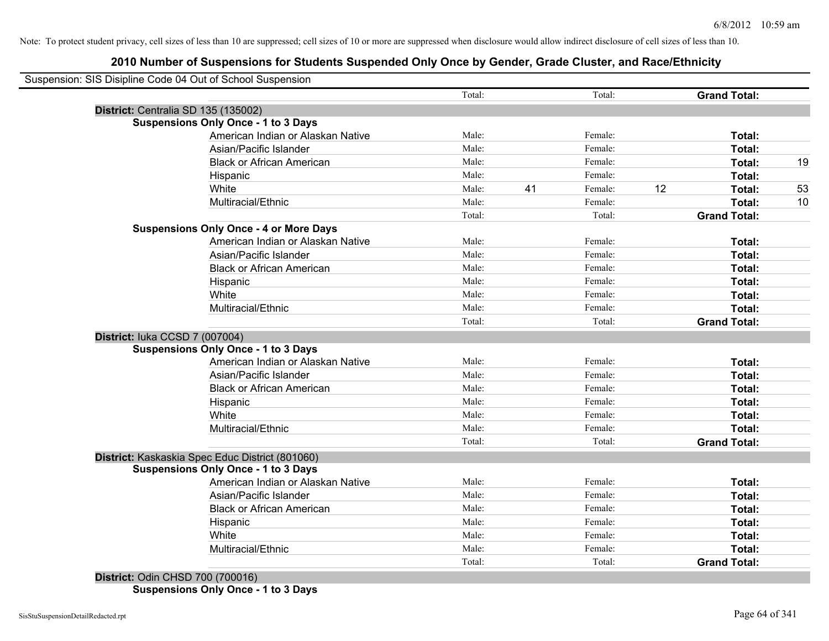# **2010 Number of Suspensions for Students Suspended Only Once by Gender, Grade Cluster, and Race/Ethnicity**

|                                     |                                                 | Total: |    | Total:  |    | <b>Grand Total:</b> |
|-------------------------------------|-------------------------------------------------|--------|----|---------|----|---------------------|
| District: Centralia SD 135 (135002) |                                                 |        |    |         |    |                     |
|                                     | <b>Suspensions Only Once - 1 to 3 Days</b>      |        |    |         |    |                     |
|                                     | American Indian or Alaskan Native               | Male:  |    | Female: |    | Total:              |
|                                     | Asian/Pacific Islander                          | Male:  |    | Female: |    | Total:              |
|                                     | <b>Black or African American</b>                | Male:  |    | Female: |    | Total:              |
|                                     | Hispanic                                        | Male:  |    | Female: |    | Total:              |
|                                     | White                                           | Male:  | 41 | Female: | 12 | Total:              |
|                                     | Multiracial/Ethnic                              | Male:  |    | Female: |    | Total:              |
|                                     |                                                 | Total: |    | Total:  |    | <b>Grand Total:</b> |
|                                     | <b>Suspensions Only Once - 4 or More Days</b>   |        |    |         |    |                     |
|                                     | American Indian or Alaskan Native               | Male:  |    | Female: |    | Total:              |
|                                     | Asian/Pacific Islander                          | Male:  |    | Female: |    | Total:              |
|                                     | <b>Black or African American</b>                | Male:  |    | Female: |    | Total:              |
|                                     | Hispanic                                        | Male:  |    | Female: |    | Total:              |
|                                     | White                                           | Male:  |    | Female: |    | Total:              |
|                                     | Multiracial/Ethnic                              | Male:  |    | Female: |    | Total:              |
|                                     |                                                 | Total: |    | Total:  |    | <b>Grand Total:</b> |
| District: luka CCSD 7 (007004)      |                                                 |        |    |         |    |                     |
|                                     | <b>Suspensions Only Once - 1 to 3 Days</b>      |        |    |         |    |                     |
|                                     | American Indian or Alaskan Native               | Male:  |    | Female: |    | Total:              |
|                                     | Asian/Pacific Islander                          | Male:  |    | Female: |    | Total:              |
|                                     | <b>Black or African American</b>                | Male:  |    | Female: |    | Total:              |
|                                     | Hispanic                                        | Male:  |    | Female: |    | Total:              |
|                                     | White                                           | Male:  |    | Female: |    | Total:              |
|                                     | Multiracial/Ethnic                              | Male:  |    | Female: |    | Total:              |
|                                     |                                                 | Total: |    | Total:  |    | <b>Grand Total:</b> |
|                                     | District: Kaskaskia Spec Educ District (801060) |        |    |         |    |                     |
|                                     | <b>Suspensions Only Once - 1 to 3 Days</b>      |        |    |         |    |                     |
|                                     | American Indian or Alaskan Native               | Male:  |    | Female: |    | Total:              |
|                                     | Asian/Pacific Islander                          | Male:  |    | Female: |    | Total:              |
|                                     | <b>Black or African American</b>                | Male:  |    | Female: |    | Total:              |
|                                     | Hispanic                                        | Male:  |    | Female: |    | Total:              |
|                                     | White                                           | Male:  |    | Female: |    | <b>Total:</b>       |
|                                     | Multiracial/Ethnic                              | Male:  |    | Female: |    | <b>Total:</b>       |
|                                     |                                                 | Total: |    | Total:  |    | <b>Grand Total:</b> |

**Suspensions Only Once - 1 to 3 Days**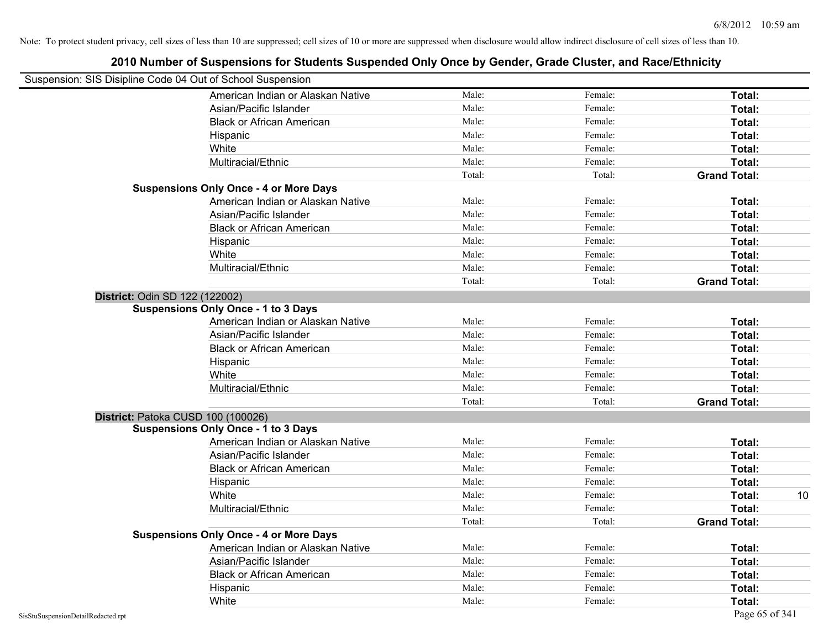# Suspension: SIS Disipline Code 04 Out of School Suspension American Indian or Alaskan Native **Male:** Male: Female: Female: **Total:** Total: Asian/Pacific Islander **Figure 1.1 Contained Asian** Male: Female: Female: **Total:** Total: Black or African American **American** Male: Male: Female: **Female: Total: Total: Total: Female: Total: Total: Total: Total: Total: Total: Total: Total: Total: Total: Total: Total: Total:** Hispanic **Total:** Male: Female: **Total:** Female: **Total:** Total: **Total:** Female: **Total:** Total: **Total:** Total: **Total:** Total: **Total:** Total: **Total:** Total: **Total:** Total: **Total:** Total: **Total:** Total: **Total:** Tot White **Total:** Male: Female: **Total:** Female: **Total:** Total: Multiracial/Ethnic **Total:** Male: Female: **Total:** Female: **Total:** Female: **Total:** Female: **Total:** Female: **Total:** Female: **Total:** Female: **Total:** Female: **Total:** Female: **Total:** Female: **Total:** Female: **Total:** F Total: Total: Total: **Grand Total: Suspensions Only Once - 4 or More Days** American Indian or Alaskan Native **Male:** Male: Female: Female: **Total:** Total: Asian/Pacific Islander **Figure 1.1 Contact Contact Contact Contact Contact Contact Contact Contact Total: Total:** Black or African American **Figure 1.1 and Total:** Male: Female: Female: **Total: Total:** Total: Hispanic **Total:** Male: Female: **Total:** Female: **Total:** Total: **Total:** Female: **Total:** Total: **Total:** Total: **Total:** Total: **Total:** Total: **Total:** Total: **Total:** Total: **Total:** Total: **Total:** Total: **Total:** Tot White **Total:** Male: Female: **Total:** Female: **Total:** Total: Multiracial/Ethnic **Total:** Male: Female: **Total:** Female: **Total:** Female: **Total:** Female: **Total:** Female: **Total:** Female: **Total:** Female: **Total:** Female: **Total:** Female: **Total:** Female: **Total:** Female: **Total:** F Total: Total: **Grand Total: District:** Odin SD 122 (122002) **Suspensions Only Once - 1 to 3 Days** American Indian or Alaskan Native **Male:** Male: Female: Female: **Total:** Total: Asian/Pacific Islander **Figure 1.1 Contact Contact Contact Contact Contact Contact Contact Contact Contact Conta** Black or African American **American** Male: Male: Female: **Female: Total: Total: Total: Female: Total: Total: Total: Total: Total: Total: Total: Total: Total: Total: Total: Total: Total:** Hispanic **Total:** Male: Female: **Total:** Female: **Total:** Total: White **Total:** Male: Female: **Total:** Total: **Total:** Female: **Total:** Total: Multiracial/Ethnic **Total:** Male: Female: **Total:** Female: **Total:** Female: **Total:** Total: Total: Total: **Grand Total: District:** Patoka CUSD 100 (100026) **Suspensions Only Once - 1 to 3 Days** American Indian or Alaskan Native **Male:** Male: Female: Female: **Total:** Total: Asian/Pacific Islander **Figure 1.1 Contained Asian** Male: Female: **Female: Total: Total: Total: Total: Total: Total: Total: Total: Total: Total: Total: Total: Total: Total: Total: Total: T** Black or African American **Figure 1.1 and Total:** Male: Female: Female: **Total:** Total: Hispanic **Total:** Male: Female: **Total:** Female: **Total:** Total: **Total:** Female: **Total:** Total: **Total:** Total: **Total:** Total: **Total:** Total: **Total:** Total: **Total:** Total: **Total:** Total: **Total:** Total: **Total:** Tot White **Male:** Male: **Total: 10** Male: **Total: 10** Male: **Total: 10** Multiracial/Ethnic **Total:** Male: Male: Female: **Total:** Total: Total: Total: **Grand Total: Suspensions Only Once - 4 or More Days** American Indian or Alaskan Native **Male:** Male: Female: Female: **Total:** Total: Asian/Pacific Islander **Figure 1.1 Contained Asian** Male: Female: **Female: Total: Total: Total: Total: Total: Total: Total: Total: Total: Total: Total: Total: Total: Total: Total: Total: T** Black or African American **Figure 1.1 and Total:** Male: Female: Female: **Total:** Total: Hispanic **Total:** Male: Female: **Total:** Female: **Total:** Total: **Total:** Female: **Total:** Total: **Total:** Total: **Total:** Total: **Total:** Total: **Total:** Total: **Total:** Total: **Total:** Total: **Total:** Total: **Total:** Tot White **Total:** Male: Female: **Total:** Female: **Total:** Total: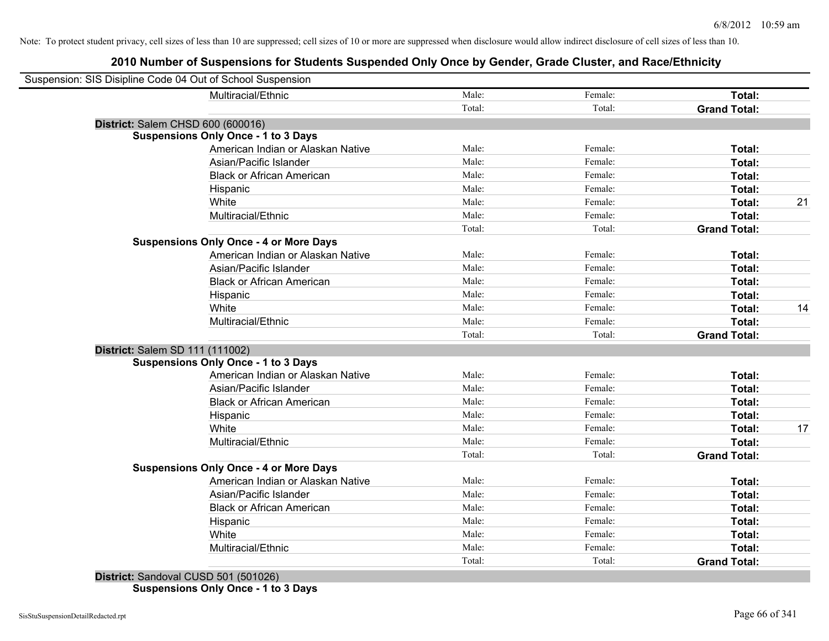# **2010 Number of Suspensions for Students Suspended Only Once by Gender, Grade Cluster, and Race/Ethnicity**

| Suspension: SIS Disipline Code 04 Out of School Suspension |                                               |        |         |                     |    |
|------------------------------------------------------------|-----------------------------------------------|--------|---------|---------------------|----|
|                                                            | Multiracial/Ethnic                            | Male:  | Female: | Total:              |    |
|                                                            |                                               | Total: | Total:  | <b>Grand Total:</b> |    |
| District: Salem CHSD 600 (600016)                          |                                               |        |         |                     |    |
|                                                            | <b>Suspensions Only Once - 1 to 3 Days</b>    |        |         |                     |    |
|                                                            | American Indian or Alaskan Native             | Male:  | Female: | Total:              |    |
|                                                            | Asian/Pacific Islander                        | Male:  | Female: | Total:              |    |
|                                                            | <b>Black or African American</b>              | Male:  | Female: | Total:              |    |
|                                                            | Hispanic                                      | Male:  | Female: | Total:              |    |
|                                                            | White                                         | Male:  | Female: | Total:              | 21 |
|                                                            | Multiracial/Ethnic                            | Male:  | Female: | Total:              |    |
|                                                            |                                               | Total: | Total:  | <b>Grand Total:</b> |    |
|                                                            | <b>Suspensions Only Once - 4 or More Days</b> |        |         |                     |    |
|                                                            | American Indian or Alaskan Native             | Male:  | Female: | Total:              |    |
|                                                            | Asian/Pacific Islander                        | Male:  | Female: | Total:              |    |
|                                                            | <b>Black or African American</b>              | Male:  | Female: | Total:              |    |
|                                                            | Hispanic                                      | Male:  | Female: | Total:              |    |
|                                                            | White                                         | Male:  | Female: | Total:              | 14 |
|                                                            | Multiracial/Ethnic                            | Male:  | Female: | Total:              |    |
|                                                            |                                               | Total: | Total:  | <b>Grand Total:</b> |    |
| District: Salem SD 111 (111002)                            |                                               |        |         |                     |    |
|                                                            | <b>Suspensions Only Once - 1 to 3 Days</b>    |        |         |                     |    |
|                                                            | American Indian or Alaskan Native             | Male:  | Female: | Total:              |    |
|                                                            | Asian/Pacific Islander                        | Male:  | Female: | Total:              |    |
|                                                            | <b>Black or African American</b>              | Male:  | Female: | Total:              |    |
|                                                            | Hispanic                                      | Male:  | Female: | Total:              |    |
|                                                            | White                                         | Male:  | Female: | Total:              | 17 |
|                                                            | Multiracial/Ethnic                            | Male:  | Female: | Total:              |    |
|                                                            |                                               | Total: | Total:  | <b>Grand Total:</b> |    |
|                                                            | <b>Suspensions Only Once - 4 or More Days</b> |        |         |                     |    |
|                                                            | American Indian or Alaskan Native             | Male:  | Female: | Total:              |    |
|                                                            | Asian/Pacific Islander                        | Male:  | Female: | Total:              |    |
|                                                            | <b>Black or African American</b>              | Male:  | Female: | Total:              |    |
|                                                            | Hispanic                                      | Male:  | Female: | Total:              |    |
|                                                            | White                                         | Male:  | Female: | Total:              |    |
|                                                            | Multiracial/Ethnic                            | Male:  | Female: | Total:              |    |
|                                                            |                                               | Total: | Total:  | <b>Grand Total:</b> |    |

**District:** Sandoval CUSD 501 (501026) **Suspensions Only Once - 1 to 3 Days**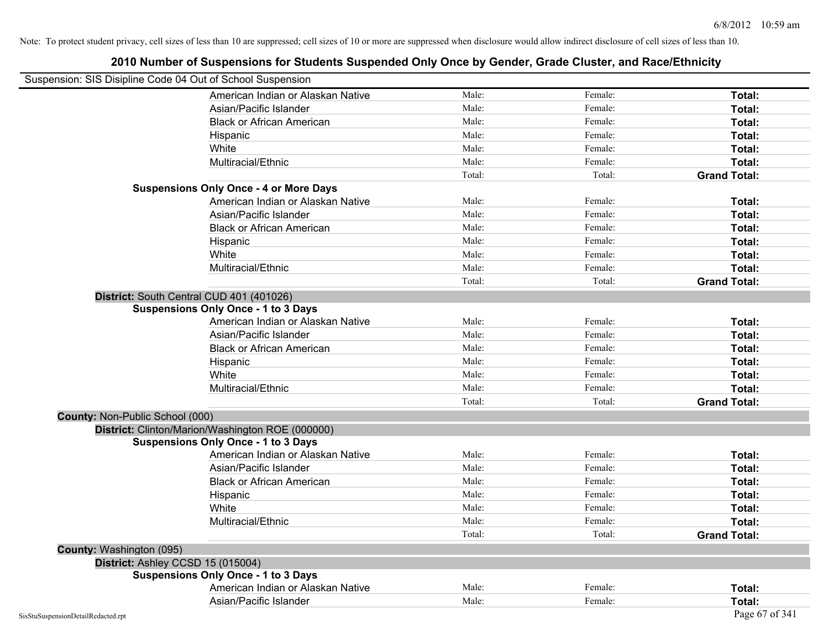| Female:<br>American Indian or Alaskan Native<br>Male:<br>Female:<br>Asian/Pacific Islander<br>Total:<br>Male:<br><b>Black or African American</b><br>Female:<br>Total:<br>Male:<br>Female:<br>Total:<br>Hispanic<br>Male:<br>Female:<br>White<br>Total:<br>Male:<br>Multiracial/Ethnic<br>Female:<br>Total:<br>Total:<br><b>Grand Total:</b><br>Total:<br><b>Suspensions Only Once - 4 or More Days</b><br>American Indian or Alaskan Native<br>Male:<br>Female:<br>Total:<br>Male:<br>Female:<br>Asian/Pacific Islander<br>Total:<br>Male:<br>Female:<br>Total:<br><b>Black or African American</b><br>Male:<br>Female:<br>Total:<br>Hispanic<br>Male:<br>Female:<br>White<br>Total:<br>Male:<br>Female:<br>Multiracial/Ethnic<br>Total:<br>Total:<br>Total:<br><b>Grand Total:</b><br>District: South Central CUD 401 (401026)<br><b>Suspensions Only Once - 1 to 3 Days</b><br>American Indian or Alaskan Native<br>Male:<br>Female:<br>Total:<br>Male:<br>Asian/Pacific Islander<br>Female:<br>Total:<br><b>Black or African American</b><br>Male:<br>Female:<br>Total:<br>Male:<br>Female:<br>Total:<br>Hispanic<br>Male:<br>White<br>Female:<br>Total:<br>Multiracial/Ethnic<br>Male:<br>Female:<br>Total:<br>Total:<br><b>Grand Total:</b><br>Total:<br>County: Non-Public School (000)<br>District: Clinton/Marion/Washington ROE (000000)<br><b>Suspensions Only Once - 1 to 3 Days</b><br>American Indian or Alaskan Native<br>Male:<br>Female:<br>Total:<br>Male:<br>Asian/Pacific Islander<br>Female:<br>Total:<br>Male:<br><b>Black or African American</b><br>Female:<br>Total:<br>Male:<br>Female:<br>Hispanic<br>Total:<br>White<br>Male:<br>Female:<br>Total:<br>Multiracial/Ethnic<br>Male:<br>Female:<br>Total:<br>Total:<br>Total:<br><b>Grand Total:</b><br>County: Washington (095)<br>District: Ashley CCSD 15 (015004)<br><b>Suspensions Only Once - 1 to 3 Days</b><br>American Indian or Alaskan Native<br>Male:<br>Female:<br>Total:<br>Male:<br>Asian/Pacific Islander<br>Female:<br>Total: |                                    | Suspension: SIS Disipline Code 04 Out of School Suspension |       |                |
|-------------------------------------------------------------------------------------------------------------------------------------------------------------------------------------------------------------------------------------------------------------------------------------------------------------------------------------------------------------------------------------------------------------------------------------------------------------------------------------------------------------------------------------------------------------------------------------------------------------------------------------------------------------------------------------------------------------------------------------------------------------------------------------------------------------------------------------------------------------------------------------------------------------------------------------------------------------------------------------------------------------------------------------------------------------------------------------------------------------------------------------------------------------------------------------------------------------------------------------------------------------------------------------------------------------------------------------------------------------------------------------------------------------------------------------------------------------------------------------------------------------------------------------------------------------------------------------------------------------------------------------------------------------------------------------------------------------------------------------------------------------------------------------------------------------------------------------------------------------------------------------------------------------------------------------------------------------------------------------------------------------------------|------------------------------------|------------------------------------------------------------|-------|----------------|
|                                                                                                                                                                                                                                                                                                                                                                                                                                                                                                                                                                                                                                                                                                                                                                                                                                                                                                                                                                                                                                                                                                                                                                                                                                                                                                                                                                                                                                                                                                                                                                                                                                                                                                                                                                                                                                                                                                                                                                                                                         |                                    |                                                            | Male: | Total:         |
|                                                                                                                                                                                                                                                                                                                                                                                                                                                                                                                                                                                                                                                                                                                                                                                                                                                                                                                                                                                                                                                                                                                                                                                                                                                                                                                                                                                                                                                                                                                                                                                                                                                                                                                                                                                                                                                                                                                                                                                                                         |                                    |                                                            |       |                |
|                                                                                                                                                                                                                                                                                                                                                                                                                                                                                                                                                                                                                                                                                                                                                                                                                                                                                                                                                                                                                                                                                                                                                                                                                                                                                                                                                                                                                                                                                                                                                                                                                                                                                                                                                                                                                                                                                                                                                                                                                         |                                    |                                                            |       |                |
|                                                                                                                                                                                                                                                                                                                                                                                                                                                                                                                                                                                                                                                                                                                                                                                                                                                                                                                                                                                                                                                                                                                                                                                                                                                                                                                                                                                                                                                                                                                                                                                                                                                                                                                                                                                                                                                                                                                                                                                                                         |                                    |                                                            |       |                |
|                                                                                                                                                                                                                                                                                                                                                                                                                                                                                                                                                                                                                                                                                                                                                                                                                                                                                                                                                                                                                                                                                                                                                                                                                                                                                                                                                                                                                                                                                                                                                                                                                                                                                                                                                                                                                                                                                                                                                                                                                         |                                    |                                                            |       |                |
|                                                                                                                                                                                                                                                                                                                                                                                                                                                                                                                                                                                                                                                                                                                                                                                                                                                                                                                                                                                                                                                                                                                                                                                                                                                                                                                                                                                                                                                                                                                                                                                                                                                                                                                                                                                                                                                                                                                                                                                                                         |                                    |                                                            |       |                |
|                                                                                                                                                                                                                                                                                                                                                                                                                                                                                                                                                                                                                                                                                                                                                                                                                                                                                                                                                                                                                                                                                                                                                                                                                                                                                                                                                                                                                                                                                                                                                                                                                                                                                                                                                                                                                                                                                                                                                                                                                         |                                    |                                                            |       |                |
|                                                                                                                                                                                                                                                                                                                                                                                                                                                                                                                                                                                                                                                                                                                                                                                                                                                                                                                                                                                                                                                                                                                                                                                                                                                                                                                                                                                                                                                                                                                                                                                                                                                                                                                                                                                                                                                                                                                                                                                                                         |                                    |                                                            |       |                |
|                                                                                                                                                                                                                                                                                                                                                                                                                                                                                                                                                                                                                                                                                                                                                                                                                                                                                                                                                                                                                                                                                                                                                                                                                                                                                                                                                                                                                                                                                                                                                                                                                                                                                                                                                                                                                                                                                                                                                                                                                         |                                    |                                                            |       |                |
|                                                                                                                                                                                                                                                                                                                                                                                                                                                                                                                                                                                                                                                                                                                                                                                                                                                                                                                                                                                                                                                                                                                                                                                                                                                                                                                                                                                                                                                                                                                                                                                                                                                                                                                                                                                                                                                                                                                                                                                                                         |                                    |                                                            |       |                |
|                                                                                                                                                                                                                                                                                                                                                                                                                                                                                                                                                                                                                                                                                                                                                                                                                                                                                                                                                                                                                                                                                                                                                                                                                                                                                                                                                                                                                                                                                                                                                                                                                                                                                                                                                                                                                                                                                                                                                                                                                         |                                    |                                                            |       |                |
|                                                                                                                                                                                                                                                                                                                                                                                                                                                                                                                                                                                                                                                                                                                                                                                                                                                                                                                                                                                                                                                                                                                                                                                                                                                                                                                                                                                                                                                                                                                                                                                                                                                                                                                                                                                                                                                                                                                                                                                                                         |                                    |                                                            |       |                |
|                                                                                                                                                                                                                                                                                                                                                                                                                                                                                                                                                                                                                                                                                                                                                                                                                                                                                                                                                                                                                                                                                                                                                                                                                                                                                                                                                                                                                                                                                                                                                                                                                                                                                                                                                                                                                                                                                                                                                                                                                         |                                    |                                                            |       |                |
|                                                                                                                                                                                                                                                                                                                                                                                                                                                                                                                                                                                                                                                                                                                                                                                                                                                                                                                                                                                                                                                                                                                                                                                                                                                                                                                                                                                                                                                                                                                                                                                                                                                                                                                                                                                                                                                                                                                                                                                                                         |                                    |                                                            |       |                |
|                                                                                                                                                                                                                                                                                                                                                                                                                                                                                                                                                                                                                                                                                                                                                                                                                                                                                                                                                                                                                                                                                                                                                                                                                                                                                                                                                                                                                                                                                                                                                                                                                                                                                                                                                                                                                                                                                                                                                                                                                         |                                    |                                                            |       |                |
|                                                                                                                                                                                                                                                                                                                                                                                                                                                                                                                                                                                                                                                                                                                                                                                                                                                                                                                                                                                                                                                                                                                                                                                                                                                                                                                                                                                                                                                                                                                                                                                                                                                                                                                                                                                                                                                                                                                                                                                                                         |                                    |                                                            |       |                |
|                                                                                                                                                                                                                                                                                                                                                                                                                                                                                                                                                                                                                                                                                                                                                                                                                                                                                                                                                                                                                                                                                                                                                                                                                                                                                                                                                                                                                                                                                                                                                                                                                                                                                                                                                                                                                                                                                                                                                                                                                         |                                    |                                                            |       |                |
|                                                                                                                                                                                                                                                                                                                                                                                                                                                                                                                                                                                                                                                                                                                                                                                                                                                                                                                                                                                                                                                                                                                                                                                                                                                                                                                                                                                                                                                                                                                                                                                                                                                                                                                                                                                                                                                                                                                                                                                                                         |                                    |                                                            |       |                |
|                                                                                                                                                                                                                                                                                                                                                                                                                                                                                                                                                                                                                                                                                                                                                                                                                                                                                                                                                                                                                                                                                                                                                                                                                                                                                                                                                                                                                                                                                                                                                                                                                                                                                                                                                                                                                                                                                                                                                                                                                         |                                    |                                                            |       |                |
|                                                                                                                                                                                                                                                                                                                                                                                                                                                                                                                                                                                                                                                                                                                                                                                                                                                                                                                                                                                                                                                                                                                                                                                                                                                                                                                                                                                                                                                                                                                                                                                                                                                                                                                                                                                                                                                                                                                                                                                                                         |                                    |                                                            |       |                |
|                                                                                                                                                                                                                                                                                                                                                                                                                                                                                                                                                                                                                                                                                                                                                                                                                                                                                                                                                                                                                                                                                                                                                                                                                                                                                                                                                                                                                                                                                                                                                                                                                                                                                                                                                                                                                                                                                                                                                                                                                         |                                    |                                                            |       |                |
|                                                                                                                                                                                                                                                                                                                                                                                                                                                                                                                                                                                                                                                                                                                                                                                                                                                                                                                                                                                                                                                                                                                                                                                                                                                                                                                                                                                                                                                                                                                                                                                                                                                                                                                                                                                                                                                                                                                                                                                                                         |                                    |                                                            |       |                |
|                                                                                                                                                                                                                                                                                                                                                                                                                                                                                                                                                                                                                                                                                                                                                                                                                                                                                                                                                                                                                                                                                                                                                                                                                                                                                                                                                                                                                                                                                                                                                                                                                                                                                                                                                                                                                                                                                                                                                                                                                         |                                    |                                                            |       |                |
|                                                                                                                                                                                                                                                                                                                                                                                                                                                                                                                                                                                                                                                                                                                                                                                                                                                                                                                                                                                                                                                                                                                                                                                                                                                                                                                                                                                                                                                                                                                                                                                                                                                                                                                                                                                                                                                                                                                                                                                                                         |                                    |                                                            |       |                |
|                                                                                                                                                                                                                                                                                                                                                                                                                                                                                                                                                                                                                                                                                                                                                                                                                                                                                                                                                                                                                                                                                                                                                                                                                                                                                                                                                                                                                                                                                                                                                                                                                                                                                                                                                                                                                                                                                                                                                                                                                         |                                    |                                                            |       |                |
|                                                                                                                                                                                                                                                                                                                                                                                                                                                                                                                                                                                                                                                                                                                                                                                                                                                                                                                                                                                                                                                                                                                                                                                                                                                                                                                                                                                                                                                                                                                                                                                                                                                                                                                                                                                                                                                                                                                                                                                                                         |                                    |                                                            |       |                |
|                                                                                                                                                                                                                                                                                                                                                                                                                                                                                                                                                                                                                                                                                                                                                                                                                                                                                                                                                                                                                                                                                                                                                                                                                                                                                                                                                                                                                                                                                                                                                                                                                                                                                                                                                                                                                                                                                                                                                                                                                         |                                    |                                                            |       |                |
|                                                                                                                                                                                                                                                                                                                                                                                                                                                                                                                                                                                                                                                                                                                                                                                                                                                                                                                                                                                                                                                                                                                                                                                                                                                                                                                                                                                                                                                                                                                                                                                                                                                                                                                                                                                                                                                                                                                                                                                                                         |                                    |                                                            |       |                |
|                                                                                                                                                                                                                                                                                                                                                                                                                                                                                                                                                                                                                                                                                                                                                                                                                                                                                                                                                                                                                                                                                                                                                                                                                                                                                                                                                                                                                                                                                                                                                                                                                                                                                                                                                                                                                                                                                                                                                                                                                         |                                    |                                                            |       |                |
|                                                                                                                                                                                                                                                                                                                                                                                                                                                                                                                                                                                                                                                                                                                                                                                                                                                                                                                                                                                                                                                                                                                                                                                                                                                                                                                                                                                                                                                                                                                                                                                                                                                                                                                                                                                                                                                                                                                                                                                                                         |                                    |                                                            |       |                |
|                                                                                                                                                                                                                                                                                                                                                                                                                                                                                                                                                                                                                                                                                                                                                                                                                                                                                                                                                                                                                                                                                                                                                                                                                                                                                                                                                                                                                                                                                                                                                                                                                                                                                                                                                                                                                                                                                                                                                                                                                         |                                    |                                                            |       |                |
|                                                                                                                                                                                                                                                                                                                                                                                                                                                                                                                                                                                                                                                                                                                                                                                                                                                                                                                                                                                                                                                                                                                                                                                                                                                                                                                                                                                                                                                                                                                                                                                                                                                                                                                                                                                                                                                                                                                                                                                                                         |                                    |                                                            |       |                |
|                                                                                                                                                                                                                                                                                                                                                                                                                                                                                                                                                                                                                                                                                                                                                                                                                                                                                                                                                                                                                                                                                                                                                                                                                                                                                                                                                                                                                                                                                                                                                                                                                                                                                                                                                                                                                                                                                                                                                                                                                         |                                    |                                                            |       |                |
|                                                                                                                                                                                                                                                                                                                                                                                                                                                                                                                                                                                                                                                                                                                                                                                                                                                                                                                                                                                                                                                                                                                                                                                                                                                                                                                                                                                                                                                                                                                                                                                                                                                                                                                                                                                                                                                                                                                                                                                                                         |                                    |                                                            |       |                |
|                                                                                                                                                                                                                                                                                                                                                                                                                                                                                                                                                                                                                                                                                                                                                                                                                                                                                                                                                                                                                                                                                                                                                                                                                                                                                                                                                                                                                                                                                                                                                                                                                                                                                                                                                                                                                                                                                                                                                                                                                         |                                    |                                                            |       |                |
|                                                                                                                                                                                                                                                                                                                                                                                                                                                                                                                                                                                                                                                                                                                                                                                                                                                                                                                                                                                                                                                                                                                                                                                                                                                                                                                                                                                                                                                                                                                                                                                                                                                                                                                                                                                                                                                                                                                                                                                                                         |                                    |                                                            |       |                |
|                                                                                                                                                                                                                                                                                                                                                                                                                                                                                                                                                                                                                                                                                                                                                                                                                                                                                                                                                                                                                                                                                                                                                                                                                                                                                                                                                                                                                                                                                                                                                                                                                                                                                                                                                                                                                                                                                                                                                                                                                         |                                    |                                                            |       |                |
|                                                                                                                                                                                                                                                                                                                                                                                                                                                                                                                                                                                                                                                                                                                                                                                                                                                                                                                                                                                                                                                                                                                                                                                                                                                                                                                                                                                                                                                                                                                                                                                                                                                                                                                                                                                                                                                                                                                                                                                                                         |                                    |                                                            |       |                |
|                                                                                                                                                                                                                                                                                                                                                                                                                                                                                                                                                                                                                                                                                                                                                                                                                                                                                                                                                                                                                                                                                                                                                                                                                                                                                                                                                                                                                                                                                                                                                                                                                                                                                                                                                                                                                                                                                                                                                                                                                         |                                    |                                                            |       |                |
|                                                                                                                                                                                                                                                                                                                                                                                                                                                                                                                                                                                                                                                                                                                                                                                                                                                                                                                                                                                                                                                                                                                                                                                                                                                                                                                                                                                                                                                                                                                                                                                                                                                                                                                                                                                                                                                                                                                                                                                                                         | SisStuSuspensionDetailRedacted.rpt |                                                            |       | Page 67 of 341 |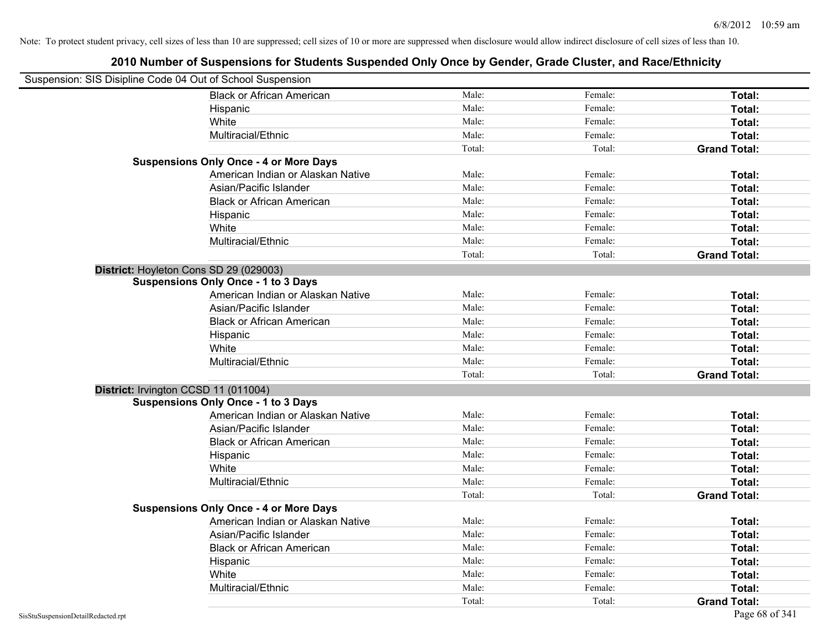| Suspension: SIS Disipline Code 04 Out of School Suspension |                                               |        |         |                     |
|------------------------------------------------------------|-----------------------------------------------|--------|---------|---------------------|
|                                                            | <b>Black or African American</b>              | Male:  | Female: | Total:              |
|                                                            | Hispanic                                      | Male:  | Female: | Total:              |
|                                                            | White                                         | Male:  | Female: | Total:              |
|                                                            | Multiracial/Ethnic                            | Male:  | Female: | Total:              |
|                                                            |                                               | Total: | Total:  | <b>Grand Total:</b> |
|                                                            | <b>Suspensions Only Once - 4 or More Days</b> |        |         |                     |
|                                                            | American Indian or Alaskan Native             | Male:  | Female: | Total:              |
|                                                            | Asian/Pacific Islander                        | Male:  | Female: | Total:              |
|                                                            | <b>Black or African American</b>              | Male:  | Female: | Total:              |
|                                                            | Hispanic                                      | Male:  | Female: | Total:              |
|                                                            | White                                         | Male:  | Female: | Total:              |
|                                                            | Multiracial/Ethnic                            | Male:  | Female: | Total:              |
|                                                            |                                               | Total: | Total:  | <b>Grand Total:</b> |
| District: Hoyleton Cons SD 29 (029003)                     |                                               |        |         |                     |
|                                                            | <b>Suspensions Only Once - 1 to 3 Days</b>    |        |         |                     |
|                                                            | American Indian or Alaskan Native             | Male:  | Female: | Total:              |
|                                                            | Asian/Pacific Islander                        | Male:  | Female: | Total:              |
|                                                            | <b>Black or African American</b>              | Male:  | Female: | Total:              |
|                                                            | Hispanic                                      | Male:  | Female: | Total:              |
|                                                            | White                                         | Male:  | Female: | Total:              |
|                                                            | Multiracial/Ethnic                            | Male:  | Female: | Total:              |
|                                                            |                                               | Total: | Total:  | <b>Grand Total:</b> |
| District: Irvington CCSD 11 (011004)                       |                                               |        |         |                     |
|                                                            | <b>Suspensions Only Once - 1 to 3 Days</b>    |        |         |                     |
|                                                            | American Indian or Alaskan Native             | Male:  | Female: | Total:              |
|                                                            | Asian/Pacific Islander                        | Male:  | Female: | Total:              |
|                                                            | <b>Black or African American</b>              | Male:  | Female: | Total:              |
|                                                            | Hispanic                                      | Male:  | Female: | Total:              |
|                                                            | White                                         | Male:  | Female: | Total:              |
|                                                            | Multiracial/Ethnic                            | Male:  | Female: | Total:              |
|                                                            |                                               | Total: | Total:  | <b>Grand Total:</b> |
|                                                            | <b>Suspensions Only Once - 4 or More Days</b> |        |         |                     |
|                                                            | American Indian or Alaskan Native             | Male:  | Female: | Total:              |
|                                                            | Asian/Pacific Islander                        | Male:  | Female: | Total:              |
|                                                            | <b>Black or African American</b>              | Male:  | Female: | Total:              |
|                                                            | Hispanic                                      | Male:  | Female: | Total:              |
|                                                            | White                                         | Male:  | Female: | Total:              |
|                                                            | Multiracial/Ethnic                            | Male:  | Female: | <b>Total:</b>       |
|                                                            |                                               | Total: | Total:  | <b>Grand Total:</b> |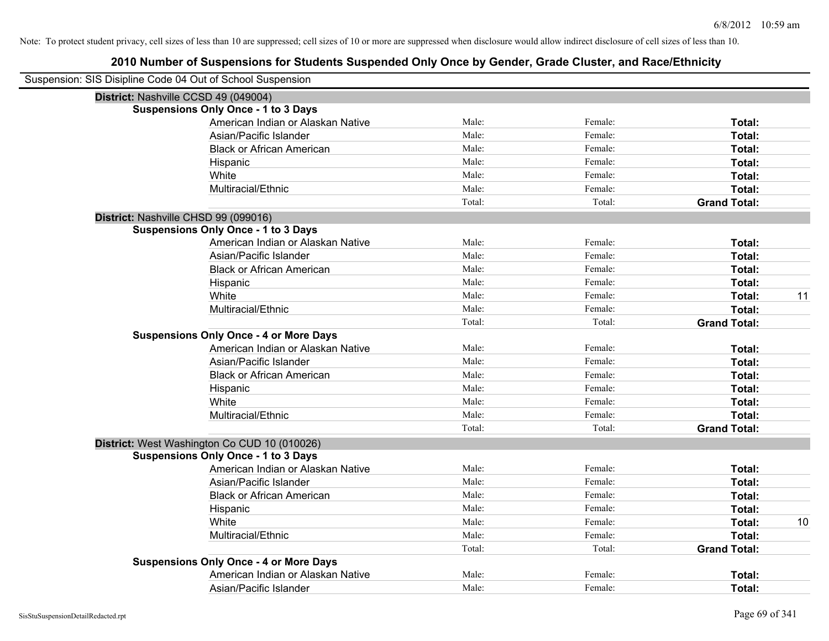| Suspension: SIS Disipline Code 04 Out of School Suspension |        |         |                     |    |
|------------------------------------------------------------|--------|---------|---------------------|----|
| District: Nashville CCSD 49 (049004)                       |        |         |                     |    |
| <b>Suspensions Only Once - 1 to 3 Days</b>                 |        |         |                     |    |
| American Indian or Alaskan Native                          | Male:  | Female: | Total:              |    |
| Asian/Pacific Islander                                     | Male:  | Female: | Total:              |    |
| <b>Black or African American</b>                           | Male:  | Female: | Total:              |    |
| Hispanic                                                   | Male:  | Female: | Total:              |    |
| White                                                      | Male:  | Female: | Total:              |    |
| Multiracial/Ethnic                                         | Male:  | Female: | Total:              |    |
|                                                            | Total: | Total:  | <b>Grand Total:</b> |    |
| District: Nashville CHSD 99 (099016)                       |        |         |                     |    |
| <b>Suspensions Only Once - 1 to 3 Days</b>                 |        |         |                     |    |
| American Indian or Alaskan Native                          | Male:  | Female: | Total:              |    |
| Asian/Pacific Islander                                     | Male:  | Female: | Total:              |    |
| <b>Black or African American</b>                           | Male:  | Female: | Total:              |    |
| Hispanic                                                   | Male:  | Female: | Total:              |    |
| White                                                      | Male:  | Female: | <b>Total:</b>       | 11 |
| Multiracial/Ethnic                                         | Male:  | Female: | Total:              |    |
|                                                            | Total: | Total:  | <b>Grand Total:</b> |    |
| <b>Suspensions Only Once - 4 or More Days</b>              |        |         |                     |    |
| American Indian or Alaskan Native                          | Male:  | Female: | Total:              |    |
| Asian/Pacific Islander                                     | Male:  | Female: | Total:              |    |
| <b>Black or African American</b>                           | Male:  | Female: | Total:              |    |
| Hispanic                                                   | Male:  | Female: | Total:              |    |
| White                                                      | Male:  | Female: | Total:              |    |
| Multiracial/Ethnic                                         | Male:  | Female: | Total:              |    |
|                                                            | Total: | Total:  | <b>Grand Total:</b> |    |
| District: West Washington Co CUD 10 (010026)               |        |         |                     |    |
| <b>Suspensions Only Once - 1 to 3 Days</b>                 |        |         |                     |    |
| American Indian or Alaskan Native                          | Male:  | Female: | Total:              |    |
| Asian/Pacific Islander                                     | Male:  | Female: | Total:              |    |
| <b>Black or African American</b>                           | Male:  | Female: | Total:              |    |
| Hispanic                                                   | Male:  | Female: | Total:              |    |
| White                                                      | Male:  | Female: | Total:              | 10 |
| Multiracial/Ethnic                                         | Male:  | Female: | Total:              |    |
|                                                            | Total: | Total:  | <b>Grand Total:</b> |    |
| <b>Suspensions Only Once - 4 or More Days</b>              |        |         |                     |    |
| American Indian or Alaskan Native                          | Male:  | Female: | <b>Total:</b>       |    |
| Asian/Pacific Islander                                     | Male:  | Female: | Total:              |    |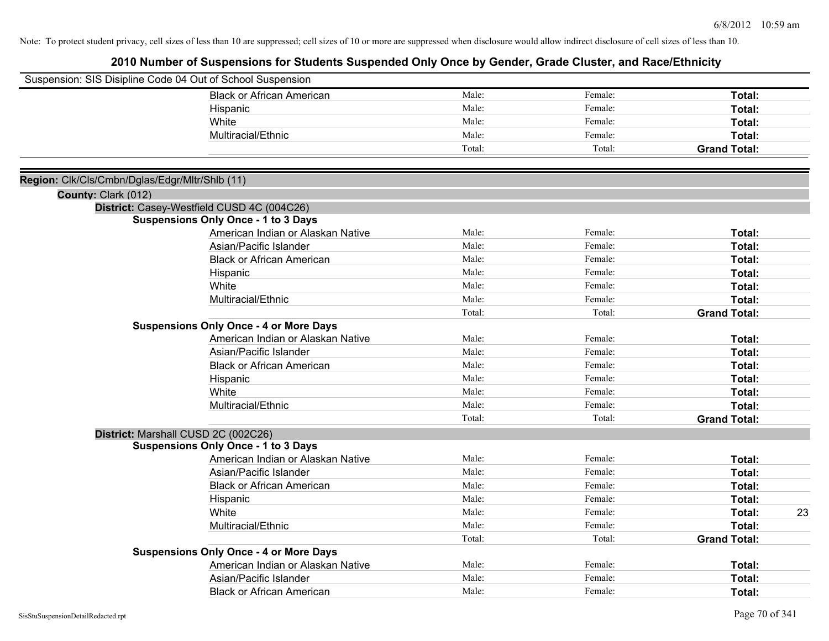|                                                | Suspension: SIS Disipline Code 04 Out of School Suspension |        |         |                     |
|------------------------------------------------|------------------------------------------------------------|--------|---------|---------------------|
|                                                | <b>Black or African American</b>                           | Male:  | Female: | Total:              |
|                                                | Hispanic                                                   | Male:  | Female: | Total:              |
|                                                | White                                                      | Male:  | Female: | Total:              |
|                                                | Multiracial/Ethnic                                         | Male:  | Female: | Total:              |
|                                                |                                                            | Total: | Total:  | <b>Grand Total:</b> |
| Region: Clk/Cls/Cmbn/Dglas/Edgr/Mltr/Shlb (11) |                                                            |        |         |                     |
| County: Clark (012)                            |                                                            |        |         |                     |
|                                                | District: Casey-Westfield CUSD 4C (004C26)                 |        |         |                     |
|                                                | <b>Suspensions Only Once - 1 to 3 Days</b>                 |        |         |                     |
|                                                | American Indian or Alaskan Native                          | Male:  | Female: | Total:              |
|                                                | Asian/Pacific Islander                                     | Male:  | Female: | Total:              |
|                                                | <b>Black or African American</b>                           | Male:  | Female: | Total:              |
|                                                | Hispanic                                                   | Male:  | Female: | Total:              |
|                                                | White                                                      | Male:  | Female: | Total:              |
|                                                | Multiracial/Ethnic                                         | Male:  | Female: | Total:              |
|                                                |                                                            | Total: | Total:  | <b>Grand Total:</b> |
|                                                | <b>Suspensions Only Once - 4 or More Days</b>              |        |         |                     |
|                                                | American Indian or Alaskan Native                          | Male:  | Female: | Total:              |
|                                                | Asian/Pacific Islander                                     | Male:  | Female: | Total:              |
|                                                | <b>Black or African American</b>                           | Male:  | Female: | Total:              |
|                                                | Hispanic                                                   | Male:  | Female: | Total:              |
|                                                | White                                                      | Male:  | Female: | Total:              |
|                                                | Multiracial/Ethnic                                         | Male:  | Female: | <b>Total:</b>       |
|                                                |                                                            | Total: | Total:  | <b>Grand Total:</b> |
|                                                | District: Marshall CUSD 2C (002C26)                        |        |         |                     |
|                                                | <b>Suspensions Only Once - 1 to 3 Days</b>                 |        |         |                     |
|                                                | American Indian or Alaskan Native                          | Male:  | Female: | Total:              |
|                                                | Asian/Pacific Islander                                     | Male:  | Female: | Total:              |
|                                                | <b>Black or African American</b>                           | Male:  | Female: | Total:              |
|                                                | Hispanic                                                   | Male:  | Female: | Total:              |
|                                                | White                                                      | Male:  | Female: | 23<br>Total:        |
|                                                | Multiracial/Ethnic                                         | Male:  | Female: | Total:              |
|                                                |                                                            | Total: | Total:  | <b>Grand Total:</b> |
|                                                | <b>Suspensions Only Once - 4 or More Days</b>              |        |         |                     |
|                                                | American Indian or Alaskan Native                          | Male:  | Female: | Total:              |
|                                                | Asian/Pacific Islander                                     | Male:  | Female: | <b>Total:</b>       |
|                                                | <b>Black or African American</b>                           | Male:  | Female: | Total:              |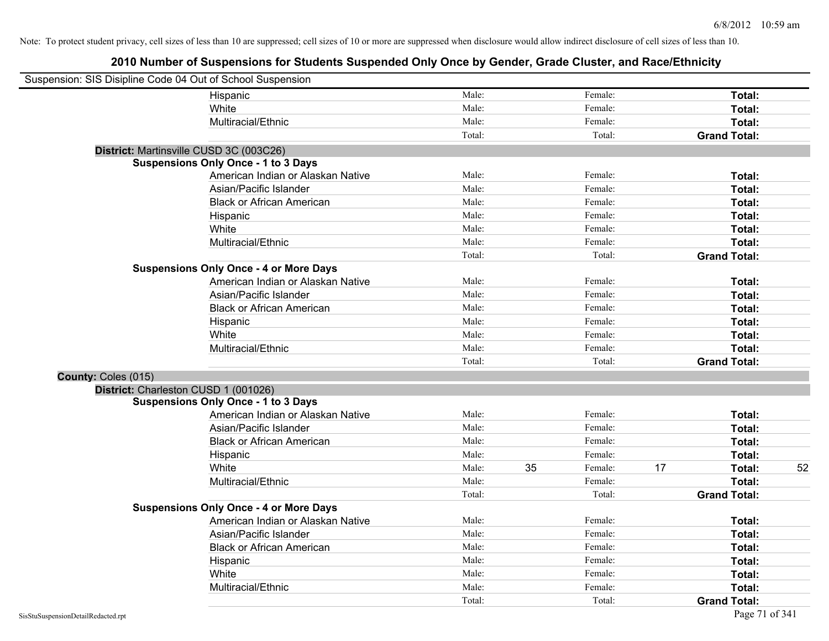| Suspension: SIS Disipline Code 04 Out of School Suspension |                                               |        |    |         |    |                     |    |
|------------------------------------------------------------|-----------------------------------------------|--------|----|---------|----|---------------------|----|
|                                                            | Hispanic                                      | Male:  |    | Female: |    | Total:              |    |
|                                                            | White                                         | Male:  |    | Female: |    | Total:              |    |
|                                                            | Multiracial/Ethnic                            | Male:  |    | Female: |    | Total:              |    |
|                                                            |                                               | Total: |    | Total:  |    | <b>Grand Total:</b> |    |
| District: Martinsville CUSD 3C (003C26)                    |                                               |        |    |         |    |                     |    |
|                                                            | <b>Suspensions Only Once - 1 to 3 Days</b>    |        |    |         |    |                     |    |
|                                                            | American Indian or Alaskan Native             | Male:  |    | Female: |    | Total:              |    |
|                                                            | Asian/Pacific Islander                        | Male:  |    | Female: |    | Total:              |    |
|                                                            | <b>Black or African American</b>              | Male:  |    | Female: |    | Total:              |    |
|                                                            | Hispanic                                      | Male:  |    | Female: |    | Total:              |    |
|                                                            | White                                         | Male:  |    | Female: |    | Total:              |    |
|                                                            | Multiracial/Ethnic                            | Male:  |    | Female: |    | Total:              |    |
|                                                            |                                               | Total: |    | Total:  |    | <b>Grand Total:</b> |    |
|                                                            | <b>Suspensions Only Once - 4 or More Days</b> |        |    |         |    |                     |    |
|                                                            | American Indian or Alaskan Native             | Male:  |    | Female: |    | Total:              |    |
|                                                            | Asian/Pacific Islander                        | Male:  |    | Female: |    | Total:              |    |
|                                                            | <b>Black or African American</b>              | Male:  |    | Female: |    | Total:              |    |
|                                                            | Hispanic                                      | Male:  |    | Female: |    | Total:              |    |
|                                                            | White                                         | Male:  |    | Female: |    | Total:              |    |
|                                                            | Multiracial/Ethnic                            | Male:  |    | Female: |    | Total:              |    |
|                                                            |                                               | Total: |    | Total:  |    | <b>Grand Total:</b> |    |
| County: Coles (015)                                        |                                               |        |    |         |    |                     |    |
| District: Charleston CUSD 1 (001026)                       |                                               |        |    |         |    |                     |    |
|                                                            | <b>Suspensions Only Once - 1 to 3 Days</b>    |        |    |         |    |                     |    |
|                                                            | American Indian or Alaskan Native             | Male:  |    | Female: |    | Total:              |    |
|                                                            | Asian/Pacific Islander                        | Male:  |    | Female: |    | Total:              |    |
|                                                            | <b>Black or African American</b>              | Male:  |    | Female: |    | Total:              |    |
|                                                            | Hispanic                                      | Male:  |    | Female: |    | Total:              |    |
|                                                            | White                                         | Male:  | 35 | Female: | 17 | Total:              | 52 |
|                                                            | Multiracial/Ethnic                            | Male:  |    | Female: |    | Total:              |    |
|                                                            |                                               | Total: |    | Total:  |    | <b>Grand Total:</b> |    |
|                                                            | <b>Suspensions Only Once - 4 or More Days</b> |        |    |         |    |                     |    |
|                                                            | American Indian or Alaskan Native             | Male:  |    | Female: |    | Total:              |    |
|                                                            | Asian/Pacific Islander                        | Male:  |    | Female: |    | Total:              |    |
|                                                            | <b>Black or African American</b>              | Male:  |    | Female: |    | Total:              |    |
|                                                            | Hispanic                                      | Male:  |    | Female: |    | Total:              |    |
|                                                            | White                                         | Male:  |    | Female: |    | Total:              |    |
|                                                            | Multiracial/Ethnic                            | Male:  |    | Female: |    | Total:              |    |
|                                                            |                                               | Total: |    | Total:  |    | <b>Grand Total:</b> |    |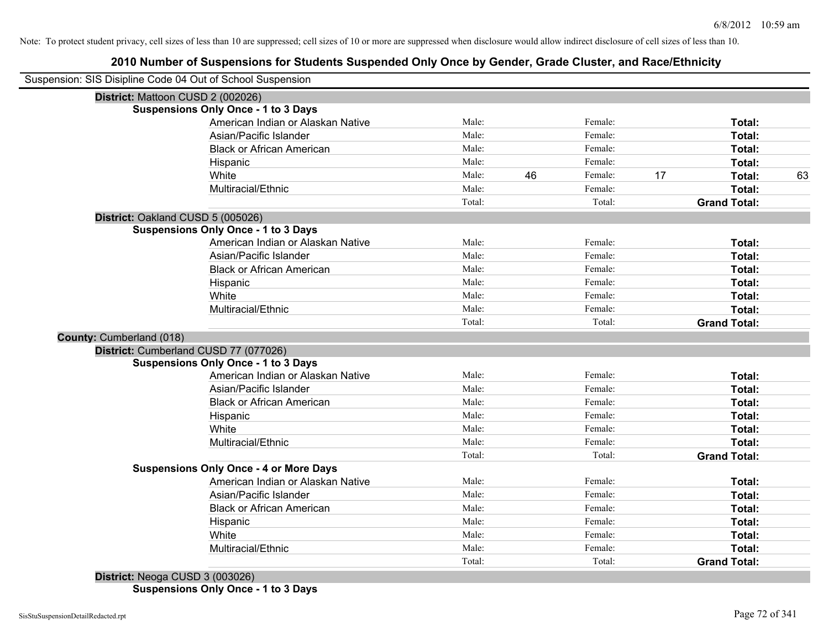| Male:  |                                                                                                                                       |         |                                                                                                                                                      |                     |
|--------|---------------------------------------------------------------------------------------------------------------------------------------|---------|------------------------------------------------------------------------------------------------------------------------------------------------------|---------------------|
|        |                                                                                                                                       |         |                                                                                                                                                      |                     |
|        |                                                                                                                                       |         |                                                                                                                                                      |                     |
|        |                                                                                                                                       |         |                                                                                                                                                      |                     |
|        |                                                                                                                                       | Female: |                                                                                                                                                      | Total:              |
|        |                                                                                                                                       | Female: |                                                                                                                                                      | Total:              |
| Male:  |                                                                                                                                       | Female: |                                                                                                                                                      | Total:              |
| Male:  |                                                                                                                                       | Female: |                                                                                                                                                      | Total:              |
| Male:  | 46                                                                                                                                    | Female: | 17                                                                                                                                                   | 63<br>Total:        |
| Male:  |                                                                                                                                       | Female: |                                                                                                                                                      | Total:              |
| Total: |                                                                                                                                       | Total:  |                                                                                                                                                      | <b>Grand Total:</b> |
|        |                                                                                                                                       |         |                                                                                                                                                      |                     |
|        |                                                                                                                                       |         |                                                                                                                                                      |                     |
| Male:  |                                                                                                                                       | Female: |                                                                                                                                                      | Total:              |
| Male:  |                                                                                                                                       | Female: |                                                                                                                                                      | Total:              |
| Male:  |                                                                                                                                       | Female: |                                                                                                                                                      | Total:              |
| Male:  |                                                                                                                                       | Female: |                                                                                                                                                      | Total:              |
| Male:  |                                                                                                                                       | Female: |                                                                                                                                                      | Total:              |
| Male:  |                                                                                                                                       | Female: |                                                                                                                                                      | Total:              |
| Total: |                                                                                                                                       | Total:  |                                                                                                                                                      | <b>Grand Total:</b> |
|        |                                                                                                                                       |         |                                                                                                                                                      |                     |
|        |                                                                                                                                       |         |                                                                                                                                                      |                     |
|        |                                                                                                                                       |         |                                                                                                                                                      |                     |
|        |                                                                                                                                       |         |                                                                                                                                                      | Total:              |
|        |                                                                                                                                       |         |                                                                                                                                                      | Total:              |
|        |                                                                                                                                       |         |                                                                                                                                                      | Total:              |
|        |                                                                                                                                       |         |                                                                                                                                                      | Total:              |
|        |                                                                                                                                       |         |                                                                                                                                                      | Total:              |
|        |                                                                                                                                       |         |                                                                                                                                                      | Total:              |
|        |                                                                                                                                       |         |                                                                                                                                                      | <b>Grand Total:</b> |
|        |                                                                                                                                       |         |                                                                                                                                                      |                     |
|        |                                                                                                                                       |         |                                                                                                                                                      | Total:              |
|        |                                                                                                                                       |         |                                                                                                                                                      | Total:              |
|        |                                                                                                                                       |         |                                                                                                                                                      | Total:              |
|        |                                                                                                                                       |         |                                                                                                                                                      | Total:              |
|        |                                                                                                                                       |         |                                                                                                                                                      | Total:              |
|        |                                                                                                                                       |         |                                                                                                                                                      | Total:              |
|        |                                                                                                                                       |         |                                                                                                                                                      | <b>Grand Total:</b> |
|        | Male:<br>Male:<br>Male:<br>Male:<br>Male:<br>Male:<br>Male:<br>Total:<br>Male:<br>Male:<br>Male:<br>Male:<br>Male:<br>Male:<br>Total: |         | Female:<br>Female:<br>Female:<br>Female:<br>Female:<br>Female:<br>Total:<br>Female:<br>Female:<br>Female:<br>Female:<br>Female:<br>Female:<br>Total: |                     |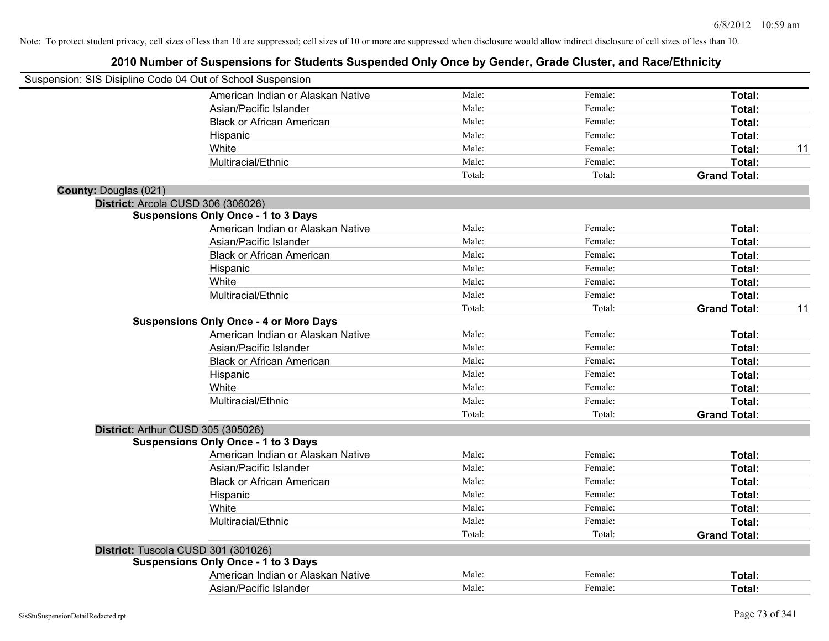| Suspension: SIS Disipline Code 04 Out of School Suspension |                                               |        |         |                     |    |
|------------------------------------------------------------|-----------------------------------------------|--------|---------|---------------------|----|
|                                                            | American Indian or Alaskan Native             | Male:  | Female: | Total:              |    |
|                                                            | Asian/Pacific Islander                        | Male:  | Female: | Total:              |    |
|                                                            | <b>Black or African American</b>              | Male:  | Female: | Total:              |    |
|                                                            | Hispanic                                      | Male:  | Female: | Total:              |    |
|                                                            | White                                         | Male:  | Female: | Total:              | 11 |
|                                                            | Multiracial/Ethnic                            | Male:  | Female: | Total:              |    |
|                                                            |                                               | Total: | Total:  | <b>Grand Total:</b> |    |
| <b>County: Douglas (021)</b>                               |                                               |        |         |                     |    |
|                                                            | District: Arcola CUSD 306 (306026)            |        |         |                     |    |
|                                                            | <b>Suspensions Only Once - 1 to 3 Days</b>    |        |         |                     |    |
|                                                            | American Indian or Alaskan Native             | Male:  | Female: | Total:              |    |
|                                                            | Asian/Pacific Islander                        | Male:  | Female: | Total:              |    |
|                                                            | <b>Black or African American</b>              | Male:  | Female: | Total:              |    |
|                                                            | Hispanic                                      | Male:  | Female: | Total:              |    |
|                                                            | White                                         | Male:  | Female: | Total:              |    |
|                                                            | Multiracial/Ethnic                            | Male:  | Female: | Total:              |    |
|                                                            |                                               | Total: | Total:  | <b>Grand Total:</b> | 11 |
|                                                            | <b>Suspensions Only Once - 4 or More Days</b> |        |         |                     |    |
|                                                            | American Indian or Alaskan Native             | Male:  | Female: | Total:              |    |
|                                                            | Asian/Pacific Islander                        | Male:  | Female: | Total:              |    |
|                                                            | <b>Black or African American</b>              | Male:  | Female: | Total:              |    |
|                                                            | Hispanic                                      | Male:  | Female: | Total:              |    |
|                                                            | White                                         | Male:  | Female: | Total:              |    |
|                                                            | Multiracial/Ethnic                            | Male:  | Female: | Total:              |    |
|                                                            |                                               | Total: | Total:  | <b>Grand Total:</b> |    |
| District: Arthur CUSD 305 (305026)                         |                                               |        |         |                     |    |
|                                                            | <b>Suspensions Only Once - 1 to 3 Days</b>    |        |         |                     |    |
|                                                            | American Indian or Alaskan Native             | Male:  | Female: | Total:              |    |
|                                                            | Asian/Pacific Islander                        | Male:  | Female: | Total:              |    |
|                                                            | <b>Black or African American</b>              | Male:  | Female: | Total:              |    |
|                                                            | Hispanic                                      | Male:  | Female: | Total:              |    |
|                                                            | White                                         | Male:  | Female: | Total:              |    |
|                                                            | Multiracial/Ethnic                            | Male:  | Female: | Total:              |    |
|                                                            |                                               | Total: | Total:  | <b>Grand Total:</b> |    |
|                                                            | District: Tuscola CUSD 301 (301026)           |        |         |                     |    |
|                                                            | <b>Suspensions Only Once - 1 to 3 Days</b>    |        |         |                     |    |
|                                                            | American Indian or Alaskan Native             | Male:  | Female: | <b>Total:</b>       |    |
|                                                            | Asian/Pacific Islander                        | Male:  | Female: | Total:              |    |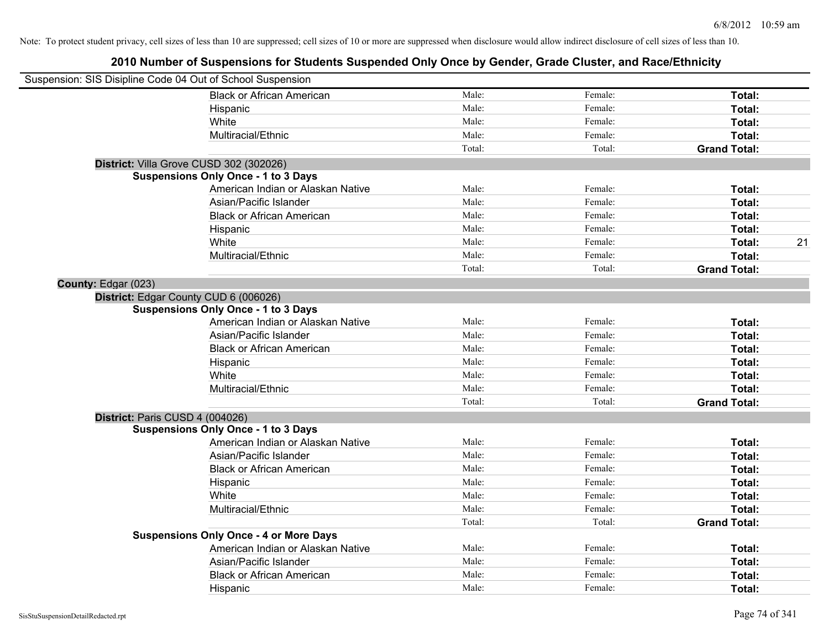|                     | Suspension: SIS Disipline Code 04 Out of School Suspension |        |         |                     |    |
|---------------------|------------------------------------------------------------|--------|---------|---------------------|----|
|                     | <b>Black or African American</b>                           | Male:  | Female: | Total:              |    |
|                     | Hispanic                                                   | Male:  | Female: | Total:              |    |
|                     | White                                                      | Male:  | Female: | Total:              |    |
|                     | Multiracial/Ethnic                                         | Male:  | Female: | Total:              |    |
|                     |                                                            | Total: | Total:  | <b>Grand Total:</b> |    |
|                     | District: Villa Grove CUSD 302 (302026)                    |        |         |                     |    |
|                     | <b>Suspensions Only Once - 1 to 3 Days</b>                 |        |         |                     |    |
|                     | American Indian or Alaskan Native                          | Male:  | Female: | Total:              |    |
|                     | Asian/Pacific Islander                                     | Male:  | Female: | Total:              |    |
|                     | <b>Black or African American</b>                           | Male:  | Female: | Total:              |    |
|                     | Hispanic                                                   | Male:  | Female: | Total:              |    |
|                     | White                                                      | Male:  | Female: | Total:              | 21 |
|                     | Multiracial/Ethnic                                         | Male:  | Female: | Total:              |    |
|                     |                                                            | Total: | Total:  | <b>Grand Total:</b> |    |
| County: Edgar (023) |                                                            |        |         |                     |    |
|                     | District: Edgar County CUD 6 (006026)                      |        |         |                     |    |
|                     | <b>Suspensions Only Once - 1 to 3 Days</b>                 |        |         |                     |    |
|                     | American Indian or Alaskan Native                          | Male:  | Female: | Total:              |    |
|                     | Asian/Pacific Islander                                     | Male:  | Female: | Total:              |    |
|                     | <b>Black or African American</b>                           | Male:  | Female: | Total:              |    |
|                     | Hispanic                                                   | Male:  | Female: | Total:              |    |
|                     | White                                                      | Male:  | Female: | Total:              |    |
|                     | Multiracial/Ethnic                                         | Male:  | Female: | Total:              |    |
|                     |                                                            | Total: | Total:  | <b>Grand Total:</b> |    |
|                     | District: Paris CUSD 4 (004026)                            |        |         |                     |    |
|                     | <b>Suspensions Only Once - 1 to 3 Days</b>                 |        |         |                     |    |
|                     | American Indian or Alaskan Native                          | Male:  | Female: | Total:              |    |
|                     | Asian/Pacific Islander                                     | Male:  | Female: | Total:              |    |
|                     | <b>Black or African American</b>                           | Male:  | Female: | Total:              |    |
|                     | Hispanic                                                   | Male:  | Female: | Total:              |    |
|                     | White                                                      | Male:  | Female: | Total:              |    |
|                     | Multiracial/Ethnic                                         | Male:  | Female: | Total:              |    |
|                     |                                                            | Total: | Total:  | <b>Grand Total:</b> |    |
|                     | <b>Suspensions Only Once - 4 or More Days</b>              |        |         |                     |    |
|                     | American Indian or Alaskan Native                          | Male:  | Female: | Total:              |    |
|                     | Asian/Pacific Islander                                     | Male:  | Female: | Total:              |    |
|                     | <b>Black or African American</b>                           | Male:  | Female: | Total:              |    |
|                     | Hispanic                                                   | Male:  | Female: | Total:              |    |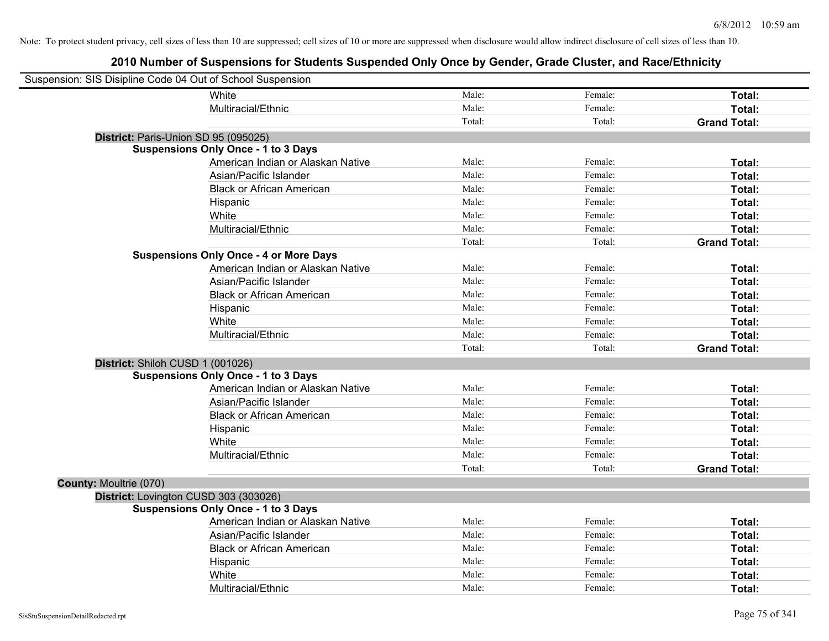| Suspension: SIS Disipline Code 04 Out of School Suspension |                                               |        |         |                     |
|------------------------------------------------------------|-----------------------------------------------|--------|---------|---------------------|
|                                                            | White                                         | Male:  | Female: | Total:              |
|                                                            | Multiracial/Ethnic                            | Male:  | Female: | Total:              |
|                                                            |                                               | Total: | Total:  | <b>Grand Total:</b> |
| District: Paris-Union SD 95 (095025)                       |                                               |        |         |                     |
|                                                            | <b>Suspensions Only Once - 1 to 3 Days</b>    |        |         |                     |
|                                                            | American Indian or Alaskan Native             | Male:  | Female: | Total:              |
|                                                            | Asian/Pacific Islander                        | Male:  | Female: | Total:              |
|                                                            | <b>Black or African American</b>              | Male:  | Female: | Total:              |
|                                                            | Hispanic                                      | Male:  | Female: | Total:              |
|                                                            | White                                         | Male:  | Female: | Total:              |
|                                                            | Multiracial/Ethnic                            | Male:  | Female: | Total:              |
|                                                            |                                               | Total: | Total:  | <b>Grand Total:</b> |
|                                                            | <b>Suspensions Only Once - 4 or More Days</b> |        |         |                     |
|                                                            | American Indian or Alaskan Native             | Male:  | Female: | Total:              |
|                                                            | Asian/Pacific Islander                        | Male:  | Female: | Total:              |
|                                                            | <b>Black or African American</b>              | Male:  | Female: | Total:              |
|                                                            | Hispanic                                      | Male:  | Female: | Total:              |
|                                                            | White                                         | Male:  | Female: | Total:              |
|                                                            | Multiracial/Ethnic                            | Male:  | Female: | Total:              |
|                                                            |                                               | Total: | Total:  | <b>Grand Total:</b> |
| District: Shiloh CUSD 1 (001026)                           |                                               |        |         |                     |
|                                                            | <b>Suspensions Only Once - 1 to 3 Days</b>    |        |         |                     |
|                                                            | American Indian or Alaskan Native             | Male:  | Female: | Total:              |
|                                                            | Asian/Pacific Islander                        | Male:  | Female: | Total:              |
|                                                            | <b>Black or African American</b>              | Male:  | Female: | Total:              |
|                                                            | Hispanic                                      | Male:  | Female: | Total:              |
|                                                            | White                                         | Male:  | Female: | Total:              |
|                                                            | Multiracial/Ethnic                            | Male:  | Female: | Total:              |
|                                                            |                                               | Total: | Total:  | <b>Grand Total:</b> |
| <b>County: Moultrie (070)</b>                              |                                               |        |         |                     |
| District: Lovington CUSD 303 (303026)                      |                                               |        |         |                     |
|                                                            | <b>Suspensions Only Once - 1 to 3 Days</b>    |        |         |                     |
|                                                            | American Indian or Alaskan Native             | Male:  | Female: | Total:              |
|                                                            | Asian/Pacific Islander                        | Male:  | Female: | Total:              |
|                                                            | <b>Black or African American</b>              | Male:  | Female: | Total:              |
|                                                            | Hispanic                                      | Male:  | Female: | Total:              |
|                                                            | White                                         | Male:  | Female: | Total:              |
|                                                            | Multiracial/Ethnic                            | Male:  | Female: | Total:              |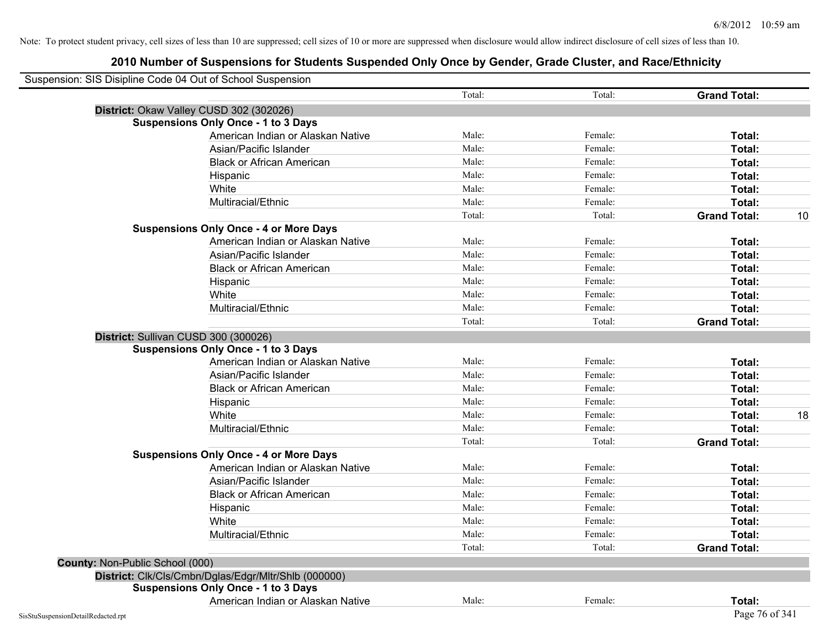| Suspension: SIS Disipline Code 04 Out of School Suspension |                                                      |        |         |                     |
|------------------------------------------------------------|------------------------------------------------------|--------|---------|---------------------|
|                                                            |                                                      | Total: | Total:  | <b>Grand Total:</b> |
|                                                            | District: Okaw Valley CUSD 302 (302026)              |        |         |                     |
|                                                            | <b>Suspensions Only Once - 1 to 3 Days</b>           |        |         |                     |
|                                                            | American Indian or Alaskan Native                    | Male:  | Female: | Total:              |
|                                                            | Asian/Pacific Islander                               | Male:  | Female: | Total:              |
|                                                            | <b>Black or African American</b>                     | Male:  | Female: | Total:              |
|                                                            | Hispanic                                             | Male:  | Female: | Total:              |
|                                                            | White                                                | Male:  | Female: | Total:              |
|                                                            | Multiracial/Ethnic                                   | Male:  | Female: | Total:              |
|                                                            |                                                      | Total: | Total:  | <b>Grand Total:</b> |
|                                                            | <b>Suspensions Only Once - 4 or More Days</b>        |        |         |                     |
|                                                            | American Indian or Alaskan Native                    | Male:  | Female: | Total:              |
|                                                            | Asian/Pacific Islander                               | Male:  | Female: | Total:              |
|                                                            | <b>Black or African American</b>                     | Male:  | Female: | Total:              |
|                                                            | Hispanic                                             | Male:  | Female: | Total:              |
|                                                            | White                                                | Male:  | Female: | Total:              |
|                                                            | Multiracial/Ethnic                                   | Male:  | Female: | Total:              |
|                                                            |                                                      | Total: | Total:  | <b>Grand Total:</b> |
|                                                            | District: Sullivan CUSD 300 (300026)                 |        |         |                     |
|                                                            | <b>Suspensions Only Once - 1 to 3 Days</b>           |        |         |                     |
|                                                            | American Indian or Alaskan Native                    | Male:  | Female: | Total:              |
|                                                            | Asian/Pacific Islander                               | Male:  | Female: | Total:              |
|                                                            | <b>Black or African American</b>                     | Male:  | Female: | Total:              |
|                                                            | Hispanic                                             | Male:  | Female: | <b>Total:</b>       |
|                                                            | White                                                | Male:  | Female: | Total:              |
|                                                            | Multiracial/Ethnic                                   | Male:  | Female: | Total:              |
|                                                            |                                                      | Total: | Total:  | <b>Grand Total:</b> |
|                                                            | <b>Suspensions Only Once - 4 or More Days</b>        |        |         |                     |
|                                                            | American Indian or Alaskan Native                    | Male:  | Female: | Total:              |
|                                                            | Asian/Pacific Islander                               | Male:  | Female: | Total:              |
|                                                            | <b>Black or African American</b>                     | Male:  | Female: | Total:              |
|                                                            | Hispanic                                             | Male:  | Female: | Total:              |
|                                                            | White                                                | Male:  | Female: | <b>Total:</b>       |
|                                                            | Multiracial/Ethnic                                   | Male:  | Female: | Total:              |
|                                                            |                                                      | Total: | Total:  | <b>Grand Total:</b> |
| <b>County: Non-Public School (000)</b>                     |                                                      |        |         |                     |
|                                                            | District: Clk/Cls/Cmbn/Dglas/Edgr/Mltr/Shlb (000000) |        |         |                     |
|                                                            | <b>Suspensions Only Once - 1 to 3 Days</b>           |        |         |                     |
|                                                            | American Indian or Alaskan Native                    | Male:  | Female: | Total:              |
| SisStuSuspensionDetailRedacted.rpt                         |                                                      |        |         | Page 76 of 341      |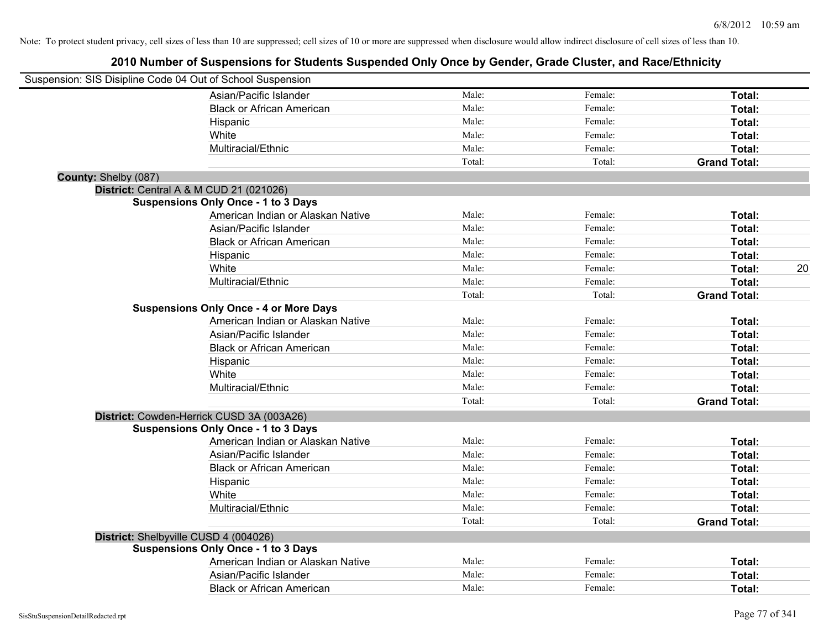| Suspension: SIS Disipline Code 04 Out of School Suspension |                                               |        |         |                     |    |
|------------------------------------------------------------|-----------------------------------------------|--------|---------|---------------------|----|
|                                                            | Asian/Pacific Islander                        | Male:  | Female: | Total:              |    |
|                                                            | <b>Black or African American</b>              | Male:  | Female: | Total:              |    |
|                                                            | Hispanic                                      | Male:  | Female: | Total:              |    |
|                                                            | White                                         | Male:  | Female: | Total:              |    |
|                                                            | Multiracial/Ethnic                            | Male:  | Female: | Total:              |    |
|                                                            |                                               | Total: | Total:  | <b>Grand Total:</b> |    |
| County: Shelby (087)                                       |                                               |        |         |                     |    |
| District: Central A & M CUD 21 (021026)                    |                                               |        |         |                     |    |
|                                                            | <b>Suspensions Only Once - 1 to 3 Days</b>    |        |         |                     |    |
|                                                            | American Indian or Alaskan Native             | Male:  | Female: | Total:              |    |
|                                                            | Asian/Pacific Islander                        | Male:  | Female: | Total:              |    |
|                                                            | <b>Black or African American</b>              | Male:  | Female: | Total:              |    |
|                                                            | Hispanic                                      | Male:  | Female: | Total:              |    |
|                                                            | White                                         | Male:  | Female: | Total:              | 20 |
|                                                            | Multiracial/Ethnic                            | Male:  | Female: | Total:              |    |
|                                                            |                                               | Total: | Total:  | <b>Grand Total:</b> |    |
|                                                            | <b>Suspensions Only Once - 4 or More Days</b> |        |         |                     |    |
|                                                            | American Indian or Alaskan Native             | Male:  | Female: | Total:              |    |
|                                                            | Asian/Pacific Islander                        | Male:  | Female: | Total:              |    |
|                                                            | <b>Black or African American</b>              | Male:  | Female: | Total:              |    |
|                                                            | Hispanic                                      | Male:  | Female: | Total:              |    |
|                                                            | White                                         | Male:  | Female: | Total:              |    |
|                                                            | Multiracial/Ethnic                            | Male:  | Female: | Total:              |    |
|                                                            |                                               | Total: | Total:  | <b>Grand Total:</b> |    |
|                                                            | District: Cowden-Herrick CUSD 3A (003A26)     |        |         |                     |    |
|                                                            | <b>Suspensions Only Once - 1 to 3 Days</b>    |        |         |                     |    |
|                                                            | American Indian or Alaskan Native             | Male:  | Female: | Total:              |    |
|                                                            | Asian/Pacific Islander                        | Male:  | Female: | Total:              |    |
|                                                            | <b>Black or African American</b>              | Male:  | Female: | Total:              |    |
|                                                            | Hispanic                                      | Male:  | Female: | Total:              |    |
|                                                            | White                                         | Male:  | Female: | Total:              |    |
|                                                            | Multiracial/Ethnic                            | Male:  | Female: | Total:              |    |
|                                                            |                                               | Total: | Total:  | <b>Grand Total:</b> |    |
| District: Shelbyville CUSD 4 (004026)                      |                                               |        |         |                     |    |
|                                                            | <b>Suspensions Only Once - 1 to 3 Days</b>    |        |         |                     |    |
|                                                            | American Indian or Alaskan Native             | Male:  | Female: | Total:              |    |
|                                                            | Asian/Pacific Islander                        | Male:  | Female: | <b>Total:</b>       |    |
|                                                            | <b>Black or African American</b>              | Male:  | Female: | Total:              |    |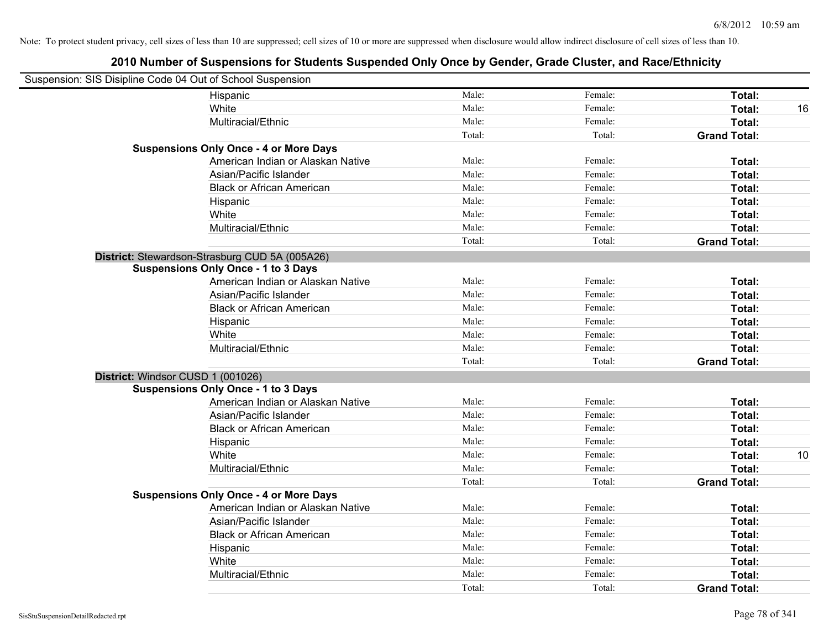| Suspension: SIS Disipline Code 04 Out of School Suspension |        |         |                     |    |
|------------------------------------------------------------|--------|---------|---------------------|----|
| Hispanic                                                   | Male:  | Female: | Total:              |    |
| White                                                      | Male:  | Female: | Total:              | 16 |
| Multiracial/Ethnic                                         | Male:  | Female: | Total:              |    |
|                                                            | Total: | Total:  | <b>Grand Total:</b> |    |
| <b>Suspensions Only Once - 4 or More Days</b>              |        |         |                     |    |
| American Indian or Alaskan Native                          | Male:  | Female: | Total:              |    |
| Asian/Pacific Islander                                     | Male:  | Female: | Total:              |    |
| <b>Black or African American</b>                           | Male:  | Female: | Total:              |    |
| Hispanic                                                   | Male:  | Female: | Total:              |    |
| White                                                      | Male:  | Female: | Total:              |    |
| Multiracial/Ethnic                                         | Male:  | Female: | Total:              |    |
|                                                            | Total: | Total:  | <b>Grand Total:</b> |    |
| District: Stewardson-Strasburg CUD 5A (005A26)             |        |         |                     |    |
| <b>Suspensions Only Once - 1 to 3 Days</b>                 |        |         |                     |    |
| American Indian or Alaskan Native                          | Male:  | Female: | Total:              |    |
| Asian/Pacific Islander                                     | Male:  | Female: | Total:              |    |
| <b>Black or African American</b>                           | Male:  | Female: | Total:              |    |
| Hispanic                                                   | Male:  | Female: | Total:              |    |
| White                                                      | Male:  | Female: | Total:              |    |
| Multiracial/Ethnic                                         | Male:  | Female: | Total:              |    |
|                                                            | Total: | Total:  | <b>Grand Total:</b> |    |
| District: Windsor CUSD 1 (001026)                          |        |         |                     |    |
| <b>Suspensions Only Once - 1 to 3 Days</b>                 |        |         |                     |    |
| American Indian or Alaskan Native                          | Male:  | Female: | Total:              |    |
| Asian/Pacific Islander                                     | Male:  | Female: | Total:              |    |
| <b>Black or African American</b>                           | Male:  | Female: | Total:              |    |
| Hispanic                                                   | Male:  | Female: | Total:              |    |
| White                                                      | Male:  | Female: | Total:              | 10 |
| Multiracial/Ethnic                                         | Male:  | Female: | Total:              |    |
|                                                            | Total: | Total:  | <b>Grand Total:</b> |    |
| <b>Suspensions Only Once - 4 or More Days</b>              |        |         |                     |    |
| American Indian or Alaskan Native                          | Male:  | Female: | Total:              |    |
| Asian/Pacific Islander                                     | Male:  | Female: | Total:              |    |
| <b>Black or African American</b>                           | Male:  | Female: | Total:              |    |
| Hispanic                                                   | Male:  | Female: | Total:              |    |
| White                                                      | Male:  | Female: | Total:              |    |
| Multiracial/Ethnic                                         | Male:  | Female: | <b>Total:</b>       |    |
|                                                            | Total: | Total:  | <b>Grand Total:</b> |    |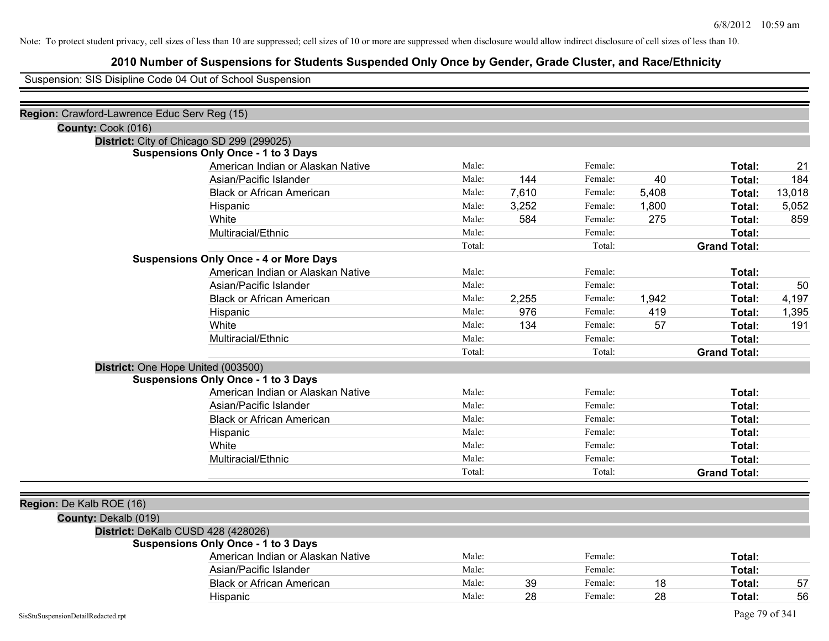# **2010 Number of Suspensions for Students Suspended Only Once by Gender, Grade Cluster, and Race/Ethnicity**

Suspension: SIS Disipline Code 04 Out of School Suspension

| Region: Crawford-Lawrence Educ Serv Reg (15) |                                               |        |       |         |       |                     |        |
|----------------------------------------------|-----------------------------------------------|--------|-------|---------|-------|---------------------|--------|
| County: Cook (016)                           |                                               |        |       |         |       |                     |        |
|                                              | District: City of Chicago SD 299 (299025)     |        |       |         |       |                     |        |
|                                              | <b>Suspensions Only Once - 1 to 3 Days</b>    |        |       |         |       |                     |        |
|                                              | American Indian or Alaskan Native             | Male:  |       | Female: |       | Total:              | 21     |
|                                              | Asian/Pacific Islander                        | Male:  | 144   | Female: | 40    | Total:              | 184    |
|                                              | <b>Black or African American</b>              | Male:  | 7,610 | Female: | 5,408 | Total:              | 13,018 |
|                                              | Hispanic                                      | Male:  | 3,252 | Female: | 1,800 | Total:              | 5,052  |
|                                              | White                                         | Male:  | 584   | Female: | 275   | Total:              | 859    |
|                                              | Multiracial/Ethnic                            | Male:  |       | Female: |       | Total:              |        |
|                                              |                                               | Total: |       | Total:  |       | <b>Grand Total:</b> |        |
|                                              | <b>Suspensions Only Once - 4 or More Days</b> |        |       |         |       |                     |        |
|                                              | American Indian or Alaskan Native             | Male:  |       | Female: |       | Total:              |        |
|                                              | Asian/Pacific Islander                        | Male:  |       | Female: |       | Total:              | 50     |
|                                              | <b>Black or African American</b>              | Male:  | 2,255 | Female: | 1,942 | Total:              | 4,197  |
|                                              | Hispanic                                      | Male:  | 976   | Female: | 419   | Total:              | 1,395  |
|                                              | White                                         | Male:  | 134   | Female: | 57    | Total:              | 191    |
|                                              | Multiracial/Ethnic                            | Male:  |       | Female: |       | Total:              |        |
|                                              |                                               | Total: |       | Total:  |       | <b>Grand Total:</b> |        |
|                                              | District: One Hope United (003500)            |        |       |         |       |                     |        |
|                                              | <b>Suspensions Only Once - 1 to 3 Days</b>    |        |       |         |       |                     |        |
|                                              | American Indian or Alaskan Native             | Male:  |       | Female: |       | Total:              |        |
|                                              | Asian/Pacific Islander                        | Male:  |       | Female: |       | Total:              |        |
|                                              | <b>Black or African American</b>              | Male:  |       | Female: |       | Total:              |        |
|                                              | Hispanic                                      | Male:  |       | Female: |       | Total:              |        |
|                                              | White                                         | Male:  |       | Female: |       | Total:              |        |
|                                              | Multiracial/Ethnic                            | Male:  |       | Female: |       | Total:              |        |
|                                              |                                               | Total: |       | Total:  |       | <b>Grand Total:</b> |        |
|                                              |                                               |        |       |         |       |                     |        |
| Region: De Kalb ROE (16)                     |                                               |        |       |         |       |                     |        |
| County: Dekalb (019)                         |                                               |        |       |         |       |                     |        |
|                                              | District: DeKalb CUSD 428 (428026)            |        |       |         |       |                     |        |
|                                              | <b>Suspensions Only Once - 1 to 3 Days</b>    |        |       |         |       |                     |        |
|                                              | American Indian or Alaskan Native             | Male:  |       | Female: |       | Total:              |        |
|                                              | Asian/Pacific Islander                        | Male:  |       | Female: |       | Total:              |        |
|                                              | <b>Black or African American</b>              | Male:  | 39    | Female: | 18    | Total:              | 57     |
|                                              | Hispanic                                      | Male:  | 28    | Female: | 28    | Total:              | 56     |
| SisStuSuspensionDetailRedacted.rpt           |                                               |        |       |         |       | Page 79 of 341      |        |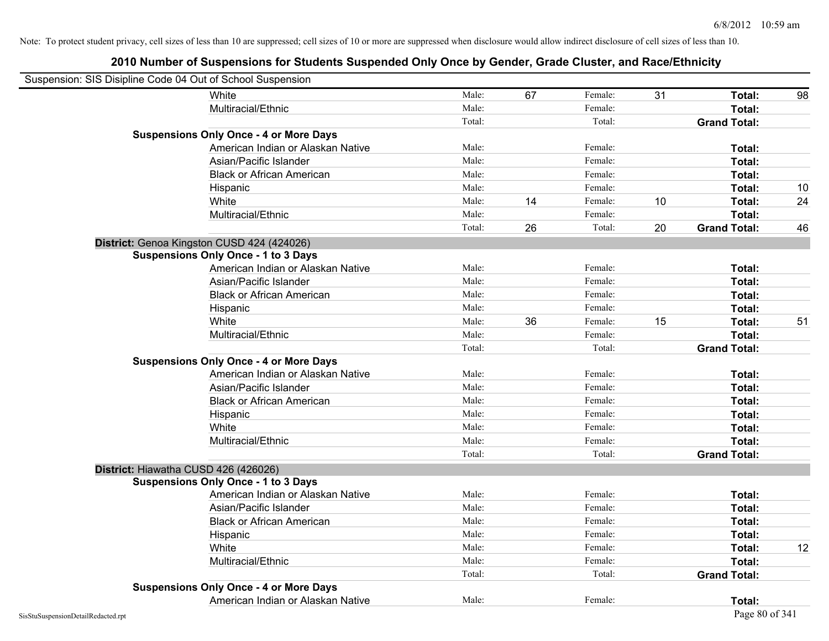| Suspension: SIS Disipline Code 04 Out of School Suspension |                                   |        |    |         |    |                     |    |
|------------------------------------------------------------|-----------------------------------|--------|----|---------|----|---------------------|----|
| White                                                      |                                   | Male:  | 67 | Female: | 31 | Total:              | 98 |
|                                                            | Multiracial/Ethnic                | Male:  |    | Female: |    | Total:              |    |
|                                                            |                                   | Total: |    | Total:  |    | <b>Grand Total:</b> |    |
| <b>Suspensions Only Once - 4 or More Days</b>              |                                   |        |    |         |    |                     |    |
|                                                            | American Indian or Alaskan Native | Male:  |    | Female: |    | Total:              |    |
|                                                            | Asian/Pacific Islander            | Male:  |    | Female: |    | Total:              |    |
|                                                            | <b>Black or African American</b>  | Male:  |    | Female: |    | Total:              |    |
| Hispanic                                                   |                                   | Male:  |    | Female: |    | Total:              | 10 |
| White                                                      |                                   | Male:  | 14 | Female: | 10 | Total:              | 24 |
|                                                            | Multiracial/Ethnic                | Male:  |    | Female: |    | Total:              |    |
|                                                            |                                   | Total: | 26 | Total:  | 20 | <b>Grand Total:</b> | 46 |
| District: Genoa Kingston CUSD 424 (424026)                 |                                   |        |    |         |    |                     |    |
| <b>Suspensions Only Once - 1 to 3 Days</b>                 |                                   |        |    |         |    |                     |    |
|                                                            | American Indian or Alaskan Native | Male:  |    | Female: |    | Total:              |    |
|                                                            | Asian/Pacific Islander            | Male:  |    | Female: |    | Total:              |    |
|                                                            | <b>Black or African American</b>  | Male:  |    | Female: |    | Total:              |    |
| Hispanic                                                   |                                   | Male:  |    | Female: |    | Total:              |    |
| White                                                      |                                   | Male:  | 36 | Female: | 15 | Total:              | 51 |
|                                                            | Multiracial/Ethnic                | Male:  |    | Female: |    | Total:              |    |
|                                                            |                                   | Total: |    | Total:  |    | <b>Grand Total:</b> |    |
| <b>Suspensions Only Once - 4 or More Days</b>              |                                   |        |    |         |    |                     |    |
|                                                            | American Indian or Alaskan Native | Male:  |    | Female: |    | Total:              |    |
|                                                            | Asian/Pacific Islander            | Male:  |    | Female: |    | Total:              |    |
|                                                            | <b>Black or African American</b>  | Male:  |    | Female: |    | Total:              |    |
| Hispanic                                                   |                                   | Male:  |    | Female: |    | Total:              |    |
| White                                                      |                                   | Male:  |    | Female: |    | Total:              |    |
|                                                            | Multiracial/Ethnic                | Male:  |    | Female: |    | Total:              |    |
|                                                            |                                   | Total: |    | Total:  |    | <b>Grand Total:</b> |    |
| District: Hiawatha CUSD 426 (426026)                       |                                   |        |    |         |    |                     |    |
| <b>Suspensions Only Once - 1 to 3 Days</b>                 |                                   |        |    |         |    |                     |    |
|                                                            | American Indian or Alaskan Native | Male:  |    | Female: |    | Total:              |    |
|                                                            | Asian/Pacific Islander            | Male:  |    | Female: |    | Total:              |    |
|                                                            | <b>Black or African American</b>  | Male:  |    | Female: |    | Total:              |    |
| Hispanic                                                   |                                   | Male:  |    | Female: |    | Total:              |    |
| White                                                      |                                   | Male:  |    | Female: |    | Total:              | 12 |
|                                                            | Multiracial/Ethnic                | Male:  |    | Female: |    | Total:              |    |
|                                                            |                                   | Total: |    | Total:  |    | <b>Grand Total:</b> |    |
| <b>Suspensions Only Once - 4 or More Days</b>              |                                   |        |    |         |    |                     |    |
|                                                            | American Indian or Alaskan Native | Male:  |    | Female: |    | Total:              |    |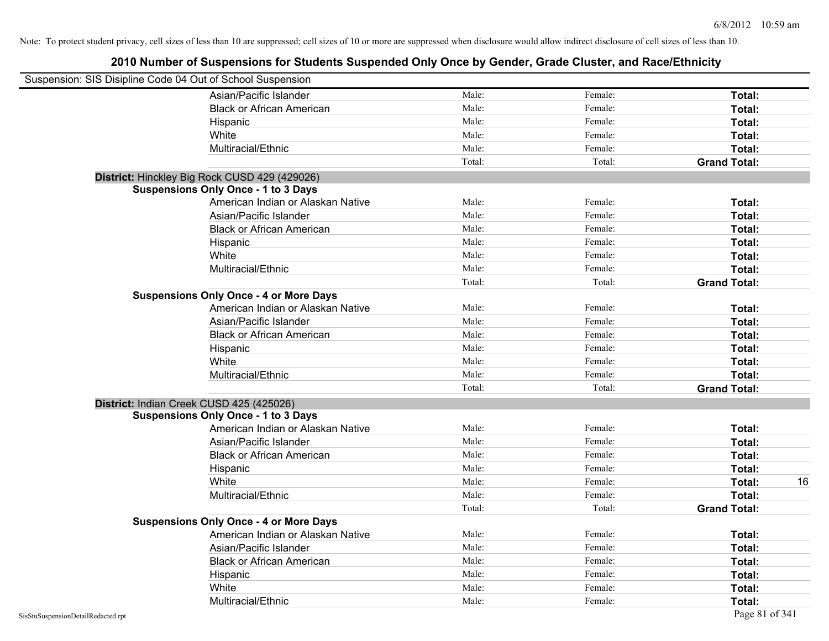| Suspension: SIS Disipline Code 04 Out of School Suspension |                                               |        |         |                     |    |
|------------------------------------------------------------|-----------------------------------------------|--------|---------|---------------------|----|
|                                                            | Asian/Pacific Islander                        | Male:  | Female: | Total:              |    |
|                                                            | <b>Black or African American</b>              | Male:  | Female: | Total:              |    |
|                                                            | Hispanic                                      | Male:  | Female: | Total:              |    |
|                                                            | White                                         | Male:  | Female: | Total:              |    |
|                                                            | Multiracial/Ethnic                            | Male:  | Female: | Total:              |    |
|                                                            |                                               | Total: | Total:  | <b>Grand Total:</b> |    |
|                                                            | District: Hinckley Big Rock CUSD 429 (429026) |        |         |                     |    |
|                                                            | <b>Suspensions Only Once - 1 to 3 Days</b>    |        |         |                     |    |
|                                                            | American Indian or Alaskan Native             | Male:  | Female: | Total:              |    |
|                                                            | Asian/Pacific Islander                        | Male:  | Female: | Total:              |    |
|                                                            | <b>Black or African American</b>              | Male:  | Female: | Total:              |    |
|                                                            | Hispanic                                      | Male:  | Female: | Total:              |    |
|                                                            | White                                         | Male:  | Female: | Total:              |    |
|                                                            | Multiracial/Ethnic                            | Male:  | Female: | Total:              |    |
|                                                            |                                               | Total: | Total:  | <b>Grand Total:</b> |    |
|                                                            | <b>Suspensions Only Once - 4 or More Days</b> |        |         |                     |    |
|                                                            | American Indian or Alaskan Native             | Male:  | Female: | Total:              |    |
|                                                            | Asian/Pacific Islander                        | Male:  | Female: | Total:              |    |
|                                                            | <b>Black or African American</b>              | Male:  | Female: | Total:              |    |
|                                                            | Hispanic                                      | Male:  | Female: | Total:              |    |
|                                                            | White                                         | Male:  | Female: | Total:              |    |
|                                                            | Multiracial/Ethnic                            | Male:  | Female: | Total:              |    |
|                                                            |                                               | Total: | Total:  | <b>Grand Total:</b> |    |
| District: Indian Creek CUSD 425 (425026)                   |                                               |        |         |                     |    |
|                                                            | <b>Suspensions Only Once - 1 to 3 Days</b>    |        |         |                     |    |
|                                                            | American Indian or Alaskan Native             | Male:  | Female: | Total:              |    |
|                                                            | Asian/Pacific Islander                        | Male:  | Female: | Total:              |    |
|                                                            | <b>Black or African American</b>              | Male:  | Female: | Total:              |    |
|                                                            | Hispanic                                      | Male:  | Female: | Total:              |    |
|                                                            | White                                         | Male:  | Female: | Total:              | 16 |
|                                                            | Multiracial/Ethnic                            | Male:  | Female: | Total:              |    |
|                                                            |                                               | Total: | Total:  | <b>Grand Total:</b> |    |
|                                                            | <b>Suspensions Only Once - 4 or More Days</b> |        |         |                     |    |
|                                                            | American Indian or Alaskan Native             | Male:  | Female: | Total:              |    |
|                                                            | Asian/Pacific Islander                        | Male:  | Female: | Total:              |    |
|                                                            | <b>Black or African American</b>              | Male:  | Female: | Total:              |    |
|                                                            | Hispanic                                      | Male:  | Female: | Total:              |    |
|                                                            | White                                         | Male:  | Female: | Total:              |    |
|                                                            | Multiracial/Ethnic                            | Male:  | Female: | Total:              |    |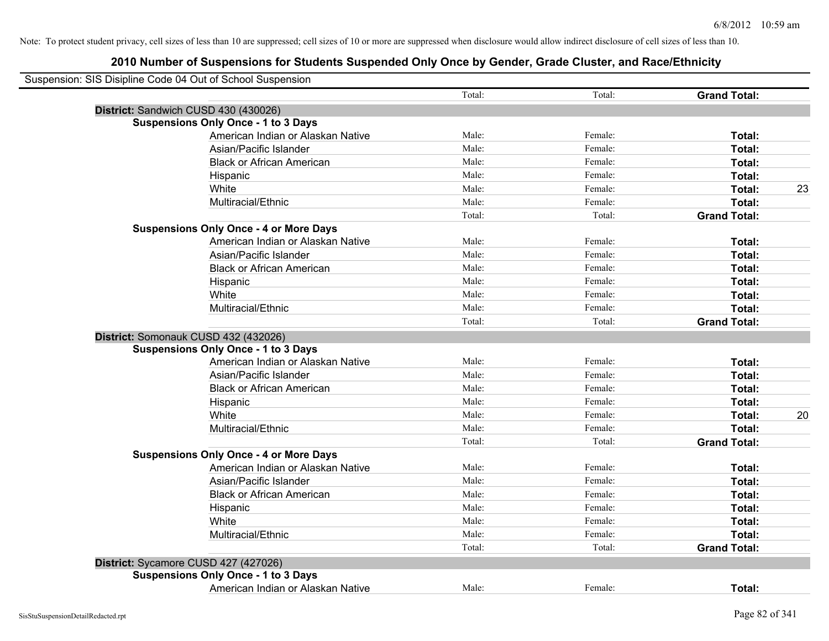| Suspension: SIS Disipline Code 04 Out of School Suspension |                                               |        |         |                     |    |
|------------------------------------------------------------|-----------------------------------------------|--------|---------|---------------------|----|
|                                                            |                                               | Total: | Total:  | <b>Grand Total:</b> |    |
| District: Sandwich CUSD 430 (430026)                       |                                               |        |         |                     |    |
|                                                            | <b>Suspensions Only Once - 1 to 3 Days</b>    |        |         |                     |    |
|                                                            | American Indian or Alaskan Native             | Male:  | Female: | Total:              |    |
|                                                            | Asian/Pacific Islander                        | Male:  | Female: | Total:              |    |
|                                                            | <b>Black or African American</b>              | Male:  | Female: | Total:              |    |
|                                                            | Hispanic                                      | Male:  | Female: | Total:              |    |
|                                                            | White                                         | Male:  | Female: | Total:              | 23 |
|                                                            | Multiracial/Ethnic                            | Male:  | Female: | Total:              |    |
|                                                            |                                               | Total: | Total:  | <b>Grand Total:</b> |    |
|                                                            | <b>Suspensions Only Once - 4 or More Days</b> |        |         |                     |    |
|                                                            | American Indian or Alaskan Native             | Male:  | Female: | Total:              |    |
|                                                            | Asian/Pacific Islander                        | Male:  | Female: | Total:              |    |
|                                                            | <b>Black or African American</b>              | Male:  | Female: | Total:              |    |
|                                                            | Hispanic                                      | Male:  | Female: | Total:              |    |
|                                                            | White                                         | Male:  | Female: | Total:              |    |
|                                                            | Multiracial/Ethnic                            | Male:  | Female: | Total:              |    |
|                                                            |                                               | Total: | Total:  | <b>Grand Total:</b> |    |
| District: Somonauk CUSD 432 (432026)                       |                                               |        |         |                     |    |
|                                                            | <b>Suspensions Only Once - 1 to 3 Days</b>    |        |         |                     |    |
|                                                            | American Indian or Alaskan Native             | Male:  | Female: | Total:              |    |
|                                                            | Asian/Pacific Islander                        | Male:  | Female: | Total:              |    |
|                                                            | <b>Black or African American</b>              | Male:  | Female: | Total:              |    |
|                                                            | Hispanic                                      | Male:  | Female: | Total:              |    |
|                                                            | White                                         | Male:  | Female: | Total:              | 20 |
|                                                            | Multiracial/Ethnic                            | Male:  | Female: | Total:              |    |
|                                                            |                                               | Total: | Total:  | <b>Grand Total:</b> |    |
|                                                            | <b>Suspensions Only Once - 4 or More Days</b> |        |         |                     |    |
|                                                            | American Indian or Alaskan Native             | Male:  | Female: | Total:              |    |
|                                                            | Asian/Pacific Islander                        | Male:  | Female: | Total:              |    |
|                                                            | <b>Black or African American</b>              | Male:  | Female: | Total:              |    |
|                                                            | Hispanic                                      | Male:  | Female: | Total:              |    |
|                                                            | White                                         | Male:  | Female: | Total:              |    |
|                                                            | Multiracial/Ethnic                            | Male:  | Female: | Total:              |    |
|                                                            |                                               | Total: | Total:  | <b>Grand Total:</b> |    |
| District: Sycamore CUSD 427 (427026)                       |                                               |        |         |                     |    |
|                                                            | <b>Suspensions Only Once - 1 to 3 Days</b>    |        |         |                     |    |
|                                                            | American Indian or Alaskan Native             | Male:  | Female: | Total:              |    |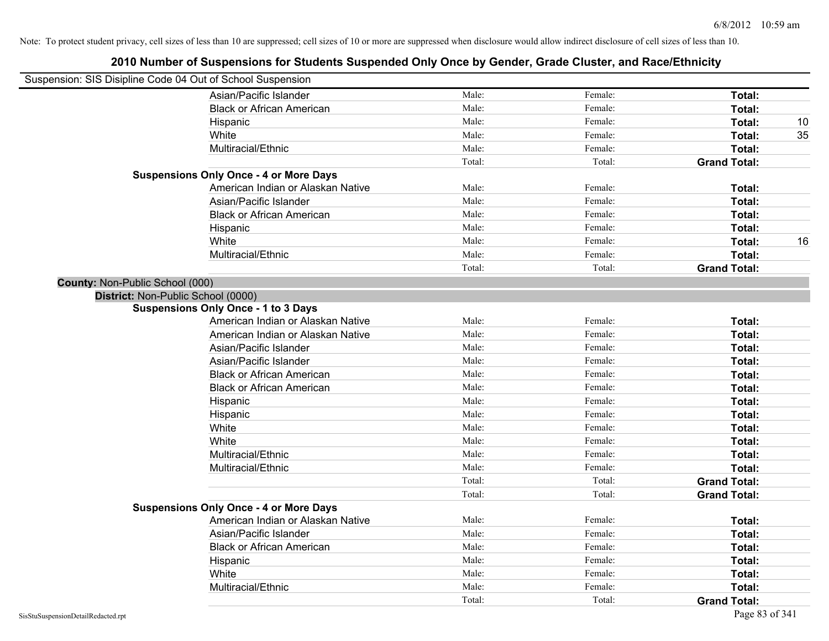| Suspension: SIS Disipline Code 04 Out of School Suspension |                                               |        |         |                     |    |
|------------------------------------------------------------|-----------------------------------------------|--------|---------|---------------------|----|
|                                                            | Asian/Pacific Islander                        | Male:  | Female: | Total:              |    |
|                                                            | <b>Black or African American</b>              | Male:  | Female: | Total:              |    |
|                                                            | Hispanic                                      | Male:  | Female: | Total:              | 10 |
|                                                            | White                                         | Male:  | Female: | Total:              | 35 |
|                                                            | Multiracial/Ethnic                            | Male:  | Female: | Total:              |    |
|                                                            |                                               | Total: | Total:  | <b>Grand Total:</b> |    |
|                                                            | <b>Suspensions Only Once - 4 or More Days</b> |        |         |                     |    |
|                                                            | American Indian or Alaskan Native             | Male:  | Female: | Total:              |    |
|                                                            | Asian/Pacific Islander                        | Male:  | Female: | Total:              |    |
|                                                            | <b>Black or African American</b>              | Male:  | Female: | Total:              |    |
|                                                            | Hispanic                                      | Male:  | Female: | Total:              |    |
|                                                            | White                                         | Male:  | Female: | Total:              | 16 |
|                                                            | Multiracial/Ethnic                            | Male:  | Female: | Total:              |    |
|                                                            |                                               | Total: | Total:  | <b>Grand Total:</b> |    |
| County: Non-Public School (000)                            |                                               |        |         |                     |    |
| District: Non-Public School (0000)                         |                                               |        |         |                     |    |
|                                                            | <b>Suspensions Only Once - 1 to 3 Days</b>    |        |         |                     |    |
|                                                            | American Indian or Alaskan Native             | Male:  | Female: | <b>Total:</b>       |    |
|                                                            | American Indian or Alaskan Native             | Male:  | Female: | Total:              |    |
|                                                            | Asian/Pacific Islander                        | Male:  | Female: | Total:              |    |
|                                                            | Asian/Pacific Islander                        | Male:  | Female: | Total:              |    |
|                                                            | <b>Black or African American</b>              | Male:  | Female: | Total:              |    |
|                                                            | <b>Black or African American</b>              | Male:  | Female: | Total:              |    |
|                                                            | Hispanic                                      | Male:  | Female: | Total:              |    |
|                                                            | Hispanic                                      | Male:  | Female: | Total:              |    |
|                                                            | White                                         | Male:  | Female: | Total:              |    |
|                                                            | White                                         | Male:  | Female: | Total:              |    |
|                                                            | Multiracial/Ethnic                            | Male:  | Female: | Total:              |    |
|                                                            | Multiracial/Ethnic                            | Male:  | Female: | Total:              |    |
|                                                            |                                               | Total: | Total:  | <b>Grand Total:</b> |    |
|                                                            |                                               | Total: | Total:  | <b>Grand Total:</b> |    |
|                                                            | <b>Suspensions Only Once - 4 or More Days</b> |        |         |                     |    |
|                                                            | American Indian or Alaskan Native             | Male:  | Female: | Total:              |    |
|                                                            | Asian/Pacific Islander                        | Male:  | Female: | Total:              |    |
|                                                            | <b>Black or African American</b>              | Male:  | Female: | Total:              |    |
|                                                            | Hispanic                                      | Male:  | Female: | Total:              |    |
|                                                            | White                                         | Male:  | Female: | Total:              |    |
|                                                            | Multiracial/Ethnic                            | Male:  | Female: | Total:              |    |
|                                                            |                                               | Total: | Total:  | <b>Grand Total:</b> |    |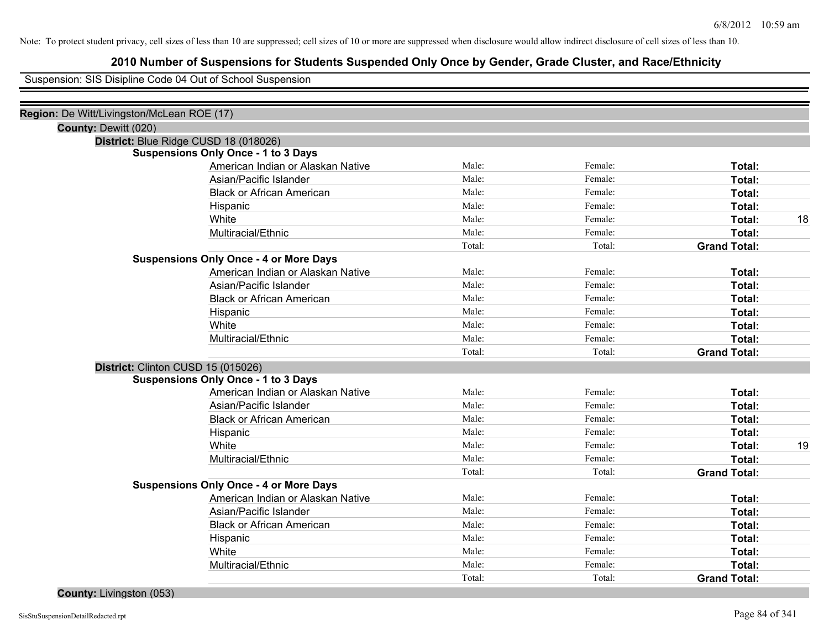# **2010 Number of Suspensions for Students Suspended Only Once by Gender, Grade Cluster, and Race/Ethnicity**

Suspension: SIS Disipline Code 04 Out of School Suspension

|                      | Region: De Witt/Livingston/McLean ROE (17)    |        |         |                     |    |
|----------------------|-----------------------------------------------|--------|---------|---------------------|----|
| County: Dewitt (020) |                                               |        |         |                     |    |
|                      | District: Blue Ridge CUSD 18 (018026)         |        |         |                     |    |
|                      | <b>Suspensions Only Once - 1 to 3 Days</b>    |        |         |                     |    |
|                      | American Indian or Alaskan Native             | Male:  | Female: | Total:              |    |
|                      | Asian/Pacific Islander                        | Male:  | Female: | <b>Total:</b>       |    |
|                      | <b>Black or African American</b>              | Male:  | Female: | Total:              |    |
|                      | Hispanic                                      | Male:  | Female: | Total:              |    |
|                      | White                                         | Male:  | Female: | Total:              | 18 |
|                      | Multiracial/Ethnic                            | Male:  | Female: | Total:              |    |
|                      |                                               | Total: | Total:  | <b>Grand Total:</b> |    |
|                      | <b>Suspensions Only Once - 4 or More Days</b> |        |         |                     |    |
|                      | American Indian or Alaskan Native             | Male:  | Female: | Total:              |    |
|                      | Asian/Pacific Islander                        | Male:  | Female: | Total:              |    |
|                      | <b>Black or African American</b>              | Male:  | Female: | Total:              |    |
|                      | Hispanic                                      | Male:  | Female: | Total:              |    |
|                      | White                                         | Male:  | Female: | Total:              |    |
|                      | Multiracial/Ethnic                            | Male:  | Female: | Total:              |    |
|                      |                                               | Total: | Total:  | <b>Grand Total:</b> |    |
|                      | District: Clinton CUSD 15 (015026)            |        |         |                     |    |
|                      | <b>Suspensions Only Once - 1 to 3 Days</b>    |        |         |                     |    |
|                      | American Indian or Alaskan Native             | Male:  | Female: | <b>Total:</b>       |    |
|                      | Asian/Pacific Islander                        | Male:  | Female: | Total:              |    |
|                      | <b>Black or African American</b>              | Male:  | Female: | Total:              |    |
|                      | Hispanic                                      | Male:  | Female: | <b>Total:</b>       |    |
|                      | White                                         | Male:  | Female: | Total:              | 19 |
|                      | Multiracial/Ethnic                            | Male:  | Female: | Total:              |    |
|                      |                                               | Total: | Total:  | <b>Grand Total:</b> |    |
|                      | <b>Suspensions Only Once - 4 or More Days</b> |        |         |                     |    |
|                      | American Indian or Alaskan Native             | Male:  | Female: | Total:              |    |
|                      | Asian/Pacific Islander                        | Male:  | Female: | Total:              |    |
|                      | <b>Black or African American</b>              | Male:  | Female: | Total:              |    |
|                      | Hispanic                                      | Male:  | Female: | Total:              |    |
|                      | White                                         | Male:  | Female: | Total:              |    |
|                      | Multiracial/Ethnic                            | Male:  | Female: | <b>Total:</b>       |    |
|                      |                                               | Total: | Total:  | <b>Grand Total:</b> |    |
|                      |                                               |        |         |                     |    |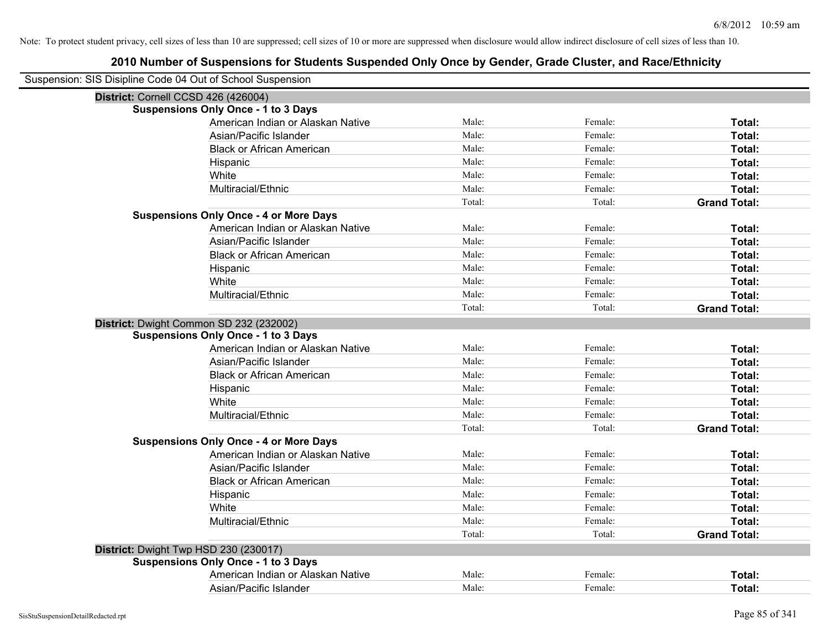| Suspension: SIS Disipline Code 04 Out of School Suspension |                                               |        |         |                     |
|------------------------------------------------------------|-----------------------------------------------|--------|---------|---------------------|
| District: Cornell CCSD 426 (426004)                        |                                               |        |         |                     |
|                                                            | <b>Suspensions Only Once - 1 to 3 Days</b>    |        |         |                     |
|                                                            | American Indian or Alaskan Native             | Male:  | Female: | Total:              |
|                                                            | Asian/Pacific Islander                        | Male:  | Female: | Total:              |
|                                                            | <b>Black or African American</b>              | Male:  | Female: | Total:              |
|                                                            | Hispanic                                      | Male:  | Female: | Total:              |
|                                                            | White                                         | Male:  | Female: | Total:              |
|                                                            | Multiracial/Ethnic                            | Male:  | Female: | Total:              |
|                                                            |                                               | Total: | Total:  | <b>Grand Total:</b> |
|                                                            | <b>Suspensions Only Once - 4 or More Days</b> |        |         |                     |
|                                                            | American Indian or Alaskan Native             | Male:  | Female: | Total:              |
|                                                            | Asian/Pacific Islander                        | Male:  | Female: | Total:              |
|                                                            | <b>Black or African American</b>              | Male:  | Female: | Total:              |
|                                                            | Hispanic                                      | Male:  | Female: | Total:              |
|                                                            | White                                         | Male:  | Female: | Total:              |
|                                                            | Multiracial/Ethnic                            | Male:  | Female: | Total:              |
|                                                            |                                               | Total: | Total:  | <b>Grand Total:</b> |
|                                                            | District: Dwight Common SD 232 (232002)       |        |         |                     |
|                                                            | <b>Suspensions Only Once - 1 to 3 Days</b>    |        |         |                     |
|                                                            | American Indian or Alaskan Native             | Male:  | Female: | Total:              |
|                                                            | Asian/Pacific Islander                        | Male:  | Female: | Total:              |
|                                                            | <b>Black or African American</b>              | Male:  | Female: | Total:              |
|                                                            | Hispanic                                      | Male:  | Female: | Total:              |
|                                                            | White                                         | Male:  | Female: | Total:              |
|                                                            | Multiracial/Ethnic                            | Male:  | Female: | Total:              |
|                                                            |                                               | Total: | Total:  | <b>Grand Total:</b> |
|                                                            | <b>Suspensions Only Once - 4 or More Days</b> |        |         |                     |
|                                                            | American Indian or Alaskan Native             | Male:  | Female: | Total:              |
|                                                            | Asian/Pacific Islander                        | Male:  | Female: | Total:              |
|                                                            | <b>Black or African American</b>              | Male:  | Female: | Total:              |
|                                                            | Hispanic                                      | Male:  | Female: | Total:              |
|                                                            | White                                         | Male:  | Female: | Total:              |
|                                                            | Multiracial/Ethnic                            | Male:  | Female: | Total:              |
|                                                            |                                               | Total: | Total:  | <b>Grand Total:</b> |
| District: Dwight Twp HSD 230 (230017)                      |                                               |        |         |                     |
|                                                            | <b>Suspensions Only Once - 1 to 3 Days</b>    |        |         |                     |
|                                                            | American Indian or Alaskan Native             | Male:  | Female: | Total:              |
|                                                            | Asian/Pacific Islander                        | Male:  | Female: | Total:              |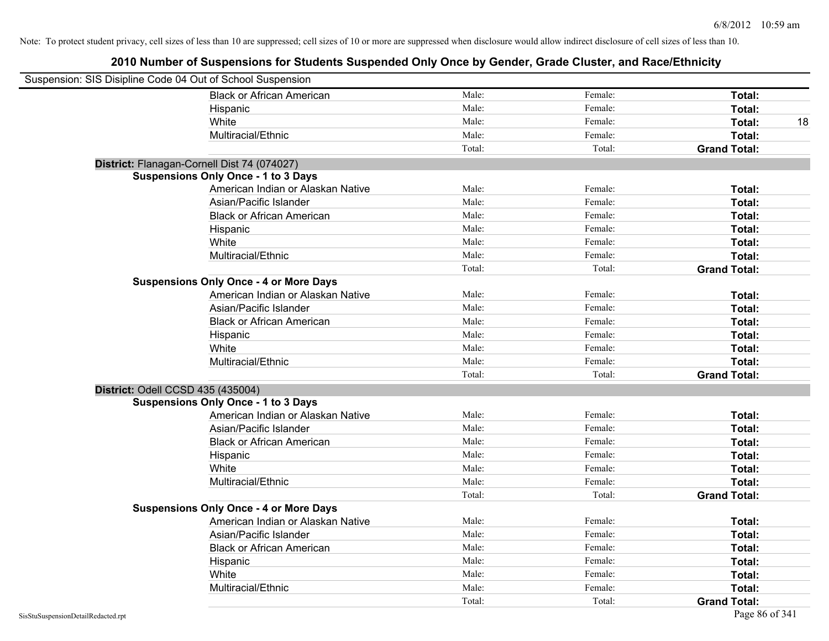| Suspension: SIS Disipline Code 04 Out of School Suspension |                                               |        |         |                     |    |
|------------------------------------------------------------|-----------------------------------------------|--------|---------|---------------------|----|
|                                                            | <b>Black or African American</b>              | Male:  | Female: | Total:              |    |
|                                                            | Hispanic                                      | Male:  | Female: | Total:              |    |
|                                                            | White                                         | Male:  | Female: | Total:              | 18 |
|                                                            | Multiracial/Ethnic                            | Male:  | Female: | Total:              |    |
|                                                            |                                               | Total: | Total:  | <b>Grand Total:</b> |    |
| District: Flanagan-Cornell Dist 74 (074027)                |                                               |        |         |                     |    |
|                                                            | <b>Suspensions Only Once - 1 to 3 Days</b>    |        |         |                     |    |
|                                                            | American Indian or Alaskan Native             | Male:  | Female: | Total:              |    |
|                                                            | Asian/Pacific Islander                        | Male:  | Female: | Total:              |    |
|                                                            | <b>Black or African American</b>              | Male:  | Female: | Total:              |    |
|                                                            | Hispanic                                      | Male:  | Female: | Total:              |    |
|                                                            | White                                         | Male:  | Female: | Total:              |    |
|                                                            | Multiracial/Ethnic                            | Male:  | Female: | Total:              |    |
|                                                            |                                               | Total: | Total:  | <b>Grand Total:</b> |    |
|                                                            | <b>Suspensions Only Once - 4 or More Days</b> |        |         |                     |    |
|                                                            | American Indian or Alaskan Native             | Male:  | Female: | Total:              |    |
|                                                            | Asian/Pacific Islander                        | Male:  | Female: | Total:              |    |
|                                                            | <b>Black or African American</b>              | Male:  | Female: | Total:              |    |
|                                                            | Hispanic                                      | Male:  | Female: | Total:              |    |
|                                                            | White                                         | Male:  | Female: | Total:              |    |
|                                                            | Multiracial/Ethnic                            | Male:  | Female: | Total:              |    |
|                                                            |                                               | Total: | Total:  | <b>Grand Total:</b> |    |
| District: Odell CCSD 435 (435004)                          |                                               |        |         |                     |    |
|                                                            | <b>Suspensions Only Once - 1 to 3 Days</b>    |        |         |                     |    |
|                                                            | American Indian or Alaskan Native             | Male:  | Female: | Total:              |    |
|                                                            | Asian/Pacific Islander                        | Male:  | Female: | Total:              |    |
|                                                            | <b>Black or African American</b>              | Male:  | Female: | Total:              |    |
|                                                            | Hispanic                                      | Male:  | Female: | Total:              |    |
|                                                            | White                                         | Male:  | Female: | Total:              |    |
|                                                            | Multiracial/Ethnic                            | Male:  | Female: | Total:              |    |
|                                                            |                                               | Total: | Total:  | <b>Grand Total:</b> |    |
|                                                            | <b>Suspensions Only Once - 4 or More Days</b> |        |         |                     |    |
|                                                            | American Indian or Alaskan Native             | Male:  | Female: | Total:              |    |
|                                                            | Asian/Pacific Islander                        | Male:  | Female: | Total:              |    |
|                                                            | <b>Black or African American</b>              | Male:  | Female: | Total:              |    |
|                                                            | Hispanic                                      | Male:  | Female: | Total:              |    |
|                                                            | White                                         | Male:  | Female: | Total:              |    |
|                                                            | Multiracial/Ethnic                            | Male:  | Female: | Total:              |    |
|                                                            |                                               | Total: | Total:  | <b>Grand Total:</b> |    |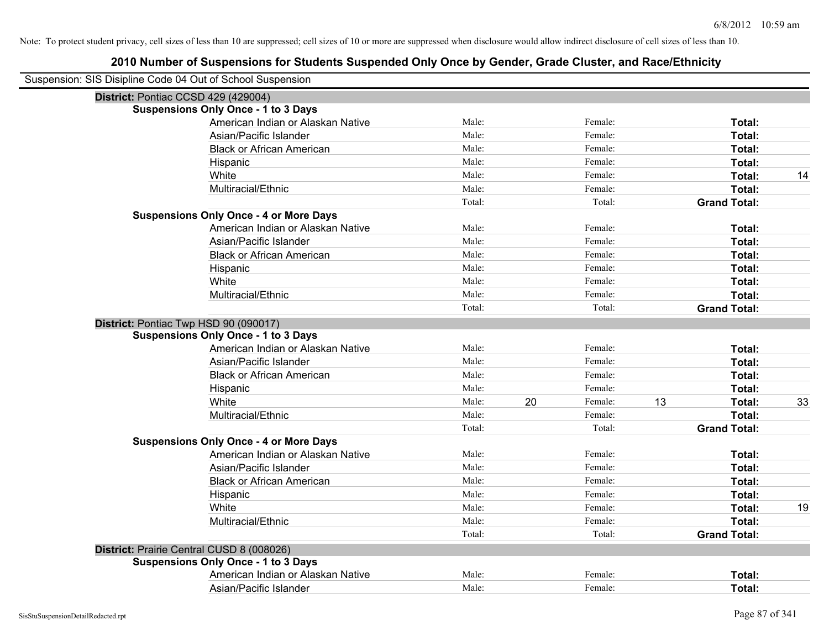| Suspension: SIS Disipline Code 04 Out of School Suspension |                                               |        |    |         |                     |    |
|------------------------------------------------------------|-----------------------------------------------|--------|----|---------|---------------------|----|
|                                                            | District: Pontiac CCSD 429 (429004)           |        |    |         |                     |    |
|                                                            | <b>Suspensions Only Once - 1 to 3 Days</b>    |        |    |         |                     |    |
|                                                            | American Indian or Alaskan Native             | Male:  |    | Female: | Total:              |    |
|                                                            | Asian/Pacific Islander                        | Male:  |    | Female: | Total:              |    |
|                                                            | <b>Black or African American</b>              | Male:  |    | Female: | <b>Total:</b>       |    |
|                                                            | Hispanic                                      | Male:  |    | Female: | Total:              |    |
|                                                            | White                                         | Male:  |    | Female: | Total:              | 14 |
|                                                            | Multiracial/Ethnic                            | Male:  |    | Female: | Total:              |    |
|                                                            |                                               | Total: |    | Total:  | <b>Grand Total:</b> |    |
|                                                            | <b>Suspensions Only Once - 4 or More Days</b> |        |    |         |                     |    |
|                                                            | American Indian or Alaskan Native             | Male:  |    | Female: | Total:              |    |
|                                                            | Asian/Pacific Islander                        | Male:  |    | Female: | Total:              |    |
|                                                            | <b>Black or African American</b>              | Male:  |    | Female: | Total:              |    |
|                                                            | Hispanic                                      | Male:  |    | Female: | <b>Total:</b>       |    |
|                                                            | White                                         | Male:  |    | Female: | <b>Total:</b>       |    |
|                                                            | Multiracial/Ethnic                            | Male:  |    | Female: | Total:              |    |
|                                                            |                                               | Total: |    | Total:  | <b>Grand Total:</b> |    |
|                                                            | District: Pontiac Twp HSD 90 (090017)         |        |    |         |                     |    |
|                                                            | <b>Suspensions Only Once - 1 to 3 Days</b>    |        |    |         |                     |    |
|                                                            | American Indian or Alaskan Native             | Male:  |    | Female: | Total:              |    |
|                                                            | Asian/Pacific Islander                        | Male:  |    | Female: | Total:              |    |
|                                                            | <b>Black or African American</b>              | Male:  |    | Female: | Total:              |    |
|                                                            | Hispanic                                      | Male:  |    | Female: | Total:              |    |
|                                                            | White                                         | Male:  | 20 | Female: | 13<br>Total:        | 33 |
|                                                            | Multiracial/Ethnic                            | Male:  |    | Female: | Total:              |    |
|                                                            |                                               | Total: |    | Total:  | <b>Grand Total:</b> |    |
|                                                            | <b>Suspensions Only Once - 4 or More Days</b> |        |    |         |                     |    |
|                                                            | American Indian or Alaskan Native             | Male:  |    | Female: | Total:              |    |
|                                                            | Asian/Pacific Islander                        | Male:  |    | Female: | Total:              |    |
|                                                            | <b>Black or African American</b>              | Male:  |    | Female: | Total:              |    |
|                                                            | Hispanic                                      | Male:  |    | Female: | Total:              |    |
|                                                            | White                                         | Male:  |    | Female: | Total:              | 19 |
|                                                            | Multiracial/Ethnic                            | Male:  |    | Female: | Total:              |    |
|                                                            |                                               | Total: |    | Total:  | <b>Grand Total:</b> |    |
|                                                            | District: Prairie Central CUSD 8 (008026)     |        |    |         |                     |    |
|                                                            | <b>Suspensions Only Once - 1 to 3 Days</b>    |        |    |         |                     |    |
|                                                            | American Indian or Alaskan Native             | Male:  |    | Female: | Total:              |    |
|                                                            | Asian/Pacific Islander                        | Male:  |    | Female: | Total:              |    |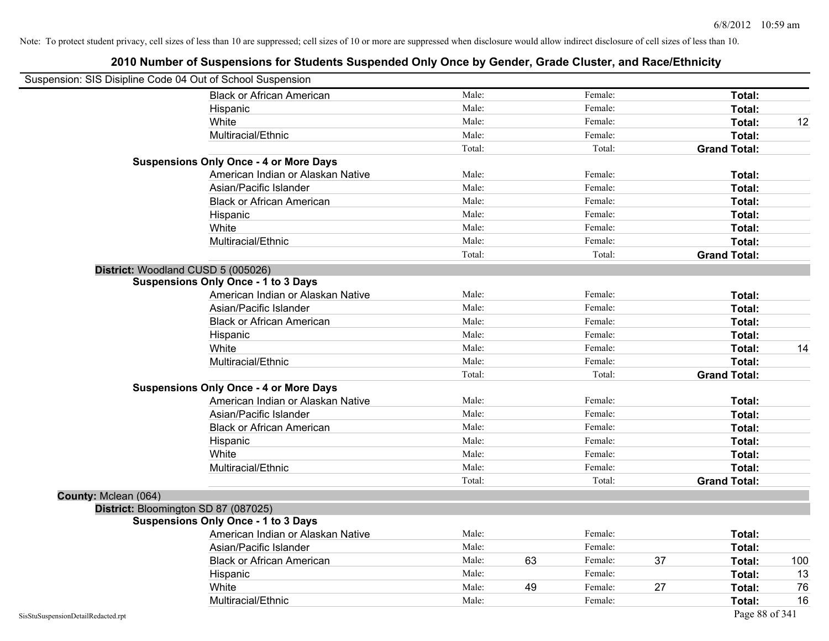| Suspension: SIS Disipline Code 04 Out of School Suspension |                                               |        |    |         |                     |                |
|------------------------------------------------------------|-----------------------------------------------|--------|----|---------|---------------------|----------------|
|                                                            | <b>Black or African American</b>              | Male:  |    | Female: |                     | Total:         |
|                                                            | Hispanic                                      | Male:  |    | Female: |                     | Total:         |
|                                                            | White                                         | Male:  |    | Female: |                     | 12<br>Total:   |
|                                                            | Multiracial/Ethnic                            | Male:  |    | Female: |                     | Total:         |
|                                                            |                                               | Total: |    | Total:  | <b>Grand Total:</b> |                |
|                                                            | <b>Suspensions Only Once - 4 or More Days</b> |        |    |         |                     |                |
|                                                            | American Indian or Alaskan Native             | Male:  |    | Female: |                     | Total:         |
|                                                            | Asian/Pacific Islander                        | Male:  |    | Female: |                     | Total:         |
|                                                            | <b>Black or African American</b>              | Male:  |    | Female: |                     | Total:         |
|                                                            | Hispanic                                      | Male:  |    | Female: |                     | Total:         |
|                                                            | White                                         | Male:  |    | Female: |                     | Total:         |
|                                                            | Multiracial/Ethnic                            | Male:  |    | Female: |                     | Total:         |
|                                                            |                                               | Total: |    | Total:  | <b>Grand Total:</b> |                |
| District: Woodland CUSD 5 (005026)                         |                                               |        |    |         |                     |                |
|                                                            | <b>Suspensions Only Once - 1 to 3 Days</b>    |        |    |         |                     |                |
|                                                            | American Indian or Alaskan Native             | Male:  |    | Female: |                     | Total:         |
|                                                            | Asian/Pacific Islander                        | Male:  |    | Female: |                     | Total:         |
|                                                            | <b>Black or African American</b>              | Male:  |    | Female: |                     | Total:         |
|                                                            | Hispanic                                      | Male:  |    | Female: |                     | Total:         |
|                                                            | White                                         | Male:  |    | Female: |                     | 14<br>Total:   |
|                                                            | Multiracial/Ethnic                            | Male:  |    | Female: |                     | Total:         |
|                                                            |                                               | Total: |    | Total:  | <b>Grand Total:</b> |                |
|                                                            | <b>Suspensions Only Once - 4 or More Days</b> |        |    |         |                     |                |
|                                                            | American Indian or Alaskan Native             | Male:  |    | Female: |                     | Total:         |
|                                                            | Asian/Pacific Islander                        | Male:  |    | Female: |                     | Total:         |
|                                                            | <b>Black or African American</b>              | Male:  |    | Female: |                     | Total:         |
|                                                            | Hispanic                                      | Male:  |    | Female: |                     | Total:         |
|                                                            | White                                         | Male:  |    | Female: |                     | Total:         |
|                                                            | Multiracial/Ethnic                            | Male:  |    | Female: |                     | Total:         |
|                                                            |                                               | Total: |    | Total:  | <b>Grand Total:</b> |                |
| County: Mclean (064)                                       |                                               |        |    |         |                     |                |
| District: Bloomington SD 87 (087025)                       |                                               |        |    |         |                     |                |
|                                                            | <b>Suspensions Only Once - 1 to 3 Days</b>    |        |    |         |                     |                |
|                                                            | American Indian or Alaskan Native             | Male:  |    | Female: |                     | Total:         |
|                                                            | Asian/Pacific Islander                        | Male:  |    | Female: |                     | Total:         |
|                                                            | <b>Black or African American</b>              | Male:  | 63 | Female: | 37                  | 100<br>Total:  |
|                                                            | Hispanic                                      | Male:  |    | Female: |                     | 13<br>Total:   |
|                                                            | White                                         | Male:  | 49 | Female: | 27                  | 76<br>Total:   |
|                                                            | Multiracial/Ethnic                            | Male:  |    | Female: |                     | 16<br>Total:   |
| SisStuSuspensionDetailRedacted.rpt                         |                                               |        |    |         |                     | Page 88 of 341 |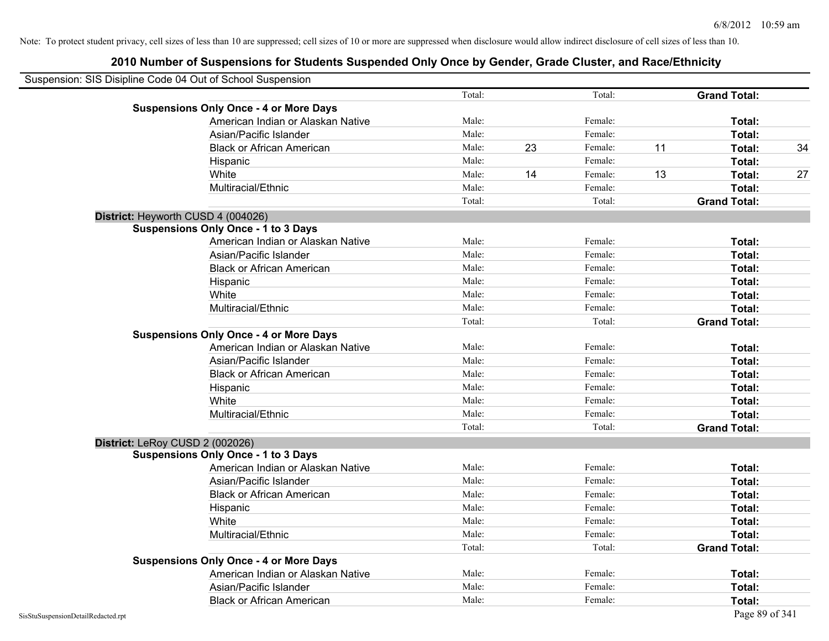| Suspension: SIS Disipline Code 04 Out of School Suspension                         |                |    |         |    |                     |    |
|------------------------------------------------------------------------------------|----------------|----|---------|----|---------------------|----|
|                                                                                    | Total:         |    | Total:  |    | <b>Grand Total:</b> |    |
| <b>Suspensions Only Once - 4 or More Days</b>                                      |                |    |         |    |                     |    |
| American Indian or Alaskan Native                                                  | Male:          |    | Female: |    | Total:              |    |
| Asian/Pacific Islander                                                             | Male:          |    | Female: |    | Total:              |    |
| <b>Black or African American</b>                                                   | Male:          | 23 | Female: | 11 | Total:              | 34 |
| Hispanic                                                                           | Male:          |    | Female: |    | Total:              |    |
| White                                                                              | Male:          | 14 | Female: | 13 | Total:              | 27 |
| Multiracial/Ethnic                                                                 | Male:          |    | Female: |    | Total:              |    |
|                                                                                    | Total:         |    | Total:  |    | <b>Grand Total:</b> |    |
| District: Heyworth CUSD 4 (004026)                                                 |                |    |         |    |                     |    |
| <b>Suspensions Only Once - 1 to 3 Days</b>                                         |                |    |         |    |                     |    |
| American Indian or Alaskan Native                                                  | Male:          |    | Female: |    | Total:              |    |
| Asian/Pacific Islander                                                             | Male:          |    | Female: |    | Total:              |    |
| <b>Black or African American</b>                                                   | Male:          |    | Female: |    | Total:              |    |
| Hispanic                                                                           | Male:          |    | Female: |    | Total:              |    |
| White                                                                              | Male:          |    | Female: |    | Total:              |    |
| Multiracial/Ethnic                                                                 | Male:          |    | Female: |    | Total:              |    |
|                                                                                    | Total:         |    | Total:  |    | <b>Grand Total:</b> |    |
| <b>Suspensions Only Once - 4 or More Days</b>                                      |                |    |         |    |                     |    |
| American Indian or Alaskan Native                                                  | Male:          |    | Female: |    | Total:              |    |
| Asian/Pacific Islander                                                             | Male:          |    | Female: |    | Total:              |    |
| <b>Black or African American</b>                                                   | Male:          |    | Female: |    | Total:              |    |
| Hispanic                                                                           | Male:          |    | Female: |    | Total:              |    |
| White                                                                              | Male:          |    | Female: |    | Total:              |    |
| Multiracial/Ethnic                                                                 | Male:          |    | Female: |    | Total:              |    |
|                                                                                    | Total:         |    | Total:  |    | <b>Grand Total:</b> |    |
| District: LeRoy CUSD 2 (002026)                                                    |                |    |         |    |                     |    |
| <b>Suspensions Only Once - 1 to 3 Days</b>                                         |                |    |         |    |                     |    |
| American Indian or Alaskan Native                                                  | Male:          |    | Female: |    | Total:              |    |
| Asian/Pacific Islander                                                             | Male:          |    | Female: |    | Total:              |    |
| <b>Black or African American</b>                                                   | Male:          |    | Female: |    | Total:              |    |
| Hispanic                                                                           | Male:<br>Male: |    | Female: |    | Total:              |    |
| White                                                                              |                |    | Female: |    | Total:              |    |
| Multiracial/Ethnic                                                                 | Male:          |    | Female: |    | Total:              |    |
|                                                                                    | Total:         |    | Total:  |    | <b>Grand Total:</b> |    |
| <b>Suspensions Only Once - 4 or More Days</b><br>American Indian or Alaskan Native | Male:          |    | Female: |    | Total:              |    |
| Asian/Pacific Islander                                                             | Male:          |    | Female: |    | Total:              |    |
|                                                                                    | Male:          |    | Female: |    | Total:              |    |
| <b>Black or African American</b>                                                   |                |    |         |    |                     |    |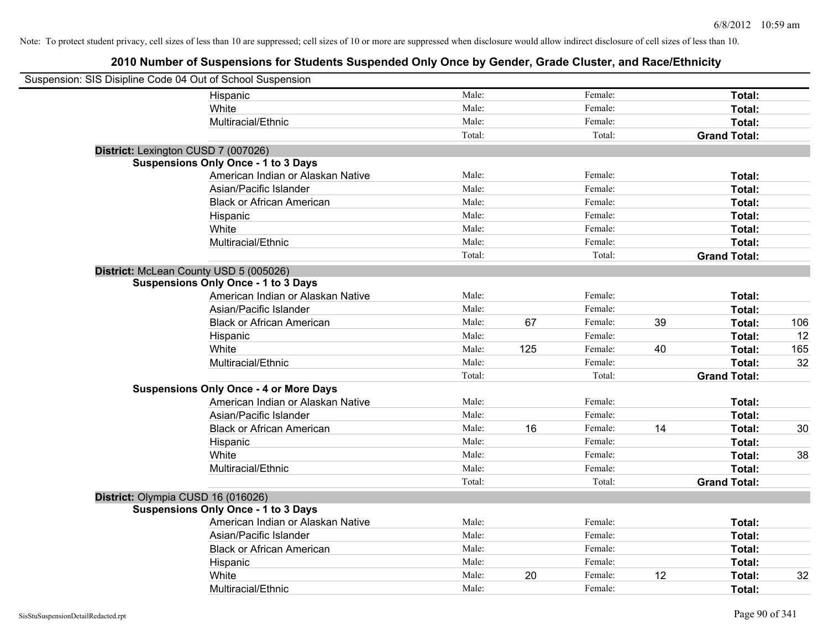| Suspension: SIS Disipline Code 04 Out of School Suspension |                                               |        |     |         |    |                     |     |
|------------------------------------------------------------|-----------------------------------------------|--------|-----|---------|----|---------------------|-----|
|                                                            | Hispanic                                      | Male:  |     | Female: |    | Total:              |     |
|                                                            | White                                         | Male:  |     | Female: |    | Total:              |     |
|                                                            | Multiracial/Ethnic                            | Male:  |     | Female: |    | Total:              |     |
|                                                            |                                               | Total: |     | Total:  |    | <b>Grand Total:</b> |     |
| District: Lexington CUSD 7 (007026)                        |                                               |        |     |         |    |                     |     |
|                                                            | <b>Suspensions Only Once - 1 to 3 Days</b>    |        |     |         |    |                     |     |
|                                                            | American Indian or Alaskan Native             | Male:  |     | Female: |    | Total:              |     |
|                                                            | Asian/Pacific Islander                        | Male:  |     | Female: |    | Total:              |     |
|                                                            | <b>Black or African American</b>              | Male:  |     | Female: |    | Total:              |     |
|                                                            | Hispanic                                      | Male:  |     | Female: |    | Total:              |     |
|                                                            | White                                         | Male:  |     | Female: |    | Total:              |     |
|                                                            | Multiracial/Ethnic                            | Male:  |     | Female: |    | Total:              |     |
|                                                            |                                               | Total: |     | Total:  |    | <b>Grand Total:</b> |     |
| District: McLean County USD 5 (005026)                     |                                               |        |     |         |    |                     |     |
|                                                            | <b>Suspensions Only Once - 1 to 3 Days</b>    |        |     |         |    |                     |     |
|                                                            | American Indian or Alaskan Native             | Male:  |     | Female: |    | Total:              |     |
|                                                            | Asian/Pacific Islander                        | Male:  |     | Female: |    | Total:              |     |
|                                                            | <b>Black or African American</b>              | Male:  | 67  | Female: | 39 | Total:              | 106 |
|                                                            | Hispanic                                      | Male:  |     | Female: |    | Total:              | 12  |
|                                                            | White                                         | Male:  | 125 | Female: | 40 | Total:              | 165 |
|                                                            | Multiracial/Ethnic                            | Male:  |     | Female: |    | Total:              | 32  |
|                                                            |                                               | Total: |     | Total:  |    | <b>Grand Total:</b> |     |
|                                                            | <b>Suspensions Only Once - 4 or More Days</b> |        |     |         |    |                     |     |
|                                                            | American Indian or Alaskan Native             | Male:  |     | Female: |    | Total:              |     |
|                                                            | Asian/Pacific Islander                        | Male:  |     | Female: |    | Total:              |     |
|                                                            | <b>Black or African American</b>              | Male:  | 16  | Female: | 14 | Total:              | 30  |
|                                                            | Hispanic                                      | Male:  |     | Female: |    | Total:              |     |
|                                                            | White                                         | Male:  |     | Female: |    | Total:              | 38  |
|                                                            | Multiracial/Ethnic                            | Male:  |     | Female: |    | Total:              |     |
|                                                            |                                               | Total: |     | Total:  |    | <b>Grand Total:</b> |     |
| District: Olympia CUSD 16 (016026)                         |                                               |        |     |         |    |                     |     |
|                                                            | <b>Suspensions Only Once - 1 to 3 Days</b>    |        |     |         |    |                     |     |
|                                                            | American Indian or Alaskan Native             | Male:  |     | Female: |    | Total:              |     |
|                                                            | Asian/Pacific Islander                        | Male:  |     | Female: |    | Total:              |     |
|                                                            | <b>Black or African American</b>              | Male:  |     | Female: |    | Total:              |     |
|                                                            | Hispanic                                      | Male:  |     | Female: |    | Total:              |     |
|                                                            | White                                         | Male:  | 20  | Female: | 12 | Total:              | 32  |
|                                                            | Multiracial/Ethnic                            | Male:  |     | Female: |    | Total:              |     |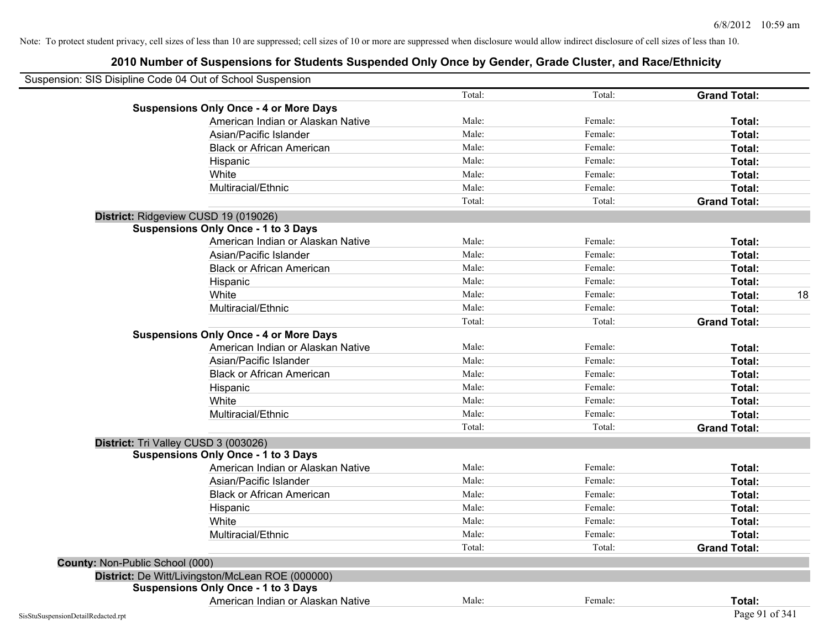| Suspension: SIS Disipline Code 04 Out of School Suspension |                                                  |        |         |                     |
|------------------------------------------------------------|--------------------------------------------------|--------|---------|---------------------|
|                                                            |                                                  | Total: | Total:  | <b>Grand Total:</b> |
|                                                            | <b>Suspensions Only Once - 4 or More Days</b>    |        |         |                     |
|                                                            | American Indian or Alaskan Native                | Male:  | Female: | Total:              |
|                                                            | Asian/Pacific Islander                           | Male:  | Female: | Total:              |
|                                                            | <b>Black or African American</b>                 | Male:  | Female: | Total:              |
|                                                            | Hispanic                                         | Male:  | Female: | Total:              |
|                                                            | White                                            | Male:  | Female: | Total:              |
|                                                            | Multiracial/Ethnic                               | Male:  | Female: | Total:              |
|                                                            |                                                  | Total: | Total:  | <b>Grand Total:</b> |
| District: Ridgeview CUSD 19 (019026)                       |                                                  |        |         |                     |
|                                                            | <b>Suspensions Only Once - 1 to 3 Days</b>       |        |         |                     |
|                                                            | American Indian or Alaskan Native                | Male:  | Female: | Total:              |
|                                                            | Asian/Pacific Islander                           | Male:  | Female: | Total:              |
|                                                            | <b>Black or African American</b>                 | Male:  | Female: | Total:              |
|                                                            | Hispanic                                         | Male:  | Female: | Total:              |
|                                                            | White                                            | Male:  | Female: | Total:              |
|                                                            | Multiracial/Ethnic                               | Male:  | Female: | Total:              |
|                                                            |                                                  | Total: | Total:  | <b>Grand Total:</b> |
|                                                            | <b>Suspensions Only Once - 4 or More Days</b>    |        |         |                     |
|                                                            | American Indian or Alaskan Native                | Male:  | Female: | Total:              |
|                                                            | Asian/Pacific Islander                           | Male:  | Female: | Total:              |
|                                                            | <b>Black or African American</b>                 | Male:  | Female: | Total:              |
|                                                            | Hispanic                                         | Male:  | Female: | Total:              |
|                                                            | White                                            | Male:  | Female: | Total:              |
|                                                            | Multiracial/Ethnic                               | Male:  | Female: | Total:              |
|                                                            |                                                  | Total: | Total:  | <b>Grand Total:</b> |
| District: Tri Valley CUSD 3 (003026)                       |                                                  |        |         |                     |
|                                                            | <b>Suspensions Only Once - 1 to 3 Days</b>       |        |         |                     |
|                                                            | American Indian or Alaskan Native                | Male:  | Female: | Total:              |
|                                                            | Asian/Pacific Islander                           | Male:  | Female: | Total:              |
|                                                            | <b>Black or African American</b>                 | Male:  | Female: | Total:              |
|                                                            | Hispanic                                         | Male:  | Female: | Total:              |
|                                                            | White                                            | Male:  | Female: | Total:              |
|                                                            | Multiracial/Ethnic                               | Male:  | Female: | Total:              |
|                                                            |                                                  | Total: | Total:  | <b>Grand Total:</b> |
| County: Non-Public School (000)                            |                                                  |        |         |                     |
|                                                            | District: De Witt/Livingston/McLean ROE (000000) |        |         |                     |
|                                                            | <b>Suspensions Only Once - 1 to 3 Days</b>       |        |         |                     |
|                                                            | American Indian or Alaskan Native                | Male:  | Female: | Total:              |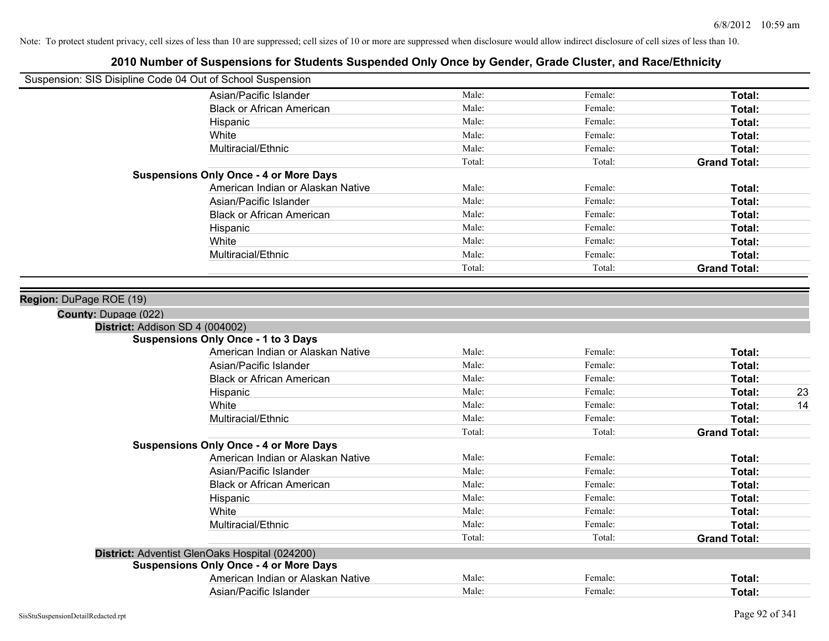|                         | Suspension: SIS Disipline Code 04 Out of School Suspension |        |         |                     |
|-------------------------|------------------------------------------------------------|--------|---------|---------------------|
|                         | Asian/Pacific Islander                                     | Male:  | Female: | Total:              |
|                         | <b>Black or African American</b>                           | Male:  | Female: | Total:              |
|                         | Hispanic                                                   | Male:  | Female: | Total:              |
|                         | White                                                      | Male:  | Female: | Total:              |
|                         | Multiracial/Ethnic                                         | Male:  | Female: | Total:              |
|                         |                                                            | Total: | Total:  | <b>Grand Total:</b> |
|                         | <b>Suspensions Only Once - 4 or More Days</b>              |        |         |                     |
|                         | American Indian or Alaskan Native                          | Male:  | Female: | Total:              |
|                         | Asian/Pacific Islander                                     | Male:  | Female: | Total:              |
|                         | <b>Black or African American</b>                           | Male:  | Female: | Total:              |
|                         | Hispanic                                                   | Male:  | Female: | Total:              |
|                         | White                                                      | Male:  | Female: | Total:              |
|                         | Multiracial/Ethnic                                         | Male:  | Female: | Total:              |
|                         |                                                            | Total: | Total:  | <b>Grand Total:</b> |
| Region: DuPage ROE (19) |                                                            |        |         |                     |
| County: Dupage (022)    |                                                            |        |         |                     |
|                         | District: Addison SD 4 (004002)                            |        |         |                     |
|                         | <b>Suspensions Only Once - 1 to 3 Days</b>                 |        |         |                     |
|                         | American Indian or Alaskan Native                          | Male:  | Female: | Total:              |
|                         | Asian/Pacific Islander                                     | Male:  | Female: | Total:              |
|                         | <b>Black or African American</b>                           | Male:  | Female: | Total:              |
|                         | Hispanic                                                   | Male:  | Female: | 23<br>Total:        |
|                         | White                                                      | Male:  | Female: | Total:<br>14        |
|                         | Multiracial/Ethnic                                         | Male:  | Female: | Total:              |
|                         |                                                            | Total: | Total:  | <b>Grand Total:</b> |
|                         | <b>Suspensions Only Once - 4 or More Days</b>              |        |         |                     |
|                         | American Indian or Alaskan Native                          | Male:  | Female: | Total:              |
|                         | Asian/Pacific Islander                                     | Male:  | Female: | Total:              |
|                         | <b>Black or African American</b>                           | Male:  | Female: | Total:              |
|                         | Hispanic                                                   | Male:  | Female: | Total:              |
|                         | White                                                      | Male:  | Female: | Total:              |
|                         | Multiracial/Ethnic                                         | Male:  | Female: | Total:              |
|                         |                                                            | Total: | Total:  | <b>Grand Total:</b> |
|                         | District: Adventist GlenOaks Hospital (024200)             |        |         |                     |
|                         | <b>Suspensions Only Once - 4 or More Days</b>              |        |         |                     |
|                         | American Indian or Alaskan Native                          | Male:  | Female: | Total:              |
|                         | Asian/Pacific Islander                                     | Male:  | Female: | Total:              |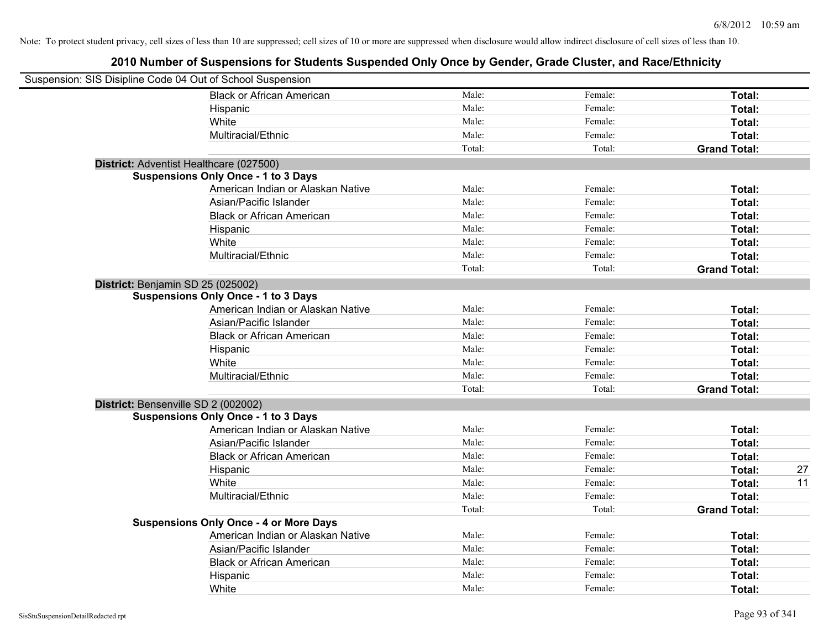| Suspension: SIS Disipline Code 04 Out of School Suspension |                                               |        |         |                     |    |
|------------------------------------------------------------|-----------------------------------------------|--------|---------|---------------------|----|
|                                                            | <b>Black or African American</b>              | Male:  | Female: | Total:              |    |
|                                                            | Hispanic                                      | Male:  | Female: | Total:              |    |
|                                                            | White                                         | Male:  | Female: | Total:              |    |
|                                                            | Multiracial/Ethnic                            | Male:  | Female: | Total:              |    |
|                                                            |                                               | Total: | Total:  | <b>Grand Total:</b> |    |
| District: Adventist Healthcare (027500)                    |                                               |        |         |                     |    |
|                                                            | <b>Suspensions Only Once - 1 to 3 Days</b>    |        |         |                     |    |
|                                                            | American Indian or Alaskan Native             | Male:  | Female: | Total:              |    |
|                                                            | Asian/Pacific Islander                        | Male:  | Female: | Total:              |    |
|                                                            | <b>Black or African American</b>              | Male:  | Female: | Total:              |    |
|                                                            | Hispanic                                      | Male:  | Female: | Total:              |    |
|                                                            | White                                         | Male:  | Female: | Total:              |    |
|                                                            | Multiracial/Ethnic                            | Male:  | Female: | Total:              |    |
|                                                            |                                               | Total: | Total:  | <b>Grand Total:</b> |    |
| District: Benjamin SD 25 (025002)                          |                                               |        |         |                     |    |
|                                                            | <b>Suspensions Only Once - 1 to 3 Days</b>    |        |         |                     |    |
|                                                            | American Indian or Alaskan Native             | Male:  | Female: | Total:              |    |
|                                                            | Asian/Pacific Islander                        | Male:  | Female: | Total:              |    |
|                                                            | <b>Black or African American</b>              | Male:  | Female: | Total:              |    |
|                                                            | Hispanic                                      | Male:  | Female: | Total:              |    |
|                                                            | White                                         | Male:  | Female: | Total:              |    |
|                                                            | Multiracial/Ethnic                            | Male:  | Female: | Total:              |    |
|                                                            |                                               | Total: | Total:  | <b>Grand Total:</b> |    |
| District: Bensenville SD 2 (002002)                        |                                               |        |         |                     |    |
|                                                            | <b>Suspensions Only Once - 1 to 3 Days</b>    |        |         |                     |    |
|                                                            | American Indian or Alaskan Native             | Male:  | Female: | Total:              |    |
|                                                            | Asian/Pacific Islander                        | Male:  | Female: | Total:              |    |
|                                                            | <b>Black or African American</b>              | Male:  | Female: | Total:              |    |
|                                                            | Hispanic                                      | Male:  | Female: | Total:              | 27 |
|                                                            | White                                         | Male:  | Female: | Total:              | 11 |
|                                                            | Multiracial/Ethnic                            | Male:  | Female: | Total:              |    |
|                                                            |                                               | Total: | Total:  | <b>Grand Total:</b> |    |
|                                                            | <b>Suspensions Only Once - 4 or More Days</b> |        |         |                     |    |
|                                                            | American Indian or Alaskan Native             | Male:  | Female: | Total:              |    |
|                                                            | Asian/Pacific Islander                        | Male:  | Female: | Total:              |    |
|                                                            | <b>Black or African American</b>              | Male:  | Female: | Total:              |    |
|                                                            | Hispanic                                      | Male:  | Female: | Total:              |    |
|                                                            | White                                         | Male:  | Female: | Total:              |    |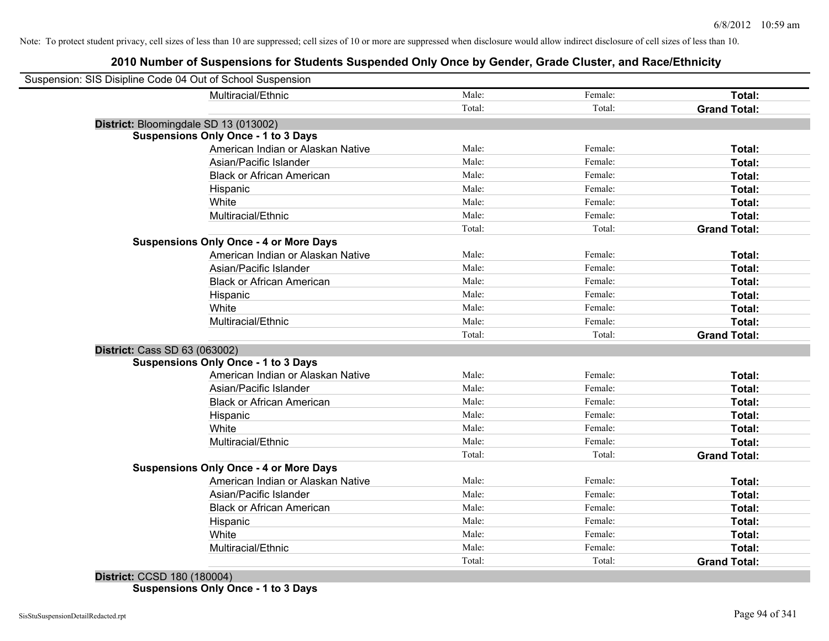| Suspension: SIS Disipline Code 04 Out of School Suspension |                                               |        |         |                     |
|------------------------------------------------------------|-----------------------------------------------|--------|---------|---------------------|
|                                                            | Multiracial/Ethnic                            | Male:  | Female: | Total:              |
|                                                            |                                               | Total: | Total:  | <b>Grand Total:</b> |
| District: Bloomingdale SD 13 (013002)                      |                                               |        |         |                     |
|                                                            | <b>Suspensions Only Once - 1 to 3 Days</b>    |        |         |                     |
|                                                            | American Indian or Alaskan Native             | Male:  | Female: | Total:              |
|                                                            | Asian/Pacific Islander                        | Male:  | Female: | Total:              |
|                                                            | <b>Black or African American</b>              | Male:  | Female: | Total:              |
|                                                            | Hispanic                                      | Male:  | Female: | Total:              |
|                                                            | White                                         | Male:  | Female: | Total:              |
|                                                            | Multiracial/Ethnic                            | Male:  | Female: | Total:              |
|                                                            |                                               | Total: | Total:  | <b>Grand Total:</b> |
|                                                            | <b>Suspensions Only Once - 4 or More Days</b> |        |         |                     |
|                                                            | American Indian or Alaskan Native             | Male:  | Female: | Total:              |
|                                                            | Asian/Pacific Islander                        | Male:  | Female: | Total:              |
|                                                            | <b>Black or African American</b>              | Male:  | Female: | Total:              |
|                                                            | Hispanic                                      | Male:  | Female: | Total:              |
|                                                            | White                                         | Male:  | Female: | Total:              |
|                                                            | Multiracial/Ethnic                            | Male:  | Female: | Total:              |
|                                                            |                                               | Total: | Total:  | <b>Grand Total:</b> |
| <b>District: Cass SD 63 (063002)</b>                       |                                               |        |         |                     |
|                                                            | <b>Suspensions Only Once - 1 to 3 Days</b>    |        |         |                     |
|                                                            | American Indian or Alaskan Native             | Male:  | Female: | Total:              |
|                                                            | Asian/Pacific Islander                        | Male:  | Female: | Total:              |
|                                                            | <b>Black or African American</b>              | Male:  | Female: | Total:              |
|                                                            | Hispanic                                      | Male:  | Female: | Total:              |
|                                                            | White                                         | Male:  | Female: | Total:              |
|                                                            | Multiracial/Ethnic                            | Male:  | Female: | Total:              |
|                                                            |                                               | Total: | Total:  | <b>Grand Total:</b> |
|                                                            | <b>Suspensions Only Once - 4 or More Days</b> |        |         |                     |
|                                                            | American Indian or Alaskan Native             | Male:  | Female: | Total:              |
|                                                            | Asian/Pacific Islander                        | Male:  | Female: | Total:              |
|                                                            | <b>Black or African American</b>              | Male:  | Female: | Total:              |
|                                                            | Hispanic                                      | Male:  | Female: | Total:              |
|                                                            | White                                         | Male:  | Female: | Total:              |
|                                                            | Multiracial/Ethnic                            | Male:  | Female: | Total:              |
|                                                            |                                               | Total: | Total:  | <b>Grand Total:</b> |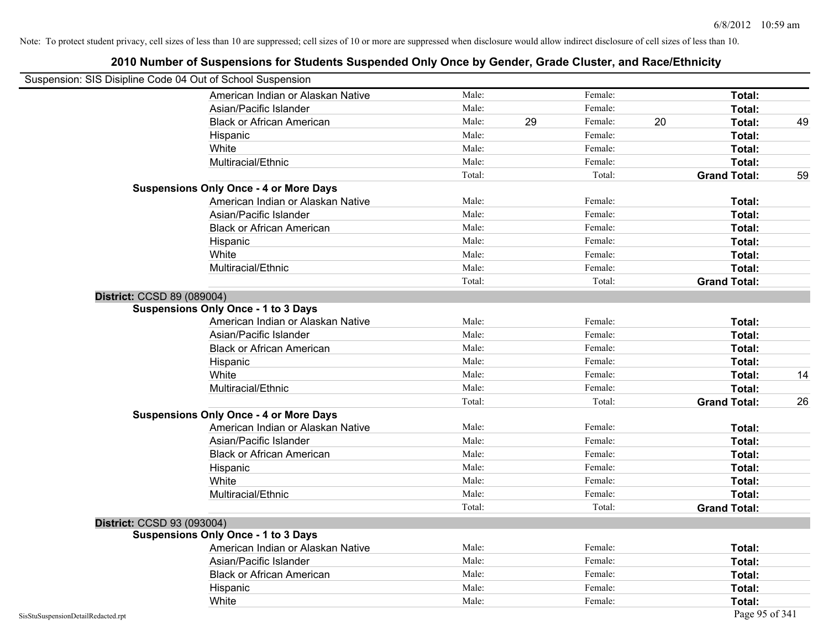|                                    | Suspension: SIS Disipline Code 04 Out of School Suspension<br>American Indian or Alaskan Native | Male:  |    | Female: |    | Total:              |    |
|------------------------------------|-------------------------------------------------------------------------------------------------|--------|----|---------|----|---------------------|----|
|                                    | Asian/Pacific Islander                                                                          | Male:  |    | Female: |    | Total:              |    |
|                                    | <b>Black or African American</b>                                                                | Male:  | 29 | Female: | 20 | Total:              | 49 |
|                                    |                                                                                                 | Male:  |    | Female: |    |                     |    |
|                                    | Hispanic                                                                                        | Male:  |    | Female: |    | Total:              |    |
|                                    | White                                                                                           | Male:  |    | Female: |    | <b>Total:</b>       |    |
|                                    | Multiracial/Ethnic                                                                              | Total: |    | Total:  |    | <b>Total:</b>       |    |
|                                    | <b>Suspensions Only Once - 4 or More Days</b>                                                   |        |    |         |    | <b>Grand Total:</b> | 59 |
|                                    | American Indian or Alaskan Native                                                               | Male:  |    | Female: |    | Total:              |    |
|                                    | Asian/Pacific Islander                                                                          | Male:  |    | Female: |    | <b>Total:</b>       |    |
|                                    | <b>Black or African American</b>                                                                | Male:  |    | Female: |    | Total:              |    |
|                                    | Hispanic                                                                                        | Male:  |    | Female: |    | Total:              |    |
|                                    | White                                                                                           | Male:  |    | Female: |    | Total:              |    |
|                                    | Multiracial/Ethnic                                                                              | Male:  |    | Female: |    | <b>Total:</b>       |    |
|                                    |                                                                                                 | Total: |    | Total:  |    | <b>Grand Total:</b> |    |
| District: CCSD 89 (089004)         |                                                                                                 |        |    |         |    |                     |    |
|                                    | <b>Suspensions Only Once - 1 to 3 Days</b>                                                      |        |    |         |    |                     |    |
|                                    | American Indian or Alaskan Native                                                               | Male:  |    | Female: |    | Total:              |    |
|                                    | Asian/Pacific Islander                                                                          | Male:  |    | Female: |    | <b>Total:</b>       |    |
|                                    | <b>Black or African American</b>                                                                | Male:  |    | Female: |    | Total:              |    |
|                                    | Hispanic                                                                                        | Male:  |    | Female: |    | <b>Total:</b>       |    |
|                                    | White                                                                                           | Male:  |    | Female: |    | <b>Total:</b>       | 14 |
|                                    | Multiracial/Ethnic                                                                              | Male:  |    | Female: |    | Total:              |    |
|                                    |                                                                                                 | Total: |    | Total:  |    | <b>Grand Total:</b> | 26 |
|                                    | <b>Suspensions Only Once - 4 or More Days</b>                                                   |        |    |         |    |                     |    |
|                                    | American Indian or Alaskan Native                                                               | Male:  |    | Female: |    | Total:              |    |
|                                    | Asian/Pacific Islander                                                                          | Male:  |    | Female: |    | Total:              |    |
|                                    | <b>Black or African American</b>                                                                | Male:  |    | Female: |    | Total:              |    |
|                                    | Hispanic                                                                                        | Male:  |    | Female: |    | Total:              |    |
|                                    | White                                                                                           | Male:  |    | Female: |    | <b>Total:</b>       |    |
|                                    | Multiracial/Ethnic                                                                              | Male:  |    | Female: |    | <b>Total:</b>       |    |
|                                    |                                                                                                 | Total: |    | Total:  |    | <b>Grand Total:</b> |    |
| District: CCSD 93 (093004)         |                                                                                                 |        |    |         |    |                     |    |
|                                    | <b>Suspensions Only Once - 1 to 3 Days</b>                                                      |        |    |         |    |                     |    |
|                                    | American Indian or Alaskan Native                                                               | Male:  |    | Female: |    | Total:              |    |
|                                    | Asian/Pacific Islander                                                                          | Male:  |    | Female: |    | Total:              |    |
|                                    | <b>Black or African American</b>                                                                | Male:  |    | Female: |    | Total:              |    |
|                                    | Hispanic                                                                                        | Male:  |    | Female: |    | Total:              |    |
|                                    | White                                                                                           | Male:  |    | Female: |    | Total:              |    |
| SisStuSuspensionDetailRedacted.rpt |                                                                                                 |        |    |         |    | Page 95 of 341      |    |

### **2010 Number of Suspensions for Students Suspended Only Once by Gender, Grade Cluster, and Race/Ethnicity**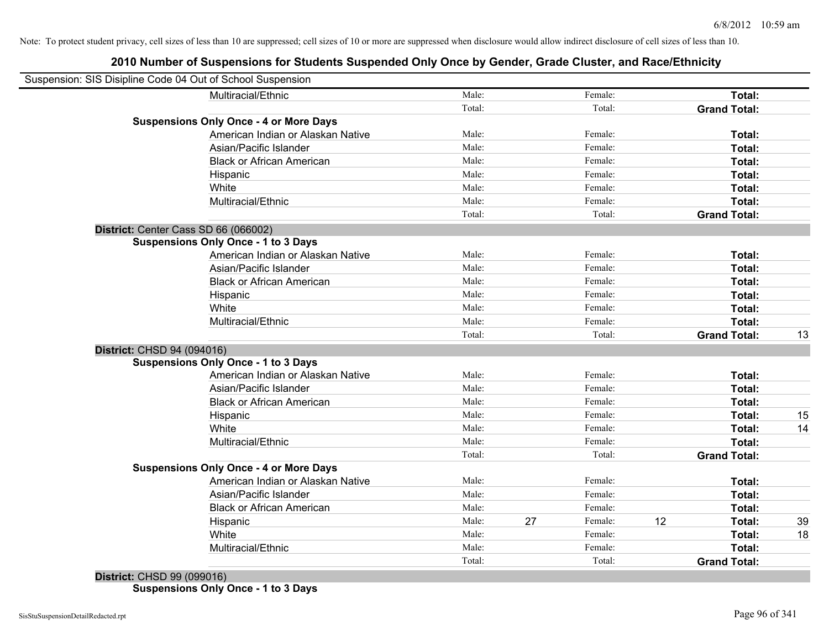| Suspension: SIS Disipline Code 04 Out of School Suspension |                                               |        |               |    |                     |    |
|------------------------------------------------------------|-----------------------------------------------|--------|---------------|----|---------------------|----|
|                                                            | Multiracial/Ethnic                            | Male:  | Female:       |    | Total:              |    |
|                                                            |                                               | Total: | Total:        |    | <b>Grand Total:</b> |    |
|                                                            | <b>Suspensions Only Once - 4 or More Days</b> |        |               |    |                     |    |
|                                                            | American Indian or Alaskan Native             | Male:  | Female:       |    | Total:              |    |
|                                                            | Asian/Pacific Islander                        | Male:  | Female:       |    | Total:              |    |
|                                                            | <b>Black or African American</b>              | Male:  | Female:       |    | Total:              |    |
|                                                            | Hispanic                                      | Male:  | Female:       |    | Total:              |    |
|                                                            | White                                         | Male:  | Female:       |    | Total:              |    |
|                                                            | Multiracial/Ethnic                            | Male:  | Female:       |    | Total:              |    |
|                                                            |                                               | Total: | Total:        |    | <b>Grand Total:</b> |    |
| District: Center Cass SD 66 (066002)                       |                                               |        |               |    |                     |    |
|                                                            | <b>Suspensions Only Once - 1 to 3 Days</b>    |        |               |    |                     |    |
|                                                            | American Indian or Alaskan Native             | Male:  | Female:       |    | Total:              |    |
|                                                            | Asian/Pacific Islander                        | Male:  | Female:       |    | Total:              |    |
|                                                            | <b>Black or African American</b>              | Male:  | Female:       |    | Total:              |    |
|                                                            | Hispanic                                      | Male:  | Female:       |    | Total:              |    |
|                                                            | White                                         | Male:  | Female:       |    | Total:              |    |
|                                                            | Multiracial/Ethnic                            | Male:  | Female:       |    | Total:              |    |
|                                                            |                                               | Total: | Total:        |    | <b>Grand Total:</b> | 13 |
| District: CHSD 94 (094016)                                 |                                               |        |               |    |                     |    |
|                                                            | <b>Suspensions Only Once - 1 to 3 Days</b>    |        |               |    |                     |    |
|                                                            | American Indian or Alaskan Native             | Male:  | Female:       |    | Total:              |    |
|                                                            | Asian/Pacific Islander                        | Male:  | Female:       |    | Total:              |    |
|                                                            | <b>Black or African American</b>              | Male:  | Female:       |    | Total:              |    |
|                                                            | Hispanic                                      | Male:  | Female:       |    | Total:              | 15 |
|                                                            | White                                         | Male:  | Female:       |    | Total:              | 14 |
|                                                            | Multiracial/Ethnic                            | Male:  | Female:       |    | Total:              |    |
|                                                            |                                               | Total: | Total:        |    | <b>Grand Total:</b> |    |
|                                                            | <b>Suspensions Only Once - 4 or More Days</b> |        |               |    |                     |    |
|                                                            | American Indian or Alaskan Native             | Male:  | Female:       |    | Total:              |    |
|                                                            | Asian/Pacific Islander                        | Male:  | Female:       |    | Total:              |    |
|                                                            | <b>Black or African American</b>              | Male:  | Female:       |    | Total:              |    |
|                                                            | Hispanic                                      | Male:  | 27<br>Female: | 12 | Total:              | 39 |
|                                                            | White                                         | Male:  | Female:       |    | Total:              | 18 |
|                                                            | Multiracial/Ethnic                            | Male:  | Female:       |    | Total:              |    |
|                                                            |                                               | Total: | Total:        |    | <b>Grand Total:</b> |    |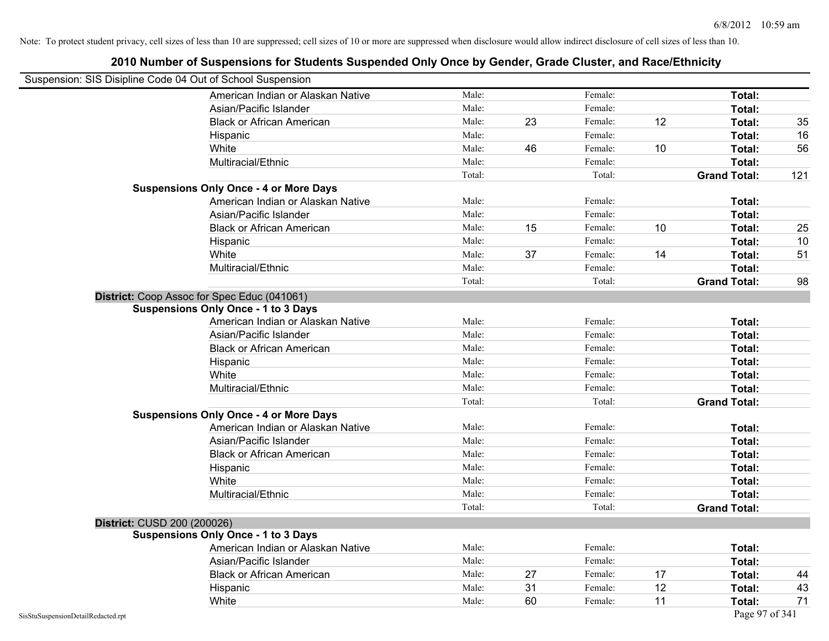|                                                            | 2010 Number of Suspensions for Students Suspended Only Once by Gender, Grade Cluster, and Race/Ethnicity |        |    |         |    |                     |     |
|------------------------------------------------------------|----------------------------------------------------------------------------------------------------------|--------|----|---------|----|---------------------|-----|
| Suspension: SIS Disipline Code 04 Out of School Suspension |                                                                                                          |        |    |         |    |                     |     |
|                                                            | American Indian or Alaskan Native                                                                        | Male:  |    | Female: |    | Total:              |     |
|                                                            | Asian/Pacific Islander                                                                                   | Male:  |    | Female: |    | Total:              |     |
|                                                            | <b>Black or African American</b>                                                                         | Male:  | 23 | Female: | 12 | Total:              | 35  |
|                                                            | Hispanic                                                                                                 | Male:  |    | Female: |    | Total:              | 16  |
|                                                            | White                                                                                                    | Male:  | 46 | Female: | 10 | Total:              | 56  |
|                                                            | Multiracial/Ethnic                                                                                       | Male:  |    | Female: |    | Total:              |     |
|                                                            |                                                                                                          | Total: |    | Total:  |    | <b>Grand Total:</b> | 121 |
|                                                            | <b>Suspensions Only Once - 4 or More Days</b>                                                            |        |    |         |    |                     |     |
|                                                            | American Indian or Alaskan Native                                                                        | Male:  |    | Female: |    | Total:              |     |
|                                                            | Asian/Pacific Islander                                                                                   | Male:  |    | Female: |    | Total:              |     |
|                                                            | <b>Black or African American</b>                                                                         | Male:  | 15 | Female: | 10 | Total:              | 25  |
|                                                            | Hispanic                                                                                                 | Male:  |    | Female: |    | Total:              | 10  |
|                                                            | White                                                                                                    | Male:  | 37 | Female: | 14 | Total:              | 51  |
|                                                            | Multiracial/Ethnic                                                                                       | Male:  |    | Female: |    | Total:              |     |
|                                                            |                                                                                                          | Total: |    | Total:  |    | <b>Grand Total:</b> | 98  |
|                                                            | District: Coop Assoc for Spec Educ (041061)                                                              |        |    |         |    |                     |     |
|                                                            | <b>Suspensions Only Once - 1 to 3 Days</b>                                                               |        |    |         |    |                     |     |
|                                                            | American Indian or Alaskan Native                                                                        | Male:  |    | Female: |    | Total:              |     |
|                                                            | Asian/Pacific Islander                                                                                   | Male:  |    | Female: |    | Total:              |     |
|                                                            | <b>Black or African American</b>                                                                         | Male:  |    | Female: |    | Total:              |     |
|                                                            | Hispanic                                                                                                 | Male:  |    | Female: |    | Total:              |     |
|                                                            | White                                                                                                    | Male:  |    | Female: |    | Total:              |     |
|                                                            | Multiracial/Ethnic                                                                                       | Male:  |    | Female: |    | Total:              |     |
|                                                            |                                                                                                          | Total: |    | Total:  |    | <b>Grand Total:</b> |     |
|                                                            | <b>Suspensions Only Once - 4 or More Days</b>                                                            |        |    |         |    |                     |     |
|                                                            | American Indian or Alaskan Native                                                                        | Male:  |    | Female: |    | Total:              |     |
|                                                            | Asian/Pacific Islander                                                                                   | Male:  |    | Female: |    | Total:              |     |
|                                                            | <b>Black or African American</b>                                                                         | Male:  |    | Female: |    | Total:              |     |
|                                                            | Hispanic                                                                                                 | Male:  |    | Female: |    | Total:              |     |
|                                                            | White                                                                                                    | Male:  |    | Female: |    | Total:              |     |
|                                                            | Multiracial/Ethnic                                                                                       | Male:  |    | Female: |    | Total:              |     |
|                                                            |                                                                                                          | Total: |    | Total:  |    | <b>Grand Total:</b> |     |
| District: CUSD 200 (200026)                                |                                                                                                          |        |    |         |    |                     |     |
|                                                            | <b>Suspensions Only Once - 1 to 3 Days</b>                                                               |        |    |         |    |                     |     |
|                                                            | American Indian or Alaskan Native                                                                        | Male:  |    | Female: |    | Total:              |     |
|                                                            | Asian/Pacific Islander                                                                                   | Male:  |    | Female: |    | Total:              |     |
|                                                            | <b>Black or African American</b>                                                                         | Male:  | 27 | Female: | 17 | Total:              | 44  |
|                                                            | Hispanic                                                                                                 | Male:  | 31 | Female: | 12 | Total:              | 43  |
|                                                            | White                                                                                                    | Male:  | 60 | Female: | 11 | Total:              | 71  |
| SisStuSuspensionDetailRedacted.rpt                         |                                                                                                          |        |    |         |    | Page 97 of 341      |     |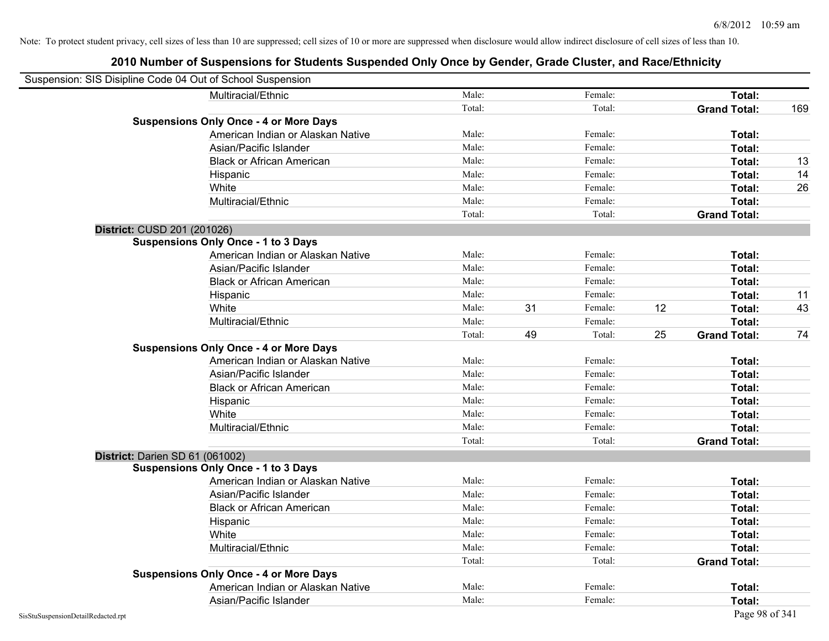| Suspension: SIS Disipline Code 04 Out of School Suspension |                                               |        |    |         |    |                     |     |
|------------------------------------------------------------|-----------------------------------------------|--------|----|---------|----|---------------------|-----|
|                                                            | Multiracial/Ethnic                            | Male:  |    | Female: |    | Total:              |     |
|                                                            |                                               | Total: |    | Total:  |    | <b>Grand Total:</b> | 169 |
|                                                            | <b>Suspensions Only Once - 4 or More Days</b> |        |    |         |    |                     |     |
|                                                            | American Indian or Alaskan Native             | Male:  |    | Female: |    | Total:              |     |
|                                                            | Asian/Pacific Islander                        | Male:  |    | Female: |    | Total:              |     |
|                                                            | <b>Black or African American</b>              | Male:  |    | Female: |    | Total:              | 13  |
|                                                            | Hispanic                                      | Male:  |    | Female: |    | Total:              | 14  |
|                                                            | White                                         | Male:  |    | Female: |    | Total:              | 26  |
|                                                            | Multiracial/Ethnic                            | Male:  |    | Female: |    | Total:              |     |
|                                                            |                                               | Total: |    | Total:  |    | <b>Grand Total:</b> |     |
| District: CUSD 201 (201026)                                |                                               |        |    |         |    |                     |     |
|                                                            | <b>Suspensions Only Once - 1 to 3 Days</b>    |        |    |         |    |                     |     |
|                                                            | American Indian or Alaskan Native             | Male:  |    | Female: |    | Total:              |     |
|                                                            | Asian/Pacific Islander                        | Male:  |    | Female: |    | Total:              |     |
|                                                            | <b>Black or African American</b>              | Male:  |    | Female: |    | Total:              |     |
|                                                            | Hispanic                                      | Male:  |    | Female: |    | Total:              | 11  |
|                                                            | White                                         | Male:  | 31 | Female: | 12 | Total:              | 43  |
|                                                            | Multiracial/Ethnic                            | Male:  |    | Female: |    | Total:              |     |
|                                                            |                                               | Total: | 49 | Total:  | 25 | <b>Grand Total:</b> | 74  |
|                                                            | <b>Suspensions Only Once - 4 or More Days</b> |        |    |         |    |                     |     |
|                                                            | American Indian or Alaskan Native             | Male:  |    | Female: |    | Total:              |     |
|                                                            | Asian/Pacific Islander                        | Male:  |    | Female: |    | Total:              |     |
|                                                            | <b>Black or African American</b>              | Male:  |    | Female: |    | Total:              |     |
|                                                            | Hispanic                                      | Male:  |    | Female: |    | Total:              |     |
|                                                            | White                                         | Male:  |    | Female: |    | Total:              |     |
|                                                            | Multiracial/Ethnic                            | Male:  |    | Female: |    | Total:              |     |
|                                                            |                                               | Total: |    | Total:  |    | <b>Grand Total:</b> |     |
| District: Darien SD 61 (061002)                            |                                               |        |    |         |    |                     |     |
|                                                            | <b>Suspensions Only Once - 1 to 3 Days</b>    |        |    |         |    |                     |     |
|                                                            | American Indian or Alaskan Native             | Male:  |    | Female: |    | Total:              |     |
|                                                            | Asian/Pacific Islander                        | Male:  |    | Female: |    | Total:              |     |
|                                                            | <b>Black or African American</b>              | Male:  |    | Female: |    | Total:              |     |
|                                                            | Hispanic                                      | Male:  |    | Female: |    | Total:              |     |
|                                                            | White                                         | Male:  |    | Female: |    | Total:              |     |
|                                                            | Multiracial/Ethnic                            | Male:  |    | Female: |    | Total:              |     |
|                                                            |                                               | Total: |    | Total:  |    | <b>Grand Total:</b> |     |
|                                                            | <b>Suspensions Only Once - 4 or More Days</b> |        |    |         |    |                     |     |
|                                                            | American Indian or Alaskan Native             | Male:  |    | Female: |    | <b>Total:</b>       |     |
|                                                            | Asian/Pacific Islander                        | Male:  |    | Female: |    | Total:              |     |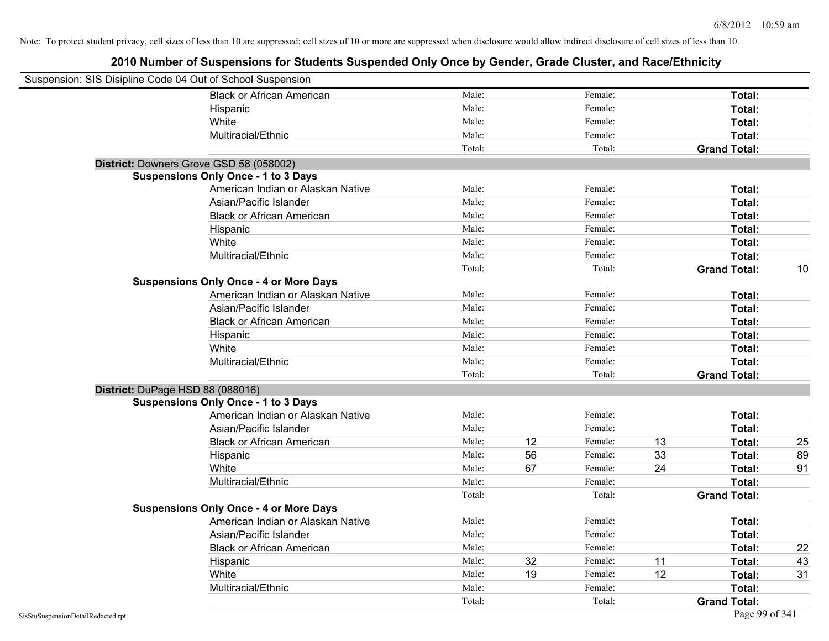| Suspension: SIS Disipline Code 04 Out of School Suspension |                                               |        |    |         |    |                     |    |
|------------------------------------------------------------|-----------------------------------------------|--------|----|---------|----|---------------------|----|
|                                                            | <b>Black or African American</b>              | Male:  |    | Female: |    | Total:              |    |
|                                                            | Hispanic                                      | Male:  |    | Female: |    | Total:              |    |
|                                                            | White                                         | Male:  |    | Female: |    | Total:              |    |
|                                                            | Multiracial/Ethnic                            | Male:  |    | Female: |    | Total:              |    |
|                                                            |                                               | Total: |    | Total:  |    | <b>Grand Total:</b> |    |
| District: Downers Grove GSD 58 (058002)                    |                                               |        |    |         |    |                     |    |
|                                                            | <b>Suspensions Only Once - 1 to 3 Days</b>    |        |    |         |    |                     |    |
|                                                            | American Indian or Alaskan Native             | Male:  |    | Female: |    | Total:              |    |
|                                                            | Asian/Pacific Islander                        | Male:  |    | Female: |    | Total:              |    |
|                                                            | <b>Black or African American</b>              | Male:  |    | Female: |    | Total:              |    |
|                                                            | Hispanic                                      | Male:  |    | Female: |    | Total:              |    |
|                                                            | White                                         | Male:  |    | Female: |    | Total:              |    |
|                                                            | Multiracial/Ethnic                            | Male:  |    | Female: |    | Total:              |    |
|                                                            |                                               | Total: |    | Total:  |    | <b>Grand Total:</b> | 10 |
|                                                            | <b>Suspensions Only Once - 4 or More Days</b> |        |    |         |    |                     |    |
|                                                            | American Indian or Alaskan Native             | Male:  |    | Female: |    | Total:              |    |
|                                                            | Asian/Pacific Islander                        | Male:  |    | Female: |    | Total:              |    |
|                                                            | <b>Black or African American</b>              | Male:  |    | Female: |    | Total:              |    |
|                                                            | Hispanic                                      | Male:  |    | Female: |    | Total:              |    |
|                                                            | White                                         | Male:  |    | Female: |    | Total:              |    |
|                                                            | Multiracial/Ethnic                            | Male:  |    | Female: |    | Total:              |    |
|                                                            |                                               | Total: |    | Total:  |    | <b>Grand Total:</b> |    |
| District: DuPage HSD 88 (088016)                           |                                               |        |    |         |    |                     |    |
|                                                            | <b>Suspensions Only Once - 1 to 3 Days</b>    |        |    |         |    |                     |    |
|                                                            | American Indian or Alaskan Native             | Male:  |    | Female: |    | Total:              |    |
|                                                            | Asian/Pacific Islander                        | Male:  |    | Female: |    | Total:              |    |
|                                                            | <b>Black or African American</b>              | Male:  | 12 | Female: | 13 | Total:              | 25 |
|                                                            | Hispanic                                      | Male:  | 56 | Female: | 33 | Total:              | 89 |
|                                                            | White                                         | Male:  | 67 | Female: | 24 | Total:              | 91 |
|                                                            | Multiracial/Ethnic                            | Male:  |    | Female: |    | Total:              |    |
|                                                            |                                               | Total: |    | Total:  |    | <b>Grand Total:</b> |    |
|                                                            | <b>Suspensions Only Once - 4 or More Days</b> |        |    |         |    |                     |    |
|                                                            | American Indian or Alaskan Native             | Male:  |    | Female: |    | Total:              |    |
|                                                            | Asian/Pacific Islander                        | Male:  |    | Female: |    | Total:              |    |
|                                                            | <b>Black or African American</b>              | Male:  |    | Female: |    | Total:              | 22 |
|                                                            | Hispanic                                      | Male:  | 32 | Female: | 11 | Total:              | 43 |
|                                                            | White                                         | Male:  | 19 | Female: | 12 | Total:              | 31 |
|                                                            | Multiracial/Ethnic                            | Male:  |    | Female: |    | Total:              |    |
|                                                            |                                               | Total: |    | Total:  |    | <b>Grand Total:</b> |    |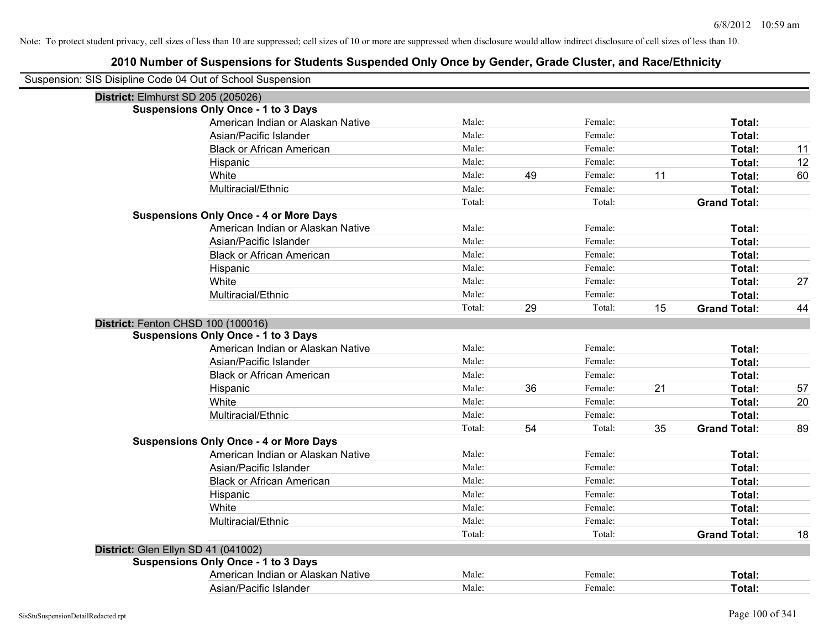| Suspension: SIS Disipline Code 04 Out of School Suspension |                                               |        |    |         |    |                     |    |
|------------------------------------------------------------|-----------------------------------------------|--------|----|---------|----|---------------------|----|
| District: Elmhurst SD 205 (205026)                         |                                               |        |    |         |    |                     |    |
|                                                            | <b>Suspensions Only Once - 1 to 3 Days</b>    |        |    |         |    |                     |    |
|                                                            | American Indian or Alaskan Native             | Male:  |    | Female: |    | Total:              |    |
|                                                            | Asian/Pacific Islander                        | Male:  |    | Female: |    | Total:              |    |
|                                                            | <b>Black or African American</b>              | Male:  |    | Female: |    | <b>Total:</b>       | 11 |
|                                                            | Hispanic                                      | Male:  |    | Female: |    | Total:              | 12 |
|                                                            | White                                         | Male:  | 49 | Female: | 11 | Total:              | 60 |
|                                                            | Multiracial/Ethnic                            | Male:  |    | Female: |    | Total:              |    |
|                                                            |                                               | Total: |    | Total:  |    | <b>Grand Total:</b> |    |
|                                                            | <b>Suspensions Only Once - 4 or More Days</b> |        |    |         |    |                     |    |
|                                                            | American Indian or Alaskan Native             | Male:  |    | Female: |    | Total:              |    |
|                                                            | Asian/Pacific Islander                        | Male:  |    | Female: |    | Total:              |    |
|                                                            | <b>Black or African American</b>              | Male:  |    | Female: |    | Total:              |    |
|                                                            | Hispanic                                      | Male:  |    | Female: |    | Total:              |    |
|                                                            | White                                         | Male:  |    | Female: |    | Total:              | 27 |
|                                                            | Multiracial/Ethnic                            | Male:  |    | Female: |    | Total:              |    |
|                                                            |                                               | Total: | 29 | Total:  | 15 | <b>Grand Total:</b> | 44 |
| District: Fenton CHSD 100 (100016)                         |                                               |        |    |         |    |                     |    |
|                                                            | <b>Suspensions Only Once - 1 to 3 Days</b>    |        |    |         |    |                     |    |
|                                                            | American Indian or Alaskan Native             | Male:  |    | Female: |    | Total:              |    |
|                                                            | Asian/Pacific Islander                        | Male:  |    | Female: |    | Total:              |    |
|                                                            | <b>Black or African American</b>              | Male:  |    | Female: |    | Total:              |    |
|                                                            | Hispanic                                      | Male:  | 36 | Female: | 21 | Total:              | 57 |
|                                                            | White                                         | Male:  |    | Female: |    | Total:              | 20 |
|                                                            | Multiracial/Ethnic                            | Male:  |    | Female: |    | Total:              |    |
|                                                            |                                               | Total: | 54 | Total:  | 35 | <b>Grand Total:</b> | 89 |
|                                                            | <b>Suspensions Only Once - 4 or More Days</b> |        |    |         |    |                     |    |
|                                                            | American Indian or Alaskan Native             | Male:  |    | Female: |    | Total:              |    |
|                                                            | Asian/Pacific Islander                        | Male:  |    | Female: |    | Total:              |    |
|                                                            | <b>Black or African American</b>              | Male:  |    | Female: |    | Total:              |    |
|                                                            | Hispanic                                      | Male:  |    | Female: |    | Total:              |    |
|                                                            | White                                         | Male:  |    | Female: |    | Total:              |    |
|                                                            | Multiracial/Ethnic                            | Male:  |    | Female: |    | Total:              |    |
|                                                            |                                               | Total: |    | Total:  |    | <b>Grand Total:</b> | 18 |
| District: Glen Ellyn SD 41 (041002)                        |                                               |        |    |         |    |                     |    |
|                                                            | <b>Suspensions Only Once - 1 to 3 Days</b>    |        |    |         |    |                     |    |
|                                                            | American Indian or Alaskan Native             | Male:  |    | Female: |    | Total:              |    |
|                                                            | Asian/Pacific Islander                        | Male:  |    | Female: |    | Total:              |    |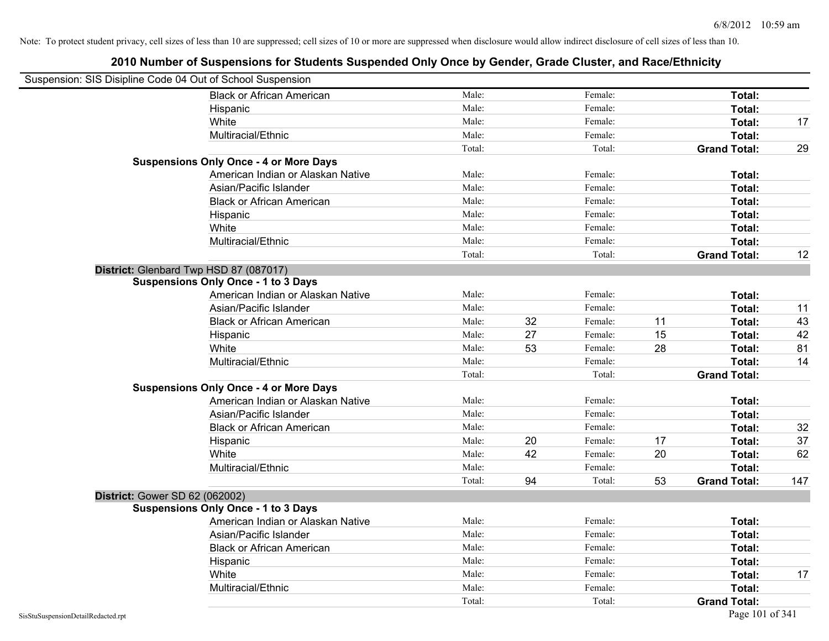| Suspension: SIS Disipline Code 04 Out of School Suspension |                                               |        |    |         |    |                     |     |
|------------------------------------------------------------|-----------------------------------------------|--------|----|---------|----|---------------------|-----|
|                                                            | <b>Black or African American</b>              | Male:  |    | Female: |    | Total:              |     |
|                                                            | Hispanic                                      | Male:  |    | Female: |    | Total:              |     |
|                                                            | White                                         | Male:  |    | Female: |    | Total:              | 17  |
|                                                            | Multiracial/Ethnic                            | Male:  |    | Female: |    | Total:              |     |
|                                                            |                                               | Total: |    | Total:  |    | <b>Grand Total:</b> | 29  |
|                                                            | <b>Suspensions Only Once - 4 or More Days</b> |        |    |         |    |                     |     |
|                                                            | American Indian or Alaskan Native             | Male:  |    | Female: |    | Total:              |     |
|                                                            | Asian/Pacific Islander                        | Male:  |    | Female: |    | Total:              |     |
|                                                            | <b>Black or African American</b>              | Male:  |    | Female: |    | Total:              |     |
|                                                            | Hispanic                                      | Male:  |    | Female: |    | Total:              |     |
|                                                            | White                                         | Male:  |    | Female: |    | Total:              |     |
|                                                            | Multiracial/Ethnic                            | Male:  |    | Female: |    | Total:              |     |
|                                                            |                                               | Total: |    | Total:  |    | <b>Grand Total:</b> | 12  |
|                                                            | District: Glenbard Twp HSD 87 (087017)        |        |    |         |    |                     |     |
|                                                            | <b>Suspensions Only Once - 1 to 3 Days</b>    |        |    |         |    |                     |     |
|                                                            | American Indian or Alaskan Native             | Male:  |    | Female: |    | Total:              |     |
|                                                            | Asian/Pacific Islander                        | Male:  |    | Female: |    | Total:              | 11  |
|                                                            | <b>Black or African American</b>              | Male:  | 32 | Female: | 11 | Total:              | 43  |
|                                                            | Hispanic                                      | Male:  | 27 | Female: | 15 | Total:              | 42  |
|                                                            | White                                         | Male:  | 53 | Female: | 28 | Total:              | 81  |
|                                                            | Multiracial/Ethnic                            | Male:  |    | Female: |    | Total:              | 14  |
|                                                            |                                               | Total: |    | Total:  |    | <b>Grand Total:</b> |     |
|                                                            | <b>Suspensions Only Once - 4 or More Days</b> |        |    |         |    |                     |     |
|                                                            | American Indian or Alaskan Native             | Male:  |    | Female: |    | Total:              |     |
|                                                            | Asian/Pacific Islander                        | Male:  |    | Female: |    | Total:              |     |
|                                                            | <b>Black or African American</b>              | Male:  |    | Female: |    | Total:              | 32  |
|                                                            | Hispanic                                      | Male:  | 20 | Female: | 17 | Total:              | 37  |
|                                                            | White                                         | Male:  | 42 | Female: | 20 | Total:              | 62  |
|                                                            | Multiracial/Ethnic                            | Male:  |    | Female: |    | Total:              |     |
|                                                            |                                               | Total: | 94 | Total:  | 53 | <b>Grand Total:</b> | 147 |
| District: Gower SD 62 (062002)                             |                                               |        |    |         |    |                     |     |
|                                                            | <b>Suspensions Only Once - 1 to 3 Days</b>    |        |    |         |    |                     |     |
|                                                            | American Indian or Alaskan Native             | Male:  |    | Female: |    | Total:              |     |
|                                                            | Asian/Pacific Islander                        | Male:  |    | Female: |    | Total:              |     |
|                                                            | <b>Black or African American</b>              | Male:  |    | Female: |    | Total:              |     |
|                                                            | Hispanic                                      | Male:  |    | Female: |    | Total:              |     |
|                                                            | White                                         | Male:  |    | Female: |    | Total:              | 17  |
|                                                            | Multiracial/Ethnic                            | Male:  |    | Female: |    | Total:              |     |
|                                                            |                                               | Total: |    | Total:  |    | <b>Grand Total:</b> |     |
| SisStuSuspensionDetailRedacted.rpt                         |                                               |        |    |         |    | Page 101 of 341     |     |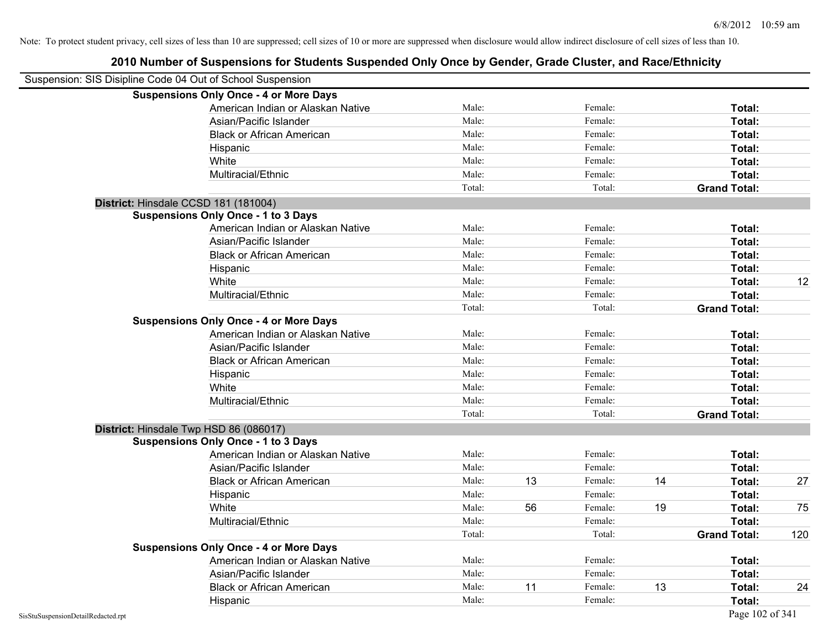| Suspension: SIS Disipline Code 04 Out of School Suspension |                                               |        |    |         |    |                     |     |
|------------------------------------------------------------|-----------------------------------------------|--------|----|---------|----|---------------------|-----|
|                                                            | <b>Suspensions Only Once - 4 or More Days</b> |        |    |         |    |                     |     |
|                                                            | American Indian or Alaskan Native             | Male:  |    | Female: |    | Total:              |     |
|                                                            | Asian/Pacific Islander                        | Male:  |    | Female: |    | Total:              |     |
|                                                            | <b>Black or African American</b>              | Male:  |    | Female: |    | Total:              |     |
|                                                            | Hispanic                                      | Male:  |    | Female: |    | Total:              |     |
|                                                            | White                                         | Male:  |    | Female: |    | Total:              |     |
|                                                            | Multiracial/Ethnic                            | Male:  |    | Female: |    | Total:              |     |
|                                                            |                                               | Total: |    | Total:  |    | <b>Grand Total:</b> |     |
| District: Hinsdale CCSD 181 (181004)                       |                                               |        |    |         |    |                     |     |
|                                                            | <b>Suspensions Only Once - 1 to 3 Days</b>    |        |    |         |    |                     |     |
|                                                            | American Indian or Alaskan Native             | Male:  |    | Female: |    | Total:              |     |
|                                                            | Asian/Pacific Islander                        | Male:  |    | Female: |    | Total:              |     |
|                                                            | <b>Black or African American</b>              | Male:  |    | Female: |    | Total:              |     |
|                                                            | Hispanic                                      | Male:  |    | Female: |    | Total:              |     |
|                                                            | White                                         | Male:  |    | Female: |    | Total:              | 12  |
|                                                            | Multiracial/Ethnic                            | Male:  |    | Female: |    | <b>Total:</b>       |     |
|                                                            |                                               | Total: |    | Total:  |    | <b>Grand Total:</b> |     |
|                                                            | <b>Suspensions Only Once - 4 or More Days</b> |        |    |         |    |                     |     |
|                                                            | American Indian or Alaskan Native             | Male:  |    | Female: |    | Total:              |     |
|                                                            | Asian/Pacific Islander                        | Male:  |    | Female: |    | Total:              |     |
|                                                            | <b>Black or African American</b>              | Male:  |    | Female: |    | Total:              |     |
|                                                            | Hispanic                                      | Male:  |    | Female: |    | Total:              |     |
|                                                            | White                                         | Male:  |    | Female: |    | Total:              |     |
|                                                            | Multiracial/Ethnic                            | Male:  |    | Female: |    | Total:              |     |
|                                                            |                                               | Total: |    | Total:  |    | <b>Grand Total:</b> |     |
| District: Hinsdale Twp HSD 86 (086017)                     |                                               |        |    |         |    |                     |     |
|                                                            | <b>Suspensions Only Once - 1 to 3 Days</b>    |        |    |         |    |                     |     |
|                                                            | American Indian or Alaskan Native             | Male:  |    | Female: |    | <b>Total:</b>       |     |
|                                                            | Asian/Pacific Islander                        | Male:  |    | Female: |    | Total:              |     |
|                                                            | <b>Black or African American</b>              | Male:  | 13 | Female: | 14 | Total:              | 27  |
|                                                            | Hispanic                                      | Male:  |    | Female: |    | Total:              |     |
|                                                            | White                                         | Male:  | 56 | Female: | 19 | Total:              | 75  |
|                                                            | Multiracial/Ethnic                            | Male:  |    | Female: |    | Total:              |     |
|                                                            |                                               | Total: |    | Total:  |    | <b>Grand Total:</b> | 120 |
|                                                            | <b>Suspensions Only Once - 4 or More Days</b> |        |    |         |    |                     |     |
|                                                            | American Indian or Alaskan Native             | Male:  |    | Female: |    | Total:              |     |
|                                                            | Asian/Pacific Islander                        | Male:  |    | Female: |    | Total:              |     |
|                                                            | <b>Black or African American</b>              | Male:  | 11 | Female: | 13 | Total:              | 24  |
|                                                            | Hispanic                                      | Male:  |    | Female: |    | Total:              |     |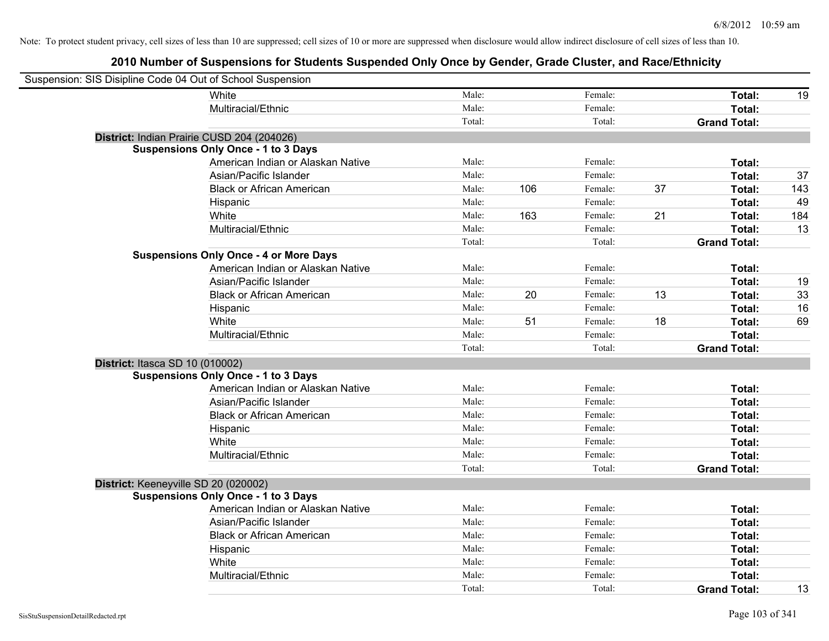| Suspension: SIS Disipline Code 04 Out of School Suspension |                                               |        |     |         |    |                     |     |
|------------------------------------------------------------|-----------------------------------------------|--------|-----|---------|----|---------------------|-----|
|                                                            | <b>White</b>                                  | Male:  |     | Female: |    | Total:              | 19  |
|                                                            | Multiracial/Ethnic                            | Male:  |     | Female: |    | Total:              |     |
|                                                            |                                               | Total: |     | Total:  |    | <b>Grand Total:</b> |     |
| District: Indian Prairie CUSD 204 (204026)                 |                                               |        |     |         |    |                     |     |
|                                                            | <b>Suspensions Only Once - 1 to 3 Days</b>    |        |     |         |    |                     |     |
|                                                            | American Indian or Alaskan Native             | Male:  |     | Female: |    | Total:              |     |
|                                                            | Asian/Pacific Islander                        | Male:  |     | Female: |    | Total:              | 37  |
|                                                            | <b>Black or African American</b>              | Male:  | 106 | Female: | 37 | Total:              | 143 |
|                                                            | Hispanic                                      | Male:  |     | Female: |    | Total:              | 49  |
|                                                            | White                                         | Male:  | 163 | Female: | 21 | Total:              | 184 |
|                                                            | Multiracial/Ethnic                            | Male:  |     | Female: |    | Total:              | 13  |
|                                                            |                                               | Total: |     | Total:  |    | <b>Grand Total:</b> |     |
|                                                            | <b>Suspensions Only Once - 4 or More Days</b> |        |     |         |    |                     |     |
|                                                            | American Indian or Alaskan Native             | Male:  |     | Female: |    | Total:              |     |
|                                                            | Asian/Pacific Islander                        | Male:  |     | Female: |    | Total:              | 19  |
|                                                            | <b>Black or African American</b>              | Male:  | 20  | Female: | 13 | Total:              | 33  |
|                                                            | Hispanic                                      | Male:  |     | Female: |    | Total:              | 16  |
|                                                            | White                                         | Male:  | 51  | Female: | 18 | Total:              | 69  |
|                                                            | Multiracial/Ethnic                            | Male:  |     | Female: |    | Total:              |     |
|                                                            |                                               | Total: |     | Total:  |    | <b>Grand Total:</b> |     |
| District: Itasca SD 10 (010002)                            |                                               |        |     |         |    |                     |     |
|                                                            | <b>Suspensions Only Once - 1 to 3 Days</b>    |        |     |         |    |                     |     |
|                                                            | American Indian or Alaskan Native             | Male:  |     | Female: |    | Total:              |     |
|                                                            | Asian/Pacific Islander                        | Male:  |     | Female: |    | Total:              |     |
|                                                            | <b>Black or African American</b>              | Male:  |     | Female: |    | Total:              |     |
|                                                            | Hispanic                                      | Male:  |     | Female: |    | Total:              |     |
|                                                            | White                                         | Male:  |     | Female: |    | Total:              |     |
|                                                            | Multiracial/Ethnic                            | Male:  |     | Female: |    | Total:              |     |
|                                                            |                                               | Total: |     | Total:  |    | <b>Grand Total:</b> |     |
| District: Keeneyville SD 20 (020002)                       |                                               |        |     |         |    |                     |     |
|                                                            | <b>Suspensions Only Once - 1 to 3 Days</b>    |        |     |         |    |                     |     |
|                                                            | American Indian or Alaskan Native             | Male:  |     | Female: |    | Total:              |     |
|                                                            | Asian/Pacific Islander                        | Male:  |     | Female: |    | Total:              |     |
|                                                            | <b>Black or African American</b>              | Male:  |     | Female: |    | Total:              |     |
|                                                            | Hispanic                                      | Male:  |     | Female: |    | Total:              |     |
|                                                            | White                                         | Male:  |     | Female: |    | Total:              |     |
|                                                            | Multiracial/Ethnic                            | Male:  |     | Female: |    | Total:              |     |
|                                                            |                                               | Total: |     | Total:  |    | <b>Grand Total:</b> | 13  |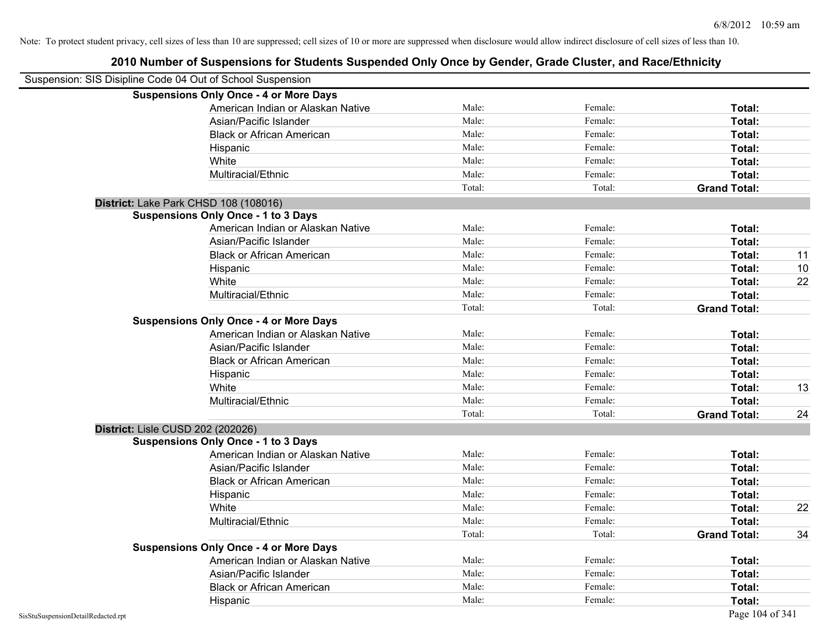| Suspension: SIS Disipline Code 04 Out of School Suspension |                                               |        |         |                     |    |
|------------------------------------------------------------|-----------------------------------------------|--------|---------|---------------------|----|
|                                                            | <b>Suspensions Only Once - 4 or More Days</b> |        |         |                     |    |
|                                                            | American Indian or Alaskan Native             | Male:  | Female: | Total:              |    |
|                                                            | Asian/Pacific Islander                        | Male:  | Female: | Total:              |    |
|                                                            | <b>Black or African American</b>              | Male:  | Female: | Total:              |    |
|                                                            | Hispanic                                      | Male:  | Female: | Total:              |    |
|                                                            | White                                         | Male:  | Female: | Total:              |    |
|                                                            | Multiracial/Ethnic                            | Male:  | Female: | Total:              |    |
|                                                            |                                               | Total: | Total:  | <b>Grand Total:</b> |    |
|                                                            | District: Lake Park CHSD 108 (108016)         |        |         |                     |    |
|                                                            | <b>Suspensions Only Once - 1 to 3 Days</b>    |        |         |                     |    |
|                                                            | American Indian or Alaskan Native             | Male:  | Female: | <b>Total:</b>       |    |
|                                                            | Asian/Pacific Islander                        | Male:  | Female: | Total:              |    |
|                                                            | <b>Black or African American</b>              | Male:  | Female: | Total:              | 11 |
|                                                            | Hispanic                                      | Male:  | Female: | Total:              | 10 |
|                                                            | White                                         | Male:  | Female: | Total:              | 22 |
|                                                            | Multiracial/Ethnic                            | Male:  | Female: | Total:              |    |
|                                                            |                                               | Total: | Total:  | <b>Grand Total:</b> |    |
|                                                            | <b>Suspensions Only Once - 4 or More Days</b> |        |         |                     |    |
|                                                            | American Indian or Alaskan Native             | Male:  | Female: | Total:              |    |
|                                                            | Asian/Pacific Islander                        | Male:  | Female: | Total:              |    |
|                                                            | <b>Black or African American</b>              | Male:  | Female: | Total:              |    |
|                                                            | Hispanic                                      | Male:  | Female: | Total:              |    |
|                                                            | White                                         | Male:  | Female: | Total:              | 13 |
|                                                            | Multiracial/Ethnic                            | Male:  | Female: | Total:              |    |
|                                                            |                                               | Total: | Total:  | <b>Grand Total:</b> | 24 |
| District: Lisle CUSD 202 (202026)                          |                                               |        |         |                     |    |
|                                                            | <b>Suspensions Only Once - 1 to 3 Days</b>    |        |         |                     |    |
|                                                            | American Indian or Alaskan Native             | Male:  | Female: | Total:              |    |
|                                                            | Asian/Pacific Islander                        | Male:  | Female: | Total:              |    |
|                                                            | <b>Black or African American</b>              | Male:  | Female: | Total:              |    |
|                                                            | Hispanic                                      | Male:  | Female: | Total:              |    |
|                                                            | White                                         | Male:  | Female: | Total:              | 22 |
|                                                            | Multiracial/Ethnic                            | Male:  | Female: | <b>Total:</b>       |    |
|                                                            |                                               | Total: | Total:  | <b>Grand Total:</b> | 34 |
|                                                            | <b>Suspensions Only Once - 4 or More Days</b> |        |         |                     |    |
|                                                            | American Indian or Alaskan Native             | Male:  | Female: | Total:              |    |
|                                                            | Asian/Pacific Islander                        | Male:  | Female: | Total:              |    |
|                                                            | <b>Black or African American</b>              | Male:  | Female: | Total:              |    |
|                                                            | Hispanic                                      | Male:  | Female: | Total:              |    |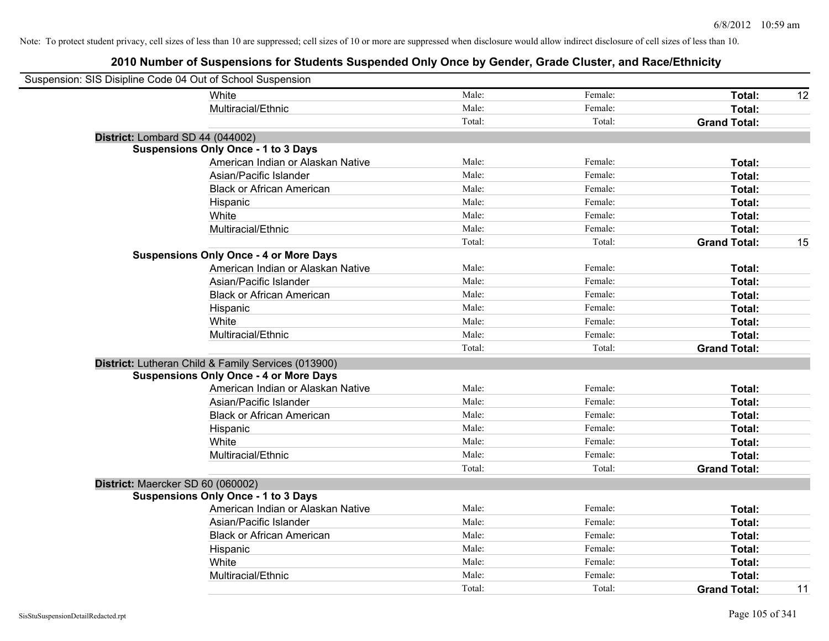| Suspension: SIS Disipline Code 04 Out of School Suspension |                                                     |        |         |                     |    |
|------------------------------------------------------------|-----------------------------------------------------|--------|---------|---------------------|----|
|                                                            | White                                               | Male:  | Female: | Total:              | 12 |
|                                                            | Multiracial/Ethnic                                  | Male:  | Female: | Total:              |    |
|                                                            |                                                     | Total: | Total:  | <b>Grand Total:</b> |    |
| District: Lombard SD 44 (044002)                           |                                                     |        |         |                     |    |
|                                                            | <b>Suspensions Only Once - 1 to 3 Days</b>          |        |         |                     |    |
|                                                            | American Indian or Alaskan Native                   | Male:  | Female: | Total:              |    |
|                                                            | Asian/Pacific Islander                              | Male:  | Female: | Total:              |    |
|                                                            | <b>Black or African American</b>                    | Male:  | Female: | Total:              |    |
|                                                            | Hispanic                                            | Male:  | Female: | Total:              |    |
|                                                            | White                                               | Male:  | Female: | Total:              |    |
|                                                            | Multiracial/Ethnic                                  | Male:  | Female: | Total:              |    |
|                                                            |                                                     | Total: | Total:  | <b>Grand Total:</b> | 15 |
|                                                            | <b>Suspensions Only Once - 4 or More Days</b>       |        |         |                     |    |
|                                                            | American Indian or Alaskan Native                   | Male:  | Female: | Total:              |    |
|                                                            | Asian/Pacific Islander                              | Male:  | Female: | Total:              |    |
|                                                            | <b>Black or African American</b>                    | Male:  | Female: | Total:              |    |
|                                                            | Hispanic                                            | Male:  | Female: | Total:              |    |
|                                                            | White                                               | Male:  | Female: | Total:              |    |
|                                                            | Multiracial/Ethnic                                  | Male:  | Female: | Total:              |    |
|                                                            |                                                     | Total: | Total:  | <b>Grand Total:</b> |    |
|                                                            | District: Lutheran Child & Family Services (013900) |        |         |                     |    |
|                                                            | <b>Suspensions Only Once - 4 or More Days</b>       |        |         |                     |    |
|                                                            | American Indian or Alaskan Native                   | Male:  | Female: | Total:              |    |
|                                                            | Asian/Pacific Islander                              | Male:  | Female: | Total:              |    |
|                                                            | <b>Black or African American</b>                    | Male:  | Female: | Total:              |    |
|                                                            | Hispanic                                            | Male:  | Female: | Total:              |    |
|                                                            | White                                               | Male:  | Female: | Total:              |    |
|                                                            | Multiracial/Ethnic                                  | Male:  | Female: | Total:              |    |
|                                                            |                                                     | Total: | Total:  | <b>Grand Total:</b> |    |
| District: Maercker SD 60 (060002)                          |                                                     |        |         |                     |    |
|                                                            | <b>Suspensions Only Once - 1 to 3 Days</b>          |        |         |                     |    |
|                                                            | American Indian or Alaskan Native                   | Male:  | Female: | Total:              |    |
|                                                            | Asian/Pacific Islander                              | Male:  | Female: | Total:              |    |
|                                                            | <b>Black or African American</b>                    | Male:  | Female: | Total:              |    |
|                                                            | Hispanic                                            | Male:  | Female: | Total:              |    |
|                                                            | White                                               | Male:  | Female: | Total:              |    |
|                                                            | Multiracial/Ethnic                                  | Male:  | Female: | Total:              |    |
|                                                            |                                                     | Total: | Total:  | <b>Grand Total:</b> | 11 |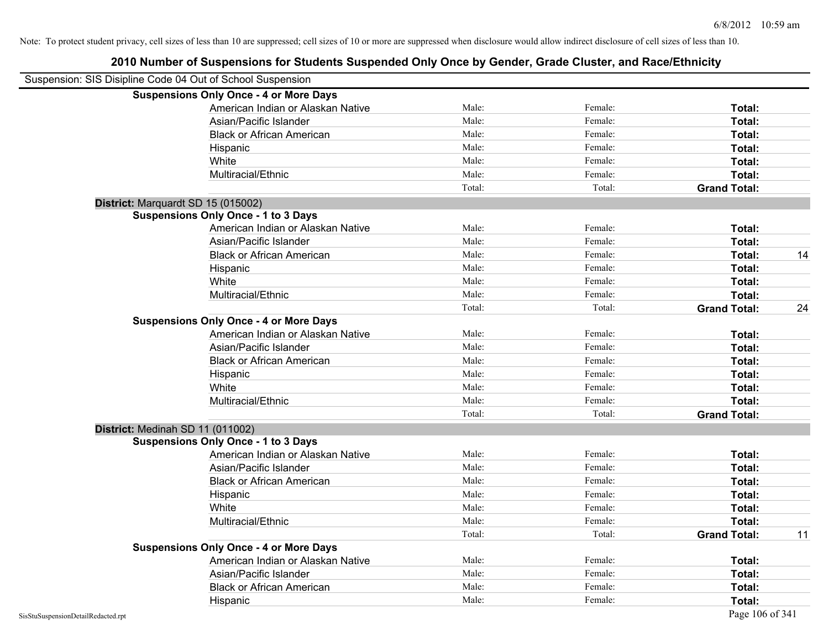| Suspension: SIS Disipline Code 04 Out of School Suspension |        |         |                     |    |
|------------------------------------------------------------|--------|---------|---------------------|----|
| <b>Suspensions Only Once - 4 or More Days</b>              |        |         |                     |    |
| American Indian or Alaskan Native                          | Male:  | Female: | Total:              |    |
| Asian/Pacific Islander                                     | Male:  | Female: | Total:              |    |
| <b>Black or African American</b>                           | Male:  | Female: | Total:              |    |
| Hispanic                                                   | Male:  | Female: | Total:              |    |
| White                                                      | Male:  | Female: | Total:              |    |
| Multiracial/Ethnic                                         | Male:  | Female: | Total:              |    |
|                                                            | Total: | Total:  | <b>Grand Total:</b> |    |
| District: Marquardt SD 15 (015002)                         |        |         |                     |    |
| <b>Suspensions Only Once - 1 to 3 Days</b>                 |        |         |                     |    |
| American Indian or Alaskan Native                          | Male:  | Female: | Total:              |    |
| Asian/Pacific Islander                                     | Male:  | Female: | Total:              |    |
| <b>Black or African American</b>                           | Male:  | Female: | Total:              | 14 |
| Hispanic                                                   | Male:  | Female: | Total:              |    |
| White                                                      | Male:  | Female: | Total:              |    |
| Multiracial/Ethnic                                         | Male:  | Female: | Total:              |    |
|                                                            | Total: | Total:  | <b>Grand Total:</b> | 24 |
| <b>Suspensions Only Once - 4 or More Days</b>              |        |         |                     |    |
| American Indian or Alaskan Native                          | Male:  | Female: | Total:              |    |
| Asian/Pacific Islander                                     | Male:  | Female: | Total:              |    |
| <b>Black or African American</b>                           | Male:  | Female: | Total:              |    |
| Hispanic                                                   | Male:  | Female: | Total:              |    |
| White                                                      | Male:  | Female: | Total:              |    |
| Multiracial/Ethnic                                         | Male:  | Female: | Total:              |    |
|                                                            | Total: | Total:  | <b>Grand Total:</b> |    |
| District: Medinah SD 11 (011002)                           |        |         |                     |    |
| <b>Suspensions Only Once - 1 to 3 Days</b>                 |        |         |                     |    |
| American Indian or Alaskan Native                          | Male:  | Female: | Total:              |    |
| Asian/Pacific Islander                                     | Male:  | Female: | Total:              |    |
| <b>Black or African American</b>                           | Male:  | Female: | Total:              |    |
| Hispanic                                                   | Male:  | Female: | Total:              |    |
| White                                                      | Male:  | Female: | Total:              |    |
| Multiracial/Ethnic                                         | Male:  | Female: | Total:              |    |
|                                                            | Total: | Total:  | <b>Grand Total:</b> | 11 |
| <b>Suspensions Only Once - 4 or More Days</b>              |        |         |                     |    |
| American Indian or Alaskan Native                          | Male:  | Female: | Total:              |    |
| Asian/Pacific Islander                                     | Male:  | Female: | Total:              |    |
| <b>Black or African American</b>                           | Male:  | Female: | Total:              |    |
| Hispanic                                                   | Male:  | Female: | Total:              |    |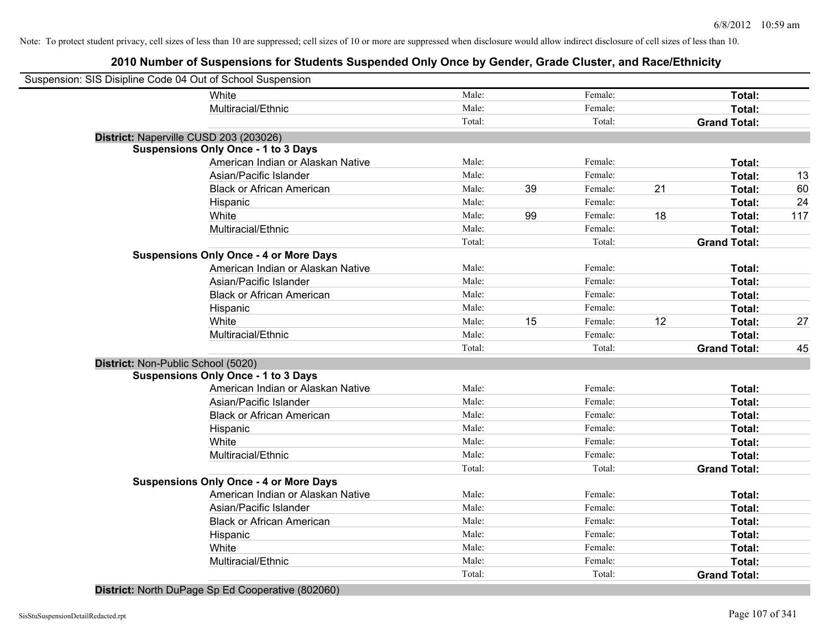# **2010 Number of Suspensions for Students Suspended Only Once by Gender, Grade Cluster, and Race/Ethnicity**

| Suspension: SIS Disipline Code 04 Out of School Suspension |        |    |         |    |                     |     |
|------------------------------------------------------------|--------|----|---------|----|---------------------|-----|
| White                                                      | Male:  |    | Female: |    | Total:              |     |
| Multiracial/Ethnic                                         | Male:  |    | Female: |    | Total:              |     |
|                                                            | Total: |    | Total:  |    | <b>Grand Total:</b> |     |
| District: Naperville CUSD 203 (203026)                     |        |    |         |    |                     |     |
| <b>Suspensions Only Once - 1 to 3 Days</b>                 |        |    |         |    |                     |     |
| American Indian or Alaskan Native                          | Male:  |    | Female: |    | Total:              |     |
| Asian/Pacific Islander                                     | Male:  |    | Female: |    | Total:              | 13  |
| <b>Black or African American</b>                           | Male:  | 39 | Female: | 21 | Total:              | 60  |
| Hispanic                                                   | Male:  |    | Female: |    | Total:              | 24  |
| White                                                      | Male:  | 99 | Female: | 18 | Total:              | 117 |
| Multiracial/Ethnic                                         | Male:  |    | Female: |    | Total:              |     |
|                                                            | Total: |    | Total:  |    | <b>Grand Total:</b> |     |
| <b>Suspensions Only Once - 4 or More Days</b>              |        |    |         |    |                     |     |
| American Indian or Alaskan Native                          | Male:  |    | Female: |    | Total:              |     |
| Asian/Pacific Islander                                     | Male:  |    | Female: |    | Total:              |     |
| <b>Black or African American</b>                           | Male:  |    | Female: |    | Total:              |     |
| Hispanic                                                   | Male:  |    | Female: |    | Total:              |     |
| White                                                      | Male:  | 15 | Female: | 12 | Total:              | 27  |
| Multiracial/Ethnic                                         | Male:  |    | Female: |    | Total:              |     |
|                                                            | Total: |    | Total:  |    | <b>Grand Total:</b> | 45  |
| District: Non-Public School (5020)                         |        |    |         |    |                     |     |
| <b>Suspensions Only Once - 1 to 3 Days</b>                 |        |    |         |    |                     |     |
| American Indian or Alaskan Native                          | Male:  |    | Female: |    | Total:              |     |
| Asian/Pacific Islander                                     | Male:  |    | Female: |    | Total:              |     |
| <b>Black or African American</b>                           | Male:  |    | Female: |    | Total:              |     |
| Hispanic                                                   | Male:  |    | Female: |    | Total:              |     |
| White                                                      | Male:  |    | Female: |    | Total:              |     |
| Multiracial/Ethnic                                         | Male:  |    | Female: |    | Total:              |     |
|                                                            | Total: |    | Total:  |    | <b>Grand Total:</b> |     |
| <b>Suspensions Only Once - 4 or More Days</b>              |        |    |         |    |                     |     |
| American Indian or Alaskan Native                          | Male:  |    | Female: |    | Total:              |     |
| Asian/Pacific Islander                                     | Male:  |    | Female: |    | Total:              |     |
| <b>Black or African American</b>                           | Male:  |    | Female: |    | Total:              |     |
| Hispanic                                                   | Male:  |    | Female: |    | Total:              |     |
| White                                                      | Male:  |    | Female: |    | Total:              |     |
| Multiracial/Ethnic                                         | Male:  |    | Female: |    | Total:              |     |
|                                                            | Total: |    | Total:  |    | <b>Grand Total:</b> |     |
|                                                            |        |    |         |    |                     |     |

**District:** North DuPage Sp Ed Cooperative (802060)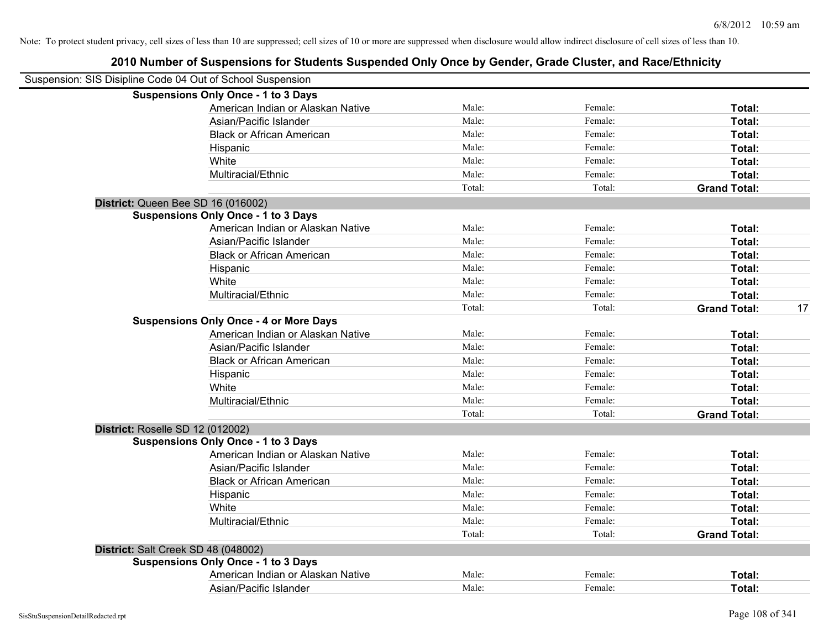| Suspension: SIS Disipline Code 04 Out of School Suspension |        |         |                     |    |
|------------------------------------------------------------|--------|---------|---------------------|----|
| <b>Suspensions Only Once - 1 to 3 Days</b>                 |        |         |                     |    |
| American Indian or Alaskan Native                          | Male:  | Female: | Total:              |    |
| Asian/Pacific Islander                                     | Male:  | Female: | Total:              |    |
| <b>Black or African American</b>                           | Male:  | Female: | Total:              |    |
| Hispanic                                                   | Male:  | Female: | Total:              |    |
| White                                                      | Male:  | Female: | Total:              |    |
| Multiracial/Ethnic                                         | Male:  | Female: | Total:              |    |
|                                                            | Total: | Total:  | <b>Grand Total:</b> |    |
| District: Queen Bee SD 16 (016002)                         |        |         |                     |    |
| <b>Suspensions Only Once - 1 to 3 Days</b>                 |        |         |                     |    |
| American Indian or Alaskan Native                          | Male:  | Female: | Total:              |    |
| Asian/Pacific Islander                                     | Male:  | Female: | Total:              |    |
| <b>Black or African American</b>                           | Male:  | Female: | Total:              |    |
| Hispanic                                                   | Male:  | Female: | Total:              |    |
| White                                                      | Male:  | Female: | Total:              |    |
| Multiracial/Ethnic                                         | Male:  | Female: | Total:              |    |
|                                                            | Total: | Total:  | <b>Grand Total:</b> | 17 |
| <b>Suspensions Only Once - 4 or More Days</b>              |        |         |                     |    |
| American Indian or Alaskan Native                          | Male:  | Female: | Total:              |    |
| Asian/Pacific Islander                                     | Male:  | Female: | Total:              |    |
| <b>Black or African American</b>                           | Male:  | Female: | Total:              |    |
| Hispanic                                                   | Male:  | Female: | Total:              |    |
| White                                                      | Male:  | Female: | Total:              |    |
| Multiracial/Ethnic                                         | Male:  | Female: | Total:              |    |
|                                                            | Total: | Total:  | <b>Grand Total:</b> |    |
| District: Roselle SD 12 (012002)                           |        |         |                     |    |
| <b>Suspensions Only Once - 1 to 3 Days</b>                 |        |         |                     |    |
| American Indian or Alaskan Native                          | Male:  | Female: | Total:              |    |
| Asian/Pacific Islander                                     | Male:  | Female: | Total:              |    |
| <b>Black or African American</b>                           | Male:  | Female: | Total:              |    |
| Hispanic                                                   | Male:  | Female: | Total:              |    |
| White                                                      | Male:  | Female: | Total:              |    |
| Multiracial/Ethnic                                         | Male:  | Female: | Total:              |    |
|                                                            | Total: | Total:  | <b>Grand Total:</b> |    |
| District: Salt Creek SD 48 (048002)                        |        |         |                     |    |
| <b>Suspensions Only Once - 1 to 3 Days</b>                 |        |         |                     |    |
| American Indian or Alaskan Native                          | Male:  | Female: | Total:              |    |
| Asian/Pacific Islander                                     | Male:  | Female: | Total:              |    |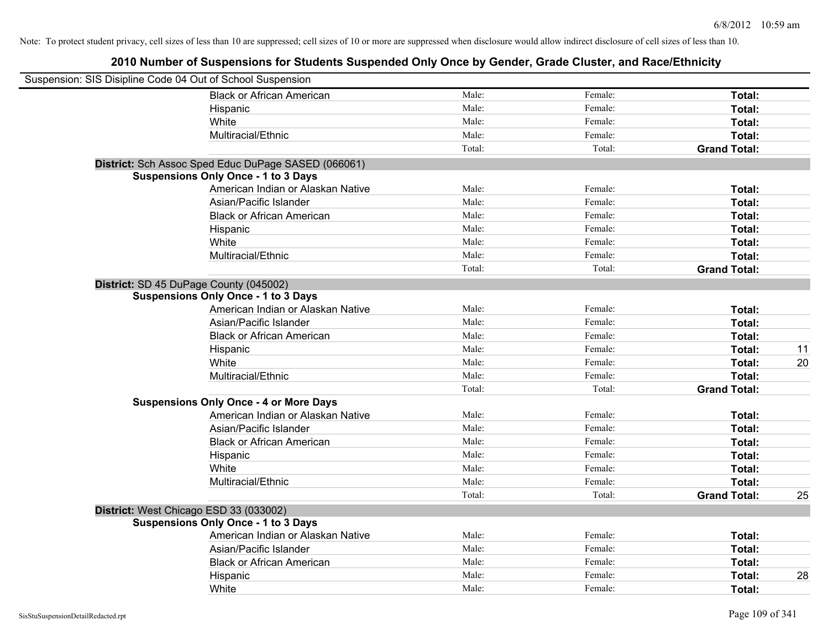| Suspension: SIS Disipline Code 04 Out of School Suspension |                                                     |        |         |                     |    |
|------------------------------------------------------------|-----------------------------------------------------|--------|---------|---------------------|----|
|                                                            | <b>Black or African American</b>                    | Male:  | Female: | Total:              |    |
|                                                            | Hispanic                                            | Male:  | Female: | Total:              |    |
|                                                            | White                                               | Male:  | Female: | Total:              |    |
|                                                            | Multiracial/Ethnic                                  | Male:  | Female: | Total:              |    |
|                                                            |                                                     | Total: | Total:  | <b>Grand Total:</b> |    |
|                                                            | District: Sch Assoc Sped Educ DuPage SASED (066061) |        |         |                     |    |
|                                                            | <b>Suspensions Only Once - 1 to 3 Days</b>          |        |         |                     |    |
|                                                            | American Indian or Alaskan Native                   | Male:  | Female: | Total:              |    |
|                                                            | Asian/Pacific Islander                              | Male:  | Female: | Total:              |    |
|                                                            | <b>Black or African American</b>                    | Male:  | Female: | Total:              |    |
|                                                            | Hispanic                                            | Male:  | Female: | Total:              |    |
|                                                            | White                                               | Male:  | Female: | Total:              |    |
|                                                            | Multiracial/Ethnic                                  | Male:  | Female: | Total:              |    |
|                                                            |                                                     | Total: | Total:  | <b>Grand Total:</b> |    |
|                                                            | District: SD 45 DuPage County (045002)              |        |         |                     |    |
|                                                            | <b>Suspensions Only Once - 1 to 3 Days</b>          |        |         |                     |    |
|                                                            | American Indian or Alaskan Native                   | Male:  | Female: | Total:              |    |
|                                                            | Asian/Pacific Islander                              | Male:  | Female: | Total:              |    |
|                                                            | <b>Black or African American</b>                    | Male:  | Female: | Total:              |    |
|                                                            | Hispanic                                            | Male:  | Female: | Total:              | 11 |
|                                                            | White                                               | Male:  | Female: | Total:              | 20 |
|                                                            | Multiracial/Ethnic                                  | Male:  | Female: | Total:              |    |
|                                                            |                                                     | Total: | Total:  | <b>Grand Total:</b> |    |
|                                                            | <b>Suspensions Only Once - 4 or More Days</b>       |        |         |                     |    |
|                                                            | American Indian or Alaskan Native                   | Male:  | Female: | Total:              |    |
|                                                            | Asian/Pacific Islander                              | Male:  | Female: | Total:              |    |
|                                                            | <b>Black or African American</b>                    | Male:  | Female: | Total:              |    |
|                                                            | Hispanic                                            | Male:  | Female: | Total:              |    |
|                                                            | White                                               | Male:  | Female: | Total:              |    |
|                                                            | Multiracial/Ethnic                                  | Male:  | Female: | Total:              |    |
|                                                            |                                                     | Total: | Total:  | <b>Grand Total:</b> | 25 |
|                                                            | District: West Chicago ESD 33 (033002)              |        |         |                     |    |
|                                                            | <b>Suspensions Only Once - 1 to 3 Days</b>          |        |         |                     |    |
|                                                            | American Indian or Alaskan Native                   | Male:  | Female: | Total:              |    |
|                                                            | Asian/Pacific Islander                              | Male:  | Female: | Total:              |    |
|                                                            | <b>Black or African American</b>                    | Male:  | Female: | Total:              |    |
|                                                            | Hispanic                                            | Male:  | Female: | Total:              | 28 |
|                                                            | White                                               | Male:  | Female: | Total:              |    |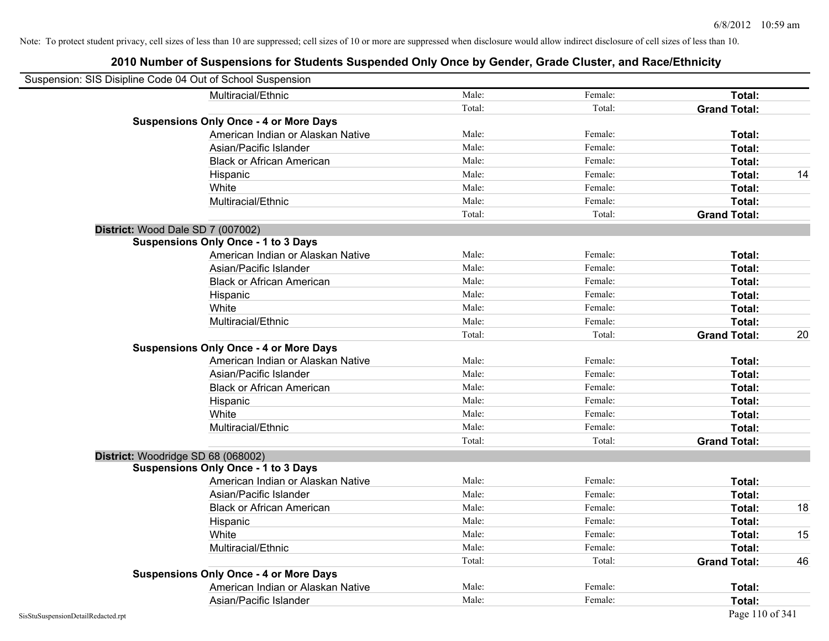| Suspension: SIS Disipline Code 04 Out of School Suspension |                                               |        |         |                     |    |
|------------------------------------------------------------|-----------------------------------------------|--------|---------|---------------------|----|
|                                                            | Multiracial/Ethnic                            | Male:  | Female: | Total:              |    |
|                                                            |                                               | Total: | Total:  | <b>Grand Total:</b> |    |
|                                                            | <b>Suspensions Only Once - 4 or More Days</b> |        |         |                     |    |
|                                                            | American Indian or Alaskan Native             | Male:  | Female: | Total:              |    |
|                                                            | Asian/Pacific Islander                        | Male:  | Female: | Total:              |    |
|                                                            | <b>Black or African American</b>              | Male:  | Female: | Total:              |    |
|                                                            | Hispanic                                      | Male:  | Female: | Total:              | 14 |
|                                                            | White                                         | Male:  | Female: | Total:              |    |
|                                                            | Multiracial/Ethnic                            | Male:  | Female: | Total:              |    |
|                                                            |                                               | Total: | Total:  | <b>Grand Total:</b> |    |
| District: Wood Dale SD 7 (007002)                          |                                               |        |         |                     |    |
|                                                            | <b>Suspensions Only Once - 1 to 3 Days</b>    |        |         |                     |    |
|                                                            | American Indian or Alaskan Native             | Male:  | Female: | Total:              |    |
|                                                            | Asian/Pacific Islander                        | Male:  | Female: | Total:              |    |
|                                                            | <b>Black or African American</b>              | Male:  | Female: | Total:              |    |
|                                                            | Hispanic                                      | Male:  | Female: | Total:              |    |
|                                                            | White                                         | Male:  | Female: | Total:              |    |
|                                                            | Multiracial/Ethnic                            | Male:  | Female: | Total:              |    |
|                                                            |                                               | Total: | Total:  | <b>Grand Total:</b> | 20 |
|                                                            | <b>Suspensions Only Once - 4 or More Days</b> |        |         |                     |    |
|                                                            | American Indian or Alaskan Native             | Male:  | Female: | Total:              |    |
|                                                            | Asian/Pacific Islander                        | Male:  | Female: | Total:              |    |
|                                                            | <b>Black or African American</b>              | Male:  | Female: | Total:              |    |
|                                                            | Hispanic                                      | Male:  | Female: | Total:              |    |
|                                                            | White                                         | Male:  | Female: | Total:              |    |
|                                                            | Multiracial/Ethnic                            | Male:  | Female: | Total:              |    |
|                                                            |                                               | Total: | Total:  | <b>Grand Total:</b> |    |
|                                                            | District: Woodridge SD 68 (068002)            |        |         |                     |    |
|                                                            | <b>Suspensions Only Once - 1 to 3 Days</b>    |        |         |                     |    |
|                                                            | American Indian or Alaskan Native             | Male:  | Female: | Total:              |    |
|                                                            | Asian/Pacific Islander                        | Male:  | Female: | Total:              |    |
|                                                            | <b>Black or African American</b>              | Male:  | Female: | Total:              | 18 |
|                                                            | Hispanic                                      | Male:  | Female: | Total:              |    |
|                                                            | White                                         | Male:  | Female: | Total:              | 15 |
|                                                            | Multiracial/Ethnic                            | Male:  | Female: | Total:              |    |
|                                                            |                                               | Total: | Total:  | <b>Grand Total:</b> | 46 |
|                                                            | <b>Suspensions Only Once - 4 or More Days</b> |        |         |                     |    |
|                                                            | American Indian or Alaskan Native             | Male:  | Female: | Total:              |    |
|                                                            | Asian/Pacific Islander                        | Male:  | Female: | Total:              |    |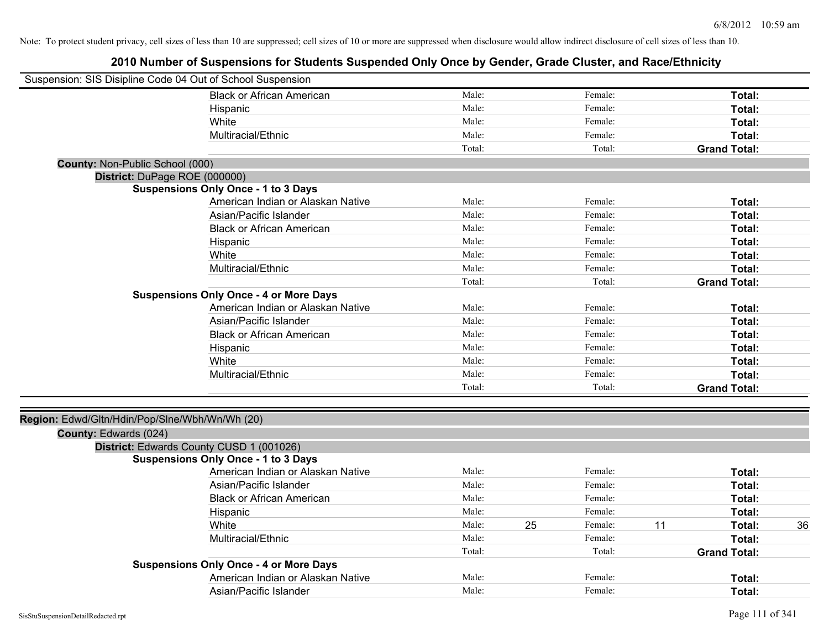| Suspension: SIS Disipline Code 04 Out of School Suspension |                                               |        |               |    |                     |
|------------------------------------------------------------|-----------------------------------------------|--------|---------------|----|---------------------|
|                                                            | <b>Black or African American</b>              | Male:  | Female:       |    | Total:              |
|                                                            | Hispanic                                      | Male:  | Female:       |    | Total:              |
|                                                            | White                                         | Male:  | Female:       |    | Total:              |
|                                                            | Multiracial/Ethnic                            | Male:  | Female:       |    | Total:              |
|                                                            |                                               | Total: | Total:        |    | <b>Grand Total:</b> |
| <b>County: Non-Public School (000)</b>                     |                                               |        |               |    |                     |
| District: DuPage ROE (000000)                              |                                               |        |               |    |                     |
|                                                            | <b>Suspensions Only Once - 1 to 3 Days</b>    |        |               |    |                     |
|                                                            | American Indian or Alaskan Native             | Male:  | Female:       |    | Total:              |
|                                                            | Asian/Pacific Islander                        | Male:  | Female:       |    | Total:              |
|                                                            | <b>Black or African American</b>              | Male:  | Female:       |    | Total:              |
|                                                            | Hispanic                                      | Male:  | Female:       |    | Total:              |
|                                                            | White                                         | Male:  | Female:       |    | Total:              |
|                                                            | Multiracial/Ethnic                            | Male:  | Female:       |    | Total:              |
|                                                            |                                               | Total: | Total:        |    | <b>Grand Total:</b> |
|                                                            | <b>Suspensions Only Once - 4 or More Days</b> |        |               |    |                     |
|                                                            | American Indian or Alaskan Native             | Male:  | Female:       |    | Total:              |
|                                                            | Asian/Pacific Islander                        | Male:  | Female:       |    | Total:              |
|                                                            | <b>Black or African American</b>              | Male:  | Female:       |    | Total:              |
|                                                            | Hispanic                                      | Male:  | Female:       |    | Total:              |
|                                                            | White                                         | Male:  | Female:       |    | Total:              |
|                                                            | Multiracial/Ethnic                            | Male:  | Female:       |    | Total:              |
|                                                            |                                               | Total: | Total:        |    | <b>Grand Total:</b> |
| Region: Edwd/Gltn/Hdin/Pop/Slne/Wbh/Wn/Wh (20)             |                                               |        |               |    |                     |
| County: Edwards (024)                                      |                                               |        |               |    |                     |
| District: Edwards County CUSD 1 (001026)                   |                                               |        |               |    |                     |
|                                                            | <b>Suspensions Only Once - 1 to 3 Days</b>    |        |               |    |                     |
|                                                            | American Indian or Alaskan Native             | Male:  | Female:       |    | Total:              |
|                                                            | Asian/Pacific Islander                        | Male:  | Female:       |    | Total:              |
|                                                            | <b>Black or African American</b>              | Male:  | Female:       |    | Total:              |
|                                                            | Hispanic                                      | Male:  | Female:       |    | Total:              |
|                                                            | White                                         | Male:  | 25<br>Female: | 11 | 36<br>Total:        |
|                                                            | Multiracial/Ethnic                            | Male:  | Female:       |    | Total:              |
|                                                            |                                               | Total: | Total:        |    | <b>Grand Total:</b> |
|                                                            | <b>Suspensions Only Once - 4 or More Days</b> |        |               |    |                     |
|                                                            | American Indian or Alaskan Native             | Male:  | Female:       |    | Total:              |
|                                                            | Asian/Pacific Islander                        | Male:  | Female:       |    | Total:              |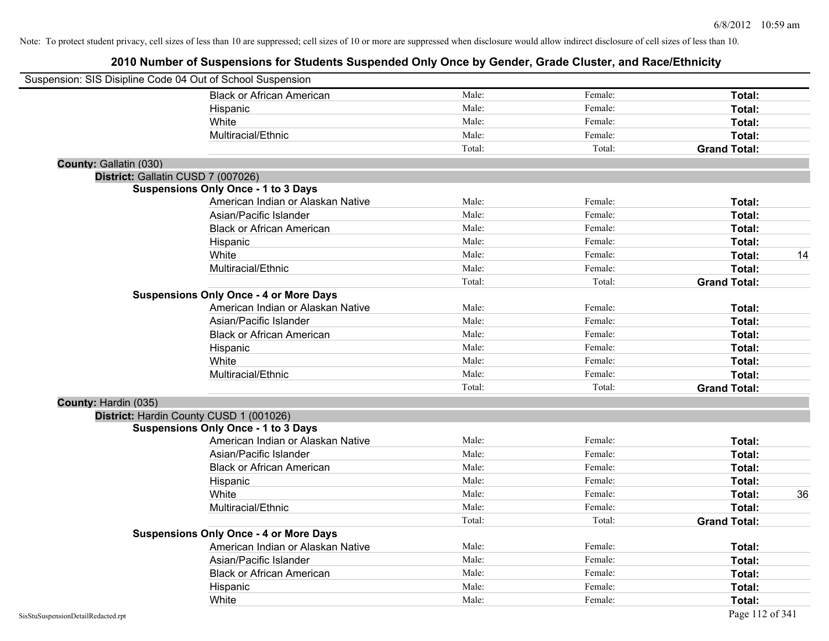|                        | Suspension: SIS Disipline Code 04 Out of School Suspension |        |         |                     |    |
|------------------------|------------------------------------------------------------|--------|---------|---------------------|----|
|                        | <b>Black or African American</b>                           | Male:  | Female: | Total:              |    |
|                        | Hispanic                                                   | Male:  | Female: | Total:              |    |
|                        | White                                                      | Male:  | Female: | Total:              |    |
|                        | Multiracial/Ethnic                                         | Male:  | Female: | Total:              |    |
|                        |                                                            | Total: | Total:  | <b>Grand Total:</b> |    |
| County: Gallatin (030) |                                                            |        |         |                     |    |
|                        | District: Gallatin CUSD 7 (007026)                         |        |         |                     |    |
|                        | <b>Suspensions Only Once - 1 to 3 Days</b>                 |        |         |                     |    |
|                        | American Indian or Alaskan Native                          | Male:  | Female: | Total:              |    |
|                        | Asian/Pacific Islander                                     | Male:  | Female: | Total:              |    |
|                        | <b>Black or African American</b>                           | Male:  | Female: | Total:              |    |
|                        | Hispanic                                                   | Male:  | Female: | Total:              |    |
|                        | White                                                      | Male:  | Female: | Total:              | 14 |
|                        | Multiracial/Ethnic                                         | Male:  | Female: | Total:              |    |
|                        |                                                            | Total: | Total:  | <b>Grand Total:</b> |    |
|                        | <b>Suspensions Only Once - 4 or More Days</b>              |        |         |                     |    |
|                        | American Indian or Alaskan Native                          | Male:  | Female: | Total:              |    |
|                        | Asian/Pacific Islander                                     | Male:  | Female: | Total:              |    |
|                        | <b>Black or African American</b>                           | Male:  | Female: | Total:              |    |
|                        | Hispanic                                                   | Male:  | Female: | Total:              |    |
|                        | White                                                      | Male:  | Female: | Total:              |    |
|                        | Multiracial/Ethnic                                         | Male:  | Female: | Total:              |    |
|                        |                                                            | Total: | Total:  | <b>Grand Total:</b> |    |
| County: Hardin (035)   |                                                            |        |         |                     |    |
|                        | District: Hardin County CUSD 1 (001026)                    |        |         |                     |    |
|                        | <b>Suspensions Only Once - 1 to 3 Days</b>                 |        |         |                     |    |
|                        | American Indian or Alaskan Native                          | Male:  | Female: | Total:              |    |
|                        | Asian/Pacific Islander                                     | Male:  | Female: | Total:              |    |
|                        | <b>Black or African American</b>                           | Male:  | Female: | Total:              |    |
|                        | Hispanic                                                   | Male:  | Female: | Total:              |    |
|                        | White                                                      | Male:  | Female: | Total:              | 36 |
|                        | Multiracial/Ethnic                                         | Male:  | Female: | Total:              |    |
|                        |                                                            | Total: | Total:  | <b>Grand Total:</b> |    |
|                        | <b>Suspensions Only Once - 4 or More Days</b>              |        |         |                     |    |
|                        | American Indian or Alaskan Native                          | Male:  | Female: | Total:              |    |
|                        | Asian/Pacific Islander                                     | Male:  | Female: | Total:              |    |
|                        | <b>Black or African American</b>                           | Male:  | Female: | Total:              |    |
|                        | Hispanic                                                   | Male:  | Female: | Total:              |    |
|                        | White                                                      | Male:  | Female: | Total:              |    |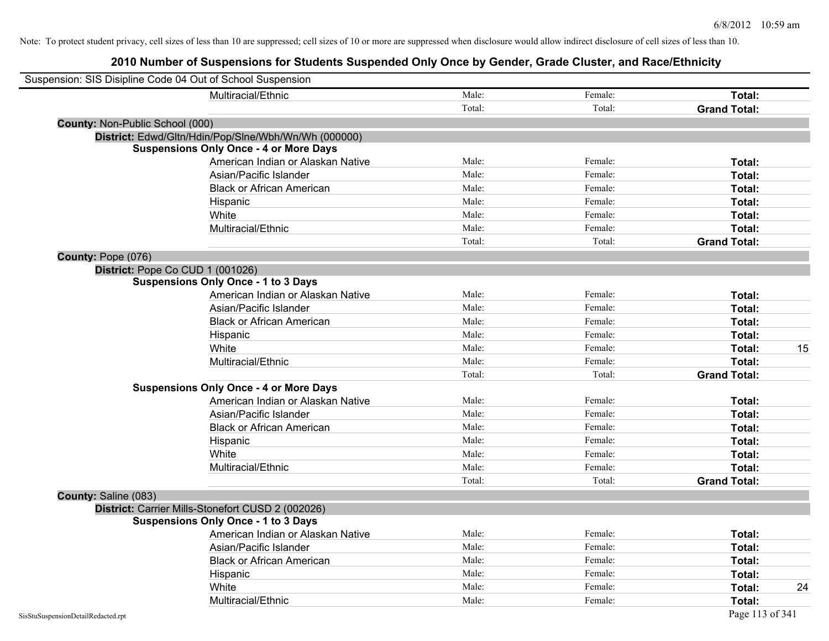|                                  | Suspension: SIS Disipline Code 04 Out of School Suspension |        |         |                     |
|----------------------------------|------------------------------------------------------------|--------|---------|---------------------|
|                                  | Multiracial/Ethnic                                         | Male:  | Female: | Total:              |
|                                  |                                                            | Total: | Total:  | <b>Grand Total:</b> |
| County: Non-Public School (000)  |                                                            |        |         |                     |
|                                  | District: Edwd/Gltn/Hdin/Pop/Slne/Wbh/Wn/Wh (000000)       |        |         |                     |
|                                  | <b>Suspensions Only Once - 4 or More Days</b>              |        |         |                     |
|                                  | American Indian or Alaskan Native                          | Male:  | Female: | Total:              |
|                                  | Asian/Pacific Islander                                     | Male:  | Female: | Total:              |
|                                  | <b>Black or African American</b>                           | Male:  | Female: | Total:              |
|                                  | Hispanic                                                   | Male:  | Female: | Total:              |
|                                  | White                                                      | Male:  | Female: | Total:              |
|                                  | Multiracial/Ethnic                                         | Male:  | Female: | Total:              |
|                                  |                                                            | Total: | Total:  | <b>Grand Total:</b> |
| County: Pope (076)               |                                                            |        |         |                     |
| District: Pope Co CUD 1 (001026) |                                                            |        |         |                     |
|                                  | <b>Suspensions Only Once - 1 to 3 Days</b>                 |        |         |                     |
|                                  | American Indian or Alaskan Native                          | Male:  | Female: | Total:              |
|                                  | Asian/Pacific Islander                                     | Male:  | Female: | Total:              |
|                                  | <b>Black or African American</b>                           | Male:  | Female: | Total:              |
|                                  | Hispanic                                                   | Male:  | Female: | Total:              |
|                                  | White                                                      | Male:  | Female: | 15<br>Total:        |
|                                  | Multiracial/Ethnic                                         | Male:  | Female: | Total:              |
|                                  |                                                            | Total: | Total:  | <b>Grand Total:</b> |
|                                  | <b>Suspensions Only Once - 4 or More Days</b>              |        |         |                     |
|                                  | American Indian or Alaskan Native                          | Male:  | Female: | Total:              |
|                                  | Asian/Pacific Islander                                     | Male:  | Female: | Total:              |
|                                  | <b>Black or African American</b>                           | Male:  | Female: | Total:              |
|                                  | Hispanic                                                   | Male:  | Female: | Total:              |
|                                  | White                                                      | Male:  | Female: | Total:              |
|                                  | Multiracial/Ethnic                                         | Male:  | Female: | Total:              |
|                                  |                                                            | Total: | Total:  | <b>Grand Total:</b> |
| County: Saline (083)             |                                                            |        |         |                     |
|                                  | District: Carrier Mills-Stonefort CUSD 2 (002026)          |        |         |                     |
|                                  | <b>Suspensions Only Once - 1 to 3 Days</b>                 |        |         |                     |
|                                  | American Indian or Alaskan Native                          | Male:  | Female: | Total:              |
|                                  | Asian/Pacific Islander                                     | Male:  | Female: | Total:              |
|                                  | <b>Black or African American</b>                           | Male:  | Female: | Total:              |
|                                  | Hispanic                                                   | Male:  | Female: | Total:              |
|                                  | White                                                      | Male:  | Female: | Total:<br>24        |
|                                  | Multiracial/Ethnic                                         | Male:  | Female: | Total:              |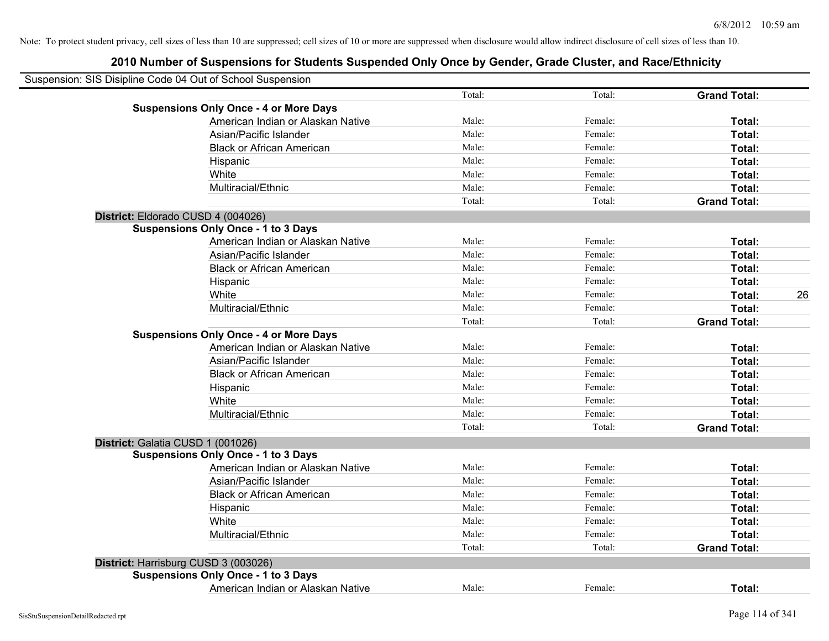| Suspension: SIS Disipline Code 04 Out of School Suspension |        |         |                     |    |
|------------------------------------------------------------|--------|---------|---------------------|----|
|                                                            | Total: | Total:  | <b>Grand Total:</b> |    |
| <b>Suspensions Only Once - 4 or More Days</b>              |        |         |                     |    |
| American Indian or Alaskan Native                          | Male:  | Female: | Total:              |    |
| Asian/Pacific Islander                                     | Male:  | Female: | Total:              |    |
| <b>Black or African American</b>                           | Male:  | Female: | Total:              |    |
| Hispanic                                                   | Male:  | Female: | Total:              |    |
| White                                                      | Male:  | Female: | Total:              |    |
| Multiracial/Ethnic                                         | Male:  | Female: | Total:              |    |
|                                                            | Total: | Total:  | <b>Grand Total:</b> |    |
| District: Eldorado CUSD 4 (004026)                         |        |         |                     |    |
| <b>Suspensions Only Once - 1 to 3 Days</b>                 |        |         |                     |    |
| American Indian or Alaskan Native                          | Male:  | Female: | Total:              |    |
| Asian/Pacific Islander                                     | Male:  | Female: | Total:              |    |
| <b>Black or African American</b>                           | Male:  | Female: | Total:              |    |
| Hispanic                                                   | Male:  | Female: | Total:              |    |
| White                                                      | Male:  | Female: | Total:              | 26 |
| Multiracial/Ethnic                                         | Male:  | Female: | Total:              |    |
|                                                            | Total: | Total:  | <b>Grand Total:</b> |    |
| <b>Suspensions Only Once - 4 or More Days</b>              |        |         |                     |    |
| American Indian or Alaskan Native                          | Male:  | Female: | Total:              |    |
| Asian/Pacific Islander                                     | Male:  | Female: | Total:              |    |
| <b>Black or African American</b>                           | Male:  | Female: | Total:              |    |
| Hispanic                                                   | Male:  | Female: | Total:              |    |
| White                                                      | Male:  | Female: | Total:              |    |
| Multiracial/Ethnic                                         | Male:  | Female: | Total:              |    |
|                                                            | Total: | Total:  | <b>Grand Total:</b> |    |
| District: Galatia CUSD 1 (001026)                          |        |         |                     |    |
| <b>Suspensions Only Once - 1 to 3 Days</b>                 |        |         |                     |    |
| American Indian or Alaskan Native                          | Male:  | Female: | Total:              |    |
| Asian/Pacific Islander                                     | Male:  | Female: | Total:              |    |
| <b>Black or African American</b>                           | Male:  | Female: | Total:              |    |
| Hispanic                                                   | Male:  | Female: | Total:              |    |
| White                                                      | Male:  | Female: | Total:              |    |
| Multiracial/Ethnic                                         | Male:  | Female: | Total:              |    |
|                                                            | Total: | Total:  | <b>Grand Total:</b> |    |
| District: Harrisburg CUSD 3 (003026)                       |        |         |                     |    |
| <b>Suspensions Only Once - 1 to 3 Days</b>                 |        |         |                     |    |
| American Indian or Alaskan Native                          | Male:  | Female: | Total:              |    |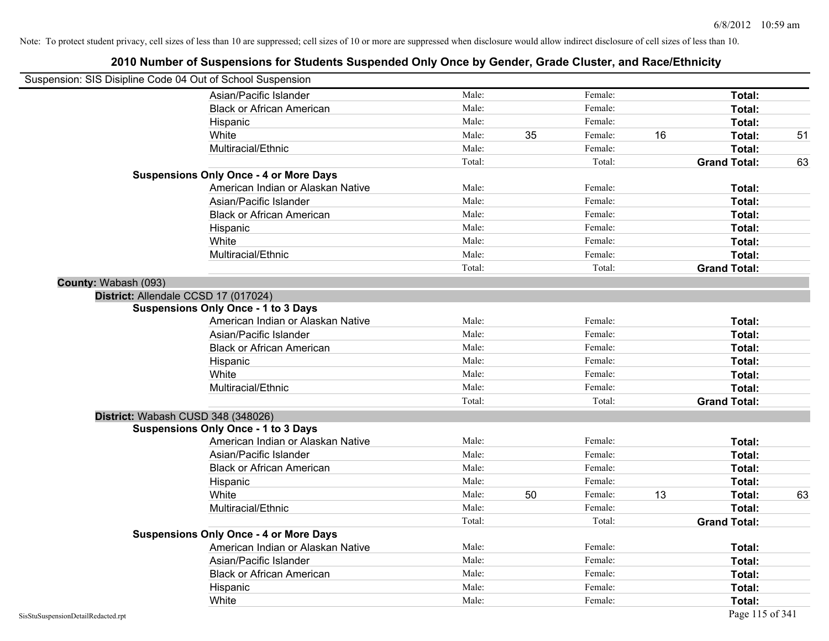| Suspension: SIS Disipline Code 04 Out of School Suspension |                                               |        |    |         |    |                     |    |
|------------------------------------------------------------|-----------------------------------------------|--------|----|---------|----|---------------------|----|
|                                                            | Asian/Pacific Islander                        | Male:  |    | Female: |    | Total:              |    |
|                                                            | <b>Black or African American</b>              | Male:  |    | Female: |    | Total:              |    |
|                                                            | Hispanic                                      | Male:  |    | Female: |    | Total:              |    |
|                                                            | White                                         | Male:  | 35 | Female: | 16 | Total:              | 51 |
|                                                            | Multiracial/Ethnic                            | Male:  |    | Female: |    | Total:              |    |
|                                                            |                                               | Total: |    | Total:  |    | <b>Grand Total:</b> | 63 |
|                                                            | <b>Suspensions Only Once - 4 or More Days</b> |        |    |         |    |                     |    |
|                                                            | American Indian or Alaskan Native             | Male:  |    | Female: |    | Total:              |    |
|                                                            | Asian/Pacific Islander                        | Male:  |    | Female: |    | Total:              |    |
|                                                            | <b>Black or African American</b>              | Male:  |    | Female: |    | Total:              |    |
|                                                            | Hispanic                                      | Male:  |    | Female: |    | Total:              |    |
|                                                            | White                                         | Male:  |    | Female: |    | Total:              |    |
|                                                            | Multiracial/Ethnic                            | Male:  |    | Female: |    | Total:              |    |
|                                                            |                                               | Total: |    | Total:  |    | <b>Grand Total:</b> |    |
| County: Wabash (093)                                       |                                               |        |    |         |    |                     |    |
| District: Allendale CCSD 17 (017024)                       |                                               |        |    |         |    |                     |    |
|                                                            | <b>Suspensions Only Once - 1 to 3 Days</b>    |        |    |         |    |                     |    |
|                                                            | American Indian or Alaskan Native             | Male:  |    | Female: |    | Total:              |    |
|                                                            | Asian/Pacific Islander                        | Male:  |    | Female: |    | Total:              |    |
|                                                            | <b>Black or African American</b>              | Male:  |    | Female: |    | Total:              |    |
|                                                            | Hispanic                                      | Male:  |    | Female: |    | Total:              |    |
|                                                            | White                                         | Male:  |    | Female: |    | Total:              |    |
|                                                            | Multiracial/Ethnic                            | Male:  |    | Female: |    | Total:              |    |
|                                                            |                                               | Total: |    | Total:  |    | <b>Grand Total:</b> |    |
| District: Wabash CUSD 348 (348026)                         |                                               |        |    |         |    |                     |    |
|                                                            | <b>Suspensions Only Once - 1 to 3 Days</b>    |        |    |         |    |                     |    |
|                                                            | American Indian or Alaskan Native             | Male:  |    | Female: |    | Total:              |    |
|                                                            | Asian/Pacific Islander                        | Male:  |    | Female: |    | Total:              |    |
|                                                            | <b>Black or African American</b>              | Male:  |    | Female: |    | Total:              |    |
|                                                            | Hispanic                                      | Male:  |    | Female: |    | Total:              |    |
|                                                            | White                                         | Male:  | 50 | Female: | 13 | Total:              | 63 |
|                                                            | Multiracial/Ethnic                            | Male:  |    | Female: |    | Total:              |    |
|                                                            |                                               | Total: |    | Total:  |    | <b>Grand Total:</b> |    |
|                                                            | <b>Suspensions Only Once - 4 or More Days</b> |        |    |         |    |                     |    |
|                                                            | American Indian or Alaskan Native             | Male:  |    | Female: |    | Total:              |    |
|                                                            | Asian/Pacific Islander                        | Male:  |    | Female: |    | Total:              |    |
|                                                            | <b>Black or African American</b>              | Male:  |    | Female: |    | Total:              |    |
|                                                            | Hispanic                                      | Male:  |    | Female: |    | <b>Total:</b>       |    |
|                                                            | White                                         | Male:  |    | Female: |    | Total:              |    |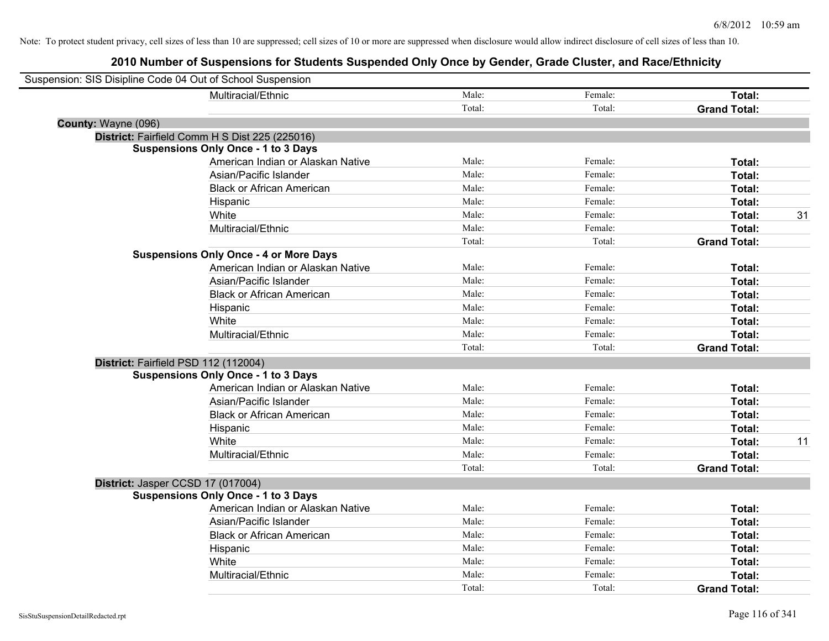|                     | Suspension: SIS Disipline Code 04 Out of School Suspension |        |         |                     |    |
|---------------------|------------------------------------------------------------|--------|---------|---------------------|----|
|                     | Multiracial/Ethnic                                         | Male:  | Female: | Total:              |    |
|                     |                                                            | Total: | Total:  | <b>Grand Total:</b> |    |
| County: Wayne (096) |                                                            |        |         |                     |    |
|                     | District: Fairfield Comm H S Dist 225 (225016)             |        |         |                     |    |
|                     | <b>Suspensions Only Once - 1 to 3 Days</b>                 |        |         |                     |    |
|                     | American Indian or Alaskan Native                          | Male:  | Female: | Total:              |    |
|                     | Asian/Pacific Islander                                     | Male:  | Female: | Total:              |    |
|                     | <b>Black or African American</b>                           | Male:  | Female: | Total:              |    |
|                     | Hispanic                                                   | Male:  | Female: | Total:              |    |
|                     | White                                                      | Male:  | Female: | Total:              | 31 |
|                     | Multiracial/Ethnic                                         | Male:  | Female: | Total:              |    |
|                     |                                                            | Total: | Total:  | <b>Grand Total:</b> |    |
|                     | <b>Suspensions Only Once - 4 or More Days</b>              |        |         |                     |    |
|                     | American Indian or Alaskan Native                          | Male:  | Female: | Total:              |    |
|                     | Asian/Pacific Islander                                     | Male:  | Female: | Total:              |    |
|                     | <b>Black or African American</b>                           | Male:  | Female: | Total:              |    |
|                     | Hispanic                                                   | Male:  | Female: | Total:              |    |
|                     | White                                                      | Male:  | Female: | Total:              |    |
|                     | Multiracial/Ethnic                                         | Male:  | Female: | Total:              |    |
|                     |                                                            | Total: | Total:  | <b>Grand Total:</b> |    |
|                     | District: Fairfield PSD 112 (112004)                       |        |         |                     |    |
|                     | <b>Suspensions Only Once - 1 to 3 Days</b>                 |        |         |                     |    |
|                     | American Indian or Alaskan Native                          | Male:  | Female: | Total:              |    |
|                     | Asian/Pacific Islander                                     | Male:  | Female: | Total:              |    |
|                     | <b>Black or African American</b>                           | Male:  | Female: | Total:              |    |
|                     | Hispanic                                                   | Male:  | Female: | Total:              |    |
|                     | White                                                      | Male:  | Female: | Total:              | 11 |
|                     | Multiracial/Ethnic                                         | Male:  | Female: | Total:              |    |
|                     |                                                            | Total: | Total:  | <b>Grand Total:</b> |    |
|                     | District: Jasper CCSD 17 (017004)                          |        |         |                     |    |
|                     | <b>Suspensions Only Once - 1 to 3 Days</b>                 |        |         |                     |    |
|                     | American Indian or Alaskan Native                          | Male:  | Female: | Total:              |    |
|                     | Asian/Pacific Islander                                     | Male:  | Female: | Total:              |    |
|                     | <b>Black or African American</b>                           | Male:  | Female: | Total:              |    |
|                     | Hispanic                                                   | Male:  | Female: | Total:              |    |
|                     | White                                                      | Male:  | Female: | Total:              |    |
|                     | Multiracial/Ethnic                                         | Male:  | Female: | Total:              |    |
|                     |                                                            | Total: | Total:  | <b>Grand Total:</b> |    |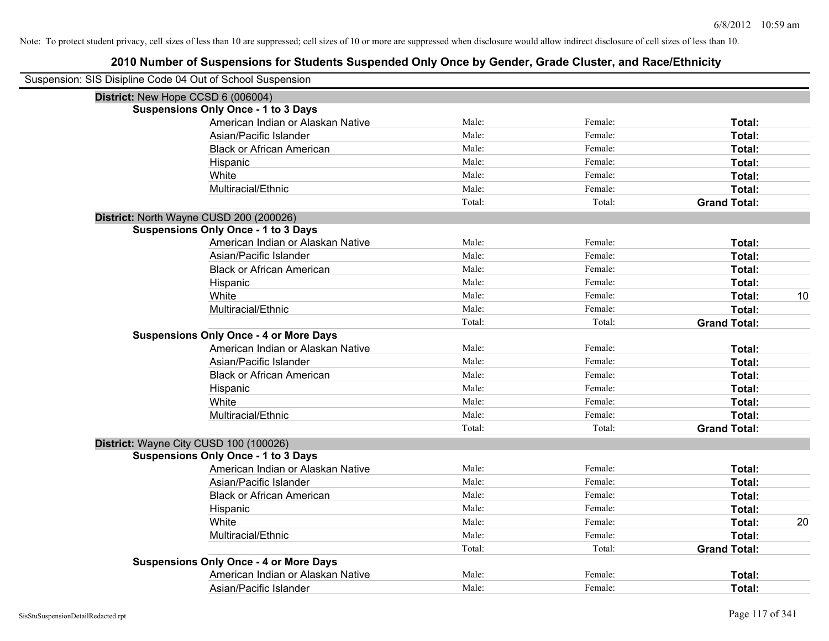| Suspension: SIS Disipline Code 04 Out of School Suspension |        |         |                     |    |
|------------------------------------------------------------|--------|---------|---------------------|----|
| District: New Hope CCSD 6 (006004)                         |        |         |                     |    |
| <b>Suspensions Only Once - 1 to 3 Days</b>                 |        |         |                     |    |
| American Indian or Alaskan Native                          | Male:  | Female: | Total:              |    |
| Asian/Pacific Islander                                     | Male:  | Female: | Total:              |    |
| <b>Black or African American</b>                           | Male:  | Female: | Total:              |    |
| Hispanic                                                   | Male:  | Female: | Total:              |    |
| White                                                      | Male:  | Female: | Total:              |    |
| Multiracial/Ethnic                                         | Male:  | Female: | Total:              |    |
|                                                            | Total: | Total:  | <b>Grand Total:</b> |    |
| District: North Wayne CUSD 200 (200026)                    |        |         |                     |    |
| <b>Suspensions Only Once - 1 to 3 Days</b>                 |        |         |                     |    |
| American Indian or Alaskan Native                          | Male:  | Female: | Total:              |    |
| Asian/Pacific Islander                                     | Male:  | Female: | Total:              |    |
| <b>Black or African American</b>                           | Male:  | Female: | Total:              |    |
| Hispanic                                                   | Male:  | Female: | Total:              |    |
| White                                                      | Male:  | Female: | Total:              | 10 |
| Multiracial/Ethnic                                         | Male:  | Female: | Total:              |    |
|                                                            | Total: | Total:  | <b>Grand Total:</b> |    |
| <b>Suspensions Only Once - 4 or More Days</b>              |        |         |                     |    |
| American Indian or Alaskan Native                          | Male:  | Female: | Total:              |    |
| Asian/Pacific Islander                                     | Male:  | Female: | Total:              |    |
| <b>Black or African American</b>                           | Male:  | Female: | Total:              |    |
| Hispanic                                                   | Male:  | Female: | Total:              |    |
| White                                                      | Male:  | Female: | Total:              |    |
| Multiracial/Ethnic                                         | Male:  | Female: | Total:              |    |
|                                                            | Total: | Total:  | <b>Grand Total:</b> |    |
| District: Wayne City CUSD 100 (100026)                     |        |         |                     |    |
| <b>Suspensions Only Once - 1 to 3 Days</b>                 |        |         |                     |    |
| American Indian or Alaskan Native                          | Male:  | Female: | Total:              |    |
| Asian/Pacific Islander                                     | Male:  | Female: | Total:              |    |
| <b>Black or African American</b>                           | Male:  | Female: | Total:              |    |
| Hispanic                                                   | Male:  | Female: | Total:              |    |
| White                                                      | Male:  | Female: | Total:              | 20 |
| Multiracial/Ethnic                                         | Male:  | Female: | Total:              |    |
|                                                            | Total: | Total:  | <b>Grand Total:</b> |    |
| <b>Suspensions Only Once - 4 or More Days</b>              |        |         |                     |    |
| American Indian or Alaskan Native                          | Male:  | Female: | Total:              |    |
| Asian/Pacific Islander                                     | Male:  | Female: | Total:              |    |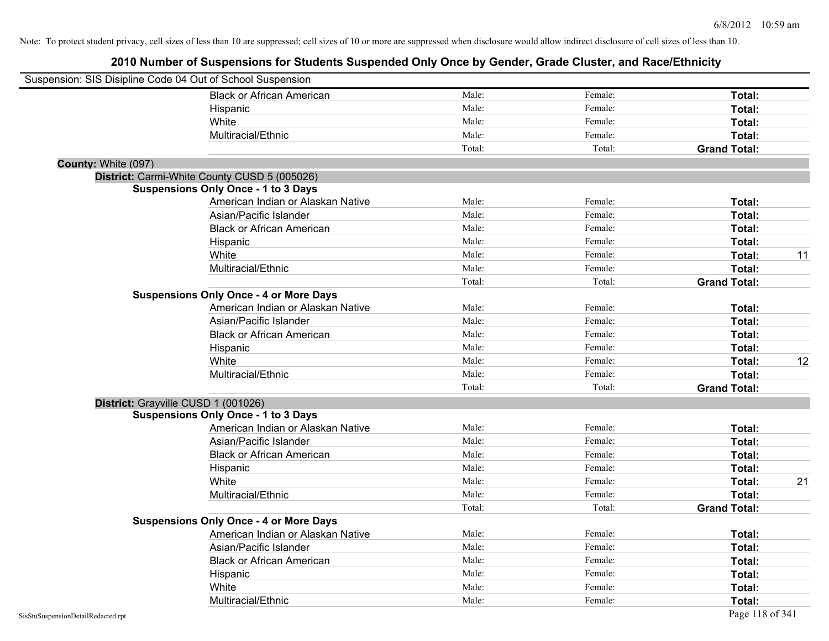| Suspension: SIS Disipline Code 04 Out of School Suspension |                                               |        |         |                     |    |
|------------------------------------------------------------|-----------------------------------------------|--------|---------|---------------------|----|
|                                                            | <b>Black or African American</b>              | Male:  | Female: | Total:              |    |
|                                                            | Hispanic                                      | Male:  | Female: | Total:              |    |
|                                                            | White                                         | Male:  | Female: | Total:              |    |
|                                                            | Multiracial/Ethnic                            | Male:  | Female: | Total:              |    |
|                                                            |                                               | Total: | Total:  | <b>Grand Total:</b> |    |
| County: White (097)                                        |                                               |        |         |                     |    |
|                                                            | District: Carmi-White County CUSD 5 (005026)  |        |         |                     |    |
|                                                            | <b>Suspensions Only Once - 1 to 3 Days</b>    |        |         |                     |    |
|                                                            | American Indian or Alaskan Native             | Male:  | Female: | Total:              |    |
|                                                            | Asian/Pacific Islander                        | Male:  | Female: | Total:              |    |
|                                                            | <b>Black or African American</b>              | Male:  | Female: | Total:              |    |
|                                                            | Hispanic                                      | Male:  | Female: | Total:              |    |
|                                                            | White                                         | Male:  | Female: | Total:              | 11 |
|                                                            | Multiracial/Ethnic                            | Male:  | Female: | Total:              |    |
|                                                            |                                               | Total: | Total:  | <b>Grand Total:</b> |    |
|                                                            | <b>Suspensions Only Once - 4 or More Days</b> |        |         |                     |    |
|                                                            | American Indian or Alaskan Native             | Male:  | Female: | Total:              |    |
|                                                            | Asian/Pacific Islander                        | Male:  | Female: | Total:              |    |
|                                                            | <b>Black or African American</b>              | Male:  | Female: | Total:              |    |
|                                                            | Hispanic                                      | Male:  | Female: | Total:              |    |
|                                                            | White                                         | Male:  | Female: | Total:              | 12 |
|                                                            | Multiracial/Ethnic                            | Male:  | Female: | Total:              |    |
|                                                            |                                               | Total: | Total:  | <b>Grand Total:</b> |    |
|                                                            | District: Grayville CUSD 1 (001026)           |        |         |                     |    |
|                                                            | <b>Suspensions Only Once - 1 to 3 Days</b>    |        |         |                     |    |
|                                                            | American Indian or Alaskan Native             | Male:  | Female: | Total:              |    |
|                                                            | Asian/Pacific Islander                        | Male:  | Female: | Total:              |    |
|                                                            | <b>Black or African American</b>              | Male:  | Female: | Total:              |    |
|                                                            | Hispanic                                      | Male:  | Female: | Total:              |    |
|                                                            | White                                         | Male:  | Female: | Total:              | 21 |
|                                                            | Multiracial/Ethnic                            | Male:  | Female: | Total:              |    |
|                                                            |                                               | Total: | Total:  | <b>Grand Total:</b> |    |
|                                                            | <b>Suspensions Only Once - 4 or More Days</b> |        |         |                     |    |
|                                                            | American Indian or Alaskan Native             | Male:  | Female: | Total:              |    |
|                                                            | Asian/Pacific Islander                        | Male:  | Female: | Total:              |    |
|                                                            | <b>Black or African American</b>              | Male:  | Female: | Total:              |    |
|                                                            | Hispanic                                      | Male:  | Female: | Total:              |    |
|                                                            | White                                         | Male:  | Female: | Total:              |    |
|                                                            | Multiracial/Ethnic                            | Male:  | Female: | Total:              |    |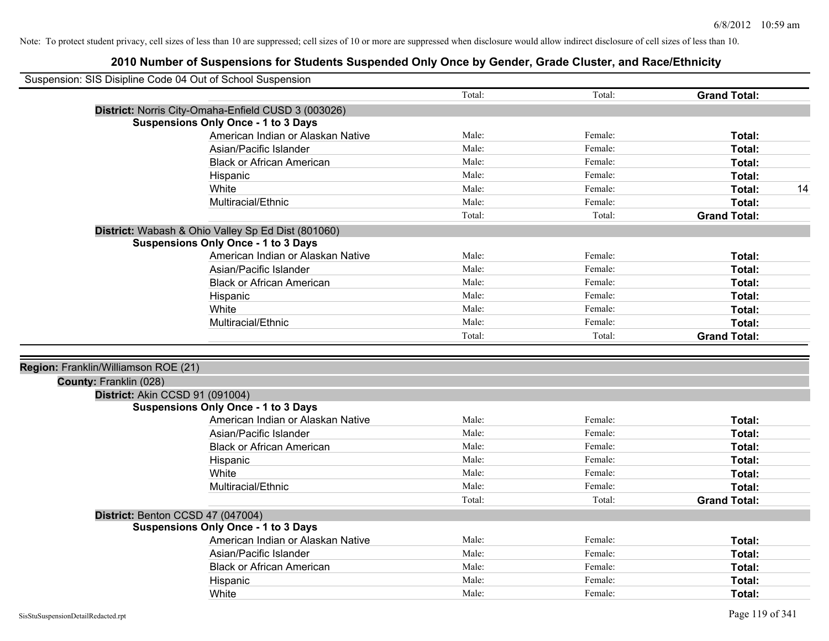| Suspension: SIS Disipline Code 04 Out of School Suspension |                                                     |        |         |                     |
|------------------------------------------------------------|-----------------------------------------------------|--------|---------|---------------------|
|                                                            |                                                     | Total: | Total:  | <b>Grand Total:</b> |
|                                                            | District: Norris City-Omaha-Enfield CUSD 3 (003026) |        |         |                     |
|                                                            | <b>Suspensions Only Once - 1 to 3 Days</b>          |        |         |                     |
|                                                            | American Indian or Alaskan Native                   | Male:  | Female: | Total:              |
|                                                            | Asian/Pacific Islander                              | Male:  | Female: | Total:              |
|                                                            | <b>Black or African American</b>                    | Male:  | Female: | Total:              |
|                                                            | Hispanic                                            | Male:  | Female: | Total:              |
|                                                            | White                                               | Male:  | Female: | Total:<br>14        |
|                                                            | Multiracial/Ethnic                                  | Male:  | Female: | Total:              |
|                                                            |                                                     | Total: | Total:  | <b>Grand Total:</b> |
|                                                            | District: Wabash & Ohio Valley Sp Ed Dist (801060)  |        |         |                     |
|                                                            | <b>Suspensions Only Once - 1 to 3 Days</b>          |        |         |                     |
|                                                            | American Indian or Alaskan Native                   | Male:  | Female: | Total:              |
|                                                            | Asian/Pacific Islander                              | Male:  | Female: | Total:              |
|                                                            | <b>Black or African American</b>                    | Male:  | Female: | Total:              |
|                                                            | Hispanic                                            | Male:  | Female: | Total:              |
|                                                            | White                                               | Male:  | Female: | Total:              |
|                                                            | Multiracial/Ethnic                                  | Male:  | Female: | Total:              |
|                                                            |                                                     | Total: | Total:  | <b>Grand Total:</b> |
|                                                            |                                                     |        |         |                     |
| Region: Franklin/Williamson ROE (21)                       |                                                     |        |         |                     |
| County: Franklin (028)                                     |                                                     |        |         |                     |
| District: Akin CCSD 91 (091004)                            |                                                     |        |         |                     |
|                                                            | <b>Suspensions Only Once - 1 to 3 Days</b>          |        |         |                     |
|                                                            | American Indian or Alaskan Native                   | Male:  | Female: | Total:              |
|                                                            | Asian/Pacific Islander                              | Male:  | Female: | Total:              |
|                                                            | <b>Black or African American</b>                    | Male:  | Female: | Total:              |
|                                                            | Hispanic                                            | Male:  | Female: | Total:              |
|                                                            | White                                               | Male:  | Female: | Total:              |
|                                                            | Multiracial/Ethnic                                  | Male:  | Female: | Total:              |
|                                                            |                                                     | Total: | Total:  | <b>Grand Total:</b> |
|                                                            | District: Benton CCSD 47 (047004)                   |        |         |                     |
|                                                            | <b>Suspensions Only Once - 1 to 3 Days</b>          |        |         |                     |
|                                                            | American Indian or Alaskan Native                   | Male:  | Female: | Total:              |
|                                                            | Asian/Pacific Islander                              | Male:  | Female: | Total:              |
|                                                            | <b>Black or African American</b>                    | Male:  | Female: | Total:              |
|                                                            | Hispanic                                            | Male:  | Female: | <b>Total:</b>       |
|                                                            | White                                               | Male:  | Female: | Total:              |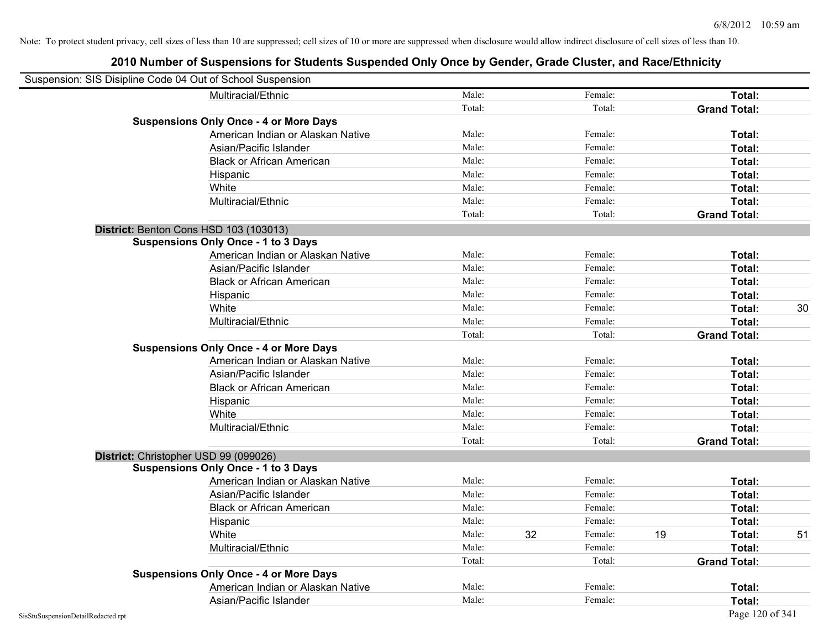| Suspension: SIS Disipline Code 04 Out of School Suspension |                                               |        |               |    |                     |    |
|------------------------------------------------------------|-----------------------------------------------|--------|---------------|----|---------------------|----|
|                                                            | Multiracial/Ethnic                            | Male:  | Female:       |    | Total:              |    |
|                                                            |                                               | Total: | Total:        |    | <b>Grand Total:</b> |    |
|                                                            | <b>Suspensions Only Once - 4 or More Days</b> |        |               |    |                     |    |
|                                                            | American Indian or Alaskan Native             | Male:  | Female:       |    | Total:              |    |
|                                                            | Asian/Pacific Islander                        | Male:  | Female:       |    | Total:              |    |
|                                                            | <b>Black or African American</b>              | Male:  | Female:       |    | Total:              |    |
|                                                            | Hispanic                                      | Male:  | Female:       |    | Total:              |    |
|                                                            | White                                         | Male:  | Female:       |    | Total:              |    |
|                                                            | Multiracial/Ethnic                            | Male:  | Female:       |    | Total:              |    |
|                                                            |                                               | Total: | Total:        |    | <b>Grand Total:</b> |    |
|                                                            | District: Benton Cons HSD 103 (103013)        |        |               |    |                     |    |
|                                                            | <b>Suspensions Only Once - 1 to 3 Days</b>    |        |               |    |                     |    |
|                                                            | American Indian or Alaskan Native             | Male:  | Female:       |    | Total:              |    |
|                                                            | Asian/Pacific Islander                        | Male:  | Female:       |    | Total:              |    |
|                                                            | <b>Black or African American</b>              | Male:  | Female:       |    | Total:              |    |
|                                                            | Hispanic                                      | Male:  | Female:       |    | Total:              |    |
|                                                            | White                                         | Male:  | Female:       |    | Total:              | 30 |
|                                                            | Multiracial/Ethnic                            | Male:  | Female:       |    | Total:              |    |
|                                                            |                                               | Total: | Total:        |    | <b>Grand Total:</b> |    |
|                                                            | <b>Suspensions Only Once - 4 or More Days</b> |        |               |    |                     |    |
|                                                            | American Indian or Alaskan Native             | Male:  | Female:       |    | Total:              |    |
|                                                            | Asian/Pacific Islander                        | Male:  | Female:       |    | Total:              |    |
|                                                            | <b>Black or African American</b>              | Male:  | Female:       |    | Total:              |    |
|                                                            | Hispanic                                      | Male:  | Female:       |    | Total:              |    |
|                                                            | White                                         | Male:  | Female:       |    | Total:              |    |
|                                                            | Multiracial/Ethnic                            | Male:  | Female:       |    | Total:              |    |
|                                                            |                                               | Total: | Total:        |    | <b>Grand Total:</b> |    |
| District: Christopher USD 99 (099026)                      |                                               |        |               |    |                     |    |
|                                                            | <b>Suspensions Only Once - 1 to 3 Days</b>    |        |               |    |                     |    |
|                                                            | American Indian or Alaskan Native             | Male:  | Female:       |    | Total:              |    |
|                                                            | Asian/Pacific Islander                        | Male:  | Female:       |    | Total:              |    |
|                                                            | <b>Black or African American</b>              | Male:  | Female:       |    | Total:              |    |
|                                                            | Hispanic                                      | Male:  | Female:       |    | Total:              |    |
|                                                            | White                                         | Male:  | 32<br>Female: | 19 | Total:              | 51 |
|                                                            | Multiracial/Ethnic                            | Male:  | Female:       |    | Total:              |    |
|                                                            |                                               | Total: | Total:        |    | <b>Grand Total:</b> |    |
|                                                            | <b>Suspensions Only Once - 4 or More Days</b> |        |               |    |                     |    |
|                                                            | American Indian or Alaskan Native             | Male:  | Female:       |    | Total:              |    |
|                                                            | Asian/Pacific Islander                        | Male:  | Female:       |    | Total:              |    |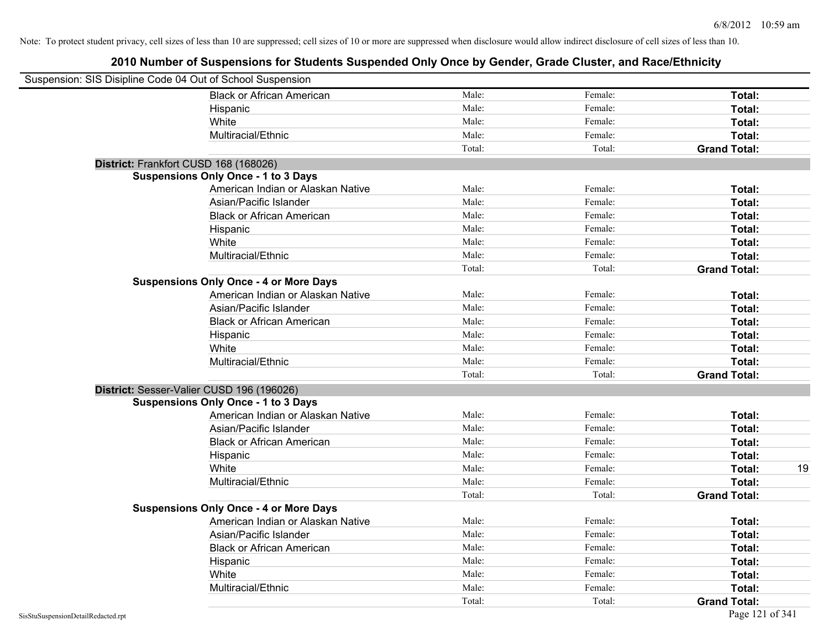| Suspension: SIS Disipline Code 04 Out of School Suspension |                                               |        |         |                     |
|------------------------------------------------------------|-----------------------------------------------|--------|---------|---------------------|
|                                                            | <b>Black or African American</b>              | Male:  | Female: | Total:              |
|                                                            | Hispanic                                      | Male:  | Female: | Total:              |
|                                                            | White                                         | Male:  | Female: | Total:              |
|                                                            | Multiracial/Ethnic                            | Male:  | Female: | Total:              |
|                                                            |                                               | Total: | Total:  | <b>Grand Total:</b> |
| District: Frankfort CUSD 168 (168026)                      |                                               |        |         |                     |
|                                                            | <b>Suspensions Only Once - 1 to 3 Days</b>    |        |         |                     |
|                                                            | American Indian or Alaskan Native             | Male:  | Female: | Total:              |
|                                                            | Asian/Pacific Islander                        | Male:  | Female: | Total:              |
|                                                            | <b>Black or African American</b>              | Male:  | Female: | Total:              |
|                                                            | Hispanic                                      | Male:  | Female: | Total:              |
|                                                            | White                                         | Male:  | Female: | Total:              |
|                                                            | Multiracial/Ethnic                            | Male:  | Female: | Total:              |
|                                                            |                                               | Total: | Total:  | <b>Grand Total:</b> |
|                                                            | <b>Suspensions Only Once - 4 or More Days</b> |        |         |                     |
|                                                            | American Indian or Alaskan Native             | Male:  | Female: | Total:              |
|                                                            | Asian/Pacific Islander                        | Male:  | Female: | Total:              |
|                                                            | <b>Black or African American</b>              | Male:  | Female: | Total:              |
|                                                            | Hispanic                                      | Male:  | Female: | Total:              |
|                                                            | White                                         | Male:  | Female: | Total:              |
|                                                            | Multiracial/Ethnic                            | Male:  | Female: | Total:              |
|                                                            |                                               | Total: | Total:  | <b>Grand Total:</b> |
| District: Sesser-Valier CUSD 196 (196026)                  |                                               |        |         |                     |
|                                                            | <b>Suspensions Only Once - 1 to 3 Days</b>    |        |         |                     |
|                                                            | American Indian or Alaskan Native             | Male:  | Female: | Total:              |
|                                                            | Asian/Pacific Islander                        | Male:  | Female: | Total:              |
|                                                            | <b>Black or African American</b>              | Male:  | Female: | Total:              |
|                                                            | Hispanic                                      | Male:  | Female: | Total:              |
|                                                            | White                                         | Male:  | Female: | Total:<br>19        |
|                                                            | Multiracial/Ethnic                            | Male:  | Female: | Total:              |
|                                                            |                                               | Total: | Total:  | <b>Grand Total:</b> |
|                                                            | <b>Suspensions Only Once - 4 or More Days</b> |        |         |                     |
|                                                            | American Indian or Alaskan Native             | Male:  | Female: | Total:              |
|                                                            | Asian/Pacific Islander                        | Male:  | Female: | Total:              |
|                                                            | <b>Black or African American</b>              | Male:  | Female: | Total:              |
|                                                            | Hispanic                                      | Male:  | Female: | Total:              |
|                                                            | White                                         | Male:  | Female: | Total:              |
|                                                            | Multiracial/Ethnic                            | Male:  | Female: | Total:              |
|                                                            |                                               | Total: | Total:  | <b>Grand Total:</b> |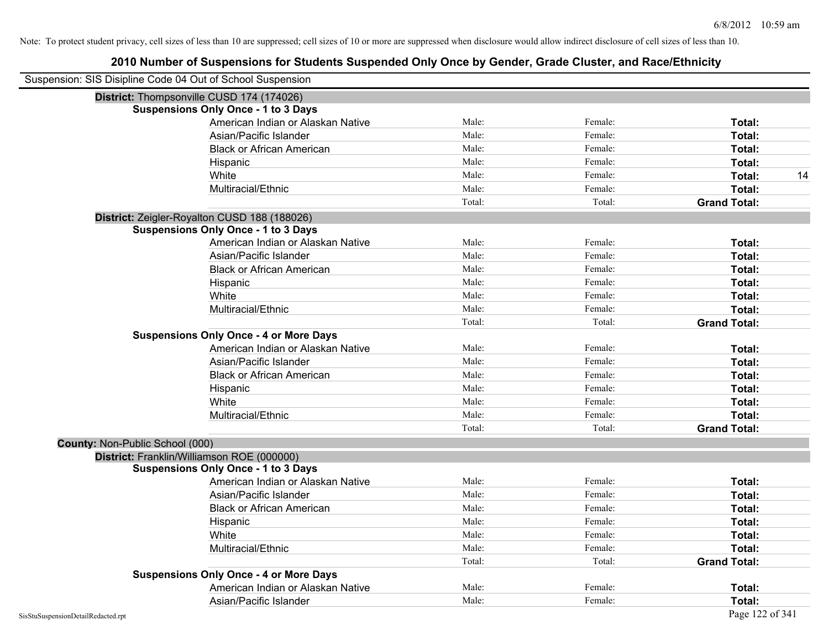|                                        | Suspension: SIS Disipline Code 04 Out of School Suspension |        |         |                     |
|----------------------------------------|------------------------------------------------------------|--------|---------|---------------------|
|                                        | District: Thompsonville CUSD 174 (174026)                  |        |         |                     |
|                                        | <b>Suspensions Only Once - 1 to 3 Days</b>                 |        |         |                     |
|                                        | American Indian or Alaskan Native                          | Male:  | Female: | Total:              |
|                                        | Asian/Pacific Islander                                     | Male:  | Female: | Total:              |
|                                        | <b>Black or African American</b>                           | Male:  | Female: | Total:              |
|                                        | Hispanic                                                   | Male:  | Female: | Total:              |
|                                        | White                                                      | Male:  | Female: | 14<br>Total:        |
|                                        | Multiracial/Ethnic                                         | Male:  | Female: | Total:              |
|                                        |                                                            | Total: | Total:  | <b>Grand Total:</b> |
|                                        | District: Zeigler-Royalton CUSD 188 (188026)               |        |         |                     |
|                                        | <b>Suspensions Only Once - 1 to 3 Days</b>                 |        |         |                     |
|                                        | American Indian or Alaskan Native                          | Male:  | Female: | Total:              |
|                                        | Asian/Pacific Islander                                     | Male:  | Female: | Total:              |
|                                        | <b>Black or African American</b>                           | Male:  | Female: | Total:              |
|                                        | Hispanic                                                   | Male:  | Female: | Total:              |
|                                        | White                                                      | Male:  | Female: | Total:              |
|                                        | Multiracial/Ethnic                                         | Male:  | Female: | Total:              |
|                                        |                                                            | Total: | Total:  | <b>Grand Total:</b> |
|                                        | <b>Suspensions Only Once - 4 or More Days</b>              |        |         |                     |
|                                        | American Indian or Alaskan Native                          | Male:  | Female: | Total:              |
|                                        | Asian/Pacific Islander                                     | Male:  | Female: | Total:              |
|                                        | <b>Black or African American</b>                           | Male:  | Female: | Total:              |
|                                        | Hispanic                                                   | Male:  | Female: | Total:              |
|                                        | White                                                      | Male:  | Female: | Total:              |
|                                        | Multiracial/Ethnic                                         | Male:  | Female: | Total:              |
|                                        |                                                            | Total: | Total:  | <b>Grand Total:</b> |
| <b>County: Non-Public School (000)</b> |                                                            |        |         |                     |
|                                        | District: Franklin/Williamson ROE (000000)                 |        |         |                     |
|                                        | <b>Suspensions Only Once - 1 to 3 Days</b>                 |        |         |                     |
|                                        | American Indian or Alaskan Native                          | Male:  | Female: | Total:              |
|                                        | Asian/Pacific Islander                                     | Male:  | Female: | Total:              |
|                                        | <b>Black or African American</b>                           | Male:  | Female: | Total:              |
|                                        | Hispanic                                                   | Male:  | Female: | Total:              |
|                                        | White                                                      | Male:  | Female: | Total:              |
|                                        | Multiracial/Ethnic                                         | Male:  | Female: | Total:              |
|                                        |                                                            | Total: | Total:  | <b>Grand Total:</b> |
|                                        | <b>Suspensions Only Once - 4 or More Days</b>              |        |         |                     |
|                                        | American Indian or Alaskan Native                          | Male:  | Female: | Total:              |
|                                        | Asian/Pacific Islander                                     | Male:  | Female: | Total:              |
| SisStuSuspensionDetailRedacted.rpt     |                                                            |        |         | Page 122 of 341     |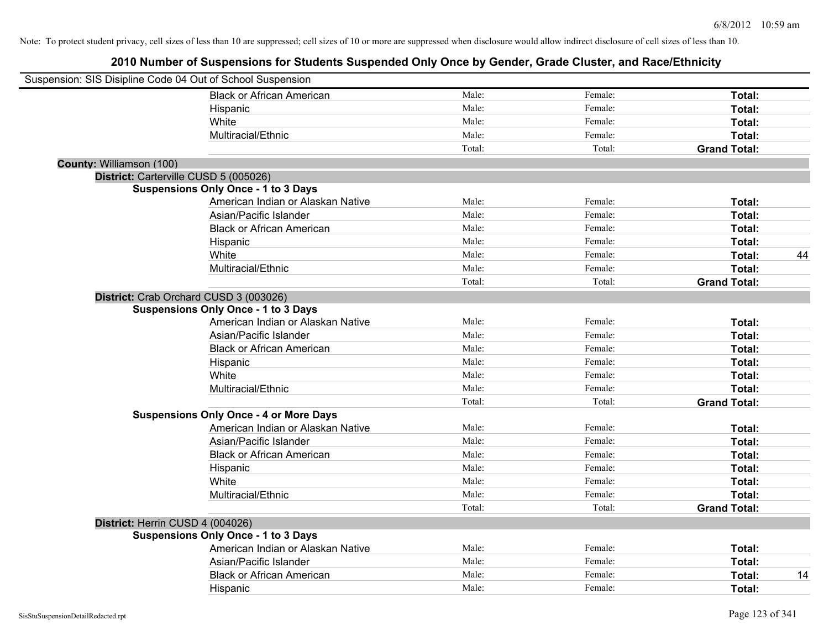| Suspension: SIS Disipline Code 04 Out of School Suspension |                                               |        |         |                     |
|------------------------------------------------------------|-----------------------------------------------|--------|---------|---------------------|
|                                                            | <b>Black or African American</b>              | Male:  | Female: | Total:              |
|                                                            | Hispanic                                      | Male:  | Female: | Total:              |
|                                                            | White                                         | Male:  | Female: | <b>Total:</b>       |
|                                                            | Multiracial/Ethnic                            | Male:  | Female: | Total:              |
|                                                            |                                               | Total: | Total:  | <b>Grand Total:</b> |
| County: Williamson (100)                                   |                                               |        |         |                     |
|                                                            | District: Carterville CUSD 5 (005026)         |        |         |                     |
|                                                            | <b>Suspensions Only Once - 1 to 3 Days</b>    |        |         |                     |
|                                                            | American Indian or Alaskan Native             | Male:  | Female: | Total:              |
|                                                            | Asian/Pacific Islander                        | Male:  | Female: | Total:              |
|                                                            | <b>Black or African American</b>              | Male:  | Female: | Total:              |
|                                                            | Hispanic                                      | Male:  | Female: | Total:              |
|                                                            | White                                         | Male:  | Female: | Total:<br>44        |
|                                                            | Multiracial/Ethnic                            | Male:  | Female: | Total:              |
|                                                            |                                               | Total: | Total:  | <b>Grand Total:</b> |
|                                                            | District: Crab Orchard CUSD 3 (003026)        |        |         |                     |
|                                                            | <b>Suspensions Only Once - 1 to 3 Days</b>    |        |         |                     |
|                                                            | American Indian or Alaskan Native             | Male:  | Female: | Total:              |
|                                                            | Asian/Pacific Islander                        | Male:  | Female: | Total:              |
|                                                            | <b>Black or African American</b>              | Male:  | Female: | Total:              |
|                                                            | Hispanic                                      | Male:  | Female: | Total:              |
|                                                            | White                                         | Male:  | Female: | Total:              |
|                                                            | Multiracial/Ethnic                            | Male:  | Female: | Total:              |
|                                                            |                                               | Total: | Total:  | <b>Grand Total:</b> |
|                                                            | <b>Suspensions Only Once - 4 or More Days</b> |        |         |                     |
|                                                            | American Indian or Alaskan Native             | Male:  | Female: | Total:              |
|                                                            | Asian/Pacific Islander                        | Male:  | Female: | Total:              |
|                                                            | <b>Black or African American</b>              | Male:  | Female: | Total:              |
|                                                            | Hispanic                                      | Male:  | Female: | Total:              |
|                                                            | White                                         | Male:  | Female: | Total:              |
|                                                            | Multiracial/Ethnic                            | Male:  | Female: | Total:              |
|                                                            |                                               | Total: | Total:  | <b>Grand Total:</b> |
| District: Herrin CUSD 4 (004026)                           |                                               |        |         |                     |
|                                                            | <b>Suspensions Only Once - 1 to 3 Days</b>    |        |         |                     |
|                                                            | American Indian or Alaskan Native             | Male:  | Female: | Total:              |
|                                                            | Asian/Pacific Islander                        | Male:  | Female: | Total:              |
|                                                            | <b>Black or African American</b>              | Male:  | Female: | 14<br>Total:        |
|                                                            | Hispanic                                      | Male:  | Female: | Total:              |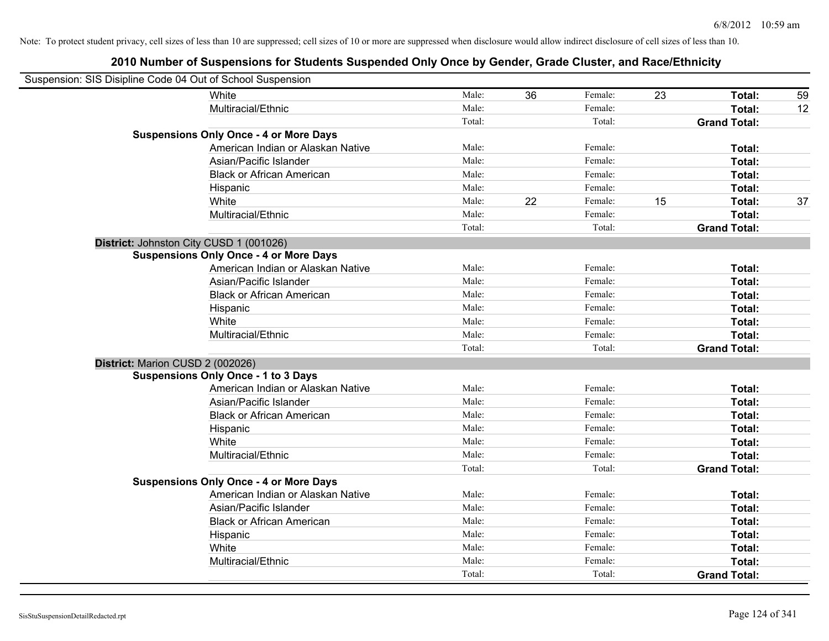| Suspension: SIS Disipline Code 04 Out of School Suspension |                                               |        |    |         |    |                     |    |
|------------------------------------------------------------|-----------------------------------------------|--------|----|---------|----|---------------------|----|
|                                                            | White                                         | Male:  | 36 | Female: | 23 | Total:              | 59 |
|                                                            | Multiracial/Ethnic                            | Male:  |    | Female: |    | Total:              | 12 |
|                                                            |                                               | Total: |    | Total:  |    | <b>Grand Total:</b> |    |
|                                                            | <b>Suspensions Only Once - 4 or More Days</b> |        |    |         |    |                     |    |
|                                                            | American Indian or Alaskan Native             | Male:  |    | Female: |    | Total:              |    |
|                                                            | Asian/Pacific Islander                        | Male:  |    | Female: |    | Total:              |    |
|                                                            | <b>Black or African American</b>              | Male:  |    | Female: |    | Total:              |    |
|                                                            | Hispanic                                      | Male:  |    | Female: |    | Total:              |    |
|                                                            | White                                         | Male:  | 22 | Female: | 15 | Total:              | 37 |
|                                                            | Multiracial/Ethnic                            | Male:  |    | Female: |    | Total:              |    |
|                                                            |                                               | Total: |    | Total:  |    | <b>Grand Total:</b> |    |
| District: Johnston City CUSD 1 (001026)                    |                                               |        |    |         |    |                     |    |
|                                                            | <b>Suspensions Only Once - 4 or More Days</b> |        |    |         |    |                     |    |
|                                                            | American Indian or Alaskan Native             | Male:  |    | Female: |    | Total:              |    |
|                                                            | Asian/Pacific Islander                        | Male:  |    | Female: |    | Total:              |    |
|                                                            | <b>Black or African American</b>              | Male:  |    | Female: |    | Total:              |    |
|                                                            | Hispanic                                      | Male:  |    | Female: |    | Total:              |    |
|                                                            | White                                         | Male:  |    | Female: |    | Total:              |    |
|                                                            | Multiracial/Ethnic                            | Male:  |    | Female: |    | Total:              |    |
|                                                            |                                               | Total: |    | Total:  |    | <b>Grand Total:</b> |    |
| District: Marion CUSD 2 (002026)                           |                                               |        |    |         |    |                     |    |
|                                                            | <b>Suspensions Only Once - 1 to 3 Days</b>    |        |    |         |    |                     |    |
|                                                            | American Indian or Alaskan Native             | Male:  |    | Female: |    | Total:              |    |
|                                                            | Asian/Pacific Islander                        | Male:  |    | Female: |    | Total:              |    |
|                                                            | <b>Black or African American</b>              | Male:  |    | Female: |    | Total:              |    |
|                                                            | Hispanic                                      | Male:  |    | Female: |    | Total:              |    |
|                                                            | White                                         | Male:  |    | Female: |    | Total:              |    |
|                                                            | Multiracial/Ethnic                            | Male:  |    | Female: |    | Total:              |    |
|                                                            |                                               | Total: |    | Total:  |    | <b>Grand Total:</b> |    |
|                                                            | <b>Suspensions Only Once - 4 or More Days</b> |        |    |         |    |                     |    |
|                                                            | American Indian or Alaskan Native             | Male:  |    | Female: |    | Total:              |    |
|                                                            | Asian/Pacific Islander                        | Male:  |    | Female: |    | Total:              |    |
|                                                            | <b>Black or African American</b>              | Male:  |    | Female: |    | Total:              |    |
|                                                            | Hispanic                                      | Male:  |    | Female: |    | Total:              |    |
|                                                            | White                                         | Male:  |    | Female: |    | Total:              |    |
|                                                            | Multiracial/Ethnic                            | Male:  |    | Female: |    | Total:              |    |
|                                                            |                                               | Total: |    | Total:  |    | <b>Grand Total:</b> |    |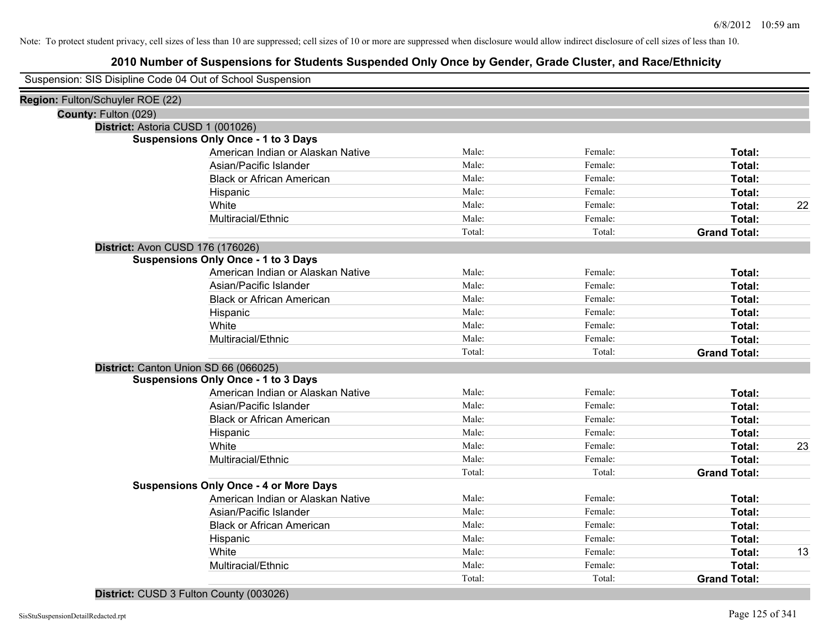# **2010 Number of Suspensions for Students Suspended Only Once by Gender, Grade Cluster, and Race/Ethnicity**

| Suspension: SIS Disipline Code 04 Out of School Suspension |        |         |                     |    |
|------------------------------------------------------------|--------|---------|---------------------|----|
| Region: Fulton/Schuyler ROE (22)                           |        |         |                     |    |
| County: Fulton (029)                                       |        |         |                     |    |
| District: Astoria CUSD 1 (001026)                          |        |         |                     |    |
| <b>Suspensions Only Once - 1 to 3 Days</b>                 |        |         |                     |    |
| American Indian or Alaskan Native                          | Male:  | Female: | Total:              |    |
| Asian/Pacific Islander                                     | Male:  | Female: | Total:              |    |
| <b>Black or African American</b>                           | Male:  | Female: | Total:              |    |
| Hispanic                                                   | Male:  | Female: | <b>Total:</b>       |    |
| White                                                      | Male:  | Female: | Total:              | 22 |
| Multiracial/Ethnic                                         | Male:  | Female: | Total:              |    |
|                                                            | Total: | Total:  | <b>Grand Total:</b> |    |
| District: Avon CUSD 176 (176026)                           |        |         |                     |    |
| <b>Suspensions Only Once - 1 to 3 Days</b>                 |        |         |                     |    |
| American Indian or Alaskan Native                          | Male:  | Female: | Total:              |    |
| Asian/Pacific Islander                                     | Male:  | Female: | Total:              |    |
| <b>Black or African American</b>                           | Male:  | Female: | Total:              |    |
| Hispanic                                                   | Male:  | Female: | Total:              |    |
| White                                                      | Male:  | Female: | Total:              |    |
| Multiracial/Ethnic                                         | Male:  | Female: | Total:              |    |
|                                                            | Total: | Total:  | <b>Grand Total:</b> |    |
| District: Canton Union SD 66 (066025)                      |        |         |                     |    |
| <b>Suspensions Only Once - 1 to 3 Days</b>                 |        |         |                     |    |
| American Indian or Alaskan Native                          | Male:  | Female: | Total:              |    |
| Asian/Pacific Islander                                     | Male:  | Female: | Total:              |    |
| <b>Black or African American</b>                           | Male:  | Female: | Total:              |    |
| Hispanic                                                   | Male:  | Female: | Total:              |    |
| White                                                      | Male:  | Female: | Total:              | 23 |
| Multiracial/Ethnic                                         | Male:  | Female: | Total:              |    |
|                                                            | Total: | Total:  | <b>Grand Total:</b> |    |
| <b>Suspensions Only Once - 4 or More Days</b>              |        |         |                     |    |
| American Indian or Alaskan Native                          | Male:  | Female: | Total:              |    |
| Asian/Pacific Islander                                     | Male:  | Female: | Total:              |    |
| <b>Black or African American</b>                           | Male:  | Female: | Total:              |    |
| Hispanic                                                   | Male:  | Female: | Total:              |    |
| White                                                      | Male:  | Female: | Total:              | 13 |
| Multiracial/Ethnic                                         | Male:  | Female: | Total:              |    |
|                                                            | Total: | Total:  | <b>Grand Total:</b> |    |

### **District:** CUSD 3 Fulton County (003026)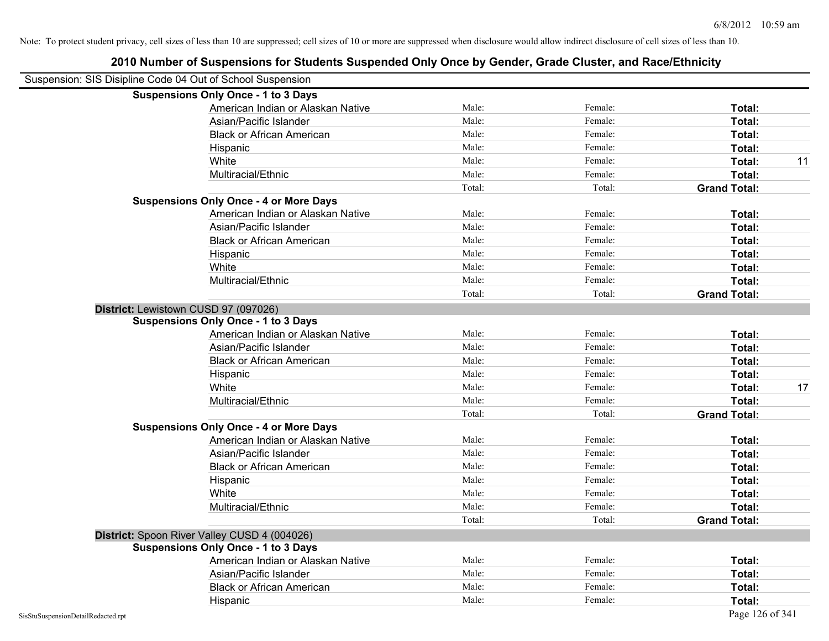| Suspension: SIS Disipline Code 04 Out of School Suspension |                                               |        |         |                     |
|------------------------------------------------------------|-----------------------------------------------|--------|---------|---------------------|
|                                                            | <b>Suspensions Only Once - 1 to 3 Days</b>    |        |         |                     |
|                                                            | American Indian or Alaskan Native             | Male:  | Female: | Total:              |
|                                                            | Asian/Pacific Islander                        | Male:  | Female: | Total:              |
|                                                            | <b>Black or African American</b>              | Male:  | Female: | Total:              |
|                                                            | Hispanic                                      | Male:  | Female: | Total:              |
|                                                            | White                                         | Male:  | Female: | Total:<br>11        |
|                                                            | Multiracial/Ethnic                            | Male:  | Female: | Total:              |
|                                                            |                                               | Total: | Total:  | <b>Grand Total:</b> |
|                                                            | <b>Suspensions Only Once - 4 or More Days</b> |        |         |                     |
|                                                            | American Indian or Alaskan Native             | Male:  | Female: | Total:              |
|                                                            | Asian/Pacific Islander                        | Male:  | Female: | Total:              |
|                                                            | <b>Black or African American</b>              | Male:  | Female: | Total:              |
|                                                            | Hispanic                                      | Male:  | Female: | Total:              |
|                                                            | White                                         | Male:  | Female: | Total:              |
|                                                            | Multiracial/Ethnic                            | Male:  | Female: | Total:              |
|                                                            |                                               | Total: | Total:  | <b>Grand Total:</b> |
| District: Lewistown CUSD 97 (097026)                       |                                               |        |         |                     |
|                                                            | <b>Suspensions Only Once - 1 to 3 Days</b>    |        |         |                     |
|                                                            | American Indian or Alaskan Native             | Male:  | Female: | Total:              |
|                                                            | Asian/Pacific Islander                        | Male:  | Female: | Total:              |
|                                                            | <b>Black or African American</b>              | Male:  | Female: | Total:              |
|                                                            | Hispanic                                      | Male:  | Female: | Total:              |
|                                                            | White                                         | Male:  | Female: | 17<br>Total:        |
|                                                            | Multiracial/Ethnic                            | Male:  | Female: | Total:              |
|                                                            |                                               | Total: | Total:  | <b>Grand Total:</b> |
|                                                            | <b>Suspensions Only Once - 4 or More Days</b> |        |         |                     |
|                                                            | American Indian or Alaskan Native             | Male:  | Female: | Total:              |
|                                                            | Asian/Pacific Islander                        | Male:  | Female: | Total:              |
|                                                            | <b>Black or African American</b>              | Male:  | Female: | Total:              |
|                                                            | Hispanic                                      | Male:  | Female: | Total:              |
|                                                            | White                                         | Male:  | Female: | Total:              |
|                                                            | Multiracial/Ethnic                            | Male:  | Female: | Total:              |
|                                                            |                                               | Total: | Total:  | <b>Grand Total:</b> |
| District: Spoon River Valley CUSD 4 (004026)               |                                               |        |         |                     |
|                                                            | <b>Suspensions Only Once - 1 to 3 Days</b>    |        |         |                     |
|                                                            | American Indian or Alaskan Native             | Male:  | Female: | Total:              |
|                                                            | Asian/Pacific Islander                        | Male:  | Female: | Total:              |
|                                                            | <b>Black or African American</b>              | Male:  | Female: | Total:              |
|                                                            | Hispanic                                      | Male:  | Female: | Total:              |
| SisStuSuspensionDetailRedacted.rpt                         |                                               |        |         | Page 126 of 341     |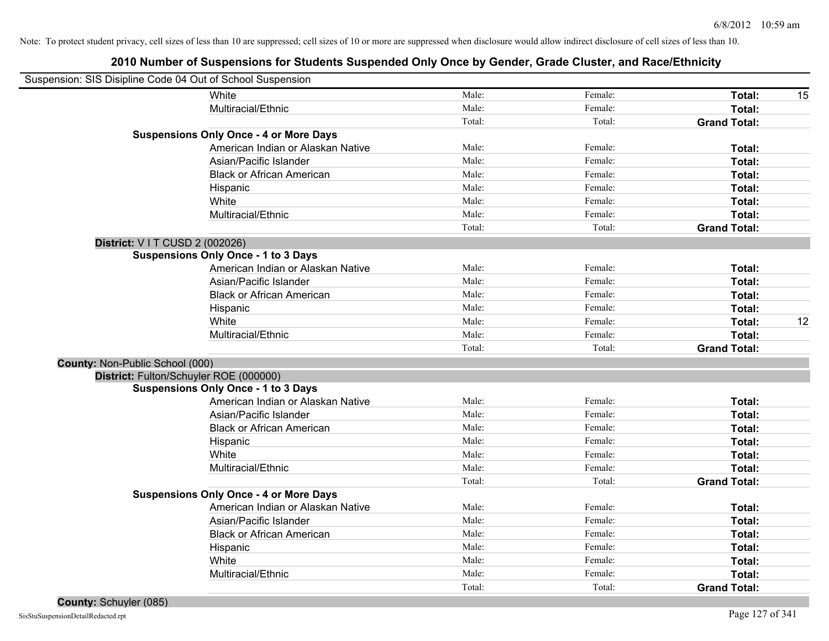| Suspension: SIS Disipline Code 04 Out of School Suspension |        |         |                     |    |
|------------------------------------------------------------|--------|---------|---------------------|----|
| White                                                      | Male:  | Female: | Total:              | 15 |
| Multiracial/Ethnic                                         | Male:  | Female: | Total:              |    |
|                                                            | Total: | Total:  | <b>Grand Total:</b> |    |
| <b>Suspensions Only Once - 4 or More Days</b>              |        |         |                     |    |
| American Indian or Alaskan Native                          | Male:  | Female: | Total:              |    |
| Asian/Pacific Islander                                     | Male:  | Female: | Total:              |    |
| <b>Black or African American</b>                           | Male:  | Female: | Total:              |    |
| Hispanic                                                   | Male:  | Female: | Total:              |    |
| White                                                      | Male:  | Female: | Total:              |    |
| Multiracial/Ethnic                                         | Male:  | Female: | Total:              |    |
|                                                            | Total: | Total:  | <b>Grand Total:</b> |    |
| District: V I T CUSD 2 (002026)                            |        |         |                     |    |
| <b>Suspensions Only Once - 1 to 3 Days</b>                 |        |         |                     |    |
| American Indian or Alaskan Native                          | Male:  | Female: | Total:              |    |
| Asian/Pacific Islander                                     | Male:  | Female: | Total:              |    |
| <b>Black or African American</b>                           | Male:  | Female: | Total:              |    |
| Hispanic                                                   | Male:  | Female: | Total:              |    |
| White                                                      | Male:  | Female: | Total:              | 12 |
| Multiracial/Ethnic                                         | Male:  | Female: | Total:              |    |
|                                                            | Total: | Total:  | <b>Grand Total:</b> |    |
| County: Non-Public School (000)                            |        |         |                     |    |
| District: Fulton/Schuyler ROE (000000)                     |        |         |                     |    |
| <b>Suspensions Only Once - 1 to 3 Days</b>                 |        |         |                     |    |
| American Indian or Alaskan Native                          | Male:  | Female: | Total:              |    |
| Asian/Pacific Islander                                     | Male:  | Female: | Total:              |    |
| <b>Black or African American</b>                           | Male:  | Female: | Total:              |    |
| Hispanic                                                   | Male:  | Female: | Total:              |    |
| White                                                      | Male:  | Female: | Total:              |    |
| Multiracial/Ethnic                                         | Male:  | Female: | Total:              |    |
|                                                            | Total: | Total:  | <b>Grand Total:</b> |    |
| <b>Suspensions Only Once - 4 or More Days</b>              |        |         |                     |    |
| American Indian or Alaskan Native                          | Male:  | Female: | Total:              |    |
| Asian/Pacific Islander                                     | Male:  | Female: | Total:              |    |
| <b>Black or African American</b>                           | Male:  | Female: | Total:              |    |
| Hispanic                                                   | Male:  | Female: | Total:              |    |
| White                                                      | Male:  | Female: | Total:              |    |
| Multiracial/Ethnic                                         | Male:  | Female: | Total:              |    |
|                                                            | Total: | Total:  | <b>Grand Total:</b> |    |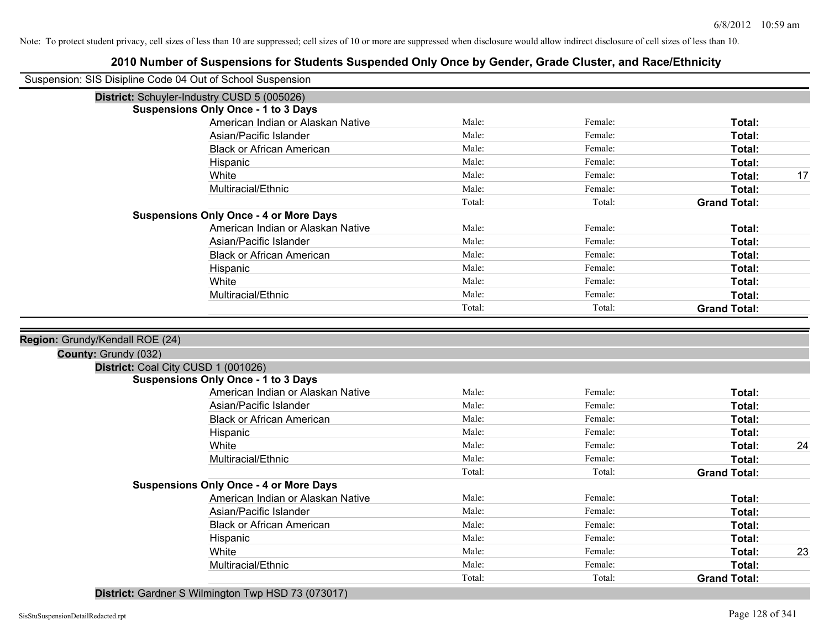# **2010 Number of Suspensions for Students Suspended Only Once by Gender, Grade Cluster, and Race/Ethnicity**

| Suspension: SIS Disipline Code 04 Out of School Suspension                                     |                                               |                |                    |                     |    |
|------------------------------------------------------------------------------------------------|-----------------------------------------------|----------------|--------------------|---------------------|----|
|                                                                                                | District: Schuyler-Industry CUSD 5 (005026)   |                |                    |                     |    |
|                                                                                                | <b>Suspensions Only Once - 1 to 3 Days</b>    |                |                    |                     |    |
|                                                                                                | American Indian or Alaskan Native             | Male:          | Female:            | Total:              |    |
|                                                                                                | Asian/Pacific Islander                        | Male:          | Female:            | Total:              |    |
|                                                                                                | <b>Black or African American</b>              | Male:          | Female:            | Total:              |    |
|                                                                                                | Hispanic                                      | Male:          | Female:            | Total:              |    |
|                                                                                                | White                                         | Male:          | Female:            | Total:              | 17 |
|                                                                                                | Multiracial/Ethnic                            | Male:          | Female:            | Total:              |    |
|                                                                                                |                                               | Total:         | Total:             | <b>Grand Total:</b> |    |
|                                                                                                | <b>Suspensions Only Once - 4 or More Days</b> |                |                    |                     |    |
|                                                                                                | American Indian or Alaskan Native             | Male:          | Female:            | Total:              |    |
|                                                                                                | Asian/Pacific Islander                        | Male:          | Female:            | Total:              |    |
|                                                                                                | <b>Black or African American</b>              | Male:          | Female:            | Total:              |    |
|                                                                                                | Hispanic                                      | Male:          | Female:            | Total:              |    |
|                                                                                                | White                                         | Male:          | Female:            | Total:              |    |
|                                                                                                | Multiracial/Ethnic                            | Male:          | Female:            | Total:              |    |
|                                                                                                |                                               | Total:         | Total:             | <b>Grand Total:</b> |    |
| Region: Grundy/Kendall ROE (24)<br>County: Grundy (032)<br>District: Coal City CUSD 1 (001026) |                                               |                |                    |                     |    |
|                                                                                                | <b>Suspensions Only Once - 1 to 3 Days</b>    |                |                    |                     |    |
|                                                                                                | American Indian or Alaskan Native             | Male:          | Female:            | Total:              |    |
|                                                                                                | Asian/Pacific Islander                        | Male:          | Female:            | Total:              |    |
|                                                                                                | <b>Black or African American</b>              | Male:          | Female:            | Total:              |    |
|                                                                                                | Hispanic                                      | Male:          | Female:            | Total:              |    |
|                                                                                                | White                                         | Male:          | Female:            | Total:              | 24 |
|                                                                                                | Multiracial/Ethnic                            | Male:          | Female:            | Total:              |    |
|                                                                                                |                                               | Total:         | Total:             | <b>Grand Total:</b> |    |
|                                                                                                | <b>Suspensions Only Once - 4 or More Days</b> |                |                    |                     |    |
|                                                                                                |                                               |                | Female:            |                     |    |
|                                                                                                |                                               |                |                    |                     |    |
|                                                                                                | American Indian or Alaskan Native             | Male:          |                    | Total:              |    |
|                                                                                                | Asian/Pacific Islander                        | Male:          | Female:            | Total:              |    |
|                                                                                                | <b>Black or African American</b>              | Male:<br>Male: | Female:<br>Female: | Total:              |    |
|                                                                                                | Hispanic<br>White                             | Male:          | Female:            | Total:<br>Total:    | 23 |
|                                                                                                | Multiracial/Ethnic                            | Male:          | Female:            | Total:              |    |
|                                                                                                |                                               | Total:         | Total:             | <b>Grand Total:</b> |    |

### **District:** Gardner S Wilmington Twp HSD 73 (073017)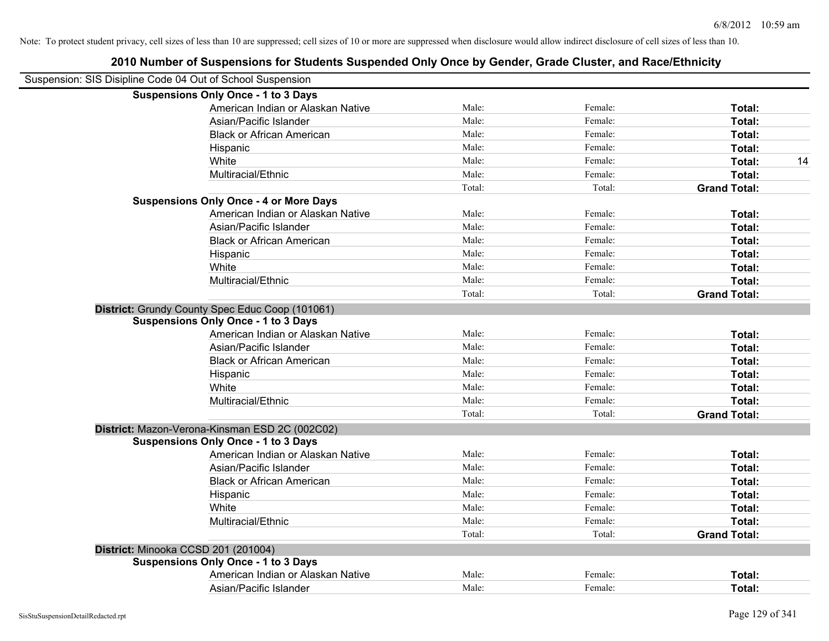| 2010 Number of Suspensions for Students Suspended Only Once by Gender, Grade Cluster, and Race/Ethnicity |        |         |                     |
|----------------------------------------------------------------------------------------------------------|--------|---------|---------------------|
| Suspension: SIS Disipline Code 04 Out of School Suspension                                               |        |         |                     |
| <b>Suspensions Only Once - 1 to 3 Days</b>                                                               |        |         |                     |
| American Indian or Alaskan Native                                                                        | Male:  | Female: | Total:              |
| Asian/Pacific Islander                                                                                   | Male:  | Female: | Total:              |
| <b>Black or African American</b>                                                                         | Male:  | Female: | Total:              |
| Hispanic                                                                                                 | Male:  | Female: | Total:              |
| White                                                                                                    | Male:  | Female: | 14<br>Total:        |
| Multiracial/Ethnic                                                                                       | Male:  | Female: | Total:              |
|                                                                                                          | Total: | Total:  | <b>Grand Total:</b> |
| <b>Suspensions Only Once - 4 or More Days</b>                                                            |        |         |                     |
| American Indian or Alaskan Native                                                                        | Male:  | Female: | Total:              |
| Asian/Pacific Islander                                                                                   | Male:  | Female: | Total:              |
| <b>Black or African American</b>                                                                         | Male:  | Female: | Total:              |
| Hispanic                                                                                                 | Male:  | Female: | Total:              |
| White                                                                                                    | Male:  | Female: | Total:              |
| Multiracial/Ethnic                                                                                       | Male:  | Female: | Total:              |
|                                                                                                          | Total: | Total:  | <b>Grand Total:</b> |
| District: Grundy County Spec Educ Coop (101061)                                                          |        |         |                     |
| <b>Suspensions Only Once - 1 to 3 Days</b>                                                               |        |         |                     |
| American Indian or Alaskan Native                                                                        | Male:  | Female: | Total:              |
| Asian/Pacific Islander                                                                                   | Male:  | Female: | Total:              |
| <b>Black or African American</b>                                                                         | Male:  | Female: | Total:              |
| Hispanic                                                                                                 | Male:  | Female: | Total:              |
| White                                                                                                    | Male:  | Female: | Total:              |
| Multiracial/Ethnic                                                                                       | Male:  | Female: | Total:              |
|                                                                                                          | Total: | Total:  | <b>Grand Total:</b> |
| District: Mazon-Verona-Kinsman ESD 2C (002C02)                                                           |        |         |                     |
| <b>Suspensions Only Once - 1 to 3 Days</b>                                                               |        |         |                     |
| American Indian or Alaskan Native                                                                        | Male:  | Female: | Total:              |
| Asian/Pacific Islander                                                                                   | Male:  | Female: | Total:              |
| <b>Black or African American</b>                                                                         | Male:  | Female: | Total:              |
| Hispanic                                                                                                 | Male:  | Female: | Total:              |
| White                                                                                                    | Male:  | Female: | Total:              |
| Multiracial/Ethnic                                                                                       | Male:  | Female: | Total:              |
|                                                                                                          | Total: | Total:  | <b>Grand Total:</b> |
| District: Minooka CCSD 201 (201004)                                                                      |        |         |                     |
| <b>Suspensions Only Once - 1 to 3 Days</b>                                                               |        |         |                     |
| American Indian or Alaskan Native                                                                        | Male:  | Female: | Total:              |
| Asian/Pacific Islander                                                                                   | Male:  | Female: | Total:              |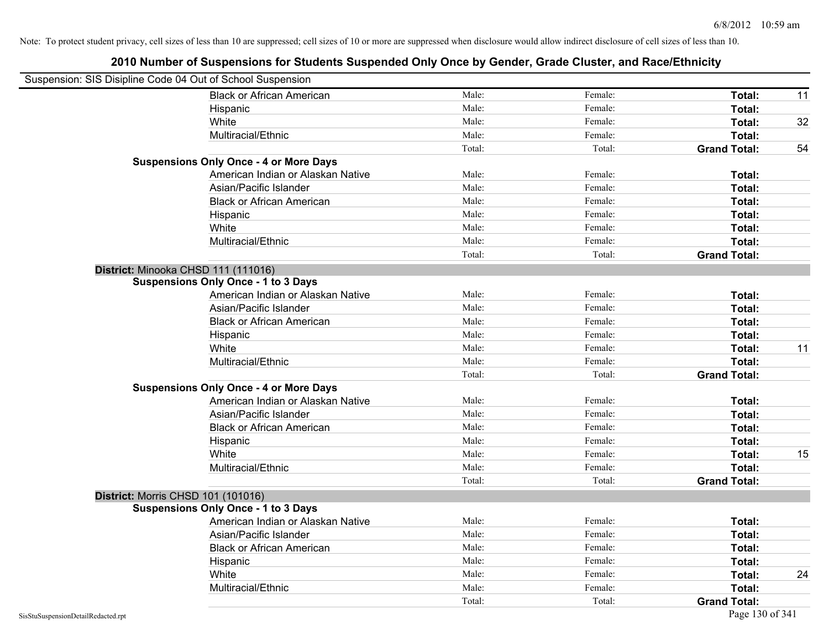|                                    | Suspension: SIS Disipline Code 04 Out of School Suspension |        |         |                     |    |
|------------------------------------|------------------------------------------------------------|--------|---------|---------------------|----|
|                                    | <b>Black or African American</b>                           | Male:  | Female: | Total:              | 11 |
|                                    | Hispanic                                                   | Male:  | Female: | Total:              |    |
|                                    | White                                                      | Male:  | Female: | Total:              | 32 |
|                                    | Multiracial/Ethnic                                         | Male:  | Female: | Total:              |    |
|                                    |                                                            | Total: | Total:  | <b>Grand Total:</b> | 54 |
|                                    | <b>Suspensions Only Once - 4 or More Days</b>              |        |         |                     |    |
|                                    | American Indian or Alaskan Native                          | Male:  | Female: | Total:              |    |
|                                    | Asian/Pacific Islander                                     | Male:  | Female: | Total:              |    |
|                                    | <b>Black or African American</b>                           | Male:  | Female: | Total:              |    |
|                                    | Hispanic                                                   | Male:  | Female: | Total:              |    |
|                                    | White                                                      | Male:  | Female: | Total:              |    |
|                                    | Multiracial/Ethnic                                         | Male:  | Female: | Total:              |    |
|                                    |                                                            | Total: | Total:  | <b>Grand Total:</b> |    |
|                                    | District: Minooka CHSD 111 (111016)                        |        |         |                     |    |
|                                    | <b>Suspensions Only Once - 1 to 3 Days</b>                 |        |         |                     |    |
|                                    | American Indian or Alaskan Native                          | Male:  | Female: | Total:              |    |
|                                    | Asian/Pacific Islander                                     | Male:  | Female: | Total:              |    |
|                                    | <b>Black or African American</b>                           | Male:  | Female: | Total:              |    |
|                                    | Hispanic                                                   | Male:  | Female: | Total:              |    |
|                                    | White                                                      | Male:  | Female: | Total:              | 11 |
|                                    | Multiracial/Ethnic                                         | Male:  | Female: | Total:              |    |
|                                    |                                                            | Total: | Total:  | <b>Grand Total:</b> |    |
|                                    | <b>Suspensions Only Once - 4 or More Days</b>              |        |         |                     |    |
|                                    | American Indian or Alaskan Native                          | Male:  | Female: | Total:              |    |
|                                    | Asian/Pacific Islander                                     | Male:  | Female: | Total:              |    |
|                                    | <b>Black or African American</b>                           | Male:  | Female: | Total:              |    |
|                                    | Hispanic                                                   | Male:  | Female: | Total:              |    |
|                                    | White                                                      | Male:  | Female: | Total:              | 15 |
|                                    | Multiracial/Ethnic                                         | Male:  | Female: | Total:              |    |
|                                    |                                                            | Total: | Total:  | <b>Grand Total:</b> |    |
|                                    | District: Morris CHSD 101 (101016)                         |        |         |                     |    |
|                                    | <b>Suspensions Only Once - 1 to 3 Days</b>                 |        |         |                     |    |
|                                    | American Indian or Alaskan Native                          | Male:  | Female: | Total:              |    |
|                                    | Asian/Pacific Islander                                     | Male:  | Female: | Total:              |    |
|                                    | <b>Black or African American</b>                           | Male:  | Female: | Total:              |    |
|                                    | Hispanic                                                   | Male:  | Female: | Total:              |    |
|                                    | White                                                      | Male:  | Female: | Total:              | 24 |
|                                    | Multiracial/Ethnic                                         | Male:  | Female: | Total:              |    |
|                                    |                                                            | Total: | Total:  | <b>Grand Total:</b> |    |
| SisStuSuspensionDetailRedacted.rpt |                                                            |        |         | Page 130 of 341     |    |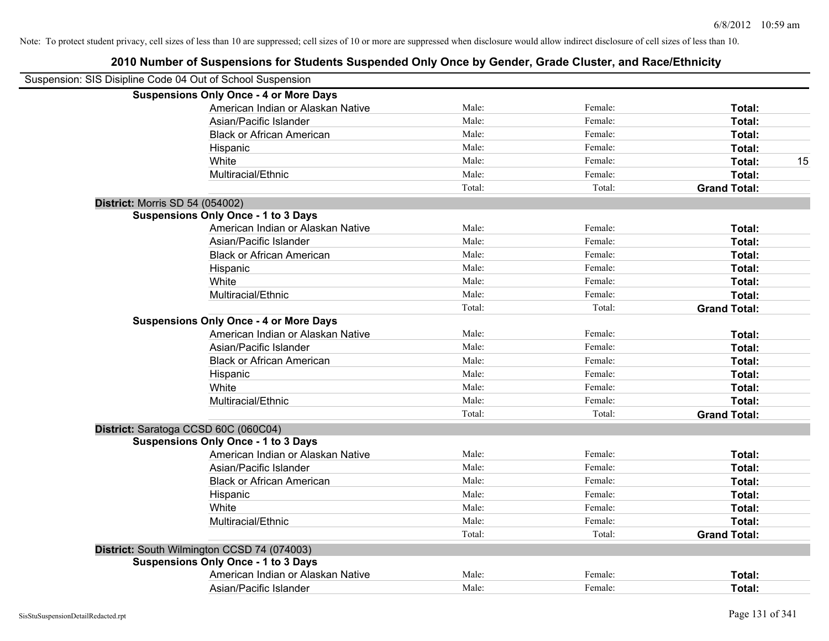|                                        | Suspension: SIS Disipline Code 04 Out of School Suspension |        |         |                     |
|----------------------------------------|------------------------------------------------------------|--------|---------|---------------------|
|                                        | <b>Suspensions Only Once - 4 or More Days</b>              |        |         |                     |
|                                        | American Indian or Alaskan Native                          | Male:  | Female: | Total:              |
|                                        | Asian/Pacific Islander                                     | Male:  | Female: | Total:              |
|                                        | <b>Black or African American</b>                           | Male:  | Female: | Total:              |
|                                        | Hispanic                                                   | Male:  | Female: | Total:              |
|                                        | White                                                      | Male:  | Female: | Total:<br>15        |
|                                        | Multiracial/Ethnic                                         | Male:  | Female: | Total:              |
|                                        |                                                            | Total: | Total:  | <b>Grand Total:</b> |
| <b>District: Morris SD 54 (054002)</b> |                                                            |        |         |                     |
|                                        | <b>Suspensions Only Once - 1 to 3 Days</b>                 |        |         |                     |
|                                        | American Indian or Alaskan Native                          | Male:  | Female: | Total:              |
|                                        | Asian/Pacific Islander                                     | Male:  | Female: | Total:              |
|                                        | <b>Black or African American</b>                           | Male:  | Female: | Total:              |
|                                        | Hispanic                                                   | Male:  | Female: | Total:              |
|                                        | White                                                      | Male:  | Female: | Total:              |
|                                        | Multiracial/Ethnic                                         | Male:  | Female: | Total:              |
|                                        |                                                            | Total: | Total:  | <b>Grand Total:</b> |
|                                        | <b>Suspensions Only Once - 4 or More Days</b>              |        |         |                     |
|                                        | American Indian or Alaskan Native                          | Male:  | Female: | Total:              |
|                                        | Asian/Pacific Islander                                     | Male:  | Female: | Total:              |
|                                        | <b>Black or African American</b>                           | Male:  | Female: | Total:              |
|                                        | Hispanic                                                   | Male:  | Female: | Total:              |
|                                        | White                                                      | Male:  | Female: | Total:              |
|                                        | Multiracial/Ethnic                                         | Male:  | Female: | Total:              |
|                                        |                                                            | Total: | Total:  | <b>Grand Total:</b> |
|                                        | District: Saratoga CCSD 60C (060C04)                       |        |         |                     |
|                                        | <b>Suspensions Only Once - 1 to 3 Days</b>                 |        |         |                     |
|                                        | American Indian or Alaskan Native                          | Male:  | Female: | Total:              |
|                                        | Asian/Pacific Islander                                     | Male:  | Female: | Total:              |
|                                        | <b>Black or African American</b>                           | Male:  | Female: | Total:              |
|                                        | Hispanic                                                   | Male:  | Female: | Total:              |
|                                        | White                                                      | Male:  | Female: | Total:              |
|                                        | Multiracial/Ethnic                                         | Male:  | Female: | Total:              |
|                                        |                                                            | Total: | Total:  | <b>Grand Total:</b> |
|                                        | District: South Wilmington CCSD 74 (074003)                |        |         |                     |
|                                        | <b>Suspensions Only Once - 1 to 3 Days</b>                 |        |         |                     |
|                                        | American Indian or Alaskan Native                          | Male:  | Female: | Total:              |
|                                        | Asian/Pacific Islander                                     | Male:  | Female: | Total:              |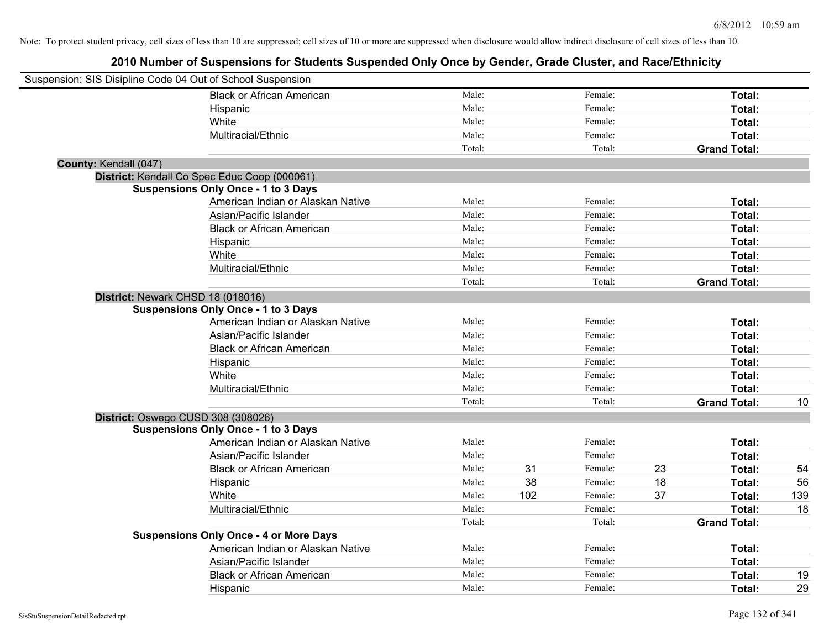|                       | Suspension: SIS Disipline Code 04 Out of School Suspension |        |     |         |    |                     |     |
|-----------------------|------------------------------------------------------------|--------|-----|---------|----|---------------------|-----|
|                       | <b>Black or African American</b>                           | Male:  |     | Female: |    | Total:              |     |
|                       | Hispanic                                                   | Male:  |     | Female: |    | Total:              |     |
|                       | White                                                      | Male:  |     | Female: |    | Total:              |     |
|                       | Multiracial/Ethnic                                         | Male:  |     | Female: |    | Total:              |     |
|                       |                                                            | Total: |     | Total:  |    | <b>Grand Total:</b> |     |
| County: Kendall (047) |                                                            |        |     |         |    |                     |     |
|                       | District: Kendall Co Spec Educ Coop (000061)               |        |     |         |    |                     |     |
|                       | <b>Suspensions Only Once - 1 to 3 Days</b>                 |        |     |         |    |                     |     |
|                       | American Indian or Alaskan Native                          | Male:  |     | Female: |    | Total:              |     |
|                       | Asian/Pacific Islander                                     | Male:  |     | Female: |    | Total:              |     |
|                       | <b>Black or African American</b>                           | Male:  |     | Female: |    | Total:              |     |
|                       | Hispanic                                                   | Male:  |     | Female: |    | Total:              |     |
|                       | White                                                      | Male:  |     | Female: |    | Total:              |     |
|                       | Multiracial/Ethnic                                         | Male:  |     | Female: |    | Total:              |     |
|                       |                                                            | Total: |     | Total:  |    | <b>Grand Total:</b> |     |
|                       | District: Newark CHSD 18 (018016)                          |        |     |         |    |                     |     |
|                       | <b>Suspensions Only Once - 1 to 3 Days</b>                 |        |     |         |    |                     |     |
|                       | American Indian or Alaskan Native                          | Male:  |     | Female: |    | Total:              |     |
|                       | Asian/Pacific Islander                                     | Male:  |     | Female: |    | Total:              |     |
|                       | <b>Black or African American</b>                           | Male:  |     | Female: |    | Total:              |     |
|                       | Hispanic                                                   | Male:  |     | Female: |    | Total:              |     |
|                       | White                                                      | Male:  |     | Female: |    | Total:              |     |
|                       | Multiracial/Ethnic                                         | Male:  |     | Female: |    | Total:              |     |
|                       |                                                            | Total: |     | Total:  |    | <b>Grand Total:</b> | 10  |
|                       | District: Oswego CUSD 308 (308026)                         |        |     |         |    |                     |     |
|                       | <b>Suspensions Only Once - 1 to 3 Days</b>                 |        |     |         |    |                     |     |
|                       | American Indian or Alaskan Native                          | Male:  |     | Female: |    | Total:              |     |
|                       | Asian/Pacific Islander                                     | Male:  |     | Female: |    | Total:              |     |
|                       | <b>Black or African American</b>                           | Male:  | 31  | Female: | 23 | Total:              | 54  |
|                       | Hispanic                                                   | Male:  | 38  | Female: | 18 | Total:              | 56  |
|                       | White                                                      | Male:  | 102 | Female: | 37 | Total:              | 139 |
|                       | Multiracial/Ethnic                                         | Male:  |     | Female: |    | Total:              | 18  |
|                       |                                                            | Total: |     | Total:  |    | <b>Grand Total:</b> |     |
|                       | <b>Suspensions Only Once - 4 or More Days</b>              |        |     |         |    |                     |     |
|                       | American Indian or Alaskan Native                          | Male:  |     | Female: |    | Total:              |     |
|                       | Asian/Pacific Islander                                     | Male:  |     | Female: |    | Total:              |     |
|                       | <b>Black or African American</b>                           | Male:  |     | Female: |    | Total:              | 19  |
|                       | Hispanic                                                   | Male:  |     | Female: |    | Total:              | 29  |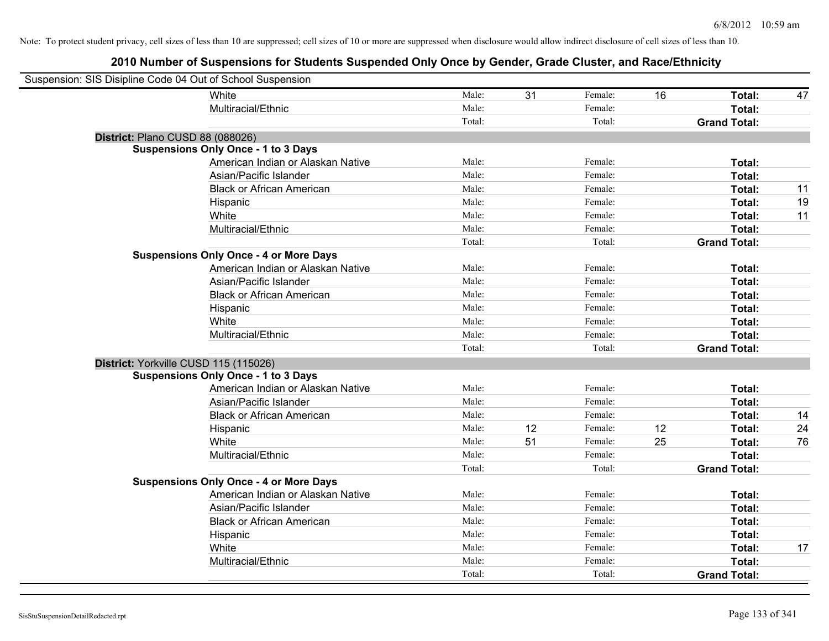| Suspension: SIS Disipline Code 04 Out of School Suspension |                                               |        |    |         |    |                     |    |
|------------------------------------------------------------|-----------------------------------------------|--------|----|---------|----|---------------------|----|
|                                                            | White                                         | Male:  | 31 | Female: | 16 | Total:              | 47 |
|                                                            | Multiracial/Ethnic                            | Male:  |    | Female: |    | Total:              |    |
|                                                            |                                               | Total: |    | Total:  |    | <b>Grand Total:</b> |    |
| District: Plano CUSD 88 (088026)                           |                                               |        |    |         |    |                     |    |
|                                                            | <b>Suspensions Only Once - 1 to 3 Days</b>    |        |    |         |    |                     |    |
|                                                            | American Indian or Alaskan Native             | Male:  |    | Female: |    | Total:              |    |
|                                                            | Asian/Pacific Islander                        | Male:  |    | Female: |    | Total:              |    |
|                                                            | <b>Black or African American</b>              | Male:  |    | Female: |    | Total:              | 11 |
|                                                            | Hispanic                                      | Male:  |    | Female: |    | Total:              | 19 |
|                                                            | White                                         | Male:  |    | Female: |    | Total:              | 11 |
|                                                            | Multiracial/Ethnic                            | Male:  |    | Female: |    | Total:              |    |
|                                                            |                                               | Total: |    | Total:  |    | <b>Grand Total:</b> |    |
|                                                            | <b>Suspensions Only Once - 4 or More Days</b> |        |    |         |    |                     |    |
|                                                            | American Indian or Alaskan Native             | Male:  |    | Female: |    | Total:              |    |
|                                                            | Asian/Pacific Islander                        | Male:  |    | Female: |    | Total:              |    |
|                                                            | <b>Black or African American</b>              | Male:  |    | Female: |    | Total:              |    |
|                                                            | Hispanic                                      | Male:  |    | Female: |    | Total:              |    |
|                                                            | White                                         | Male:  |    | Female: |    | Total:              |    |
|                                                            | Multiracial/Ethnic                            | Male:  |    | Female: |    | Total:              |    |
|                                                            |                                               | Total: |    | Total:  |    | <b>Grand Total:</b> |    |
| District: Yorkville CUSD 115 (115026)                      |                                               |        |    |         |    |                     |    |
|                                                            | <b>Suspensions Only Once - 1 to 3 Days</b>    |        |    |         |    |                     |    |
|                                                            | American Indian or Alaskan Native             | Male:  |    | Female: |    | Total:              |    |
|                                                            | Asian/Pacific Islander                        | Male:  |    | Female: |    | Total:              |    |
|                                                            | <b>Black or African American</b>              | Male:  |    | Female: |    | Total:              | 14 |
|                                                            | Hispanic                                      | Male:  | 12 | Female: | 12 | Total:              | 24 |
|                                                            | White                                         | Male:  | 51 | Female: | 25 | Total:              | 76 |
|                                                            | Multiracial/Ethnic                            | Male:  |    | Female: |    | Total:              |    |
|                                                            |                                               | Total: |    | Total:  |    | <b>Grand Total:</b> |    |
|                                                            | <b>Suspensions Only Once - 4 or More Days</b> |        |    |         |    |                     |    |
|                                                            | American Indian or Alaskan Native             | Male:  |    | Female: |    | Total:              |    |
|                                                            | Asian/Pacific Islander                        | Male:  |    | Female: |    | Total:              |    |
|                                                            | <b>Black or African American</b>              | Male:  |    | Female: |    | Total:              |    |
|                                                            | Hispanic                                      | Male:  |    | Female: |    | Total:              |    |
|                                                            | White                                         | Male:  |    | Female: |    | Total:              | 17 |
|                                                            | Multiracial/Ethnic                            | Male:  |    | Female: |    | Total:              |    |
|                                                            |                                               | Total: |    | Total:  |    | <b>Grand Total:</b> |    |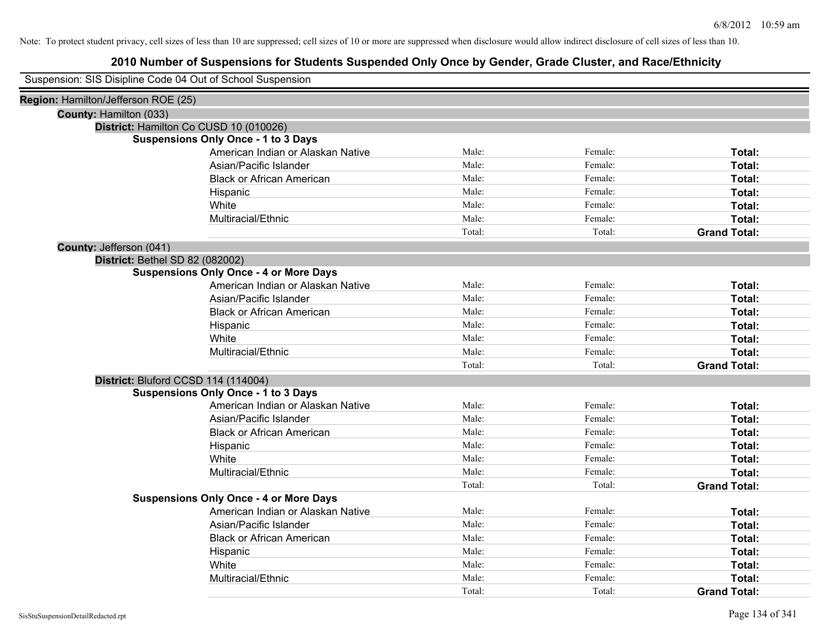|                                     | Suspension: SIS Disipline Code 04 Out of School Suspension |        |         |                     |
|-------------------------------------|------------------------------------------------------------|--------|---------|---------------------|
| Region: Hamilton/Jefferson ROE (25) |                                                            |        |         |                     |
| County: Hamilton (033)              |                                                            |        |         |                     |
|                                     | District: Hamilton Co CUSD 10 (010026)                     |        |         |                     |
|                                     | <b>Suspensions Only Once - 1 to 3 Days</b>                 |        |         |                     |
|                                     | American Indian or Alaskan Native                          | Male:  | Female: | Total:              |
|                                     | Asian/Pacific Islander                                     | Male:  | Female: | Total:              |
|                                     | <b>Black or African American</b>                           | Male:  | Female: | Total:              |
|                                     | Hispanic                                                   | Male:  | Female: | Total:              |
|                                     | White                                                      | Male:  | Female: | Total:              |
|                                     | Multiracial/Ethnic                                         | Male:  | Female: | Total:              |
|                                     |                                                            | Total: | Total:  | <b>Grand Total:</b> |
| County: Jefferson (041)             |                                                            |        |         |                     |
|                                     | District: Bethel SD 82 (082002)                            |        |         |                     |
|                                     | <b>Suspensions Only Once - 4 or More Days</b>              |        |         |                     |
|                                     | American Indian or Alaskan Native                          | Male:  | Female: | Total:              |
|                                     | Asian/Pacific Islander                                     | Male:  | Female: | Total:              |
|                                     | <b>Black or African American</b>                           | Male:  | Female: | Total:              |
|                                     | Hispanic                                                   | Male:  | Female: | Total:              |
|                                     | White                                                      | Male:  | Female: | Total:              |
|                                     | Multiracial/Ethnic                                         | Male:  | Female: | Total:              |
|                                     |                                                            | Total: | Total:  | <b>Grand Total:</b> |
|                                     | District: Bluford CCSD 114 (114004)                        |        |         |                     |
|                                     | <b>Suspensions Only Once - 1 to 3 Days</b>                 |        |         |                     |
|                                     | American Indian or Alaskan Native                          | Male:  | Female: | Total:              |
|                                     | Asian/Pacific Islander                                     | Male:  | Female: | Total:              |
|                                     | <b>Black or African American</b>                           | Male:  | Female: | Total:              |
|                                     | Hispanic                                                   | Male:  | Female: | Total:              |
|                                     | White                                                      | Male:  | Female: | Total:              |
|                                     | Multiracial/Ethnic                                         | Male:  | Female: | Total:              |
|                                     |                                                            | Total: | Total:  | <b>Grand Total:</b> |
|                                     | <b>Suspensions Only Once - 4 or More Days</b>              |        |         |                     |
|                                     | American Indian or Alaskan Native                          | Male:  | Female: | Total:              |
|                                     | Asian/Pacific Islander                                     | Male:  | Female: | Total:              |
|                                     | <b>Black or African American</b>                           | Male:  | Female: | Total:              |
|                                     | Hispanic                                                   | Male:  | Female: | Total:              |
|                                     | White                                                      | Male:  | Female: | Total:              |
|                                     | Multiracial/Ethnic                                         | Male:  | Female: | Total:              |
|                                     |                                                            | Total: | Total:  | <b>Grand Total:</b> |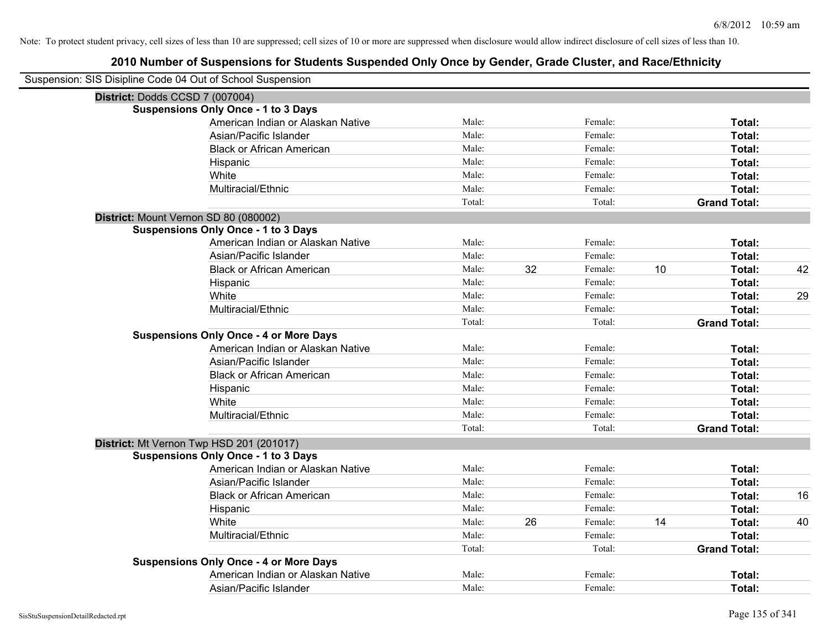| Suspension: SIS Disipline Code 04 Out of School Suspension |                                               |        |    |         |    |                     |    |
|------------------------------------------------------------|-----------------------------------------------|--------|----|---------|----|---------------------|----|
| District: Dodds CCSD 7 (007004)                            |                                               |        |    |         |    |                     |    |
|                                                            | <b>Suspensions Only Once - 1 to 3 Days</b>    |        |    |         |    |                     |    |
|                                                            | American Indian or Alaskan Native             | Male:  |    | Female: |    | Total:              |    |
|                                                            | Asian/Pacific Islander                        | Male:  |    | Female: |    | Total:              |    |
|                                                            | <b>Black or African American</b>              | Male:  |    | Female: |    | Total:              |    |
|                                                            | Hispanic                                      | Male:  |    | Female: |    | <b>Total:</b>       |    |
|                                                            | White                                         | Male:  |    | Female: |    | Total:              |    |
|                                                            | Multiracial/Ethnic                            | Male:  |    | Female: |    | Total:              |    |
|                                                            |                                               | Total: |    | Total:  |    | <b>Grand Total:</b> |    |
| District: Mount Vernon SD 80 (080002)                      |                                               |        |    |         |    |                     |    |
|                                                            | <b>Suspensions Only Once - 1 to 3 Days</b>    |        |    |         |    |                     |    |
|                                                            | American Indian or Alaskan Native             | Male:  |    | Female: |    | Total:              |    |
|                                                            | Asian/Pacific Islander                        | Male:  |    | Female: |    | Total:              |    |
|                                                            | <b>Black or African American</b>              | Male:  | 32 | Female: | 10 | Total:              | 42 |
|                                                            | Hispanic                                      | Male:  |    | Female: |    | Total:              |    |
|                                                            | White                                         | Male:  |    | Female: |    | Total:              | 29 |
|                                                            | Multiracial/Ethnic                            | Male:  |    | Female: |    | Total:              |    |
|                                                            |                                               | Total: |    | Total:  |    | <b>Grand Total:</b> |    |
|                                                            | <b>Suspensions Only Once - 4 or More Days</b> |        |    |         |    |                     |    |
|                                                            | American Indian or Alaskan Native             | Male:  |    | Female: |    | Total:              |    |
|                                                            | Asian/Pacific Islander                        | Male:  |    | Female: |    | Total:              |    |
|                                                            | <b>Black or African American</b>              | Male:  |    | Female: |    | Total:              |    |
|                                                            | Hispanic                                      | Male:  |    | Female: |    | Total:              |    |
|                                                            | White                                         | Male:  |    | Female: |    | Total:              |    |
|                                                            | Multiracial/Ethnic                            | Male:  |    | Female: |    | Total:              |    |
|                                                            |                                               | Total: |    | Total:  |    | <b>Grand Total:</b> |    |
|                                                            | District: Mt Vernon Twp HSD 201 (201017)      |        |    |         |    |                     |    |
|                                                            | <b>Suspensions Only Once - 1 to 3 Days</b>    |        |    |         |    |                     |    |
|                                                            | American Indian or Alaskan Native             | Male:  |    | Female: |    | Total:              |    |
|                                                            | Asian/Pacific Islander                        | Male:  |    | Female: |    | Total:              |    |
|                                                            | <b>Black or African American</b>              | Male:  |    | Female: |    | Total:              | 16 |
|                                                            | Hispanic                                      | Male:  |    | Female: |    | Total:              |    |
|                                                            | White                                         | Male:  | 26 | Female: | 14 | Total:              | 40 |
|                                                            | Multiracial/Ethnic                            | Male:  |    | Female: |    | Total:              |    |
|                                                            |                                               | Total: |    | Total:  |    | <b>Grand Total:</b> |    |
|                                                            | <b>Suspensions Only Once - 4 or More Days</b> |        |    |         |    |                     |    |
|                                                            | American Indian or Alaskan Native             | Male:  |    | Female: |    | Total:              |    |
|                                                            | Asian/Pacific Islander                        | Male:  |    | Female: |    | Total:              |    |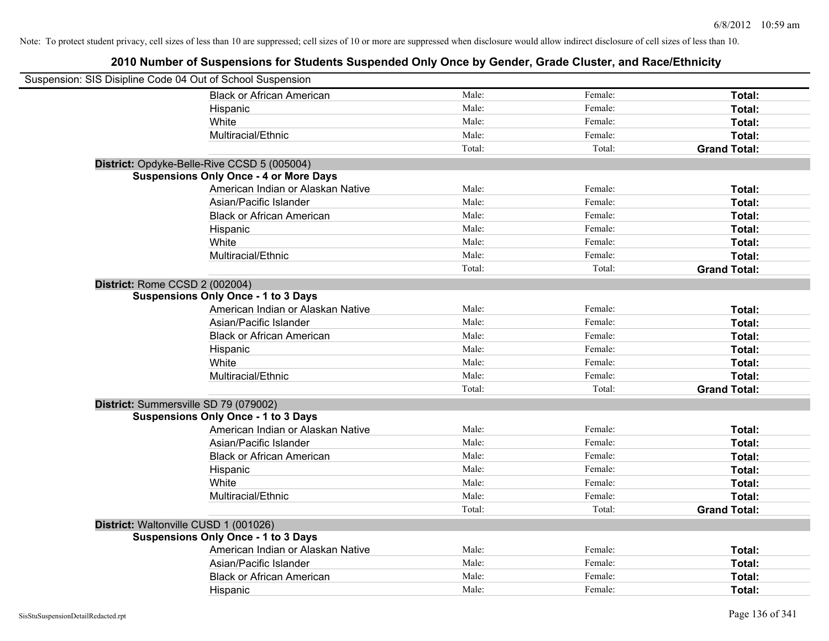| Suspension: SIS Disipline Code 04 Out of School Suspension |                                               |        |         |                     |
|------------------------------------------------------------|-----------------------------------------------|--------|---------|---------------------|
|                                                            | <b>Black or African American</b>              | Male:  | Female: | Total:              |
|                                                            | Hispanic                                      | Male:  | Female: | Total:              |
|                                                            | White                                         | Male:  | Female: | Total:              |
|                                                            | Multiracial/Ethnic                            | Male:  | Female: | Total:              |
|                                                            |                                               | Total: | Total:  | <b>Grand Total:</b> |
|                                                            | District: Opdyke-Belle-Rive CCSD 5 (005004)   |        |         |                     |
|                                                            | <b>Suspensions Only Once - 4 or More Days</b> |        |         |                     |
|                                                            | American Indian or Alaskan Native             | Male:  | Female: | Total:              |
|                                                            | Asian/Pacific Islander                        | Male:  | Female: | Total:              |
|                                                            | <b>Black or African American</b>              | Male:  | Female: | Total:              |
|                                                            | Hispanic                                      | Male:  | Female: | Total:              |
|                                                            | White                                         | Male:  | Female: | Total:              |
|                                                            | Multiracial/Ethnic                            | Male:  | Female: | Total:              |
|                                                            |                                               | Total: | Total:  | <b>Grand Total:</b> |
| District: Rome CCSD 2 (002004)                             |                                               |        |         |                     |
|                                                            | <b>Suspensions Only Once - 1 to 3 Days</b>    |        |         |                     |
|                                                            | American Indian or Alaskan Native             | Male:  | Female: | Total:              |
|                                                            | Asian/Pacific Islander                        | Male:  | Female: | Total:              |
|                                                            | <b>Black or African American</b>              | Male:  | Female: | Total:              |
|                                                            | Hispanic                                      | Male:  | Female: | Total:              |
|                                                            | White                                         | Male:  | Female: | Total:              |
|                                                            | Multiracial/Ethnic                            | Male:  | Female: | Total:              |
|                                                            |                                               | Total: | Total:  | <b>Grand Total:</b> |
| District: Summersville SD 79 (079002)                      |                                               |        |         |                     |
|                                                            | <b>Suspensions Only Once - 1 to 3 Days</b>    |        |         |                     |
|                                                            | American Indian or Alaskan Native             | Male:  | Female: | Total:              |
|                                                            | Asian/Pacific Islander                        | Male:  | Female: | Total:              |
|                                                            | <b>Black or African American</b>              | Male:  | Female: | Total:              |
|                                                            | Hispanic                                      | Male:  | Female: | Total:              |
|                                                            | White                                         | Male:  | Female: | Total:              |
|                                                            | Multiracial/Ethnic                            | Male:  | Female: | Total:              |
|                                                            |                                               | Total: | Total:  | <b>Grand Total:</b> |
| District: Waltonville CUSD 1 (001026)                      |                                               |        |         |                     |
|                                                            | <b>Suspensions Only Once - 1 to 3 Days</b>    |        |         |                     |
|                                                            | American Indian or Alaskan Native             | Male:  | Female: | Total:              |
|                                                            | Asian/Pacific Islander                        | Male:  | Female: | Total:              |
|                                                            | <b>Black or African American</b>              | Male:  | Female: | Total:              |
|                                                            | Hispanic                                      | Male:  | Female: | Total:              |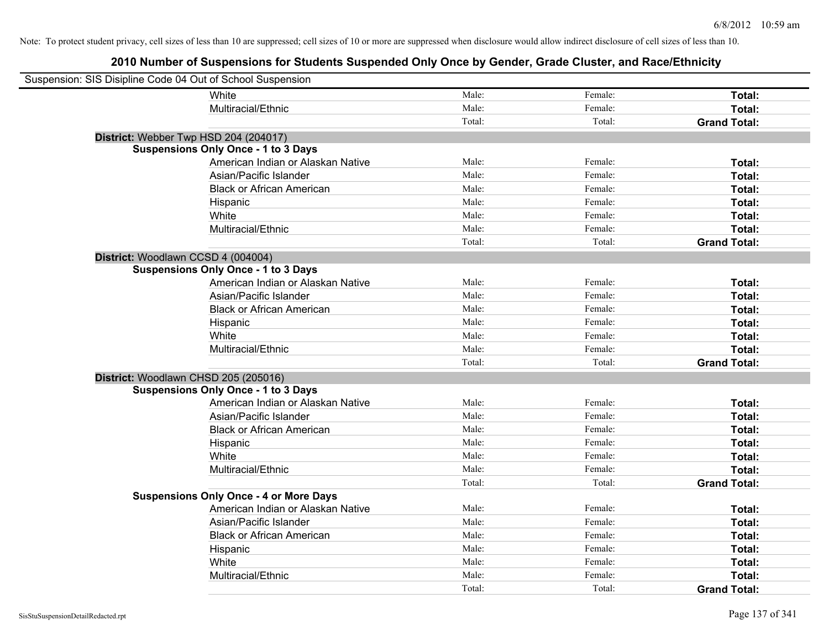| Suspension: SIS Disipline Code 04 Out of School Suspension |                                               |        |         |                     |
|------------------------------------------------------------|-----------------------------------------------|--------|---------|---------------------|
|                                                            | White                                         | Male:  | Female: | Total:              |
|                                                            | Multiracial/Ethnic                            | Male:  | Female: | Total:              |
|                                                            |                                               | Total: | Total:  | <b>Grand Total:</b> |
| District: Webber Twp HSD 204 (204017)                      |                                               |        |         |                     |
|                                                            | <b>Suspensions Only Once - 1 to 3 Days</b>    |        |         |                     |
|                                                            | American Indian or Alaskan Native             | Male:  | Female: | Total:              |
|                                                            | Asian/Pacific Islander                        | Male:  | Female: | Total:              |
|                                                            | <b>Black or African American</b>              | Male:  | Female: | Total:              |
|                                                            | Hispanic                                      | Male:  | Female: | Total:              |
|                                                            | White                                         | Male:  | Female: | Total:              |
|                                                            | Multiracial/Ethnic                            | Male:  | Female: | Total:              |
|                                                            |                                               | Total: | Total:  | <b>Grand Total:</b> |
| District: Woodlawn CCSD 4 (004004)                         |                                               |        |         |                     |
|                                                            | <b>Suspensions Only Once - 1 to 3 Days</b>    |        |         |                     |
|                                                            | American Indian or Alaskan Native             | Male:  | Female: | Total:              |
|                                                            | Asian/Pacific Islander                        | Male:  | Female: | Total:              |
|                                                            | <b>Black or African American</b>              | Male:  | Female: | Total:              |
|                                                            | Hispanic                                      | Male:  | Female: | Total:              |
|                                                            | White                                         | Male:  | Female: | Total:              |
|                                                            | Multiracial/Ethnic                            | Male:  | Female: | Total:              |
|                                                            |                                               | Total: | Total:  | <b>Grand Total:</b> |
| District: Woodlawn CHSD 205 (205016)                       |                                               |        |         |                     |
|                                                            | <b>Suspensions Only Once - 1 to 3 Days</b>    |        |         |                     |
|                                                            | American Indian or Alaskan Native             | Male:  | Female: | Total:              |
|                                                            | Asian/Pacific Islander                        | Male:  | Female: | Total:              |
|                                                            | <b>Black or African American</b>              | Male:  | Female: | Total:              |
|                                                            | Hispanic                                      | Male:  | Female: | Total:              |
|                                                            | White                                         | Male:  | Female: | Total:              |
|                                                            | Multiracial/Ethnic                            | Male:  | Female: | Total:              |
|                                                            |                                               | Total: | Total:  | <b>Grand Total:</b> |
|                                                            | <b>Suspensions Only Once - 4 or More Days</b> |        |         |                     |
|                                                            | American Indian or Alaskan Native             | Male:  | Female: | Total:              |
|                                                            | Asian/Pacific Islander                        | Male:  | Female: | Total:              |
|                                                            | <b>Black or African American</b>              | Male:  | Female: | Total:              |
|                                                            | Hispanic                                      | Male:  | Female: | Total:              |
|                                                            | White                                         | Male:  | Female: | Total:              |
|                                                            | Multiracial/Ethnic                            | Male:  | Female: | Total:              |
|                                                            |                                               | Total: | Total:  | <b>Grand Total:</b> |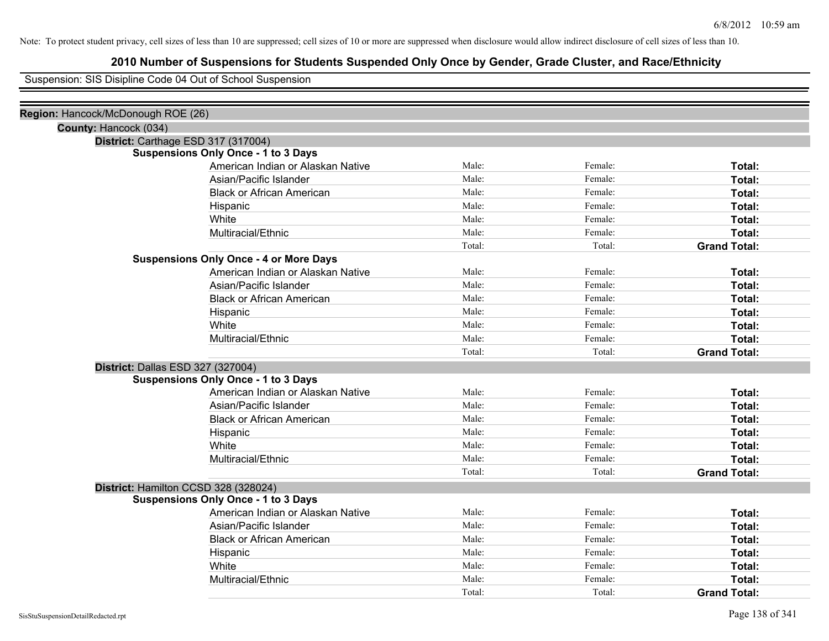# **2010 Number of Suspensions for Students Suspended Only Once by Gender, Grade Cluster, and Race/Ethnicity**

Suspension: SIS Disipline Code 04 Out of School Suspension

| Region: Hancock/McDonough ROE (26) |                                               |        |         |                     |
|------------------------------------|-----------------------------------------------|--------|---------|---------------------|
| County: Hancock (034)              |                                               |        |         |                     |
|                                    | District: Carthage ESD 317 (317004)           |        |         |                     |
|                                    | <b>Suspensions Only Once - 1 to 3 Days</b>    |        |         |                     |
|                                    | American Indian or Alaskan Native             | Male:  | Female: | Total:              |
|                                    | Asian/Pacific Islander                        | Male:  | Female: | Total:              |
|                                    | <b>Black or African American</b>              | Male:  | Female: | Total:              |
|                                    | Hispanic                                      | Male:  | Female: | Total:              |
|                                    | White                                         | Male:  | Female: | Total:              |
|                                    | Multiracial/Ethnic                            | Male:  | Female: | Total:              |
|                                    |                                               | Total: | Total:  | <b>Grand Total:</b> |
|                                    | <b>Suspensions Only Once - 4 or More Days</b> |        |         |                     |
|                                    | American Indian or Alaskan Native             | Male:  | Female: | Total:              |
|                                    | Asian/Pacific Islander                        | Male:  | Female: | Total:              |
|                                    | <b>Black or African American</b>              | Male:  | Female: | Total:              |
|                                    | Hispanic                                      | Male:  | Female: | Total:              |
|                                    | White                                         | Male:  | Female: | Total:              |
|                                    | Multiracial/Ethnic                            | Male:  | Female: | Total:              |
|                                    |                                               | Total: | Total:  | <b>Grand Total:</b> |
| District: Dallas ESD 327 (327004)  |                                               |        |         |                     |
|                                    | <b>Suspensions Only Once - 1 to 3 Days</b>    |        |         |                     |
|                                    | American Indian or Alaskan Native             | Male:  | Female: | Total:              |
|                                    | Asian/Pacific Islander                        | Male:  | Female: | Total:              |
|                                    | <b>Black or African American</b>              | Male:  | Female: | Total:              |
|                                    | Hispanic                                      | Male:  | Female: | Total:              |
|                                    | White                                         | Male:  | Female: | Total:              |
|                                    | Multiracial/Ethnic                            | Male:  | Female: | Total:              |
|                                    |                                               | Total: | Total:  | <b>Grand Total:</b> |
|                                    | District: Hamilton CCSD 328 (328024)          |        |         |                     |
|                                    | <b>Suspensions Only Once - 1 to 3 Days</b>    |        |         |                     |
|                                    | American Indian or Alaskan Native             | Male:  | Female: | Total:              |
|                                    | Asian/Pacific Islander                        | Male:  | Female: | Total:              |
|                                    | <b>Black or African American</b>              | Male:  | Female: | Total:              |
|                                    | Hispanic                                      | Male:  | Female: | Total:              |
|                                    | White                                         | Male:  | Female: | Total:              |
|                                    | Multiracial/Ethnic                            | Male:  | Female: | Total:              |
|                                    |                                               | Total: | Total:  | <b>Grand Total:</b> |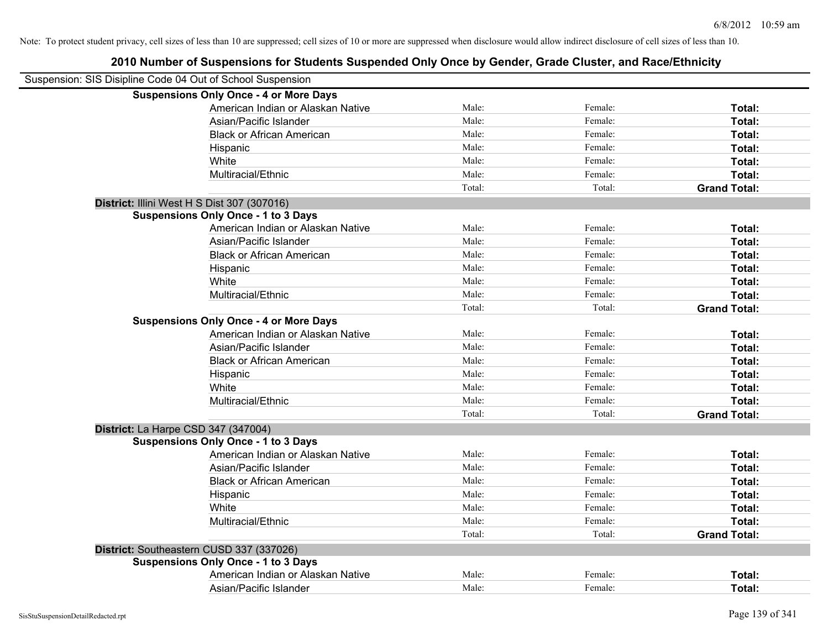| Suspension: SIS Disipline Code 04 Out of School Suspension |                                               |        |         |                     |
|------------------------------------------------------------|-----------------------------------------------|--------|---------|---------------------|
|                                                            | <b>Suspensions Only Once - 4 or More Days</b> |        |         |                     |
|                                                            | American Indian or Alaskan Native             | Male:  | Female: | Total:              |
|                                                            | Asian/Pacific Islander                        | Male:  | Female: | Total:              |
|                                                            | <b>Black or African American</b>              | Male:  | Female: | Total:              |
|                                                            | Hispanic                                      | Male:  | Female: | Total:              |
|                                                            | White                                         | Male:  | Female: | Total:              |
|                                                            | Multiracial/Ethnic                            | Male:  | Female: | Total:              |
|                                                            |                                               | Total: | Total:  | <b>Grand Total:</b> |
|                                                            | District: Illini West H S Dist 307 (307016)   |        |         |                     |
|                                                            | <b>Suspensions Only Once - 1 to 3 Days</b>    |        |         |                     |
|                                                            | American Indian or Alaskan Native             | Male:  | Female: | Total:              |
|                                                            | Asian/Pacific Islander                        | Male:  | Female: | Total:              |
|                                                            | <b>Black or African American</b>              | Male:  | Female: | Total:              |
|                                                            | Hispanic                                      | Male:  | Female: | Total:              |
|                                                            | White                                         | Male:  | Female: | Total:              |
|                                                            | Multiracial/Ethnic                            | Male:  | Female: | Total:              |
|                                                            |                                               | Total: | Total:  | <b>Grand Total:</b> |
|                                                            | <b>Suspensions Only Once - 4 or More Days</b> |        |         |                     |
|                                                            | American Indian or Alaskan Native             | Male:  | Female: | Total:              |
|                                                            | Asian/Pacific Islander                        | Male:  | Female: | Total:              |
|                                                            | <b>Black or African American</b>              | Male:  | Female: | Total:              |
|                                                            | Hispanic                                      | Male:  | Female: | Total:              |
|                                                            | White                                         | Male:  | Female: | Total:              |
|                                                            | Multiracial/Ethnic                            | Male:  | Female: | Total:              |
|                                                            |                                               | Total: | Total:  | <b>Grand Total:</b> |
| District: La Harpe CSD 347 (347004)                        |                                               |        |         |                     |
|                                                            | <b>Suspensions Only Once - 1 to 3 Days</b>    |        |         |                     |
|                                                            | American Indian or Alaskan Native             | Male:  | Female: | Total:              |
|                                                            | Asian/Pacific Islander                        | Male:  | Female: | Total:              |
|                                                            | <b>Black or African American</b>              | Male:  | Female: | Total:              |
|                                                            | Hispanic                                      | Male:  | Female: | Total:              |
|                                                            | White                                         | Male:  | Female: | Total:              |
|                                                            | Multiracial/Ethnic                            | Male:  | Female: | Total:              |
|                                                            |                                               | Total: | Total:  | <b>Grand Total:</b> |
|                                                            | District: Southeastern CUSD 337 (337026)      |        |         |                     |
|                                                            | <b>Suspensions Only Once - 1 to 3 Days</b>    |        |         |                     |
|                                                            | American Indian or Alaskan Native             | Male:  | Female: | Total:              |
|                                                            | Asian/Pacific Islander                        | Male:  | Female: | Total:              |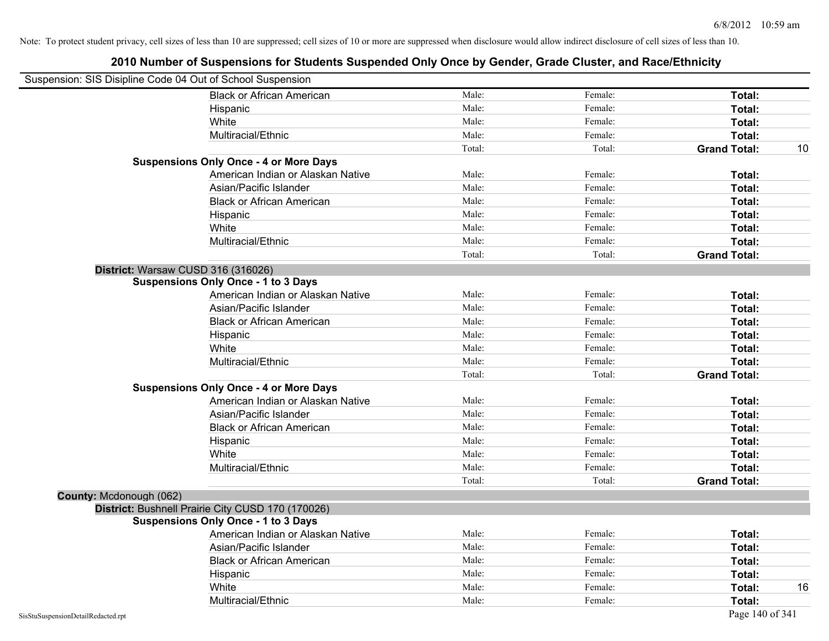| Suspension: SIS Disipline Code 04 Out of School Suspension |                                                   |        |         |                     |    |
|------------------------------------------------------------|---------------------------------------------------|--------|---------|---------------------|----|
|                                                            | <b>Black or African American</b>                  | Male:  | Female: | Total:              |    |
|                                                            | Hispanic                                          | Male:  | Female: | Total:              |    |
|                                                            | White                                             | Male:  | Female: | Total:              |    |
|                                                            | Multiracial/Ethnic                                | Male:  | Female: | Total:              |    |
|                                                            |                                                   | Total: | Total:  | <b>Grand Total:</b> | 10 |
|                                                            | <b>Suspensions Only Once - 4 or More Days</b>     |        |         |                     |    |
|                                                            | American Indian or Alaskan Native                 | Male:  | Female: | Total:              |    |
|                                                            | Asian/Pacific Islander                            | Male:  | Female: | Total:              |    |
|                                                            | <b>Black or African American</b>                  | Male:  | Female: | Total:              |    |
|                                                            | Hispanic                                          | Male:  | Female: | Total:              |    |
|                                                            | White                                             | Male:  | Female: | Total:              |    |
|                                                            | Multiracial/Ethnic                                | Male:  | Female: | Total:              |    |
|                                                            |                                                   | Total: | Total:  | <b>Grand Total:</b> |    |
| District: Warsaw CUSD 316 (316026)                         |                                                   |        |         |                     |    |
|                                                            | <b>Suspensions Only Once - 1 to 3 Days</b>        |        |         |                     |    |
|                                                            | American Indian or Alaskan Native                 | Male:  | Female: | Total:              |    |
|                                                            | Asian/Pacific Islander                            | Male:  | Female: | Total:              |    |
|                                                            | <b>Black or African American</b>                  | Male:  | Female: | Total:              |    |
|                                                            | Hispanic                                          | Male:  | Female: | Total:              |    |
|                                                            | White                                             | Male:  | Female: | Total:              |    |
|                                                            | Multiracial/Ethnic                                | Male:  | Female: | Total:              |    |
|                                                            |                                                   | Total: | Total:  | <b>Grand Total:</b> |    |
|                                                            | <b>Suspensions Only Once - 4 or More Days</b>     |        |         |                     |    |
|                                                            | American Indian or Alaskan Native                 | Male:  | Female: | Total:              |    |
|                                                            | Asian/Pacific Islander                            | Male:  | Female: | Total:              |    |
|                                                            | <b>Black or African American</b>                  | Male:  | Female: | Total:              |    |
|                                                            | Hispanic                                          | Male:  | Female: | Total:              |    |
|                                                            | White                                             | Male:  | Female: | Total:              |    |
|                                                            | Multiracial/Ethnic                                | Male:  | Female: | Total:              |    |
|                                                            |                                                   | Total: | Total:  | <b>Grand Total:</b> |    |
| County: Mcdonough (062)                                    |                                                   |        |         |                     |    |
|                                                            | District: Bushnell Prairie City CUSD 170 (170026) |        |         |                     |    |
|                                                            | <b>Suspensions Only Once - 1 to 3 Days</b>        |        |         |                     |    |
|                                                            | American Indian or Alaskan Native                 | Male:  | Female: | Total:              |    |
|                                                            | Asian/Pacific Islander                            | Male:  | Female: | Total:              |    |
|                                                            | <b>Black or African American</b>                  | Male:  | Female: | Total:              |    |
|                                                            | Hispanic                                          | Male:  | Female: | Total:              |    |
|                                                            | White                                             | Male:  | Female: | Total:              | 16 |
|                                                            | Multiracial/Ethnic                                | Male:  | Female: | Total:              |    |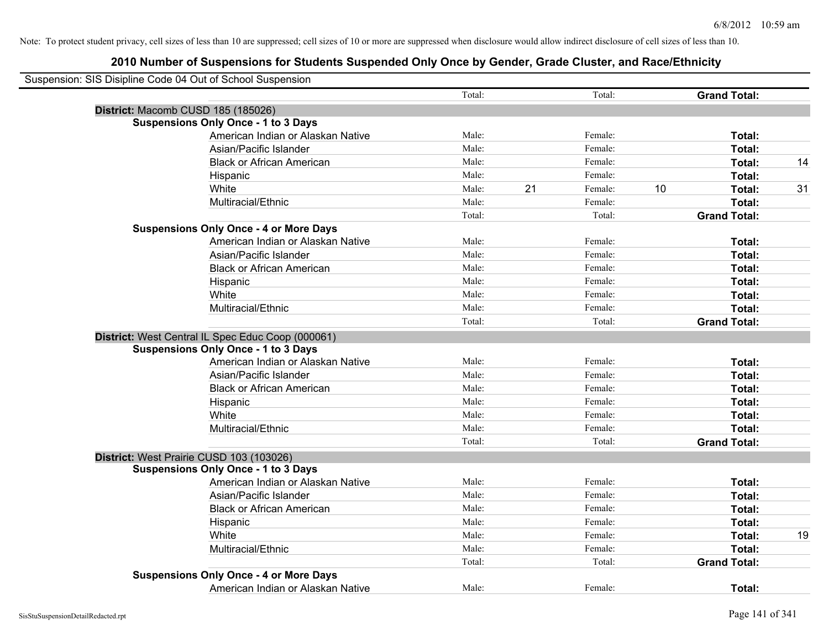| Suspension: SIS Disipline Code 04 Out of School Suspension |        |    |         |    |                     |    |
|------------------------------------------------------------|--------|----|---------|----|---------------------|----|
|                                                            | Total: |    | Total:  |    | <b>Grand Total:</b> |    |
| District: Macomb CUSD 185 (185026)                         |        |    |         |    |                     |    |
| <b>Suspensions Only Once - 1 to 3 Days</b>                 |        |    |         |    |                     |    |
| American Indian or Alaskan Native                          | Male:  |    | Female: |    | Total:              |    |
| Asian/Pacific Islander                                     | Male:  |    | Female: |    | Total:              |    |
| <b>Black or African American</b>                           | Male:  |    | Female: |    | Total:              | 14 |
| Hispanic                                                   | Male:  |    | Female: |    | Total:              |    |
| White                                                      | Male:  | 21 | Female: | 10 | Total:              | 31 |
| Multiracial/Ethnic                                         | Male:  |    | Female: |    | Total:              |    |
|                                                            | Total: |    | Total:  |    | <b>Grand Total:</b> |    |
| <b>Suspensions Only Once - 4 or More Days</b>              |        |    |         |    |                     |    |
| American Indian or Alaskan Native                          | Male:  |    | Female: |    | Total:              |    |
| Asian/Pacific Islander                                     | Male:  |    | Female: |    | Total:              |    |
| <b>Black or African American</b>                           | Male:  |    | Female: |    | Total:              |    |
| Hispanic                                                   | Male:  |    | Female: |    | Total:              |    |
| White                                                      | Male:  |    | Female: |    | Total:              |    |
| Multiracial/Ethnic                                         | Male:  |    | Female: |    | Total:              |    |
|                                                            | Total: |    | Total:  |    | <b>Grand Total:</b> |    |
| District: West Central IL Spec Educ Coop (000061)          |        |    |         |    |                     |    |
| <b>Suspensions Only Once - 1 to 3 Days</b>                 |        |    |         |    |                     |    |
| American Indian or Alaskan Native                          | Male:  |    | Female: |    | Total:              |    |
| Asian/Pacific Islander                                     | Male:  |    | Female: |    | Total:              |    |
| <b>Black or African American</b>                           | Male:  |    | Female: |    | Total:              |    |
| Hispanic                                                   | Male:  |    | Female: |    | Total:              |    |
| White                                                      | Male:  |    | Female: |    | Total:              |    |
| Multiracial/Ethnic                                         | Male:  |    | Female: |    | Total:              |    |
|                                                            | Total: |    | Total:  |    | <b>Grand Total:</b> |    |
| District: West Prairie CUSD 103 (103026)                   |        |    |         |    |                     |    |
| <b>Suspensions Only Once - 1 to 3 Days</b>                 |        |    |         |    |                     |    |
| American Indian or Alaskan Native                          | Male:  |    | Female: |    | Total:              |    |
| Asian/Pacific Islander                                     | Male:  |    | Female: |    | Total:              |    |
| <b>Black or African American</b>                           | Male:  |    | Female: |    | Total:              |    |
| Hispanic                                                   | Male:  |    | Female: |    | Total:              |    |
| White                                                      | Male:  |    | Female: |    | Total:              | 19 |
| Multiracial/Ethnic                                         | Male:  |    | Female: |    | Total:              |    |
|                                                            | Total: |    | Total:  |    | <b>Grand Total:</b> |    |
| <b>Suspensions Only Once - 4 or More Days</b>              |        |    |         |    |                     |    |
| American Indian or Alaskan Native                          | Male:  |    | Female: |    | Total:              |    |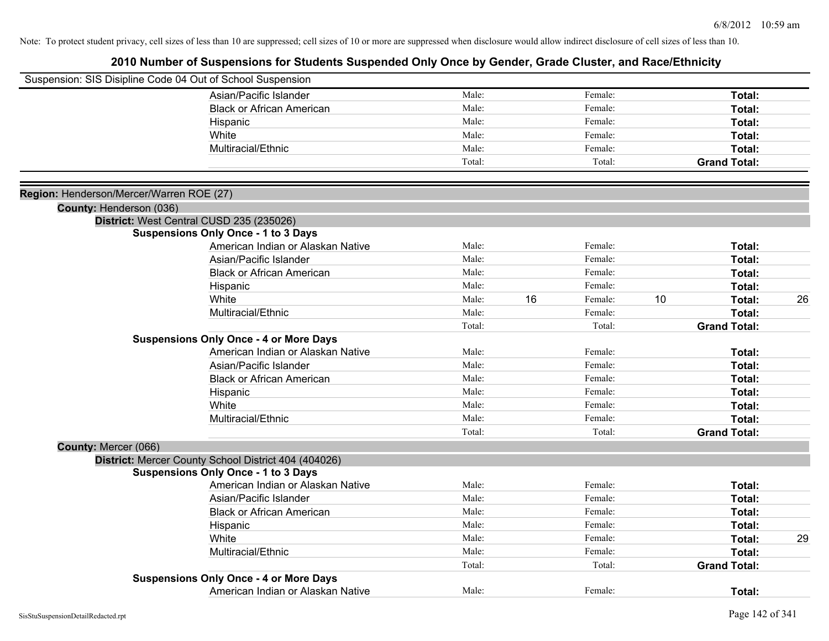|                                          | Suspension: SIS Disipline Code 04 Out of School Suspension |        |    |         |    |                     |    |
|------------------------------------------|------------------------------------------------------------|--------|----|---------|----|---------------------|----|
|                                          | Asian/Pacific Islander                                     | Male:  |    | Female: |    | Total:              |    |
|                                          | <b>Black or African American</b>                           | Male:  |    | Female: |    | Total:              |    |
|                                          | Hispanic                                                   | Male:  |    | Female: |    | Total:              |    |
|                                          | White                                                      | Male:  |    | Female: |    | Total:              |    |
|                                          | Multiracial/Ethnic                                         | Male:  |    | Female: |    | Total:              |    |
|                                          |                                                            | Total: |    | Total:  |    | <b>Grand Total:</b> |    |
| Region: Henderson/Mercer/Warren ROE (27) |                                                            |        |    |         |    |                     |    |
| County: Henderson (036)                  |                                                            |        |    |         |    |                     |    |
|                                          | District: West Central CUSD 235 (235026)                   |        |    |         |    |                     |    |
|                                          | <b>Suspensions Only Once - 1 to 3 Days</b>                 |        |    |         |    |                     |    |
|                                          | American Indian or Alaskan Native                          | Male:  |    | Female: |    | Total:              |    |
|                                          | Asian/Pacific Islander                                     | Male:  |    | Female: |    | Total:              |    |
|                                          | <b>Black or African American</b>                           | Male:  |    | Female: |    | Total:              |    |
|                                          | Hispanic                                                   | Male:  |    | Female: |    | Total:              |    |
|                                          | White                                                      | Male:  | 16 | Female: | 10 | Total:              | 26 |
|                                          | Multiracial/Ethnic                                         | Male:  |    | Female: |    | Total:              |    |
|                                          |                                                            | Total: |    | Total:  |    | <b>Grand Total:</b> |    |
|                                          | <b>Suspensions Only Once - 4 or More Days</b>              |        |    |         |    |                     |    |
|                                          | American Indian or Alaskan Native                          | Male:  |    | Female: |    | Total:              |    |
|                                          | Asian/Pacific Islander                                     | Male:  |    | Female: |    | Total:              |    |
|                                          | <b>Black or African American</b>                           | Male:  |    | Female: |    | Total:              |    |
|                                          | Hispanic                                                   | Male:  |    | Female: |    | Total:              |    |
|                                          | White                                                      | Male:  |    | Female: |    | Total:              |    |
|                                          | Multiracial/Ethnic                                         | Male:  |    | Female: |    | Total:              |    |
|                                          |                                                            | Total: |    | Total:  |    | <b>Grand Total:</b> |    |
| County: Mercer (066)                     |                                                            |        |    |         |    |                     |    |
|                                          | District: Mercer County School District 404 (404026)       |        |    |         |    |                     |    |
|                                          | <b>Suspensions Only Once - 1 to 3 Days</b>                 |        |    |         |    |                     |    |
|                                          | American Indian or Alaskan Native                          | Male:  |    | Female: |    | Total:              |    |
|                                          | Asian/Pacific Islander                                     | Male:  |    | Female: |    | Total:              |    |
|                                          | <b>Black or African American</b>                           | Male:  |    | Female: |    | Total:              |    |
|                                          | Hispanic                                                   | Male:  |    | Female: |    | Total:              |    |
|                                          | White                                                      | Male:  |    | Female: |    | Total:              | 29 |
|                                          | Multiracial/Ethnic                                         | Male:  |    | Female: |    | Total:              |    |
|                                          |                                                            | Total: |    | Total:  |    | <b>Grand Total:</b> |    |
|                                          | <b>Suspensions Only Once - 4 or More Days</b>              |        |    |         |    |                     |    |
|                                          | American Indian or Alaskan Native                          | Male:  |    | Female: |    | Total:              |    |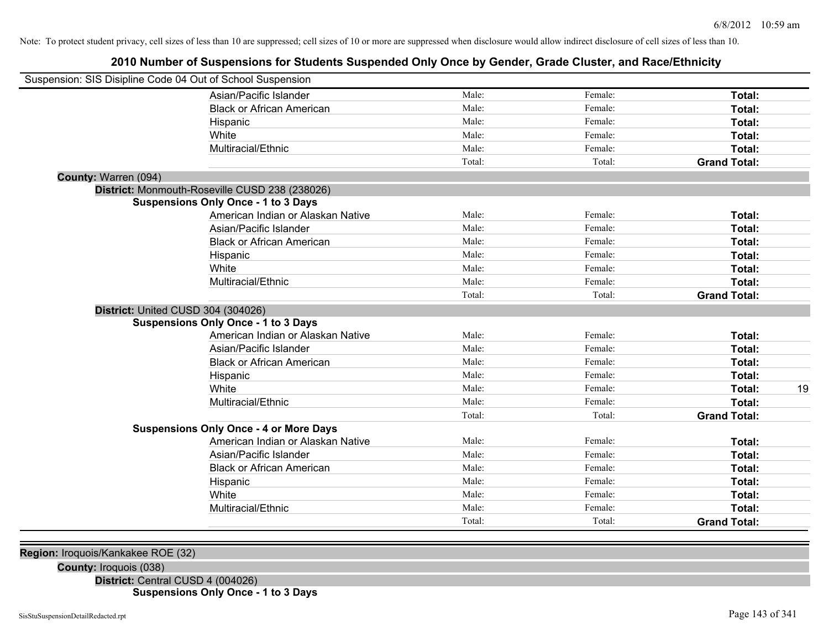# **2010 Number of Suspensions for Students Suspended Only Once by Gender, Grade Cluster, and Race/Ethnicity**

| Male:<br>Female:<br>Asian/Pacific Islander<br>Total:            |    |
|-----------------------------------------------------------------|----|
| Male:<br>Female:<br><b>Black or African American</b><br>Total:  |    |
| Male:<br>Female:<br>Total:<br>Hispanic                          |    |
| Male:<br>Female:<br>White<br>Total:                             |    |
| Multiracial/Ethnic<br>Male:<br>Female:<br>Total:                |    |
| Total:<br>Total:<br><b>Grand Total:</b>                         |    |
| County: Warren (094)                                            |    |
| District: Monmouth-Roseville CUSD 238 (238026)                  |    |
| <b>Suspensions Only Once - 1 to 3 Days</b>                      |    |
| Male:<br>Female:<br>American Indian or Alaskan Native<br>Total: |    |
| Male:<br>Female:<br>Asian/Pacific Islander<br>Total:            |    |
| Male:<br>Female:<br><b>Black or African American</b><br>Total:  |    |
| Male:<br>Female:<br>Hispanic<br>Total:                          |    |
| Male:<br>Female:<br>White<br>Total:                             |    |
| Male:<br>Female:<br>Multiracial/Ethnic<br>Total:                |    |
| Total:<br>Total:<br><b>Grand Total:</b>                         |    |
| District: United CUSD 304 (304026)                              |    |
| <b>Suspensions Only Once - 1 to 3 Days</b>                      |    |
| American Indian or Alaskan Native<br>Male:<br>Female:<br>Total: |    |
| Male:<br>Female:<br>Asian/Pacific Islander<br>Total:            |    |
| Male:<br>Female:<br><b>Black or African American</b><br>Total:  |    |
| Male:<br>Female:<br>Total:<br>Hispanic                          |    |
| White<br>Male:<br>Female:<br>Total:                             | 19 |
| Multiracial/Ethnic<br>Male:<br>Female:<br>Total:                |    |
| Total:<br>Total:<br><b>Grand Total:</b>                         |    |
| <b>Suspensions Only Once - 4 or More Days</b>                   |    |
| American Indian or Alaskan Native<br>Male:<br>Female:<br>Total: |    |
| Male:<br>Female:<br>Asian/Pacific Islander<br>Total:            |    |
| Male:<br>Female:<br><b>Black or African American</b><br>Total:  |    |
| Male:<br>Female:<br>Total:<br>Hispanic                          |    |
| Male:<br>Female:<br>White<br>Total:                             |    |
| Multiracial/Ethnic<br>Male:<br>Female:<br>Total:                |    |
| Total:<br>Total:<br><b>Grand Total:</b>                         |    |

**Region:** Iroquois/Kankakee ROE (32)

**County:** Iroquois (038)

**District:** Central CUSD 4 (004026)

**Suspensions Only Once - 1 to 3 Days**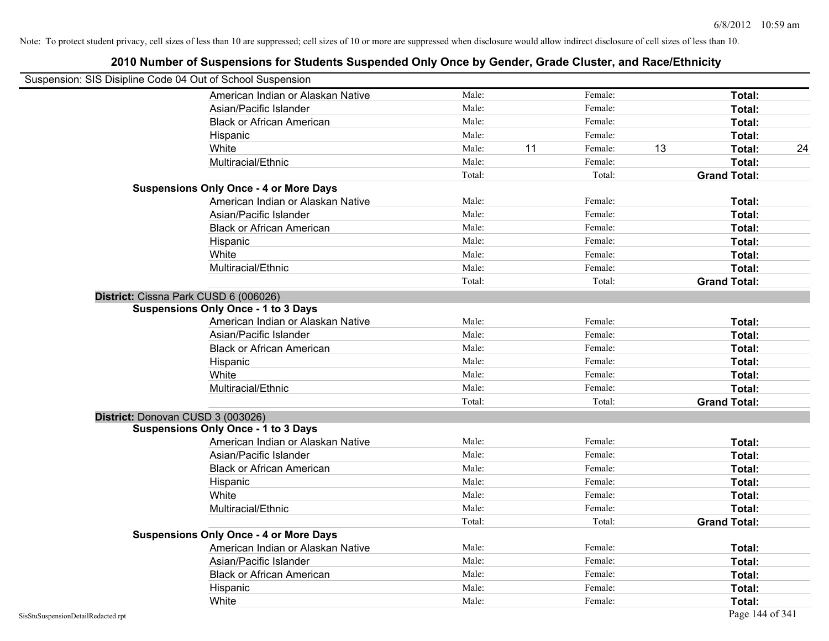|                                                            | 2010 Number of Suspensions for Students Suspended Only Once by Gender, Grade Cluster, and Race/Ethnicity |        |    |         |    |                     |    |
|------------------------------------------------------------|----------------------------------------------------------------------------------------------------------|--------|----|---------|----|---------------------|----|
| Suspension: SIS Disipline Code 04 Out of School Suspension |                                                                                                          |        |    |         |    |                     |    |
|                                                            | American Indian or Alaskan Native                                                                        | Male:  |    | Female: |    | Total:              |    |
|                                                            | Asian/Pacific Islander                                                                                   | Male:  |    | Female: |    | Total:              |    |
|                                                            | <b>Black or African American</b>                                                                         | Male:  |    | Female: |    | Total:              |    |
|                                                            | Hispanic                                                                                                 | Male:  |    | Female: |    | Total:              |    |
|                                                            | White                                                                                                    | Male:  | 11 | Female: | 13 | Total:              | 24 |
|                                                            | Multiracial/Ethnic                                                                                       | Male:  |    | Female: |    | Total:              |    |
|                                                            |                                                                                                          | Total: |    | Total:  |    | <b>Grand Total:</b> |    |
|                                                            | <b>Suspensions Only Once - 4 or More Days</b>                                                            |        |    |         |    |                     |    |
|                                                            | American Indian or Alaskan Native                                                                        | Male:  |    | Female: |    | Total:              |    |
|                                                            | Asian/Pacific Islander                                                                                   | Male:  |    | Female: |    | Total:              |    |
|                                                            | <b>Black or African American</b>                                                                         | Male:  |    | Female: |    | Total:              |    |
|                                                            | Hispanic                                                                                                 | Male:  |    | Female: |    | Total:              |    |
|                                                            | White                                                                                                    | Male:  |    | Female: |    | Total:              |    |
|                                                            | Multiracial/Ethnic                                                                                       | Male:  |    | Female: |    | Total:              |    |
|                                                            |                                                                                                          | Total: |    | Total:  |    | <b>Grand Total:</b> |    |
|                                                            | District: Cissna Park CUSD 6 (006026)                                                                    |        |    |         |    |                     |    |
|                                                            | <b>Suspensions Only Once - 1 to 3 Days</b>                                                               |        |    |         |    |                     |    |
|                                                            | American Indian or Alaskan Native                                                                        | Male:  |    | Female: |    | Total:              |    |
|                                                            | Asian/Pacific Islander                                                                                   | Male:  |    | Female: |    | Total:              |    |
|                                                            | <b>Black or African American</b>                                                                         | Male:  |    | Female: |    | Total:              |    |
|                                                            | Hispanic                                                                                                 | Male:  |    | Female: |    | Total:              |    |
|                                                            | White                                                                                                    | Male:  |    | Female: |    | Total:              |    |
|                                                            | Multiracial/Ethnic                                                                                       | Male:  |    | Female: |    | Total:              |    |
|                                                            |                                                                                                          | Total: |    | Total:  |    | <b>Grand Total:</b> |    |
|                                                            | District: Donovan CUSD 3 (003026)                                                                        |        |    |         |    |                     |    |
|                                                            | <b>Suspensions Only Once - 1 to 3 Days</b>                                                               |        |    |         |    |                     |    |
|                                                            | American Indian or Alaskan Native                                                                        | Male:  |    | Female: |    | Total:              |    |
|                                                            | Asian/Pacific Islander                                                                                   | Male:  |    | Female: |    | Total:              |    |
|                                                            | <b>Black or African American</b>                                                                         | Male:  |    | Female: |    | Total:              |    |
|                                                            | Hispanic                                                                                                 | Male:  |    | Female: |    | Total:              |    |
|                                                            | White                                                                                                    | Male:  |    | Female: |    | Total:              |    |
|                                                            | Multiracial/Ethnic                                                                                       | Male:  |    | Female: |    | Total:              |    |
|                                                            |                                                                                                          | Total: |    | Total:  |    | <b>Grand Total:</b> |    |
|                                                            | <b>Suspensions Only Once - 4 or More Days</b>                                                            |        |    |         |    |                     |    |
|                                                            | American Indian or Alaskan Native                                                                        | Male:  |    | Female: |    | Total:              |    |
|                                                            | Asian/Pacific Islander                                                                                   | Male:  |    | Female: |    | Total:              |    |
|                                                            | <b>Black or African American</b>                                                                         | Male:  |    | Female: |    | Total:              |    |
|                                                            | Hispanic                                                                                                 | Male:  |    | Female: |    | Total:              |    |
|                                                            | White                                                                                                    | Male:  |    | Female: |    | Total:              |    |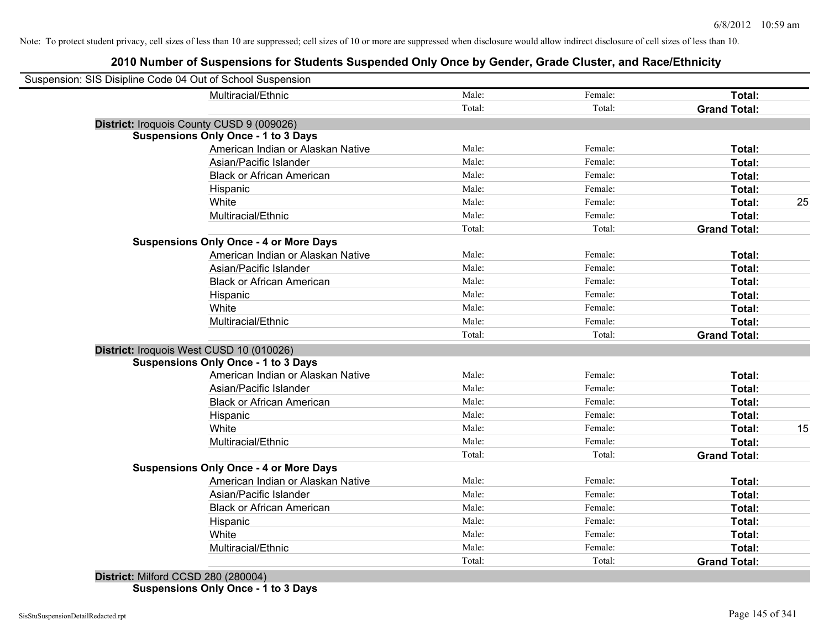| Suspension: SIS Disipline Code 04 Out of School Suspension |                                               |        |         |                     |    |
|------------------------------------------------------------|-----------------------------------------------|--------|---------|---------------------|----|
|                                                            | Multiracial/Ethnic                            | Male:  | Female: | Total:              |    |
|                                                            |                                               | Total: | Total:  | <b>Grand Total:</b> |    |
| District: Iroquois County CUSD 9 (009026)                  |                                               |        |         |                     |    |
| <b>Suspensions Only Once - 1 to 3 Days</b>                 |                                               |        |         |                     |    |
|                                                            | American Indian or Alaskan Native             | Male:  | Female: | Total:              |    |
|                                                            | Asian/Pacific Islander                        | Male:  | Female: | Total:              |    |
|                                                            | <b>Black or African American</b>              | Male:  | Female: | Total:              |    |
|                                                            | Hispanic                                      | Male:  | Female: | Total:              |    |
| White                                                      |                                               | Male:  | Female: | Total:              | 25 |
|                                                            | Multiracial/Ethnic                            | Male:  | Female: | Total:              |    |
|                                                            |                                               | Total: | Total:  | <b>Grand Total:</b> |    |
|                                                            | <b>Suspensions Only Once - 4 or More Days</b> |        |         |                     |    |
|                                                            | American Indian or Alaskan Native             | Male:  | Female: | Total:              |    |
|                                                            | Asian/Pacific Islander                        | Male:  | Female: | Total:              |    |
|                                                            | <b>Black or African American</b>              | Male:  | Female: | Total:              |    |
|                                                            | Hispanic                                      | Male:  | Female: | Total:              |    |
| White                                                      |                                               | Male:  | Female: | Total:              |    |
|                                                            | Multiracial/Ethnic                            | Male:  | Female: | Total:              |    |
|                                                            |                                               | Total: | Total:  | <b>Grand Total:</b> |    |
| District: Iroquois West CUSD 10 (010026)                   |                                               |        |         |                     |    |
| <b>Suspensions Only Once - 1 to 3 Days</b>                 |                                               |        |         |                     |    |
|                                                            | American Indian or Alaskan Native             | Male:  | Female: | Total:              |    |
|                                                            | Asian/Pacific Islander                        | Male:  | Female: | Total:              |    |
|                                                            | <b>Black or African American</b>              | Male:  | Female: | Total:              |    |
|                                                            | Hispanic                                      | Male:  | Female: | Total:              |    |
| White                                                      |                                               | Male:  | Female: | Total:              | 15 |
|                                                            | Multiracial/Ethnic                            | Male:  | Female: | Total:              |    |
|                                                            |                                               | Total: | Total:  | <b>Grand Total:</b> |    |
|                                                            | <b>Suspensions Only Once - 4 or More Days</b> |        |         |                     |    |
|                                                            | American Indian or Alaskan Native             | Male:  | Female: | Total:              |    |
|                                                            | Asian/Pacific Islander                        | Male:  | Female: | Total:              |    |
|                                                            | <b>Black or African American</b>              | Male:  | Female: | Total:              |    |
|                                                            | Hispanic                                      | Male:  | Female: | Total:              |    |
| White                                                      |                                               | Male:  | Female: | Total:              |    |
|                                                            | Multiracial/Ethnic                            | Male:  | Female: | Total:              |    |
|                                                            |                                               | Total: | Total:  | <b>Grand Total:</b> |    |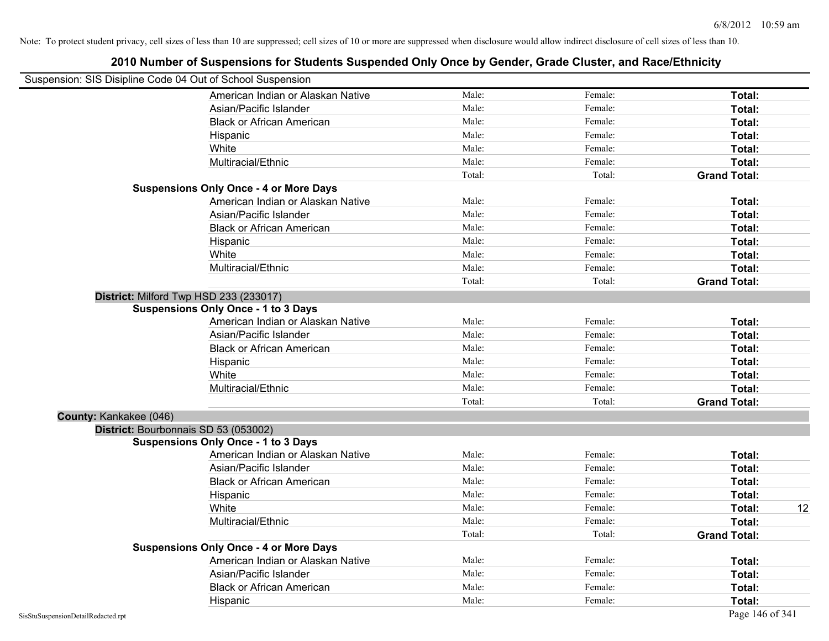|                        | Suspension: SIS Disipline Code 04 Out of School Suspension |        |         |                     |    |
|------------------------|------------------------------------------------------------|--------|---------|---------------------|----|
|                        | American Indian or Alaskan Native                          | Male:  | Female: | Total:              |    |
|                        | Asian/Pacific Islander                                     | Male:  | Female: | Total:              |    |
|                        | <b>Black or African American</b>                           | Male:  | Female: | Total:              |    |
|                        | Hispanic                                                   | Male:  | Female: | Total:              |    |
|                        | White                                                      | Male:  | Female: | Total:              |    |
|                        | Multiracial/Ethnic                                         | Male:  | Female: | Total:              |    |
|                        |                                                            | Total: | Total:  | <b>Grand Total:</b> |    |
|                        | <b>Suspensions Only Once - 4 or More Days</b>              |        |         |                     |    |
|                        | American Indian or Alaskan Native                          | Male:  | Female: | Total:              |    |
|                        | Asian/Pacific Islander                                     | Male:  | Female: | Total:              |    |
|                        | <b>Black or African American</b>                           | Male:  | Female: | Total:              |    |
|                        | Hispanic                                                   | Male:  | Female: | Total:              |    |
|                        | White                                                      | Male:  | Female: | Total:              |    |
|                        | Multiracial/Ethnic                                         | Male:  | Female: | Total:              |    |
|                        |                                                            | Total: | Total:  | <b>Grand Total:</b> |    |
|                        | District: Milford Twp HSD 233 (233017)                     |        |         |                     |    |
|                        | <b>Suspensions Only Once - 1 to 3 Days</b>                 |        |         |                     |    |
|                        | American Indian or Alaskan Native                          | Male:  | Female: | Total:              |    |
|                        | Asian/Pacific Islander                                     | Male:  | Female: | Total:              |    |
|                        | <b>Black or African American</b>                           | Male:  | Female: | Total:              |    |
|                        | Hispanic                                                   | Male:  | Female: | Total:              |    |
|                        | White                                                      | Male:  | Female: | Total:              |    |
|                        | Multiracial/Ethnic                                         | Male:  | Female: | Total:              |    |
|                        |                                                            | Total: | Total:  | <b>Grand Total:</b> |    |
| County: Kankakee (046) |                                                            |        |         |                     |    |
|                        | District: Bourbonnais SD 53 (053002)                       |        |         |                     |    |
|                        | <b>Suspensions Only Once - 1 to 3 Days</b>                 |        |         |                     |    |
|                        | American Indian or Alaskan Native                          | Male:  | Female: | Total:              |    |
|                        | Asian/Pacific Islander                                     | Male:  | Female: | Total:              |    |
|                        | <b>Black or African American</b>                           | Male:  | Female: | Total:              |    |
|                        | Hispanic                                                   | Male:  | Female: | Total:              |    |
|                        | White                                                      | Male:  | Female: | Total:              | 12 |
|                        | Multiracial/Ethnic                                         | Male:  | Female: | Total:              |    |
|                        |                                                            | Total: | Total:  | <b>Grand Total:</b> |    |
|                        | <b>Suspensions Only Once - 4 or More Days</b>              |        |         |                     |    |
|                        | American Indian or Alaskan Native                          | Male:  | Female: | Total:              |    |
|                        | Asian/Pacific Islander                                     | Male:  | Female: | Total:              |    |
|                        | <b>Black or African American</b>                           | Male:  | Female: | Total:              |    |
|                        | Hispanic                                                   | Male:  | Female: | Total:              |    |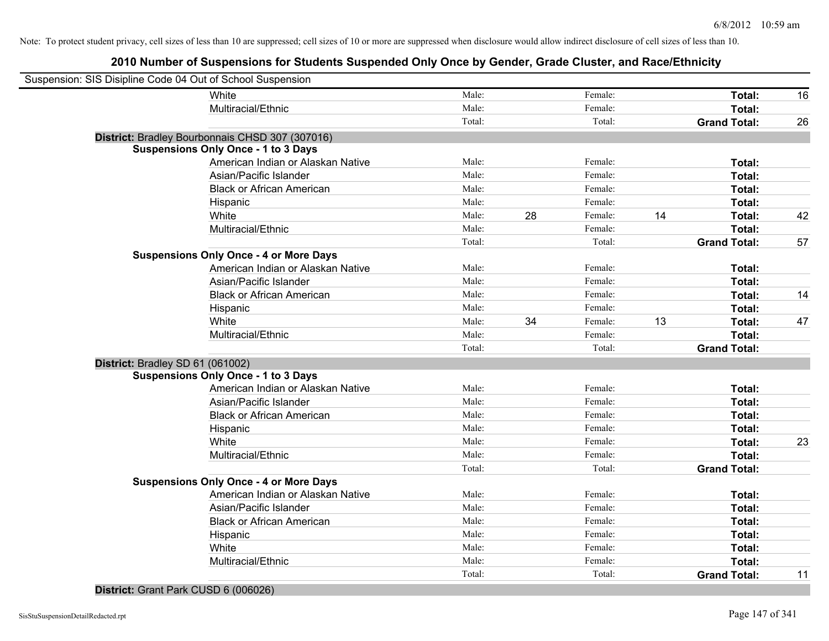# **2010 Number of Suspensions for Students Suspended Only Once by Gender, Grade Cluster, and Race/Ethnicity**

|                                  | Suspension: SIS Disipline Code 04 Out of School Suspension |        |    |         |    |                     |    |
|----------------------------------|------------------------------------------------------------|--------|----|---------|----|---------------------|----|
|                                  | White                                                      | Male:  |    | Female: |    | Total:              | 16 |
|                                  | Multiracial/Ethnic                                         | Male:  |    | Female: |    | Total:              |    |
|                                  |                                                            | Total: |    | Total:  |    | <b>Grand Total:</b> | 26 |
|                                  | District: Bradley Bourbonnais CHSD 307 (307016)            |        |    |         |    |                     |    |
|                                  | <b>Suspensions Only Once - 1 to 3 Days</b>                 |        |    |         |    |                     |    |
|                                  | American Indian or Alaskan Native                          | Male:  |    | Female: |    | Total:              |    |
|                                  | Asian/Pacific Islander                                     | Male:  |    | Female: |    | Total:              |    |
|                                  | <b>Black or African American</b>                           | Male:  |    | Female: |    | Total:              |    |
|                                  | Hispanic                                                   | Male:  |    | Female: |    | Total:              |    |
|                                  | White                                                      | Male:  | 28 | Female: | 14 | Total:              | 42 |
|                                  | Multiracial/Ethnic                                         | Male:  |    | Female: |    | Total:              |    |
|                                  |                                                            | Total: |    | Total:  |    | <b>Grand Total:</b> | 57 |
|                                  | <b>Suspensions Only Once - 4 or More Days</b>              |        |    |         |    |                     |    |
|                                  | American Indian or Alaskan Native                          | Male:  |    | Female: |    | Total:              |    |
|                                  | Asian/Pacific Islander                                     | Male:  |    | Female: |    | Total:              |    |
|                                  | <b>Black or African American</b>                           | Male:  |    | Female: |    | Total:              | 14 |
|                                  | Hispanic                                                   | Male:  |    | Female: |    | Total:              |    |
|                                  | White                                                      | Male:  | 34 | Female: | 13 | Total:              | 47 |
|                                  | Multiracial/Ethnic                                         | Male:  |    | Female: |    | Total:              |    |
|                                  |                                                            | Total: |    | Total:  |    | <b>Grand Total:</b> |    |
| District: Bradley SD 61 (061002) |                                                            |        |    |         |    |                     |    |
|                                  | <b>Suspensions Only Once - 1 to 3 Days</b>                 |        |    |         |    |                     |    |
|                                  | American Indian or Alaskan Native                          | Male:  |    | Female: |    | Total:              |    |
|                                  | Asian/Pacific Islander                                     | Male:  |    | Female: |    | Total:              |    |
|                                  | <b>Black or African American</b>                           | Male:  |    | Female: |    | Total:              |    |
|                                  | Hispanic                                                   | Male:  |    | Female: |    | Total:              |    |
|                                  | White                                                      | Male:  |    | Female: |    | Total:              | 23 |
|                                  | Multiracial/Ethnic                                         | Male:  |    | Female: |    | Total:              |    |
|                                  |                                                            | Total: |    | Total:  |    | <b>Grand Total:</b> |    |
|                                  | <b>Suspensions Only Once - 4 or More Days</b>              |        |    |         |    |                     |    |
|                                  | American Indian or Alaskan Native                          | Male:  |    | Female: |    | Total:              |    |
|                                  | Asian/Pacific Islander                                     | Male:  |    | Female: |    | Total:              |    |
|                                  | <b>Black or African American</b>                           | Male:  |    | Female: |    | Total:              |    |
|                                  | Hispanic                                                   | Male:  |    | Female: |    | Total:              |    |
|                                  | White                                                      | Male:  |    | Female: |    | Total:              |    |
|                                  | Multiracial/Ethnic                                         | Male:  |    | Female: |    | Total:              |    |
|                                  |                                                            | Total: |    | Total:  |    | <b>Grand Total:</b> | 11 |
|                                  |                                                            |        |    |         |    |                     |    |

#### **District:** Grant Park CUSD 6 (006026)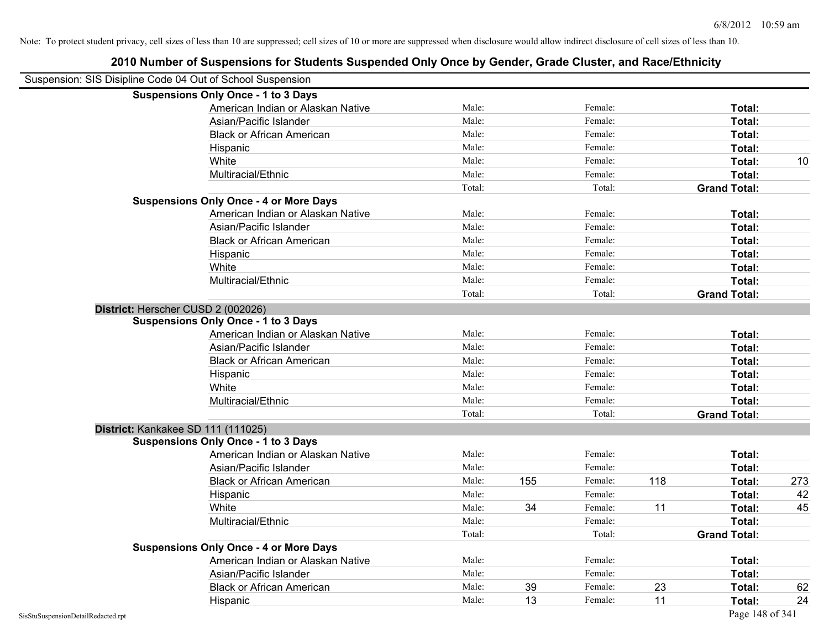|                                    | Suspension: SIS Disipline Code 04 Out of School Suspension |        |     |         |     |                     |     |
|------------------------------------|------------------------------------------------------------|--------|-----|---------|-----|---------------------|-----|
|                                    | <b>Suspensions Only Once - 1 to 3 Days</b>                 |        |     |         |     |                     |     |
|                                    | American Indian or Alaskan Native                          | Male:  |     | Female: |     | Total:              |     |
|                                    | Asian/Pacific Islander                                     | Male:  |     | Female: |     | Total:              |     |
|                                    | <b>Black or African American</b>                           | Male:  |     | Female: |     | Total:              |     |
|                                    | Hispanic                                                   | Male:  |     | Female: |     | Total:              |     |
|                                    | White                                                      | Male:  |     | Female: |     | Total:              | 10  |
|                                    | Multiracial/Ethnic                                         | Male:  |     | Female: |     | Total:              |     |
|                                    |                                                            | Total: |     | Total:  |     | <b>Grand Total:</b> |     |
|                                    | <b>Suspensions Only Once - 4 or More Days</b>              |        |     |         |     |                     |     |
|                                    | American Indian or Alaskan Native                          | Male:  |     | Female: |     | Total:              |     |
|                                    | Asian/Pacific Islander                                     | Male:  |     | Female: |     | Total:              |     |
|                                    | <b>Black or African American</b>                           | Male:  |     | Female: |     | Total:              |     |
|                                    | Hispanic                                                   | Male:  |     | Female: |     | Total:              |     |
|                                    | White                                                      | Male:  |     | Female: |     | Total:              |     |
|                                    | Multiracial/Ethnic                                         | Male:  |     | Female: |     | Total:              |     |
|                                    |                                                            | Total: |     | Total:  |     | <b>Grand Total:</b> |     |
|                                    | District: Herscher CUSD 2 (002026)                         |        |     |         |     |                     |     |
|                                    | <b>Suspensions Only Once - 1 to 3 Days</b>                 |        |     |         |     |                     |     |
|                                    | American Indian or Alaskan Native                          | Male:  |     | Female: |     | Total:              |     |
|                                    | Asian/Pacific Islander                                     | Male:  |     | Female: |     | Total:              |     |
|                                    | <b>Black or African American</b>                           | Male:  |     | Female: |     | Total:              |     |
|                                    | Hispanic                                                   | Male:  |     | Female: |     | Total:              |     |
|                                    | White                                                      | Male:  |     | Female: |     | Total:              |     |
|                                    | Multiracial/Ethnic                                         | Male:  |     | Female: |     | Total:              |     |
|                                    |                                                            | Total: |     | Total:  |     | <b>Grand Total:</b> |     |
|                                    | District: Kankakee SD 111 (111025)                         |        |     |         |     |                     |     |
|                                    | <b>Suspensions Only Once - 1 to 3 Days</b>                 |        |     |         |     |                     |     |
|                                    | American Indian or Alaskan Native                          | Male:  |     | Female: |     | Total:              |     |
|                                    | Asian/Pacific Islander                                     | Male:  |     | Female: |     | Total:              |     |
|                                    | <b>Black or African American</b>                           | Male:  | 155 | Female: | 118 | Total:              | 273 |
|                                    | Hispanic                                                   | Male:  |     | Female: |     | Total:              | 42  |
|                                    | White                                                      | Male:  | 34  | Female: | 11  | Total:              | 45  |
|                                    | Multiracial/Ethnic                                         | Male:  |     | Female: |     | Total:              |     |
|                                    |                                                            | Total: |     | Total:  |     | <b>Grand Total:</b> |     |
|                                    | <b>Suspensions Only Once - 4 or More Days</b>              |        |     |         |     |                     |     |
|                                    | American Indian or Alaskan Native                          | Male:  |     | Female: |     | Total:              |     |
|                                    | Asian/Pacific Islander                                     | Male:  |     | Female: |     | Total:              |     |
|                                    | <b>Black or African American</b>                           | Male:  | 39  | Female: | 23  | Total:              | 62  |
|                                    | Hispanic                                                   | Male:  | 13  | Female: | 11  | Total:              | 24  |
| SisStuSuspensionDetailRedacted.rpt |                                                            |        |     |         |     | Page 148 of 341     |     |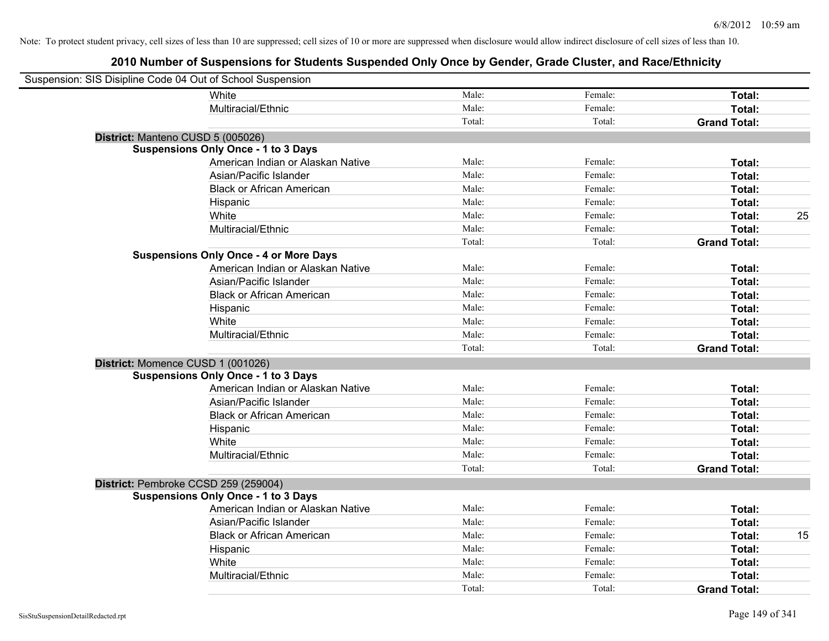| Suspension: SIS Disipline Code 04 Out of School Suspension |                                               |        |         |                     |    |
|------------------------------------------------------------|-----------------------------------------------|--------|---------|---------------------|----|
|                                                            | White                                         | Male:  | Female: | Total:              |    |
|                                                            | Multiracial/Ethnic                            | Male:  | Female: | Total:              |    |
|                                                            |                                               | Total: | Total:  | <b>Grand Total:</b> |    |
|                                                            | District: Manteno CUSD 5 (005026)             |        |         |                     |    |
|                                                            | <b>Suspensions Only Once - 1 to 3 Days</b>    |        |         |                     |    |
|                                                            | American Indian or Alaskan Native             | Male:  | Female: | Total:              |    |
|                                                            | Asian/Pacific Islander                        | Male:  | Female: | Total:              |    |
|                                                            | <b>Black or African American</b>              | Male:  | Female: | Total:              |    |
|                                                            | Hispanic                                      | Male:  | Female: | Total:              |    |
|                                                            | White                                         | Male:  | Female: | Total:              | 25 |
|                                                            | Multiracial/Ethnic                            | Male:  | Female: | Total:              |    |
|                                                            |                                               | Total: | Total:  | <b>Grand Total:</b> |    |
|                                                            | <b>Suspensions Only Once - 4 or More Days</b> |        |         |                     |    |
|                                                            | American Indian or Alaskan Native             | Male:  | Female: | Total:              |    |
|                                                            | Asian/Pacific Islander                        | Male:  | Female: | Total:              |    |
|                                                            | <b>Black or African American</b>              | Male:  | Female: | Total:              |    |
|                                                            | Hispanic                                      | Male:  | Female: | Total:              |    |
|                                                            | White                                         | Male:  | Female: | Total:              |    |
|                                                            | Multiracial/Ethnic                            | Male:  | Female: | Total:              |    |
|                                                            |                                               | Total: | Total:  | <b>Grand Total:</b> |    |
|                                                            | District: Momence CUSD 1 (001026)             |        |         |                     |    |
|                                                            | <b>Suspensions Only Once - 1 to 3 Days</b>    |        |         |                     |    |
|                                                            | American Indian or Alaskan Native             | Male:  | Female: | Total:              |    |
|                                                            | Asian/Pacific Islander                        | Male:  | Female: | Total:              |    |
|                                                            | <b>Black or African American</b>              | Male:  | Female: | Total:              |    |
|                                                            | Hispanic                                      | Male:  | Female: | Total:              |    |
|                                                            | White                                         | Male:  | Female: | Total:              |    |
|                                                            | Multiracial/Ethnic                            | Male:  | Female: | Total:              |    |
|                                                            |                                               | Total: | Total:  | <b>Grand Total:</b> |    |
|                                                            | District: Pembroke CCSD 259 (259004)          |        |         |                     |    |
|                                                            | <b>Suspensions Only Once - 1 to 3 Days</b>    |        |         |                     |    |
|                                                            | American Indian or Alaskan Native             | Male:  | Female: | Total:              |    |
|                                                            | Asian/Pacific Islander                        | Male:  | Female: | Total:              |    |
|                                                            | <b>Black or African American</b>              | Male:  | Female: | Total:              | 15 |
|                                                            | Hispanic                                      | Male:  | Female: | Total:              |    |
|                                                            | White                                         | Male:  | Female: | Total:              |    |
|                                                            | Multiracial/Ethnic                            | Male:  | Female: | Total:              |    |
|                                                            |                                               | Total: | Total:  | <b>Grand Total:</b> |    |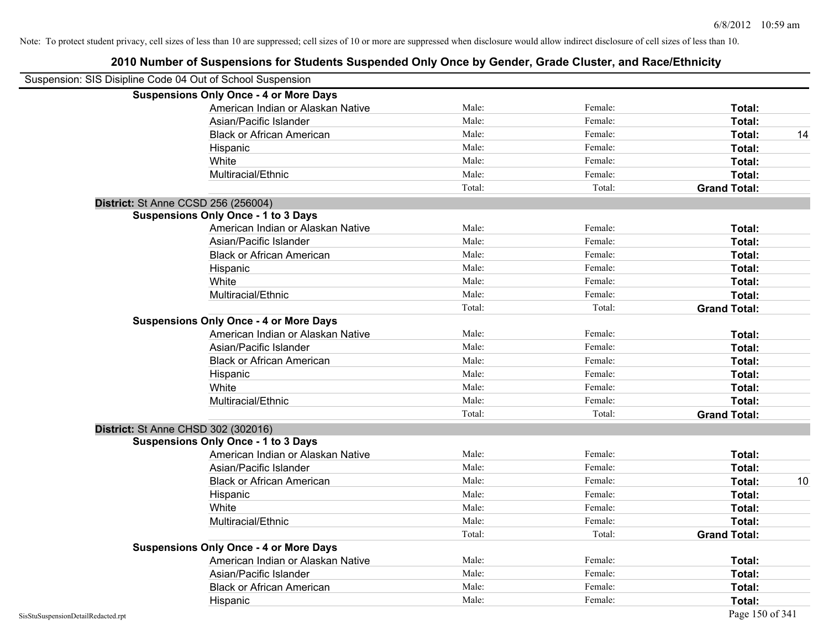| Suspension: SIS Disipline Code 04 Out of School Suspension |                                               |        |         |                     |    |
|------------------------------------------------------------|-----------------------------------------------|--------|---------|---------------------|----|
|                                                            | <b>Suspensions Only Once - 4 or More Days</b> |        |         |                     |    |
|                                                            | American Indian or Alaskan Native             | Male:  | Female: | Total:              |    |
|                                                            | Asian/Pacific Islander                        | Male:  | Female: | Total:              |    |
|                                                            | <b>Black or African American</b>              | Male:  | Female: | Total:              | 14 |
|                                                            | Hispanic                                      | Male:  | Female: | Total:              |    |
|                                                            | White                                         | Male:  | Female: | Total:              |    |
|                                                            | Multiracial/Ethnic                            | Male:  | Female: | Total:              |    |
|                                                            |                                               | Total: | Total:  | <b>Grand Total:</b> |    |
| District: St Anne CCSD 256 (256004)                        |                                               |        |         |                     |    |
|                                                            | <b>Suspensions Only Once - 1 to 3 Days</b>    |        |         |                     |    |
|                                                            | American Indian or Alaskan Native             | Male:  | Female: | Total:              |    |
|                                                            | Asian/Pacific Islander                        | Male:  | Female: | Total:              |    |
|                                                            | <b>Black or African American</b>              | Male:  | Female: | Total:              |    |
|                                                            | Hispanic                                      | Male:  | Female: | Total:              |    |
|                                                            | White                                         | Male:  | Female: | Total:              |    |
|                                                            | Multiracial/Ethnic                            | Male:  | Female: | Total:              |    |
|                                                            |                                               | Total: | Total:  | <b>Grand Total:</b> |    |
|                                                            | <b>Suspensions Only Once - 4 or More Days</b> |        |         |                     |    |
|                                                            | American Indian or Alaskan Native             | Male:  | Female: | Total:              |    |
|                                                            | Asian/Pacific Islander                        | Male:  | Female: | Total:              |    |
|                                                            | <b>Black or African American</b>              | Male:  | Female: | Total:              |    |
|                                                            | Hispanic                                      | Male:  | Female: | Total:              |    |
|                                                            | White                                         | Male:  | Female: | Total:              |    |
|                                                            | Multiracial/Ethnic                            | Male:  | Female: | Total:              |    |
|                                                            |                                               | Total: | Total:  | <b>Grand Total:</b> |    |
| District: St Anne CHSD 302 (302016)                        |                                               |        |         |                     |    |
|                                                            | <b>Suspensions Only Once - 1 to 3 Days</b>    |        |         |                     |    |
|                                                            | American Indian or Alaskan Native             | Male:  | Female: | Total:              |    |
|                                                            | Asian/Pacific Islander                        | Male:  | Female: | Total:              |    |
|                                                            | <b>Black or African American</b>              | Male:  | Female: | Total:              | 10 |
|                                                            | Hispanic                                      | Male:  | Female: | Total:              |    |
|                                                            | White                                         | Male:  | Female: | Total:              |    |
|                                                            | Multiracial/Ethnic                            | Male:  | Female: | Total:              |    |
|                                                            |                                               | Total: | Total:  | <b>Grand Total:</b> |    |
|                                                            | <b>Suspensions Only Once - 4 or More Days</b> |        |         |                     |    |
|                                                            | American Indian or Alaskan Native             | Male:  | Female: | Total:              |    |
|                                                            | Asian/Pacific Islander                        | Male:  | Female: | Total:              |    |
|                                                            | <b>Black or African American</b>              | Male:  | Female: | <b>Total:</b>       |    |
|                                                            | Hispanic                                      | Male:  | Female: | Total:              |    |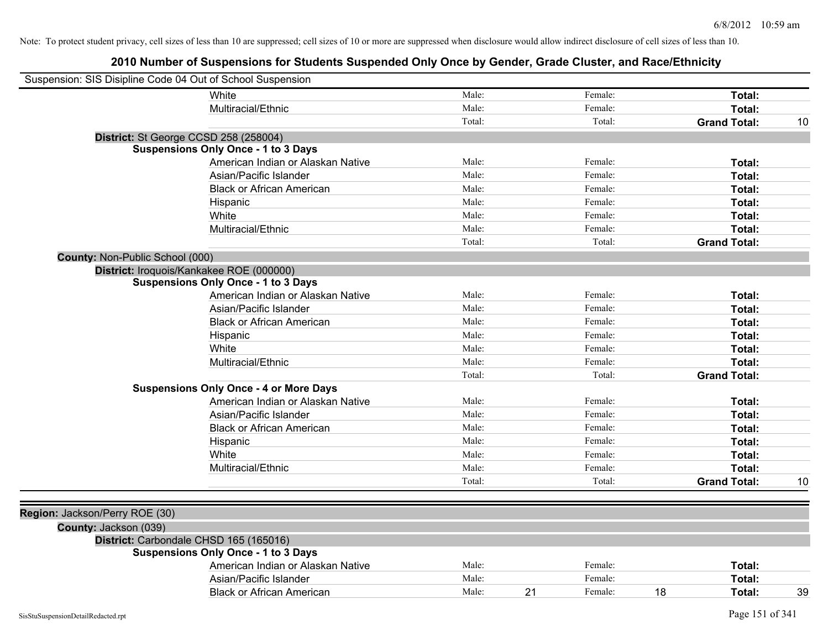| Suspension: SIS Disipline Code 04 Out of School Suspension |                                                                                 |        |               |                     |    |
|------------------------------------------------------------|---------------------------------------------------------------------------------|--------|---------------|---------------------|----|
|                                                            | White                                                                           | Male:  | Female:       | Total:              |    |
|                                                            | Multiracial/Ethnic                                                              | Male:  | Female:       | Total:              |    |
|                                                            |                                                                                 | Total: | Total:        | <b>Grand Total:</b> | 10 |
| District: St George CCSD 258 (258004)                      |                                                                                 |        |               |                     |    |
|                                                            | <b>Suspensions Only Once - 1 to 3 Days</b>                                      |        |               |                     |    |
|                                                            | American Indian or Alaskan Native                                               | Male:  | Female:       | Total:              |    |
|                                                            | Asian/Pacific Islander                                                          | Male:  | Female:       | Total:              |    |
|                                                            | <b>Black or African American</b>                                                | Male:  | Female:       | Total:              |    |
|                                                            | Hispanic                                                                        | Male:  | Female:       | Total:              |    |
|                                                            | White                                                                           | Male:  | Female:       | Total:              |    |
|                                                            | Multiracial/Ethnic                                                              | Male:  | Female:       | Total:              |    |
|                                                            |                                                                                 | Total: | Total:        | <b>Grand Total:</b> |    |
| County: Non-Public School (000)                            |                                                                                 |        |               |                     |    |
|                                                            | District: Iroquois/Kankakee ROE (000000)                                        |        |               |                     |    |
|                                                            | <b>Suspensions Only Once - 1 to 3 Days</b>                                      |        |               |                     |    |
|                                                            | American Indian or Alaskan Native                                               | Male:  | Female:       | Total:              |    |
|                                                            | Asian/Pacific Islander                                                          | Male:  | Female:       | Total:              |    |
|                                                            | <b>Black or African American</b>                                                | Male:  | Female:       | Total:              |    |
|                                                            | Hispanic                                                                        | Male:  | Female:       | Total:              |    |
|                                                            | White                                                                           | Male:  | Female:       | Total:              |    |
|                                                            | Multiracial/Ethnic                                                              | Male:  | Female:       | Total:              |    |
|                                                            |                                                                                 | Total: | Total:        | <b>Grand Total:</b> |    |
|                                                            | <b>Suspensions Only Once - 4 or More Days</b>                                   |        |               |                     |    |
|                                                            | American Indian or Alaskan Native                                               | Male:  | Female:       | Total:              |    |
|                                                            | Asian/Pacific Islander                                                          | Male:  | Female:       | Total:              |    |
|                                                            | <b>Black or African American</b>                                                | Male:  | Female:       | Total:              |    |
|                                                            | Hispanic                                                                        | Male:  | Female:       | Total:              |    |
|                                                            | White                                                                           | Male:  | Female:       | Total:              |    |
|                                                            | Multiracial/Ethnic                                                              | Male:  | Female:       | Total:              |    |
|                                                            |                                                                                 | Total: | Total:        | <b>Grand Total:</b> | 10 |
|                                                            |                                                                                 |        |               |                     |    |
| Region: Jackson/Perry ROE (30)                             |                                                                                 |        |               |                     |    |
| County: Jackson (039)                                      |                                                                                 |        |               |                     |    |
| District: Carbondale CHSD 165 (165016)                     |                                                                                 |        |               |                     |    |
|                                                            | <b>Suspensions Only Once - 1 to 3 Days</b><br>American Indian or Alaskan Native | Male:  | Female:       | Total:              |    |
|                                                            | Asian/Pacific Islander                                                          | Male:  | Female:       |                     |    |
|                                                            |                                                                                 | Male:  | 21<br>Female: | Total:<br>18        |    |
|                                                            | <b>Black or African American</b>                                                |        |               | Total:              | 39 |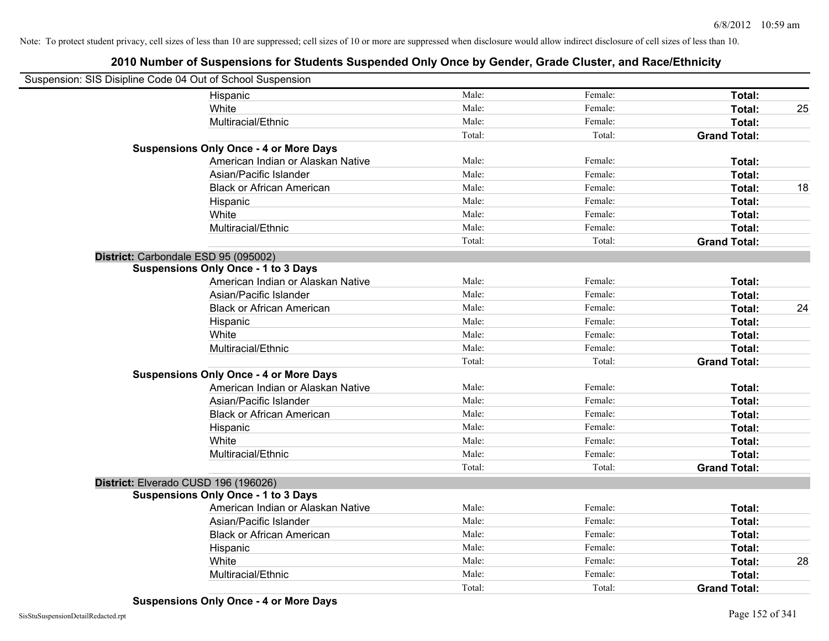| Suspension: SIS Disipline Code 04 Out of School Suspension |        |         |                     |    |
|------------------------------------------------------------|--------|---------|---------------------|----|
| Hispanic                                                   | Male:  | Female: | Total:              |    |
| White                                                      | Male:  | Female: | Total:              | 25 |
| Multiracial/Ethnic                                         | Male:  | Female: | Total:              |    |
|                                                            | Total: | Total:  | <b>Grand Total:</b> |    |
| <b>Suspensions Only Once - 4 or More Days</b>              |        |         |                     |    |
| American Indian or Alaskan Native                          | Male:  | Female: | Total:              |    |
| Asian/Pacific Islander                                     | Male:  | Female: | Total:              |    |
| <b>Black or African American</b>                           | Male:  | Female: | Total:              | 18 |
| Hispanic                                                   | Male:  | Female: | Total:              |    |
| White                                                      | Male:  | Female: | Total:              |    |
| Multiracial/Ethnic                                         | Male:  | Female: | Total:              |    |
|                                                            | Total: | Total:  | <b>Grand Total:</b> |    |
| District: Carbondale ESD 95 (095002)                       |        |         |                     |    |
| <b>Suspensions Only Once - 1 to 3 Days</b>                 |        |         |                     |    |
| American Indian or Alaskan Native                          | Male:  | Female: | Total:              |    |
| Asian/Pacific Islander                                     | Male:  | Female: | Total:              |    |
| <b>Black or African American</b>                           | Male:  | Female: | Total:              | 24 |
| Hispanic                                                   | Male:  | Female: | Total:              |    |
| White                                                      | Male:  | Female: | Total:              |    |
| Multiracial/Ethnic                                         | Male:  | Female: | Total:              |    |
|                                                            | Total: | Total:  | <b>Grand Total:</b> |    |
| <b>Suspensions Only Once - 4 or More Days</b>              |        |         |                     |    |
| American Indian or Alaskan Native                          | Male:  | Female: | Total:              |    |
| Asian/Pacific Islander                                     | Male:  | Female: | Total:              |    |
| <b>Black or African American</b>                           | Male:  | Female: | Total:              |    |
| Hispanic                                                   | Male:  | Female: | Total:              |    |
| White                                                      | Male:  | Female: | Total:              |    |
| Multiracial/Ethnic                                         | Male:  | Female: | Total:              |    |
|                                                            | Total: | Total:  | <b>Grand Total:</b> |    |
| District: Elverado CUSD 196 (196026)                       |        |         |                     |    |
| <b>Suspensions Only Once - 1 to 3 Days</b>                 |        |         |                     |    |
| American Indian or Alaskan Native                          | Male:  | Female: | Total:              |    |
| Asian/Pacific Islander                                     | Male:  | Female: | Total:              |    |
| <b>Black or African American</b>                           | Male:  | Female: | Total:              |    |
| Hispanic                                                   | Male:  | Female: | Total:              |    |
| White                                                      | Male:  | Female: | Total:              | 28 |
| Multiracial/Ethnic                                         | Male:  | Female: | Total:              |    |
|                                                            | Total: | Total:  | <b>Grand Total:</b> |    |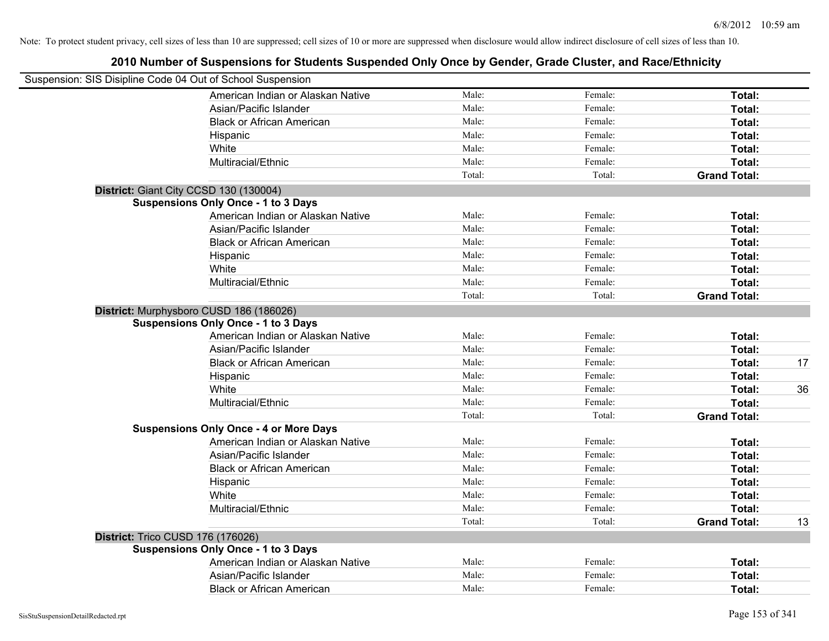| Suspension: SIS Disipline Code 04 Out of School Suspension |        |         |                     |    |
|------------------------------------------------------------|--------|---------|---------------------|----|
| American Indian or Alaskan Native                          | Male:  | Female: | Total:              |    |
| Asian/Pacific Islander                                     | Male:  | Female: | Total:              |    |
| <b>Black or African American</b>                           | Male:  | Female: | Total:              |    |
| Hispanic                                                   | Male:  | Female: | Total:              |    |
| White                                                      | Male:  | Female: | Total:              |    |
| Multiracial/Ethnic                                         | Male:  | Female: | Total:              |    |
|                                                            | Total: | Total:  | <b>Grand Total:</b> |    |
| District: Giant City CCSD 130 (130004)                     |        |         |                     |    |
| <b>Suspensions Only Once - 1 to 3 Days</b>                 |        |         |                     |    |
| American Indian or Alaskan Native                          | Male:  | Female: | Total:              |    |
| Asian/Pacific Islander                                     | Male:  | Female: | Total:              |    |
| <b>Black or African American</b>                           | Male:  | Female: | Total:              |    |
| Hispanic                                                   | Male:  | Female: | Total:              |    |
| White                                                      | Male:  | Female: | Total:              |    |
| Multiracial/Ethnic                                         | Male:  | Female: | Total:              |    |
|                                                            | Total: | Total:  | <b>Grand Total:</b> |    |
| District: Murphysboro CUSD 186 (186026)                    |        |         |                     |    |
| <b>Suspensions Only Once - 1 to 3 Days</b>                 |        |         |                     |    |
| American Indian or Alaskan Native                          | Male:  | Female: | Total:              |    |
| Asian/Pacific Islander                                     | Male:  | Female: | Total:              |    |
| <b>Black or African American</b>                           | Male:  | Female: | Total:              | 17 |
| Hispanic                                                   | Male:  | Female: | Total:              |    |
| White                                                      | Male:  | Female: | Total:              | 36 |
| Multiracial/Ethnic                                         | Male:  | Female: | Total:              |    |
|                                                            | Total: | Total:  | <b>Grand Total:</b> |    |
| <b>Suspensions Only Once - 4 or More Days</b>              |        |         |                     |    |
| American Indian or Alaskan Native                          | Male:  | Female: | Total:              |    |
| Asian/Pacific Islander                                     | Male:  | Female: | Total:              |    |
| <b>Black or African American</b>                           | Male:  | Female: | Total:              |    |
| Hispanic                                                   | Male:  | Female: | Total:              |    |
| White                                                      | Male:  | Female: | Total:              |    |
| Multiracial/Ethnic                                         | Male:  | Female: | <b>Total:</b>       |    |
|                                                            | Total: | Total:  | <b>Grand Total:</b> | 13 |
| District: Trico CUSD 176 (176026)                          |        |         |                     |    |
| <b>Suspensions Only Once - 1 to 3 Days</b>                 |        |         |                     |    |
| American Indian or Alaskan Native                          | Male:  | Female: | Total:              |    |
| Asian/Pacific Islander                                     | Male:  | Female: | Total:              |    |
| <b>Black or African American</b>                           | Male:  | Female: | Total:              |    |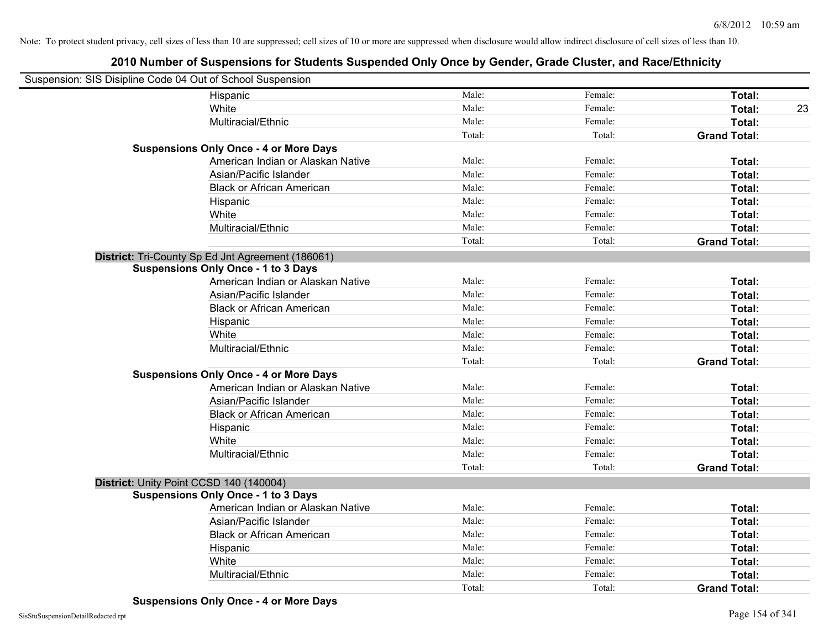| Suspension: SIS Disipline Code 04 Out of School Suspension |        |         |                     |
|------------------------------------------------------------|--------|---------|---------------------|
| Hispanic                                                   | Male:  | Female: | Total:              |
| White                                                      | Male:  | Female: | Total:<br>23        |
| Multiracial/Ethnic                                         | Male:  | Female: | Total:              |
|                                                            | Total: | Total:  | <b>Grand Total:</b> |
| <b>Suspensions Only Once - 4 or More Days</b>              |        |         |                     |
| American Indian or Alaskan Native                          | Male:  | Female: | Total:              |
| Asian/Pacific Islander                                     | Male:  | Female: | Total:              |
| <b>Black or African American</b>                           | Male:  | Female: | Total:              |
| Hispanic                                                   | Male:  | Female: | Total:              |
| White                                                      | Male:  | Female: | Total:              |
| Multiracial/Ethnic                                         | Male:  | Female: | Total:              |
|                                                            | Total: | Total:  | <b>Grand Total:</b> |
| District: Tri-County Sp Ed Jnt Agreement (186061)          |        |         |                     |
| <b>Suspensions Only Once - 1 to 3 Days</b>                 |        |         |                     |
| American Indian or Alaskan Native                          | Male:  | Female: | Total:              |
| Asian/Pacific Islander                                     | Male:  | Female: | Total:              |
| <b>Black or African American</b>                           | Male:  | Female: | Total:              |
| Hispanic                                                   | Male:  | Female: | Total:              |
| White                                                      | Male:  | Female: | Total:              |
| Multiracial/Ethnic                                         | Male:  | Female: | Total:              |
|                                                            | Total: | Total:  | <b>Grand Total:</b> |
| <b>Suspensions Only Once - 4 or More Days</b>              |        |         |                     |
| American Indian or Alaskan Native                          | Male:  | Female: | Total:              |
| Asian/Pacific Islander                                     | Male:  | Female: | Total:              |
| <b>Black or African American</b>                           | Male:  | Female: | Total:              |
| Hispanic                                                   | Male:  | Female: | Total:              |
| White                                                      | Male:  | Female: | Total:              |
| Multiracial/Ethnic                                         | Male:  | Female: | Total:              |
|                                                            | Total: | Total:  | <b>Grand Total:</b> |
| District: Unity Point CCSD 140 (140004)                    |        |         |                     |
| <b>Suspensions Only Once - 1 to 3 Days</b>                 |        |         |                     |
| American Indian or Alaskan Native                          | Male:  | Female: | Total:              |
| Asian/Pacific Islander                                     | Male:  | Female: | Total:              |
| <b>Black or African American</b>                           | Male:  | Female: | Total:              |
| Hispanic                                                   | Male:  | Female: | Total:              |
| White                                                      | Male:  | Female: | Total:              |
| Multiracial/Ethnic                                         | Male:  | Female: | Total:              |
|                                                            | Total: | Total:  | <b>Grand Total:</b> |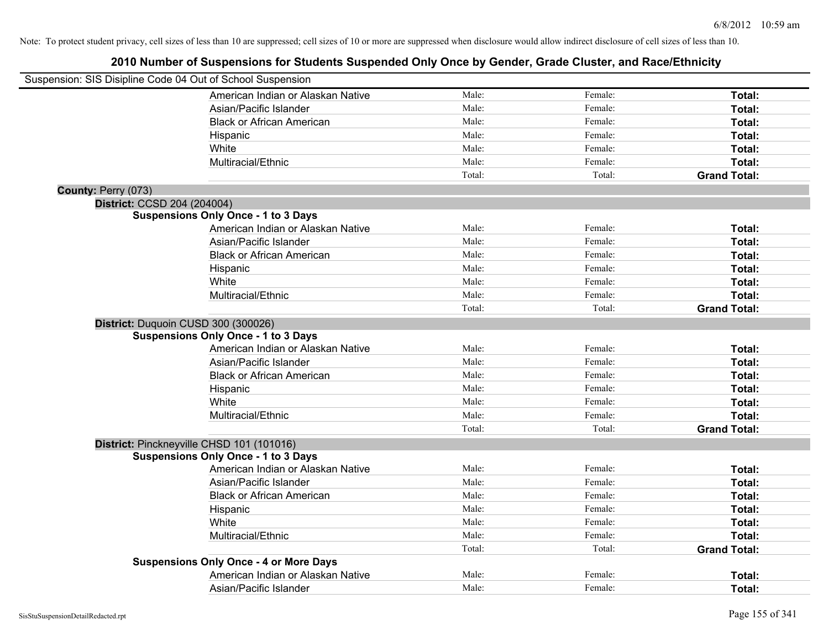|                     | Suspension: SIS Disipline Code 04 Out of School Suspension |        |         |                     |
|---------------------|------------------------------------------------------------|--------|---------|---------------------|
|                     | American Indian or Alaskan Native                          | Male:  | Female: | Total:              |
|                     | Asian/Pacific Islander                                     | Male:  | Female: | Total:              |
|                     | <b>Black or African American</b>                           | Male:  | Female: | Total:              |
|                     | Hispanic                                                   | Male:  | Female: | Total:              |
|                     | White                                                      | Male:  | Female: | Total:              |
|                     | Multiracial/Ethnic                                         | Male:  | Female: | Total:              |
|                     |                                                            | Total: | Total:  | <b>Grand Total:</b> |
| County: Perry (073) |                                                            |        |         |                     |
|                     | District: CCSD 204 (204004)                                |        |         |                     |
|                     | <b>Suspensions Only Once - 1 to 3 Days</b>                 |        |         |                     |
|                     | American Indian or Alaskan Native                          | Male:  | Female: | Total:              |
|                     | Asian/Pacific Islander                                     | Male:  | Female: | Total:              |
|                     | <b>Black or African American</b>                           | Male:  | Female: | Total:              |
|                     | Hispanic                                                   | Male:  | Female: | Total:              |
|                     | White                                                      | Male:  | Female: | Total:              |
|                     | Multiracial/Ethnic                                         | Male:  | Female: | Total:              |
|                     |                                                            | Total: | Total:  | <b>Grand Total:</b> |
|                     | District: Duquoin CUSD 300 (300026)                        |        |         |                     |
|                     | <b>Suspensions Only Once - 1 to 3 Days</b>                 |        |         |                     |
|                     | American Indian or Alaskan Native                          | Male:  | Female: | Total:              |
|                     | Asian/Pacific Islander                                     | Male:  | Female: | Total:              |
|                     | <b>Black or African American</b>                           | Male:  | Female: | Total:              |
|                     | Hispanic                                                   | Male:  | Female: | Total:              |
|                     | White                                                      | Male:  | Female: | Total:              |
|                     | Multiracial/Ethnic                                         | Male:  | Female: | Total:              |
|                     |                                                            | Total: | Total:  | <b>Grand Total:</b> |
|                     | District: Pinckneyville CHSD 101 (101016)                  |        |         |                     |
|                     | <b>Suspensions Only Once - 1 to 3 Days</b>                 |        |         |                     |
|                     | American Indian or Alaskan Native                          | Male:  | Female: | Total:              |
|                     | Asian/Pacific Islander                                     | Male:  | Female: | Total:              |
|                     | <b>Black or African American</b>                           | Male:  | Female: | Total:              |
|                     | Hispanic                                                   | Male:  | Female: | Total:              |
|                     | White                                                      | Male:  | Female: | Total:              |
|                     | Multiracial/Ethnic                                         | Male:  | Female: | Total:              |
|                     |                                                            | Total: | Total:  | <b>Grand Total:</b> |
|                     | <b>Suspensions Only Once - 4 or More Days</b>              |        |         |                     |
|                     | American Indian or Alaskan Native                          | Male:  | Female: | Total:              |
|                     | Asian/Pacific Islander                                     | Male:  | Female: | Total:              |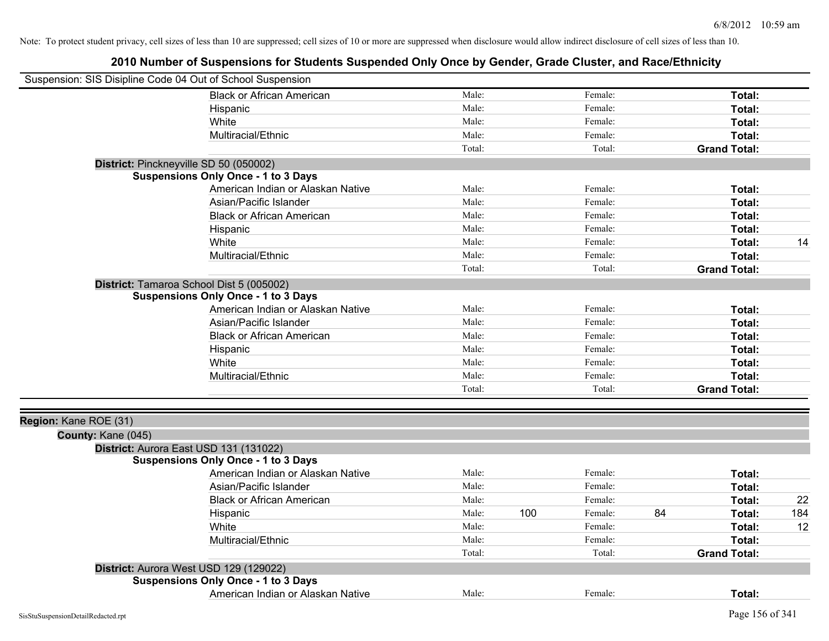| Suspension: SIS Disipline Code 04 Out of School Suspension |                                            |        |     |         |    |                     |     |
|------------------------------------------------------------|--------------------------------------------|--------|-----|---------|----|---------------------|-----|
|                                                            | <b>Black or African American</b>           | Male:  |     | Female: |    | Total:              |     |
|                                                            | Hispanic                                   | Male:  |     | Female: |    | Total:              |     |
|                                                            | White                                      | Male:  |     | Female: |    | Total:              |     |
|                                                            | Multiracial/Ethnic                         | Male:  |     | Female: |    | Total:              |     |
|                                                            |                                            | Total: |     | Total:  |    | <b>Grand Total:</b> |     |
| District: Pinckneyville SD 50 (050002)                     |                                            |        |     |         |    |                     |     |
|                                                            | <b>Suspensions Only Once - 1 to 3 Days</b> |        |     |         |    |                     |     |
|                                                            | American Indian or Alaskan Native          | Male:  |     | Female: |    | Total:              |     |
|                                                            | Asian/Pacific Islander                     | Male:  |     | Female: |    | Total:              |     |
|                                                            | <b>Black or African American</b>           | Male:  |     | Female: |    | Total:              |     |
|                                                            | Hispanic                                   | Male:  |     | Female: |    | Total:              |     |
|                                                            | White                                      | Male:  |     | Female: |    | Total:              | 14  |
|                                                            | Multiracial/Ethnic                         | Male:  |     | Female: |    | Total:              |     |
|                                                            |                                            | Total: |     | Total:  |    | <b>Grand Total:</b> |     |
| District: Tamaroa School Dist 5 (005002)                   |                                            |        |     |         |    |                     |     |
|                                                            | <b>Suspensions Only Once - 1 to 3 Days</b> |        |     |         |    |                     |     |
|                                                            | American Indian or Alaskan Native          | Male:  |     | Female: |    | Total:              |     |
|                                                            | Asian/Pacific Islander                     | Male:  |     | Female: |    | Total:              |     |
|                                                            | <b>Black or African American</b>           | Male:  |     | Female: |    | Total:              |     |
|                                                            | Hispanic                                   | Male:  |     | Female: |    | Total:              |     |
|                                                            | White                                      | Male:  |     | Female: |    | Total:              |     |
|                                                            | Multiracial/Ethnic                         | Male:  |     | Female: |    | Total:              |     |
|                                                            |                                            | Total: |     | Total:  |    | <b>Grand Total:</b> |     |
|                                                            |                                            |        |     |         |    |                     |     |
| Region: Kane ROE (31)                                      |                                            |        |     |         |    |                     |     |
| County: Kane (045)                                         |                                            |        |     |         |    |                     |     |
| District: Aurora East USD 131 (131022)                     |                                            |        |     |         |    |                     |     |
|                                                            | <b>Suspensions Only Once - 1 to 3 Days</b> |        |     |         |    |                     |     |
|                                                            | American Indian or Alaskan Native          | Male:  |     | Female: |    | Total:              |     |
|                                                            | Asian/Pacific Islander                     | Male:  |     | Female: |    | Total:              |     |
|                                                            | <b>Black or African American</b>           | Male:  |     | Female: |    | Total:              | 22  |
|                                                            | Hispanic                                   | Male:  | 100 | Female: | 84 | Total:              | 184 |
|                                                            | White                                      | Male:  |     | Female: |    | Total:              | 12  |
|                                                            | Multiracial/Ethnic                         | Male:  |     | Female: |    | Total:              |     |
|                                                            |                                            | Total: |     | Total:  |    | <b>Grand Total:</b> |     |
| District: Aurora West USD 129 (129022)                     |                                            |        |     |         |    |                     |     |
|                                                            | <b>Suspensions Only Once - 1 to 3 Days</b> |        |     |         |    |                     |     |
|                                                            | American Indian or Alaskan Native          | Male:  |     | Female: |    | Total:              |     |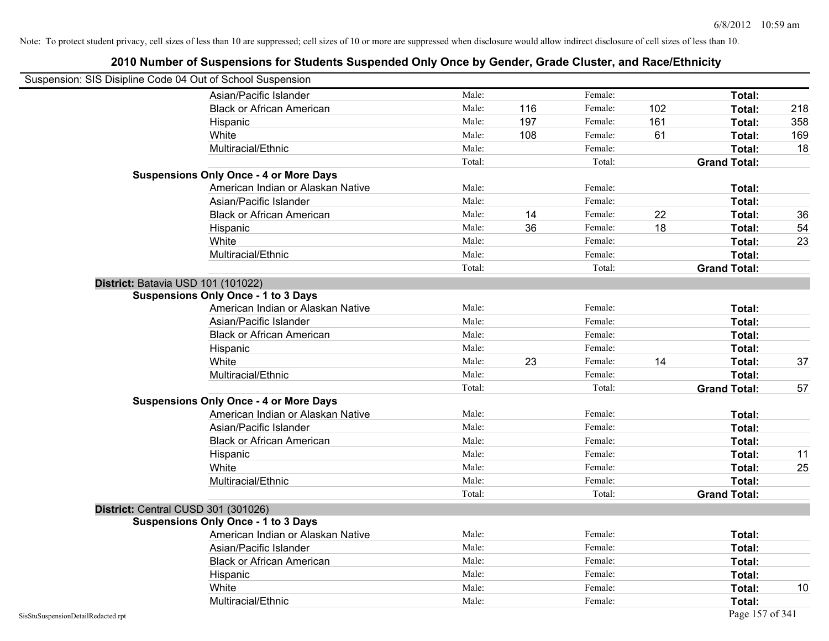| Suspension: SIS Disipline Code 04 Out of School Suspension |                                               |        |     |         |     |                     |     |
|------------------------------------------------------------|-----------------------------------------------|--------|-----|---------|-----|---------------------|-----|
|                                                            | Asian/Pacific Islander                        | Male:  |     | Female: |     | Total:              |     |
|                                                            | <b>Black or African American</b>              | Male:  | 116 | Female: | 102 | Total:              | 218 |
|                                                            | Hispanic                                      | Male:  | 197 | Female: | 161 | Total:              | 358 |
|                                                            | White                                         | Male:  | 108 | Female: | 61  | Total:              | 169 |
|                                                            | Multiracial/Ethnic                            | Male:  |     | Female: |     | Total:              | 18  |
|                                                            |                                               | Total: |     | Total:  |     | <b>Grand Total:</b> |     |
|                                                            | <b>Suspensions Only Once - 4 or More Days</b> |        |     |         |     |                     |     |
|                                                            | American Indian or Alaskan Native             | Male:  |     | Female: |     | Total:              |     |
|                                                            | Asian/Pacific Islander                        | Male:  |     | Female: |     | Total:              |     |
|                                                            | <b>Black or African American</b>              | Male:  | 14  | Female: | 22  | Total:              | 36  |
|                                                            | Hispanic                                      | Male:  | 36  | Female: | 18  | Total:              | 54  |
|                                                            | White                                         | Male:  |     | Female: |     | Total:              | 23  |
|                                                            | Multiracial/Ethnic                            | Male:  |     | Female: |     | Total:              |     |
|                                                            |                                               | Total: |     | Total:  |     | <b>Grand Total:</b> |     |
|                                                            | District: Batavia USD 101 (101022)            |        |     |         |     |                     |     |
|                                                            | <b>Suspensions Only Once - 1 to 3 Days</b>    |        |     |         |     |                     |     |
|                                                            | American Indian or Alaskan Native             | Male:  |     | Female: |     | Total:              |     |
|                                                            | Asian/Pacific Islander                        | Male:  |     | Female: |     | Total:              |     |
|                                                            | <b>Black or African American</b>              | Male:  |     | Female: |     | Total:              |     |
|                                                            | Hispanic                                      | Male:  |     | Female: |     | Total:              |     |
|                                                            | White                                         | Male:  | 23  | Female: | 14  | Total:              | 37  |
|                                                            | Multiracial/Ethnic                            | Male:  |     | Female: |     | Total:              |     |
|                                                            |                                               | Total: |     | Total:  |     | <b>Grand Total:</b> | 57  |
|                                                            | <b>Suspensions Only Once - 4 or More Days</b> |        |     |         |     |                     |     |
|                                                            | American Indian or Alaskan Native             | Male:  |     | Female: |     | Total:              |     |
|                                                            | Asian/Pacific Islander                        | Male:  |     | Female: |     | Total:              |     |
|                                                            | <b>Black or African American</b>              | Male:  |     | Female: |     | Total:              |     |
|                                                            | Hispanic                                      | Male:  |     | Female: |     | Total:              | 11  |
|                                                            | White                                         | Male:  |     | Female: |     | Total:              | 25  |
|                                                            | Multiracial/Ethnic                            | Male:  |     | Female: |     | Total:              |     |
|                                                            |                                               | Total: |     | Total:  |     | <b>Grand Total:</b> |     |
|                                                            | District: Central CUSD 301 (301026)           |        |     |         |     |                     |     |
|                                                            | <b>Suspensions Only Once - 1 to 3 Days</b>    |        |     |         |     |                     |     |
|                                                            | American Indian or Alaskan Native             | Male:  |     | Female: |     | Total:              |     |
|                                                            | Asian/Pacific Islander                        | Male:  |     | Female: |     | Total:              |     |
|                                                            | <b>Black or African American</b>              | Male:  |     | Female: |     | Total:              |     |
|                                                            | Hispanic                                      | Male:  |     | Female: |     | Total:              |     |
|                                                            | White                                         | Male:  |     | Female: |     | Total:              | 10  |
|                                                            | Multiracial/Ethnic                            | Male:  |     | Female: |     | Total:              |     |
| SisStuSuspensionDetailRedacted.rpt                         |                                               |        |     |         |     | Page 157 of 341     |     |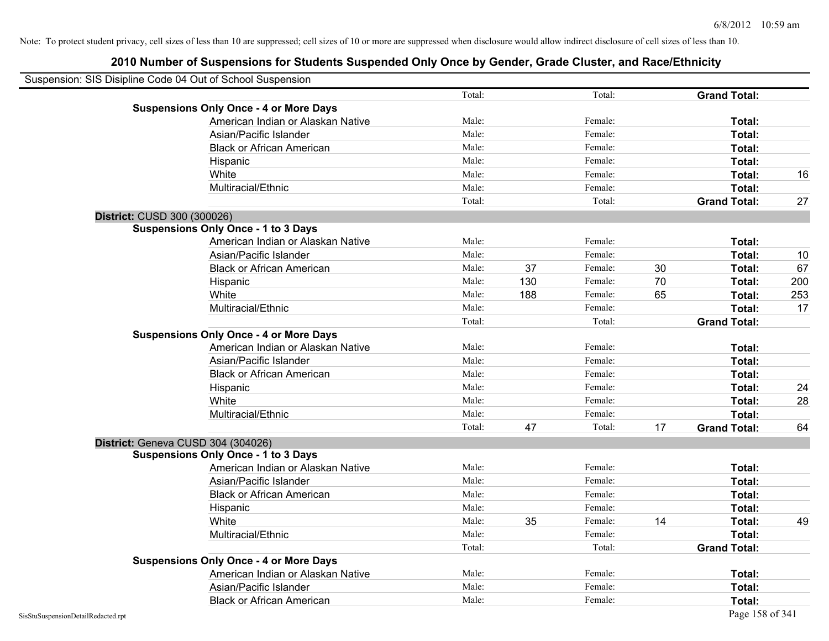| Suspension: SIS Disipline Code 04 Out of School Suspension |        |     |         |    |                     |     |
|------------------------------------------------------------|--------|-----|---------|----|---------------------|-----|
|                                                            | Total: |     | Total:  |    | <b>Grand Total:</b> |     |
| <b>Suspensions Only Once - 4 or More Days</b>              |        |     |         |    |                     |     |
| American Indian or Alaskan Native                          | Male:  |     | Female: |    | Total:              |     |
| Asian/Pacific Islander                                     | Male:  |     | Female: |    | Total:              |     |
| <b>Black or African American</b>                           | Male:  |     | Female: |    | Total:              |     |
| Hispanic                                                   | Male:  |     | Female: |    | Total:              |     |
| White                                                      | Male:  |     | Female: |    | Total:              | 16  |
| Multiracial/Ethnic                                         | Male:  |     | Female: |    | Total:              |     |
|                                                            | Total: |     | Total:  |    | <b>Grand Total:</b> | 27  |
| District: CUSD 300 (300026)                                |        |     |         |    |                     |     |
| <b>Suspensions Only Once - 1 to 3 Days</b>                 |        |     |         |    |                     |     |
| American Indian or Alaskan Native                          | Male:  |     | Female: |    | Total:              |     |
| Asian/Pacific Islander                                     | Male:  |     | Female: |    | Total:              | 10  |
| <b>Black or African American</b>                           | Male:  | 37  | Female: | 30 | Total:              | 67  |
| Hispanic                                                   | Male:  | 130 | Female: | 70 | Total:              | 200 |
| White                                                      | Male:  | 188 | Female: | 65 | Total:              | 253 |
| Multiracial/Ethnic                                         | Male:  |     | Female: |    | Total:              | 17  |
|                                                            | Total: |     | Total:  |    | <b>Grand Total:</b> |     |
| <b>Suspensions Only Once - 4 or More Days</b>              |        |     |         |    |                     |     |
| American Indian or Alaskan Native                          | Male:  |     | Female: |    | Total:              |     |
| Asian/Pacific Islander                                     | Male:  |     | Female: |    | Total:              |     |
| <b>Black or African American</b>                           | Male:  |     | Female: |    | Total:              |     |
| Hispanic                                                   | Male:  |     | Female: |    | Total:              | 24  |
| White                                                      | Male:  |     | Female: |    | Total:              | 28  |
| Multiracial/Ethnic                                         | Male:  |     | Female: |    | Total:              |     |
|                                                            | Total: | 47  | Total:  | 17 | <b>Grand Total:</b> | 64  |
| District: Geneva CUSD 304 (304026)                         |        |     |         |    |                     |     |
| <b>Suspensions Only Once - 1 to 3 Days</b>                 |        |     |         |    |                     |     |
| American Indian or Alaskan Native                          | Male:  |     | Female: |    | Total:              |     |
| Asian/Pacific Islander                                     | Male:  |     | Female: |    | Total:              |     |
| <b>Black or African American</b>                           | Male:  |     | Female: |    | Total:              |     |
| Hispanic                                                   | Male:  |     | Female: |    | Total:              |     |
| White                                                      | Male:  | 35  | Female: | 14 | Total:              | 49  |
| Multiracial/Ethnic                                         | Male:  |     | Female: |    | Total:              |     |
|                                                            | Total: |     | Total:  |    | <b>Grand Total:</b> |     |
| <b>Suspensions Only Once - 4 or More Days</b>              |        |     |         |    |                     |     |
| American Indian or Alaskan Native                          | Male:  |     | Female: |    | Total:              |     |
| Asian/Pacific Islander                                     | Male:  |     | Female: |    | Total:              |     |
| <b>Black or African American</b>                           | Male:  |     | Female: |    | Total:              |     |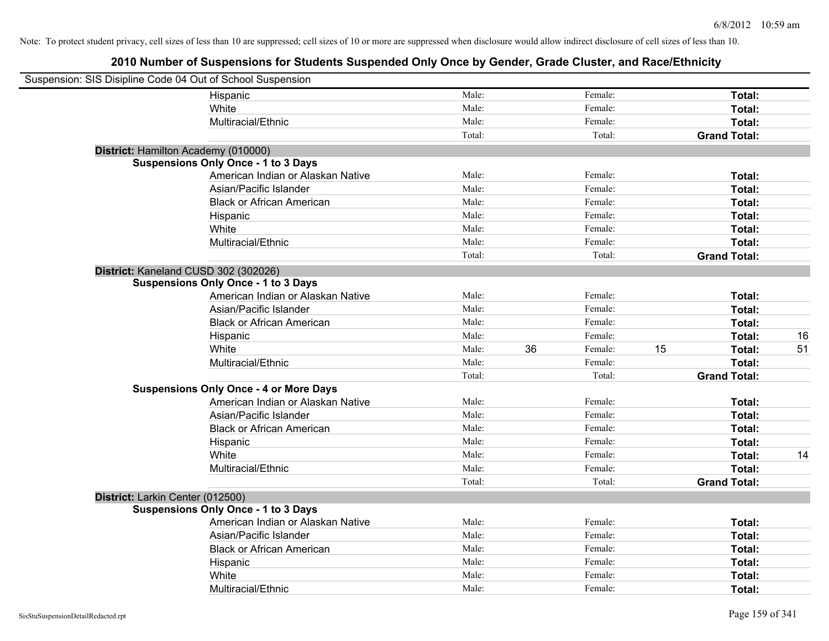| Suspension: SIS Disipline Code 04 Out of School Suspension |                                               |        |    |               |                     |    |
|------------------------------------------------------------|-----------------------------------------------|--------|----|---------------|---------------------|----|
|                                                            | Hispanic                                      | Male:  |    | Female:       | Total:              |    |
|                                                            | White                                         | Male:  |    | Female:       | Total:              |    |
|                                                            | Multiracial/Ethnic                            | Male:  |    | Female:       | Total:              |    |
|                                                            |                                               | Total: |    | Total:        | <b>Grand Total:</b> |    |
| District: Hamilton Academy (010000)                        |                                               |        |    |               |                     |    |
|                                                            | <b>Suspensions Only Once - 1 to 3 Days</b>    |        |    |               |                     |    |
|                                                            | American Indian or Alaskan Native             | Male:  |    | Female:       | Total:              |    |
|                                                            | Asian/Pacific Islander                        | Male:  |    | Female:       | Total:              |    |
|                                                            | <b>Black or African American</b>              | Male:  |    | Female:       | Total:              |    |
|                                                            | Hispanic                                      | Male:  |    | Female:       | Total:              |    |
|                                                            | White                                         | Male:  |    | Female:       | Total:              |    |
|                                                            | Multiracial/Ethnic                            | Male:  |    | Female:       | Total:              |    |
|                                                            |                                               | Total: |    | Total:        | <b>Grand Total:</b> |    |
| District: Kaneland CUSD 302 (302026)                       |                                               |        |    |               |                     |    |
|                                                            | <b>Suspensions Only Once - 1 to 3 Days</b>    |        |    |               |                     |    |
|                                                            | American Indian or Alaskan Native             | Male:  |    | Female:       | Total:              |    |
|                                                            | Asian/Pacific Islander                        | Male:  |    | Female:       | Total:              |    |
|                                                            | <b>Black or African American</b>              | Male:  |    | Female:       | Total:              |    |
|                                                            | Hispanic                                      | Male:  |    | Female:       | Total:              | 16 |
|                                                            | White                                         | Male:  | 36 | Female:<br>15 | Total:              | 51 |
|                                                            | Multiracial/Ethnic                            | Male:  |    | Female:       | Total:              |    |
|                                                            |                                               | Total: |    | Total:        | <b>Grand Total:</b> |    |
|                                                            | <b>Suspensions Only Once - 4 or More Days</b> |        |    |               |                     |    |
|                                                            | American Indian or Alaskan Native             | Male:  |    | Female:       | Total:              |    |
|                                                            | Asian/Pacific Islander                        | Male:  |    | Female:       | Total:              |    |
|                                                            | <b>Black or African American</b>              | Male:  |    | Female:       | Total:              |    |
|                                                            | Hispanic                                      | Male:  |    | Female:       | Total:              |    |
|                                                            | White                                         | Male:  |    | Female:       | Total:              | 14 |
|                                                            | Multiracial/Ethnic                            | Male:  |    | Female:       | Total:              |    |
|                                                            |                                               | Total: |    | Total:        | <b>Grand Total:</b> |    |
| District: Larkin Center (012500)                           |                                               |        |    |               |                     |    |
|                                                            | <b>Suspensions Only Once - 1 to 3 Days</b>    |        |    |               |                     |    |
|                                                            | American Indian or Alaskan Native             | Male:  |    | Female:       | Total:              |    |
|                                                            | Asian/Pacific Islander                        | Male:  |    | Female:       | Total:              |    |
|                                                            | <b>Black or African American</b>              | Male:  |    | Female:       | Total:              |    |
|                                                            | Hispanic                                      | Male:  |    | Female:       | Total:              |    |
|                                                            | White                                         | Male:  |    | Female:       | Total:              |    |
|                                                            | Multiracial/Ethnic                            | Male:  |    | Female:       | Total:              |    |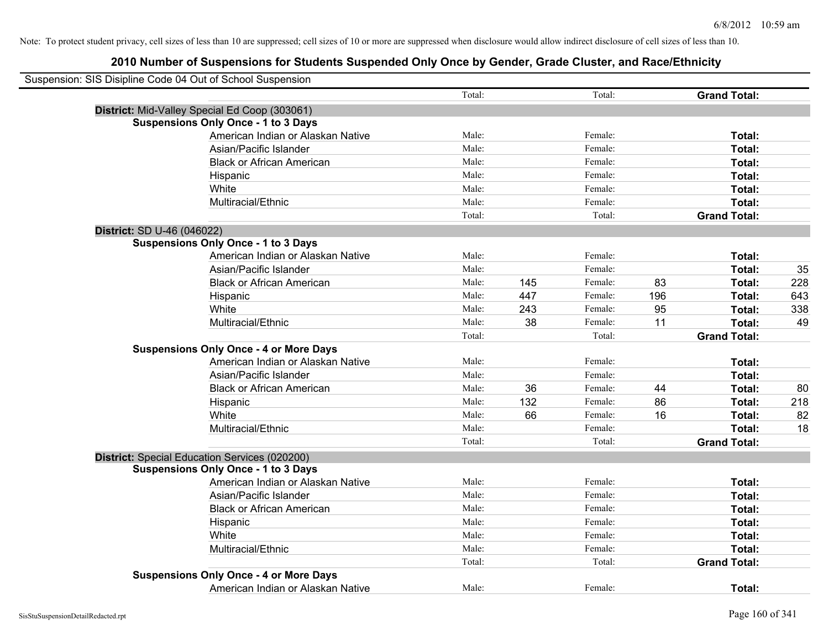|                            | Suspension: SIS Disipline Code 04 Out of School Suspension |        |     |         |     |                     |     |
|----------------------------|------------------------------------------------------------|--------|-----|---------|-----|---------------------|-----|
|                            |                                                            | Total: |     | Total:  |     | <b>Grand Total:</b> |     |
|                            | District: Mid-Valley Special Ed Coop (303061)              |        |     |         |     |                     |     |
|                            | <b>Suspensions Only Once - 1 to 3 Days</b>                 |        |     |         |     |                     |     |
|                            | American Indian or Alaskan Native                          | Male:  |     | Female: |     | Total:              |     |
|                            | Asian/Pacific Islander                                     | Male:  |     | Female: |     | Total:              |     |
|                            | <b>Black or African American</b>                           | Male:  |     | Female: |     | Total:              |     |
|                            | Hispanic                                                   | Male:  |     | Female: |     | Total:              |     |
|                            | White                                                      | Male:  |     | Female: |     | Total:              |     |
|                            | Multiracial/Ethnic                                         | Male:  |     | Female: |     | Total:              |     |
|                            |                                                            | Total: |     | Total:  |     | <b>Grand Total:</b> |     |
| District: SD U-46 (046022) |                                                            |        |     |         |     |                     |     |
|                            | <b>Suspensions Only Once - 1 to 3 Days</b>                 |        |     |         |     |                     |     |
|                            | American Indian or Alaskan Native                          | Male:  |     | Female: |     | Total:              |     |
|                            | Asian/Pacific Islander                                     | Male:  |     | Female: |     | Total:              | 35  |
|                            | <b>Black or African American</b>                           | Male:  | 145 | Female: | 83  | Total:              | 228 |
|                            | Hispanic                                                   | Male:  | 447 | Female: | 196 | Total:              | 643 |
|                            | White                                                      | Male:  | 243 | Female: | 95  | Total:              | 338 |
|                            | Multiracial/Ethnic                                         | Male:  | 38  | Female: | 11  | Total:              | 49  |
|                            |                                                            | Total: |     | Total:  |     | <b>Grand Total:</b> |     |
|                            | <b>Suspensions Only Once - 4 or More Days</b>              |        |     |         |     |                     |     |
|                            | American Indian or Alaskan Native                          | Male:  |     | Female: |     | Total:              |     |
|                            | Asian/Pacific Islander                                     | Male:  |     | Female: |     | Total:              |     |
|                            | <b>Black or African American</b>                           | Male:  | 36  | Female: | 44  | Total:              | 80  |
|                            | Hispanic                                                   | Male:  | 132 | Female: | 86  | Total:              | 218 |
|                            | White                                                      | Male:  | 66  | Female: | 16  | Total:              | 82  |
|                            | Multiracial/Ethnic                                         | Male:  |     | Female: |     | Total:              | 18  |
|                            |                                                            | Total: |     | Total:  |     | <b>Grand Total:</b> |     |
|                            | District: Special Education Services (020200)              |        |     |         |     |                     |     |
|                            | <b>Suspensions Only Once - 1 to 3 Days</b>                 |        |     |         |     |                     |     |
|                            | American Indian or Alaskan Native                          | Male:  |     | Female: |     | Total:              |     |
|                            | Asian/Pacific Islander                                     | Male:  |     | Female: |     | Total:              |     |
|                            | <b>Black or African American</b>                           | Male:  |     | Female: |     | Total:              |     |
|                            | Hispanic                                                   | Male:  |     | Female: |     | Total:              |     |
|                            | White                                                      | Male:  |     | Female: |     | Total:              |     |
|                            | Multiracial/Ethnic                                         | Male:  |     | Female: |     | Total:              |     |
|                            |                                                            | Total: |     | Total:  |     | <b>Grand Total:</b> |     |
|                            | <b>Suspensions Only Once - 4 or More Days</b>              |        |     |         |     |                     |     |
|                            | American Indian or Alaskan Native                          | Male:  |     | Female: |     | Total:              |     |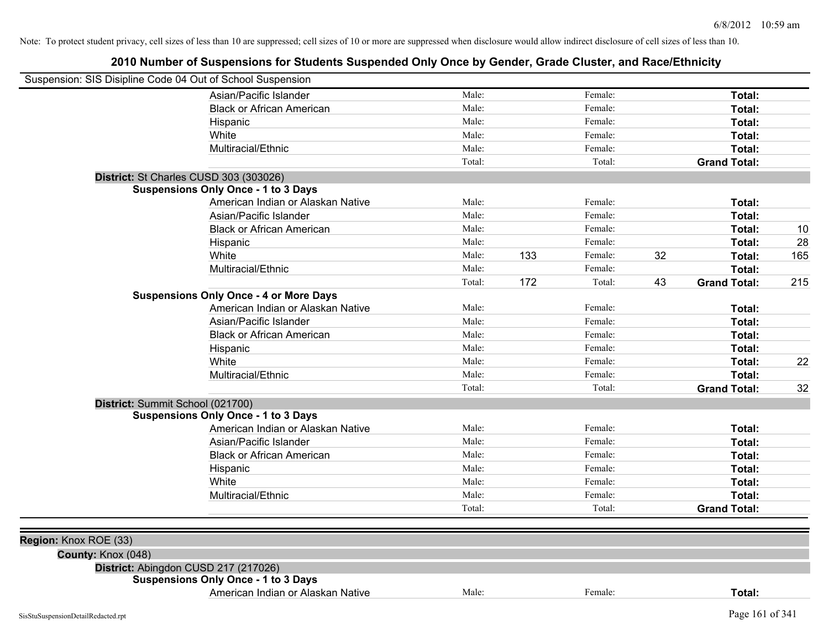| Suspension: SIS Disipline Code 04 Out of School Suspension |                                               |        |     |         |    |                     |     |
|------------------------------------------------------------|-----------------------------------------------|--------|-----|---------|----|---------------------|-----|
|                                                            | Asian/Pacific Islander                        | Male:  |     | Female: |    | Total:              |     |
|                                                            | <b>Black or African American</b>              | Male:  |     | Female: |    | Total:              |     |
|                                                            | Hispanic                                      | Male:  |     | Female: |    | Total:              |     |
|                                                            | White                                         | Male:  |     | Female: |    | Total:              |     |
|                                                            | Multiracial/Ethnic                            | Male:  |     | Female: |    | Total:              |     |
|                                                            |                                               | Total: |     | Total:  |    | <b>Grand Total:</b> |     |
|                                                            | District: St Charles CUSD 303 (303026)        |        |     |         |    |                     |     |
|                                                            | <b>Suspensions Only Once - 1 to 3 Days</b>    |        |     |         |    |                     |     |
|                                                            | American Indian or Alaskan Native             | Male:  |     | Female: |    | Total:              |     |
|                                                            | Asian/Pacific Islander                        | Male:  |     | Female: |    | Total:              |     |
|                                                            | <b>Black or African American</b>              | Male:  |     | Female: |    | Total:              | 10  |
|                                                            | Hispanic                                      | Male:  |     | Female: |    | Total:              | 28  |
|                                                            | White                                         | Male:  | 133 | Female: | 32 | Total:              | 165 |
|                                                            | Multiracial/Ethnic                            | Male:  |     | Female: |    | Total:              |     |
|                                                            |                                               | Total: | 172 | Total:  | 43 | <b>Grand Total:</b> | 215 |
|                                                            | <b>Suspensions Only Once - 4 or More Days</b> |        |     |         |    |                     |     |
|                                                            | American Indian or Alaskan Native             | Male:  |     | Female: |    | Total:              |     |
|                                                            | Asian/Pacific Islander                        | Male:  |     | Female: |    | Total:              |     |
|                                                            | <b>Black or African American</b>              | Male:  |     | Female: |    | Total:              |     |
|                                                            | Hispanic                                      | Male:  |     | Female: |    | Total:              |     |
|                                                            | White                                         | Male:  |     | Female: |    | Total:              | 22  |
|                                                            | Multiracial/Ethnic                            | Male:  |     | Female: |    | Total:              |     |
|                                                            |                                               | Total: |     | Total:  |    | <b>Grand Total:</b> | 32  |
|                                                            | District: Summit School (021700)              |        |     |         |    |                     |     |
|                                                            | <b>Suspensions Only Once - 1 to 3 Days</b>    |        |     |         |    |                     |     |
|                                                            | American Indian or Alaskan Native             | Male:  |     | Female: |    | Total:              |     |
|                                                            | Asian/Pacific Islander                        | Male:  |     | Female: |    | Total:              |     |
|                                                            | <b>Black or African American</b>              | Male:  |     | Female: |    | Total:              |     |
|                                                            | Hispanic                                      | Male:  |     | Female: |    | Total:              |     |
|                                                            | White                                         | Male:  |     | Female: |    | Total:              |     |
|                                                            | Multiracial/Ethnic                            | Male:  |     | Female: |    | Total:              |     |
|                                                            |                                               | Total: |     | Total:  |    | <b>Grand Total:</b> |     |
|                                                            |                                               |        |     |         |    |                     |     |
| Region: Knox ROE (33)                                      |                                               |        |     |         |    |                     |     |
| County: Knox (048)                                         |                                               |        |     |         |    |                     |     |
|                                                            | District: Abingdon CUSD 217 (217026)          |        |     |         |    |                     |     |
|                                                            | <b>Suspensions Only Once - 1 to 3 Days</b>    |        |     |         |    |                     |     |
|                                                            | American Indian or Alaskan Native             | Male:  |     | Female: |    | Total:              |     |
|                                                            |                                               |        |     |         |    | Page 161 of 341     |     |
| SisStuSuspensionDetailRedacted.rpt                         |                                               |        |     |         |    |                     |     |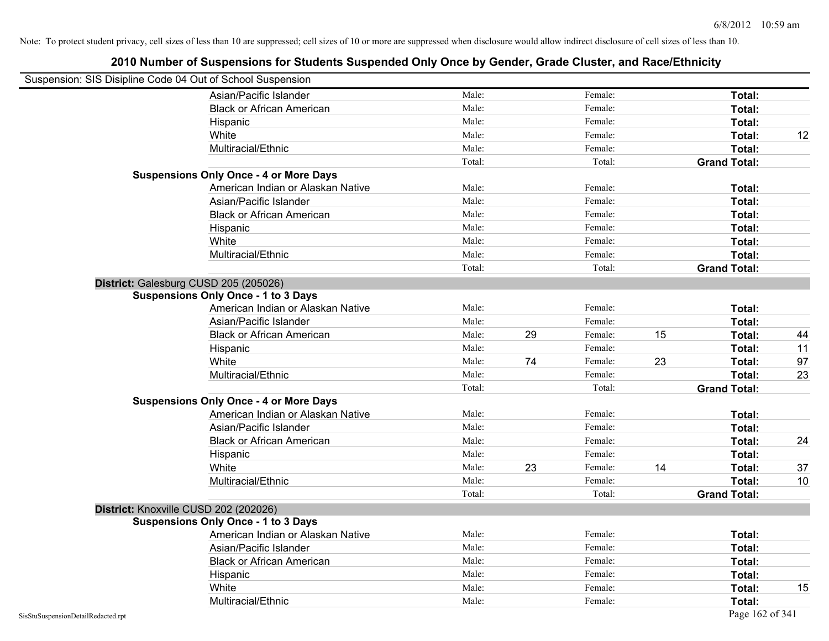| Suspension: SIS Disipline Code 04 Out of School Suspension |                                               |        |    |         |    |                     |    |
|------------------------------------------------------------|-----------------------------------------------|--------|----|---------|----|---------------------|----|
|                                                            | Asian/Pacific Islander                        | Male:  |    | Female: |    | Total:              |    |
|                                                            | <b>Black or African American</b>              | Male:  |    | Female: |    | Total:              |    |
|                                                            | Hispanic                                      | Male:  |    | Female: |    | Total:              |    |
|                                                            | White                                         | Male:  |    | Female: |    | Total:              | 12 |
|                                                            | Multiracial/Ethnic                            | Male:  |    | Female: |    | Total:              |    |
|                                                            |                                               | Total: |    | Total:  |    | <b>Grand Total:</b> |    |
|                                                            | <b>Suspensions Only Once - 4 or More Days</b> |        |    |         |    |                     |    |
|                                                            | American Indian or Alaskan Native             | Male:  |    | Female: |    | Total:              |    |
|                                                            | Asian/Pacific Islander                        | Male:  |    | Female: |    | Total:              |    |
|                                                            | <b>Black or African American</b>              | Male:  |    | Female: |    | Total:              |    |
|                                                            | Hispanic                                      | Male:  |    | Female: |    | Total:              |    |
|                                                            | White                                         | Male:  |    | Female: |    | Total:              |    |
|                                                            | Multiracial/Ethnic                            | Male:  |    | Female: |    | Total:              |    |
|                                                            |                                               | Total: |    | Total:  |    | <b>Grand Total:</b> |    |
|                                                            | District: Galesburg CUSD 205 (205026)         |        |    |         |    |                     |    |
|                                                            | <b>Suspensions Only Once - 1 to 3 Days</b>    |        |    |         |    |                     |    |
|                                                            | American Indian or Alaskan Native             | Male:  |    | Female: |    | Total:              |    |
|                                                            | Asian/Pacific Islander                        | Male:  |    | Female: |    | Total:              |    |
|                                                            | <b>Black or African American</b>              | Male:  | 29 | Female: | 15 | Total:              | 44 |
|                                                            | Hispanic                                      | Male:  |    | Female: |    | Total:              | 11 |
|                                                            | White                                         | Male:  | 74 | Female: | 23 | Total:              | 97 |
|                                                            | Multiracial/Ethnic                            | Male:  |    | Female: |    | Total:              | 23 |
|                                                            |                                               | Total: |    | Total:  |    | <b>Grand Total:</b> |    |
|                                                            | <b>Suspensions Only Once - 4 or More Days</b> |        |    |         |    |                     |    |
|                                                            | American Indian or Alaskan Native             | Male:  |    | Female: |    | Total:              |    |
|                                                            | Asian/Pacific Islander                        | Male:  |    | Female: |    | Total:              |    |
|                                                            | <b>Black or African American</b>              | Male:  |    | Female: |    | Total:              | 24 |
|                                                            | Hispanic                                      | Male:  |    | Female: |    | Total:              |    |
|                                                            | White                                         | Male:  | 23 | Female: | 14 | Total:              | 37 |
|                                                            | Multiracial/Ethnic                            | Male:  |    | Female: |    | Total:              | 10 |
|                                                            |                                               | Total: |    | Total:  |    | <b>Grand Total:</b> |    |
|                                                            | District: Knoxville CUSD 202 (202026)         |        |    |         |    |                     |    |
|                                                            | <b>Suspensions Only Once - 1 to 3 Days</b>    |        |    |         |    |                     |    |
|                                                            | American Indian or Alaskan Native             | Male:  |    | Female: |    | Total:              |    |
|                                                            | Asian/Pacific Islander                        | Male:  |    | Female: |    | Total:              |    |
|                                                            | <b>Black or African American</b>              | Male:  |    | Female: |    | Total:              |    |
|                                                            | Hispanic                                      | Male:  |    | Female: |    | Total:              |    |
|                                                            | White                                         | Male:  |    | Female: |    | Total:              | 15 |
|                                                            | Multiracial/Ethnic                            | Male:  |    | Female: |    | Total:              |    |
| SisStuSuspensionDetailRedacted.rpt                         |                                               |        |    |         |    | Page 162 of 341     |    |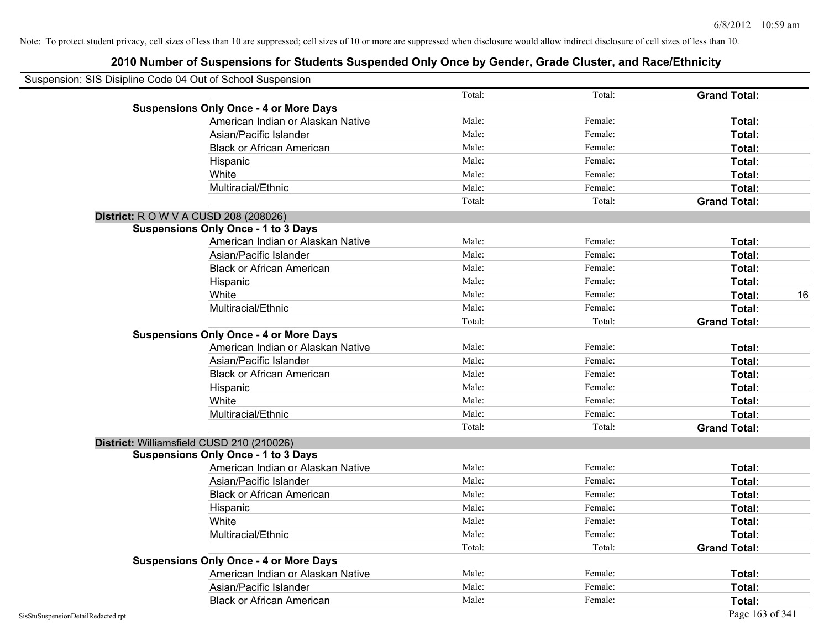| Suspension: SIS Disipline Code 04 Out of School Suspension |        |         |                     |    |
|------------------------------------------------------------|--------|---------|---------------------|----|
|                                                            | Total: | Total:  | <b>Grand Total:</b> |    |
| <b>Suspensions Only Once - 4 or More Days</b>              |        |         |                     |    |
| American Indian or Alaskan Native                          | Male:  | Female: | Total:              |    |
| Asian/Pacific Islander                                     | Male:  | Female: | Total:              |    |
| <b>Black or African American</b>                           | Male:  | Female: | Total:              |    |
| Hispanic                                                   | Male:  | Female: | Total:              |    |
| White                                                      | Male:  | Female: | Total:              |    |
| Multiracial/Ethnic                                         | Male:  | Female: | Total:              |    |
|                                                            | Total: | Total:  | <b>Grand Total:</b> |    |
| <b>District:</b> R O W V A CUSD 208 (208026)               |        |         |                     |    |
| <b>Suspensions Only Once - 1 to 3 Days</b>                 |        |         |                     |    |
| American Indian or Alaskan Native                          | Male:  | Female: | Total:              |    |
| Asian/Pacific Islander                                     | Male:  | Female: | Total:              |    |
| <b>Black or African American</b>                           | Male:  | Female: | Total:              |    |
| Hispanic                                                   | Male:  | Female: | Total:              |    |
| White                                                      | Male:  | Female: | Total:              | 16 |
| Multiracial/Ethnic                                         | Male:  | Female: | Total:              |    |
|                                                            | Total: | Total:  | <b>Grand Total:</b> |    |
| <b>Suspensions Only Once - 4 or More Days</b>              |        |         |                     |    |
| American Indian or Alaskan Native                          | Male:  | Female: | Total:              |    |
| Asian/Pacific Islander                                     | Male:  | Female: | Total:              |    |
| <b>Black or African American</b>                           | Male:  | Female: | Total:              |    |
| Hispanic                                                   | Male:  | Female: | Total:              |    |
| White                                                      | Male:  | Female: | Total:              |    |
| Multiracial/Ethnic                                         | Male:  | Female: | Total:              |    |
|                                                            | Total: | Total:  | <b>Grand Total:</b> |    |
| District: Williamsfield CUSD 210 (210026)                  |        |         |                     |    |
| <b>Suspensions Only Once - 1 to 3 Days</b>                 |        |         |                     |    |
| American Indian or Alaskan Native                          | Male:  | Female: | Total:              |    |
| Asian/Pacific Islander                                     | Male:  | Female: | Total:              |    |
| <b>Black or African American</b>                           | Male:  | Female: | Total:              |    |
| Hispanic                                                   | Male:  | Female: | Total:              |    |
| White                                                      | Male:  | Female: | Total:              |    |
| Multiracial/Ethnic                                         | Male:  | Female: | Total:              |    |
|                                                            | Total: | Total:  | <b>Grand Total:</b> |    |
| <b>Suspensions Only Once - 4 or More Days</b>              |        |         |                     |    |
| American Indian or Alaskan Native                          | Male:  | Female: | Total:              |    |
| Asian/Pacific Islander                                     | Male:  | Female: | Total:              |    |
| <b>Black or African American</b>                           | Male:  | Female: | Total:              |    |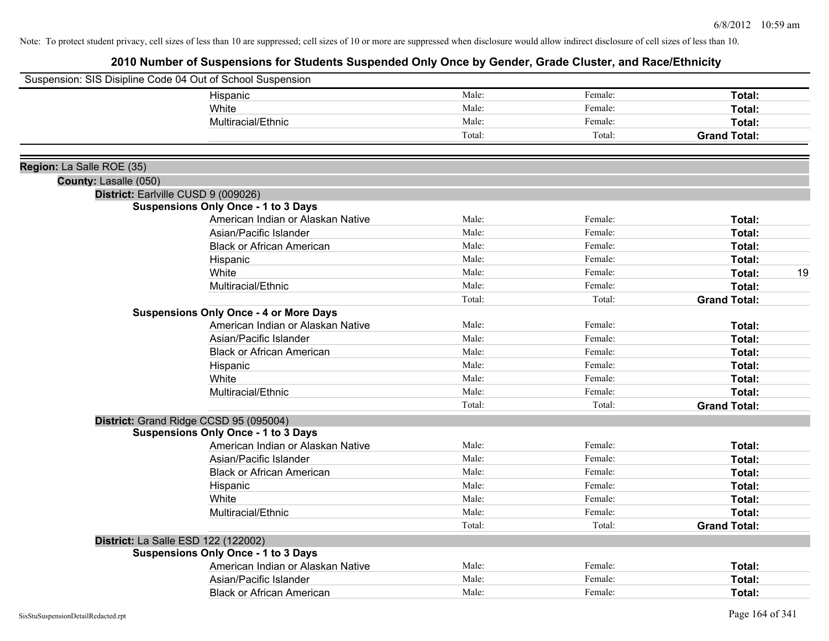| Male:<br>Female:<br>Total:<br>Hispanic<br>Male:<br>Female:<br>White<br>Total:<br>Male:<br>Multiracial/Ethnic<br>Female:<br>Total:<br>Total:<br>Total:<br><b>Grand Total:</b><br>Region: La Salle ROE (35)<br>County: Lasalle (050)<br>District: Earlville CUSD 9 (009026)<br><b>Suspensions Only Once - 1 to 3 Days</b><br>Male:<br>Female:<br>American Indian or Alaskan Native<br>Total:<br>Male:<br>Asian/Pacific Islander<br>Female:<br>Total:<br>Male:<br>Female:<br><b>Black or African American</b><br>Total:<br>Male:<br>Female:<br>Hispanic<br>Total:<br>Male:<br>Female:<br>White<br>Total:<br>Male:<br>Multiracial/Ethnic<br>Female:<br>Total:<br>Total:<br>Total:<br><b>Grand Total:</b><br><b>Suspensions Only Once - 4 or More Days</b><br>American Indian or Alaskan Native<br>Male:<br>Female:<br>Total:<br>Male:<br>Female:<br>Asian/Pacific Islander<br>Total:<br>Male:<br>Female:<br><b>Black or African American</b><br>Total:<br>Male:<br>Female:<br>Total:<br>Hispanic<br>Male:<br>Female:<br>White<br>Total:<br>Male:<br>Female:<br>Total:<br>Multiracial/Ethnic<br>Total:<br>Total:<br><b>Grand Total:</b><br>District: Grand Ridge CCSD 95 (095004)<br><b>Suspensions Only Once - 1 to 3 Days</b><br>American Indian or Alaskan Native<br>Male:<br>Female:<br>Total:<br>Male:<br>Asian/Pacific Islander<br>Female:<br>Total:<br><b>Black or African American</b><br>Male:<br>Female:<br>Total:<br>Male:<br>Female:<br>Hispanic<br>Total:<br>White<br>Male:<br>Female:<br>Total:<br>Multiracial/Ethnic<br>Male:<br>Female:<br>Total:<br>Total:<br>Total:<br><b>Grand Total:</b><br>District: La Salle ESD 122 (122002)<br><b>Suspensions Only Once - 1 to 3 Days</b><br>Male:<br>Female:<br>American Indian or Alaskan Native<br>Total:<br>Male:<br>Asian/Pacific Islander<br>Female:<br>Total:<br>Male:<br>Female:<br><b>Black or African American</b><br>Total: | Suspension: SIS Disipline Code 04 Out of School Suspension |  |    |
|-------------------------------------------------------------------------------------------------------------------------------------------------------------------------------------------------------------------------------------------------------------------------------------------------------------------------------------------------------------------------------------------------------------------------------------------------------------------------------------------------------------------------------------------------------------------------------------------------------------------------------------------------------------------------------------------------------------------------------------------------------------------------------------------------------------------------------------------------------------------------------------------------------------------------------------------------------------------------------------------------------------------------------------------------------------------------------------------------------------------------------------------------------------------------------------------------------------------------------------------------------------------------------------------------------------------------------------------------------------------------------------------------------------------------------------------------------------------------------------------------------------------------------------------------------------------------------------------------------------------------------------------------------------------------------------------------------------------------------------------------------------------------------------------------------------------------------------------------------------------------------------------|------------------------------------------------------------|--|----|
|                                                                                                                                                                                                                                                                                                                                                                                                                                                                                                                                                                                                                                                                                                                                                                                                                                                                                                                                                                                                                                                                                                                                                                                                                                                                                                                                                                                                                                                                                                                                                                                                                                                                                                                                                                                                                                                                                           |                                                            |  |    |
|                                                                                                                                                                                                                                                                                                                                                                                                                                                                                                                                                                                                                                                                                                                                                                                                                                                                                                                                                                                                                                                                                                                                                                                                                                                                                                                                                                                                                                                                                                                                                                                                                                                                                                                                                                                                                                                                                           |                                                            |  |    |
|                                                                                                                                                                                                                                                                                                                                                                                                                                                                                                                                                                                                                                                                                                                                                                                                                                                                                                                                                                                                                                                                                                                                                                                                                                                                                                                                                                                                                                                                                                                                                                                                                                                                                                                                                                                                                                                                                           |                                                            |  |    |
|                                                                                                                                                                                                                                                                                                                                                                                                                                                                                                                                                                                                                                                                                                                                                                                                                                                                                                                                                                                                                                                                                                                                                                                                                                                                                                                                                                                                                                                                                                                                                                                                                                                                                                                                                                                                                                                                                           |                                                            |  |    |
|                                                                                                                                                                                                                                                                                                                                                                                                                                                                                                                                                                                                                                                                                                                                                                                                                                                                                                                                                                                                                                                                                                                                                                                                                                                                                                                                                                                                                                                                                                                                                                                                                                                                                                                                                                                                                                                                                           |                                                            |  |    |
|                                                                                                                                                                                                                                                                                                                                                                                                                                                                                                                                                                                                                                                                                                                                                                                                                                                                                                                                                                                                                                                                                                                                                                                                                                                                                                                                                                                                                                                                                                                                                                                                                                                                                                                                                                                                                                                                                           |                                                            |  |    |
|                                                                                                                                                                                                                                                                                                                                                                                                                                                                                                                                                                                                                                                                                                                                                                                                                                                                                                                                                                                                                                                                                                                                                                                                                                                                                                                                                                                                                                                                                                                                                                                                                                                                                                                                                                                                                                                                                           |                                                            |  |    |
|                                                                                                                                                                                                                                                                                                                                                                                                                                                                                                                                                                                                                                                                                                                                                                                                                                                                                                                                                                                                                                                                                                                                                                                                                                                                                                                                                                                                                                                                                                                                                                                                                                                                                                                                                                                                                                                                                           |                                                            |  |    |
|                                                                                                                                                                                                                                                                                                                                                                                                                                                                                                                                                                                                                                                                                                                                                                                                                                                                                                                                                                                                                                                                                                                                                                                                                                                                                                                                                                                                                                                                                                                                                                                                                                                                                                                                                                                                                                                                                           |                                                            |  |    |
|                                                                                                                                                                                                                                                                                                                                                                                                                                                                                                                                                                                                                                                                                                                                                                                                                                                                                                                                                                                                                                                                                                                                                                                                                                                                                                                                                                                                                                                                                                                                                                                                                                                                                                                                                                                                                                                                                           |                                                            |  |    |
|                                                                                                                                                                                                                                                                                                                                                                                                                                                                                                                                                                                                                                                                                                                                                                                                                                                                                                                                                                                                                                                                                                                                                                                                                                                                                                                                                                                                                                                                                                                                                                                                                                                                                                                                                                                                                                                                                           |                                                            |  |    |
|                                                                                                                                                                                                                                                                                                                                                                                                                                                                                                                                                                                                                                                                                                                                                                                                                                                                                                                                                                                                                                                                                                                                                                                                                                                                                                                                                                                                                                                                                                                                                                                                                                                                                                                                                                                                                                                                                           |                                                            |  |    |
|                                                                                                                                                                                                                                                                                                                                                                                                                                                                                                                                                                                                                                                                                                                                                                                                                                                                                                                                                                                                                                                                                                                                                                                                                                                                                                                                                                                                                                                                                                                                                                                                                                                                                                                                                                                                                                                                                           |                                                            |  | 19 |
|                                                                                                                                                                                                                                                                                                                                                                                                                                                                                                                                                                                                                                                                                                                                                                                                                                                                                                                                                                                                                                                                                                                                                                                                                                                                                                                                                                                                                                                                                                                                                                                                                                                                                                                                                                                                                                                                                           |                                                            |  |    |
|                                                                                                                                                                                                                                                                                                                                                                                                                                                                                                                                                                                                                                                                                                                                                                                                                                                                                                                                                                                                                                                                                                                                                                                                                                                                                                                                                                                                                                                                                                                                                                                                                                                                                                                                                                                                                                                                                           |                                                            |  |    |
|                                                                                                                                                                                                                                                                                                                                                                                                                                                                                                                                                                                                                                                                                                                                                                                                                                                                                                                                                                                                                                                                                                                                                                                                                                                                                                                                                                                                                                                                                                                                                                                                                                                                                                                                                                                                                                                                                           |                                                            |  |    |
|                                                                                                                                                                                                                                                                                                                                                                                                                                                                                                                                                                                                                                                                                                                                                                                                                                                                                                                                                                                                                                                                                                                                                                                                                                                                                                                                                                                                                                                                                                                                                                                                                                                                                                                                                                                                                                                                                           |                                                            |  |    |
|                                                                                                                                                                                                                                                                                                                                                                                                                                                                                                                                                                                                                                                                                                                                                                                                                                                                                                                                                                                                                                                                                                                                                                                                                                                                                                                                                                                                                                                                                                                                                                                                                                                                                                                                                                                                                                                                                           |                                                            |  |    |
|                                                                                                                                                                                                                                                                                                                                                                                                                                                                                                                                                                                                                                                                                                                                                                                                                                                                                                                                                                                                                                                                                                                                                                                                                                                                                                                                                                                                                                                                                                                                                                                                                                                                                                                                                                                                                                                                                           |                                                            |  |    |
|                                                                                                                                                                                                                                                                                                                                                                                                                                                                                                                                                                                                                                                                                                                                                                                                                                                                                                                                                                                                                                                                                                                                                                                                                                                                                                                                                                                                                                                                                                                                                                                                                                                                                                                                                                                                                                                                                           |                                                            |  |    |
|                                                                                                                                                                                                                                                                                                                                                                                                                                                                                                                                                                                                                                                                                                                                                                                                                                                                                                                                                                                                                                                                                                                                                                                                                                                                                                                                                                                                                                                                                                                                                                                                                                                                                                                                                                                                                                                                                           |                                                            |  |    |
|                                                                                                                                                                                                                                                                                                                                                                                                                                                                                                                                                                                                                                                                                                                                                                                                                                                                                                                                                                                                                                                                                                                                                                                                                                                                                                                                                                                                                                                                                                                                                                                                                                                                                                                                                                                                                                                                                           |                                                            |  |    |
|                                                                                                                                                                                                                                                                                                                                                                                                                                                                                                                                                                                                                                                                                                                                                                                                                                                                                                                                                                                                                                                                                                                                                                                                                                                                                                                                                                                                                                                                                                                                                                                                                                                                                                                                                                                                                                                                                           |                                                            |  |    |
|                                                                                                                                                                                                                                                                                                                                                                                                                                                                                                                                                                                                                                                                                                                                                                                                                                                                                                                                                                                                                                                                                                                                                                                                                                                                                                                                                                                                                                                                                                                                                                                                                                                                                                                                                                                                                                                                                           |                                                            |  |    |
|                                                                                                                                                                                                                                                                                                                                                                                                                                                                                                                                                                                                                                                                                                                                                                                                                                                                                                                                                                                                                                                                                                                                                                                                                                                                                                                                                                                                                                                                                                                                                                                                                                                                                                                                                                                                                                                                                           |                                                            |  |    |
|                                                                                                                                                                                                                                                                                                                                                                                                                                                                                                                                                                                                                                                                                                                                                                                                                                                                                                                                                                                                                                                                                                                                                                                                                                                                                                                                                                                                                                                                                                                                                                                                                                                                                                                                                                                                                                                                                           |                                                            |  |    |
|                                                                                                                                                                                                                                                                                                                                                                                                                                                                                                                                                                                                                                                                                                                                                                                                                                                                                                                                                                                                                                                                                                                                                                                                                                                                                                                                                                                                                                                                                                                                                                                                                                                                                                                                                                                                                                                                                           |                                                            |  |    |
|                                                                                                                                                                                                                                                                                                                                                                                                                                                                                                                                                                                                                                                                                                                                                                                                                                                                                                                                                                                                                                                                                                                                                                                                                                                                                                                                                                                                                                                                                                                                                                                                                                                                                                                                                                                                                                                                                           |                                                            |  |    |
|                                                                                                                                                                                                                                                                                                                                                                                                                                                                                                                                                                                                                                                                                                                                                                                                                                                                                                                                                                                                                                                                                                                                                                                                                                                                                                                                                                                                                                                                                                                                                                                                                                                                                                                                                                                                                                                                                           |                                                            |  |    |
|                                                                                                                                                                                                                                                                                                                                                                                                                                                                                                                                                                                                                                                                                                                                                                                                                                                                                                                                                                                                                                                                                                                                                                                                                                                                                                                                                                                                                                                                                                                                                                                                                                                                                                                                                                                                                                                                                           |                                                            |  |    |
|                                                                                                                                                                                                                                                                                                                                                                                                                                                                                                                                                                                                                                                                                                                                                                                                                                                                                                                                                                                                                                                                                                                                                                                                                                                                                                                                                                                                                                                                                                                                                                                                                                                                                                                                                                                                                                                                                           |                                                            |  |    |
|                                                                                                                                                                                                                                                                                                                                                                                                                                                                                                                                                                                                                                                                                                                                                                                                                                                                                                                                                                                                                                                                                                                                                                                                                                                                                                                                                                                                                                                                                                                                                                                                                                                                                                                                                                                                                                                                                           |                                                            |  |    |
|                                                                                                                                                                                                                                                                                                                                                                                                                                                                                                                                                                                                                                                                                                                                                                                                                                                                                                                                                                                                                                                                                                                                                                                                                                                                                                                                                                                                                                                                                                                                                                                                                                                                                                                                                                                                                                                                                           |                                                            |  |    |
|                                                                                                                                                                                                                                                                                                                                                                                                                                                                                                                                                                                                                                                                                                                                                                                                                                                                                                                                                                                                                                                                                                                                                                                                                                                                                                                                                                                                                                                                                                                                                                                                                                                                                                                                                                                                                                                                                           |                                                            |  |    |
|                                                                                                                                                                                                                                                                                                                                                                                                                                                                                                                                                                                                                                                                                                                                                                                                                                                                                                                                                                                                                                                                                                                                                                                                                                                                                                                                                                                                                                                                                                                                                                                                                                                                                                                                                                                                                                                                                           |                                                            |  |    |
|                                                                                                                                                                                                                                                                                                                                                                                                                                                                                                                                                                                                                                                                                                                                                                                                                                                                                                                                                                                                                                                                                                                                                                                                                                                                                                                                                                                                                                                                                                                                                                                                                                                                                                                                                                                                                                                                                           |                                                            |  |    |
|                                                                                                                                                                                                                                                                                                                                                                                                                                                                                                                                                                                                                                                                                                                                                                                                                                                                                                                                                                                                                                                                                                                                                                                                                                                                                                                                                                                                                                                                                                                                                                                                                                                                                                                                                                                                                                                                                           |                                                            |  |    |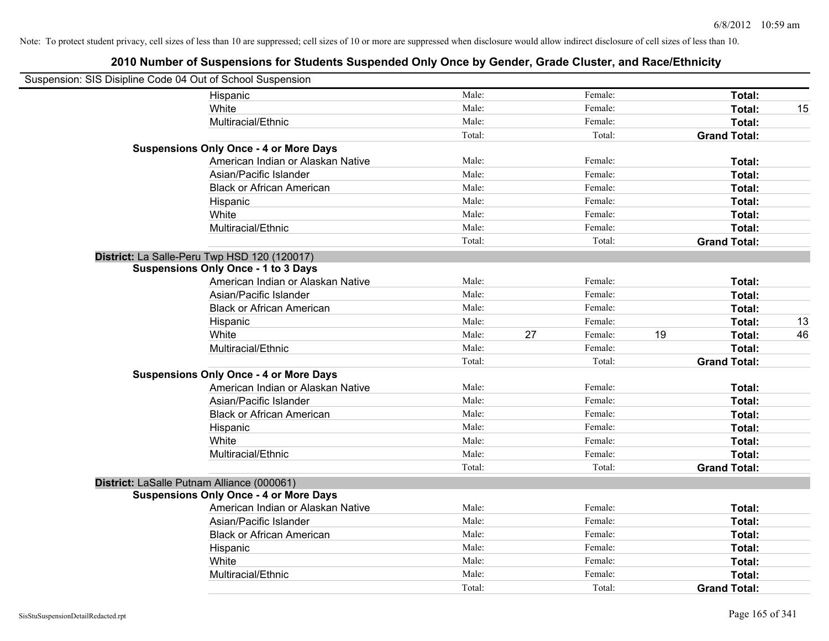| Suspension: SIS Disipline Code 04 Out of School Suspension |        |    |         |    |                     |    |
|------------------------------------------------------------|--------|----|---------|----|---------------------|----|
| Hispanic                                                   | Male:  |    | Female: |    | Total:              |    |
| White                                                      | Male:  |    | Female: |    | Total:              | 15 |
| Multiracial/Ethnic                                         | Male:  |    | Female: |    | Total:              |    |
|                                                            | Total: |    | Total:  |    | <b>Grand Total:</b> |    |
| <b>Suspensions Only Once - 4 or More Days</b>              |        |    |         |    |                     |    |
| American Indian or Alaskan Native                          | Male:  |    | Female: |    | Total:              |    |
| Asian/Pacific Islander                                     | Male:  |    | Female: |    | Total:              |    |
| <b>Black or African American</b>                           | Male:  |    | Female: |    | Total:              |    |
| Hispanic                                                   | Male:  |    | Female: |    | Total:              |    |
| White                                                      | Male:  |    | Female: |    | Total:              |    |
| Multiracial/Ethnic                                         | Male:  |    | Female: |    | Total:              |    |
|                                                            | Total: |    | Total:  |    | <b>Grand Total:</b> |    |
| District: La Salle-Peru Twp HSD 120 (120017)               |        |    |         |    |                     |    |
| <b>Suspensions Only Once - 1 to 3 Days</b>                 |        |    |         |    |                     |    |
| American Indian or Alaskan Native                          | Male:  |    | Female: |    | Total:              |    |
| Asian/Pacific Islander                                     | Male:  |    | Female: |    | Total:              |    |
| <b>Black or African American</b>                           | Male:  |    | Female: |    | Total:              |    |
| Hispanic                                                   | Male:  |    | Female: |    | Total:              | 13 |
| White                                                      | Male:  | 27 | Female: | 19 | Total:              | 46 |
| Multiracial/Ethnic                                         | Male:  |    | Female: |    | Total:              |    |
|                                                            | Total: |    | Total:  |    | <b>Grand Total:</b> |    |
| <b>Suspensions Only Once - 4 or More Days</b>              |        |    |         |    |                     |    |
| American Indian or Alaskan Native                          | Male:  |    | Female: |    | Total:              |    |
| Asian/Pacific Islander                                     | Male:  |    | Female: |    | Total:              |    |
| <b>Black or African American</b>                           | Male:  |    | Female: |    | Total:              |    |
| Hispanic                                                   | Male:  |    | Female: |    | Total:              |    |
| White                                                      | Male:  |    | Female: |    | Total:              |    |
| Multiracial/Ethnic                                         | Male:  |    | Female: |    | Total:              |    |
|                                                            | Total: |    | Total:  |    | <b>Grand Total:</b> |    |
| District: LaSalle Putnam Alliance (000061)                 |        |    |         |    |                     |    |
| <b>Suspensions Only Once - 4 or More Days</b>              |        |    |         |    |                     |    |
| American Indian or Alaskan Native                          | Male:  |    | Female: |    | Total:              |    |
| Asian/Pacific Islander                                     | Male:  |    | Female: |    | Total:              |    |
| <b>Black or African American</b>                           | Male:  |    | Female: |    | Total:              |    |
| Hispanic                                                   | Male:  |    | Female: |    | Total:              |    |
| White                                                      | Male:  |    | Female: |    | Total:              |    |
| Multiracial/Ethnic                                         | Male:  |    | Female: |    | Total:              |    |
|                                                            | Total: |    | Total:  |    | <b>Grand Total:</b> |    |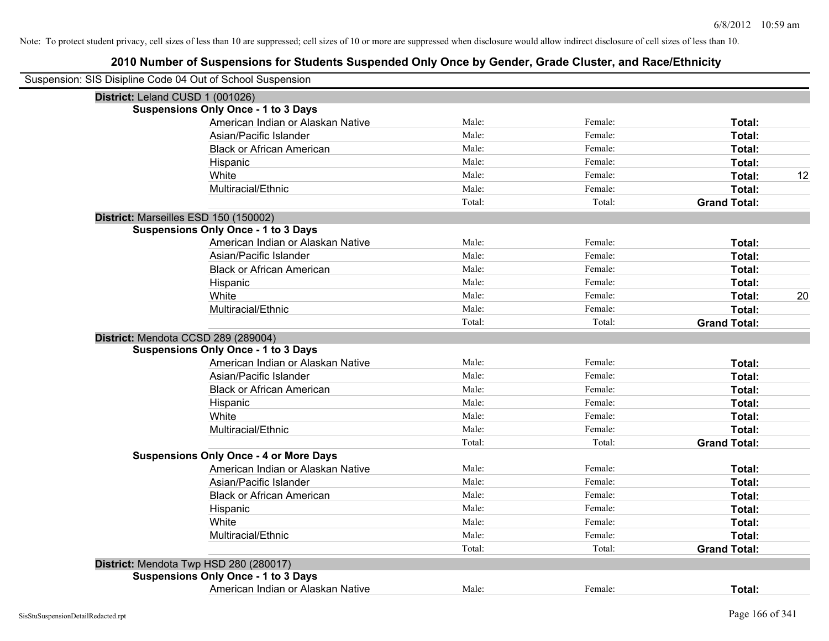| Suspension: SIS Disipline Code 04 Out of School Suspension |                                               |        |         |                     |    |
|------------------------------------------------------------|-----------------------------------------------|--------|---------|---------------------|----|
| District: Leland CUSD 1 (001026)                           |                                               |        |         |                     |    |
|                                                            | <b>Suspensions Only Once - 1 to 3 Days</b>    |        |         |                     |    |
|                                                            | American Indian or Alaskan Native             | Male:  | Female: | Total:              |    |
|                                                            | Asian/Pacific Islander                        | Male:  | Female: | Total:              |    |
|                                                            | <b>Black or African American</b>              | Male:  | Female: | Total:              |    |
|                                                            | Hispanic                                      | Male:  | Female: | Total:              |    |
|                                                            | White                                         | Male:  | Female: | Total:              | 12 |
|                                                            | Multiracial/Ethnic                            | Male:  | Female: | Total:              |    |
|                                                            |                                               | Total: | Total:  | <b>Grand Total:</b> |    |
|                                                            | District: Marseilles ESD 150 (150002)         |        |         |                     |    |
|                                                            | <b>Suspensions Only Once - 1 to 3 Days</b>    |        |         |                     |    |
|                                                            | American Indian or Alaskan Native             | Male:  | Female: | Total:              |    |
|                                                            | Asian/Pacific Islander                        | Male:  | Female: | Total:              |    |
|                                                            | <b>Black or African American</b>              | Male:  | Female: | Total:              |    |
|                                                            | Hispanic                                      | Male:  | Female: | Total:              |    |
|                                                            | White                                         | Male:  | Female: | Total:              | 20 |
|                                                            | Multiracial/Ethnic                            | Male:  | Female: | Total:              |    |
|                                                            |                                               | Total: | Total:  | <b>Grand Total:</b> |    |
|                                                            | District: Mendota CCSD 289 (289004)           |        |         |                     |    |
|                                                            | <b>Suspensions Only Once - 1 to 3 Days</b>    |        |         |                     |    |
|                                                            | American Indian or Alaskan Native             | Male:  | Female: | Total:              |    |
|                                                            | Asian/Pacific Islander                        | Male:  | Female: | Total:              |    |
|                                                            | <b>Black or African American</b>              | Male:  | Female: | Total:              |    |
|                                                            | Hispanic                                      | Male:  | Female: | Total:              |    |
|                                                            | White                                         | Male:  | Female: | Total:              |    |
|                                                            | Multiracial/Ethnic                            | Male:  | Female: | Total:              |    |
|                                                            |                                               | Total: | Total:  | <b>Grand Total:</b> |    |
|                                                            | <b>Suspensions Only Once - 4 or More Days</b> |        |         |                     |    |
|                                                            | American Indian or Alaskan Native             | Male:  | Female: | Total:              |    |
|                                                            | Asian/Pacific Islander                        | Male:  | Female: | Total:              |    |
|                                                            | <b>Black or African American</b>              | Male:  | Female: | Total:              |    |
|                                                            | Hispanic                                      | Male:  | Female: | Total:              |    |
|                                                            | White                                         | Male:  | Female: | Total:              |    |
|                                                            | Multiracial/Ethnic                            | Male:  | Female: | Total:              |    |
|                                                            |                                               | Total: | Total:  | <b>Grand Total:</b> |    |
|                                                            | District: Mendota Twp HSD 280 (280017)        |        |         |                     |    |
|                                                            | <b>Suspensions Only Once - 1 to 3 Days</b>    |        |         |                     |    |
|                                                            | American Indian or Alaskan Native             | Male:  | Female: | Total:              |    |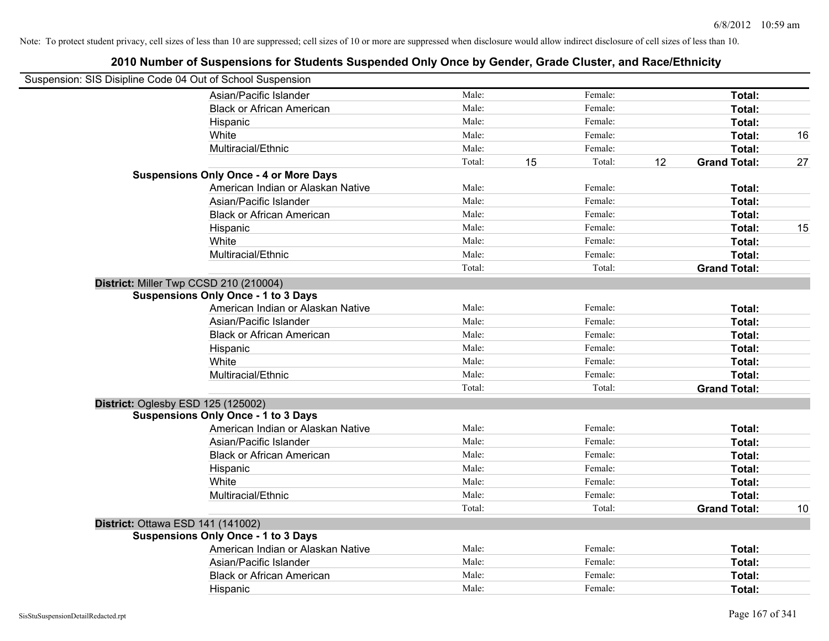| Suspension: SIS Disipline Code 04 Out of School Suspension |                                               |        |              |    |                     |    |
|------------------------------------------------------------|-----------------------------------------------|--------|--------------|----|---------------------|----|
|                                                            | Asian/Pacific Islander                        | Male:  | Female:      |    | Total:              |    |
|                                                            | <b>Black or African American</b>              | Male:  | Female:      |    | Total:              |    |
|                                                            | Hispanic                                      | Male:  | Female:      |    | <b>Total:</b>       |    |
|                                                            | White                                         | Male:  | Female:      |    | Total:              | 16 |
|                                                            | Multiracial/Ethnic                            | Male:  | Female:      |    | Total:              |    |
|                                                            |                                               | Total: | 15<br>Total: | 12 | <b>Grand Total:</b> | 27 |
|                                                            | <b>Suspensions Only Once - 4 or More Days</b> |        |              |    |                     |    |
|                                                            | American Indian or Alaskan Native             | Male:  | Female:      |    | Total:              |    |
|                                                            | Asian/Pacific Islander                        | Male:  | Female:      |    | Total:              |    |
|                                                            | <b>Black or African American</b>              | Male:  | Female:      |    | Total:              |    |
|                                                            | Hispanic                                      | Male:  | Female:      |    | Total:              | 15 |
|                                                            | White                                         | Male:  | Female:      |    | Total:              |    |
|                                                            | Multiracial/Ethnic                            | Male:  | Female:      |    | Total:              |    |
|                                                            |                                               | Total: | Total:       |    | <b>Grand Total:</b> |    |
| District: Miller Twp CCSD 210 (210004)                     |                                               |        |              |    |                     |    |
|                                                            | <b>Suspensions Only Once - 1 to 3 Days</b>    |        |              |    |                     |    |
|                                                            | American Indian or Alaskan Native             | Male:  | Female:      |    | Total:              |    |
|                                                            | Asian/Pacific Islander                        | Male:  | Female:      |    | Total:              |    |
|                                                            | <b>Black or African American</b>              | Male:  | Female:      |    | Total:              |    |
|                                                            | Hispanic                                      | Male:  | Female:      |    | Total:              |    |
|                                                            | White                                         | Male:  | Female:      |    | Total:              |    |
|                                                            | Multiracial/Ethnic                            | Male:  | Female:      |    | Total:              |    |
|                                                            |                                               | Total: | Total:       |    | <b>Grand Total:</b> |    |
| District: Oglesby ESD 125 (125002)                         |                                               |        |              |    |                     |    |
|                                                            | <b>Suspensions Only Once - 1 to 3 Days</b>    |        |              |    |                     |    |
|                                                            | American Indian or Alaskan Native             | Male:  | Female:      |    | Total:              |    |
|                                                            | Asian/Pacific Islander                        | Male:  | Female:      |    | Total:              |    |
|                                                            | <b>Black or African American</b>              | Male:  | Female:      |    | Total:              |    |
|                                                            | Hispanic                                      | Male:  | Female:      |    | Total:              |    |
|                                                            | White                                         | Male:  | Female:      |    | Total:              |    |
|                                                            | Multiracial/Ethnic                            | Male:  | Female:      |    | Total:              |    |
|                                                            |                                               | Total: | Total:       |    | <b>Grand Total:</b> | 10 |
| <b>District: Ottawa ESD 141 (141002)</b>                   |                                               |        |              |    |                     |    |
|                                                            | <b>Suspensions Only Once - 1 to 3 Days</b>    |        |              |    |                     |    |
|                                                            | American Indian or Alaskan Native             | Male:  | Female:      |    | Total:              |    |
|                                                            | Asian/Pacific Islander                        | Male:  | Female:      |    | Total:              |    |
|                                                            | <b>Black or African American</b>              | Male:  | Female:      |    | Total:              |    |
|                                                            | Hispanic                                      | Male:  | Female:      |    | Total:              |    |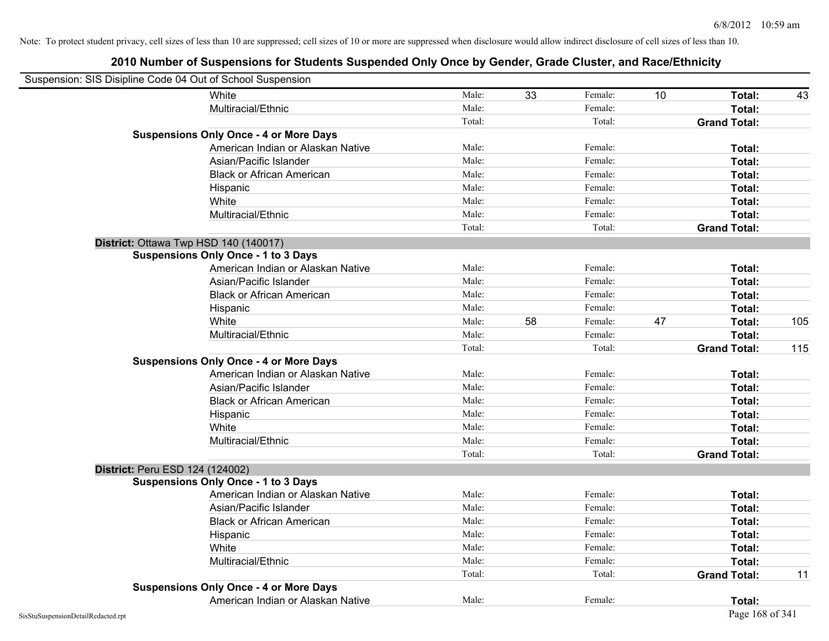| Suspension: SIS Disipline Code 04 Out of School Suspension |        |    |         |    |                     |     |
|------------------------------------------------------------|--------|----|---------|----|---------------------|-----|
| White                                                      | Male:  | 33 | Female: | 10 | Total:              | 43  |
| Multiracial/Ethnic                                         | Male:  |    | Female: |    | Total:              |     |
|                                                            | Total: |    | Total:  |    | <b>Grand Total:</b> |     |
| <b>Suspensions Only Once - 4 or More Days</b>              |        |    |         |    |                     |     |
| American Indian or Alaskan Native                          | Male:  |    | Female: |    | Total:              |     |
| Asian/Pacific Islander                                     | Male:  |    | Female: |    | Total:              |     |
| <b>Black or African American</b>                           | Male:  |    | Female: |    | Total:              |     |
| Hispanic                                                   | Male:  |    | Female: |    | Total:              |     |
| White                                                      | Male:  |    | Female: |    | Total:              |     |
| Multiracial/Ethnic                                         | Male:  |    | Female: |    | Total:              |     |
|                                                            | Total: |    | Total:  |    | <b>Grand Total:</b> |     |
| District: Ottawa Twp HSD 140 (140017)                      |        |    |         |    |                     |     |
| <b>Suspensions Only Once - 1 to 3 Days</b>                 |        |    |         |    |                     |     |
| American Indian or Alaskan Native                          | Male:  |    | Female: |    | Total:              |     |
| Asian/Pacific Islander                                     | Male:  |    | Female: |    | Total:              |     |
| <b>Black or African American</b>                           | Male:  |    | Female: |    | Total:              |     |
| Hispanic                                                   | Male:  |    | Female: |    | Total:              |     |
| White                                                      | Male:  | 58 | Female: | 47 | Total:              | 105 |
| Multiracial/Ethnic                                         | Male:  |    | Female: |    | Total:              |     |
|                                                            | Total: |    | Total:  |    | <b>Grand Total:</b> | 115 |
| <b>Suspensions Only Once - 4 or More Days</b>              |        |    |         |    |                     |     |
| American Indian or Alaskan Native                          | Male:  |    | Female: |    | Total:              |     |
| Asian/Pacific Islander                                     | Male:  |    | Female: |    | Total:              |     |
| <b>Black or African American</b>                           | Male:  |    | Female: |    | Total:              |     |
| Hispanic                                                   | Male:  |    | Female: |    | Total:              |     |
| White                                                      | Male:  |    | Female: |    | Total:              |     |
| Multiracial/Ethnic                                         | Male:  |    | Female: |    | Total:              |     |
|                                                            | Total: |    | Total:  |    | <b>Grand Total:</b> |     |
| District: Peru ESD 124 (124002)                            |        |    |         |    |                     |     |
| <b>Suspensions Only Once - 1 to 3 Days</b>                 |        |    |         |    |                     |     |
| American Indian or Alaskan Native                          | Male:  |    | Female: |    | Total:              |     |
| Asian/Pacific Islander                                     | Male:  |    | Female: |    | Total:              |     |
| <b>Black or African American</b>                           | Male:  |    | Female: |    | Total:              |     |
| Hispanic                                                   | Male:  |    | Female: |    | Total:              |     |
| White                                                      | Male:  |    | Female: |    | Total:              |     |
| Multiracial/Ethnic                                         | Male:  |    | Female: |    | Total:              |     |
|                                                            | Total: |    | Total:  |    | <b>Grand Total:</b> | 11  |
| <b>Suspensions Only Once - 4 or More Days</b>              |        |    |         |    |                     |     |
| American Indian or Alaskan Native                          | Male:  |    | Female: |    | Total:              |     |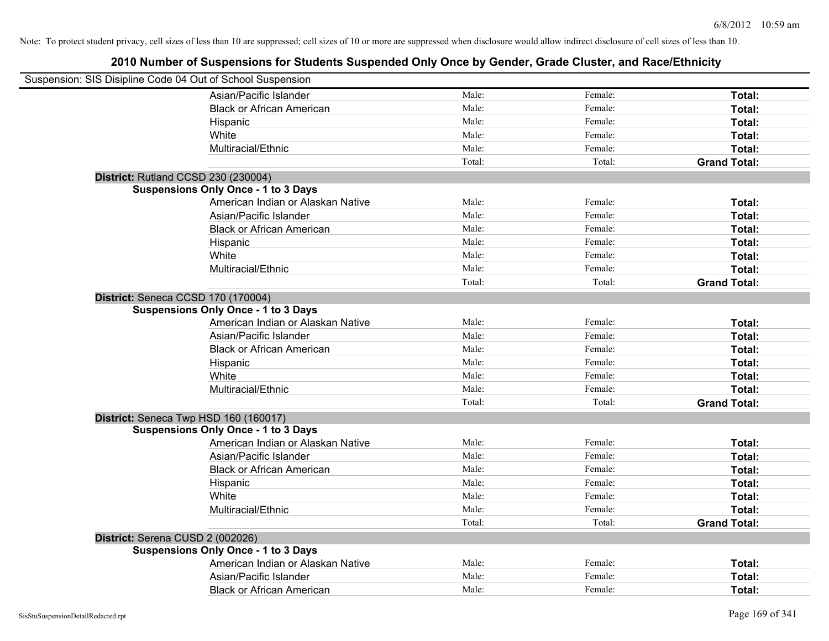| Suspension: SIS Disipline Code 04 Out of School Suspension |                                            |        |         |                     |
|------------------------------------------------------------|--------------------------------------------|--------|---------|---------------------|
|                                                            | Asian/Pacific Islander                     | Male:  | Female: | Total:              |
|                                                            | <b>Black or African American</b>           | Male:  | Female: | Total:              |
|                                                            | Hispanic                                   | Male:  | Female: | Total:              |
|                                                            | White                                      | Male:  | Female: | Total:              |
|                                                            | Multiracial/Ethnic                         | Male:  | Female: | Total:              |
|                                                            |                                            | Total: | Total:  | <b>Grand Total:</b> |
| District: Rutland CCSD 230 (230004)                        |                                            |        |         |                     |
|                                                            | <b>Suspensions Only Once - 1 to 3 Days</b> |        |         |                     |
|                                                            | American Indian or Alaskan Native          | Male:  | Female: | Total:              |
|                                                            | Asian/Pacific Islander                     | Male:  | Female: | Total:              |
|                                                            | <b>Black or African American</b>           | Male:  | Female: | Total:              |
|                                                            | Hispanic                                   | Male:  | Female: | Total:              |
|                                                            | White                                      | Male:  | Female: | Total:              |
|                                                            | Multiracial/Ethnic                         | Male:  | Female: | Total:              |
|                                                            |                                            | Total: | Total:  | <b>Grand Total:</b> |
| District: Seneca CCSD 170 (170004)                         |                                            |        |         |                     |
|                                                            | <b>Suspensions Only Once - 1 to 3 Days</b> |        |         |                     |
|                                                            | American Indian or Alaskan Native          | Male:  | Female: | Total:              |
|                                                            | Asian/Pacific Islander                     | Male:  | Female: | Total:              |
|                                                            | <b>Black or African American</b>           | Male:  | Female: | Total:              |
|                                                            | Hispanic                                   | Male:  | Female: | Total:              |
|                                                            | White                                      | Male:  | Female: | Total:              |
|                                                            | Multiracial/Ethnic                         | Male:  | Female: | Total:              |
|                                                            |                                            | Total: | Total:  | <b>Grand Total:</b> |
| District: Seneca Twp HSD 160 (160017)                      |                                            |        |         |                     |
|                                                            | <b>Suspensions Only Once - 1 to 3 Days</b> |        |         |                     |
|                                                            | American Indian or Alaskan Native          | Male:  | Female: | Total:              |
|                                                            | Asian/Pacific Islander                     | Male:  | Female: | Total:              |
|                                                            | <b>Black or African American</b>           | Male:  | Female: | Total:              |
|                                                            | Hispanic                                   | Male:  | Female: | Total:              |
|                                                            | White                                      | Male:  | Female: | Total:              |
|                                                            | Multiracial/Ethnic                         | Male:  | Female: | Total:              |
|                                                            |                                            | Total: | Total:  | <b>Grand Total:</b> |
| District: Serena CUSD 2 (002026)                           |                                            |        |         |                     |
|                                                            | <b>Suspensions Only Once - 1 to 3 Days</b> |        |         |                     |
|                                                            | American Indian or Alaskan Native          | Male:  | Female: | Total:              |
|                                                            | Asian/Pacific Islander                     | Male:  | Female: | Total:              |
|                                                            | <b>Black or African American</b>           | Male:  | Female: | Total:              |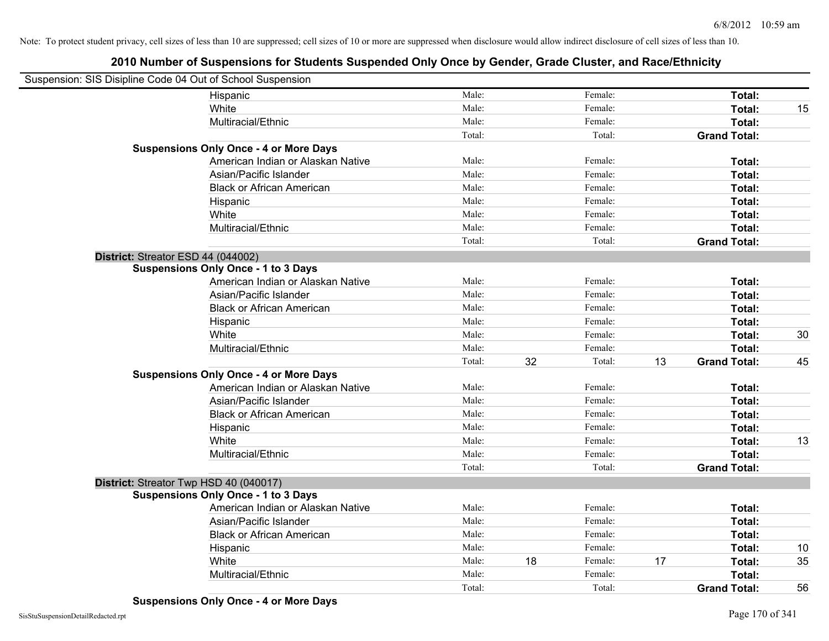| Suspension: SIS Disipline Code 04 Out of School Suspension |        |    |         |    |                     |    |
|------------------------------------------------------------|--------|----|---------|----|---------------------|----|
| Hispanic                                                   | Male:  |    | Female: |    | Total:              |    |
| White                                                      | Male:  |    | Female: |    | Total:              | 15 |
| Multiracial/Ethnic                                         | Male:  |    | Female: |    | Total:              |    |
|                                                            | Total: |    | Total:  |    | <b>Grand Total:</b> |    |
| <b>Suspensions Only Once - 4 or More Days</b>              |        |    |         |    |                     |    |
| American Indian or Alaskan Native                          | Male:  |    | Female: |    | Total:              |    |
| Asian/Pacific Islander                                     | Male:  |    | Female: |    | Total:              |    |
| <b>Black or African American</b>                           | Male:  |    | Female: |    | Total:              |    |
| Hispanic                                                   | Male:  |    | Female: |    | Total:              |    |
| White                                                      | Male:  |    | Female: |    | Total:              |    |
| Multiracial/Ethnic                                         | Male:  |    | Female: |    | Total:              |    |
|                                                            | Total: |    | Total:  |    | <b>Grand Total:</b> |    |
| District: Streator ESD 44 (044002)                         |        |    |         |    |                     |    |
| <b>Suspensions Only Once - 1 to 3 Days</b>                 |        |    |         |    |                     |    |
| American Indian or Alaskan Native                          | Male:  |    | Female: |    | Total:              |    |
| Asian/Pacific Islander                                     | Male:  |    | Female: |    | Total:              |    |
| <b>Black or African American</b>                           | Male:  |    | Female: |    | Total:              |    |
| Hispanic                                                   | Male:  |    | Female: |    | Total:              |    |
| White                                                      | Male:  |    | Female: |    | Total:              | 30 |
| Multiracial/Ethnic                                         | Male:  |    | Female: |    | Total:              |    |
|                                                            | Total: | 32 | Total:  | 13 | <b>Grand Total:</b> | 45 |
| <b>Suspensions Only Once - 4 or More Days</b>              |        |    |         |    |                     |    |
| American Indian or Alaskan Native                          | Male:  |    | Female: |    | Total:              |    |
| Asian/Pacific Islander                                     | Male:  |    | Female: |    | Total:              |    |
| <b>Black or African American</b>                           | Male:  |    | Female: |    | Total:              |    |
| Hispanic                                                   | Male:  |    | Female: |    | Total:              |    |
| White                                                      | Male:  |    | Female: |    | Total:              | 13 |
| Multiracial/Ethnic                                         | Male:  |    | Female: |    | Total:              |    |
|                                                            | Total: |    | Total:  |    | <b>Grand Total:</b> |    |
| District: Streator Twp HSD 40 (040017)                     |        |    |         |    |                     |    |
| <b>Suspensions Only Once - 1 to 3 Days</b>                 |        |    |         |    |                     |    |
| American Indian or Alaskan Native                          | Male:  |    | Female: |    | Total:              |    |
| Asian/Pacific Islander                                     | Male:  |    | Female: |    | Total:              |    |
| <b>Black or African American</b>                           | Male:  |    | Female: |    | Total:              |    |
| Hispanic                                                   | Male:  |    | Female: |    | Total:              | 10 |
| White                                                      | Male:  | 18 | Female: | 17 | Total:              | 35 |
| Multiracial/Ethnic                                         | Male:  |    | Female: |    | Total:              |    |
|                                                            | Total: |    | Total:  |    | <b>Grand Total:</b> | 56 |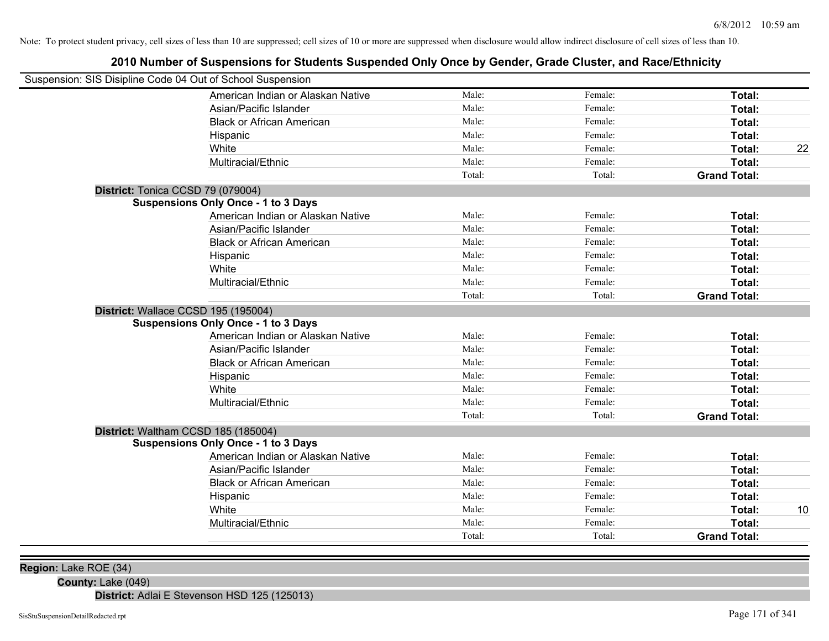# **2010 Number of Suspensions for Students Suspended Only Once by Gender, Grade Cluster, and Race/Ethnicity**

| Suspension: SIS Disipline Code 04 Out of School Suspension |        |         |                     |    |
|------------------------------------------------------------|--------|---------|---------------------|----|
| American Indian or Alaskan Native                          | Male:  | Female: | Total:              |    |
| Asian/Pacific Islander                                     | Male:  | Female: | Total:              |    |
| <b>Black or African American</b>                           | Male:  | Female: | Total:              |    |
| Hispanic                                                   | Male:  | Female: | Total:              |    |
| White                                                      | Male:  | Female: | Total:              | 22 |
| Multiracial/Ethnic                                         | Male:  | Female: | Total:              |    |
|                                                            | Total: | Total:  | <b>Grand Total:</b> |    |
| District: Tonica CCSD 79 (079004)                          |        |         |                     |    |
| <b>Suspensions Only Once - 1 to 3 Days</b>                 |        |         |                     |    |
| American Indian or Alaskan Native                          | Male:  | Female: | Total:              |    |
| Asian/Pacific Islander                                     | Male:  | Female: | Total:              |    |
| <b>Black or African American</b>                           | Male:  | Female: | Total:              |    |
| Hispanic                                                   | Male:  | Female: | Total:              |    |
| White                                                      | Male:  | Female: | Total:              |    |
| Multiracial/Ethnic                                         | Male:  | Female: | Total:              |    |
|                                                            | Total: | Total:  | <b>Grand Total:</b> |    |
| District: Wallace CCSD 195 (195004)                        |        |         |                     |    |
| <b>Suspensions Only Once - 1 to 3 Days</b>                 |        |         |                     |    |
| American Indian or Alaskan Native                          | Male:  | Female: | Total:              |    |
| Asian/Pacific Islander                                     | Male:  | Female: | Total:              |    |
| <b>Black or African American</b>                           | Male:  | Female: | Total:              |    |
| Hispanic                                                   | Male:  | Female: | Total:              |    |
| White                                                      | Male:  | Female: | Total:              |    |
| Multiracial/Ethnic                                         | Male:  | Female: | Total:              |    |
|                                                            | Total: | Total:  | <b>Grand Total:</b> |    |
| District: Waltham CCSD 185 (185004)                        |        |         |                     |    |
| <b>Suspensions Only Once - 1 to 3 Days</b>                 |        |         |                     |    |
| American Indian or Alaskan Native                          | Male:  | Female: | Total:              |    |
| Asian/Pacific Islander                                     | Male:  | Female: | Total:              |    |
| <b>Black or African American</b>                           | Male:  | Female: | Total:              |    |
| Hispanic                                                   | Male:  | Female: | Total:              |    |
| White                                                      | Male:  | Female: | Total:              | 10 |
| Multiracial/Ethnic                                         | Male:  | Female: | Total:              |    |
|                                                            | Total: | Total:  | <b>Grand Total:</b> |    |
|                                                            |        |         |                     |    |

**Region:** Lake ROE (34)

**County:** Lake (049)

**District:** Adlai E Stevenson HSD 125 (125013)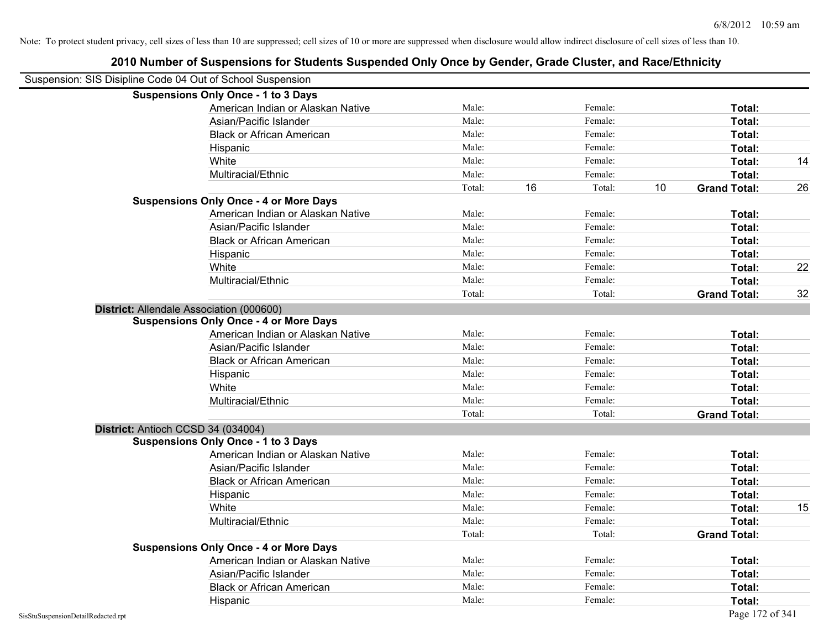|                                                            | 2010 Number of Suspensions for Students Suspended Only Once by Gender, Grade Cluster, and Race/Ethnicity |        |    |         |    |                     |    |
|------------------------------------------------------------|----------------------------------------------------------------------------------------------------------|--------|----|---------|----|---------------------|----|
| Suspension: SIS Disipline Code 04 Out of School Suspension |                                                                                                          |        |    |         |    |                     |    |
|                                                            | <b>Suspensions Only Once - 1 to 3 Days</b>                                                               |        |    |         |    |                     |    |
|                                                            | American Indian or Alaskan Native                                                                        | Male:  |    | Female: |    | Total:              |    |
|                                                            | Asian/Pacific Islander                                                                                   | Male:  |    | Female: |    | Total:              |    |
|                                                            | <b>Black or African American</b>                                                                         | Male:  |    | Female: |    | Total:              |    |
|                                                            | Hispanic                                                                                                 | Male:  |    | Female: |    | Total:              |    |
|                                                            | White                                                                                                    | Male:  |    | Female: |    | Total:              | 14 |
|                                                            | Multiracial/Ethnic                                                                                       | Male:  |    | Female: |    | Total:              |    |
|                                                            |                                                                                                          | Total: | 16 | Total:  | 10 | <b>Grand Total:</b> | 26 |
|                                                            | <b>Suspensions Only Once - 4 or More Days</b>                                                            |        |    |         |    |                     |    |
|                                                            | American Indian or Alaskan Native                                                                        | Male:  |    | Female: |    | Total:              |    |
|                                                            | Asian/Pacific Islander                                                                                   | Male:  |    | Female: |    | Total:              |    |
|                                                            | <b>Black or African American</b>                                                                         | Male:  |    | Female: |    | Total:              |    |
|                                                            | Hispanic                                                                                                 | Male:  |    | Female: |    | Total:              |    |
|                                                            | White                                                                                                    | Male:  |    | Female: |    | Total:              | 22 |
|                                                            | Multiracial/Ethnic                                                                                       | Male:  |    | Female: |    | Total:              |    |
|                                                            |                                                                                                          | Total: |    | Total:  |    | <b>Grand Total:</b> | 32 |
|                                                            | District: Allendale Association (000600)                                                                 |        |    |         |    |                     |    |
|                                                            | <b>Suspensions Only Once - 4 or More Days</b>                                                            |        |    |         |    |                     |    |
|                                                            | American Indian or Alaskan Native                                                                        | Male:  |    | Female: |    | Total:              |    |
|                                                            | Asian/Pacific Islander                                                                                   | Male:  |    | Female: |    | Total:              |    |
|                                                            | <b>Black or African American</b>                                                                         | Male:  |    | Female: |    | Total:              |    |
|                                                            | Hispanic                                                                                                 | Male:  |    | Female: |    | Total:              |    |
|                                                            | White                                                                                                    | Male:  |    | Female: |    | Total:              |    |
|                                                            | Multiracial/Ethnic                                                                                       | Male:  |    | Female: |    | Total:              |    |
|                                                            |                                                                                                          | Total: |    | Total:  |    | <b>Grand Total:</b> |    |
|                                                            | District: Antioch CCSD 34 (034004)                                                                       |        |    |         |    |                     |    |
|                                                            | <b>Suspensions Only Once - 1 to 3 Days</b>                                                               |        |    |         |    |                     |    |
|                                                            | American Indian or Alaskan Native                                                                        | Male:  |    | Female: |    | Total:              |    |
|                                                            | Asian/Pacific Islander                                                                                   | Male:  |    | Female: |    | Total:              |    |
|                                                            | <b>Black or African American</b>                                                                         | Male:  |    | Female: |    | Total:              |    |
|                                                            | Hispanic                                                                                                 | Male:  |    | Female: |    | Total:              |    |
|                                                            | White                                                                                                    | Male:  |    | Female: |    | Total:              | 15 |
|                                                            | Multiracial/Ethnic                                                                                       | Male:  |    | Female: |    | Total:              |    |
|                                                            |                                                                                                          | Total: |    | Total:  |    | <b>Grand Total:</b> |    |
|                                                            | <b>Suspensions Only Once - 4 or More Days</b>                                                            |        |    |         |    |                     |    |
|                                                            | American Indian or Alaskan Native                                                                        | Male:  |    | Female: |    | Total:              |    |
|                                                            | Asian/Pacific Islander                                                                                   | Male:  |    | Female: |    | Total:              |    |
|                                                            | <b>Black or African American</b>                                                                         | Male:  |    | Female: |    | Total:              |    |
|                                                            | Hispanic                                                                                                 | Male:  |    | Female: |    | Total:              |    |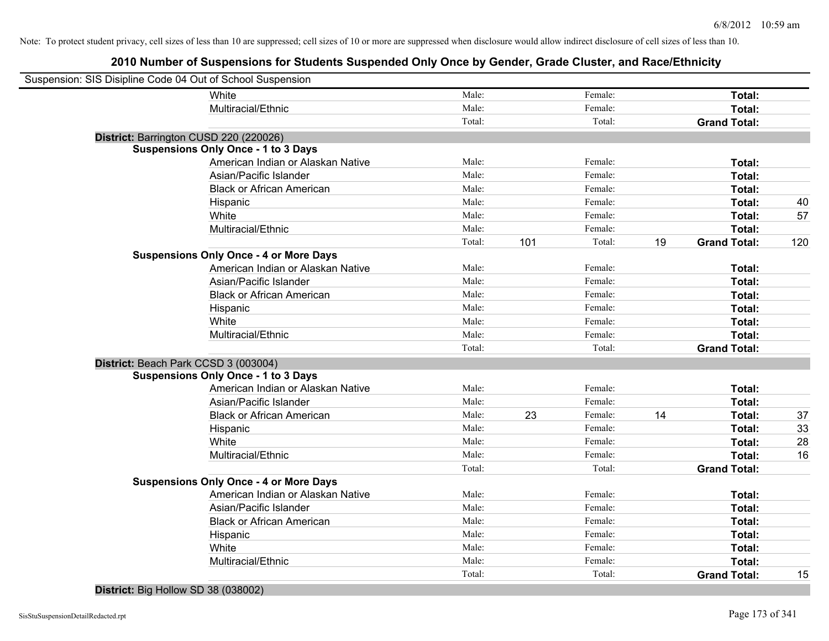# **2010 Number of Suspensions for Students Suspended Only Once by Gender, Grade Cluster, and Race/Ethnicity**

| Suspension: SIS Disipline Code 04 Out of School Suspension |        |     |         |    |                     |     |
|------------------------------------------------------------|--------|-----|---------|----|---------------------|-----|
| White                                                      | Male:  |     | Female: |    | Total:              |     |
| Multiracial/Ethnic                                         | Male:  |     | Female: |    | Total:              |     |
|                                                            | Total: |     | Total:  |    | <b>Grand Total:</b> |     |
| District: Barrington CUSD 220 (220026)                     |        |     |         |    |                     |     |
| <b>Suspensions Only Once - 1 to 3 Days</b>                 |        |     |         |    |                     |     |
| American Indian or Alaskan Native                          | Male:  |     | Female: |    | Total:              |     |
| Asian/Pacific Islander                                     | Male:  |     | Female: |    | Total:              |     |
| <b>Black or African American</b>                           | Male:  |     | Female: |    | Total:              |     |
| Hispanic                                                   | Male:  |     | Female: |    | Total:              | 40  |
| White                                                      | Male:  |     | Female: |    | Total:              | 57  |
| Multiracial/Ethnic                                         | Male:  |     | Female: |    | Total:              |     |
|                                                            | Total: | 101 | Total:  | 19 | <b>Grand Total:</b> | 120 |
| <b>Suspensions Only Once - 4 or More Days</b>              |        |     |         |    |                     |     |
| American Indian or Alaskan Native                          | Male:  |     | Female: |    | Total:              |     |
| Asian/Pacific Islander                                     | Male:  |     | Female: |    | Total:              |     |
| <b>Black or African American</b>                           | Male:  |     | Female: |    | Total:              |     |
| Hispanic                                                   | Male:  |     | Female: |    | Total:              |     |
| White                                                      | Male:  |     | Female: |    | Total:              |     |
| Multiracial/Ethnic                                         | Male:  |     | Female: |    | Total:              |     |
|                                                            | Total: |     | Total:  |    | <b>Grand Total:</b> |     |
| District: Beach Park CCSD 3 (003004)                       |        |     |         |    |                     |     |
| <b>Suspensions Only Once - 1 to 3 Days</b>                 |        |     |         |    |                     |     |
| American Indian or Alaskan Native                          | Male:  |     | Female: |    | Total:              |     |
| Asian/Pacific Islander                                     | Male:  |     | Female: |    | Total:              |     |
| <b>Black or African American</b>                           | Male:  | 23  | Female: | 14 | Total:              | 37  |
| Hispanic                                                   | Male:  |     | Female: |    | Total:              | 33  |
| White                                                      | Male:  |     | Female: |    | Total:              | 28  |
| Multiracial/Ethnic                                         | Male:  |     | Female: |    | Total:              | 16  |
|                                                            | Total: |     | Total:  |    | <b>Grand Total:</b> |     |
| <b>Suspensions Only Once - 4 or More Days</b>              |        |     |         |    |                     |     |
| American Indian or Alaskan Native                          | Male:  |     | Female: |    | Total:              |     |
| Asian/Pacific Islander                                     | Male:  |     | Female: |    | Total:              |     |
| <b>Black or African American</b>                           | Male:  |     | Female: |    | Total:              |     |
| Hispanic                                                   | Male:  |     | Female: |    | Total:              |     |
| White                                                      | Male:  |     | Female: |    | Total:              |     |
| Multiracial/Ethnic                                         | Male:  |     | Female: |    | <b>Total:</b>       |     |
|                                                            | Total: |     | Total:  |    | <b>Grand Total:</b> | 15  |
|                                                            |        |     |         |    |                     |     |

#### **District:** Big Hollow SD 38 (038002)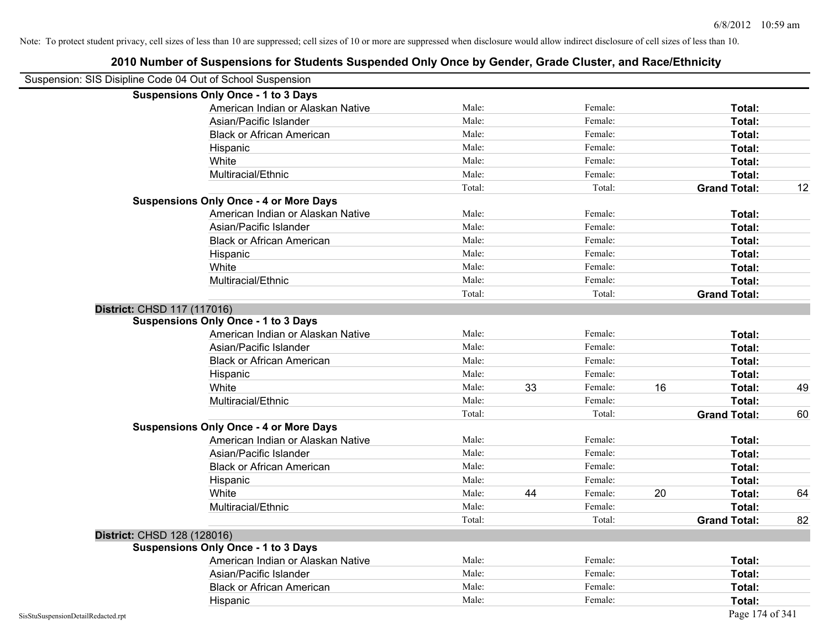|                                    | <b>Suspensions Only Once - 1 to 3 Days</b>    |        |    |         |    |                     |    |
|------------------------------------|-----------------------------------------------|--------|----|---------|----|---------------------|----|
|                                    | American Indian or Alaskan Native             | Male:  |    | Female: |    | Total:              |    |
|                                    | Asian/Pacific Islander                        | Male:  |    | Female: |    | Total:              |    |
|                                    | <b>Black or African American</b>              | Male:  |    | Female: |    | Total:              |    |
|                                    | Hispanic                                      | Male:  |    | Female: |    | Total:              |    |
|                                    | White                                         | Male:  |    | Female: |    | Total:              |    |
|                                    | Multiracial/Ethnic                            | Male:  |    | Female: |    | Total:              |    |
|                                    |                                               | Total: |    | Total:  |    | <b>Grand Total:</b> | 12 |
|                                    | <b>Suspensions Only Once - 4 or More Days</b> |        |    |         |    |                     |    |
|                                    | American Indian or Alaskan Native             | Male:  |    | Female: |    | Total:              |    |
|                                    | Asian/Pacific Islander                        | Male:  |    | Female: |    | Total:              |    |
|                                    | <b>Black or African American</b>              | Male:  |    | Female: |    | Total:              |    |
|                                    | Hispanic                                      | Male:  |    | Female: |    | Total:              |    |
|                                    | White                                         | Male:  |    | Female: |    | Total:              |    |
|                                    | Multiracial/Ethnic                            | Male:  |    | Female: |    | Total:              |    |
|                                    |                                               | Total: |    | Total:  |    | <b>Grand Total:</b> |    |
| District: CHSD 117 (117016)        |                                               |        |    |         |    |                     |    |
|                                    | <b>Suspensions Only Once - 1 to 3 Days</b>    |        |    |         |    |                     |    |
|                                    | American Indian or Alaskan Native             | Male:  |    | Female: |    | Total:              |    |
|                                    | Asian/Pacific Islander                        | Male:  |    | Female: |    | Total:              |    |
|                                    | <b>Black or African American</b>              | Male:  |    | Female: |    | Total:              |    |
|                                    | Hispanic                                      | Male:  |    | Female: |    | Total:              |    |
|                                    | White                                         | Male:  | 33 | Female: | 16 | Total:              | 49 |
|                                    | Multiracial/Ethnic                            | Male:  |    | Female: |    | Total:              |    |
|                                    |                                               | Total: |    | Total:  |    | <b>Grand Total:</b> | 60 |
|                                    | <b>Suspensions Only Once - 4 or More Days</b> |        |    |         |    |                     |    |
|                                    | American Indian or Alaskan Native             | Male:  |    | Female: |    | Total:              |    |
|                                    | Asian/Pacific Islander                        | Male:  |    | Female: |    | Total:              |    |
|                                    | <b>Black or African American</b>              | Male:  |    | Female: |    | Total:              |    |
|                                    | Hispanic                                      | Male:  |    | Female: |    | Total:              |    |
|                                    | White                                         | Male:  | 44 | Female: | 20 | Total:              | 64 |
|                                    | Multiracial/Ethnic                            | Male:  |    | Female: |    | Total:              |    |
|                                    |                                               | Total: |    | Total:  |    | <b>Grand Total:</b> | 82 |
| District: CHSD 128 (128016)        |                                               |        |    |         |    |                     |    |
|                                    | <b>Suspensions Only Once - 1 to 3 Days</b>    |        |    |         |    |                     |    |
|                                    | American Indian or Alaskan Native             | Male:  |    | Female: |    | Total:              |    |
|                                    | Asian/Pacific Islander                        | Male:  |    | Female: |    | Total:              |    |
|                                    | <b>Black or African American</b>              | Male:  |    | Female: |    | Total:              |    |
|                                    | Hispanic                                      | Male:  |    | Female: |    | Total:              |    |
| SisStuSuspensionDetailRedacted.rpt |                                               |        |    |         |    | Page 174 of 341     |    |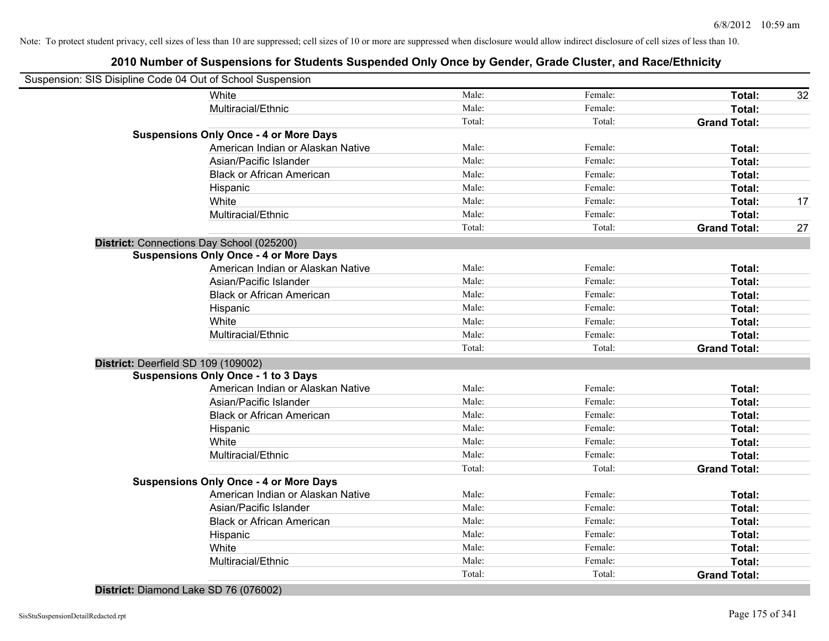# **2010 Number of Suspensions for Students Suspended Only Once by Gender, Grade Cluster, and Race/Ethnicity**

| White<br>Male:<br>Female:<br>Total:<br>Multiracial/Ethnic<br>Male:<br>Female:<br>Total:<br>Total:<br>Total:<br><b>Grand Total:</b><br><b>Suspensions Only Once - 4 or More Days</b><br>Male:<br>American Indian or Alaskan Native<br>Female:<br>Total:<br>Male:<br>Female:<br>Total:<br>Asian/Pacific Islander<br>Male:<br>Female:<br><b>Black or African American</b><br>Total:<br>Male:<br>Female:<br>Total:<br>Hispanic<br>Male:<br>Female:<br>White<br>Total:<br>Male:<br>Female:<br>Multiracial/Ethnic<br>Total:<br>Total:<br>Total:<br><b>Grand Total:</b><br>District: Connections Day School (025200)<br><b>Suspensions Only Once - 4 or More Days</b><br>American Indian or Alaskan Native<br>Female:<br>Male:<br>Total:<br>Asian/Pacific Islander<br>Male:<br>Female:<br>Total:<br>Male:<br>Female:<br><b>Black or African American</b><br>Total:<br>Female:<br>Male:<br>Hispanic<br>Total:<br>White<br>Male:<br>Female:<br>Total:<br>Multiracial/Ethnic<br>Male:<br>Female:<br>Total:<br>Total:<br>Total:<br><b>Grand Total:</b><br>District: Deerfield SD 109 (109002)<br><b>Suspensions Only Once - 1 to 3 Days</b><br>Male:<br>Female:<br>American Indian or Alaskan Native<br>Total:<br>Male:<br>Female:<br>Asian/Pacific Islander<br>Total:<br>Male:<br>Female:<br><b>Black or African American</b><br>Total:<br>Male:<br>Female:<br>Total:<br>Hispanic<br>Male:<br>Female:<br>White<br>Total:<br>Male:<br>Female:<br>Total:<br>Multiracial/Ethnic<br>Total:<br>Total:<br><b>Grand Total:</b><br><b>Suspensions Only Once - 4 or More Days</b><br>Male:<br>Female:<br>American Indian or Alaskan Native<br>Total:<br>Female:<br>Asian/Pacific Islander<br>Male:<br>Total:<br>Male:<br>Female:<br><b>Black or African American</b><br>Total:<br>Male:<br>Female:<br>Total:<br>Hispanic<br>Male:<br>Female:<br>White<br>Total:<br>Male:<br>Female:<br>Multiracial/Ethnic<br>Total:<br>Total:<br>Total:<br><b>Grand Total:</b> | Suspension: SIS Disipline Code 04 Out of School Suspension |  |  |    |
|---------------------------------------------------------------------------------------------------------------------------------------------------------------------------------------------------------------------------------------------------------------------------------------------------------------------------------------------------------------------------------------------------------------------------------------------------------------------------------------------------------------------------------------------------------------------------------------------------------------------------------------------------------------------------------------------------------------------------------------------------------------------------------------------------------------------------------------------------------------------------------------------------------------------------------------------------------------------------------------------------------------------------------------------------------------------------------------------------------------------------------------------------------------------------------------------------------------------------------------------------------------------------------------------------------------------------------------------------------------------------------------------------------------------------------------------------------------------------------------------------------------------------------------------------------------------------------------------------------------------------------------------------------------------------------------------------------------------------------------------------------------------------------------------------------------------------------------------------------------------------------------------------------------------------------------------|------------------------------------------------------------|--|--|----|
|                                                                                                                                                                                                                                                                                                                                                                                                                                                                                                                                                                                                                                                                                                                                                                                                                                                                                                                                                                                                                                                                                                                                                                                                                                                                                                                                                                                                                                                                                                                                                                                                                                                                                                                                                                                                                                                                                                                                             |                                                            |  |  | 32 |
|                                                                                                                                                                                                                                                                                                                                                                                                                                                                                                                                                                                                                                                                                                                                                                                                                                                                                                                                                                                                                                                                                                                                                                                                                                                                                                                                                                                                                                                                                                                                                                                                                                                                                                                                                                                                                                                                                                                                             |                                                            |  |  |    |
|                                                                                                                                                                                                                                                                                                                                                                                                                                                                                                                                                                                                                                                                                                                                                                                                                                                                                                                                                                                                                                                                                                                                                                                                                                                                                                                                                                                                                                                                                                                                                                                                                                                                                                                                                                                                                                                                                                                                             |                                                            |  |  |    |
|                                                                                                                                                                                                                                                                                                                                                                                                                                                                                                                                                                                                                                                                                                                                                                                                                                                                                                                                                                                                                                                                                                                                                                                                                                                                                                                                                                                                                                                                                                                                                                                                                                                                                                                                                                                                                                                                                                                                             |                                                            |  |  |    |
|                                                                                                                                                                                                                                                                                                                                                                                                                                                                                                                                                                                                                                                                                                                                                                                                                                                                                                                                                                                                                                                                                                                                                                                                                                                                                                                                                                                                                                                                                                                                                                                                                                                                                                                                                                                                                                                                                                                                             |                                                            |  |  |    |
|                                                                                                                                                                                                                                                                                                                                                                                                                                                                                                                                                                                                                                                                                                                                                                                                                                                                                                                                                                                                                                                                                                                                                                                                                                                                                                                                                                                                                                                                                                                                                                                                                                                                                                                                                                                                                                                                                                                                             |                                                            |  |  |    |
|                                                                                                                                                                                                                                                                                                                                                                                                                                                                                                                                                                                                                                                                                                                                                                                                                                                                                                                                                                                                                                                                                                                                                                                                                                                                                                                                                                                                                                                                                                                                                                                                                                                                                                                                                                                                                                                                                                                                             |                                                            |  |  |    |
|                                                                                                                                                                                                                                                                                                                                                                                                                                                                                                                                                                                                                                                                                                                                                                                                                                                                                                                                                                                                                                                                                                                                                                                                                                                                                                                                                                                                                                                                                                                                                                                                                                                                                                                                                                                                                                                                                                                                             |                                                            |  |  |    |
|                                                                                                                                                                                                                                                                                                                                                                                                                                                                                                                                                                                                                                                                                                                                                                                                                                                                                                                                                                                                                                                                                                                                                                                                                                                                                                                                                                                                                                                                                                                                                                                                                                                                                                                                                                                                                                                                                                                                             |                                                            |  |  | 17 |
|                                                                                                                                                                                                                                                                                                                                                                                                                                                                                                                                                                                                                                                                                                                                                                                                                                                                                                                                                                                                                                                                                                                                                                                                                                                                                                                                                                                                                                                                                                                                                                                                                                                                                                                                                                                                                                                                                                                                             |                                                            |  |  |    |
|                                                                                                                                                                                                                                                                                                                                                                                                                                                                                                                                                                                                                                                                                                                                                                                                                                                                                                                                                                                                                                                                                                                                                                                                                                                                                                                                                                                                                                                                                                                                                                                                                                                                                                                                                                                                                                                                                                                                             |                                                            |  |  | 27 |
|                                                                                                                                                                                                                                                                                                                                                                                                                                                                                                                                                                                                                                                                                                                                                                                                                                                                                                                                                                                                                                                                                                                                                                                                                                                                                                                                                                                                                                                                                                                                                                                                                                                                                                                                                                                                                                                                                                                                             |                                                            |  |  |    |
|                                                                                                                                                                                                                                                                                                                                                                                                                                                                                                                                                                                                                                                                                                                                                                                                                                                                                                                                                                                                                                                                                                                                                                                                                                                                                                                                                                                                                                                                                                                                                                                                                                                                                                                                                                                                                                                                                                                                             |                                                            |  |  |    |
|                                                                                                                                                                                                                                                                                                                                                                                                                                                                                                                                                                                                                                                                                                                                                                                                                                                                                                                                                                                                                                                                                                                                                                                                                                                                                                                                                                                                                                                                                                                                                                                                                                                                                                                                                                                                                                                                                                                                             |                                                            |  |  |    |
|                                                                                                                                                                                                                                                                                                                                                                                                                                                                                                                                                                                                                                                                                                                                                                                                                                                                                                                                                                                                                                                                                                                                                                                                                                                                                                                                                                                                                                                                                                                                                                                                                                                                                                                                                                                                                                                                                                                                             |                                                            |  |  |    |
|                                                                                                                                                                                                                                                                                                                                                                                                                                                                                                                                                                                                                                                                                                                                                                                                                                                                                                                                                                                                                                                                                                                                                                                                                                                                                                                                                                                                                                                                                                                                                                                                                                                                                                                                                                                                                                                                                                                                             |                                                            |  |  |    |
|                                                                                                                                                                                                                                                                                                                                                                                                                                                                                                                                                                                                                                                                                                                                                                                                                                                                                                                                                                                                                                                                                                                                                                                                                                                                                                                                                                                                                                                                                                                                                                                                                                                                                                                                                                                                                                                                                                                                             |                                                            |  |  |    |
|                                                                                                                                                                                                                                                                                                                                                                                                                                                                                                                                                                                                                                                                                                                                                                                                                                                                                                                                                                                                                                                                                                                                                                                                                                                                                                                                                                                                                                                                                                                                                                                                                                                                                                                                                                                                                                                                                                                                             |                                                            |  |  |    |
|                                                                                                                                                                                                                                                                                                                                                                                                                                                                                                                                                                                                                                                                                                                                                                                                                                                                                                                                                                                                                                                                                                                                                                                                                                                                                                                                                                                                                                                                                                                                                                                                                                                                                                                                                                                                                                                                                                                                             |                                                            |  |  |    |
|                                                                                                                                                                                                                                                                                                                                                                                                                                                                                                                                                                                                                                                                                                                                                                                                                                                                                                                                                                                                                                                                                                                                                                                                                                                                                                                                                                                                                                                                                                                                                                                                                                                                                                                                                                                                                                                                                                                                             |                                                            |  |  |    |
|                                                                                                                                                                                                                                                                                                                                                                                                                                                                                                                                                                                                                                                                                                                                                                                                                                                                                                                                                                                                                                                                                                                                                                                                                                                                                                                                                                                                                                                                                                                                                                                                                                                                                                                                                                                                                                                                                                                                             |                                                            |  |  |    |
|                                                                                                                                                                                                                                                                                                                                                                                                                                                                                                                                                                                                                                                                                                                                                                                                                                                                                                                                                                                                                                                                                                                                                                                                                                                                                                                                                                                                                                                                                                                                                                                                                                                                                                                                                                                                                                                                                                                                             |                                                            |  |  |    |
|                                                                                                                                                                                                                                                                                                                                                                                                                                                                                                                                                                                                                                                                                                                                                                                                                                                                                                                                                                                                                                                                                                                                                                                                                                                                                                                                                                                                                                                                                                                                                                                                                                                                                                                                                                                                                                                                                                                                             |                                                            |  |  |    |
|                                                                                                                                                                                                                                                                                                                                                                                                                                                                                                                                                                                                                                                                                                                                                                                                                                                                                                                                                                                                                                                                                                                                                                                                                                                                                                                                                                                                                                                                                                                                                                                                                                                                                                                                                                                                                                                                                                                                             |                                                            |  |  |    |
|                                                                                                                                                                                                                                                                                                                                                                                                                                                                                                                                                                                                                                                                                                                                                                                                                                                                                                                                                                                                                                                                                                                                                                                                                                                                                                                                                                                                                                                                                                                                                                                                                                                                                                                                                                                                                                                                                                                                             |                                                            |  |  |    |
|                                                                                                                                                                                                                                                                                                                                                                                                                                                                                                                                                                                                                                                                                                                                                                                                                                                                                                                                                                                                                                                                                                                                                                                                                                                                                                                                                                                                                                                                                                                                                                                                                                                                                                                                                                                                                                                                                                                                             |                                                            |  |  |    |
|                                                                                                                                                                                                                                                                                                                                                                                                                                                                                                                                                                                                                                                                                                                                                                                                                                                                                                                                                                                                                                                                                                                                                                                                                                                                                                                                                                                                                                                                                                                                                                                                                                                                                                                                                                                                                                                                                                                                             |                                                            |  |  |    |
|                                                                                                                                                                                                                                                                                                                                                                                                                                                                                                                                                                                                                                                                                                                                                                                                                                                                                                                                                                                                                                                                                                                                                                                                                                                                                                                                                                                                                                                                                                                                                                                                                                                                                                                                                                                                                                                                                                                                             |                                                            |  |  |    |
|                                                                                                                                                                                                                                                                                                                                                                                                                                                                                                                                                                                                                                                                                                                                                                                                                                                                                                                                                                                                                                                                                                                                                                                                                                                                                                                                                                                                                                                                                                                                                                                                                                                                                                                                                                                                                                                                                                                                             |                                                            |  |  |    |
|                                                                                                                                                                                                                                                                                                                                                                                                                                                                                                                                                                                                                                                                                                                                                                                                                                                                                                                                                                                                                                                                                                                                                                                                                                                                                                                                                                                                                                                                                                                                                                                                                                                                                                                                                                                                                                                                                                                                             |                                                            |  |  |    |
|                                                                                                                                                                                                                                                                                                                                                                                                                                                                                                                                                                                                                                                                                                                                                                                                                                                                                                                                                                                                                                                                                                                                                                                                                                                                                                                                                                                                                                                                                                                                                                                                                                                                                                                                                                                                                                                                                                                                             |                                                            |  |  |    |
|                                                                                                                                                                                                                                                                                                                                                                                                                                                                                                                                                                                                                                                                                                                                                                                                                                                                                                                                                                                                                                                                                                                                                                                                                                                                                                                                                                                                                                                                                                                                                                                                                                                                                                                                                                                                                                                                                                                                             |                                                            |  |  |    |
|                                                                                                                                                                                                                                                                                                                                                                                                                                                                                                                                                                                                                                                                                                                                                                                                                                                                                                                                                                                                                                                                                                                                                                                                                                                                                                                                                                                                                                                                                                                                                                                                                                                                                                                                                                                                                                                                                                                                             |                                                            |  |  |    |
|                                                                                                                                                                                                                                                                                                                                                                                                                                                                                                                                                                                                                                                                                                                                                                                                                                                                                                                                                                                                                                                                                                                                                                                                                                                                                                                                                                                                                                                                                                                                                                                                                                                                                                                                                                                                                                                                                                                                             |                                                            |  |  |    |
|                                                                                                                                                                                                                                                                                                                                                                                                                                                                                                                                                                                                                                                                                                                                                                                                                                                                                                                                                                                                                                                                                                                                                                                                                                                                                                                                                                                                                                                                                                                                                                                                                                                                                                                                                                                                                                                                                                                                             |                                                            |  |  |    |
|                                                                                                                                                                                                                                                                                                                                                                                                                                                                                                                                                                                                                                                                                                                                                                                                                                                                                                                                                                                                                                                                                                                                                                                                                                                                                                                                                                                                                                                                                                                                                                                                                                                                                                                                                                                                                                                                                                                                             |                                                            |  |  |    |
|                                                                                                                                                                                                                                                                                                                                                                                                                                                                                                                                                                                                                                                                                                                                                                                                                                                                                                                                                                                                                                                                                                                                                                                                                                                                                                                                                                                                                                                                                                                                                                                                                                                                                                                                                                                                                                                                                                                                             |                                                            |  |  |    |

#### **District:** Diamond Lake SD 76 (076002)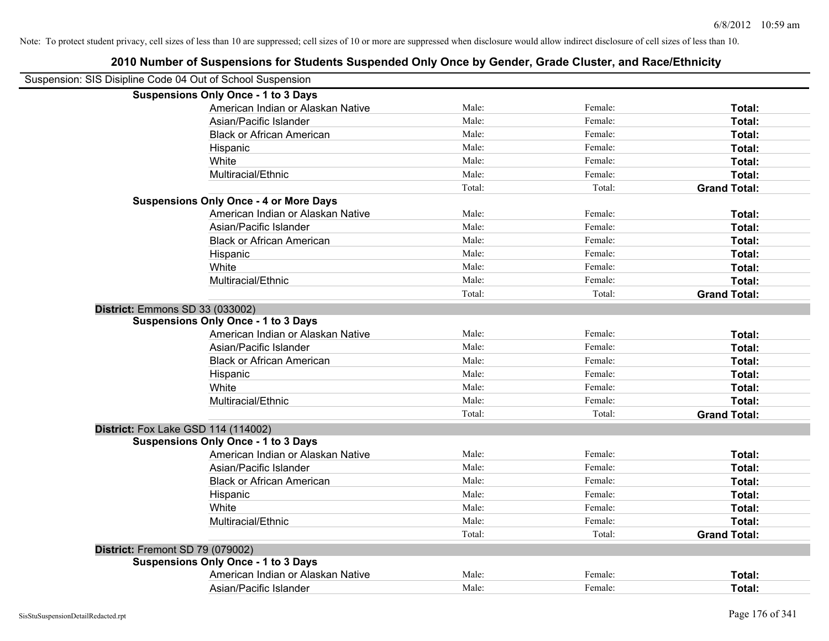| 2010 Number of Suspensions for Students Suspended Only Once by Gender, Grade Cluster, and Race/Ethnicity |        |         |                     |
|----------------------------------------------------------------------------------------------------------|--------|---------|---------------------|
| Suspension: SIS Disipline Code 04 Out of School Suspension                                               |        |         |                     |
| <b>Suspensions Only Once - 1 to 3 Days</b>                                                               |        |         |                     |
| American Indian or Alaskan Native                                                                        | Male:  | Female: | Total:              |
| Asian/Pacific Islander                                                                                   | Male:  | Female: | Total:              |
| <b>Black or African American</b>                                                                         | Male:  | Female: | Total:              |
| Hispanic                                                                                                 | Male:  | Female: | Total:              |
| White                                                                                                    | Male:  | Female: | Total:              |
| Multiracial/Ethnic                                                                                       | Male:  | Female: | Total:              |
|                                                                                                          | Total: | Total:  | <b>Grand Total:</b> |
| <b>Suspensions Only Once - 4 or More Days</b>                                                            |        |         |                     |
| American Indian or Alaskan Native                                                                        | Male:  | Female: | Total:              |
| Asian/Pacific Islander                                                                                   | Male:  | Female: | Total:              |
| <b>Black or African American</b>                                                                         | Male:  | Female: | Total:              |
| Hispanic                                                                                                 | Male:  | Female: | Total:              |
| White                                                                                                    | Male:  | Female: | Total:              |
| Multiracial/Ethnic                                                                                       | Male:  | Female: | Total:              |
|                                                                                                          | Total: | Total:  | <b>Grand Total:</b> |
| District: Emmons SD 33 (033002)                                                                          |        |         |                     |
| <b>Suspensions Only Once - 1 to 3 Days</b>                                                               |        |         |                     |
| American Indian or Alaskan Native                                                                        | Male:  | Female: | Total:              |
| Asian/Pacific Islander                                                                                   | Male:  | Female: | Total:              |
| <b>Black or African American</b>                                                                         | Male:  | Female: | Total:              |
| Hispanic                                                                                                 | Male:  | Female: | Total:              |
| White                                                                                                    | Male:  | Female: | Total:              |
| Multiracial/Ethnic                                                                                       | Male:  | Female: | Total:              |
|                                                                                                          | Total: | Total:  | <b>Grand Total:</b> |
| <b>District:</b> Fox Lake GSD 114 (114002)                                                               |        |         |                     |
| <b>Suspensions Only Once - 1 to 3 Days</b>                                                               |        |         |                     |
| American Indian or Alaskan Native                                                                        | Male:  | Female: | Total:              |
| Asian/Pacific Islander                                                                                   | Male:  | Female: | Total:              |
| <b>Black or African American</b>                                                                         | Male:  | Female: | Total:              |
| Hispanic                                                                                                 | Male:  | Female: | Total:              |
| White                                                                                                    | Male:  | Female: | Total:              |
| Multiracial/Ethnic                                                                                       | Male:  | Female: | Total:              |
|                                                                                                          | Total: | Total:  | <b>Grand Total:</b> |
| District: Fremont SD 79 (079002)                                                                         |        |         |                     |
| <b>Suspensions Only Once - 1 to 3 Days</b>                                                               |        |         |                     |
| American Indian or Alaskan Native                                                                        | Male:  | Female: | Total:              |
| Asian/Pacific Islander                                                                                   | Male:  | Female: | Total:              |
|                                                                                                          |        |         |                     |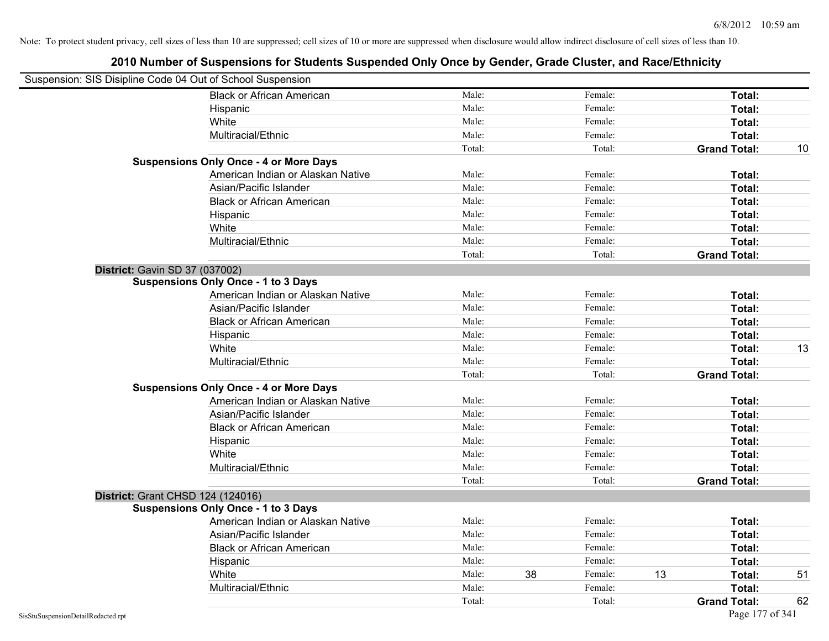| Suspension: SIS Disipline Code 04 Out of School Suspension |                                               |        |    |         |    |                     |    |
|------------------------------------------------------------|-----------------------------------------------|--------|----|---------|----|---------------------|----|
|                                                            | <b>Black or African American</b>              | Male:  |    | Female: |    | Total:              |    |
|                                                            | Hispanic                                      | Male:  |    | Female: |    | Total:              |    |
|                                                            | White                                         | Male:  |    | Female: |    | Total:              |    |
|                                                            | Multiracial/Ethnic                            | Male:  |    | Female: |    | Total:              |    |
|                                                            |                                               | Total: |    | Total:  |    | <b>Grand Total:</b> | 10 |
|                                                            | <b>Suspensions Only Once - 4 or More Days</b> |        |    |         |    |                     |    |
|                                                            | American Indian or Alaskan Native             | Male:  |    | Female: |    | Total:              |    |
|                                                            | Asian/Pacific Islander                        | Male:  |    | Female: |    | Total:              |    |
|                                                            | <b>Black or African American</b>              | Male:  |    | Female: |    | Total:              |    |
|                                                            | Hispanic                                      | Male:  |    | Female: |    | Total:              |    |
|                                                            | White                                         | Male:  |    | Female: |    | Total:              |    |
|                                                            | Multiracial/Ethnic                            | Male:  |    | Female: |    | Total:              |    |
|                                                            |                                               | Total: |    | Total:  |    | <b>Grand Total:</b> |    |
| District: Gavin SD 37 (037002)                             |                                               |        |    |         |    |                     |    |
|                                                            | <b>Suspensions Only Once - 1 to 3 Days</b>    |        |    |         |    |                     |    |
|                                                            | American Indian or Alaskan Native             | Male:  |    | Female: |    | Total:              |    |
|                                                            | Asian/Pacific Islander                        | Male:  |    | Female: |    | Total:              |    |
|                                                            | <b>Black or African American</b>              | Male:  |    | Female: |    | Total:              |    |
|                                                            | Hispanic                                      | Male:  |    | Female: |    | Total:              |    |
|                                                            | White                                         | Male:  |    | Female: |    | Total:              | 13 |
|                                                            | Multiracial/Ethnic                            | Male:  |    | Female: |    | Total:              |    |
|                                                            |                                               | Total: |    | Total:  |    | <b>Grand Total:</b> |    |
|                                                            | <b>Suspensions Only Once - 4 or More Days</b> |        |    |         |    |                     |    |
|                                                            | American Indian or Alaskan Native             | Male:  |    | Female: |    | Total:              |    |
|                                                            | Asian/Pacific Islander                        | Male:  |    | Female: |    | Total:              |    |
|                                                            | <b>Black or African American</b>              | Male:  |    | Female: |    | Total:              |    |
|                                                            | Hispanic                                      | Male:  |    | Female: |    | Total:              |    |
|                                                            | White                                         | Male:  |    | Female: |    | Total:              |    |
|                                                            | Multiracial/Ethnic                            | Male:  |    | Female: |    | Total:              |    |
|                                                            |                                               | Total: |    | Total:  |    | <b>Grand Total:</b> |    |
|                                                            | District: Grant CHSD 124 (124016)             |        |    |         |    |                     |    |
|                                                            | <b>Suspensions Only Once - 1 to 3 Days</b>    |        |    |         |    |                     |    |
|                                                            | American Indian or Alaskan Native             | Male:  |    | Female: |    | Total:              |    |
|                                                            | Asian/Pacific Islander                        | Male:  |    | Female: |    | Total:              |    |
|                                                            | <b>Black or African American</b>              | Male:  |    | Female: |    | Total:              |    |
|                                                            | Hispanic                                      | Male:  |    | Female: |    | Total:              |    |
|                                                            | White                                         | Male:  | 38 | Female: | 13 | Total:              | 51 |
|                                                            | Multiracial/Ethnic                            | Male:  |    | Female: |    | Total:              |    |
|                                                            |                                               | Total: |    | Total:  |    | <b>Grand Total:</b> | 62 |
| SisStuSuspensionDetailRedacted.rpt                         |                                               |        |    |         |    | Page 177 of 341     |    |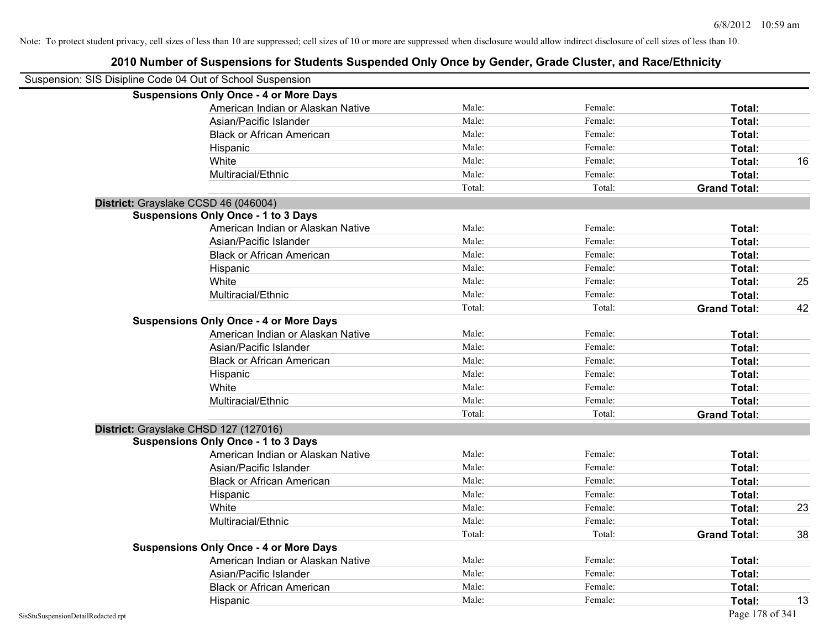| Suspension: SIS Disipline Code 04 Out of School Suspension |                                               |        |         |                     |    |
|------------------------------------------------------------|-----------------------------------------------|--------|---------|---------------------|----|
|                                                            | <b>Suspensions Only Once - 4 or More Days</b> |        |         |                     |    |
|                                                            | American Indian or Alaskan Native             | Male:  | Female: | Total:              |    |
|                                                            | Asian/Pacific Islander                        | Male:  | Female: | Total:              |    |
|                                                            | <b>Black or African American</b>              | Male:  | Female: | Total:              |    |
|                                                            | Hispanic                                      | Male:  | Female: | Total:              |    |
|                                                            | White                                         | Male:  | Female: | Total:              | 16 |
|                                                            | Multiracial/Ethnic                            | Male:  | Female: | Total:              |    |
|                                                            |                                               | Total: | Total:  | <b>Grand Total:</b> |    |
| District: Grayslake CCSD 46 (046004)                       |                                               |        |         |                     |    |
|                                                            | <b>Suspensions Only Once - 1 to 3 Days</b>    |        |         |                     |    |
|                                                            | American Indian or Alaskan Native             | Male:  | Female: | Total:              |    |
|                                                            | Asian/Pacific Islander                        | Male:  | Female: | Total:              |    |
|                                                            | <b>Black or African American</b>              | Male:  | Female: | Total:              |    |
|                                                            | Hispanic                                      | Male:  | Female: | Total:              |    |
|                                                            | White                                         | Male:  | Female: | Total:              | 25 |
|                                                            | Multiracial/Ethnic                            | Male:  | Female: | Total:              |    |
|                                                            |                                               | Total: | Total:  | <b>Grand Total:</b> | 42 |
|                                                            | <b>Suspensions Only Once - 4 or More Days</b> |        |         |                     |    |
|                                                            | American Indian or Alaskan Native             | Male:  | Female: | Total:              |    |
|                                                            | Asian/Pacific Islander                        | Male:  | Female: | Total:              |    |
|                                                            | <b>Black or African American</b>              | Male:  | Female: | Total:              |    |
|                                                            | Hispanic                                      | Male:  | Female: | Total:              |    |
|                                                            | White                                         | Male:  | Female: | Total:              |    |
|                                                            | Multiracial/Ethnic                            | Male:  | Female: | Total:              |    |
|                                                            |                                               | Total: | Total:  | <b>Grand Total:</b> |    |
| District: Grayslake CHSD 127 (127016)                      |                                               |        |         |                     |    |
|                                                            | <b>Suspensions Only Once - 1 to 3 Days</b>    |        |         |                     |    |
|                                                            | American Indian or Alaskan Native             | Male:  | Female: | Total:              |    |
|                                                            | Asian/Pacific Islander                        | Male:  | Female: | Total:              |    |
|                                                            | <b>Black or African American</b>              | Male:  | Female: | Total:              |    |
|                                                            | Hispanic                                      | Male:  | Female: | Total:              |    |
|                                                            | White                                         | Male:  | Female: | Total:              | 23 |
|                                                            | Multiracial/Ethnic                            | Male:  | Female: | Total:              |    |
|                                                            |                                               | Total: | Total:  | <b>Grand Total:</b> | 38 |
|                                                            | <b>Suspensions Only Once - 4 or More Days</b> |        |         |                     |    |
|                                                            | American Indian or Alaskan Native             | Male:  | Female: | Total:              |    |
|                                                            | Asian/Pacific Islander                        | Male:  | Female: | Total:              |    |
|                                                            | <b>Black or African American</b>              | Male:  | Female: | Total:              |    |
|                                                            | Hispanic                                      | Male:  | Female: | Total:              | 13 |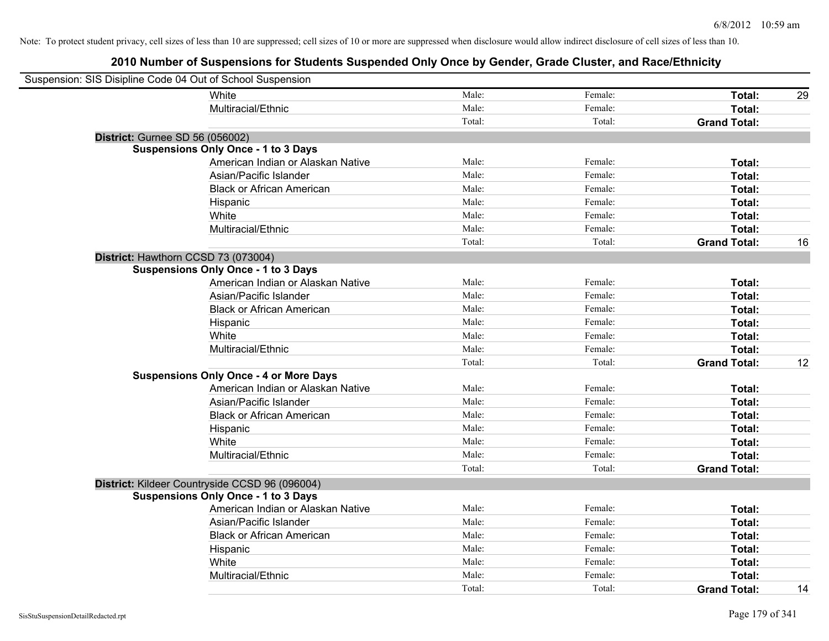| Suspension: SIS Disipline Code 04 Out of School Suspension |                                                |        |         |                     |    |
|------------------------------------------------------------|------------------------------------------------|--------|---------|---------------------|----|
|                                                            | White                                          | Male:  | Female: | Total:              | 29 |
|                                                            | Multiracial/Ethnic                             | Male:  | Female: | Total:              |    |
|                                                            |                                                | Total: | Total:  | <b>Grand Total:</b> |    |
| District: Gurnee SD 56 (056002)                            |                                                |        |         |                     |    |
|                                                            | <b>Suspensions Only Once - 1 to 3 Days</b>     |        |         |                     |    |
|                                                            | American Indian or Alaskan Native              | Male:  | Female: | Total:              |    |
|                                                            | Asian/Pacific Islander                         | Male:  | Female: | Total:              |    |
|                                                            | <b>Black or African American</b>               | Male:  | Female: | Total:              |    |
|                                                            | Hispanic                                       | Male:  | Female: | Total:              |    |
|                                                            | White                                          | Male:  | Female: | Total:              |    |
|                                                            | Multiracial/Ethnic                             | Male:  | Female: | Total:              |    |
|                                                            |                                                | Total: | Total:  | <b>Grand Total:</b> | 16 |
| District: Hawthorn CCSD 73 (073004)                        |                                                |        |         |                     |    |
|                                                            | <b>Suspensions Only Once - 1 to 3 Days</b>     |        |         |                     |    |
|                                                            | American Indian or Alaskan Native              | Male:  | Female: | Total:              |    |
|                                                            | Asian/Pacific Islander                         | Male:  | Female: | Total:              |    |
|                                                            | <b>Black or African American</b>               | Male:  | Female: | Total:              |    |
|                                                            | Hispanic                                       | Male:  | Female: | Total:              |    |
|                                                            | White                                          | Male:  | Female: | Total:              |    |
|                                                            | Multiracial/Ethnic                             | Male:  | Female: | Total:              |    |
|                                                            |                                                | Total: | Total:  | <b>Grand Total:</b> | 12 |
|                                                            | <b>Suspensions Only Once - 4 or More Days</b>  |        |         |                     |    |
|                                                            | American Indian or Alaskan Native              | Male:  | Female: | Total:              |    |
|                                                            | Asian/Pacific Islander                         | Male:  | Female: | Total:              |    |
|                                                            | <b>Black or African American</b>               | Male:  | Female: | Total:              |    |
|                                                            | Hispanic                                       | Male:  | Female: | Total:              |    |
|                                                            | White                                          | Male:  | Female: | Total:              |    |
|                                                            | Multiracial/Ethnic                             | Male:  | Female: | Total:              |    |
|                                                            |                                                | Total: | Total:  | <b>Grand Total:</b> |    |
|                                                            | District: Kildeer Countryside CCSD 96 (096004) |        |         |                     |    |
|                                                            | <b>Suspensions Only Once - 1 to 3 Days</b>     |        |         |                     |    |
|                                                            | American Indian or Alaskan Native              | Male:  | Female: | Total:              |    |
|                                                            | Asian/Pacific Islander                         | Male:  | Female: | Total:              |    |
|                                                            | <b>Black or African American</b>               | Male:  | Female: | Total:              |    |
|                                                            | Hispanic                                       | Male:  | Female: | Total:              |    |
|                                                            | White                                          | Male:  | Female: | Total:              |    |
|                                                            | Multiracial/Ethnic                             | Male:  | Female: | Total:              |    |
|                                                            |                                                | Total: | Total:  | <b>Grand Total:</b> | 14 |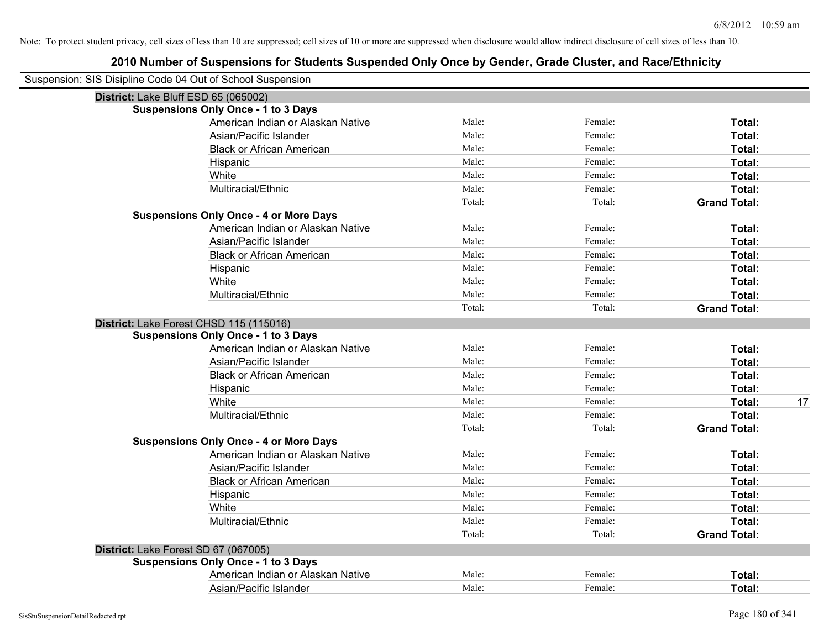| Suspension: SIS Disipline Code 04 Out of School Suspension |        |         |                     |
|------------------------------------------------------------|--------|---------|---------------------|
| District: Lake Bluff ESD 65 (065002)                       |        |         |                     |
| <b>Suspensions Only Once - 1 to 3 Days</b>                 |        |         |                     |
| American Indian or Alaskan Native                          | Male:  | Female: | Total:              |
| Asian/Pacific Islander                                     | Male:  | Female: | Total:              |
| <b>Black or African American</b>                           | Male:  | Female: | Total:              |
| Hispanic                                                   | Male:  | Female: | <b>Total:</b>       |
| White                                                      | Male:  | Female: | Total:              |
| Multiracial/Ethnic                                         | Male:  | Female: | Total:              |
|                                                            | Total: | Total:  | <b>Grand Total:</b> |
| <b>Suspensions Only Once - 4 or More Days</b>              |        |         |                     |
| American Indian or Alaskan Native                          | Male:  | Female: | Total:              |
| Asian/Pacific Islander                                     | Male:  | Female: | Total:              |
| <b>Black or African American</b>                           | Male:  | Female: | Total:              |
| Hispanic                                                   | Male:  | Female: | Total:              |
| White                                                      | Male:  | Female: | Total:              |
| Multiracial/Ethnic                                         | Male:  | Female: | Total:              |
|                                                            | Total: | Total:  | <b>Grand Total:</b> |
| District: Lake Forest CHSD 115 (115016)                    |        |         |                     |
| <b>Suspensions Only Once - 1 to 3 Days</b>                 |        |         |                     |
| American Indian or Alaskan Native                          | Male:  | Female: | Total:              |
| Asian/Pacific Islander                                     | Male:  | Female: | Total:              |
| <b>Black or African American</b>                           | Male:  | Female: | Total:              |
| Hispanic                                                   | Male:  | Female: | Total:              |
| White                                                      | Male:  | Female: | Total:<br>17        |
| Multiracial/Ethnic                                         | Male:  | Female: | Total:              |
|                                                            | Total: | Total:  | <b>Grand Total:</b> |
| <b>Suspensions Only Once - 4 or More Days</b>              |        |         |                     |
| American Indian or Alaskan Native                          | Male:  | Female: | Total:              |
| Asian/Pacific Islander                                     | Male:  | Female: | Total:              |
| <b>Black or African American</b>                           | Male:  | Female: | Total:              |
| Hispanic                                                   | Male:  | Female: | Total:              |
| White                                                      | Male:  | Female: | Total:              |
| Multiracial/Ethnic                                         | Male:  | Female: | Total:              |
|                                                            | Total: | Total:  | <b>Grand Total:</b> |
| District: Lake Forest SD 67 (067005)                       |        |         |                     |
| <b>Suspensions Only Once - 1 to 3 Days</b>                 |        |         |                     |
| American Indian or Alaskan Native                          | Male:  | Female: | Total:              |
| Asian/Pacific Islander                                     | Male:  | Female: | Total:              |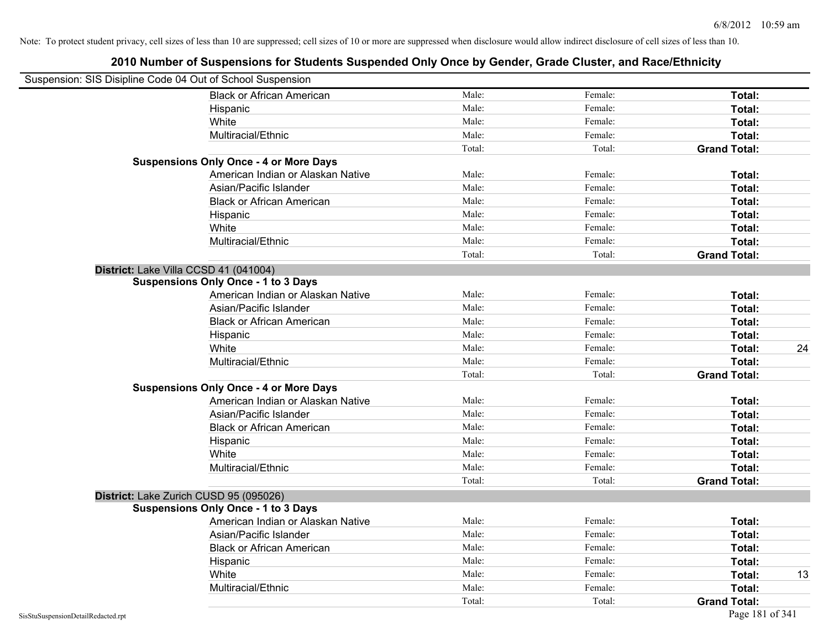| Suspension: SIS Disipline Code 04 Out of School Suspension |                                               |        |         |                     |
|------------------------------------------------------------|-----------------------------------------------|--------|---------|---------------------|
|                                                            | <b>Black or African American</b>              | Male:  | Female: | Total:              |
|                                                            | Hispanic                                      | Male:  | Female: | Total:              |
|                                                            | White                                         | Male:  | Female: | Total:              |
|                                                            | Multiracial/Ethnic                            | Male:  | Female: | Total:              |
|                                                            |                                               | Total: | Total:  | <b>Grand Total:</b> |
|                                                            | <b>Suspensions Only Once - 4 or More Days</b> |        |         |                     |
|                                                            | American Indian or Alaskan Native             | Male:  | Female: | Total:              |
|                                                            | Asian/Pacific Islander                        | Male:  | Female: | Total:              |
|                                                            | <b>Black or African American</b>              | Male:  | Female: | Total:              |
|                                                            | Hispanic                                      | Male:  | Female: | Total:              |
|                                                            | White                                         | Male:  | Female: | Total:              |
|                                                            | Multiracial/Ethnic                            | Male:  | Female: | Total:              |
|                                                            |                                               | Total: | Total:  | <b>Grand Total:</b> |
|                                                            | District: Lake Villa CCSD 41 (041004)         |        |         |                     |
|                                                            | <b>Suspensions Only Once - 1 to 3 Days</b>    |        |         |                     |
|                                                            | American Indian or Alaskan Native             | Male:  | Female: | Total:              |
|                                                            | Asian/Pacific Islander                        | Male:  | Female: | Total:              |
|                                                            | <b>Black or African American</b>              | Male:  | Female: | Total:              |
|                                                            | Hispanic                                      | Male:  | Female: | Total:              |
|                                                            | White                                         | Male:  | Female: | 24<br>Total:        |
|                                                            | Multiracial/Ethnic                            | Male:  | Female: | Total:              |
|                                                            |                                               | Total: | Total:  | <b>Grand Total:</b> |
|                                                            | <b>Suspensions Only Once - 4 or More Days</b> |        |         |                     |
|                                                            | American Indian or Alaskan Native             | Male:  | Female: | Total:              |
|                                                            | Asian/Pacific Islander                        | Male:  | Female: | Total:              |
|                                                            | <b>Black or African American</b>              | Male:  | Female: | Total:              |
|                                                            | Hispanic                                      | Male:  | Female: | Total:              |
|                                                            | White                                         | Male:  | Female: | Total:              |
|                                                            | Multiracial/Ethnic                            | Male:  | Female: | Total:              |
|                                                            |                                               | Total: | Total:  | <b>Grand Total:</b> |
|                                                            | District: Lake Zurich CUSD 95 (095026)        |        |         |                     |
|                                                            | <b>Suspensions Only Once - 1 to 3 Days</b>    |        |         |                     |
|                                                            | American Indian or Alaskan Native             | Male:  | Female: | Total:              |
|                                                            | Asian/Pacific Islander                        | Male:  | Female: | Total:              |
|                                                            | <b>Black or African American</b>              | Male:  | Female: | Total:              |
|                                                            | Hispanic                                      | Male:  | Female: | Total:              |
|                                                            | White                                         | Male:  | Female: | Total:<br>13        |
|                                                            | Multiracial/Ethnic                            | Male:  | Female: | Total:              |
|                                                            |                                               | Total: | Total:  | <b>Grand Total:</b> |
| SisStuSuspensionDetailRedacted.rpt                         |                                               |        |         | Page 181 of 341     |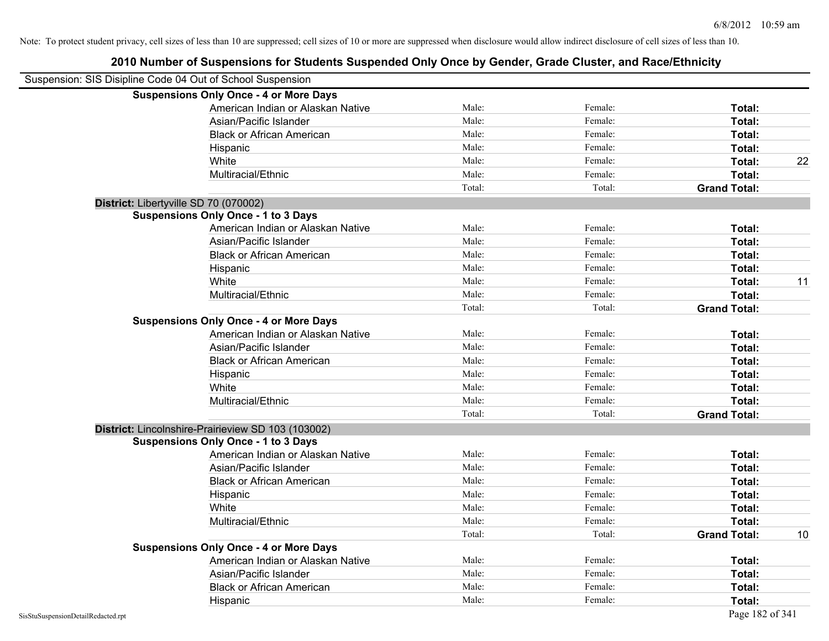| Suspension: SIS Disipline Code 04 Out of School Suspension |                                                    |        |         |                     |    |
|------------------------------------------------------------|----------------------------------------------------|--------|---------|---------------------|----|
|                                                            | <b>Suspensions Only Once - 4 or More Days</b>      |        |         |                     |    |
|                                                            | American Indian or Alaskan Native                  | Male:  | Female: | Total:              |    |
|                                                            | Asian/Pacific Islander                             | Male:  | Female: | Total:              |    |
|                                                            | <b>Black or African American</b>                   | Male:  | Female: | Total:              |    |
|                                                            | Hispanic                                           | Male:  | Female: | Total:              |    |
|                                                            | White                                              | Male:  | Female: | Total:              | 22 |
|                                                            | Multiracial/Ethnic                                 | Male:  | Female: | Total:              |    |
|                                                            |                                                    | Total: | Total:  | <b>Grand Total:</b> |    |
| District: Libertyville SD 70 (070002)                      |                                                    |        |         |                     |    |
|                                                            | <b>Suspensions Only Once - 1 to 3 Days</b>         |        |         |                     |    |
|                                                            | American Indian or Alaskan Native                  | Male:  | Female: | Total:              |    |
|                                                            | Asian/Pacific Islander                             | Male:  | Female: | Total:              |    |
|                                                            | <b>Black or African American</b>                   | Male:  | Female: | Total:              |    |
|                                                            | Hispanic                                           | Male:  | Female: | Total:              |    |
|                                                            | White                                              | Male:  | Female: | Total:              | 11 |
|                                                            | Multiracial/Ethnic                                 | Male:  | Female: | Total:              |    |
|                                                            |                                                    | Total: | Total:  | <b>Grand Total:</b> |    |
|                                                            | <b>Suspensions Only Once - 4 or More Days</b>      |        |         |                     |    |
|                                                            | American Indian or Alaskan Native                  | Male:  | Female: | Total:              |    |
|                                                            | Asian/Pacific Islander                             | Male:  | Female: | Total:              |    |
|                                                            | <b>Black or African American</b>                   | Male:  | Female: | Total:              |    |
|                                                            | Hispanic                                           | Male:  | Female: | Total:              |    |
|                                                            | White                                              | Male:  | Female: | Total:              |    |
|                                                            | Multiracial/Ethnic                                 | Male:  | Female: | Total:              |    |
|                                                            |                                                    | Total: | Total:  | <b>Grand Total:</b> |    |
|                                                            | District: Lincolnshire-Prairieview SD 103 (103002) |        |         |                     |    |
|                                                            | <b>Suspensions Only Once - 1 to 3 Days</b>         |        |         |                     |    |
|                                                            | American Indian or Alaskan Native                  | Male:  | Female: | Total:              |    |
|                                                            | Asian/Pacific Islander                             | Male:  | Female: | Total:              |    |
|                                                            | <b>Black or African American</b>                   | Male:  | Female: | Total:              |    |
|                                                            | Hispanic                                           | Male:  | Female: | Total:              |    |
|                                                            | White                                              | Male:  | Female: | Total:              |    |
|                                                            | Multiracial/Ethnic                                 | Male:  | Female: | Total:              |    |
|                                                            |                                                    | Total: | Total:  | <b>Grand Total:</b> | 10 |
|                                                            | <b>Suspensions Only Once - 4 or More Days</b>      |        |         |                     |    |
|                                                            | American Indian or Alaskan Native                  | Male:  | Female: | Total:              |    |
|                                                            | Asian/Pacific Islander                             | Male:  | Female: | Total:              |    |
|                                                            | <b>Black or African American</b>                   | Male:  | Female: | Total:              |    |
|                                                            | Hispanic                                           | Male:  | Female: | Total:              |    |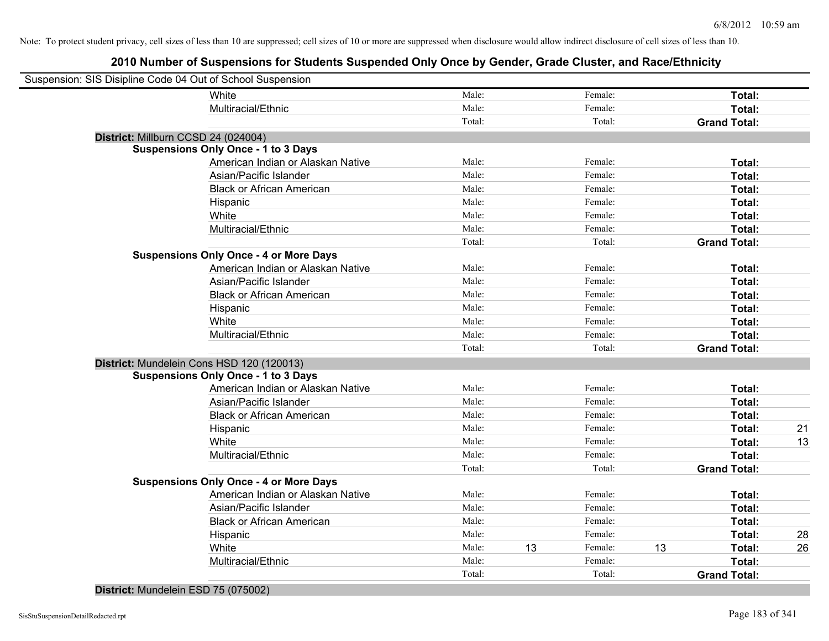# **2010 Number of Suspensions for Students Suspended Only Once by Gender, Grade Cluster, and Race/Ethnicity**

| Suspension: SIS Disipline Code 04 Out of School Suspension |                                               |        |    |         |    |                     |    |
|------------------------------------------------------------|-----------------------------------------------|--------|----|---------|----|---------------------|----|
|                                                            | White                                         | Male:  |    | Female: |    | Total:              |    |
|                                                            | Multiracial/Ethnic                            | Male:  |    | Female: |    | Total:              |    |
|                                                            |                                               | Total: |    | Total:  |    | <b>Grand Total:</b> |    |
|                                                            | District: Millburn CCSD 24 (024004)           |        |    |         |    |                     |    |
|                                                            | <b>Suspensions Only Once - 1 to 3 Days</b>    |        |    |         |    |                     |    |
|                                                            | American Indian or Alaskan Native             | Male:  |    | Female: |    | Total:              |    |
|                                                            | Asian/Pacific Islander                        | Male:  |    | Female: |    | Total:              |    |
|                                                            | <b>Black or African American</b>              | Male:  |    | Female: |    | Total:              |    |
|                                                            | Hispanic                                      | Male:  |    | Female: |    | Total:              |    |
|                                                            | White                                         | Male:  |    | Female: |    | Total:              |    |
|                                                            | Multiracial/Ethnic                            | Male:  |    | Female: |    | Total:              |    |
|                                                            |                                               | Total: |    | Total:  |    | <b>Grand Total:</b> |    |
|                                                            | <b>Suspensions Only Once - 4 or More Days</b> |        |    |         |    |                     |    |
|                                                            | American Indian or Alaskan Native             | Male:  |    | Female: |    | Total:              |    |
|                                                            | Asian/Pacific Islander                        | Male:  |    | Female: |    | Total:              |    |
|                                                            | <b>Black or African American</b>              | Male:  |    | Female: |    | Total:              |    |
|                                                            | Hispanic                                      | Male:  |    | Female: |    | Total:              |    |
|                                                            | White                                         | Male:  |    | Female: |    | Total:              |    |
|                                                            | Multiracial/Ethnic                            | Male:  |    | Female: |    | Total:              |    |
|                                                            |                                               | Total: |    | Total:  |    | <b>Grand Total:</b> |    |
|                                                            | District: Mundelein Cons HSD 120 (120013)     |        |    |         |    |                     |    |
|                                                            | <b>Suspensions Only Once - 1 to 3 Days</b>    |        |    |         |    |                     |    |
|                                                            | American Indian or Alaskan Native             | Male:  |    | Female: |    | Total:              |    |
|                                                            | Asian/Pacific Islander                        | Male:  |    | Female: |    | Total:              |    |
|                                                            | <b>Black or African American</b>              | Male:  |    | Female: |    | Total:              |    |
|                                                            | Hispanic                                      | Male:  |    | Female: |    | Total:              | 21 |
|                                                            | White                                         | Male:  |    | Female: |    | Total:              | 13 |
|                                                            | Multiracial/Ethnic                            | Male:  |    | Female: |    | Total:              |    |
|                                                            |                                               | Total: |    | Total:  |    | <b>Grand Total:</b> |    |
|                                                            | <b>Suspensions Only Once - 4 or More Days</b> |        |    |         |    |                     |    |
|                                                            | American Indian or Alaskan Native             | Male:  |    | Female: |    | Total:              |    |
|                                                            | Asian/Pacific Islander                        | Male:  |    | Female: |    | Total:              |    |
|                                                            | <b>Black or African American</b>              | Male:  |    | Female: |    | Total:              |    |
|                                                            | Hispanic                                      | Male:  |    | Female: |    | Total:              | 28 |
|                                                            | White                                         | Male:  | 13 | Female: | 13 | Total:              | 26 |
|                                                            | Multiracial/Ethnic                            | Male:  |    | Female: |    | Total:              |    |
|                                                            |                                               | Total: |    | Total:  |    | <b>Grand Total:</b> |    |
|                                                            |                                               |        |    |         |    |                     |    |

#### **District:** Mundelein ESD 75 (075002)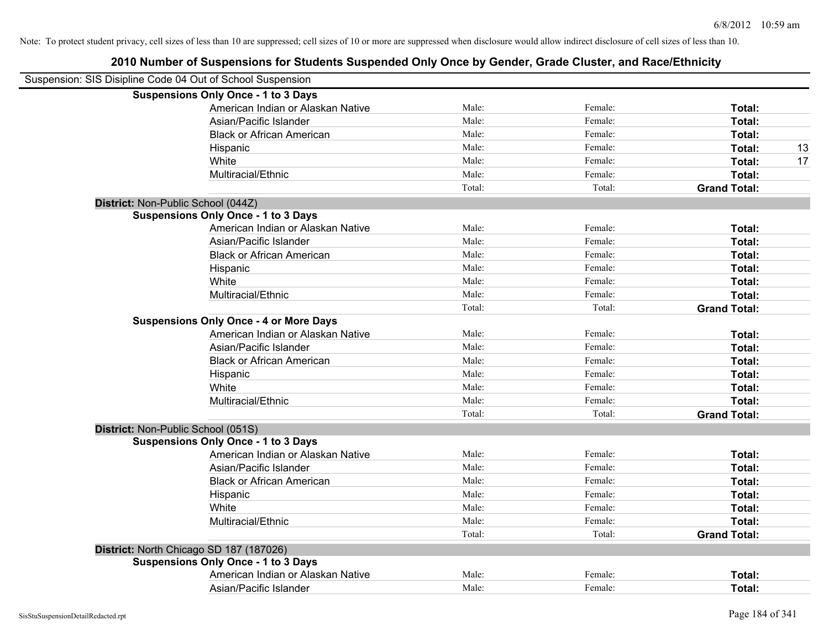| Suspension: SIS Disipline Code 04 Out of School Suspension |                                               |        |         |                     |    |
|------------------------------------------------------------|-----------------------------------------------|--------|---------|---------------------|----|
|                                                            | <b>Suspensions Only Once - 1 to 3 Days</b>    |        |         |                     |    |
|                                                            | American Indian or Alaskan Native             | Male:  | Female: | Total:              |    |
|                                                            | Asian/Pacific Islander                        | Male:  | Female: | Total:              |    |
|                                                            | <b>Black or African American</b>              | Male:  | Female: | Total:              |    |
|                                                            | Hispanic                                      | Male:  | Female: | Total:              | 13 |
|                                                            | White                                         | Male:  | Female: | Total:              | 17 |
|                                                            | Multiracial/Ethnic                            | Male:  | Female: | Total:              |    |
|                                                            |                                               | Total: | Total:  | <b>Grand Total:</b> |    |
| District: Non-Public School (044Z)                         |                                               |        |         |                     |    |
|                                                            | <b>Suspensions Only Once - 1 to 3 Days</b>    |        |         |                     |    |
|                                                            | American Indian or Alaskan Native             | Male:  | Female: | Total:              |    |
|                                                            | Asian/Pacific Islander                        | Male:  | Female: | Total:              |    |
|                                                            | <b>Black or African American</b>              | Male:  | Female: | Total:              |    |
|                                                            | Hispanic                                      | Male:  | Female: | Total:              |    |
|                                                            | White                                         | Male:  | Female: | Total:              |    |
|                                                            | Multiracial/Ethnic                            | Male:  | Female: | Total:              |    |
|                                                            |                                               | Total: | Total:  | <b>Grand Total:</b> |    |
|                                                            | <b>Suspensions Only Once - 4 or More Days</b> |        |         |                     |    |
|                                                            | American Indian or Alaskan Native             | Male:  | Female: | Total:              |    |
|                                                            | Asian/Pacific Islander                        | Male:  | Female: | Total:              |    |
|                                                            | <b>Black or African American</b>              | Male:  | Female: | Total:              |    |
|                                                            | Hispanic                                      | Male:  | Female: | Total:              |    |
|                                                            | White                                         | Male:  | Female: | Total:              |    |
|                                                            | Multiracial/Ethnic                            | Male:  | Female: | Total:              |    |
|                                                            |                                               | Total: | Total:  | <b>Grand Total:</b> |    |
| District: Non-Public School (051S)                         |                                               |        |         |                     |    |
|                                                            | <b>Suspensions Only Once - 1 to 3 Days</b>    |        |         |                     |    |
|                                                            | American Indian or Alaskan Native             | Male:  | Female: | Total:              |    |
|                                                            | Asian/Pacific Islander                        | Male:  | Female: | Total:              |    |
|                                                            | <b>Black or African American</b>              | Male:  | Female: | Total:              |    |
|                                                            | Hispanic                                      | Male:  | Female: | Total:              |    |
|                                                            | White                                         | Male:  | Female: | Total:              |    |
|                                                            | Multiracial/Ethnic                            | Male:  | Female: | Total:              |    |
|                                                            |                                               | Total: | Total:  | <b>Grand Total:</b> |    |
|                                                            | District: North Chicago SD 187 (187026)       |        |         |                     |    |
|                                                            | <b>Suspensions Only Once - 1 to 3 Days</b>    |        |         |                     |    |
|                                                            | American Indian or Alaskan Native             | Male:  | Female: | Total:              |    |
|                                                            | Asian/Pacific Islander                        | Male:  | Female: | Total:              |    |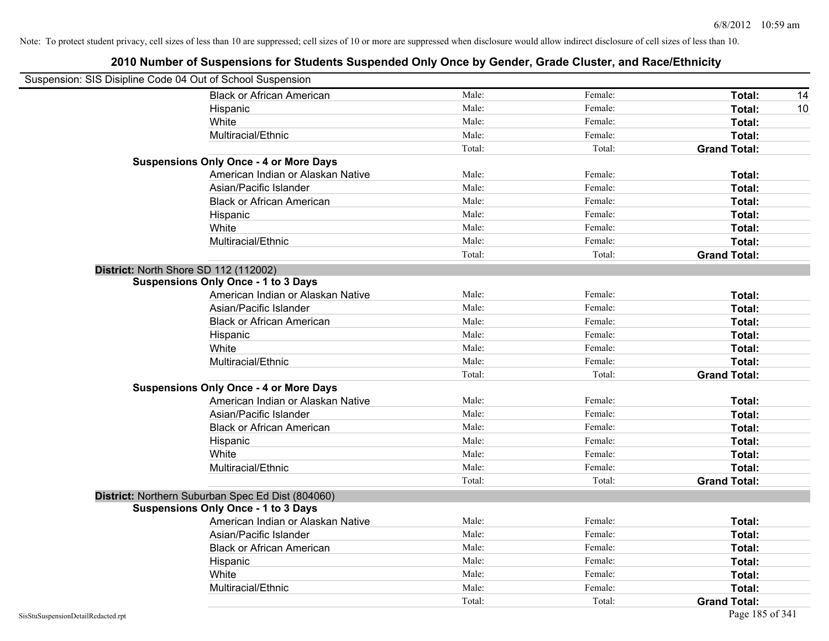| Suspension: SIS Disipline Code 04 Out of School Suspension |                                                   |        |         |                     |
|------------------------------------------------------------|---------------------------------------------------|--------|---------|---------------------|
|                                                            | <b>Black or African American</b>                  | Male:  | Female: | Total:<br>14        |
|                                                            | Hispanic                                          | Male:  | Female: | Total:<br>10        |
|                                                            | White                                             | Male:  | Female: | <b>Total:</b>       |
|                                                            | Multiracial/Ethnic                                | Male:  | Female: | Total:              |
|                                                            |                                                   | Total: | Total:  | <b>Grand Total:</b> |
|                                                            | <b>Suspensions Only Once - 4 or More Days</b>     |        |         |                     |
|                                                            | American Indian or Alaskan Native                 | Male:  | Female: | Total:              |
|                                                            | Asian/Pacific Islander                            | Male:  | Female: | Total:              |
|                                                            | <b>Black or African American</b>                  | Male:  | Female: | Total:              |
|                                                            | Hispanic                                          | Male:  | Female: | Total:              |
|                                                            | White                                             | Male:  | Female: | Total:              |
|                                                            | Multiracial/Ethnic                                | Male:  | Female: | Total:              |
|                                                            |                                                   | Total: | Total:  | <b>Grand Total:</b> |
| District: North Shore SD 112 (112002)                      |                                                   |        |         |                     |
|                                                            | <b>Suspensions Only Once - 1 to 3 Days</b>        |        |         |                     |
|                                                            | American Indian or Alaskan Native                 | Male:  | Female: | Total:              |
|                                                            | Asian/Pacific Islander                            | Male:  | Female: | Total:              |
|                                                            | <b>Black or African American</b>                  | Male:  | Female: | Total:              |
|                                                            | Hispanic                                          | Male:  | Female: | Total:              |
|                                                            | White                                             | Male:  | Female: | Total:              |
|                                                            | Multiracial/Ethnic                                | Male:  | Female: | Total:              |
|                                                            |                                                   | Total: | Total:  | <b>Grand Total:</b> |
|                                                            | <b>Suspensions Only Once - 4 or More Days</b>     |        |         |                     |
|                                                            | American Indian or Alaskan Native                 | Male:  | Female: | Total:              |
|                                                            | Asian/Pacific Islander                            | Male:  | Female: | Total:              |
|                                                            | <b>Black or African American</b>                  | Male:  | Female: | Total:              |
|                                                            | Hispanic                                          | Male:  | Female: | Total:              |
|                                                            | White                                             | Male:  | Female: | Total:              |
|                                                            | Multiracial/Ethnic                                | Male:  | Female: | Total:              |
|                                                            |                                                   | Total: | Total:  | <b>Grand Total:</b> |
|                                                            | District: Northern Suburban Spec Ed Dist (804060) |        |         |                     |
|                                                            | <b>Suspensions Only Once - 1 to 3 Days</b>        |        |         |                     |
|                                                            | American Indian or Alaskan Native                 | Male:  | Female: | Total:              |
|                                                            | Asian/Pacific Islander                            | Male:  | Female: | Total:              |
|                                                            | <b>Black or African American</b>                  | Male:  | Female: | Total:              |
|                                                            | Hispanic                                          | Male:  | Female: | Total:              |
|                                                            | White                                             | Male:  | Female: | Total:              |
|                                                            | Multiracial/Ethnic                                | Male:  | Female: | Total:              |
|                                                            |                                                   | Total: | Total:  | <b>Grand Total:</b> |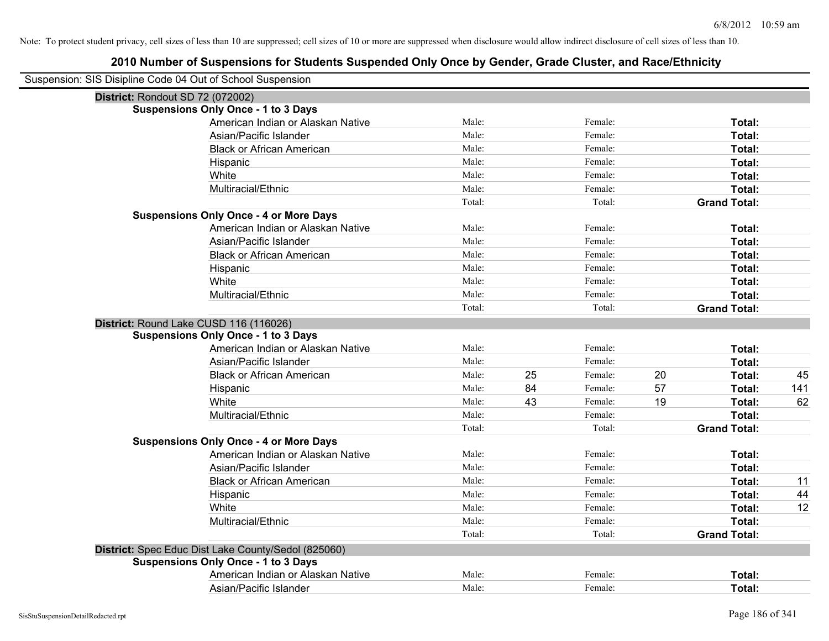| Suspension: SIS Disipline Code 04 Out of School Suspension |        |    |         |    |                     |     |
|------------------------------------------------------------|--------|----|---------|----|---------------------|-----|
| District: Rondout SD 72 (072002)                           |        |    |         |    |                     |     |
| <b>Suspensions Only Once - 1 to 3 Days</b>                 |        |    |         |    |                     |     |
| American Indian or Alaskan Native                          | Male:  |    | Female: |    | Total:              |     |
| Asian/Pacific Islander                                     | Male:  |    | Female: |    | Total:              |     |
| <b>Black or African American</b>                           | Male:  |    | Female: |    | Total:              |     |
| Hispanic                                                   | Male:  |    | Female: |    | Total:              |     |
| White                                                      | Male:  |    | Female: |    | Total:              |     |
| Multiracial/Ethnic                                         | Male:  |    | Female: |    | Total:              |     |
|                                                            | Total: |    | Total:  |    | <b>Grand Total:</b> |     |
| <b>Suspensions Only Once - 4 or More Days</b>              |        |    |         |    |                     |     |
| American Indian or Alaskan Native                          | Male:  |    | Female: |    | Total:              |     |
| Asian/Pacific Islander                                     | Male:  |    | Female: |    | Total:              |     |
| <b>Black or African American</b>                           | Male:  |    | Female: |    | Total:              |     |
| Hispanic                                                   | Male:  |    | Female: |    | Total:              |     |
| White                                                      | Male:  |    | Female: |    | Total:              |     |
| Multiracial/Ethnic                                         | Male:  |    | Female: |    | Total:              |     |
|                                                            | Total: |    | Total:  |    | <b>Grand Total:</b> |     |
| District: Round Lake CUSD 116 (116026)                     |        |    |         |    |                     |     |
| <b>Suspensions Only Once - 1 to 3 Days</b>                 |        |    |         |    |                     |     |
| American Indian or Alaskan Native                          | Male:  |    | Female: |    | Total:              |     |
| Asian/Pacific Islander                                     | Male:  |    | Female: |    | Total:              |     |
| <b>Black or African American</b>                           | Male:  | 25 | Female: | 20 | Total:              | 45  |
| Hispanic                                                   | Male:  | 84 | Female: | 57 | Total:              | 141 |
| White                                                      | Male:  | 43 | Female: | 19 | Total:              | 62  |
| Multiracial/Ethnic                                         | Male:  |    | Female: |    | Total:              |     |
|                                                            | Total: |    | Total:  |    | <b>Grand Total:</b> |     |
| <b>Suspensions Only Once - 4 or More Days</b>              |        |    |         |    |                     |     |
| American Indian or Alaskan Native                          | Male:  |    | Female: |    | Total:              |     |
| Asian/Pacific Islander                                     | Male:  |    | Female: |    | Total:              |     |
| <b>Black or African American</b>                           | Male:  |    | Female: |    | Total:              | 11  |
| Hispanic                                                   | Male:  |    | Female: |    | Total:              | 44  |
| White                                                      | Male:  |    | Female: |    | Total:              | 12  |
| Multiracial/Ethnic                                         | Male:  |    | Female: |    | Total:              |     |
|                                                            | Total: |    | Total:  |    | <b>Grand Total:</b> |     |
| District: Spec Educ Dist Lake County/Sedol (825060)        |        |    |         |    |                     |     |
| <b>Suspensions Only Once - 1 to 3 Days</b>                 |        |    |         |    |                     |     |
| American Indian or Alaskan Native                          | Male:  |    | Female: |    | Total:              |     |
| Asian/Pacific Islander                                     | Male:  |    | Female: |    | Total:              |     |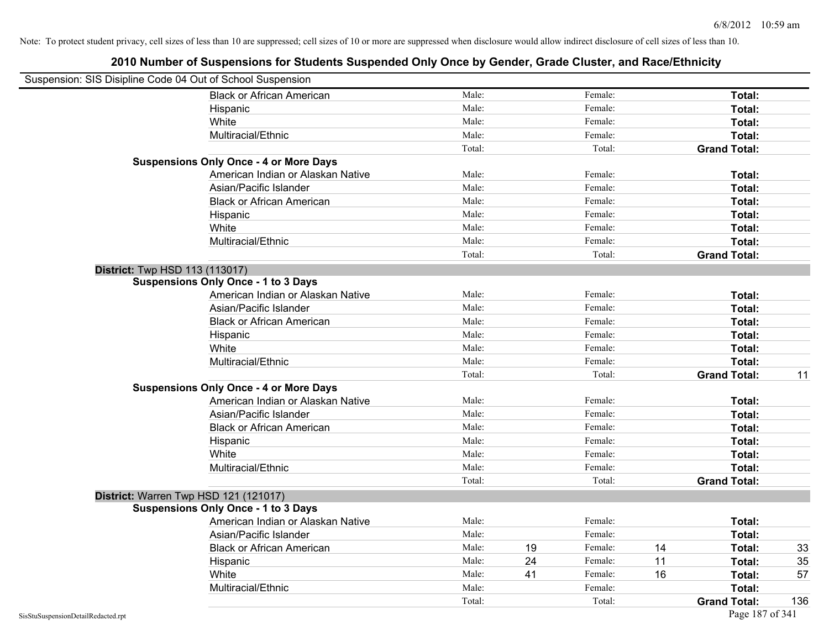| Suspension: SIS Disipline Code 04 Out of School Suspension |                                               |        |    |         |    |                     |     |
|------------------------------------------------------------|-----------------------------------------------|--------|----|---------|----|---------------------|-----|
|                                                            | <b>Black or African American</b>              | Male:  |    | Female: |    | Total:              |     |
|                                                            | Hispanic                                      | Male:  |    | Female: |    | Total:              |     |
|                                                            | White                                         | Male:  |    | Female: |    | Total:              |     |
|                                                            | Multiracial/Ethnic                            | Male:  |    | Female: |    | Total:              |     |
|                                                            |                                               | Total: |    | Total:  |    | <b>Grand Total:</b> |     |
|                                                            | <b>Suspensions Only Once - 4 or More Days</b> |        |    |         |    |                     |     |
|                                                            | American Indian or Alaskan Native             | Male:  |    | Female: |    | Total:              |     |
|                                                            | Asian/Pacific Islander                        | Male:  |    | Female: |    | Total:              |     |
|                                                            | <b>Black or African American</b>              | Male:  |    | Female: |    | Total:              |     |
|                                                            | Hispanic                                      | Male:  |    | Female: |    | Total:              |     |
|                                                            | White                                         | Male:  |    | Female: |    | Total:              |     |
|                                                            | Multiracial/Ethnic                            | Male:  |    | Female: |    | Total:              |     |
|                                                            |                                               | Total: |    | Total:  |    | <b>Grand Total:</b> |     |
|                                                            | <b>District:</b> Twp HSD 113 (113017)         |        |    |         |    |                     |     |
|                                                            | <b>Suspensions Only Once - 1 to 3 Days</b>    |        |    |         |    |                     |     |
|                                                            | American Indian or Alaskan Native             | Male:  |    | Female: |    | Total:              |     |
|                                                            | Asian/Pacific Islander                        | Male:  |    | Female: |    | Total:              |     |
|                                                            | <b>Black or African American</b>              | Male:  |    | Female: |    | Total:              |     |
|                                                            | Hispanic                                      | Male:  |    | Female: |    | Total:              |     |
|                                                            | White                                         | Male:  |    | Female: |    | Total:              |     |
|                                                            | Multiracial/Ethnic                            | Male:  |    | Female: |    | Total:              |     |
|                                                            |                                               | Total: |    | Total:  |    | <b>Grand Total:</b> | 11  |
|                                                            | <b>Suspensions Only Once - 4 or More Days</b> |        |    |         |    |                     |     |
|                                                            | American Indian or Alaskan Native             | Male:  |    | Female: |    | Total:              |     |
|                                                            | Asian/Pacific Islander                        | Male:  |    | Female: |    | Total:              |     |
|                                                            | <b>Black or African American</b>              | Male:  |    | Female: |    | Total:              |     |
|                                                            | Hispanic                                      | Male:  |    | Female: |    | Total:              |     |
|                                                            | White                                         | Male:  |    | Female: |    | Total:              |     |
|                                                            | Multiracial/Ethnic                            | Male:  |    | Female: |    | Total:              |     |
|                                                            |                                               | Total: |    | Total:  |    | <b>Grand Total:</b> |     |
|                                                            | District: Warren Twp HSD 121 (121017)         |        |    |         |    |                     |     |
|                                                            | <b>Suspensions Only Once - 1 to 3 Days</b>    |        |    |         |    |                     |     |
|                                                            | American Indian or Alaskan Native             | Male:  |    | Female: |    | Total:              |     |
|                                                            | Asian/Pacific Islander                        | Male:  |    | Female: |    | Total:              |     |
|                                                            | <b>Black or African American</b>              | Male:  | 19 | Female: | 14 | Total:              | 33  |
|                                                            | Hispanic                                      | Male:  | 24 | Female: | 11 | Total:              | 35  |
|                                                            | White                                         | Male:  | 41 | Female: | 16 | Total:              | 57  |
|                                                            | Multiracial/Ethnic                            | Male:  |    | Female: |    | Total:              |     |
|                                                            |                                               | Total: |    | Total:  |    | <b>Grand Total:</b> | 136 |
| SisStuSuspensionDetailRedacted.rpt                         |                                               |        |    |         |    | Page 187 of 341     |     |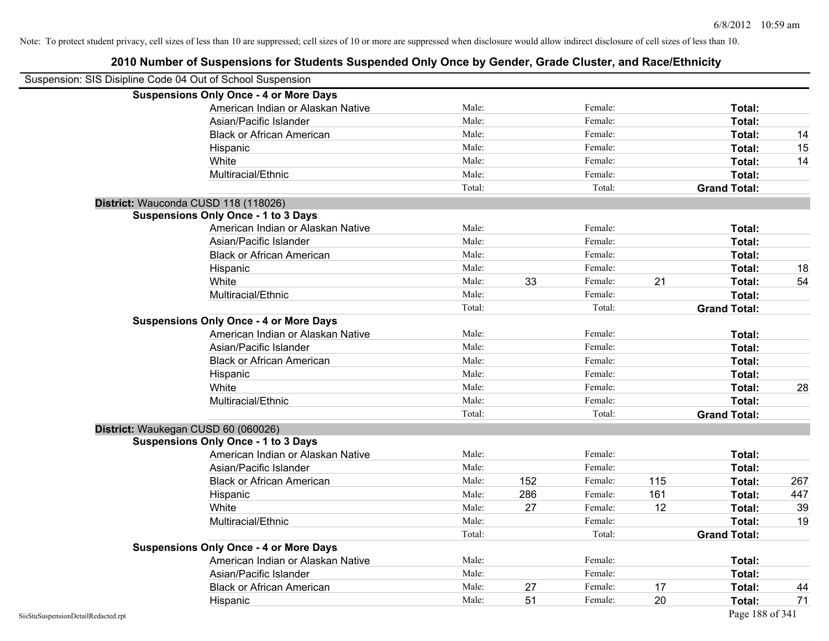| Suspension: SIS Disipline Code 04 Out of School Suspension |                                               |        |     |         |     |                     |     |
|------------------------------------------------------------|-----------------------------------------------|--------|-----|---------|-----|---------------------|-----|
|                                                            | <b>Suspensions Only Once - 4 or More Days</b> |        |     |         |     |                     |     |
|                                                            | American Indian or Alaskan Native             | Male:  |     | Female: |     | Total:              |     |
|                                                            | Asian/Pacific Islander                        | Male:  |     | Female: |     | Total:              |     |
|                                                            | <b>Black or African American</b>              | Male:  |     | Female: |     | Total:              | 14  |
|                                                            | Hispanic                                      | Male:  |     | Female: |     | Total:              | 15  |
|                                                            | White                                         | Male:  |     | Female: |     | Total:              | 14  |
|                                                            | Multiracial/Ethnic                            | Male:  |     | Female: |     | Total:              |     |
|                                                            |                                               | Total: |     | Total:  |     | <b>Grand Total:</b> |     |
| District: Wauconda CUSD 118 (118026)                       |                                               |        |     |         |     |                     |     |
|                                                            | <b>Suspensions Only Once - 1 to 3 Days</b>    |        |     |         |     |                     |     |
|                                                            | American Indian or Alaskan Native             | Male:  |     | Female: |     | Total:              |     |
|                                                            | Asian/Pacific Islander                        | Male:  |     | Female: |     | Total:              |     |
|                                                            | <b>Black or African American</b>              | Male:  |     | Female: |     | Total:              |     |
|                                                            | Hispanic                                      | Male:  |     | Female: |     | Total:              | 18  |
|                                                            | White                                         | Male:  | 33  | Female: | 21  | Total:              | 54  |
|                                                            | Multiracial/Ethnic                            | Male:  |     | Female: |     | Total:              |     |
|                                                            |                                               | Total: |     | Total:  |     | <b>Grand Total:</b> |     |
|                                                            | <b>Suspensions Only Once - 4 or More Days</b> |        |     |         |     |                     |     |
|                                                            | American Indian or Alaskan Native             | Male:  |     | Female: |     | Total:              |     |
|                                                            | Asian/Pacific Islander                        | Male:  |     | Female: |     | Total:              |     |
|                                                            | <b>Black or African American</b>              | Male:  |     | Female: |     | Total:              |     |
|                                                            | Hispanic                                      | Male:  |     | Female: |     | Total:              |     |
|                                                            | White                                         | Male:  |     | Female: |     | Total:              | 28  |
|                                                            | Multiracial/Ethnic                            | Male:  |     | Female: |     | Total:              |     |
|                                                            |                                               | Total: |     | Total:  |     | <b>Grand Total:</b> |     |
| District: Waukegan CUSD 60 (060026)                        |                                               |        |     |         |     |                     |     |
|                                                            | <b>Suspensions Only Once - 1 to 3 Days</b>    |        |     |         |     |                     |     |
|                                                            | American Indian or Alaskan Native             | Male:  |     | Female: |     | Total:              |     |
|                                                            | Asian/Pacific Islander                        | Male:  |     | Female: |     | Total:              |     |
|                                                            | <b>Black or African American</b>              | Male:  | 152 | Female: | 115 | Total:              | 267 |
|                                                            | Hispanic                                      | Male:  | 286 | Female: | 161 | Total:              | 447 |
|                                                            | White                                         | Male:  | 27  | Female: | 12  | Total:              | 39  |
|                                                            | Multiracial/Ethnic                            | Male:  |     | Female: |     | Total:              | 19  |
|                                                            |                                               | Total: |     | Total:  |     | <b>Grand Total:</b> |     |
|                                                            | <b>Suspensions Only Once - 4 or More Days</b> |        |     |         |     |                     |     |
|                                                            | American Indian or Alaskan Native             | Male:  |     | Female: |     | Total:              |     |
|                                                            | Asian/Pacific Islander                        | Male:  |     | Female: |     | Total:              |     |
|                                                            | <b>Black or African American</b>              | Male:  | 27  | Female: | 17  | Total:              | 44  |
|                                                            | Hispanic                                      | Male:  | 51  | Female: | 20  | Total:              | 71  |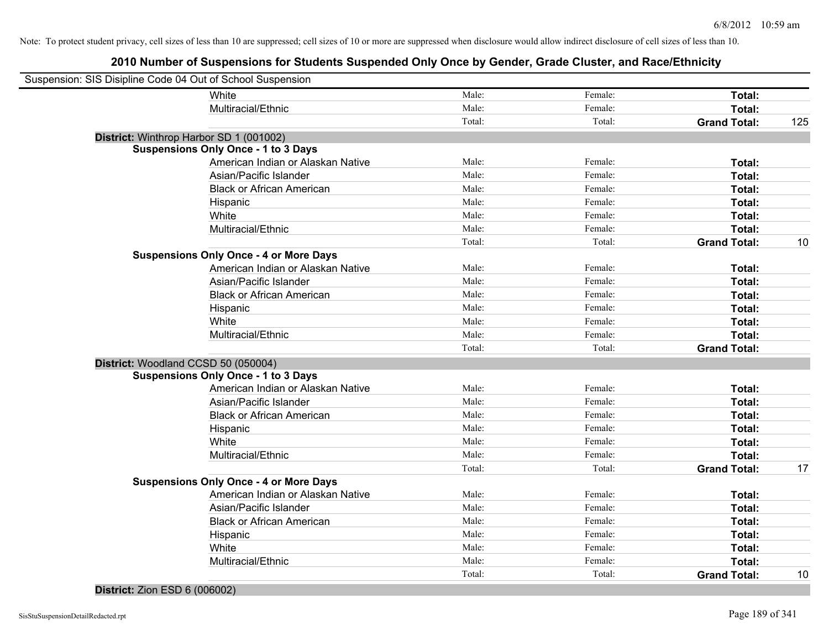# **2010 Number of Suspensions for Students Suspended Only Once by Gender, Grade Cluster, and Race/Ethnicity**

| Suspension: SIS Disipline Code 04 Out of School Suspension |        |         |                     |     |
|------------------------------------------------------------|--------|---------|---------------------|-----|
| White                                                      | Male:  | Female: | Total:              |     |
| Multiracial/Ethnic                                         | Male:  | Female: | Total:              |     |
|                                                            | Total: | Total:  | <b>Grand Total:</b> | 125 |
| District: Winthrop Harbor SD 1 (001002)                    |        |         |                     |     |
| <b>Suspensions Only Once - 1 to 3 Days</b>                 |        |         |                     |     |
| American Indian or Alaskan Native                          | Male:  | Female: | Total:              |     |
| Asian/Pacific Islander                                     | Male:  | Female: | Total:              |     |
| <b>Black or African American</b>                           | Male:  | Female: | Total:              |     |
| Hispanic                                                   | Male:  | Female: | Total:              |     |
| White                                                      | Male:  | Female: | Total:              |     |
| Multiracial/Ethnic                                         | Male:  | Female: | Total:              |     |
|                                                            | Total: | Total:  | <b>Grand Total:</b> | 10  |
| <b>Suspensions Only Once - 4 or More Days</b>              |        |         |                     |     |
| American Indian or Alaskan Native                          | Male:  | Female: | Total:              |     |
| Asian/Pacific Islander                                     | Male:  | Female: | Total:              |     |
| <b>Black or African American</b>                           | Male:  | Female: | Total:              |     |
| Hispanic                                                   | Male:  | Female: | Total:              |     |
| White                                                      | Male:  | Female: | Total:              |     |
| Multiracial/Ethnic                                         | Male:  | Female: | Total:              |     |
|                                                            | Total: | Total:  | <b>Grand Total:</b> |     |
| District: Woodland CCSD 50 (050004)                        |        |         |                     |     |
| <b>Suspensions Only Once - 1 to 3 Days</b>                 |        |         |                     |     |
| American Indian or Alaskan Native                          | Male:  | Female: | Total:              |     |
| Asian/Pacific Islander                                     | Male:  | Female: | Total:              |     |
| <b>Black or African American</b>                           | Male:  | Female: | Total:              |     |
| Hispanic                                                   | Male:  | Female: | Total:              |     |
| White                                                      | Male:  | Female: | Total:              |     |
| Multiracial/Ethnic                                         | Male:  | Female: | Total:              |     |
|                                                            | Total: | Total:  | <b>Grand Total:</b> | 17  |
| <b>Suspensions Only Once - 4 or More Days</b>              |        |         |                     |     |
| American Indian or Alaskan Native                          | Male:  | Female: | Total:              |     |
| Asian/Pacific Islander                                     | Male:  | Female: | Total:              |     |
| <b>Black or African American</b>                           | Male:  | Female: | Total:              |     |
| Hispanic                                                   | Male:  | Female: | Total:              |     |
| White                                                      | Male:  | Female: | Total:              |     |
| Multiracial/Ethnic                                         | Male:  | Female: | Total:              |     |
|                                                            | Total: | Total:  | <b>Grand Total:</b> | 10  |
|                                                            |        |         |                     |     |

### **District:** Zion ESD 6 (006002)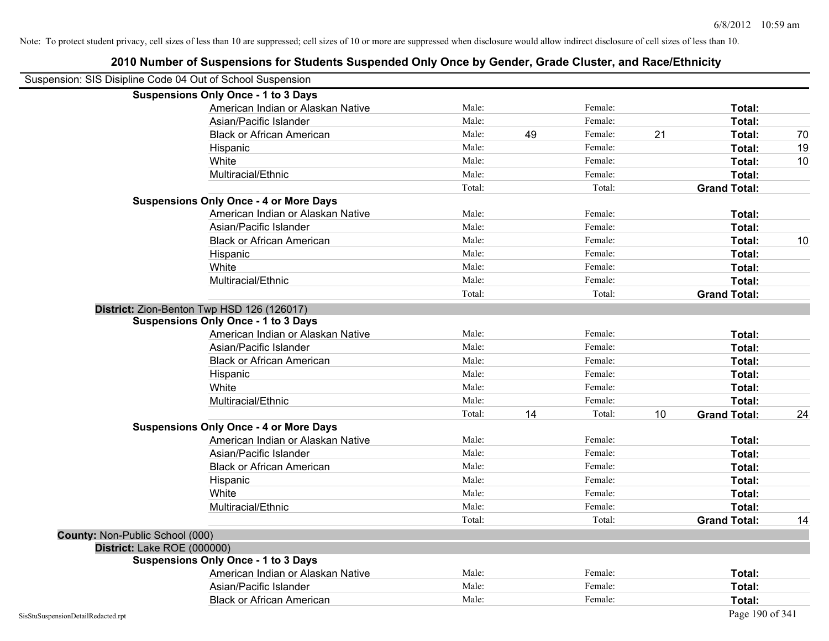| Suspension: SIS Disipline Code 04 Out of School Suspension |                                                             |        |    |                    |    |                     |    |
|------------------------------------------------------------|-------------------------------------------------------------|--------|----|--------------------|----|---------------------|----|
|                                                            | <b>Suspensions Only Once - 1 to 3 Days</b>                  |        |    |                    |    |                     |    |
|                                                            | American Indian or Alaskan Native                           | Male:  |    | Female:            |    | Total:              |    |
|                                                            | Asian/Pacific Islander                                      | Male:  |    | Female:            |    | Total:              |    |
|                                                            | <b>Black or African American</b>                            | Male:  | 49 | Female:            | 21 | Total:              | 70 |
|                                                            | Hispanic                                                    | Male:  |    | Female:            |    | Total:              | 19 |
|                                                            | White                                                       | Male:  |    | Female:            |    | Total:              | 10 |
|                                                            | Multiracial/Ethnic                                          | Male:  |    | Female:            |    | Total:              |    |
|                                                            |                                                             | Total: |    | Total:             |    | <b>Grand Total:</b> |    |
|                                                            | <b>Suspensions Only Once - 4 or More Days</b>               |        |    |                    |    |                     |    |
|                                                            | American Indian or Alaskan Native                           | Male:  |    | Female:            |    | Total:              |    |
|                                                            | Asian/Pacific Islander                                      | Male:  |    | Female:            |    | Total:              |    |
|                                                            | <b>Black or African American</b>                            | Male:  |    | Female:            |    | Total:              | 10 |
|                                                            | Hispanic                                                    | Male:  |    | Female:            |    | Total:              |    |
|                                                            | White                                                       | Male:  |    | Female:            |    | Total:              |    |
|                                                            | Multiracial/Ethnic                                          | Male:  |    | Female:            |    | <b>Total:</b>       |    |
|                                                            |                                                             | Total: |    | Total:             |    | <b>Grand Total:</b> |    |
|                                                            | District: Zion-Benton Twp HSD 126 (126017)                  |        |    |                    |    |                     |    |
|                                                            | <b>Suspensions Only Once - 1 to 3 Days</b>                  |        |    |                    |    |                     |    |
|                                                            | American Indian or Alaskan Native                           | Male:  |    | Female:            |    | Total:              |    |
|                                                            | Asian/Pacific Islander                                      | Male:  |    | Female:            |    | Total:              |    |
|                                                            | <b>Black or African American</b>                            | Male:  |    | Female:            |    | Total:              |    |
|                                                            | Hispanic                                                    | Male:  |    | Female:            |    | <b>Total:</b>       |    |
|                                                            | White                                                       | Male:  |    | Female:            |    | Total:              |    |
|                                                            | Multiracial/Ethnic                                          | Male:  |    | Female:            |    | <b>Total:</b>       |    |
|                                                            |                                                             | Total: | 14 | Total:             | 10 | <b>Grand Total:</b> | 24 |
|                                                            | <b>Suspensions Only Once - 4 or More Days</b>               |        |    |                    |    |                     |    |
|                                                            | American Indian or Alaskan Native                           | Male:  |    | Female:            |    | Total:              |    |
|                                                            | Asian/Pacific Islander                                      | Male:  |    | Female:            |    | Total:              |    |
|                                                            | <b>Black or African American</b>                            | Male:  |    | Female:            |    | Total:              |    |
|                                                            | Hispanic                                                    | Male:  |    | Female:            |    | Total:              |    |
|                                                            | White                                                       | Male:  |    | Female:            |    | Total:              |    |
|                                                            | Multiracial/Ethnic                                          | Male:  |    | Female:            |    | Total:              |    |
|                                                            |                                                             | Total: |    | Total:             |    | <b>Grand Total:</b> | 14 |
| <b>County: Non-Public School (000)</b>                     |                                                             |        |    |                    |    |                     |    |
| District: Lake ROE (000000)                                |                                                             |        |    |                    |    |                     |    |
|                                                            | <b>Suspensions Only Once - 1 to 3 Days</b>                  |        |    |                    |    |                     |    |
|                                                            | American Indian or Alaskan Native<br>Asian/Pacific Islander | Male:  |    | Female:            |    | Total:              |    |
|                                                            |                                                             | Male:  |    | Female:<br>Female: |    | Total:              |    |
|                                                            | <b>Black or African American</b>                            | Male:  |    |                    |    | Total:              |    |
| SisStuSuspensionDetailRedacted.rpt                         |                                                             |        |    |                    |    | Page 190 of 341     |    |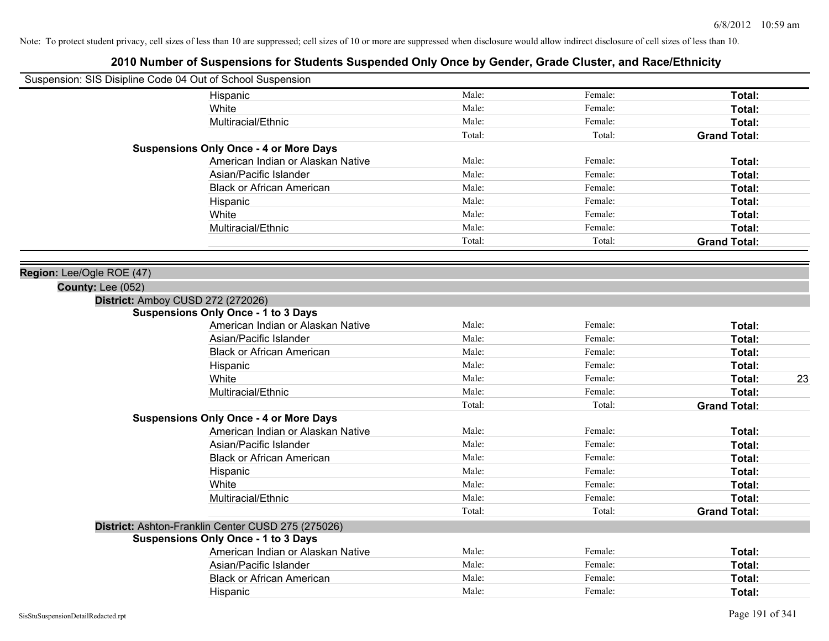|                           | Suspension: SIS Disipline Code 04 Out of School Suspension |        |         |                     |
|---------------------------|------------------------------------------------------------|--------|---------|---------------------|
|                           | Hispanic                                                   | Male:  | Female: | Total:              |
|                           | White                                                      | Male:  | Female: | Total:              |
|                           | Multiracial/Ethnic                                         | Male:  | Female: | Total:              |
|                           |                                                            | Total: | Total:  | <b>Grand Total:</b> |
|                           | <b>Suspensions Only Once - 4 or More Days</b>              |        |         |                     |
|                           | American Indian or Alaskan Native                          | Male:  | Female: | Total:              |
|                           | Asian/Pacific Islander                                     | Male:  | Female: | Total:              |
|                           | <b>Black or African American</b>                           | Male:  | Female: | Total:              |
|                           | Hispanic                                                   | Male:  | Female: | Total:              |
|                           | White                                                      | Male:  | Female: | Total:              |
|                           | Multiracial/Ethnic                                         | Male:  | Female: | Total:              |
|                           |                                                            | Total: | Total:  | <b>Grand Total:</b> |
|                           |                                                            |        |         |                     |
| Region: Lee/Ogle ROE (47) |                                                            |        |         |                     |
| <b>County: Lee (052)</b>  |                                                            |        |         |                     |
|                           | District: Amboy CUSD 272 (272026)                          |        |         |                     |
|                           | <b>Suspensions Only Once - 1 to 3 Days</b>                 |        |         |                     |
|                           | American Indian or Alaskan Native                          | Male:  | Female: | Total:              |
|                           | Asian/Pacific Islander                                     | Male:  | Female: | Total:              |
|                           | <b>Black or African American</b>                           | Male:  | Female: | Total:              |
|                           | Hispanic                                                   | Male:  | Female: | Total:              |
|                           | White                                                      | Male:  | Female: | Total:<br>23        |
|                           | Multiracial/Ethnic                                         | Male:  | Female: | Total:              |
|                           |                                                            | Total: | Total:  | <b>Grand Total:</b> |
|                           | <b>Suspensions Only Once - 4 or More Days</b>              |        |         |                     |
|                           | American Indian or Alaskan Native                          | Male:  | Female: | Total:              |
|                           | Asian/Pacific Islander                                     | Male:  | Female: | Total:              |
|                           | <b>Black or African American</b>                           | Male:  | Female: | Total:              |
|                           | Hispanic                                                   | Male:  | Female: | Total:              |
|                           | White                                                      | Male:  | Female: | Total:              |
|                           | Multiracial/Ethnic                                         | Male:  | Female: | Total:              |
|                           |                                                            | Total: | Total:  | <b>Grand Total:</b> |
|                           | District: Ashton-Franklin Center CUSD 275 (275026)         |        |         |                     |
|                           | <b>Suspensions Only Once - 1 to 3 Days</b>                 |        |         |                     |
|                           | American Indian or Alaskan Native                          | Male:  | Female: | Total:              |
|                           | Asian/Pacific Islander                                     | Male:  | Female: | Total:              |
|                           | <b>Black or African American</b>                           | Male:  | Female: | Total:              |
|                           | Hispanic                                                   | Male:  | Female: | Total:              |
|                           |                                                            |        |         |                     |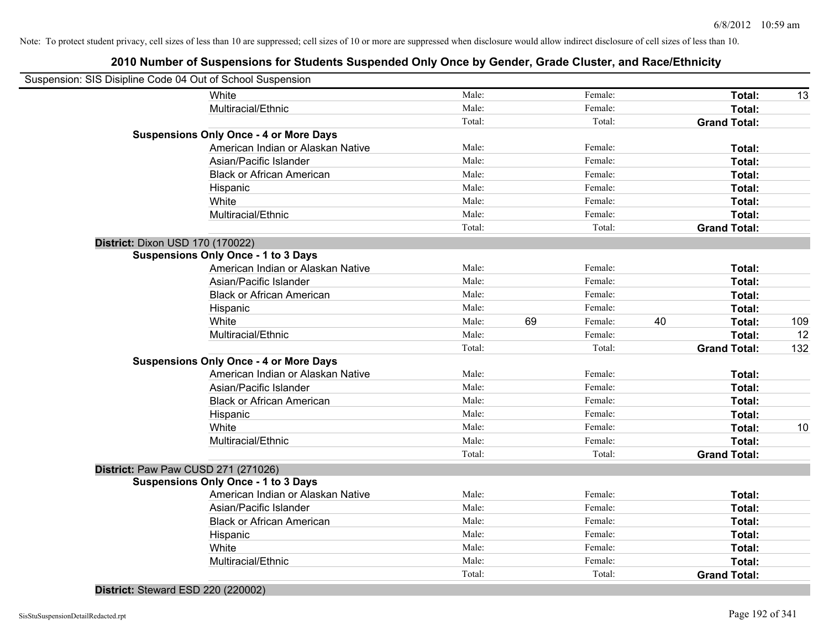| Suspension: SIS Disipline Code 04 Out of School Suspension |        |               |        |                     |     |
|------------------------------------------------------------|--------|---------------|--------|---------------------|-----|
| White                                                      | Male:  | Female:       |        | Total:              | 13  |
| Multiracial/Ethnic                                         | Male:  | Female:       |        | Total:              |     |
|                                                            | Total: |               | Total: | <b>Grand Total:</b> |     |
| <b>Suspensions Only Once - 4 or More Days</b>              |        |               |        |                     |     |
| American Indian or Alaskan Native                          | Male:  | Female:       |        | Total:              |     |
| Asian/Pacific Islander                                     | Male:  | Female:       |        | Total:              |     |
| <b>Black or African American</b>                           | Male:  | Female:       |        | Total:              |     |
| Hispanic                                                   | Male:  | Female:       |        | Total:              |     |
| White                                                      | Male:  | Female:       |        | Total:              |     |
| Multiracial/Ethnic                                         | Male:  | Female:       |        | Total:              |     |
|                                                            | Total: |               | Total: | <b>Grand Total:</b> |     |
| District: Dixon USD 170 (170022)                           |        |               |        |                     |     |
| <b>Suspensions Only Once - 1 to 3 Days</b>                 |        |               |        |                     |     |
| American Indian or Alaskan Native                          | Male:  | Female:       |        | Total:              |     |
| Asian/Pacific Islander                                     | Male:  | Female:       |        | Total:              |     |
| <b>Black or African American</b>                           | Male:  | Female:       |        | Total:              |     |
| Hispanic                                                   | Male:  | Female:       |        | Total:              |     |
| White                                                      | Male:  | 69<br>Female: | 40     | Total:              | 109 |
| Multiracial/Ethnic                                         | Male:  | Female:       |        | Total:              | 12  |
|                                                            | Total: |               | Total: | <b>Grand Total:</b> | 132 |
| <b>Suspensions Only Once - 4 or More Days</b>              |        |               |        |                     |     |
| American Indian or Alaskan Native                          | Male:  | Female:       |        | Total:              |     |
| Asian/Pacific Islander                                     | Male:  | Female:       |        | Total:              |     |
| <b>Black or African American</b>                           | Male:  | Female:       |        | <b>Total:</b>       |     |
| Hispanic                                                   | Male:  | Female:       |        | Total:              |     |
| White                                                      | Male:  | Female:       |        | Total:              | 10  |
| Multiracial/Ethnic                                         | Male:  | Female:       |        | Total:              |     |
|                                                            | Total: |               | Total: | <b>Grand Total:</b> |     |
| District: Paw Paw CUSD 271 (271026)                        |        |               |        |                     |     |
| <b>Suspensions Only Once - 1 to 3 Days</b>                 |        |               |        |                     |     |
| American Indian or Alaskan Native                          | Male:  | Female:       |        | Total:              |     |
| Asian/Pacific Islander                                     | Male:  | Female:       |        | Total:              |     |
| <b>Black or African American</b>                           | Male:  | Female:       |        | Total:              |     |
| Hispanic                                                   | Male:  | Female:       |        | Total:              |     |
| White                                                      | Male:  | Female:       |        | Total:              |     |
| Multiracial/Ethnic                                         | Male:  | Female:       |        | Total:              |     |
|                                                            | Total: |               | Total: | <b>Grand Total:</b> |     |

**District:** Steward ESD 220 (220002)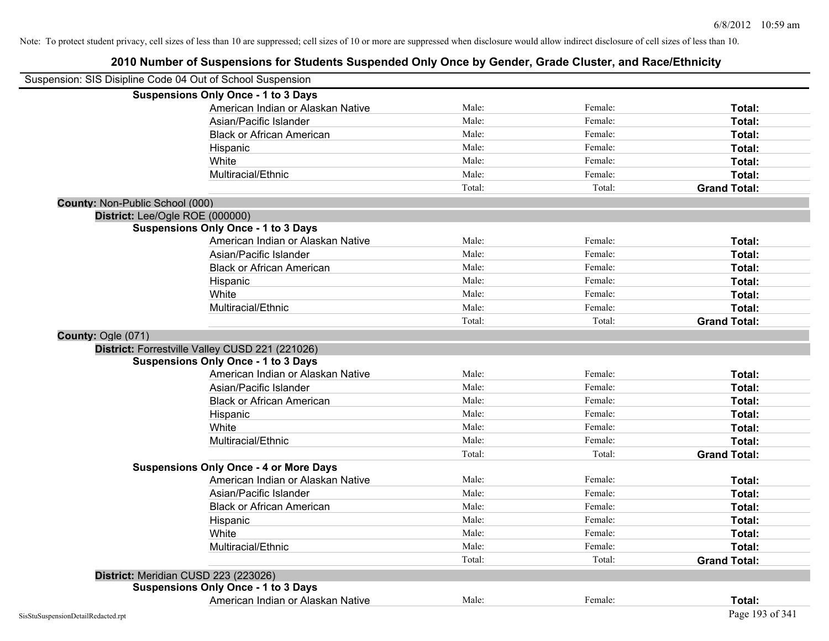| Suspension: SIS Disipline Code 04 Out of School Suspension |                                                 |        |         |                     |
|------------------------------------------------------------|-------------------------------------------------|--------|---------|---------------------|
|                                                            | <b>Suspensions Only Once - 1 to 3 Days</b>      |        |         |                     |
|                                                            | American Indian or Alaskan Native               | Male:  | Female: | Total:              |
|                                                            | Asian/Pacific Islander                          | Male:  | Female: | Total:              |
|                                                            | <b>Black or African American</b>                | Male:  | Female: | Total:              |
|                                                            | Hispanic                                        | Male:  | Female: | Total:              |
|                                                            | White                                           | Male:  | Female: | Total:              |
|                                                            | Multiracial/Ethnic                              | Male:  | Female: | Total:              |
|                                                            |                                                 | Total: | Total:  | <b>Grand Total:</b> |
| County: Non-Public School (000)                            |                                                 |        |         |                     |
| District: Lee/Ogle ROE (000000)                            |                                                 |        |         |                     |
|                                                            | <b>Suspensions Only Once - 1 to 3 Days</b>      |        |         |                     |
|                                                            | American Indian or Alaskan Native               | Male:  | Female: | Total:              |
|                                                            | Asian/Pacific Islander                          | Male:  | Female: | Total:              |
|                                                            | <b>Black or African American</b>                | Male:  | Female: | Total:              |
|                                                            | Hispanic                                        | Male:  | Female: | Total:              |
|                                                            | White                                           | Male:  | Female: | Total:              |
|                                                            | Multiracial/Ethnic                              | Male:  | Female: | Total:              |
|                                                            |                                                 | Total: | Total:  | <b>Grand Total:</b> |
| County: Ogle (071)                                         |                                                 |        |         |                     |
|                                                            | District: Forrestville Valley CUSD 221 (221026) |        |         |                     |
|                                                            | <b>Suspensions Only Once - 1 to 3 Days</b>      |        |         |                     |
|                                                            | American Indian or Alaskan Native               | Male:  | Female: | Total:              |
|                                                            | Asian/Pacific Islander                          | Male:  | Female: | Total:              |
|                                                            | <b>Black or African American</b>                | Male:  | Female: | Total:              |
|                                                            | Hispanic                                        | Male:  | Female: | Total:              |
|                                                            | White                                           | Male:  | Female: | Total:              |
|                                                            | Multiracial/Ethnic                              | Male:  | Female: | Total:              |
|                                                            |                                                 | Total: | Total:  | <b>Grand Total:</b> |
|                                                            | <b>Suspensions Only Once - 4 or More Days</b>   |        |         |                     |
|                                                            | American Indian or Alaskan Native               | Male:  | Female: | Total:              |
|                                                            | Asian/Pacific Islander                          | Male:  | Female: | Total:              |
|                                                            | <b>Black or African American</b>                | Male:  | Female: | Total:              |
|                                                            | Hispanic                                        | Male:  | Female: | Total:              |
|                                                            | White                                           | Male:  | Female: | Total:              |
|                                                            | Multiracial/Ethnic                              | Male:  | Female: | Total:              |
|                                                            |                                                 | Total: | Total:  | <b>Grand Total:</b> |
| District: Meridian CUSD 223 (223026)                       |                                                 |        |         |                     |
|                                                            | <b>Suspensions Only Once - 1 to 3 Days</b>      |        |         |                     |
|                                                            | American Indian or Alaskan Native               | Male:  | Female: | Total:              |
| SisStuSuspensionDetailRedacted.rpt                         |                                                 |        |         | Page 193 of 341     |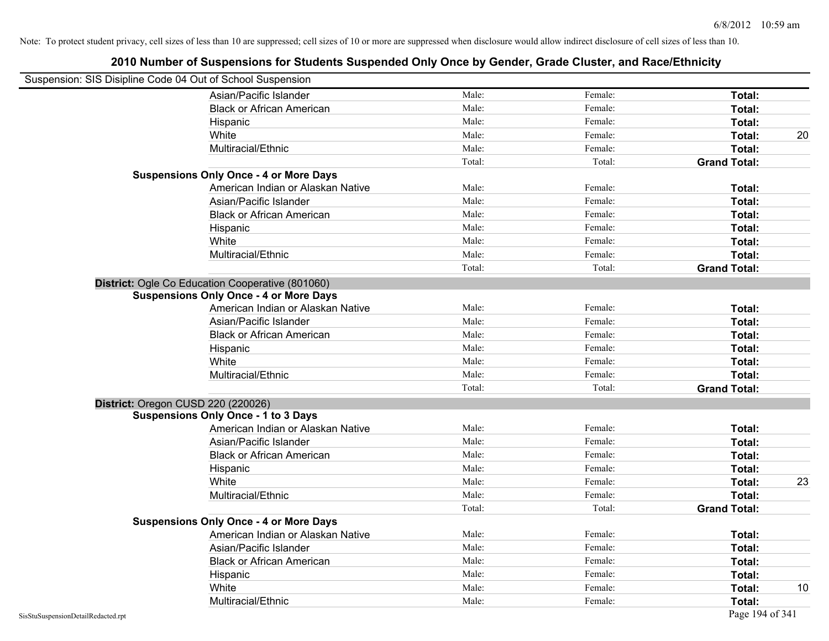| Suspension: SIS Disipline Code 04 Out of School Suspension |                                                  |        |         |                     |    |
|------------------------------------------------------------|--------------------------------------------------|--------|---------|---------------------|----|
|                                                            | Asian/Pacific Islander                           | Male:  | Female: | Total:              |    |
|                                                            | <b>Black or African American</b>                 | Male:  | Female: | Total:              |    |
|                                                            | Hispanic                                         | Male:  | Female: | Total:              |    |
|                                                            | White                                            | Male:  | Female: | Total:              | 20 |
|                                                            | Multiracial/Ethnic                               | Male:  | Female: | Total:              |    |
|                                                            |                                                  | Total: | Total:  | <b>Grand Total:</b> |    |
|                                                            | <b>Suspensions Only Once - 4 or More Days</b>    |        |         |                     |    |
|                                                            | American Indian or Alaskan Native                | Male:  | Female: | Total:              |    |
|                                                            | Asian/Pacific Islander                           | Male:  | Female: | Total:              |    |
|                                                            | <b>Black or African American</b>                 | Male:  | Female: | Total:              |    |
|                                                            | Hispanic                                         | Male:  | Female: | Total:              |    |
|                                                            | White                                            | Male:  | Female: | Total:              |    |
|                                                            | Multiracial/Ethnic                               | Male:  | Female: | Total:              |    |
|                                                            |                                                  | Total: | Total:  | <b>Grand Total:</b> |    |
|                                                            | District: Ogle Co Education Cooperative (801060) |        |         |                     |    |
|                                                            | <b>Suspensions Only Once - 4 or More Days</b>    |        |         |                     |    |
|                                                            | American Indian or Alaskan Native                | Male:  | Female: | Total:              |    |
|                                                            | Asian/Pacific Islander                           | Male:  | Female: | Total:              |    |
|                                                            | <b>Black or African American</b>                 | Male:  | Female: | Total:              |    |
|                                                            | Hispanic                                         | Male:  | Female: | Total:              |    |
|                                                            | White                                            | Male:  | Female: | Total:              |    |
|                                                            | Multiracial/Ethnic                               | Male:  | Female: | Total:              |    |
|                                                            |                                                  | Total: | Total:  | <b>Grand Total:</b> |    |
|                                                            | District: Oregon CUSD 220 (220026)               |        |         |                     |    |
|                                                            | <b>Suspensions Only Once - 1 to 3 Days</b>       |        |         |                     |    |
|                                                            | American Indian or Alaskan Native                | Male:  | Female: | Total:              |    |
|                                                            | Asian/Pacific Islander                           | Male:  | Female: | Total:              |    |
|                                                            | <b>Black or African American</b>                 | Male:  | Female: | Total:              |    |
|                                                            | Hispanic                                         | Male:  | Female: | Total:              |    |
|                                                            | White                                            | Male:  | Female: | Total:              | 23 |
|                                                            | Multiracial/Ethnic                               | Male:  | Female: | Total:              |    |
|                                                            |                                                  | Total: | Total:  | <b>Grand Total:</b> |    |
|                                                            | <b>Suspensions Only Once - 4 or More Days</b>    |        |         |                     |    |
|                                                            | American Indian or Alaskan Native                | Male:  | Female: | Total:              |    |
|                                                            | Asian/Pacific Islander                           | Male:  | Female: | Total:              |    |
|                                                            | <b>Black or African American</b>                 | Male:  | Female: | Total:              |    |
|                                                            | Hispanic                                         | Male:  | Female: | Total:              |    |
|                                                            | White                                            | Male:  | Female: | Total:              | 10 |
|                                                            | Multiracial/Ethnic                               | Male:  | Female: | Total:              |    |
| SisStuSuspensionDetailRedacted.rpt                         |                                                  |        |         | Page 194 of 341     |    |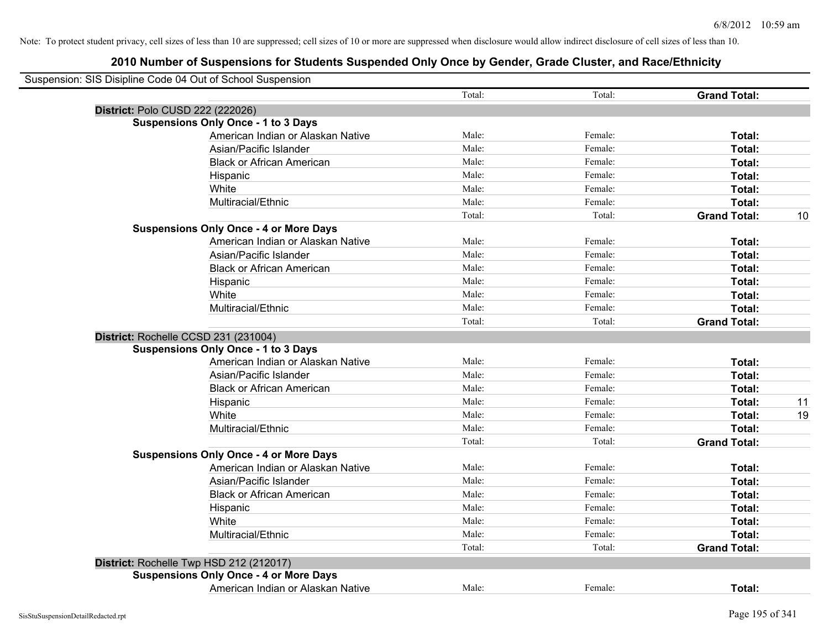| Suspension: SIS Disipline Code 04 Out of School Suspension |        |         |                     |    |
|------------------------------------------------------------|--------|---------|---------------------|----|
|                                                            | Total: | Total:  | <b>Grand Total:</b> |    |
| District: Polo CUSD 222 (222026)                           |        |         |                     |    |
| <b>Suspensions Only Once - 1 to 3 Days</b>                 |        |         |                     |    |
| American Indian or Alaskan Native                          | Male:  | Female: | Total:              |    |
| Asian/Pacific Islander                                     | Male:  | Female: | Total:              |    |
| <b>Black or African American</b>                           | Male:  | Female: | Total:              |    |
| Hispanic                                                   | Male:  | Female: | Total:              |    |
| White                                                      | Male:  | Female: | Total:              |    |
| Multiracial/Ethnic                                         | Male:  | Female: | Total:              |    |
|                                                            | Total: | Total:  | <b>Grand Total:</b> | 10 |
| <b>Suspensions Only Once - 4 or More Days</b>              |        |         |                     |    |
| American Indian or Alaskan Native                          | Male:  | Female: | Total:              |    |
| Asian/Pacific Islander                                     | Male:  | Female: | Total:              |    |
| <b>Black or African American</b>                           | Male:  | Female: | Total:              |    |
| Hispanic                                                   | Male:  | Female: | Total:              |    |
| White                                                      | Male:  | Female: | Total:              |    |
| Multiracial/Ethnic                                         | Male:  | Female: | Total:              |    |
|                                                            | Total: | Total:  | <b>Grand Total:</b> |    |
| District: Rochelle CCSD 231 (231004)                       |        |         |                     |    |
| <b>Suspensions Only Once - 1 to 3 Days</b>                 |        |         |                     |    |
| American Indian or Alaskan Native                          | Male:  | Female: | Total:              |    |
| Asian/Pacific Islander                                     | Male:  | Female: | Total:              |    |
| <b>Black or African American</b>                           | Male:  | Female: | Total:              |    |
| Hispanic                                                   | Male:  | Female: | Total:              | 11 |
| White                                                      | Male:  | Female: | Total:              | 19 |
| Multiracial/Ethnic                                         | Male:  | Female: | Total:              |    |
|                                                            | Total: | Total:  | <b>Grand Total:</b> |    |
| <b>Suspensions Only Once - 4 or More Days</b>              |        |         |                     |    |
| American Indian or Alaskan Native                          | Male:  | Female: | Total:              |    |
| Asian/Pacific Islander                                     | Male:  | Female: | Total:              |    |
| <b>Black or African American</b>                           | Male:  | Female: | Total:              |    |
| Hispanic                                                   | Male:  | Female: | Total:              |    |
| White                                                      | Male:  | Female: | Total:              |    |
| Multiracial/Ethnic                                         | Male:  | Female: | Total:              |    |
|                                                            | Total: | Total:  | <b>Grand Total:</b> |    |
| District: Rochelle Twp HSD 212 (212017)                    |        |         |                     |    |
| <b>Suspensions Only Once - 4 or More Days</b>              |        |         |                     |    |
| American Indian or Alaskan Native                          | Male:  | Female: | Total:              |    |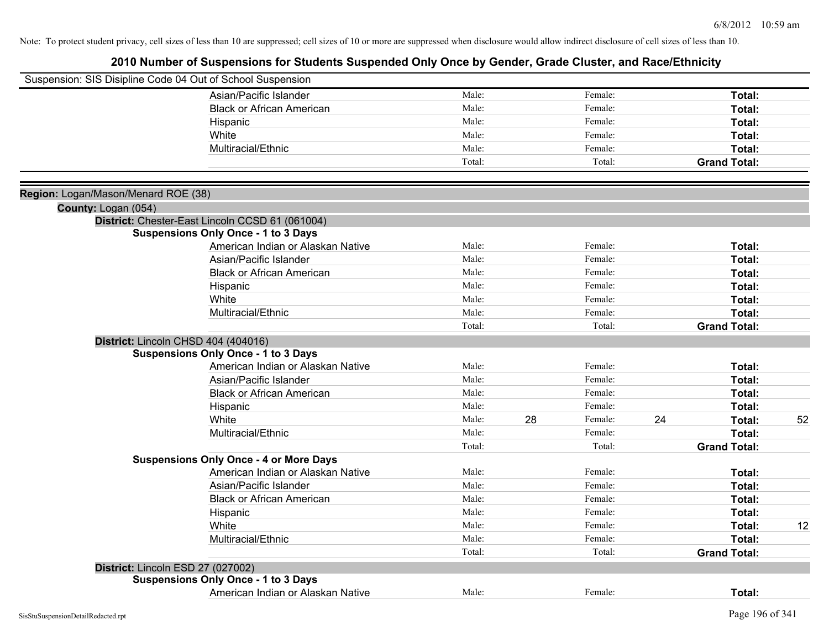| Suspension: SIS Disipline Code 04 Out of School Suspension |                                                 |        |    |         |    |                     |    |
|------------------------------------------------------------|-------------------------------------------------|--------|----|---------|----|---------------------|----|
|                                                            | Asian/Pacific Islander                          | Male:  |    | Female: |    | Total:              |    |
|                                                            | <b>Black or African American</b>                | Male:  |    | Female: |    | Total:              |    |
|                                                            | Hispanic                                        | Male:  |    | Female: |    | Total:              |    |
|                                                            | White                                           | Male:  |    | Female: |    | Total:              |    |
|                                                            | Multiracial/Ethnic                              | Male:  |    | Female: |    | Total:              |    |
|                                                            |                                                 | Total: |    | Total:  |    | <b>Grand Total:</b> |    |
|                                                            |                                                 |        |    |         |    |                     |    |
| Region: Logan/Mason/Menard ROE (38)                        |                                                 |        |    |         |    |                     |    |
| County: Logan (054)                                        |                                                 |        |    |         |    |                     |    |
|                                                            | District: Chester-East Lincoln CCSD 61 (061004) |        |    |         |    |                     |    |
|                                                            | <b>Suspensions Only Once - 1 to 3 Days</b>      |        |    |         |    |                     |    |
|                                                            | American Indian or Alaskan Native               | Male:  |    | Female: |    | Total:              |    |
|                                                            | Asian/Pacific Islander                          | Male:  |    | Female: |    | Total:              |    |
|                                                            | <b>Black or African American</b>                | Male:  |    | Female: |    | Total:              |    |
|                                                            | Hispanic                                        | Male:  |    | Female: |    | Total:              |    |
|                                                            | White                                           | Male:  |    | Female: |    | Total:              |    |
|                                                            | Multiracial/Ethnic                              | Male:  |    | Female: |    | Total:              |    |
|                                                            |                                                 | Total: |    | Total:  |    | <b>Grand Total:</b> |    |
|                                                            | District: Lincoln CHSD 404 (404016)             |        |    |         |    |                     |    |
|                                                            | <b>Suspensions Only Once - 1 to 3 Days</b>      |        |    |         |    |                     |    |
|                                                            | American Indian or Alaskan Native               | Male:  |    | Female: |    | Total:              |    |
|                                                            | Asian/Pacific Islander                          | Male:  |    | Female: |    | Total:              |    |
|                                                            | <b>Black or African American</b>                | Male:  |    | Female: |    | Total:              |    |
|                                                            | Hispanic                                        | Male:  |    | Female: |    | Total:              |    |
|                                                            | White                                           | Male:  | 28 | Female: | 24 | Total:              | 52 |
|                                                            | Multiracial/Ethnic                              | Male:  |    | Female: |    | Total:              |    |
|                                                            |                                                 | Total: |    | Total:  |    | <b>Grand Total:</b> |    |
|                                                            | <b>Suspensions Only Once - 4 or More Days</b>   |        |    |         |    |                     |    |
|                                                            | American Indian or Alaskan Native               | Male:  |    | Female: |    | Total:              |    |
|                                                            | Asian/Pacific Islander                          | Male:  |    | Female: |    | Total:              |    |
|                                                            | <b>Black or African American</b>                | Male:  |    | Female: |    | Total:              |    |
|                                                            | Hispanic                                        | Male:  |    | Female: |    | Total:              |    |
|                                                            | White                                           | Male:  |    | Female: |    | Total:              | 12 |
|                                                            | Multiracial/Ethnic                              | Male:  |    | Female: |    | Total:              |    |
|                                                            |                                                 | Total: |    | Total:  |    | <b>Grand Total:</b> |    |
|                                                            | District: Lincoln ESD 27 (027002)               |        |    |         |    |                     |    |
|                                                            | <b>Suspensions Only Once - 1 to 3 Days</b>      |        |    |         |    |                     |    |
|                                                            | American Indian or Alaskan Native               | Male:  |    | Female: |    | Total:              |    |
|                                                            |                                                 |        |    |         |    |                     |    |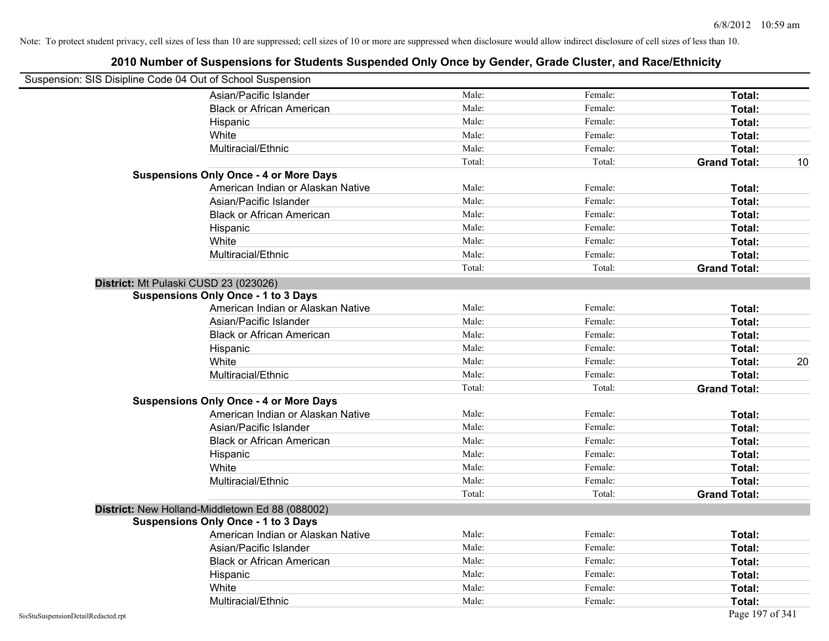| Suspension: SIS Disipline Code 04 Out of School Suspension |                                                 |        |         |                     |    |
|------------------------------------------------------------|-------------------------------------------------|--------|---------|---------------------|----|
|                                                            | Asian/Pacific Islander                          | Male:  | Female: | Total:              |    |
|                                                            | <b>Black or African American</b>                | Male:  | Female: | Total:              |    |
|                                                            | Hispanic                                        | Male:  | Female: | Total:              |    |
|                                                            | White                                           | Male:  | Female: | Total:              |    |
|                                                            | Multiracial/Ethnic                              | Male:  | Female: | Total:              |    |
|                                                            |                                                 | Total: | Total:  | <b>Grand Total:</b> | 10 |
|                                                            | <b>Suspensions Only Once - 4 or More Days</b>   |        |         |                     |    |
|                                                            | American Indian or Alaskan Native               | Male:  | Female: | Total:              |    |
|                                                            | Asian/Pacific Islander                          | Male:  | Female: | Total:              |    |
|                                                            | <b>Black or African American</b>                | Male:  | Female: | Total:              |    |
|                                                            | Hispanic                                        | Male:  | Female: | Total:              |    |
|                                                            | White                                           | Male:  | Female: | Total:              |    |
|                                                            | Multiracial/Ethnic                              | Male:  | Female: | Total:              |    |
|                                                            |                                                 | Total: | Total:  | <b>Grand Total:</b> |    |
| District: Mt Pulaski CUSD 23 (023026)                      |                                                 |        |         |                     |    |
|                                                            | <b>Suspensions Only Once - 1 to 3 Days</b>      |        |         |                     |    |
|                                                            | American Indian or Alaskan Native               | Male:  | Female: | Total:              |    |
|                                                            | Asian/Pacific Islander                          | Male:  | Female: | Total:              |    |
|                                                            | <b>Black or African American</b>                | Male:  | Female: | Total:              |    |
|                                                            | Hispanic                                        | Male:  | Female: | Total:              |    |
|                                                            | White                                           | Male:  | Female: | Total:              | 20 |
|                                                            | Multiracial/Ethnic                              | Male:  | Female: | Total:              |    |
|                                                            |                                                 | Total: | Total:  | <b>Grand Total:</b> |    |
|                                                            | <b>Suspensions Only Once - 4 or More Days</b>   |        |         |                     |    |
|                                                            | American Indian or Alaskan Native               | Male:  | Female: | Total:              |    |
|                                                            | Asian/Pacific Islander                          | Male:  | Female: | Total:              |    |
|                                                            | <b>Black or African American</b>                | Male:  | Female: | Total:              |    |
|                                                            | Hispanic                                        | Male:  | Female: | Total:              |    |
|                                                            | White                                           | Male:  | Female: | Total:              |    |
|                                                            | Multiracial/Ethnic                              | Male:  | Female: | Total:              |    |
|                                                            |                                                 | Total: | Total:  | <b>Grand Total:</b> |    |
|                                                            | District: New Holland-Middletown Ed 88 (088002) |        |         |                     |    |
|                                                            | <b>Suspensions Only Once - 1 to 3 Days</b>      |        |         |                     |    |
|                                                            | American Indian or Alaskan Native               | Male:  | Female: | Total:              |    |
|                                                            | Asian/Pacific Islander                          | Male:  | Female: | Total:              |    |
|                                                            | <b>Black or African American</b>                | Male:  | Female: | Total:              |    |
|                                                            | Hispanic                                        | Male:  | Female: | Total:              |    |
|                                                            | White                                           | Male:  | Female: | Total:              |    |
|                                                            | Multiracial/Ethnic                              | Male:  | Female: | Total:              |    |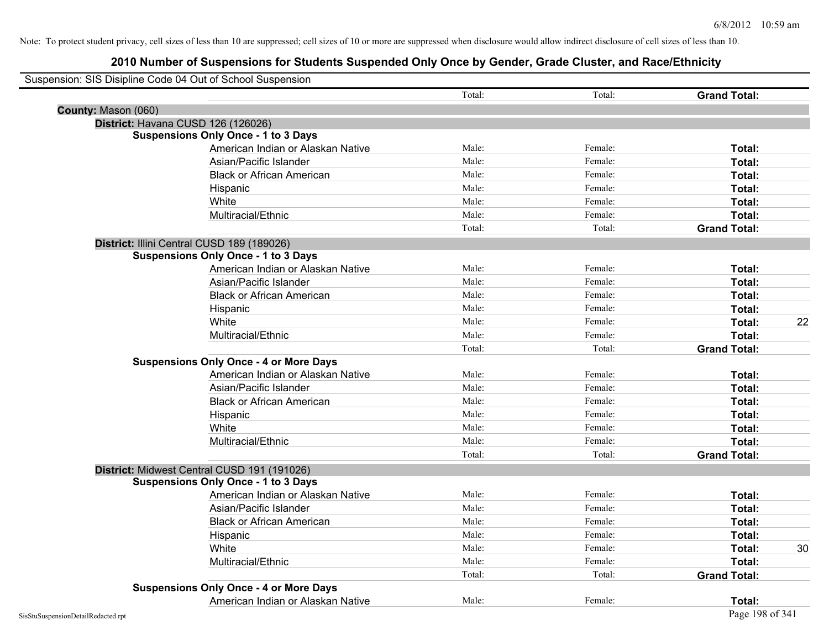|                     | Suspension: SIS Disipline Code 04 Out of School Suspension |        |         |                     |    |
|---------------------|------------------------------------------------------------|--------|---------|---------------------|----|
|                     |                                                            | Total: | Total:  | <b>Grand Total:</b> |    |
| County: Mason (060) |                                                            |        |         |                     |    |
|                     | District: Havana CUSD 126 (126026)                         |        |         |                     |    |
|                     | <b>Suspensions Only Once - 1 to 3 Days</b>                 |        |         |                     |    |
|                     | American Indian or Alaskan Native                          | Male:  | Female: | Total:              |    |
|                     | Asian/Pacific Islander                                     | Male:  | Female: | Total:              |    |
|                     | <b>Black or African American</b>                           | Male:  | Female: | Total:              |    |
|                     | Hispanic                                                   | Male:  | Female: | Total:              |    |
|                     | White                                                      | Male:  | Female: | Total:              |    |
|                     | Multiracial/Ethnic                                         | Male:  | Female: | Total:              |    |
|                     |                                                            | Total: | Total:  | <b>Grand Total:</b> |    |
|                     | District: Illini Central CUSD 189 (189026)                 |        |         |                     |    |
|                     | <b>Suspensions Only Once - 1 to 3 Days</b>                 |        |         |                     |    |
|                     | American Indian or Alaskan Native                          | Male:  | Female: | Total:              |    |
|                     | Asian/Pacific Islander                                     | Male:  | Female: | Total:              |    |
|                     | <b>Black or African American</b>                           | Male:  | Female: | Total:              |    |
|                     | Hispanic                                                   | Male:  | Female: | Total:              |    |
|                     | White                                                      | Male:  | Female: | Total:              | 22 |
|                     | Multiracial/Ethnic                                         | Male:  | Female: | Total:              |    |
|                     |                                                            | Total: | Total:  | <b>Grand Total:</b> |    |
|                     | <b>Suspensions Only Once - 4 or More Days</b>              |        |         |                     |    |
|                     | American Indian or Alaskan Native                          | Male:  | Female: | Total:              |    |
|                     | Asian/Pacific Islander                                     | Male:  | Female: | Total:              |    |
|                     | <b>Black or African American</b>                           | Male:  | Female: | Total:              |    |
|                     | Hispanic                                                   | Male:  | Female: | Total:              |    |
|                     | White                                                      | Male:  | Female: | Total:              |    |
|                     | Multiracial/Ethnic                                         | Male:  | Female: | Total:              |    |
|                     |                                                            | Total: | Total:  | <b>Grand Total:</b> |    |
|                     | District: Midwest Central CUSD 191 (191026)                |        |         |                     |    |
|                     | <b>Suspensions Only Once - 1 to 3 Days</b>                 |        |         |                     |    |
|                     | American Indian or Alaskan Native                          | Male:  | Female: | Total:              |    |
|                     | Asian/Pacific Islander                                     | Male:  | Female: | Total:              |    |
|                     | <b>Black or African American</b>                           | Male:  | Female: | Total:              |    |
|                     | Hispanic                                                   | Male:  | Female: | Total:              |    |
|                     | White                                                      | Male:  | Female: | Total:              | 30 |
|                     | Multiracial/Ethnic                                         | Male:  | Female: | Total:              |    |
|                     |                                                            | Total: | Total:  | <b>Grand Total:</b> |    |
|                     | <b>Suspensions Only Once - 4 or More Days</b>              |        |         |                     |    |
|                     | American Indian or Alaskan Native                          | Male:  | Female: | Total:              |    |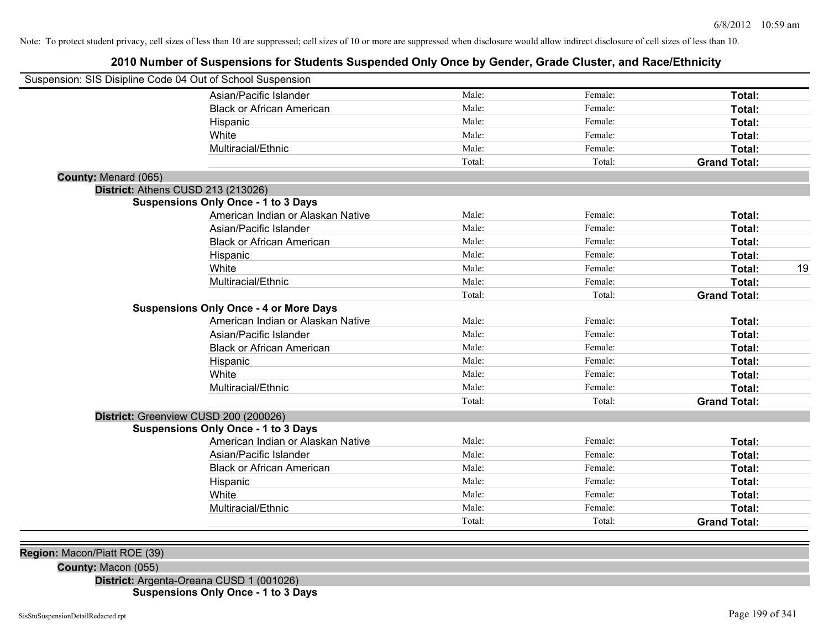# **2010 Number of Suspensions for Students Suspended Only Once by Gender, Grade Cluster, and Race/Ethnicity**

|                      | Suspension: SIS Disipline Code 04 Out of School Suspension |        |         |                     |    |
|----------------------|------------------------------------------------------------|--------|---------|---------------------|----|
|                      | Asian/Pacific Islander                                     | Male:  | Female: | Total:              |    |
|                      | <b>Black or African American</b>                           | Male:  | Female: | Total:              |    |
|                      | Hispanic                                                   | Male:  | Female: | Total:              |    |
|                      | White                                                      | Male:  | Female: | Total:              |    |
|                      | Multiracial/Ethnic                                         | Male:  | Female: | Total:              |    |
|                      |                                                            | Total: | Total:  | <b>Grand Total:</b> |    |
| County: Menard (065) |                                                            |        |         |                     |    |
|                      | District: Athens CUSD 213 (213026)                         |        |         |                     |    |
|                      | <b>Suspensions Only Once - 1 to 3 Days</b>                 |        |         |                     |    |
|                      | American Indian or Alaskan Native                          | Male:  | Female: | Total:              |    |
|                      | Asian/Pacific Islander                                     | Male:  | Female: | Total:              |    |
|                      | <b>Black or African American</b>                           | Male:  | Female: | Total:              |    |
|                      | Hispanic                                                   | Male:  | Female: | Total:              |    |
|                      | White                                                      | Male:  | Female: | Total:              | 19 |
|                      | Multiracial/Ethnic                                         | Male:  | Female: | Total:              |    |
|                      |                                                            | Total: | Total:  | <b>Grand Total:</b> |    |
|                      | <b>Suspensions Only Once - 4 or More Days</b>              |        |         |                     |    |
|                      | American Indian or Alaskan Native                          | Male:  | Female: | Total:              |    |
|                      | Asian/Pacific Islander                                     | Male:  | Female: | Total:              |    |
|                      | <b>Black or African American</b>                           | Male:  | Female: | Total:              |    |
|                      | Hispanic                                                   | Male:  | Female: | Total:              |    |
|                      | White                                                      | Male:  | Female: | Total:              |    |
|                      | Multiracial/Ethnic                                         | Male:  | Female: | Total:              |    |
|                      |                                                            | Total: | Total:  | <b>Grand Total:</b> |    |
|                      | District: Greenview CUSD 200 (200026)                      |        |         |                     |    |
|                      | <b>Suspensions Only Once - 1 to 3 Days</b>                 |        |         |                     |    |
|                      | American Indian or Alaskan Native                          | Male:  | Female: | Total:              |    |
|                      | Asian/Pacific Islander                                     | Male:  | Female: | Total:              |    |
|                      | <b>Black or African American</b>                           | Male:  | Female: | Total:              |    |
|                      | Hispanic                                                   | Male:  | Female: | Total:              |    |
|                      | White                                                      | Male:  | Female: | Total:              |    |
|                      | Multiracial/Ethnic                                         | Male:  | Female: | Total:              |    |
|                      |                                                            | Total: | Total:  | <b>Grand Total:</b> |    |
|                      |                                                            |        |         |                     |    |
|                      |                                                            |        |         |                     |    |

**Region:** Macon/Piatt ROE (39)

**County:** Macon (055)

**District:** Argenta-Oreana CUSD 1 (001026) **Suspensions Only Once - 1 to 3 Days**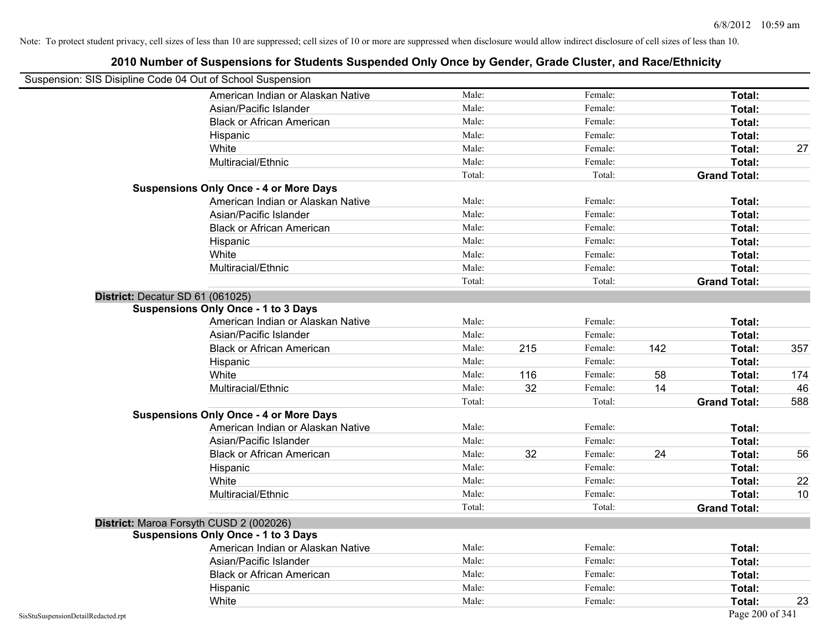| Suspension: SIS Disipline Code 04 Out of School Suspension |                                               |        |     |         |     |                     |     |
|------------------------------------------------------------|-----------------------------------------------|--------|-----|---------|-----|---------------------|-----|
|                                                            | American Indian or Alaskan Native             | Male:  |     | Female: |     | Total:              |     |
|                                                            | Asian/Pacific Islander                        | Male:  |     | Female: |     | Total:              |     |
|                                                            | <b>Black or African American</b>              | Male:  |     | Female: |     | Total:              |     |
|                                                            | Hispanic                                      | Male:  |     | Female: |     | Total:              |     |
|                                                            | White                                         | Male:  |     | Female: |     | Total:              | 27  |
|                                                            | Multiracial/Ethnic                            | Male:  |     | Female: |     | Total:              |     |
|                                                            |                                               | Total: |     | Total:  |     | <b>Grand Total:</b> |     |
|                                                            | <b>Suspensions Only Once - 4 or More Days</b> |        |     |         |     |                     |     |
|                                                            | American Indian or Alaskan Native             | Male:  |     | Female: |     | Total:              |     |
|                                                            | Asian/Pacific Islander                        | Male:  |     | Female: |     | Total:              |     |
|                                                            | <b>Black or African American</b>              | Male:  |     | Female: |     | Total:              |     |
|                                                            | Hispanic                                      | Male:  |     | Female: |     | Total:              |     |
|                                                            | White                                         | Male:  |     | Female: |     | Total:              |     |
|                                                            | Multiracial/Ethnic                            | Male:  |     | Female: |     | Total:              |     |
|                                                            |                                               | Total: |     | Total:  |     | <b>Grand Total:</b> |     |
|                                                            | District: Decatur SD 61 (061025)              |        |     |         |     |                     |     |
|                                                            | <b>Suspensions Only Once - 1 to 3 Days</b>    |        |     |         |     |                     |     |
|                                                            | American Indian or Alaskan Native             | Male:  |     | Female: |     | Total:              |     |
|                                                            | Asian/Pacific Islander                        | Male:  |     | Female: |     | Total:              |     |
|                                                            | <b>Black or African American</b>              | Male:  | 215 | Female: | 142 | Total:              | 357 |
|                                                            | Hispanic                                      | Male:  |     | Female: |     | Total:              |     |
|                                                            | White                                         | Male:  | 116 | Female: | 58  | Total:              | 174 |
|                                                            | Multiracial/Ethnic                            | Male:  | 32  | Female: | 14  | Total:              | 46  |
|                                                            |                                               | Total: |     | Total:  |     | <b>Grand Total:</b> | 588 |
|                                                            | <b>Suspensions Only Once - 4 or More Days</b> |        |     |         |     |                     |     |
|                                                            | American Indian or Alaskan Native             | Male:  |     | Female: |     | Total:              |     |
|                                                            | Asian/Pacific Islander                        | Male:  |     | Female: |     | Total:              |     |
|                                                            | <b>Black or African American</b>              | Male:  | 32  | Female: | 24  | Total:              | 56  |
|                                                            | Hispanic                                      | Male:  |     | Female: |     | Total:              |     |
|                                                            | White                                         | Male:  |     | Female: |     | Total:              | 22  |
|                                                            | Multiracial/Ethnic                            | Male:  |     | Female: |     | Total:              | 10  |
|                                                            |                                               | Total: |     | Total:  |     | <b>Grand Total:</b> |     |
|                                                            | District: Maroa Forsyth CUSD 2 (002026)       |        |     |         |     |                     |     |
|                                                            | <b>Suspensions Only Once - 1 to 3 Days</b>    |        |     |         |     |                     |     |
|                                                            | American Indian or Alaskan Native             | Male:  |     | Female: |     | Total:              |     |
|                                                            | Asian/Pacific Islander                        | Male:  |     | Female: |     | Total:              |     |
|                                                            | <b>Black or African American</b>              | Male:  |     | Female: |     | Total:              |     |
|                                                            | Hispanic                                      | Male:  |     | Female: |     | Total:              |     |
|                                                            | White                                         | Male:  |     | Female: |     | Total:              | 23  |
| SisStuSuspensionDetailRedacted.rpt                         |                                               |        |     |         |     | Page 200 of 341     |     |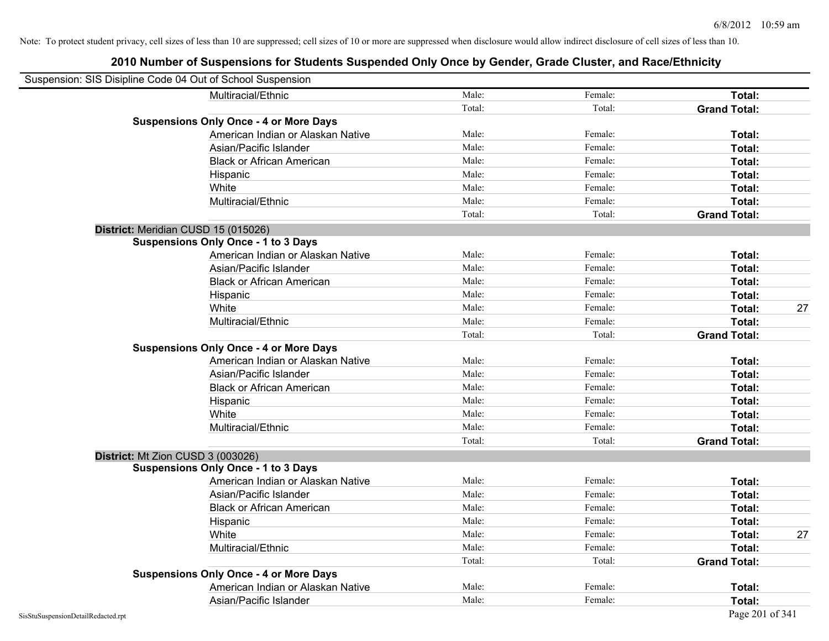| Suspension: SIS Disipline Code 04 Out of School Suspension |                                               |        |         |                     |    |
|------------------------------------------------------------|-----------------------------------------------|--------|---------|---------------------|----|
|                                                            | Multiracial/Ethnic                            | Male:  | Female: | Total:              |    |
|                                                            |                                               | Total: | Total:  | <b>Grand Total:</b> |    |
|                                                            | <b>Suspensions Only Once - 4 or More Days</b> |        |         |                     |    |
|                                                            | American Indian or Alaskan Native             | Male:  | Female: | Total:              |    |
|                                                            | Asian/Pacific Islander                        | Male:  | Female: | Total:              |    |
|                                                            | <b>Black or African American</b>              | Male:  | Female: | Total:              |    |
|                                                            | Hispanic                                      | Male:  | Female: | Total:              |    |
|                                                            | White                                         | Male:  | Female: | Total:              |    |
|                                                            | Multiracial/Ethnic                            | Male:  | Female: | Total:              |    |
|                                                            |                                               | Total: | Total:  | <b>Grand Total:</b> |    |
| District: Meridian CUSD 15 (015026)                        |                                               |        |         |                     |    |
|                                                            | <b>Suspensions Only Once - 1 to 3 Days</b>    |        |         |                     |    |
|                                                            | American Indian or Alaskan Native             | Male:  | Female: | Total:              |    |
|                                                            | Asian/Pacific Islander                        | Male:  | Female: | Total:              |    |
|                                                            | <b>Black or African American</b>              | Male:  | Female: | Total:              |    |
|                                                            | Hispanic                                      | Male:  | Female: | Total:              |    |
|                                                            | White                                         | Male:  | Female: | Total:              | 27 |
|                                                            | Multiracial/Ethnic                            | Male:  | Female: | Total:              |    |
|                                                            |                                               | Total: | Total:  | <b>Grand Total:</b> |    |
|                                                            | <b>Suspensions Only Once - 4 or More Days</b> |        |         |                     |    |
|                                                            | American Indian or Alaskan Native             | Male:  | Female: | Total:              |    |
|                                                            | Asian/Pacific Islander                        | Male:  | Female: | Total:              |    |
|                                                            | <b>Black or African American</b>              | Male:  | Female: | Total:              |    |
|                                                            | Hispanic                                      | Male:  | Female: | Total:              |    |
|                                                            | White                                         | Male:  | Female: | Total:              |    |
|                                                            | Multiracial/Ethnic                            | Male:  | Female: | Total:              |    |
|                                                            |                                               | Total: | Total:  | <b>Grand Total:</b> |    |
| District: Mt Zion CUSD 3 (003026)                          |                                               |        |         |                     |    |
|                                                            | <b>Suspensions Only Once - 1 to 3 Days</b>    |        |         |                     |    |
|                                                            | American Indian or Alaskan Native             | Male:  | Female: | Total:              |    |
|                                                            | Asian/Pacific Islander                        | Male:  | Female: | Total:              |    |
|                                                            | <b>Black or African American</b>              | Male:  | Female: | Total:              |    |
|                                                            | Hispanic                                      | Male:  | Female: | Total:              |    |
|                                                            | White                                         | Male:  | Female: | Total:              | 27 |
|                                                            | Multiracial/Ethnic                            | Male:  | Female: | Total:              |    |
|                                                            |                                               | Total: | Total:  | <b>Grand Total:</b> |    |
|                                                            | <b>Suspensions Only Once - 4 or More Days</b> |        |         |                     |    |
|                                                            | American Indian or Alaskan Native             | Male:  | Female: | Total:              |    |
|                                                            | Asian/Pacific Islander                        | Male:  | Female: | Total:              |    |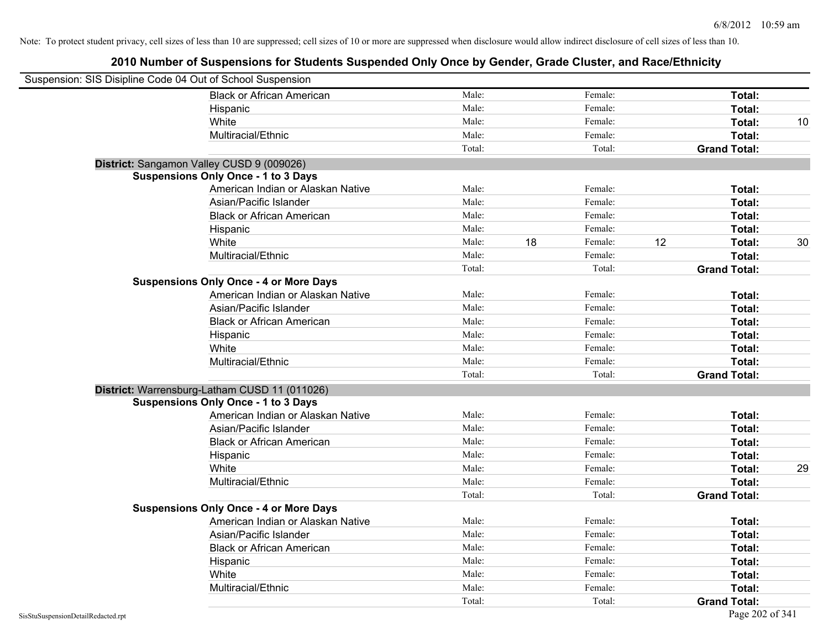| Suspension: SIS Disipline Code 04 Out of School Suspension |                                               |        |    |         |    |                     |    |
|------------------------------------------------------------|-----------------------------------------------|--------|----|---------|----|---------------------|----|
|                                                            | <b>Black or African American</b>              | Male:  |    | Female: |    | Total:              |    |
|                                                            | Hispanic                                      | Male:  |    | Female: |    | Total:              |    |
|                                                            | White                                         | Male:  |    | Female: |    | Total:              | 10 |
|                                                            | Multiracial/Ethnic                            | Male:  |    | Female: |    | Total:              |    |
|                                                            |                                               | Total: |    | Total:  |    | <b>Grand Total:</b> |    |
| District: Sangamon Valley CUSD 9 (009026)                  |                                               |        |    |         |    |                     |    |
|                                                            | <b>Suspensions Only Once - 1 to 3 Days</b>    |        |    |         |    |                     |    |
|                                                            | American Indian or Alaskan Native             | Male:  |    | Female: |    | Total:              |    |
|                                                            | Asian/Pacific Islander                        | Male:  |    | Female: |    | Total:              |    |
|                                                            | <b>Black or African American</b>              | Male:  |    | Female: |    | Total:              |    |
|                                                            | Hispanic                                      | Male:  |    | Female: |    | Total:              |    |
|                                                            | White                                         | Male:  | 18 | Female: | 12 | Total:              | 30 |
|                                                            | Multiracial/Ethnic                            | Male:  |    | Female: |    | Total:              |    |
|                                                            |                                               | Total: |    | Total:  |    | <b>Grand Total:</b> |    |
|                                                            | <b>Suspensions Only Once - 4 or More Days</b> |        |    |         |    |                     |    |
|                                                            | American Indian or Alaskan Native             | Male:  |    | Female: |    | Total:              |    |
|                                                            | Asian/Pacific Islander                        | Male:  |    | Female: |    | Total:              |    |
|                                                            | <b>Black or African American</b>              | Male:  |    | Female: |    | Total:              |    |
|                                                            | Hispanic                                      | Male:  |    | Female: |    | Total:              |    |
|                                                            | White                                         | Male:  |    | Female: |    | Total:              |    |
|                                                            | Multiracial/Ethnic                            | Male:  |    | Female: |    | Total:              |    |
|                                                            |                                               | Total: |    | Total:  |    | <b>Grand Total:</b> |    |
|                                                            | District: Warrensburg-Latham CUSD 11 (011026) |        |    |         |    |                     |    |
|                                                            | <b>Suspensions Only Once - 1 to 3 Days</b>    |        |    |         |    |                     |    |
|                                                            | American Indian or Alaskan Native             | Male:  |    | Female: |    | Total:              |    |
|                                                            | Asian/Pacific Islander                        | Male:  |    | Female: |    | Total:              |    |
|                                                            | <b>Black or African American</b>              | Male:  |    | Female: |    | Total:              |    |
|                                                            | Hispanic                                      | Male:  |    | Female: |    | Total:              |    |
|                                                            | White                                         | Male:  |    | Female: |    | Total:              | 29 |
|                                                            | Multiracial/Ethnic                            | Male:  |    | Female: |    | Total:              |    |
|                                                            |                                               | Total: |    | Total:  |    | <b>Grand Total:</b> |    |
|                                                            | <b>Suspensions Only Once - 4 or More Days</b> |        |    |         |    |                     |    |
|                                                            | American Indian or Alaskan Native             | Male:  |    | Female: |    | Total:              |    |
|                                                            | Asian/Pacific Islander                        | Male:  |    | Female: |    | Total:              |    |
|                                                            | <b>Black or African American</b>              | Male:  |    | Female: |    | Total:              |    |
|                                                            | Hispanic                                      | Male:  |    | Female: |    | Total:              |    |
|                                                            | White                                         | Male:  |    | Female: |    | Total:              |    |
|                                                            | Multiracial/Ethnic                            | Male:  |    | Female: |    | Total:              |    |
|                                                            |                                               | Total: |    | Total:  |    | <b>Grand Total:</b> |    |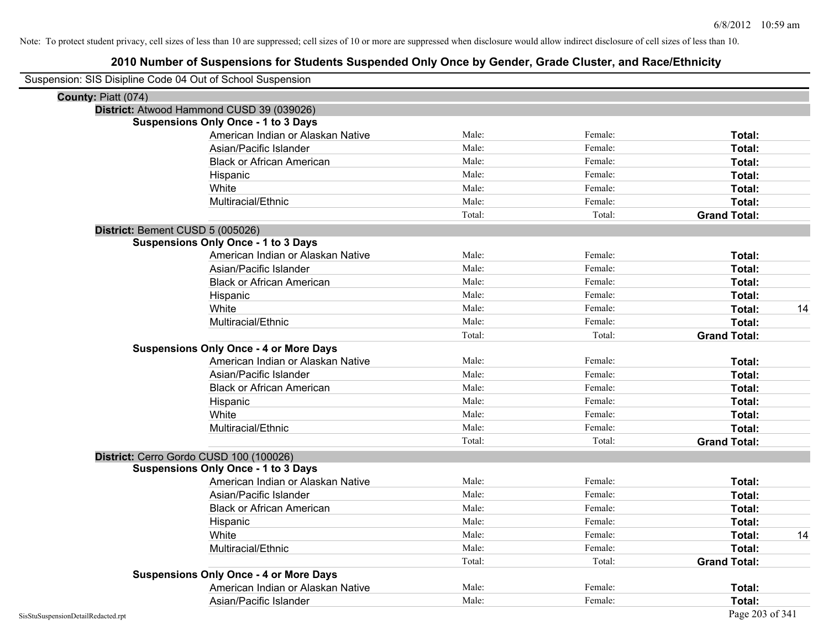| Suspension: SIS Disipline Code 04 Out of School Suspension |        |         |                     |
|------------------------------------------------------------|--------|---------|---------------------|
| County: Piatt (074)                                        |        |         |                     |
| District: Atwood Hammond CUSD 39 (039026)                  |        |         |                     |
| <b>Suspensions Only Once - 1 to 3 Days</b>                 |        |         |                     |
| American Indian or Alaskan Native                          | Male:  | Female: | Total:              |
| Asian/Pacific Islander                                     | Male:  | Female: | Total:              |
| <b>Black or African American</b>                           | Male:  | Female: | Total:              |
| Hispanic                                                   | Male:  | Female: | Total:              |
| White                                                      | Male:  | Female: | Total:              |
| Multiracial/Ethnic                                         | Male:  | Female: | Total:              |
|                                                            | Total: | Total:  | <b>Grand Total:</b> |
| District: Bement CUSD 5 (005026)                           |        |         |                     |
| <b>Suspensions Only Once - 1 to 3 Days</b>                 |        |         |                     |
| American Indian or Alaskan Native                          | Male:  | Female: | Total:              |
| Asian/Pacific Islander                                     | Male:  | Female: | Total:              |
| <b>Black or African American</b>                           | Male:  | Female: | Total:              |
| Hispanic                                                   | Male:  | Female: | Total:              |
| White                                                      | Male:  | Female: | 14<br>Total:        |
| Multiracial/Ethnic                                         | Male:  | Female: | Total:              |
|                                                            | Total: | Total:  | <b>Grand Total:</b> |
| <b>Suspensions Only Once - 4 or More Days</b>              |        |         |                     |
| American Indian or Alaskan Native                          | Male:  | Female: | Total:              |
| Asian/Pacific Islander                                     | Male:  | Female: | Total:              |
| <b>Black or African American</b>                           | Male:  | Female: | Total:              |
| Hispanic                                                   | Male:  | Female: | Total:              |
| White                                                      | Male:  | Female: | Total:              |
| Multiracial/Ethnic                                         | Male:  | Female: | Total:              |
|                                                            | Total: | Total:  | <b>Grand Total:</b> |
| District: Cerro Gordo CUSD 100 (100026)                    |        |         |                     |
| <b>Suspensions Only Once - 1 to 3 Days</b>                 |        |         |                     |
| American Indian or Alaskan Native                          | Male:  | Female: | Total:              |
| Asian/Pacific Islander                                     | Male:  | Female: | Total:              |
| <b>Black or African American</b>                           | Male:  | Female: | Total:              |
| Hispanic                                                   | Male:  | Female: | <b>Total:</b>       |
| White                                                      | Male:  | Female: | 14<br>Total:        |
| Multiracial/Ethnic                                         | Male:  | Female: | Total:              |
|                                                            | Total: | Total:  | <b>Grand Total:</b> |
| <b>Suspensions Only Once - 4 or More Days</b>              |        |         |                     |
| American Indian or Alaskan Native                          | Male:  | Female: | Total:              |
| Asian/Pacific Islander                                     | Male:  | Female: | Total:              |
| SisStuSuspensionDetailRedacted.rpt                         |        |         | Page 203 of 341     |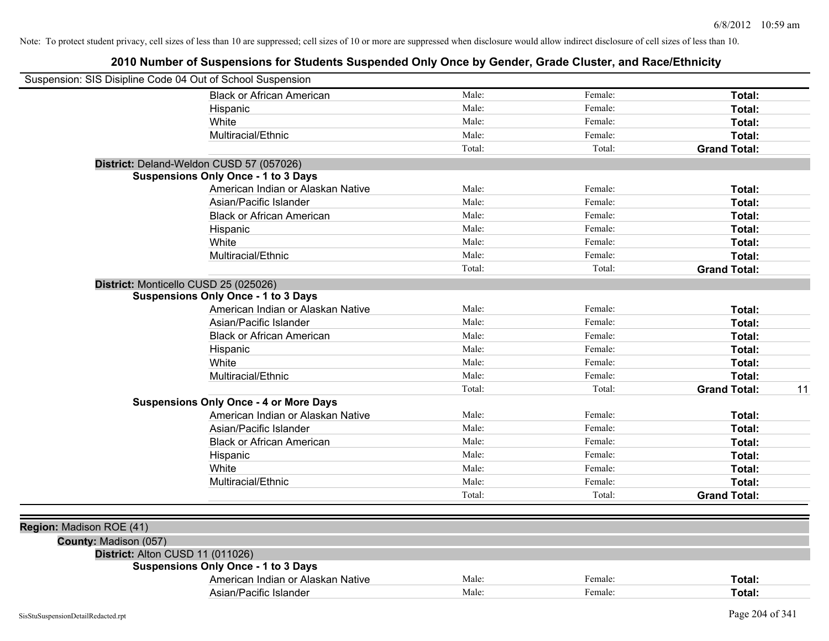| Suspension: SIS Disipline Code 04 Out of School Suspension |                                               |        |         |                           |
|------------------------------------------------------------|-----------------------------------------------|--------|---------|---------------------------|
|                                                            | <b>Black or African American</b>              | Male:  | Female: | Total:                    |
|                                                            | Hispanic                                      | Male:  | Female: | Total:                    |
|                                                            | White                                         | Male:  | Female: | Total:                    |
|                                                            | Multiracial/Ethnic                            | Male:  | Female: | Total:                    |
|                                                            |                                               | Total: | Total:  | <b>Grand Total:</b>       |
|                                                            | District: Deland-Weldon CUSD 57 (057026)      |        |         |                           |
|                                                            | <b>Suspensions Only Once - 1 to 3 Days</b>    |        |         |                           |
|                                                            | American Indian or Alaskan Native             | Male:  | Female: | Total:                    |
|                                                            | Asian/Pacific Islander                        | Male:  | Female: | Total:                    |
|                                                            | <b>Black or African American</b>              | Male:  | Female: | Total:                    |
|                                                            | Hispanic                                      | Male:  | Female: | Total:                    |
|                                                            | White                                         | Male:  | Female: | Total:                    |
|                                                            | Multiracial/Ethnic                            | Male:  | Female: | Total:                    |
|                                                            |                                               | Total: | Total:  | <b>Grand Total:</b>       |
| District: Monticello CUSD 25 (025026)                      |                                               |        |         |                           |
|                                                            | <b>Suspensions Only Once - 1 to 3 Days</b>    |        |         |                           |
|                                                            | American Indian or Alaskan Native             | Male:  | Female: | Total:                    |
|                                                            | Asian/Pacific Islander                        | Male:  | Female: | Total:                    |
|                                                            | <b>Black or African American</b>              | Male:  | Female: | Total:                    |
|                                                            | Hispanic                                      | Male:  | Female: | Total:                    |
|                                                            | White                                         | Male:  | Female: | Total:                    |
|                                                            | Multiracial/Ethnic                            | Male:  | Female: | Total:                    |
|                                                            |                                               | Total: | Total:  | <b>Grand Total:</b><br>11 |
|                                                            | <b>Suspensions Only Once - 4 or More Days</b> |        |         |                           |
|                                                            | American Indian or Alaskan Native             | Male:  | Female: | Total:                    |
|                                                            | Asian/Pacific Islander                        | Male:  | Female: | Total:                    |
|                                                            | <b>Black or African American</b>              | Male:  | Female: | Total:                    |
|                                                            | Hispanic                                      | Male:  | Female: | Total:                    |
|                                                            | White                                         | Male:  | Female: | Total:                    |
|                                                            | Multiracial/Ethnic                            | Male:  | Female: | Total:                    |
|                                                            |                                               | Total: | Total:  | <b>Grand Total:</b>       |
|                                                            |                                               |        |         |                           |
| Region: Madison ROE (41)                                   |                                               |        |         |                           |
| County: Madison (057)                                      |                                               |        |         |                           |
| District: Alton CUSD 11 (011026)                           |                                               |        |         |                           |
|                                                            | <b>Suspensions Only Once - 1 to 3 Days</b>    |        |         |                           |
|                                                            | American Indian or Alaskan Native             | Male:  | Female: | Total:                    |
|                                                            | Asian/Pacific Islander                        | Male:  | Female: | Total:                    |
|                                                            |                                               |        |         |                           |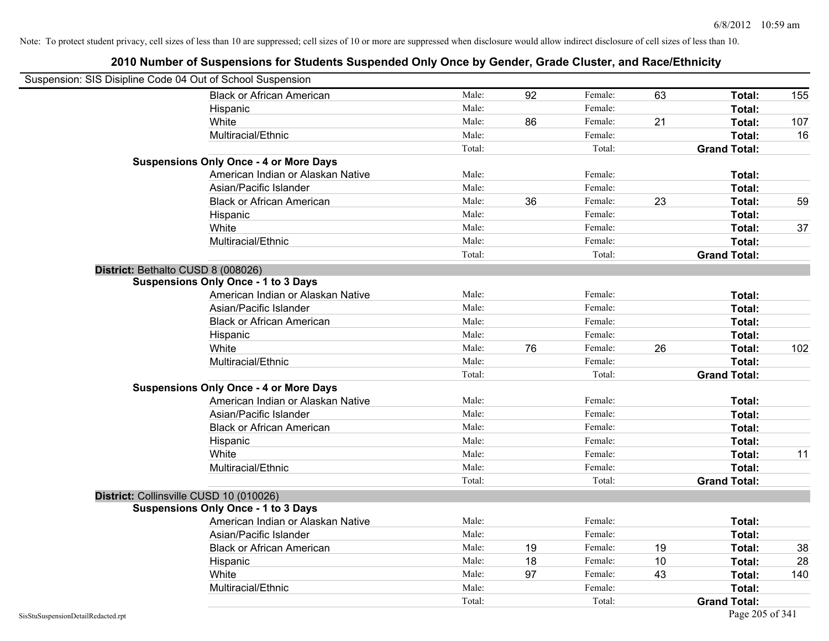|                                    | Suspension: SIS Disipline Code 04 Out of School Suspension |        |    |         |    |                     |     |
|------------------------------------|------------------------------------------------------------|--------|----|---------|----|---------------------|-----|
|                                    | <b>Black or African American</b>                           | Male:  | 92 | Female: | 63 | Total:              | 155 |
|                                    | Hispanic                                                   | Male:  |    | Female: |    | Total:              |     |
|                                    | White                                                      | Male:  | 86 | Female: | 21 | Total:              | 107 |
|                                    | Multiracial/Ethnic                                         | Male:  |    | Female: |    | Total:              | 16  |
|                                    |                                                            | Total: |    | Total:  |    | <b>Grand Total:</b> |     |
|                                    | <b>Suspensions Only Once - 4 or More Days</b>              |        |    |         |    |                     |     |
|                                    | American Indian or Alaskan Native                          | Male:  |    | Female: |    | Total:              |     |
|                                    | Asian/Pacific Islander                                     | Male:  |    | Female: |    | Total:              |     |
|                                    | <b>Black or African American</b>                           | Male:  | 36 | Female: | 23 | Total:              | 59  |
|                                    | Hispanic                                                   | Male:  |    | Female: |    | Total:              |     |
|                                    | White                                                      | Male:  |    | Female: |    | Total:              | 37  |
|                                    | Multiracial/Ethnic                                         | Male:  |    | Female: |    | Total:              |     |
|                                    |                                                            | Total: |    | Total:  |    | <b>Grand Total:</b> |     |
|                                    | District: Bethalto CUSD 8 (008026)                         |        |    |         |    |                     |     |
|                                    | <b>Suspensions Only Once - 1 to 3 Days</b>                 |        |    |         |    |                     |     |
|                                    | American Indian or Alaskan Native                          | Male:  |    | Female: |    | Total:              |     |
|                                    | Asian/Pacific Islander                                     | Male:  |    | Female: |    | Total:              |     |
|                                    | <b>Black or African American</b>                           | Male:  |    | Female: |    | Total:              |     |
|                                    | Hispanic                                                   | Male:  |    | Female: |    | Total:              |     |
|                                    | White                                                      | Male:  | 76 | Female: | 26 | Total:              | 102 |
|                                    | Multiracial/Ethnic                                         | Male:  |    | Female: |    | Total:              |     |
|                                    |                                                            | Total: |    | Total:  |    | <b>Grand Total:</b> |     |
|                                    | <b>Suspensions Only Once - 4 or More Days</b>              |        |    |         |    |                     |     |
|                                    | American Indian or Alaskan Native                          | Male:  |    | Female: |    | Total:              |     |
|                                    | Asian/Pacific Islander                                     | Male:  |    | Female: |    | Total:              |     |
|                                    | <b>Black or African American</b>                           | Male:  |    | Female: |    | Total:              |     |
|                                    | Hispanic                                                   | Male:  |    | Female: |    | Total:              |     |
|                                    | White                                                      | Male:  |    | Female: |    | Total:              | 11  |
|                                    | Multiracial/Ethnic                                         | Male:  |    | Female: |    | Total:              |     |
|                                    |                                                            | Total: |    | Total:  |    | <b>Grand Total:</b> |     |
|                                    | District: Collinsville CUSD 10 (010026)                    |        |    |         |    |                     |     |
|                                    | <b>Suspensions Only Once - 1 to 3 Days</b>                 |        |    |         |    |                     |     |
|                                    | American Indian or Alaskan Native                          | Male:  |    | Female: |    | Total:              |     |
|                                    | Asian/Pacific Islander                                     | Male:  |    | Female: |    | Total:              |     |
|                                    | <b>Black or African American</b>                           | Male:  | 19 | Female: | 19 | Total:              | 38  |
|                                    | Hispanic                                                   | Male:  | 18 | Female: | 10 | Total:              | 28  |
|                                    | White                                                      | Male:  | 97 | Female: | 43 | Total:              | 140 |
|                                    | Multiracial/Ethnic                                         | Male:  |    | Female: |    | Total:              |     |
|                                    |                                                            | Total: |    | Total:  |    | <b>Grand Total:</b> |     |
| SisStuSuspensionDetailRedacted.rpt |                                                            |        |    |         |    | Page 205 of 341     |     |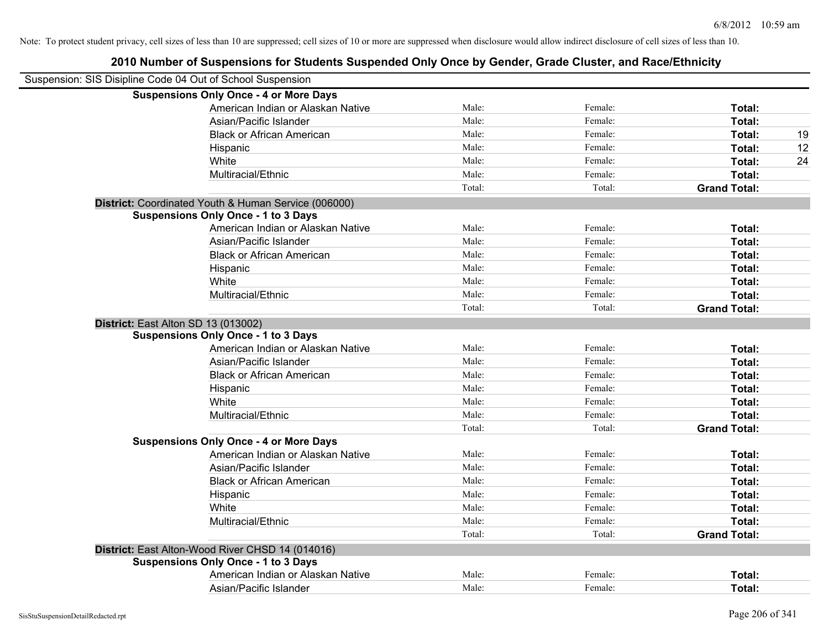| Suspension: SIS Disipline Code 04 Out of School Suspension |                                                      |        |         |                     |    |
|------------------------------------------------------------|------------------------------------------------------|--------|---------|---------------------|----|
|                                                            | <b>Suspensions Only Once - 4 or More Days</b>        |        |         |                     |    |
|                                                            | American Indian or Alaskan Native                    | Male:  | Female: | Total:              |    |
|                                                            | Asian/Pacific Islander                               | Male:  | Female: | Total:              |    |
|                                                            | <b>Black or African American</b>                     | Male:  | Female: | Total:              | 19 |
|                                                            | Hispanic                                             | Male:  | Female: | Total:              | 12 |
|                                                            | White                                                | Male:  | Female: | Total:              | 24 |
|                                                            | Multiracial/Ethnic                                   | Male:  | Female: | Total:              |    |
|                                                            |                                                      | Total: | Total:  | <b>Grand Total:</b> |    |
|                                                            | District: Coordinated Youth & Human Service (006000) |        |         |                     |    |
|                                                            | <b>Suspensions Only Once - 1 to 3 Days</b>           |        |         |                     |    |
|                                                            | American Indian or Alaskan Native                    | Male:  | Female: | Total:              |    |
|                                                            | Asian/Pacific Islander                               | Male:  | Female: | Total:              |    |
|                                                            | <b>Black or African American</b>                     | Male:  | Female: | Total:              |    |
|                                                            | Hispanic                                             | Male:  | Female: | Total:              |    |
|                                                            | White                                                | Male:  | Female: | Total:              |    |
|                                                            | Multiracial/Ethnic                                   | Male:  | Female: | Total:              |    |
|                                                            |                                                      | Total: | Total:  | <b>Grand Total:</b> |    |
| District: East Alton SD 13 (013002)                        |                                                      |        |         |                     |    |
|                                                            | <b>Suspensions Only Once - 1 to 3 Days</b>           |        |         |                     |    |
|                                                            | American Indian or Alaskan Native                    | Male:  | Female: | Total:              |    |
|                                                            | Asian/Pacific Islander                               | Male:  | Female: | Total:              |    |
|                                                            | <b>Black or African American</b>                     | Male:  | Female: | Total:              |    |
|                                                            | Hispanic                                             | Male:  | Female: | Total:              |    |
|                                                            | White                                                | Male:  | Female: | Total:              |    |
|                                                            | Multiracial/Ethnic                                   | Male:  | Female: | Total:              |    |
|                                                            |                                                      | Total: | Total:  | <b>Grand Total:</b> |    |
|                                                            | <b>Suspensions Only Once - 4 or More Days</b>        |        |         |                     |    |
|                                                            | American Indian or Alaskan Native                    | Male:  | Female: | Total:              |    |
|                                                            | Asian/Pacific Islander                               | Male:  | Female: | Total:              |    |
|                                                            | <b>Black or African American</b>                     | Male:  | Female: | Total:              |    |
|                                                            | Hispanic                                             | Male:  | Female: | Total:              |    |
|                                                            | White                                                | Male:  | Female: | Total:              |    |
|                                                            | Multiracial/Ethnic                                   | Male:  | Female: | Total:              |    |
|                                                            |                                                      | Total: | Total:  | <b>Grand Total:</b> |    |
|                                                            | District: East Alton-Wood River CHSD 14 (014016)     |        |         |                     |    |
|                                                            | <b>Suspensions Only Once - 1 to 3 Days</b>           |        |         |                     |    |
|                                                            | American Indian or Alaskan Native                    | Male:  | Female: | Total:              |    |
|                                                            | Asian/Pacific Islander                               | Male:  | Female: | Total:              |    |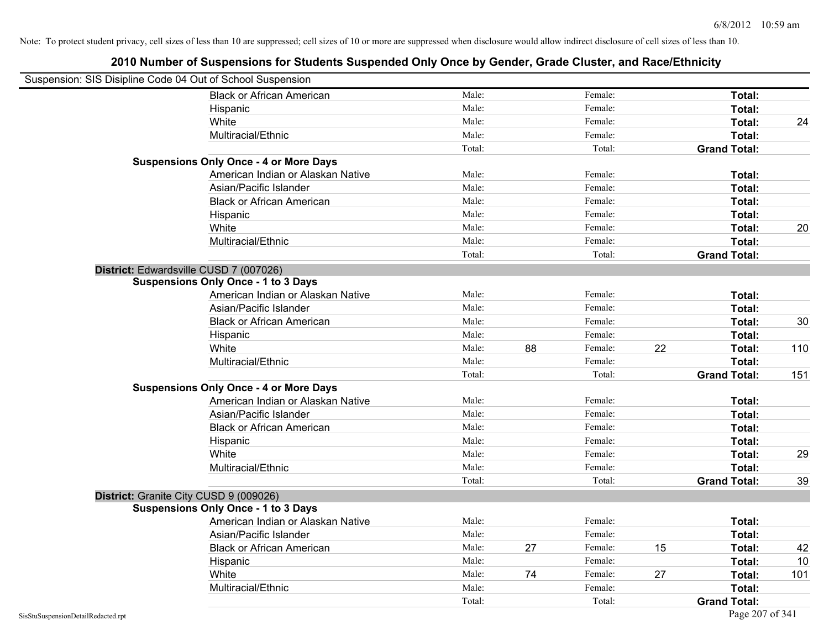| Suspension: SIS Disipline Code 04 Out of School Suspension |                                               |        |    |         |    |                     |     |
|------------------------------------------------------------|-----------------------------------------------|--------|----|---------|----|---------------------|-----|
|                                                            | <b>Black or African American</b>              | Male:  |    | Female: |    | Total:              |     |
|                                                            | Hispanic                                      | Male:  |    | Female: |    | Total:              |     |
|                                                            | White                                         | Male:  |    | Female: |    | Total:              | 24  |
|                                                            | Multiracial/Ethnic                            | Male:  |    | Female: |    | Total:              |     |
|                                                            |                                               | Total: |    | Total:  |    | <b>Grand Total:</b> |     |
|                                                            | <b>Suspensions Only Once - 4 or More Days</b> |        |    |         |    |                     |     |
|                                                            | American Indian or Alaskan Native             | Male:  |    | Female: |    | Total:              |     |
|                                                            | Asian/Pacific Islander                        | Male:  |    | Female: |    | Total:              |     |
|                                                            | <b>Black or African American</b>              | Male:  |    | Female: |    | Total:              |     |
|                                                            | Hispanic                                      | Male:  |    | Female: |    | Total:              |     |
|                                                            | White                                         | Male:  |    | Female: |    | Total:              | 20  |
|                                                            | Multiracial/Ethnic                            | Male:  |    | Female: |    | Total:              |     |
|                                                            |                                               | Total: |    | Total:  |    | <b>Grand Total:</b> |     |
| District: Edwardsville CUSD 7 (007026)                     |                                               |        |    |         |    |                     |     |
|                                                            | <b>Suspensions Only Once - 1 to 3 Days</b>    |        |    |         |    |                     |     |
|                                                            | American Indian or Alaskan Native             | Male:  |    | Female: |    | Total:              |     |
|                                                            | Asian/Pacific Islander                        | Male:  |    | Female: |    | Total:              |     |
|                                                            | <b>Black or African American</b>              | Male:  |    | Female: |    | Total:              | 30  |
|                                                            | Hispanic                                      | Male:  |    | Female: |    | Total:              |     |
|                                                            | White                                         | Male:  | 88 | Female: | 22 | Total:              | 110 |
|                                                            | Multiracial/Ethnic                            | Male:  |    | Female: |    | Total:              |     |
|                                                            |                                               | Total: |    | Total:  |    | <b>Grand Total:</b> | 151 |
|                                                            | <b>Suspensions Only Once - 4 or More Days</b> |        |    |         |    |                     |     |
|                                                            | American Indian or Alaskan Native             | Male:  |    | Female: |    | Total:              |     |
|                                                            | Asian/Pacific Islander                        | Male:  |    | Female: |    | Total:              |     |
|                                                            | <b>Black or African American</b>              | Male:  |    | Female: |    | Total:              |     |
|                                                            | Hispanic                                      | Male:  |    | Female: |    | Total:              |     |
|                                                            | White                                         | Male:  |    | Female: |    | Total:              | 29  |
|                                                            | Multiracial/Ethnic                            | Male:  |    | Female: |    | Total:              |     |
|                                                            |                                               | Total: |    | Total:  |    | <b>Grand Total:</b> | 39  |
| District: Granite City CUSD 9 (009026)                     |                                               |        |    |         |    |                     |     |
|                                                            | <b>Suspensions Only Once - 1 to 3 Days</b>    |        |    |         |    |                     |     |
|                                                            | American Indian or Alaskan Native             | Male:  |    | Female: |    | Total:              |     |
|                                                            | Asian/Pacific Islander                        | Male:  |    | Female: |    | Total:              |     |
|                                                            | <b>Black or African American</b>              | Male:  | 27 | Female: | 15 | Total:              | 42  |
|                                                            | Hispanic                                      | Male:  |    | Female: |    | Total:              | 10  |
|                                                            | White                                         | Male:  | 74 | Female: | 27 | <b>Total:</b>       | 101 |
|                                                            | Multiracial/Ethnic                            | Male:  |    | Female: |    | Total:              |     |
|                                                            |                                               | Total: |    | Total:  |    | <b>Grand Total:</b> |     |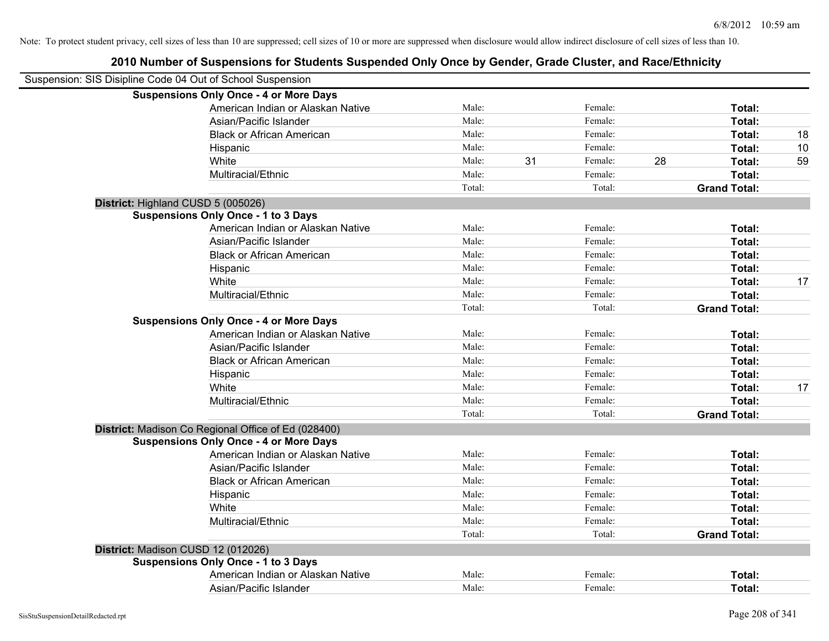| Suspension: SIS Disipline Code 04 Out of School Suspension |                                                     |        |    |         |    |                     |    |
|------------------------------------------------------------|-----------------------------------------------------|--------|----|---------|----|---------------------|----|
|                                                            | <b>Suspensions Only Once - 4 or More Days</b>       |        |    |         |    |                     |    |
|                                                            | American Indian or Alaskan Native                   | Male:  |    | Female: |    | Total:              |    |
|                                                            | Asian/Pacific Islander                              | Male:  |    | Female: |    | Total:              |    |
|                                                            | <b>Black or African American</b>                    | Male:  |    | Female: |    | Total:              | 18 |
|                                                            | Hispanic                                            | Male:  |    | Female: |    | Total:              | 10 |
|                                                            | White                                               | Male:  | 31 | Female: | 28 | Total:              | 59 |
|                                                            | Multiracial/Ethnic                                  | Male:  |    | Female: |    | Total:              |    |
|                                                            |                                                     | Total: |    | Total:  |    | <b>Grand Total:</b> |    |
| District: Highland CUSD 5 (005026)                         |                                                     |        |    |         |    |                     |    |
|                                                            | <b>Suspensions Only Once - 1 to 3 Days</b>          |        |    |         |    |                     |    |
|                                                            | American Indian or Alaskan Native                   | Male:  |    | Female: |    | Total:              |    |
|                                                            | Asian/Pacific Islander                              | Male:  |    | Female: |    | Total:              |    |
|                                                            | <b>Black or African American</b>                    | Male:  |    | Female: |    | Total:              |    |
|                                                            | Hispanic                                            | Male:  |    | Female: |    | Total:              |    |
|                                                            | White                                               | Male:  |    | Female: |    | Total:              | 17 |
|                                                            | Multiracial/Ethnic                                  | Male:  |    | Female: |    | Total:              |    |
|                                                            |                                                     | Total: |    | Total:  |    | <b>Grand Total:</b> |    |
|                                                            | <b>Suspensions Only Once - 4 or More Days</b>       |        |    |         |    |                     |    |
|                                                            | American Indian or Alaskan Native                   | Male:  |    | Female: |    | Total:              |    |
|                                                            | Asian/Pacific Islander                              | Male:  |    | Female: |    | Total:              |    |
|                                                            | <b>Black or African American</b>                    | Male:  |    | Female: |    | Total:              |    |
|                                                            | Hispanic                                            | Male:  |    | Female: |    | Total:              |    |
|                                                            | White                                               | Male:  |    | Female: |    | Total:              | 17 |
|                                                            | Multiracial/Ethnic                                  | Male:  |    | Female: |    | Total:              |    |
|                                                            |                                                     | Total: |    | Total:  |    | <b>Grand Total:</b> |    |
|                                                            | District: Madison Co Regional Office of Ed (028400) |        |    |         |    |                     |    |
|                                                            | <b>Suspensions Only Once - 4 or More Days</b>       |        |    |         |    |                     |    |
|                                                            | American Indian or Alaskan Native                   | Male:  |    | Female: |    | Total:              |    |
|                                                            | Asian/Pacific Islander                              | Male:  |    | Female: |    | Total:              |    |
|                                                            | <b>Black or African American</b>                    | Male:  |    | Female: |    | Total:              |    |
|                                                            | Hispanic                                            | Male:  |    | Female: |    | Total:              |    |
|                                                            | White                                               | Male:  |    | Female: |    | Total:              |    |
|                                                            | Multiracial/Ethnic                                  | Male:  |    | Female: |    | Total:              |    |
|                                                            |                                                     | Total: |    | Total:  |    | <b>Grand Total:</b> |    |
|                                                            | District: Madison CUSD 12 (012026)                  |        |    |         |    |                     |    |
|                                                            | <b>Suspensions Only Once - 1 to 3 Days</b>          |        |    |         |    |                     |    |
|                                                            | American Indian or Alaskan Native                   | Male:  |    | Female: |    | Total:              |    |
|                                                            | Asian/Pacific Islander                              | Male:  |    | Female: |    | Total:              |    |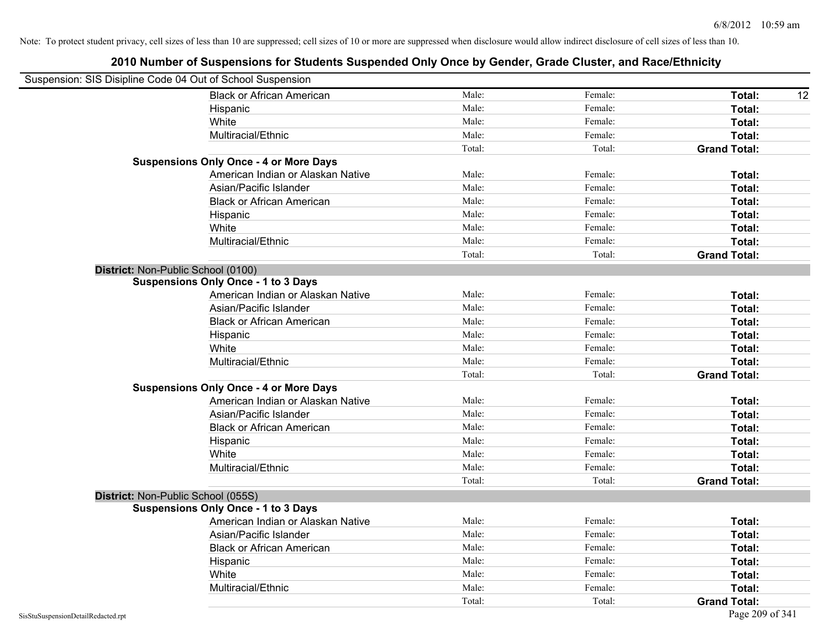| Suspension: SIS Disipline Code 04 Out of School Suspension |                                               |        |         |                     |
|------------------------------------------------------------|-----------------------------------------------|--------|---------|---------------------|
|                                                            | <b>Black or African American</b>              | Male:  | Female: | Total:<br>12        |
|                                                            | Hispanic                                      | Male:  | Female: | <b>Total:</b>       |
|                                                            | White                                         | Male:  | Female: | Total:              |
|                                                            | Multiracial/Ethnic                            | Male:  | Female: | Total:              |
|                                                            |                                               | Total: | Total:  | <b>Grand Total:</b> |
|                                                            | <b>Suspensions Only Once - 4 or More Days</b> |        |         |                     |
|                                                            | American Indian or Alaskan Native             | Male:  | Female: | Total:              |
|                                                            | Asian/Pacific Islander                        | Male:  | Female: | Total:              |
|                                                            | <b>Black or African American</b>              | Male:  | Female: | Total:              |
|                                                            | Hispanic                                      | Male:  | Female: | Total:              |
|                                                            | White                                         | Male:  | Female: | Total:              |
|                                                            | Multiracial/Ethnic                            | Male:  | Female: | Total:              |
|                                                            |                                               | Total: | Total:  | <b>Grand Total:</b> |
| District: Non-Public School (0100)                         |                                               |        |         |                     |
|                                                            | <b>Suspensions Only Once - 1 to 3 Days</b>    |        |         |                     |
|                                                            | American Indian or Alaskan Native             | Male:  | Female: | Total:              |
|                                                            | Asian/Pacific Islander                        | Male:  | Female: | Total:              |
|                                                            | <b>Black or African American</b>              | Male:  | Female: | Total:              |
|                                                            | Hispanic                                      | Male:  | Female: | Total:              |
|                                                            | White                                         | Male:  | Female: | Total:              |
|                                                            | Multiracial/Ethnic                            | Male:  | Female: | Total:              |
|                                                            |                                               | Total: | Total:  | <b>Grand Total:</b> |
|                                                            | <b>Suspensions Only Once - 4 or More Days</b> |        |         |                     |
|                                                            | American Indian or Alaskan Native             | Male:  | Female: | Total:              |
|                                                            | Asian/Pacific Islander                        | Male:  | Female: | Total:              |
|                                                            | <b>Black or African American</b>              | Male:  | Female: | Total:              |
|                                                            | Hispanic                                      | Male:  | Female: | Total:              |
|                                                            | White                                         | Male:  | Female: | Total:              |
|                                                            | Multiracial/Ethnic                            | Male:  | Female: | Total:              |
|                                                            |                                               | Total: | Total:  | <b>Grand Total:</b> |
| District: Non-Public School (055S)                         |                                               |        |         |                     |
|                                                            | <b>Suspensions Only Once - 1 to 3 Days</b>    |        |         |                     |
|                                                            | American Indian or Alaskan Native             | Male:  | Female: | Total:              |
|                                                            | Asian/Pacific Islander                        | Male:  | Female: | Total:              |
|                                                            | <b>Black or African American</b>              | Male:  | Female: | Total:              |
|                                                            | Hispanic                                      | Male:  | Female: | Total:              |
|                                                            | White                                         | Male:  | Female: | Total:              |
|                                                            | Multiracial/Ethnic                            | Male:  | Female: | Total:              |
|                                                            |                                               | Total: | Total:  | <b>Grand Total:</b> |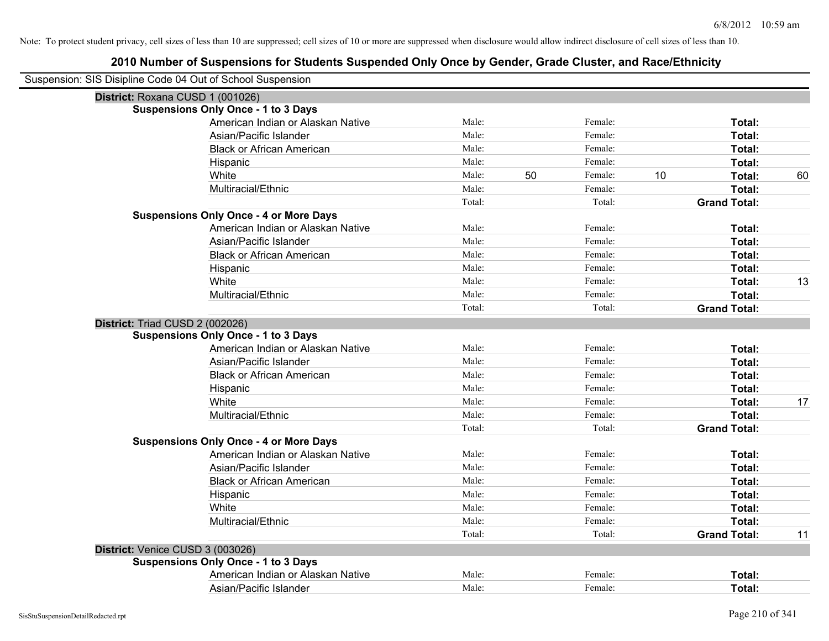| Suspension: SIS Disipline Code 04 Out of School Suspension |                                               |        |    |         |    |                     |    |
|------------------------------------------------------------|-----------------------------------------------|--------|----|---------|----|---------------------|----|
| District: Roxana CUSD 1 (001026)                           |                                               |        |    |         |    |                     |    |
|                                                            | <b>Suspensions Only Once - 1 to 3 Days</b>    |        |    |         |    |                     |    |
|                                                            | American Indian or Alaskan Native             | Male:  |    | Female: |    | Total:              |    |
|                                                            | Asian/Pacific Islander                        | Male:  |    | Female: |    | Total:              |    |
|                                                            | <b>Black or African American</b>              | Male:  |    | Female: |    | Total:              |    |
|                                                            | Hispanic                                      | Male:  |    | Female: |    | Total:              |    |
|                                                            | White                                         | Male:  | 50 | Female: | 10 | Total:              | 60 |
|                                                            | Multiracial/Ethnic                            | Male:  |    | Female: |    | Total:              |    |
|                                                            |                                               | Total: |    | Total:  |    | <b>Grand Total:</b> |    |
|                                                            | <b>Suspensions Only Once - 4 or More Days</b> |        |    |         |    |                     |    |
|                                                            | American Indian or Alaskan Native             | Male:  |    | Female: |    | Total:              |    |
|                                                            | Asian/Pacific Islander                        | Male:  |    | Female: |    | Total:              |    |
|                                                            | <b>Black or African American</b>              | Male:  |    | Female: |    | Total:              |    |
|                                                            | Hispanic                                      | Male:  |    | Female: |    | Total:              |    |
|                                                            | White                                         | Male:  |    | Female: |    | Total:              | 13 |
|                                                            | Multiracial/Ethnic                            | Male:  |    | Female: |    | Total:              |    |
|                                                            |                                               | Total: |    | Total:  |    | <b>Grand Total:</b> |    |
| District: Triad CUSD 2 (002026)                            |                                               |        |    |         |    |                     |    |
|                                                            | <b>Suspensions Only Once - 1 to 3 Days</b>    |        |    |         |    |                     |    |
|                                                            | American Indian or Alaskan Native             | Male:  |    | Female: |    | Total:              |    |
|                                                            | Asian/Pacific Islander                        | Male:  |    | Female: |    | Total:              |    |
|                                                            | <b>Black or African American</b>              | Male:  |    | Female: |    | Total:              |    |
|                                                            | Hispanic                                      | Male:  |    | Female: |    | Total:              |    |
|                                                            | White                                         | Male:  |    | Female: |    | Total:              | 17 |
|                                                            | Multiracial/Ethnic                            | Male:  |    | Female: |    | Total:              |    |
|                                                            |                                               | Total: |    | Total:  |    | <b>Grand Total:</b> |    |
|                                                            | <b>Suspensions Only Once - 4 or More Days</b> |        |    |         |    |                     |    |
|                                                            | American Indian or Alaskan Native             | Male:  |    | Female: |    | Total:              |    |
|                                                            | Asian/Pacific Islander                        | Male:  |    | Female: |    | Total:              |    |
|                                                            | <b>Black or African American</b>              | Male:  |    | Female: |    | Total:              |    |
|                                                            | Hispanic                                      | Male:  |    | Female: |    | Total:              |    |
|                                                            | White                                         | Male:  |    | Female: |    | Total:              |    |
|                                                            | Multiracial/Ethnic                            | Male:  |    | Female: |    | Total:              |    |
|                                                            |                                               | Total: |    | Total:  |    | <b>Grand Total:</b> | 11 |
| District: Venice CUSD 3 (003026)                           |                                               |        |    |         |    |                     |    |
|                                                            | <b>Suspensions Only Once - 1 to 3 Days</b>    |        |    |         |    |                     |    |
|                                                            | American Indian or Alaskan Native             | Male:  |    | Female: |    | Total:              |    |
|                                                            | Asian/Pacific Islander                        | Male:  |    | Female: |    | Total:              |    |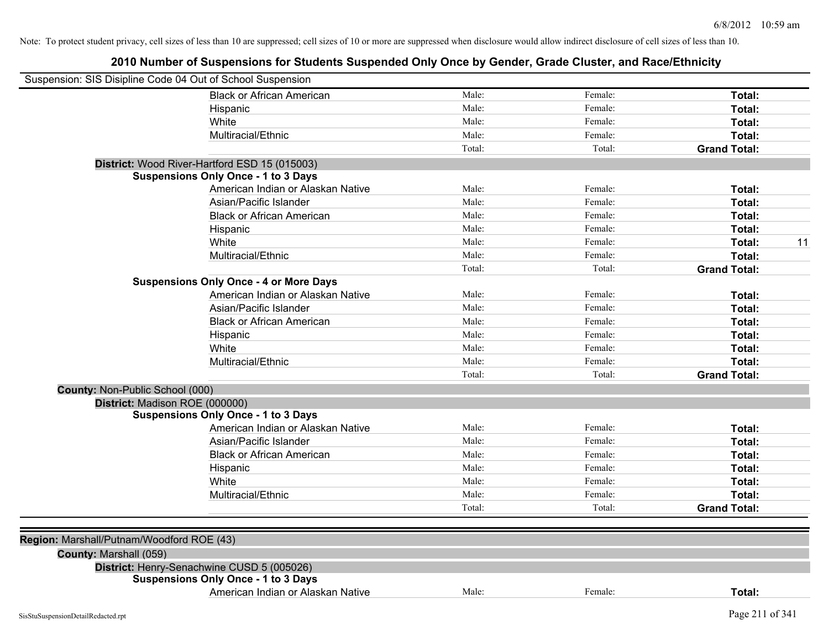| Suspension: SIS Disipline Code 04 Out of School Suspension |                                               |        |         |                     |
|------------------------------------------------------------|-----------------------------------------------|--------|---------|---------------------|
|                                                            | <b>Black or African American</b>              | Male:  | Female: | Total:              |
|                                                            | Hispanic                                      | Male:  | Female: | Total:              |
|                                                            | White                                         | Male:  | Female: | Total:              |
|                                                            | Multiracial/Ethnic                            | Male:  | Female: | Total:              |
|                                                            |                                               | Total: | Total:  | <b>Grand Total:</b> |
|                                                            | District: Wood River-Hartford ESD 15 (015003) |        |         |                     |
|                                                            | <b>Suspensions Only Once - 1 to 3 Days</b>    |        |         |                     |
|                                                            | American Indian or Alaskan Native             | Male:  | Female: | Total:              |
|                                                            | Asian/Pacific Islander                        | Male:  | Female: | Total:              |
|                                                            | <b>Black or African American</b>              | Male:  | Female: | Total:              |
|                                                            | Hispanic                                      | Male:  | Female: | Total:              |
|                                                            | White                                         | Male:  | Female: | Total:<br>11        |
|                                                            | Multiracial/Ethnic                            | Male:  | Female: | Total:              |
|                                                            |                                               | Total: | Total:  | <b>Grand Total:</b> |
|                                                            | <b>Suspensions Only Once - 4 or More Days</b> |        |         |                     |
|                                                            | American Indian or Alaskan Native             | Male:  | Female: | Total:              |
|                                                            | Asian/Pacific Islander                        | Male:  | Female: | Total:              |
|                                                            | <b>Black or African American</b>              | Male:  | Female: | Total:              |
|                                                            | Hispanic                                      | Male:  | Female: | Total:              |
|                                                            | White                                         | Male:  | Female: | Total:              |
|                                                            | Multiracial/Ethnic                            | Male:  | Female: | Total:              |
|                                                            |                                               | Total: | Total:  | <b>Grand Total:</b> |
| County: Non-Public School (000)                            |                                               |        |         |                     |
| District: Madison ROE (000000)                             |                                               |        |         |                     |
|                                                            | <b>Suspensions Only Once - 1 to 3 Days</b>    |        |         |                     |
|                                                            | American Indian or Alaskan Native             | Male:  | Female: | Total:              |
|                                                            | Asian/Pacific Islander                        | Male:  | Female: | Total:              |
|                                                            | <b>Black or African American</b>              | Male:  | Female: | Total:              |
|                                                            | Hispanic                                      | Male:  | Female: | Total:              |
|                                                            | White                                         | Male:  | Female: | Total:              |
|                                                            | Multiracial/Ethnic                            | Male:  | Female: | Total:              |
|                                                            |                                               | Total: | Total:  | <b>Grand Total:</b> |
|                                                            |                                               |        |         |                     |
| Region: Marshall/Putnam/Woodford ROE (43)                  |                                               |        |         |                     |
| County: Marshall (059)                                     |                                               |        |         |                     |
|                                                            | District: Henry-Senachwine CUSD 5 (005026)    |        |         |                     |
|                                                            | <b>Suspensions Only Once - 1 to 3 Days</b>    |        |         |                     |
|                                                            | American Indian or Alaskan Native             | Male:  | Female: | Total:              |
|                                                            |                                               |        |         |                     |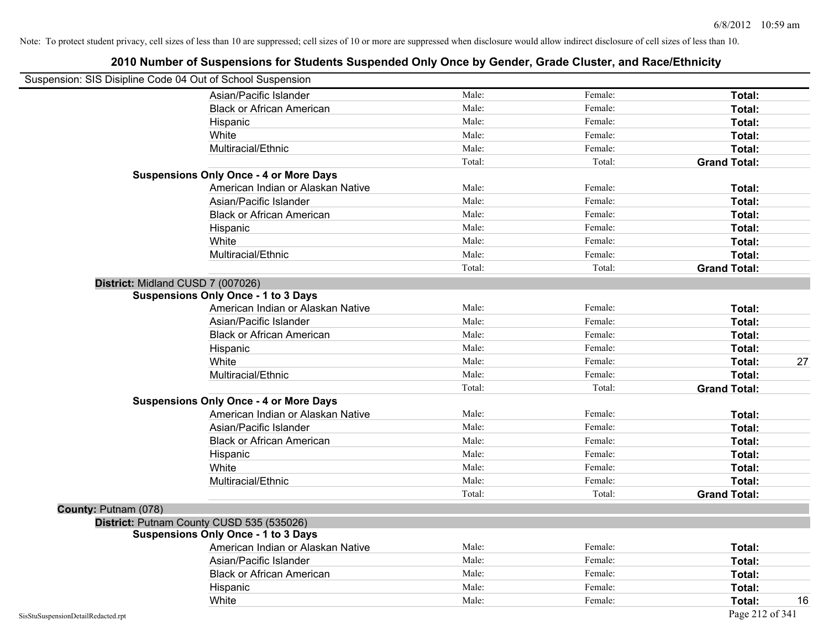| Suspension: SIS Disipline Code 04 Out of School Suspension |                                               |        |         |                     |
|------------------------------------------------------------|-----------------------------------------------|--------|---------|---------------------|
|                                                            | Asian/Pacific Islander                        | Male:  | Female: | Total:              |
|                                                            | <b>Black or African American</b>              | Male:  | Female: | Total:              |
|                                                            | Hispanic                                      | Male:  | Female: | Total:              |
|                                                            | White                                         | Male:  | Female: | Total:              |
|                                                            | Multiracial/Ethnic                            | Male:  | Female: | Total:              |
|                                                            |                                               | Total: | Total:  | <b>Grand Total:</b> |
|                                                            | <b>Suspensions Only Once - 4 or More Days</b> |        |         |                     |
|                                                            | American Indian or Alaskan Native             | Male:  | Female: | Total:              |
|                                                            | Asian/Pacific Islander                        | Male:  | Female: | Total:              |
|                                                            | <b>Black or African American</b>              | Male:  | Female: | Total:              |
|                                                            | Hispanic                                      | Male:  | Female: | Total:              |
|                                                            | White                                         | Male:  | Female: | Total:              |
|                                                            | Multiracial/Ethnic                            | Male:  | Female: | Total:              |
|                                                            |                                               | Total: | Total:  | <b>Grand Total:</b> |
|                                                            | District: Midland CUSD 7 (007026)             |        |         |                     |
|                                                            | <b>Suspensions Only Once - 1 to 3 Days</b>    |        |         |                     |
|                                                            | American Indian or Alaskan Native             | Male:  | Female: | Total:              |
|                                                            | Asian/Pacific Islander                        | Male:  | Female: | Total:              |
|                                                            | <b>Black or African American</b>              | Male:  | Female: | Total:              |
|                                                            | Hispanic                                      | Male:  | Female: | Total:              |
|                                                            | White                                         | Male:  | Female: | 27<br>Total:        |
|                                                            | Multiracial/Ethnic                            | Male:  | Female: | Total:              |
|                                                            |                                               | Total: | Total:  | <b>Grand Total:</b> |
|                                                            | <b>Suspensions Only Once - 4 or More Days</b> |        |         |                     |
|                                                            | American Indian or Alaskan Native             | Male:  | Female: | Total:              |
|                                                            | Asian/Pacific Islander                        | Male:  | Female: | Total:              |
|                                                            | <b>Black or African American</b>              | Male:  | Female: | Total:              |
|                                                            | Hispanic                                      | Male:  | Female: | Total:              |
|                                                            | White                                         | Male:  | Female: | Total:              |
|                                                            | Multiracial/Ethnic                            | Male:  | Female: | Total:              |
|                                                            |                                               | Total: | Total:  | <b>Grand Total:</b> |
| County: Putnam (078)                                       |                                               |        |         |                     |
|                                                            | District: Putnam County CUSD 535 (535026)     |        |         |                     |
|                                                            | <b>Suspensions Only Once - 1 to 3 Days</b>    |        |         |                     |
|                                                            | American Indian or Alaskan Native             | Male:  | Female: | Total:              |
|                                                            | Asian/Pacific Islander                        | Male:  | Female: | Total:              |
|                                                            | <b>Black or African American</b>              | Male:  | Female: | Total:              |
|                                                            | Hispanic                                      | Male:  | Female: | Total:              |
|                                                            | White                                         | Male:  | Female: | 16<br>Total:        |
| SisStuSuspensionDetailRedacted.rpt                         |                                               |        |         | Page 212 of 341     |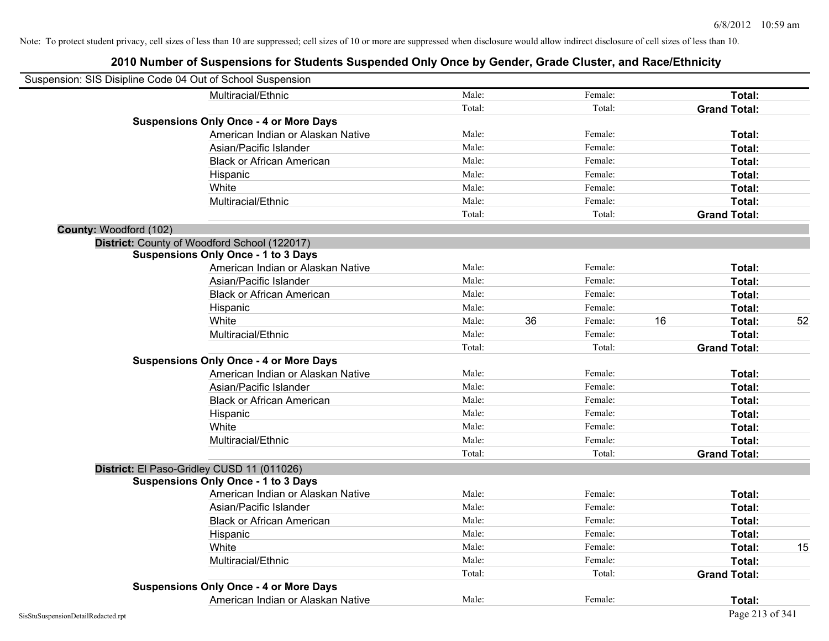|                        | Suspension: SIS Disipline Code 04 Out of School Suspension |        |    |         |    |                     |    |
|------------------------|------------------------------------------------------------|--------|----|---------|----|---------------------|----|
|                        | Multiracial/Ethnic                                         | Male:  |    | Female: |    | Total:              |    |
|                        |                                                            | Total: |    | Total:  |    | <b>Grand Total:</b> |    |
|                        | <b>Suspensions Only Once - 4 or More Days</b>              |        |    |         |    |                     |    |
|                        | American Indian or Alaskan Native                          | Male:  |    | Female: |    | Total:              |    |
|                        | Asian/Pacific Islander                                     | Male:  |    | Female: |    | Total:              |    |
|                        | <b>Black or African American</b>                           | Male:  |    | Female: |    | Total:              |    |
|                        | Hispanic                                                   | Male:  |    | Female: |    | Total:              |    |
|                        | White                                                      | Male:  |    | Female: |    | Total:              |    |
|                        | Multiracial/Ethnic                                         | Male:  |    | Female: |    | Total:              |    |
|                        |                                                            | Total: |    | Total:  |    | <b>Grand Total:</b> |    |
| County: Woodford (102) |                                                            |        |    |         |    |                     |    |
|                        | District: County of Woodford School (122017)               |        |    |         |    |                     |    |
|                        | <b>Suspensions Only Once - 1 to 3 Days</b>                 |        |    |         |    |                     |    |
|                        | American Indian or Alaskan Native                          | Male:  |    | Female: |    | Total:              |    |
|                        | Asian/Pacific Islander                                     | Male:  |    | Female: |    | Total:              |    |
|                        | <b>Black or African American</b>                           | Male:  |    | Female: |    | Total:              |    |
|                        | Hispanic                                                   | Male:  |    | Female: |    | Total:              |    |
|                        | White                                                      | Male:  | 36 | Female: | 16 | Total:              | 52 |
|                        | Multiracial/Ethnic                                         | Male:  |    | Female: |    | Total:              |    |
|                        |                                                            | Total: |    | Total:  |    | <b>Grand Total:</b> |    |
|                        | <b>Suspensions Only Once - 4 or More Days</b>              |        |    |         |    |                     |    |
|                        | American Indian or Alaskan Native                          | Male:  |    | Female: |    | Total:              |    |
|                        | Asian/Pacific Islander                                     | Male:  |    | Female: |    | Total:              |    |
|                        | <b>Black or African American</b>                           | Male:  |    | Female: |    | Total:              |    |
|                        | Hispanic                                                   | Male:  |    | Female: |    | Total:              |    |
|                        | White                                                      | Male:  |    | Female: |    | Total:              |    |
|                        | Multiracial/Ethnic                                         | Male:  |    | Female: |    | Total:              |    |
|                        |                                                            | Total: |    | Total:  |    | <b>Grand Total:</b> |    |
|                        | District: El Paso-Gridley CUSD 11 (011026)                 |        |    |         |    |                     |    |
|                        | <b>Suspensions Only Once - 1 to 3 Days</b>                 |        |    |         |    |                     |    |
|                        | American Indian or Alaskan Native                          | Male:  |    | Female: |    | Total:              |    |
|                        | Asian/Pacific Islander                                     | Male:  |    | Female: |    | Total:              |    |
|                        | <b>Black or African American</b>                           | Male:  |    | Female: |    | Total:              |    |
|                        | Hispanic                                                   | Male:  |    | Female: |    | Total:              |    |
|                        | White                                                      | Male:  |    | Female: |    | Total:              | 15 |
|                        | Multiracial/Ethnic                                         | Male:  |    | Female: |    | Total:              |    |
|                        |                                                            | Total: |    | Total:  |    | <b>Grand Total:</b> |    |
|                        | <b>Suspensions Only Once - 4 or More Days</b>              |        |    |         |    |                     |    |
|                        | American Indian or Alaskan Native                          | Male:  |    | Female: |    | Total:              |    |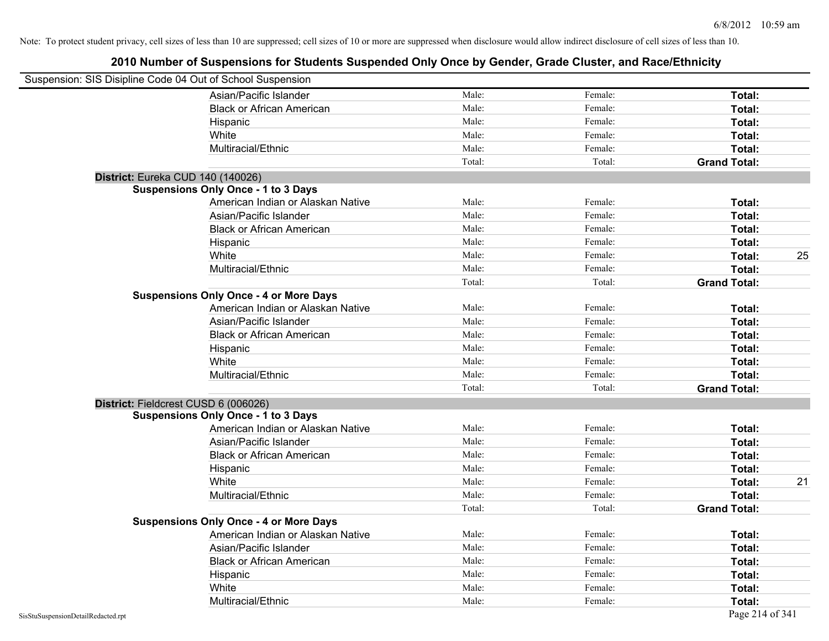| Suspension: SIS Disipline Code 04 Out of School Suspension |                                               |        |         |                     |    |
|------------------------------------------------------------|-----------------------------------------------|--------|---------|---------------------|----|
|                                                            | Asian/Pacific Islander                        | Male:  | Female: | Total:              |    |
|                                                            | <b>Black or African American</b>              | Male:  | Female: | Total:              |    |
|                                                            | Hispanic                                      | Male:  | Female: | Total:              |    |
|                                                            | White                                         | Male:  | Female: | Total:              |    |
|                                                            | Multiracial/Ethnic                            | Male:  | Female: | Total:              |    |
|                                                            |                                               | Total: | Total:  | <b>Grand Total:</b> |    |
| District: Eureka CUD 140 (140026)                          |                                               |        |         |                     |    |
|                                                            | <b>Suspensions Only Once - 1 to 3 Days</b>    |        |         |                     |    |
|                                                            | American Indian or Alaskan Native             | Male:  | Female: | Total:              |    |
|                                                            | Asian/Pacific Islander                        | Male:  | Female: | Total:              |    |
|                                                            | <b>Black or African American</b>              | Male:  | Female: | Total:              |    |
|                                                            | Hispanic                                      | Male:  | Female: | Total:              |    |
|                                                            | White                                         | Male:  | Female: | Total:              | 25 |
|                                                            | Multiracial/Ethnic                            | Male:  | Female: | Total:              |    |
|                                                            |                                               | Total: | Total:  | <b>Grand Total:</b> |    |
|                                                            | <b>Suspensions Only Once - 4 or More Days</b> |        |         |                     |    |
|                                                            | American Indian or Alaskan Native             | Male:  | Female: | Total:              |    |
|                                                            | Asian/Pacific Islander                        | Male:  | Female: | Total:              |    |
|                                                            | <b>Black or African American</b>              | Male:  | Female: | Total:              |    |
|                                                            | Hispanic                                      | Male:  | Female: | Total:              |    |
|                                                            | White                                         | Male:  | Female: | Total:              |    |
|                                                            | Multiracial/Ethnic                            | Male:  | Female: | Total:              |    |
|                                                            |                                               | Total: | Total:  | <b>Grand Total:</b> |    |
| District: Fieldcrest CUSD 6 (006026)                       |                                               |        |         |                     |    |
|                                                            | <b>Suspensions Only Once - 1 to 3 Days</b>    |        |         |                     |    |
|                                                            | American Indian or Alaskan Native             | Male:  | Female: | Total:              |    |
|                                                            | Asian/Pacific Islander                        | Male:  | Female: | Total:              |    |
|                                                            | <b>Black or African American</b>              | Male:  | Female: | Total:              |    |
|                                                            | Hispanic                                      | Male:  | Female: | Total:              |    |
|                                                            | White                                         | Male:  | Female: | Total:              | 21 |
|                                                            | Multiracial/Ethnic                            | Male:  | Female: | Total:              |    |
|                                                            |                                               | Total: | Total:  | <b>Grand Total:</b> |    |
|                                                            | <b>Suspensions Only Once - 4 or More Days</b> |        |         |                     |    |
|                                                            | American Indian or Alaskan Native             | Male:  | Female: | Total:              |    |
|                                                            | Asian/Pacific Islander                        | Male:  | Female: | Total:              |    |
|                                                            | <b>Black or African American</b>              | Male:  | Female: | Total:              |    |
|                                                            | Hispanic                                      | Male:  | Female: | Total:              |    |
|                                                            | White                                         | Male:  | Female: | Total:              |    |
|                                                            | Multiracial/Ethnic                            | Male:  | Female: | Total:              |    |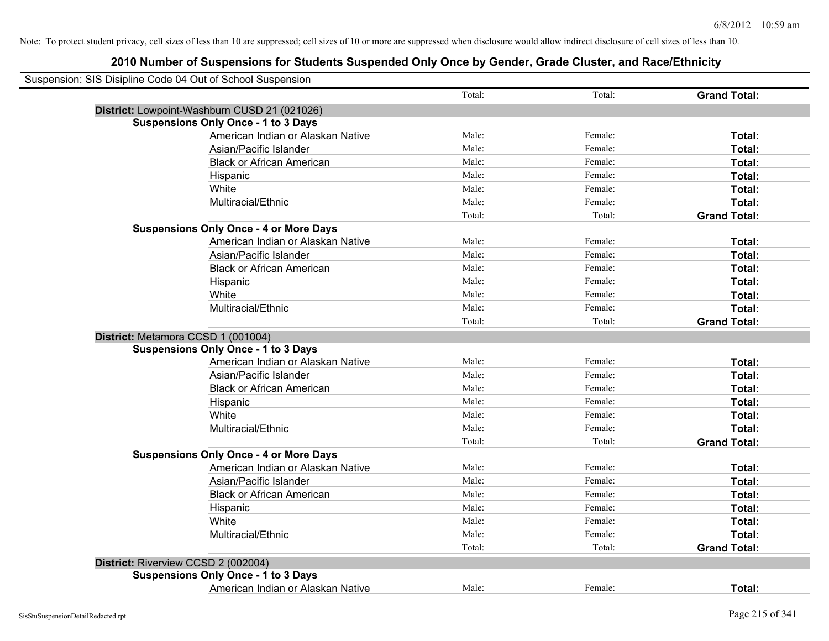| Suspension: SIS Disipline Code 04 Out of School Suspension |                                               |        |         |                     |
|------------------------------------------------------------|-----------------------------------------------|--------|---------|---------------------|
|                                                            |                                               | Total: | Total:  | <b>Grand Total:</b> |
|                                                            | District: Lowpoint-Washburn CUSD 21 (021026)  |        |         |                     |
|                                                            | <b>Suspensions Only Once - 1 to 3 Days</b>    |        |         |                     |
|                                                            | American Indian or Alaskan Native             | Male:  | Female: | Total:              |
|                                                            | Asian/Pacific Islander                        | Male:  | Female: | Total:              |
|                                                            | <b>Black or African American</b>              | Male:  | Female: | Total:              |
|                                                            | Hispanic                                      | Male:  | Female: | Total:              |
|                                                            | White                                         | Male:  | Female: | Total:              |
|                                                            | Multiracial/Ethnic                            | Male:  | Female: | Total:              |
|                                                            |                                               | Total: | Total:  | <b>Grand Total:</b> |
|                                                            | <b>Suspensions Only Once - 4 or More Days</b> |        |         |                     |
|                                                            | American Indian or Alaskan Native             | Male:  | Female: | Total:              |
|                                                            | Asian/Pacific Islander                        | Male:  | Female: | Total:              |
|                                                            | <b>Black or African American</b>              | Male:  | Female: | Total:              |
|                                                            | Hispanic                                      | Male:  | Female: | Total:              |
|                                                            | White                                         | Male:  | Female: | Total:              |
|                                                            | Multiracial/Ethnic                            | Male:  | Female: | Total:              |
|                                                            |                                               | Total: | Total:  | <b>Grand Total:</b> |
| District: Metamora CCSD 1 (001004)                         |                                               |        |         |                     |
|                                                            | <b>Suspensions Only Once - 1 to 3 Days</b>    |        |         |                     |
|                                                            | American Indian or Alaskan Native             | Male:  | Female: | Total:              |
|                                                            | Asian/Pacific Islander                        | Male:  | Female: | Total:              |
|                                                            | <b>Black or African American</b>              | Male:  | Female: | Total:              |
|                                                            | Hispanic                                      | Male:  | Female: | Total:              |
|                                                            | White                                         | Male:  | Female: | Total:              |
|                                                            | Multiracial/Ethnic                            | Male:  | Female: | Total:              |
|                                                            |                                               | Total: | Total:  | <b>Grand Total:</b> |
|                                                            | <b>Suspensions Only Once - 4 or More Days</b> |        |         |                     |
|                                                            | American Indian or Alaskan Native             | Male:  | Female: | Total:              |
|                                                            | Asian/Pacific Islander                        | Male:  | Female: | Total:              |
|                                                            | <b>Black or African American</b>              | Male:  | Female: | Total:              |
|                                                            | Hispanic                                      | Male:  | Female: | Total:              |
|                                                            | White                                         | Male:  | Female: | Total:              |
|                                                            | Multiracial/Ethnic                            | Male:  | Female: | Total:              |
|                                                            |                                               | Total: | Total:  | <b>Grand Total:</b> |
| District: Riverview CCSD 2 (002004)                        |                                               |        |         |                     |
|                                                            | <b>Suspensions Only Once - 1 to 3 Days</b>    |        |         |                     |
|                                                            | American Indian or Alaskan Native             | Male:  | Female: | Total:              |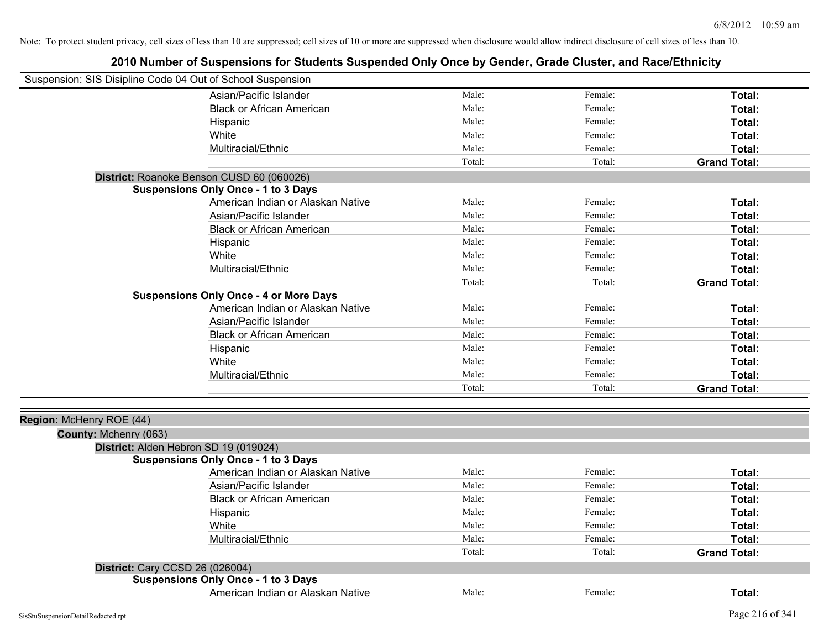| Suspension: SIS Disipline Code 04 Out of School Suspension |                                               |        |         |                     |
|------------------------------------------------------------|-----------------------------------------------|--------|---------|---------------------|
|                                                            | Asian/Pacific Islander                        | Male:  | Female: | Total:              |
|                                                            | <b>Black or African American</b>              | Male:  | Female: | Total:              |
|                                                            | Hispanic                                      | Male:  | Female: | Total:              |
|                                                            | White                                         | Male:  | Female: | Total:              |
|                                                            | Multiracial/Ethnic                            | Male:  | Female: | Total:              |
|                                                            |                                               | Total: | Total:  | <b>Grand Total:</b> |
|                                                            | District: Roanoke Benson CUSD 60 (060026)     |        |         |                     |
|                                                            | <b>Suspensions Only Once - 1 to 3 Days</b>    |        |         |                     |
|                                                            | American Indian or Alaskan Native             | Male:  | Female: | Total:              |
|                                                            | Asian/Pacific Islander                        | Male:  | Female: | Total:              |
|                                                            | <b>Black or African American</b>              | Male:  | Female: | Total:              |
|                                                            | Hispanic                                      | Male:  | Female: | Total:              |
|                                                            | White                                         | Male:  | Female: | Total:              |
|                                                            | Multiracial/Ethnic                            | Male:  | Female: | Total:              |
|                                                            |                                               | Total: | Total:  | <b>Grand Total:</b> |
|                                                            | <b>Suspensions Only Once - 4 or More Days</b> |        |         |                     |
|                                                            | American Indian or Alaskan Native             | Male:  | Female: | Total:              |
|                                                            | Asian/Pacific Islander                        | Male:  | Female: | Total:              |
|                                                            | <b>Black or African American</b>              | Male:  | Female: | Total:              |
|                                                            | Hispanic                                      | Male:  | Female: | Total:              |
|                                                            | White                                         | Male:  | Female: | Total:              |
|                                                            | Multiracial/Ethnic                            | Male:  | Female: | Total:              |
|                                                            |                                               | Total: | Total:  | <b>Grand Total:</b> |
|                                                            |                                               |        |         |                     |
| Region: McHenry ROE (44)                                   |                                               |        |         |                     |
| County: Mchenry (063)                                      |                                               |        |         |                     |
|                                                            | District: Alden Hebron SD 19 (019024)         |        |         |                     |
|                                                            | <b>Suspensions Only Once - 1 to 3 Days</b>    |        |         |                     |
|                                                            | American Indian or Alaskan Native             | Male:  | Female: | Total:              |
|                                                            | Asian/Pacific Islander                        | Male:  | Female: | Total:              |
|                                                            | <b>Black or African American</b>              | Male:  | Female: | Total:              |
|                                                            | Hispanic                                      | Male:  | Female: | Total:              |
|                                                            | White                                         | Male:  | Female: | Total:              |
|                                                            | Multiracial/Ethnic                            | Male:  | Female: | Total:              |
|                                                            |                                               | Total: | Total:  | <b>Grand Total:</b> |
| District: Cary CCSD 26 (026004)                            |                                               |        |         |                     |
|                                                            | <b>Suspensions Only Once - 1 to 3 Days</b>    |        |         |                     |
|                                                            | American Indian or Alaskan Native             | Male:  | Female: | Total:              |
|                                                            |                                               |        |         |                     |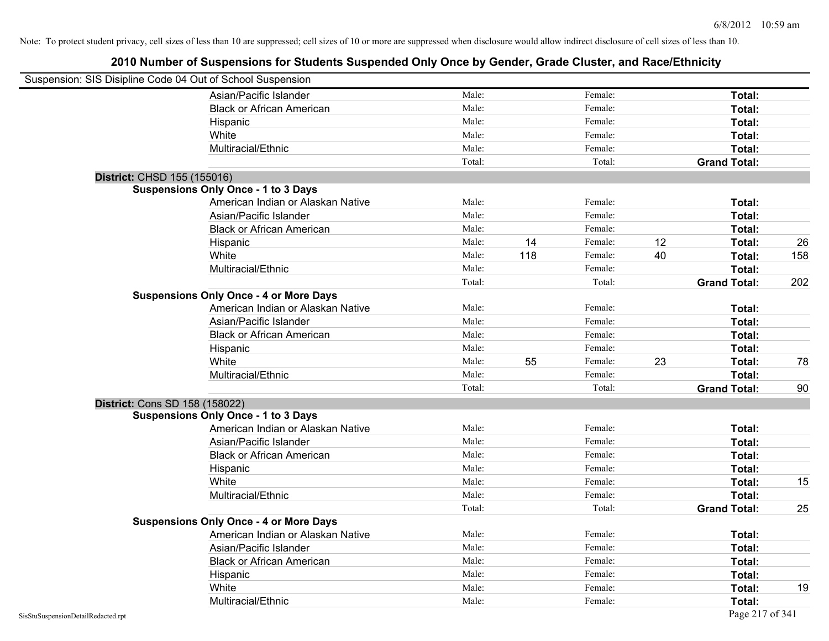| Suspension: SIS Disipline Code 04 Out of School Suspension |                                               |        |     |         |    |                     |     |
|------------------------------------------------------------|-----------------------------------------------|--------|-----|---------|----|---------------------|-----|
|                                                            | Asian/Pacific Islander                        | Male:  |     | Female: |    | Total:              |     |
|                                                            | <b>Black or African American</b>              | Male:  |     | Female: |    | Total:              |     |
|                                                            | Hispanic                                      | Male:  |     | Female: |    | Total:              |     |
|                                                            | White                                         | Male:  |     | Female: |    | Total:              |     |
|                                                            | Multiracial/Ethnic                            | Male:  |     | Female: |    | Total:              |     |
|                                                            |                                               | Total: |     | Total:  |    | <b>Grand Total:</b> |     |
| District: CHSD 155 (155016)                                |                                               |        |     |         |    |                     |     |
|                                                            | <b>Suspensions Only Once - 1 to 3 Days</b>    |        |     |         |    |                     |     |
|                                                            | American Indian or Alaskan Native             | Male:  |     | Female: |    | Total:              |     |
|                                                            | Asian/Pacific Islander                        | Male:  |     | Female: |    | Total:              |     |
|                                                            | <b>Black or African American</b>              | Male:  |     | Female: |    | Total:              |     |
|                                                            | Hispanic                                      | Male:  | 14  | Female: | 12 | Total:              | 26  |
|                                                            | White                                         | Male:  | 118 | Female: | 40 | Total:              | 158 |
|                                                            | Multiracial/Ethnic                            | Male:  |     | Female: |    | Total:              |     |
|                                                            |                                               | Total: |     | Total:  |    | <b>Grand Total:</b> | 202 |
|                                                            | <b>Suspensions Only Once - 4 or More Days</b> |        |     |         |    |                     |     |
|                                                            | American Indian or Alaskan Native             | Male:  |     | Female: |    | Total:              |     |
|                                                            | Asian/Pacific Islander                        | Male:  |     | Female: |    | Total:              |     |
|                                                            | <b>Black or African American</b>              | Male:  |     | Female: |    | Total:              |     |
|                                                            | Hispanic                                      | Male:  |     | Female: |    | Total:              |     |
|                                                            | White                                         | Male:  | 55  | Female: | 23 | Total:              | 78  |
|                                                            | Multiracial/Ethnic                            | Male:  |     | Female: |    | Total:              |     |
|                                                            |                                               | Total: |     | Total:  |    | <b>Grand Total:</b> | 90  |
| <b>District: Cons SD 158 (158022)</b>                      |                                               |        |     |         |    |                     |     |
|                                                            | <b>Suspensions Only Once - 1 to 3 Days</b>    |        |     |         |    |                     |     |
|                                                            | American Indian or Alaskan Native             | Male:  |     | Female: |    | Total:              |     |
|                                                            | Asian/Pacific Islander                        | Male:  |     | Female: |    | Total:              |     |
|                                                            | <b>Black or African American</b>              | Male:  |     | Female: |    | Total:              |     |
|                                                            | Hispanic                                      | Male:  |     | Female: |    | Total:              |     |
|                                                            | White                                         | Male:  |     | Female: |    | Total:              | 15  |
|                                                            | Multiracial/Ethnic                            | Male:  |     | Female: |    | Total:              |     |
|                                                            |                                               | Total: |     | Total:  |    | <b>Grand Total:</b> | 25  |
|                                                            | <b>Suspensions Only Once - 4 or More Days</b> |        |     |         |    |                     |     |
|                                                            | American Indian or Alaskan Native             | Male:  |     | Female: |    | Total:              |     |
|                                                            | Asian/Pacific Islander                        | Male:  |     | Female: |    | Total:              |     |
|                                                            | <b>Black or African American</b>              | Male:  |     | Female: |    | Total:              |     |
|                                                            | Hispanic                                      | Male:  |     | Female: |    | Total:              |     |
|                                                            | White                                         | Male:  |     | Female: |    | <b>Total:</b>       | 19  |
|                                                            | Multiracial/Ethnic                            | Male:  |     | Female: |    | Total:              |     |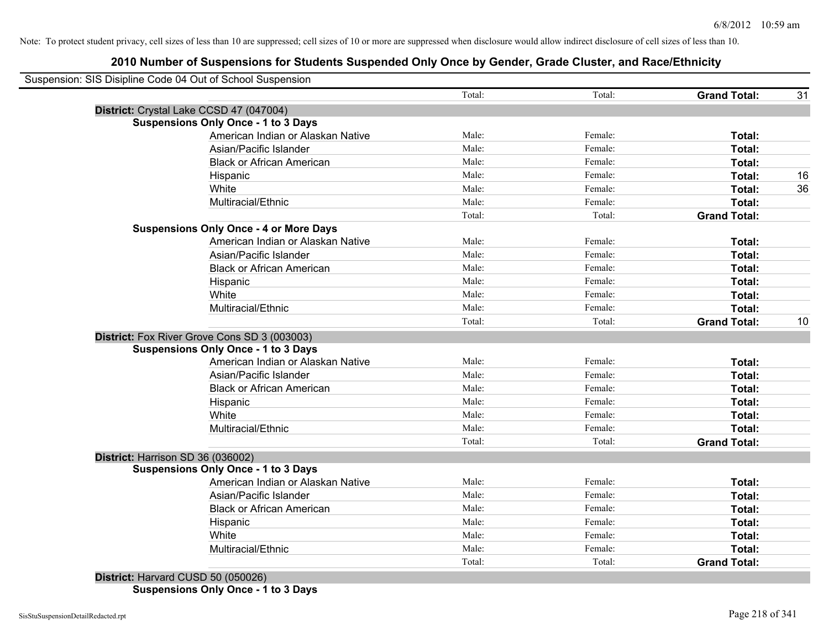# **2010 Number of Suspensions for Students Suspended Only Once by Gender, Grade Cluster, and Race/Ethnicity**

|                                               | Total: | Total:  | <b>Grand Total:</b> |
|-----------------------------------------------|--------|---------|---------------------|
| District: Crystal Lake CCSD 47 (047004)       |        |         |                     |
| <b>Suspensions Only Once - 1 to 3 Days</b>    |        |         |                     |
| American Indian or Alaskan Native             | Male:  | Female: | Total:              |
| Asian/Pacific Islander                        | Male:  | Female: | Total:              |
| <b>Black or African American</b>              | Male:  | Female: | Total:              |
| Hispanic                                      | Male:  | Female: | Total:              |
| White                                         | Male:  | Female: | Total:              |
| Multiracial/Ethnic                            | Male:  | Female: | Total:              |
|                                               | Total: | Total:  | <b>Grand Total:</b> |
| <b>Suspensions Only Once - 4 or More Days</b> |        |         |                     |
| American Indian or Alaskan Native             | Male:  | Female: | Total:              |
| Asian/Pacific Islander                        | Male:  | Female: | Total:              |
| <b>Black or African American</b>              | Male:  | Female: | Total:              |
| Hispanic                                      | Male:  | Female: | Total:              |
| White                                         | Male:  | Female: | Total:              |
| Multiracial/Ethnic                            | Male:  | Female: | <b>Total:</b>       |
|                                               | Total: | Total:  | <b>Grand Total:</b> |
| District: Fox River Grove Cons SD 3 (003003)  |        |         |                     |
| <b>Suspensions Only Once - 1 to 3 Days</b>    |        |         |                     |
| American Indian or Alaskan Native             | Male:  | Female: | Total:              |
| Asian/Pacific Islander                        | Male:  | Female: | Total:              |
| <b>Black or African American</b>              | Male:  | Female: | Total:              |
| Hispanic                                      | Male:  | Female: | Total:              |
| White                                         | Male:  | Female: | Total:              |
| Multiracial/Ethnic                            | Male:  | Female: | Total:              |
|                                               | Total: | Total:  | <b>Grand Total:</b> |
| District: Harrison SD 36 (036002)             |        |         |                     |
| <b>Suspensions Only Once - 1 to 3 Days</b>    |        |         |                     |
| American Indian or Alaskan Native             | Male:  | Female: | Total:              |
| Asian/Pacific Islander                        | Male:  | Female: | Total:              |
| <b>Black or African American</b>              | Male:  | Female: | Total:              |
| Hispanic                                      | Male:  | Female: | Total:              |
| White                                         | Male:  | Female: | Total:              |
| Multiracial/Ethnic                            | Male:  | Female: | <b>Total:</b>       |
|                                               | Total: | Total:  | <b>Grand Total:</b> |

**Suspensions Only Once - 1 to 3 Days**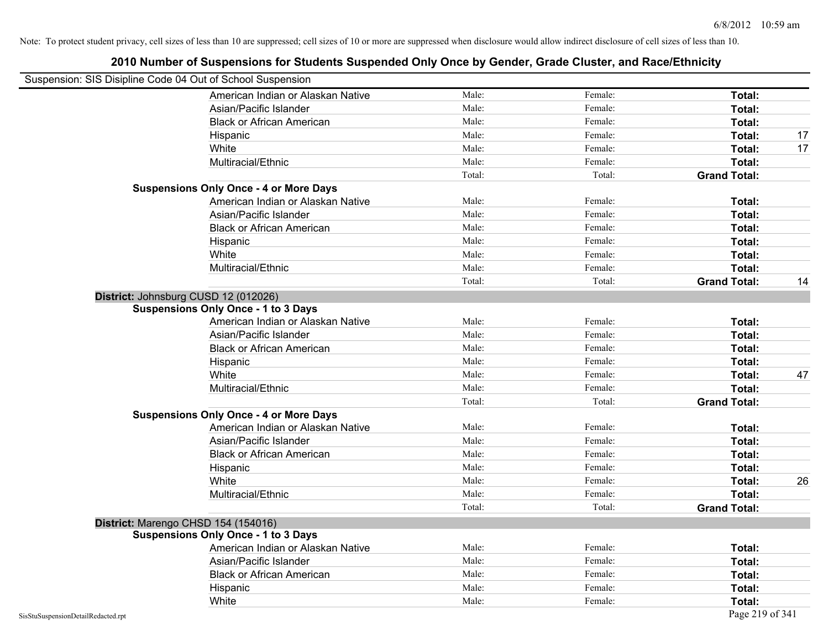| Suspension: SIS Disipline Code 04 Out of School Suspension |                                               |        |         |                     |    |
|------------------------------------------------------------|-----------------------------------------------|--------|---------|---------------------|----|
|                                                            | American Indian or Alaskan Native             | Male:  | Female: | Total:              |    |
|                                                            | Asian/Pacific Islander                        | Male:  | Female: | Total:              |    |
|                                                            | <b>Black or African American</b>              | Male:  | Female: | Total:              |    |
| Hispanic                                                   |                                               | Male:  | Female: | Total:              | 17 |
| White                                                      |                                               | Male:  | Female: | Total:              | 17 |
|                                                            | Multiracial/Ethnic                            | Male:  | Female: | Total:              |    |
|                                                            |                                               | Total: | Total:  | <b>Grand Total:</b> |    |
|                                                            | <b>Suspensions Only Once - 4 or More Days</b> |        |         |                     |    |
|                                                            | American Indian or Alaskan Native             | Male:  | Female: | Total:              |    |
|                                                            | Asian/Pacific Islander                        | Male:  | Female: | Total:              |    |
|                                                            | <b>Black or African American</b>              | Male:  | Female: | Total:              |    |
| Hispanic                                                   |                                               | Male:  | Female: | Total:              |    |
| White                                                      |                                               | Male:  | Female: | Total:              |    |
|                                                            | Multiracial/Ethnic                            | Male:  | Female: | Total:              |    |
|                                                            |                                               | Total: | Total:  | <b>Grand Total:</b> | 14 |
| District: Johnsburg CUSD 12 (012026)                       |                                               |        |         |                     |    |
| <b>Suspensions Only Once - 1 to 3 Days</b>                 |                                               |        |         |                     |    |
|                                                            | American Indian or Alaskan Native             | Male:  | Female: | Total:              |    |
|                                                            | Asian/Pacific Islander                        | Male:  | Female: | Total:              |    |
|                                                            | <b>Black or African American</b>              | Male:  | Female: | Total:              |    |
| Hispanic                                                   |                                               | Male:  | Female: | Total:              |    |
| White                                                      |                                               | Male:  | Female: | Total:              | 47 |
|                                                            | Multiracial/Ethnic                            | Male:  | Female: | Total:              |    |
|                                                            |                                               | Total: | Total:  | <b>Grand Total:</b> |    |
|                                                            | <b>Suspensions Only Once - 4 or More Days</b> |        |         |                     |    |
|                                                            | American Indian or Alaskan Native             | Male:  | Female: | Total:              |    |
|                                                            | Asian/Pacific Islander                        | Male:  | Female: | Total:              |    |
|                                                            | <b>Black or African American</b>              | Male:  | Female: | Total:              |    |
| Hispanic                                                   |                                               | Male:  | Female: | Total:              |    |
| White                                                      |                                               | Male:  | Female: | Total:              | 26 |
|                                                            | Multiracial/Ethnic                            | Male:  | Female: | Total:              |    |
|                                                            |                                               | Total: | Total:  | <b>Grand Total:</b> |    |
| District: Marengo CHSD 154 (154016)                        |                                               |        |         |                     |    |
| <b>Suspensions Only Once - 1 to 3 Days</b>                 |                                               |        |         |                     |    |
|                                                            | American Indian or Alaskan Native             | Male:  | Female: | Total:              |    |
|                                                            | Asian/Pacific Islander                        | Male:  | Female: | Total:              |    |
|                                                            | <b>Black or African American</b>              | Male:  | Female: | Total:              |    |
| Hispanic                                                   |                                               | Male:  | Female: | Total:              |    |
| White                                                      |                                               | Male:  | Female: | Total:              |    |
| SisStuSuspensionDetailRedacted.rpt                         |                                               |        |         | Page 219 of 341     |    |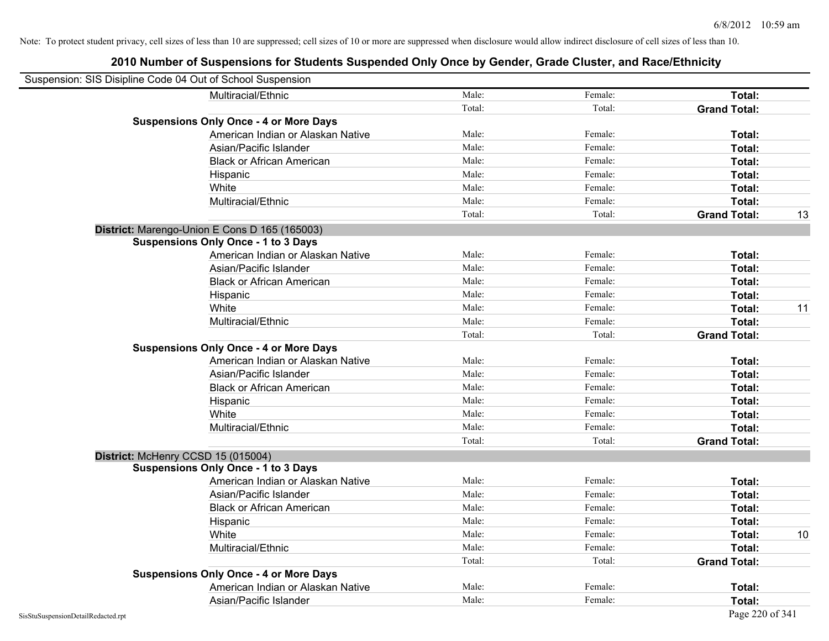| Suspension: SIS Disipline Code 04 Out of School Suspension |                                               |        |         |                     |                 |
|------------------------------------------------------------|-----------------------------------------------|--------|---------|---------------------|-----------------|
|                                                            | Multiracial/Ethnic                            | Male:  | Female: | Total:              |                 |
|                                                            |                                               | Total: | Total:  | <b>Grand Total:</b> |                 |
|                                                            | <b>Suspensions Only Once - 4 or More Days</b> |        |         |                     |                 |
|                                                            | American Indian or Alaskan Native             | Male:  | Female: | Total:              |                 |
|                                                            | Asian/Pacific Islander                        | Male:  | Female: | Total:              |                 |
|                                                            | <b>Black or African American</b>              | Male:  | Female: | Total:              |                 |
|                                                            | Hispanic                                      | Male:  | Female: | Total:              |                 |
|                                                            | White                                         | Male:  | Female: | Total:              |                 |
|                                                            | Multiracial/Ethnic                            | Male:  | Female: | Total:              |                 |
|                                                            |                                               | Total: | Total:  | <b>Grand Total:</b> | 13              |
|                                                            | District: Marengo-Union E Cons D 165 (165003) |        |         |                     |                 |
|                                                            | <b>Suspensions Only Once - 1 to 3 Days</b>    |        |         |                     |                 |
|                                                            | American Indian or Alaskan Native             | Male:  | Female: | Total:              |                 |
|                                                            | Asian/Pacific Islander                        | Male:  | Female: | Total:              |                 |
|                                                            | <b>Black or African American</b>              | Male:  | Female: | Total:              |                 |
|                                                            | Hispanic                                      | Male:  | Female: | Total:              |                 |
|                                                            | White                                         | Male:  | Female: | Total:              | 11              |
|                                                            | Multiracial/Ethnic                            | Male:  | Female: | Total:              |                 |
|                                                            |                                               | Total: | Total:  | <b>Grand Total:</b> |                 |
|                                                            | <b>Suspensions Only Once - 4 or More Days</b> |        |         |                     |                 |
|                                                            | American Indian or Alaskan Native             | Male:  | Female: | Total:              |                 |
|                                                            | Asian/Pacific Islander                        | Male:  | Female: | Total:              |                 |
|                                                            | <b>Black or African American</b>              | Male:  | Female: | Total:              |                 |
|                                                            | Hispanic                                      | Male:  | Female: | Total:              |                 |
|                                                            | White                                         | Male:  | Female: | Total:              |                 |
|                                                            | Multiracial/Ethnic                            | Male:  | Female: | Total:              |                 |
|                                                            |                                               | Total: | Total:  | <b>Grand Total:</b> |                 |
| District: McHenry CCSD 15 (015004)                         |                                               |        |         |                     |                 |
|                                                            | <b>Suspensions Only Once - 1 to 3 Days</b>    |        |         |                     |                 |
|                                                            | American Indian or Alaskan Native             | Male:  | Female: | Total:              |                 |
|                                                            | Asian/Pacific Islander                        | Male:  | Female: | Total:              |                 |
|                                                            | <b>Black or African American</b>              | Male:  | Female: | Total:              |                 |
|                                                            | Hispanic                                      | Male:  | Female: | Total:              |                 |
|                                                            | White                                         | Male:  | Female: | Total:              | 10 <sup>°</sup> |
|                                                            | Multiracial/Ethnic                            | Male:  | Female: | Total:              |                 |
|                                                            |                                               | Total: | Total:  | <b>Grand Total:</b> |                 |
|                                                            | <b>Suspensions Only Once - 4 or More Days</b> |        |         |                     |                 |
|                                                            | American Indian or Alaskan Native             | Male:  | Female: | Total:              |                 |
|                                                            | Asian/Pacific Islander                        | Male:  | Female: | Total:              |                 |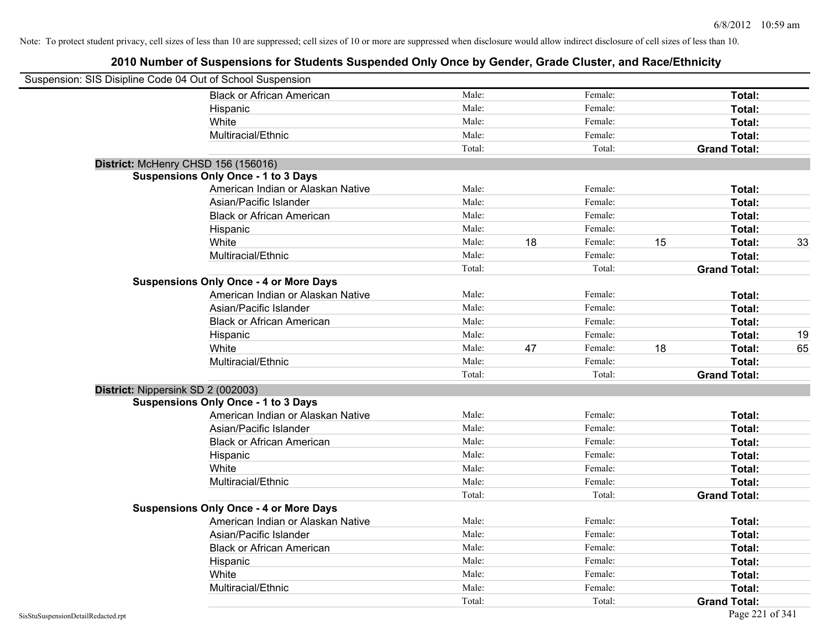| Suspension: SIS Disipline Code 04 Out of School Suspension |                                               |        |    |         |    |                     |    |
|------------------------------------------------------------|-----------------------------------------------|--------|----|---------|----|---------------------|----|
|                                                            | <b>Black or African American</b>              | Male:  |    | Female: |    | Total:              |    |
|                                                            | Hispanic                                      | Male:  |    | Female: |    | Total:              |    |
|                                                            | White                                         | Male:  |    | Female: |    | Total:              |    |
|                                                            | Multiracial/Ethnic                            | Male:  |    | Female: |    | Total:              |    |
|                                                            |                                               | Total: |    | Total:  |    | <b>Grand Total:</b> |    |
| District: McHenry CHSD 156 (156016)                        |                                               |        |    |         |    |                     |    |
|                                                            | <b>Suspensions Only Once - 1 to 3 Days</b>    |        |    |         |    |                     |    |
|                                                            | American Indian or Alaskan Native             | Male:  |    | Female: |    | Total:              |    |
|                                                            | Asian/Pacific Islander                        | Male:  |    | Female: |    | Total:              |    |
|                                                            | <b>Black or African American</b>              | Male:  |    | Female: |    | Total:              |    |
|                                                            | Hispanic                                      | Male:  |    | Female: |    | Total:              |    |
|                                                            | White                                         | Male:  | 18 | Female: | 15 | Total:              | 33 |
|                                                            | Multiracial/Ethnic                            | Male:  |    | Female: |    | Total:              |    |
|                                                            |                                               | Total: |    | Total:  |    | <b>Grand Total:</b> |    |
|                                                            | <b>Suspensions Only Once - 4 or More Days</b> |        |    |         |    |                     |    |
|                                                            | American Indian or Alaskan Native             | Male:  |    | Female: |    | Total:              |    |
|                                                            | Asian/Pacific Islander                        | Male:  |    | Female: |    | Total:              |    |
|                                                            | <b>Black or African American</b>              | Male:  |    | Female: |    | Total:              |    |
|                                                            | Hispanic                                      | Male:  |    | Female: |    | Total:              | 19 |
|                                                            | White                                         | Male:  | 47 | Female: | 18 | Total:              | 65 |
|                                                            | Multiracial/Ethnic                            | Male:  |    | Female: |    | Total:              |    |
|                                                            |                                               | Total: |    | Total:  |    | <b>Grand Total:</b> |    |
| District: Nippersink SD 2 (002003)                         |                                               |        |    |         |    |                     |    |
|                                                            | <b>Suspensions Only Once - 1 to 3 Days</b>    |        |    |         |    |                     |    |
|                                                            | American Indian or Alaskan Native             | Male:  |    | Female: |    | Total:              |    |
|                                                            | Asian/Pacific Islander                        | Male:  |    | Female: |    | Total:              |    |
|                                                            | <b>Black or African American</b>              | Male:  |    | Female: |    | Total:              |    |
|                                                            | Hispanic                                      | Male:  |    | Female: |    | Total:              |    |
|                                                            | White                                         | Male:  |    | Female: |    | Total:              |    |
|                                                            | Multiracial/Ethnic                            | Male:  |    | Female: |    | Total:              |    |
|                                                            |                                               | Total: |    | Total:  |    | <b>Grand Total:</b> |    |
|                                                            | <b>Suspensions Only Once - 4 or More Days</b> |        |    |         |    |                     |    |
|                                                            | American Indian or Alaskan Native             | Male:  |    | Female: |    | Total:              |    |
|                                                            | Asian/Pacific Islander                        | Male:  |    | Female: |    | Total:              |    |
|                                                            | <b>Black or African American</b>              | Male:  |    | Female: |    | Total:              |    |
|                                                            | Hispanic                                      | Male:  |    | Female: |    | Total:              |    |
|                                                            | White                                         | Male:  |    | Female: |    | Total:              |    |
|                                                            | Multiracial/Ethnic                            | Male:  |    | Female: |    | Total:              |    |
|                                                            |                                               | Total: |    | Total:  |    | <b>Grand Total:</b> |    |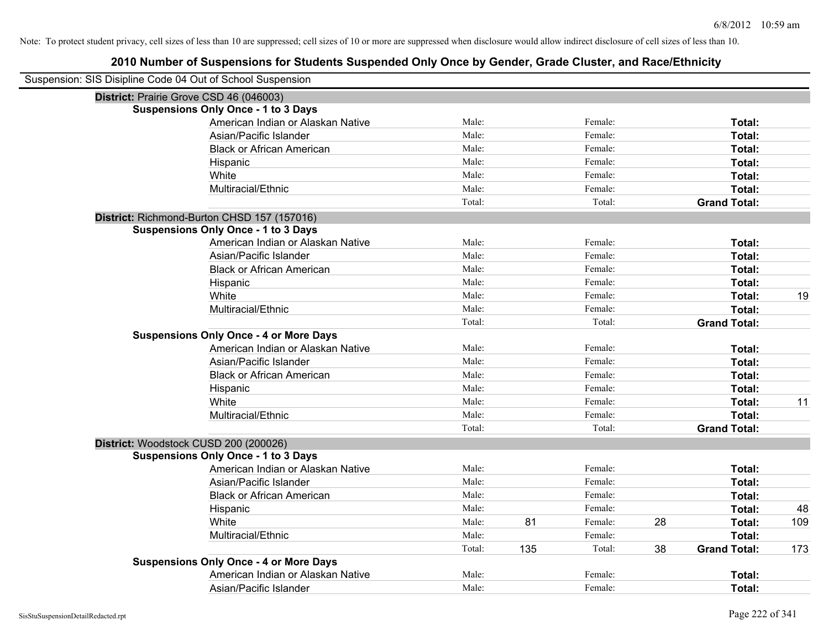| Suspension: SIS Disipline Code 04 Out of School Suspension |        |     |         |    |                     |     |
|------------------------------------------------------------|--------|-----|---------|----|---------------------|-----|
| District: Prairie Grove CSD 46 (046003)                    |        |     |         |    |                     |     |
| <b>Suspensions Only Once - 1 to 3 Days</b>                 |        |     |         |    |                     |     |
| American Indian or Alaskan Native                          | Male:  |     | Female: |    | Total:              |     |
| Asian/Pacific Islander                                     | Male:  |     | Female: |    | Total:              |     |
| <b>Black or African American</b>                           | Male:  |     | Female: |    | Total:              |     |
| Hispanic                                                   | Male:  |     | Female: |    | Total:              |     |
| White                                                      | Male:  |     | Female: |    | Total:              |     |
| Multiracial/Ethnic                                         | Male:  |     | Female: |    | Total:              |     |
|                                                            | Total: |     | Total:  |    | <b>Grand Total:</b> |     |
| District: Richmond-Burton CHSD 157 (157016)                |        |     |         |    |                     |     |
| <b>Suspensions Only Once - 1 to 3 Days</b>                 |        |     |         |    |                     |     |
| American Indian or Alaskan Native                          | Male:  |     | Female: |    | Total:              |     |
| Asian/Pacific Islander                                     | Male:  |     | Female: |    | Total:              |     |
| <b>Black or African American</b>                           | Male:  |     | Female: |    | Total:              |     |
| Hispanic                                                   | Male:  |     | Female: |    | Total:              |     |
| White                                                      | Male:  |     | Female: |    | Total:              | 19  |
| Multiracial/Ethnic                                         | Male:  |     | Female: |    | Total:              |     |
|                                                            | Total: |     | Total:  |    | <b>Grand Total:</b> |     |
| <b>Suspensions Only Once - 4 or More Days</b>              |        |     |         |    |                     |     |
| American Indian or Alaskan Native                          | Male:  |     | Female: |    | Total:              |     |
| Asian/Pacific Islander                                     | Male:  |     | Female: |    | Total:              |     |
| <b>Black or African American</b>                           | Male:  |     | Female: |    | Total:              |     |
| Hispanic                                                   | Male:  |     | Female: |    | Total:              |     |
| White                                                      | Male:  |     | Female: |    | Total:              | 11  |
| Multiracial/Ethnic                                         | Male:  |     | Female: |    | Total:              |     |
|                                                            | Total: |     | Total:  |    | <b>Grand Total:</b> |     |
| District: Woodstock CUSD 200 (200026)                      |        |     |         |    |                     |     |
| <b>Suspensions Only Once - 1 to 3 Days</b>                 |        |     |         |    |                     |     |
| American Indian or Alaskan Native                          | Male:  |     | Female: |    | Total:              |     |
| Asian/Pacific Islander                                     | Male:  |     | Female: |    | Total:              |     |
| <b>Black or African American</b>                           | Male:  |     | Female: |    | Total:              |     |
| Hispanic                                                   | Male:  |     | Female: |    | Total:              | 48  |
| White                                                      | Male:  | 81  | Female: | 28 | Total:              | 109 |
| Multiracial/Ethnic                                         | Male:  |     | Female: |    | Total:              |     |
|                                                            | Total: | 135 | Total:  | 38 | <b>Grand Total:</b> | 173 |
| <b>Suspensions Only Once - 4 or More Days</b>              |        |     |         |    |                     |     |
| American Indian or Alaskan Native                          | Male:  |     | Female: |    | <b>Total:</b>       |     |
| Asian/Pacific Islander                                     | Male:  |     | Female: |    | Total:              |     |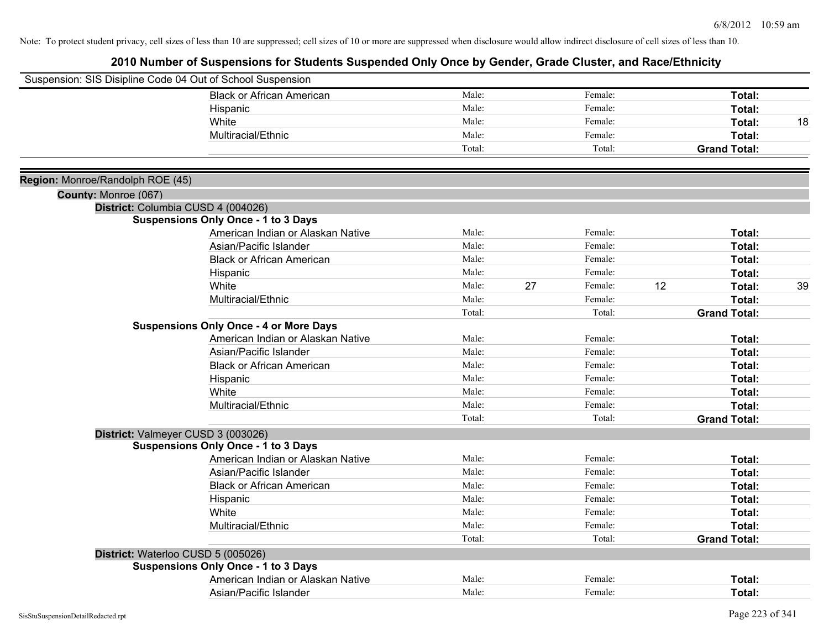|                                  | Suspension: SIS Disipline Code 04 Out of School Suspension |        |    |         |                     |    |
|----------------------------------|------------------------------------------------------------|--------|----|---------|---------------------|----|
|                                  | <b>Black or African American</b>                           | Male:  |    | Female: | Total:              |    |
|                                  | Hispanic                                                   | Male:  |    | Female: | Total:              |    |
|                                  | White                                                      | Male:  |    | Female: | Total:              | 18 |
|                                  | Multiracial/Ethnic                                         | Male:  |    | Female: | Total:              |    |
|                                  |                                                            | Total: |    | Total:  | <b>Grand Total:</b> |    |
| Region: Monroe/Randolph ROE (45) |                                                            |        |    |         |                     |    |
| County: Monroe (067)             |                                                            |        |    |         |                     |    |
|                                  | District: Columbia CUSD 4 (004026)                         |        |    |         |                     |    |
|                                  | <b>Suspensions Only Once - 1 to 3 Days</b>                 |        |    |         |                     |    |
|                                  | American Indian or Alaskan Native                          | Male:  |    | Female: | Total:              |    |
|                                  | Asian/Pacific Islander                                     | Male:  |    | Female: | Total:              |    |
|                                  | <b>Black or African American</b>                           | Male:  |    | Female: | Total:              |    |
|                                  | Hispanic                                                   | Male:  |    | Female: | Total:              |    |
|                                  | White                                                      | Male:  | 27 | Female: | 12<br>Total:        | 39 |
|                                  | Multiracial/Ethnic                                         | Male:  |    | Female: | Total:              |    |
|                                  |                                                            | Total: |    | Total:  | <b>Grand Total:</b> |    |
|                                  | <b>Suspensions Only Once - 4 or More Days</b>              |        |    |         |                     |    |
|                                  | American Indian or Alaskan Native                          | Male:  |    | Female: | Total:              |    |
|                                  | Asian/Pacific Islander                                     | Male:  |    | Female: | Total:              |    |
|                                  | <b>Black or African American</b>                           | Male:  |    | Female: | Total:              |    |
|                                  | Hispanic                                                   | Male:  |    | Female: | Total:              |    |
|                                  | White                                                      | Male:  |    | Female: | Total:              |    |
|                                  | Multiracial/Ethnic                                         | Male:  |    | Female: | Total:              |    |
|                                  |                                                            | Total: |    | Total:  | <b>Grand Total:</b> |    |
|                                  | District: Valmeyer CUSD 3 (003026)                         |        |    |         |                     |    |
|                                  | <b>Suspensions Only Once - 1 to 3 Days</b>                 |        |    |         |                     |    |
|                                  | American Indian or Alaskan Native                          | Male:  |    | Female: | Total:              |    |
|                                  | Asian/Pacific Islander                                     | Male:  |    | Female: | Total:              |    |
|                                  | <b>Black or African American</b>                           | Male:  |    | Female: | Total:              |    |
|                                  | Hispanic                                                   | Male:  |    | Female: | Total:              |    |
|                                  | White                                                      | Male:  |    | Female: | Total:              |    |
|                                  | Multiracial/Ethnic                                         | Male:  |    | Female: | Total:              |    |
|                                  |                                                            | Total: |    | Total:  | <b>Grand Total:</b> |    |
|                                  | District: Waterloo CUSD 5 (005026)                         |        |    |         |                     |    |
|                                  | <b>Suspensions Only Once - 1 to 3 Days</b>                 |        |    |         |                     |    |
|                                  | American Indian or Alaskan Native                          | Male:  |    | Female: | Total:              |    |
|                                  | Asian/Pacific Islander                                     | Male:  |    | Female: | Total:              |    |
|                                  |                                                            |        |    |         |                     |    |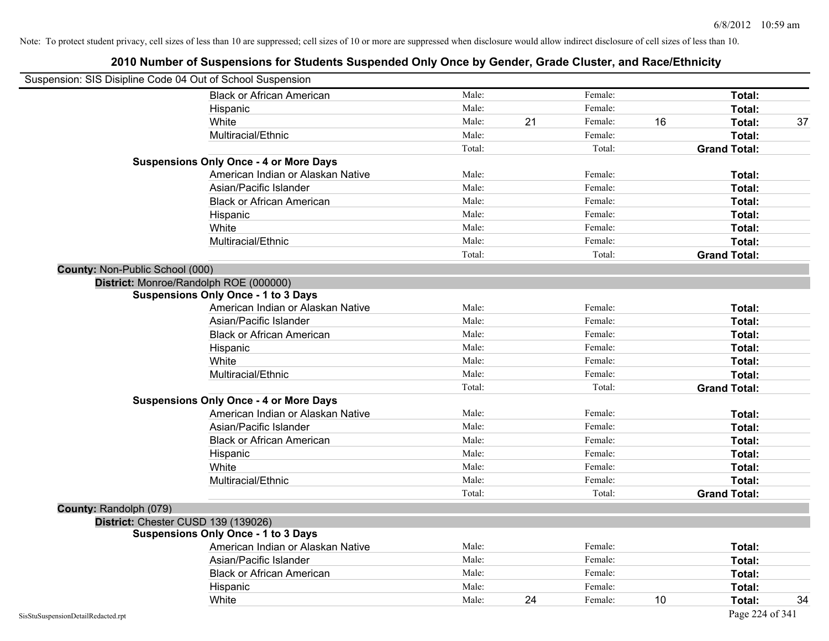|                                        | Suspension: SIS Disipline Code 04 Out of School Suspension |        |    |         |    |                     |    |
|----------------------------------------|------------------------------------------------------------|--------|----|---------|----|---------------------|----|
|                                        | <b>Black or African American</b>                           | Male:  |    | Female: |    | Total:              |    |
|                                        | Hispanic                                                   | Male:  |    | Female: |    | Total:              |    |
|                                        | White                                                      | Male:  | 21 | Female: | 16 | Total:              | 37 |
|                                        | Multiracial/Ethnic                                         | Male:  |    | Female: |    | Total:              |    |
|                                        |                                                            | Total: |    | Total:  |    | <b>Grand Total:</b> |    |
|                                        | <b>Suspensions Only Once - 4 or More Days</b>              |        |    |         |    |                     |    |
|                                        | American Indian or Alaskan Native                          | Male:  |    | Female: |    | Total:              |    |
|                                        | Asian/Pacific Islander                                     | Male:  |    | Female: |    | Total:              |    |
|                                        | <b>Black or African American</b>                           | Male:  |    | Female: |    | Total:              |    |
|                                        | Hispanic                                                   | Male:  |    | Female: |    | Total:              |    |
|                                        | White                                                      | Male:  |    | Female: |    | Total:              |    |
|                                        | Multiracial/Ethnic                                         | Male:  |    | Female: |    | Total:              |    |
|                                        |                                                            | Total: |    | Total:  |    | <b>Grand Total:</b> |    |
| <b>County: Non-Public School (000)</b> |                                                            |        |    |         |    |                     |    |
|                                        | District: Monroe/Randolph ROE (000000)                     |        |    |         |    |                     |    |
|                                        | <b>Suspensions Only Once - 1 to 3 Days</b>                 |        |    |         |    |                     |    |
|                                        | American Indian or Alaskan Native                          | Male:  |    | Female: |    | Total:              |    |
|                                        | Asian/Pacific Islander                                     | Male:  |    | Female: |    | Total:              |    |
|                                        | <b>Black or African American</b>                           | Male:  |    | Female: |    | Total:              |    |
|                                        | Hispanic                                                   | Male:  |    | Female: |    | Total:              |    |
|                                        | White                                                      | Male:  |    | Female: |    | Total:              |    |
|                                        | Multiracial/Ethnic                                         | Male:  |    | Female: |    | Total:              |    |
|                                        |                                                            | Total: |    | Total:  |    | <b>Grand Total:</b> |    |
|                                        | <b>Suspensions Only Once - 4 or More Days</b>              |        |    |         |    |                     |    |
|                                        | American Indian or Alaskan Native                          | Male:  |    | Female: |    | Total:              |    |
|                                        | Asian/Pacific Islander                                     | Male:  |    | Female: |    | Total:              |    |
|                                        | <b>Black or African American</b>                           | Male:  |    | Female: |    | Total:              |    |
|                                        | Hispanic                                                   | Male:  |    | Female: |    | Total:              |    |
|                                        | White                                                      | Male:  |    | Female: |    | Total:              |    |
|                                        | Multiracial/Ethnic                                         | Male:  |    | Female: |    | Total:              |    |
|                                        |                                                            | Total: |    | Total:  |    | <b>Grand Total:</b> |    |
| County: Randolph (079)                 |                                                            |        |    |         |    |                     |    |
|                                        | District: Chester CUSD 139 (139026)                        |        |    |         |    |                     |    |
|                                        | <b>Suspensions Only Once - 1 to 3 Days</b>                 |        |    |         |    |                     |    |
|                                        | American Indian or Alaskan Native                          | Male:  |    | Female: |    | Total:              |    |
|                                        | Asian/Pacific Islander                                     | Male:  |    | Female: |    | Total:              |    |
|                                        | <b>Black or African American</b>                           | Male:  |    | Female: |    | Total:              |    |
|                                        | Hispanic                                                   | Male:  |    | Female: |    | Total:              |    |
|                                        | White                                                      | Male:  | 24 | Female: | 10 | Total:              | 34 |
| SisStuSuspensionDetailRedacted.rpt     |                                                            |        |    |         |    | Page 224 of 341     |    |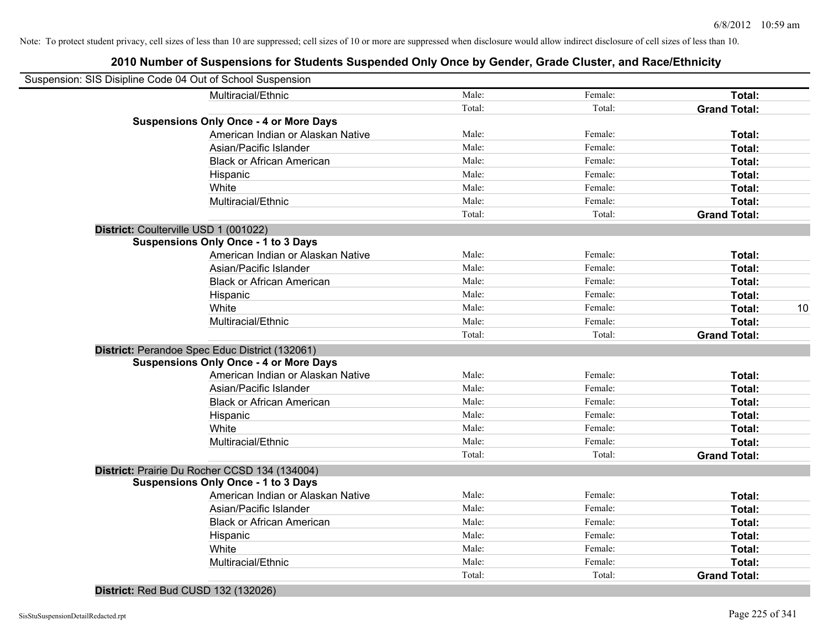# **2010 Number of Suspensions for Students Suspended Only Once by Gender, Grade Cluster, and Race/Ethnicity**

| Suspension: SIS Disipline Code 04 Out of School Suspension |                                                |        |         |                     |    |
|------------------------------------------------------------|------------------------------------------------|--------|---------|---------------------|----|
|                                                            |                                                |        |         |                     |    |
|                                                            | Multiracial/Ethnic                             | Male:  | Female: | Total:              |    |
|                                                            |                                                | Total: | Total:  | <b>Grand Total:</b> |    |
|                                                            | <b>Suspensions Only Once - 4 or More Days</b>  |        |         |                     |    |
|                                                            | American Indian or Alaskan Native              | Male:  | Female: | Total:              |    |
|                                                            | Asian/Pacific Islander                         | Male:  | Female: | Total:              |    |
|                                                            | <b>Black or African American</b>               | Male:  | Female: | Total:              |    |
|                                                            | Hispanic                                       | Male:  | Female: | Total:              |    |
|                                                            | White                                          | Male:  | Female: | Total:              |    |
|                                                            | Multiracial/Ethnic                             | Male:  | Female: | Total:              |    |
|                                                            |                                                | Total: | Total:  | <b>Grand Total:</b> |    |
|                                                            | District: Coulterville USD 1 (001022)          |        |         |                     |    |
|                                                            | <b>Suspensions Only Once - 1 to 3 Days</b>     |        |         |                     |    |
|                                                            | American Indian or Alaskan Native              | Male:  | Female: | Total:              |    |
|                                                            | Asian/Pacific Islander                         | Male:  | Female: | Total:              |    |
|                                                            | <b>Black or African American</b>               | Male:  | Female: | Total:              |    |
|                                                            | Hispanic                                       | Male:  | Female: | Total:              |    |
|                                                            | White                                          | Male:  | Female: | <b>Total:</b>       | 10 |
|                                                            | Multiracial/Ethnic                             | Male:  | Female: | <b>Total:</b>       |    |
|                                                            |                                                | Total: | Total:  | <b>Grand Total:</b> |    |
|                                                            | District: Perandoe Spec Educ District (132061) |        |         |                     |    |
|                                                            | <b>Suspensions Only Once - 4 or More Days</b>  |        |         |                     |    |
|                                                            | American Indian or Alaskan Native              | Male:  | Female: | Total:              |    |
|                                                            | Asian/Pacific Islander                         | Male:  | Female: | <b>Total:</b>       |    |
|                                                            | <b>Black or African American</b>               | Male:  | Female: | Total:              |    |
|                                                            | Hispanic                                       | Male:  | Female: | Total:              |    |
|                                                            | White                                          | Male:  | Female: | Total:              |    |
|                                                            | Multiracial/Ethnic                             | Male:  | Female: | Total:              |    |
|                                                            |                                                | Total: | Total:  | <b>Grand Total:</b> |    |
|                                                            | District: Prairie Du Rocher CCSD 134 (134004)  |        |         |                     |    |
|                                                            | <b>Suspensions Only Once - 1 to 3 Days</b>     |        |         |                     |    |
|                                                            | American Indian or Alaskan Native              | Male:  | Female: | Total:              |    |
|                                                            | Asian/Pacific Islander                         | Male:  | Female: | Total:              |    |
|                                                            | <b>Black or African American</b>               | Male:  | Female: | Total:              |    |
|                                                            | Hispanic                                       | Male:  | Female: | Total:              |    |
|                                                            | White                                          | Male:  | Female: | Total:              |    |
|                                                            | Multiracial/Ethnic                             | Male:  | Female: | Total:              |    |
|                                                            |                                                | Total: | Total:  | <b>Grand Total:</b> |    |
|                                                            |                                                |        |         |                     |    |

#### **District:** Red Bud CUSD 132 (132026)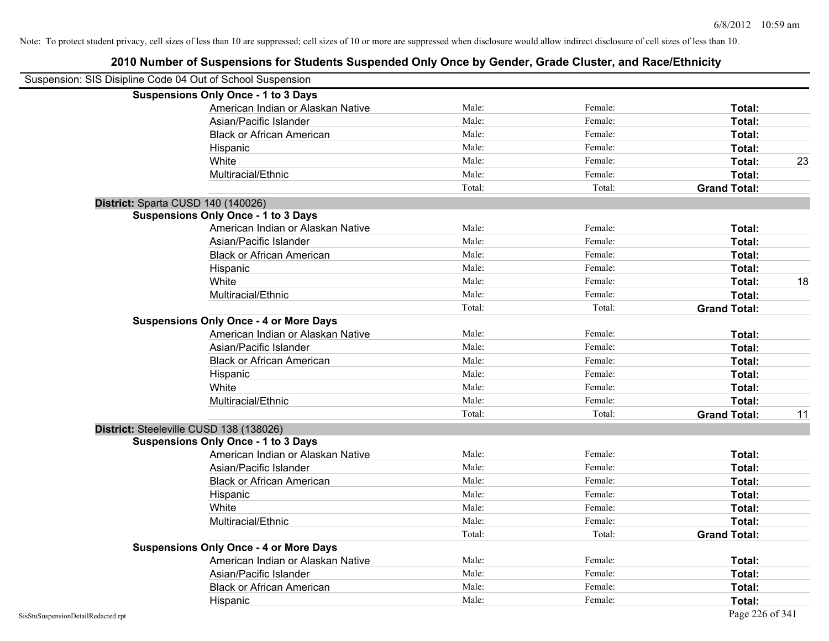| Suspension: SIS Disipline Code 04 Out of School Suspension |                                               |        |         |                     |    |
|------------------------------------------------------------|-----------------------------------------------|--------|---------|---------------------|----|
|                                                            | <b>Suspensions Only Once - 1 to 3 Days</b>    |        |         |                     |    |
|                                                            | American Indian or Alaskan Native             | Male:  | Female: | Total:              |    |
|                                                            | Asian/Pacific Islander                        | Male:  | Female: | Total:              |    |
|                                                            | <b>Black or African American</b>              | Male:  | Female: | Total:              |    |
|                                                            | Hispanic                                      | Male:  | Female: | Total:              |    |
|                                                            | White                                         | Male:  | Female: | Total:              | 23 |
|                                                            | Multiracial/Ethnic                            | Male:  | Female: | Total:              |    |
|                                                            |                                               | Total: | Total:  | <b>Grand Total:</b> |    |
| District: Sparta CUSD 140 (140026)                         |                                               |        |         |                     |    |
|                                                            | <b>Suspensions Only Once - 1 to 3 Days</b>    |        |         |                     |    |
|                                                            | American Indian or Alaskan Native             | Male:  | Female: | Total:              |    |
|                                                            | Asian/Pacific Islander                        | Male:  | Female: | Total:              |    |
|                                                            | <b>Black or African American</b>              | Male:  | Female: | Total:              |    |
|                                                            | Hispanic                                      | Male:  | Female: | Total:              |    |
|                                                            | White                                         | Male:  | Female: | Total:              | 18 |
|                                                            | Multiracial/Ethnic                            | Male:  | Female: | Total:              |    |
|                                                            |                                               | Total: | Total:  | <b>Grand Total:</b> |    |
|                                                            | <b>Suspensions Only Once - 4 or More Days</b> |        |         |                     |    |
|                                                            | American Indian or Alaskan Native             | Male:  | Female: | Total:              |    |
|                                                            | Asian/Pacific Islander                        | Male:  | Female: | Total:              |    |
|                                                            | <b>Black or African American</b>              | Male:  | Female: | Total:              |    |
|                                                            | Hispanic                                      | Male:  | Female: | Total:              |    |
|                                                            | White                                         | Male:  | Female: | Total:              |    |
|                                                            | Multiracial/Ethnic                            | Male:  | Female: | Total:              |    |
|                                                            |                                               | Total: | Total:  | <b>Grand Total:</b> | 11 |
|                                                            | District: Steeleville CUSD 138 (138026)       |        |         |                     |    |
|                                                            | <b>Suspensions Only Once - 1 to 3 Days</b>    |        |         |                     |    |
|                                                            | American Indian or Alaskan Native             | Male:  | Female: | Total:              |    |
|                                                            | Asian/Pacific Islander                        | Male:  | Female: | Total:              |    |
|                                                            | <b>Black or African American</b>              | Male:  | Female: | Total:              |    |
|                                                            | Hispanic                                      | Male:  | Female: | Total:              |    |
|                                                            | White                                         | Male:  | Female: | Total:              |    |
|                                                            | Multiracial/Ethnic                            | Male:  | Female: | Total:              |    |
|                                                            |                                               | Total: | Total:  | <b>Grand Total:</b> |    |
|                                                            | <b>Suspensions Only Once - 4 or More Days</b> |        |         |                     |    |
|                                                            | American Indian or Alaskan Native             | Male:  | Female: | Total:              |    |
|                                                            | Asian/Pacific Islander                        | Male:  | Female: | Total:              |    |
|                                                            | <b>Black or African American</b>              | Male:  | Female: | Total:              |    |
|                                                            | Hispanic                                      | Male:  | Female: | Total:              |    |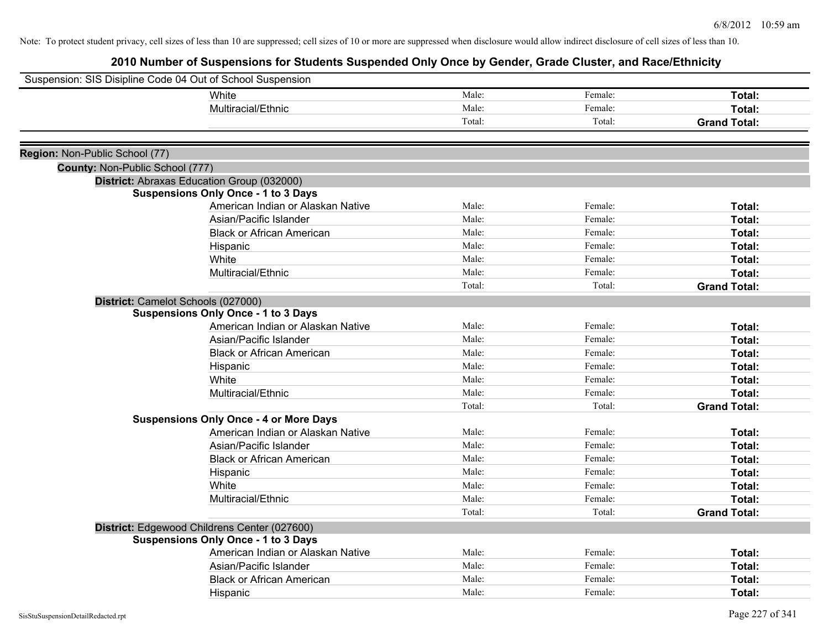| Suspension: SIS Disipline Code 04 Out of School Suspension |                                               |                |         |                     |
|------------------------------------------------------------|-----------------------------------------------|----------------|---------|---------------------|
|                                                            | White                                         | Male:          | Female: | Total:              |
|                                                            | Multiracial/Ethnic                            | Male:          | Female: | Total:              |
|                                                            |                                               | Total:         | Total:  | <b>Grand Total:</b> |
|                                                            |                                               |                |         |                     |
| Region: Non-Public School (77)                             |                                               |                |         |                     |
| County: Non-Public School (777)                            |                                               |                |         |                     |
|                                                            | District: Abraxas Education Group (032000)    |                |         |                     |
|                                                            | <b>Suspensions Only Once - 1 to 3 Days</b>    |                |         |                     |
|                                                            | American Indian or Alaskan Native             | Male:<br>Male: | Female: | Total:              |
|                                                            | Asian/Pacific Islander                        |                | Female: | Total:              |
|                                                            | <b>Black or African American</b>              | Male:          | Female: | Total:              |
|                                                            | Hispanic                                      | Male:          | Female: | Total:              |
|                                                            | White                                         | Male:          | Female: | Total:              |
|                                                            | Multiracial/Ethnic                            | Male:          | Female: | Total:              |
|                                                            |                                               | Total:         | Total:  | <b>Grand Total:</b> |
|                                                            | District: Camelot Schools (027000)            |                |         |                     |
|                                                            | <b>Suspensions Only Once - 1 to 3 Days</b>    |                |         |                     |
|                                                            | American Indian or Alaskan Native             | Male:          | Female: | Total:              |
|                                                            | Asian/Pacific Islander                        | Male:          | Female: | Total:              |
|                                                            | <b>Black or African American</b>              | Male:          | Female: | Total:              |
|                                                            | Hispanic                                      | Male:          | Female: | Total:              |
|                                                            | White                                         | Male:          | Female: | <b>Total:</b>       |
|                                                            | Multiracial/Ethnic                            | Male:          | Female: | Total:              |
|                                                            |                                               | Total:         | Total:  | <b>Grand Total:</b> |
|                                                            | <b>Suspensions Only Once - 4 or More Days</b> |                |         |                     |
|                                                            | American Indian or Alaskan Native             | Male:          | Female: | Total:              |
|                                                            | Asian/Pacific Islander                        | Male:          | Female: | Total:              |
|                                                            | <b>Black or African American</b>              | Male:          | Female: | Total:              |
|                                                            | Hispanic                                      | Male:          | Female: | Total:              |
|                                                            | White                                         | Male:          | Female: | Total:              |
|                                                            | Multiracial/Ethnic                            | Male:          | Female: | Total:              |
|                                                            |                                               | Total:         | Total:  | <b>Grand Total:</b> |
|                                                            | District: Edgewood Childrens Center (027600)  |                |         |                     |
|                                                            | <b>Suspensions Only Once - 1 to 3 Days</b>    |                |         |                     |
|                                                            | American Indian or Alaskan Native             | Male:          | Female: | Total:              |
|                                                            | Asian/Pacific Islander                        | Male:          | Female: | Total:              |
|                                                            | <b>Black or African American</b>              | Male:          | Female: | Total:              |
|                                                            | Hispanic                                      | Male:          | Female: | Total:              |
|                                                            |                                               |                |         |                     |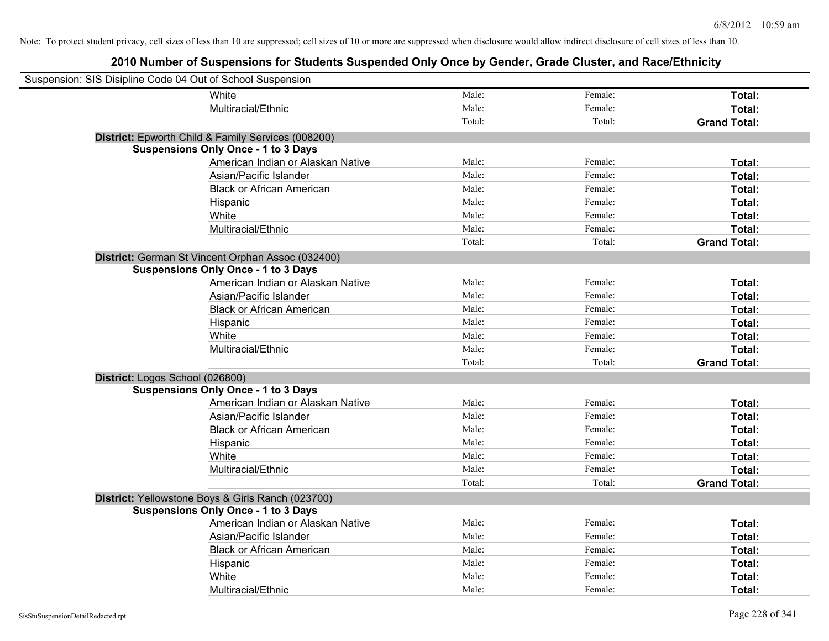| Suspension: SIS Disipline Code 04 Out of School Suspension |                                                    |        |         |                     |
|------------------------------------------------------------|----------------------------------------------------|--------|---------|---------------------|
|                                                            | White                                              | Male:  | Female: | Total:              |
|                                                            | Multiracial/Ethnic                                 | Male:  | Female: | Total:              |
|                                                            |                                                    | Total: | Total:  | <b>Grand Total:</b> |
|                                                            | District: Epworth Child & Family Services (008200) |        |         |                     |
|                                                            | <b>Suspensions Only Once - 1 to 3 Days</b>         |        |         |                     |
|                                                            | American Indian or Alaskan Native                  | Male:  | Female: | Total:              |
|                                                            | Asian/Pacific Islander                             | Male:  | Female: | Total:              |
|                                                            | <b>Black or African American</b>                   | Male:  | Female: | Total:              |
|                                                            | Hispanic                                           | Male:  | Female: | Total:              |
|                                                            | White                                              | Male:  | Female: | Total:              |
|                                                            | Multiracial/Ethnic                                 | Male:  | Female: | Total:              |
|                                                            |                                                    | Total: | Total:  | <b>Grand Total:</b> |
|                                                            | District: German St Vincent Orphan Assoc (032400)  |        |         |                     |
|                                                            | <b>Suspensions Only Once - 1 to 3 Days</b>         |        |         |                     |
|                                                            | American Indian or Alaskan Native                  | Male:  | Female: | Total:              |
|                                                            | Asian/Pacific Islander                             | Male:  | Female: | Total:              |
|                                                            | <b>Black or African American</b>                   | Male:  | Female: | Total:              |
|                                                            | Hispanic                                           | Male:  | Female: | Total:              |
|                                                            | White                                              | Male:  | Female: | Total:              |
|                                                            | Multiracial/Ethnic                                 | Male:  | Female: | Total:              |
|                                                            |                                                    | Total: | Total:  | <b>Grand Total:</b> |
| District: Logos School (026800)                            |                                                    |        |         |                     |
|                                                            | <b>Suspensions Only Once - 1 to 3 Days</b>         |        |         |                     |
|                                                            | American Indian or Alaskan Native                  | Male:  | Female: | Total:              |
|                                                            | Asian/Pacific Islander                             | Male:  | Female: | Total:              |
|                                                            | <b>Black or African American</b>                   | Male:  | Female: | Total:              |
|                                                            | Hispanic                                           | Male:  | Female: | Total:              |
|                                                            | White                                              | Male:  | Female: | Total:              |
|                                                            | Multiracial/Ethnic                                 | Male:  | Female: | Total:              |
|                                                            |                                                    | Total: | Total:  | <b>Grand Total:</b> |
|                                                            | District: Yellowstone Boys & Girls Ranch (023700)  |        |         |                     |
|                                                            | <b>Suspensions Only Once - 1 to 3 Days</b>         |        |         |                     |
|                                                            | American Indian or Alaskan Native                  | Male:  | Female: | Total:              |
|                                                            | Asian/Pacific Islander                             | Male:  | Female: | Total:              |
|                                                            | <b>Black or African American</b>                   | Male:  | Female: | Total:              |
|                                                            | Hispanic                                           | Male:  | Female: | Total:              |
|                                                            | White                                              | Male:  | Female: | Total:              |
|                                                            | Multiracial/Ethnic                                 | Male:  | Female: | Total:              |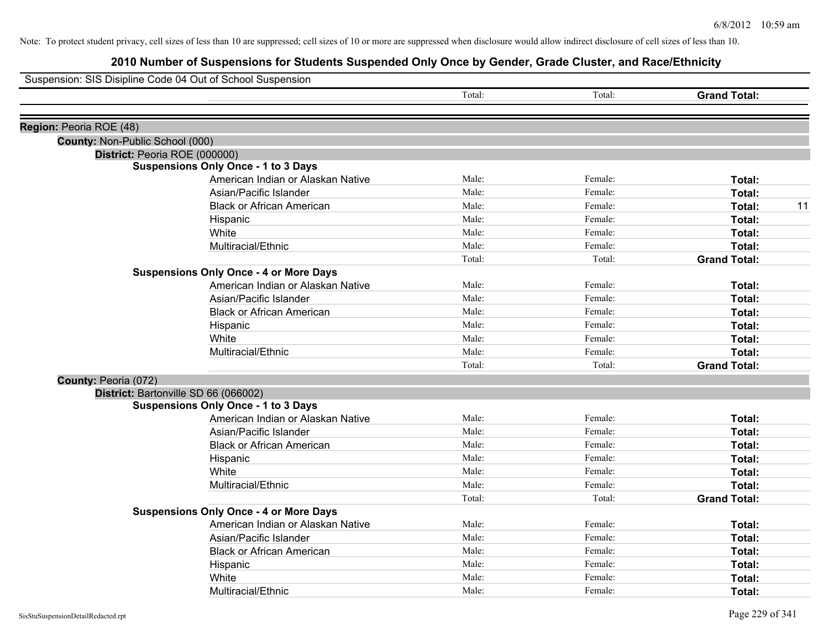|                                 | Suspension: SIS Disipline Code 04 Out of School Suspension |        |         |                     |
|---------------------------------|------------------------------------------------------------|--------|---------|---------------------|
|                                 |                                                            | Total: | Total:  | <b>Grand Total:</b> |
| Region: Peoria ROE (48)         |                                                            |        |         |                     |
| County: Non-Public School (000) |                                                            |        |         |                     |
|                                 | District: Peoria ROE (000000)                              |        |         |                     |
|                                 | <b>Suspensions Only Once - 1 to 3 Days</b>                 |        |         |                     |
|                                 | American Indian or Alaskan Native                          | Male:  | Female: | Total:              |
|                                 | Asian/Pacific Islander                                     | Male:  | Female: | <b>Total:</b>       |
|                                 | <b>Black or African American</b>                           | Male:  | Female: | Total:<br>11        |
|                                 | Hispanic                                                   | Male:  | Female: | Total:              |
|                                 | White                                                      | Male:  | Female: | Total:              |
|                                 | Multiracial/Ethnic                                         | Male:  | Female: | Total:              |
|                                 |                                                            | Total: | Total:  | <b>Grand Total:</b> |
|                                 | <b>Suspensions Only Once - 4 or More Days</b>              |        |         |                     |
|                                 | American Indian or Alaskan Native                          | Male:  | Female: | Total:              |
|                                 | Asian/Pacific Islander                                     | Male:  | Female: | Total:              |
|                                 | <b>Black or African American</b>                           | Male:  | Female: | Total:              |
|                                 | Hispanic                                                   | Male:  | Female: | Total:              |
|                                 | White                                                      | Male:  | Female: | Total:              |
|                                 | Multiracial/Ethnic                                         | Male:  | Female: | Total:              |
|                                 |                                                            | Total: | Total:  | <b>Grand Total:</b> |
| County: Peoria (072)            |                                                            |        |         |                     |
|                                 | District: Bartonville SD 66 (066002)                       |        |         |                     |
|                                 | <b>Suspensions Only Once - 1 to 3 Days</b>                 |        |         |                     |
|                                 | American Indian or Alaskan Native                          | Male:  | Female: | Total:              |
|                                 | Asian/Pacific Islander                                     | Male:  | Female: | Total:              |
|                                 | <b>Black or African American</b>                           | Male:  | Female: | Total:              |
|                                 | Hispanic                                                   | Male:  | Female: | Total:              |
|                                 | White                                                      | Male:  | Female: | Total:              |
|                                 | Multiracial/Ethnic                                         | Male:  | Female: | <b>Total:</b>       |
|                                 |                                                            | Total: | Total:  | <b>Grand Total:</b> |
|                                 | <b>Suspensions Only Once - 4 or More Days</b>              |        |         |                     |
|                                 | American Indian or Alaskan Native                          | Male:  | Female: | Total:              |
|                                 | Asian/Pacific Islander                                     | Male:  | Female: | Total:              |
|                                 | <b>Black or African American</b>                           | Male:  | Female: | Total:              |
|                                 | Hispanic                                                   | Male:  | Female: | Total:              |
|                                 | White                                                      | Male:  | Female: | <b>Total:</b>       |
|                                 | Multiracial/Ethnic                                         | Male:  | Female: | Total:              |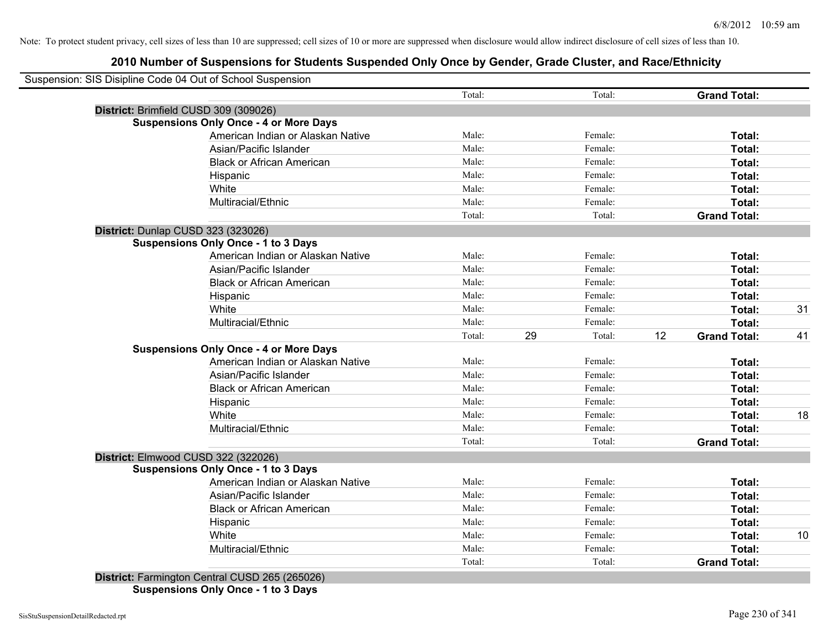| Suspension: SIS Disipline Code 04 Out of School Suspension | Total:          | Total:       |    | <b>Grand Total:</b> |    |
|------------------------------------------------------------|-----------------|--------------|----|---------------------|----|
| District: Brimfield CUSD 309 (309026)                      |                 |              |    |                     |    |
| <b>Suspensions Only Once - 4 or More Days</b>              |                 |              |    |                     |    |
| American Indian or Alaskan Native                          | Male:           | Female:      |    | Total:              |    |
| Asian/Pacific Islander                                     | Male:           | Female:      |    | Total:              |    |
| <b>Black or African American</b>                           | Male:           | Female:      |    | Total:              |    |
| Hispanic                                                   | Male:           | Female:      |    | Total:              |    |
| White                                                      | Male:           | Female:      |    | Total:              |    |
| Multiracial/Ethnic                                         | Male:           | Female:      |    | Total:              |    |
|                                                            | Total:          | Total:       |    | <b>Grand Total:</b> |    |
| District: Dunlap CUSD 323 (323026)                         |                 |              |    |                     |    |
| <b>Suspensions Only Once - 1 to 3 Days</b>                 |                 |              |    |                     |    |
| American Indian or Alaskan Native                          | Male:           | Female:      |    | Total:              |    |
| Asian/Pacific Islander                                     | Male:           | Female:      |    | Total:              |    |
| <b>Black or African American</b>                           | Male:           | Female:      |    | Total:              |    |
| Hispanic                                                   | Male:           | Female:      |    | Total:              |    |
| White                                                      | Male:           | Female:      |    | Total:              | 31 |
| Multiracial/Ethnic                                         | Male:           | Female:      |    | Total:              |    |
|                                                            | Total:          | 29<br>Total: | 12 | <b>Grand Total:</b> | 41 |
| <b>Suspensions Only Once - 4 or More Days</b>              |                 |              |    |                     |    |
| American Indian or Alaskan Native                          | Male:           | Female:      |    | Total:              |    |
| Asian/Pacific Islander                                     | Male:           | Female:      |    | Total:              |    |
| <b>Black or African American</b>                           | Male:           | Female:      |    | Total:              |    |
| Hispanic                                                   | Male:           | Female:      |    | Total:              |    |
| White                                                      | Male:           | Female:      |    | Total:              | 18 |
| Multiracial/Ethnic                                         | Male:           | Female:      |    | Total:              |    |
|                                                            | Total:          | Total:       |    | <b>Grand Total:</b> |    |
| District: Elmwood CUSD 322 (322026)                        |                 |              |    |                     |    |
| <b>Suspensions Only Once - 1 to 3 Days</b>                 |                 |              |    |                     |    |
| American Indian or Alaskan Native                          | Male:           | Female:      |    | Total:              |    |
| Asian/Pacific Islander                                     | Male:           | Female:      |    | Total:              |    |
| <b>Black or African American</b>                           | Male:           | Female:      |    | Total:              |    |
| Hispanic                                                   | Male:           | Female:      |    | Total:              |    |
| White                                                      | Male:           | Female:      |    | Total:              | 10 |
|                                                            |                 | Female:      |    | Total:              |    |
| Multiracial/Ethnic                                         | Male:<br>Total: | Total:       |    | <b>Grand Total:</b> |    |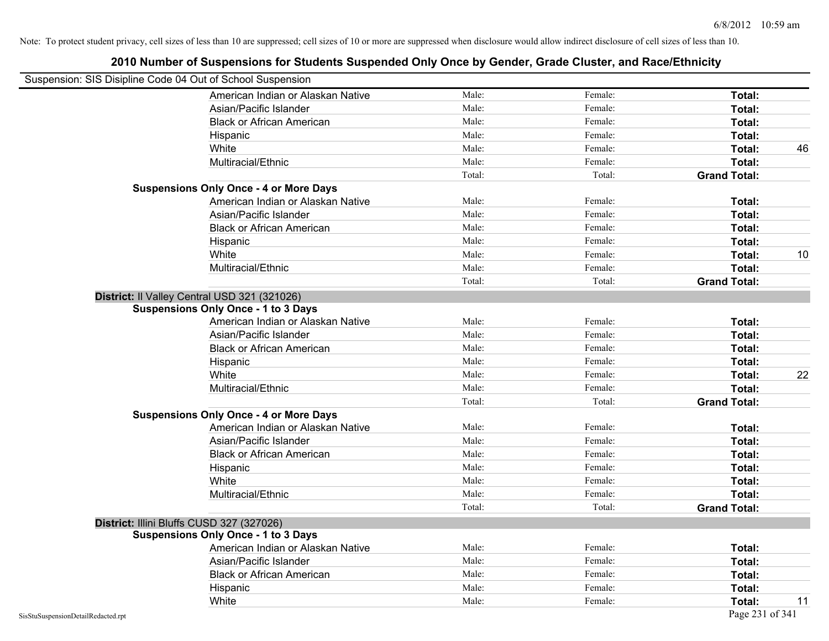| Suspension: SIS Disipline Code 04 Out of School Suspension |        |         |                     |
|------------------------------------------------------------|--------|---------|---------------------|
| American Indian or Alaskan Native                          | Male:  | Female: | Total:              |
| Asian/Pacific Islander                                     | Male:  | Female: | Total:              |
| <b>Black or African American</b>                           | Male:  | Female: | Total:              |
| Hispanic                                                   | Male:  | Female: | Total:              |
| White                                                      | Male:  | Female: | Total:              |
| Multiracial/Ethnic                                         | Male:  | Female: | Total:              |
|                                                            | Total: | Total:  | <b>Grand Total:</b> |
| <b>Suspensions Only Once - 4 or More Days</b>              |        |         |                     |
| American Indian or Alaskan Native                          | Male:  | Female: | Total:              |
| Asian/Pacific Islander                                     | Male:  | Female: | Total:              |
| <b>Black or African American</b>                           | Male:  | Female: | Total:              |
| Hispanic                                                   | Male:  | Female: | Total:              |
| White                                                      | Male:  | Female: | Total:              |
| Multiracial/Ethnic                                         | Male:  | Female: | Total:              |
|                                                            | Total: | Total:  | <b>Grand Total:</b> |
| District: Il Valley Central USD 321 (321026)               |        |         |                     |
| <b>Suspensions Only Once - 1 to 3 Days</b>                 |        |         |                     |
| American Indian or Alaskan Native                          | Male:  | Female: | Total:              |
| Asian/Pacific Islander                                     | Male:  | Female: | Total:              |
| <b>Black or African American</b>                           | Male:  | Female: | Total:              |
| Hispanic                                                   | Male:  | Female: | Total:              |
| White                                                      | Male:  | Female: | Total:              |
| Multiracial/Ethnic                                         | Male:  | Female: | Total:              |
|                                                            | Total: | Total:  | <b>Grand Total:</b> |
| <b>Suspensions Only Once - 4 or More Days</b>              |        |         |                     |
| American Indian or Alaskan Native                          | Male:  | Female: | Total:              |
| Asian/Pacific Islander                                     | Male:  | Female: | Total:              |
| <b>Black or African American</b>                           | Male:  | Female: | Total:              |
| Hispanic                                                   | Male:  | Female: | Total:              |
| White                                                      | Male:  | Female: | Total:              |
| Multiracial/Ethnic                                         | Male:  | Female: | Total:              |
|                                                            | Total: | Total:  | <b>Grand Total:</b> |
| District: Illini Bluffs CUSD 327 (327026)                  |        |         |                     |
| <b>Suspensions Only Once - 1 to 3 Days</b>                 |        |         |                     |
| American Indian or Alaskan Native                          | Male:  | Female: | Total:              |
| Asian/Pacific Islander                                     | Male:  | Female: | Total:              |
| <b>Black or African American</b>                           | Male:  | Female: | Total:              |
| Hispanic                                                   | Male:  | Female: | Total:              |
| White                                                      | Male:  | Female: | Total:              |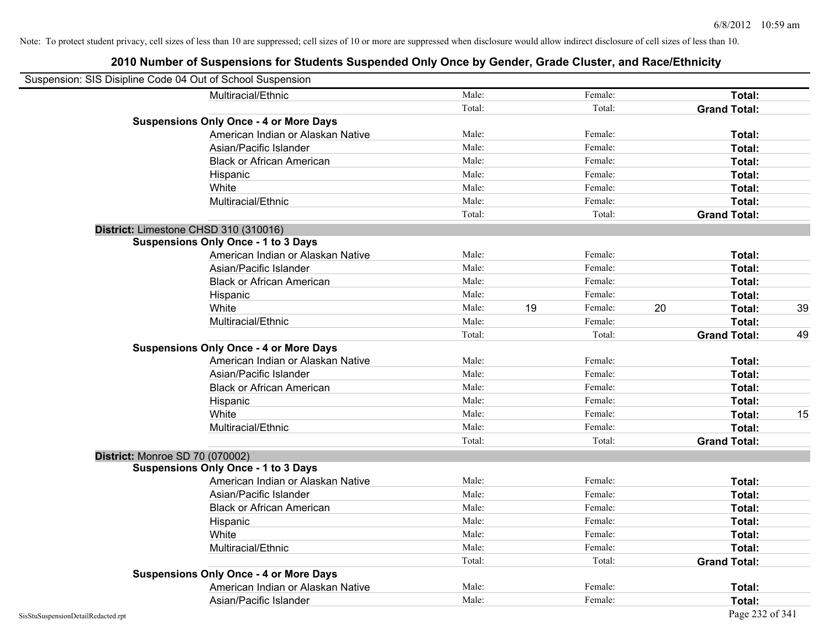| Suspension: SIS Disipline Code 04 Out of School Suspension |                                               |        |               |    |                     |    |
|------------------------------------------------------------|-----------------------------------------------|--------|---------------|----|---------------------|----|
|                                                            | Multiracial/Ethnic                            | Male:  | Female:       |    | Total:              |    |
|                                                            |                                               | Total: | Total:        |    | <b>Grand Total:</b> |    |
|                                                            | <b>Suspensions Only Once - 4 or More Days</b> |        |               |    |                     |    |
|                                                            | American Indian or Alaskan Native             | Male:  | Female:       |    | Total:              |    |
|                                                            | Asian/Pacific Islander                        | Male:  | Female:       |    | Total:              |    |
|                                                            | <b>Black or African American</b>              | Male:  | Female:       |    | Total:              |    |
|                                                            | Hispanic                                      | Male:  | Female:       |    | Total:              |    |
|                                                            | White                                         | Male:  | Female:       |    | Total:              |    |
|                                                            | Multiracial/Ethnic                            | Male:  | Female:       |    | Total:              |    |
|                                                            |                                               | Total: | Total:        |    | <b>Grand Total:</b> |    |
| District: Limestone CHSD 310 (310016)                      |                                               |        |               |    |                     |    |
|                                                            | <b>Suspensions Only Once - 1 to 3 Days</b>    |        |               |    |                     |    |
|                                                            | American Indian or Alaskan Native             | Male:  | Female:       |    | Total:              |    |
|                                                            | Asian/Pacific Islander                        | Male:  | Female:       |    | Total:              |    |
|                                                            | <b>Black or African American</b>              | Male:  | Female:       |    | Total:              |    |
|                                                            | Hispanic                                      | Male:  | Female:       |    | Total:              |    |
|                                                            | White                                         | Male:  | 19<br>Female: | 20 | Total:              | 39 |
|                                                            | Multiracial/Ethnic                            | Male:  | Female:       |    | Total:              |    |
|                                                            |                                               | Total: | Total:        |    | <b>Grand Total:</b> | 49 |
|                                                            | <b>Suspensions Only Once - 4 or More Days</b> |        |               |    |                     |    |
|                                                            | American Indian or Alaskan Native             | Male:  | Female:       |    | Total:              |    |
|                                                            | Asian/Pacific Islander                        | Male:  | Female:       |    | Total:              |    |
|                                                            | <b>Black or African American</b>              | Male:  | Female:       |    | Total:              |    |
|                                                            | Hispanic                                      | Male:  | Female:       |    | Total:              |    |
|                                                            | White                                         | Male:  | Female:       |    | Total:              | 15 |
|                                                            | Multiracial/Ethnic                            | Male:  | Female:       |    | Total:              |    |
|                                                            |                                               | Total: | Total:        |    | <b>Grand Total:</b> |    |
| District: Monroe SD 70 (070002)                            |                                               |        |               |    |                     |    |
|                                                            | <b>Suspensions Only Once - 1 to 3 Days</b>    |        |               |    |                     |    |
|                                                            | American Indian or Alaskan Native             | Male:  | Female:       |    | Total:              |    |
|                                                            | Asian/Pacific Islander                        | Male:  | Female:       |    | Total:              |    |
|                                                            | <b>Black or African American</b>              | Male:  | Female:       |    | Total:              |    |
|                                                            | Hispanic                                      | Male:  | Female:       |    | Total:              |    |
|                                                            | White                                         | Male:  | Female:       |    | Total:              |    |
|                                                            | Multiracial/Ethnic                            | Male:  | Female:       |    | Total:              |    |
|                                                            |                                               | Total: | Total:        |    | <b>Grand Total:</b> |    |
|                                                            | <b>Suspensions Only Once - 4 or More Days</b> |        |               |    |                     |    |
|                                                            | American Indian or Alaskan Native             | Male:  | Female:       |    | Total:              |    |
|                                                            | Asian/Pacific Islander                        | Male:  | Female:       |    | Total:              |    |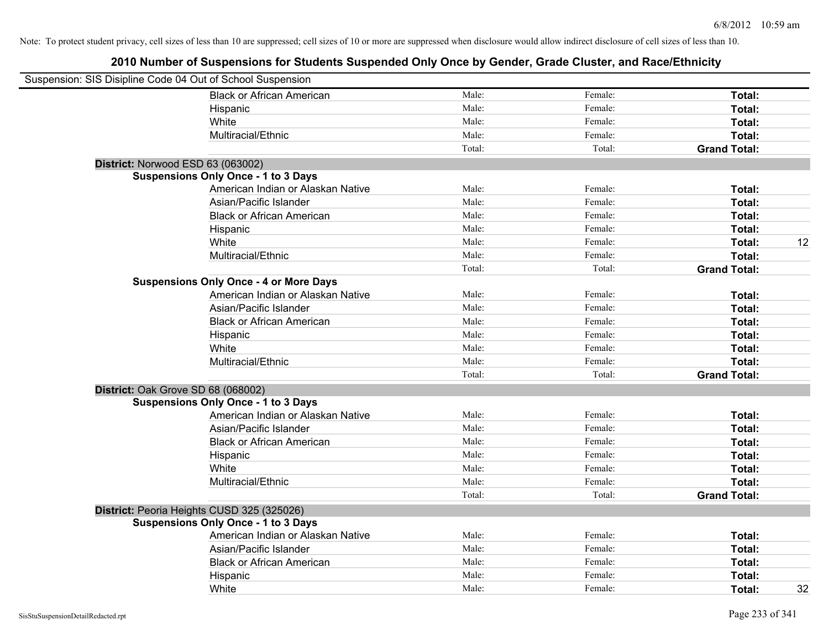| Suspension: SIS Disipline Code 04 Out of School Suspension |                                               |        |         |                     |
|------------------------------------------------------------|-----------------------------------------------|--------|---------|---------------------|
|                                                            | <b>Black or African American</b>              | Male:  | Female: | Total:              |
|                                                            | Hispanic                                      | Male:  | Female: | Total:              |
|                                                            | White                                         | Male:  | Female: | Total:              |
|                                                            | Multiracial/Ethnic                            | Male:  | Female: | Total:              |
|                                                            |                                               | Total: | Total:  | <b>Grand Total:</b> |
| District: Norwood ESD 63 (063002)                          |                                               |        |         |                     |
|                                                            | <b>Suspensions Only Once - 1 to 3 Days</b>    |        |         |                     |
|                                                            | American Indian or Alaskan Native             | Male:  | Female: | Total:              |
|                                                            | Asian/Pacific Islander                        | Male:  | Female: | Total:              |
|                                                            | <b>Black or African American</b>              | Male:  | Female: | Total:              |
|                                                            | Hispanic                                      | Male:  | Female: | Total:              |
|                                                            | White                                         | Male:  | Female: | 12<br>Total:        |
|                                                            | Multiracial/Ethnic                            | Male:  | Female: | Total:              |
|                                                            |                                               | Total: | Total:  | <b>Grand Total:</b> |
|                                                            | <b>Suspensions Only Once - 4 or More Days</b> |        |         |                     |
|                                                            | American Indian or Alaskan Native             | Male:  | Female: | Total:              |
|                                                            | Asian/Pacific Islander                        | Male:  | Female: | Total:              |
|                                                            | <b>Black or African American</b>              | Male:  | Female: | Total:              |
|                                                            | Hispanic                                      | Male:  | Female: | Total:              |
|                                                            | White                                         | Male:  | Female: | Total:              |
|                                                            | Multiracial/Ethnic                            | Male:  | Female: | Total:              |
|                                                            |                                               | Total: | Total:  | <b>Grand Total:</b> |
| District: Oak Grove SD 68 (068002)                         |                                               |        |         |                     |
|                                                            | <b>Suspensions Only Once - 1 to 3 Days</b>    |        |         |                     |
|                                                            | American Indian or Alaskan Native             | Male:  | Female: | Total:              |
|                                                            | Asian/Pacific Islander                        | Male:  | Female: | Total:              |
|                                                            | <b>Black or African American</b>              | Male:  | Female: | Total:              |
|                                                            | Hispanic                                      | Male:  | Female: | Total:              |
|                                                            | White                                         | Male:  | Female: | Total:              |
|                                                            | Multiracial/Ethnic                            | Male:  | Female: | Total:              |
|                                                            |                                               | Total: | Total:  | <b>Grand Total:</b> |
|                                                            | District: Peoria Heights CUSD 325 (325026)    |        |         |                     |
|                                                            | <b>Suspensions Only Once - 1 to 3 Days</b>    |        |         |                     |
|                                                            | American Indian or Alaskan Native             | Male:  | Female: | Total:              |
|                                                            | Asian/Pacific Islander                        | Male:  | Female: | Total:              |
|                                                            | <b>Black or African American</b>              | Male:  | Female: | Total:              |
|                                                            | Hispanic                                      | Male:  | Female: | Total:              |
|                                                            | White                                         | Male:  | Female: | 32<br>Total:        |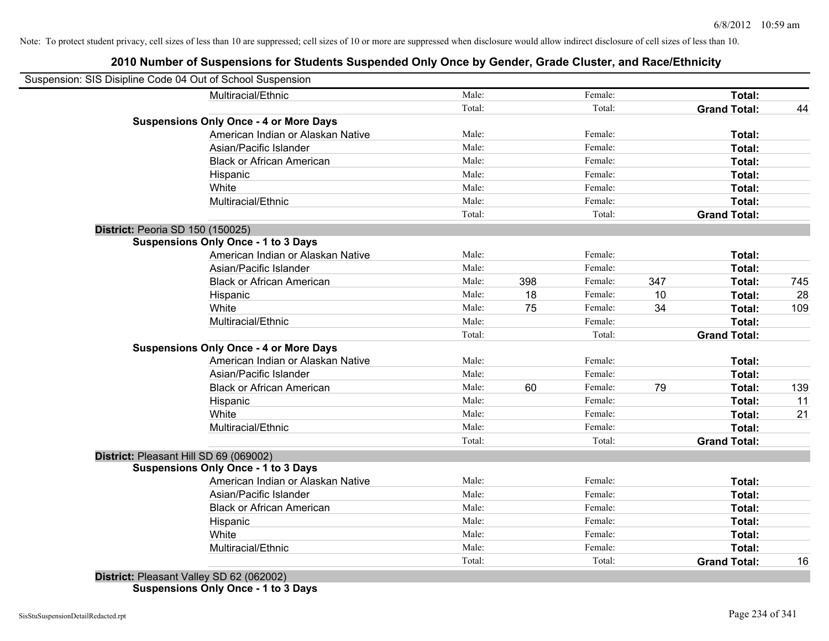# **2010 Number of Suspensions for Students Suspended Only Once by Gender, Grade Cluster, and Race/Ethnicity**

| Suspension: SIS Disipline Code 04 Out of School Suspension |        |     |         |     |                     |     |
|------------------------------------------------------------|--------|-----|---------|-----|---------------------|-----|
| Multiracial/Ethnic                                         | Male:  |     | Female: |     | Total:              |     |
|                                                            | Total: |     | Total:  |     | <b>Grand Total:</b> | 44  |
| <b>Suspensions Only Once - 4 or More Days</b>              |        |     |         |     |                     |     |
| American Indian or Alaskan Native                          | Male:  |     | Female: |     | Total:              |     |
| Asian/Pacific Islander                                     | Male:  |     | Female: |     | Total:              |     |
| <b>Black or African American</b>                           | Male:  |     | Female: |     | Total:              |     |
| Hispanic                                                   | Male:  |     | Female: |     | Total:              |     |
| White                                                      | Male:  |     | Female: |     | Total:              |     |
| Multiracial/Ethnic                                         | Male:  |     | Female: |     | Total:              |     |
|                                                            | Total: |     | Total:  |     | <b>Grand Total:</b> |     |
| <b>District: Peoria SD 150 (150025)</b>                    |        |     |         |     |                     |     |
| <b>Suspensions Only Once - 1 to 3 Days</b>                 |        |     |         |     |                     |     |
| American Indian or Alaskan Native                          | Male:  |     | Female: |     | Total:              |     |
| Asian/Pacific Islander                                     | Male:  |     | Female: |     | Total:              |     |
| <b>Black or African American</b>                           | Male:  | 398 | Female: | 347 | Total:              | 745 |
| Hispanic                                                   | Male:  | 18  | Female: | 10  | Total:              | 28  |
| White                                                      | Male:  | 75  | Female: | 34  | Total:              | 109 |
| Multiracial/Ethnic                                         | Male:  |     | Female: |     | Total:              |     |
|                                                            | Total: |     | Total:  |     | <b>Grand Total:</b> |     |
| <b>Suspensions Only Once - 4 or More Days</b>              |        |     |         |     |                     |     |
| American Indian or Alaskan Native                          | Male:  |     | Female: |     | Total:              |     |
| Asian/Pacific Islander                                     | Male:  |     | Female: |     | Total:              |     |
| <b>Black or African American</b>                           | Male:  | 60  | Female: | 79  | Total:              | 139 |
| Hispanic                                                   | Male:  |     | Female: |     | Total:              | 11  |
| White                                                      | Male:  |     | Female: |     | Total:              | 21  |
| Multiracial/Ethnic                                         | Male:  |     | Female: |     | Total:              |     |
|                                                            | Total: |     | Total:  |     | <b>Grand Total:</b> |     |
| District: Pleasant Hill SD 69 (069002)                     |        |     |         |     |                     |     |
| <b>Suspensions Only Once - 1 to 3 Days</b>                 |        |     |         |     |                     |     |
| American Indian or Alaskan Native                          | Male:  |     | Female: |     | Total:              |     |
| Asian/Pacific Islander                                     | Male:  |     | Female: |     | Total:              |     |
| <b>Black or African American</b>                           | Male:  |     | Female: |     | Total:              |     |
| Hispanic                                                   | Male:  |     | Female: |     | Total:              |     |
| White                                                      | Male:  |     | Female: |     | Total:              |     |
| Multiracial/Ethnic                                         | Male:  |     | Female: |     | Total:              |     |
|                                                            | Total: |     | Total:  |     | <b>Grand Total:</b> | 16  |
| $D_{i}$ $(0.00000)$                                        |        |     |         |     |                     |     |

**District:** Pleasant Valley SD 62 (062002) **Suspensions Only Once - 1 to 3 Days**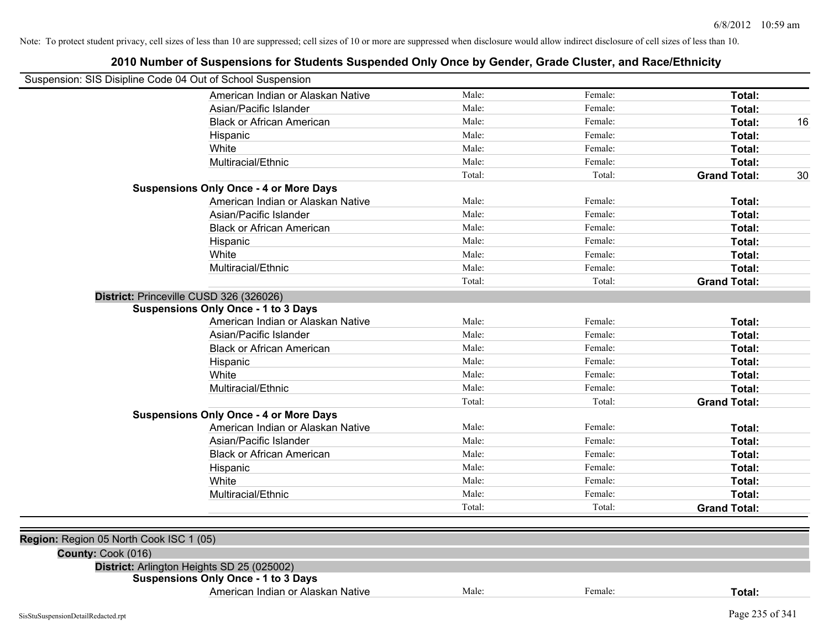| Suspension: SIS Disipline Code 04 Out of School Suspension | zu iu number of Suspensions for Students Suspended Only Once by Gender, Grade Cluster, and Nace/Lumicity |        |         |                     |    |
|------------------------------------------------------------|----------------------------------------------------------------------------------------------------------|--------|---------|---------------------|----|
|                                                            | American Indian or Alaskan Native                                                                        | Male:  | Female: | Total:              |    |
|                                                            | Asian/Pacific Islander                                                                                   | Male:  | Female: | Total:              |    |
|                                                            | <b>Black or African American</b>                                                                         | Male:  | Female: | Total:              | 16 |
|                                                            | Hispanic                                                                                                 | Male:  | Female: | Total:              |    |
|                                                            | White                                                                                                    | Male:  | Female: | Total:              |    |
|                                                            | Multiracial/Ethnic                                                                                       | Male:  | Female: | Total:              |    |
|                                                            |                                                                                                          | Total: | Total:  | <b>Grand Total:</b> | 30 |
|                                                            | <b>Suspensions Only Once - 4 or More Days</b>                                                            |        |         |                     |    |
|                                                            | American Indian or Alaskan Native                                                                        | Male:  | Female: | Total:              |    |
|                                                            | Asian/Pacific Islander                                                                                   | Male:  | Female: | Total:              |    |
|                                                            | <b>Black or African American</b>                                                                         | Male:  | Female: | Total:              |    |
|                                                            | Hispanic                                                                                                 | Male:  | Female: | Total:              |    |
|                                                            | White                                                                                                    | Male:  | Female: | Total:              |    |
|                                                            | Multiracial/Ethnic                                                                                       | Male:  | Female: | Total:              |    |
|                                                            |                                                                                                          | Total: | Total:  | <b>Grand Total:</b> |    |
| District: Princeville CUSD 326 (326026)                    |                                                                                                          |        |         |                     |    |
|                                                            | <b>Suspensions Only Once - 1 to 3 Days</b>                                                               |        |         |                     |    |
|                                                            | American Indian or Alaskan Native                                                                        | Male:  | Female: | Total:              |    |
|                                                            | Asian/Pacific Islander                                                                                   | Male:  | Female: | Total:              |    |
|                                                            | <b>Black or African American</b>                                                                         | Male:  | Female: | Total:              |    |
|                                                            | Hispanic                                                                                                 | Male:  | Female: | Total:              |    |
|                                                            | White                                                                                                    | Male:  | Female: | Total:              |    |
|                                                            | Multiracial/Ethnic                                                                                       | Male:  | Female: | Total:              |    |
|                                                            |                                                                                                          | Total: | Total:  | <b>Grand Total:</b> |    |
|                                                            | <b>Suspensions Only Once - 4 or More Days</b>                                                            |        |         |                     |    |
|                                                            | American Indian or Alaskan Native                                                                        | Male:  | Female: | Total:              |    |
|                                                            | Asian/Pacific Islander                                                                                   | Male:  | Female: | Total:              |    |
|                                                            | <b>Black or African American</b>                                                                         | Male:  | Female: | Total:              |    |
|                                                            | Hispanic                                                                                                 | Male:  | Female: | Total:              |    |
|                                                            | White                                                                                                    | Male:  | Female: | Total:              |    |
|                                                            | Multiracial/Ethnic                                                                                       | Male:  | Female: | Total:              |    |
|                                                            |                                                                                                          | Total: | Total:  | <b>Grand Total:</b> |    |
| Region: Region 05 North Cook ISC 1 (05)                    |                                                                                                          |        |         |                     |    |
| County: Cook (016)                                         |                                                                                                          |        |         |                     |    |
| District: Arlington Heights SD 25 (025002)                 |                                                                                                          |        |         |                     |    |
|                                                            | <b>Suspensions Only Once - 1 to 3 Days</b>                                                               |        |         |                     |    |
|                                                            | American Indian or Alaskan Native                                                                        | Male:  | Female: | Total:              |    |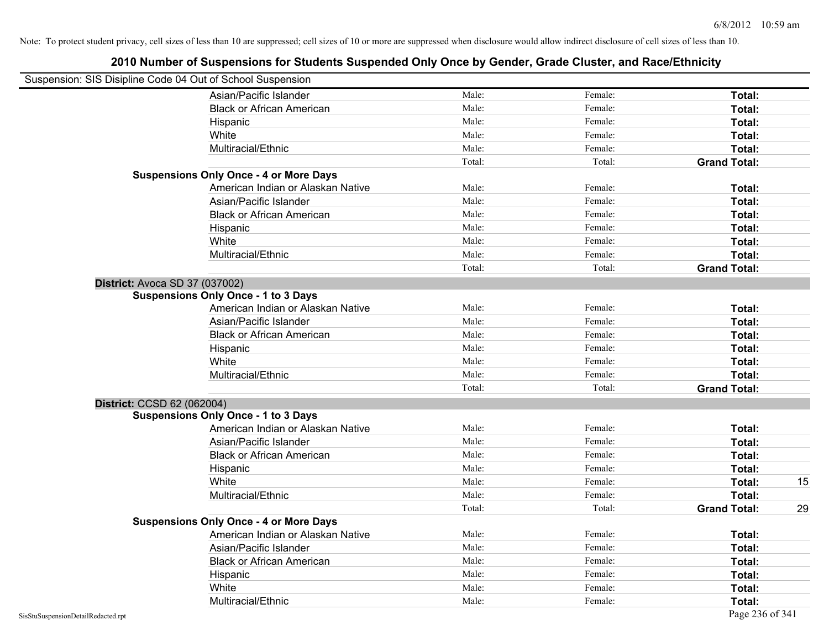| Suspension: SIS Disipline Code 04 Out of School Suspension |                                               |        |         |                     |    |
|------------------------------------------------------------|-----------------------------------------------|--------|---------|---------------------|----|
|                                                            | Asian/Pacific Islander                        | Male:  | Female: | Total:              |    |
|                                                            | <b>Black or African American</b>              | Male:  | Female: | Total:              |    |
|                                                            | Hispanic                                      | Male:  | Female: | Total:              |    |
|                                                            | White                                         | Male:  | Female: | Total:              |    |
|                                                            | Multiracial/Ethnic                            | Male:  | Female: | Total:              |    |
|                                                            |                                               | Total: | Total:  | <b>Grand Total:</b> |    |
|                                                            | <b>Suspensions Only Once - 4 or More Days</b> |        |         |                     |    |
|                                                            | American Indian or Alaskan Native             | Male:  | Female: | Total:              |    |
|                                                            | Asian/Pacific Islander                        | Male:  | Female: | Total:              |    |
|                                                            | <b>Black or African American</b>              | Male:  | Female: | Total:              |    |
|                                                            | Hispanic                                      | Male:  | Female: | Total:              |    |
|                                                            | White                                         | Male:  | Female: | Total:              |    |
|                                                            | Multiracial/Ethnic                            | Male:  | Female: | Total:              |    |
|                                                            |                                               | Total: | Total:  | <b>Grand Total:</b> |    |
| District: Avoca SD 37 (037002)                             |                                               |        |         |                     |    |
|                                                            | <b>Suspensions Only Once - 1 to 3 Days</b>    |        |         |                     |    |
|                                                            | American Indian or Alaskan Native             | Male:  | Female: | Total:              |    |
|                                                            | Asian/Pacific Islander                        | Male:  | Female: | Total:              |    |
|                                                            | <b>Black or African American</b>              | Male:  | Female: | Total:              |    |
|                                                            | Hispanic                                      | Male:  | Female: | Total:              |    |
|                                                            | White                                         | Male:  | Female: | Total:              |    |
|                                                            | Multiracial/Ethnic                            | Male:  | Female: | Total:              |    |
|                                                            |                                               | Total: | Total:  | <b>Grand Total:</b> |    |
| District: CCSD 62 (062004)                                 |                                               |        |         |                     |    |
|                                                            | <b>Suspensions Only Once - 1 to 3 Days</b>    |        |         |                     |    |
|                                                            | American Indian or Alaskan Native             | Male:  | Female: | Total:              |    |
|                                                            | Asian/Pacific Islander                        | Male:  | Female: | Total:              |    |
|                                                            | <b>Black or African American</b>              | Male:  | Female: | Total:              |    |
|                                                            | Hispanic                                      | Male:  | Female: | Total:              |    |
|                                                            | White                                         | Male:  | Female: | Total:              | 15 |
|                                                            | Multiracial/Ethnic                            | Male:  | Female: | Total:              |    |
|                                                            |                                               | Total: | Total:  | <b>Grand Total:</b> | 29 |
|                                                            | <b>Suspensions Only Once - 4 or More Days</b> |        |         |                     |    |
|                                                            | American Indian or Alaskan Native             | Male:  | Female: | Total:              |    |
|                                                            | Asian/Pacific Islander                        | Male:  | Female: | Total:              |    |
|                                                            | <b>Black or African American</b>              | Male:  | Female: | Total:              |    |
|                                                            | Hispanic                                      | Male:  | Female: | Total:              |    |
|                                                            | White                                         | Male:  | Female: | Total:              |    |
|                                                            | Multiracial/Ethnic                            | Male:  | Female: | Total:              |    |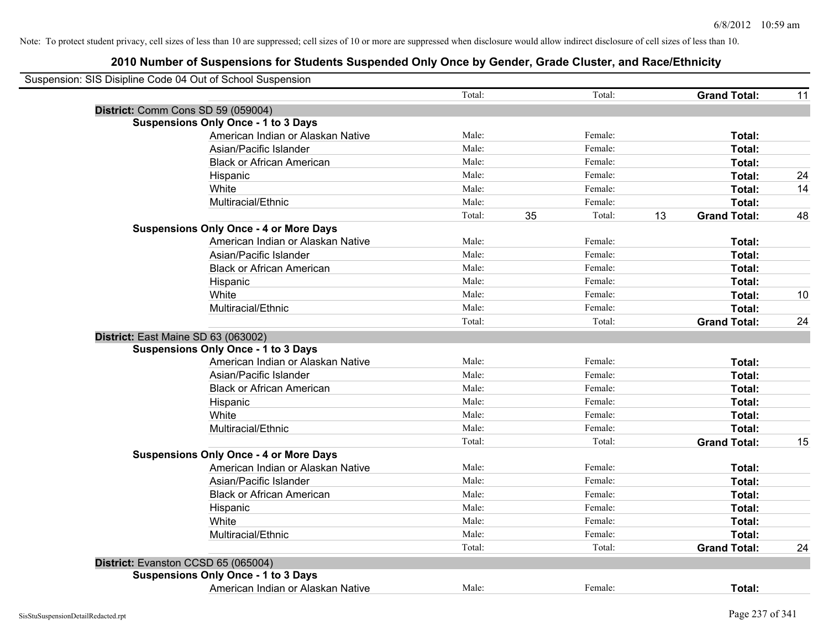| Suspension: SIS Disipline Code 04 Out of School Suspension |                                               |        |    |         |    |                     |    |
|------------------------------------------------------------|-----------------------------------------------|--------|----|---------|----|---------------------|----|
|                                                            |                                               | Total: |    | Total:  |    | <b>Grand Total:</b> | 11 |
| District: Comm Cons SD 59 (059004)                         |                                               |        |    |         |    |                     |    |
|                                                            | <b>Suspensions Only Once - 1 to 3 Days</b>    |        |    |         |    |                     |    |
|                                                            | American Indian or Alaskan Native             | Male:  |    | Female: |    | Total:              |    |
|                                                            | Asian/Pacific Islander                        | Male:  |    | Female: |    | Total:              |    |
|                                                            | <b>Black or African American</b>              | Male:  |    | Female: |    | Total:              |    |
|                                                            | Hispanic                                      | Male:  |    | Female: |    | Total:              | 24 |
|                                                            | White                                         | Male:  |    | Female: |    | Total:              | 14 |
|                                                            | Multiracial/Ethnic                            | Male:  |    | Female: |    | Total:              |    |
|                                                            |                                               | Total: | 35 | Total:  | 13 | <b>Grand Total:</b> | 48 |
|                                                            | <b>Suspensions Only Once - 4 or More Days</b> |        |    |         |    |                     |    |
|                                                            | American Indian or Alaskan Native             | Male:  |    | Female: |    | Total:              |    |
|                                                            | Asian/Pacific Islander                        | Male:  |    | Female: |    | Total:              |    |
|                                                            | <b>Black or African American</b>              | Male:  |    | Female: |    | Total:              |    |
|                                                            | Hispanic                                      | Male:  |    | Female: |    | Total:              |    |
|                                                            | White                                         | Male:  |    | Female: |    | Total:              | 10 |
|                                                            | Multiracial/Ethnic                            | Male:  |    | Female: |    | Total:              |    |
|                                                            |                                               | Total: |    | Total:  |    | <b>Grand Total:</b> | 24 |
| District: East Maine SD 63 (063002)                        |                                               |        |    |         |    |                     |    |
|                                                            | <b>Suspensions Only Once - 1 to 3 Days</b>    |        |    |         |    |                     |    |
|                                                            | American Indian or Alaskan Native             | Male:  |    | Female: |    | Total:              |    |
|                                                            | Asian/Pacific Islander                        | Male:  |    | Female: |    | Total:              |    |
|                                                            | <b>Black or African American</b>              | Male:  |    | Female: |    | Total:              |    |
|                                                            | Hispanic                                      | Male:  |    | Female: |    | Total:              |    |
|                                                            | White                                         | Male:  |    | Female: |    | Total:              |    |
|                                                            | Multiracial/Ethnic                            | Male:  |    | Female: |    | Total:              |    |
|                                                            |                                               | Total: |    | Total:  |    | <b>Grand Total:</b> | 15 |
|                                                            | <b>Suspensions Only Once - 4 or More Days</b> |        |    |         |    |                     |    |
|                                                            | American Indian or Alaskan Native             | Male:  |    | Female: |    | Total:              |    |
|                                                            | Asian/Pacific Islander                        | Male:  |    | Female: |    | Total:              |    |
|                                                            | <b>Black or African American</b>              | Male:  |    | Female: |    | Total:              |    |
|                                                            | Hispanic                                      | Male:  |    | Female: |    | Total:              |    |
|                                                            | White                                         | Male:  |    | Female: |    | Total:              |    |
|                                                            | Multiracial/Ethnic                            | Male:  |    | Female: |    | Total:              |    |
|                                                            |                                               | Total: |    | Total:  |    | <b>Grand Total:</b> | 24 |
| District: Evanston CCSD 65 (065004)                        |                                               |        |    |         |    |                     |    |
|                                                            | <b>Suspensions Only Once - 1 to 3 Days</b>    |        |    |         |    |                     |    |
|                                                            | American Indian or Alaskan Native             | Male:  |    | Female: |    | Total:              |    |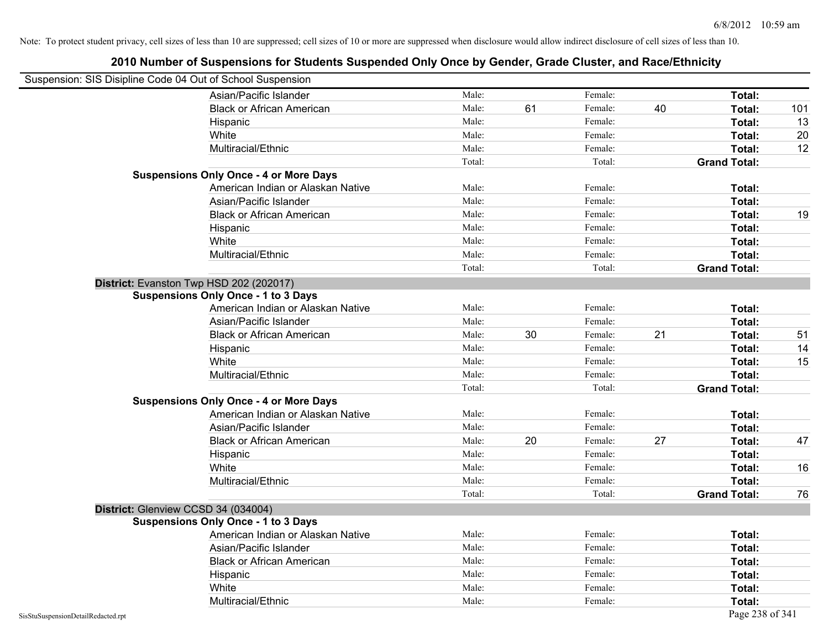| Suspension: SIS Disipline Code 04 Out of School Suspension |                                               |        |    |         |    |                     |     |
|------------------------------------------------------------|-----------------------------------------------|--------|----|---------|----|---------------------|-----|
|                                                            | Asian/Pacific Islander                        | Male:  |    | Female: |    | Total:              |     |
|                                                            | <b>Black or African American</b>              | Male:  | 61 | Female: | 40 | Total:              | 101 |
|                                                            | Hispanic                                      | Male:  |    | Female: |    | Total:              | 13  |
|                                                            | White                                         | Male:  |    | Female: |    | Total:              | 20  |
|                                                            | Multiracial/Ethnic                            | Male:  |    | Female: |    | Total:              | 12  |
|                                                            |                                               | Total: |    | Total:  |    | <b>Grand Total:</b> |     |
|                                                            | <b>Suspensions Only Once - 4 or More Days</b> |        |    |         |    |                     |     |
|                                                            | American Indian or Alaskan Native             | Male:  |    | Female: |    | Total:              |     |
|                                                            | Asian/Pacific Islander                        | Male:  |    | Female: |    | Total:              |     |
|                                                            | <b>Black or African American</b>              | Male:  |    | Female: |    | Total:              | 19  |
|                                                            | Hispanic                                      | Male:  |    | Female: |    | Total:              |     |
|                                                            | White                                         | Male:  |    | Female: |    | Total:              |     |
|                                                            | Multiracial/Ethnic                            | Male:  |    | Female: |    | Total:              |     |
|                                                            |                                               | Total: |    | Total:  |    | <b>Grand Total:</b> |     |
|                                                            | District: Evanston Twp HSD 202 (202017)       |        |    |         |    |                     |     |
|                                                            | <b>Suspensions Only Once - 1 to 3 Days</b>    |        |    |         |    |                     |     |
|                                                            | American Indian or Alaskan Native             | Male:  |    | Female: |    | Total:              |     |
|                                                            | Asian/Pacific Islander                        | Male:  |    | Female: |    | Total:              |     |
|                                                            | <b>Black or African American</b>              | Male:  | 30 | Female: | 21 | Total:              | 51  |
|                                                            | Hispanic                                      | Male:  |    | Female: |    | Total:              | 14  |
|                                                            | White                                         | Male:  |    | Female: |    | Total:              | 15  |
|                                                            | Multiracial/Ethnic                            | Male:  |    | Female: |    | Total:              |     |
|                                                            |                                               | Total: |    | Total:  |    | <b>Grand Total:</b> |     |
|                                                            | <b>Suspensions Only Once - 4 or More Days</b> |        |    |         |    |                     |     |
|                                                            | American Indian or Alaskan Native             | Male:  |    | Female: |    | Total:              |     |
|                                                            | Asian/Pacific Islander                        | Male:  |    | Female: |    | Total:              |     |
|                                                            | <b>Black or African American</b>              | Male:  | 20 | Female: | 27 | Total:              | 47  |
|                                                            | Hispanic                                      | Male:  |    | Female: |    | Total:              |     |
|                                                            | White                                         | Male:  |    | Female: |    | Total:              | 16  |
|                                                            | Multiracial/Ethnic                            | Male:  |    | Female: |    | Total:              |     |
|                                                            |                                               | Total: |    | Total:  |    | <b>Grand Total:</b> | 76  |
| District: Glenview CCSD 34 (034004)                        |                                               |        |    |         |    |                     |     |
|                                                            | <b>Suspensions Only Once - 1 to 3 Days</b>    |        |    |         |    |                     |     |
|                                                            | American Indian or Alaskan Native             | Male:  |    | Female: |    | Total:              |     |
|                                                            | Asian/Pacific Islander                        | Male:  |    | Female: |    | Total:              |     |
|                                                            | <b>Black or African American</b>              | Male:  |    | Female: |    | Total:              |     |
|                                                            | Hispanic                                      | Male:  |    | Female: |    | Total:              |     |
|                                                            | White                                         | Male:  |    | Female: |    | Total:              |     |
|                                                            | Multiracial/Ethnic                            | Male:  |    | Female: |    | Total:              |     |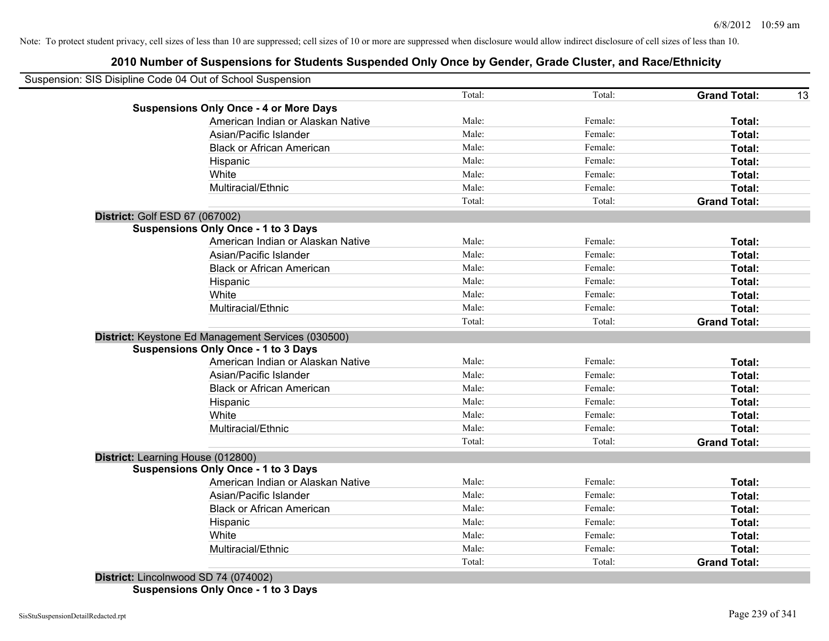# **2010 Number of Suspensions for Students Suspended Only Once by Gender, Grade Cluster, and Race/Ethnicity**

| Suspension: SIS Disipline Code 04 Out of School Suspension |        |         |                     |
|------------------------------------------------------------|--------|---------|---------------------|
|                                                            | Total: | Total:  | <b>Grand Total:</b> |
| <b>Suspensions Only Once - 4 or More Days</b>              |        |         |                     |
| American Indian or Alaskan Native                          | Male:  | Female: | Total:              |
| Asian/Pacific Islander                                     | Male:  | Female: | Total:              |
| <b>Black or African American</b>                           | Male:  | Female: | Total:              |
| Hispanic                                                   | Male:  | Female: | Total:              |
| White                                                      | Male:  | Female: | Total:              |
| Multiracial/Ethnic                                         | Male:  | Female: | Total:              |
|                                                            | Total: | Total:  | <b>Grand Total:</b> |
| District: Golf ESD 67 (067002)                             |        |         |                     |
| <b>Suspensions Only Once - 1 to 3 Days</b>                 |        |         |                     |
| American Indian or Alaskan Native                          | Male:  | Female: | Total:              |
| Asian/Pacific Islander                                     | Male:  | Female: | Total:              |
| <b>Black or African American</b>                           | Male:  | Female: | Total:              |
| Hispanic                                                   | Male:  | Female: | Total:              |
| White                                                      | Male:  | Female: | Total:              |
| Multiracial/Ethnic                                         | Male:  | Female: | Total:              |
|                                                            | Total: | Total:  | <b>Grand Total:</b> |
| District: Keystone Ed Management Services (030500)         |        |         |                     |
| <b>Suspensions Only Once - 1 to 3 Days</b>                 |        |         |                     |
| American Indian or Alaskan Native                          | Male:  | Female: | Total:              |
| Asian/Pacific Islander                                     | Male:  | Female: | Total:              |
| <b>Black or African American</b>                           | Male:  | Female: | Total:              |
| Hispanic                                                   | Male:  | Female: | Total:              |
| White                                                      | Male:  | Female: | Total:              |
| Multiracial/Ethnic                                         | Male:  | Female: | Total:              |
|                                                            | Total: | Total:  | <b>Grand Total:</b> |
| District: Learning House (012800)                          |        |         |                     |
| <b>Suspensions Only Once - 1 to 3 Days</b>                 |        |         |                     |
| American Indian or Alaskan Native                          | Male:  | Female: | Total:              |
| Asian/Pacific Islander                                     | Male:  | Female: | Total:              |
| <b>Black or African American</b>                           | Male:  | Female: | Total:              |
| Hispanic                                                   | Male:  | Female: | Total:              |
| White                                                      | Male:  | Female: | <b>Total:</b>       |
| Multiracial/Ethnic                                         | Male:  | Female: | Total:              |
|                                                            | Total: | Total:  | <b>Grand Total:</b> |

**Suspensions Only Once - 1 to 3 Days**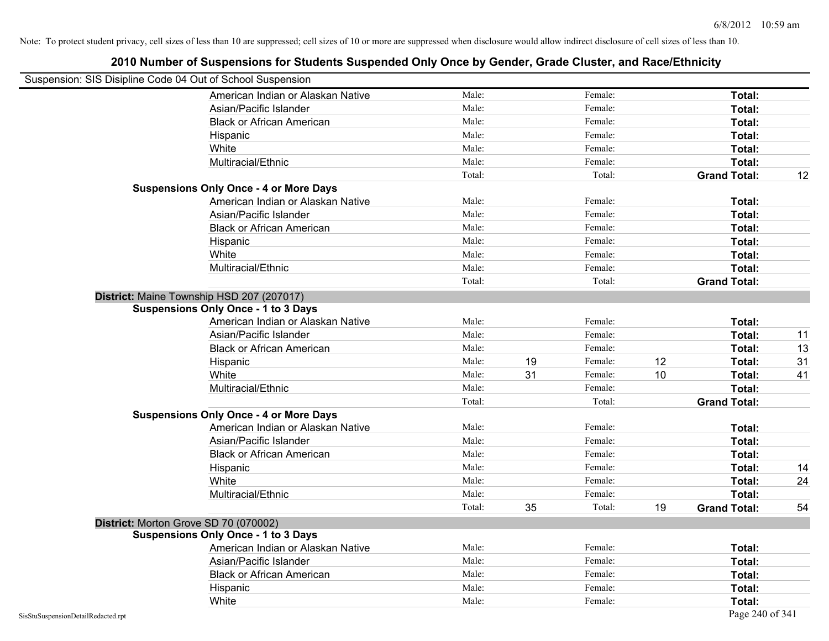| Suspension: SIS Disipline Code 04 Out of School Suspension |                                               |        |    |         |    |                     |    |
|------------------------------------------------------------|-----------------------------------------------|--------|----|---------|----|---------------------|----|
|                                                            | American Indian or Alaskan Native             | Male:  |    | Female: |    | Total:              |    |
|                                                            | Asian/Pacific Islander                        | Male:  |    | Female: |    | Total:              |    |
|                                                            | <b>Black or African American</b>              | Male:  |    | Female: |    | Total:              |    |
|                                                            | Hispanic                                      | Male:  |    | Female: |    | Total:              |    |
|                                                            | White                                         | Male:  |    | Female: |    | Total:              |    |
|                                                            | Multiracial/Ethnic                            | Male:  |    | Female: |    | Total:              |    |
|                                                            |                                               | Total: |    | Total:  |    | <b>Grand Total:</b> | 12 |
|                                                            | <b>Suspensions Only Once - 4 or More Days</b> |        |    |         |    |                     |    |
|                                                            | American Indian or Alaskan Native             | Male:  |    | Female: |    | Total:              |    |
|                                                            | Asian/Pacific Islander                        | Male:  |    | Female: |    | Total:              |    |
|                                                            | <b>Black or African American</b>              | Male:  |    | Female: |    | Total:              |    |
|                                                            | Hispanic                                      | Male:  |    | Female: |    | Total:              |    |
|                                                            | White                                         | Male:  |    | Female: |    | Total:              |    |
|                                                            | Multiracial/Ethnic                            | Male:  |    | Female: |    | Total:              |    |
|                                                            |                                               | Total: |    | Total:  |    | <b>Grand Total:</b> |    |
|                                                            | District: Maine Township HSD 207 (207017)     |        |    |         |    |                     |    |
|                                                            | <b>Suspensions Only Once - 1 to 3 Days</b>    |        |    |         |    |                     |    |
|                                                            | American Indian or Alaskan Native             | Male:  |    | Female: |    | Total:              |    |
|                                                            | Asian/Pacific Islander                        | Male:  |    | Female: |    | Total:              | 11 |
|                                                            | <b>Black or African American</b>              | Male:  |    | Female: |    | Total:              | 13 |
|                                                            | Hispanic                                      | Male:  | 19 | Female: | 12 | Total:              | 31 |
|                                                            | White                                         | Male:  | 31 | Female: | 10 | Total:              | 41 |
|                                                            | Multiracial/Ethnic                            | Male:  |    | Female: |    | Total:              |    |
|                                                            |                                               | Total: |    | Total:  |    | <b>Grand Total:</b> |    |
|                                                            | <b>Suspensions Only Once - 4 or More Days</b> |        |    |         |    |                     |    |
|                                                            | American Indian or Alaskan Native             | Male:  |    | Female: |    | Total:              |    |
|                                                            | Asian/Pacific Islander                        | Male:  |    | Female: |    | Total:              |    |
|                                                            | <b>Black or African American</b>              | Male:  |    | Female: |    | Total:              |    |
|                                                            | Hispanic                                      | Male:  |    | Female: |    | Total:              | 14 |
|                                                            | White                                         | Male:  |    | Female: |    | Total:              | 24 |
|                                                            | Multiracial/Ethnic                            | Male:  |    | Female: |    | Total:              |    |
|                                                            |                                               | Total: | 35 | Total:  | 19 | <b>Grand Total:</b> | 54 |
|                                                            | District: Morton Grove SD 70 (070002)         |        |    |         |    |                     |    |
|                                                            | <b>Suspensions Only Once - 1 to 3 Days</b>    |        |    |         |    |                     |    |
|                                                            | American Indian or Alaskan Native             | Male:  |    | Female: |    | Total:              |    |
|                                                            | Asian/Pacific Islander                        | Male:  |    | Female: |    | Total:              |    |
|                                                            | <b>Black or African American</b>              | Male:  |    | Female: |    | Total:              |    |
|                                                            | Hispanic                                      | Male:  |    | Female: |    | Total:              |    |
|                                                            | White                                         | Male:  |    | Female: |    | Total:              |    |
| SisStuSuspensionDetailRedacted.rpt                         |                                               |        |    |         |    | Page 240 of 341     |    |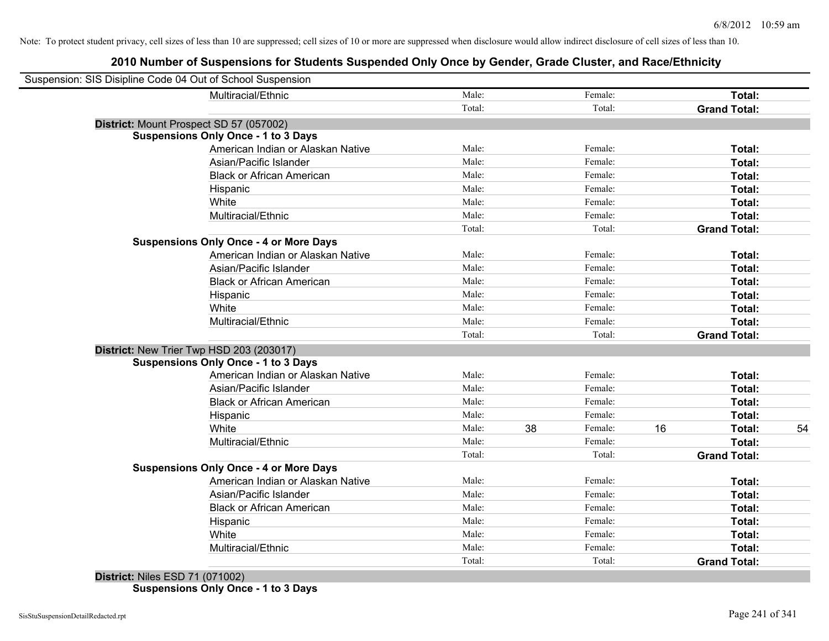| Suspension: SIS Disipline Code 04 Out of School Suspension |                                               |        |    |         |    |                     |    |
|------------------------------------------------------------|-----------------------------------------------|--------|----|---------|----|---------------------|----|
|                                                            | Multiracial/Ethnic                            | Male:  |    | Female: |    | Total:              |    |
|                                                            |                                               | Total: |    | Total:  |    | <b>Grand Total:</b> |    |
| District: Mount Prospect SD 57 (057002)                    |                                               |        |    |         |    |                     |    |
|                                                            | <b>Suspensions Only Once - 1 to 3 Days</b>    |        |    |         |    |                     |    |
|                                                            | American Indian or Alaskan Native             | Male:  |    | Female: |    | Total:              |    |
|                                                            | Asian/Pacific Islander                        | Male:  |    | Female: |    | Total:              |    |
|                                                            | <b>Black or African American</b>              | Male:  |    | Female: |    | Total:              |    |
|                                                            | Hispanic                                      | Male:  |    | Female: |    | Total:              |    |
|                                                            | White                                         | Male:  |    | Female: |    | Total:              |    |
|                                                            | Multiracial/Ethnic                            | Male:  |    | Female: |    | Total:              |    |
|                                                            |                                               | Total: |    | Total:  |    | <b>Grand Total:</b> |    |
|                                                            | <b>Suspensions Only Once - 4 or More Days</b> |        |    |         |    |                     |    |
|                                                            | American Indian or Alaskan Native             | Male:  |    | Female: |    | Total:              |    |
|                                                            | Asian/Pacific Islander                        | Male:  |    | Female: |    | Total:              |    |
|                                                            | <b>Black or African American</b>              | Male:  |    | Female: |    | Total:              |    |
|                                                            | Hispanic                                      | Male:  |    | Female: |    | Total:              |    |
|                                                            | White                                         | Male:  |    | Female: |    | Total:              |    |
|                                                            | Multiracial/Ethnic                            | Male:  |    | Female: |    | Total:              |    |
|                                                            |                                               | Total: |    | Total:  |    | <b>Grand Total:</b> |    |
| District: New Trier Twp HSD 203 (203017)                   |                                               |        |    |         |    |                     |    |
|                                                            | <b>Suspensions Only Once - 1 to 3 Days</b>    |        |    |         |    |                     |    |
|                                                            | American Indian or Alaskan Native             | Male:  |    | Female: |    | Total:              |    |
|                                                            | Asian/Pacific Islander                        | Male:  |    | Female: |    | Total:              |    |
|                                                            | <b>Black or African American</b>              | Male:  |    | Female: |    | Total:              |    |
|                                                            | Hispanic                                      | Male:  |    | Female: |    | Total:              |    |
|                                                            | White                                         | Male:  | 38 | Female: | 16 | Total:              | 54 |
|                                                            | Multiracial/Ethnic                            | Male:  |    | Female: |    | Total:              |    |
|                                                            |                                               | Total: |    | Total:  |    | <b>Grand Total:</b> |    |
|                                                            | <b>Suspensions Only Once - 4 or More Days</b> |        |    |         |    |                     |    |
|                                                            | American Indian or Alaskan Native             | Male:  |    | Female: |    | Total:              |    |
|                                                            | Asian/Pacific Islander                        | Male:  |    | Female: |    | Total:              |    |
|                                                            | <b>Black or African American</b>              | Male:  |    | Female: |    | Total:              |    |
|                                                            | Hispanic                                      | Male:  |    | Female: |    | Total:              |    |
|                                                            | White                                         | Male:  |    | Female: |    | Total:              |    |
|                                                            | Multiracial/Ethnic                            | Male:  |    | Female: |    | Total:              |    |
|                                                            |                                               | Total: |    | Total:  |    | <b>Grand Total:</b> |    |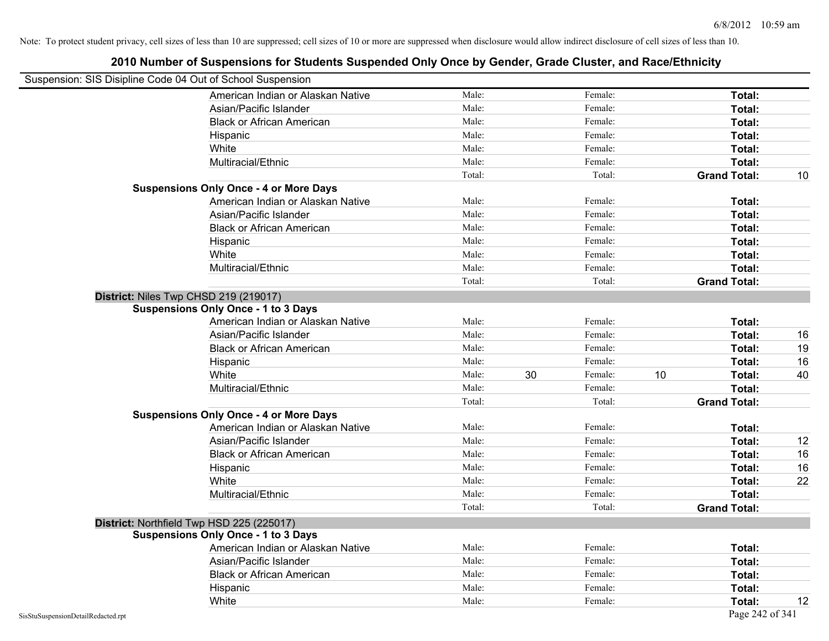| Suspension: SIS Disipline Code 04 Out of School Suspension |                                               |        |    |         |                     |    |
|------------------------------------------------------------|-----------------------------------------------|--------|----|---------|---------------------|----|
|                                                            | American Indian or Alaskan Native             | Male:  |    | Female: | Total:              |    |
|                                                            | Asian/Pacific Islander                        | Male:  |    | Female: | Total:              |    |
|                                                            | <b>Black or African American</b>              | Male:  |    | Female: | Total:              |    |
|                                                            | Hispanic                                      | Male:  |    | Female: | Total:              |    |
|                                                            | White                                         | Male:  |    | Female: | Total:              |    |
|                                                            | Multiracial/Ethnic                            | Male:  |    | Female: | Total:              |    |
|                                                            |                                               | Total: |    | Total:  | <b>Grand Total:</b> |    |
|                                                            | <b>Suspensions Only Once - 4 or More Days</b> |        |    |         |                     |    |
|                                                            | American Indian or Alaskan Native             | Male:  |    | Female: | Total:              |    |
|                                                            | Asian/Pacific Islander                        | Male:  |    | Female: | Total:              |    |
|                                                            | <b>Black or African American</b>              | Male:  |    | Female: | Total:              |    |
|                                                            | Hispanic                                      | Male:  |    | Female: | Total:              |    |
|                                                            | White                                         | Male:  |    | Female: | Total:              |    |
|                                                            | Multiracial/Ethnic                            | Male:  |    | Female: | Total:              |    |
|                                                            |                                               | Total: |    | Total:  | <b>Grand Total:</b> |    |
| District: Niles Twp CHSD 219 (219017)                      |                                               |        |    |         |                     |    |
|                                                            | <b>Suspensions Only Once - 1 to 3 Days</b>    |        |    |         |                     |    |
|                                                            | American Indian or Alaskan Native             | Male:  |    | Female: | Total:              |    |
|                                                            | Asian/Pacific Islander                        | Male:  |    | Female: | Total:              | 16 |
|                                                            | <b>Black or African American</b>              | Male:  |    | Female: | Total:              | 19 |
|                                                            | Hispanic                                      | Male:  |    | Female: | Total:              | 16 |
|                                                            | White                                         | Male:  | 30 | Female: | 10<br>Total:        |    |
|                                                            | Multiracial/Ethnic                            | Male:  |    | Female: | Total:              |    |
|                                                            |                                               | Total: |    | Total:  | <b>Grand Total:</b> |    |
|                                                            | <b>Suspensions Only Once - 4 or More Days</b> |        |    |         |                     |    |
|                                                            | American Indian or Alaskan Native             | Male:  |    | Female: | Total:              |    |
|                                                            | Asian/Pacific Islander                        | Male:  |    | Female: | Total:              |    |
|                                                            | <b>Black or African American</b>              | Male:  |    | Female: | Total:              |    |
|                                                            | Hispanic                                      | Male:  |    | Female: | Total:              |    |
|                                                            | White                                         | Male:  |    | Female: | Total:              |    |
|                                                            | Multiracial/Ethnic                            | Male:  |    | Female: | Total:              |    |
|                                                            |                                               | Total: |    | Total:  | <b>Grand Total:</b> |    |
| District: Northfield Twp HSD 225 (225017)                  |                                               |        |    |         |                     |    |
|                                                            | <b>Suspensions Only Once - 1 to 3 Days</b>    |        |    |         |                     |    |
|                                                            | American Indian or Alaskan Native             | Male:  |    | Female: | Total:              |    |
|                                                            | Asian/Pacific Islander                        | Male:  |    | Female: | Total:              |    |
|                                                            | <b>Black or African American</b>              | Male:  |    | Female: | Total:              |    |
|                                                            | Hispanic                                      | Male:  |    | Female: | Total:              |    |
|                                                            | White                                         | Male:  |    | Female: | Total:              |    |
| SisStuSuspensionDetailRedacted.rpt                         |                                               |        |    |         | Page 242 of 341     |    |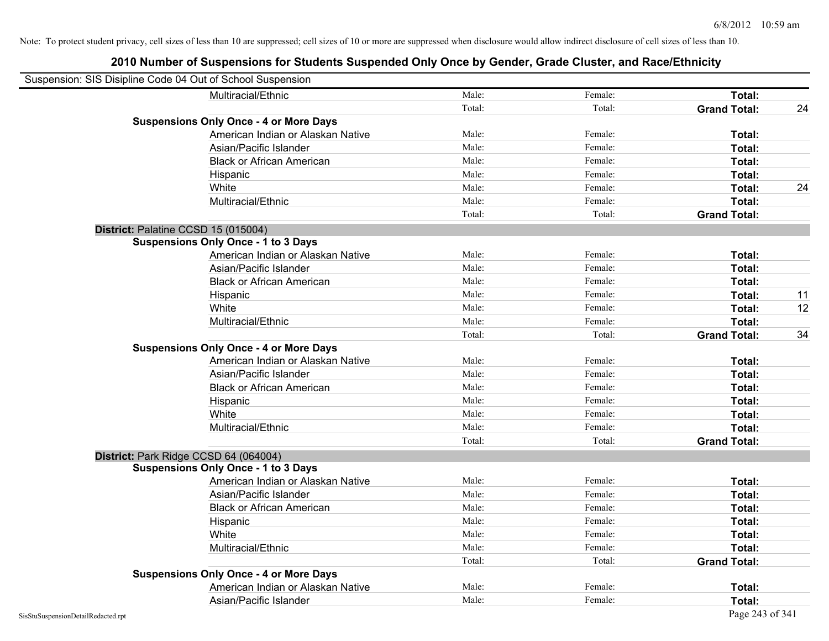| Suspension: SIS Disipline Code 04 Out of School Suspension |                                               |        |         |                     |    |
|------------------------------------------------------------|-----------------------------------------------|--------|---------|---------------------|----|
|                                                            | Multiracial/Ethnic                            | Male:  | Female: | Total:              |    |
|                                                            |                                               | Total: | Total:  | <b>Grand Total:</b> | 24 |
|                                                            | <b>Suspensions Only Once - 4 or More Days</b> |        |         |                     |    |
|                                                            | American Indian or Alaskan Native             | Male:  | Female: | Total:              |    |
|                                                            | Asian/Pacific Islander                        | Male:  | Female: | Total:              |    |
|                                                            | <b>Black or African American</b>              | Male:  | Female: | Total:              |    |
|                                                            | Hispanic                                      | Male:  | Female: | Total:              |    |
|                                                            | White                                         | Male:  | Female: | Total:              | 24 |
|                                                            | Multiracial/Ethnic                            | Male:  | Female: | Total:              |    |
|                                                            |                                               | Total: | Total:  | <b>Grand Total:</b> |    |
| District: Palatine CCSD 15 (015004)                        |                                               |        |         |                     |    |
|                                                            | <b>Suspensions Only Once - 1 to 3 Days</b>    |        |         |                     |    |
|                                                            | American Indian or Alaskan Native             | Male:  | Female: | Total:              |    |
|                                                            | Asian/Pacific Islander                        | Male:  | Female: | Total:              |    |
|                                                            | <b>Black or African American</b>              | Male:  | Female: | Total:              |    |
|                                                            | Hispanic                                      | Male:  | Female: | Total:              | 11 |
|                                                            | White                                         | Male:  | Female: | Total:              | 12 |
|                                                            | Multiracial/Ethnic                            | Male:  | Female: | Total:              |    |
|                                                            |                                               | Total: | Total:  | <b>Grand Total:</b> | 34 |
|                                                            | <b>Suspensions Only Once - 4 or More Days</b> |        |         |                     |    |
|                                                            | American Indian or Alaskan Native             | Male:  | Female: | Total:              |    |
|                                                            | Asian/Pacific Islander                        | Male:  | Female: | Total:              |    |
|                                                            | <b>Black or African American</b>              | Male:  | Female: | Total:              |    |
|                                                            | Hispanic                                      | Male:  | Female: | Total:              |    |
|                                                            | White                                         | Male:  | Female: | Total:              |    |
|                                                            | Multiracial/Ethnic                            | Male:  | Female: | Total:              |    |
|                                                            |                                               | Total: | Total:  | <b>Grand Total:</b> |    |
| District: Park Ridge CCSD 64 (064004)                      |                                               |        |         |                     |    |
|                                                            | <b>Suspensions Only Once - 1 to 3 Days</b>    |        |         |                     |    |
|                                                            | American Indian or Alaskan Native             | Male:  | Female: | Total:              |    |
|                                                            | Asian/Pacific Islander                        | Male:  | Female: | Total:              |    |
|                                                            | <b>Black or African American</b>              | Male:  | Female: | Total:              |    |
|                                                            | Hispanic                                      | Male:  | Female: | Total:              |    |
|                                                            | White                                         | Male:  | Female: | Total:              |    |
|                                                            | Multiracial/Ethnic                            | Male:  | Female: | Total:              |    |
|                                                            |                                               | Total: | Total:  | <b>Grand Total:</b> |    |
|                                                            | <b>Suspensions Only Once - 4 or More Days</b> |        |         |                     |    |
|                                                            | American Indian or Alaskan Native             | Male:  | Female: | Total:              |    |
|                                                            | Asian/Pacific Islander                        | Male:  | Female: | Total:              |    |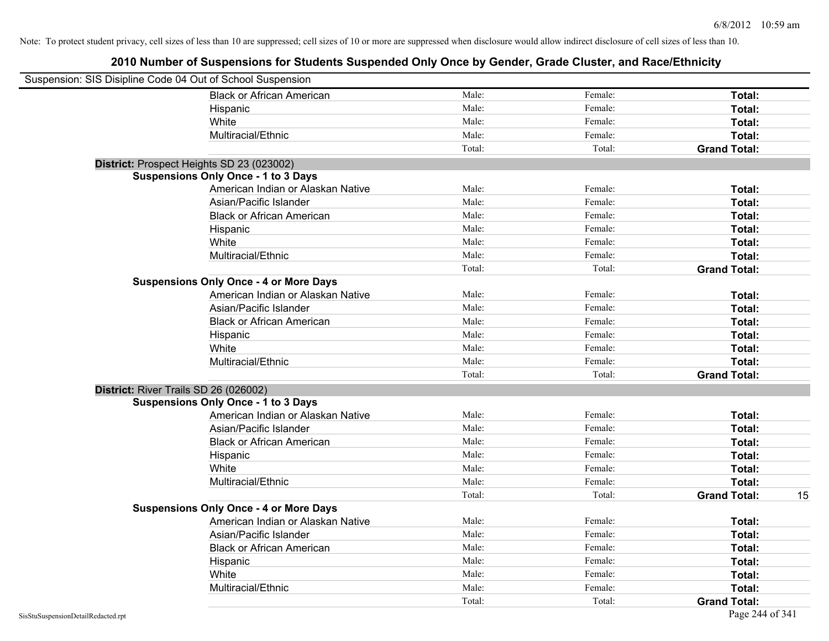| Suspension: SIS Disipline Code 04 Out of School Suspension |                                               |        |         |                     |    |
|------------------------------------------------------------|-----------------------------------------------|--------|---------|---------------------|----|
|                                                            | <b>Black or African American</b>              | Male:  | Female: | Total:              |    |
|                                                            | Hispanic                                      | Male:  | Female: | Total:              |    |
|                                                            | White                                         | Male:  | Female: | Total:              |    |
|                                                            | Multiracial/Ethnic                            | Male:  | Female: | Total:              |    |
|                                                            |                                               | Total: | Total:  | <b>Grand Total:</b> |    |
| District: Prospect Heights SD 23 (023002)                  |                                               |        |         |                     |    |
|                                                            | <b>Suspensions Only Once - 1 to 3 Days</b>    |        |         |                     |    |
|                                                            | American Indian or Alaskan Native             | Male:  | Female: | Total:              |    |
|                                                            | Asian/Pacific Islander                        | Male:  | Female: | Total:              |    |
|                                                            | <b>Black or African American</b>              | Male:  | Female: | Total:              |    |
|                                                            | Hispanic                                      | Male:  | Female: | Total:              |    |
|                                                            | White                                         | Male:  | Female: | Total:              |    |
|                                                            | Multiracial/Ethnic                            | Male:  | Female: | Total:              |    |
|                                                            |                                               | Total: | Total:  | <b>Grand Total:</b> |    |
|                                                            | <b>Suspensions Only Once - 4 or More Days</b> |        |         |                     |    |
|                                                            | American Indian or Alaskan Native             | Male:  | Female: | Total:              |    |
|                                                            | Asian/Pacific Islander                        | Male:  | Female: | Total:              |    |
|                                                            | <b>Black or African American</b>              | Male:  | Female: | Total:              |    |
|                                                            | Hispanic                                      | Male:  | Female: | Total:              |    |
|                                                            | White                                         | Male:  | Female: | Total:              |    |
|                                                            | Multiracial/Ethnic                            | Male:  | Female: | Total:              |    |
|                                                            |                                               | Total: | Total:  | <b>Grand Total:</b> |    |
| District: River Trails SD 26 (026002)                      |                                               |        |         |                     |    |
|                                                            | <b>Suspensions Only Once - 1 to 3 Days</b>    |        |         |                     |    |
|                                                            | American Indian or Alaskan Native             | Male:  | Female: | Total:              |    |
|                                                            | Asian/Pacific Islander                        | Male:  | Female: | Total:              |    |
|                                                            | <b>Black or African American</b>              | Male:  | Female: | Total:              |    |
|                                                            | Hispanic                                      | Male:  | Female: | Total:              |    |
|                                                            | White                                         | Male:  | Female: | Total:              |    |
|                                                            | Multiracial/Ethnic                            | Male:  | Female: | Total:              |    |
|                                                            |                                               | Total: | Total:  | <b>Grand Total:</b> | 15 |
|                                                            | <b>Suspensions Only Once - 4 or More Days</b> |        |         |                     |    |
|                                                            | American Indian or Alaskan Native             | Male:  | Female: | Total:              |    |
|                                                            | Asian/Pacific Islander                        | Male:  | Female: | Total:              |    |
|                                                            | <b>Black or African American</b>              | Male:  | Female: | Total:              |    |
|                                                            | Hispanic                                      | Male:  | Female: | Total:              |    |
|                                                            | White                                         | Male:  | Female: | Total:              |    |
|                                                            | Multiracial/Ethnic                            | Male:  | Female: | Total:              |    |
|                                                            |                                               | Total: | Total:  | <b>Grand Total:</b> |    |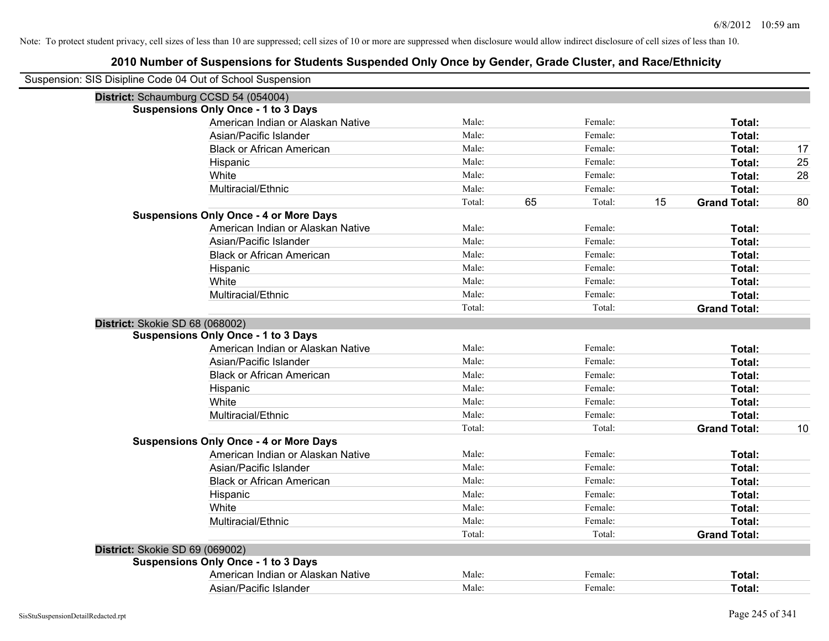| Suspension: SIS Disipline Code 04 Out of School Suspension |                                               |        |    |         |    |                     |    |
|------------------------------------------------------------|-----------------------------------------------|--------|----|---------|----|---------------------|----|
|                                                            | District: Schaumburg CCSD 54 (054004)         |        |    |         |    |                     |    |
|                                                            | <b>Suspensions Only Once - 1 to 3 Days</b>    |        |    |         |    |                     |    |
|                                                            | American Indian or Alaskan Native             | Male:  |    | Female: |    | Total:              |    |
|                                                            | Asian/Pacific Islander                        | Male:  |    | Female: |    | Total:              |    |
|                                                            | <b>Black or African American</b>              | Male:  |    | Female: |    | Total:              | 17 |
|                                                            | Hispanic                                      | Male:  |    | Female: |    | Total:              | 25 |
|                                                            | White                                         | Male:  |    | Female: |    | Total:              | 28 |
|                                                            | Multiracial/Ethnic                            | Male:  |    | Female: |    | Total:              |    |
|                                                            |                                               | Total: | 65 | Total:  | 15 | <b>Grand Total:</b> | 80 |
|                                                            | <b>Suspensions Only Once - 4 or More Days</b> |        |    |         |    |                     |    |
|                                                            | American Indian or Alaskan Native             | Male:  |    | Female: |    | Total:              |    |
|                                                            | Asian/Pacific Islander                        | Male:  |    | Female: |    | Total:              |    |
|                                                            | <b>Black or African American</b>              | Male:  |    | Female: |    | Total:              |    |
|                                                            | Hispanic                                      | Male:  |    | Female: |    | <b>Total:</b>       |    |
|                                                            | White                                         | Male:  |    | Female: |    | Total:              |    |
|                                                            | Multiracial/Ethnic                            | Male:  |    | Female: |    | Total:              |    |
|                                                            |                                               | Total: |    | Total:  |    | <b>Grand Total:</b> |    |
| District: Skokie SD 68 (068002)                            |                                               |        |    |         |    |                     |    |
|                                                            | <b>Suspensions Only Once - 1 to 3 Days</b>    |        |    |         |    |                     |    |
|                                                            | American Indian or Alaskan Native             | Male:  |    | Female: |    | Total:              |    |
|                                                            | Asian/Pacific Islander                        | Male:  |    | Female: |    | Total:              |    |
|                                                            | <b>Black or African American</b>              | Male:  |    | Female: |    | Total:              |    |
|                                                            | Hispanic                                      | Male:  |    | Female: |    | Total:              |    |
|                                                            | White                                         | Male:  |    | Female: |    | Total:              |    |
|                                                            | Multiracial/Ethnic                            | Male:  |    | Female: |    | Total:              |    |
|                                                            |                                               | Total: |    | Total:  |    | <b>Grand Total:</b> | 10 |
|                                                            | <b>Suspensions Only Once - 4 or More Days</b> |        |    |         |    |                     |    |
|                                                            | American Indian or Alaskan Native             | Male:  |    | Female: |    | Total:              |    |
|                                                            | Asian/Pacific Islander                        | Male:  |    | Female: |    | Total:              |    |
|                                                            | <b>Black or African American</b>              | Male:  |    | Female: |    | Total:              |    |
|                                                            | Hispanic                                      | Male:  |    | Female: |    | Total:              |    |
|                                                            | White                                         | Male:  |    | Female: |    | Total:              |    |
|                                                            | Multiracial/Ethnic                            | Male:  |    | Female: |    | Total:              |    |
|                                                            |                                               | Total: |    | Total:  |    | <b>Grand Total:</b> |    |
| District: Skokie SD 69 (069002)                            |                                               |        |    |         |    |                     |    |
|                                                            | <b>Suspensions Only Once - 1 to 3 Days</b>    |        |    |         |    |                     |    |
|                                                            | American Indian or Alaskan Native             | Male:  |    | Female: |    | Total:              |    |
|                                                            | Asian/Pacific Islander                        | Male:  |    | Female: |    | Total:              |    |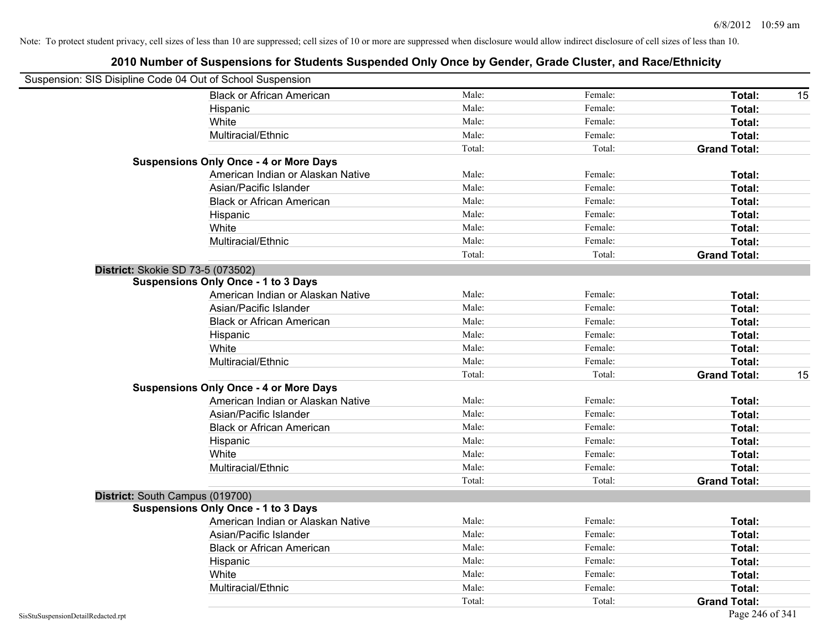| Suspension: SIS Disipline Code 04 Out of School Suspension |                                               |        |         |                           |
|------------------------------------------------------------|-----------------------------------------------|--------|---------|---------------------------|
|                                                            | <b>Black or African American</b>              | Male:  | Female: | Total:<br>15              |
|                                                            | Hispanic                                      | Male:  | Female: | Total:                    |
|                                                            | White                                         | Male:  | Female: | Total:                    |
|                                                            | Multiracial/Ethnic                            | Male:  | Female: | Total:                    |
|                                                            |                                               | Total: | Total:  | <b>Grand Total:</b>       |
|                                                            | <b>Suspensions Only Once - 4 or More Days</b> |        |         |                           |
|                                                            | American Indian or Alaskan Native             | Male:  | Female: | Total:                    |
|                                                            | Asian/Pacific Islander                        | Male:  | Female: | Total:                    |
|                                                            | <b>Black or African American</b>              | Male:  | Female: | Total:                    |
|                                                            | Hispanic                                      | Male:  | Female: | Total:                    |
|                                                            | White                                         | Male:  | Female: | Total:                    |
|                                                            | Multiracial/Ethnic                            | Male:  | Female: | Total:                    |
|                                                            |                                               | Total: | Total:  | <b>Grand Total:</b>       |
| District: Skokie SD 73-5 (073502)                          |                                               |        |         |                           |
|                                                            | <b>Suspensions Only Once - 1 to 3 Days</b>    |        |         |                           |
|                                                            | American Indian or Alaskan Native             | Male:  | Female: | Total:                    |
|                                                            | Asian/Pacific Islander                        | Male:  | Female: | <b>Total:</b>             |
|                                                            | <b>Black or African American</b>              | Male:  | Female: | Total:                    |
|                                                            | Hispanic                                      | Male:  | Female: | Total:                    |
|                                                            | White                                         | Male:  | Female: | Total:                    |
|                                                            | Multiracial/Ethnic                            | Male:  | Female: | Total:                    |
|                                                            |                                               | Total: | Total:  | 15<br><b>Grand Total:</b> |
|                                                            | <b>Suspensions Only Once - 4 or More Days</b> |        |         |                           |
|                                                            | American Indian or Alaskan Native             | Male:  | Female: | Total:                    |
|                                                            | Asian/Pacific Islander                        | Male:  | Female: | Total:                    |
|                                                            | <b>Black or African American</b>              | Male:  | Female: | Total:                    |
|                                                            | Hispanic                                      | Male:  | Female: | Total:                    |
|                                                            | White                                         | Male:  | Female: | Total:                    |
|                                                            | Multiracial/Ethnic                            | Male:  | Female: | Total:                    |
|                                                            |                                               | Total: | Total:  | <b>Grand Total:</b>       |
| District: South Campus (019700)                            |                                               |        |         |                           |
|                                                            | <b>Suspensions Only Once - 1 to 3 Days</b>    |        |         |                           |
|                                                            | American Indian or Alaskan Native             | Male:  | Female: | Total:                    |
|                                                            | Asian/Pacific Islander                        | Male:  | Female: | Total:                    |
|                                                            | <b>Black or African American</b>              | Male:  | Female: | Total:                    |
|                                                            | Hispanic                                      | Male:  | Female: | Total:                    |
|                                                            | White                                         | Male:  | Female: | Total:                    |
|                                                            | Multiracial/Ethnic                            | Male:  | Female: | Total:                    |
|                                                            |                                               | Total: | Total:  | <b>Grand Total:</b>       |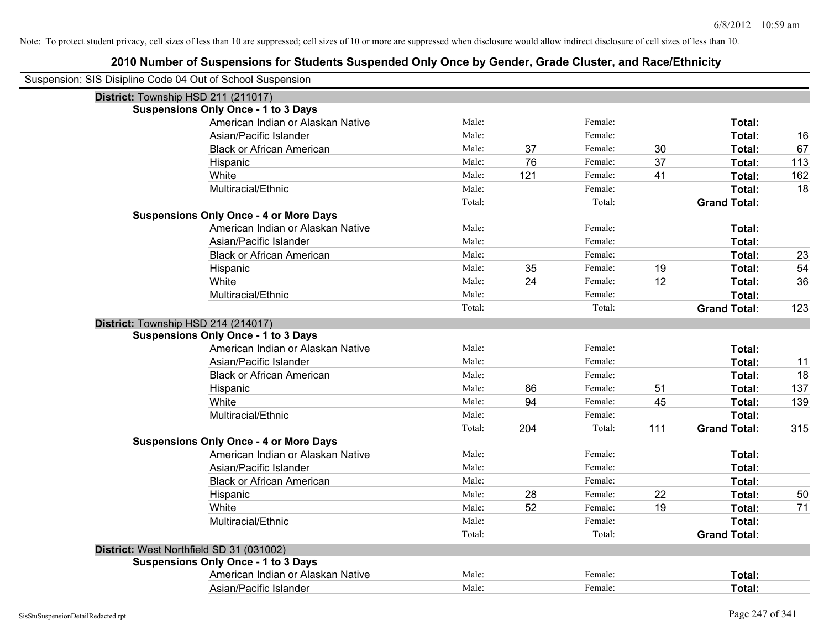| Suspension: SIS Disipline Code 04 Out of School Suspension |                                               |        |     |         |     |                     |     |
|------------------------------------------------------------|-----------------------------------------------|--------|-----|---------|-----|---------------------|-----|
|                                                            | District: Township HSD 211 (211017)           |        |     |         |     |                     |     |
|                                                            | <b>Suspensions Only Once - 1 to 3 Days</b>    |        |     |         |     |                     |     |
|                                                            | American Indian or Alaskan Native             | Male:  |     | Female: |     | Total:              |     |
|                                                            | Asian/Pacific Islander                        | Male:  |     | Female: |     | Total:              | 16  |
|                                                            | <b>Black or African American</b>              | Male:  | 37  | Female: | 30  | Total:              | 67  |
|                                                            | Hispanic                                      | Male:  | 76  | Female: | 37  | Total:              | 113 |
|                                                            | White                                         | Male:  | 121 | Female: | 41  | Total:              | 162 |
|                                                            | Multiracial/Ethnic                            | Male:  |     | Female: |     | Total:              | 18  |
|                                                            |                                               | Total: |     | Total:  |     | <b>Grand Total:</b> |     |
|                                                            | <b>Suspensions Only Once - 4 or More Days</b> |        |     |         |     |                     |     |
|                                                            | American Indian or Alaskan Native             | Male:  |     | Female: |     | Total:              |     |
|                                                            | Asian/Pacific Islander                        | Male:  |     | Female: |     | Total:              |     |
|                                                            | <b>Black or African American</b>              | Male:  |     | Female: |     | Total:              | 23  |
|                                                            | Hispanic                                      | Male:  | 35  | Female: | 19  | Total:              | 54  |
|                                                            | White                                         | Male:  | 24  | Female: | 12  | Total:              | 36  |
|                                                            | Multiracial/Ethnic                            | Male:  |     | Female: |     | Total:              |     |
|                                                            |                                               | Total: |     | Total:  |     | <b>Grand Total:</b> | 123 |
|                                                            | District: Township HSD 214 (214017)           |        |     |         |     |                     |     |
|                                                            | <b>Suspensions Only Once - 1 to 3 Days</b>    |        |     |         |     |                     |     |
|                                                            | American Indian or Alaskan Native             | Male:  |     | Female: |     | Total:              |     |
|                                                            | Asian/Pacific Islander                        | Male:  |     | Female: |     | Total:              | 11  |
|                                                            | <b>Black or African American</b>              | Male:  |     | Female: |     | Total:              | 18  |
|                                                            | Hispanic                                      | Male:  | 86  | Female: | 51  | Total:              | 137 |
|                                                            | White                                         | Male:  | 94  | Female: | 45  | Total:              | 139 |
|                                                            | Multiracial/Ethnic                            | Male:  |     | Female: |     | Total:              |     |
|                                                            |                                               | Total: | 204 | Total:  | 111 | <b>Grand Total:</b> | 315 |
|                                                            | <b>Suspensions Only Once - 4 or More Days</b> |        |     |         |     |                     |     |
|                                                            | American Indian or Alaskan Native             | Male:  |     | Female: |     | Total:              |     |
|                                                            | Asian/Pacific Islander                        | Male:  |     | Female: |     | Total:              |     |
|                                                            | <b>Black or African American</b>              | Male:  |     | Female: |     | Total:              |     |
|                                                            | Hispanic                                      | Male:  | 28  | Female: | 22  | Total:              | 50  |
|                                                            | White                                         | Male:  | 52  | Female: | 19  | Total:              | 71  |
|                                                            | Multiracial/Ethnic                            | Male:  |     | Female: |     | Total:              |     |
|                                                            |                                               | Total: |     | Total:  |     | <b>Grand Total:</b> |     |
|                                                            | District: West Northfield SD 31 (031002)      |        |     |         |     |                     |     |
|                                                            | <b>Suspensions Only Once - 1 to 3 Days</b>    |        |     |         |     |                     |     |
|                                                            | American Indian or Alaskan Native             | Male:  |     | Female: |     | Total:              |     |
|                                                            | Asian/Pacific Islander                        | Male:  |     | Female: |     | Total:              |     |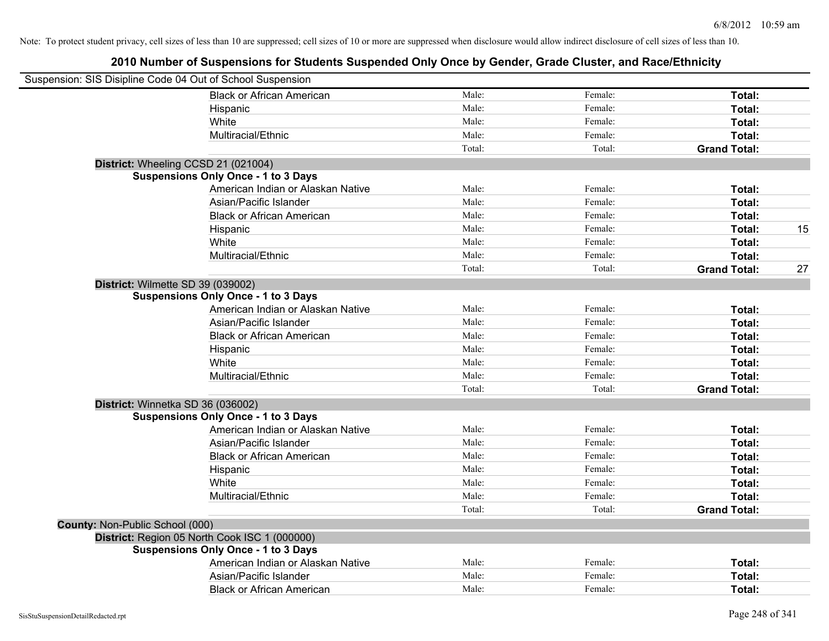| Suspension: SIS Disipline Code 04 Out of School Suspension |                                            |        |         |                     |    |
|------------------------------------------------------------|--------------------------------------------|--------|---------|---------------------|----|
|                                                            | <b>Black or African American</b>           | Male:  | Female: | Total:              |    |
|                                                            | Hispanic                                   | Male:  | Female: | Total:              |    |
|                                                            | White                                      | Male:  | Female: | Total:              |    |
|                                                            | Multiracial/Ethnic                         | Male:  | Female: | Total:              |    |
|                                                            |                                            | Total: | Total:  | <b>Grand Total:</b> |    |
| District: Wheeling CCSD 21 (021004)                        |                                            |        |         |                     |    |
|                                                            | <b>Suspensions Only Once - 1 to 3 Days</b> |        |         |                     |    |
|                                                            | American Indian or Alaskan Native          | Male:  | Female: | Total:              |    |
|                                                            | Asian/Pacific Islander                     | Male:  | Female: | Total:              |    |
|                                                            | <b>Black or African American</b>           | Male:  | Female: | Total:              |    |
|                                                            | Hispanic                                   | Male:  | Female: | Total:              | 15 |
|                                                            | White                                      | Male:  | Female: | Total:              |    |
|                                                            | Multiracial/Ethnic                         | Male:  | Female: | Total:              |    |
|                                                            |                                            | Total: | Total:  | <b>Grand Total:</b> | 27 |
| District: Wilmette SD 39 (039002)                          |                                            |        |         |                     |    |
|                                                            | <b>Suspensions Only Once - 1 to 3 Days</b> |        |         |                     |    |
|                                                            | American Indian or Alaskan Native          | Male:  | Female: | Total:              |    |
|                                                            | Asian/Pacific Islander                     | Male:  | Female: | Total:              |    |
|                                                            | <b>Black or African American</b>           | Male:  | Female: | Total:              |    |
|                                                            | Hispanic                                   | Male:  | Female: | Total:              |    |
|                                                            | White                                      | Male:  | Female: | Total:              |    |
|                                                            | Multiracial/Ethnic                         | Male:  | Female: | Total:              |    |
|                                                            |                                            | Total: | Total:  | <b>Grand Total:</b> |    |
| District: Winnetka SD 36 (036002)                          |                                            |        |         |                     |    |
|                                                            | <b>Suspensions Only Once - 1 to 3 Days</b> |        |         |                     |    |
|                                                            | American Indian or Alaskan Native          | Male:  | Female: | Total:              |    |
|                                                            | Asian/Pacific Islander                     | Male:  | Female: | Total:              |    |
|                                                            | <b>Black or African American</b>           | Male:  | Female: | Total:              |    |
|                                                            | Hispanic                                   | Male:  | Female: | Total:              |    |
|                                                            | White                                      | Male:  | Female: | Total:              |    |
|                                                            | Multiracial/Ethnic                         | Male:  | Female: | Total:              |    |
|                                                            |                                            | Total: | Total:  | <b>Grand Total:</b> |    |
| <b>County: Non-Public School (000)</b>                     |                                            |        |         |                     |    |
| District: Region 05 North Cook ISC 1 (000000)              |                                            |        |         |                     |    |
|                                                            | <b>Suspensions Only Once - 1 to 3 Days</b> |        |         |                     |    |
|                                                            | American Indian or Alaskan Native          | Male:  | Female: | Total:              |    |
|                                                            | Asian/Pacific Islander                     | Male:  | Female: | Total:              |    |
|                                                            | <b>Black or African American</b>           | Male:  | Female: | Total:              |    |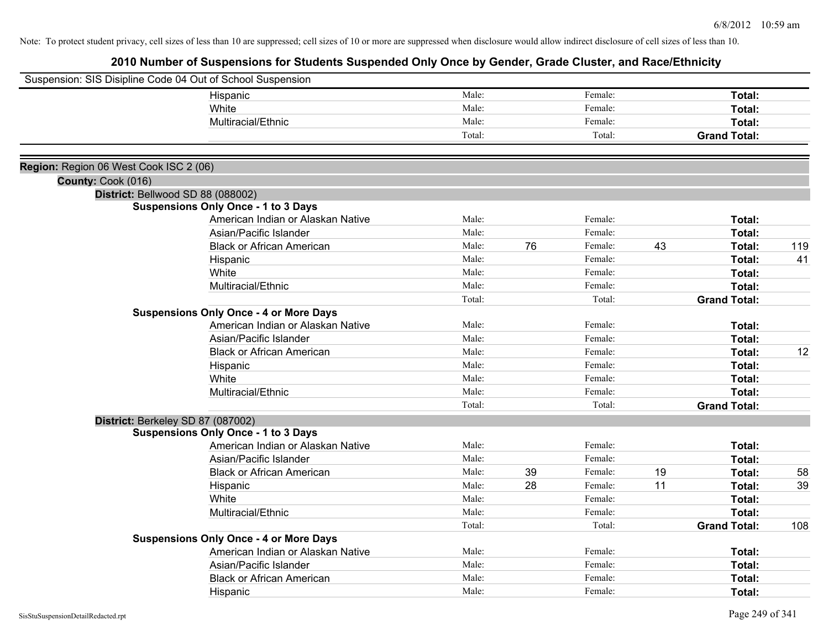|                                        | Suspension: SIS Disipline Code 04 Out of School Suspension |        |    |         |    |                     |     |
|----------------------------------------|------------------------------------------------------------|--------|----|---------|----|---------------------|-----|
|                                        | Hispanic                                                   | Male:  |    | Female: |    | Total:              |     |
|                                        | White                                                      | Male:  |    | Female: |    | Total:              |     |
|                                        | Multiracial/Ethnic                                         | Male:  |    | Female: |    | Total:              |     |
|                                        |                                                            | Total: |    | Total:  |    | <b>Grand Total:</b> |     |
|                                        |                                                            |        |    |         |    |                     |     |
| Region: Region 06 West Cook ISC 2 (06) |                                                            |        |    |         |    |                     |     |
| County: Cook (016)                     |                                                            |        |    |         |    |                     |     |
|                                        | District: Bellwood SD 88 (088002)                          |        |    |         |    |                     |     |
|                                        | <b>Suspensions Only Once - 1 to 3 Days</b>                 | Male:  |    | Female: |    |                     |     |
|                                        | American Indian or Alaskan Native                          |        |    |         |    | Total:              |     |
|                                        | Asian/Pacific Islander                                     | Male:  |    | Female: |    | Total:              |     |
|                                        | <b>Black or African American</b>                           | Male:  | 76 | Female: | 43 | Total:              | 119 |
|                                        | Hispanic                                                   | Male:  |    | Female: |    | Total:              | 41  |
|                                        | White                                                      | Male:  |    | Female: |    | Total:              |     |
|                                        | Multiracial/Ethnic                                         | Male:  |    | Female: |    | Total:              |     |
|                                        |                                                            | Total: |    | Total:  |    | <b>Grand Total:</b> |     |
|                                        | <b>Suspensions Only Once - 4 or More Days</b>              |        |    |         |    |                     |     |
|                                        | American Indian or Alaskan Native                          | Male:  |    | Female: |    | Total:              |     |
|                                        | Asian/Pacific Islander                                     | Male:  |    | Female: |    | Total:              |     |
|                                        | <b>Black or African American</b>                           | Male:  |    | Female: |    | Total:              | 12  |
|                                        | Hispanic                                                   | Male:  |    | Female: |    | Total:              |     |
|                                        | White                                                      | Male:  |    | Female: |    | Total:              |     |
|                                        | Multiracial/Ethnic                                         | Male:  |    | Female: |    | Total:              |     |
|                                        |                                                            | Total: |    | Total:  |    | <b>Grand Total:</b> |     |
|                                        | District: Berkeley SD 87 (087002)                          |        |    |         |    |                     |     |
|                                        | <b>Suspensions Only Once - 1 to 3 Days</b>                 |        |    |         |    |                     |     |
|                                        | American Indian or Alaskan Native                          | Male:  |    | Female: |    | Total:              |     |
|                                        | Asian/Pacific Islander                                     | Male:  |    | Female: |    | Total:              |     |
|                                        | <b>Black or African American</b>                           | Male:  | 39 | Female: | 19 | Total:              | 58  |
|                                        | Hispanic                                                   | Male:  | 28 | Female: | 11 | Total:              | 39  |
|                                        | White                                                      | Male:  |    | Female: |    | Total:              |     |
|                                        | Multiracial/Ethnic                                         | Male:  |    | Female: |    | Total:              |     |
|                                        |                                                            | Total: |    | Total:  |    | <b>Grand Total:</b> | 108 |
|                                        | <b>Suspensions Only Once - 4 or More Days</b>              |        |    |         |    |                     |     |
|                                        | American Indian or Alaskan Native                          | Male:  |    | Female: |    | Total:              |     |
|                                        | Asian/Pacific Islander                                     | Male:  |    | Female: |    | Total:              |     |
|                                        | <b>Black or African American</b>                           | Male:  |    | Female: |    | Total:              |     |
|                                        | Hispanic                                                   | Male:  |    | Female: |    | Total:              |     |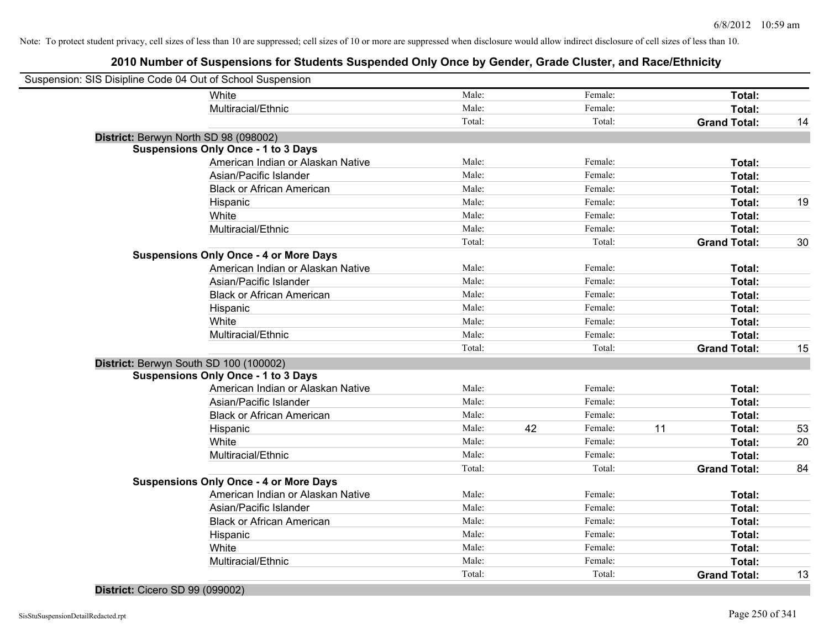# **2010 Number of Suspensions for Students Suspended Only Once by Gender, Grade Cluster, and Race/Ethnicity**

| Suspension: SIS Disipline Code 04 Out of School Suspension |        |    |         |    |                     |    |
|------------------------------------------------------------|--------|----|---------|----|---------------------|----|
| White                                                      | Male:  |    | Female: |    | Total:              |    |
| Multiracial/Ethnic                                         | Male:  |    | Female: |    | Total:              |    |
|                                                            | Total: |    | Total:  |    | <b>Grand Total:</b> | 14 |
| District: Berwyn North SD 98 (098002)                      |        |    |         |    |                     |    |
| <b>Suspensions Only Once - 1 to 3 Days</b>                 |        |    |         |    |                     |    |
| American Indian or Alaskan Native                          | Male:  |    | Female: |    | Total:              |    |
| Asian/Pacific Islander                                     | Male:  |    | Female: |    | Total:              |    |
| <b>Black or African American</b>                           | Male:  |    | Female: |    | Total:              |    |
| Hispanic                                                   | Male:  |    | Female: |    | Total:              | 19 |
| White                                                      | Male:  |    | Female: |    | Total:              |    |
| Multiracial/Ethnic                                         | Male:  |    | Female: |    | <b>Total:</b>       |    |
|                                                            | Total: |    | Total:  |    | <b>Grand Total:</b> | 30 |
| <b>Suspensions Only Once - 4 or More Days</b>              |        |    |         |    |                     |    |
| American Indian or Alaskan Native                          | Male:  |    | Female: |    | Total:              |    |
| Asian/Pacific Islander                                     | Male:  |    | Female: |    | Total:              |    |
| <b>Black or African American</b>                           | Male:  |    | Female: |    | Total:              |    |
| Hispanic                                                   | Male:  |    | Female: |    | Total:              |    |
| White                                                      | Male:  |    | Female: |    | Total:              |    |
| Multiracial/Ethnic                                         | Male:  |    | Female: |    | Total:              |    |
|                                                            | Total: |    | Total:  |    | <b>Grand Total:</b> | 15 |
| District: Berwyn South SD 100 (100002)                     |        |    |         |    |                     |    |
| <b>Suspensions Only Once - 1 to 3 Days</b>                 |        |    |         |    |                     |    |
| American Indian or Alaskan Native                          | Male:  |    | Female: |    | Total:              |    |
| Asian/Pacific Islander                                     | Male:  |    | Female: |    | Total:              |    |
| <b>Black or African American</b>                           | Male:  |    | Female: |    | Total:              |    |
| Hispanic                                                   | Male:  | 42 | Female: | 11 | Total:              | 53 |
| White                                                      | Male:  |    | Female: |    | Total:              | 20 |
| Multiracial/Ethnic                                         | Male:  |    | Female: |    | Total:              |    |
|                                                            | Total: |    | Total:  |    | <b>Grand Total:</b> | 84 |
| <b>Suspensions Only Once - 4 or More Days</b>              |        |    |         |    |                     |    |
| American Indian or Alaskan Native                          | Male:  |    | Female: |    | Total:              |    |
| Asian/Pacific Islander                                     | Male:  |    | Female: |    | Total:              |    |
| <b>Black or African American</b>                           | Male:  |    | Female: |    | Total:              |    |
| Hispanic                                                   | Male:  |    | Female: |    | Total:              |    |
| White                                                      | Male:  |    | Female: |    | Total:              |    |
| Multiracial/Ethnic                                         | Male:  |    | Female: |    | Total:              |    |
|                                                            | Total: |    | Total:  |    | <b>Grand Total:</b> | 13 |

#### **District:** Cicero SD 99 (099002)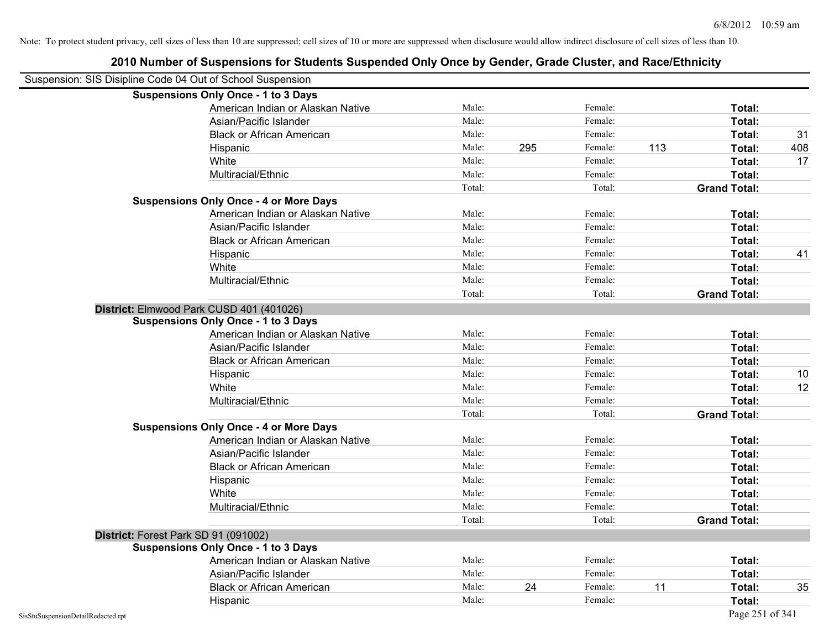| Suspension: SIS Disipline Code 04 Out of School Suspension |                                               |        |     |         |     |                     |     |
|------------------------------------------------------------|-----------------------------------------------|--------|-----|---------|-----|---------------------|-----|
|                                                            | <b>Suspensions Only Once - 1 to 3 Days</b>    |        |     |         |     |                     |     |
|                                                            | American Indian or Alaskan Native             | Male:  |     | Female: |     | Total:              |     |
|                                                            | Asian/Pacific Islander                        | Male:  |     | Female: |     | Total:              |     |
|                                                            | <b>Black or African American</b>              | Male:  |     | Female: |     | Total:              | 31  |
|                                                            | Hispanic                                      | Male:  | 295 | Female: | 113 | Total:              | 408 |
|                                                            | White                                         | Male:  |     | Female: |     | Total:              | 17  |
|                                                            | Multiracial/Ethnic                            | Male:  |     | Female: |     | Total:              |     |
|                                                            |                                               | Total: |     | Total:  |     | <b>Grand Total:</b> |     |
|                                                            | <b>Suspensions Only Once - 4 or More Days</b> |        |     |         |     |                     |     |
|                                                            | American Indian or Alaskan Native             | Male:  |     | Female: |     | Total:              |     |
|                                                            | Asian/Pacific Islander                        | Male:  |     | Female: |     | Total:              |     |
|                                                            | <b>Black or African American</b>              | Male:  |     | Female: |     | Total:              |     |
|                                                            | Hispanic                                      | Male:  |     | Female: |     | Total:              | 41  |
|                                                            | White                                         | Male:  |     | Female: |     | Total:              |     |
|                                                            | Multiracial/Ethnic                            | Male:  |     | Female: |     | Total:              |     |
|                                                            |                                               | Total: |     | Total:  |     | <b>Grand Total:</b> |     |
|                                                            | District: Elmwood Park CUSD 401 (401026)      |        |     |         |     |                     |     |
|                                                            | <b>Suspensions Only Once - 1 to 3 Days</b>    |        |     |         |     |                     |     |
|                                                            | American Indian or Alaskan Native             | Male:  |     | Female: |     | Total:              |     |
|                                                            | Asian/Pacific Islander                        | Male:  |     | Female: |     | Total:              |     |
|                                                            | <b>Black or African American</b>              | Male:  |     | Female: |     | Total:              |     |
|                                                            | Hispanic                                      | Male:  |     | Female: |     | Total:              | 10  |
|                                                            | White                                         | Male:  |     | Female: |     | Total:              | 12  |
|                                                            | Multiracial/Ethnic                            | Male:  |     | Female: |     | Total:              |     |
|                                                            |                                               | Total: |     | Total:  |     | <b>Grand Total:</b> |     |
|                                                            | <b>Suspensions Only Once - 4 or More Days</b> |        |     |         |     |                     |     |
|                                                            | American Indian or Alaskan Native             | Male:  |     | Female: |     | Total:              |     |
|                                                            | Asian/Pacific Islander                        | Male:  |     | Female: |     | Total:              |     |
|                                                            | <b>Black or African American</b>              | Male:  |     | Female: |     | Total:              |     |
|                                                            | Hispanic                                      | Male:  |     | Female: |     | Total:              |     |
|                                                            | White                                         | Male:  |     | Female: |     | Total:              |     |
|                                                            | Multiracial/Ethnic                            | Male:  |     | Female: |     | Total:              |     |
|                                                            |                                               | Total: |     | Total:  |     | <b>Grand Total:</b> |     |
|                                                            | District: Forest Park SD 91 (091002)          |        |     |         |     |                     |     |
|                                                            | <b>Suspensions Only Once - 1 to 3 Days</b>    |        |     |         |     |                     |     |
|                                                            | American Indian or Alaskan Native             | Male:  |     | Female: |     | Total:              |     |
|                                                            | Asian/Pacific Islander                        | Male:  |     | Female: |     | Total:              |     |
|                                                            | <b>Black or African American</b>              | Male:  | 24  | Female: | 11  | Total:              | 35  |
|                                                            | Hispanic                                      | Male:  |     | Female: |     | Total:              |     |
| SisStuSuspensionDetailRedacted.rpt                         |                                               |        |     |         |     | Page 251 of 341     |     |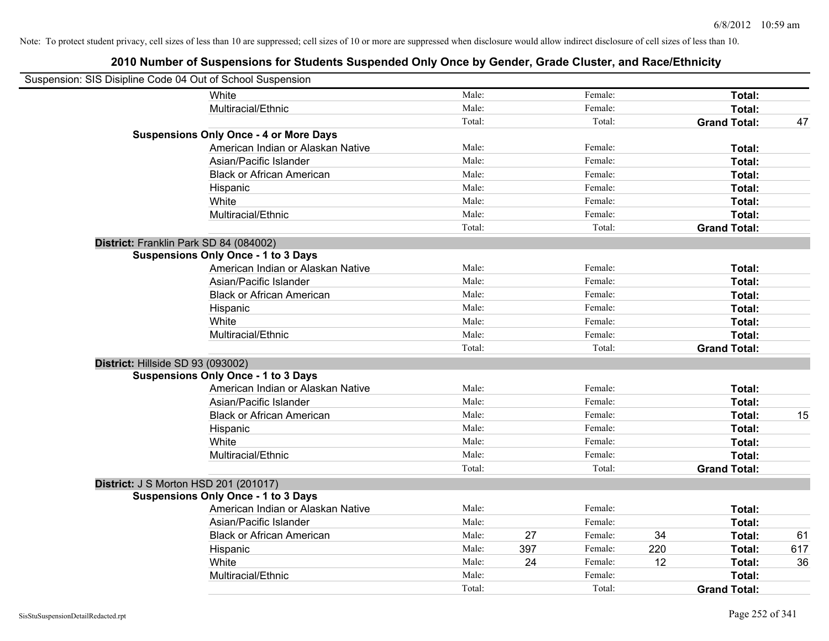| Suspension: SIS Disipline Code 04 Out of School Suspension |                                               |        |     |         |     |                     |     |
|------------------------------------------------------------|-----------------------------------------------|--------|-----|---------|-----|---------------------|-----|
|                                                            | White                                         | Male:  |     | Female: |     | Total:              |     |
|                                                            | Multiracial/Ethnic                            | Male:  |     | Female: |     | Total:              |     |
|                                                            |                                               | Total: |     | Total:  |     | <b>Grand Total:</b> | 47  |
|                                                            | <b>Suspensions Only Once - 4 or More Days</b> |        |     |         |     |                     |     |
|                                                            | American Indian or Alaskan Native             | Male:  |     | Female: |     | Total:              |     |
|                                                            | Asian/Pacific Islander                        | Male:  |     | Female: |     | Total:              |     |
|                                                            | <b>Black or African American</b>              | Male:  |     | Female: |     | Total:              |     |
|                                                            | Hispanic                                      | Male:  |     | Female: |     | Total:              |     |
|                                                            | White                                         | Male:  |     | Female: |     | Total:              |     |
|                                                            | Multiracial/Ethnic                            | Male:  |     | Female: |     | Total:              |     |
|                                                            |                                               | Total: |     | Total:  |     | <b>Grand Total:</b> |     |
| District: Franklin Park SD 84 (084002)                     |                                               |        |     |         |     |                     |     |
|                                                            | <b>Suspensions Only Once - 1 to 3 Days</b>    |        |     |         |     |                     |     |
|                                                            | American Indian or Alaskan Native             | Male:  |     | Female: |     | Total:              |     |
|                                                            | Asian/Pacific Islander                        | Male:  |     | Female: |     | Total:              |     |
|                                                            | <b>Black or African American</b>              | Male:  |     | Female: |     | Total:              |     |
|                                                            | Hispanic                                      | Male:  |     | Female: |     | Total:              |     |
|                                                            | White                                         | Male:  |     | Female: |     | Total:              |     |
|                                                            | Multiracial/Ethnic                            | Male:  |     | Female: |     | Total:              |     |
|                                                            |                                               | Total: |     | Total:  |     | <b>Grand Total:</b> |     |
| District: Hillside SD 93 (093002)                          |                                               |        |     |         |     |                     |     |
|                                                            | <b>Suspensions Only Once - 1 to 3 Days</b>    |        |     |         |     |                     |     |
|                                                            | American Indian or Alaskan Native             | Male:  |     | Female: |     | <b>Total:</b>       |     |
|                                                            | Asian/Pacific Islander                        | Male:  |     | Female: |     | Total:              |     |
|                                                            | <b>Black or African American</b>              | Male:  |     | Female: |     | Total:              | 15  |
|                                                            | Hispanic                                      | Male:  |     | Female: |     | Total:              |     |
|                                                            | White                                         | Male:  |     | Female: |     | Total:              |     |
|                                                            | Multiracial/Ethnic                            | Male:  |     | Female: |     | Total:              |     |
|                                                            |                                               | Total: |     | Total:  |     | <b>Grand Total:</b> |     |
| <b>District: J S Morton HSD 201 (201017)</b>               |                                               |        |     |         |     |                     |     |
|                                                            | <b>Suspensions Only Once - 1 to 3 Days</b>    |        |     |         |     |                     |     |
|                                                            | American Indian or Alaskan Native             | Male:  |     | Female: |     | Total:              |     |
|                                                            | Asian/Pacific Islander                        | Male:  |     | Female: |     | Total:              |     |
|                                                            | <b>Black or African American</b>              | Male:  | 27  | Female: | 34  | Total:              | 61  |
|                                                            | Hispanic                                      | Male:  | 397 | Female: | 220 | Total:              | 617 |
|                                                            | White                                         | Male:  | 24  | Female: | 12  | Total:              | 36  |
|                                                            | Multiracial/Ethnic                            | Male:  |     | Female: |     | Total:              |     |
|                                                            |                                               | Total: |     | Total:  |     | <b>Grand Total:</b> |     |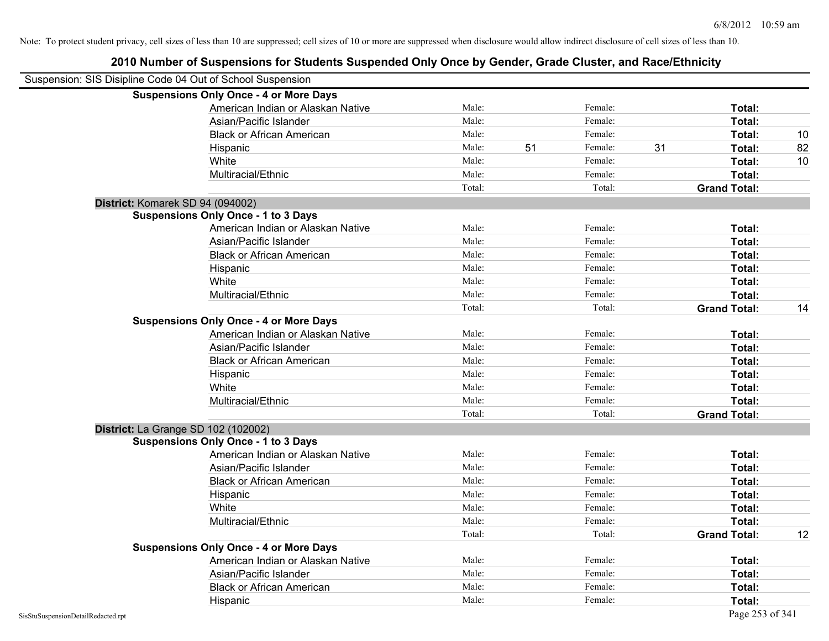| Suspension: SIS Disipline Code 04 Out of School Suspension |                                               |        |    |         |    |                     |    |
|------------------------------------------------------------|-----------------------------------------------|--------|----|---------|----|---------------------|----|
|                                                            | <b>Suspensions Only Once - 4 or More Days</b> |        |    |         |    |                     |    |
|                                                            | American Indian or Alaskan Native             | Male:  |    | Female: |    | Total:              |    |
|                                                            | Asian/Pacific Islander                        | Male:  |    | Female: |    | Total:              |    |
|                                                            | <b>Black or African American</b>              | Male:  |    | Female: |    | Total:              | 10 |
|                                                            | Hispanic                                      | Male:  | 51 | Female: | 31 | Total:              | 82 |
|                                                            | White                                         | Male:  |    | Female: |    | Total:              | 10 |
|                                                            | Multiracial/Ethnic                            | Male:  |    | Female: |    | Total:              |    |
|                                                            |                                               | Total: |    | Total:  |    | <b>Grand Total:</b> |    |
| District: Komarek SD 94 (094002)                           |                                               |        |    |         |    |                     |    |
|                                                            | <b>Suspensions Only Once - 1 to 3 Days</b>    |        |    |         |    |                     |    |
|                                                            | American Indian or Alaskan Native             | Male:  |    | Female: |    | Total:              |    |
|                                                            | Asian/Pacific Islander                        | Male:  |    | Female: |    | Total:              |    |
|                                                            | <b>Black or African American</b>              | Male:  |    | Female: |    | Total:              |    |
|                                                            | Hispanic                                      | Male:  |    | Female: |    | Total:              |    |
|                                                            | White                                         | Male:  |    | Female: |    | Total:              |    |
|                                                            | Multiracial/Ethnic                            | Male:  |    | Female: |    | <b>Total:</b>       |    |
|                                                            |                                               | Total: |    | Total:  |    | <b>Grand Total:</b> | 14 |
|                                                            | <b>Suspensions Only Once - 4 or More Days</b> |        |    |         |    |                     |    |
|                                                            | American Indian or Alaskan Native             | Male:  |    | Female: |    | Total:              |    |
|                                                            | Asian/Pacific Islander                        | Male:  |    | Female: |    | Total:              |    |
|                                                            | <b>Black or African American</b>              | Male:  |    | Female: |    | Total:              |    |
|                                                            | Hispanic                                      | Male:  |    | Female: |    | Total:              |    |
|                                                            | White                                         | Male:  |    | Female: |    | Total:              |    |
|                                                            | Multiracial/Ethnic                            | Male:  |    | Female: |    | Total:              |    |
|                                                            |                                               | Total: |    | Total:  |    | <b>Grand Total:</b> |    |
| District: La Grange SD 102 (102002)                        |                                               |        |    |         |    |                     |    |
|                                                            | <b>Suspensions Only Once - 1 to 3 Days</b>    |        |    |         |    |                     |    |
|                                                            | American Indian or Alaskan Native             | Male:  |    | Female: |    | Total:              |    |
|                                                            | Asian/Pacific Islander                        | Male:  |    | Female: |    | Total:              |    |
|                                                            | <b>Black or African American</b>              | Male:  |    | Female: |    | Total:              |    |
|                                                            | Hispanic                                      | Male:  |    | Female: |    | Total:              |    |
|                                                            | White                                         | Male:  |    | Female: |    | Total:              |    |
|                                                            | Multiracial/Ethnic                            | Male:  |    | Female: |    | Total:              |    |
|                                                            |                                               | Total: |    | Total:  |    | <b>Grand Total:</b> | 12 |
|                                                            | <b>Suspensions Only Once - 4 or More Days</b> |        |    |         |    |                     |    |
|                                                            | American Indian or Alaskan Native             | Male:  |    | Female: |    | Total:              |    |
|                                                            | Asian/Pacific Islander                        | Male:  |    | Female: |    | Total:              |    |
|                                                            | <b>Black or African American</b>              | Male:  |    | Female: |    | Total:              |    |
|                                                            | Hispanic                                      | Male:  |    | Female: |    | Total:              |    |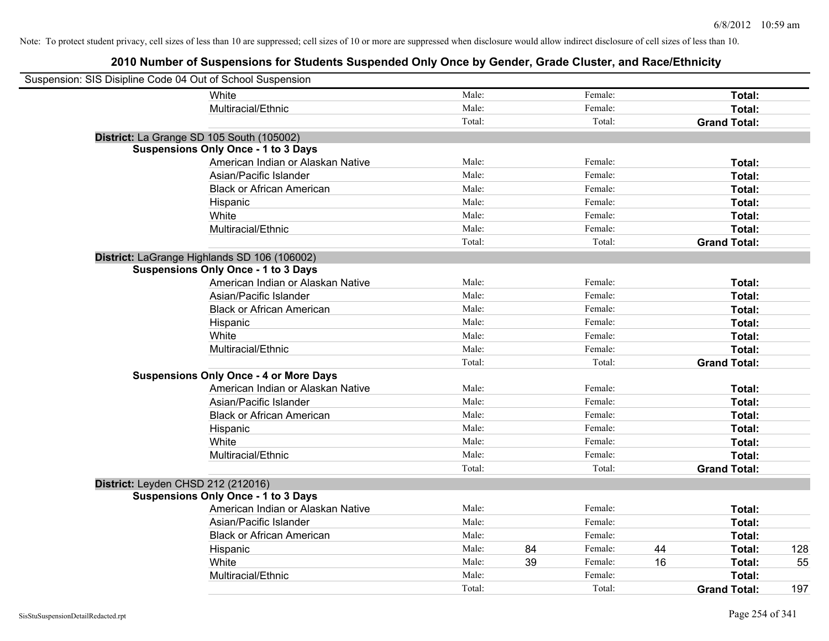| Suspension: SIS Disipline Code 04 Out of School Suspension |                                               |        |    |         |    |                     |     |
|------------------------------------------------------------|-----------------------------------------------|--------|----|---------|----|---------------------|-----|
|                                                            | White                                         | Male:  |    | Female: |    | Total:              |     |
|                                                            | Multiracial/Ethnic                            | Male:  |    | Female: |    | Total:              |     |
|                                                            |                                               | Total: |    | Total:  |    | <b>Grand Total:</b> |     |
|                                                            | District: La Grange SD 105 South (105002)     |        |    |         |    |                     |     |
|                                                            | <b>Suspensions Only Once - 1 to 3 Days</b>    |        |    |         |    |                     |     |
|                                                            | American Indian or Alaskan Native             | Male:  |    | Female: |    | Total:              |     |
|                                                            | Asian/Pacific Islander                        | Male:  |    | Female: |    | Total:              |     |
|                                                            | <b>Black or African American</b>              | Male:  |    | Female: |    | Total:              |     |
|                                                            | Hispanic                                      | Male:  |    | Female: |    | Total:              |     |
|                                                            | White                                         | Male:  |    | Female: |    | Total:              |     |
|                                                            | Multiracial/Ethnic                            | Male:  |    | Female: |    | Total:              |     |
|                                                            |                                               | Total: |    | Total:  |    | <b>Grand Total:</b> |     |
|                                                            | District: LaGrange Highlands SD 106 (106002)  |        |    |         |    |                     |     |
|                                                            | <b>Suspensions Only Once - 1 to 3 Days</b>    |        |    |         |    |                     |     |
|                                                            | American Indian or Alaskan Native             | Male:  |    | Female: |    | Total:              |     |
|                                                            | Asian/Pacific Islander                        | Male:  |    | Female: |    | Total:              |     |
|                                                            | <b>Black or African American</b>              | Male:  |    | Female: |    | Total:              |     |
|                                                            | Hispanic                                      | Male:  |    | Female: |    | Total:              |     |
|                                                            | White                                         | Male:  |    | Female: |    | Total:              |     |
|                                                            | Multiracial/Ethnic                            | Male:  |    | Female: |    | Total:              |     |
|                                                            |                                               | Total: |    | Total:  |    | <b>Grand Total:</b> |     |
|                                                            | <b>Suspensions Only Once - 4 or More Days</b> |        |    |         |    |                     |     |
|                                                            | American Indian or Alaskan Native             | Male:  |    | Female: |    | Total:              |     |
|                                                            | Asian/Pacific Islander                        | Male:  |    | Female: |    | Total:              |     |
|                                                            | <b>Black or African American</b>              | Male:  |    | Female: |    | Total:              |     |
|                                                            | Hispanic                                      | Male:  |    | Female: |    | Total:              |     |
|                                                            | White                                         | Male:  |    | Female: |    | Total:              |     |
|                                                            | Multiracial/Ethnic                            | Male:  |    | Female: |    | Total:              |     |
|                                                            |                                               | Total: |    | Total:  |    | <b>Grand Total:</b> |     |
| District: Leyden CHSD 212 (212016)                         |                                               |        |    |         |    |                     |     |
|                                                            | <b>Suspensions Only Once - 1 to 3 Days</b>    |        |    |         |    |                     |     |
|                                                            | American Indian or Alaskan Native             | Male:  |    | Female: |    | Total:              |     |
|                                                            | Asian/Pacific Islander                        | Male:  |    | Female: |    | Total:              |     |
|                                                            | <b>Black or African American</b>              | Male:  |    | Female: |    | Total:              |     |
|                                                            | Hispanic                                      | Male:  | 84 | Female: | 44 | Total:              | 128 |
|                                                            | White                                         | Male:  | 39 | Female: | 16 | Total:              | 55  |
|                                                            | Multiracial/Ethnic                            | Male:  |    | Female: |    | Total:              |     |
|                                                            |                                               | Total: |    | Total:  |    | <b>Grand Total:</b> | 197 |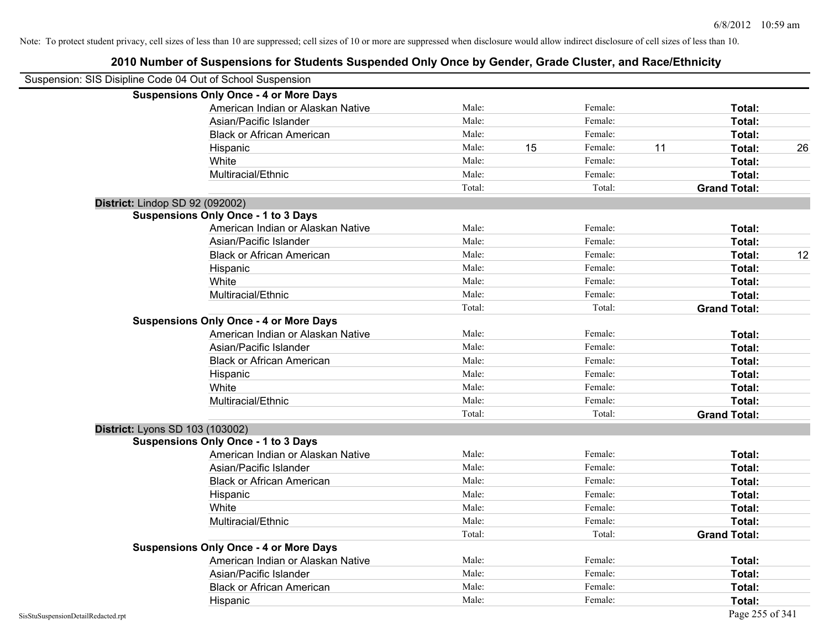| Suspension: SIS Disipline Code 04 Out of School Suspension |                                               |        |    |         |    |                     |    |
|------------------------------------------------------------|-----------------------------------------------|--------|----|---------|----|---------------------|----|
|                                                            | <b>Suspensions Only Once - 4 or More Days</b> |        |    |         |    |                     |    |
|                                                            | American Indian or Alaskan Native             | Male:  |    | Female: |    | Total:              |    |
|                                                            | Asian/Pacific Islander                        | Male:  |    | Female: |    | Total:              |    |
|                                                            | <b>Black or African American</b>              | Male:  |    | Female: |    | Total:              |    |
|                                                            | Hispanic                                      | Male:  | 15 | Female: | 11 | Total:              | 26 |
|                                                            | White                                         | Male:  |    | Female: |    | Total:              |    |
|                                                            | Multiracial/Ethnic                            | Male:  |    | Female: |    | Total:              |    |
|                                                            |                                               | Total: |    | Total:  |    | <b>Grand Total:</b> |    |
| District: Lindop SD 92 (092002)                            |                                               |        |    |         |    |                     |    |
|                                                            | <b>Suspensions Only Once - 1 to 3 Days</b>    |        |    |         |    |                     |    |
|                                                            | American Indian or Alaskan Native             | Male:  |    | Female: |    | Total:              |    |
|                                                            | Asian/Pacific Islander                        | Male:  |    | Female: |    | Total:              |    |
|                                                            | <b>Black or African American</b>              | Male:  |    | Female: |    | Total:              | 12 |
|                                                            | Hispanic                                      | Male:  |    | Female: |    | Total:              |    |
|                                                            | White                                         | Male:  |    | Female: |    | Total:              |    |
|                                                            | Multiracial/Ethnic                            | Male:  |    | Female: |    | Total:              |    |
|                                                            |                                               | Total: |    | Total:  |    | <b>Grand Total:</b> |    |
|                                                            | <b>Suspensions Only Once - 4 or More Days</b> |        |    |         |    |                     |    |
|                                                            | American Indian or Alaskan Native             | Male:  |    | Female: |    | Total:              |    |
|                                                            | Asian/Pacific Islander                        | Male:  |    | Female: |    | Total:              |    |
|                                                            | <b>Black or African American</b>              | Male:  |    | Female: |    | Total:              |    |
|                                                            | Hispanic                                      | Male:  |    | Female: |    | Total:              |    |
|                                                            | White                                         | Male:  |    | Female: |    | Total:              |    |
|                                                            | Multiracial/Ethnic                            | Male:  |    | Female: |    | Total:              |    |
|                                                            |                                               | Total: |    | Total:  |    | <b>Grand Total:</b> |    |
| District: Lyons SD 103 (103002)                            |                                               |        |    |         |    |                     |    |
|                                                            | <b>Suspensions Only Once - 1 to 3 Days</b>    |        |    |         |    |                     |    |
|                                                            | American Indian or Alaskan Native             | Male:  |    | Female: |    | Total:              |    |
|                                                            | Asian/Pacific Islander                        | Male:  |    | Female: |    | Total:              |    |
|                                                            | <b>Black or African American</b>              | Male:  |    | Female: |    | Total:              |    |
|                                                            | Hispanic                                      | Male:  |    | Female: |    | Total:              |    |
|                                                            | White                                         | Male:  |    | Female: |    | Total:              |    |
|                                                            | Multiracial/Ethnic                            | Male:  |    | Female: |    | Total:              |    |
|                                                            |                                               | Total: |    | Total:  |    | <b>Grand Total:</b> |    |
|                                                            | <b>Suspensions Only Once - 4 or More Days</b> |        |    |         |    |                     |    |
|                                                            | American Indian or Alaskan Native             | Male:  |    | Female: |    | Total:              |    |
|                                                            | Asian/Pacific Islander                        | Male:  |    | Female: |    | Total:              |    |
|                                                            | <b>Black or African American</b>              | Male:  |    | Female: |    | Total:              |    |
|                                                            | Hispanic                                      | Male:  |    | Female: |    | Total:              |    |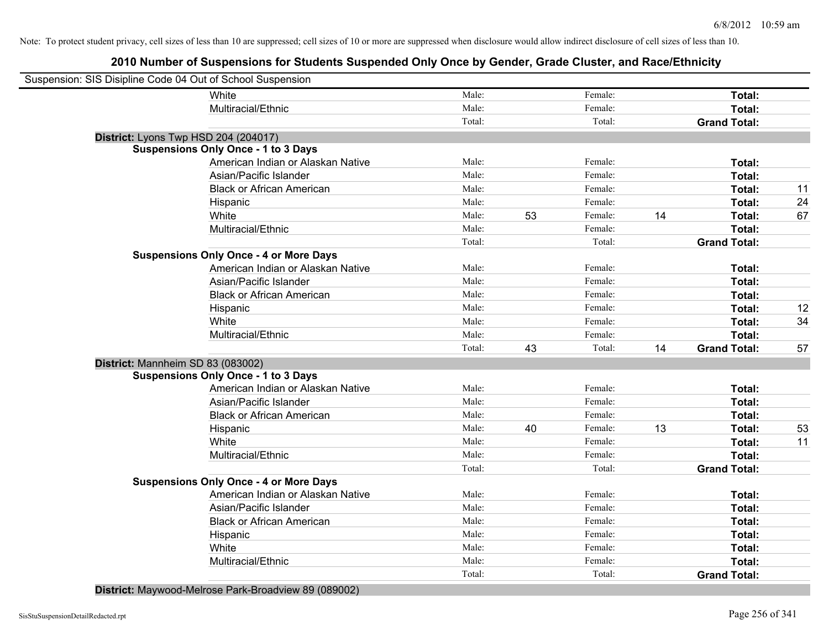# **2010 Number of Suspensions for Students Suspended Only Once by Gender, Grade Cluster, and Race/Ethnicity**

| Suspension: SIS Disipline Code 04 Out of School Suspension |                                               |        |    |         |    |                     |    |
|------------------------------------------------------------|-----------------------------------------------|--------|----|---------|----|---------------------|----|
|                                                            | White                                         | Male:  |    | Female: |    | Total:              |    |
|                                                            | Multiracial/Ethnic                            | Male:  |    | Female: |    | Total:              |    |
|                                                            |                                               | Total: |    | Total:  |    | <b>Grand Total:</b> |    |
|                                                            | District: Lyons Twp HSD 204 (204017)          |        |    |         |    |                     |    |
|                                                            | <b>Suspensions Only Once - 1 to 3 Days</b>    |        |    |         |    |                     |    |
|                                                            | American Indian or Alaskan Native             | Male:  |    | Female: |    | Total:              |    |
|                                                            | Asian/Pacific Islander                        | Male:  |    | Female: |    | Total:              |    |
|                                                            | <b>Black or African American</b>              | Male:  |    | Female: |    | Total:              | 11 |
|                                                            | Hispanic                                      | Male:  |    | Female: |    | Total:              | 24 |
|                                                            | White                                         | Male:  | 53 | Female: | 14 | Total:              | 67 |
|                                                            | Multiracial/Ethnic                            | Male:  |    | Female: |    | Total:              |    |
|                                                            |                                               | Total: |    | Total:  |    | <b>Grand Total:</b> |    |
|                                                            | <b>Suspensions Only Once - 4 or More Days</b> |        |    |         |    |                     |    |
|                                                            | American Indian or Alaskan Native             | Male:  |    | Female: |    | Total:              |    |
|                                                            | Asian/Pacific Islander                        | Male:  |    | Female: |    | Total:              |    |
|                                                            | <b>Black or African American</b>              | Male:  |    | Female: |    | Total:              |    |
|                                                            | Hispanic                                      | Male:  |    | Female: |    | Total:              | 12 |
|                                                            | White                                         | Male:  |    | Female: |    | Total:              | 34 |
|                                                            | Multiracial/Ethnic                            | Male:  |    | Female: |    | Total:              |    |
|                                                            |                                               | Total: | 43 | Total:  | 14 | <b>Grand Total:</b> | 57 |
| District: Mannheim SD 83 (083002)                          |                                               |        |    |         |    |                     |    |
|                                                            | <b>Suspensions Only Once - 1 to 3 Days</b>    |        |    |         |    |                     |    |
|                                                            | American Indian or Alaskan Native             | Male:  |    | Female: |    | Total:              |    |
|                                                            | Asian/Pacific Islander                        | Male:  |    | Female: |    | Total:              |    |
|                                                            | <b>Black or African American</b>              | Male:  |    | Female: |    | Total:              |    |
|                                                            | Hispanic                                      | Male:  | 40 | Female: | 13 | Total:              | 53 |
|                                                            | White                                         | Male:  |    | Female: |    | Total:              | 11 |
|                                                            | Multiracial/Ethnic                            | Male:  |    | Female: |    | Total:              |    |
|                                                            |                                               | Total: |    | Total:  |    | <b>Grand Total:</b> |    |
|                                                            | <b>Suspensions Only Once - 4 or More Days</b> |        |    |         |    |                     |    |
|                                                            | American Indian or Alaskan Native             | Male:  |    | Female: |    | Total:              |    |
|                                                            | Asian/Pacific Islander                        | Male:  |    | Female: |    | Total:              |    |
|                                                            | <b>Black or African American</b>              | Male:  |    | Female: |    | Total:              |    |
|                                                            | Hispanic                                      | Male:  |    | Female: |    | Total:              |    |
|                                                            | White                                         | Male:  |    | Female: |    | <b>Total:</b>       |    |
|                                                            | Multiracial/Ethnic                            | Male:  |    | Female: |    | Total:              |    |
|                                                            |                                               | Total: |    | Total:  |    | <b>Grand Total:</b> |    |
|                                                            |                                               |        |    |         |    |                     |    |

**District:** Maywood-Melrose Park-Broadview 89 (089002)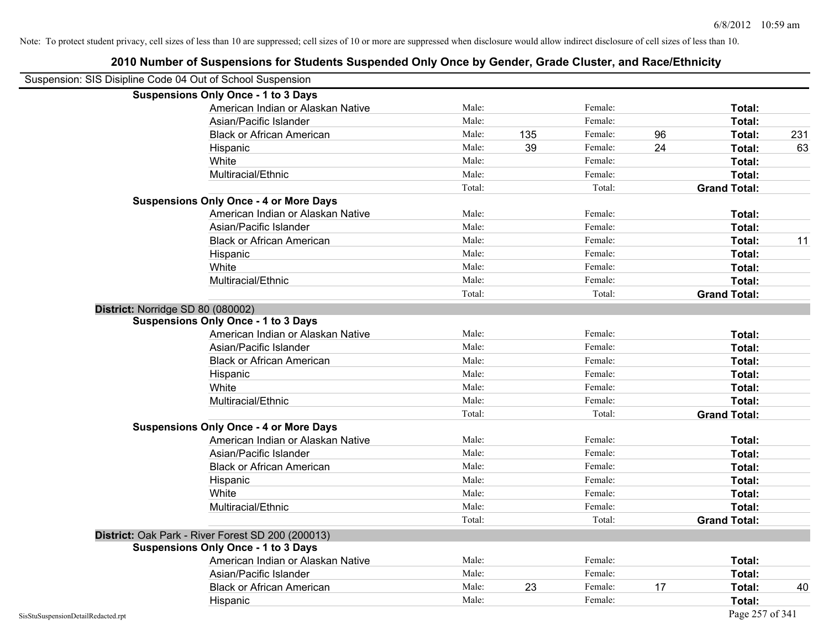|                                    | <b>Suspensions Only Once - 1 to 3 Days</b>        |        |     |         |    |                     |     |
|------------------------------------|---------------------------------------------------|--------|-----|---------|----|---------------------|-----|
|                                    | American Indian or Alaskan Native                 | Male:  |     | Female: |    | Total:              |     |
|                                    | Asian/Pacific Islander                            | Male:  |     | Female: |    | Total:              |     |
|                                    | <b>Black or African American</b>                  | Male:  | 135 | Female: | 96 | Total:              | 231 |
|                                    | Hispanic                                          | Male:  | 39  | Female: | 24 | Total:              | 63  |
|                                    | White                                             | Male:  |     | Female: |    | Total:              |     |
|                                    | Multiracial/Ethnic                                | Male:  |     | Female: |    | Total:              |     |
|                                    |                                                   | Total: |     | Total:  |    | <b>Grand Total:</b> |     |
|                                    | <b>Suspensions Only Once - 4 or More Days</b>     |        |     |         |    |                     |     |
|                                    | American Indian or Alaskan Native                 | Male:  |     | Female: |    | Total:              |     |
|                                    | Asian/Pacific Islander                            | Male:  |     | Female: |    | Total:              |     |
|                                    | <b>Black or African American</b>                  | Male:  |     | Female: |    | Total:              | 11  |
|                                    | Hispanic                                          | Male:  |     | Female: |    | Total:              |     |
|                                    | White                                             | Male:  |     | Female: |    | Total:              |     |
|                                    | Multiracial/Ethnic                                | Male:  |     | Female: |    | Total:              |     |
|                                    |                                                   | Total: |     | Total:  |    | <b>Grand Total:</b> |     |
|                                    | District: Norridge SD 80 (080002)                 |        |     |         |    |                     |     |
|                                    | <b>Suspensions Only Once - 1 to 3 Days</b>        |        |     |         |    |                     |     |
|                                    | American Indian or Alaskan Native                 | Male:  |     | Female: |    | Total:              |     |
|                                    | Asian/Pacific Islander                            | Male:  |     | Female: |    | Total:              |     |
|                                    | <b>Black or African American</b>                  | Male:  |     | Female: |    | Total:              |     |
|                                    | Hispanic                                          | Male:  |     | Female: |    | Total:              |     |
|                                    | White                                             | Male:  |     | Female: |    | Total:              |     |
|                                    | Multiracial/Ethnic                                | Male:  |     | Female: |    | Total:              |     |
|                                    |                                                   | Total: |     | Total:  |    | <b>Grand Total:</b> |     |
|                                    | <b>Suspensions Only Once - 4 or More Days</b>     |        |     |         |    |                     |     |
|                                    | American Indian or Alaskan Native                 | Male:  |     | Female: |    | Total:              |     |
|                                    | Asian/Pacific Islander                            | Male:  |     | Female: |    | Total:              |     |
|                                    | <b>Black or African American</b>                  | Male:  |     | Female: |    | Total:              |     |
|                                    | Hispanic                                          | Male:  |     | Female: |    | Total:              |     |
|                                    | White                                             | Male:  |     | Female: |    | Total:              |     |
|                                    | Multiracial/Ethnic                                | Male:  |     | Female: |    | Total:              |     |
|                                    |                                                   | Total: |     | Total:  |    | <b>Grand Total:</b> |     |
|                                    | District: Oak Park - River Forest SD 200 (200013) |        |     |         |    |                     |     |
|                                    | <b>Suspensions Only Once - 1 to 3 Days</b>        |        |     |         |    |                     |     |
|                                    | American Indian or Alaskan Native                 | Male:  |     | Female: |    | Total:              |     |
|                                    | Asian/Pacific Islander                            | Male:  |     | Female: |    | Total:              |     |
|                                    | <b>Black or African American</b>                  | Male:  | 23  | Female: | 17 | Total:              | 40  |
|                                    | Hispanic                                          | Male:  |     | Female: |    | Total:              |     |
| SisStuSuspensionDetailRedacted.rpt |                                                   |        |     |         |    | Page 257 of 341     |     |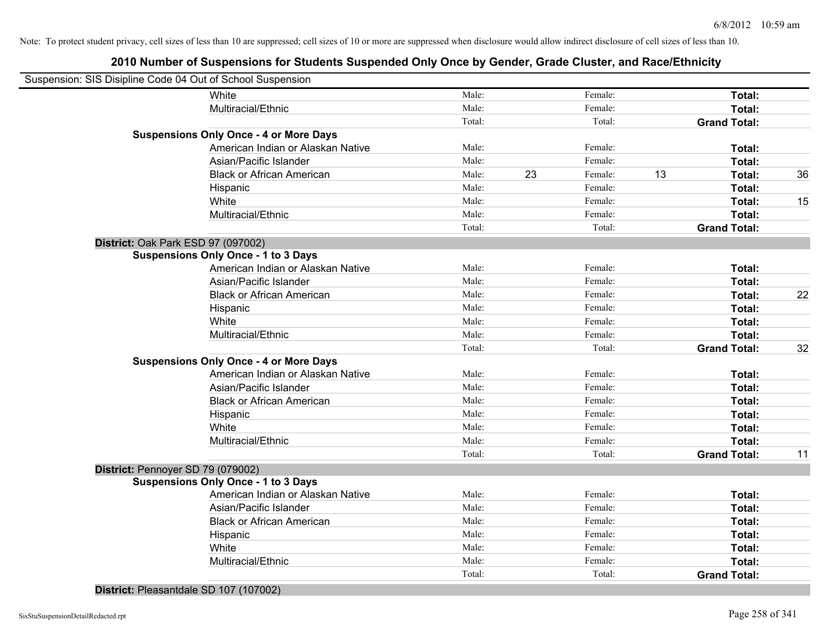| Suspension: SIS Disipline Code 04 Out of School Suspension |        |    |         |    |                     |    |
|------------------------------------------------------------|--------|----|---------|----|---------------------|----|
| White                                                      | Male:  |    | Female: |    | Total:              |    |
| Multiracial/Ethnic                                         | Male:  |    | Female: |    | Total:              |    |
|                                                            | Total: |    | Total:  |    | <b>Grand Total:</b> |    |
| <b>Suspensions Only Once - 4 or More Days</b>              |        |    |         |    |                     |    |
| American Indian or Alaskan Native                          | Male:  |    | Female: |    | Total:              |    |
| Asian/Pacific Islander                                     | Male:  |    | Female: |    | Total:              |    |
| <b>Black or African American</b>                           | Male:  | 23 | Female: | 13 | Total:              | 36 |
| Hispanic                                                   | Male:  |    | Female: |    | Total:              |    |
| White                                                      | Male:  |    | Female: |    | Total:              | 15 |
| Multiracial/Ethnic                                         | Male:  |    | Female: |    | Total:              |    |
|                                                            | Total: |    | Total:  |    | <b>Grand Total:</b> |    |
| District: Oak Park ESD 97 (097002)                         |        |    |         |    |                     |    |
| <b>Suspensions Only Once - 1 to 3 Days</b>                 |        |    |         |    |                     |    |
| American Indian or Alaskan Native                          | Male:  |    | Female: |    | Total:              |    |
| Asian/Pacific Islander                                     | Male:  |    | Female: |    | Total:              |    |
| <b>Black or African American</b>                           | Male:  |    | Female: |    | Total:              | 22 |
| Hispanic                                                   | Male:  |    | Female: |    | Total:              |    |
| White                                                      | Male:  |    | Female: |    | Total:              |    |
| Multiracial/Ethnic                                         | Male:  |    | Female: |    | Total:              |    |
|                                                            | Total: |    | Total:  |    | <b>Grand Total:</b> | 32 |
| <b>Suspensions Only Once - 4 or More Days</b>              |        |    |         |    |                     |    |
| American Indian or Alaskan Native                          | Male:  |    | Female: |    | Total:              |    |
| Asian/Pacific Islander                                     | Male:  |    | Female: |    | Total:              |    |
| <b>Black or African American</b>                           | Male:  |    | Female: |    | Total:              |    |
| Hispanic                                                   | Male:  |    | Female: |    | Total:              |    |
| White                                                      | Male:  |    | Female: |    | Total:              |    |
| Multiracial/Ethnic                                         | Male:  |    | Female: |    | Total:              |    |
|                                                            | Total: |    | Total:  |    | <b>Grand Total:</b> | 11 |
| District: Pennoyer SD 79 (079002)                          |        |    |         |    |                     |    |
| <b>Suspensions Only Once - 1 to 3 Days</b>                 |        |    |         |    |                     |    |
| American Indian or Alaskan Native                          | Male:  |    | Female: |    | Total:              |    |
| Asian/Pacific Islander                                     | Male:  |    | Female: |    | Total:              |    |
| <b>Black or African American</b>                           | Male:  |    | Female: |    | Total:              |    |
| Hispanic                                                   | Male:  |    | Female: |    | Total:              |    |
| White                                                      | Male:  |    | Female: |    | Total:              |    |
| Multiracial/Ethnic                                         | Male:  |    | Female: |    | Total:              |    |
|                                                            | Total: |    | Total:  |    | <b>Grand Total:</b> |    |

**District:** Pleasantdale SD 107 (107002)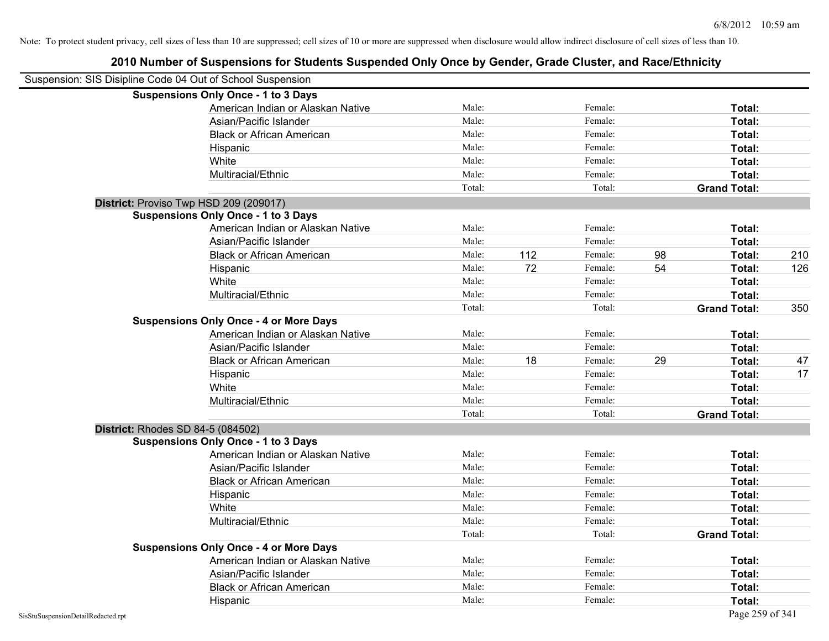| Suspension: SIS Disipline Code 04 Out of School Suspension |                                               |        |     |         |    |                     |     |
|------------------------------------------------------------|-----------------------------------------------|--------|-----|---------|----|---------------------|-----|
|                                                            | <b>Suspensions Only Once - 1 to 3 Days</b>    |        |     |         |    |                     |     |
|                                                            | American Indian or Alaskan Native             | Male:  |     | Female: |    | Total:              |     |
|                                                            | Asian/Pacific Islander                        | Male:  |     | Female: |    | Total:              |     |
|                                                            | <b>Black or African American</b>              | Male:  |     | Female: |    | Total:              |     |
|                                                            | Hispanic                                      | Male:  |     | Female: |    | Total:              |     |
|                                                            | White                                         | Male:  |     | Female: |    | Total:              |     |
|                                                            | Multiracial/Ethnic                            | Male:  |     | Female: |    | Total:              |     |
|                                                            |                                               | Total: |     | Total:  |    | <b>Grand Total:</b> |     |
| District: Proviso Twp HSD 209 (209017)                     |                                               |        |     |         |    |                     |     |
|                                                            | <b>Suspensions Only Once - 1 to 3 Days</b>    |        |     |         |    |                     |     |
|                                                            | American Indian or Alaskan Native             | Male:  |     | Female: |    | Total:              |     |
|                                                            | Asian/Pacific Islander                        | Male:  |     | Female: |    | Total:              |     |
|                                                            | <b>Black or African American</b>              | Male:  | 112 | Female: | 98 | Total:              | 210 |
|                                                            | Hispanic                                      | Male:  | 72  | Female: | 54 | Total:              | 126 |
|                                                            | White                                         | Male:  |     | Female: |    | Total:              |     |
|                                                            | Multiracial/Ethnic                            | Male:  |     | Female: |    | Total:              |     |
|                                                            |                                               | Total: |     | Total:  |    | <b>Grand Total:</b> | 350 |
|                                                            | <b>Suspensions Only Once - 4 or More Days</b> |        |     |         |    |                     |     |
|                                                            | American Indian or Alaskan Native             | Male:  |     | Female: |    | Total:              |     |
|                                                            | Asian/Pacific Islander                        | Male:  |     | Female: |    | Total:              |     |
|                                                            | <b>Black or African American</b>              | Male:  | 18  | Female: | 29 | Total:              | 47  |
|                                                            | Hispanic                                      | Male:  |     | Female: |    | Total:              | 17  |
|                                                            | White                                         | Male:  |     | Female: |    | Total:              |     |
|                                                            | Multiracial/Ethnic                            | Male:  |     | Female: |    | Total:              |     |
|                                                            |                                               | Total: |     | Total:  |    | <b>Grand Total:</b> |     |
| District: Rhodes SD 84-5 (084502)                          |                                               |        |     |         |    |                     |     |
|                                                            | <b>Suspensions Only Once - 1 to 3 Days</b>    |        |     |         |    |                     |     |
|                                                            | American Indian or Alaskan Native             | Male:  |     | Female: |    | Total:              |     |
|                                                            | Asian/Pacific Islander                        | Male:  |     | Female: |    | Total:              |     |
|                                                            | <b>Black or African American</b>              | Male:  |     | Female: |    | Total:              |     |
|                                                            | Hispanic                                      | Male:  |     | Female: |    | Total:              |     |
|                                                            | White                                         | Male:  |     | Female: |    | Total:              |     |
|                                                            | Multiracial/Ethnic                            | Male:  |     | Female: |    | Total:              |     |
|                                                            |                                               | Total: |     | Total:  |    | <b>Grand Total:</b> |     |
|                                                            | <b>Suspensions Only Once - 4 or More Days</b> |        |     |         |    |                     |     |
|                                                            | American Indian or Alaskan Native             | Male:  |     | Female: |    | Total:              |     |
|                                                            | Asian/Pacific Islander                        | Male:  |     | Female: |    | Total:              |     |
|                                                            | <b>Black or African American</b>              | Male:  |     | Female: |    | Total:              |     |
|                                                            | Hispanic                                      | Male:  |     | Female: |    | Total:              |     |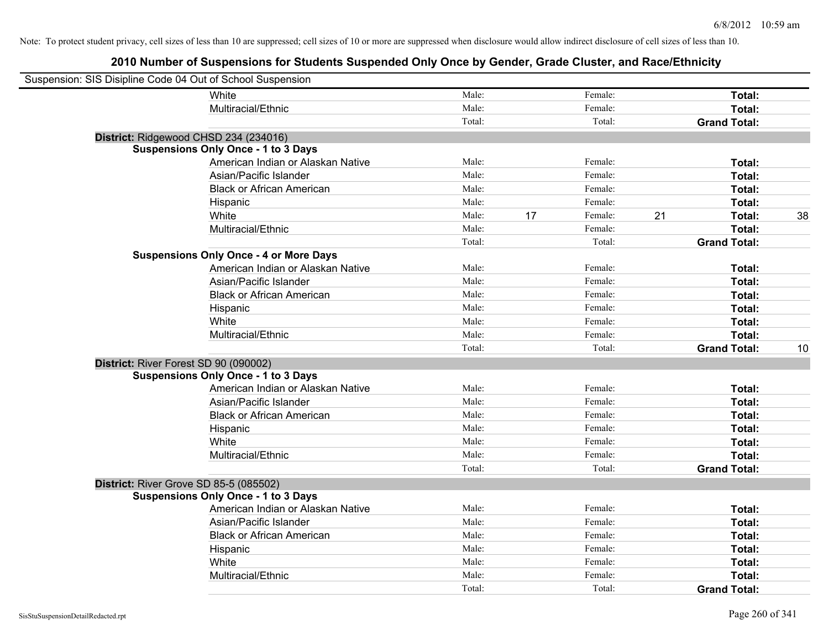| Suspension: SIS Disipline Code 04 Out of School Suspension |                                               |        |    |         |    |                     |    |
|------------------------------------------------------------|-----------------------------------------------|--------|----|---------|----|---------------------|----|
|                                                            | <b>White</b>                                  | Male:  |    | Female: |    | Total:              |    |
|                                                            | Multiracial/Ethnic                            | Male:  |    | Female: |    | Total:              |    |
|                                                            |                                               | Total: |    | Total:  |    | <b>Grand Total:</b> |    |
| District: Ridgewood CHSD 234 (234016)                      |                                               |        |    |         |    |                     |    |
|                                                            | <b>Suspensions Only Once - 1 to 3 Days</b>    |        |    |         |    |                     |    |
|                                                            | American Indian or Alaskan Native             | Male:  |    | Female: |    | Total:              |    |
|                                                            | Asian/Pacific Islander                        | Male:  |    | Female: |    | Total:              |    |
|                                                            | <b>Black or African American</b>              | Male:  |    | Female: |    | Total:              |    |
|                                                            | Hispanic                                      | Male:  |    | Female: |    | Total:              |    |
|                                                            | White                                         | Male:  | 17 | Female: | 21 | Total:              | 38 |
|                                                            | Multiracial/Ethnic                            | Male:  |    | Female: |    | Total:              |    |
|                                                            |                                               | Total: |    | Total:  |    | <b>Grand Total:</b> |    |
|                                                            | <b>Suspensions Only Once - 4 or More Days</b> |        |    |         |    |                     |    |
|                                                            | American Indian or Alaskan Native             | Male:  |    | Female: |    | Total:              |    |
|                                                            | Asian/Pacific Islander                        | Male:  |    | Female: |    | Total:              |    |
|                                                            | <b>Black or African American</b>              | Male:  |    | Female: |    | Total:              |    |
|                                                            | Hispanic                                      | Male:  |    | Female: |    | Total:              |    |
|                                                            | White                                         | Male:  |    | Female: |    | Total:              |    |
|                                                            | Multiracial/Ethnic                            | Male:  |    | Female: |    | Total:              |    |
|                                                            |                                               | Total: |    | Total:  |    | <b>Grand Total:</b> | 10 |
| District: River Forest SD 90 (090002)                      |                                               |        |    |         |    |                     |    |
|                                                            | <b>Suspensions Only Once - 1 to 3 Days</b>    |        |    |         |    |                     |    |
|                                                            | American Indian or Alaskan Native             | Male:  |    | Female: |    | Total:              |    |
|                                                            | Asian/Pacific Islander                        | Male:  |    | Female: |    | Total:              |    |
|                                                            | <b>Black or African American</b>              | Male:  |    | Female: |    | Total:              |    |
|                                                            | Hispanic                                      | Male:  |    | Female: |    | Total:              |    |
|                                                            | White                                         | Male:  |    | Female: |    | Total:              |    |
|                                                            | Multiracial/Ethnic                            | Male:  |    | Female: |    | Total:              |    |
|                                                            |                                               | Total: |    | Total:  |    | <b>Grand Total:</b> |    |
| District: River Grove SD 85-5 (085502)                     |                                               |        |    |         |    |                     |    |
|                                                            | <b>Suspensions Only Once - 1 to 3 Days</b>    |        |    |         |    |                     |    |
|                                                            | American Indian or Alaskan Native             | Male:  |    | Female: |    | Total:              |    |
|                                                            | Asian/Pacific Islander                        | Male:  |    | Female: |    | Total:              |    |
|                                                            | <b>Black or African American</b>              | Male:  |    | Female: |    | Total:              |    |
|                                                            | Hispanic                                      | Male:  |    | Female: |    | Total:              |    |
|                                                            | White                                         | Male:  |    | Female: |    | Total:              |    |
|                                                            | Multiracial/Ethnic                            | Male:  |    | Female: |    | Total:              |    |
|                                                            |                                               | Total: |    | Total:  |    | <b>Grand Total:</b> |    |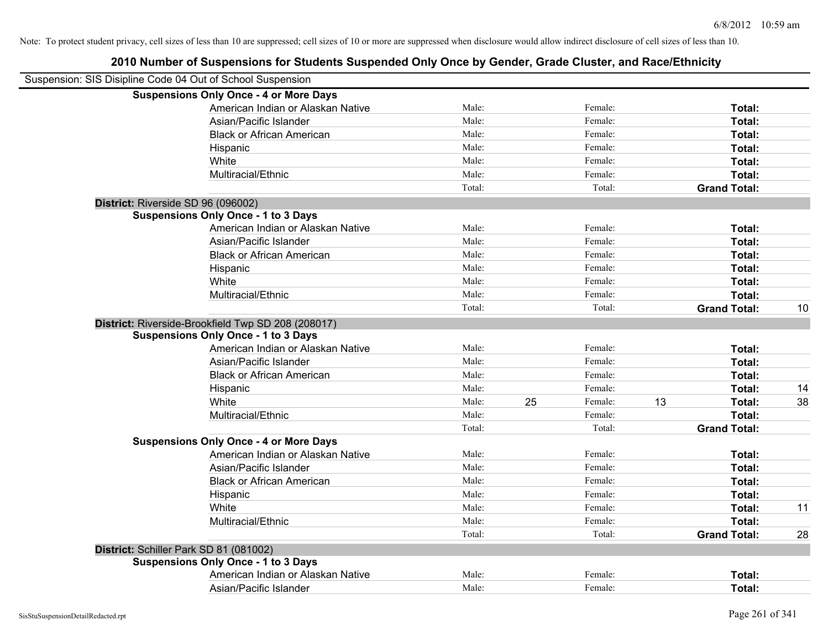| Suspension: SIS Disipline Code 04 Out of School Suspension |                                                    |        |    |         |    |                     |    |
|------------------------------------------------------------|----------------------------------------------------|--------|----|---------|----|---------------------|----|
|                                                            | <b>Suspensions Only Once - 4 or More Days</b>      |        |    |         |    |                     |    |
|                                                            | American Indian or Alaskan Native                  | Male:  |    | Female: |    | Total:              |    |
|                                                            | Asian/Pacific Islander                             | Male:  |    | Female: |    | Total:              |    |
|                                                            | <b>Black or African American</b>                   | Male:  |    | Female: |    | Total:              |    |
|                                                            | Hispanic                                           | Male:  |    | Female: |    | Total:              |    |
|                                                            | White                                              | Male:  |    | Female: |    | Total:              |    |
|                                                            | Multiracial/Ethnic                                 | Male:  |    | Female: |    | Total:              |    |
|                                                            |                                                    | Total: |    | Total:  |    | <b>Grand Total:</b> |    |
| District: Riverside SD 96 (096002)                         |                                                    |        |    |         |    |                     |    |
|                                                            | <b>Suspensions Only Once - 1 to 3 Days</b>         |        |    |         |    |                     |    |
|                                                            | American Indian or Alaskan Native                  | Male:  |    | Female: |    | Total:              |    |
|                                                            | Asian/Pacific Islander                             | Male:  |    | Female: |    | Total:              |    |
|                                                            | <b>Black or African American</b>                   | Male:  |    | Female: |    | Total:              |    |
|                                                            | Hispanic                                           | Male:  |    | Female: |    | Total:              |    |
|                                                            | White                                              | Male:  |    | Female: |    | Total:              |    |
|                                                            | Multiracial/Ethnic                                 | Male:  |    | Female: |    | Total:              |    |
|                                                            |                                                    | Total: |    | Total:  |    | <b>Grand Total:</b> | 10 |
|                                                            | District: Riverside-Brookfield Twp SD 208 (208017) |        |    |         |    |                     |    |
|                                                            | <b>Suspensions Only Once - 1 to 3 Days</b>         |        |    |         |    |                     |    |
|                                                            | American Indian or Alaskan Native                  | Male:  |    | Female: |    | Total:              |    |
|                                                            | Asian/Pacific Islander                             | Male:  |    | Female: |    | Total:              |    |
|                                                            | <b>Black or African American</b>                   | Male:  |    | Female: |    | Total:              |    |
|                                                            | Hispanic                                           | Male:  |    | Female: |    | Total:              | 14 |
|                                                            | White                                              | Male:  | 25 | Female: | 13 | Total:              | 38 |
|                                                            | Multiracial/Ethnic                                 | Male:  |    | Female: |    | Total:              |    |
|                                                            |                                                    | Total: |    | Total:  |    | <b>Grand Total:</b> |    |
|                                                            | <b>Suspensions Only Once - 4 or More Days</b>      |        |    |         |    |                     |    |
|                                                            | American Indian or Alaskan Native                  | Male:  |    | Female: |    | Total:              |    |
|                                                            | Asian/Pacific Islander                             | Male:  |    | Female: |    | Total:              |    |
|                                                            | <b>Black or African American</b>                   | Male:  |    | Female: |    | Total:              |    |
|                                                            | Hispanic                                           | Male:  |    | Female: |    | Total:              |    |
|                                                            | White                                              | Male:  |    | Female: |    | Total:              | 11 |
|                                                            | Multiracial/Ethnic                                 | Male:  |    | Female: |    | Total:              |    |
|                                                            |                                                    | Total: |    | Total:  |    | <b>Grand Total:</b> | 28 |
|                                                            | District: Schiller Park SD 81 (081002)             |        |    |         |    |                     |    |
|                                                            | <b>Suspensions Only Once - 1 to 3 Days</b>         |        |    |         |    |                     |    |
|                                                            | American Indian or Alaskan Native                  | Male:  |    | Female: |    | Total:              |    |
|                                                            | Asian/Pacific Islander                             | Male:  |    | Female: |    | Total:              |    |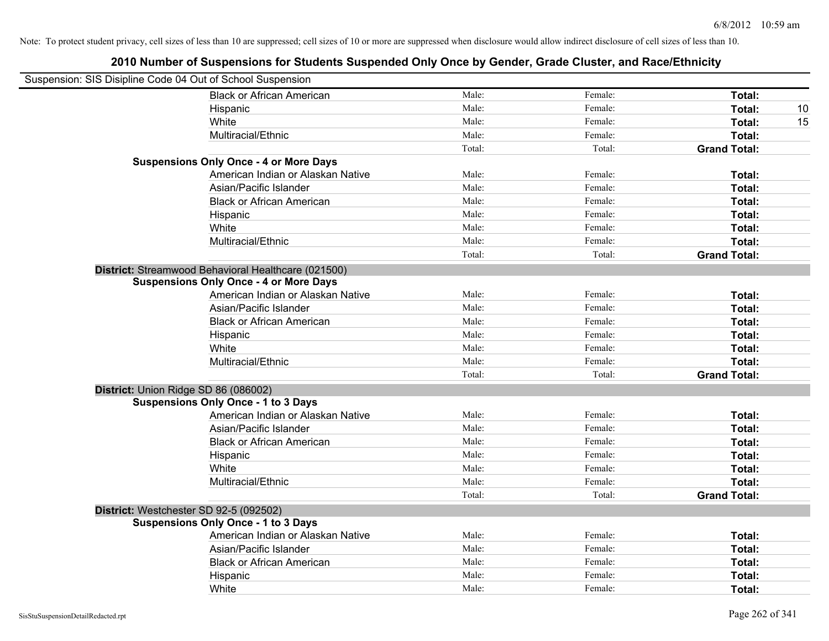| Suspension: SIS Disipline Code 04 Out of School Suspension |                                                     |        |         |                     |
|------------------------------------------------------------|-----------------------------------------------------|--------|---------|---------------------|
|                                                            | <b>Black or African American</b>                    | Male:  | Female: | Total:              |
|                                                            | Hispanic                                            | Male:  | Female: | Total:<br>10        |
|                                                            | White                                               | Male:  | Female: | Total:<br>15        |
|                                                            | Multiracial/Ethnic                                  | Male:  | Female: | Total:              |
|                                                            |                                                     | Total: | Total:  | <b>Grand Total:</b> |
|                                                            | <b>Suspensions Only Once - 4 or More Days</b>       |        |         |                     |
|                                                            | American Indian or Alaskan Native                   | Male:  | Female: | Total:              |
|                                                            | Asian/Pacific Islander                              | Male:  | Female: | Total:              |
|                                                            | <b>Black or African American</b>                    | Male:  | Female: | Total:              |
|                                                            | Hispanic                                            | Male:  | Female: | Total:              |
|                                                            | White                                               | Male:  | Female: | Total:              |
|                                                            | Multiracial/Ethnic                                  | Male:  | Female: | Total:              |
|                                                            |                                                     | Total: | Total:  | <b>Grand Total:</b> |
|                                                            | District: Streamwood Behavioral Healthcare (021500) |        |         |                     |
|                                                            | <b>Suspensions Only Once - 4 or More Days</b>       |        |         |                     |
|                                                            | American Indian or Alaskan Native                   | Male:  | Female: | Total:              |
|                                                            | Asian/Pacific Islander                              | Male:  | Female: | Total:              |
|                                                            | <b>Black or African American</b>                    | Male:  | Female: | Total:              |
|                                                            | Hispanic                                            | Male:  | Female: | Total:              |
|                                                            | White                                               | Male:  | Female: | Total:              |
|                                                            | Multiracial/Ethnic                                  | Male:  | Female: | Total:              |
|                                                            |                                                     | Total: | Total:  | <b>Grand Total:</b> |
|                                                            | District: Union Ridge SD 86 (086002)                |        |         |                     |
|                                                            | <b>Suspensions Only Once - 1 to 3 Days</b>          |        |         |                     |
|                                                            | American Indian or Alaskan Native                   | Male:  | Female: | Total:              |
|                                                            | Asian/Pacific Islander                              | Male:  | Female: | Total:              |
|                                                            | <b>Black or African American</b>                    | Male:  | Female: | Total:              |
|                                                            | Hispanic                                            | Male:  | Female: | Total:              |
|                                                            | White                                               | Male:  | Female: | Total:              |
|                                                            | Multiracial/Ethnic                                  | Male:  | Female: | Total:              |
|                                                            |                                                     | Total: | Total:  | <b>Grand Total:</b> |
|                                                            | District: Westchester SD 92-5 (092502)              |        |         |                     |
|                                                            | <b>Suspensions Only Once - 1 to 3 Days</b>          |        |         |                     |
|                                                            | American Indian or Alaskan Native                   | Male:  | Female: | Total:              |
|                                                            | Asian/Pacific Islander                              | Male:  | Female: | Total:              |
|                                                            | <b>Black or African American</b>                    | Male:  | Female: | Total:              |
|                                                            | Hispanic                                            | Male:  | Female: | Total:              |
|                                                            | White                                               | Male:  | Female: | Total:              |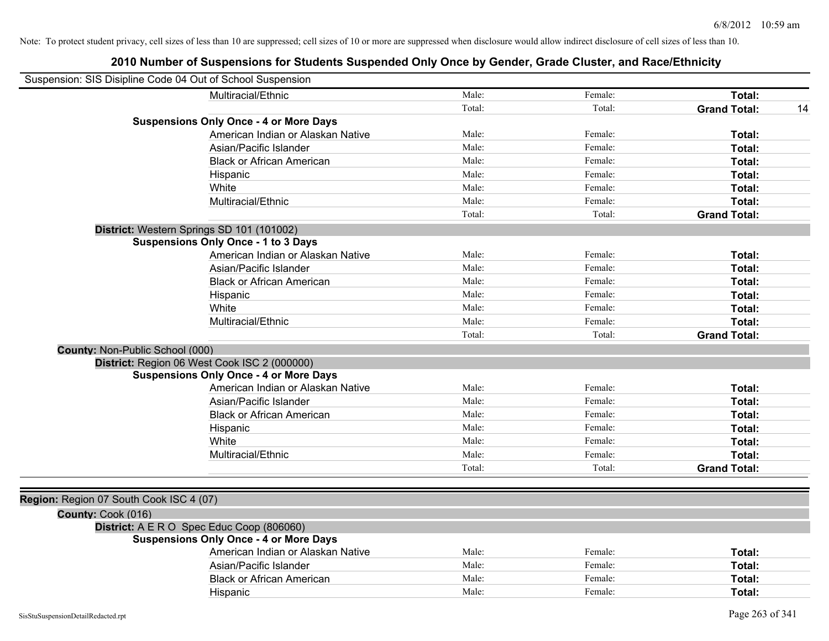|                                         | Suspension: SIS Disipline Code 04 Out of School Suspension |        |         |                     |    |
|-----------------------------------------|------------------------------------------------------------|--------|---------|---------------------|----|
|                                         | Multiracial/Ethnic                                         | Male:  | Female: | Total:              |    |
|                                         |                                                            | Total: | Total:  | <b>Grand Total:</b> | 14 |
|                                         | <b>Suspensions Only Once - 4 or More Days</b>              |        |         |                     |    |
|                                         | American Indian or Alaskan Native                          | Male:  | Female: | Total:              |    |
|                                         | Asian/Pacific Islander                                     | Male:  | Female: | Total:              |    |
|                                         | <b>Black or African American</b>                           | Male:  | Female: | Total:              |    |
|                                         | Hispanic                                                   | Male:  | Female: | Total:              |    |
|                                         | White                                                      | Male:  | Female: | Total:              |    |
|                                         | Multiracial/Ethnic                                         | Male:  | Female: | Total:              |    |
|                                         |                                                            | Total: | Total:  | <b>Grand Total:</b> |    |
|                                         | District: Western Springs SD 101 (101002)                  |        |         |                     |    |
|                                         | <b>Suspensions Only Once - 1 to 3 Days</b>                 |        |         |                     |    |
|                                         | American Indian or Alaskan Native                          | Male:  | Female: | Total:              |    |
|                                         | Asian/Pacific Islander                                     | Male:  | Female: | Total:              |    |
|                                         | <b>Black or African American</b>                           | Male:  | Female: | Total:              |    |
|                                         | Hispanic                                                   | Male:  | Female: | Total:              |    |
|                                         | White                                                      | Male:  | Female: | Total:              |    |
|                                         | Multiracial/Ethnic                                         | Male:  | Female: | Total:              |    |
|                                         |                                                            | Total: | Total:  | <b>Grand Total:</b> |    |
| County: Non-Public School (000)         |                                                            |        |         |                     |    |
|                                         | District: Region 06 West Cook ISC 2 (000000)               |        |         |                     |    |
|                                         | <b>Suspensions Only Once - 4 or More Days</b>              |        |         |                     |    |
|                                         | American Indian or Alaskan Native                          | Male:  | Female: | Total:              |    |
|                                         | Asian/Pacific Islander                                     | Male:  | Female: | Total:              |    |
|                                         | <b>Black or African American</b>                           | Male:  | Female: | Total:              |    |
|                                         | Hispanic                                                   | Male:  | Female: | Total:              |    |
|                                         | White                                                      | Male:  | Female: | Total:              |    |
|                                         | Multiracial/Ethnic                                         | Male:  | Female: | Total:              |    |
|                                         |                                                            | Total: | Total:  | <b>Grand Total:</b> |    |
|                                         |                                                            |        |         |                     |    |
| Region: Region 07 South Cook ISC 4 (07) |                                                            |        |         |                     |    |
| County: Cook (016)                      |                                                            |        |         |                     |    |
|                                         | District: A E R O Spec Educ Coop (806060)                  |        |         |                     |    |
|                                         | <b>Suspensions Only Once - 4 or More Days</b>              |        |         |                     |    |
|                                         | American Indian or Alaskan Native                          | Male:  | Female: | Total:              |    |
|                                         | Asian/Pacific Islander                                     | Male:  | Female: | Total:              |    |
|                                         | <b>Black or African American</b>                           | Male:  | Female: | Total:              |    |
|                                         | Hispanic                                                   | Male:  | Female: | Total:              |    |
|                                         |                                                            |        |         |                     |    |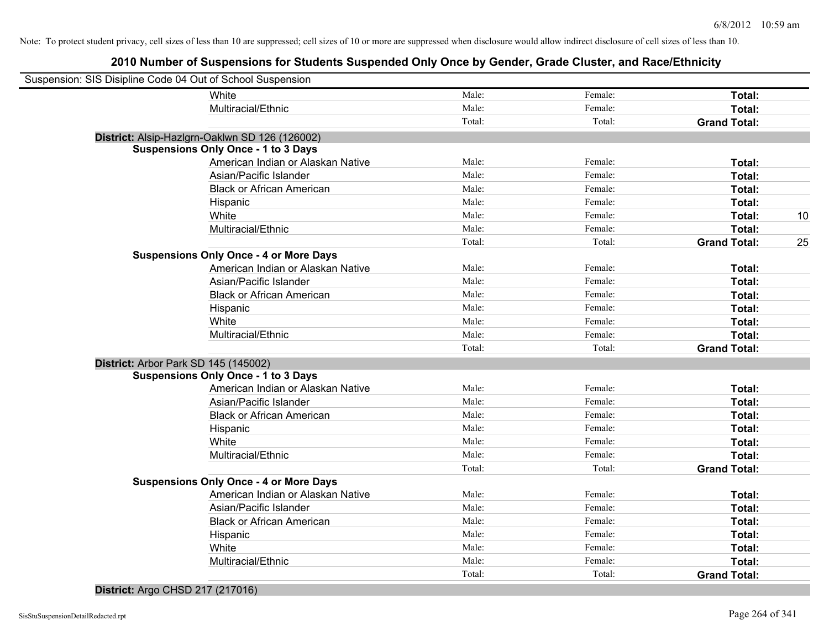# **2010 Number of Suspensions for Students Suspended Only Once by Gender, Grade Cluster, and Race/Ethnicity**

| Suspension: SIS Disipline Code 04 Out of School Suspension |                                                |        |         |                     |    |
|------------------------------------------------------------|------------------------------------------------|--------|---------|---------------------|----|
|                                                            | White                                          | Male:  | Female: | Total:              |    |
|                                                            | Multiracial/Ethnic                             | Male:  | Female: | Total:              |    |
|                                                            |                                                | Total: | Total:  | <b>Grand Total:</b> |    |
|                                                            | District: Alsip-Hazlgrn-Oaklwn SD 126 (126002) |        |         |                     |    |
|                                                            | <b>Suspensions Only Once - 1 to 3 Days</b>     |        |         |                     |    |
|                                                            | American Indian or Alaskan Native              | Male:  | Female: | Total:              |    |
|                                                            | Asian/Pacific Islander                         | Male:  | Female: | Total:              |    |
|                                                            | <b>Black or African American</b>               | Male:  | Female: | Total:              |    |
|                                                            | Hispanic                                       | Male:  | Female: | Total:              |    |
|                                                            | White                                          | Male:  | Female: | Total:              | 10 |
|                                                            | Multiracial/Ethnic                             | Male:  | Female: | Total:              |    |
|                                                            |                                                | Total: | Total:  | <b>Grand Total:</b> | 25 |
|                                                            | <b>Suspensions Only Once - 4 or More Days</b>  |        |         |                     |    |
|                                                            | American Indian or Alaskan Native              | Male:  | Female: | Total:              |    |
|                                                            | Asian/Pacific Islander                         | Male:  | Female: | Total:              |    |
|                                                            | <b>Black or African American</b>               | Male:  | Female: | Total:              |    |
|                                                            | Hispanic                                       | Male:  | Female: | Total:              |    |
|                                                            | White                                          | Male:  | Female: | Total:              |    |
|                                                            | Multiracial/Ethnic                             | Male:  | Female: | Total:              |    |
|                                                            |                                                | Total: | Total:  | <b>Grand Total:</b> |    |
|                                                            | District: Arbor Park SD 145 (145002)           |        |         |                     |    |
|                                                            | <b>Suspensions Only Once - 1 to 3 Days</b>     |        |         |                     |    |
|                                                            | American Indian or Alaskan Native              | Male:  | Female: | Total:              |    |
|                                                            | Asian/Pacific Islander                         | Male:  | Female: | Total:              |    |
|                                                            | <b>Black or African American</b>               | Male:  | Female: | Total:              |    |
|                                                            | Hispanic                                       | Male:  | Female: | Total:              |    |
|                                                            | White                                          | Male:  | Female: | Total:              |    |
|                                                            | Multiracial/Ethnic                             | Male:  | Female: | Total:              |    |
|                                                            |                                                | Total: | Total:  | <b>Grand Total:</b> |    |
|                                                            | <b>Suspensions Only Once - 4 or More Days</b>  |        |         |                     |    |
|                                                            | American Indian or Alaskan Native              | Male:  | Female: | Total:              |    |
|                                                            | Asian/Pacific Islander                         | Male:  | Female: | Total:              |    |
|                                                            | <b>Black or African American</b>               | Male:  | Female: | Total:              |    |
|                                                            | Hispanic                                       | Male:  | Female: | Total:              |    |
|                                                            | White                                          | Male:  | Female: | Total:              |    |
|                                                            | Multiracial/Ethnic                             | Male:  | Female: | Total:              |    |
|                                                            |                                                | Total: | Total:  | <b>Grand Total:</b> |    |
|                                                            |                                                |        |         |                     |    |

### **District:** Argo CHSD 217 (217016)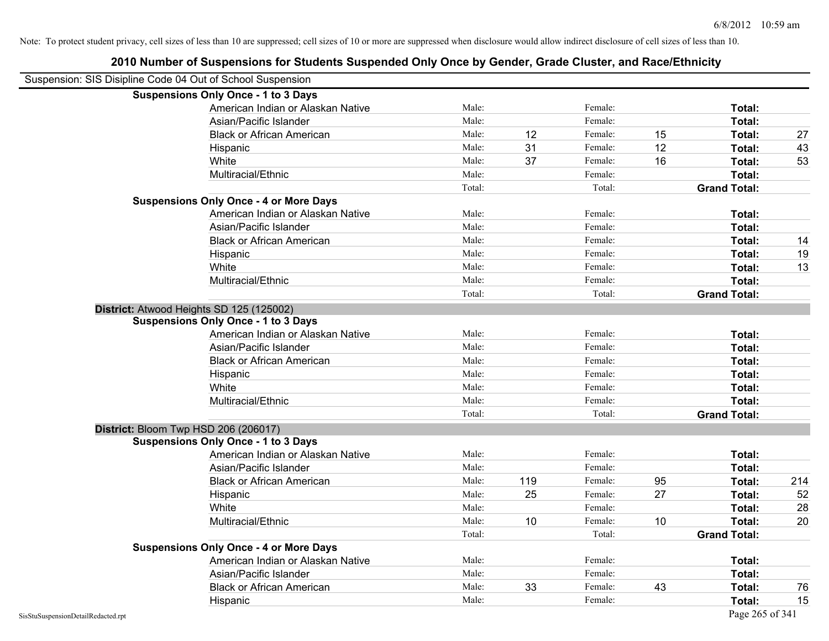| Suspension: SIS Disipline Code 04 Out of School Suspension | <b>Suspensions Only Once - 1 to 3 Days</b>    |        |     |         |    |                     |     |
|------------------------------------------------------------|-----------------------------------------------|--------|-----|---------|----|---------------------|-----|
|                                                            | American Indian or Alaskan Native             | Male:  |     | Female: |    | Total:              |     |
|                                                            | Asian/Pacific Islander                        | Male:  |     | Female: |    | Total:              |     |
|                                                            | <b>Black or African American</b>              | Male:  | 12  | Female: | 15 | Total:              | 27  |
|                                                            | Hispanic                                      | Male:  | 31  | Female: | 12 | Total:              | 43  |
|                                                            | White                                         | Male:  | 37  | Female: | 16 | Total:              | 53  |
|                                                            | Multiracial/Ethnic                            | Male:  |     | Female: |    | Total:              |     |
|                                                            |                                               | Total: |     | Total:  |    | <b>Grand Total:</b> |     |
|                                                            | <b>Suspensions Only Once - 4 or More Days</b> |        |     |         |    |                     |     |
|                                                            | American Indian or Alaskan Native             | Male:  |     | Female: |    | Total:              |     |
|                                                            | Asian/Pacific Islander                        | Male:  |     | Female: |    | Total:              |     |
|                                                            | <b>Black or African American</b>              | Male:  |     | Female: |    | Total:              | 14  |
|                                                            | Hispanic                                      | Male:  |     | Female: |    | Total:              | 19  |
|                                                            | White                                         | Male:  |     | Female: |    | Total:              | 13  |
|                                                            | Multiracial/Ethnic                            | Male:  |     | Female: |    | Total:              |     |
|                                                            |                                               | Total: |     | Total:  |    | <b>Grand Total:</b> |     |
|                                                            | District: Atwood Heights SD 125 (125002)      |        |     |         |    |                     |     |
|                                                            | <b>Suspensions Only Once - 1 to 3 Days</b>    |        |     |         |    |                     |     |
|                                                            | American Indian or Alaskan Native             | Male:  |     | Female: |    | Total:              |     |
|                                                            | Asian/Pacific Islander                        | Male:  |     | Female: |    | Total:              |     |
|                                                            | <b>Black or African American</b>              | Male:  |     | Female: |    | Total:              |     |
|                                                            | Hispanic                                      | Male:  |     | Female: |    | Total:              |     |
|                                                            | White                                         | Male:  |     | Female: |    | Total:              |     |
|                                                            | Multiracial/Ethnic                            | Male:  |     | Female: |    | Total:              |     |
|                                                            |                                               | Total: |     | Total:  |    | <b>Grand Total:</b> |     |
|                                                            | District: Bloom Twp HSD 206 (206017)          |        |     |         |    |                     |     |
|                                                            | <b>Suspensions Only Once - 1 to 3 Days</b>    |        |     |         |    |                     |     |
|                                                            | American Indian or Alaskan Native             | Male:  |     | Female: |    | Total:              |     |
|                                                            | Asian/Pacific Islander                        | Male:  |     | Female: |    | Total:              |     |
|                                                            | <b>Black or African American</b>              | Male:  | 119 | Female: | 95 | Total:              | 214 |
|                                                            | Hispanic                                      | Male:  | 25  | Female: | 27 | Total:              | 52  |
|                                                            | White                                         | Male:  |     | Female: |    | Total:              | 28  |
|                                                            | Multiracial/Ethnic                            | Male:  | 10  | Female: | 10 | Total:              | 20  |
|                                                            |                                               | Total: |     | Total:  |    | <b>Grand Total:</b> |     |
|                                                            | <b>Suspensions Only Once - 4 or More Days</b> |        |     |         |    |                     |     |
|                                                            | American Indian or Alaskan Native             | Male:  |     | Female: |    | Total:              |     |
|                                                            | Asian/Pacific Islander                        | Male:  |     | Female: |    | Total:              |     |
|                                                            | <b>Black or African American</b>              | Male:  | 33  | Female: | 43 | Total:              | 76  |
|                                                            | Hispanic                                      | Male:  |     | Female: |    | Total:              | 15  |
| SisStuSuspensionDetailRedacted.rpt                         |                                               |        |     |         |    | Page 265 of 341     |     |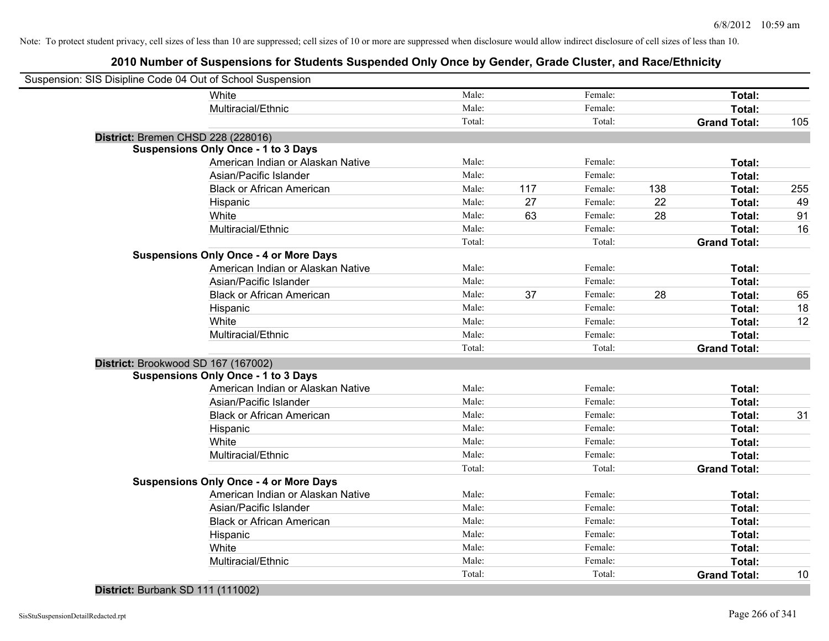# **2010 Number of Suspensions for Students Suspended Only Once by Gender, Grade Cluster, and Race/Ethnicity**

| Suspension: SIS Disipline Code 04 Out of School Suspension |        |     |         |     |                     |     |
|------------------------------------------------------------|--------|-----|---------|-----|---------------------|-----|
| White                                                      | Male:  |     | Female: |     | Total:              |     |
| Multiracial/Ethnic                                         | Male:  |     | Female: |     | Total:              |     |
|                                                            | Total: |     | Total:  |     | <b>Grand Total:</b> | 105 |
| District: Bremen CHSD 228 (228016)                         |        |     |         |     |                     |     |
| <b>Suspensions Only Once - 1 to 3 Days</b>                 |        |     |         |     |                     |     |
| American Indian or Alaskan Native                          | Male:  |     | Female: |     | Total:              |     |
| Asian/Pacific Islander                                     | Male:  |     | Female: |     | Total:              |     |
| <b>Black or African American</b>                           | Male:  | 117 | Female: | 138 | Total:              | 255 |
| Hispanic                                                   | Male:  | 27  | Female: | 22  | Total:              | 49  |
| White                                                      | Male:  | 63  | Female: | 28  | Total:              | 91  |
| Multiracial/Ethnic                                         | Male:  |     | Female: |     | Total:              | 16  |
|                                                            | Total: |     | Total:  |     | <b>Grand Total:</b> |     |
| <b>Suspensions Only Once - 4 or More Days</b>              |        |     |         |     |                     |     |
| American Indian or Alaskan Native                          | Male:  |     | Female: |     | Total:              |     |
| Asian/Pacific Islander                                     | Male:  |     | Female: |     | Total:              |     |
| <b>Black or African American</b>                           | Male:  | 37  | Female: | 28  | Total:              | 65  |
| Hispanic                                                   | Male:  |     | Female: |     | Total:              | 18  |
| White                                                      | Male:  |     | Female: |     | Total:              | 12  |
| Multiracial/Ethnic                                         | Male:  |     | Female: |     | Total:              |     |
|                                                            | Total: |     | Total:  |     | <b>Grand Total:</b> |     |
| District: Brookwood SD 167 (167002)                        |        |     |         |     |                     |     |
| <b>Suspensions Only Once - 1 to 3 Days</b>                 |        |     |         |     |                     |     |
| American Indian or Alaskan Native                          | Male:  |     | Female: |     | Total:              |     |
| Asian/Pacific Islander                                     | Male:  |     | Female: |     | Total:              |     |
| <b>Black or African American</b>                           | Male:  |     | Female: |     | Total:              | 31  |
| Hispanic                                                   | Male:  |     | Female: |     | Total:              |     |
| White                                                      | Male:  |     | Female: |     | Total:              |     |
| Multiracial/Ethnic                                         | Male:  |     | Female: |     | Total:              |     |
|                                                            | Total: |     | Total:  |     | <b>Grand Total:</b> |     |
| <b>Suspensions Only Once - 4 or More Days</b>              |        |     |         |     |                     |     |
| American Indian or Alaskan Native                          | Male:  |     | Female: |     | Total:              |     |
| Asian/Pacific Islander                                     | Male:  |     | Female: |     | Total:              |     |
| <b>Black or African American</b>                           | Male:  |     | Female: |     | Total:              |     |
| Hispanic                                                   | Male:  |     | Female: |     | Total:              |     |
| White                                                      | Male:  |     | Female: |     | Total:              |     |
| Multiracial/Ethnic                                         | Male:  |     | Female: |     | Total:              |     |
|                                                            | Total: |     | Total:  |     | <b>Grand Total:</b> | 10  |
|                                                            |        |     |         |     |                     |     |

### **District:** Burbank SD 111 (111002)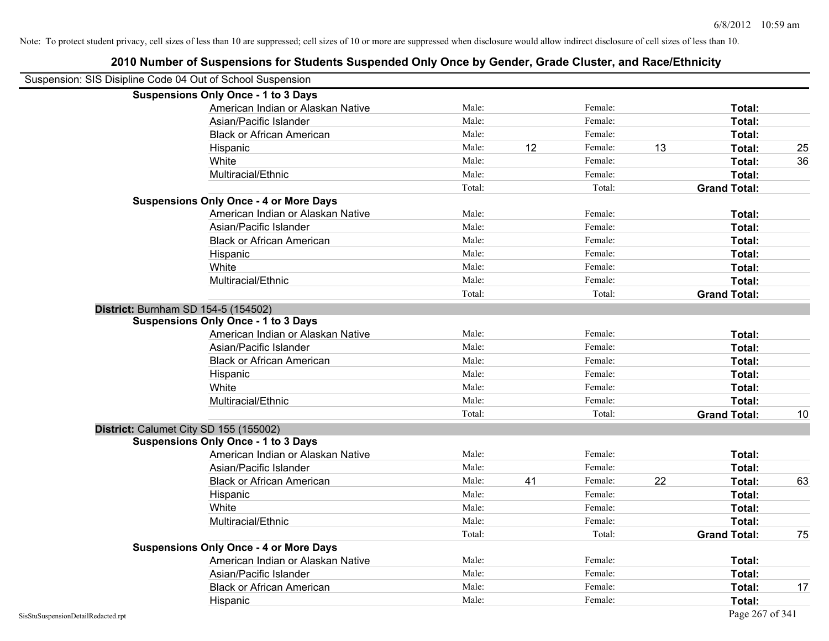| Suspension: SIS Disipline Code 04 Out of School Suspension |                                               |        |    |         |    |                     |    |
|------------------------------------------------------------|-----------------------------------------------|--------|----|---------|----|---------------------|----|
| <b>Suspensions Only Once - 1 to 3 Days</b>                 |                                               |        |    |         |    |                     |    |
|                                                            | American Indian or Alaskan Native             | Male:  |    | Female: |    | Total:              |    |
|                                                            | Asian/Pacific Islander                        | Male:  |    | Female: |    | Total:              |    |
|                                                            | <b>Black or African American</b>              | Male:  |    | Female: |    | Total:              |    |
| Hispanic                                                   |                                               | Male:  | 12 | Female: | 13 | Total:              | 25 |
| White                                                      |                                               | Male:  |    | Female: |    | Total:              | 36 |
|                                                            | Multiracial/Ethnic                            | Male:  |    | Female: |    | Total:              |    |
|                                                            |                                               | Total: |    | Total:  |    | <b>Grand Total:</b> |    |
|                                                            | <b>Suspensions Only Once - 4 or More Days</b> |        |    |         |    |                     |    |
|                                                            | American Indian or Alaskan Native             | Male:  |    | Female: |    | Total:              |    |
|                                                            | Asian/Pacific Islander                        | Male:  |    | Female: |    | Total:              |    |
|                                                            | <b>Black or African American</b>              | Male:  |    | Female: |    | Total:              |    |
| Hispanic                                                   |                                               | Male:  |    | Female: |    | Total:              |    |
| White                                                      |                                               | Male:  |    | Female: |    | Total:              |    |
|                                                            | Multiracial/Ethnic                            | Male:  |    | Female: |    | Total:              |    |
|                                                            |                                               | Total: |    | Total:  |    | <b>Grand Total:</b> |    |
| District: Burnham SD 154-5 (154502)                        |                                               |        |    |         |    |                     |    |
| <b>Suspensions Only Once - 1 to 3 Days</b>                 |                                               |        |    |         |    |                     |    |
|                                                            | American Indian or Alaskan Native             | Male:  |    | Female: |    | Total:              |    |
|                                                            | Asian/Pacific Islander                        | Male:  |    | Female: |    | Total:              |    |
|                                                            | <b>Black or African American</b>              | Male:  |    | Female: |    | Total:              |    |
| Hispanic                                                   |                                               | Male:  |    | Female: |    | Total:              |    |
| White                                                      |                                               | Male:  |    | Female: |    | Total:              |    |
|                                                            | Multiracial/Ethnic                            | Male:  |    | Female: |    | Total:              |    |
|                                                            |                                               | Total: |    | Total:  |    | <b>Grand Total:</b> | 10 |
| District: Calumet City SD 155 (155002)                     |                                               |        |    |         |    |                     |    |
| <b>Suspensions Only Once - 1 to 3 Days</b>                 |                                               |        |    |         |    |                     |    |
|                                                            | American Indian or Alaskan Native             | Male:  |    | Female: |    | Total:              |    |
|                                                            | Asian/Pacific Islander                        | Male:  |    | Female: |    | Total:              |    |
|                                                            | <b>Black or African American</b>              | Male:  | 41 | Female: | 22 | Total:              | 63 |
| Hispanic                                                   |                                               | Male:  |    | Female: |    | Total:              |    |
| White                                                      |                                               | Male:  |    | Female: |    | Total:              |    |
|                                                            | Multiracial/Ethnic                            | Male:  |    | Female: |    | Total:              |    |
|                                                            |                                               | Total: |    | Total:  |    | <b>Grand Total:</b> | 75 |
|                                                            | <b>Suspensions Only Once - 4 or More Days</b> |        |    |         |    |                     |    |
|                                                            | American Indian or Alaskan Native             | Male:  |    | Female: |    | Total:              |    |
|                                                            | Asian/Pacific Islander                        | Male:  |    | Female: |    | Total:              |    |
|                                                            | <b>Black or African American</b>              | Male:  |    | Female: |    | Total:              | 17 |
| Hispanic                                                   |                                               | Male:  |    | Female: |    | Total:              |    |
| SisStuSuspensionDetailRedacted.rpt                         |                                               |        |    |         |    | Page 267 of 341     |    |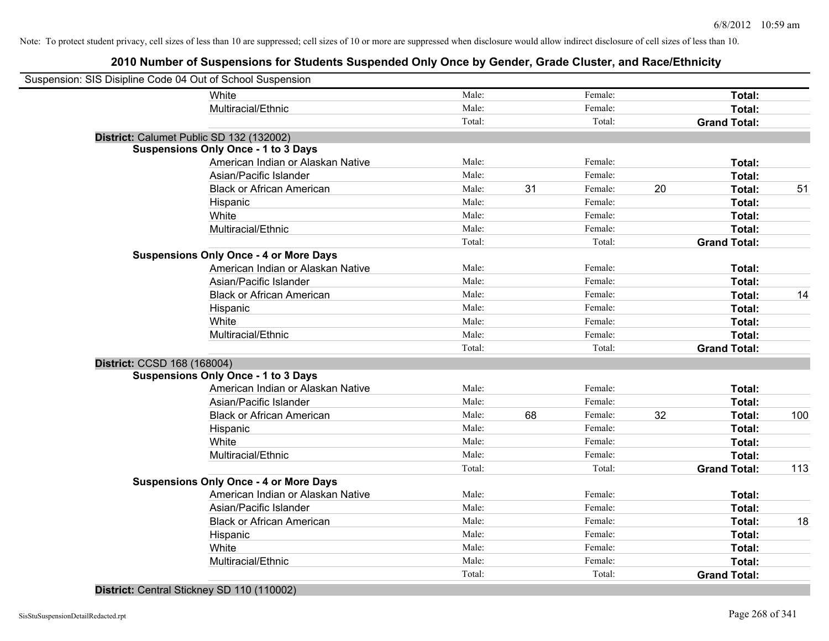# **2010 Number of Suspensions for Students Suspended Only Once by Gender, Grade Cluster, and Race/Ethnicity**

| Suspension: SIS Disipline Code 04 Out of School Suspension |                                   |        |    |         |    |                     |     |
|------------------------------------------------------------|-----------------------------------|--------|----|---------|----|---------------------|-----|
| White                                                      |                                   | Male:  |    | Female: |    | Total:              |     |
|                                                            | Multiracial/Ethnic                | Male:  |    | Female: |    | Total:              |     |
|                                                            |                                   | Total: |    | Total:  |    | <b>Grand Total:</b> |     |
| District: Calumet Public SD 132 (132002)                   |                                   |        |    |         |    |                     |     |
| <b>Suspensions Only Once - 1 to 3 Days</b>                 |                                   |        |    |         |    |                     |     |
|                                                            | American Indian or Alaskan Native | Male:  |    | Female: |    | Total:              |     |
|                                                            | Asian/Pacific Islander            | Male:  |    | Female: |    | Total:              |     |
|                                                            | <b>Black or African American</b>  | Male:  | 31 | Female: | 20 | Total:              | 51  |
| Hispanic                                                   |                                   | Male:  |    | Female: |    | Total:              |     |
| White                                                      |                                   | Male:  |    | Female: |    | Total:              |     |
|                                                            | Multiracial/Ethnic                | Male:  |    | Female: |    | Total:              |     |
|                                                            |                                   | Total: |    | Total:  |    | <b>Grand Total:</b> |     |
| <b>Suspensions Only Once - 4 or More Days</b>              |                                   |        |    |         |    |                     |     |
|                                                            | American Indian or Alaskan Native | Male:  |    | Female: |    | Total:              |     |
|                                                            | Asian/Pacific Islander            | Male:  |    | Female: |    | Total:              |     |
|                                                            | <b>Black or African American</b>  | Male:  |    | Female: |    | Total:              | 14  |
| Hispanic                                                   |                                   | Male:  |    | Female: |    | Total:              |     |
| White                                                      |                                   | Male:  |    | Female: |    | Total:              |     |
|                                                            | Multiracial/Ethnic                | Male:  |    | Female: |    | Total:              |     |
|                                                            |                                   | Total: |    | Total:  |    | <b>Grand Total:</b> |     |
| District: CCSD 168 (168004)                                |                                   |        |    |         |    |                     |     |
| <b>Suspensions Only Once - 1 to 3 Days</b>                 |                                   |        |    |         |    |                     |     |
|                                                            | American Indian or Alaskan Native | Male:  |    | Female: |    | Total:              |     |
|                                                            | Asian/Pacific Islander            | Male:  |    | Female: |    | Total:              |     |
|                                                            | <b>Black or African American</b>  | Male:  | 68 | Female: | 32 | Total:              | 100 |
| Hispanic                                                   |                                   | Male:  |    | Female: |    | Total:              |     |
| White                                                      |                                   | Male:  |    | Female: |    | Total:              |     |
|                                                            | Multiracial/Ethnic                | Male:  |    | Female: |    | Total:              |     |
|                                                            |                                   | Total: |    | Total:  |    | <b>Grand Total:</b> | 113 |
| <b>Suspensions Only Once - 4 or More Days</b>              |                                   |        |    |         |    |                     |     |
|                                                            | American Indian or Alaskan Native | Male:  |    | Female: |    | Total:              |     |
|                                                            | Asian/Pacific Islander            | Male:  |    | Female: |    | Total:              |     |
|                                                            | <b>Black or African American</b>  | Male:  |    | Female: |    | Total:              | 18  |
| Hispanic                                                   |                                   | Male:  |    | Female: |    | Total:              |     |
| White                                                      |                                   | Male:  |    | Female: |    | Total:              |     |
|                                                            | Multiracial/Ethnic                | Male:  |    | Female: |    | Total:              |     |
|                                                            |                                   | Total: |    | Total:  |    | <b>Grand Total:</b> |     |

### **District:** Central Stickney SD 110 (110002)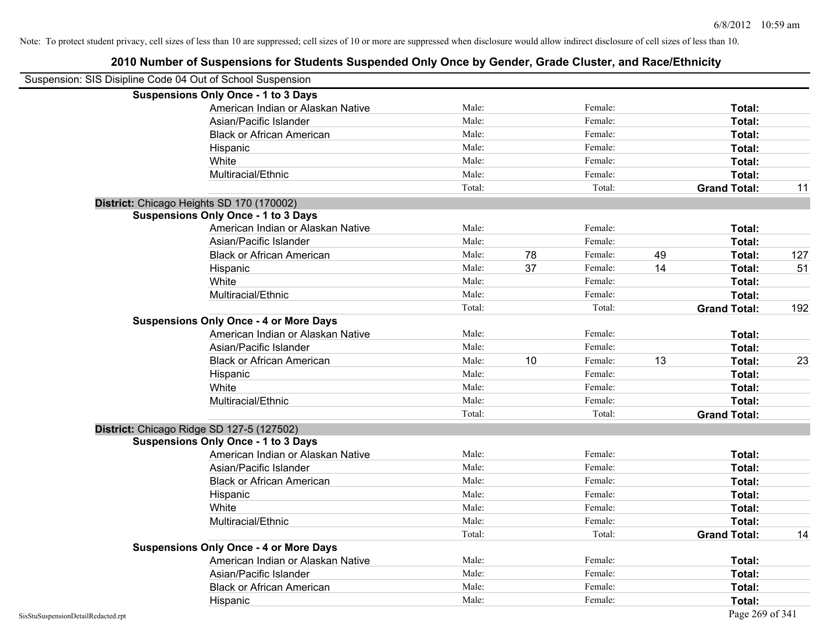| Suspension: SIS Disipline Code 04 Out of School Suspension |                                               |        |    |         |    |                     |     |
|------------------------------------------------------------|-----------------------------------------------|--------|----|---------|----|---------------------|-----|
|                                                            | <b>Suspensions Only Once - 1 to 3 Days</b>    |        |    |         |    |                     |     |
|                                                            | American Indian or Alaskan Native             | Male:  |    | Female: |    | Total:              |     |
|                                                            | Asian/Pacific Islander                        | Male:  |    | Female: |    | Total:              |     |
|                                                            | <b>Black or African American</b>              | Male:  |    | Female: |    | Total:              |     |
|                                                            | Hispanic                                      | Male:  |    | Female: |    | Total:              |     |
|                                                            | White                                         | Male:  |    | Female: |    | Total:              |     |
|                                                            | Multiracial/Ethnic                            | Male:  |    | Female: |    | Total:              |     |
|                                                            |                                               | Total: |    | Total:  |    | <b>Grand Total:</b> | 11  |
|                                                            | District: Chicago Heights SD 170 (170002)     |        |    |         |    |                     |     |
|                                                            | <b>Suspensions Only Once - 1 to 3 Days</b>    |        |    |         |    |                     |     |
|                                                            | American Indian or Alaskan Native             | Male:  |    | Female: |    | Total:              |     |
|                                                            | Asian/Pacific Islander                        | Male:  |    | Female: |    | Total:              |     |
|                                                            | <b>Black or African American</b>              | Male:  | 78 | Female: | 49 | Total:              | 127 |
|                                                            | Hispanic                                      | Male:  | 37 | Female: | 14 | Total:              | 51  |
|                                                            | White                                         | Male:  |    | Female: |    | Total:              |     |
|                                                            | Multiracial/Ethnic                            | Male:  |    | Female: |    | Total:              |     |
|                                                            |                                               | Total: |    | Total:  |    | <b>Grand Total:</b> | 192 |
|                                                            | <b>Suspensions Only Once - 4 or More Days</b> |        |    |         |    |                     |     |
|                                                            | American Indian or Alaskan Native             | Male:  |    | Female: |    | Total:              |     |
|                                                            | Asian/Pacific Islander                        | Male:  |    | Female: |    | Total:              |     |
|                                                            | <b>Black or African American</b>              | Male:  | 10 | Female: | 13 | Total:              | 23  |
|                                                            | Hispanic                                      | Male:  |    | Female: |    | Total:              |     |
|                                                            | White                                         | Male:  |    | Female: |    | Total:              |     |
|                                                            | Multiracial/Ethnic                            | Male:  |    | Female: |    | Total:              |     |
|                                                            |                                               | Total: |    | Total:  |    | <b>Grand Total:</b> |     |
|                                                            | District: Chicago Ridge SD 127-5 (127502)     |        |    |         |    |                     |     |
|                                                            | <b>Suspensions Only Once - 1 to 3 Days</b>    |        |    |         |    |                     |     |
|                                                            | American Indian or Alaskan Native             | Male:  |    | Female: |    | Total:              |     |
|                                                            | Asian/Pacific Islander                        | Male:  |    | Female: |    | Total:              |     |
|                                                            | <b>Black or African American</b>              | Male:  |    | Female: |    | Total:              |     |
|                                                            | Hispanic                                      | Male:  |    | Female: |    | Total:              |     |
|                                                            | White                                         | Male:  |    | Female: |    | Total:              |     |
|                                                            | Multiracial/Ethnic                            | Male:  |    | Female: |    | Total:              |     |
|                                                            |                                               | Total: |    | Total:  |    | <b>Grand Total:</b> | 14  |
|                                                            | <b>Suspensions Only Once - 4 or More Days</b> |        |    |         |    |                     |     |
|                                                            | American Indian or Alaskan Native             | Male:  |    | Female: |    | Total:              |     |
|                                                            | Asian/Pacific Islander                        | Male:  |    | Female: |    | Total:              |     |
|                                                            | <b>Black or African American</b>              | Male:  |    | Female: |    | Total:              |     |
|                                                            | Hispanic                                      | Male:  |    | Female: |    | Total:              |     |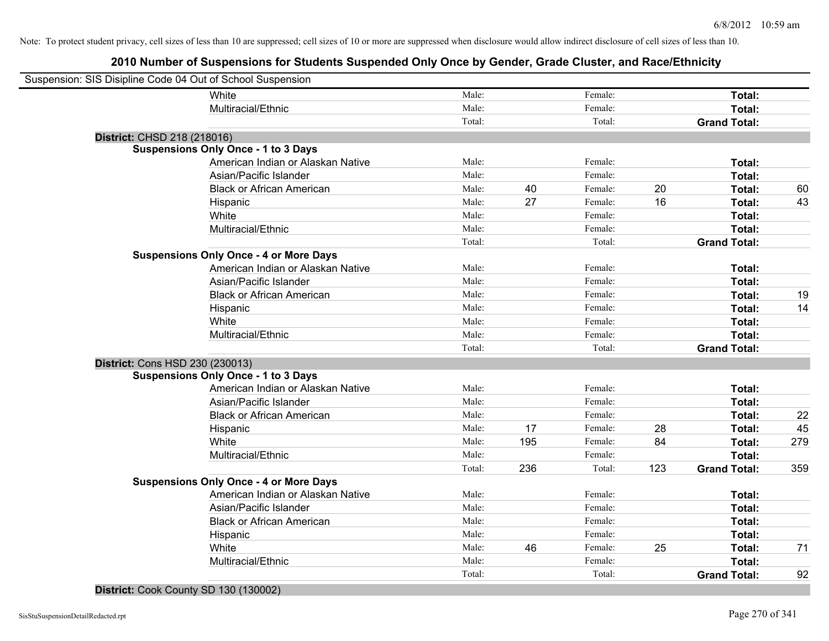| Suspension: SIS Disipline Code 04 Out of School Suspension |        |     |         |     |                     |     |
|------------------------------------------------------------|--------|-----|---------|-----|---------------------|-----|
| White                                                      | Male:  |     | Female: |     | Total:              |     |
| Multiracial/Ethnic                                         | Male:  |     | Female: |     | Total:              |     |
|                                                            | Total: |     | Total:  |     | <b>Grand Total:</b> |     |
| District: CHSD 218 (218016)                                |        |     |         |     |                     |     |
| <b>Suspensions Only Once - 1 to 3 Days</b>                 |        |     |         |     |                     |     |
| American Indian or Alaskan Native                          | Male:  |     | Female: |     | Total:              |     |
| Asian/Pacific Islander                                     | Male:  |     | Female: |     | Total:              |     |
| <b>Black or African American</b>                           | Male:  | 40  | Female: | 20  | Total:              | 60  |
| Hispanic                                                   | Male:  | 27  | Female: | 16  | Total:              | 43  |
| White                                                      | Male:  |     | Female: |     | Total:              |     |
| Multiracial/Ethnic                                         | Male:  |     | Female: |     | Total:              |     |
|                                                            | Total: |     | Total:  |     | <b>Grand Total:</b> |     |
| <b>Suspensions Only Once - 4 or More Days</b>              |        |     |         |     |                     |     |
| American Indian or Alaskan Native                          | Male:  |     | Female: |     | Total:              |     |
| Asian/Pacific Islander                                     | Male:  |     | Female: |     | Total:              |     |
| <b>Black or African American</b>                           | Male:  |     | Female: |     | Total:              | 19  |
| Hispanic                                                   | Male:  |     | Female: |     | Total:              | 14  |
| White                                                      | Male:  |     | Female: |     | Total:              |     |
| Multiracial/Ethnic                                         | Male:  |     | Female: |     | Total:              |     |
|                                                            | Total: |     | Total:  |     | <b>Grand Total:</b> |     |
| District: Cons HSD 230 (230013)                            |        |     |         |     |                     |     |
| <b>Suspensions Only Once - 1 to 3 Days</b>                 |        |     |         |     |                     |     |
| American Indian or Alaskan Native                          | Male:  |     | Female: |     | Total:              |     |
| Asian/Pacific Islander                                     | Male:  |     | Female: |     | Total:              |     |
| <b>Black or African American</b>                           | Male:  |     | Female: |     | Total:              | 22  |
| Hispanic                                                   | Male:  | 17  | Female: | 28  | Total:              | 45  |
| White                                                      | Male:  | 195 | Female: | 84  | Total:              | 279 |
| Multiracial/Ethnic                                         | Male:  |     | Female: |     | Total:              |     |
|                                                            | Total: | 236 | Total:  | 123 | <b>Grand Total:</b> | 359 |
| <b>Suspensions Only Once - 4 or More Days</b>              |        |     |         |     |                     |     |
| American Indian or Alaskan Native                          | Male:  |     | Female: |     | Total:              |     |
| Asian/Pacific Islander                                     | Male:  |     | Female: |     | Total:              |     |
| <b>Black or African American</b>                           | Male:  |     | Female: |     | Total:              |     |
| Hispanic                                                   | Male:  |     | Female: |     | Total:              |     |
| White                                                      | Male:  | 46  | Female: | 25  | Total:              | 71  |
| Multiracial/Ethnic                                         | Male:  |     | Female: |     | Total:              |     |
|                                                            | Total: |     | Total:  |     | <b>Grand Total:</b> | 92  |
|                                                            |        |     |         |     |                     |     |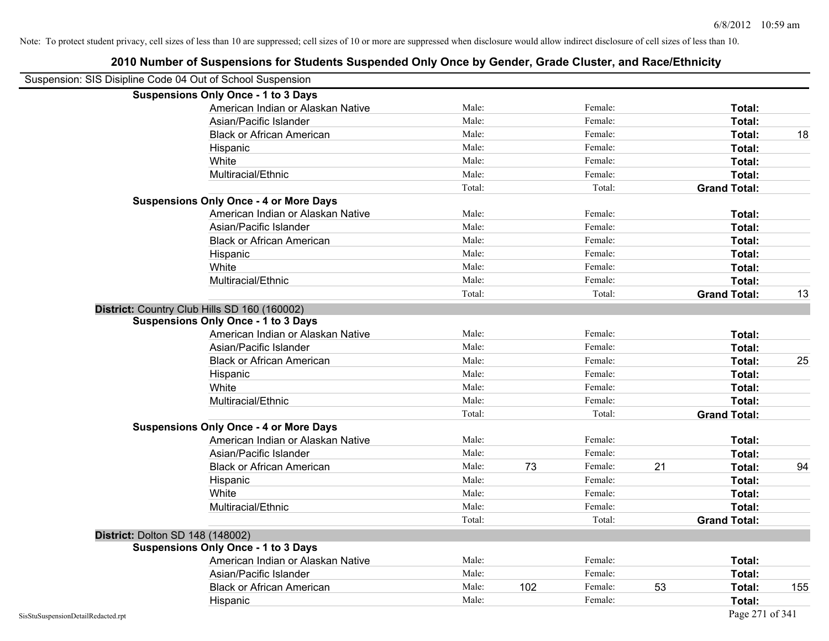| Suspension: SIS Disipline Code 04 Out of School Suspension |                                               |        |     |         |    |                     |     |
|------------------------------------------------------------|-----------------------------------------------|--------|-----|---------|----|---------------------|-----|
|                                                            | <b>Suspensions Only Once - 1 to 3 Days</b>    |        |     |         |    |                     |     |
|                                                            | American Indian or Alaskan Native             | Male:  |     | Female: |    | Total:              |     |
|                                                            | Asian/Pacific Islander                        | Male:  |     | Female: |    | Total:              |     |
|                                                            | <b>Black or African American</b>              | Male:  |     | Female: |    | Total:              | 18  |
|                                                            | Hispanic                                      | Male:  |     | Female: |    | Total:              |     |
|                                                            | White                                         | Male:  |     | Female: |    | Total:              |     |
|                                                            | Multiracial/Ethnic                            | Male:  |     | Female: |    | Total:              |     |
|                                                            |                                               | Total: |     | Total:  |    | <b>Grand Total:</b> |     |
|                                                            | <b>Suspensions Only Once - 4 or More Days</b> |        |     |         |    |                     |     |
|                                                            | American Indian or Alaskan Native             | Male:  |     | Female: |    | Total:              |     |
|                                                            | Asian/Pacific Islander                        | Male:  |     | Female: |    | Total:              |     |
|                                                            | <b>Black or African American</b>              | Male:  |     | Female: |    | Total:              |     |
|                                                            | Hispanic                                      | Male:  |     | Female: |    | Total:              |     |
|                                                            | White                                         | Male:  |     | Female: |    | Total:              |     |
|                                                            | Multiracial/Ethnic                            | Male:  |     | Female: |    | <b>Total:</b>       |     |
|                                                            |                                               | Total: |     | Total:  |    | <b>Grand Total:</b> | 13  |
|                                                            | District: Country Club Hills SD 160 (160002)  |        |     |         |    |                     |     |
|                                                            | <b>Suspensions Only Once - 1 to 3 Days</b>    |        |     |         |    |                     |     |
|                                                            | American Indian or Alaskan Native             | Male:  |     | Female: |    | Total:              |     |
|                                                            | Asian/Pacific Islander                        | Male:  |     | Female: |    | Total:              |     |
|                                                            | <b>Black or African American</b>              | Male:  |     | Female: |    | Total:              | 25  |
|                                                            | Hispanic                                      | Male:  |     | Female: |    | Total:              |     |
|                                                            | White                                         | Male:  |     | Female: |    | Total:              |     |
|                                                            | Multiracial/Ethnic                            | Male:  |     | Female: |    | <b>Total:</b>       |     |
|                                                            |                                               | Total: |     | Total:  |    | <b>Grand Total:</b> |     |
|                                                            | <b>Suspensions Only Once - 4 or More Days</b> |        |     |         |    |                     |     |
|                                                            | American Indian or Alaskan Native             | Male:  |     | Female: |    | Total:              |     |
|                                                            | Asian/Pacific Islander                        | Male:  |     | Female: |    | Total:              |     |
|                                                            | <b>Black or African American</b>              | Male:  | 73  | Female: | 21 | Total:              | 94  |
|                                                            | Hispanic                                      | Male:  |     | Female: |    | Total:              |     |
|                                                            | White                                         | Male:  |     | Female: |    | Total:              |     |
|                                                            | Multiracial/Ethnic                            | Male:  |     | Female: |    | <b>Total:</b>       |     |
|                                                            |                                               | Total: |     | Total:  |    | <b>Grand Total:</b> |     |
|                                                            | District: Dolton SD 148 (148002)              |        |     |         |    |                     |     |
|                                                            | <b>Suspensions Only Once - 1 to 3 Days</b>    |        |     |         |    |                     |     |
|                                                            | American Indian or Alaskan Native             | Male:  |     | Female: |    | Total:              |     |
|                                                            | Asian/Pacific Islander                        | Male:  |     | Female: |    | Total:              |     |
|                                                            | <b>Black or African American</b>              | Male:  | 102 | Female: | 53 | Total:              | 155 |
|                                                            | Hispanic                                      | Male:  |     | Female: |    | Total:              |     |
| SisStuSuspensionDetailRedacted.rpt                         |                                               |        |     |         |    | Page 271 of 341     |     |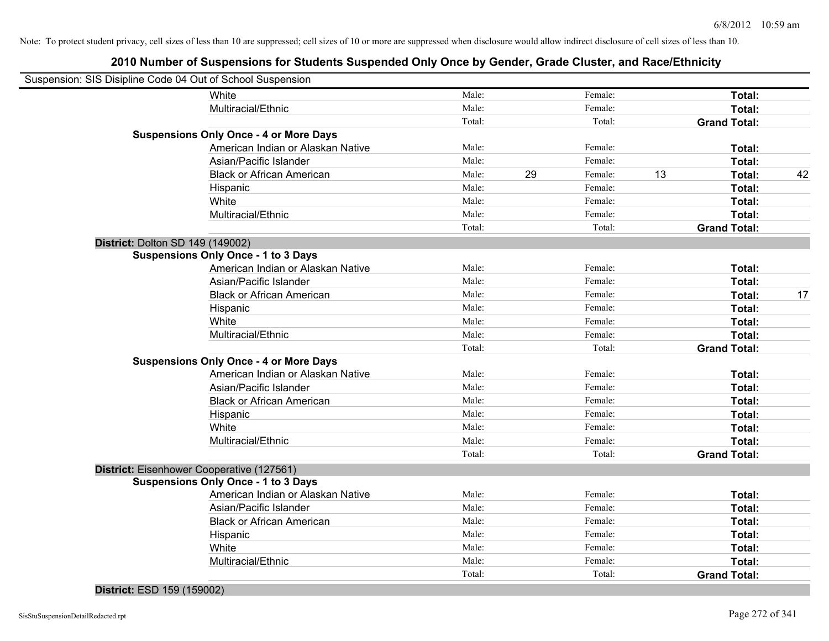|                                  | Suspension: SIS Disipline Code 04 Out of School Suspension |        |    |         |    |                     |    |
|----------------------------------|------------------------------------------------------------|--------|----|---------|----|---------------------|----|
|                                  | White                                                      | Male:  |    | Female: |    | Total:              |    |
|                                  | Multiracial/Ethnic                                         | Male:  |    | Female: |    | Total:              |    |
|                                  |                                                            | Total: |    | Total:  |    | <b>Grand Total:</b> |    |
|                                  | <b>Suspensions Only Once - 4 or More Days</b>              |        |    |         |    |                     |    |
|                                  | American Indian or Alaskan Native                          | Male:  |    | Female: |    | Total:              |    |
|                                  | Asian/Pacific Islander                                     | Male:  |    | Female: |    | Total:              |    |
|                                  | <b>Black or African American</b>                           | Male:  | 29 | Female: | 13 | Total:              | 42 |
|                                  | Hispanic                                                   | Male:  |    | Female: |    | Total:              |    |
|                                  | White                                                      | Male:  |    | Female: |    | Total:              |    |
|                                  | Multiracial/Ethnic                                         | Male:  |    | Female: |    | Total:              |    |
|                                  |                                                            | Total: |    | Total:  |    | <b>Grand Total:</b> |    |
| District: Dolton SD 149 (149002) |                                                            |        |    |         |    |                     |    |
|                                  | <b>Suspensions Only Once - 1 to 3 Days</b>                 |        |    |         |    |                     |    |
|                                  | American Indian or Alaskan Native                          | Male:  |    | Female: |    | Total:              |    |
|                                  | Asian/Pacific Islander                                     | Male:  |    | Female: |    | Total:              |    |
|                                  | <b>Black or African American</b>                           | Male:  |    | Female: |    | Total:              | 17 |
|                                  | Hispanic                                                   | Male:  |    | Female: |    | Total:              |    |
|                                  | White                                                      | Male:  |    | Female: |    | Total:              |    |
|                                  | Multiracial/Ethnic                                         | Male:  |    | Female: |    | Total:              |    |
|                                  |                                                            | Total: |    | Total:  |    | <b>Grand Total:</b> |    |
|                                  | <b>Suspensions Only Once - 4 or More Days</b>              |        |    |         |    |                     |    |
|                                  | American Indian or Alaskan Native                          | Male:  |    | Female: |    | Total:              |    |
|                                  | Asian/Pacific Islander                                     | Male:  |    | Female: |    | Total:              |    |
|                                  | <b>Black or African American</b>                           | Male:  |    | Female: |    | Total:              |    |
|                                  | Hispanic                                                   | Male:  |    | Female: |    | Total:              |    |
|                                  | White                                                      | Male:  |    | Female: |    | Total:              |    |
|                                  | Multiracial/Ethnic                                         | Male:  |    | Female: |    | Total:              |    |
|                                  |                                                            | Total: |    | Total:  |    | <b>Grand Total:</b> |    |
|                                  | District: Eisenhower Cooperative (127561)                  |        |    |         |    |                     |    |
|                                  | <b>Suspensions Only Once - 1 to 3 Days</b>                 |        |    |         |    |                     |    |
|                                  | American Indian or Alaskan Native                          | Male:  |    | Female: |    | Total:              |    |
|                                  | Asian/Pacific Islander                                     | Male:  |    | Female: |    | Total:              |    |
|                                  | <b>Black or African American</b>                           | Male:  |    | Female: |    | Total:              |    |
|                                  | Hispanic                                                   | Male:  |    | Female: |    | Total:              |    |
|                                  | White                                                      | Male:  |    | Female: |    | Total:              |    |
|                                  | Multiracial/Ethnic                                         | Male:  |    | Female: |    | Total:              |    |
|                                  |                                                            | Total: |    | Total:  |    | <b>Grand Total:</b> |    |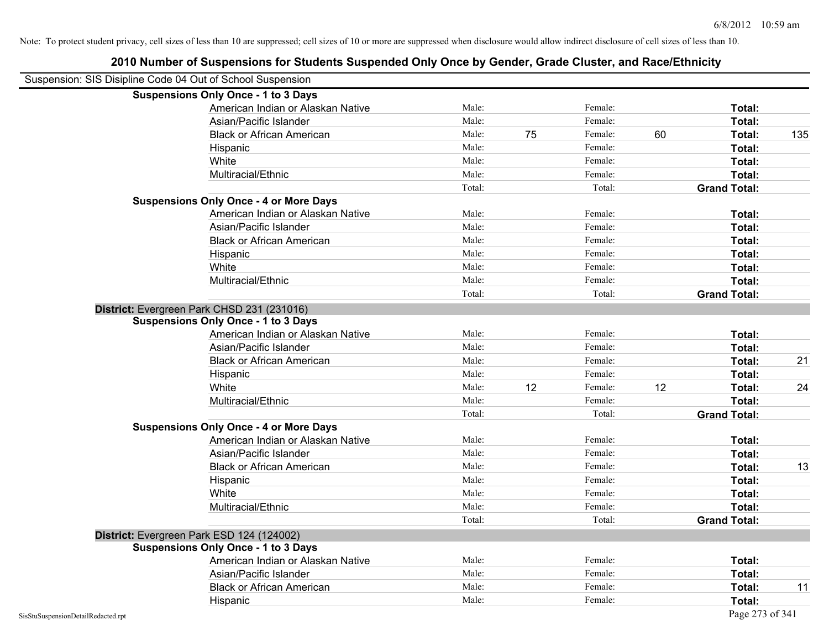|                                    | <b>Suspensions Only Once - 1 to 3 Days</b>    |        |    |         |    |                     |     |
|------------------------------------|-----------------------------------------------|--------|----|---------|----|---------------------|-----|
|                                    | American Indian or Alaskan Native             | Male:  |    | Female: |    | Total:              |     |
|                                    | Asian/Pacific Islander                        | Male:  |    | Female: |    | Total:              |     |
|                                    | <b>Black or African American</b>              | Male:  | 75 | Female: | 60 | Total:              | 135 |
|                                    | Hispanic                                      | Male:  |    | Female: |    | Total:              |     |
|                                    | White                                         | Male:  |    | Female: |    | Total:              |     |
|                                    | Multiracial/Ethnic                            | Male:  |    | Female: |    | Total:              |     |
|                                    |                                               | Total: |    | Total:  |    | <b>Grand Total:</b> |     |
|                                    | <b>Suspensions Only Once - 4 or More Days</b> |        |    |         |    |                     |     |
|                                    | American Indian or Alaskan Native             | Male:  |    | Female: |    | Total:              |     |
|                                    | Asian/Pacific Islander                        | Male:  |    | Female: |    | <b>Total:</b>       |     |
|                                    | <b>Black or African American</b>              | Male:  |    | Female: |    | <b>Total:</b>       |     |
|                                    | Hispanic                                      | Male:  |    | Female: |    | Total:              |     |
|                                    | White                                         | Male:  |    | Female: |    | Total:              |     |
|                                    | Multiracial/Ethnic                            | Male:  |    | Female: |    | Total:              |     |
|                                    |                                               | Total: |    | Total:  |    | <b>Grand Total:</b> |     |
|                                    | District: Evergreen Park CHSD 231 (231016)    |        |    |         |    |                     |     |
|                                    | <b>Suspensions Only Once - 1 to 3 Days</b>    |        |    |         |    |                     |     |
|                                    | American Indian or Alaskan Native             | Male:  |    | Female: |    | Total:              |     |
|                                    | Asian/Pacific Islander                        | Male:  |    | Female: |    | Total:              |     |
|                                    | <b>Black or African American</b>              | Male:  |    | Female: |    | Total:              | 21  |
|                                    | Hispanic                                      | Male:  |    | Female: |    | Total:              |     |
|                                    | White                                         | Male:  | 12 | Female: | 12 | Total:              | 24  |
|                                    | Multiracial/Ethnic                            | Male:  |    | Female: |    | Total:              |     |
|                                    |                                               | Total: |    | Total:  |    | <b>Grand Total:</b> |     |
|                                    | <b>Suspensions Only Once - 4 or More Days</b> |        |    |         |    |                     |     |
|                                    | American Indian or Alaskan Native             | Male:  |    | Female: |    | Total:              |     |
|                                    | Asian/Pacific Islander                        | Male:  |    | Female: |    | Total:              |     |
|                                    | <b>Black or African American</b>              | Male:  |    | Female: |    | Total:              | 13  |
|                                    | Hispanic                                      | Male:  |    | Female: |    | Total:              |     |
|                                    | White                                         | Male:  |    | Female: |    | Total:              |     |
|                                    | Multiracial/Ethnic                            | Male:  |    | Female: |    | Total:              |     |
|                                    |                                               | Total: |    | Total:  |    | <b>Grand Total:</b> |     |
|                                    | District: Evergreen Park ESD 124 (124002)     |        |    |         |    |                     |     |
|                                    | <b>Suspensions Only Once - 1 to 3 Days</b>    |        |    |         |    |                     |     |
|                                    | American Indian or Alaskan Native             | Male:  |    | Female: |    | Total:              |     |
|                                    | Asian/Pacific Islander                        | Male:  |    | Female: |    | Total:              |     |
|                                    | <b>Black or African American</b>              | Male:  |    | Female: |    | Total:              | 11  |
|                                    | Hispanic                                      | Male:  |    | Female: |    | Total:              |     |
| SisStuSuspensionDetailRedacted.rpt |                                               |        |    |         |    | Page 273 of 341     |     |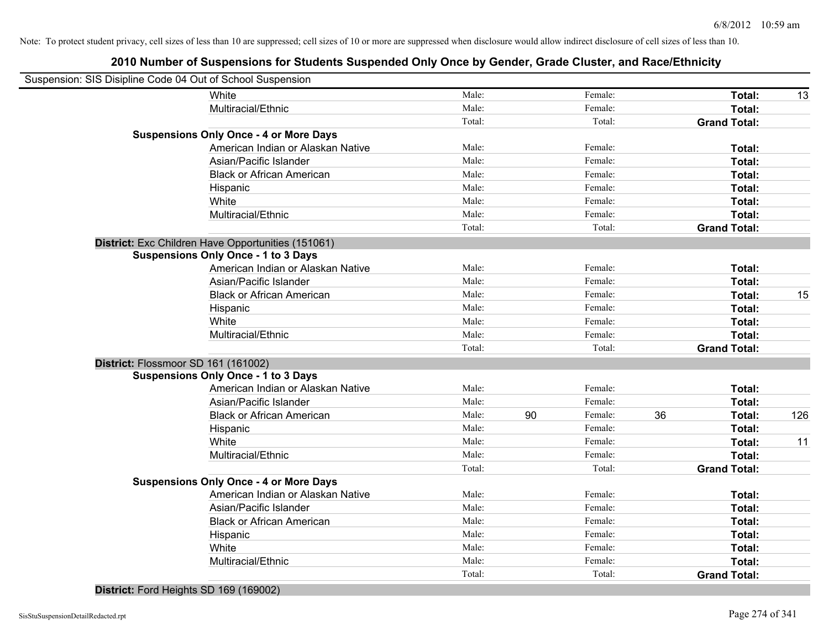|                | Suspension: SIS Disipline Code 04 Out of School Suspension |        |    |         |    |                     |     |
|----------------|------------------------------------------------------------|--------|----|---------|----|---------------------|-----|
|                | White                                                      | Male:  |    | Female: |    | Total:              | 13  |
|                | Multiracial/Ethnic                                         | Male:  |    | Female: |    | Total:              |     |
|                |                                                            | Total: |    | Total:  |    | <b>Grand Total:</b> |     |
|                | <b>Suspensions Only Once - 4 or More Days</b>              |        |    |         |    |                     |     |
|                | American Indian or Alaskan Native                          | Male:  |    | Female: |    | Total:              |     |
|                | Asian/Pacific Islander                                     | Male:  |    | Female: |    | Total:              |     |
|                | <b>Black or African American</b>                           | Male:  |    | Female: |    | Total:              |     |
|                | Hispanic                                                   | Male:  |    | Female: |    | Total:              |     |
|                | White                                                      | Male:  |    | Female: |    | Total:              |     |
|                | Multiracial/Ethnic                                         | Male:  |    | Female: |    | Total:              |     |
|                |                                                            | Total: |    | Total:  |    | <b>Grand Total:</b> |     |
|                | District: Exc Children Have Opportunities (151061)         |        |    |         |    |                     |     |
|                | <b>Suspensions Only Once - 1 to 3 Days</b>                 |        |    |         |    |                     |     |
|                | American Indian or Alaskan Native                          | Male:  |    | Female: |    | Total:              |     |
|                | Asian/Pacific Islander                                     | Male:  |    | Female: |    | Total:              |     |
|                | <b>Black or African American</b>                           | Male:  |    | Female: |    | Total:              | 15  |
|                | Hispanic                                                   | Male:  |    | Female: |    | Total:              |     |
|                | White                                                      | Male:  |    | Female: |    | Total:              |     |
|                | Multiracial/Ethnic                                         | Male:  |    | Female: |    | Total:              |     |
|                |                                                            | Total: |    | Total:  |    | <b>Grand Total:</b> |     |
|                | District: Flossmoor SD 161 (161002)                        |        |    |         |    |                     |     |
|                | <b>Suspensions Only Once - 1 to 3 Days</b>                 |        |    |         |    |                     |     |
|                | American Indian or Alaskan Native                          | Male:  |    | Female: |    | Total:              |     |
|                | Asian/Pacific Islander                                     | Male:  |    | Female: |    | Total:              |     |
|                | <b>Black or African American</b>                           | Male:  | 90 | Female: | 36 | Total:              | 126 |
|                | Hispanic                                                   | Male:  |    | Female: |    | Total:              |     |
|                | White                                                      | Male:  |    | Female: |    | Total:              | 11  |
|                | Multiracial/Ethnic                                         | Male:  |    | Female: |    | Total:              |     |
|                |                                                            | Total: |    | Total:  |    | <b>Grand Total:</b> |     |
|                | <b>Suspensions Only Once - 4 or More Days</b>              |        |    |         |    |                     |     |
|                | American Indian or Alaskan Native                          | Male:  |    | Female: |    | Total:              |     |
|                | Asian/Pacific Islander                                     | Male:  |    | Female: |    | Total:              |     |
|                | <b>Black or African American</b>                           | Male:  |    | Female: |    | Total:              |     |
|                | Hispanic                                                   | Male:  |    | Female: |    | Total:              |     |
|                | White                                                      | Male:  |    | Female: |    | Total:              |     |
|                | Multiracial/Ethnic                                         | Male:  |    | Female: |    | Total:              |     |
|                |                                                            | Total: |    | Total:  |    | <b>Grand Total:</b> |     |
| . <del>.</del> |                                                            |        |    |         |    |                     |     |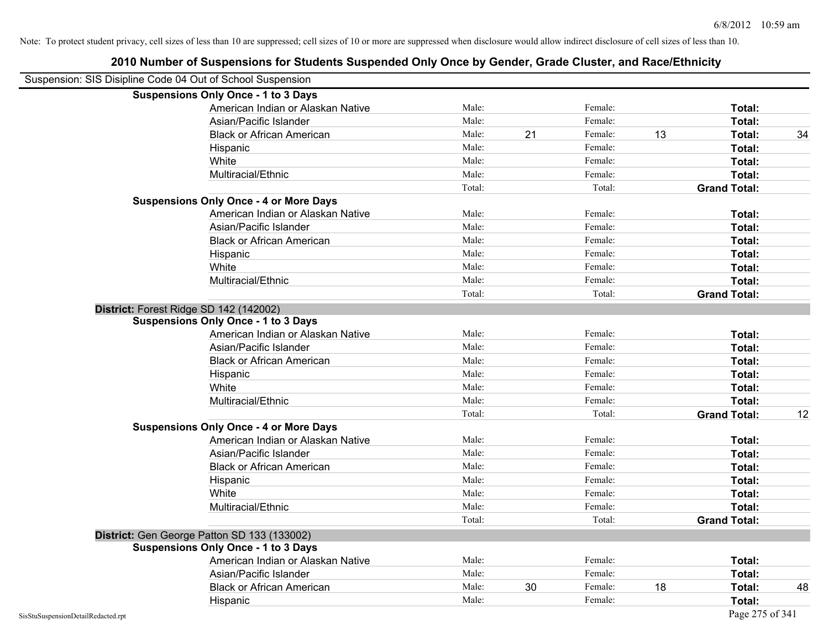|                                    | <b>Suspensions Only Once - 1 to 3 Days</b>    |        |    |         |    |                     |    |
|------------------------------------|-----------------------------------------------|--------|----|---------|----|---------------------|----|
|                                    | American Indian or Alaskan Native             | Male:  |    | Female: |    | Total:              |    |
|                                    | Asian/Pacific Islander                        | Male:  |    | Female: |    | Total:              |    |
|                                    | <b>Black or African American</b>              | Male:  | 21 | Female: | 13 | Total:              | 34 |
|                                    | Hispanic                                      | Male:  |    | Female: |    | Total:              |    |
|                                    | White                                         | Male:  |    | Female: |    | Total:              |    |
|                                    | Multiracial/Ethnic                            | Male:  |    | Female: |    | Total:              |    |
|                                    |                                               | Total: |    | Total:  |    | <b>Grand Total:</b> |    |
|                                    | <b>Suspensions Only Once - 4 or More Days</b> |        |    |         |    |                     |    |
|                                    | American Indian or Alaskan Native             | Male:  |    | Female: |    | Total:              |    |
|                                    | Asian/Pacific Islander                        | Male:  |    | Female: |    | Total:              |    |
|                                    | <b>Black or African American</b>              | Male:  |    | Female: |    | Total:              |    |
|                                    | Hispanic                                      | Male:  |    | Female: |    | Total:              |    |
|                                    | White                                         | Male:  |    | Female: |    | Total:              |    |
|                                    | Multiracial/Ethnic                            | Male:  |    | Female: |    | Total:              |    |
|                                    |                                               | Total: |    | Total:  |    | <b>Grand Total:</b> |    |
|                                    | District: Forest Ridge SD 142 (142002)        |        |    |         |    |                     |    |
|                                    | <b>Suspensions Only Once - 1 to 3 Days</b>    |        |    |         |    |                     |    |
|                                    | American Indian or Alaskan Native             | Male:  |    | Female: |    | Total:              |    |
|                                    | Asian/Pacific Islander                        | Male:  |    | Female: |    | Total:              |    |
|                                    | <b>Black or African American</b>              | Male:  |    | Female: |    | Total:              |    |
|                                    | Hispanic                                      | Male:  |    | Female: |    | Total:              |    |
|                                    | White                                         | Male:  |    | Female: |    | Total:              |    |
|                                    | Multiracial/Ethnic                            | Male:  |    | Female: |    | Total:              |    |
|                                    |                                               | Total: |    | Total:  |    | <b>Grand Total:</b> | 12 |
|                                    | <b>Suspensions Only Once - 4 or More Days</b> |        |    |         |    |                     |    |
|                                    | American Indian or Alaskan Native             | Male:  |    | Female: |    | Total:              |    |
|                                    | Asian/Pacific Islander                        | Male:  |    | Female: |    | Total:              |    |
|                                    | <b>Black or African American</b>              | Male:  |    | Female: |    | Total:              |    |
|                                    | Hispanic                                      | Male:  |    | Female: |    | Total:              |    |
|                                    | White                                         | Male:  |    | Female: |    | Total:              |    |
|                                    | Multiracial/Ethnic                            | Male:  |    | Female: |    | Total:              |    |
|                                    |                                               | Total: |    | Total:  |    | <b>Grand Total:</b> |    |
|                                    | District: Gen George Patton SD 133 (133002)   |        |    |         |    |                     |    |
|                                    | <b>Suspensions Only Once - 1 to 3 Days</b>    |        |    |         |    |                     |    |
|                                    | American Indian or Alaskan Native             | Male:  |    | Female: |    | Total:              |    |
|                                    | Asian/Pacific Islander                        | Male:  |    | Female: |    | Total:              |    |
|                                    | <b>Black or African American</b>              | Male:  | 30 | Female: | 18 | Total:              | 48 |
|                                    | Hispanic                                      | Male:  |    | Female: |    | Total:              |    |
| SisStuSuspensionDetailRedacted.rpt |                                               |        |    |         |    | Page 275 of 341     |    |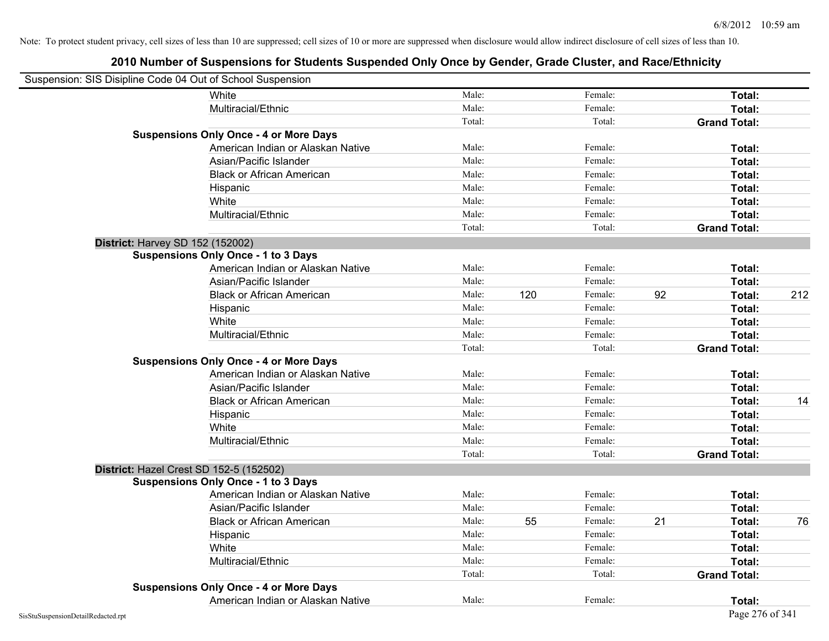| Suspension: SIS Disipline Code 04 Out of School Suspension |                                   |        |     |         |    |                     |     |
|------------------------------------------------------------|-----------------------------------|--------|-----|---------|----|---------------------|-----|
| White                                                      |                                   | Male:  |     | Female: |    | Total:              |     |
|                                                            | Multiracial/Ethnic                | Male:  |     | Female: |    | Total:              |     |
|                                                            |                                   | Total: |     | Total:  |    | <b>Grand Total:</b> |     |
| <b>Suspensions Only Once - 4 or More Days</b>              |                                   |        |     |         |    |                     |     |
|                                                            | American Indian or Alaskan Native | Male:  |     | Female: |    | Total:              |     |
|                                                            | Asian/Pacific Islander            | Male:  |     | Female: |    | Total:              |     |
|                                                            | <b>Black or African American</b>  | Male:  |     | Female: |    | Total:              |     |
| Hispanic                                                   |                                   | Male:  |     | Female: |    | Total:              |     |
| White                                                      |                                   | Male:  |     | Female: |    | Total:              |     |
|                                                            | Multiracial/Ethnic                | Male:  |     | Female: |    | Total:              |     |
|                                                            |                                   | Total: |     | Total:  |    | <b>Grand Total:</b> |     |
| District: Harvey SD 152 (152002)                           |                                   |        |     |         |    |                     |     |
| <b>Suspensions Only Once - 1 to 3 Days</b>                 |                                   |        |     |         |    |                     |     |
|                                                            | American Indian or Alaskan Native | Male:  |     | Female: |    | Total:              |     |
|                                                            | Asian/Pacific Islander            | Male:  |     | Female: |    | Total:              |     |
|                                                            | <b>Black or African American</b>  | Male:  | 120 | Female: | 92 | Total:              | 212 |
| Hispanic                                                   |                                   | Male:  |     | Female: |    | Total:              |     |
| White                                                      |                                   | Male:  |     | Female: |    | Total:              |     |
|                                                            | Multiracial/Ethnic                | Male:  |     | Female: |    | Total:              |     |
|                                                            |                                   | Total: |     | Total:  |    | <b>Grand Total:</b> |     |
| <b>Suspensions Only Once - 4 or More Days</b>              |                                   |        |     |         |    |                     |     |
|                                                            | American Indian or Alaskan Native | Male:  |     | Female: |    | Total:              |     |
|                                                            | Asian/Pacific Islander            | Male:  |     | Female: |    | Total:              |     |
|                                                            | <b>Black or African American</b>  | Male:  |     | Female: |    | Total:              | 14  |
| Hispanic                                                   |                                   | Male:  |     | Female: |    | Total:              |     |
| White                                                      |                                   | Male:  |     | Female: |    | Total:              |     |
|                                                            | Multiracial/Ethnic                | Male:  |     | Female: |    | Total:              |     |
|                                                            |                                   | Total: |     | Total:  |    | <b>Grand Total:</b> |     |
| District: Hazel Crest SD 152-5 (152502)                    |                                   |        |     |         |    |                     |     |
| <b>Suspensions Only Once - 1 to 3 Days</b>                 |                                   |        |     |         |    |                     |     |
|                                                            | American Indian or Alaskan Native | Male:  |     | Female: |    | Total:              |     |
|                                                            | Asian/Pacific Islander            | Male:  |     | Female: |    | Total:              |     |
|                                                            | <b>Black or African American</b>  | Male:  | 55  | Female: | 21 | Total:              | 76  |
| Hispanic                                                   |                                   | Male:  |     | Female: |    | Total:              |     |
| White                                                      |                                   | Male:  |     | Female: |    | Total:              |     |
|                                                            | Multiracial/Ethnic                | Male:  |     | Female: |    | Total:              |     |
|                                                            |                                   | Total: |     | Total:  |    | <b>Grand Total:</b> |     |
| <b>Suspensions Only Once - 4 or More Days</b>              |                                   |        |     |         |    |                     |     |
|                                                            | American Indian or Alaskan Native | Male:  |     | Female: |    | Total:              |     |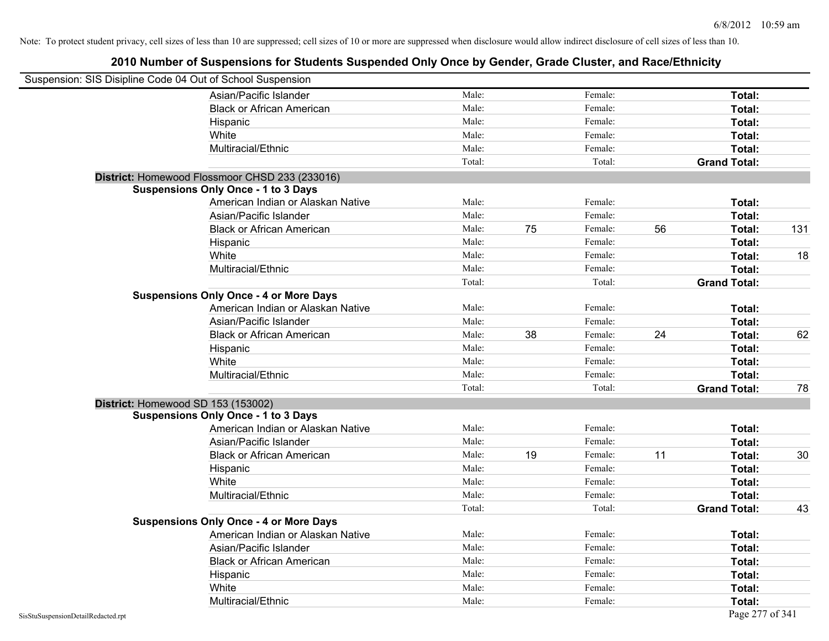| Suspension: SIS Disipline Code 04 Out of School Suspension |                                                |        |    |         |    |                     |     |
|------------------------------------------------------------|------------------------------------------------|--------|----|---------|----|---------------------|-----|
|                                                            | Asian/Pacific Islander                         | Male:  |    | Female: |    | Total:              |     |
|                                                            | <b>Black or African American</b>               | Male:  |    | Female: |    | Total:              |     |
|                                                            | Hispanic                                       | Male:  |    | Female: |    | Total:              |     |
|                                                            | White                                          | Male:  |    | Female: |    | Total:              |     |
|                                                            | Multiracial/Ethnic                             | Male:  |    | Female: |    | Total:              |     |
|                                                            |                                                | Total: |    | Total:  |    | <b>Grand Total:</b> |     |
|                                                            | District: Homewood Flossmoor CHSD 233 (233016) |        |    |         |    |                     |     |
|                                                            | <b>Suspensions Only Once - 1 to 3 Days</b>     |        |    |         |    |                     |     |
|                                                            | American Indian or Alaskan Native              | Male:  |    | Female: |    | Total:              |     |
|                                                            | Asian/Pacific Islander                         | Male:  |    | Female: |    | Total:              |     |
|                                                            | <b>Black or African American</b>               | Male:  | 75 | Female: | 56 | Total:              | 131 |
|                                                            | Hispanic                                       | Male:  |    | Female: |    | Total:              |     |
|                                                            | White                                          | Male:  |    | Female: |    | Total:              | 18  |
|                                                            | Multiracial/Ethnic                             | Male:  |    | Female: |    | Total:              |     |
|                                                            |                                                | Total: |    | Total:  |    | <b>Grand Total:</b> |     |
|                                                            | <b>Suspensions Only Once - 4 or More Days</b>  |        |    |         |    |                     |     |
|                                                            | American Indian or Alaskan Native              | Male:  |    | Female: |    | Total:              |     |
|                                                            | Asian/Pacific Islander                         | Male:  |    | Female: |    | Total:              |     |
|                                                            | <b>Black or African American</b>               | Male:  | 38 | Female: | 24 | Total:              | 62  |
|                                                            | Hispanic                                       | Male:  |    | Female: |    | Total:              |     |
|                                                            | White                                          | Male:  |    | Female: |    | Total:              |     |
|                                                            | Multiracial/Ethnic                             | Male:  |    | Female: |    | Total:              |     |
|                                                            |                                                | Total: |    | Total:  |    | <b>Grand Total:</b> | 78  |
|                                                            | District: Homewood SD 153 (153002)             |        |    |         |    |                     |     |
|                                                            | <b>Suspensions Only Once - 1 to 3 Days</b>     |        |    |         |    |                     |     |
|                                                            | American Indian or Alaskan Native              | Male:  |    | Female: |    | Total:              |     |
|                                                            | Asian/Pacific Islander                         | Male:  |    | Female: |    | Total:              |     |
|                                                            | <b>Black or African American</b>               | Male:  | 19 | Female: | 11 | Total:              | 30  |
|                                                            | Hispanic                                       | Male:  |    | Female: |    | Total:              |     |
|                                                            | White                                          | Male:  |    | Female: |    | Total:              |     |
|                                                            | Multiracial/Ethnic                             | Male:  |    | Female: |    | Total:              |     |
|                                                            |                                                | Total: |    | Total:  |    | <b>Grand Total:</b> | 43  |
|                                                            | <b>Suspensions Only Once - 4 or More Days</b>  |        |    |         |    |                     |     |
|                                                            | American Indian or Alaskan Native              | Male:  |    | Female: |    | Total:              |     |
|                                                            | Asian/Pacific Islander                         | Male:  |    | Female: |    | Total:              |     |
|                                                            | <b>Black or African American</b>               | Male:  |    | Female: |    | Total:              |     |
|                                                            | Hispanic                                       | Male:  |    | Female: |    | Total:              |     |
|                                                            | White                                          | Male:  |    | Female: |    | Total:              |     |
|                                                            | Multiracial/Ethnic                             | Male:  |    | Female: |    | Total:              |     |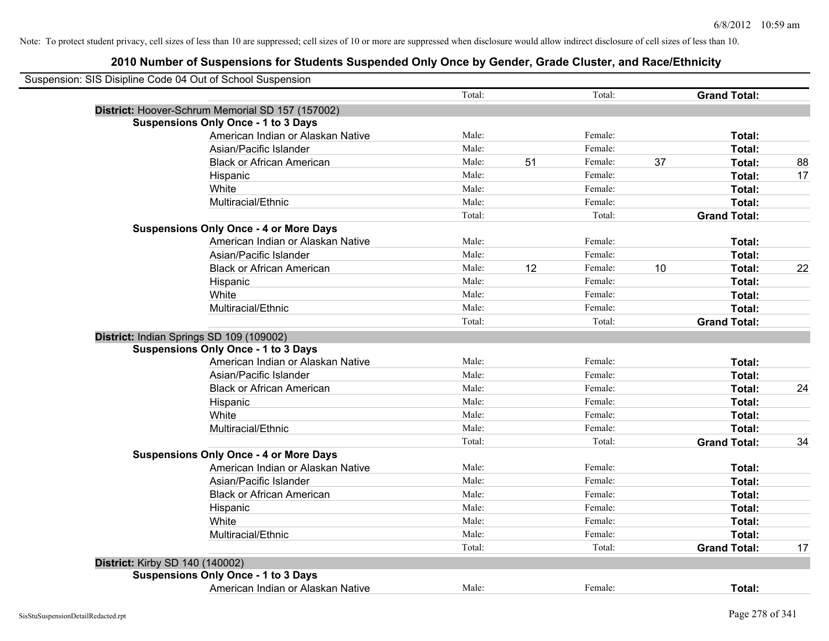|                                          | Suspension: SIS Disipline Code 04 Out of School Suspension |        |    |         |    |                     |    |
|------------------------------------------|------------------------------------------------------------|--------|----|---------|----|---------------------|----|
|                                          |                                                            | Total: |    | Total:  |    | <b>Grand Total:</b> |    |
|                                          | District: Hoover-Schrum Memorial SD 157 (157002)           |        |    |         |    |                     |    |
|                                          | <b>Suspensions Only Once - 1 to 3 Days</b>                 |        |    |         |    |                     |    |
|                                          | American Indian or Alaskan Native                          | Male:  |    | Female: |    | Total:              |    |
|                                          | Asian/Pacific Islander                                     | Male:  |    | Female: |    | Total:              |    |
|                                          | <b>Black or African American</b>                           | Male:  | 51 | Female: | 37 | Total:              | 88 |
|                                          | Hispanic                                                   | Male:  |    | Female: |    | Total:              | 17 |
|                                          | White                                                      | Male:  |    | Female: |    | Total:              |    |
|                                          | Multiracial/Ethnic                                         | Male:  |    | Female: |    | Total:              |    |
|                                          |                                                            | Total: |    | Total:  |    | <b>Grand Total:</b> |    |
|                                          | <b>Suspensions Only Once - 4 or More Days</b>              |        |    |         |    |                     |    |
|                                          | American Indian or Alaskan Native                          | Male:  |    | Female: |    | Total:              |    |
|                                          | Asian/Pacific Islander                                     | Male:  |    | Female: |    | Total:              |    |
|                                          | <b>Black or African American</b>                           | Male:  | 12 | Female: | 10 | Total:              | 22 |
|                                          | Hispanic                                                   | Male:  |    | Female: |    | Total:              |    |
|                                          | White                                                      | Male:  |    | Female: |    | Total:              |    |
|                                          | Multiracial/Ethnic                                         | Male:  |    | Female: |    | Total:              |    |
|                                          |                                                            | Total: |    | Total:  |    | <b>Grand Total:</b> |    |
| District: Indian Springs SD 109 (109002) |                                                            |        |    |         |    |                     |    |
|                                          | <b>Suspensions Only Once - 1 to 3 Days</b>                 |        |    |         |    |                     |    |
|                                          | American Indian or Alaskan Native                          | Male:  |    | Female: |    | Total:              |    |
|                                          | Asian/Pacific Islander                                     | Male:  |    | Female: |    | Total:              |    |
|                                          | <b>Black or African American</b>                           | Male:  |    | Female: |    | Total:              | 24 |
|                                          | Hispanic                                                   | Male:  |    | Female: |    | Total:              |    |
|                                          | White                                                      | Male:  |    | Female: |    | Total:              |    |
|                                          | Multiracial/Ethnic                                         | Male:  |    | Female: |    | Total:              |    |
|                                          |                                                            | Total: |    | Total:  |    | <b>Grand Total:</b> | 34 |
|                                          | <b>Suspensions Only Once - 4 or More Days</b>              |        |    |         |    |                     |    |
|                                          | American Indian or Alaskan Native                          | Male:  |    | Female: |    | Total:              |    |
|                                          | Asian/Pacific Islander                                     | Male:  |    | Female: |    | Total:              |    |
|                                          | <b>Black or African American</b>                           | Male:  |    | Female: |    | Total:              |    |
|                                          | Hispanic                                                   | Male:  |    | Female: |    | Total:              |    |
|                                          | White                                                      | Male:  |    | Female: |    | Total:              |    |
|                                          | Multiracial/Ethnic                                         | Male:  |    | Female: |    | Total:              |    |
|                                          |                                                            | Total: |    | Total:  |    | <b>Grand Total:</b> | 17 |
| District: Kirby SD 140 (140002)          |                                                            |        |    |         |    |                     |    |
|                                          | <b>Suspensions Only Once - 1 to 3 Days</b>                 |        |    |         |    |                     |    |
|                                          | American Indian or Alaskan Native                          | Male:  |    | Female: |    | Total:              |    |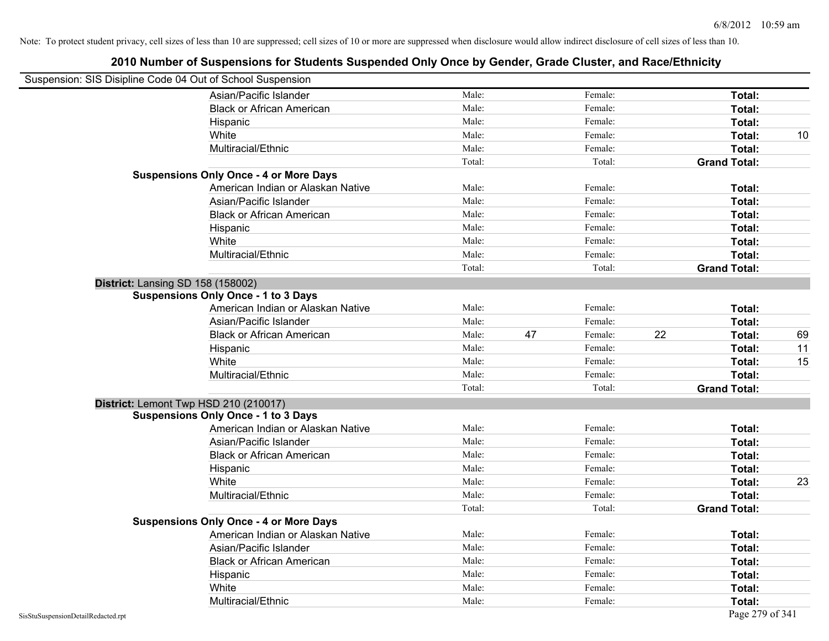| Suspension: SIS Disipline Code 04 Out of School Suspension |                                               |        |    |         |    |                     |    |
|------------------------------------------------------------|-----------------------------------------------|--------|----|---------|----|---------------------|----|
|                                                            | Asian/Pacific Islander                        | Male:  |    | Female: |    | Total:              |    |
|                                                            | <b>Black or African American</b>              | Male:  |    | Female: |    | Total:              |    |
|                                                            | Hispanic                                      | Male:  |    | Female: |    | Total:              |    |
|                                                            | White                                         | Male:  |    | Female: |    | Total:              | 10 |
|                                                            | Multiracial/Ethnic                            | Male:  |    | Female: |    | Total:              |    |
|                                                            |                                               | Total: |    | Total:  |    | <b>Grand Total:</b> |    |
|                                                            | <b>Suspensions Only Once - 4 or More Days</b> |        |    |         |    |                     |    |
|                                                            | American Indian or Alaskan Native             | Male:  |    | Female: |    | Total:              |    |
|                                                            | Asian/Pacific Islander                        | Male:  |    | Female: |    | Total:              |    |
|                                                            | <b>Black or African American</b>              | Male:  |    | Female: |    | Total:              |    |
|                                                            | Hispanic                                      | Male:  |    | Female: |    | Total:              |    |
|                                                            | White                                         | Male:  |    | Female: |    | Total:              |    |
|                                                            | Multiracial/Ethnic                            | Male:  |    | Female: |    | Total:              |    |
|                                                            |                                               | Total: |    | Total:  |    | <b>Grand Total:</b> |    |
| <b>District: Lansing SD 158 (158002)</b>                   |                                               |        |    |         |    |                     |    |
|                                                            | <b>Suspensions Only Once - 1 to 3 Days</b>    |        |    |         |    |                     |    |
|                                                            | American Indian or Alaskan Native             | Male:  |    | Female: |    | Total:              |    |
|                                                            | Asian/Pacific Islander                        | Male:  |    | Female: |    | Total:              |    |
|                                                            | <b>Black or African American</b>              | Male:  | 47 | Female: | 22 | Total:              | 69 |
|                                                            | Hispanic                                      | Male:  |    | Female: |    | Total:              | 11 |
|                                                            | White                                         | Male:  |    | Female: |    | Total:              | 15 |
|                                                            | Multiracial/Ethnic                            | Male:  |    | Female: |    | Total:              |    |
|                                                            |                                               | Total: |    | Total:  |    | <b>Grand Total:</b> |    |
| District: Lemont Twp HSD 210 (210017)                      |                                               |        |    |         |    |                     |    |
|                                                            | <b>Suspensions Only Once - 1 to 3 Days</b>    |        |    |         |    |                     |    |
|                                                            | American Indian or Alaskan Native             | Male:  |    | Female: |    | Total:              |    |
|                                                            | Asian/Pacific Islander                        | Male:  |    | Female: |    | Total:              |    |
|                                                            | <b>Black or African American</b>              | Male:  |    | Female: |    | Total:              |    |
|                                                            | Hispanic                                      | Male:  |    | Female: |    | Total:              |    |
|                                                            | White                                         | Male:  |    | Female: |    | Total:              | 23 |
|                                                            | Multiracial/Ethnic                            | Male:  |    | Female: |    | Total:              |    |
|                                                            |                                               | Total: |    | Total:  |    | <b>Grand Total:</b> |    |
|                                                            | <b>Suspensions Only Once - 4 or More Days</b> |        |    |         |    |                     |    |
|                                                            | American Indian or Alaskan Native             | Male:  |    | Female: |    | Total:              |    |
|                                                            | Asian/Pacific Islander                        | Male:  |    | Female: |    | Total:              |    |
|                                                            | <b>Black or African American</b>              | Male:  |    | Female: |    | Total:              |    |
|                                                            | Hispanic                                      | Male:  |    | Female: |    | Total:              |    |
|                                                            | White                                         | Male:  |    | Female: |    | Total:              |    |
|                                                            | Multiracial/Ethnic                            | Male:  |    | Female: |    | Total:              |    |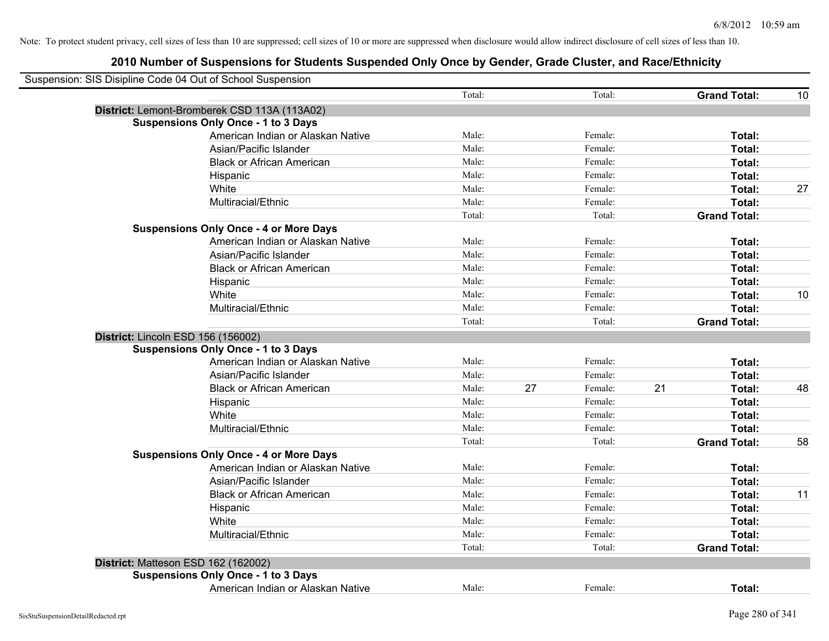|                                     | Suspension: SIS Disipline Code 04 Out of School Suspension |        |    |         |    |                     |    |
|-------------------------------------|------------------------------------------------------------|--------|----|---------|----|---------------------|----|
|                                     |                                                            | Total: |    | Total:  |    | <b>Grand Total:</b> | 10 |
|                                     | District: Lemont-Bromberek CSD 113A (113A02)               |        |    |         |    |                     |    |
|                                     | <b>Suspensions Only Once - 1 to 3 Days</b>                 |        |    |         |    |                     |    |
|                                     | American Indian or Alaskan Native                          | Male:  |    | Female: |    | Total:              |    |
|                                     | Asian/Pacific Islander                                     | Male:  |    | Female: |    | Total:              |    |
|                                     | <b>Black or African American</b>                           | Male:  |    | Female: |    | Total:              |    |
|                                     | Hispanic                                                   | Male:  |    | Female: |    | Total:              |    |
|                                     | White                                                      | Male:  |    | Female: |    | Total:              | 27 |
|                                     | Multiracial/Ethnic                                         | Male:  |    | Female: |    | Total:              |    |
|                                     |                                                            | Total: |    | Total:  |    | <b>Grand Total:</b> |    |
|                                     | <b>Suspensions Only Once - 4 or More Days</b>              |        |    |         |    |                     |    |
|                                     | American Indian or Alaskan Native                          | Male:  |    | Female: |    | Total:              |    |
|                                     | Asian/Pacific Islander                                     | Male:  |    | Female: |    | Total:              |    |
|                                     | <b>Black or African American</b>                           | Male:  |    | Female: |    | Total:              |    |
|                                     | Hispanic                                                   | Male:  |    | Female: |    | Total:              |    |
|                                     | White                                                      | Male:  |    | Female: |    | Total:              | 10 |
|                                     | Multiracial/Ethnic                                         | Male:  |    | Female: |    | Total:              |    |
|                                     |                                                            | Total: |    | Total:  |    | <b>Grand Total:</b> |    |
| District: Lincoln ESD 156 (156002)  |                                                            |        |    |         |    |                     |    |
|                                     | <b>Suspensions Only Once - 1 to 3 Days</b>                 |        |    |         |    |                     |    |
|                                     | American Indian or Alaskan Native                          | Male:  |    | Female: |    | Total:              |    |
|                                     | Asian/Pacific Islander                                     | Male:  |    | Female: |    | Total:              |    |
|                                     | <b>Black or African American</b>                           | Male:  | 27 | Female: | 21 | Total:              | 48 |
|                                     | Hispanic                                                   | Male:  |    | Female: |    | <b>Total:</b>       |    |
|                                     | White                                                      | Male:  |    | Female: |    | Total:              |    |
|                                     | Multiracial/Ethnic                                         | Male:  |    | Female: |    | Total:              |    |
|                                     |                                                            | Total: |    | Total:  |    | <b>Grand Total:</b> | 58 |
|                                     | <b>Suspensions Only Once - 4 or More Days</b>              |        |    |         |    |                     |    |
|                                     | American Indian or Alaskan Native                          | Male:  |    | Female: |    | Total:              |    |
|                                     | Asian/Pacific Islander                                     | Male:  |    | Female: |    | Total:              |    |
|                                     | <b>Black or African American</b>                           | Male:  |    | Female: |    | Total:              | 11 |
|                                     | Hispanic                                                   | Male:  |    | Female: |    | Total:              |    |
|                                     | White                                                      | Male:  |    | Female: |    | Total:              |    |
|                                     | Multiracial/Ethnic                                         | Male:  |    | Female: |    | Total:              |    |
|                                     |                                                            | Total: |    | Total:  |    | <b>Grand Total:</b> |    |
| District: Matteson ESD 162 (162002) |                                                            |        |    |         |    |                     |    |
|                                     | <b>Suspensions Only Once - 1 to 3 Days</b>                 |        |    |         |    |                     |    |
|                                     | American Indian or Alaskan Native                          | Male:  |    | Female: |    | Total:              |    |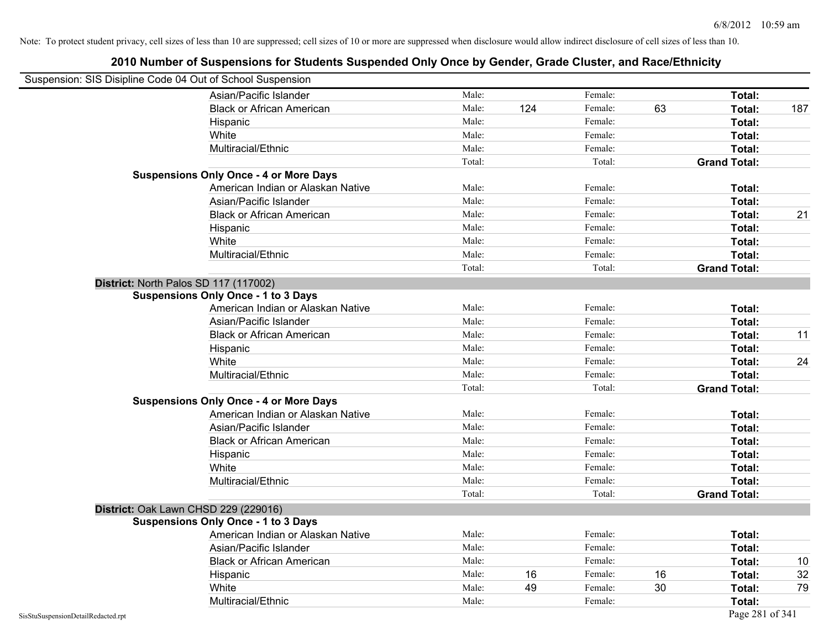| Suspension: SIS Disipline Code 04 Out of School Suspension |                                               |        |     |         |    |                     |      |
|------------------------------------------------------------|-----------------------------------------------|--------|-----|---------|----|---------------------|------|
|                                                            | Asian/Pacific Islander                        | Male:  |     | Female: |    | Total:              |      |
|                                                            | <b>Black or African American</b>              | Male:  | 124 | Female: | 63 | Total:              | 187  |
|                                                            | Hispanic                                      | Male:  |     | Female: |    | Total:              |      |
|                                                            | White                                         | Male:  |     | Female: |    | Total:              |      |
|                                                            | Multiracial/Ethnic                            | Male:  |     | Female: |    | Total:              |      |
|                                                            |                                               | Total: |     | Total:  |    | <b>Grand Total:</b> |      |
|                                                            | <b>Suspensions Only Once - 4 or More Days</b> |        |     |         |    |                     |      |
|                                                            | American Indian or Alaskan Native             | Male:  |     | Female: |    | Total:              |      |
|                                                            | Asian/Pacific Islander                        | Male:  |     | Female: |    | Total:              |      |
|                                                            | <b>Black or African American</b>              | Male:  |     | Female: |    | Total:              | 21   |
|                                                            | Hispanic                                      | Male:  |     | Female: |    | Total:              |      |
|                                                            | White                                         | Male:  |     | Female: |    | Total:              |      |
|                                                            | Multiracial/Ethnic                            | Male:  |     | Female: |    | Total:              |      |
|                                                            |                                               | Total: |     | Total:  |    | <b>Grand Total:</b> |      |
|                                                            | District: North Palos SD 117 (117002)         |        |     |         |    |                     |      |
|                                                            | <b>Suspensions Only Once - 1 to 3 Days</b>    |        |     |         |    |                     |      |
|                                                            | American Indian or Alaskan Native             | Male:  |     | Female: |    | Total:              |      |
|                                                            | Asian/Pacific Islander                        | Male:  |     | Female: |    | Total:              |      |
|                                                            | <b>Black or African American</b>              | Male:  |     | Female: |    | Total:              | 11   |
|                                                            | Hispanic                                      | Male:  |     | Female: |    | Total:              |      |
|                                                            | White                                         | Male:  |     | Female: |    | Total:              | 24   |
|                                                            | Multiracial/Ethnic                            | Male:  |     | Female: |    | Total:              |      |
|                                                            |                                               | Total: |     | Total:  |    | <b>Grand Total:</b> |      |
|                                                            | <b>Suspensions Only Once - 4 or More Days</b> |        |     |         |    |                     |      |
|                                                            | American Indian or Alaskan Native             | Male:  |     | Female: |    | Total:              |      |
|                                                            | Asian/Pacific Islander                        | Male:  |     | Female: |    | Total:              |      |
|                                                            | <b>Black or African American</b>              | Male:  |     | Female: |    | Total:              |      |
|                                                            | Hispanic                                      | Male:  |     | Female: |    | Total:              |      |
|                                                            | White                                         | Male:  |     | Female: |    | Total:              |      |
|                                                            | Multiracial/Ethnic                            | Male:  |     | Female: |    | Total:              |      |
|                                                            |                                               | Total: |     | Total:  |    | <b>Grand Total:</b> |      |
|                                                            | District: Oak Lawn CHSD 229 (229016)          |        |     |         |    |                     |      |
|                                                            | <b>Suspensions Only Once - 1 to 3 Days</b>    |        |     |         |    |                     |      |
|                                                            | American Indian or Alaskan Native             | Male:  |     | Female: |    | Total:              |      |
|                                                            | Asian/Pacific Islander                        | Male:  |     | Female: |    | Total:              |      |
|                                                            | <b>Black or African American</b>              | Male:  |     | Female: |    | Total:              | $10$ |
|                                                            | Hispanic                                      | Male:  | 16  | Female: | 16 | Total:              | 32   |
|                                                            | White                                         | Male:  | 49  | Female: | 30 | Total:              | 79   |
|                                                            | Multiracial/Ethnic                            | Male:  |     | Female: |    | Total:              |      |
| SisStuSuspensionDetailRedacted.rpt                         |                                               |        |     |         |    | Page 281 of 341     |      |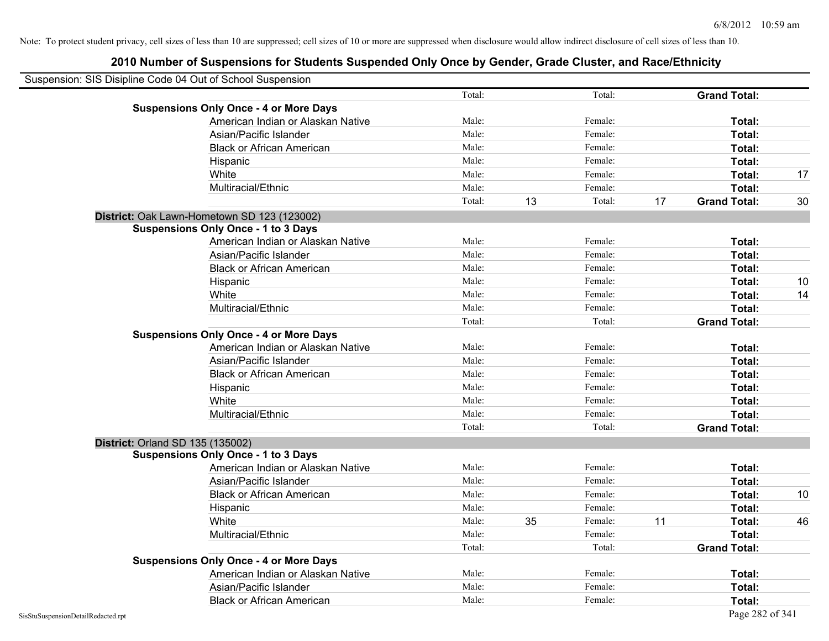| Suspension: SIS Disipline Code 04 Out of School Suspension |        |    |         |    |                     |    |
|------------------------------------------------------------|--------|----|---------|----|---------------------|----|
|                                                            | Total: |    | Total:  |    | <b>Grand Total:</b> |    |
| <b>Suspensions Only Once - 4 or More Days</b>              |        |    |         |    |                     |    |
| American Indian or Alaskan Native                          | Male:  |    | Female: |    | Total:              |    |
| Asian/Pacific Islander                                     | Male:  |    | Female: |    | Total:              |    |
| <b>Black or African American</b>                           | Male:  |    | Female: |    | Total:              |    |
| Hispanic                                                   | Male:  |    | Female: |    | Total:              |    |
| White                                                      | Male:  |    | Female: |    | Total:              | 17 |
| Multiracial/Ethnic                                         | Male:  |    | Female: |    | Total:              |    |
|                                                            | Total: | 13 | Total:  | 17 | <b>Grand Total:</b> | 30 |
| District: Oak Lawn-Hometown SD 123 (123002)                |        |    |         |    |                     |    |
| <b>Suspensions Only Once - 1 to 3 Days</b>                 |        |    |         |    |                     |    |
| American Indian or Alaskan Native                          | Male:  |    | Female: |    | Total:              |    |
| Asian/Pacific Islander                                     | Male:  |    | Female: |    | Total:              |    |
| <b>Black or African American</b>                           | Male:  |    | Female: |    | Total:              |    |
| Hispanic                                                   | Male:  |    | Female: |    | Total:              | 10 |
| White                                                      | Male:  |    | Female: |    | <b>Total:</b>       | 14 |
| Multiracial/Ethnic                                         | Male:  |    | Female: |    | Total:              |    |
|                                                            | Total: |    | Total:  |    | <b>Grand Total:</b> |    |
| <b>Suspensions Only Once - 4 or More Days</b>              |        |    |         |    |                     |    |
| American Indian or Alaskan Native                          | Male:  |    | Female: |    | Total:              |    |
| Asian/Pacific Islander                                     | Male:  |    | Female: |    | Total:              |    |
| <b>Black or African American</b>                           | Male:  |    | Female: |    | Total:              |    |
| Hispanic                                                   | Male:  |    | Female: |    | Total:              |    |
| White                                                      | Male:  |    | Female: |    | Total:              |    |
| Multiracial/Ethnic                                         | Male:  |    | Female: |    | Total:              |    |
|                                                            | Total: |    | Total:  |    | <b>Grand Total:</b> |    |
| District: Orland SD 135 (135002)                           |        |    |         |    |                     |    |
| <b>Suspensions Only Once - 1 to 3 Days</b>                 |        |    |         |    |                     |    |
| American Indian or Alaskan Native                          | Male:  |    | Female: |    | Total:              |    |
| Asian/Pacific Islander                                     | Male:  |    | Female: |    | Total:              |    |
| <b>Black or African American</b>                           | Male:  |    | Female: |    | Total:              | 10 |
| Hispanic                                                   | Male:  |    | Female: |    | Total:              |    |
| White                                                      | Male:  | 35 | Female: | 11 | Total:              | 46 |
| Multiracial/Ethnic                                         | Male:  |    | Female: |    | Total:              |    |
|                                                            | Total: |    | Total:  |    | <b>Grand Total:</b> |    |
| <b>Suspensions Only Once - 4 or More Days</b>              |        |    |         |    |                     |    |
| American Indian or Alaskan Native                          | Male:  |    | Female: |    | Total:              |    |
| Asian/Pacific Islander                                     | Male:  |    | Female: |    | Total:              |    |
| <b>Black or African American</b>                           | Male:  |    | Female: |    | Total:              |    |
|                                                            |        |    |         |    |                     |    |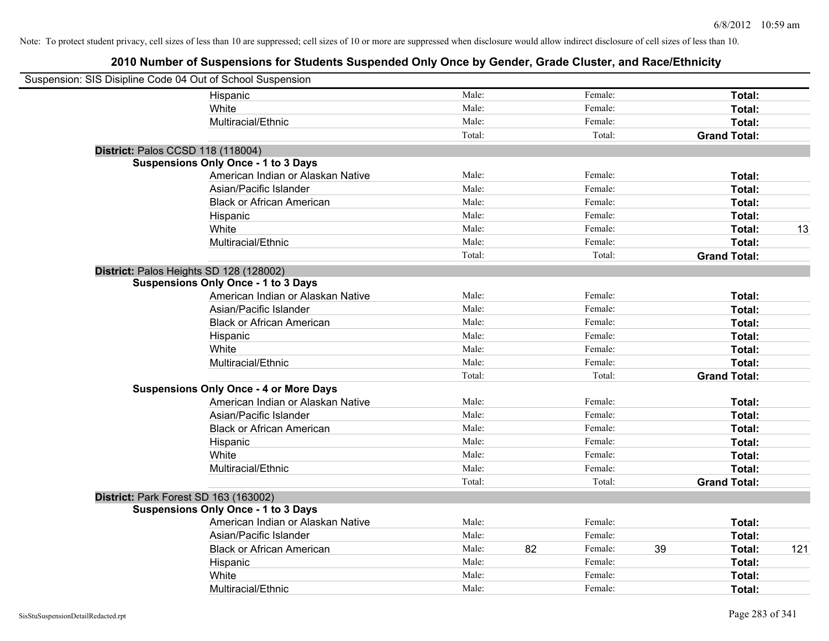| Suspension: SIS Disipline Code 04 Out of School Suspension |                                               |        |    |         |    |                     |     |
|------------------------------------------------------------|-----------------------------------------------|--------|----|---------|----|---------------------|-----|
|                                                            | Hispanic                                      | Male:  |    | Female: |    | Total:              |     |
|                                                            | White                                         | Male:  |    | Female: |    | Total:              |     |
|                                                            | Multiracial/Ethnic                            | Male:  |    | Female: |    | Total:              |     |
|                                                            |                                               | Total: |    | Total:  |    | <b>Grand Total:</b> |     |
| District: Palos CCSD 118 (118004)                          |                                               |        |    |         |    |                     |     |
|                                                            | <b>Suspensions Only Once - 1 to 3 Days</b>    |        |    |         |    |                     |     |
|                                                            | American Indian or Alaskan Native             | Male:  |    | Female: |    | Total:              |     |
|                                                            | Asian/Pacific Islander                        | Male:  |    | Female: |    | Total:              |     |
|                                                            | <b>Black or African American</b>              | Male:  |    | Female: |    | Total:              |     |
|                                                            | Hispanic                                      | Male:  |    | Female: |    | Total:              |     |
|                                                            | White                                         | Male:  |    | Female: |    | Total:              | 13  |
|                                                            | Multiracial/Ethnic                            | Male:  |    | Female: |    | Total:              |     |
|                                                            |                                               | Total: |    | Total:  |    | <b>Grand Total:</b> |     |
| District: Palos Heights SD 128 (128002)                    |                                               |        |    |         |    |                     |     |
|                                                            | <b>Suspensions Only Once - 1 to 3 Days</b>    |        |    |         |    |                     |     |
|                                                            | American Indian or Alaskan Native             | Male:  |    | Female: |    | Total:              |     |
|                                                            | Asian/Pacific Islander                        | Male:  |    | Female: |    | Total:              |     |
|                                                            | <b>Black or African American</b>              | Male:  |    | Female: |    | Total:              |     |
|                                                            | Hispanic                                      | Male:  |    | Female: |    | Total:              |     |
|                                                            | White                                         | Male:  |    | Female: |    | Total:              |     |
|                                                            | Multiracial/Ethnic                            | Male:  |    | Female: |    | Total:              |     |
|                                                            |                                               | Total: |    | Total:  |    | <b>Grand Total:</b> |     |
|                                                            | <b>Suspensions Only Once - 4 or More Days</b> |        |    |         |    |                     |     |
|                                                            | American Indian or Alaskan Native             | Male:  |    | Female: |    | Total:              |     |
|                                                            | Asian/Pacific Islander                        | Male:  |    | Female: |    | Total:              |     |
|                                                            | <b>Black or African American</b>              | Male:  |    | Female: |    | Total:              |     |
|                                                            | Hispanic                                      | Male:  |    | Female: |    | Total:              |     |
|                                                            | White                                         | Male:  |    | Female: |    | Total:              |     |
|                                                            | Multiracial/Ethnic                            | Male:  |    | Female: |    | Total:              |     |
|                                                            |                                               | Total: |    | Total:  |    | <b>Grand Total:</b> |     |
| District: Park Forest SD 163 (163002)                      |                                               |        |    |         |    |                     |     |
|                                                            | <b>Suspensions Only Once - 1 to 3 Days</b>    |        |    |         |    |                     |     |
|                                                            | American Indian or Alaskan Native             | Male:  |    | Female: |    | Total:              |     |
|                                                            | Asian/Pacific Islander                        | Male:  |    | Female: |    | Total:              |     |
|                                                            | <b>Black or African American</b>              | Male:  | 82 | Female: | 39 | Total:              | 121 |
|                                                            | Hispanic                                      | Male:  |    | Female: |    | Total:              |     |
|                                                            | White                                         | Male:  |    | Female: |    | Total:              |     |
|                                                            | Multiracial/Ethnic                            | Male:  |    | Female: |    | Total:              |     |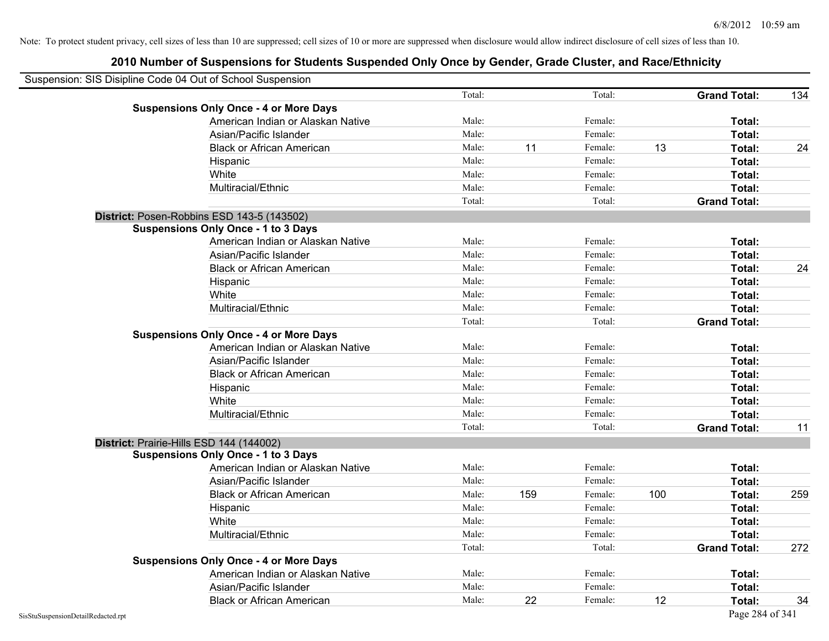| Suspension: SIS Disipline Code 04 Out of School Suspension |        |     |         |     |                     |     |
|------------------------------------------------------------|--------|-----|---------|-----|---------------------|-----|
|                                                            | Total: |     | Total:  |     | <b>Grand Total:</b> | 134 |
| <b>Suspensions Only Once - 4 or More Days</b>              |        |     |         |     |                     |     |
| American Indian or Alaskan Native                          | Male:  |     | Female: |     | Total:              |     |
| Asian/Pacific Islander                                     | Male:  |     | Female: |     | Total:              |     |
| <b>Black or African American</b>                           | Male:  | 11  | Female: | 13  | Total:              | 24  |
| Hispanic                                                   | Male:  |     | Female: |     | Total:              |     |
| White                                                      | Male:  |     | Female: |     | Total:              |     |
| Multiracial/Ethnic                                         | Male:  |     | Female: |     | Total:              |     |
|                                                            | Total: |     | Total:  |     | <b>Grand Total:</b> |     |
| District: Posen-Robbins ESD 143-5 (143502)                 |        |     |         |     |                     |     |
| <b>Suspensions Only Once - 1 to 3 Days</b>                 |        |     |         |     |                     |     |
| American Indian or Alaskan Native                          | Male:  |     | Female: |     | Total:              |     |
| Asian/Pacific Islander                                     | Male:  |     | Female: |     | Total:              |     |
| <b>Black or African American</b>                           | Male:  |     | Female: |     | Total:              | 24  |
| Hispanic                                                   | Male:  |     | Female: |     | Total:              |     |
| White                                                      | Male:  |     | Female: |     | Total:              |     |
| Multiracial/Ethnic                                         | Male:  |     | Female: |     | Total:              |     |
|                                                            | Total: |     | Total:  |     | <b>Grand Total:</b> |     |
| <b>Suspensions Only Once - 4 or More Days</b>              |        |     |         |     |                     |     |
| American Indian or Alaskan Native                          | Male:  |     | Female: |     | Total:              |     |
| Asian/Pacific Islander                                     | Male:  |     | Female: |     | Total:              |     |
| <b>Black or African American</b>                           | Male:  |     | Female: |     | Total:              |     |
| Hispanic                                                   | Male:  |     | Female: |     | Total:              |     |
| White                                                      | Male:  |     | Female: |     | Total:              |     |
| Multiracial/Ethnic                                         | Male:  |     | Female: |     | Total:              |     |
|                                                            | Total: |     | Total:  |     | <b>Grand Total:</b> | 11  |
| District: Prairie-Hills ESD 144 (144002)                   |        |     |         |     |                     |     |
| <b>Suspensions Only Once - 1 to 3 Days</b>                 |        |     |         |     |                     |     |
| American Indian or Alaskan Native                          | Male:  |     | Female: |     | Total:              |     |
| Asian/Pacific Islander                                     | Male:  |     | Female: |     | Total:              |     |
| <b>Black or African American</b>                           | Male:  | 159 | Female: | 100 | Total:              | 259 |
| Hispanic                                                   | Male:  |     | Female: |     | Total:              |     |
| White                                                      | Male:  |     | Female: |     | Total:              |     |
| Multiracial/Ethnic                                         | Male:  |     | Female: |     | Total:              |     |
|                                                            | Total: |     | Total:  |     | <b>Grand Total:</b> | 272 |
| <b>Suspensions Only Once - 4 or More Days</b>              |        |     |         |     |                     |     |
| American Indian or Alaskan Native                          | Male:  |     | Female: |     | Total:              |     |
| Asian/Pacific Islander                                     | Male:  |     | Female: |     | Total:              |     |
| <b>Black or African American</b>                           | Male:  | 22  | Female: | 12  | Total:              | 34  |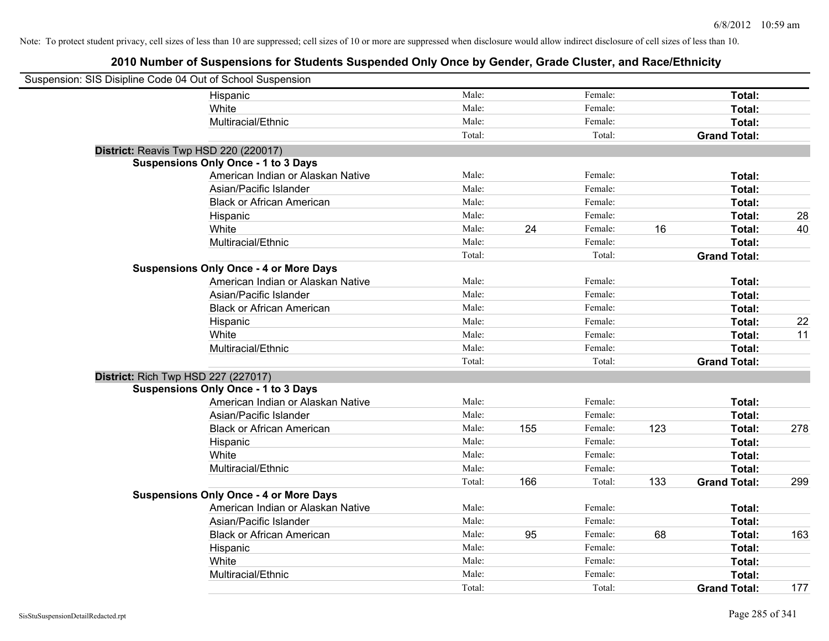| Suspension: SIS Disipline Code 04 Out of School Suspension |                                               |        |     |         |     |                     |     |
|------------------------------------------------------------|-----------------------------------------------|--------|-----|---------|-----|---------------------|-----|
|                                                            | Hispanic                                      | Male:  |     | Female: |     | Total:              |     |
|                                                            | White                                         | Male:  |     | Female: |     | Total:              |     |
|                                                            | Multiracial/Ethnic                            | Male:  |     | Female: |     | Total:              |     |
|                                                            |                                               | Total: |     | Total:  |     | <b>Grand Total:</b> |     |
| District: Reavis Twp HSD 220 (220017)                      |                                               |        |     |         |     |                     |     |
|                                                            | <b>Suspensions Only Once - 1 to 3 Days</b>    |        |     |         |     |                     |     |
|                                                            | American Indian or Alaskan Native             | Male:  |     | Female: |     | Total:              |     |
|                                                            | Asian/Pacific Islander                        | Male:  |     | Female: |     | Total:              |     |
|                                                            | <b>Black or African American</b>              | Male:  |     | Female: |     | Total:              |     |
|                                                            | Hispanic                                      | Male:  |     | Female: |     | Total:              | 28  |
|                                                            | White                                         | Male:  | 24  | Female: | 16  | Total:              | 40  |
|                                                            | Multiracial/Ethnic                            | Male:  |     | Female: |     | Total:              |     |
|                                                            |                                               | Total: |     | Total:  |     | <b>Grand Total:</b> |     |
|                                                            | <b>Suspensions Only Once - 4 or More Days</b> |        |     |         |     |                     |     |
|                                                            | American Indian or Alaskan Native             | Male:  |     | Female: |     | Total:              |     |
|                                                            | Asian/Pacific Islander                        | Male:  |     | Female: |     | Total:              |     |
|                                                            | <b>Black or African American</b>              | Male:  |     | Female: |     | Total:              |     |
|                                                            | Hispanic                                      | Male:  |     | Female: |     | Total:              | 22  |
|                                                            | White                                         | Male:  |     | Female: |     | Total:              | 11  |
|                                                            | Multiracial/Ethnic                            | Male:  |     | Female: |     | Total:              |     |
|                                                            |                                               | Total: |     | Total:  |     | <b>Grand Total:</b> |     |
| <b>District: Rich Twp HSD 227 (227017)</b>                 |                                               |        |     |         |     |                     |     |
|                                                            | <b>Suspensions Only Once - 1 to 3 Days</b>    |        |     |         |     |                     |     |
|                                                            | American Indian or Alaskan Native             | Male:  |     | Female: |     | Total:              |     |
|                                                            | Asian/Pacific Islander                        | Male:  |     | Female: |     | Total:              |     |
|                                                            | <b>Black or African American</b>              | Male:  | 155 | Female: | 123 | Total:              | 278 |
|                                                            | Hispanic                                      | Male:  |     | Female: |     | Total:              |     |
|                                                            | White                                         | Male:  |     | Female: |     | Total:              |     |
|                                                            | Multiracial/Ethnic                            | Male:  |     | Female: |     | Total:              |     |
|                                                            |                                               | Total: | 166 | Total:  | 133 | <b>Grand Total:</b> | 299 |
|                                                            | <b>Suspensions Only Once - 4 or More Days</b> |        |     |         |     |                     |     |
|                                                            | American Indian or Alaskan Native             | Male:  |     | Female: |     | Total:              |     |
|                                                            | Asian/Pacific Islander                        | Male:  |     | Female: |     | <b>Total:</b>       |     |
|                                                            | <b>Black or African American</b>              | Male:  | 95  | Female: | 68  | Total:              | 163 |
|                                                            | Hispanic                                      | Male:  |     | Female: |     | Total:              |     |
|                                                            | White                                         | Male:  |     | Female: |     | <b>Total:</b>       |     |
|                                                            | Multiracial/Ethnic                            | Male:  |     | Female: |     | Total:              |     |
|                                                            |                                               | Total: |     | Total:  |     | <b>Grand Total:</b> | 177 |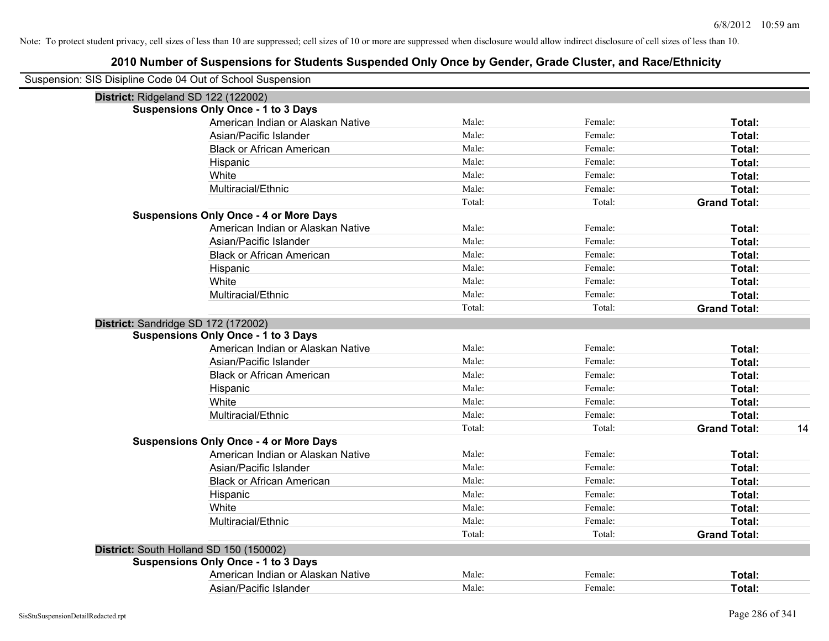| Suspension: SIS Disipline Code 04 Out of School Suspension |                                               |        |         |                     |    |
|------------------------------------------------------------|-----------------------------------------------|--------|---------|---------------------|----|
|                                                            | District: Ridgeland SD 122 (122002)           |        |         |                     |    |
|                                                            | <b>Suspensions Only Once - 1 to 3 Days</b>    |        |         |                     |    |
|                                                            | American Indian or Alaskan Native             | Male:  | Female: | Total:              |    |
|                                                            | Asian/Pacific Islander                        | Male:  | Female: | Total:              |    |
|                                                            | <b>Black or African American</b>              | Male:  | Female: | Total:              |    |
|                                                            | Hispanic                                      | Male:  | Female: | Total:              |    |
|                                                            | White                                         | Male:  | Female: | Total:              |    |
|                                                            | Multiracial/Ethnic                            | Male:  | Female: | Total:              |    |
|                                                            |                                               | Total: | Total:  | <b>Grand Total:</b> |    |
|                                                            | <b>Suspensions Only Once - 4 or More Days</b> |        |         |                     |    |
|                                                            | American Indian or Alaskan Native             | Male:  | Female: | Total:              |    |
|                                                            | Asian/Pacific Islander                        | Male:  | Female: | Total:              |    |
|                                                            | <b>Black or African American</b>              | Male:  | Female: | Total:              |    |
|                                                            | Hispanic                                      | Male:  | Female: | Total:              |    |
|                                                            | White                                         | Male:  | Female: | Total:              |    |
|                                                            | Multiracial/Ethnic                            | Male:  | Female: | Total:              |    |
|                                                            |                                               | Total: | Total:  | <b>Grand Total:</b> |    |
|                                                            | District: Sandridge SD 172 (172002)           |        |         |                     |    |
|                                                            | <b>Suspensions Only Once - 1 to 3 Days</b>    |        |         |                     |    |
|                                                            | American Indian or Alaskan Native             | Male:  | Female: | Total:              |    |
|                                                            | Asian/Pacific Islander                        | Male:  | Female: | Total:              |    |
|                                                            | <b>Black or African American</b>              | Male:  | Female: | Total:              |    |
|                                                            | Hispanic                                      | Male:  | Female: | Total:              |    |
|                                                            | White                                         | Male:  | Female: | Total:              |    |
|                                                            | Multiracial/Ethnic                            | Male:  | Female: | Total:              |    |
|                                                            |                                               | Total: | Total:  | <b>Grand Total:</b> | 14 |
|                                                            | <b>Suspensions Only Once - 4 or More Days</b> |        |         |                     |    |
|                                                            | American Indian or Alaskan Native             | Male:  | Female: | Total:              |    |
|                                                            | Asian/Pacific Islander                        | Male:  | Female: | Total:              |    |
|                                                            | <b>Black or African American</b>              | Male:  | Female: | Total:              |    |
|                                                            | Hispanic                                      | Male:  | Female: | Total:              |    |
|                                                            | White                                         | Male:  | Female: | Total:              |    |
|                                                            | Multiracial/Ethnic                            | Male:  | Female: | Total:              |    |
|                                                            |                                               | Total: | Total:  | <b>Grand Total:</b> |    |
|                                                            | District: South Holland SD 150 (150002)       |        |         |                     |    |
|                                                            | <b>Suspensions Only Once - 1 to 3 Days</b>    |        |         |                     |    |
|                                                            | American Indian or Alaskan Native             | Male:  | Female: | Total:              |    |
|                                                            | Asian/Pacific Islander                        | Male:  | Female: | Total:              |    |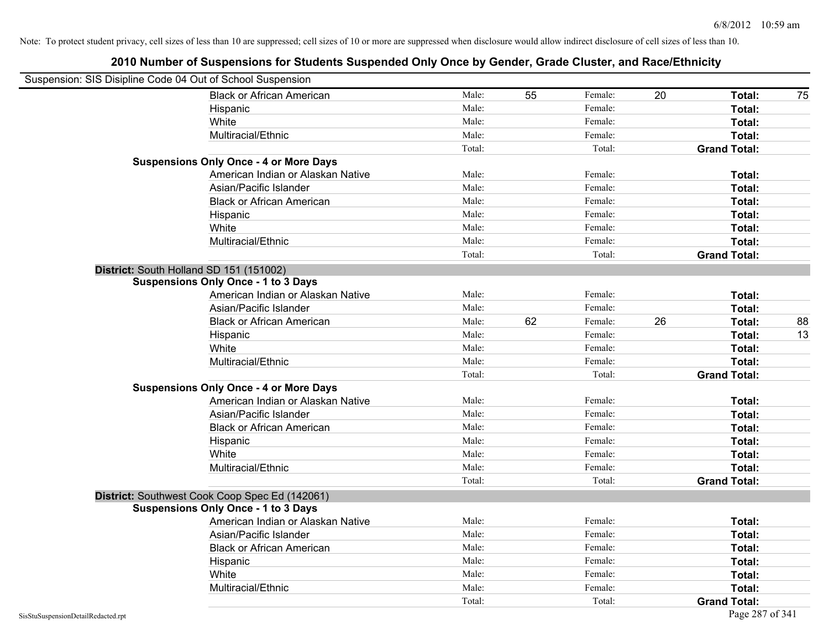| Suspension: SIS Disipline Code 04 Out of School Suspension |                                                |        |    |         |    |                     |    |
|------------------------------------------------------------|------------------------------------------------|--------|----|---------|----|---------------------|----|
|                                                            | <b>Black or African American</b>               | Male:  | 55 | Female: | 20 | Total:              | 75 |
|                                                            | Hispanic                                       | Male:  |    | Female: |    | Total:              |    |
|                                                            | White                                          | Male:  |    | Female: |    | <b>Total:</b>       |    |
|                                                            | Multiracial/Ethnic                             | Male:  |    | Female: |    | Total:              |    |
|                                                            |                                                | Total: |    | Total:  |    | <b>Grand Total:</b> |    |
|                                                            | <b>Suspensions Only Once - 4 or More Days</b>  |        |    |         |    |                     |    |
|                                                            | American Indian or Alaskan Native              | Male:  |    | Female: |    | Total:              |    |
|                                                            | Asian/Pacific Islander                         | Male:  |    | Female: |    | Total:              |    |
|                                                            | <b>Black or African American</b>               | Male:  |    | Female: |    | Total:              |    |
|                                                            | Hispanic                                       | Male:  |    | Female: |    | Total:              |    |
|                                                            | White                                          | Male:  |    | Female: |    | Total:              |    |
|                                                            | Multiracial/Ethnic                             | Male:  |    | Female: |    | Total:              |    |
|                                                            |                                                | Total: |    | Total:  |    | <b>Grand Total:</b> |    |
|                                                            | District: South Holland SD 151 (151002)        |        |    |         |    |                     |    |
|                                                            | <b>Suspensions Only Once - 1 to 3 Days</b>     |        |    |         |    |                     |    |
|                                                            | American Indian or Alaskan Native              | Male:  |    | Female: |    | Total:              |    |
|                                                            | Asian/Pacific Islander                         | Male:  |    | Female: |    | Total:              |    |
|                                                            | <b>Black or African American</b>               | Male:  | 62 | Female: | 26 | Total:              | 88 |
|                                                            | Hispanic                                       | Male:  |    | Female: |    | Total:              | 13 |
|                                                            | White                                          | Male:  |    | Female: |    | Total:              |    |
|                                                            | Multiracial/Ethnic                             | Male:  |    | Female: |    | Total:              |    |
|                                                            |                                                | Total: |    | Total:  |    | <b>Grand Total:</b> |    |
|                                                            | <b>Suspensions Only Once - 4 or More Days</b>  |        |    |         |    |                     |    |
|                                                            | American Indian or Alaskan Native              | Male:  |    | Female: |    | Total:              |    |
|                                                            | Asian/Pacific Islander                         | Male:  |    | Female: |    | Total:              |    |
|                                                            | <b>Black or African American</b>               | Male:  |    | Female: |    | Total:              |    |
|                                                            | Hispanic                                       | Male:  |    | Female: |    | Total:              |    |
|                                                            | White                                          | Male:  |    | Female: |    | Total:              |    |
|                                                            | Multiracial/Ethnic                             | Male:  |    | Female: |    | Total:              |    |
|                                                            |                                                | Total: |    | Total:  |    | <b>Grand Total:</b> |    |
|                                                            | District: Southwest Cook Coop Spec Ed (142061) |        |    |         |    |                     |    |
|                                                            | <b>Suspensions Only Once - 1 to 3 Days</b>     |        |    |         |    |                     |    |
|                                                            | American Indian or Alaskan Native              | Male:  |    | Female: |    | Total:              |    |
|                                                            | Asian/Pacific Islander                         | Male:  |    | Female: |    | Total:              |    |
|                                                            | <b>Black or African American</b>               | Male:  |    | Female: |    | Total:              |    |
|                                                            | Hispanic                                       | Male:  |    | Female: |    | Total:              |    |
|                                                            | White                                          | Male:  |    | Female: |    | Total:              |    |
|                                                            | Multiracial/Ethnic                             | Male:  |    | Female: |    | Total:              |    |
|                                                            |                                                | Total: |    | Total:  |    | <b>Grand Total:</b> |    |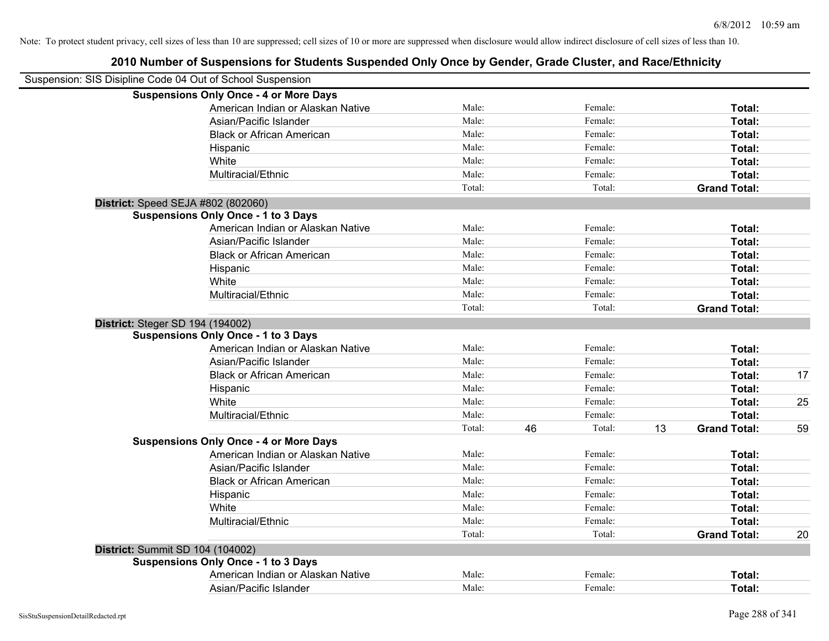|                                  | Suspension: SIS Disipline Code 04 Out of School Suspension |        |    |         |    |                     |    |
|----------------------------------|------------------------------------------------------------|--------|----|---------|----|---------------------|----|
|                                  | <b>Suspensions Only Once - 4 or More Days</b>              |        |    |         |    |                     |    |
|                                  | American Indian or Alaskan Native                          | Male:  |    | Female: |    | Total:              |    |
|                                  | Asian/Pacific Islander                                     | Male:  |    | Female: |    | Total:              |    |
|                                  | <b>Black or African American</b>                           | Male:  |    | Female: |    | Total:              |    |
|                                  | Hispanic                                                   | Male:  |    | Female: |    | Total:              |    |
|                                  | White                                                      | Male:  |    | Female: |    | Total:              |    |
|                                  | Multiracial/Ethnic                                         | Male:  |    | Female: |    | Total:              |    |
|                                  |                                                            | Total: |    | Total:  |    | <b>Grand Total:</b> |    |
|                                  | District: Speed SEJA #802 (802060)                         |        |    |         |    |                     |    |
|                                  | <b>Suspensions Only Once - 1 to 3 Days</b>                 |        |    |         |    |                     |    |
|                                  | American Indian or Alaskan Native                          | Male:  |    | Female: |    | Total:              |    |
|                                  | Asian/Pacific Islander                                     | Male:  |    | Female: |    | Total:              |    |
|                                  | <b>Black or African American</b>                           | Male:  |    | Female: |    | Total:              |    |
|                                  | Hispanic                                                   | Male:  |    | Female: |    | Total:              |    |
|                                  | White                                                      | Male:  |    | Female: |    | Total:              |    |
|                                  | Multiracial/Ethnic                                         | Male:  |    | Female: |    | Total:              |    |
|                                  |                                                            | Total: |    | Total:  |    | <b>Grand Total:</b> |    |
| District: Steger SD 194 (194002) |                                                            |        |    |         |    |                     |    |
|                                  | <b>Suspensions Only Once - 1 to 3 Days</b>                 |        |    |         |    |                     |    |
|                                  | American Indian or Alaskan Native                          | Male:  |    | Female: |    | Total:              |    |
|                                  | Asian/Pacific Islander                                     | Male:  |    | Female: |    | Total:              |    |
|                                  | <b>Black or African American</b>                           | Male:  |    | Female: |    | Total:              | 17 |
|                                  | Hispanic                                                   | Male:  |    | Female: |    | Total:              |    |
|                                  | White                                                      | Male:  |    | Female: |    | Total:              | 25 |
|                                  | Multiracial/Ethnic                                         | Male:  |    | Female: |    | Total:              |    |
|                                  |                                                            | Total: | 46 | Total:  | 13 | <b>Grand Total:</b> | 59 |
|                                  | <b>Suspensions Only Once - 4 or More Days</b>              |        |    |         |    |                     |    |
|                                  | American Indian or Alaskan Native                          | Male:  |    | Female: |    | Total:              |    |
|                                  | Asian/Pacific Islander                                     | Male:  |    | Female: |    | Total:              |    |
|                                  | <b>Black or African American</b>                           | Male:  |    | Female: |    | Total:              |    |
|                                  | Hispanic                                                   | Male:  |    | Female: |    | Total:              |    |
|                                  | White                                                      | Male:  |    | Female: |    | Total:              |    |
|                                  | Multiracial/Ethnic                                         | Male:  |    | Female: |    | Total:              |    |
|                                  |                                                            | Total: |    | Total:  |    | <b>Grand Total:</b> | 20 |
| District: Summit SD 104 (104002) |                                                            |        |    |         |    |                     |    |
|                                  | <b>Suspensions Only Once - 1 to 3 Days</b>                 |        |    |         |    |                     |    |
|                                  | American Indian or Alaskan Native                          | Male:  |    | Female: |    | Total:              |    |
|                                  | Asian/Pacific Islander                                     | Male:  |    | Female: |    | Total:              |    |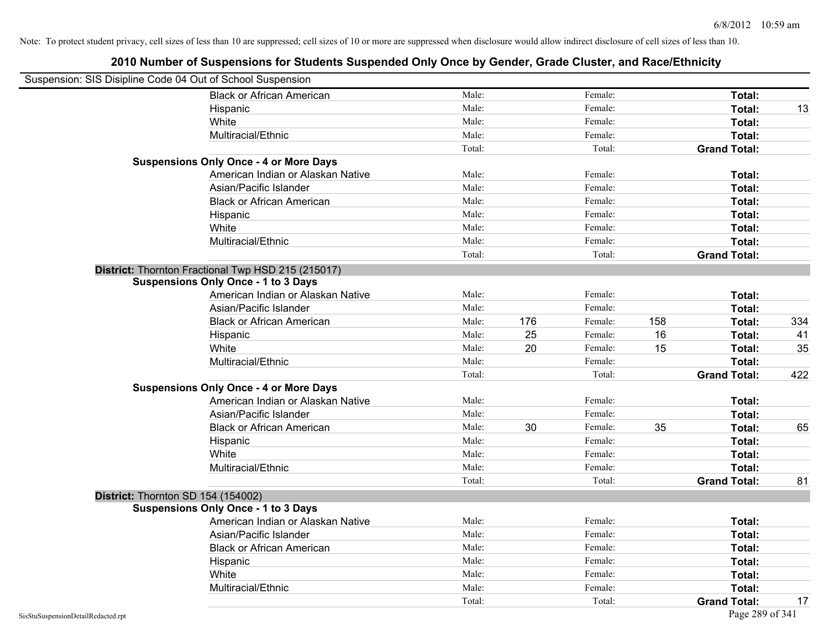| Suspension: SIS Disipline Code 04 Out of School Suspension |                                                    |        |     |         |     |                     |     |
|------------------------------------------------------------|----------------------------------------------------|--------|-----|---------|-----|---------------------|-----|
|                                                            | <b>Black or African American</b>                   | Male:  |     | Female: |     | Total:              |     |
|                                                            | Hispanic                                           | Male:  |     | Female: |     | Total:              | 13  |
|                                                            | White                                              | Male:  |     | Female: |     | Total:              |     |
|                                                            | Multiracial/Ethnic                                 | Male:  |     | Female: |     | Total:              |     |
|                                                            |                                                    | Total: |     | Total:  |     | <b>Grand Total:</b> |     |
|                                                            | <b>Suspensions Only Once - 4 or More Days</b>      |        |     |         |     |                     |     |
|                                                            | American Indian or Alaskan Native                  | Male:  |     | Female: |     | Total:              |     |
|                                                            | Asian/Pacific Islander                             | Male:  |     | Female: |     | Total:              |     |
|                                                            | <b>Black or African American</b>                   | Male:  |     | Female: |     | Total:              |     |
|                                                            | Hispanic                                           | Male:  |     | Female: |     | Total:              |     |
|                                                            | White                                              | Male:  |     | Female: |     | Total:              |     |
|                                                            | Multiracial/Ethnic                                 | Male:  |     | Female: |     | Total:              |     |
|                                                            |                                                    | Total: |     | Total:  |     | <b>Grand Total:</b> |     |
|                                                            | District: Thornton Fractional Twp HSD 215 (215017) |        |     |         |     |                     |     |
|                                                            | <b>Suspensions Only Once - 1 to 3 Days</b>         |        |     |         |     |                     |     |
|                                                            | American Indian or Alaskan Native                  | Male:  |     | Female: |     | Total:              |     |
|                                                            | Asian/Pacific Islander                             | Male:  |     | Female: |     | Total:              |     |
|                                                            | <b>Black or African American</b>                   | Male:  | 176 | Female: | 158 | Total:              | 334 |
|                                                            | Hispanic                                           | Male:  | 25  | Female: | 16  | Total:              | 41  |
|                                                            | White                                              | Male:  | 20  | Female: | 15  | Total:              | 35  |
|                                                            | Multiracial/Ethnic                                 | Male:  |     | Female: |     | Total:              |     |
|                                                            |                                                    | Total: |     | Total:  |     | <b>Grand Total:</b> | 422 |
|                                                            | <b>Suspensions Only Once - 4 or More Days</b>      |        |     |         |     |                     |     |
|                                                            | American Indian or Alaskan Native                  | Male:  |     | Female: |     | Total:              |     |
|                                                            | Asian/Pacific Islander                             | Male:  |     | Female: |     | Total:              |     |
|                                                            | <b>Black or African American</b>                   | Male:  | 30  | Female: | 35  | Total:              | 65  |
|                                                            | Hispanic                                           | Male:  |     | Female: |     | Total:              |     |
|                                                            | White                                              | Male:  |     | Female: |     | Total:              |     |
|                                                            | Multiracial/Ethnic                                 | Male:  |     | Female: |     | Total:              |     |
|                                                            |                                                    | Total: |     | Total:  |     | <b>Grand Total:</b> | 81  |
|                                                            | District: Thornton SD 154 (154002)                 |        |     |         |     |                     |     |
|                                                            | <b>Suspensions Only Once - 1 to 3 Days</b>         |        |     |         |     |                     |     |
|                                                            | American Indian or Alaskan Native                  | Male:  |     | Female: |     | Total:              |     |
|                                                            | Asian/Pacific Islander                             | Male:  |     | Female: |     | Total:              |     |
|                                                            | <b>Black or African American</b>                   | Male:  |     | Female: |     | Total:              |     |
|                                                            | Hispanic                                           | Male:  |     | Female: |     | Total:              |     |
|                                                            | White                                              | Male:  |     | Female: |     | Total:              |     |
|                                                            | Multiracial/Ethnic                                 | Male:  |     | Female: |     | Total:              |     |
|                                                            |                                                    | Total: |     | Total:  |     | <b>Grand Total:</b> | 17  |
| SisStuSuspensionDetailRedacted.rpt                         |                                                    |        |     |         |     | Page 289 of 341     |     |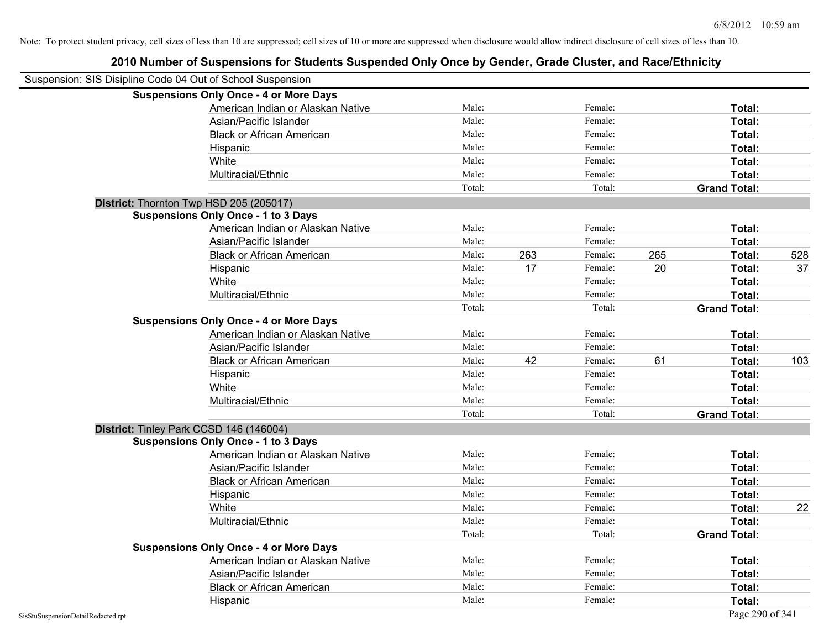| Suspension: SIS Disipline Code 04 Out of School Suspension |                                               |        |     |         |     |                     |     |
|------------------------------------------------------------|-----------------------------------------------|--------|-----|---------|-----|---------------------|-----|
|                                                            | <b>Suspensions Only Once - 4 or More Days</b> |        |     |         |     |                     |     |
|                                                            | American Indian or Alaskan Native             | Male:  |     | Female: |     | Total:              |     |
|                                                            | Asian/Pacific Islander                        | Male:  |     | Female: |     | Total:              |     |
|                                                            | <b>Black or African American</b>              | Male:  |     | Female: |     | Total:              |     |
|                                                            | Hispanic                                      | Male:  |     | Female: |     | Total:              |     |
|                                                            | White                                         | Male:  |     | Female: |     | Total:              |     |
|                                                            | Multiracial/Ethnic                            | Male:  |     | Female: |     | Total:              |     |
|                                                            |                                               | Total: |     | Total:  |     | <b>Grand Total:</b> |     |
| District: Thornton Twp HSD 205 (205017)                    |                                               |        |     |         |     |                     |     |
|                                                            | <b>Suspensions Only Once - 1 to 3 Days</b>    |        |     |         |     |                     |     |
|                                                            | American Indian or Alaskan Native             | Male:  |     | Female: |     | Total:              |     |
|                                                            | Asian/Pacific Islander                        | Male:  |     | Female: |     | Total:              |     |
|                                                            | <b>Black or African American</b>              | Male:  | 263 | Female: | 265 | Total:              | 528 |
|                                                            | Hispanic                                      | Male:  | 17  | Female: | 20  | Total:              | 37  |
|                                                            | White                                         | Male:  |     | Female: |     | Total:              |     |
|                                                            | Multiracial/Ethnic                            | Male:  |     | Female: |     | Total:              |     |
|                                                            |                                               | Total: |     | Total:  |     | <b>Grand Total:</b> |     |
|                                                            | <b>Suspensions Only Once - 4 or More Days</b> |        |     |         |     |                     |     |
|                                                            | American Indian or Alaskan Native             | Male:  |     | Female: |     | Total:              |     |
|                                                            | Asian/Pacific Islander                        | Male:  |     | Female: |     | Total:              |     |
|                                                            | <b>Black or African American</b>              | Male:  | 42  | Female: | 61  | Total:              | 103 |
|                                                            | Hispanic                                      | Male:  |     | Female: |     | Total:              |     |
|                                                            | White                                         | Male:  |     | Female: |     | Total:              |     |
|                                                            | Multiracial/Ethnic                            | Male:  |     | Female: |     | Total:              |     |
|                                                            |                                               | Total: |     | Total:  |     | <b>Grand Total:</b> |     |
| District: Tinley Park CCSD 146 (146004)                    |                                               |        |     |         |     |                     |     |
|                                                            | <b>Suspensions Only Once - 1 to 3 Days</b>    |        |     |         |     |                     |     |
|                                                            | American Indian or Alaskan Native             | Male:  |     | Female: |     | Total:              |     |
|                                                            | Asian/Pacific Islander                        | Male:  |     | Female: |     | Total:              |     |
|                                                            | <b>Black or African American</b>              | Male:  |     | Female: |     | Total:              |     |
|                                                            | Hispanic                                      | Male:  |     | Female: |     | Total:              |     |
|                                                            | White                                         | Male:  |     | Female: |     | Total:              | 22  |
|                                                            | Multiracial/Ethnic                            | Male:  |     | Female: |     | Total:              |     |
|                                                            |                                               | Total: |     | Total:  |     | <b>Grand Total:</b> |     |
|                                                            | <b>Suspensions Only Once - 4 or More Days</b> |        |     |         |     |                     |     |
|                                                            | American Indian or Alaskan Native             | Male:  |     | Female: |     | Total:              |     |
|                                                            | Asian/Pacific Islander                        | Male:  |     | Female: |     | Total:              |     |
|                                                            | <b>Black or African American</b>              | Male:  |     | Female: |     | Total:              |     |
|                                                            | Hispanic                                      | Male:  |     | Female: |     | Total:              |     |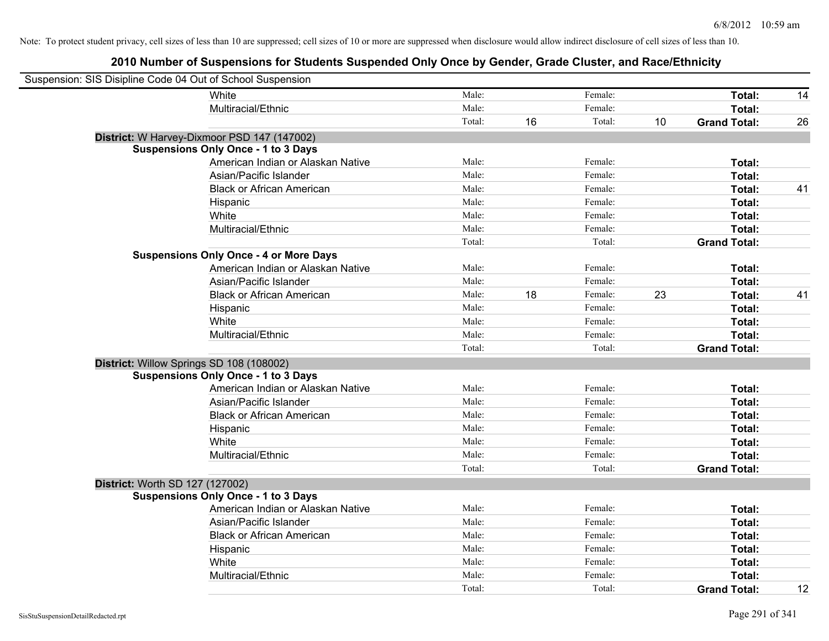| Suspension: SIS Disipline Code 04 Out of School Suspension |        |    |         |    |                     |    |
|------------------------------------------------------------|--------|----|---------|----|---------------------|----|
| White                                                      | Male:  |    | Female: |    | Total:              | 14 |
| Multiracial/Ethnic                                         | Male:  |    | Female: |    | Total:              |    |
|                                                            | Total: | 16 | Total:  | 10 | <b>Grand Total:</b> | 26 |
| District: W Harvey-Dixmoor PSD 147 (147002)                |        |    |         |    |                     |    |
| <b>Suspensions Only Once - 1 to 3 Days</b>                 |        |    |         |    |                     |    |
| American Indian or Alaskan Native                          | Male:  |    | Female: |    | Total:              |    |
| Asian/Pacific Islander                                     | Male:  |    | Female: |    | Total:              |    |
| <b>Black or African American</b>                           | Male:  |    | Female: |    | Total:              | 41 |
| Hispanic                                                   | Male:  |    | Female: |    | Total:              |    |
| White                                                      | Male:  |    | Female: |    | Total:              |    |
| Multiracial/Ethnic                                         | Male:  |    | Female: |    | Total:              |    |
|                                                            | Total: |    | Total:  |    | <b>Grand Total:</b> |    |
| <b>Suspensions Only Once - 4 or More Days</b>              |        |    |         |    |                     |    |
| American Indian or Alaskan Native                          | Male:  |    | Female: |    | Total:              |    |
| Asian/Pacific Islander                                     | Male:  |    | Female: |    | Total:              |    |
| <b>Black or African American</b>                           | Male:  | 18 | Female: | 23 | Total:              | 41 |
| Hispanic                                                   | Male:  |    | Female: |    | Total:              |    |
| White                                                      | Male:  |    | Female: |    | Total:              |    |
| Multiracial/Ethnic                                         | Male:  |    | Female: |    | Total:              |    |
|                                                            | Total: |    | Total:  |    | <b>Grand Total:</b> |    |
| District: Willow Springs SD 108 (108002)                   |        |    |         |    |                     |    |
| <b>Suspensions Only Once - 1 to 3 Days</b>                 |        |    |         |    |                     |    |
| American Indian or Alaskan Native                          | Male:  |    | Female: |    | Total:              |    |
| Asian/Pacific Islander                                     | Male:  |    | Female: |    | Total:              |    |
| <b>Black or African American</b>                           | Male:  |    | Female: |    | Total:              |    |
| Hispanic                                                   | Male:  |    | Female: |    | Total:              |    |
| White                                                      | Male:  |    | Female: |    | Total:              |    |
| Multiracial/Ethnic                                         | Male:  |    | Female: |    | Total:              |    |
|                                                            | Total: |    | Total:  |    | <b>Grand Total:</b> |    |
| District: Worth SD 127 (127002)                            |        |    |         |    |                     |    |
| <b>Suspensions Only Once - 1 to 3 Days</b>                 |        |    |         |    |                     |    |
| American Indian or Alaskan Native                          | Male:  |    | Female: |    | Total:              |    |
| Asian/Pacific Islander                                     | Male:  |    | Female: |    | Total:              |    |
| <b>Black or African American</b>                           | Male:  |    | Female: |    | Total:              |    |
| Hispanic                                                   | Male:  |    | Female: |    | Total:              |    |
| White                                                      | Male:  |    | Female: |    | Total:              |    |
| Multiracial/Ethnic                                         | Male:  |    | Female: |    | Total:              |    |
|                                                            | Total: |    | Total:  |    | <b>Grand Total:</b> | 12 |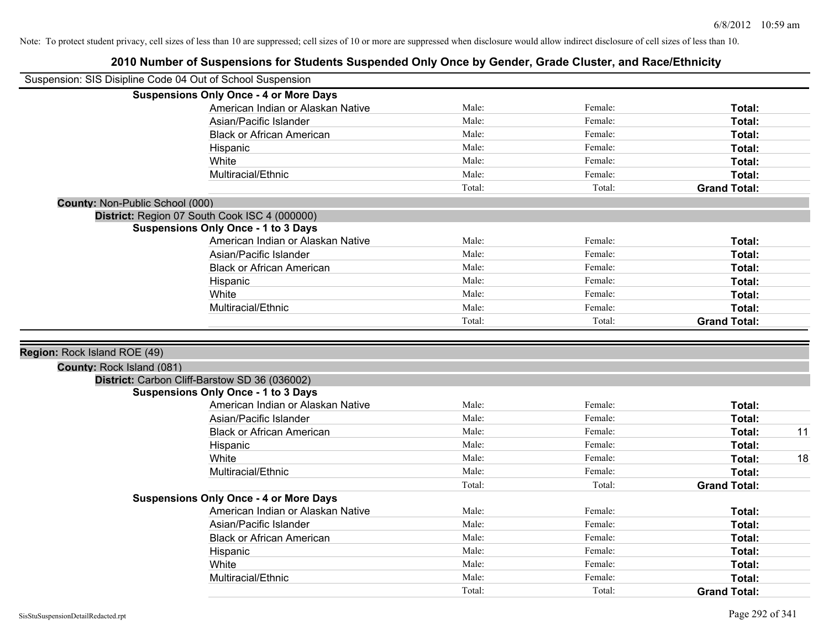|                                 | Suspension: SIS Disipline Code 04 Out of School Suspension |        |         |                     |    |
|---------------------------------|------------------------------------------------------------|--------|---------|---------------------|----|
|                                 | <b>Suspensions Only Once - 4 or More Days</b>              |        |         |                     |    |
|                                 | American Indian or Alaskan Native                          | Male:  | Female: | <b>Total:</b>       |    |
|                                 | Asian/Pacific Islander                                     | Male:  | Female: | <b>Total:</b>       |    |
|                                 | <b>Black or African American</b>                           | Male:  | Female: | Total:              |    |
|                                 | Hispanic                                                   | Male:  | Female: | Total:              |    |
|                                 | White                                                      | Male:  | Female: | Total:              |    |
|                                 | Multiracial/Ethnic                                         | Male:  | Female: | <b>Total:</b>       |    |
|                                 |                                                            | Total: | Total:  | <b>Grand Total:</b> |    |
| County: Non-Public School (000) |                                                            |        |         |                     |    |
|                                 | District: Region 07 South Cook ISC 4 (000000)              |        |         |                     |    |
|                                 | <b>Suspensions Only Once - 1 to 3 Days</b>                 |        |         |                     |    |
|                                 | American Indian or Alaskan Native                          | Male:  | Female: | Total:              |    |
|                                 | Asian/Pacific Islander                                     | Male:  | Female: | Total:              |    |
|                                 | <b>Black or African American</b>                           | Male:  | Female: | <b>Total:</b>       |    |
|                                 | Hispanic                                                   | Male:  | Female: | Total:              |    |
|                                 | White                                                      | Male:  | Female: | <b>Total:</b>       |    |
|                                 | Multiracial/Ethnic                                         | Male:  | Female: | Total:              |    |
|                                 |                                                            | Total: | Total:  | <b>Grand Total:</b> |    |
|                                 |                                                            |        |         |                     |    |
| Region: Rock Island ROE (49)    |                                                            |        |         |                     |    |
| County: Rock Island (081)       |                                                            |        |         |                     |    |
|                                 | District: Carbon Cliff-Barstow SD 36 (036002)              |        |         |                     |    |
|                                 | <b>Suspensions Only Once - 1 to 3 Days</b>                 |        |         |                     |    |
|                                 | American Indian or Alaskan Native                          | Male:  | Female: | <b>Total:</b>       |    |
|                                 | Asian/Pacific Islander                                     | Male:  | Female: | Total:              |    |
|                                 | <b>Black or African American</b>                           | Male:  | Female: | Total:              | 11 |
|                                 | Hispanic                                                   | Male:  | Female: | Total:              |    |
|                                 | White                                                      | Male:  | Female: | <b>Total:</b>       | 18 |
|                                 | Multiracial/Ethnic                                         | Male:  | Female: | <b>Total:</b>       |    |
|                                 |                                                            | Total: | Total:  | <b>Grand Total:</b> |    |
|                                 | <b>Suspensions Only Once - 4 or More Days</b>              |        |         |                     |    |
|                                 | American Indian or Alaskan Native                          | Male:  | Female: | Total:              |    |
|                                 | Asian/Pacific Islander                                     | Male:  | Female: | <b>Total:</b>       |    |
|                                 | <b>Black or African American</b>                           | Male:  | Female: | Total:              |    |
|                                 | Hispanic                                                   | Male:  | Female: | Total:              |    |
|                                 | White                                                      | Male:  | Female: | Total:              |    |
|                                 | Multiracial/Ethnic                                         | Male:  | Female: | <b>Total:</b>       |    |
|                                 |                                                            | Total: | Total:  | <b>Grand Total:</b> |    |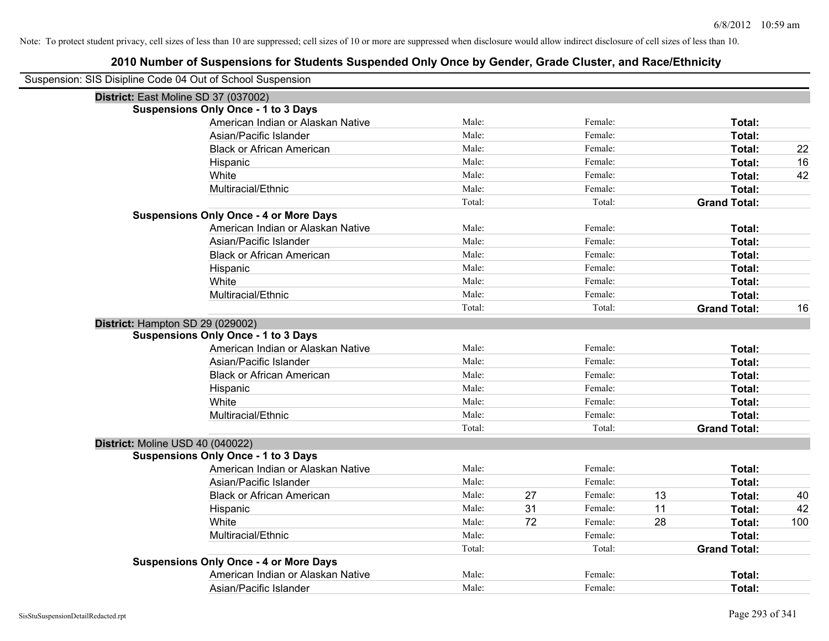| Suspension: SIS Disipline Code 04 Out of School Suspension |                                               |        |    |         |    |                     |     |
|------------------------------------------------------------|-----------------------------------------------|--------|----|---------|----|---------------------|-----|
| District: East Moline SD 37 (037002)                       |                                               |        |    |         |    |                     |     |
|                                                            | <b>Suspensions Only Once - 1 to 3 Days</b>    |        |    |         |    |                     |     |
|                                                            | American Indian or Alaskan Native             | Male:  |    | Female: |    | Total:              |     |
|                                                            | Asian/Pacific Islander                        | Male:  |    | Female: |    | Total:              |     |
|                                                            | <b>Black or African American</b>              | Male:  |    | Female: |    | Total:              | 22  |
|                                                            | Hispanic                                      | Male:  |    | Female: |    | Total:              | 16  |
|                                                            | White                                         | Male:  |    | Female: |    | Total:              | 42  |
|                                                            | Multiracial/Ethnic                            | Male:  |    | Female: |    | Total:              |     |
|                                                            |                                               | Total: |    | Total:  |    | <b>Grand Total:</b> |     |
|                                                            | <b>Suspensions Only Once - 4 or More Days</b> |        |    |         |    |                     |     |
|                                                            | American Indian or Alaskan Native             | Male:  |    | Female: |    | Total:              |     |
|                                                            | Asian/Pacific Islander                        | Male:  |    | Female: |    | Total:              |     |
|                                                            | <b>Black or African American</b>              | Male:  |    | Female: |    | Total:              |     |
|                                                            | Hispanic                                      | Male:  |    | Female: |    | Total:              |     |
|                                                            | White                                         | Male:  |    | Female: |    | Total:              |     |
|                                                            | Multiracial/Ethnic                            | Male:  |    | Female: |    | Total:              |     |
|                                                            |                                               | Total: |    | Total:  |    | <b>Grand Total:</b> | 16  |
| District: Hampton SD 29 (029002)                           |                                               |        |    |         |    |                     |     |
|                                                            | <b>Suspensions Only Once - 1 to 3 Days</b>    |        |    |         |    |                     |     |
|                                                            | American Indian or Alaskan Native             | Male:  |    | Female: |    | Total:              |     |
|                                                            | Asian/Pacific Islander                        | Male:  |    | Female: |    | Total:              |     |
|                                                            | <b>Black or African American</b>              | Male:  |    | Female: |    | Total:              |     |
|                                                            | Hispanic                                      | Male:  |    | Female: |    | Total:              |     |
|                                                            | White                                         | Male:  |    | Female: |    | Total:              |     |
|                                                            | Multiracial/Ethnic                            | Male:  |    | Female: |    | Total:              |     |
|                                                            |                                               | Total: |    | Total:  |    | <b>Grand Total:</b> |     |
| District: Moline USD 40 (040022)                           |                                               |        |    |         |    |                     |     |
|                                                            | <b>Suspensions Only Once - 1 to 3 Days</b>    |        |    |         |    |                     |     |
|                                                            | American Indian or Alaskan Native             | Male:  |    | Female: |    | Total:              |     |
|                                                            | Asian/Pacific Islander                        | Male:  |    | Female: |    | Total:              |     |
|                                                            | <b>Black or African American</b>              | Male:  | 27 | Female: | 13 | Total:              | 40  |
|                                                            | Hispanic                                      | Male:  | 31 | Female: | 11 | Total:              | 42  |
|                                                            | White                                         | Male:  | 72 | Female: | 28 | Total:              | 100 |
|                                                            | Multiracial/Ethnic                            | Male:  |    | Female: |    | Total:              |     |
|                                                            |                                               | Total: |    | Total:  |    | <b>Grand Total:</b> |     |
|                                                            | <b>Suspensions Only Once - 4 or More Days</b> |        |    |         |    |                     |     |
|                                                            | American Indian or Alaskan Native             | Male:  |    | Female: |    | Total:              |     |
|                                                            | Asian/Pacific Islander                        | Male:  |    | Female: |    | Total:              |     |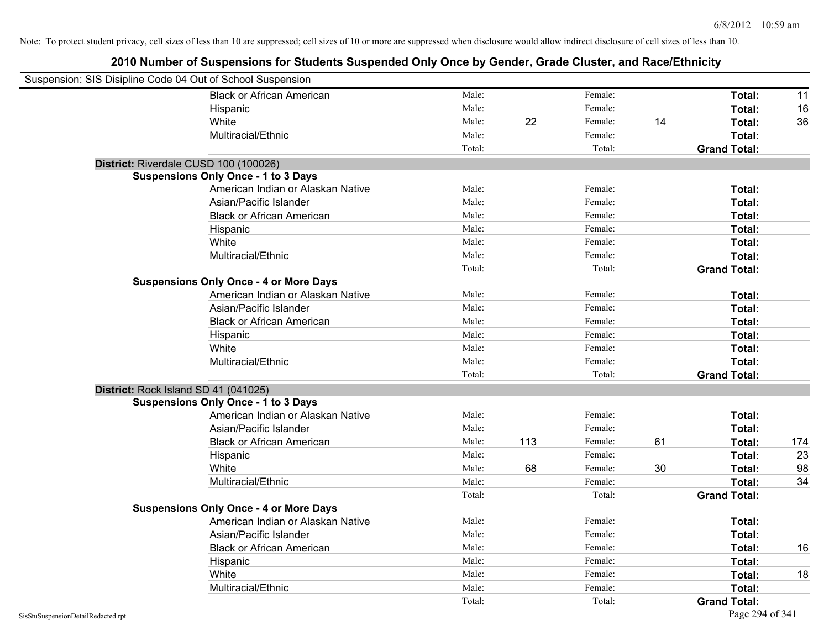| Suspension: SIS Disipline Code 04 Out of School Suspension |                                               |        |     |         |    |                     |     |
|------------------------------------------------------------|-----------------------------------------------|--------|-----|---------|----|---------------------|-----|
|                                                            | <b>Black or African American</b>              | Male:  |     | Female: |    | Total:              | 11  |
|                                                            | Hispanic                                      | Male:  |     | Female: |    | Total:              | 16  |
|                                                            | White                                         | Male:  | 22  | Female: | 14 | Total:              | 36  |
|                                                            | Multiracial/Ethnic                            | Male:  |     | Female: |    | Total:              |     |
|                                                            |                                               | Total: |     | Total:  |    | <b>Grand Total:</b> |     |
| District: Riverdale CUSD 100 (100026)                      |                                               |        |     |         |    |                     |     |
|                                                            | <b>Suspensions Only Once - 1 to 3 Days</b>    |        |     |         |    |                     |     |
|                                                            | American Indian or Alaskan Native             | Male:  |     | Female: |    | Total:              |     |
|                                                            | Asian/Pacific Islander                        | Male:  |     | Female: |    | Total:              |     |
|                                                            | <b>Black or African American</b>              | Male:  |     | Female: |    | Total:              |     |
|                                                            | Hispanic                                      | Male:  |     | Female: |    | Total:              |     |
|                                                            | White                                         | Male:  |     | Female: |    | Total:              |     |
|                                                            | Multiracial/Ethnic                            | Male:  |     | Female: |    | Total:              |     |
|                                                            |                                               | Total: |     | Total:  |    | <b>Grand Total:</b> |     |
|                                                            | <b>Suspensions Only Once - 4 or More Days</b> |        |     |         |    |                     |     |
|                                                            | American Indian or Alaskan Native             | Male:  |     | Female: |    | Total:              |     |
|                                                            | Asian/Pacific Islander                        | Male:  |     | Female: |    | Total:              |     |
|                                                            | <b>Black or African American</b>              | Male:  |     | Female: |    | Total:              |     |
|                                                            | Hispanic                                      | Male:  |     | Female: |    | Total:              |     |
|                                                            | White                                         | Male:  |     | Female: |    | Total:              |     |
|                                                            | Multiracial/Ethnic                            | Male:  |     | Female: |    | Total:              |     |
|                                                            |                                               | Total: |     | Total:  |    | <b>Grand Total:</b> |     |
| District: Rock Island SD 41 (041025)                       |                                               |        |     |         |    |                     |     |
|                                                            | <b>Suspensions Only Once - 1 to 3 Days</b>    |        |     |         |    |                     |     |
|                                                            | American Indian or Alaskan Native             | Male:  |     | Female: |    | Total:              |     |
|                                                            | Asian/Pacific Islander                        | Male:  |     | Female: |    | Total:              |     |
|                                                            | <b>Black or African American</b>              | Male:  | 113 | Female: | 61 | Total:              | 174 |
|                                                            | Hispanic                                      | Male:  |     | Female: |    | Total:              | 23  |
|                                                            | White                                         | Male:  | 68  | Female: | 30 | Total:              | 98  |
|                                                            | Multiracial/Ethnic                            | Male:  |     | Female: |    | Total:              | 34  |
|                                                            |                                               | Total: |     | Total:  |    | <b>Grand Total:</b> |     |
|                                                            | <b>Suspensions Only Once - 4 or More Days</b> |        |     |         |    |                     |     |
|                                                            | American Indian or Alaskan Native             | Male:  |     | Female: |    | Total:              |     |
|                                                            | Asian/Pacific Islander                        | Male:  |     | Female: |    | Total:              |     |
|                                                            | <b>Black or African American</b>              | Male:  |     | Female: |    | Total:              | 16  |
|                                                            | Hispanic                                      | Male:  |     | Female: |    | Total:              |     |
|                                                            | White                                         | Male:  |     | Female: |    | Total:              | 18  |
|                                                            | Multiracial/Ethnic                            | Male:  |     | Female: |    | Total:              |     |
|                                                            |                                               | Total: |     | Total:  |    | <b>Grand Total:</b> |     |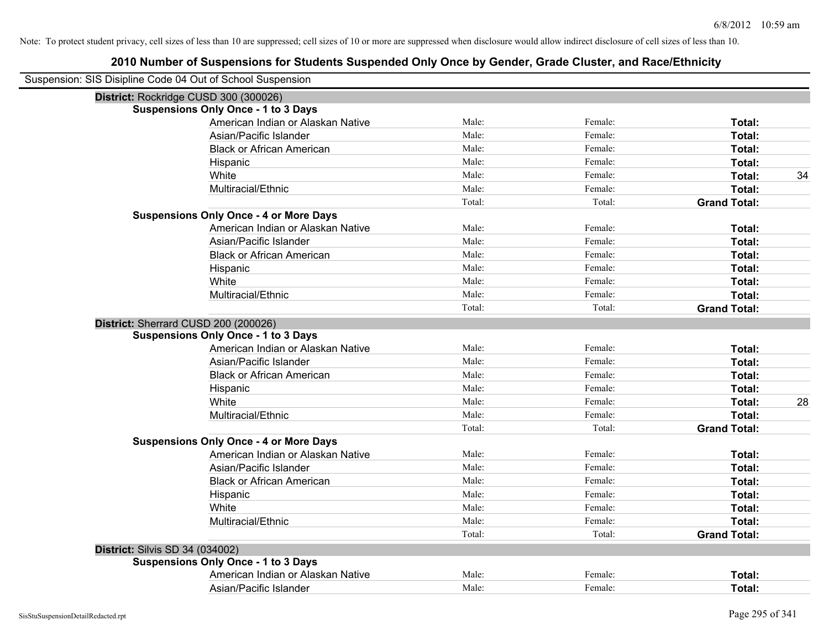|                                        | Suspension: SIS Disipline Code 04 Out of School Suspension |        |         |                     |    |
|----------------------------------------|------------------------------------------------------------|--------|---------|---------------------|----|
|                                        | District: Rockridge CUSD 300 (300026)                      |        |         |                     |    |
|                                        | <b>Suspensions Only Once - 1 to 3 Days</b>                 |        |         |                     |    |
|                                        | American Indian or Alaskan Native                          | Male:  | Female: | Total:              |    |
|                                        | Asian/Pacific Islander                                     | Male:  | Female: | Total:              |    |
|                                        | <b>Black or African American</b>                           | Male:  | Female: | <b>Total:</b>       |    |
|                                        | Hispanic                                                   | Male:  | Female: | Total:              |    |
|                                        | White                                                      | Male:  | Female: | Total:              | 34 |
|                                        | Multiracial/Ethnic                                         | Male:  | Female: | Total:              |    |
|                                        |                                                            | Total: | Total:  | <b>Grand Total:</b> |    |
|                                        | <b>Suspensions Only Once - 4 or More Days</b>              |        |         |                     |    |
|                                        | American Indian or Alaskan Native                          | Male:  | Female: | Total:              |    |
|                                        | Asian/Pacific Islander                                     | Male:  | Female: | Total:              |    |
|                                        | <b>Black or African American</b>                           | Male:  | Female: | Total:              |    |
|                                        | Hispanic                                                   | Male:  | Female: | Total:              |    |
|                                        | White                                                      | Male:  | Female: | Total:              |    |
|                                        | Multiracial/Ethnic                                         | Male:  | Female: | Total:              |    |
|                                        |                                                            | Total: | Total:  | <b>Grand Total:</b> |    |
|                                        | District: Sherrard CUSD 200 (200026)                       |        |         |                     |    |
|                                        | <b>Suspensions Only Once - 1 to 3 Days</b>                 |        |         |                     |    |
|                                        | American Indian or Alaskan Native                          | Male:  | Female: | Total:              |    |
|                                        | Asian/Pacific Islander                                     | Male:  | Female: | Total:              |    |
|                                        | <b>Black or African American</b>                           | Male:  | Female: | Total:              |    |
|                                        | Hispanic                                                   | Male:  | Female: | Total:              |    |
|                                        | White                                                      | Male:  | Female: | Total:              | 28 |
|                                        | Multiracial/Ethnic                                         | Male:  | Female: | Total:              |    |
|                                        |                                                            | Total: | Total:  | <b>Grand Total:</b> |    |
|                                        | <b>Suspensions Only Once - 4 or More Days</b>              |        |         |                     |    |
|                                        | American Indian or Alaskan Native                          | Male:  | Female: | Total:              |    |
|                                        | Asian/Pacific Islander                                     | Male:  | Female: | Total:              |    |
|                                        | <b>Black or African American</b>                           | Male:  | Female: | Total:              |    |
|                                        | Hispanic                                                   | Male:  | Female: | Total:              |    |
|                                        | White                                                      | Male:  | Female: | Total:              |    |
|                                        | Multiracial/Ethnic                                         | Male:  | Female: | Total:              |    |
|                                        |                                                            | Total: | Total:  | <b>Grand Total:</b> |    |
| <b>District: Silvis SD 34 (034002)</b> |                                                            |        |         |                     |    |
|                                        | <b>Suspensions Only Once - 1 to 3 Days</b>                 |        |         |                     |    |
|                                        | American Indian or Alaskan Native                          | Male:  | Female: | Total:              |    |
|                                        | Asian/Pacific Islander                                     | Male:  | Female: | Total:              |    |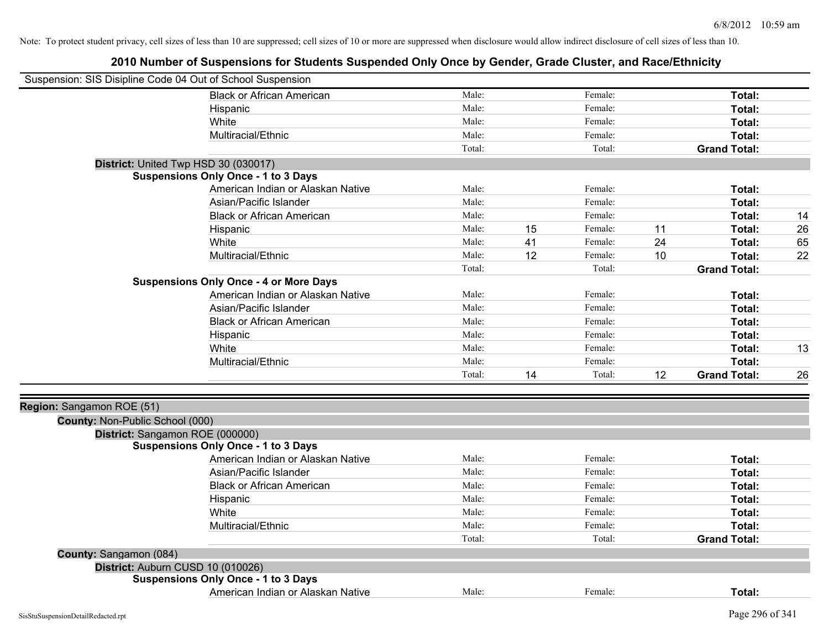| Suspension: SIS Disipline Code 04 Out of School Suspension |                                               |        |    |         |    |                     |    |
|------------------------------------------------------------|-----------------------------------------------|--------|----|---------|----|---------------------|----|
|                                                            | <b>Black or African American</b>              | Male:  |    | Female: |    | Total:              |    |
|                                                            | Hispanic                                      | Male:  |    | Female: |    | Total:              |    |
|                                                            | White                                         | Male:  |    | Female: |    | <b>Total:</b>       |    |
|                                                            | Multiracial/Ethnic                            | Male:  |    | Female: |    | <b>Total:</b>       |    |
|                                                            |                                               | Total: |    | Total:  |    | <b>Grand Total:</b> |    |
| District: United Twp HSD 30 (030017)                       |                                               |        |    |         |    |                     |    |
|                                                            | <b>Suspensions Only Once - 1 to 3 Days</b>    |        |    |         |    |                     |    |
|                                                            | American Indian or Alaskan Native             | Male:  |    | Female: |    | Total:              |    |
|                                                            | Asian/Pacific Islander                        | Male:  |    | Female: |    | <b>Total:</b>       |    |
|                                                            | <b>Black or African American</b>              | Male:  |    | Female: |    | <b>Total:</b>       | 14 |
|                                                            | Hispanic                                      | Male:  | 15 | Female: | 11 | <b>Total:</b>       | 26 |
|                                                            | White                                         | Male:  | 41 | Female: | 24 | <b>Total:</b>       | 65 |
|                                                            | Multiracial/Ethnic                            | Male:  | 12 | Female: | 10 | Total:              | 22 |
|                                                            |                                               | Total: |    | Total:  |    | <b>Grand Total:</b> |    |
|                                                            | <b>Suspensions Only Once - 4 or More Days</b> |        |    |         |    |                     |    |
|                                                            | American Indian or Alaskan Native             | Male:  |    | Female: |    | Total:              |    |
|                                                            | Asian/Pacific Islander                        | Male:  |    | Female: |    | <b>Total:</b>       |    |
|                                                            | <b>Black or African American</b>              | Male:  |    | Female: |    | Total:              |    |
|                                                            | Hispanic                                      | Male:  |    | Female: |    | <b>Total:</b>       |    |
|                                                            | White                                         | Male:  |    | Female: |    | <b>Total:</b>       | 13 |
|                                                            | Multiracial/Ethnic                            | Male:  |    | Female: |    | Total:              |    |
|                                                            |                                               | Total: | 14 | Total:  | 12 | <b>Grand Total:</b> | 26 |
|                                                            |                                               |        |    |         |    |                     |    |
| Region: Sangamon ROE (51)                                  |                                               |        |    |         |    |                     |    |
| County: Non-Public School (000)                            |                                               |        |    |         |    |                     |    |
| District: Sangamon ROE (000000)                            |                                               |        |    |         |    |                     |    |
|                                                            | <b>Suspensions Only Once - 1 to 3 Days</b>    |        |    |         |    |                     |    |
|                                                            | American Indian or Alaskan Native             | Male:  |    | Female: |    | Total:              |    |
|                                                            | Asian/Pacific Islander                        | Male:  |    | Female: |    | Total:              |    |
|                                                            | <b>Black or African American</b>              | Male:  |    | Female: |    | Total:              |    |
|                                                            | Hispanic                                      | Male:  |    | Female: |    | Total:              |    |
|                                                            | White                                         | Male:  |    | Female: |    | <b>Total:</b>       |    |
|                                                            | Multiracial/Ethnic                            | Male:  |    | Female: |    | <b>Total:</b>       |    |
|                                                            |                                               | Total: |    | Total:  |    | <b>Grand Total:</b> |    |
| County: Sangamon (084)                                     |                                               |        |    |         |    |                     |    |
| District: Auburn CUSD 10 (010026)                          |                                               |        |    |         |    |                     |    |
|                                                            | <b>Suspensions Only Once - 1 to 3 Days</b>    |        |    |         |    |                     |    |
|                                                            | American Indian or Alaskan Native             | Male:  |    | Female: |    | Total:              |    |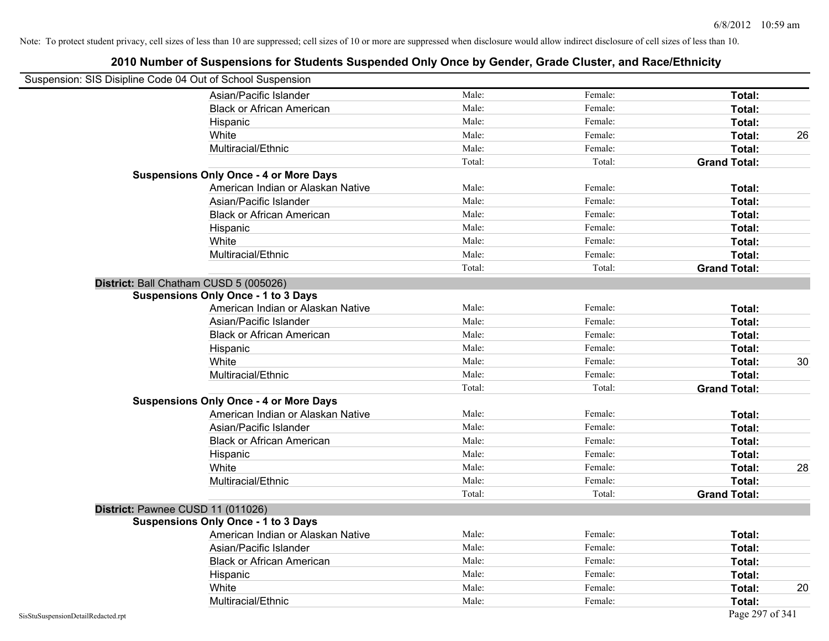| Suspension: SIS Disipline Code 04 Out of School Suspension |                                               |        |         |                     |    |
|------------------------------------------------------------|-----------------------------------------------|--------|---------|---------------------|----|
|                                                            | Asian/Pacific Islander                        | Male:  | Female: | Total:              |    |
|                                                            | <b>Black or African American</b>              | Male:  | Female: | Total:              |    |
|                                                            | Hispanic                                      | Male:  | Female: | Total:              |    |
|                                                            | White                                         | Male:  | Female: | Total:              | 26 |
|                                                            | Multiracial/Ethnic                            | Male:  | Female: | Total:              |    |
|                                                            |                                               | Total: | Total:  | <b>Grand Total:</b> |    |
|                                                            | <b>Suspensions Only Once - 4 or More Days</b> |        |         |                     |    |
|                                                            | American Indian or Alaskan Native             | Male:  | Female: | Total:              |    |
|                                                            | Asian/Pacific Islander                        | Male:  | Female: | Total:              |    |
|                                                            | <b>Black or African American</b>              | Male:  | Female: | Total:              |    |
|                                                            | Hispanic                                      | Male:  | Female: | Total:              |    |
|                                                            | White                                         | Male:  | Female: | Total:              |    |
|                                                            | Multiracial/Ethnic                            | Male:  | Female: | Total:              |    |
|                                                            |                                               | Total: | Total:  | <b>Grand Total:</b> |    |
| District: Ball Chatham CUSD 5 (005026)                     |                                               |        |         |                     |    |
|                                                            | <b>Suspensions Only Once - 1 to 3 Days</b>    |        |         |                     |    |
|                                                            | American Indian or Alaskan Native             | Male:  | Female: | Total:              |    |
|                                                            | Asian/Pacific Islander                        | Male:  | Female: | Total:              |    |
|                                                            | <b>Black or African American</b>              | Male:  | Female: | Total:              |    |
|                                                            | Hispanic                                      | Male:  | Female: | Total:              |    |
|                                                            | White                                         | Male:  | Female: | Total:              | 30 |
|                                                            | Multiracial/Ethnic                            | Male:  | Female: | Total:              |    |
|                                                            |                                               | Total: | Total:  | <b>Grand Total:</b> |    |
|                                                            | <b>Suspensions Only Once - 4 or More Days</b> |        |         |                     |    |
|                                                            | American Indian or Alaskan Native             | Male:  | Female: | Total:              |    |
|                                                            | Asian/Pacific Islander                        | Male:  | Female: | Total:              |    |
|                                                            | <b>Black or African American</b>              | Male:  | Female: | Total:              |    |
|                                                            | Hispanic                                      | Male:  | Female: | Total:              |    |
|                                                            | White                                         | Male:  | Female: | Total:              | 28 |
|                                                            | Multiracial/Ethnic                            | Male:  | Female: | Total:              |    |
|                                                            |                                               | Total: | Total:  | <b>Grand Total:</b> |    |
| District: Pawnee CUSD 11 (011026)                          |                                               |        |         |                     |    |
|                                                            | <b>Suspensions Only Once - 1 to 3 Days</b>    |        |         |                     |    |
|                                                            | American Indian or Alaskan Native             | Male:  | Female: | Total:              |    |
|                                                            | Asian/Pacific Islander                        | Male:  | Female: | Total:              |    |
|                                                            | <b>Black or African American</b>              | Male:  | Female: | Total:              |    |
|                                                            | Hispanic                                      | Male:  | Female: | Total:              |    |
|                                                            | White                                         | Male:  | Female: | Total:              | 20 |
|                                                            | Multiracial/Ethnic                            | Male:  | Female: | Total:              |    |
| SisStuSuspensionDetailRedacted.rpt                         |                                               |        |         | Page 297 of 341     |    |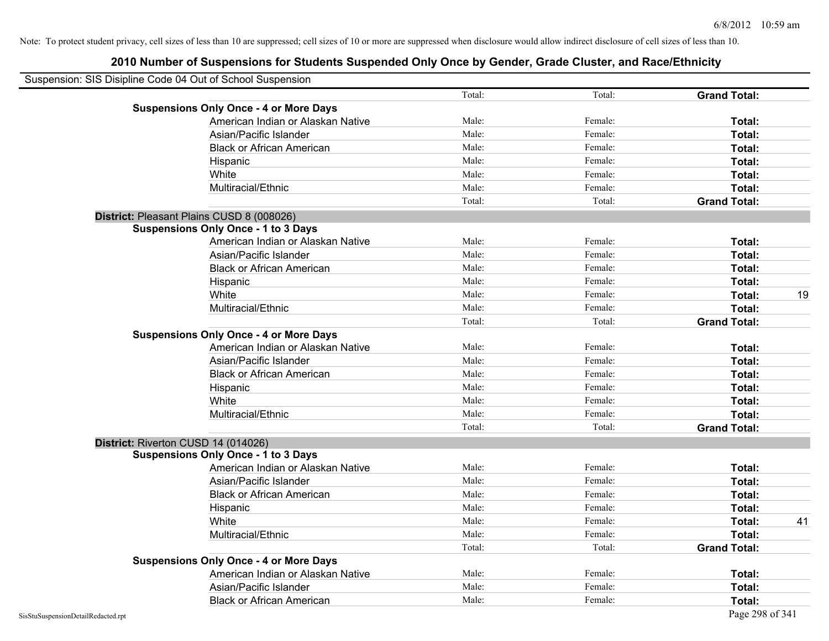| Suspension: SIS Disipline Code 04 Out of School Suspension |        |         |                     |    |
|------------------------------------------------------------|--------|---------|---------------------|----|
|                                                            | Total: | Total:  | <b>Grand Total:</b> |    |
| <b>Suspensions Only Once - 4 or More Days</b>              |        |         |                     |    |
| American Indian or Alaskan Native                          | Male:  | Female: | Total:              |    |
| Asian/Pacific Islander                                     | Male:  | Female: | Total:              |    |
| <b>Black or African American</b>                           | Male:  | Female: | Total:              |    |
| Hispanic                                                   | Male:  | Female: | Total:              |    |
| White                                                      | Male:  | Female: | Total:              |    |
| Multiracial/Ethnic                                         | Male:  | Female: | Total:              |    |
|                                                            | Total: | Total:  | <b>Grand Total:</b> |    |
| District: Pleasant Plains CUSD 8 (008026)                  |        |         |                     |    |
| <b>Suspensions Only Once - 1 to 3 Days</b>                 |        |         |                     |    |
| American Indian or Alaskan Native                          | Male:  | Female: | Total:              |    |
| Asian/Pacific Islander                                     | Male:  | Female: | Total:              |    |
| <b>Black or African American</b>                           | Male:  | Female: | Total:              |    |
| Hispanic                                                   | Male:  | Female: | Total:              |    |
| White                                                      | Male:  | Female: | Total:              | 19 |
| Multiracial/Ethnic                                         | Male:  | Female: | Total:              |    |
|                                                            | Total: | Total:  | <b>Grand Total:</b> |    |
| <b>Suspensions Only Once - 4 or More Days</b>              |        |         |                     |    |
| American Indian or Alaskan Native                          | Male:  | Female: | Total:              |    |
| Asian/Pacific Islander                                     | Male:  | Female: | Total:              |    |
| <b>Black or African American</b>                           | Male:  | Female: | Total:              |    |
| Hispanic                                                   | Male:  | Female: | Total:              |    |
| White                                                      | Male:  | Female: | Total:              |    |
| Multiracial/Ethnic                                         | Male:  | Female: | Total:              |    |
|                                                            | Total: | Total:  | <b>Grand Total:</b> |    |
| District: Riverton CUSD 14 (014026)                        |        |         |                     |    |
| <b>Suspensions Only Once - 1 to 3 Days</b>                 |        |         |                     |    |
| American Indian or Alaskan Native                          | Male:  | Female: | Total:              |    |
| Asian/Pacific Islander                                     | Male:  | Female: | Total:              |    |
| <b>Black or African American</b>                           | Male:  | Female: | Total:              |    |
| Hispanic                                                   | Male:  | Female: | Total:              |    |
| White                                                      | Male:  | Female: | Total:              | 41 |
| Multiracial/Ethnic                                         | Male:  | Female: | Total:              |    |
|                                                            | Total: | Total:  | <b>Grand Total:</b> |    |
| <b>Suspensions Only Once - 4 or More Days</b>              |        |         |                     |    |
| American Indian or Alaskan Native                          | Male:  | Female: | Total:              |    |
| Asian/Pacific Islander                                     | Male:  | Female: | Total:              |    |
| <b>Black or African American</b>                           | Male:  | Female: | Total:              |    |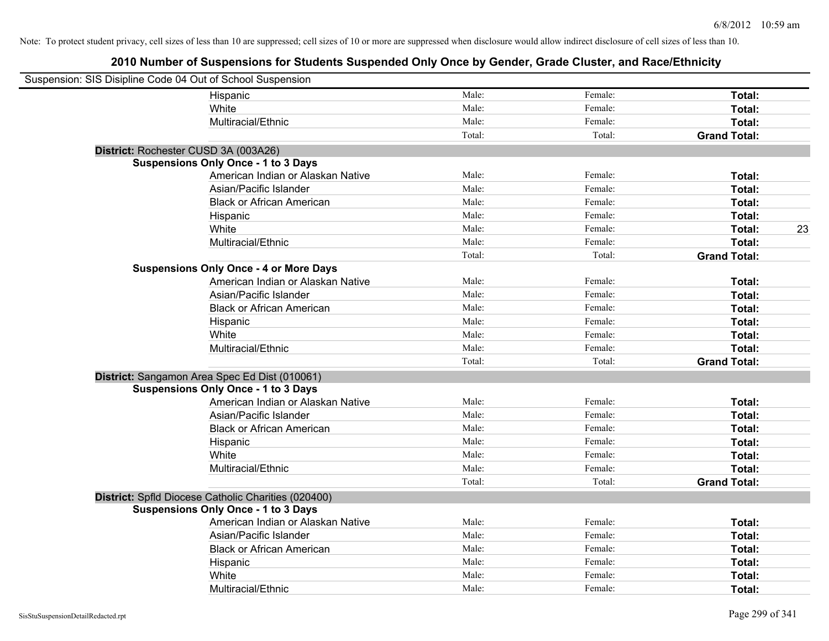| Suspension: SIS Disipline Code 04 Out of School Suspension |                                                     |        |         |                     |
|------------------------------------------------------------|-----------------------------------------------------|--------|---------|---------------------|
|                                                            | Hispanic                                            | Male:  | Female: | Total:              |
|                                                            | White                                               | Male:  | Female: | Total:              |
|                                                            | Multiracial/Ethnic                                  | Male:  | Female: | Total:              |
|                                                            |                                                     | Total: | Total:  | <b>Grand Total:</b> |
| District: Rochester CUSD 3A (003A26)                       |                                                     |        |         |                     |
|                                                            | <b>Suspensions Only Once - 1 to 3 Days</b>          |        |         |                     |
|                                                            | American Indian or Alaskan Native                   | Male:  | Female: | Total:              |
|                                                            | Asian/Pacific Islander                              | Male:  | Female: | Total:              |
|                                                            | <b>Black or African American</b>                    | Male:  | Female: | Total:              |
|                                                            | Hispanic                                            | Male:  | Female: | Total:              |
|                                                            | White                                               | Male:  | Female: | 23<br>Total:        |
|                                                            | Multiracial/Ethnic                                  | Male:  | Female: | Total:              |
|                                                            |                                                     | Total: | Total:  | <b>Grand Total:</b> |
|                                                            | <b>Suspensions Only Once - 4 or More Days</b>       |        |         |                     |
|                                                            | American Indian or Alaskan Native                   | Male:  | Female: | Total:              |
|                                                            | Asian/Pacific Islander                              | Male:  | Female: | Total:              |
|                                                            | <b>Black or African American</b>                    | Male:  | Female: | Total:              |
|                                                            | Hispanic                                            | Male:  | Female: | Total:              |
|                                                            | White                                               | Male:  | Female: | Total:              |
|                                                            | Multiracial/Ethnic                                  | Male:  | Female: | Total:              |
|                                                            |                                                     | Total: | Total:  | <b>Grand Total:</b> |
|                                                            | District: Sangamon Area Spec Ed Dist (010061)       |        |         |                     |
|                                                            | <b>Suspensions Only Once - 1 to 3 Days</b>          |        |         |                     |
|                                                            | American Indian or Alaskan Native                   | Male:  | Female: | Total:              |
|                                                            | Asian/Pacific Islander                              | Male:  | Female: | Total:              |
|                                                            | <b>Black or African American</b>                    | Male:  | Female: | Total:              |
|                                                            | Hispanic                                            | Male:  | Female: | Total:              |
|                                                            | White                                               | Male:  | Female: | Total:              |
|                                                            | Multiracial/Ethnic                                  | Male:  | Female: | Total:              |
|                                                            |                                                     | Total: | Total:  | <b>Grand Total:</b> |
|                                                            | District: Spfld Diocese Catholic Charities (020400) |        |         |                     |
|                                                            | <b>Suspensions Only Once - 1 to 3 Days</b>          |        |         |                     |
|                                                            | American Indian or Alaskan Native                   | Male:  | Female: | Total:              |
|                                                            | Asian/Pacific Islander                              | Male:  | Female: | Total:              |
|                                                            | <b>Black or African American</b>                    | Male:  | Female: | Total:              |
|                                                            | Hispanic                                            | Male:  | Female: | Total:              |
|                                                            | White                                               | Male:  | Female: | <b>Total:</b>       |
|                                                            | Multiracial/Ethnic                                  | Male:  | Female: | Total:              |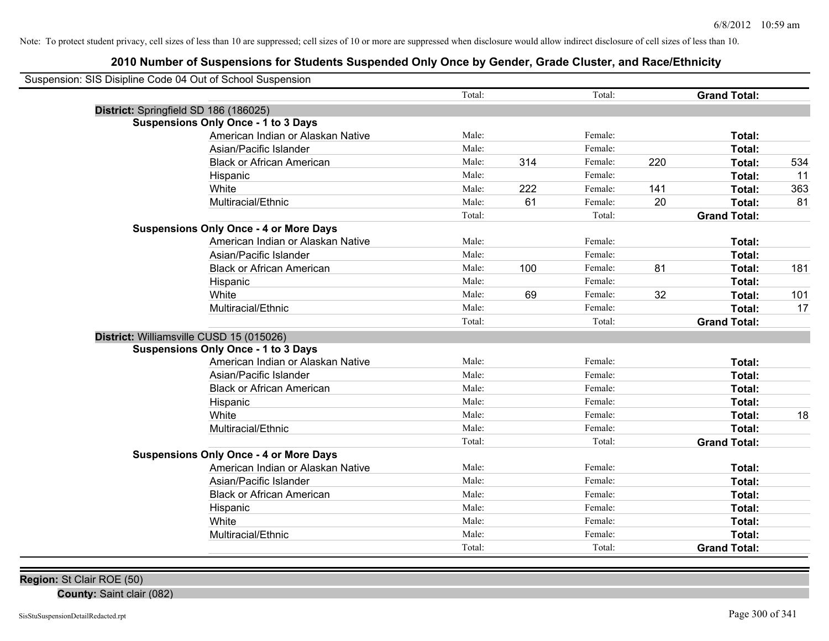# **2010 Number of Suspensions for Students Suspended Only Once by Gender, Grade Cluster, and Race/Ethnicity**

| Total:<br>Total:<br><b>Grand Total:</b><br>District: Springfield SD 186 (186025)<br><b>Suspensions Only Once - 1 to 3 Days</b><br>American Indian or Alaskan Native<br>Male:<br>Female:<br>Total:<br>Male:<br>Female:<br>Asian/Pacific Islander<br>Total:<br>Male:<br>314<br>Female:<br><b>Black or African American</b><br>220<br>Total:<br>534<br>Male:<br>Female:<br>11<br>Hispanic<br>Total:<br>White<br>Male:<br>222<br>Female:<br>141<br>363<br>Total:<br>Multiracial/Ethnic<br>Male:<br>61<br>Female:<br>20<br>Total:<br>Total:<br>Total:<br><b>Grand Total:</b><br><b>Suspensions Only Once - 4 or More Days</b><br>American Indian or Alaskan Native<br>Male:<br>Female:<br>Total:<br>Male:<br>Asian/Pacific Islander<br>Female:<br>Total:<br>Male:<br>100<br>Female:<br>81<br><b>Black or African American</b><br>Total:<br>Male:<br>Female:<br>Hispanic<br>Total:<br>69<br>32<br>White<br>Male:<br>Female:<br>Total:<br>101<br>Multiracial/Ethnic<br>Male:<br>Female:<br>Total:<br>Total:<br>Total:<br><b>Grand Total:</b><br>District: Williamsville CUSD 15 (015026)<br><b>Suspensions Only Once - 1 to 3 Days</b><br>American Indian or Alaskan Native<br>Male:<br>Female:<br>Total:<br>Asian/Pacific Islander<br>Male:<br>Female:<br>Total:<br>Male:<br>Female:<br><b>Black or African American</b><br>Total:<br>Female:<br>Male:<br>Total:<br>Hispanic<br>Male:<br>Female:<br>White<br>Total:<br>Female:<br>Multiracial/Ethnic<br>Male:<br>Total:<br>Total:<br>Total:<br><b>Grand Total:</b><br><b>Suspensions Only Once - 4 or More Days</b><br>American Indian or Alaskan Native<br>Male:<br>Female:<br>Total:<br>Asian/Pacific Islander<br>Male:<br>Female:<br>Total:<br>Male:<br>Female:<br><b>Black or African American</b><br>Total:<br>Male:<br>Female:<br>Total:<br>Hispanic<br>Male:<br>Female:<br>White<br>Total:<br>Multiracial/Ethnic<br>Male:<br>Female:<br>Total:<br>Total:<br>Total:<br><b>Grand Total:</b> | Suspension: SIS Disipline Code 04 Out of School Suspension |  |  |  |
|--------------------------------------------------------------------------------------------------------------------------------------------------------------------------------------------------------------------------------------------------------------------------------------------------------------------------------------------------------------------------------------------------------------------------------------------------------------------------------------------------------------------------------------------------------------------------------------------------------------------------------------------------------------------------------------------------------------------------------------------------------------------------------------------------------------------------------------------------------------------------------------------------------------------------------------------------------------------------------------------------------------------------------------------------------------------------------------------------------------------------------------------------------------------------------------------------------------------------------------------------------------------------------------------------------------------------------------------------------------------------------------------------------------------------------------------------------------------------------------------------------------------------------------------------------------------------------------------------------------------------------------------------------------------------------------------------------------------------------------------------------------------------------------------------------------------------------------------------------------------------------------------------------------------------------------------|------------------------------------------------------------|--|--|--|
| 81<br>181<br>17<br>18                                                                                                                                                                                                                                                                                                                                                                                                                                                                                                                                                                                                                                                                                                                                                                                                                                                                                                                                                                                                                                                                                                                                                                                                                                                                                                                                                                                                                                                                                                                                                                                                                                                                                                                                                                                                                                                                                                                      |                                                            |  |  |  |
|                                                                                                                                                                                                                                                                                                                                                                                                                                                                                                                                                                                                                                                                                                                                                                                                                                                                                                                                                                                                                                                                                                                                                                                                                                                                                                                                                                                                                                                                                                                                                                                                                                                                                                                                                                                                                                                                                                                                            |                                                            |  |  |  |
|                                                                                                                                                                                                                                                                                                                                                                                                                                                                                                                                                                                                                                                                                                                                                                                                                                                                                                                                                                                                                                                                                                                                                                                                                                                                                                                                                                                                                                                                                                                                                                                                                                                                                                                                                                                                                                                                                                                                            |                                                            |  |  |  |
|                                                                                                                                                                                                                                                                                                                                                                                                                                                                                                                                                                                                                                                                                                                                                                                                                                                                                                                                                                                                                                                                                                                                                                                                                                                                                                                                                                                                                                                                                                                                                                                                                                                                                                                                                                                                                                                                                                                                            |                                                            |  |  |  |
|                                                                                                                                                                                                                                                                                                                                                                                                                                                                                                                                                                                                                                                                                                                                                                                                                                                                                                                                                                                                                                                                                                                                                                                                                                                                                                                                                                                                                                                                                                                                                                                                                                                                                                                                                                                                                                                                                                                                            |                                                            |  |  |  |
|                                                                                                                                                                                                                                                                                                                                                                                                                                                                                                                                                                                                                                                                                                                                                                                                                                                                                                                                                                                                                                                                                                                                                                                                                                                                                                                                                                                                                                                                                                                                                                                                                                                                                                                                                                                                                                                                                                                                            |                                                            |  |  |  |
|                                                                                                                                                                                                                                                                                                                                                                                                                                                                                                                                                                                                                                                                                                                                                                                                                                                                                                                                                                                                                                                                                                                                                                                                                                                                                                                                                                                                                                                                                                                                                                                                                                                                                                                                                                                                                                                                                                                                            |                                                            |  |  |  |
|                                                                                                                                                                                                                                                                                                                                                                                                                                                                                                                                                                                                                                                                                                                                                                                                                                                                                                                                                                                                                                                                                                                                                                                                                                                                                                                                                                                                                                                                                                                                                                                                                                                                                                                                                                                                                                                                                                                                            |                                                            |  |  |  |
|                                                                                                                                                                                                                                                                                                                                                                                                                                                                                                                                                                                                                                                                                                                                                                                                                                                                                                                                                                                                                                                                                                                                                                                                                                                                                                                                                                                                                                                                                                                                                                                                                                                                                                                                                                                                                                                                                                                                            |                                                            |  |  |  |
|                                                                                                                                                                                                                                                                                                                                                                                                                                                                                                                                                                                                                                                                                                                                                                                                                                                                                                                                                                                                                                                                                                                                                                                                                                                                                                                                                                                                                                                                                                                                                                                                                                                                                                                                                                                                                                                                                                                                            |                                                            |  |  |  |
|                                                                                                                                                                                                                                                                                                                                                                                                                                                                                                                                                                                                                                                                                                                                                                                                                                                                                                                                                                                                                                                                                                                                                                                                                                                                                                                                                                                                                                                                                                                                                                                                                                                                                                                                                                                                                                                                                                                                            |                                                            |  |  |  |
|                                                                                                                                                                                                                                                                                                                                                                                                                                                                                                                                                                                                                                                                                                                                                                                                                                                                                                                                                                                                                                                                                                                                                                                                                                                                                                                                                                                                                                                                                                                                                                                                                                                                                                                                                                                                                                                                                                                                            |                                                            |  |  |  |
|                                                                                                                                                                                                                                                                                                                                                                                                                                                                                                                                                                                                                                                                                                                                                                                                                                                                                                                                                                                                                                                                                                                                                                                                                                                                                                                                                                                                                                                                                                                                                                                                                                                                                                                                                                                                                                                                                                                                            |                                                            |  |  |  |
|                                                                                                                                                                                                                                                                                                                                                                                                                                                                                                                                                                                                                                                                                                                                                                                                                                                                                                                                                                                                                                                                                                                                                                                                                                                                                                                                                                                                                                                                                                                                                                                                                                                                                                                                                                                                                                                                                                                                            |                                                            |  |  |  |
|                                                                                                                                                                                                                                                                                                                                                                                                                                                                                                                                                                                                                                                                                                                                                                                                                                                                                                                                                                                                                                                                                                                                                                                                                                                                                                                                                                                                                                                                                                                                                                                                                                                                                                                                                                                                                                                                                                                                            |                                                            |  |  |  |
|                                                                                                                                                                                                                                                                                                                                                                                                                                                                                                                                                                                                                                                                                                                                                                                                                                                                                                                                                                                                                                                                                                                                                                                                                                                                                                                                                                                                                                                                                                                                                                                                                                                                                                                                                                                                                                                                                                                                            |                                                            |  |  |  |
|                                                                                                                                                                                                                                                                                                                                                                                                                                                                                                                                                                                                                                                                                                                                                                                                                                                                                                                                                                                                                                                                                                                                                                                                                                                                                                                                                                                                                                                                                                                                                                                                                                                                                                                                                                                                                                                                                                                                            |                                                            |  |  |  |
|                                                                                                                                                                                                                                                                                                                                                                                                                                                                                                                                                                                                                                                                                                                                                                                                                                                                                                                                                                                                                                                                                                                                                                                                                                                                                                                                                                                                                                                                                                                                                                                                                                                                                                                                                                                                                                                                                                                                            |                                                            |  |  |  |
|                                                                                                                                                                                                                                                                                                                                                                                                                                                                                                                                                                                                                                                                                                                                                                                                                                                                                                                                                                                                                                                                                                                                                                                                                                                                                                                                                                                                                                                                                                                                                                                                                                                                                                                                                                                                                                                                                                                                            |                                                            |  |  |  |
|                                                                                                                                                                                                                                                                                                                                                                                                                                                                                                                                                                                                                                                                                                                                                                                                                                                                                                                                                                                                                                                                                                                                                                                                                                                                                                                                                                                                                                                                                                                                                                                                                                                                                                                                                                                                                                                                                                                                            |                                                            |  |  |  |
|                                                                                                                                                                                                                                                                                                                                                                                                                                                                                                                                                                                                                                                                                                                                                                                                                                                                                                                                                                                                                                                                                                                                                                                                                                                                                                                                                                                                                                                                                                                                                                                                                                                                                                                                                                                                                                                                                                                                            |                                                            |  |  |  |
|                                                                                                                                                                                                                                                                                                                                                                                                                                                                                                                                                                                                                                                                                                                                                                                                                                                                                                                                                                                                                                                                                                                                                                                                                                                                                                                                                                                                                                                                                                                                                                                                                                                                                                                                                                                                                                                                                                                                            |                                                            |  |  |  |
|                                                                                                                                                                                                                                                                                                                                                                                                                                                                                                                                                                                                                                                                                                                                                                                                                                                                                                                                                                                                                                                                                                                                                                                                                                                                                                                                                                                                                                                                                                                                                                                                                                                                                                                                                                                                                                                                                                                                            |                                                            |  |  |  |
|                                                                                                                                                                                                                                                                                                                                                                                                                                                                                                                                                                                                                                                                                                                                                                                                                                                                                                                                                                                                                                                                                                                                                                                                                                                                                                                                                                                                                                                                                                                                                                                                                                                                                                                                                                                                                                                                                                                                            |                                                            |  |  |  |
|                                                                                                                                                                                                                                                                                                                                                                                                                                                                                                                                                                                                                                                                                                                                                                                                                                                                                                                                                                                                                                                                                                                                                                                                                                                                                                                                                                                                                                                                                                                                                                                                                                                                                                                                                                                                                                                                                                                                            |                                                            |  |  |  |
|                                                                                                                                                                                                                                                                                                                                                                                                                                                                                                                                                                                                                                                                                                                                                                                                                                                                                                                                                                                                                                                                                                                                                                                                                                                                                                                                                                                                                                                                                                                                                                                                                                                                                                                                                                                                                                                                                                                                            |                                                            |  |  |  |
|                                                                                                                                                                                                                                                                                                                                                                                                                                                                                                                                                                                                                                                                                                                                                                                                                                                                                                                                                                                                                                                                                                                                                                                                                                                                                                                                                                                                                                                                                                                                                                                                                                                                                                                                                                                                                                                                                                                                            |                                                            |  |  |  |
|                                                                                                                                                                                                                                                                                                                                                                                                                                                                                                                                                                                                                                                                                                                                                                                                                                                                                                                                                                                                                                                                                                                                                                                                                                                                                                                                                                                                                                                                                                                                                                                                                                                                                                                                                                                                                                                                                                                                            |                                                            |  |  |  |
|                                                                                                                                                                                                                                                                                                                                                                                                                                                                                                                                                                                                                                                                                                                                                                                                                                                                                                                                                                                                                                                                                                                                                                                                                                                                                                                                                                                                                                                                                                                                                                                                                                                                                                                                                                                                                                                                                                                                            |                                                            |  |  |  |
|                                                                                                                                                                                                                                                                                                                                                                                                                                                                                                                                                                                                                                                                                                                                                                                                                                                                                                                                                                                                                                                                                                                                                                                                                                                                                                                                                                                                                                                                                                                                                                                                                                                                                                                                                                                                                                                                                                                                            |                                                            |  |  |  |
|                                                                                                                                                                                                                                                                                                                                                                                                                                                                                                                                                                                                                                                                                                                                                                                                                                                                                                                                                                                                                                                                                                                                                                                                                                                                                                                                                                                                                                                                                                                                                                                                                                                                                                                                                                                                                                                                                                                                            |                                                            |  |  |  |
|                                                                                                                                                                                                                                                                                                                                                                                                                                                                                                                                                                                                                                                                                                                                                                                                                                                                                                                                                                                                                                                                                                                                                                                                                                                                                                                                                                                                                                                                                                                                                                                                                                                                                                                                                                                                                                                                                                                                            |                                                            |  |  |  |
|                                                                                                                                                                                                                                                                                                                                                                                                                                                                                                                                                                                                                                                                                                                                                                                                                                                                                                                                                                                                                                                                                                                                                                                                                                                                                                                                                                                                                                                                                                                                                                                                                                                                                                                                                                                                                                                                                                                                            |                                                            |  |  |  |
|                                                                                                                                                                                                                                                                                                                                                                                                                                                                                                                                                                                                                                                                                                                                                                                                                                                                                                                                                                                                                                                                                                                                                                                                                                                                                                                                                                                                                                                                                                                                                                                                                                                                                                                                                                                                                                                                                                                                            |                                                            |  |  |  |
|                                                                                                                                                                                                                                                                                                                                                                                                                                                                                                                                                                                                                                                                                                                                                                                                                                                                                                                                                                                                                                                                                                                                                                                                                                                                                                                                                                                                                                                                                                                                                                                                                                                                                                                                                                                                                                                                                                                                            |                                                            |  |  |  |

**Region:** St Clair ROE (50)

**County:** Saint clair (082)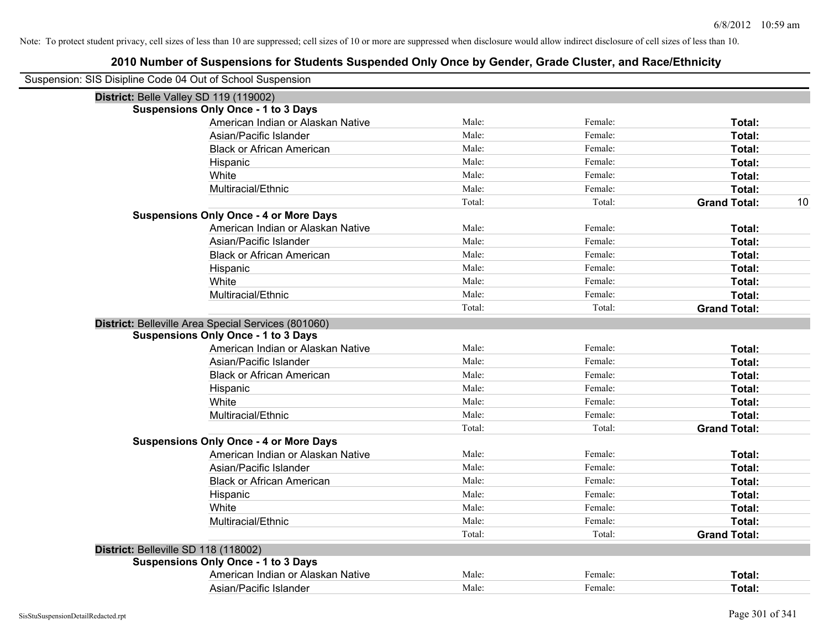| Suspension: SIS Disipline Code 04 Out of School Suspension |        |         |                           |
|------------------------------------------------------------|--------|---------|---------------------------|
| District: Belle Valley SD 119 (119002)                     |        |         |                           |
| <b>Suspensions Only Once - 1 to 3 Days</b>                 |        |         |                           |
| American Indian or Alaskan Native                          | Male:  | Female: | Total:                    |
| Asian/Pacific Islander                                     | Male:  | Female: | Total:                    |
| <b>Black or African American</b>                           | Male:  | Female: | Total:                    |
| Hispanic                                                   | Male:  | Female: | Total:                    |
| White                                                      | Male:  | Female: | Total:                    |
| Multiracial/Ethnic                                         | Male:  | Female: | Total:                    |
|                                                            | Total: | Total:  | <b>Grand Total:</b><br>10 |
| <b>Suspensions Only Once - 4 or More Days</b>              |        |         |                           |
| American Indian or Alaskan Native                          | Male:  | Female: | Total:                    |
| Asian/Pacific Islander                                     | Male:  | Female: | Total:                    |
| <b>Black or African American</b>                           | Male:  | Female: | Total:                    |
| Hispanic                                                   | Male:  | Female: | Total:                    |
| White                                                      | Male:  | Female: | Total:                    |
| Multiracial/Ethnic                                         | Male:  | Female: | Total:                    |
|                                                            | Total: | Total:  | <b>Grand Total:</b>       |
| District: Belleville Area Special Services (801060)        |        |         |                           |
| <b>Suspensions Only Once - 1 to 3 Days</b>                 |        |         |                           |
| American Indian or Alaskan Native                          | Male:  | Female: | Total:                    |
| Asian/Pacific Islander                                     | Male:  | Female: | Total:                    |
| <b>Black or African American</b>                           | Male:  | Female: | Total:                    |
| Hispanic                                                   | Male:  | Female: | Total:                    |
| White                                                      | Male:  | Female: | Total:                    |
| Multiracial/Ethnic                                         | Male:  | Female: | Total:                    |
|                                                            | Total: | Total:  | <b>Grand Total:</b>       |
| <b>Suspensions Only Once - 4 or More Days</b>              |        |         |                           |
| American Indian or Alaskan Native                          | Male:  | Female: | Total:                    |
| Asian/Pacific Islander                                     | Male:  | Female: | Total:                    |
| <b>Black or African American</b>                           | Male:  | Female: | Total:                    |
| Hispanic                                                   | Male:  | Female: | Total:                    |
| White                                                      | Male:  | Female: | Total:                    |
| Multiracial/Ethnic                                         | Male:  | Female: | Total:                    |
|                                                            | Total: | Total:  | <b>Grand Total:</b>       |
| District: Belleville SD 118 (118002)                       |        |         |                           |
| <b>Suspensions Only Once - 1 to 3 Days</b>                 |        |         |                           |
| American Indian or Alaskan Native                          | Male:  | Female: | Total:                    |
| Asian/Pacific Islander                                     | Male:  | Female: | Total:                    |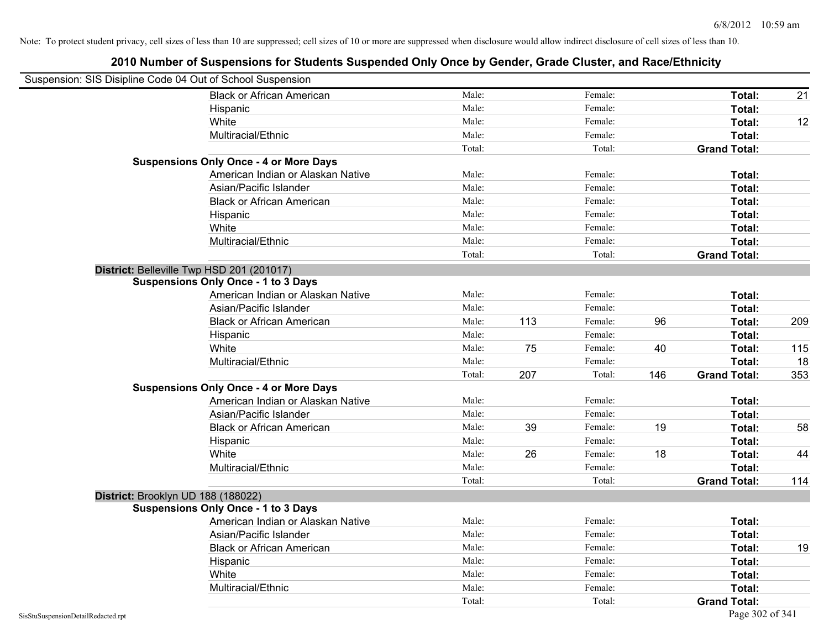| Suspension: SIS Disipline Code 04 Out of School Suspension |                                               |        |     |         |     |                     |     |
|------------------------------------------------------------|-----------------------------------------------|--------|-----|---------|-----|---------------------|-----|
|                                                            | <b>Black or African American</b>              | Male:  |     | Female: |     | Total:              | 21  |
|                                                            | Hispanic                                      | Male:  |     | Female: |     | Total:              |     |
|                                                            | White                                         | Male:  |     | Female: |     | Total:              | 12  |
|                                                            | Multiracial/Ethnic                            | Male:  |     | Female: |     | Total:              |     |
|                                                            |                                               | Total: |     | Total:  |     | <b>Grand Total:</b> |     |
|                                                            | <b>Suspensions Only Once - 4 or More Days</b> |        |     |         |     |                     |     |
|                                                            | American Indian or Alaskan Native             | Male:  |     | Female: |     | Total:              |     |
|                                                            | Asian/Pacific Islander                        | Male:  |     | Female: |     | Total:              |     |
|                                                            | <b>Black or African American</b>              | Male:  |     | Female: |     | Total:              |     |
|                                                            | Hispanic                                      | Male:  |     | Female: |     | Total:              |     |
|                                                            | White                                         | Male:  |     | Female: |     | Total:              |     |
|                                                            | Multiracial/Ethnic                            | Male:  |     | Female: |     | Total:              |     |
|                                                            |                                               | Total: |     | Total:  |     | <b>Grand Total:</b> |     |
|                                                            | District: Belleville Twp HSD 201 (201017)     |        |     |         |     |                     |     |
|                                                            | <b>Suspensions Only Once - 1 to 3 Days</b>    |        |     |         |     |                     |     |
|                                                            | American Indian or Alaskan Native             | Male:  |     | Female: |     | Total:              |     |
|                                                            | Asian/Pacific Islander                        | Male:  |     | Female: |     | Total:              |     |
|                                                            | <b>Black or African American</b>              | Male:  | 113 | Female: | 96  | Total:              | 209 |
|                                                            | Hispanic                                      | Male:  |     | Female: |     | Total:              |     |
|                                                            | White                                         | Male:  | 75  | Female: | 40  | Total:              | 115 |
|                                                            | Multiracial/Ethnic                            | Male:  |     | Female: |     | <b>Total:</b>       | 18  |
|                                                            |                                               | Total: | 207 | Total:  | 146 | <b>Grand Total:</b> | 353 |
|                                                            | <b>Suspensions Only Once - 4 or More Days</b> |        |     |         |     |                     |     |
|                                                            | American Indian or Alaskan Native             | Male:  |     | Female: |     | Total:              |     |
|                                                            | Asian/Pacific Islander                        | Male:  |     | Female: |     | Total:              |     |
|                                                            | <b>Black or African American</b>              | Male:  | 39  | Female: | 19  | Total:              | 58  |
|                                                            | Hispanic                                      | Male:  |     | Female: |     | Total:              |     |
|                                                            | White                                         | Male:  | 26  | Female: | 18  | Total:              | 44  |
|                                                            | Multiracial/Ethnic                            | Male:  |     | Female: |     | Total:              |     |
|                                                            |                                               | Total: |     | Total:  |     | <b>Grand Total:</b> | 114 |
|                                                            | District: Brooklyn UD 188 (188022)            |        |     |         |     |                     |     |
|                                                            | <b>Suspensions Only Once - 1 to 3 Days</b>    |        |     |         |     |                     |     |
|                                                            | American Indian or Alaskan Native             | Male:  |     | Female: |     | Total:              |     |
|                                                            | Asian/Pacific Islander                        | Male:  |     | Female: |     | Total:              |     |
|                                                            | <b>Black or African American</b>              | Male:  |     | Female: |     | Total:              | 19  |
|                                                            | Hispanic                                      | Male:  |     | Female: |     | Total:              |     |
|                                                            | White                                         | Male:  |     | Female: |     | Total:              |     |
|                                                            | Multiracial/Ethnic                            | Male:  |     | Female: |     | Total:              |     |
|                                                            |                                               | Total: |     | Total:  |     | <b>Grand Total:</b> |     |
| SisStuSuspensionDetailRedacted.rpt                         |                                               |        |     |         |     | Page 302 of 341     |     |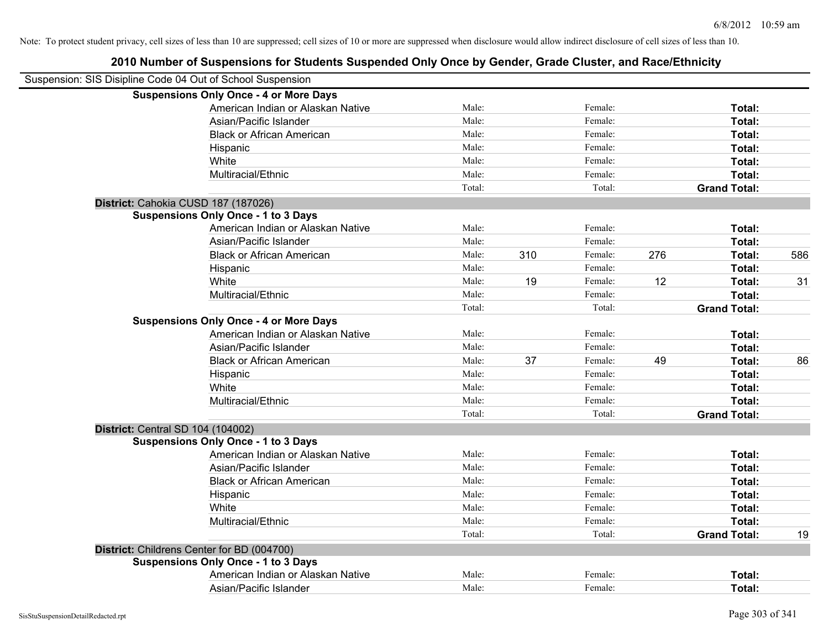| Suspension: SIS Disipline Code 04 Out of School Suspension |        |     |         |     |                     |     |
|------------------------------------------------------------|--------|-----|---------|-----|---------------------|-----|
| <b>Suspensions Only Once - 4 or More Days</b>              |        |     |         |     |                     |     |
| American Indian or Alaskan Native                          | Male:  |     | Female: |     | Total:              |     |
| Asian/Pacific Islander                                     | Male:  |     | Female: |     | Total:              |     |
| <b>Black or African American</b>                           | Male:  |     | Female: |     | Total:              |     |
| Hispanic                                                   | Male:  |     | Female: |     | Total:              |     |
| White                                                      | Male:  |     | Female: |     | Total:              |     |
| Multiracial/Ethnic                                         | Male:  |     | Female: |     | Total:              |     |
|                                                            | Total: |     | Total:  |     | <b>Grand Total:</b> |     |
| District: Cahokia CUSD 187 (187026)                        |        |     |         |     |                     |     |
| <b>Suspensions Only Once - 1 to 3 Days</b>                 |        |     |         |     |                     |     |
| American Indian or Alaskan Native                          | Male:  |     | Female: |     | Total:              |     |
| Asian/Pacific Islander                                     | Male:  |     | Female: |     | Total:              |     |
| <b>Black or African American</b>                           | Male:  | 310 | Female: | 276 | Total:              | 586 |
| Hispanic                                                   | Male:  |     | Female: |     | Total:              |     |
| White                                                      | Male:  | 19  | Female: | 12  | Total:              | 31  |
| Multiracial/Ethnic                                         | Male:  |     | Female: |     | Total:              |     |
|                                                            | Total: |     | Total:  |     | <b>Grand Total:</b> |     |
| <b>Suspensions Only Once - 4 or More Days</b>              |        |     |         |     |                     |     |
| American Indian or Alaskan Native                          | Male:  |     | Female: |     | Total:              |     |
| Asian/Pacific Islander                                     | Male:  |     | Female: |     | Total:              |     |
| <b>Black or African American</b>                           | Male:  | 37  | Female: | 49  | Total:              | 86  |
| Hispanic                                                   | Male:  |     | Female: |     | Total:              |     |
| White                                                      | Male:  |     | Female: |     | Total:              |     |
| Multiracial/Ethnic                                         | Male:  |     | Female: |     | Total:              |     |
|                                                            | Total: |     | Total:  |     | <b>Grand Total:</b> |     |
| <b>District: Central SD 104 (104002)</b>                   |        |     |         |     |                     |     |
| <b>Suspensions Only Once - 1 to 3 Days</b>                 |        |     |         |     |                     |     |
| American Indian or Alaskan Native                          | Male:  |     | Female: |     | Total:              |     |
| Asian/Pacific Islander                                     | Male:  |     | Female: |     | Total:              |     |
| <b>Black or African American</b>                           | Male:  |     | Female: |     | Total:              |     |
| Hispanic                                                   | Male:  |     | Female: |     | Total:              |     |
| White                                                      | Male:  |     | Female: |     | Total:              |     |
| Multiracial/Ethnic                                         | Male:  |     | Female: |     | Total:              |     |
|                                                            | Total: |     | Total:  |     | <b>Grand Total:</b> | 19  |
| District: Childrens Center for BD (004700)                 |        |     |         |     |                     |     |
| <b>Suspensions Only Once - 1 to 3 Days</b>                 |        |     |         |     |                     |     |
| American Indian or Alaskan Native                          | Male:  |     | Female: |     | Total:              |     |
| Asian/Pacific Islander                                     | Male:  |     | Female: |     | Total:              |     |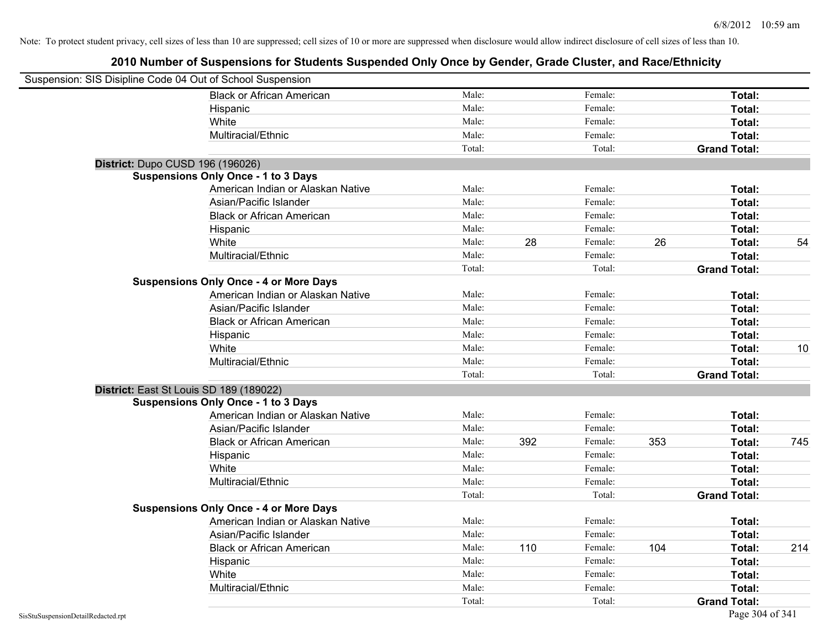| Suspension: SIS Disipline Code 04 Out of School Suspension |                                               |        |     |         |     |                     |     |
|------------------------------------------------------------|-----------------------------------------------|--------|-----|---------|-----|---------------------|-----|
|                                                            | <b>Black or African American</b>              | Male:  |     | Female: |     | Total:              |     |
|                                                            | Hispanic                                      | Male:  |     | Female: |     | Total:              |     |
|                                                            | White                                         | Male:  |     | Female: |     | Total:              |     |
|                                                            | Multiracial/Ethnic                            | Male:  |     | Female: |     | Total:              |     |
|                                                            |                                               | Total: |     | Total:  |     | <b>Grand Total:</b> |     |
| District: Dupo CUSD 196 (196026)                           |                                               |        |     |         |     |                     |     |
|                                                            | <b>Suspensions Only Once - 1 to 3 Days</b>    |        |     |         |     |                     |     |
|                                                            | American Indian or Alaskan Native             | Male:  |     | Female: |     | Total:              |     |
|                                                            | Asian/Pacific Islander                        | Male:  |     | Female: |     | Total:              |     |
|                                                            | <b>Black or African American</b>              | Male:  |     | Female: |     | Total:              |     |
|                                                            | Hispanic                                      | Male:  |     | Female: |     | Total:              |     |
|                                                            | White                                         | Male:  | 28  | Female: | 26  | Total:              | 54  |
|                                                            | Multiracial/Ethnic                            | Male:  |     | Female: |     | Total:              |     |
|                                                            |                                               | Total: |     | Total:  |     | <b>Grand Total:</b> |     |
|                                                            | <b>Suspensions Only Once - 4 or More Days</b> |        |     |         |     |                     |     |
|                                                            | American Indian or Alaskan Native             | Male:  |     | Female: |     | Total:              |     |
|                                                            | Asian/Pacific Islander                        | Male:  |     | Female: |     | Total:              |     |
|                                                            | <b>Black or African American</b>              | Male:  |     | Female: |     | Total:              |     |
|                                                            | Hispanic                                      | Male:  |     | Female: |     | Total:              |     |
|                                                            | White                                         | Male:  |     | Female: |     | Total:              | 10  |
|                                                            | Multiracial/Ethnic                            | Male:  |     | Female: |     | Total:              |     |
|                                                            |                                               | Total: |     | Total:  |     | <b>Grand Total:</b> |     |
| District: East St Louis SD 189 (189022)                    |                                               |        |     |         |     |                     |     |
|                                                            | <b>Suspensions Only Once - 1 to 3 Days</b>    |        |     |         |     |                     |     |
|                                                            | American Indian or Alaskan Native             | Male:  |     | Female: |     | Total:              |     |
|                                                            | Asian/Pacific Islander                        | Male:  |     | Female: |     | Total:              |     |
|                                                            | <b>Black or African American</b>              | Male:  | 392 | Female: | 353 | Total:              | 745 |
|                                                            | Hispanic                                      | Male:  |     | Female: |     | Total:              |     |
|                                                            | White                                         | Male:  |     | Female: |     | Total:              |     |
|                                                            | Multiracial/Ethnic                            | Male:  |     | Female: |     | Total:              |     |
|                                                            |                                               | Total: |     | Total:  |     | <b>Grand Total:</b> |     |
|                                                            | <b>Suspensions Only Once - 4 or More Days</b> |        |     |         |     |                     |     |
|                                                            | American Indian or Alaskan Native             | Male:  |     | Female: |     | Total:              |     |
|                                                            | Asian/Pacific Islander                        | Male:  |     | Female: |     | Total:              |     |
|                                                            | <b>Black or African American</b>              | Male:  | 110 | Female: | 104 | Total:              | 214 |
|                                                            | Hispanic                                      | Male:  |     | Female: |     | Total:              |     |
|                                                            | White                                         | Male:  |     | Female: |     | Total:              |     |
|                                                            | Multiracial/Ethnic                            | Male:  |     | Female: |     | Total:              |     |
|                                                            |                                               | Total: |     | Total:  |     | <b>Grand Total:</b> |     |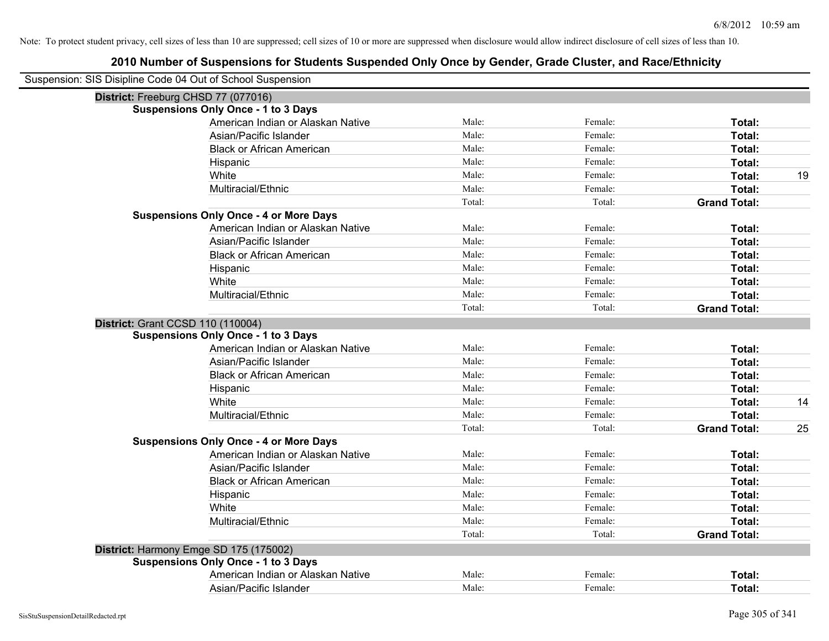| Suspension: SIS Disipline Code 04 Out of School Suspension |        |         |                     |    |
|------------------------------------------------------------|--------|---------|---------------------|----|
| District: Freeburg CHSD 77 (077016)                        |        |         |                     |    |
| <b>Suspensions Only Once - 1 to 3 Days</b>                 |        |         |                     |    |
| American Indian or Alaskan Native                          | Male:  | Female: | Total:              |    |
| Asian/Pacific Islander                                     | Male:  | Female: | Total:              |    |
| <b>Black or African American</b>                           | Male:  | Female: | Total:              |    |
| Hispanic                                                   | Male:  | Female: | Total:              |    |
| White                                                      | Male:  | Female: | Total:              | 19 |
| Multiracial/Ethnic                                         | Male:  | Female: | Total:              |    |
|                                                            | Total: | Total:  | <b>Grand Total:</b> |    |
| <b>Suspensions Only Once - 4 or More Days</b>              |        |         |                     |    |
| American Indian or Alaskan Native                          | Male:  | Female: | Total:              |    |
| Asian/Pacific Islander                                     | Male:  | Female: | Total:              |    |
| <b>Black or African American</b>                           | Male:  | Female: | Total:              |    |
| Hispanic                                                   | Male:  | Female: | Total:              |    |
| White                                                      | Male:  | Female: | Total:              |    |
| Multiracial/Ethnic                                         | Male:  | Female: | Total:              |    |
|                                                            | Total: | Total:  | <b>Grand Total:</b> |    |
| <b>District: Grant CCSD 110 (110004)</b>                   |        |         |                     |    |
| <b>Suspensions Only Once - 1 to 3 Days</b>                 |        |         |                     |    |
| American Indian or Alaskan Native                          | Male:  | Female: | Total:              |    |
| Asian/Pacific Islander                                     | Male:  | Female: | Total:              |    |
| <b>Black or African American</b>                           | Male:  | Female: | Total:              |    |
| Hispanic                                                   | Male:  | Female: | Total:              |    |
| White                                                      | Male:  | Female: | Total:              | 14 |
| Multiracial/Ethnic                                         | Male:  | Female: | Total:              |    |
|                                                            | Total: | Total:  | <b>Grand Total:</b> | 25 |
| <b>Suspensions Only Once - 4 or More Days</b>              |        |         |                     |    |
| American Indian or Alaskan Native                          | Male:  | Female: | Total:              |    |
| Asian/Pacific Islander                                     | Male:  | Female: | Total:              |    |
| <b>Black or African American</b>                           | Male:  | Female: | Total:              |    |
| Hispanic                                                   | Male:  | Female: | Total:              |    |
| White                                                      | Male:  | Female: | Total:              |    |
| Multiracial/Ethnic                                         | Male:  | Female: | Total:              |    |
|                                                            | Total: | Total:  | <b>Grand Total:</b> |    |
| District: Harmony Emge SD 175 (175002)                     |        |         |                     |    |
| <b>Suspensions Only Once - 1 to 3 Days</b>                 |        |         |                     |    |
| American Indian or Alaskan Native                          | Male:  | Female: | Total:              |    |
| Asian/Pacific Islander                                     | Male:  | Female: | Total:              |    |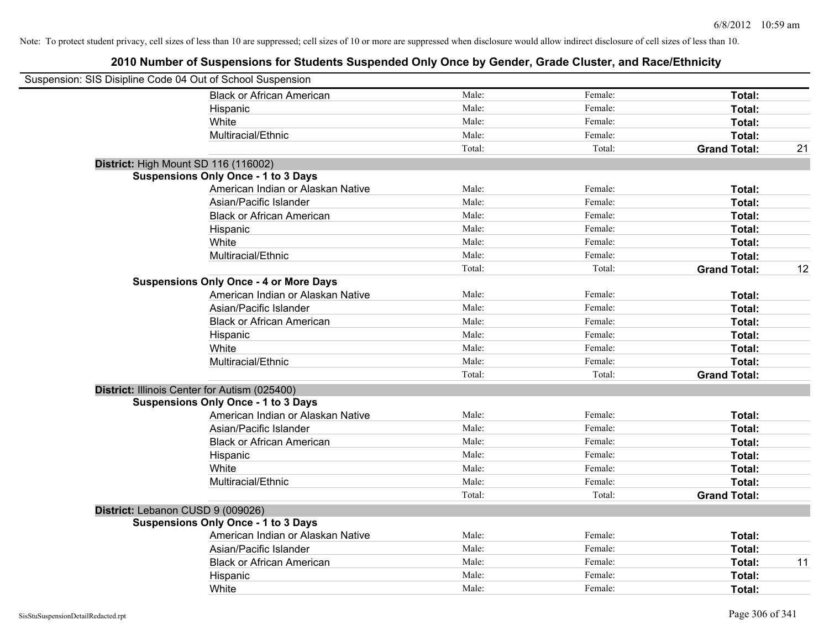| Suspension: SIS Disipline Code 04 Out of School Suspension |                                               |        |         |                     |    |
|------------------------------------------------------------|-----------------------------------------------|--------|---------|---------------------|----|
|                                                            | <b>Black or African American</b>              | Male:  | Female: | Total:              |    |
|                                                            | Hispanic                                      | Male:  | Female: | Total:              |    |
|                                                            | White                                         | Male:  | Female: | Total:              |    |
|                                                            | Multiracial/Ethnic                            | Male:  | Female: | Total:              |    |
|                                                            |                                               | Total: | Total:  | <b>Grand Total:</b> | 21 |
| District: High Mount SD 116 (116002)                       |                                               |        |         |                     |    |
|                                                            | <b>Suspensions Only Once - 1 to 3 Days</b>    |        |         |                     |    |
|                                                            | American Indian or Alaskan Native             | Male:  | Female: | Total:              |    |
|                                                            | Asian/Pacific Islander                        | Male:  | Female: | Total:              |    |
|                                                            | <b>Black or African American</b>              | Male:  | Female: | Total:              |    |
|                                                            | Hispanic                                      | Male:  | Female: | Total:              |    |
|                                                            | White                                         | Male:  | Female: | Total:              |    |
|                                                            | Multiracial/Ethnic                            | Male:  | Female: | Total:              |    |
|                                                            |                                               | Total: | Total:  | <b>Grand Total:</b> | 12 |
|                                                            | <b>Suspensions Only Once - 4 or More Days</b> |        |         |                     |    |
|                                                            | American Indian or Alaskan Native             | Male:  | Female: | Total:              |    |
|                                                            | Asian/Pacific Islander                        | Male:  | Female: | Total:              |    |
|                                                            | <b>Black or African American</b>              | Male:  | Female: | Total:              |    |
|                                                            | Hispanic                                      | Male:  | Female: | Total:              |    |
|                                                            | White                                         | Male:  | Female: | Total:              |    |
|                                                            | Multiracial/Ethnic                            | Male:  | Female: | Total:              |    |
|                                                            |                                               | Total: | Total:  | <b>Grand Total:</b> |    |
| District: Illinois Center for Autism (025400)              |                                               |        |         |                     |    |
|                                                            | <b>Suspensions Only Once - 1 to 3 Days</b>    |        |         |                     |    |
|                                                            | American Indian or Alaskan Native             | Male:  | Female: | Total:              |    |
|                                                            | Asian/Pacific Islander                        | Male:  | Female: | Total:              |    |
|                                                            | <b>Black or African American</b>              | Male:  | Female: | Total:              |    |
|                                                            | Hispanic                                      | Male:  | Female: | Total:              |    |
|                                                            | White                                         | Male:  | Female: | Total:              |    |
|                                                            | Multiracial/Ethnic                            | Male:  | Female: | Total:              |    |
|                                                            |                                               | Total: | Total:  | <b>Grand Total:</b> |    |
| District: Lebanon CUSD 9 (009026)                          |                                               |        |         |                     |    |
|                                                            | <b>Suspensions Only Once - 1 to 3 Days</b>    |        |         |                     |    |
|                                                            | American Indian or Alaskan Native             | Male:  | Female: | Total:              |    |
|                                                            | Asian/Pacific Islander                        | Male:  | Female: | Total:              |    |
|                                                            | <b>Black or African American</b>              | Male:  | Female: | Total:              | 11 |
|                                                            | Hispanic                                      | Male:  | Female: | Total:              |    |
|                                                            | White                                         | Male:  | Female: | Total:              |    |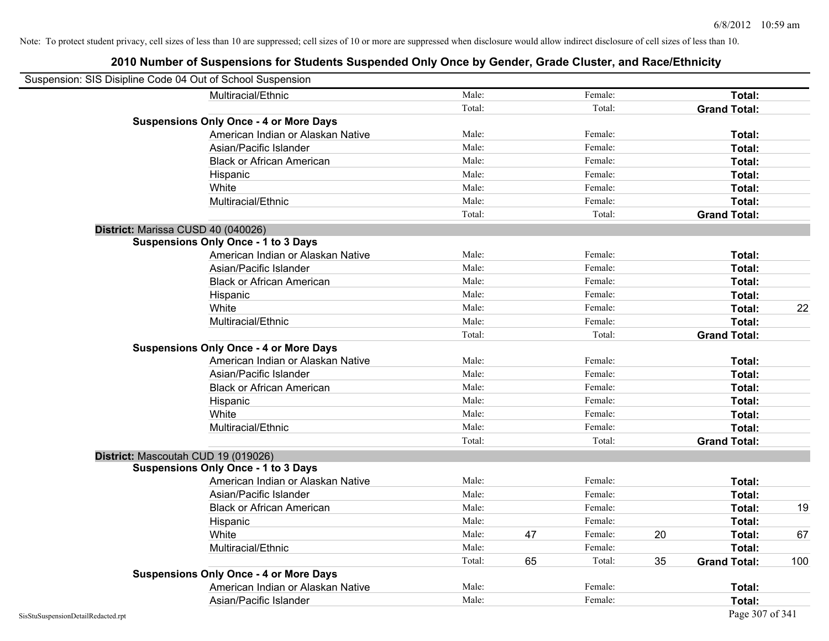| Suspension: SIS Disipline Code 04 Out of School Suspension |                                               |        |    |         |    |                     |     |
|------------------------------------------------------------|-----------------------------------------------|--------|----|---------|----|---------------------|-----|
|                                                            | Multiracial/Ethnic                            | Male:  |    | Female: |    | Total:              |     |
|                                                            |                                               | Total: |    | Total:  |    | <b>Grand Total:</b> |     |
|                                                            | <b>Suspensions Only Once - 4 or More Days</b> |        |    |         |    |                     |     |
|                                                            | American Indian or Alaskan Native             | Male:  |    | Female: |    | Total:              |     |
|                                                            | Asian/Pacific Islander                        | Male:  |    | Female: |    | Total:              |     |
|                                                            | <b>Black or African American</b>              | Male:  |    | Female: |    | Total:              |     |
|                                                            | Hispanic                                      | Male:  |    | Female: |    | Total:              |     |
|                                                            | White                                         | Male:  |    | Female: |    | Total:              |     |
|                                                            | Multiracial/Ethnic                            | Male:  |    | Female: |    | Total:              |     |
|                                                            |                                               | Total: |    | Total:  |    | <b>Grand Total:</b> |     |
| District: Marissa CUSD 40 (040026)                         |                                               |        |    |         |    |                     |     |
|                                                            | <b>Suspensions Only Once - 1 to 3 Days</b>    |        |    |         |    |                     |     |
|                                                            | American Indian or Alaskan Native             | Male:  |    | Female: |    | Total:              |     |
|                                                            | Asian/Pacific Islander                        | Male:  |    | Female: |    | Total:              |     |
|                                                            | <b>Black or African American</b>              | Male:  |    | Female: |    | Total:              |     |
|                                                            | Hispanic                                      | Male:  |    | Female: |    | Total:              |     |
|                                                            | White                                         | Male:  |    | Female: |    | Total:              | 22  |
|                                                            | Multiracial/Ethnic                            | Male:  |    | Female: |    | Total:              |     |
|                                                            |                                               | Total: |    | Total:  |    | <b>Grand Total:</b> |     |
|                                                            | <b>Suspensions Only Once - 4 or More Days</b> |        |    |         |    |                     |     |
|                                                            | American Indian or Alaskan Native             | Male:  |    | Female: |    | Total:              |     |
|                                                            | Asian/Pacific Islander                        | Male:  |    | Female: |    | Total:              |     |
|                                                            | <b>Black or African American</b>              | Male:  |    | Female: |    | Total:              |     |
|                                                            | Hispanic                                      | Male:  |    | Female: |    | Total:              |     |
|                                                            | White                                         | Male:  |    | Female: |    | Total:              |     |
|                                                            | Multiracial/Ethnic                            | Male:  |    | Female: |    | Total:              |     |
|                                                            |                                               | Total: |    | Total:  |    | <b>Grand Total:</b> |     |
|                                                            | District: Mascoutah CUD 19 (019026)           |        |    |         |    |                     |     |
|                                                            | <b>Suspensions Only Once - 1 to 3 Days</b>    |        |    |         |    |                     |     |
|                                                            | American Indian or Alaskan Native             | Male:  |    | Female: |    | Total:              |     |
|                                                            | Asian/Pacific Islander                        | Male:  |    | Female: |    | Total:              |     |
|                                                            | <b>Black or African American</b>              | Male:  |    | Female: |    | Total:              | 19  |
|                                                            | Hispanic                                      | Male:  |    | Female: |    | Total:              |     |
|                                                            | White                                         | Male:  | 47 | Female: | 20 | Total:              | 67  |
|                                                            | Multiracial/Ethnic                            | Male:  |    | Female: |    | Total:              |     |
|                                                            |                                               | Total: | 65 | Total:  | 35 | <b>Grand Total:</b> | 100 |
|                                                            | <b>Suspensions Only Once - 4 or More Days</b> |        |    |         |    |                     |     |
|                                                            | American Indian or Alaskan Native             | Male:  |    | Female: |    | Total:              |     |
|                                                            | Asian/Pacific Islander                        | Male:  |    | Female: |    | Total:              |     |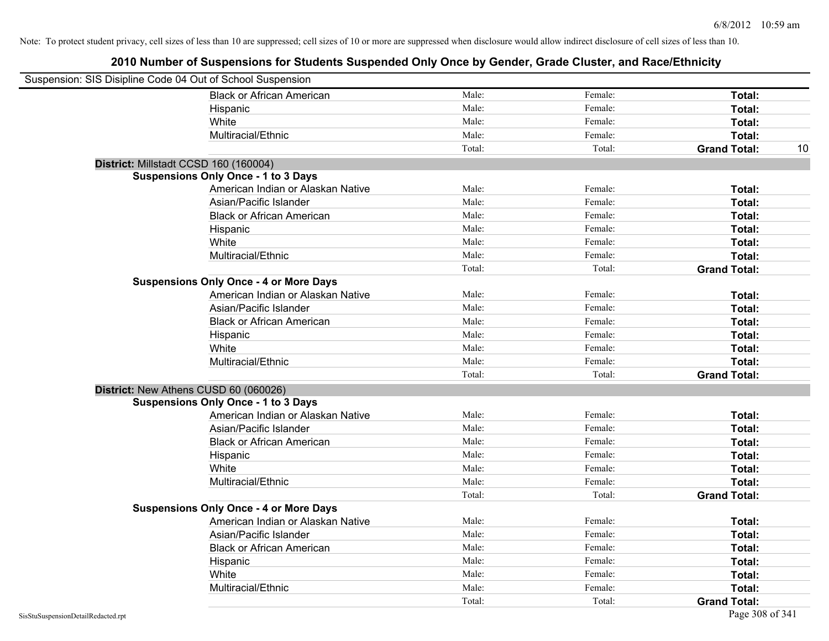| Suspension: SIS Disipline Code 04 Out of School Suspension |                                               |        |         |                     |    |
|------------------------------------------------------------|-----------------------------------------------|--------|---------|---------------------|----|
|                                                            | <b>Black or African American</b>              | Male:  | Female: | Total:              |    |
|                                                            | Hispanic                                      | Male:  | Female: | Total:              |    |
|                                                            | White                                         | Male:  | Female: | Total:              |    |
|                                                            | Multiracial/Ethnic                            | Male:  | Female: | Total:              |    |
|                                                            |                                               | Total: | Total:  | <b>Grand Total:</b> | 10 |
| District: Millstadt CCSD 160 (160004)                      |                                               |        |         |                     |    |
|                                                            | <b>Suspensions Only Once - 1 to 3 Days</b>    |        |         |                     |    |
|                                                            | American Indian or Alaskan Native             | Male:  | Female: | Total:              |    |
|                                                            | Asian/Pacific Islander                        | Male:  | Female: | Total:              |    |
|                                                            | <b>Black or African American</b>              | Male:  | Female: | Total:              |    |
|                                                            | Hispanic                                      | Male:  | Female: | Total:              |    |
|                                                            | White                                         | Male:  | Female: | Total:              |    |
|                                                            | Multiracial/Ethnic                            | Male:  | Female: | Total:              |    |
|                                                            |                                               | Total: | Total:  | <b>Grand Total:</b> |    |
|                                                            | <b>Suspensions Only Once - 4 or More Days</b> |        |         |                     |    |
|                                                            | American Indian or Alaskan Native             | Male:  | Female: | Total:              |    |
|                                                            | Asian/Pacific Islander                        | Male:  | Female: | Total:              |    |
|                                                            | <b>Black or African American</b>              | Male:  | Female: | Total:              |    |
|                                                            | Hispanic                                      | Male:  | Female: | Total:              |    |
|                                                            | White                                         | Male:  | Female: | Total:              |    |
|                                                            | Multiracial/Ethnic                            | Male:  | Female: | Total:              |    |
|                                                            |                                               | Total: | Total:  | <b>Grand Total:</b> |    |
| District: New Athens CUSD 60 (060026)                      |                                               |        |         |                     |    |
|                                                            | <b>Suspensions Only Once - 1 to 3 Days</b>    |        |         |                     |    |
|                                                            | American Indian or Alaskan Native             | Male:  | Female: | Total:              |    |
|                                                            | Asian/Pacific Islander                        | Male:  | Female: | Total:              |    |
|                                                            | <b>Black or African American</b>              | Male:  | Female: | Total:              |    |
|                                                            | Hispanic                                      | Male:  | Female: | Total:              |    |
|                                                            | White                                         | Male:  | Female: | Total:              |    |
|                                                            | Multiracial/Ethnic                            | Male:  | Female: | Total:              |    |
|                                                            |                                               | Total: | Total:  | <b>Grand Total:</b> |    |
|                                                            | <b>Suspensions Only Once - 4 or More Days</b> |        |         |                     |    |
|                                                            | American Indian or Alaskan Native             | Male:  | Female: | Total:              |    |
|                                                            | Asian/Pacific Islander                        | Male:  | Female: | Total:              |    |
|                                                            | <b>Black or African American</b>              | Male:  | Female: | Total:              |    |
|                                                            | Hispanic                                      | Male:  | Female: | Total:              |    |
|                                                            | White                                         | Male:  | Female: | Total:              |    |
|                                                            | Multiracial/Ethnic                            | Male:  | Female: | Total:              |    |
|                                                            |                                               | Total: | Total:  | <b>Grand Total:</b> |    |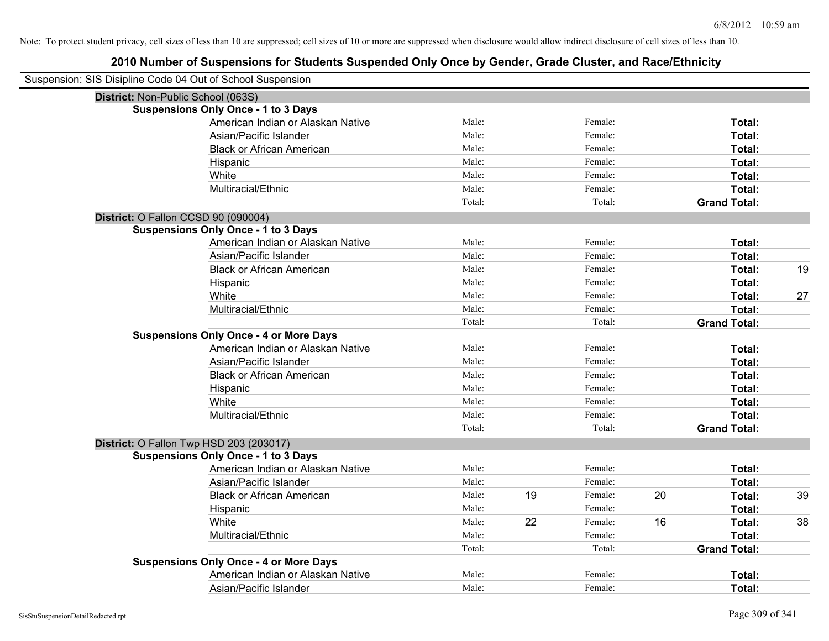| Suspension: SIS Disipline Code 04 Out of School Suspension |                                               |        |    |         |    |                     |    |
|------------------------------------------------------------|-----------------------------------------------|--------|----|---------|----|---------------------|----|
| District: Non-Public School (063S)                         |                                               |        |    |         |    |                     |    |
|                                                            | <b>Suspensions Only Once - 1 to 3 Days</b>    |        |    |         |    |                     |    |
|                                                            | American Indian or Alaskan Native             | Male:  |    | Female: |    | Total:              |    |
|                                                            | Asian/Pacific Islander                        | Male:  |    | Female: |    | Total:              |    |
|                                                            | <b>Black or African American</b>              | Male:  |    | Female: |    | Total:              |    |
|                                                            | Hispanic                                      | Male:  |    | Female: |    | <b>Total:</b>       |    |
|                                                            | White                                         | Male:  |    | Female: |    | Total:              |    |
|                                                            | Multiracial/Ethnic                            | Male:  |    | Female: |    | Total:              |    |
|                                                            |                                               | Total: |    | Total:  |    | <b>Grand Total:</b> |    |
| District: O Fallon CCSD 90 (090004)                        |                                               |        |    |         |    |                     |    |
|                                                            | <b>Suspensions Only Once - 1 to 3 Days</b>    |        |    |         |    |                     |    |
|                                                            | American Indian or Alaskan Native             | Male:  |    | Female: |    | Total:              |    |
|                                                            | Asian/Pacific Islander                        | Male:  |    | Female: |    | Total:              |    |
|                                                            | <b>Black or African American</b>              | Male:  |    | Female: |    | Total:              | 19 |
|                                                            | Hispanic                                      | Male:  |    | Female: |    | Total:              |    |
|                                                            | White                                         | Male:  |    | Female: |    | Total:              | 27 |
|                                                            | Multiracial/Ethnic                            | Male:  |    | Female: |    | Total:              |    |
|                                                            |                                               | Total: |    | Total:  |    | <b>Grand Total:</b> |    |
|                                                            | <b>Suspensions Only Once - 4 or More Days</b> |        |    |         |    |                     |    |
|                                                            | American Indian or Alaskan Native             | Male:  |    | Female: |    | Total:              |    |
|                                                            | Asian/Pacific Islander                        | Male:  |    | Female: |    | Total:              |    |
|                                                            | <b>Black or African American</b>              | Male:  |    | Female: |    | Total:              |    |
|                                                            | Hispanic                                      | Male:  |    | Female: |    | Total:              |    |
|                                                            | White                                         | Male:  |    | Female: |    | Total:              |    |
|                                                            | Multiracial/Ethnic                            | Male:  |    | Female: |    | Total:              |    |
|                                                            |                                               | Total: |    | Total:  |    | <b>Grand Total:</b> |    |
|                                                            | District: O Fallon Twp HSD 203 (203017)       |        |    |         |    |                     |    |
|                                                            | <b>Suspensions Only Once - 1 to 3 Days</b>    |        |    |         |    |                     |    |
|                                                            | American Indian or Alaskan Native             | Male:  |    | Female: |    | Total:              |    |
|                                                            | Asian/Pacific Islander                        | Male:  |    | Female: |    | Total:              |    |
|                                                            | <b>Black or African American</b>              | Male:  | 19 | Female: | 20 | Total:              | 39 |
|                                                            | Hispanic                                      | Male:  |    | Female: |    | Total:              |    |
|                                                            | White                                         | Male:  | 22 | Female: | 16 | Total:              | 38 |
|                                                            | Multiracial/Ethnic                            | Male:  |    | Female: |    | Total:              |    |
|                                                            |                                               | Total: |    | Total:  |    | <b>Grand Total:</b> |    |
|                                                            | <b>Suspensions Only Once - 4 or More Days</b> |        |    |         |    |                     |    |
|                                                            | American Indian or Alaskan Native             | Male:  |    | Female: |    | Total:              |    |
|                                                            | Asian/Pacific Islander                        | Male:  |    | Female: |    | Total:              |    |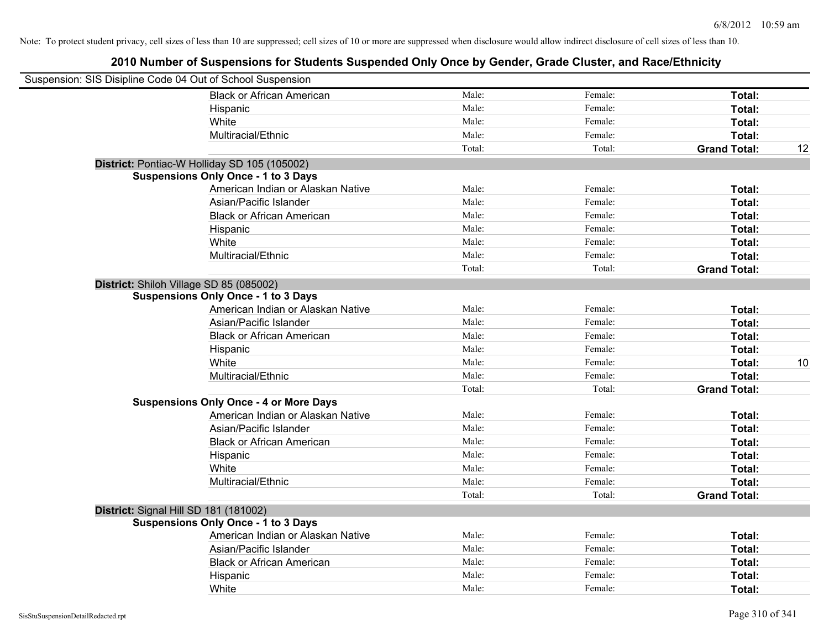| Suspension: SIS Disipline Code 04 Out of School Suspension |                                               |        |         |                     |    |
|------------------------------------------------------------|-----------------------------------------------|--------|---------|---------------------|----|
|                                                            | <b>Black or African American</b>              | Male:  | Female: | Total:              |    |
|                                                            | Hispanic                                      | Male:  | Female: | Total:              |    |
|                                                            | White                                         | Male:  | Female: | Total:              |    |
|                                                            | Multiracial/Ethnic                            | Male:  | Female: | Total:              |    |
|                                                            |                                               | Total: | Total:  | <b>Grand Total:</b> | 12 |
|                                                            | District: Pontiac-W Holliday SD 105 (105002)  |        |         |                     |    |
|                                                            | <b>Suspensions Only Once - 1 to 3 Days</b>    |        |         |                     |    |
|                                                            | American Indian or Alaskan Native             | Male:  | Female: | Total:              |    |
|                                                            | Asian/Pacific Islander                        | Male:  | Female: | Total:              |    |
|                                                            | <b>Black or African American</b>              | Male:  | Female: | Total:              |    |
|                                                            | Hispanic                                      | Male:  | Female: | Total:              |    |
|                                                            | White                                         | Male:  | Female: | Total:              |    |
|                                                            | Multiracial/Ethnic                            | Male:  | Female: | Total:              |    |
|                                                            |                                               | Total: | Total:  | <b>Grand Total:</b> |    |
| District: Shiloh Village SD 85 (085002)                    |                                               |        |         |                     |    |
|                                                            | <b>Suspensions Only Once - 1 to 3 Days</b>    |        |         |                     |    |
|                                                            | American Indian or Alaskan Native             | Male:  | Female: | Total:              |    |
|                                                            | Asian/Pacific Islander                        | Male:  | Female: | Total:              |    |
|                                                            | <b>Black or African American</b>              | Male:  | Female: | Total:              |    |
|                                                            | Hispanic                                      | Male:  | Female: | Total:              |    |
|                                                            | White                                         | Male:  | Female: | Total:              | 10 |
|                                                            | Multiracial/Ethnic                            | Male:  | Female: | Total:              |    |
|                                                            |                                               | Total: | Total:  | <b>Grand Total:</b> |    |
|                                                            | <b>Suspensions Only Once - 4 or More Days</b> |        |         |                     |    |
|                                                            | American Indian or Alaskan Native             | Male:  | Female: | Total:              |    |
|                                                            | Asian/Pacific Islander                        | Male:  | Female: | Total:              |    |
|                                                            | <b>Black or African American</b>              | Male:  | Female: | Total:              |    |
|                                                            | Hispanic                                      | Male:  | Female: | Total:              |    |
|                                                            | White                                         | Male:  | Female: | Total:              |    |
|                                                            | Multiracial/Ethnic                            | Male:  | Female: | Total:              |    |
|                                                            |                                               | Total: | Total:  | <b>Grand Total:</b> |    |
| District: Signal Hill SD 181 (181002)                      |                                               |        |         |                     |    |
|                                                            | <b>Suspensions Only Once - 1 to 3 Days</b>    |        |         |                     |    |
|                                                            | American Indian or Alaskan Native             | Male:  | Female: | Total:              |    |
|                                                            | Asian/Pacific Islander                        | Male:  | Female: | Total:              |    |
|                                                            | <b>Black or African American</b>              | Male:  | Female: | Total:              |    |
|                                                            | Hispanic                                      | Male:  | Female: | Total:              |    |
|                                                            | White                                         | Male:  | Female: | Total:              |    |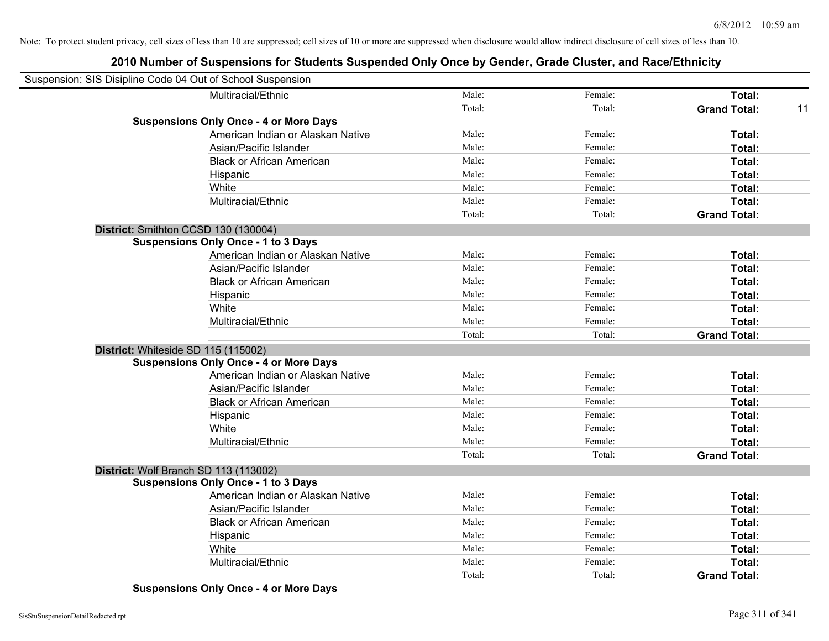# **2010 Number of Suspensions for Students Suspended Only Once by Gender, Grade Cluster, and Race/Ethnicity**

| Suspension: SIS Disipline Code 04 Out of School Suspension |                                               |        |         |                     |    |
|------------------------------------------------------------|-----------------------------------------------|--------|---------|---------------------|----|
|                                                            | Multiracial/Ethnic                            | Male:  | Female: | Total:              |    |
|                                                            |                                               | Total: | Total:  | <b>Grand Total:</b> | 11 |
|                                                            | <b>Suspensions Only Once - 4 or More Days</b> |        |         |                     |    |
|                                                            | American Indian or Alaskan Native             | Male:  | Female: | Total:              |    |
|                                                            | Asian/Pacific Islander                        | Male:  | Female: | Total:              |    |
|                                                            | <b>Black or African American</b>              | Male:  | Female: | Total:              |    |
|                                                            | Hispanic                                      | Male:  | Female: | Total:              |    |
|                                                            | White                                         | Male:  | Female: | Total:              |    |
|                                                            | Multiracial/Ethnic                            | Male:  | Female: | Total:              |    |
|                                                            |                                               | Total: | Total:  | <b>Grand Total:</b> |    |
| District: Smithton CCSD 130 (130004)                       |                                               |        |         |                     |    |
|                                                            | <b>Suspensions Only Once - 1 to 3 Days</b>    |        |         |                     |    |
|                                                            | American Indian or Alaskan Native             | Male:  | Female: | Total:              |    |
|                                                            | Asian/Pacific Islander                        | Male:  | Female: | Total:              |    |
|                                                            | <b>Black or African American</b>              | Male:  | Female: | Total:              |    |
|                                                            | Hispanic                                      | Male:  | Female: | Total:              |    |
|                                                            | White                                         | Male:  | Female: | Total:              |    |
|                                                            | Multiracial/Ethnic                            | Male:  | Female: | Total:              |    |
|                                                            |                                               | Total: | Total:  | <b>Grand Total:</b> |    |
| District: Whiteside SD 115 (115002)                        |                                               |        |         |                     |    |
|                                                            | <b>Suspensions Only Once - 4 or More Days</b> |        |         |                     |    |
|                                                            | American Indian or Alaskan Native             | Male:  | Female: | Total:              |    |
|                                                            | Asian/Pacific Islander                        | Male:  | Female: | Total:              |    |
|                                                            | <b>Black or African American</b>              | Male:  | Female: | Total:              |    |
|                                                            | Hispanic                                      | Male:  | Female: | Total:              |    |
|                                                            | White                                         | Male:  | Female: | Total:              |    |
|                                                            | Multiracial/Ethnic                            | Male:  | Female: | Total:              |    |
|                                                            |                                               | Total: | Total:  | <b>Grand Total:</b> |    |
| District: Wolf Branch SD 113 (113002)                      |                                               |        |         |                     |    |
|                                                            | <b>Suspensions Only Once - 1 to 3 Days</b>    |        |         |                     |    |
|                                                            | American Indian or Alaskan Native             | Male:  | Female: | Total:              |    |
|                                                            | Asian/Pacific Islander                        | Male:  | Female: | Total:              |    |
|                                                            | <b>Black or African American</b>              | Male:  | Female: | Total:              |    |
|                                                            | Hispanic                                      | Male:  | Female: | Total:              |    |
|                                                            | White                                         | Male:  | Female: | Total:              |    |
|                                                            | Multiracial/Ethnic                            | Male:  | Female: | Total:              |    |
|                                                            |                                               | Total: | Total:  | <b>Grand Total:</b> |    |

**Suspensions Only Once - 4 or More Days**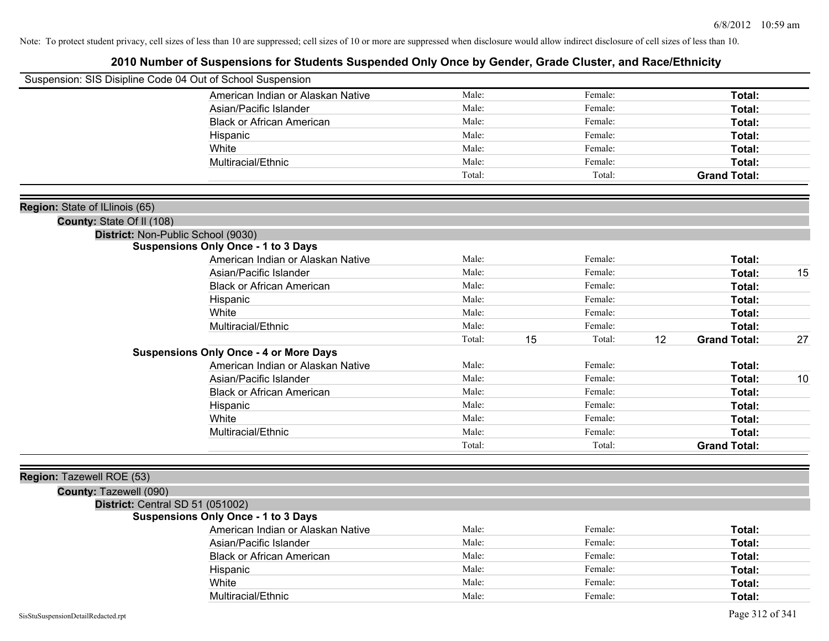| Suspension: SIS Disipline Code 04 Out of School Suspension |                                               |        |    |         |    |                     |    |
|------------------------------------------------------------|-----------------------------------------------|--------|----|---------|----|---------------------|----|
|                                                            | American Indian or Alaskan Native             | Male:  |    | Female: |    | Total:              |    |
|                                                            | Asian/Pacific Islander                        | Male:  |    | Female: |    | <b>Total:</b>       |    |
|                                                            | <b>Black or African American</b>              | Male:  |    | Female: |    | Total:              |    |
|                                                            | Hispanic                                      | Male:  |    | Female: |    | Total:              |    |
|                                                            | White                                         | Male:  |    | Female: |    | Total:              |    |
|                                                            | Multiracial/Ethnic                            | Male:  |    | Female: |    | Total:              |    |
|                                                            |                                               | Total: |    | Total:  |    | <b>Grand Total:</b> |    |
| Region: State of ILlinois (65)                             |                                               |        |    |         |    |                     |    |
| County: State Of II (108)                                  |                                               |        |    |         |    |                     |    |
|                                                            | District: Non-Public School (9030)            |        |    |         |    |                     |    |
|                                                            | <b>Suspensions Only Once - 1 to 3 Days</b>    |        |    |         |    |                     |    |
|                                                            | American Indian or Alaskan Native             | Male:  |    | Female: |    | <b>Total:</b>       |    |
|                                                            | Asian/Pacific Islander                        | Male:  |    | Female: |    | Total:              | 15 |
|                                                            | <b>Black or African American</b>              | Male:  |    | Female: |    | Total:              |    |
|                                                            | Hispanic                                      | Male:  |    | Female: |    | Total:              |    |
|                                                            | White                                         | Male:  |    | Female: |    | Total:              |    |
|                                                            | Multiracial/Ethnic                            | Male:  |    | Female: |    | Total:              |    |
|                                                            |                                               | Total: | 15 | Total:  | 12 | <b>Grand Total:</b> | 27 |
|                                                            | <b>Suspensions Only Once - 4 or More Days</b> |        |    |         |    |                     |    |
|                                                            | American Indian or Alaskan Native             | Male:  |    | Female: |    | Total:              |    |
|                                                            | Asian/Pacific Islander                        | Male:  |    | Female: |    | Total:              | 10 |
|                                                            | <b>Black or African American</b>              | Male:  |    | Female: |    | Total:              |    |
|                                                            | Hispanic                                      | Male:  |    | Female: |    | Total:              |    |
|                                                            | White                                         | Male:  |    | Female: |    | Total:              |    |
|                                                            | Multiracial/Ethnic                            | Male:  |    | Female: |    | Total:              |    |
|                                                            |                                               | Total: |    | Total:  |    | <b>Grand Total:</b> |    |
| Region: Tazewell ROE (53)                                  |                                               |        |    |         |    |                     |    |
| County: Tazewell (090)                                     |                                               |        |    |         |    |                     |    |
|                                                            | District: Central SD 51 (051002)              |        |    |         |    |                     |    |
|                                                            | <b>Suspensions Only Once - 1 to 3 Days</b>    |        |    |         |    |                     |    |
|                                                            | American Indian or Alaskan Native             | Male:  |    | Female: |    | Total:              |    |
|                                                            | Asian/Pacific Islander                        | Male:  |    | Female: |    | Total:              |    |
|                                                            | <b>Black or African American</b>              | Male:  |    | Female: |    | Total:              |    |
|                                                            | Hispanic                                      | Male:  |    | Female: |    | Total:              |    |
|                                                            | White                                         | Male:  |    | Female: |    | Total:              |    |
|                                                            | Multiracial/Ethnic                            | Male:  |    | Female: |    | Total:              |    |
|                                                            |                                               |        |    |         |    |                     |    |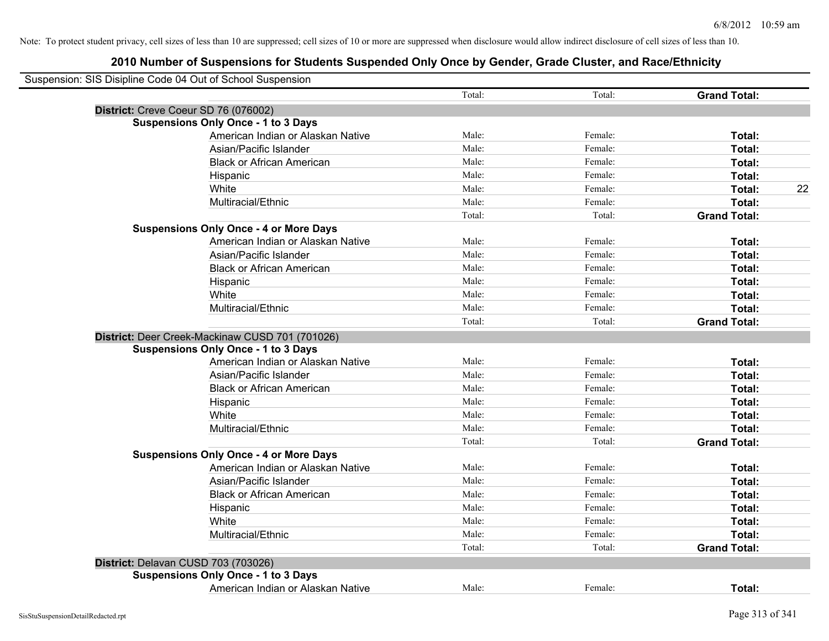| Suspension: SIS Disipline Code 04 Out of School Suspension |        |         |                     |
|------------------------------------------------------------|--------|---------|---------------------|
|                                                            | Total: | Total:  | <b>Grand Total:</b> |
| District: Creve Coeur SD 76 (076002)                       |        |         |                     |
| <b>Suspensions Only Once - 1 to 3 Days</b>                 |        |         |                     |
| American Indian or Alaskan Native                          | Male:  | Female: | Total:              |
| Asian/Pacific Islander                                     | Male:  | Female: | Total:              |
| <b>Black or African American</b>                           | Male:  | Female: | Total:              |
| Hispanic                                                   | Male:  | Female: | Total:              |
| White                                                      | Male:  | Female: | Total:              |
| Multiracial/Ethnic                                         | Male:  | Female: | Total:              |
|                                                            | Total: | Total:  | <b>Grand Total:</b> |
| <b>Suspensions Only Once - 4 or More Days</b>              |        |         |                     |
| American Indian or Alaskan Native                          | Male:  | Female: | Total:              |
| Asian/Pacific Islander                                     | Male:  | Female: | Total:              |
| <b>Black or African American</b>                           | Male:  | Female: | Total:              |
| Hispanic                                                   | Male:  | Female: | Total:              |
| White                                                      | Male:  | Female: | Total:              |
| Multiracial/Ethnic                                         | Male:  | Female: | Total:              |
|                                                            | Total: | Total:  | <b>Grand Total:</b> |
| District: Deer Creek-Mackinaw CUSD 701 (701026)            |        |         |                     |
| <b>Suspensions Only Once - 1 to 3 Days</b>                 |        |         |                     |
| American Indian or Alaskan Native                          | Male:  | Female: | Total:              |
| Asian/Pacific Islander                                     | Male:  | Female: | Total:              |
| <b>Black or African American</b>                           | Male:  | Female: | Total:              |
| Hispanic                                                   | Male:  | Female: | Total:              |
| White                                                      | Male:  | Female: | Total:              |
| Multiracial/Ethnic                                         | Male:  | Female: | Total:              |
|                                                            | Total: | Total:  | <b>Grand Total:</b> |
| <b>Suspensions Only Once - 4 or More Days</b>              |        |         |                     |
| American Indian or Alaskan Native                          | Male:  | Female: | Total:              |
| Asian/Pacific Islander                                     | Male:  | Female: | Total:              |
| <b>Black or African American</b>                           | Male:  | Female: | Total:              |
| Hispanic                                                   | Male:  | Female: | Total:              |
| White                                                      | Male:  | Female: | Total:              |
| Multiracial/Ethnic                                         | Male:  | Female: | Total:              |
|                                                            | Total: | Total:  | <b>Grand Total:</b> |
| District: Delavan CUSD 703 (703026)                        |        |         |                     |
| <b>Suspensions Only Once - 1 to 3 Days</b>                 |        |         |                     |
| American Indian or Alaskan Native                          | Male:  | Female: | <b>Total:</b>       |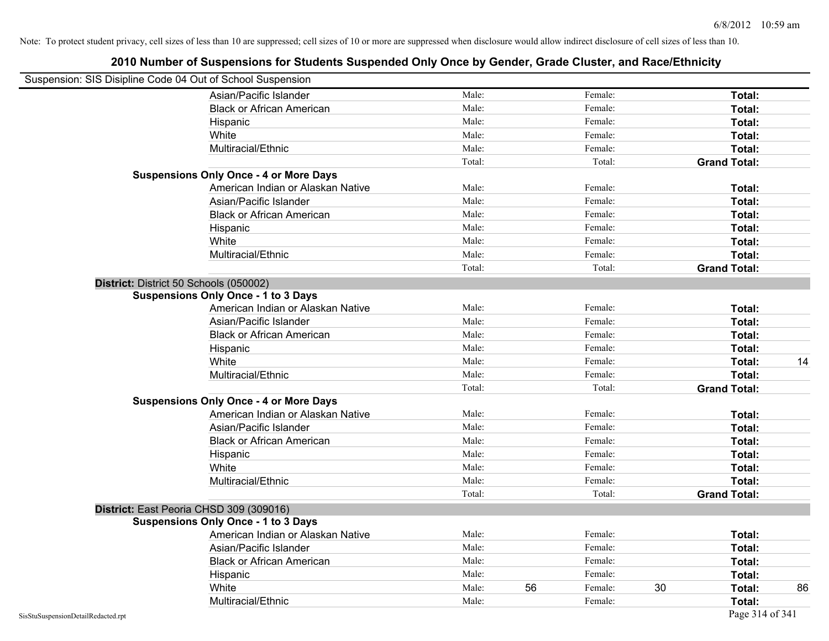| Suspension: SIS Disipline Code 04 Out of School Suspension |                                               |        |    |         |    |                     |    |
|------------------------------------------------------------|-----------------------------------------------|--------|----|---------|----|---------------------|----|
|                                                            | Asian/Pacific Islander                        | Male:  |    | Female: |    | Total:              |    |
|                                                            | <b>Black or African American</b>              | Male:  |    | Female: |    | Total:              |    |
|                                                            | Hispanic                                      | Male:  |    | Female: |    | Total:              |    |
|                                                            | White                                         | Male:  |    | Female: |    | Total:              |    |
|                                                            | Multiracial/Ethnic                            | Male:  |    | Female: |    | Total:              |    |
|                                                            |                                               | Total: |    | Total:  |    | <b>Grand Total:</b> |    |
|                                                            | <b>Suspensions Only Once - 4 or More Days</b> |        |    |         |    |                     |    |
|                                                            | American Indian or Alaskan Native             | Male:  |    | Female: |    | Total:              |    |
|                                                            | Asian/Pacific Islander                        | Male:  |    | Female: |    | Total:              |    |
|                                                            | <b>Black or African American</b>              | Male:  |    | Female: |    | Total:              |    |
|                                                            | Hispanic                                      | Male:  |    | Female: |    | Total:              |    |
|                                                            | White                                         | Male:  |    | Female: |    | Total:              |    |
|                                                            | Multiracial/Ethnic                            | Male:  |    | Female: |    | Total:              |    |
|                                                            |                                               | Total: |    | Total:  |    | <b>Grand Total:</b> |    |
| District: District 50 Schools (050002)                     |                                               |        |    |         |    |                     |    |
|                                                            | <b>Suspensions Only Once - 1 to 3 Days</b>    |        |    |         |    |                     |    |
|                                                            | American Indian or Alaskan Native             | Male:  |    | Female: |    | Total:              |    |
|                                                            | Asian/Pacific Islander                        | Male:  |    | Female: |    | Total:              |    |
|                                                            | <b>Black or African American</b>              | Male:  |    | Female: |    | Total:              |    |
|                                                            | Hispanic                                      | Male:  |    | Female: |    | Total:              |    |
|                                                            | White                                         | Male:  |    | Female: |    | Total:              | 14 |
|                                                            | Multiracial/Ethnic                            | Male:  |    | Female: |    | Total:              |    |
|                                                            |                                               | Total: |    | Total:  |    | <b>Grand Total:</b> |    |
|                                                            | <b>Suspensions Only Once - 4 or More Days</b> |        |    |         |    |                     |    |
|                                                            | American Indian or Alaskan Native             | Male:  |    | Female: |    | Total:              |    |
|                                                            | Asian/Pacific Islander                        | Male:  |    | Female: |    | Total:              |    |
|                                                            | <b>Black or African American</b>              | Male:  |    | Female: |    | Total:              |    |
|                                                            | Hispanic                                      | Male:  |    | Female: |    | Total:              |    |
|                                                            | White                                         | Male:  |    | Female: |    | Total:              |    |
|                                                            | Multiracial/Ethnic                            | Male:  |    | Female: |    | Total:              |    |
|                                                            |                                               | Total: |    | Total:  |    | <b>Grand Total:</b> |    |
|                                                            | District: East Peoria CHSD 309 (309016)       |        |    |         |    |                     |    |
|                                                            | <b>Suspensions Only Once - 1 to 3 Days</b>    |        |    |         |    |                     |    |
|                                                            | American Indian or Alaskan Native             | Male:  |    | Female: |    | Total:              |    |
|                                                            | Asian/Pacific Islander                        | Male:  |    | Female: |    | Total:              |    |
|                                                            | <b>Black or African American</b>              | Male:  |    | Female: |    | Total:              |    |
|                                                            | Hispanic                                      | Male:  |    | Female: |    | Total:              |    |
|                                                            | White                                         | Male:  | 56 | Female: | 30 | Total:              | 86 |
|                                                            | Multiracial/Ethnic                            | Male:  |    | Female: |    | Total:              |    |
| SisStuSuspensionDetailRedacted.rpt                         |                                               |        |    |         |    | Page 314 of 341     |    |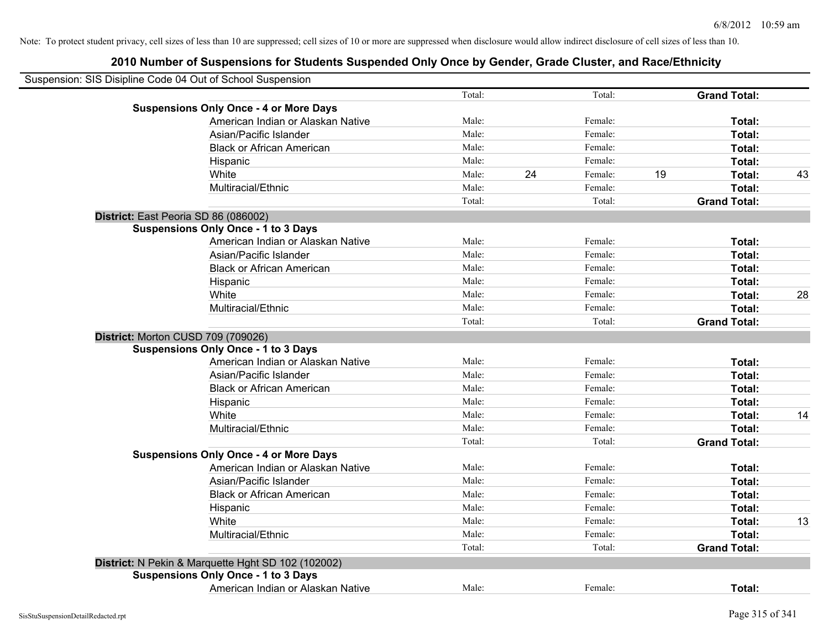| Suspension: SIS Disipline Code 04 Out of School Suspension |                                                    |        |    |         |    |                     |    |
|------------------------------------------------------------|----------------------------------------------------|--------|----|---------|----|---------------------|----|
|                                                            |                                                    | Total: |    | Total:  |    | <b>Grand Total:</b> |    |
|                                                            | <b>Suspensions Only Once - 4 or More Days</b>      |        |    |         |    |                     |    |
|                                                            | American Indian or Alaskan Native                  | Male:  |    | Female: |    | Total:              |    |
|                                                            | Asian/Pacific Islander                             | Male:  |    | Female: |    | Total:              |    |
|                                                            | <b>Black or African American</b>                   | Male:  |    | Female: |    | Total:              |    |
|                                                            | Hispanic                                           | Male:  |    | Female: |    | Total:              |    |
|                                                            | White                                              | Male:  | 24 | Female: | 19 | Total:              | 43 |
|                                                            | Multiracial/Ethnic                                 | Male:  |    | Female: |    | Total:              |    |
|                                                            |                                                    | Total: |    | Total:  |    | <b>Grand Total:</b> |    |
| District: East Peoria SD 86 (086002)                       |                                                    |        |    |         |    |                     |    |
|                                                            | <b>Suspensions Only Once - 1 to 3 Days</b>         |        |    |         |    |                     |    |
|                                                            | American Indian or Alaskan Native                  | Male:  |    | Female: |    | Total:              |    |
|                                                            | Asian/Pacific Islander                             | Male:  |    | Female: |    | Total:              |    |
|                                                            | <b>Black or African American</b>                   | Male:  |    | Female: |    | Total:              |    |
|                                                            | Hispanic                                           | Male:  |    | Female: |    | Total:              |    |
|                                                            | White                                              | Male:  |    | Female: |    | Total:              | 28 |
|                                                            | Multiracial/Ethnic                                 | Male:  |    | Female: |    | Total:              |    |
|                                                            |                                                    | Total: |    | Total:  |    | <b>Grand Total:</b> |    |
| District: Morton CUSD 709 (709026)                         |                                                    |        |    |         |    |                     |    |
|                                                            | <b>Suspensions Only Once - 1 to 3 Days</b>         |        |    |         |    |                     |    |
|                                                            | American Indian or Alaskan Native                  | Male:  |    | Female: |    | Total:              |    |
|                                                            | Asian/Pacific Islander                             | Male:  |    | Female: |    | Total:              |    |
|                                                            | <b>Black or African American</b>                   | Male:  |    | Female: |    | Total:              |    |
|                                                            | Hispanic                                           | Male:  |    | Female: |    | Total:              |    |
|                                                            | White                                              | Male:  |    | Female: |    | Total:              | 14 |
|                                                            | Multiracial/Ethnic                                 | Male:  |    | Female: |    | Total:              |    |
|                                                            |                                                    | Total: |    | Total:  |    | <b>Grand Total:</b> |    |
|                                                            | <b>Suspensions Only Once - 4 or More Days</b>      |        |    |         |    |                     |    |
|                                                            | American Indian or Alaskan Native                  | Male:  |    | Female: |    | Total:              |    |
|                                                            | Asian/Pacific Islander                             | Male:  |    | Female: |    | Total:              |    |
|                                                            | <b>Black or African American</b>                   | Male:  |    | Female: |    | Total:              |    |
|                                                            | Hispanic                                           | Male:  |    | Female: |    | Total:              |    |
|                                                            | White                                              | Male:  |    | Female: |    | Total:              | 13 |
|                                                            | Multiracial/Ethnic                                 | Male:  |    | Female: |    | Total:              |    |
|                                                            |                                                    | Total: |    | Total:  |    | <b>Grand Total:</b> |    |
|                                                            | District: N Pekin & Marquette Hght SD 102 (102002) |        |    |         |    |                     |    |
|                                                            | <b>Suspensions Only Once - 1 to 3 Days</b>         |        |    |         |    |                     |    |
|                                                            | American Indian or Alaskan Native                  | Male:  |    | Female: |    | Total:              |    |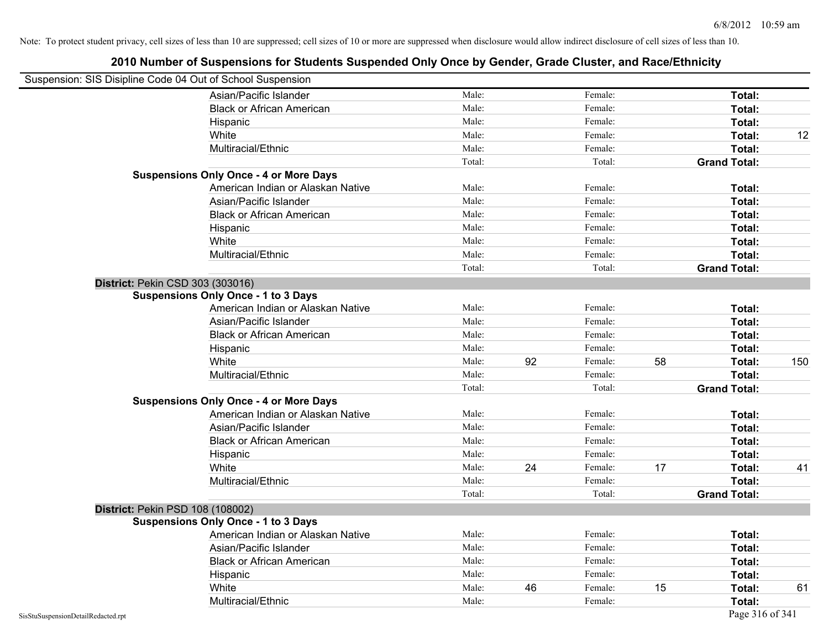| Suspension: SIS Disipline Code 04 Out of School Suspension |                                               |        |    |         |    |                     |     |
|------------------------------------------------------------|-----------------------------------------------|--------|----|---------|----|---------------------|-----|
|                                                            | Asian/Pacific Islander                        | Male:  |    | Female: |    | Total:              |     |
|                                                            | <b>Black or African American</b>              | Male:  |    | Female: |    | Total:              |     |
|                                                            | Hispanic                                      | Male:  |    | Female: |    | Total:              |     |
|                                                            | White                                         | Male:  |    | Female: |    | Total:              | 12  |
|                                                            | Multiracial/Ethnic                            | Male:  |    | Female: |    | Total:              |     |
|                                                            |                                               | Total: |    | Total:  |    | <b>Grand Total:</b> |     |
|                                                            | <b>Suspensions Only Once - 4 or More Days</b> |        |    |         |    |                     |     |
|                                                            | American Indian or Alaskan Native             | Male:  |    | Female: |    | Total:              |     |
|                                                            | Asian/Pacific Islander                        | Male:  |    | Female: |    | Total:              |     |
|                                                            | <b>Black or African American</b>              | Male:  |    | Female: |    | Total:              |     |
|                                                            | Hispanic                                      | Male:  |    | Female: |    | Total:              |     |
|                                                            | White                                         | Male:  |    | Female: |    | Total:              |     |
|                                                            | Multiracial/Ethnic                            | Male:  |    | Female: |    | Total:              |     |
|                                                            |                                               | Total: |    | Total:  |    | <b>Grand Total:</b> |     |
| District: Pekin CSD 303 (303016)                           |                                               |        |    |         |    |                     |     |
|                                                            | <b>Suspensions Only Once - 1 to 3 Days</b>    |        |    |         |    |                     |     |
|                                                            | American Indian or Alaskan Native             | Male:  |    | Female: |    | Total:              |     |
|                                                            | Asian/Pacific Islander                        | Male:  |    | Female: |    | Total:              |     |
|                                                            | <b>Black or African American</b>              | Male:  |    | Female: |    | Total:              |     |
|                                                            | Hispanic                                      | Male:  |    | Female: |    | Total:              |     |
|                                                            | White                                         | Male:  | 92 | Female: | 58 | Total:              | 150 |
|                                                            | Multiracial/Ethnic                            | Male:  |    | Female: |    | Total:              |     |
|                                                            |                                               | Total: |    | Total:  |    | <b>Grand Total:</b> |     |
|                                                            | <b>Suspensions Only Once - 4 or More Days</b> |        |    |         |    |                     |     |
|                                                            | American Indian or Alaskan Native             | Male:  |    | Female: |    | Total:              |     |
|                                                            | Asian/Pacific Islander                        | Male:  |    | Female: |    | Total:              |     |
|                                                            | <b>Black or African American</b>              | Male:  |    | Female: |    | Total:              |     |
|                                                            | Hispanic                                      | Male:  |    | Female: |    | Total:              |     |
|                                                            | White                                         | Male:  | 24 | Female: | 17 | Total:              | 41  |
|                                                            | Multiracial/Ethnic                            | Male:  |    | Female: |    | Total:              |     |
|                                                            |                                               | Total: |    | Total:  |    | <b>Grand Total:</b> |     |
| District: Pekin PSD 108 (108002)                           |                                               |        |    |         |    |                     |     |
|                                                            | <b>Suspensions Only Once - 1 to 3 Days</b>    |        |    |         |    |                     |     |
|                                                            | American Indian or Alaskan Native             | Male:  |    | Female: |    | Total:              |     |
|                                                            | Asian/Pacific Islander                        | Male:  |    | Female: |    | Total:              |     |
|                                                            | <b>Black or African American</b>              | Male:  |    | Female: |    | Total:              |     |
|                                                            | Hispanic                                      | Male:  |    | Female: |    | Total:              |     |
|                                                            | White                                         | Male:  | 46 | Female: | 15 | Total:              | 61  |
|                                                            | Multiracial/Ethnic                            | Male:  |    | Female: |    | Total:              |     |
| SisStuSuspensionDetailRedacted.rpt                         |                                               |        |    |         |    | Page 316 of 341     |     |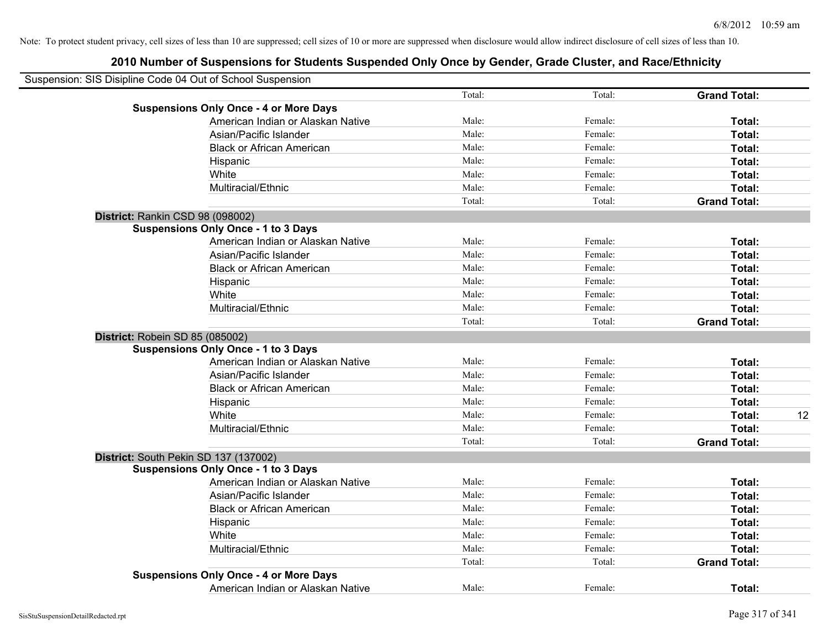|                                  | Suspension: SIS Disipline Code 04 Out of School Suspension |        |         |                     |    |
|----------------------------------|------------------------------------------------------------|--------|---------|---------------------|----|
|                                  |                                                            | Total: | Total:  | <b>Grand Total:</b> |    |
|                                  | <b>Suspensions Only Once - 4 or More Days</b>              |        |         |                     |    |
|                                  | American Indian or Alaskan Native                          | Male:  | Female: | Total:              |    |
|                                  | Asian/Pacific Islander                                     | Male:  | Female: | Total:              |    |
|                                  | <b>Black or African American</b>                           | Male:  | Female: | Total:              |    |
|                                  | Hispanic                                                   | Male:  | Female: | Total:              |    |
|                                  | White                                                      | Male:  | Female: | Total:              |    |
|                                  | Multiracial/Ethnic                                         | Male:  | Female: | Total:              |    |
|                                  |                                                            | Total: | Total:  | <b>Grand Total:</b> |    |
| District: Rankin CSD 98 (098002) |                                                            |        |         |                     |    |
|                                  | <b>Suspensions Only Once - 1 to 3 Days</b>                 |        |         |                     |    |
|                                  | American Indian or Alaskan Native                          | Male:  | Female: | Total:              |    |
|                                  | Asian/Pacific Islander                                     | Male:  | Female: | Total:              |    |
|                                  | <b>Black or African American</b>                           | Male:  | Female: | Total:              |    |
|                                  | Hispanic                                                   | Male:  | Female: | Total:              |    |
|                                  | White                                                      | Male:  | Female: | Total:              |    |
|                                  | Multiracial/Ethnic                                         | Male:  | Female: | Total:              |    |
|                                  |                                                            | Total: | Total:  | <b>Grand Total:</b> |    |
| District: Robein SD 85 (085002)  |                                                            |        |         |                     |    |
|                                  | <b>Suspensions Only Once - 1 to 3 Days</b>                 |        |         |                     |    |
|                                  | American Indian or Alaskan Native                          | Male:  | Female: | Total:              |    |
|                                  | Asian/Pacific Islander                                     | Male:  | Female: | Total:              |    |
|                                  | <b>Black or African American</b>                           | Male:  | Female: | Total:              |    |
|                                  | Hispanic                                                   | Male:  | Female: | <b>Total:</b>       |    |
|                                  | White                                                      | Male:  | Female: | Total:              | 12 |
|                                  | Multiracial/Ethnic                                         | Male:  | Female: | <b>Total:</b>       |    |
|                                  |                                                            | Total: | Total:  | <b>Grand Total:</b> |    |
|                                  | District: South Pekin SD 137 (137002)                      |        |         |                     |    |
|                                  | <b>Suspensions Only Once - 1 to 3 Days</b>                 |        |         |                     |    |
|                                  | American Indian or Alaskan Native                          | Male:  | Female: | Total:              |    |
|                                  | Asian/Pacific Islander                                     | Male:  | Female: | Total:              |    |
|                                  | <b>Black or African American</b>                           | Male:  | Female: | Total:              |    |
|                                  | Hispanic                                                   | Male:  | Female: | Total:              |    |
|                                  | White                                                      | Male:  | Female: | Total:              |    |
|                                  | Multiracial/Ethnic                                         | Male:  | Female: | Total:              |    |
|                                  |                                                            | Total: | Total:  | <b>Grand Total:</b> |    |
|                                  | <b>Suspensions Only Once - 4 or More Days</b>              |        |         |                     |    |
|                                  | American Indian or Alaskan Native                          | Male:  | Female: | Total:              |    |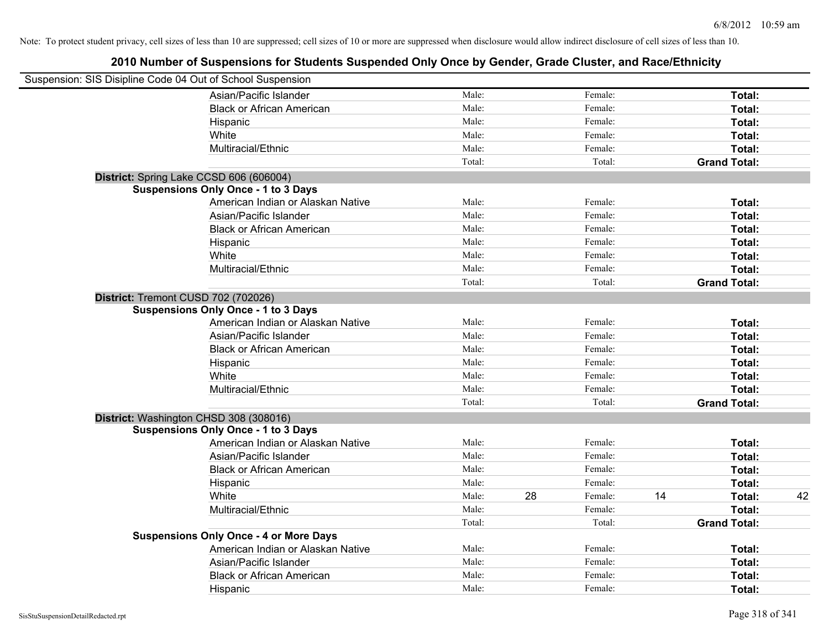| Suspension: SIS Disipline Code 04 Out of School Suspension |                                               |        |    |         |    |                     |    |
|------------------------------------------------------------|-----------------------------------------------|--------|----|---------|----|---------------------|----|
|                                                            | Asian/Pacific Islander                        | Male:  |    | Female: |    | Total:              |    |
|                                                            | <b>Black or African American</b>              | Male:  |    | Female: |    | Total:              |    |
|                                                            | Hispanic                                      | Male:  |    | Female: |    | Total:              |    |
|                                                            | White                                         | Male:  |    | Female: |    | Total:              |    |
|                                                            | Multiracial/Ethnic                            | Male:  |    | Female: |    | Total:              |    |
|                                                            |                                               | Total: |    | Total:  |    | <b>Grand Total:</b> |    |
| District: Spring Lake CCSD 606 (606004)                    |                                               |        |    |         |    |                     |    |
|                                                            | <b>Suspensions Only Once - 1 to 3 Days</b>    |        |    |         |    |                     |    |
|                                                            | American Indian or Alaskan Native             | Male:  |    | Female: |    | Total:              |    |
|                                                            | Asian/Pacific Islander                        | Male:  |    | Female: |    | Total:              |    |
|                                                            | <b>Black or African American</b>              | Male:  |    | Female: |    | Total:              |    |
|                                                            | Hispanic                                      | Male:  |    | Female: |    | Total:              |    |
|                                                            | White                                         | Male:  |    | Female: |    | Total:              |    |
|                                                            | Multiracial/Ethnic                            | Male:  |    | Female: |    | Total:              |    |
|                                                            |                                               | Total: |    | Total:  |    | <b>Grand Total:</b> |    |
| District: Tremont CUSD 702 (702026)                        |                                               |        |    |         |    |                     |    |
|                                                            | <b>Suspensions Only Once - 1 to 3 Days</b>    |        |    |         |    |                     |    |
|                                                            | American Indian or Alaskan Native             | Male:  |    | Female: |    | Total:              |    |
|                                                            | Asian/Pacific Islander                        | Male:  |    | Female: |    | Total:              |    |
|                                                            | <b>Black or African American</b>              | Male:  |    | Female: |    | Total:              |    |
|                                                            | Hispanic                                      | Male:  |    | Female: |    | Total:              |    |
|                                                            | White                                         | Male:  |    | Female: |    | Total:              |    |
|                                                            | Multiracial/Ethnic                            | Male:  |    | Female: |    | Total:              |    |
|                                                            |                                               | Total: |    | Total:  |    | <b>Grand Total:</b> |    |
| District: Washington CHSD 308 (308016)                     |                                               |        |    |         |    |                     |    |
|                                                            | <b>Suspensions Only Once - 1 to 3 Days</b>    |        |    |         |    |                     |    |
|                                                            | American Indian or Alaskan Native             | Male:  |    | Female: |    | Total:              |    |
|                                                            | Asian/Pacific Islander                        | Male:  |    | Female: |    | Total:              |    |
|                                                            | <b>Black or African American</b>              | Male:  |    | Female: |    | Total:              |    |
|                                                            | Hispanic                                      | Male:  |    | Female: |    | Total:              |    |
|                                                            | White                                         | Male:  | 28 | Female: | 14 | Total:              | 42 |
|                                                            | Multiracial/Ethnic                            | Male:  |    | Female: |    | Total:              |    |
|                                                            |                                               | Total: |    | Total:  |    | <b>Grand Total:</b> |    |
|                                                            | <b>Suspensions Only Once - 4 or More Days</b> |        |    |         |    |                     |    |
|                                                            | American Indian or Alaskan Native             | Male:  |    | Female: |    | Total:              |    |
|                                                            | Asian/Pacific Islander                        | Male:  |    | Female: |    | Total:              |    |
|                                                            | <b>Black or African American</b>              | Male:  |    | Female: |    | Total:              |    |
|                                                            | Hispanic                                      | Male:  |    | Female: |    | Total:              |    |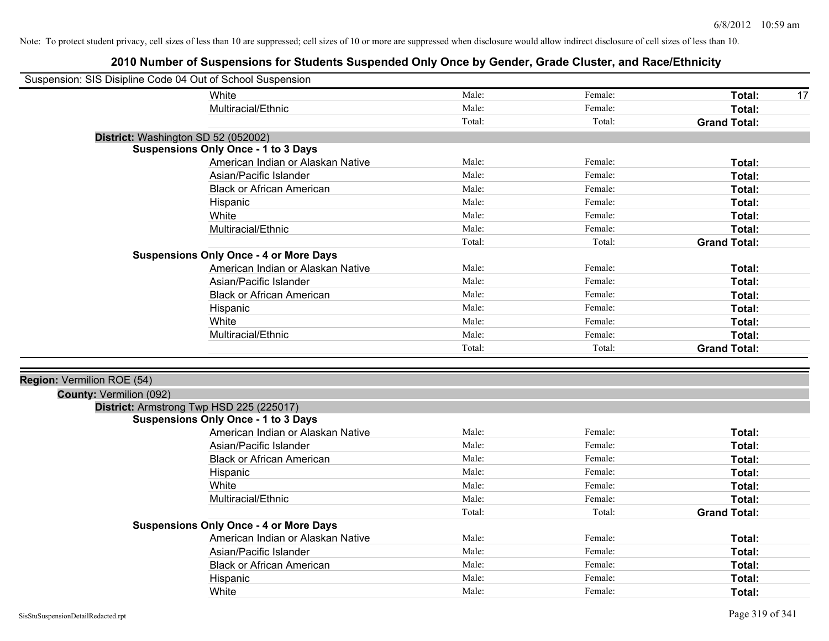| Suspension: SIS Disipline Code 04 Out of School Suspension |                                               |        |         |                     |
|------------------------------------------------------------|-----------------------------------------------|--------|---------|---------------------|
|                                                            | White                                         | Male:  | Female: | Total:<br>17        |
|                                                            | Multiracial/Ethnic                            | Male:  | Female: | Total:              |
|                                                            |                                               | Total: | Total:  | <b>Grand Total:</b> |
| District: Washington SD 52 (052002)                        |                                               |        |         |                     |
|                                                            | <b>Suspensions Only Once - 1 to 3 Days</b>    |        |         |                     |
|                                                            | American Indian or Alaskan Native             | Male:  | Female: | Total:              |
|                                                            | Asian/Pacific Islander                        | Male:  | Female: | Total:              |
|                                                            | <b>Black or African American</b>              | Male:  | Female: | Total:              |
|                                                            | Hispanic                                      | Male:  | Female: | Total:              |
|                                                            | White                                         | Male:  | Female: | Total:              |
|                                                            | Multiracial/Ethnic                            | Male:  | Female: | Total:              |
|                                                            |                                               | Total: | Total:  | <b>Grand Total:</b> |
|                                                            | <b>Suspensions Only Once - 4 or More Days</b> |        |         |                     |
|                                                            | American Indian or Alaskan Native             | Male:  | Female: | Total:              |
|                                                            | Asian/Pacific Islander                        | Male:  | Female: | Total:              |
|                                                            | <b>Black or African American</b>              | Male:  | Female: | Total:              |
|                                                            | Hispanic                                      | Male:  | Female: | Total:              |
|                                                            | White                                         | Male:  | Female: | Total:              |
|                                                            | Multiracial/Ethnic                            | Male:  | Female: | Total:              |
|                                                            |                                               | Total: | Total:  | <b>Grand Total:</b> |
|                                                            |                                               |        |         |                     |
| Region: Vermilion ROE (54)                                 |                                               |        |         |                     |
| County: Vermilion (092)                                    |                                               |        |         |                     |
|                                                            | District: Armstrong Twp HSD 225 (225017)      |        |         |                     |
|                                                            | <b>Suspensions Only Once - 1 to 3 Days</b>    |        |         |                     |
|                                                            | American Indian or Alaskan Native             | Male:  | Female: | Total:              |
|                                                            | Asian/Pacific Islander                        | Male:  | Female: | Total:              |
|                                                            | <b>Black or African American</b>              | Male:  | Female: | Total:              |
|                                                            | Hispanic                                      | Male:  | Female: | Total:              |
|                                                            | White                                         | Male:  | Female: | Total:              |
|                                                            | Multiracial/Ethnic                            | Male:  | Female: | Total:              |
|                                                            |                                               | Total: | Total:  | <b>Grand Total:</b> |
|                                                            | <b>Suspensions Only Once - 4 or More Days</b> |        |         |                     |
|                                                            | American Indian or Alaskan Native             | Male:  | Female: | Total:              |
|                                                            | Asian/Pacific Islander                        | Male:  | Female: | Total:              |
|                                                            | <b>Black or African American</b>              | Male:  | Female: | Total:              |
|                                                            | Hispanic                                      | Male:  | Female: | Total:              |
|                                                            | White                                         | Male:  | Female: | Total:              |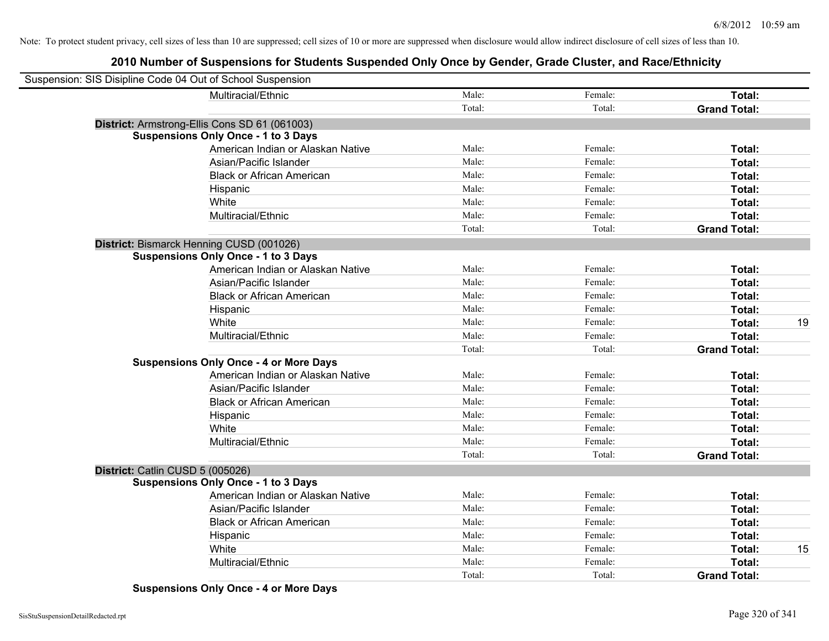# **2010 Number of Suspensions for Students Suspended Only Once by Gender, Grade Cluster, and Race/Ethnicity**

| Suspension: SIS Disipline Code 04 Out of School Suspension |        |         |                     |    |
|------------------------------------------------------------|--------|---------|---------------------|----|
| Multiracial/Ethnic                                         | Male:  | Female: | Total:              |    |
|                                                            | Total: | Total:  | <b>Grand Total:</b> |    |
| District: Armstrong-Ellis Cons SD 61 (061003)              |        |         |                     |    |
| <b>Suspensions Only Once - 1 to 3 Days</b>                 |        |         |                     |    |
| American Indian or Alaskan Native                          | Male:  | Female: | Total:              |    |
| Asian/Pacific Islander                                     | Male:  | Female: | Total:              |    |
| <b>Black or African American</b>                           | Male:  | Female: | Total:              |    |
| Hispanic                                                   | Male:  | Female: | Total:              |    |
| White                                                      | Male:  | Female: | Total:              |    |
| Multiracial/Ethnic                                         | Male:  | Female: | Total:              |    |
|                                                            | Total: | Total:  | <b>Grand Total:</b> |    |
| District: Bismarck Henning CUSD (001026)                   |        |         |                     |    |
| <b>Suspensions Only Once - 1 to 3 Days</b>                 |        |         |                     |    |
| American Indian or Alaskan Native                          | Male:  | Female: | Total:              |    |
| Asian/Pacific Islander                                     | Male:  | Female: | Total:              |    |
| <b>Black or African American</b>                           | Male:  | Female: | Total:              |    |
| Hispanic                                                   | Male:  | Female: | Total:              |    |
| White                                                      | Male:  | Female: | Total:              | 19 |
| Multiracial/Ethnic                                         | Male:  | Female: | Total:              |    |
|                                                            | Total: | Total:  | <b>Grand Total:</b> |    |
| <b>Suspensions Only Once - 4 or More Days</b>              |        |         |                     |    |
| American Indian or Alaskan Native                          | Male:  | Female: | Total:              |    |
| Asian/Pacific Islander                                     | Male:  | Female: | Total:              |    |
| <b>Black or African American</b>                           | Male:  | Female: | Total:              |    |
| Hispanic                                                   | Male:  | Female: | Total:              |    |
| White                                                      | Male:  | Female: | Total:              |    |
| Multiracial/Ethnic                                         | Male:  | Female: | Total:              |    |
|                                                            | Total: | Total:  | <b>Grand Total:</b> |    |
| District: Catlin CUSD 5 (005026)                           |        |         |                     |    |
| <b>Suspensions Only Once - 1 to 3 Days</b>                 |        |         |                     |    |
| American Indian or Alaskan Native                          | Male:  | Female: | Total:              |    |
| Asian/Pacific Islander                                     | Male:  | Female: | Total:              |    |
| <b>Black or African American</b>                           | Male:  | Female: | Total:              |    |
| Hispanic                                                   | Male:  | Female: | Total:              |    |
| White                                                      | Male:  | Female: | Total:              | 15 |
| Multiracial/Ethnic                                         | Male:  | Female: | Total:              |    |
|                                                            | Total: | Total:  | <b>Grand Total:</b> |    |

**Suspensions Only Once - 4 or More Days**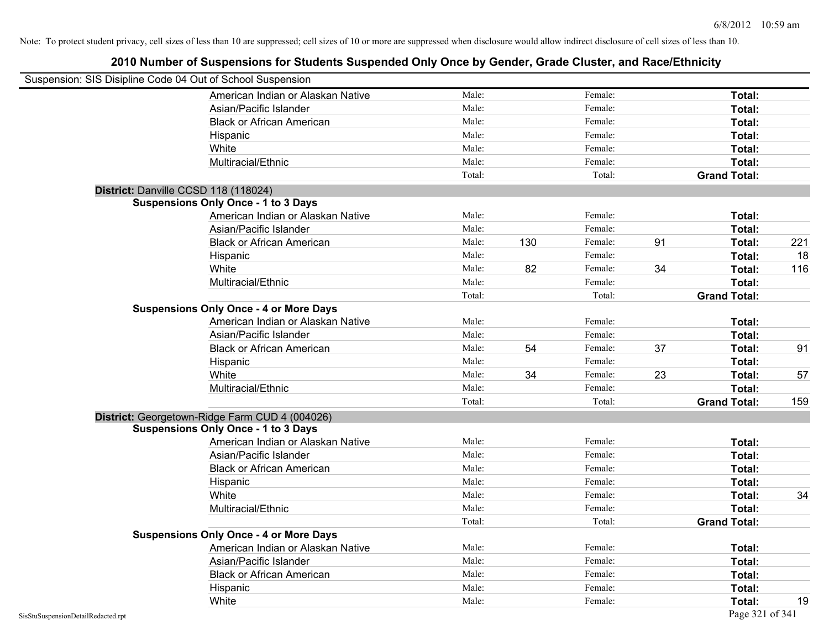| Suspension: SIS Disipline Code 04 Out of School Suspension |        |     |         |    |                     |     |
|------------------------------------------------------------|--------|-----|---------|----|---------------------|-----|
| American Indian or Alaskan Native                          | Male:  |     | Female: |    | Total:              |     |
| Asian/Pacific Islander                                     | Male:  |     | Female: |    | Total:              |     |
| <b>Black or African American</b>                           | Male:  |     | Female: |    | Total:              |     |
| Hispanic                                                   | Male:  |     | Female: |    | Total:              |     |
| White                                                      | Male:  |     | Female: |    | Total:              |     |
| Multiracial/Ethnic                                         | Male:  |     | Female: |    | Total:              |     |
|                                                            | Total: |     | Total:  |    | <b>Grand Total:</b> |     |
| District: Danville CCSD 118 (118024)                       |        |     |         |    |                     |     |
| <b>Suspensions Only Once - 1 to 3 Days</b>                 |        |     |         |    |                     |     |
| American Indian or Alaskan Native                          | Male:  |     | Female: |    | Total:              |     |
| Asian/Pacific Islander                                     | Male:  |     | Female: |    | Total:              |     |
| <b>Black or African American</b>                           | Male:  | 130 | Female: | 91 | Total:              | 221 |
| Hispanic                                                   | Male:  |     | Female: |    | Total:              | 18  |
| White                                                      | Male:  | 82  | Female: | 34 | Total:              | 116 |
| Multiracial/Ethnic                                         | Male:  |     | Female: |    | Total:              |     |
|                                                            | Total: |     | Total:  |    | <b>Grand Total:</b> |     |
| <b>Suspensions Only Once - 4 or More Days</b>              |        |     |         |    |                     |     |
| American Indian or Alaskan Native                          | Male:  |     | Female: |    | Total:              |     |
| Asian/Pacific Islander                                     | Male:  |     | Female: |    | Total:              |     |
| <b>Black or African American</b>                           | Male:  | 54  | Female: | 37 | Total:              | 91  |
| Hispanic                                                   | Male:  |     | Female: |    | Total:              |     |
| White                                                      | Male:  | 34  | Female: | 23 | Total:              | 57  |
| Multiracial/Ethnic                                         | Male:  |     | Female: |    | Total:              |     |
|                                                            | Total: |     | Total:  |    | <b>Grand Total:</b> | 159 |
| District: Georgetown-Ridge Farm CUD 4 (004026)             |        |     |         |    |                     |     |
| <b>Suspensions Only Once - 1 to 3 Days</b>                 |        |     |         |    |                     |     |
| American Indian or Alaskan Native                          | Male:  |     | Female: |    | Total:              |     |
| Asian/Pacific Islander                                     | Male:  |     | Female: |    | Total:              |     |
| <b>Black or African American</b>                           | Male:  |     | Female: |    | Total:              |     |
| Hispanic                                                   | Male:  |     | Female: |    | Total:              |     |
| White                                                      | Male:  |     | Female: |    | Total:              | 34  |
| Multiracial/Ethnic                                         | Male:  |     | Female: |    | Total:              |     |
|                                                            | Total: |     | Total:  |    | <b>Grand Total:</b> |     |
| <b>Suspensions Only Once - 4 or More Days</b>              |        |     |         |    |                     |     |
| American Indian or Alaskan Native                          | Male:  |     | Female: |    | Total:              |     |
| Asian/Pacific Islander                                     | Male:  |     | Female: |    | Total:              |     |
| <b>Black or African American</b>                           | Male:  |     | Female: |    | Total:              |     |
| Hispanic                                                   | Male:  |     | Female: |    | Total:              |     |
| White                                                      | Male:  |     | Female: |    | Total:              | 19  |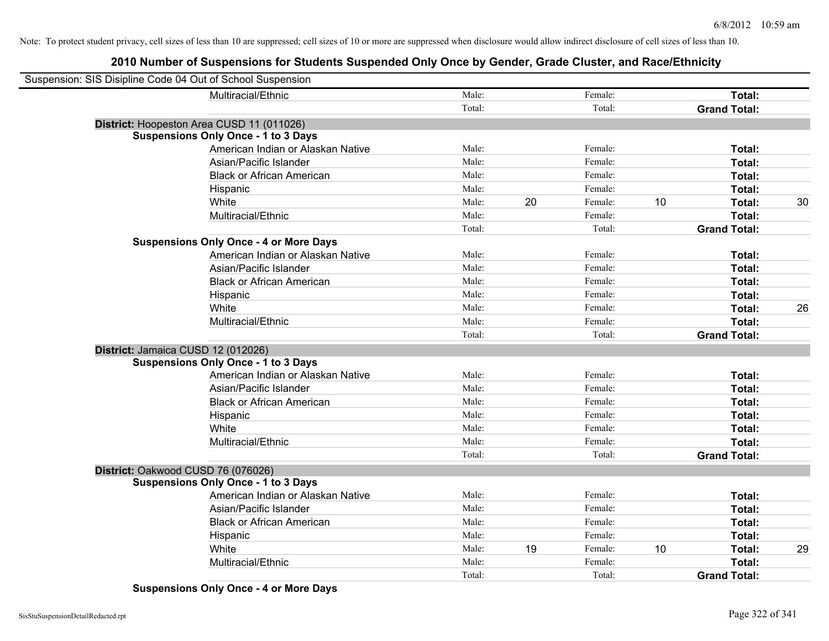# **2010 Number of Suspensions for Students Suspended Only Once by Gender, Grade Cluster, and Race/Ethnicity**

| Suspension: SIS Disipline Code 04 Out of School Suspension |        |    |         |    |                     |    |
|------------------------------------------------------------|--------|----|---------|----|---------------------|----|
| Multiracial/Ethnic                                         | Male:  |    | Female: |    | Total:              |    |
|                                                            | Total: |    | Total:  |    | <b>Grand Total:</b> |    |
| District: Hoopeston Area CUSD 11 (011026)                  |        |    |         |    |                     |    |
| <b>Suspensions Only Once - 1 to 3 Days</b>                 |        |    |         |    |                     |    |
| American Indian or Alaskan Native                          | Male:  |    | Female: |    | Total:              |    |
| Asian/Pacific Islander                                     | Male:  |    | Female: |    | Total:              |    |
| <b>Black or African American</b>                           | Male:  |    | Female: |    | Total:              |    |
| Hispanic                                                   | Male:  |    | Female: |    | Total:              |    |
| White                                                      | Male:  | 20 | Female: | 10 | Total:              | 30 |
| Multiracial/Ethnic                                         | Male:  |    | Female: |    | Total:              |    |
|                                                            | Total: |    | Total:  |    | <b>Grand Total:</b> |    |
| <b>Suspensions Only Once - 4 or More Days</b>              |        |    |         |    |                     |    |
| American Indian or Alaskan Native                          | Male:  |    | Female: |    | Total:              |    |
| Asian/Pacific Islander                                     | Male:  |    | Female: |    | Total:              |    |
| <b>Black or African American</b>                           | Male:  |    | Female: |    | Total:              |    |
| Hispanic                                                   | Male:  |    | Female: |    | Total:              |    |
| White                                                      | Male:  |    | Female: |    | Total:              | 26 |
| Multiracial/Ethnic                                         | Male:  |    | Female: |    | Total:              |    |
|                                                            | Total: |    | Total:  |    | <b>Grand Total:</b> |    |
| District: Jamaica CUSD 12 (012026)                         |        |    |         |    |                     |    |
| <b>Suspensions Only Once - 1 to 3 Days</b>                 |        |    |         |    |                     |    |
| American Indian or Alaskan Native                          | Male:  |    | Female: |    | Total:              |    |
| Asian/Pacific Islander                                     | Male:  |    | Female: |    | Total:              |    |
| <b>Black or African American</b>                           | Male:  |    | Female: |    | Total:              |    |
| Hispanic                                                   | Male:  |    | Female: |    | Total:              |    |
| White                                                      | Male:  |    | Female: |    | Total:              |    |
| Multiracial/Ethnic                                         | Male:  |    | Female: |    | Total:              |    |
|                                                            | Total: |    | Total:  |    | <b>Grand Total:</b> |    |
| District: Oakwood CUSD 76 (076026)                         |        |    |         |    |                     |    |
| <b>Suspensions Only Once - 1 to 3 Days</b>                 |        |    |         |    |                     |    |
| American Indian or Alaskan Native                          | Male:  |    | Female: |    | Total:              |    |
| Asian/Pacific Islander                                     | Male:  |    | Female: |    | Total:              |    |
| <b>Black or African American</b>                           | Male:  |    | Female: |    | Total:              |    |
| Hispanic                                                   | Male:  |    | Female: |    | Total:              |    |
| White                                                      | Male:  | 19 | Female: | 10 | Total:              | 29 |
| Multiracial/Ethnic                                         | Male:  |    | Female: |    | Total:              |    |
|                                                            | Total: |    | Total:  |    | <b>Grand Total:</b> |    |

**Suspensions Only Once - 4 or More Days**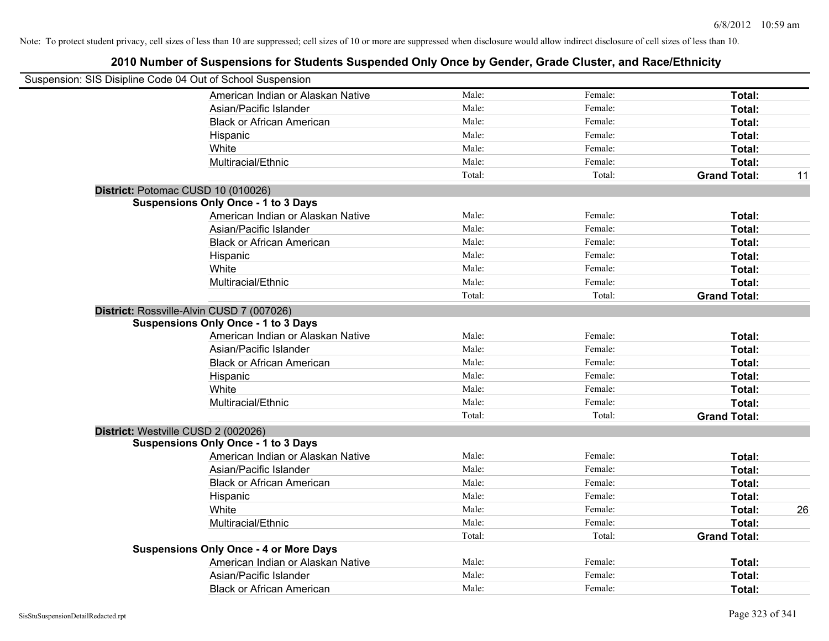| Suspension: SIS Disipline Code 04 Out of School Suspension |        |         |                     |    |
|------------------------------------------------------------|--------|---------|---------------------|----|
| American Indian or Alaskan Native                          | Male:  | Female: | Total:              |    |
| Asian/Pacific Islander                                     | Male:  | Female: | Total:              |    |
| <b>Black or African American</b>                           | Male:  | Female: | Total:              |    |
| Hispanic                                                   | Male:  | Female: | Total:              |    |
| White                                                      | Male:  | Female: | Total:              |    |
| Multiracial/Ethnic                                         | Male:  | Female: | Total:              |    |
|                                                            | Total: | Total:  | <b>Grand Total:</b> | 11 |
| District: Potomac CUSD 10 (010026)                         |        |         |                     |    |
| <b>Suspensions Only Once - 1 to 3 Days</b>                 |        |         |                     |    |
| American Indian or Alaskan Native                          | Male:  | Female: | Total:              |    |
| Asian/Pacific Islander                                     | Male:  | Female: | Total:              |    |
| <b>Black or African American</b>                           | Male:  | Female: | Total:              |    |
| Hispanic                                                   | Male:  | Female: | Total:              |    |
| White                                                      | Male:  | Female: | Total:              |    |
| Multiracial/Ethnic                                         | Male:  | Female: | Total:              |    |
|                                                            | Total: | Total:  | <b>Grand Total:</b> |    |
| District: Rossville-Alvin CUSD 7 (007026)                  |        |         |                     |    |
| <b>Suspensions Only Once - 1 to 3 Days</b>                 |        |         |                     |    |
| American Indian or Alaskan Native                          | Male:  | Female: | Total:              |    |
| Asian/Pacific Islander                                     | Male:  | Female: | Total:              |    |
| <b>Black or African American</b>                           | Male:  | Female: | Total:              |    |
| Hispanic                                                   | Male:  | Female: | Total:              |    |
| White                                                      | Male:  | Female: | Total:              |    |
| Multiracial/Ethnic                                         | Male:  | Female: | Total:              |    |
|                                                            | Total: | Total:  | <b>Grand Total:</b> |    |
| District: Westville CUSD 2 (002026)                        |        |         |                     |    |
| <b>Suspensions Only Once - 1 to 3 Days</b>                 |        |         |                     |    |
| American Indian or Alaskan Native                          | Male:  | Female: | Total:              |    |
| Asian/Pacific Islander                                     | Male:  | Female: | Total:              |    |
| <b>Black or African American</b>                           | Male:  | Female: | Total:              |    |
| Hispanic                                                   | Male:  | Female: | Total:              |    |
| White                                                      | Male:  | Female: | Total:              | 26 |
| Multiracial/Ethnic                                         | Male:  | Female: | Total:              |    |
|                                                            | Total: | Total:  | <b>Grand Total:</b> |    |
| <b>Suspensions Only Once - 4 or More Days</b>              |        |         |                     |    |
| American Indian or Alaskan Native                          | Male:  | Female: | Total:              |    |
| Asian/Pacific Islander                                     | Male:  | Female: | Total:              |    |
| <b>Black or African American</b>                           | Male:  | Female: | Total:              |    |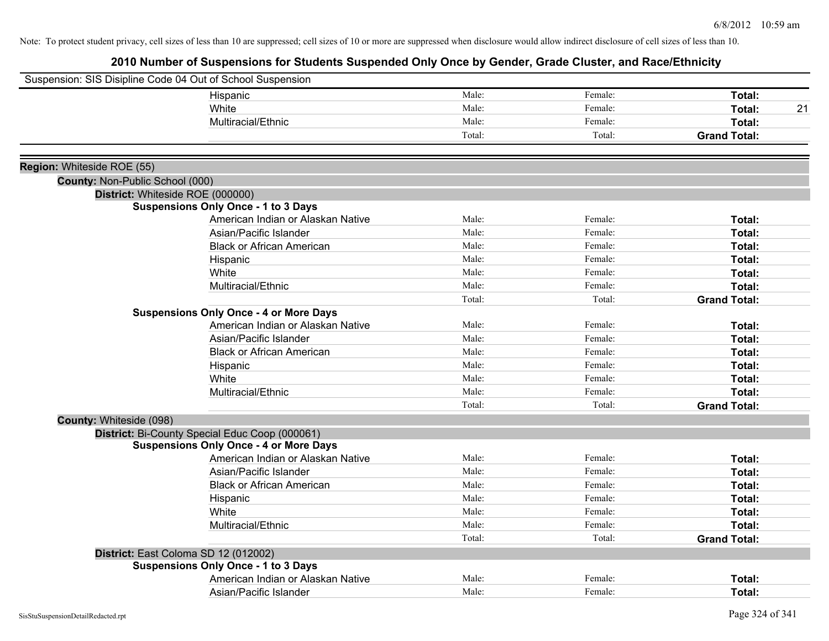|                                 | Suspension: SIS Disipline Code 04 Out of School Suspension |        |         |                     |
|---------------------------------|------------------------------------------------------------|--------|---------|---------------------|
|                                 | Hispanic                                                   | Male:  | Female: | Total:              |
|                                 | White                                                      | Male:  | Female: | Total:<br>21        |
|                                 | Multiracial/Ethnic                                         | Male:  | Female: | Total:              |
|                                 |                                                            | Total: | Total:  | <b>Grand Total:</b> |
|                                 |                                                            |        |         |                     |
| Region: Whiteside ROE (55)      |                                                            |        |         |                     |
| County: Non-Public School (000) |                                                            |        |         |                     |
|                                 | District: Whiteside ROE (000000)                           |        |         |                     |
|                                 | <b>Suspensions Only Once - 1 to 3 Days</b>                 |        |         |                     |
|                                 | American Indian or Alaskan Native                          | Male:  | Female: | Total:              |
|                                 | Asian/Pacific Islander                                     | Male:  | Female: | Total:              |
|                                 | <b>Black or African American</b>                           | Male:  | Female: | Total:              |
|                                 | Hispanic                                                   | Male:  | Female: | Total:              |
|                                 | White                                                      | Male:  | Female: | Total:              |
|                                 | Multiracial/Ethnic                                         | Male:  | Female: | Total:              |
|                                 |                                                            | Total: | Total:  | <b>Grand Total:</b> |
|                                 | <b>Suspensions Only Once - 4 or More Days</b>              |        |         |                     |
|                                 | American Indian or Alaskan Native                          | Male:  | Female: | Total:              |
|                                 | Asian/Pacific Islander                                     | Male:  | Female: | Total:              |
|                                 | <b>Black or African American</b>                           | Male:  | Female: | Total:              |
|                                 | Hispanic                                                   | Male:  | Female: | Total:              |
|                                 | White                                                      | Male:  | Female: | Total:              |
|                                 | Multiracial/Ethnic                                         | Male:  | Female: | Total:              |
|                                 |                                                            | Total: | Total:  | <b>Grand Total:</b> |
| County: Whiteside (098)         |                                                            |        |         |                     |
|                                 | District: Bi-County Special Educ Coop (000061)             |        |         |                     |
|                                 | <b>Suspensions Only Once - 4 or More Days</b>              |        |         |                     |
|                                 | American Indian or Alaskan Native                          | Male:  | Female: | Total:              |
|                                 | Asian/Pacific Islander                                     | Male:  | Female: | Total:              |
|                                 | <b>Black or African American</b>                           | Male:  | Female: | Total:              |
|                                 | Hispanic                                                   | Male:  | Female: | Total:              |
|                                 | White                                                      | Male:  | Female: | Total:              |
|                                 | Multiracial/Ethnic                                         | Male:  | Female: | Total:              |
|                                 |                                                            | Total: | Total:  | <b>Grand Total:</b> |
|                                 | District: East Coloma SD 12 (012002)                       |        |         |                     |
|                                 | <b>Suspensions Only Once - 1 to 3 Days</b>                 |        |         |                     |
|                                 | American Indian or Alaskan Native                          | Male:  | Female: | Total:              |
|                                 | Asian/Pacific Islander                                     | Male:  | Female: | Total:              |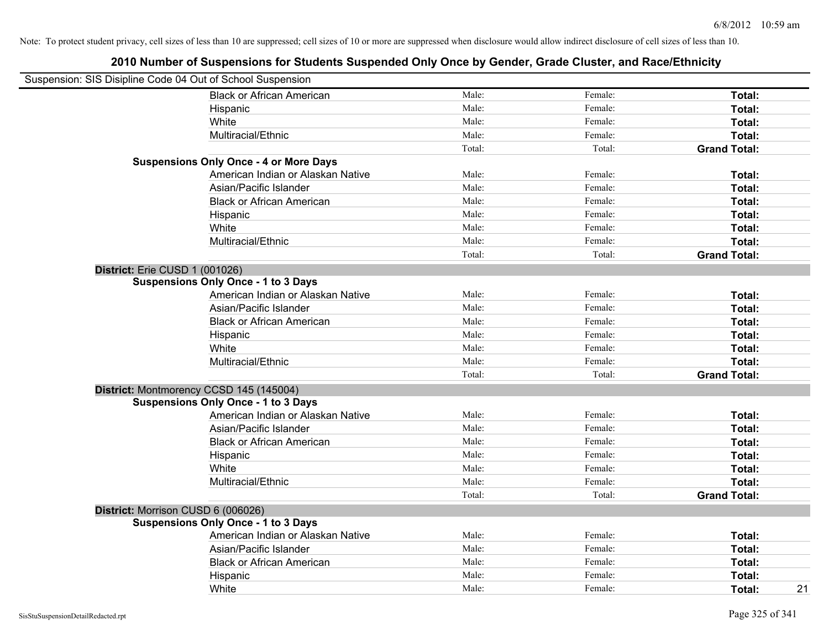| Suspension: SIS Disipline Code 04 Out of School Suspension |                                               |        |         |                     |
|------------------------------------------------------------|-----------------------------------------------|--------|---------|---------------------|
|                                                            | <b>Black or African American</b>              | Male:  | Female: | Total:              |
|                                                            | Hispanic                                      | Male:  | Female: | Total:              |
|                                                            | White                                         | Male:  | Female: | Total:              |
|                                                            | Multiracial/Ethnic                            | Male:  | Female: | Total:              |
|                                                            |                                               | Total: | Total:  | <b>Grand Total:</b> |
|                                                            | <b>Suspensions Only Once - 4 or More Days</b> |        |         |                     |
|                                                            | American Indian or Alaskan Native             | Male:  | Female: | Total:              |
|                                                            | Asian/Pacific Islander                        | Male:  | Female: | Total:              |
|                                                            | <b>Black or African American</b>              | Male:  | Female: | Total:              |
|                                                            | Hispanic                                      | Male:  | Female: | Total:              |
|                                                            | White                                         | Male:  | Female: | Total:              |
|                                                            | Multiracial/Ethnic                            | Male:  | Female: | Total:              |
|                                                            |                                               | Total: | Total:  | <b>Grand Total:</b> |
| District: Erie CUSD 1 (001026)                             |                                               |        |         |                     |
|                                                            | <b>Suspensions Only Once - 1 to 3 Days</b>    |        |         |                     |
|                                                            | American Indian or Alaskan Native             | Male:  | Female: | Total:              |
|                                                            | Asian/Pacific Islander                        | Male:  | Female: | Total:              |
|                                                            | <b>Black or African American</b>              | Male:  | Female: | Total:              |
|                                                            | Hispanic                                      | Male:  | Female: | Total:              |
|                                                            | White                                         | Male:  | Female: | Total:              |
|                                                            | Multiracial/Ethnic                            | Male:  | Female: | Total:              |
|                                                            |                                               | Total: | Total:  | <b>Grand Total:</b> |
|                                                            | District: Montmorency CCSD 145 (145004)       |        |         |                     |
|                                                            | <b>Suspensions Only Once - 1 to 3 Days</b>    |        |         |                     |
|                                                            | American Indian or Alaskan Native             | Male:  | Female: | Total:              |
|                                                            | Asian/Pacific Islander                        | Male:  | Female: | Total:              |
|                                                            | <b>Black or African American</b>              | Male:  | Female: | Total:              |
|                                                            | Hispanic                                      | Male:  | Female: | Total:              |
|                                                            | White                                         | Male:  | Female: | Total:              |
|                                                            | Multiracial/Ethnic                            | Male:  | Female: | Total:              |
|                                                            |                                               | Total: | Total:  | <b>Grand Total:</b> |
|                                                            | District: Morrison CUSD 6 (006026)            |        |         |                     |
|                                                            | <b>Suspensions Only Once - 1 to 3 Days</b>    |        |         |                     |
|                                                            | American Indian or Alaskan Native             | Male:  | Female: | Total:              |
|                                                            | Asian/Pacific Islander                        | Male:  | Female: | Total:              |
|                                                            | <b>Black or African American</b>              | Male:  | Female: | Total:              |
|                                                            | Hispanic                                      | Male:  | Female: | Total:              |
|                                                            | White                                         | Male:  | Female: | 21<br>Total:        |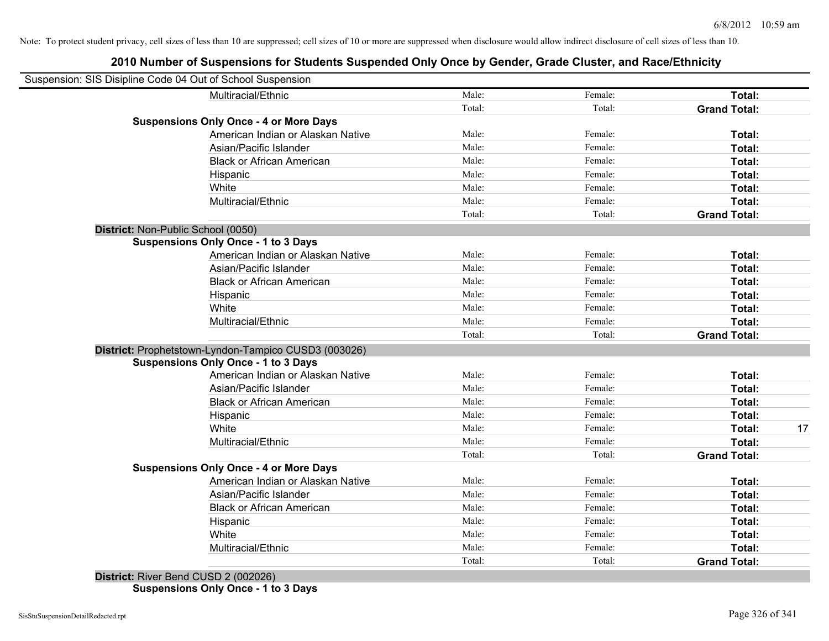# **2010 Number of Suspensions for Students Suspended Only Once by Gender, Grade Cluster, and Race/Ethnicity**

| Suspension: SIS Disipline Code 04 Out of School Suspension |                                                      |        |         |                     |    |
|------------------------------------------------------------|------------------------------------------------------|--------|---------|---------------------|----|
|                                                            | Multiracial/Ethnic                                   | Male:  | Female: | Total:              |    |
|                                                            |                                                      | Total: | Total:  | <b>Grand Total:</b> |    |
|                                                            | <b>Suspensions Only Once - 4 or More Days</b>        |        |         |                     |    |
|                                                            | American Indian or Alaskan Native                    | Male:  | Female: | Total:              |    |
|                                                            | Asian/Pacific Islander                               | Male:  | Female: | Total:              |    |
|                                                            | <b>Black or African American</b>                     | Male:  | Female: | Total:              |    |
|                                                            | Hispanic                                             | Male:  | Female: | Total:              |    |
|                                                            | White                                                | Male:  | Female: | Total:              |    |
|                                                            | Multiracial/Ethnic                                   | Male:  | Female: | Total:              |    |
|                                                            |                                                      | Total: | Total:  | <b>Grand Total:</b> |    |
| District: Non-Public School (0050)                         |                                                      |        |         |                     |    |
|                                                            | <b>Suspensions Only Once - 1 to 3 Days</b>           |        |         |                     |    |
|                                                            | American Indian or Alaskan Native                    | Male:  | Female: | Total:              |    |
|                                                            | Asian/Pacific Islander                               | Male:  | Female: | Total:              |    |
|                                                            | <b>Black or African American</b>                     | Male:  | Female: | Total:              |    |
|                                                            | Hispanic                                             | Male:  | Female: | Total:              |    |
|                                                            | White                                                | Male:  | Female: | Total:              |    |
|                                                            | Multiracial/Ethnic                                   | Male:  | Female: | Total:              |    |
|                                                            |                                                      | Total: | Total:  | <b>Grand Total:</b> |    |
|                                                            | District: Prophetstown-Lyndon-Tampico CUSD3 (003026) |        |         |                     |    |
|                                                            | <b>Suspensions Only Once - 1 to 3 Days</b>           |        |         |                     |    |
|                                                            | American Indian or Alaskan Native                    | Male:  | Female: | Total:              |    |
|                                                            | Asian/Pacific Islander                               | Male:  | Female: | Total:              |    |
|                                                            | <b>Black or African American</b>                     | Male:  | Female: | Total:              |    |
|                                                            | Hispanic                                             | Male:  | Female: | Total:              |    |
|                                                            | White                                                | Male:  | Female: | Total:              | 17 |
|                                                            | Multiracial/Ethnic                                   | Male:  | Female: | Total:              |    |
|                                                            |                                                      | Total: | Total:  | <b>Grand Total:</b> |    |
|                                                            | <b>Suspensions Only Once - 4 or More Days</b>        |        |         |                     |    |
|                                                            | American Indian or Alaskan Native                    | Male:  | Female: | Total:              |    |
|                                                            | Asian/Pacific Islander                               | Male:  | Female: | Total:              |    |
|                                                            | <b>Black or African American</b>                     | Male:  | Female: | Total:              |    |
|                                                            | Hispanic                                             | Male:  | Female: | Total:              |    |
|                                                            | White                                                | Male:  | Female: | Total:              |    |
|                                                            | Multiracial/Ethnic                                   | Male:  | Female: | Total:              |    |
|                                                            |                                                      | Total: | Total:  | <b>Grand Total:</b> |    |

**District:** River Bend CUSD 2 (002026) **Suspensions Only Once - 1 to 3 Days**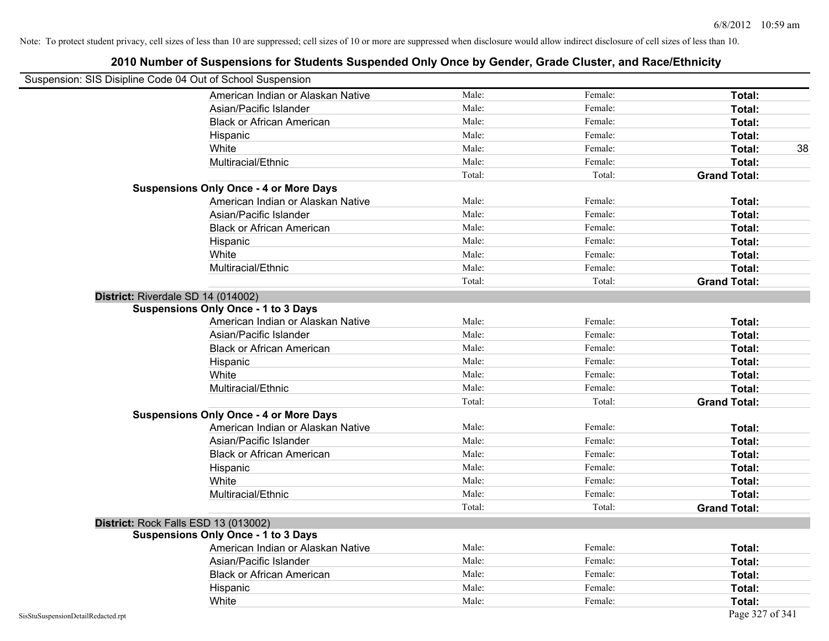|                                                            | 2010 Number of Suspensions for Students Suspended Only Once by Gender, Grade Cluster, and Race/Ethnicity |        |         |                     |
|------------------------------------------------------------|----------------------------------------------------------------------------------------------------------|--------|---------|---------------------|
| Suspension: SIS Disipline Code 04 Out of School Suspension |                                                                                                          |        |         |                     |
|                                                            | American Indian or Alaskan Native                                                                        | Male:  | Female: | Total:              |
|                                                            | Asian/Pacific Islander                                                                                   | Male:  | Female: | Total:              |
|                                                            | <b>Black or African American</b>                                                                         | Male:  | Female: | Total:              |
| Hispanic                                                   |                                                                                                          | Male:  | Female: | Total:              |
| White                                                      |                                                                                                          | Male:  | Female: | Total:<br>38        |
|                                                            | Multiracial/Ethnic                                                                                       | Male:  | Female: | Total:              |
|                                                            |                                                                                                          | Total: | Total:  | <b>Grand Total:</b> |
| <b>Suspensions Only Once - 4 or More Days</b>              |                                                                                                          |        |         |                     |
|                                                            | American Indian or Alaskan Native                                                                        | Male:  | Female: | Total:              |
|                                                            | Asian/Pacific Islander                                                                                   | Male:  | Female: | Total:              |
|                                                            | <b>Black or African American</b>                                                                         | Male:  | Female: | Total:              |
| Hispanic                                                   |                                                                                                          | Male:  | Female: | Total:              |
| White                                                      |                                                                                                          | Male:  | Female: | Total:              |
|                                                            | Multiracial/Ethnic                                                                                       | Male:  | Female: | Total:              |
|                                                            |                                                                                                          | Total: | Total:  | <b>Grand Total:</b> |
| District: Riverdale SD 14 (014002)                         |                                                                                                          |        |         |                     |
| <b>Suspensions Only Once - 1 to 3 Days</b>                 |                                                                                                          |        |         |                     |
|                                                            | American Indian or Alaskan Native                                                                        | Male:  | Female: | Total:              |
|                                                            | Asian/Pacific Islander                                                                                   | Male:  | Female: | Total:              |
|                                                            | <b>Black or African American</b>                                                                         | Male:  | Female: | Total:              |
| Hispanic                                                   |                                                                                                          | Male:  | Female: | Total:              |
| White                                                      |                                                                                                          | Male:  | Female: | Total:              |
|                                                            | Multiracial/Ethnic                                                                                       | Male:  | Female: | <b>Total:</b>       |
|                                                            |                                                                                                          | Total: | Total:  | <b>Grand Total:</b> |
| <b>Suspensions Only Once - 4 or More Days</b>              |                                                                                                          |        |         |                     |
|                                                            | American Indian or Alaskan Native                                                                        | Male:  | Female: | Total:              |
|                                                            | Asian/Pacific Islander                                                                                   | Male:  | Female: | Total:              |
|                                                            | <b>Black or African American</b>                                                                         | Male:  | Female: | Total:              |
| Hispanic                                                   |                                                                                                          | Male:  | Female: | Total:              |
| White                                                      |                                                                                                          | Male:  | Female: | Total:              |
|                                                            | Multiracial/Ethnic                                                                                       | Male:  | Female: | Total:              |
|                                                            |                                                                                                          | Total: | Total:  | <b>Grand Total:</b> |
| District: Rock Falls ESD 13 (013002)                       |                                                                                                          |        |         |                     |
| <b>Suspensions Only Once - 1 to 3 Days</b>                 |                                                                                                          |        |         |                     |
|                                                            | American Indian or Alaskan Native                                                                        | Male:  | Female: | Total:              |
|                                                            | Asian/Pacific Islander                                                                                   | Male:  | Female: | Total:              |
|                                                            | <b>Black or African American</b>                                                                         | Male:  | Female: | Total:              |
| Hispanic                                                   |                                                                                                          | Male:  | Female: | Total:              |
| White                                                      |                                                                                                          | Male:  | Female: | Total:              |
| SisStuSuspensionDetailRedacted.rpt                         |                                                                                                          |        |         | Page 327 of 341     |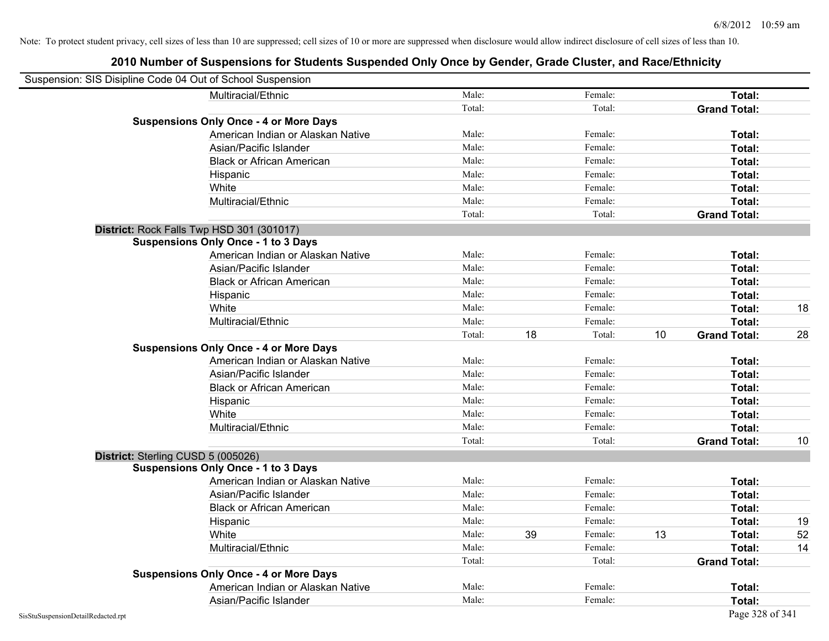| Suspension: SIS Disipline Code 04 Out of School Suspension |                                               |        |    |               |                     |    |
|------------------------------------------------------------|-----------------------------------------------|--------|----|---------------|---------------------|----|
|                                                            | Multiracial/Ethnic                            | Male:  |    | Female:       | Total:              |    |
|                                                            |                                               | Total: |    | Total:        | <b>Grand Total:</b> |    |
|                                                            | <b>Suspensions Only Once - 4 or More Days</b> |        |    |               |                     |    |
|                                                            | American Indian or Alaskan Native             | Male:  |    | Female:       | Total:              |    |
|                                                            | Asian/Pacific Islander                        | Male:  |    | Female:       | Total:              |    |
|                                                            | <b>Black or African American</b>              | Male:  |    | Female:       | Total:              |    |
|                                                            | Hispanic                                      | Male:  |    | Female:       | Total:              |    |
|                                                            | White                                         | Male:  |    | Female:       | Total:              |    |
|                                                            | Multiracial/Ethnic                            | Male:  |    | Female:       | Total:              |    |
|                                                            |                                               | Total: |    | Total:        | <b>Grand Total:</b> |    |
|                                                            | District: Rock Falls Twp HSD 301 (301017)     |        |    |               |                     |    |
|                                                            | <b>Suspensions Only Once - 1 to 3 Days</b>    |        |    |               |                     |    |
|                                                            | American Indian or Alaskan Native             | Male:  |    | Female:       | Total:              |    |
|                                                            | Asian/Pacific Islander                        | Male:  |    | Female:       | Total:              |    |
|                                                            | <b>Black or African American</b>              | Male:  |    | Female:       | Total:              |    |
|                                                            | Hispanic                                      | Male:  |    | Female:       | Total:              |    |
|                                                            | White                                         | Male:  |    | Female:       | Total:              | 18 |
|                                                            | Multiracial/Ethnic                            | Male:  |    | Female:       | Total:              |    |
|                                                            |                                               | Total: | 18 | 10<br>Total:  | <b>Grand Total:</b> | 28 |
|                                                            | <b>Suspensions Only Once - 4 or More Days</b> |        |    |               |                     |    |
|                                                            | American Indian or Alaskan Native             | Male:  |    | Female:       | Total:              |    |
|                                                            | Asian/Pacific Islander                        | Male:  |    | Female:       | Total:              |    |
|                                                            | <b>Black or African American</b>              | Male:  |    | Female:       | Total:              |    |
|                                                            | Hispanic                                      | Male:  |    | Female:       | Total:              |    |
|                                                            | White                                         | Male:  |    | Female:       | Total:              |    |
|                                                            | Multiracial/Ethnic                            | Male:  |    | Female:       | Total:              |    |
|                                                            |                                               | Total: |    | Total:        | <b>Grand Total:</b> | 10 |
| District: Sterling CUSD 5 (005026)                         |                                               |        |    |               |                     |    |
|                                                            | <b>Suspensions Only Once - 1 to 3 Days</b>    |        |    |               |                     |    |
|                                                            | American Indian or Alaskan Native             | Male:  |    | Female:       | Total:              |    |
|                                                            | Asian/Pacific Islander                        | Male:  |    | Female:       | Total:              |    |
|                                                            | <b>Black or African American</b>              | Male:  |    | Female:       | Total:              |    |
|                                                            | Hispanic                                      | Male:  |    | Female:       | Total:              | 19 |
|                                                            | White                                         | Male:  | 39 | 13<br>Female: | Total:              | 52 |
|                                                            | Multiracial/Ethnic                            | Male:  |    | Female:       | Total:              | 14 |
|                                                            |                                               | Total: |    | Total:        | <b>Grand Total:</b> |    |
|                                                            | <b>Suspensions Only Once - 4 or More Days</b> |        |    |               |                     |    |
|                                                            | American Indian or Alaskan Native             | Male:  |    | Female:       | Total:              |    |
|                                                            | Asian/Pacific Islander                        | Male:  |    | Female:       | Total:              |    |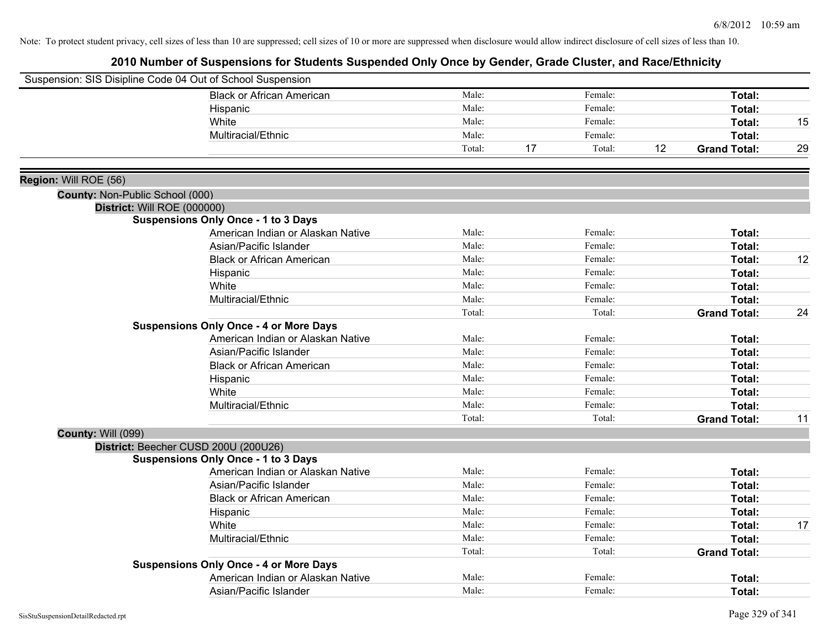|                                 | Suspension: SIS Disipline Code 04 Out of School Suspension |        |              |                           |    |
|---------------------------------|------------------------------------------------------------|--------|--------------|---------------------------|----|
|                                 | <b>Black or African American</b>                           | Male:  | Female:      | Total:                    |    |
|                                 | Hispanic                                                   | Male:  | Female:      | Total:                    |    |
|                                 | White                                                      | Male:  | Female:      | Total:                    | 15 |
|                                 | Multiracial/Ethnic                                         | Male:  | Female:      | Total:                    |    |
|                                 |                                                            | Total: | 17<br>Total: | 12<br><b>Grand Total:</b> | 29 |
| Region: Will ROE (56)           |                                                            |        |              |                           |    |
| County: Non-Public School (000) |                                                            |        |              |                           |    |
| District: Will ROE (000000)     |                                                            |        |              |                           |    |
|                                 | <b>Suspensions Only Once - 1 to 3 Days</b>                 |        |              |                           |    |
|                                 | American Indian or Alaskan Native                          | Male:  | Female:      | Total:                    |    |
|                                 | Asian/Pacific Islander                                     | Male:  | Female:      | Total:                    |    |
|                                 | <b>Black or African American</b>                           | Male:  | Female:      | Total:                    | 12 |
|                                 | Hispanic                                                   | Male:  | Female:      | Total:                    |    |
|                                 | White                                                      | Male:  | Female:      | Total:                    |    |
|                                 | Multiracial/Ethnic                                         | Male:  | Female:      | Total:                    |    |
|                                 |                                                            | Total: | Total:       | <b>Grand Total:</b>       | 24 |
|                                 | <b>Suspensions Only Once - 4 or More Days</b>              |        |              |                           |    |
|                                 | American Indian or Alaskan Native                          | Male:  | Female:      | Total:                    |    |
|                                 | Asian/Pacific Islander                                     | Male:  | Female:      | Total:                    |    |
|                                 | <b>Black or African American</b>                           | Male:  | Female:      | Total:                    |    |
|                                 | Hispanic                                                   | Male:  | Female:      | Total:                    |    |
|                                 | White                                                      | Male:  | Female:      | Total:                    |    |
|                                 | Multiracial/Ethnic                                         | Male:  | Female:      | Total:                    |    |
|                                 |                                                            | Total: | Total:       | <b>Grand Total:</b>       | 11 |
| <b>County: Will (099)</b>       |                                                            |        |              |                           |    |
|                                 | District: Beecher CUSD 200U (200U26)                       |        |              |                           |    |
|                                 | <b>Suspensions Only Once - 1 to 3 Days</b>                 |        |              |                           |    |
|                                 | American Indian or Alaskan Native                          | Male:  | Female:      | Total:                    |    |
|                                 | Asian/Pacific Islander                                     | Male:  | Female:      | Total:                    |    |
|                                 | <b>Black or African American</b>                           | Male:  | Female:      | Total:                    |    |
|                                 | Hispanic                                                   | Male:  | Female:      | Total:                    |    |
|                                 | White                                                      | Male:  | Female:      | Total:                    | 17 |
|                                 | Multiracial/Ethnic                                         | Male:  | Female:      | Total:                    |    |
|                                 |                                                            | Total: | Total:       | <b>Grand Total:</b>       |    |
|                                 | <b>Suspensions Only Once - 4 or More Days</b>              |        |              |                           |    |
|                                 | American Indian or Alaskan Native                          | Male:  | Female:      | Total:                    |    |
|                                 | Asian/Pacific Islander                                     | Male:  | Female:      | Total:                    |    |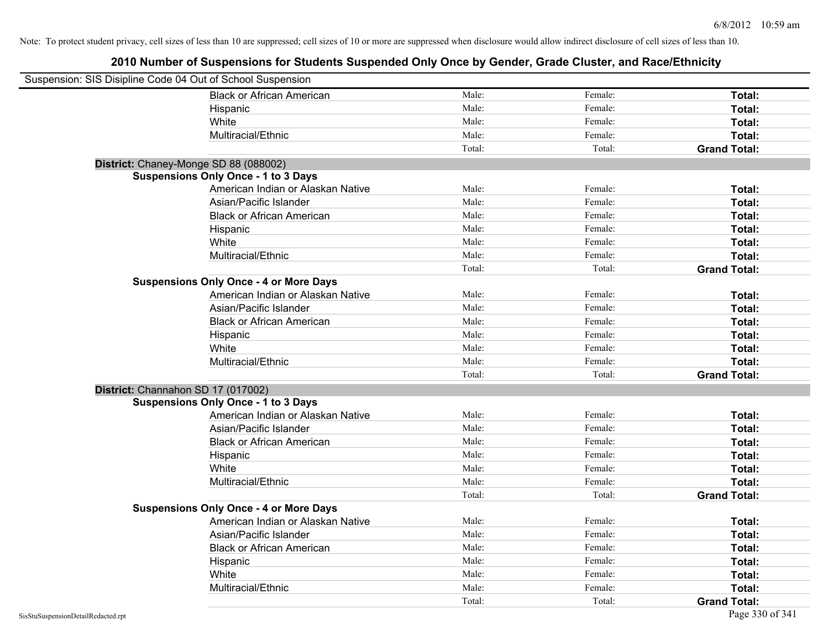| Suspension: SIS Disipline Code 04 Out of School Suspension |                                               |        |         |                     |
|------------------------------------------------------------|-----------------------------------------------|--------|---------|---------------------|
|                                                            | <b>Black or African American</b>              | Male:  | Female: | Total:              |
|                                                            | Hispanic                                      | Male:  | Female: | Total:              |
|                                                            | White                                         | Male:  | Female: | Total:              |
|                                                            | Multiracial/Ethnic                            | Male:  | Female: | Total:              |
|                                                            |                                               | Total: | Total:  | <b>Grand Total:</b> |
| District: Chaney-Monge SD 88 (088002)                      |                                               |        |         |                     |
|                                                            | <b>Suspensions Only Once - 1 to 3 Days</b>    |        |         |                     |
|                                                            | American Indian or Alaskan Native             | Male:  | Female: | Total:              |
|                                                            | Asian/Pacific Islander                        | Male:  | Female: | Total:              |
|                                                            | <b>Black or African American</b>              | Male:  | Female: | Total:              |
|                                                            | Hispanic                                      | Male:  | Female: | Total:              |
|                                                            | White                                         | Male:  | Female: | Total:              |
|                                                            | Multiracial/Ethnic                            | Male:  | Female: | Total:              |
|                                                            |                                               | Total: | Total:  | <b>Grand Total:</b> |
|                                                            | <b>Suspensions Only Once - 4 or More Days</b> |        |         |                     |
|                                                            | American Indian or Alaskan Native             | Male:  | Female: | Total:              |
|                                                            | Asian/Pacific Islander                        | Male:  | Female: | Total:              |
|                                                            | <b>Black or African American</b>              | Male:  | Female: | Total:              |
|                                                            | Hispanic                                      | Male:  | Female: | Total:              |
|                                                            | White                                         | Male:  | Female: | Total:              |
|                                                            | Multiracial/Ethnic                            | Male:  | Female: | Total:              |
|                                                            |                                               | Total: | Total:  | <b>Grand Total:</b> |
| District: Channahon SD 17 (017002)                         |                                               |        |         |                     |
|                                                            | <b>Suspensions Only Once - 1 to 3 Days</b>    |        |         |                     |
|                                                            | American Indian or Alaskan Native             | Male:  | Female: | Total:              |
|                                                            | Asian/Pacific Islander                        | Male:  | Female: | Total:              |
|                                                            | <b>Black or African American</b>              | Male:  | Female: | Total:              |
|                                                            | Hispanic                                      | Male:  | Female: | Total:              |
|                                                            | White                                         | Male:  | Female: | Total:              |
|                                                            | Multiracial/Ethnic                            | Male:  | Female: | Total:              |
|                                                            |                                               | Total: | Total:  | <b>Grand Total:</b> |
|                                                            | <b>Suspensions Only Once - 4 or More Days</b> |        |         |                     |
|                                                            | American Indian or Alaskan Native             | Male:  | Female: | Total:              |
|                                                            | Asian/Pacific Islander                        | Male:  | Female: | Total:              |
|                                                            | <b>Black or African American</b>              | Male:  | Female: | Total:              |
|                                                            | Hispanic                                      | Male:  | Female: | Total:              |
|                                                            | White                                         | Male:  | Female: | Total:              |
|                                                            | Multiracial/Ethnic                            | Male:  | Female: | Total:              |
|                                                            |                                               | Total: | Total:  | <b>Grand Total:</b> |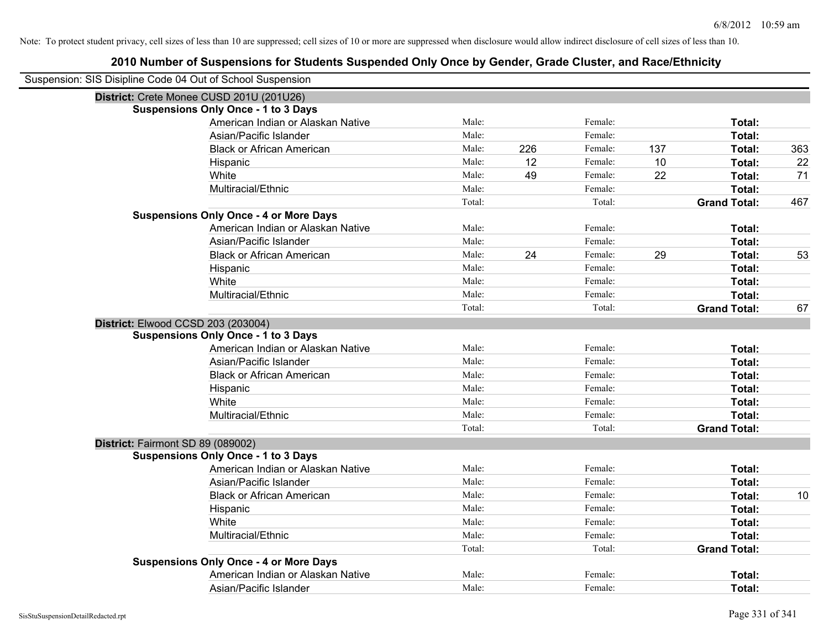| Suspension: SIS Disipline Code 04 Out of School Suspension |                                               |        |     |         |     |                     |     |
|------------------------------------------------------------|-----------------------------------------------|--------|-----|---------|-----|---------------------|-----|
|                                                            | District: Crete Monee CUSD 201U (201U26)      |        |     |         |     |                     |     |
|                                                            | <b>Suspensions Only Once - 1 to 3 Days</b>    |        |     |         |     |                     |     |
|                                                            | American Indian or Alaskan Native             | Male:  |     | Female: |     | Total:              |     |
|                                                            | Asian/Pacific Islander                        | Male:  |     | Female: |     | Total:              |     |
|                                                            | <b>Black or African American</b>              | Male:  | 226 | Female: | 137 | Total:              | 363 |
|                                                            | Hispanic                                      | Male:  | 12  | Female: | 10  | Total:              | 22  |
|                                                            | White                                         | Male:  | 49  | Female: | 22  | Total:              | 71  |
|                                                            | Multiracial/Ethnic                            | Male:  |     | Female: |     | Total:              |     |
|                                                            |                                               | Total: |     | Total:  |     | <b>Grand Total:</b> | 467 |
|                                                            | <b>Suspensions Only Once - 4 or More Days</b> |        |     |         |     |                     |     |
|                                                            | American Indian or Alaskan Native             | Male:  |     | Female: |     | Total:              |     |
|                                                            | Asian/Pacific Islander                        | Male:  |     | Female: |     | Total:              |     |
|                                                            | <b>Black or African American</b>              | Male:  | 24  | Female: | 29  | Total:              | 53  |
|                                                            | Hispanic                                      | Male:  |     | Female: |     | Total:              |     |
|                                                            | White                                         | Male:  |     | Female: |     | Total:              |     |
|                                                            | Multiracial/Ethnic                            | Male:  |     | Female: |     | Total:              |     |
|                                                            |                                               | Total: |     | Total:  |     | <b>Grand Total:</b> | 67  |
| District: Elwood CCSD 203 (203004)                         |                                               |        |     |         |     |                     |     |
|                                                            | <b>Suspensions Only Once - 1 to 3 Days</b>    |        |     |         |     |                     |     |
|                                                            | American Indian or Alaskan Native             | Male:  |     | Female: |     | Total:              |     |
|                                                            | Asian/Pacific Islander                        | Male:  |     | Female: |     | Total:              |     |
|                                                            | <b>Black or African American</b>              | Male:  |     | Female: |     | Total:              |     |
|                                                            | Hispanic                                      | Male:  |     | Female: |     | Total:              |     |
|                                                            | White                                         | Male:  |     | Female: |     | Total:              |     |
|                                                            | Multiracial/Ethnic                            | Male:  |     | Female: |     | Total:              |     |
|                                                            |                                               | Total: |     | Total:  |     | <b>Grand Total:</b> |     |
| District: Fairmont SD 89 (089002)                          |                                               |        |     |         |     |                     |     |
|                                                            | <b>Suspensions Only Once - 1 to 3 Days</b>    |        |     |         |     |                     |     |
|                                                            | American Indian or Alaskan Native             | Male:  |     | Female: |     | Total:              |     |
|                                                            | Asian/Pacific Islander                        | Male:  |     | Female: |     | Total:              |     |
|                                                            | <b>Black or African American</b>              | Male:  |     | Female: |     | Total:              | 10  |
|                                                            | Hispanic                                      | Male:  |     | Female: |     | Total:              |     |
|                                                            | White                                         | Male:  |     | Female: |     | Total:              |     |
|                                                            | Multiracial/Ethnic                            | Male:  |     | Female: |     | Total:              |     |
|                                                            |                                               | Total: |     | Total:  |     | <b>Grand Total:</b> |     |
|                                                            | <b>Suspensions Only Once - 4 or More Days</b> |        |     |         |     |                     |     |
|                                                            | American Indian or Alaskan Native             | Male:  |     | Female: |     | <b>Total:</b>       |     |
|                                                            | Asian/Pacific Islander                        | Male:  |     | Female: |     | Total:              |     |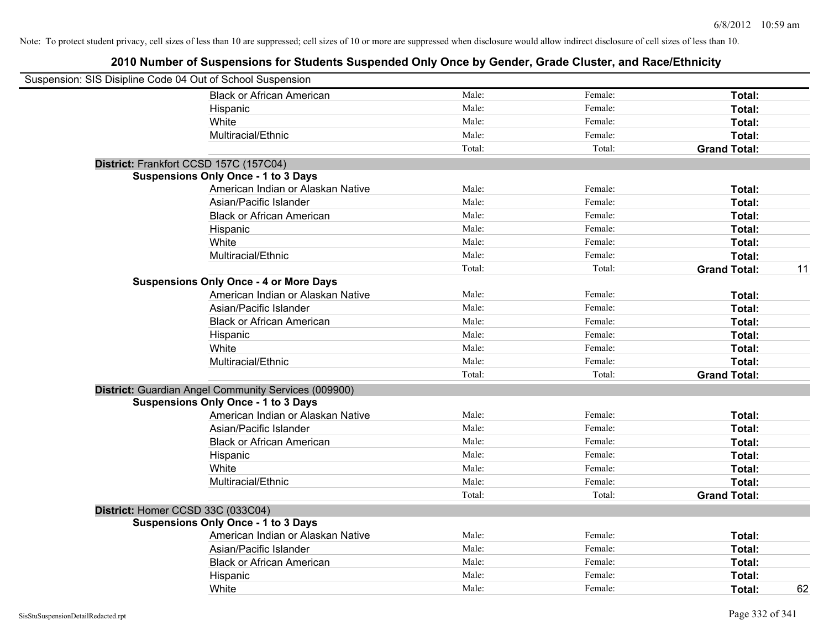| Suspension: SIS Disipline Code 04 Out of School Suspension |                                                      |        |         |                           |
|------------------------------------------------------------|------------------------------------------------------|--------|---------|---------------------------|
|                                                            | <b>Black or African American</b>                     | Male:  | Female: | Total:                    |
|                                                            | Hispanic                                             | Male:  | Female: | Total:                    |
|                                                            | White                                                | Male:  | Female: | Total:                    |
|                                                            | Multiracial/Ethnic                                   | Male:  | Female: | Total:                    |
|                                                            |                                                      | Total: | Total:  | <b>Grand Total:</b>       |
| District: Frankfort CCSD 157C (157C04)                     |                                                      |        |         |                           |
|                                                            | <b>Suspensions Only Once - 1 to 3 Days</b>           |        |         |                           |
|                                                            | American Indian or Alaskan Native                    | Male:  | Female: | Total:                    |
|                                                            | Asian/Pacific Islander                               | Male:  | Female: | Total:                    |
|                                                            | <b>Black or African American</b>                     | Male:  | Female: | Total:                    |
|                                                            | Hispanic                                             | Male:  | Female: | Total:                    |
|                                                            | White                                                | Male:  | Female: | Total:                    |
|                                                            | Multiracial/Ethnic                                   | Male:  | Female: | Total:                    |
|                                                            |                                                      | Total: | Total:  | <b>Grand Total:</b><br>11 |
|                                                            | <b>Suspensions Only Once - 4 or More Days</b>        |        |         |                           |
|                                                            | American Indian or Alaskan Native                    | Male:  | Female: | Total:                    |
|                                                            | Asian/Pacific Islander                               | Male:  | Female: | Total:                    |
|                                                            | <b>Black or African American</b>                     | Male:  | Female: | Total:                    |
|                                                            | Hispanic                                             | Male:  | Female: | Total:                    |
|                                                            | White                                                | Male:  | Female: | Total:                    |
|                                                            | Multiracial/Ethnic                                   | Male:  | Female: | Total:                    |
|                                                            |                                                      | Total: | Total:  | <b>Grand Total:</b>       |
|                                                            | District: Guardian Angel Community Services (009900) |        |         |                           |
|                                                            | <b>Suspensions Only Once - 1 to 3 Days</b>           |        |         |                           |
|                                                            | American Indian or Alaskan Native                    | Male:  | Female: | Total:                    |
|                                                            | Asian/Pacific Islander                               | Male:  | Female: | Total:                    |
|                                                            | <b>Black or African American</b>                     | Male:  | Female: | Total:                    |
|                                                            | Hispanic                                             | Male:  | Female: | Total:                    |
|                                                            | White                                                | Male:  | Female: | Total:                    |
|                                                            | Multiracial/Ethnic                                   | Male:  | Female: | Total:                    |
|                                                            |                                                      | Total: | Total:  | <b>Grand Total:</b>       |
| District: Homer CCSD 33C (033C04)                          |                                                      |        |         |                           |
|                                                            | <b>Suspensions Only Once - 1 to 3 Days</b>           |        |         |                           |
|                                                            | American Indian or Alaskan Native                    | Male:  | Female: | Total:                    |
|                                                            | Asian/Pacific Islander                               | Male:  | Female: | Total:                    |
|                                                            | <b>Black or African American</b>                     | Male:  | Female: | Total:                    |
|                                                            | Hispanic                                             | Male:  | Female: | Total:                    |
|                                                            | White                                                | Male:  | Female: | 62<br>Total:              |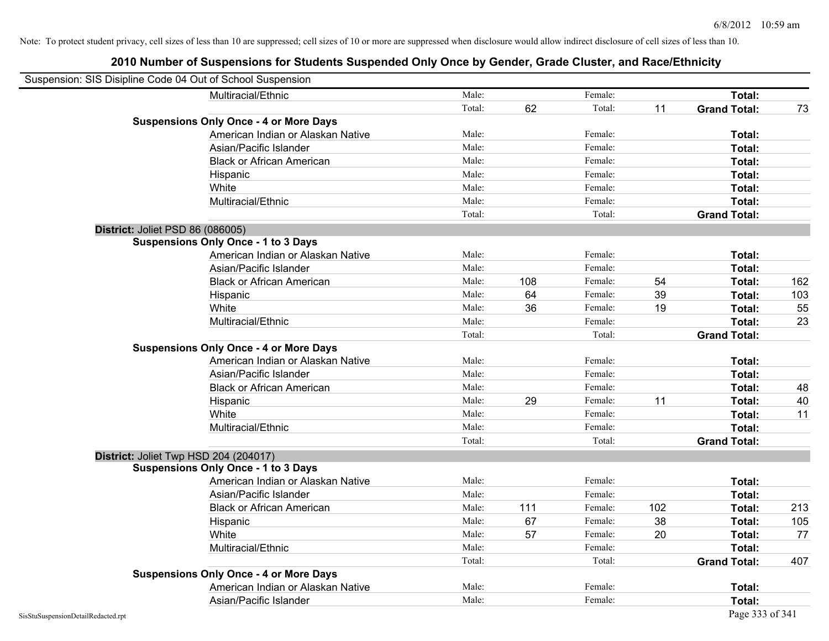| Suspension: SIS Disipline Code 04 Out of School Suspension |                                               |        |     |         |     |                     |     |
|------------------------------------------------------------|-----------------------------------------------|--------|-----|---------|-----|---------------------|-----|
|                                                            | Multiracial/Ethnic                            | Male:  |     | Female: |     | Total:              |     |
|                                                            |                                               | Total: | 62  | Total:  | 11  | <b>Grand Total:</b> | 73  |
|                                                            | <b>Suspensions Only Once - 4 or More Days</b> |        |     |         |     |                     |     |
|                                                            | American Indian or Alaskan Native             | Male:  |     | Female: |     | Total:              |     |
|                                                            | Asian/Pacific Islander                        | Male:  |     | Female: |     | Total:              |     |
|                                                            | <b>Black or African American</b>              | Male:  |     | Female: |     | Total:              |     |
|                                                            | Hispanic                                      | Male:  |     | Female: |     | Total:              |     |
|                                                            | White                                         | Male:  |     | Female: |     | Total:              |     |
|                                                            | Multiracial/Ethnic                            | Male:  |     | Female: |     | Total:              |     |
|                                                            |                                               | Total: |     | Total:  |     | <b>Grand Total:</b> |     |
| District: Joliet PSD 86 (086005)                           |                                               |        |     |         |     |                     |     |
|                                                            | <b>Suspensions Only Once - 1 to 3 Days</b>    |        |     |         |     |                     |     |
|                                                            | American Indian or Alaskan Native             | Male:  |     | Female: |     | Total:              |     |
|                                                            | Asian/Pacific Islander                        | Male:  |     | Female: |     | Total:              |     |
|                                                            | <b>Black or African American</b>              | Male:  | 108 | Female: | 54  | Total:              | 162 |
|                                                            | Hispanic                                      | Male:  | 64  | Female: | 39  | Total:              | 103 |
|                                                            | White                                         | Male:  | 36  | Female: | 19  | Total:              | 55  |
|                                                            | Multiracial/Ethnic                            | Male:  |     | Female: |     | Total:              | 23  |
|                                                            |                                               | Total: |     | Total:  |     | <b>Grand Total:</b> |     |
|                                                            | <b>Suspensions Only Once - 4 or More Days</b> |        |     |         |     |                     |     |
|                                                            | American Indian or Alaskan Native             | Male:  |     | Female: |     | Total:              |     |
|                                                            | Asian/Pacific Islander                        | Male:  |     | Female: |     | Total:              |     |
|                                                            | <b>Black or African American</b>              | Male:  |     | Female: |     | Total:              | 48  |
|                                                            | Hispanic                                      | Male:  | 29  | Female: | 11  | Total:              | 40  |
|                                                            | White                                         | Male:  |     | Female: |     | Total:              | 11  |
|                                                            | Multiracial/Ethnic                            | Male:  |     | Female: |     | Total:              |     |
|                                                            |                                               | Total: |     | Total:  |     | <b>Grand Total:</b> |     |
| District: Joliet Twp HSD 204 (204017)                      |                                               |        |     |         |     |                     |     |
|                                                            | <b>Suspensions Only Once - 1 to 3 Days</b>    |        |     |         |     |                     |     |
|                                                            | American Indian or Alaskan Native             | Male:  |     | Female: |     | Total:              |     |
|                                                            | Asian/Pacific Islander                        | Male:  |     | Female: |     | Total:              |     |
|                                                            | <b>Black or African American</b>              | Male:  | 111 | Female: | 102 | Total:              | 213 |
|                                                            | Hispanic                                      | Male:  | 67  | Female: | 38  | Total:              | 105 |
|                                                            | White                                         | Male:  | 57  | Female: | 20  | Total:              | 77  |
|                                                            | Multiracial/Ethnic                            | Male:  |     | Female: |     | Total:              |     |
|                                                            |                                               | Total: |     | Total:  |     | <b>Grand Total:</b> | 407 |
|                                                            | <b>Suspensions Only Once - 4 or More Days</b> |        |     |         |     |                     |     |
|                                                            | American Indian or Alaskan Native             | Male:  |     | Female: |     | Total:              |     |
|                                                            | Asian/Pacific Islander                        | Male:  |     | Female: |     | Total:              |     |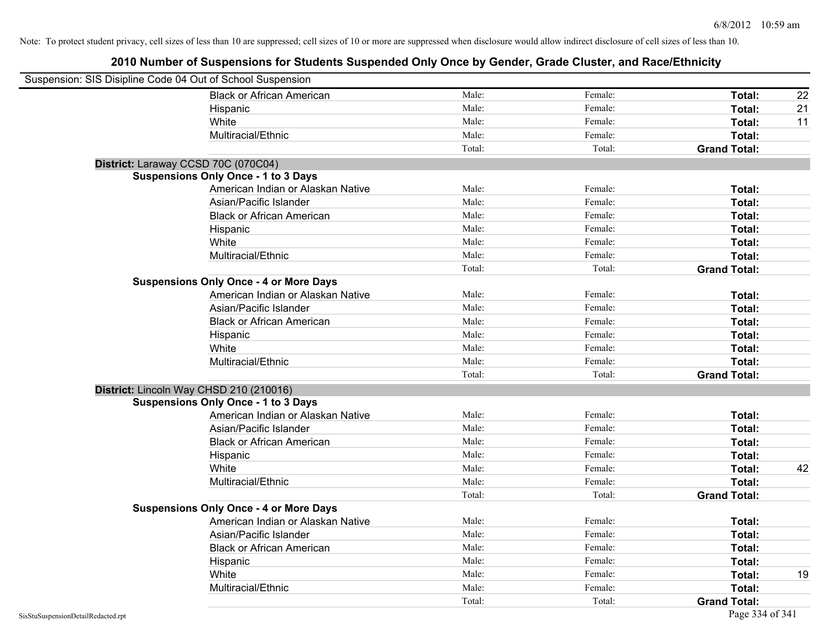| Suspension: SIS Disipline Code 04 Out of School Suspension |                                               |        |         |                     |    |
|------------------------------------------------------------|-----------------------------------------------|--------|---------|---------------------|----|
|                                                            | <b>Black or African American</b>              | Male:  | Female: | Total:              | 22 |
|                                                            | Hispanic                                      | Male:  | Female: | Total:              | 21 |
|                                                            | White                                         | Male:  | Female: | Total:              | 11 |
|                                                            | Multiracial/Ethnic                            | Male:  | Female: | Total:              |    |
|                                                            |                                               | Total: | Total:  | <b>Grand Total:</b> |    |
| District: Laraway CCSD 70C (070C04)                        |                                               |        |         |                     |    |
|                                                            | <b>Suspensions Only Once - 1 to 3 Days</b>    |        |         |                     |    |
|                                                            | American Indian or Alaskan Native             | Male:  | Female: | Total:              |    |
|                                                            | Asian/Pacific Islander                        | Male:  | Female: | Total:              |    |
|                                                            | <b>Black or African American</b>              | Male:  | Female: | Total:              |    |
|                                                            | Hispanic                                      | Male:  | Female: | Total:              |    |
|                                                            | White                                         | Male:  | Female: | Total:              |    |
|                                                            | Multiracial/Ethnic                            | Male:  | Female: | Total:              |    |
|                                                            |                                               | Total: | Total:  | <b>Grand Total:</b> |    |
|                                                            | <b>Suspensions Only Once - 4 or More Days</b> |        |         |                     |    |
|                                                            | American Indian or Alaskan Native             | Male:  | Female: | Total:              |    |
|                                                            | Asian/Pacific Islander                        | Male:  | Female: | Total:              |    |
|                                                            | <b>Black or African American</b>              | Male:  | Female: | Total:              |    |
|                                                            | Hispanic                                      | Male:  | Female: | Total:              |    |
|                                                            | White                                         | Male:  | Female: | Total:              |    |
|                                                            | Multiracial/Ethnic                            | Male:  | Female: | Total:              |    |
|                                                            |                                               | Total: | Total:  | <b>Grand Total:</b> |    |
| District: Lincoln Way CHSD 210 (210016)                    |                                               |        |         |                     |    |
|                                                            | <b>Suspensions Only Once - 1 to 3 Days</b>    |        |         |                     |    |
|                                                            | American Indian or Alaskan Native             | Male:  | Female: | Total:              |    |
|                                                            | Asian/Pacific Islander                        | Male:  | Female: | Total:              |    |
|                                                            | <b>Black or African American</b>              | Male:  | Female: | Total:              |    |
|                                                            | Hispanic                                      | Male:  | Female: | Total:              |    |
|                                                            | White                                         | Male:  | Female: | Total:              | 42 |
|                                                            | Multiracial/Ethnic                            | Male:  | Female: | Total:              |    |
|                                                            |                                               | Total: | Total:  | <b>Grand Total:</b> |    |
|                                                            | <b>Suspensions Only Once - 4 or More Days</b> |        |         |                     |    |
|                                                            | American Indian or Alaskan Native             | Male:  | Female: | Total:              |    |
|                                                            | Asian/Pacific Islander                        | Male:  | Female: | Total:              |    |
|                                                            | <b>Black or African American</b>              | Male:  | Female: | Total:              |    |
|                                                            | Hispanic                                      | Male:  | Female: | Total:              |    |
|                                                            | White                                         | Male:  | Female: | Total:              | 19 |
|                                                            | Multiracial/Ethnic                            | Male:  | Female: | Total:              |    |
|                                                            |                                               | Total: | Total:  | <b>Grand Total:</b> |    |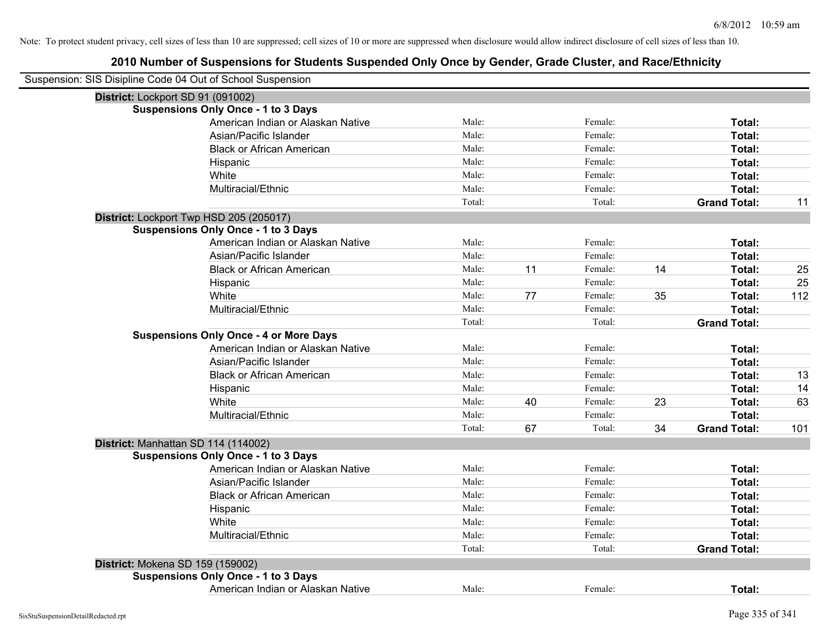| Suspension: SIS Disipline Code 04 Out of School Suspension |                                               |        |    |         |    |                     |     |
|------------------------------------------------------------|-----------------------------------------------|--------|----|---------|----|---------------------|-----|
| District: Lockport SD 91 (091002)                          |                                               |        |    |         |    |                     |     |
|                                                            | <b>Suspensions Only Once - 1 to 3 Days</b>    |        |    |         |    |                     |     |
|                                                            | American Indian or Alaskan Native             | Male:  |    | Female: |    | Total:              |     |
|                                                            | Asian/Pacific Islander                        | Male:  |    | Female: |    | Total:              |     |
|                                                            | <b>Black or African American</b>              | Male:  |    | Female: |    | Total:              |     |
|                                                            | Hispanic                                      | Male:  |    | Female: |    | Total:              |     |
|                                                            | White                                         | Male:  |    | Female: |    | Total:              |     |
|                                                            | Multiracial/Ethnic                            | Male:  |    | Female: |    | Total:              |     |
|                                                            |                                               | Total: |    | Total:  |    | <b>Grand Total:</b> | 11  |
|                                                            | District: Lockport Twp HSD 205 (205017)       |        |    |         |    |                     |     |
|                                                            | <b>Suspensions Only Once - 1 to 3 Days</b>    |        |    |         |    |                     |     |
|                                                            | American Indian or Alaskan Native             | Male:  |    | Female: |    | Total:              |     |
|                                                            | Asian/Pacific Islander                        | Male:  |    | Female: |    | Total:              |     |
|                                                            | <b>Black or African American</b>              | Male:  | 11 | Female: | 14 | Total:              | 25  |
|                                                            | Hispanic                                      | Male:  |    | Female: |    | Total:              | 25  |
|                                                            | White                                         | Male:  | 77 | Female: | 35 | Total:              | 112 |
|                                                            | Multiracial/Ethnic                            | Male:  |    | Female: |    | Total:              |     |
|                                                            |                                               | Total: |    | Total:  |    | <b>Grand Total:</b> |     |
|                                                            | <b>Suspensions Only Once - 4 or More Days</b> |        |    |         |    |                     |     |
|                                                            | American Indian or Alaskan Native             | Male:  |    | Female: |    | Total:              |     |
|                                                            | Asian/Pacific Islander                        | Male:  |    | Female: |    | Total:              |     |
|                                                            | <b>Black or African American</b>              | Male:  |    | Female: |    | Total:              | 13  |
|                                                            | Hispanic                                      | Male:  |    | Female: |    | Total:              | 14  |
|                                                            | White                                         | Male:  | 40 | Female: | 23 | Total:              | 63  |
|                                                            | Multiracial/Ethnic                            | Male:  |    | Female: |    | Total:              |     |
|                                                            |                                               | Total: | 67 | Total:  | 34 | <b>Grand Total:</b> | 101 |
|                                                            | District: Manhattan SD 114 (114002)           |        |    |         |    |                     |     |
|                                                            | <b>Suspensions Only Once - 1 to 3 Days</b>    |        |    |         |    |                     |     |
|                                                            | American Indian or Alaskan Native             | Male:  |    | Female: |    | Total:              |     |
|                                                            | Asian/Pacific Islander                        | Male:  |    | Female: |    | Total:              |     |
|                                                            | <b>Black or African American</b>              | Male:  |    | Female: |    | Total:              |     |
|                                                            | Hispanic                                      | Male:  |    | Female: |    | Total:              |     |
|                                                            | White                                         | Male:  |    | Female: |    | Total:              |     |
|                                                            | Multiracial/Ethnic                            | Male:  |    | Female: |    | Total:              |     |
|                                                            |                                               | Total: |    | Total:  |    | <b>Grand Total:</b> |     |
| District: Mokena SD 159 (159002)                           |                                               |        |    |         |    |                     |     |
|                                                            | <b>Suspensions Only Once - 1 to 3 Days</b>    |        |    |         |    |                     |     |
|                                                            | American Indian or Alaskan Native             | Male:  |    | Female: |    | Total:              |     |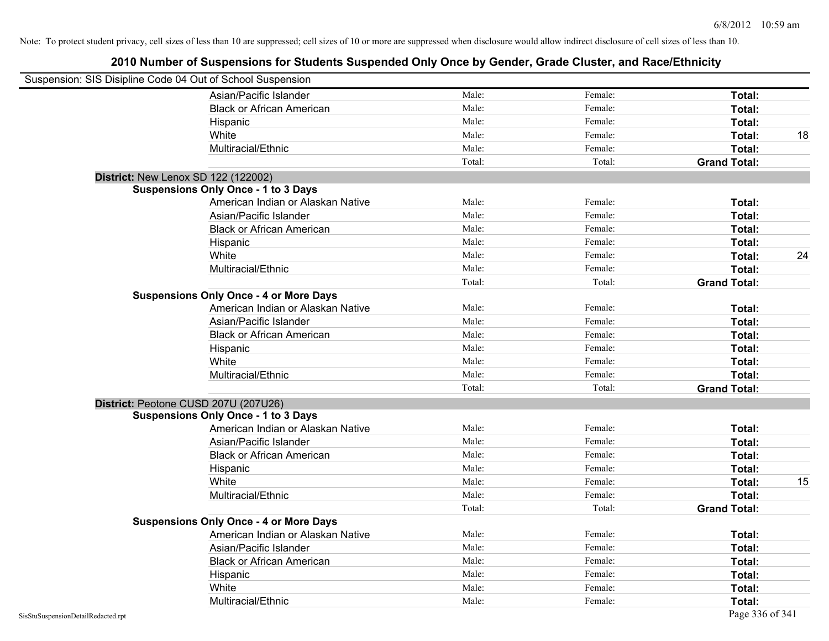| Suspension: SIS Disipline Code 04 Out of School Suspension |                                               |        |         |                     |    |
|------------------------------------------------------------|-----------------------------------------------|--------|---------|---------------------|----|
|                                                            | Asian/Pacific Islander                        | Male:  | Female: | Total:              |    |
|                                                            | <b>Black or African American</b>              | Male:  | Female: | Total:              |    |
|                                                            | Hispanic                                      | Male:  | Female: | Total:              |    |
|                                                            | White                                         | Male:  | Female: | Total:              | 18 |
|                                                            | Multiracial/Ethnic                            | Male:  | Female: | Total:              |    |
|                                                            |                                               | Total: | Total:  | <b>Grand Total:</b> |    |
|                                                            | District: New Lenox SD 122 (122002)           |        |         |                     |    |
|                                                            | <b>Suspensions Only Once - 1 to 3 Days</b>    |        |         |                     |    |
|                                                            | American Indian or Alaskan Native             | Male:  | Female: | Total:              |    |
|                                                            | Asian/Pacific Islander                        | Male:  | Female: | Total:              |    |
|                                                            | <b>Black or African American</b>              | Male:  | Female: | Total:              |    |
|                                                            | Hispanic                                      | Male:  | Female: | Total:              |    |
|                                                            | White                                         | Male:  | Female: | Total:              | 24 |
|                                                            | Multiracial/Ethnic                            | Male:  | Female: | Total:              |    |
|                                                            |                                               | Total: | Total:  | <b>Grand Total:</b> |    |
|                                                            | <b>Suspensions Only Once - 4 or More Days</b> |        |         |                     |    |
|                                                            | American Indian or Alaskan Native             | Male:  | Female: | Total:              |    |
|                                                            | Asian/Pacific Islander                        | Male:  | Female: | Total:              |    |
|                                                            | <b>Black or African American</b>              | Male:  | Female: | Total:              |    |
|                                                            | Hispanic                                      | Male:  | Female: | Total:              |    |
|                                                            | White                                         | Male:  | Female: | Total:              |    |
|                                                            | Multiracial/Ethnic                            | Male:  | Female: | Total:              |    |
|                                                            |                                               | Total: | Total:  | <b>Grand Total:</b> |    |
|                                                            | District: Peotone CUSD 207U (207U26)          |        |         |                     |    |
|                                                            | <b>Suspensions Only Once - 1 to 3 Days</b>    |        |         |                     |    |
|                                                            | American Indian or Alaskan Native             | Male:  | Female: | Total:              |    |
|                                                            | Asian/Pacific Islander                        | Male:  | Female: | Total:              |    |
|                                                            | <b>Black or African American</b>              | Male:  | Female: | Total:              |    |
|                                                            | Hispanic                                      | Male:  | Female: | Total:              |    |
|                                                            | White                                         | Male:  | Female: | Total:              | 15 |
|                                                            | Multiracial/Ethnic                            | Male:  | Female: | Total:              |    |
|                                                            |                                               | Total: | Total:  | <b>Grand Total:</b> |    |
|                                                            | <b>Suspensions Only Once - 4 or More Days</b> |        |         |                     |    |
|                                                            | American Indian or Alaskan Native             | Male:  | Female: | Total:              |    |
|                                                            | Asian/Pacific Islander                        | Male:  | Female: | Total:              |    |
|                                                            | <b>Black or African American</b>              | Male:  | Female: | Total:              |    |
|                                                            | Hispanic                                      | Male:  | Female: | Total:              |    |
|                                                            | White                                         | Male:  | Female: | <b>Total:</b>       |    |
|                                                            | Multiracial/Ethnic                            | Male:  | Female: | Total:              |    |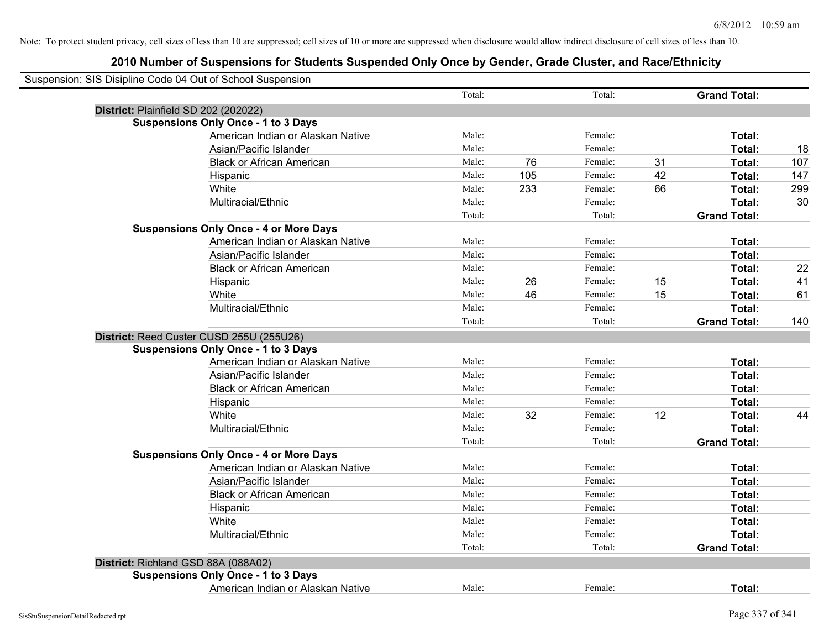| Suspension: SIS Disipline Code 04 Out of School Suspension |                                               |        |     |         |    |                     |     |
|------------------------------------------------------------|-----------------------------------------------|--------|-----|---------|----|---------------------|-----|
|                                                            |                                               | Total: |     | Total:  |    | <b>Grand Total:</b> |     |
| District: Plainfield SD 202 (202022)                       |                                               |        |     |         |    |                     |     |
|                                                            | <b>Suspensions Only Once - 1 to 3 Days</b>    |        |     |         |    |                     |     |
|                                                            | American Indian or Alaskan Native             | Male:  |     | Female: |    | Total:              |     |
|                                                            | Asian/Pacific Islander                        | Male:  |     | Female: |    | Total:              | 18  |
|                                                            | <b>Black or African American</b>              | Male:  | 76  | Female: | 31 | Total:              | 107 |
|                                                            | Hispanic                                      | Male:  | 105 | Female: | 42 | Total:              | 147 |
|                                                            | White                                         | Male:  | 233 | Female: | 66 | Total:              | 299 |
|                                                            | Multiracial/Ethnic                            | Male:  |     | Female: |    | Total:              | 30  |
|                                                            |                                               | Total: |     | Total:  |    | <b>Grand Total:</b> |     |
|                                                            | <b>Suspensions Only Once - 4 or More Days</b> |        |     |         |    |                     |     |
|                                                            | American Indian or Alaskan Native             | Male:  |     | Female: |    | Total:              |     |
|                                                            | Asian/Pacific Islander                        | Male:  |     | Female: |    | Total:              |     |
|                                                            | <b>Black or African American</b>              | Male:  |     | Female: |    | Total:              | 22  |
|                                                            | Hispanic                                      | Male:  | 26  | Female: | 15 | Total:              | 41  |
|                                                            | White                                         | Male:  | 46  | Female: | 15 | Total:              | 61  |
|                                                            | Multiracial/Ethnic                            | Male:  |     | Female: |    | Total:              |     |
|                                                            |                                               | Total: |     | Total:  |    | <b>Grand Total:</b> | 140 |
|                                                            | District: Reed Custer CUSD 255U (255U26)      |        |     |         |    |                     |     |
|                                                            | <b>Suspensions Only Once - 1 to 3 Days</b>    |        |     |         |    |                     |     |
|                                                            | American Indian or Alaskan Native             | Male:  |     | Female: |    | Total:              |     |
|                                                            | Asian/Pacific Islander                        | Male:  |     | Female: |    | Total:              |     |
|                                                            | <b>Black or African American</b>              | Male:  |     | Female: |    | Total:              |     |
|                                                            | Hispanic                                      | Male:  |     | Female: |    | Total:              |     |
|                                                            | White                                         | Male:  | 32  | Female: | 12 | Total:              | 44  |
|                                                            | Multiracial/Ethnic                            | Male:  |     | Female: |    | Total:              |     |
|                                                            |                                               | Total: |     | Total:  |    | <b>Grand Total:</b> |     |
|                                                            | <b>Suspensions Only Once - 4 or More Days</b> |        |     |         |    |                     |     |
|                                                            | American Indian or Alaskan Native             | Male:  |     | Female: |    | Total:              |     |
|                                                            | Asian/Pacific Islander                        | Male:  |     | Female: |    | Total:              |     |
|                                                            | <b>Black or African American</b>              | Male:  |     | Female: |    | Total:              |     |
|                                                            | Hispanic                                      | Male:  |     | Female: |    | Total:              |     |
|                                                            | White                                         | Male:  |     | Female: |    | Total:              |     |
|                                                            | Multiracial/Ethnic                            | Male:  |     | Female: |    | Total:              |     |
|                                                            |                                               | Total: |     | Total:  |    | <b>Grand Total:</b> |     |
|                                                            | District: Richland GSD 88A (088A02)           |        |     |         |    |                     |     |
|                                                            | <b>Suspensions Only Once - 1 to 3 Days</b>    |        |     |         |    |                     |     |
|                                                            | American Indian or Alaskan Native             | Male:  |     | Female: |    | Total:              |     |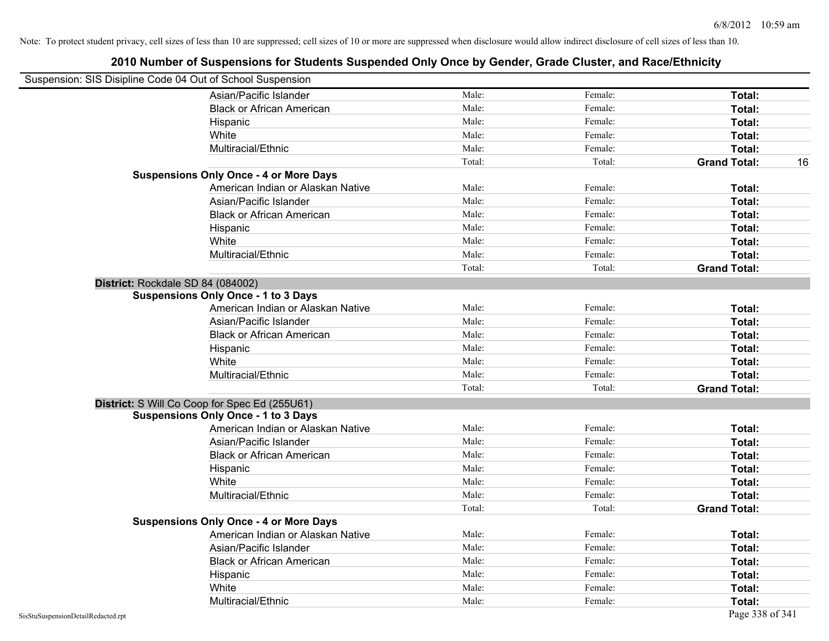| Suspension: SIS Disipline Code 04 Out of School Suspension |                                               |        |         |                           |
|------------------------------------------------------------|-----------------------------------------------|--------|---------|---------------------------|
|                                                            | Asian/Pacific Islander                        | Male:  | Female: | Total:                    |
|                                                            | <b>Black or African American</b>              | Male:  | Female: | Total:                    |
|                                                            | Hispanic                                      | Male:  | Female: | Total:                    |
|                                                            | White                                         | Male:  | Female: | Total:                    |
|                                                            | Multiracial/Ethnic                            | Male:  | Female: | Total:                    |
|                                                            |                                               | Total: | Total:  | <b>Grand Total:</b><br>16 |
|                                                            | <b>Suspensions Only Once - 4 or More Days</b> |        |         |                           |
|                                                            | American Indian or Alaskan Native             | Male:  | Female: | Total:                    |
|                                                            | Asian/Pacific Islander                        | Male:  | Female: | Total:                    |
|                                                            | <b>Black or African American</b>              | Male:  | Female: | Total:                    |
|                                                            | Hispanic                                      | Male:  | Female: | Total:                    |
|                                                            | White                                         | Male:  | Female: | Total:                    |
|                                                            | Multiracial/Ethnic                            | Male:  | Female: | Total:                    |
|                                                            |                                               | Total: | Total:  | <b>Grand Total:</b>       |
|                                                            | District: Rockdale SD 84 (084002)             |        |         |                           |
|                                                            | <b>Suspensions Only Once - 1 to 3 Days</b>    |        |         |                           |
|                                                            | American Indian or Alaskan Native             | Male:  | Female: | Total:                    |
|                                                            | Asian/Pacific Islander                        | Male:  | Female: | Total:                    |
|                                                            | <b>Black or African American</b>              | Male:  | Female: | Total:                    |
|                                                            | Hispanic                                      | Male:  | Female: | Total:                    |
|                                                            | White                                         | Male:  | Female: | Total:                    |
|                                                            | Multiracial/Ethnic                            | Male:  | Female: | Total:                    |
|                                                            |                                               | Total: | Total:  | <b>Grand Total:</b>       |
|                                                            | District: S Will Co Coop for Spec Ed (255U61) |        |         |                           |
|                                                            | <b>Suspensions Only Once - 1 to 3 Days</b>    |        |         |                           |
|                                                            | American Indian or Alaskan Native             | Male:  | Female: | Total:                    |
|                                                            | Asian/Pacific Islander                        | Male:  | Female: | Total:                    |
|                                                            | <b>Black or African American</b>              | Male:  | Female: | Total:                    |
|                                                            | Hispanic                                      | Male:  | Female: | Total:                    |
|                                                            | White                                         | Male:  | Female: | Total:                    |
|                                                            | Multiracial/Ethnic                            | Male:  | Female: | Total:                    |
|                                                            |                                               | Total: | Total:  | <b>Grand Total:</b>       |
|                                                            | <b>Suspensions Only Once - 4 or More Days</b> |        |         |                           |
|                                                            | American Indian or Alaskan Native             | Male:  | Female: | Total:                    |
|                                                            | Asian/Pacific Islander                        | Male:  | Female: | Total:                    |
|                                                            | <b>Black or African American</b>              | Male:  | Female: | Total:                    |
|                                                            | Hispanic                                      | Male:  | Female: | Total:                    |
|                                                            | White                                         | Male:  | Female: | Total:                    |
|                                                            | Multiracial/Ethnic                            | Male:  | Female: | Total:                    |
| SisStuSuspensionDetailRedacted.rpt                         |                                               |        |         | Page 338 of 341           |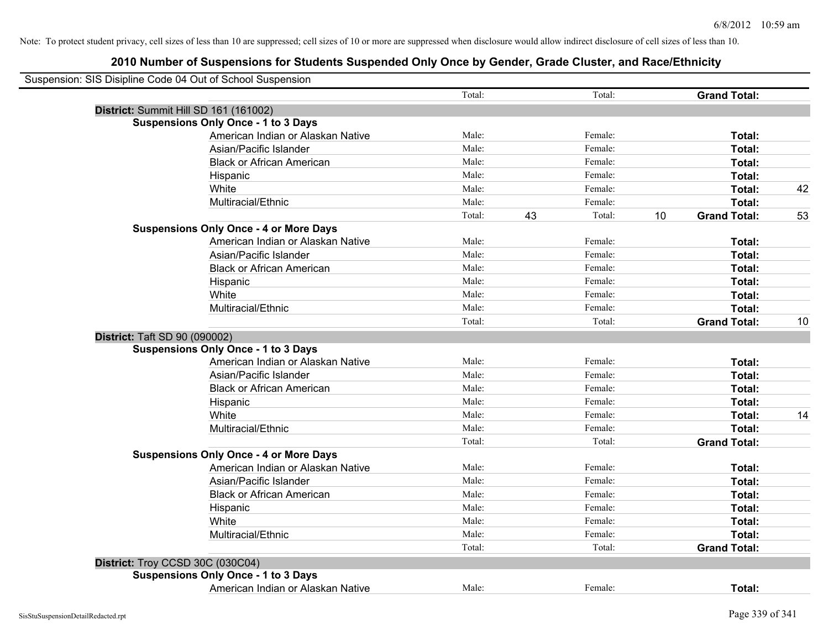| Suspension: SIS Disipline Code 04 Out of School Suspension |        |    |         |    |                     |    |
|------------------------------------------------------------|--------|----|---------|----|---------------------|----|
|                                                            | Total: |    | Total:  |    | <b>Grand Total:</b> |    |
| District: Summit Hill SD 161 (161002)                      |        |    |         |    |                     |    |
| <b>Suspensions Only Once - 1 to 3 Days</b>                 |        |    |         |    |                     |    |
| American Indian or Alaskan Native                          | Male:  |    | Female: |    | Total:              |    |
| Asian/Pacific Islander                                     | Male:  |    | Female: |    | Total:              |    |
| <b>Black or African American</b>                           | Male:  |    | Female: |    | Total:              |    |
| Hispanic                                                   | Male:  |    | Female: |    | Total:              |    |
| White                                                      | Male:  |    | Female: |    | Total:              | 42 |
| Multiracial/Ethnic                                         | Male:  |    | Female: |    | Total:              |    |
|                                                            | Total: | 43 | Total:  | 10 | <b>Grand Total:</b> | 53 |
| <b>Suspensions Only Once - 4 or More Days</b>              |        |    |         |    |                     |    |
| American Indian or Alaskan Native                          | Male:  |    | Female: |    | Total:              |    |
| Asian/Pacific Islander                                     | Male:  |    | Female: |    | Total:              |    |
| <b>Black or African American</b>                           | Male:  |    | Female: |    | Total:              |    |
| Hispanic                                                   | Male:  |    | Female: |    | Total:              |    |
| White                                                      | Male:  |    | Female: |    | Total:              |    |
| Multiracial/Ethnic                                         | Male:  |    | Female: |    | Total:              |    |
|                                                            | Total: |    | Total:  |    | <b>Grand Total:</b> | 10 |
| District: Taft SD 90 (090002)                              |        |    |         |    |                     |    |
| <b>Suspensions Only Once - 1 to 3 Days</b>                 |        |    |         |    |                     |    |
| American Indian or Alaskan Native                          | Male:  |    | Female: |    | Total:              |    |
| Asian/Pacific Islander                                     | Male:  |    | Female: |    | Total:              |    |
| <b>Black or African American</b>                           | Male:  |    | Female: |    | <b>Total:</b>       |    |
| Hispanic                                                   | Male:  |    | Female: |    | Total:              |    |
| White                                                      | Male:  |    | Female: |    | Total:              | 14 |
| Multiracial/Ethnic                                         | Male:  |    | Female: |    | Total:              |    |
|                                                            | Total: |    | Total:  |    | <b>Grand Total:</b> |    |
| <b>Suspensions Only Once - 4 or More Days</b>              |        |    |         |    |                     |    |
| American Indian or Alaskan Native                          | Male:  |    | Female: |    | Total:              |    |
| Asian/Pacific Islander                                     | Male:  |    | Female: |    | Total:              |    |
| <b>Black or African American</b>                           | Male:  |    | Female: |    | Total:              |    |
| Hispanic                                                   | Male:  |    | Female: |    | Total:              |    |
| White                                                      | Male:  |    | Female: |    | Total:              |    |
| Multiracial/Ethnic                                         | Male:  |    | Female: |    | Total:              |    |
|                                                            | Total: |    | Total:  |    | <b>Grand Total:</b> |    |
| District: Troy CCSD 30C (030C04)                           |        |    |         |    |                     |    |
| <b>Suspensions Only Once - 1 to 3 Days</b>                 |        |    |         |    |                     |    |
| American Indian or Alaskan Native                          | Male:  |    | Female: |    | Total:              |    |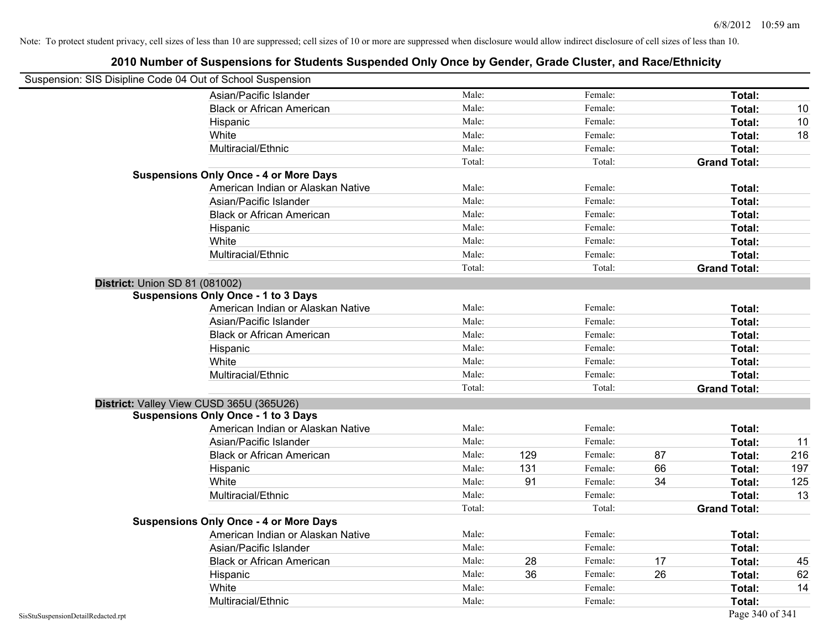| Suspension: SIS Disipline Code 04 Out of School Suspension |                                               |        |     |         |    |                     |     |
|------------------------------------------------------------|-----------------------------------------------|--------|-----|---------|----|---------------------|-----|
|                                                            | Asian/Pacific Islander                        | Male:  |     | Female: |    | Total:              |     |
|                                                            | <b>Black or African American</b>              | Male:  |     | Female: |    | Total:              | 10  |
|                                                            | Hispanic                                      | Male:  |     | Female: |    | Total:              | 10  |
|                                                            | White                                         | Male:  |     | Female: |    | Total:              | 18  |
|                                                            | Multiracial/Ethnic                            | Male:  |     | Female: |    | Total:              |     |
|                                                            |                                               | Total: |     | Total:  |    | <b>Grand Total:</b> |     |
|                                                            | <b>Suspensions Only Once - 4 or More Days</b> |        |     |         |    |                     |     |
|                                                            | American Indian or Alaskan Native             | Male:  |     | Female: |    | Total:              |     |
|                                                            | Asian/Pacific Islander                        | Male:  |     | Female: |    | Total:              |     |
|                                                            | <b>Black or African American</b>              | Male:  |     | Female: |    | Total:              |     |
|                                                            | Hispanic                                      | Male:  |     | Female: |    | Total:              |     |
|                                                            | White                                         | Male:  |     | Female: |    | Total:              |     |
|                                                            | Multiracial/Ethnic                            | Male:  |     | Female: |    | Total:              |     |
|                                                            |                                               | Total: |     | Total:  |    | <b>Grand Total:</b> |     |
| <b>District: Union SD 81 (081002)</b>                      |                                               |        |     |         |    |                     |     |
|                                                            | <b>Suspensions Only Once - 1 to 3 Days</b>    |        |     |         |    |                     |     |
|                                                            | American Indian or Alaskan Native             | Male:  |     | Female: |    | Total:              |     |
|                                                            | Asian/Pacific Islander                        | Male:  |     | Female: |    | Total:              |     |
|                                                            | <b>Black or African American</b>              | Male:  |     | Female: |    | Total:              |     |
|                                                            | Hispanic                                      | Male:  |     | Female: |    | Total:              |     |
|                                                            | White                                         | Male:  |     | Female: |    | Total:              |     |
|                                                            | Multiracial/Ethnic                            | Male:  |     | Female: |    | Total:              |     |
|                                                            |                                               | Total: |     | Total:  |    | <b>Grand Total:</b> |     |
|                                                            | District: Valley View CUSD 365U (365U26)      |        |     |         |    |                     |     |
|                                                            | <b>Suspensions Only Once - 1 to 3 Days</b>    |        |     |         |    |                     |     |
|                                                            | American Indian or Alaskan Native             | Male:  |     | Female: |    | Total:              |     |
|                                                            | Asian/Pacific Islander                        | Male:  |     | Female: |    | Total:              | 11  |
|                                                            | <b>Black or African American</b>              | Male:  | 129 | Female: | 87 | Total:              | 216 |
|                                                            | Hispanic                                      | Male:  | 131 | Female: | 66 | Total:              | 197 |
|                                                            | White                                         | Male:  | 91  | Female: | 34 | <b>Total:</b>       | 125 |
|                                                            | Multiracial/Ethnic                            | Male:  |     | Female: |    | Total:              | 13  |
|                                                            |                                               | Total: |     | Total:  |    | <b>Grand Total:</b> |     |
|                                                            | <b>Suspensions Only Once - 4 or More Days</b> |        |     |         |    |                     |     |
|                                                            | American Indian or Alaskan Native             | Male:  |     | Female: |    | Total:              |     |
|                                                            | Asian/Pacific Islander                        | Male:  |     | Female: |    | Total:              |     |
|                                                            | <b>Black or African American</b>              | Male:  | 28  | Female: | 17 | Total:              | 45  |
|                                                            | Hispanic                                      | Male:  | 36  | Female: | 26 | Total:              | 62  |
|                                                            | White                                         | Male:  |     | Female: |    | Total:              | 14  |
|                                                            | Multiracial/Ethnic                            | Male:  |     | Female: |    | Total:              |     |